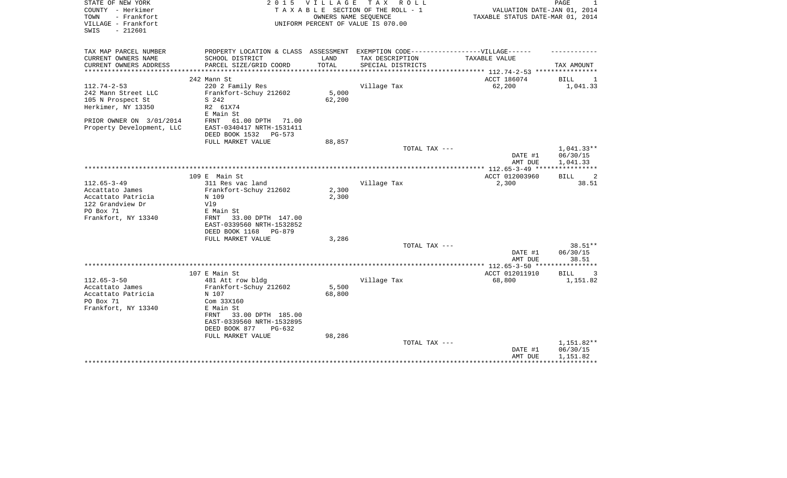| STATE OF NEW YORK<br>COUNTY - Herkimer<br>- Frankfort<br>TOWN<br>VILLAGE - Frankfort<br>$-212601$<br>SWIS | 2 0 1 5                                                                                                     | <b>VILLAGE</b>  | TAX ROLL<br>TAXABLE SECTION OF THE ROLL - 1<br>OWNERS NAME SEQUENCE<br>UNIFORM PERCENT OF VALUE IS 070.00 | VALUATION DATE-JAN 01, 2014<br>TAXABLE STATUS DATE-MAR 01, 2014  | PAGE                               |
|-----------------------------------------------------------------------------------------------------------|-------------------------------------------------------------------------------------------------------------|-----------------|-----------------------------------------------------------------------------------------------------------|------------------------------------------------------------------|------------------------------------|
| TAX MAP PARCEL NUMBER                                                                                     | PROPERTY LOCATION & CLASS ASSESSMENT EXEMPTION CODE----------------VILLAGE------                            |                 |                                                                                                           |                                                                  |                                    |
| CURRENT OWNERS NAME<br>CURRENT OWNERS ADDRESS<br>*********************                                    | SCHOOL DISTRICT<br>PARCEL SIZE/GRID COORD                                                                   | LAND<br>TOTAL   | TAX DESCRIPTION<br>SPECIAL DISTRICTS                                                                      | TAXABLE VALUE<br>***************** 112.74-2-53 ***************** | TAX AMOUNT                         |
|                                                                                                           | 242 Mann St                                                                                                 |                 |                                                                                                           | ACCT 186074                                                      | BILL<br>1                          |
| $112.74 - 2 - 53$<br>242 Mann Street LLC<br>105 N Prospect St<br>Herkimer, NY 13350                       | 220 2 Family Res<br>Frankfort-Schuy 212602<br>S 242<br>R2 61X74<br>E Main St                                | 5,000<br>62,200 | Village Tax                                                                                               | 62,200                                                           | 1,041.33                           |
| PRIOR OWNER ON 3/01/2014<br>Property Development, LLC                                                     | 61.00 DPTH<br>FRNT<br>71.00<br>EAST-0340417 NRTH-1531411<br>DEED BOOK 1532<br>PG-573                        |                 |                                                                                                           |                                                                  |                                    |
|                                                                                                           | FULL MARKET VALUE                                                                                           | 88,857          |                                                                                                           |                                                                  |                                    |
|                                                                                                           |                                                                                                             |                 | TOTAL TAX ---                                                                                             | DATE #1                                                          | $1,041.33**$<br>06/30/15           |
|                                                                                                           |                                                                                                             |                 |                                                                                                           | AMT DUE                                                          | 1,041.33                           |
|                                                                                                           | 109 E Main St                                                                                               |                 |                                                                                                           | ACCT 012003960                                                   | BILL<br>-2                         |
| $112.65 - 3 - 49$<br>Accattato James                                                                      | 311 Res vac land<br>Frankfort-Schuy 212602                                                                  | 2,300           | Village Tax                                                                                               | 2,300                                                            | 38.51                              |
| Accattato Patricia<br>122 Grandview Dr                                                                    | N 109<br>V19                                                                                                | 2,300           |                                                                                                           |                                                                  |                                    |
| PO Box 71<br>Frankfort, NY 13340                                                                          | E Main St<br>33.00 DPTH 147.00<br>FRNT<br>EAST-0339560 NRTH-1532852<br>DEED BOOK 1168<br>PG-879             |                 |                                                                                                           |                                                                  |                                    |
|                                                                                                           | FULL MARKET VALUE                                                                                           | 3,286           |                                                                                                           |                                                                  |                                    |
|                                                                                                           |                                                                                                             |                 | TOTAL TAX ---                                                                                             | DATE #1<br>AMT DUE                                               | 38.51**<br>06/30/15<br>38.51       |
|                                                                                                           |                                                                                                             |                 |                                                                                                           |                                                                  |                                    |
|                                                                                                           | 107 E Main St                                                                                               |                 |                                                                                                           | ACCT 012011910                                                   | <b>BILL</b><br>3                   |
| $112.65 - 3 - 50$<br>Accattato James<br>Accattato Patricia<br>PO Box 71<br>Frankfort, NY 13340            | 481 Att row bldg<br>Frankfort-Schuy 212602<br>N 107<br>Com 33X160<br>E Main St<br>33.00 DPTH 185.00<br>FRNT | 5,500<br>68,800 | Village Tax                                                                                               | 68,800                                                           | 1,151.82                           |
|                                                                                                           | EAST-0339560 NRTH-1532895<br>DEED BOOK 877<br>$PG-632$                                                      |                 |                                                                                                           |                                                                  |                                    |
|                                                                                                           | FULL MARKET VALUE                                                                                           | 98,286          | TOTAL TAX ---                                                                                             | DATE #1<br>AMT DUE                                               | 1,151.82**<br>06/30/15<br>1,151.82 |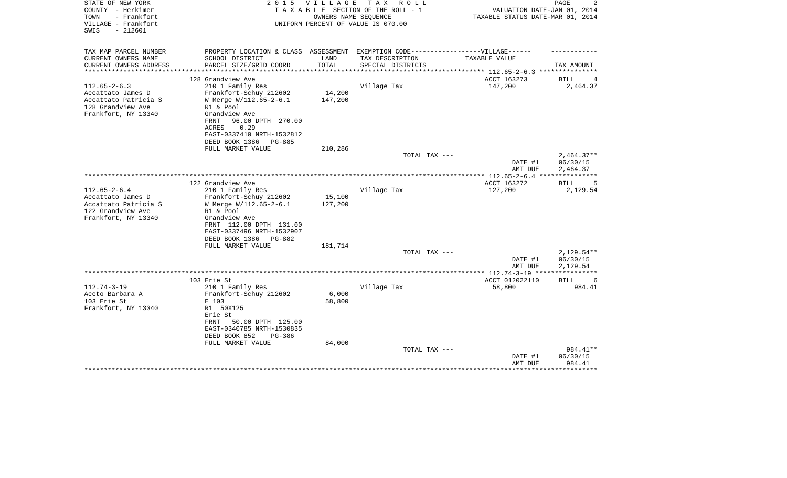| STATE OF NEW YORK<br>COUNTY - Herkimer<br>TOWN<br>- Frankfort<br>VILLAGE - Frankfort<br>$-212601$<br>SWIS | 2 0 1 5                                                 | V I L L A G E | T A X<br>R O L L<br>T A X A B L E SECTION OF THE ROLL - 1<br>OWNERS NAME SEOUENCE<br>UNIFORM PERCENT OF VALUE IS 070.00 | VALUATION DATE-JAN 01, 2014<br>TAXABLE STATUS DATE-MAR 01, 2014 | 2<br>PAGE                  |
|-----------------------------------------------------------------------------------------------------------|---------------------------------------------------------|---------------|-------------------------------------------------------------------------------------------------------------------------|-----------------------------------------------------------------|----------------------------|
| TAX MAP PARCEL NUMBER<br>CURRENT OWNERS NAME                                                              | PROPERTY LOCATION & CLASS ASSESSMENT<br>SCHOOL DISTRICT | LAND          | TAX DESCRIPTION                                                                                                         | EXEMPTION CODE------------------VILLAGE------<br>TAXABLE VALUE  |                            |
| CURRENT OWNERS ADDRESS                                                                                    | PARCEL SIZE/GRID COORD                                  | TOTAL         | SPECIAL DISTRICTS                                                                                                       |                                                                 | TAX AMOUNT                 |
| **********************                                                                                    |                                                         |               |                                                                                                                         |                                                                 |                            |
|                                                                                                           | 128 Grandview Ave                                       |               |                                                                                                                         | ACCT 163273                                                     | <b>BILL</b><br>4           |
| $112.65 - 2 - 6.3$                                                                                        | 210 1 Family Res                                        |               | Village Tax                                                                                                             | 147,200                                                         | 2,464.37                   |
| Accattato James D                                                                                         | Frankfort-Schuy 212602                                  | 14,200        |                                                                                                                         |                                                                 |                            |
| Accattato Patricia S                                                                                      | W Merge W/112.65-2-6.1                                  | 147,200       |                                                                                                                         |                                                                 |                            |
| 128 Grandview Ave<br>Frankfort, NY 13340                                                                  | R1 & Pool<br>Grandview Ave                              |               |                                                                                                                         |                                                                 |                            |
|                                                                                                           | FRNT<br>96.00 DPTH 270.00                               |               |                                                                                                                         |                                                                 |                            |
|                                                                                                           | ACRES<br>0.29                                           |               |                                                                                                                         |                                                                 |                            |
|                                                                                                           | EAST-0337410 NRTH-1532812                               |               |                                                                                                                         |                                                                 |                            |
|                                                                                                           | DEED BOOK 1386<br><b>PG-885</b>                         |               |                                                                                                                         |                                                                 |                            |
|                                                                                                           | FULL MARKET VALUE                                       | 210,286       |                                                                                                                         |                                                                 |                            |
|                                                                                                           |                                                         |               | TOTAL TAX ---                                                                                                           |                                                                 | $2,464.37**$               |
|                                                                                                           |                                                         |               |                                                                                                                         | DATE #1<br>AMT DUE                                              | 06/30/15<br>2,464.37       |
|                                                                                                           |                                                         |               |                                                                                                                         | ************** 112.65-2-6.4 ****************                    |                            |
|                                                                                                           | 122 Grandview Ave                                       |               |                                                                                                                         | ACCT 163272                                                     | <b>BILL</b><br>5           |
| $112.65 - 2 - 6.4$                                                                                        | 210 1 Family Res                                        |               | Village Tax                                                                                                             | 127,200                                                         | 2,129.54                   |
| Accattato James D                                                                                         | Frankfort-Schuy 212602                                  | 15,100        |                                                                                                                         |                                                                 |                            |
| Accattato Patricia S                                                                                      | W Merge W/112.65-2-6.1                                  | 127,200       |                                                                                                                         |                                                                 |                            |
| 122 Grandview Ave                                                                                         | R1 & Pool                                               |               |                                                                                                                         |                                                                 |                            |
| Frankfort, NY 13340                                                                                       | Grandview Ave                                           |               |                                                                                                                         |                                                                 |                            |
|                                                                                                           | FRNT 112.00 DPTH 131.00<br>EAST-0337496 NRTH-1532907    |               |                                                                                                                         |                                                                 |                            |
|                                                                                                           | DEED BOOK 1386<br>PG-882                                |               |                                                                                                                         |                                                                 |                            |
|                                                                                                           | FULL MARKET VALUE                                       | 181,714       |                                                                                                                         |                                                                 |                            |
|                                                                                                           |                                                         |               | TOTAL TAX ---                                                                                                           |                                                                 | $2,129.54**$               |
|                                                                                                           |                                                         |               |                                                                                                                         | DATE #1                                                         | 06/30/15                   |
|                                                                                                           |                                                         |               |                                                                                                                         | AMT DUE                                                         | 2,129.54                   |
|                                                                                                           |                                                         |               |                                                                                                                         |                                                                 | ***********                |
| $112.74 - 3 - 19$                                                                                         | 103 Erie St<br>210 1 Family Res                         |               | Village Tax                                                                                                             | ACCT 012022110<br>58,800                                        | <b>BILL</b><br>6<br>984.41 |
| Aceto Barbara A                                                                                           | Frankfort-Schuy 212602                                  | 6,000         |                                                                                                                         |                                                                 |                            |
| 103 Erie St                                                                                               | E 103                                                   | 58,800        |                                                                                                                         |                                                                 |                            |
| Frankfort, NY 13340                                                                                       | R1 50X125                                               |               |                                                                                                                         |                                                                 |                            |
|                                                                                                           | Erie St                                                 |               |                                                                                                                         |                                                                 |                            |
|                                                                                                           | 50.00 DPTH 125.00<br>FRNT                               |               |                                                                                                                         |                                                                 |                            |
|                                                                                                           | EAST-0340785 NRTH-1530835                               |               |                                                                                                                         |                                                                 |                            |
|                                                                                                           | DEED BOOK 852<br>PG-386                                 |               |                                                                                                                         |                                                                 |                            |
|                                                                                                           | FULL MARKET VALUE                                       | 84,000        | TOTAL TAX ---                                                                                                           |                                                                 | 984.41**                   |
|                                                                                                           |                                                         |               |                                                                                                                         | DATE #1                                                         | 06/30/15                   |
|                                                                                                           |                                                         |               |                                                                                                                         | AMT DUE                                                         | 984.41                     |
|                                                                                                           |                                                         |               |                                                                                                                         |                                                                 |                            |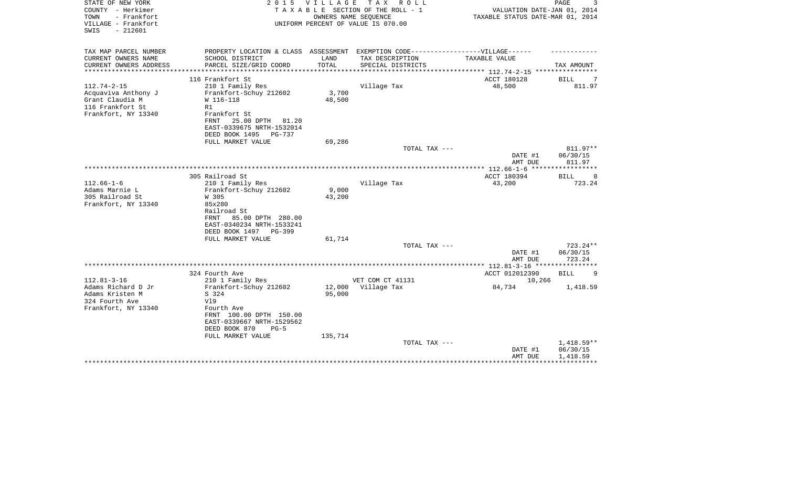| STATE OF NEW YORK<br>COUNTY - Herkimer<br>TOWN<br>- Frankfort<br>VILLAGE - Frankfort<br>$-212601$<br>SWIS | 2 0 1 5<br>TAXABLE                                                                                                                                                                                 | <b>VILLAGE</b>              | T A X<br>R O L L<br>SECTION OF THE ROLL - 1<br>OWNERS NAME SEQUENCE<br>UNIFORM PERCENT OF VALUE IS 070.00 | VALUATION DATE-JAN 01, 2014<br>TAXABLE STATUS DATE-MAR 01, 2014 | PAGE                                 |
|-----------------------------------------------------------------------------------------------------------|----------------------------------------------------------------------------------------------------------------------------------------------------------------------------------------------------|-----------------------------|-----------------------------------------------------------------------------------------------------------|-----------------------------------------------------------------|--------------------------------------|
| TAX MAP PARCEL NUMBER<br>CURRENT OWNERS NAME<br>CURRENT OWNERS ADDRESS<br>***************                 | PROPERTY LOCATION & CLASS ASSESSMENT EXEMPTION CODE-----------------VILLAGE------<br>SCHOOL DISTRICT<br>PARCEL SIZE/GRID COORD<br>**************************                                       | LAND<br>TOTAL               | TAX DESCRIPTION<br>SPECIAL DISTRICTS                                                                      | TAXABLE VALUE<br>**************** 112.74-2-15 *************     | TAX AMOUNT                           |
|                                                                                                           | 116 Frankfort St                                                                                                                                                                                   |                             |                                                                                                           | ACCT 180128                                                     | BILL<br>7                            |
| $112.74 - 2 - 15$<br>Acquaviva Anthony J<br>Grant Claudia M<br>116 Frankfort St<br>Frankfort, NY 13340    | 210 1 Family Res<br>Frankfort-Schuy 212602<br>W 116-118<br>R1<br>Frankfort St<br>25.00 DPTH<br>FRNT<br>81.20<br>EAST-0339675 NRTH-1532014<br>DEED BOOK 1495<br><b>PG-737</b>                       | 3,700<br>48,500             | Village Tax                                                                                               | 48,500                                                          | 811.97                               |
|                                                                                                           | FULL MARKET VALUE                                                                                                                                                                                  | 69,286                      | TOTAL TAX ---                                                                                             |                                                                 | 811.97**                             |
|                                                                                                           |                                                                                                                                                                                                    |                             |                                                                                                           | DATE #1<br>AMT DUE                                              | 06/30/15<br>811.97                   |
|                                                                                                           |                                                                                                                                                                                                    |                             |                                                                                                           |                                                                 | *****************                    |
| $112.66 - 1 - 6$<br>Adams Marnie L<br>305 Railroad St<br>Frankfort, NY 13340                              | 305 Railroad St<br>210 1 Family Res<br>Frankfort-Schuy 212602<br>W 305<br>85x280<br>Railroad St<br>85.00 DPTH 280.00<br>FRNT<br>EAST-0340234 NRTH-1533241<br>DEED BOOK 1497 PG-399                 | 9,000<br>43,200             | Village Tax                                                                                               | ACCT 180394<br>43,200                                           | <b>BILL</b><br>8<br>723.24           |
|                                                                                                           | FULL MARKET VALUE                                                                                                                                                                                  | 61,714                      | TOTAL TAX ---                                                                                             |                                                                 | 723.24**                             |
|                                                                                                           |                                                                                                                                                                                                    |                             |                                                                                                           | DATE #1<br>AMT DUE                                              | 06/30/15<br>723.24                   |
|                                                                                                           |                                                                                                                                                                                                    |                             |                                                                                                           | ************* 112.81-3-16 ***********                           |                                      |
| $112.81 - 3 - 16$<br>Adams Richard D Jr<br>Adams Kristen M<br>324 Fourth Ave<br>Frankfort, NY 13340       | 324 Fourth Ave<br>210 1 Family Res<br>Frankfort-Schuy 212602<br>S 324<br>V19<br>Fourth Ave<br>FRNT 100.00 DPTH 150.00<br>EAST-0339667 NRTH-1529562<br>DEED BOOK 870<br>$PG-5$<br>FULL MARKET VALUE | 12,000<br>95,000<br>135,714 | VET COM CT 41131<br>Village Tax                                                                           | ACCT 012012390<br>10,266<br>84,734                              | <b>BILL</b><br>-9<br>1,418.59        |
|                                                                                                           |                                                                                                                                                                                                    |                             | TOTAL TAX ---                                                                                             | DATE #1<br>AMT DUE                                              | $1,418.59**$<br>06/30/15<br>1,418.59 |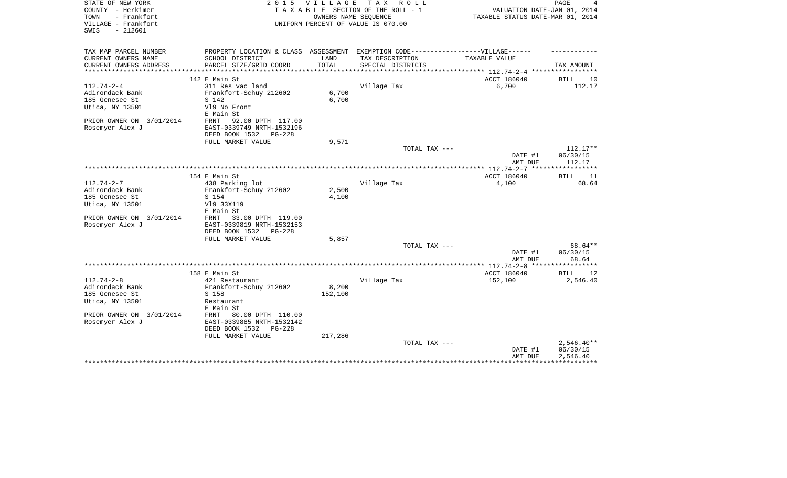| STATE OF NEW YORK<br>COUNTY - Herkimer<br>- Frankfort<br>TOWN<br>VILLAGE - Frankfort<br>SWIS<br>$-212601$ | 2 0 1 5                                   | <b>VILLAGE</b> | TAX ROLL<br>TAXABLE SECTION OF THE ROLL - 1<br>OWNERS NAME SEQUENCE<br>UNIFORM PERCENT OF VALUE IS 070.00 | VALUATION DATE-JAN 01, 2014<br>TAXABLE STATUS DATE-MAR 01, 2014        | PAGE                     |
|-----------------------------------------------------------------------------------------------------------|-------------------------------------------|----------------|-----------------------------------------------------------------------------------------------------------|------------------------------------------------------------------------|--------------------------|
| TAX MAP PARCEL NUMBER                                                                                     | PROPERTY LOCATION & CLASS ASSESSMENT      |                | EXEMPTION CODE------------------VILLAGE------                                                             |                                                                        |                          |
| CURRENT OWNERS NAME<br>CURRENT OWNERS ADDRESS<br>**********************                                   | SCHOOL DISTRICT<br>PARCEL SIZE/GRID COORD | LAND<br>TOTAL  | TAX DESCRIPTION<br>SPECIAL DISTRICTS                                                                      | TAXABLE VALUE                                                          | TAX AMOUNT               |
|                                                                                                           | 142 E Main St                             |                |                                                                                                           | ************************** 112.74-2-4 *****************<br>ACCT 186040 | BILL<br>10               |
| $112.74 - 2 - 4$                                                                                          | 311 Res vac land                          |                | Village Tax                                                                                               | 6,700                                                                  | 112.17                   |
| Adirondack Bank                                                                                           | Frankfort-Schuy 212602                    | 6,700          |                                                                                                           |                                                                        |                          |
| 185 Genesee St                                                                                            | S 142                                     | 6,700          |                                                                                                           |                                                                        |                          |
| Utica, NY 13501                                                                                           | V19 No Front                              |                |                                                                                                           |                                                                        |                          |
|                                                                                                           | E Main St                                 |                |                                                                                                           |                                                                        |                          |
| PRIOR OWNER ON 3/01/2014                                                                                  | 92.00 DPTH 117.00<br>FRNT                 |                |                                                                                                           |                                                                        |                          |
| Rosemyer Alex J                                                                                           | EAST-0339749 NRTH-1532196                 |                |                                                                                                           |                                                                        |                          |
|                                                                                                           | DEED BOOK 1532<br>$PG-228$                |                |                                                                                                           |                                                                        |                          |
|                                                                                                           | FULL MARKET VALUE                         | 9,571          |                                                                                                           |                                                                        |                          |
|                                                                                                           |                                           |                | TOTAL TAX ---                                                                                             |                                                                        | 112.17**                 |
|                                                                                                           |                                           |                |                                                                                                           | DATE #1                                                                | 06/30/15                 |
|                                                                                                           |                                           |                |                                                                                                           | AMT DUE                                                                | 112.17                   |
|                                                                                                           | 154 E Main St                             |                |                                                                                                           | ACCT 186040                                                            | <b>BILL</b><br>11        |
| $112.74 - 2 - 7$                                                                                          | 438 Parking lot                           |                | Village Tax                                                                                               | 4,100                                                                  | 68.64                    |
| Adirondack Bank                                                                                           | Frankfort-Schuy 212602                    | 2,500          |                                                                                                           |                                                                        |                          |
| 185 Genesee St                                                                                            | S 154                                     | 4,100          |                                                                                                           |                                                                        |                          |
| Utica, NY 13501                                                                                           | V19 33X119                                |                |                                                                                                           |                                                                        |                          |
|                                                                                                           | E Main St                                 |                |                                                                                                           |                                                                        |                          |
| PRIOR OWNER ON 3/01/2014                                                                                  | 33.00 DPTH 119.00<br>FRNT                 |                |                                                                                                           |                                                                        |                          |
| Rosemyer Alex J                                                                                           | EAST-0339819 NRTH-1532153                 |                |                                                                                                           |                                                                        |                          |
|                                                                                                           | DEED BOOK 1532<br>$PG-228$                |                |                                                                                                           |                                                                        |                          |
|                                                                                                           | FULL MARKET VALUE                         | 5,857          |                                                                                                           |                                                                        |                          |
|                                                                                                           |                                           |                | TOTAL TAX ---                                                                                             |                                                                        | 68.64**                  |
|                                                                                                           |                                           |                |                                                                                                           | DATE #1<br>AMT DUE                                                     | 06/30/15<br>68.64        |
|                                                                                                           |                                           |                |                                                                                                           | **************** 112.74-2-8 ******************                         |                          |
|                                                                                                           | 158 E Main St                             |                |                                                                                                           | ACCT 186040                                                            | <b>BILL</b><br>12        |
| $112.74 - 2 - 8$                                                                                          | 421 Restaurant                            |                | Village Tax                                                                                               | 152,100                                                                | 2,546.40                 |
| Adirondack Bank                                                                                           | Frankfort-Schuy 212602                    | 8,200          |                                                                                                           |                                                                        |                          |
| 185 Genesee St                                                                                            | S 158                                     | 152,100        |                                                                                                           |                                                                        |                          |
| Utica, NY 13501                                                                                           | Restaurant                                |                |                                                                                                           |                                                                        |                          |
|                                                                                                           | E Main St                                 |                |                                                                                                           |                                                                        |                          |
| PRIOR OWNER ON 3/01/2014                                                                                  | 80.00 DPTH 110.00<br>FRNT                 |                |                                                                                                           |                                                                        |                          |
| Rosemyer Alex J                                                                                           | EAST-0339885 NRTH-1532142                 |                |                                                                                                           |                                                                        |                          |
|                                                                                                           | DEED BOOK 1532<br>$PG-228$                |                |                                                                                                           |                                                                        |                          |
|                                                                                                           | FULL MARKET VALUE                         | 217,286        |                                                                                                           |                                                                        |                          |
|                                                                                                           |                                           |                | TOTAL TAX ---                                                                                             | DATE #1                                                                | $2,546.40**$<br>06/30/15 |
|                                                                                                           |                                           |                |                                                                                                           | AMT DUE                                                                | 2,546.40                 |
|                                                                                                           |                                           |                |                                                                                                           |                                                                        |                          |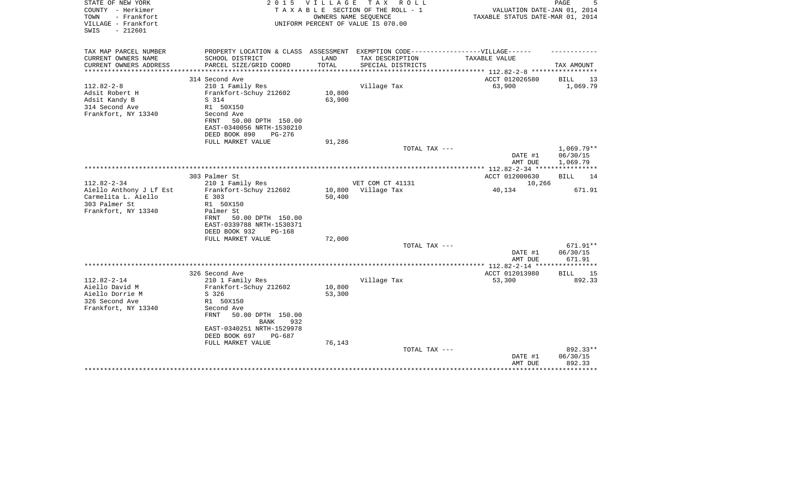| STATE OF NEW YORK<br>COUNTY - Herkimer<br>TOWN<br>- Frankfort<br>VILLAGE - Frankfort<br>$-212601$<br>SWIS | 2 0 1 5                                                                                                                                                                          | V I L L A G E<br>OWNERS NAME SEOUENCE  | T A X<br>R O L L<br>TAXABLE SECTION OF THE ROLL - 1<br>UNIFORM PERCENT OF VALUE IS 070.00 | VALUATION DATE-JAN 01, 2014<br>TAXABLE STATUS DATE-MAR 01, 2014 | PAGE                               |
|-----------------------------------------------------------------------------------------------------------|----------------------------------------------------------------------------------------------------------------------------------------------------------------------------------|----------------------------------------|-------------------------------------------------------------------------------------------|-----------------------------------------------------------------|------------------------------------|
| TAX MAP PARCEL NUMBER                                                                                     | PROPERTY LOCATION & CLASS ASSESSMENT EXEMPTION CODE-----------------VILLAGE------                                                                                                |                                        |                                                                                           |                                                                 |                                    |
| CURRENT OWNERS NAME<br>CURRENT OWNERS ADDRESS                                                             | SCHOOL DISTRICT<br>PARCEL SIZE/GRID COORD                                                                                                                                        | LAND<br>TOTAL<br>* * * * * * * * * * * | TAX DESCRIPTION<br>SPECIAL DISTRICTS                                                      | TAXABLE VALUE<br>***************** 112.82-2-8 *****             | TAX AMOUNT                         |
|                                                                                                           | 314 Second Ave                                                                                                                                                                   |                                        |                                                                                           | ACCT 012026580                                                  | <b>BILL</b><br>13                  |
| $112.82 - 2 - 8$<br>Adsit Robert H<br>Adsit Kandy B<br>314 Second Ave<br>Frankfort, NY 13340              | 210 1 Family Res<br>Frankfort-Schuy 212602<br>S 314<br>R1 50X150<br>Second Ave<br>FRNT<br>50.00 DPTH 150.00                                                                      | 10,800<br>63,900                       | Village Tax                                                                               | 63,900                                                          | 1,069.79                           |
|                                                                                                           | EAST-0340056 NRTH-1530210<br>DEED BOOK 890<br>PG-276                                                                                                                             |                                        |                                                                                           |                                                                 |                                    |
|                                                                                                           | FULL MARKET VALUE                                                                                                                                                                | 91,286                                 |                                                                                           |                                                                 |                                    |
|                                                                                                           |                                                                                                                                                                                  |                                        | TOTAL TAX ---                                                                             | DATE #1<br>AMT DUE                                              | 1,069.79**<br>06/30/15<br>1,069.79 |
|                                                                                                           |                                                                                                                                                                                  |                                        |                                                                                           | ************* 112.82-2-34 **********                            |                                    |
|                                                                                                           | 303 Palmer St                                                                                                                                                                    |                                        |                                                                                           | ACCT 012000630                                                  | BILL<br>14                         |
| $112.82 - 2 - 34$                                                                                         | 210 1 Family Res                                                                                                                                                                 |                                        | VET COM CT 41131                                                                          | 10,266                                                          |                                    |
| Aiello Anthony J Lf Est<br>Carmelita L. Aiello<br>303 Palmer St<br>Frankfort, NY 13340                    | Frankfort-Schuy 212602<br>E 303<br>R1 50X150<br>Palmer St<br>50.00 DPTH 150.00<br>FRNT<br>EAST-0339788 NRTH-1530371<br>DEED BOOK 932<br><b>PG-168</b><br>FULL MARKET VALUE       | 10,800<br>50,400<br>72,000             | Village Tax                                                                               | 40,134                                                          | 671.91                             |
|                                                                                                           |                                                                                                                                                                                  |                                        | TOTAL TAX ---                                                                             |                                                                 | $671.91**$                         |
|                                                                                                           |                                                                                                                                                                                  |                                        |                                                                                           | DATE #1<br>AMT DUE                                              | 06/30/15<br>671.91                 |
|                                                                                                           |                                                                                                                                                                                  |                                        |                                                                                           |                                                                 |                                    |
| $112.82 - 2 - 14$<br>Aiello David M<br>Aiello Dorrie M<br>326 Second Ave<br>Frankfort, NY 13340           | 326 Second Ave<br>210 1 Family Res<br>Frankfort-Schuy 212602<br>S 326<br>R1 50X150<br>Second Ave<br>FRNT<br>50.00 DPTH 150.00<br>932<br><b>BANK</b><br>EAST-0340251 NRTH-1529978 | 10,800<br>53,300                       | Village Tax                                                                               | ACCT 012013980<br>53,300                                        | 15<br>BILL<br>892.33               |
|                                                                                                           | DEED BOOK 697<br>$PG-687$                                                                                                                                                        |                                        |                                                                                           |                                                                 |                                    |
|                                                                                                           | FULL MARKET VALUE                                                                                                                                                                | 76,143                                 | TOTAL TAX ---                                                                             |                                                                 | 892.33**                           |
|                                                                                                           |                                                                                                                                                                                  |                                        |                                                                                           | DATE #1<br>AMT DUE                                              | 06/30/15<br>892.33                 |
|                                                                                                           |                                                                                                                                                                                  |                                        |                                                                                           |                                                                 |                                    |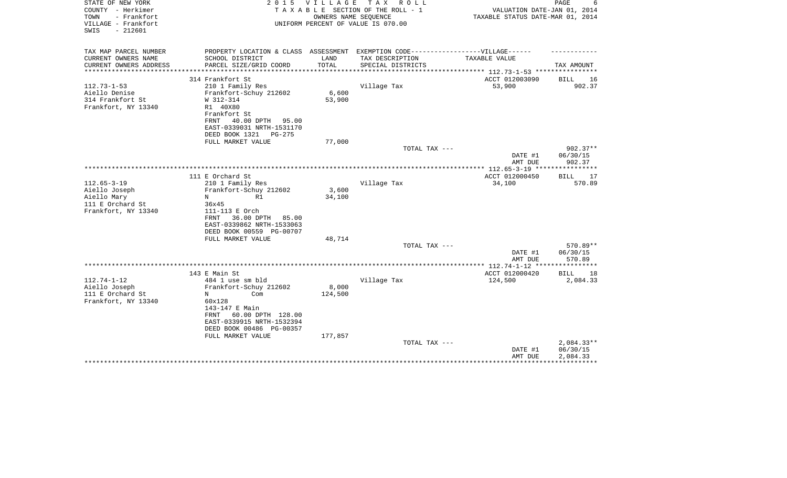| TAX MAP PARCEL NUMBER<br>PROPERTY LOCATION & CLASS ASSESSMENT<br>EXEMPTION CODE------------------VILLAGE------<br>CURRENT OWNERS NAME<br>SCHOOL DISTRICT<br>LAND<br>TAX DESCRIPTION<br>TAXABLE VALUE<br>TOTAL<br>CURRENT OWNERS ADDRESS<br>PARCEL SIZE/GRID COORD<br>SPECIAL DISTRICTS<br>TAX AMOUNT<br>***************<br>*************************** 112.73-1-53 ****************<br>ACCT 012003090<br>314 Frankfort St<br>BILL<br>16<br>$112.73 - 1 - 53$<br>53,900<br>902.37<br>210 1 Family Res<br>Village Tax<br>6,600<br>Aiello Denise<br>Frankfort-Schuy 212602 | STATE OF NEW YORK<br>COUNTY - Herkimer<br>TOWN<br>- Frankfort<br>VILLAGE - Frankfort<br>$-212601$<br>SWIS | 2 0 1 5   | VILLAGE | T A X<br>R O L L<br>TAXABLE SECTION OF THE ROLL - 1<br>OWNERS NAME SEQUENCE<br>UNIFORM PERCENT OF VALUE IS 070.00 | VALUATION DATE-JAN 01, 2014<br>TAXABLE STATUS DATE-MAR 01, 2014 | PAGE         |
|-------------------------------------------------------------------------------------------------------------------------------------------------------------------------------------------------------------------------------------------------------------------------------------------------------------------------------------------------------------------------------------------------------------------------------------------------------------------------------------------------------------------------------------------------------------------------|-----------------------------------------------------------------------------------------------------------|-----------|---------|-------------------------------------------------------------------------------------------------------------------|-----------------------------------------------------------------|--------------|
|                                                                                                                                                                                                                                                                                                                                                                                                                                                                                                                                                                         |                                                                                                           |           |         |                                                                                                                   |                                                                 |              |
|                                                                                                                                                                                                                                                                                                                                                                                                                                                                                                                                                                         |                                                                                                           |           |         |                                                                                                                   |                                                                 |              |
|                                                                                                                                                                                                                                                                                                                                                                                                                                                                                                                                                                         |                                                                                                           |           |         |                                                                                                                   |                                                                 |              |
|                                                                                                                                                                                                                                                                                                                                                                                                                                                                                                                                                                         |                                                                                                           |           |         |                                                                                                                   |                                                                 |              |
|                                                                                                                                                                                                                                                                                                                                                                                                                                                                                                                                                                         |                                                                                                           |           |         |                                                                                                                   |                                                                 |              |
|                                                                                                                                                                                                                                                                                                                                                                                                                                                                                                                                                                         | 314 Frankfort St                                                                                          | W 312-314 | 53,900  |                                                                                                                   |                                                                 |              |
| Frankfort, NY 13340<br>R1 40X80                                                                                                                                                                                                                                                                                                                                                                                                                                                                                                                                         |                                                                                                           |           |         |                                                                                                                   |                                                                 |              |
| Frankfort St                                                                                                                                                                                                                                                                                                                                                                                                                                                                                                                                                            |                                                                                                           |           |         |                                                                                                                   |                                                                 |              |
| 40.00 DPTH<br>FRNT<br>95.00                                                                                                                                                                                                                                                                                                                                                                                                                                                                                                                                             |                                                                                                           |           |         |                                                                                                                   |                                                                 |              |
| EAST-0339031 NRTH-1531170                                                                                                                                                                                                                                                                                                                                                                                                                                                                                                                                               |                                                                                                           |           |         |                                                                                                                   |                                                                 |              |
| DEED BOOK 1321<br>PG-275                                                                                                                                                                                                                                                                                                                                                                                                                                                                                                                                                |                                                                                                           |           |         |                                                                                                                   |                                                                 |              |
| FULL MARKET VALUE<br>77,000                                                                                                                                                                                                                                                                                                                                                                                                                                                                                                                                             |                                                                                                           |           |         |                                                                                                                   |                                                                 |              |
| TOTAL TAX ---                                                                                                                                                                                                                                                                                                                                                                                                                                                                                                                                                           |                                                                                                           |           |         |                                                                                                                   |                                                                 | 902.37**     |
| DATE #1<br>06/30/15                                                                                                                                                                                                                                                                                                                                                                                                                                                                                                                                                     |                                                                                                           |           |         |                                                                                                                   |                                                                 |              |
| AMT DUE<br>902.37<br>**************** 112.65-3-19 *****************                                                                                                                                                                                                                                                                                                                                                                                                                                                                                                     |                                                                                                           |           |         |                                                                                                                   |                                                                 |              |
| 111 E Orchard St<br>ACCT 012000450<br>BILL                                                                                                                                                                                                                                                                                                                                                                                                                                                                                                                              |                                                                                                           |           |         |                                                                                                                   |                                                                 | 17           |
| $112.65 - 3 - 19$<br>Village Tax<br>34,100<br>210 1 Family Res                                                                                                                                                                                                                                                                                                                                                                                                                                                                                                          |                                                                                                           |           |         |                                                                                                                   |                                                                 | 570.89       |
| 3,600<br>Aiello Joseph<br>Frankfort-Schuy 212602                                                                                                                                                                                                                                                                                                                                                                                                                                                                                                                        |                                                                                                           |           |         |                                                                                                                   |                                                                 |              |
| 34,100<br>Aiello Mary<br>R1<br>N                                                                                                                                                                                                                                                                                                                                                                                                                                                                                                                                        |                                                                                                           |           |         |                                                                                                                   |                                                                 |              |
| 111 E Orchard St<br>36x45                                                                                                                                                                                                                                                                                                                                                                                                                                                                                                                                               |                                                                                                           |           |         |                                                                                                                   |                                                                 |              |
| Frankfort, NY 13340<br>111-113 E Orch                                                                                                                                                                                                                                                                                                                                                                                                                                                                                                                                   |                                                                                                           |           |         |                                                                                                                   |                                                                 |              |
| 36.00 DPTH<br>FRNT<br>85.00                                                                                                                                                                                                                                                                                                                                                                                                                                                                                                                                             |                                                                                                           |           |         |                                                                                                                   |                                                                 |              |
| EAST-0339862 NRTH-1533063                                                                                                                                                                                                                                                                                                                                                                                                                                                                                                                                               |                                                                                                           |           |         |                                                                                                                   |                                                                 |              |
| DEED BOOK 00559 PG-00707                                                                                                                                                                                                                                                                                                                                                                                                                                                                                                                                                |                                                                                                           |           |         |                                                                                                                   |                                                                 |              |
| FULL MARKET VALUE<br>48,714                                                                                                                                                                                                                                                                                                                                                                                                                                                                                                                                             |                                                                                                           |           |         |                                                                                                                   |                                                                 |              |
| TOTAL TAX ---                                                                                                                                                                                                                                                                                                                                                                                                                                                                                                                                                           |                                                                                                           |           |         |                                                                                                                   |                                                                 | 570.89**     |
| 06/30/15<br>DATE #1                                                                                                                                                                                                                                                                                                                                                                                                                                                                                                                                                     |                                                                                                           |           |         |                                                                                                                   |                                                                 |              |
| 570.89<br>AMT DUE                                                                                                                                                                                                                                                                                                                                                                                                                                                                                                                                                       |                                                                                                           |           |         |                                                                                                                   |                                                                 |              |
| ACCT 012000420<br>143 E Main St<br><b>BILL</b>                                                                                                                                                                                                                                                                                                                                                                                                                                                                                                                          |                                                                                                           |           |         |                                                                                                                   |                                                                 | 18           |
| $112.74 - 1 - 12$<br>Village Tax<br>484 1 use sm bld<br>124,500                                                                                                                                                                                                                                                                                                                                                                                                                                                                                                         |                                                                                                           |           |         |                                                                                                                   |                                                                 | 2,084.33     |
| Aiello Joseph<br>Frankfort-Schuy 212602<br>8,000                                                                                                                                                                                                                                                                                                                                                                                                                                                                                                                        |                                                                                                           |           |         |                                                                                                                   |                                                                 |              |
| 111 E Orchard St<br>124,500<br>N<br>Com                                                                                                                                                                                                                                                                                                                                                                                                                                                                                                                                 |                                                                                                           |           |         |                                                                                                                   |                                                                 |              |
| Frankfort, NY 13340<br>60x128                                                                                                                                                                                                                                                                                                                                                                                                                                                                                                                                           |                                                                                                           |           |         |                                                                                                                   |                                                                 |              |
| 143-147 E Main                                                                                                                                                                                                                                                                                                                                                                                                                                                                                                                                                          |                                                                                                           |           |         |                                                                                                                   |                                                                 |              |
| 60.00 DPTH 128.00<br>FRNT                                                                                                                                                                                                                                                                                                                                                                                                                                                                                                                                               |                                                                                                           |           |         |                                                                                                                   |                                                                 |              |
| EAST-0339915 NRTH-1532394                                                                                                                                                                                                                                                                                                                                                                                                                                                                                                                                               |                                                                                                           |           |         |                                                                                                                   |                                                                 |              |
| DEED BOOK 00486 PG-00357                                                                                                                                                                                                                                                                                                                                                                                                                                                                                                                                                |                                                                                                           |           |         |                                                                                                                   |                                                                 |              |
| 177,857<br>FULL MARKET VALUE                                                                                                                                                                                                                                                                                                                                                                                                                                                                                                                                            |                                                                                                           |           |         |                                                                                                                   |                                                                 |              |
| TOTAL TAX ---                                                                                                                                                                                                                                                                                                                                                                                                                                                                                                                                                           |                                                                                                           |           |         |                                                                                                                   |                                                                 | $2,084.33**$ |
| 06/30/15<br>DATE #1                                                                                                                                                                                                                                                                                                                                                                                                                                                                                                                                                     |                                                                                                           |           |         |                                                                                                                   |                                                                 |              |
| 2,084.33<br>AMT DUE<br>*********************                                                                                                                                                                                                                                                                                                                                                                                                                                                                                                                            |                                                                                                           |           |         |                                                                                                                   |                                                                 |              |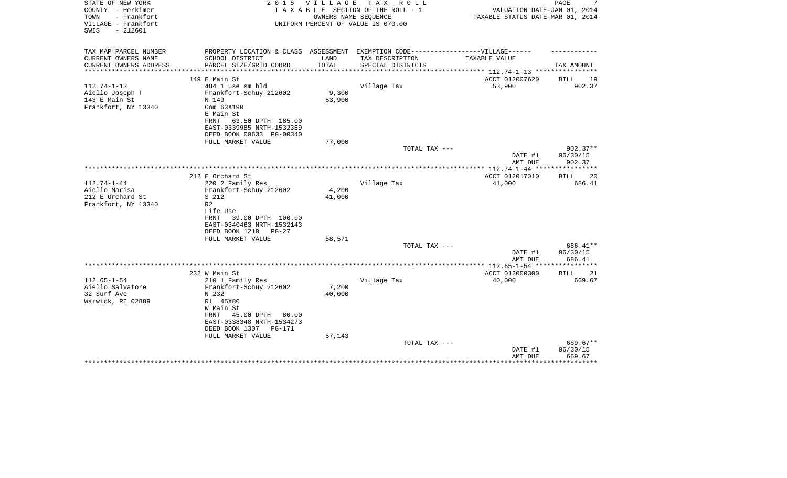| STATE OF NEW YORK<br>COUNTY - Herkimer<br>- Frankfort<br>TOWN<br>VILLAGE - Frankfort | 2 0 1 5<br>TAXABLE                                                                | <b>VILLAGE</b> | T A X<br>R O L L<br>SECTION OF THE ROLL - 1<br>OWNERS NAME SEQUENCE<br>UNIFORM PERCENT OF VALUE IS 070.00 | VALUATION DATE-JAN 01, 2014<br>TAXABLE STATUS DATE-MAR 01, 2014 | PAGE               |
|--------------------------------------------------------------------------------------|-----------------------------------------------------------------------------------|----------------|-----------------------------------------------------------------------------------------------------------|-----------------------------------------------------------------|--------------------|
| $-212601$<br>SWIS                                                                    |                                                                                   |                |                                                                                                           |                                                                 |                    |
| TAX MAP PARCEL NUMBER                                                                | PROPERTY LOCATION & CLASS ASSESSMENT EXEMPTION CODE-----------------VILLAGE------ |                |                                                                                                           |                                                                 |                    |
| CURRENT OWNERS NAME                                                                  | SCHOOL DISTRICT<br>PARCEL SIZE/GRID COORD                                         | LAND<br>TOTAL  | TAX DESCRIPTION                                                                                           | TAXABLE VALUE                                                   | TAX AMOUNT         |
| CURRENT OWNERS ADDRESS<br>*****************                                          |                                                                                   |                | SPECIAL DISTRICTS                                                                                         |                                                                 |                    |
|                                                                                      | 149 E Main St                                                                     |                |                                                                                                           | ACCT 012007620                                                  | BILL<br>19         |
| $112.74 - 1 - 13$                                                                    | 484 1 use sm bld                                                                  |                | Village Tax                                                                                               | 53,900                                                          | 902.37             |
| Aiello Joseph T                                                                      | Frankfort-Schuy 212602                                                            | 9,300          |                                                                                                           |                                                                 |                    |
| 143 E Main St                                                                        | N 149                                                                             | 53,900         |                                                                                                           |                                                                 |                    |
| Frankfort, NY 13340                                                                  | Com 63X190<br>E Main St                                                           |                |                                                                                                           |                                                                 |                    |
|                                                                                      | 63.50 DPTH 185.00<br>FRNT                                                         |                |                                                                                                           |                                                                 |                    |
|                                                                                      | EAST-0339985 NRTH-1532369                                                         |                |                                                                                                           |                                                                 |                    |
|                                                                                      | DEED BOOK 00633 PG-00340                                                          |                |                                                                                                           |                                                                 |                    |
|                                                                                      | FULL MARKET VALUE                                                                 | 77,000         |                                                                                                           |                                                                 |                    |
|                                                                                      |                                                                                   |                | TOTAL TAX ---                                                                                             |                                                                 | $902.37**$         |
|                                                                                      |                                                                                   |                |                                                                                                           | DATE #1                                                         | 06/30/15<br>902.37 |
|                                                                                      |                                                                                   |                |                                                                                                           | AMT DUE                                                         |                    |
|                                                                                      | 212 E Orchard St                                                                  |                |                                                                                                           | ACCT 012017010                                                  | <b>BILL</b><br>20  |
| $112.74 - 1 - 44$                                                                    | 220 2 Family Res                                                                  |                | Village Tax                                                                                               | 41,000                                                          | 686.41             |
| Aiello Marisa                                                                        | Frankfort-Schuy 212602                                                            | 4,200          |                                                                                                           |                                                                 |                    |
| 212 E Orchard St                                                                     | S 212                                                                             | 41,000         |                                                                                                           |                                                                 |                    |
| Frankfort, NY 13340                                                                  | R <sub>2</sub>                                                                    |                |                                                                                                           |                                                                 |                    |
|                                                                                      | Life Use<br>39.00 DPTH 100.00<br>FRNT                                             |                |                                                                                                           |                                                                 |                    |
|                                                                                      | EAST-0340463 NRTH-1532143                                                         |                |                                                                                                           |                                                                 |                    |
|                                                                                      | DEED BOOK 1219<br>$PG-27$                                                         |                |                                                                                                           |                                                                 |                    |
|                                                                                      | FULL MARKET VALUE                                                                 | 58,571         |                                                                                                           |                                                                 |                    |
|                                                                                      |                                                                                   |                | TOTAL TAX ---                                                                                             |                                                                 | 686.41**           |
|                                                                                      |                                                                                   |                |                                                                                                           | DATE #1                                                         | 06/30/15           |
|                                                                                      |                                                                                   |                |                                                                                                           | AMT DUE<br>************ 112.65-1-54 *******                     | 686.41             |
|                                                                                      | 232 W Main St                                                                     |                |                                                                                                           | ACCT 012000300                                                  | <b>BILL</b><br>21  |
| $112.65 - 1 - 54$                                                                    | 210 1 Family Res                                                                  |                | Village Tax                                                                                               | 40,000                                                          | 669.67             |
| Aiello Salvatore                                                                     | Frankfort-Schuy 212602                                                            | 7,200          |                                                                                                           |                                                                 |                    |
| 32 Surf Ave                                                                          | N 232                                                                             | 40,000         |                                                                                                           |                                                                 |                    |
| Warwick, RI 02889                                                                    | R1 45X80                                                                          |                |                                                                                                           |                                                                 |                    |
|                                                                                      | W Main St                                                                         |                |                                                                                                           |                                                                 |                    |
|                                                                                      | 45.00 DPTH<br>80.00<br>FRNT<br>EAST-0338348 NRTH-1534273                          |                |                                                                                                           |                                                                 |                    |
|                                                                                      | DEED BOOK 1307<br><b>PG-171</b>                                                   |                |                                                                                                           |                                                                 |                    |
|                                                                                      | FULL MARKET VALUE                                                                 | 57,143         |                                                                                                           |                                                                 |                    |
|                                                                                      |                                                                                   |                | TOTAL TAX ---                                                                                             |                                                                 | 669.67**           |
|                                                                                      |                                                                                   |                |                                                                                                           | DATE #1                                                         | 06/30/15           |
|                                                                                      |                                                                                   |                |                                                                                                           | AMT DUE                                                         | 669.67             |
|                                                                                      |                                                                                   |                |                                                                                                           |                                                                 |                    |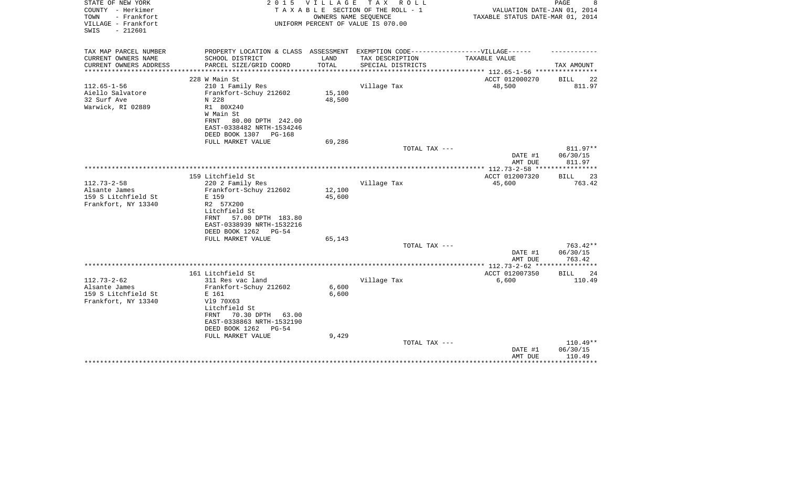| STATE OF NEW YORK<br>COUNTY - Herkimer<br>- Frankfort<br>TOWN<br>VILLAGE - Frankfort | 2 0 1 5                                                                           | <b>VILLAGE</b> | T A X<br>R O L L<br>TAXABLE SECTION OF THE ROLL - 1<br>OWNERS NAME SEQUENCE<br>UNIFORM PERCENT OF VALUE IS 070.00 | VALUATION DATE-JAN 01, 2014<br>TAXABLE STATUS DATE-MAR 01, 2014 | PAGE<br>8              |
|--------------------------------------------------------------------------------------|-----------------------------------------------------------------------------------|----------------|-------------------------------------------------------------------------------------------------------------------|-----------------------------------------------------------------|------------------------|
| $-212601$<br>SWIS                                                                    |                                                                                   |                |                                                                                                                   |                                                                 |                        |
| TAX MAP PARCEL NUMBER                                                                | PROPERTY LOCATION & CLASS ASSESSMENT EXEMPTION CODE-----------------VILLAGE------ |                |                                                                                                                   |                                                                 |                        |
| CURRENT OWNERS NAME<br>CURRENT OWNERS ADDRESS                                        | SCHOOL DISTRICT<br>PARCEL SIZE/GRID COORD                                         | LAND<br>TOTAL  | TAX DESCRIPTION<br>SPECIAL DISTRICTS                                                                              | TAXABLE VALUE                                                   | TAX AMOUNT             |
| *********************                                                                |                                                                                   |                |                                                                                                                   |                                                                 |                        |
|                                                                                      | 228 W Main St                                                                     |                |                                                                                                                   | ACCT 012000270                                                  | BILL<br>22             |
| $112.65 - 1 - 56$                                                                    | 210 1 Family Res                                                                  |                | Village Tax                                                                                                       | 48,500                                                          | 811.97                 |
| Aiello Salvatore                                                                     | Frankfort-Schuy 212602                                                            | 15,100         |                                                                                                                   |                                                                 |                        |
| 32 Surf Ave<br>Warwick, RI 02889                                                     | N 228<br>R1 80X240                                                                | 48,500         |                                                                                                                   |                                                                 |                        |
|                                                                                      | W Main St                                                                         |                |                                                                                                                   |                                                                 |                        |
|                                                                                      | 80.00 DPTH 242.00<br>FRNT                                                         |                |                                                                                                                   |                                                                 |                        |
|                                                                                      | EAST-0338482 NRTH-1534246                                                         |                |                                                                                                                   |                                                                 |                        |
|                                                                                      | DEED BOOK 1307<br>PG-168                                                          |                |                                                                                                                   |                                                                 |                        |
|                                                                                      | FULL MARKET VALUE                                                                 | 69,286         |                                                                                                                   |                                                                 |                        |
|                                                                                      |                                                                                   |                | TOTAL TAX ---                                                                                                     | DATE #1                                                         | 811.97**<br>06/30/15   |
|                                                                                      |                                                                                   |                |                                                                                                                   | AMT DUE                                                         | 811.97                 |
|                                                                                      |                                                                                   |                |                                                                                                                   | ****************** 112.73-2-58 *****************                |                        |
|                                                                                      | 159 Litchfield St                                                                 |                |                                                                                                                   | ACCT 012007320                                                  | <b>BILL</b><br>23      |
| $112.73 - 2 - 58$                                                                    | 220 2 Family Res                                                                  |                | Village Tax                                                                                                       | 45,600                                                          | 763.42                 |
| Alsante James                                                                        | Frankfort-Schuy 212602                                                            | 12,100         |                                                                                                                   |                                                                 |                        |
| 159 S Litchfield St<br>Frankfort, NY 13340                                           | E 159<br>R2 57X200                                                                | 45,600         |                                                                                                                   |                                                                 |                        |
|                                                                                      | Litchfield St                                                                     |                |                                                                                                                   |                                                                 |                        |
|                                                                                      | 57.00 DPTH 183.80<br>FRNT                                                         |                |                                                                                                                   |                                                                 |                        |
|                                                                                      | EAST-0338939 NRTH-1532216                                                         |                |                                                                                                                   |                                                                 |                        |
|                                                                                      | DEED BOOK 1262<br>$PG-54$                                                         |                |                                                                                                                   |                                                                 |                        |
|                                                                                      | FULL MARKET VALUE                                                                 | 65,143         |                                                                                                                   |                                                                 |                        |
|                                                                                      |                                                                                   |                | TOTAL TAX ---                                                                                                     | DATE #1                                                         | $763.42**$<br>06/30/15 |
|                                                                                      |                                                                                   |                |                                                                                                                   | AMT DUE                                                         | 763.42                 |
|                                                                                      |                                                                                   |                |                                                                                                                   | ************ 112.73-2-62 *******                                |                        |
|                                                                                      | 161 Litchfield St                                                                 |                |                                                                                                                   | ACCT 012007350                                                  | <b>BILL</b><br>24      |
| $112.73 - 2 - 62$                                                                    | 311 Res vac land                                                                  |                | Village Tax                                                                                                       | 6,600                                                           | 110.49                 |
| Alsante James                                                                        | Frankfort-Schuy 212602                                                            | 6,600          |                                                                                                                   |                                                                 |                        |
| 159 S Litchfield St<br>Frankfort, NY 13340                                           | E 161<br>V19 70X63                                                                | 6,600          |                                                                                                                   |                                                                 |                        |
|                                                                                      | Litchfield St                                                                     |                |                                                                                                                   |                                                                 |                        |
|                                                                                      | 70.30 DPTH<br>FRNT<br>63.00                                                       |                |                                                                                                                   |                                                                 |                        |
|                                                                                      | EAST-0338863 NRTH-1532190                                                         |                |                                                                                                                   |                                                                 |                        |
|                                                                                      | DEED BOOK 1262<br>$PG-54$                                                         |                |                                                                                                                   |                                                                 |                        |
|                                                                                      | FULL MARKET VALUE                                                                 | 9,429          | TOTAL TAX ---                                                                                                     |                                                                 | $110.49**$             |
|                                                                                      |                                                                                   |                |                                                                                                                   | DATE #1                                                         | 06/30/15               |
|                                                                                      |                                                                                   |                |                                                                                                                   | AMT DUE                                                         | 110.49                 |
|                                                                                      |                                                                                   |                |                                                                                                                   |                                                                 |                        |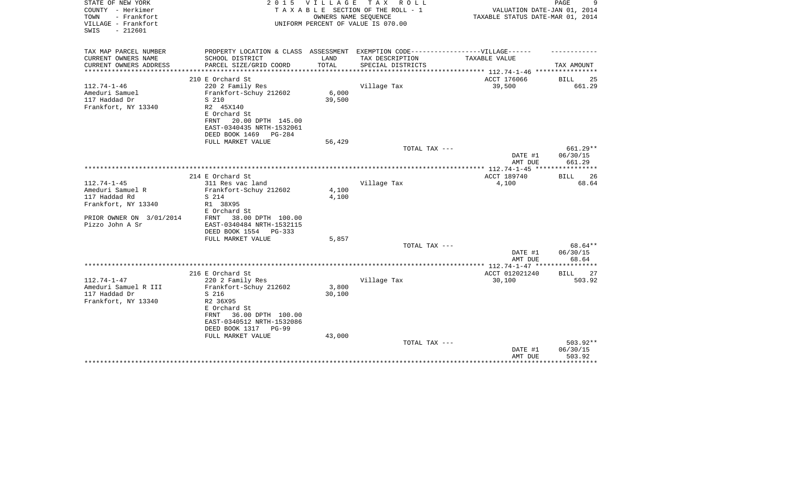| STATE OF NEW YORK<br>COUNTY - Herkimer<br>- Frankfort<br>TOWN<br>VILLAGE - Frankfort |                                                                                                      | 2015 VILLAGE<br>TAX ROLL<br>TAXABLE SECTION OF THE ROLL - 1<br>OWNERS NAME SEQUENCE<br>UNIFORM PERCENT OF VALUE IS 070.00 |                   |                                      | PAGE<br>9<br>VALUATION DATE-JAN 01, 2014<br>TAXABLE STATUS DATE-MAR 01, 2014 |
|--------------------------------------------------------------------------------------|------------------------------------------------------------------------------------------------------|---------------------------------------------------------------------------------------------------------------------------|-------------------|--------------------------------------|------------------------------------------------------------------------------|
| $-212601$<br>SWIS                                                                    |                                                                                                      |                                                                                                                           |                   |                                      |                                                                              |
| TAX MAP PARCEL NUMBER<br>CURRENT OWNERS NAME                                         | PROPERTY LOCATION & CLASS ASSESSMENT EXEMPTION CODE-----------------VILLAGE------<br>SCHOOL DISTRICT | LAND                                                                                                                      | TAX DESCRIPTION   | TAXABLE VALUE                        |                                                                              |
| CURRENT OWNERS ADDRESS                                                               | PARCEL SIZE/GRID COORD                                                                               | TOTAL                                                                                                                     | SPECIAL DISTRICTS |                                      | TAX AMOUNT                                                                   |
|                                                                                      |                                                                                                      |                                                                                                                           |                   | ************ 112.74-1-46 *********** |                                                                              |
| $112.74 - 1 - 46$                                                                    | 210 E Orchard St<br>220 2 Family Res                                                                 |                                                                                                                           | Village Tax       | ACCT 176066<br>39,500                | BILL<br>25<br>661.29                                                         |
| Ameduri Samuel                                                                       | Frankfort-Schuy 212602                                                                               | 6,000                                                                                                                     |                   |                                      |                                                                              |
| 117 Haddad Dr                                                                        | S 210                                                                                                | 39,500                                                                                                                    |                   |                                      |                                                                              |
| Frankfort, NY 13340                                                                  | R2 45X140                                                                                            |                                                                                                                           |                   |                                      |                                                                              |
|                                                                                      | E Orchard St                                                                                         |                                                                                                                           |                   |                                      |                                                                              |
|                                                                                      | 20.00 DPTH 145.00<br>FRNT                                                                            |                                                                                                                           |                   |                                      |                                                                              |
|                                                                                      | EAST-0340435 NRTH-1532061                                                                            |                                                                                                                           |                   |                                      |                                                                              |
|                                                                                      | DEED BOOK 1469<br>$PG-284$<br>FULL MARKET VALUE                                                      | 56,429                                                                                                                    |                   |                                      |                                                                              |
|                                                                                      |                                                                                                      |                                                                                                                           | TOTAL TAX ---     |                                      | 661.29**                                                                     |
|                                                                                      |                                                                                                      |                                                                                                                           |                   | DATE #1                              | 06/30/15                                                                     |
|                                                                                      |                                                                                                      |                                                                                                                           |                   | AMT DUE                              | 661.29                                                                       |
|                                                                                      | 214 E Orchard St                                                                                     |                                                                                                                           |                   | ACCT 189740                          | 26<br>BILL                                                                   |
| $112.74 - 1 - 45$                                                                    | 311 Res vac land                                                                                     |                                                                                                                           | Village Tax       | 4,100                                | 68.64                                                                        |
| Ameduri Samuel R                                                                     | Frankfort-Schuy 212602                                                                               | 4,100                                                                                                                     |                   |                                      |                                                                              |
| 117 Haddad Rd                                                                        | S 214                                                                                                | 4,100                                                                                                                     |                   |                                      |                                                                              |
| Frankfort, NY 13340                                                                  | R1 38X95<br>E Orchard St                                                                             |                                                                                                                           |                   |                                      |                                                                              |
| PRIOR OWNER ON 3/01/2014                                                             | 38.00 DPTH 100.00<br>FRNT                                                                            |                                                                                                                           |                   |                                      |                                                                              |
| Pizzo John A Sr                                                                      | EAST-0340484 NRTH-1532115                                                                            |                                                                                                                           |                   |                                      |                                                                              |
|                                                                                      | DEED BOOK 1554<br>PG-333<br>FULL MARKET VALUE                                                        |                                                                                                                           |                   |                                      |                                                                              |
|                                                                                      |                                                                                                      | 5,857                                                                                                                     | TOTAL TAX ---     |                                      | 68.64**                                                                      |
|                                                                                      |                                                                                                      |                                                                                                                           |                   | DATE #1                              | 06/30/15                                                                     |
|                                                                                      |                                                                                                      |                                                                                                                           |                   | AMT DUE                              | 68.64                                                                        |
|                                                                                      | 216 E Orchard St                                                                                     |                                                                                                                           |                   | ACCT 012021240                       |                                                                              |
| $112.74 - 1 - 47$                                                                    | 220 2 Family Res                                                                                     |                                                                                                                           | Village Tax       | 30,100                               | BILL<br>27<br>503.92                                                         |
| Ameduri Samuel R III                                                                 | Frankfort-Schuy 212602                                                                               | 3,800                                                                                                                     |                   |                                      |                                                                              |
| 117 Haddad Dr                                                                        | S 216                                                                                                | 30,100                                                                                                                    |                   |                                      |                                                                              |
| Frankfort, NY 13340                                                                  | R2 36X95                                                                                             |                                                                                                                           |                   |                                      |                                                                              |
|                                                                                      | E Orchard St                                                                                         |                                                                                                                           |                   |                                      |                                                                              |
|                                                                                      | 36.00 DPTH 100.00<br>FRNT                                                                            |                                                                                                                           |                   |                                      |                                                                              |
|                                                                                      | EAST-0340512 NRTH-1532086                                                                            |                                                                                                                           |                   |                                      |                                                                              |
|                                                                                      | DEED BOOK 1317<br>$PG-99$<br>FULL MARKET VALUE                                                       | 43,000                                                                                                                    |                   |                                      |                                                                              |
|                                                                                      |                                                                                                      |                                                                                                                           | TOTAL TAX ---     |                                      | 503.92**                                                                     |
|                                                                                      |                                                                                                      |                                                                                                                           |                   | DATE #1                              | 06/30/15                                                                     |
|                                                                                      |                                                                                                      |                                                                                                                           |                   | AMT DUE                              | 503.92                                                                       |
|                                                                                      |                                                                                                      |                                                                                                                           |                   |                                      | * * * * * * * *                                                              |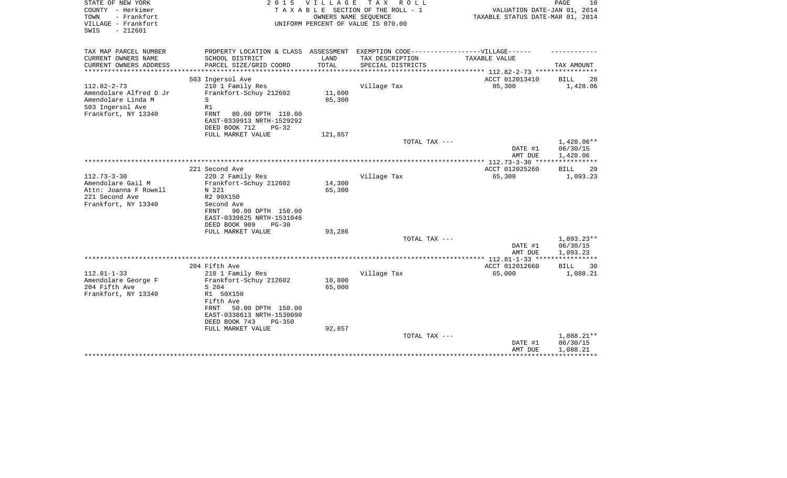| STATE OF NEW YORK<br>COUNTY - Herkimer<br>- Frankfort<br>TOWN<br>VILLAGE - Frankfort<br>SWIS<br>$-212601$    | 2 0 1 5                                                                                                                                                                                   | <b>VILLAGE</b>             | T A X<br>ROLL<br>TAXABLE SECTION OF THE ROLL - 1<br>OWNERS NAME SEQUENCE<br>UNIFORM PERCENT OF VALUE IS 070.00 | VALUATION DATE-JAN 01, 2014<br>TAXABLE STATUS DATE-MAR 01, 2014 | PAGE<br>10                         |
|--------------------------------------------------------------------------------------------------------------|-------------------------------------------------------------------------------------------------------------------------------------------------------------------------------------------|----------------------------|----------------------------------------------------------------------------------------------------------------|-----------------------------------------------------------------|------------------------------------|
| TAX MAP PARCEL NUMBER<br>CURRENT OWNERS NAME                                                                 | SCHOOL DISTRICT                                                                                                                                                                           | LAND                       | PROPERTY LOCATION & CLASS ASSESSMENT EXEMPTION CODE-----------------VILLAGE------<br>TAX DESCRIPTION           | TAXABLE VALUE                                                   |                                    |
| CURRENT OWNERS ADDRESS                                                                                       | PARCEL SIZE/GRID COORD                                                                                                                                                                    | TOTAL                      | SPECIAL DISTRICTS                                                                                              |                                                                 | TAX AMOUNT                         |
| ******************                                                                                           |                                                                                                                                                                                           |                            | ***************************                                                                                    | **************** 112.82-2-73 ***********                        |                                    |
|                                                                                                              | 503 Ingersol Ave                                                                                                                                                                          |                            |                                                                                                                | ACCT 012013410                                                  | <b>BILL</b><br>28                  |
| $112.82 - 2 - 73$<br>Amendolare Alfred D Jr<br>Amendolare Linda M<br>503 Ingersol Ave<br>Frankfort, NY 13340 | 210 1 Family Res<br>Frankfort-Schuy 212602<br>S<br>R1<br>FRNT<br>80.00 DPTH 110.00<br>EAST-0339913 NRTH-1529292                                                                           | 11,600<br>85,300           | Village Tax                                                                                                    | 85,300                                                          | 1,428.06                           |
|                                                                                                              | DEED BOOK 712<br>$PG-32$                                                                                                                                                                  |                            |                                                                                                                |                                                                 |                                    |
|                                                                                                              | FULL MARKET VALUE                                                                                                                                                                         | 121,857                    | TOTAL TAX ---                                                                                                  | DATE #1                                                         | 1,428.06**<br>06/30/15             |
|                                                                                                              |                                                                                                                                                                                           |                            |                                                                                                                | AMT DUE                                                         | 1,428.06<br>******                 |
|                                                                                                              | 221 Second Ave                                                                                                                                                                            |                            |                                                                                                                | ACCT 012025260                                                  | 29<br>BILL                         |
| $112.73 - 3 - 30$<br>Amendolare Gail M<br>Attn: Joanna F Rowell<br>221 Second Ave<br>Frankfort, NY 13340     | 220 2 Family Res<br>Frankfort-Schuy 212602<br>N 221<br>R2 90X150<br>Second Ave<br>FRNT<br>90.00 DPTH 150.00<br>EAST-0339625 NRTH-1531046<br>DEED BOOK 909<br>$PG-30$                      | 14,300<br>65,300           | Village Tax                                                                                                    | 65,300                                                          | 1,093.23                           |
|                                                                                                              | FULL MARKET VALUE                                                                                                                                                                         | 93,286                     | TOTAL TAX ---                                                                                                  |                                                                 | $1,093.23**$                       |
|                                                                                                              |                                                                                                                                                                                           |                            |                                                                                                                | DATE #1<br>AMT DUE                                              | 06/30/15<br>1,093.23               |
|                                                                                                              |                                                                                                                                                                                           |                            |                                                                                                                |                                                                 |                                    |
| $112.81 - 1 - 33$                                                                                            | 204 Fifth Ave                                                                                                                                                                             |                            |                                                                                                                | ACCT 012012660<br>65,000                                        | <b>BILL</b><br>30<br>1,088.21      |
| Amendolare George F<br>204 Fifth Ave<br>Frankfort, NY 13340                                                  | 210 1 Family Res<br>Frankfort-Schuy 212602<br>S 204<br>R1 50X150<br>Fifth Ave<br>50.00 DPTH 150.00<br>FRNT<br>EAST-0338613 NRTH-1530090<br>DEED BOOK 743<br>$PG-350$<br>FULL MARKET VALUE | 10,800<br>65,000<br>92,857 | Village Tax                                                                                                    |                                                                 |                                    |
|                                                                                                              |                                                                                                                                                                                           |                            | TOTAL TAX ---                                                                                                  | DATE #1<br>AMT DUE                                              | 1,088.21**<br>06/30/15<br>1,088.21 |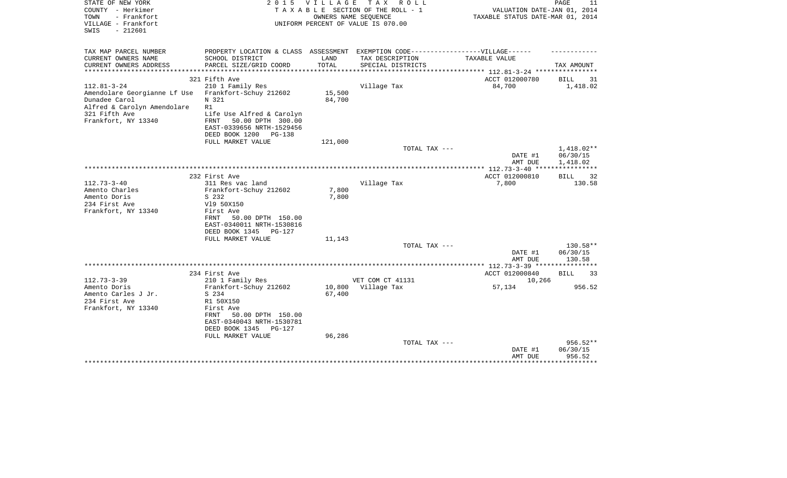| STATE OF NEW YORK<br>COUNTY - Herkimer<br>TOWN<br>- Frankfort<br>VILLAGE - Frankfort<br>$-212601$<br>SWIS                                 | 2 0 1 5                                                                                                                                          | VILLAGE          | T A X<br>R O L L<br>TAXABLE SECTION OF THE ROLL - 1<br>OWNERS NAME SEQUENCE<br>UNIFORM PERCENT OF VALUE IS 070.00 | VALUATION DATE-JAN 01, 2014<br>TAXABLE STATUS DATE-MAR 01, 2014 | PAGE<br>11                     |
|-------------------------------------------------------------------------------------------------------------------------------------------|--------------------------------------------------------------------------------------------------------------------------------------------------|------------------|-------------------------------------------------------------------------------------------------------------------|-----------------------------------------------------------------|--------------------------------|
| TAX MAP PARCEL NUMBER                                                                                                                     | PROPERTY LOCATION & CLASS ASSESSMENT EXEMPTION CODE-----------------VILLAGE------                                                                |                  |                                                                                                                   |                                                                 |                                |
| CURRENT OWNERS NAME<br>CURRENT OWNERS ADDRESS<br>**************                                                                           | SCHOOL DISTRICT<br>PARCEL SIZE/GRID COORD                                                                                                        | LAND<br>TOTAL    | TAX DESCRIPTION<br>SPECIAL DISTRICTS                                                                              | TAXABLE VALUE<br>************ 112.81-3-24 *********             | TAX AMOUNT                     |
|                                                                                                                                           | 321 Fifth Ave                                                                                                                                    |                  |                                                                                                                   | ACCT 012000780                                                  | BILL<br>31                     |
| $112.81 - 3 - 24$<br>Amendolare Georgianne Lf Use<br>Dunadee Carol<br>Alfred & Carolyn Amendolare<br>321 Fifth Ave<br>Frankfort, NY 13340 | 210 1 Family Res<br>Frankfort-Schuy 212602<br>N 321<br>R1<br>Life Use Alfred & Carolyn<br>50.00 DPTH 300.00<br>FRNT<br>EAST-0339656 NRTH-1529456 | 15,500<br>84,700 | Village Tax                                                                                                       | 84,700                                                          | 1,418.02                       |
|                                                                                                                                           | DEED BOOK 1200<br>PG-138<br>FULL MARKET VALUE                                                                                                    | 121,000          |                                                                                                                   |                                                                 |                                |
|                                                                                                                                           |                                                                                                                                                  |                  | TOTAL TAX ---                                                                                                     |                                                                 | 1,418.02**                     |
|                                                                                                                                           |                                                                                                                                                  |                  |                                                                                                                   | DATE #1<br>AMT DUE                                              | 06/30/15<br>1,418.02           |
|                                                                                                                                           |                                                                                                                                                  |                  |                                                                                                                   | *********** 112.73-3-40 *****************                       |                                |
| $112.73 - 3 - 40$<br>Amento Charles                                                                                                       | 232 First Ave<br>311 Res vac land<br>Frankfort-Schuy 212602                                                                                      | 7,800            | Village Tax                                                                                                       | ACCT 012000810<br>7,800                                         | <b>BILL</b><br>32<br>130.58    |
| Amento Doris<br>234 First Ave                                                                                                             | S 232<br>V19 50X150                                                                                                                              | 7,800            |                                                                                                                   |                                                                 |                                |
| Frankfort, NY 13340                                                                                                                       | First Ave<br>50.00 DPTH 150.00<br>FRNT<br>EAST-0340011 NRTH-1530816<br>DEED BOOK 1345<br>PG-127                                                  |                  |                                                                                                                   |                                                                 |                                |
|                                                                                                                                           | FULL MARKET VALUE                                                                                                                                | 11,143           |                                                                                                                   |                                                                 |                                |
|                                                                                                                                           |                                                                                                                                                  |                  | TOTAL TAX ---                                                                                                     | DATE #1<br>AMT DUE                                              | 130.58**<br>06/30/15<br>130.58 |
|                                                                                                                                           |                                                                                                                                                  |                  |                                                                                                                   | *********** 112.73-3-39 ****************                        |                                |
|                                                                                                                                           | 234 First Ave                                                                                                                                    |                  |                                                                                                                   | ACCT 012000840                                                  | <b>BILL</b><br>33              |
| $112.73 - 3 - 39$                                                                                                                         | 210 1 Family Res                                                                                                                                 |                  | VET COM CT 41131                                                                                                  | 10,266                                                          |                                |
| Amento Doris<br>Amento Carles J Jr.                                                                                                       | Frankfort-Schuy 212602<br>S 234                                                                                                                  | 10,800<br>67,400 | Village Tax                                                                                                       | 57,134                                                          | 956.52                         |
| 234 First Ave                                                                                                                             | R1 50X150                                                                                                                                        |                  |                                                                                                                   |                                                                 |                                |
| Frankfort, NY 13340                                                                                                                       | First Ave<br>FRNT<br>50.00 DPTH 150.00<br>EAST-0340043 NRTH-1530781<br>DEED BOOK 1345<br>$PG-127$                                                |                  |                                                                                                                   |                                                                 |                                |
|                                                                                                                                           | FULL MARKET VALUE                                                                                                                                | 96,286           | TOTAL TAX ---                                                                                                     |                                                                 | $956.52**$                     |
|                                                                                                                                           |                                                                                                                                                  |                  |                                                                                                                   | DATE #1<br>AMT DUE                                              | 06/30/15<br>956.52             |
|                                                                                                                                           |                                                                                                                                                  |                  |                                                                                                                   |                                                                 |                                |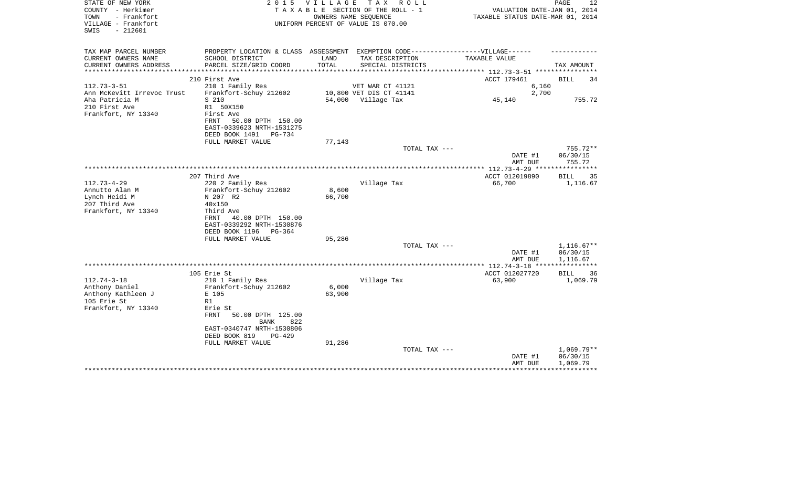| STATE OF NEW YORK<br>COUNTY - Herkimer<br>- Frankfort<br>TOWN | 2 0 1 5                                               | V I L L A G E   | TAX ROLL<br>TAXABLE SECTION OF THE ROLL - 1<br>OWNERS NAME SEQUENCE              | VALUATION DATE-JAN 01, 2014<br>TAXABLE STATUS DATE-MAR 01, 2014 | $\mathop{\mathtt{PAGE}}$<br>12       |
|---------------------------------------------------------------|-------------------------------------------------------|-----------------|----------------------------------------------------------------------------------|-----------------------------------------------------------------|--------------------------------------|
| VILLAGE - Frankfort<br>$-212601$<br>SWIS                      |                                                       |                 | UNIFORM PERCENT OF VALUE IS 070.00                                               |                                                                 |                                      |
| TAX MAP PARCEL NUMBER                                         |                                                       |                 | PROPERTY LOCATION & CLASS ASSESSMENT EXEMPTION CODE----------------VILLAGE------ |                                                                 |                                      |
| CURRENT OWNERS NAME                                           | SCHOOL DISTRICT                                       | LAND            | TAX DESCRIPTION                                                                  | TAXABLE VALUE                                                   |                                      |
| CURRENT OWNERS ADDRESS                                        | PARCEL SIZE/GRID COORD                                | TOTAL           | SPECIAL DISTRICTS                                                                |                                                                 | TAX AMOUNT                           |
| **********************                                        | 210 First Ave                                         |                 |                                                                                  | ACCT 179461                                                     | <b>BILL</b><br>34                    |
| $112.73 - 3 - 51$                                             | 210 1 Family Res                                      |                 | VET WAR CT 41121                                                                 | 6,160                                                           |                                      |
| Ann McKevitt Irrevoc Trust                                    | Frankfort-Schuy 212602                                |                 | 10,800 VET DIS CT 41141                                                          | 2,700                                                           |                                      |
| Aha Patricia M                                                | S 210                                                 |                 | 54,000 Village Tax                                                               | 45,140                                                          | 755.72                               |
| 210 First Ave                                                 | R1 50X150                                             |                 |                                                                                  |                                                                 |                                      |
| Frankfort, NY 13340                                           | First Ave                                             |                 |                                                                                  |                                                                 |                                      |
|                                                               | 50.00 DPTH 150.00<br>FRNT                             |                 |                                                                                  |                                                                 |                                      |
|                                                               | EAST-0339623 NRTH-1531275<br>DEED BOOK 1491<br>PG-734 |                 |                                                                                  |                                                                 |                                      |
|                                                               | FULL MARKET VALUE                                     | 77,143          |                                                                                  |                                                                 |                                      |
|                                                               |                                                       |                 | TOTAL TAX ---                                                                    |                                                                 | 755.72**                             |
|                                                               |                                                       |                 |                                                                                  | DATE #1<br>AMT DUE                                              | 06/30/15<br>755.72                   |
|                                                               |                                                       |                 |                                                                                  |                                                                 |                                      |
|                                                               | 207 Third Ave                                         |                 |                                                                                  | ACCT 012019890                                                  | <b>BILL</b><br>35                    |
| $112.73 - 4 - 29$                                             | 220 2 Family Res                                      |                 | Village Tax                                                                      | 66,700                                                          | 1,116.67                             |
| Annutto Alan M<br>Lynch Heidi M                               | Frankfort-Schuy 212602<br>N 207 R2                    | 8,600<br>66,700 |                                                                                  |                                                                 |                                      |
| 207 Third Ave                                                 | 40x150                                                |                 |                                                                                  |                                                                 |                                      |
| Frankfort, NY 13340                                           | Third Ave                                             |                 |                                                                                  |                                                                 |                                      |
|                                                               | FRNT<br>40.00 DPTH 150.00                             |                 |                                                                                  |                                                                 |                                      |
|                                                               | EAST-0339292 NRTH-1530876                             |                 |                                                                                  |                                                                 |                                      |
|                                                               | DEED BOOK 1196<br>PG-364                              |                 |                                                                                  |                                                                 |                                      |
|                                                               | FULL MARKET VALUE                                     | 95,286          | TOTAL TAX ---                                                                    |                                                                 | $1,116.67**$                         |
|                                                               |                                                       |                 |                                                                                  | DATE #1                                                         | 06/30/15                             |
|                                                               |                                                       |                 |                                                                                  | AMT DUE                                                         | 1,116.67                             |
|                                                               |                                                       |                 |                                                                                  |                                                                 |                                      |
|                                                               | 105 Erie St                                           |                 |                                                                                  | ACCT 012027720                                                  | <b>BILL</b><br>36                    |
| $112.74 - 3 - 18$                                             | 210 1 Family Res                                      |                 | Village Tax                                                                      | 63,900                                                          | 1,069.79                             |
| Anthony Daniel                                                | Frankfort-Schuy 212602                                | 6,000           |                                                                                  |                                                                 |                                      |
| Anthony Kathleen J<br>105 Erie St                             | E 105<br>R1                                           | 63,900          |                                                                                  |                                                                 |                                      |
| Frankfort, NY 13340                                           | Erie St                                               |                 |                                                                                  |                                                                 |                                      |
|                                                               | FRNT<br>50.00 DPTH 125.00<br>822<br><b>BANK</b>       |                 |                                                                                  |                                                                 |                                      |
|                                                               | EAST-0340747 NRTH-1530806                             |                 |                                                                                  |                                                                 |                                      |
|                                                               | DEED BOOK 819<br>$PG-429$                             |                 |                                                                                  |                                                                 |                                      |
|                                                               | FULL MARKET VALUE                                     | 91,286          |                                                                                  |                                                                 |                                      |
|                                                               |                                                       |                 | TOTAL TAX ---                                                                    | DATE #1<br>AMT DUE                                              | $1,069.79**$<br>06/30/15<br>1,069.79 |
|                                                               |                                                       |                 |                                                                                  |                                                                 |                                      |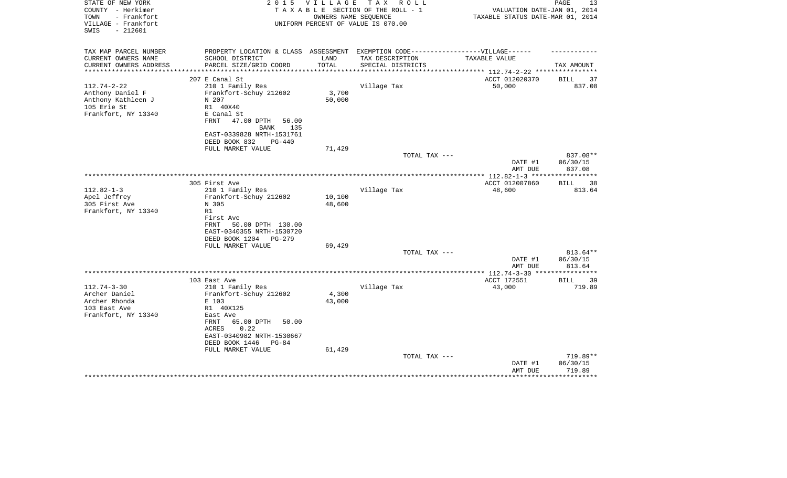| STATE OF NEW YORK<br>COUNTY - Herkimer<br>TOWN<br>- Frankfort<br>VILLAGE - Frankfort<br>SWIS<br>$-212601$ | 2 0 1 5                                                                          | <b>VILLAGE</b> | TAX ROLL<br>TAXABLE SECTION OF THE ROLL - 1<br>OWNERS NAME SEQUENCE<br>UNIFORM PERCENT OF VALUE IS 070.00 | VALUATION DATE-JAN 01, 2014<br>TAXABLE STATUS DATE-MAR 01, 2014 | PAGE<br>13 |
|-----------------------------------------------------------------------------------------------------------|----------------------------------------------------------------------------------|----------------|-----------------------------------------------------------------------------------------------------------|-----------------------------------------------------------------|------------|
|                                                                                                           |                                                                                  |                |                                                                                                           |                                                                 |            |
| TAX MAP PARCEL NUMBER                                                                                     | PROPERTY LOCATION & CLASS ASSESSMENT EXEMPTION CODE----------------VILLAGE------ |                |                                                                                                           |                                                                 |            |
| CURRENT OWNERS NAME<br>CURRENT OWNERS ADDRESS                                                             | SCHOOL DISTRICT<br>PARCEL SIZE/GRID COORD                                        | LAND<br>TOTAL  | TAX DESCRIPTION<br>SPECIAL DISTRICTS                                                                      | TAXABLE VALUE                                                   | TAX AMOUNT |
| **********************                                                                                    |                                                                                  |                |                                                                                                           |                                                                 |            |
|                                                                                                           | 207 E Canal St                                                                   |                |                                                                                                           | ACCT 012020370                                                  | 37<br>BILL |
| $112.74 - 2 - 22$                                                                                         | 210 1 Family Res                                                                 |                | Village Tax                                                                                               | 50,000                                                          | 837.08     |
| Anthony Daniel F                                                                                          | Frankfort-Schuy 212602                                                           | 3,700          |                                                                                                           |                                                                 |            |
| Anthony Kathleen J                                                                                        | N 207                                                                            | 50,000         |                                                                                                           |                                                                 |            |
| 105 Erie St                                                                                               | R1 40X40                                                                         |                |                                                                                                           |                                                                 |            |
| Frankfort, NY 13340                                                                                       | E Canal St                                                                       |                |                                                                                                           |                                                                 |            |
|                                                                                                           | 47.00 DPTH<br>FRNT<br>56.00<br>135<br><b>BANK</b>                                |                |                                                                                                           |                                                                 |            |
|                                                                                                           | EAST-0339828 NRTH-1531761                                                        |                |                                                                                                           |                                                                 |            |
|                                                                                                           | DEED BOOK 832<br>$PG-440$                                                        |                |                                                                                                           |                                                                 |            |
|                                                                                                           | FULL MARKET VALUE                                                                | 71,429         |                                                                                                           |                                                                 |            |
|                                                                                                           |                                                                                  |                | TOTAL TAX ---                                                                                             |                                                                 | 837.08**   |
|                                                                                                           |                                                                                  |                |                                                                                                           | DATE #1                                                         | 06/30/15   |
|                                                                                                           |                                                                                  |                |                                                                                                           | AMT DUE                                                         | 837.08     |
|                                                                                                           | 305 First Ave                                                                    |                |                                                                                                           | ACCT 012007860                                                  | 38<br>BILL |
| $112.82 - 1 - 3$                                                                                          | 210 1 Family Res                                                                 |                | Village Tax                                                                                               | 48,600                                                          | 813.64     |
| Apel Jeffrey                                                                                              | Frankfort-Schuy 212602                                                           | 10,100         |                                                                                                           |                                                                 |            |
| 305 First Ave                                                                                             | N 305                                                                            | 48,600         |                                                                                                           |                                                                 |            |
| Frankfort, NY 13340                                                                                       | R1                                                                               |                |                                                                                                           |                                                                 |            |
|                                                                                                           | First Ave                                                                        |                |                                                                                                           |                                                                 |            |
|                                                                                                           | 50.00 DPTH 130.00<br>FRNT                                                        |                |                                                                                                           |                                                                 |            |
|                                                                                                           | EAST-0340355 NRTH-1530720                                                        |                |                                                                                                           |                                                                 |            |
|                                                                                                           | DEED BOOK 1204<br>$PG-279$<br>FULL MARKET VALUE                                  | 69,429         |                                                                                                           |                                                                 |            |
|                                                                                                           |                                                                                  |                | TOTAL TAX ---                                                                                             |                                                                 | 813.64**   |
|                                                                                                           |                                                                                  |                |                                                                                                           | DATE #1                                                         | 06/30/15   |
|                                                                                                           |                                                                                  |                |                                                                                                           | AMT DUE                                                         | 813.64     |
|                                                                                                           |                                                                                  |                | *********************                                                                                     | *** $112.74 - 3 - 30$ ***                                       |            |
|                                                                                                           | 103 East Ave                                                                     |                |                                                                                                           | ACCT 172551                                                     | 39<br>BILL |
| $112.74 - 3 - 30$<br>Archer Daniel                                                                        | 210 1 Family Res                                                                 | 4,300          | Village Tax                                                                                               | 43,000                                                          | 719.89     |
| Archer Rhonda                                                                                             | Frankfort-Schuy 212602<br>E 103                                                  | 43,000         |                                                                                                           |                                                                 |            |
| 103 East Ave                                                                                              | R1 40X125                                                                        |                |                                                                                                           |                                                                 |            |
| Frankfort, NY 13340                                                                                       | East Ave                                                                         |                |                                                                                                           |                                                                 |            |
|                                                                                                           | FRNT<br>65.00 DPTH<br>50.00                                                      |                |                                                                                                           |                                                                 |            |
|                                                                                                           | ACRES<br>0.22                                                                    |                |                                                                                                           |                                                                 |            |
|                                                                                                           | EAST-0340982 NRTH-1530667                                                        |                |                                                                                                           |                                                                 |            |
|                                                                                                           | DEED BOOK 1446<br>$PG-84$                                                        |                |                                                                                                           |                                                                 |            |
|                                                                                                           | FULL MARKET VALUE                                                                | 61,429         | TOTAL TAX ---                                                                                             |                                                                 | 719.89**   |
|                                                                                                           |                                                                                  |                |                                                                                                           | DATE #1                                                         | 06/30/15   |
|                                                                                                           |                                                                                  |                |                                                                                                           | AMT DUE                                                         | 719.89     |
|                                                                                                           |                                                                                  |                |                                                                                                           |                                                                 |            |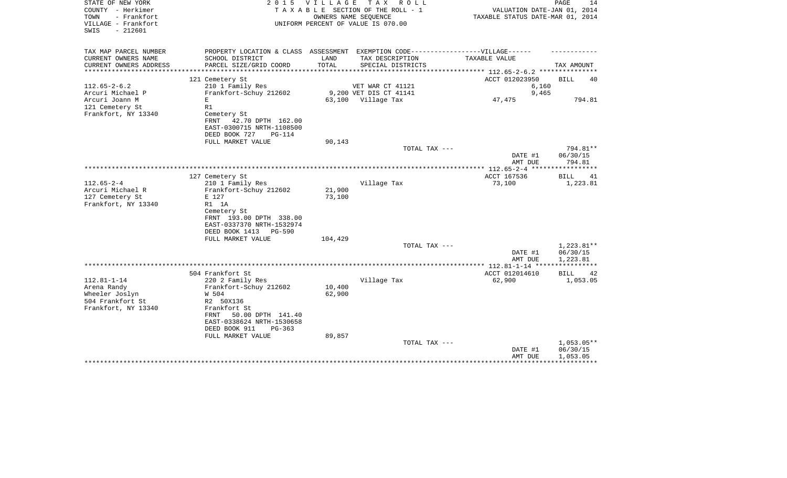| STATE OF NEW YORK<br>COUNTY - Herkimer<br>- Frankfort<br>TOWN<br>VILLAGE - Frankfort<br>SWIS<br>$-212601$ | 2 0 1 5                                                                                                  | <b>VILLAGE</b>   | TAX ROLL<br>TAXABLE SECTION OF THE ROLL - 1<br>OWNERS NAME SEOUENCE<br>UNIFORM PERCENT OF VALUE IS 070.00 | VALUATION DATE-JAN 01, 2014<br>TAXABLE STATUS DATE-MAR 01, 2014 | PAGE<br>14                           |
|-----------------------------------------------------------------------------------------------------------|----------------------------------------------------------------------------------------------------------|------------------|-----------------------------------------------------------------------------------------------------------|-----------------------------------------------------------------|--------------------------------------|
| TAX MAP PARCEL NUMBER<br>CURRENT OWNERS NAME                                                              | PROPERTY LOCATION & CLASS ASSESSMENT EXEMPTION CODE-----------------VILLAGE------<br>SCHOOL DISTRICT     | LAND             | TAX DESCRIPTION                                                                                           | TAXABLE VALUE                                                   |                                      |
| CURRENT OWNERS ADDRESS                                                                                    | PARCEL SIZE/GRID COORD                                                                                   | TOTAL            | SPECIAL DISTRICTS                                                                                         |                                                                 | TAX AMOUNT                           |
|                                                                                                           |                                                                                                          |                  |                                                                                                           | *********** 112.65-2-6.2 **********                             |                                      |
|                                                                                                           | 121 Cemetery St                                                                                          |                  |                                                                                                           | ACCT 012023950                                                  | <b>BILL</b><br>40                    |
| $112.65 - 2 - 6.2$<br>Arcuri Michael P                                                                    | 210 1 Family Res<br>Frankfort-Schuy 212602                                                               |                  | VET WAR CT 41121<br>9,200 VET DIS CT 41141                                                                | 6,160<br>9,465                                                  |                                      |
| Arcuri Joann M                                                                                            | E.                                                                                                       |                  | 63,100 Village Tax                                                                                        | 47,475                                                          | 794.81                               |
| 121 Cemetery St<br>Frankfort, NY 13340                                                                    | R1<br>Cemetery St<br>FRNT<br>42.70 DPTH 162.00<br>EAST-0300715 NRTH-1108500<br>DEED BOOK 727<br>$PG-114$ |                  |                                                                                                           |                                                                 |                                      |
|                                                                                                           | FULL MARKET VALUE                                                                                        | 90,143           |                                                                                                           |                                                                 |                                      |
|                                                                                                           |                                                                                                          |                  | TOTAL TAX ---                                                                                             |                                                                 | 794.81**                             |
|                                                                                                           |                                                                                                          |                  |                                                                                                           | DATE #1<br>AMT DUE                                              | 06/30/15<br>794.81                   |
|                                                                                                           |                                                                                                          |                  |                                                                                                           |                                                                 |                                      |
| $112.65 - 2 - 4$<br>Arcuri Michael R<br>127 Cemetery St                                                   | 127 Cemetery St<br>210 1 Family Res<br>Frankfort-Schuy 212602<br>E 127                                   | 21,900<br>73,100 | Village Tax                                                                                               | ACCT 167536<br>73,100                                           | <b>BILL</b><br>41<br>1,223.81        |
| Frankfort, NY 13340                                                                                       | R1 1A<br>Cemetery St<br>FRNT 193.00 DPTH 338.00<br>EAST-0337370 NRTH-1532974<br>DEED BOOK 1413<br>PG-590 |                  |                                                                                                           |                                                                 |                                      |
|                                                                                                           | FULL MARKET VALUE                                                                                        | 104,429          | TOTAL TAX ---                                                                                             |                                                                 | 1,223.81**                           |
|                                                                                                           |                                                                                                          |                  |                                                                                                           | DATE #1<br>AMT DUE                                              | 06/30/15<br>1,223.81                 |
|                                                                                                           |                                                                                                          |                  |                                                                                                           | *************** 112.81-1-14 *****                               |                                      |
|                                                                                                           | 504 Frankfort St                                                                                         |                  |                                                                                                           | ACCT 012014610                                                  | <b>BILL</b><br>42                    |
| $112.81 - 1 - 14$<br>Arena Randy<br>Wheeler Joslyn<br>504 Frankfort St                                    | 220 2 Family Res<br>Frankfort-Schuy 212602<br>W 504<br>R2 50X136                                         | 10,400<br>62,900 | Village Tax                                                                                               | 62,900                                                          | 1,053.05                             |
| Frankfort, NY 13340                                                                                       | Frankfort St<br>50.00 DPTH 141.40<br>FRNT<br>EAST-0338624 NRTH-1530658<br>DEED BOOK 911<br>$PG-363$      |                  |                                                                                                           |                                                                 |                                      |
|                                                                                                           | FULL MARKET VALUE                                                                                        | 89,857           |                                                                                                           |                                                                 |                                      |
|                                                                                                           |                                                                                                          |                  | TOTAL TAX ---                                                                                             | DATE #1<br>AMT DUE                                              | $1,053.05**$<br>06/30/15<br>1,053.05 |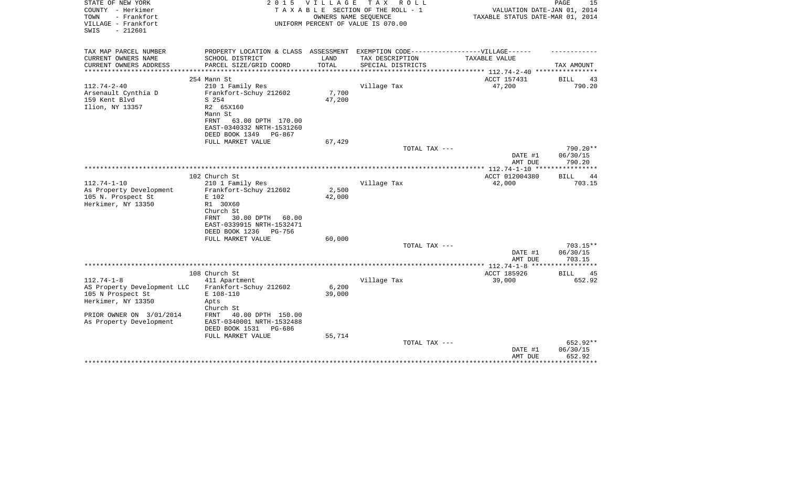| STATE OF NEW YORK<br>COUNTY - Herkimer<br>- Frankfort<br>TOWN<br>VILLAGE - Frankfort<br>$-212601$<br>SWIS | 2 0 1 5                                       | V I L L A G E   | T A X<br>R O L L<br>TAXABLE SECTION OF THE ROLL - 1<br>OWNERS NAME SEQUENCE<br>UNIFORM PERCENT OF VALUE IS 070.00 | VALUATION DATE-JAN 01, 2014<br>TAXABLE STATUS DATE-MAR 01, 2014 | PAGE<br>15                  |
|-----------------------------------------------------------------------------------------------------------|-----------------------------------------------|-----------------|-------------------------------------------------------------------------------------------------------------------|-----------------------------------------------------------------|-----------------------------|
| TAX MAP PARCEL NUMBER                                                                                     | PROPERTY LOCATION & CLASS ASSESSMENT          |                 | EXEMPTION CODE------------------VILLAGE------                                                                     |                                                                 |                             |
| CURRENT OWNERS NAME<br>CURRENT OWNERS ADDRESS                                                             | SCHOOL DISTRICT<br>PARCEL SIZE/GRID COORD     | LAND<br>TOTAL   | TAX DESCRIPTION<br>SPECIAL DISTRICTS                                                                              | TAXABLE VALUE                                                   | TAX AMOUNT                  |
| ****************                                                                                          |                                               |                 |                                                                                                                   |                                                                 |                             |
|                                                                                                           | 254 Mann St                                   |                 |                                                                                                                   | ACCT 157431                                                     | BILL<br>43                  |
| $112.74 - 2 - 40$                                                                                         | 210 1 Family Res                              |                 | Village Tax                                                                                                       | 47,200                                                          | 790.20                      |
| Arsenault Cynthia D<br>159 Kent Blvd                                                                      | Frankfort-Schuy 212602<br>S 254               | 7,700<br>47,200 |                                                                                                                   |                                                                 |                             |
| Ilion, NY 13357                                                                                           | R2 65X160                                     |                 |                                                                                                                   |                                                                 |                             |
|                                                                                                           | Mann St                                       |                 |                                                                                                                   |                                                                 |                             |
|                                                                                                           | 63.00 DPTH 170.00<br>FRNT                     |                 |                                                                                                                   |                                                                 |                             |
|                                                                                                           | EAST-0340332 NRTH-1531260                     |                 |                                                                                                                   |                                                                 |                             |
|                                                                                                           | DEED BOOK 1349<br>PG-867                      |                 |                                                                                                                   |                                                                 |                             |
|                                                                                                           | FULL MARKET VALUE                             | 67,429          | TOTAL TAX ---                                                                                                     |                                                                 | 790.20**                    |
|                                                                                                           |                                               |                 |                                                                                                                   | DATE #1                                                         | 06/30/15                    |
|                                                                                                           |                                               |                 |                                                                                                                   | AMT DUE                                                         | 790.20                      |
|                                                                                                           |                                               |                 |                                                                                                                   |                                                                 |                             |
|                                                                                                           | 102 Church St                                 |                 |                                                                                                                   | ACCT 012004380                                                  | <b>BILL</b><br>44           |
| $112.74 - 1 - 10$<br>As Property Development                                                              | 210 1 Family Res<br>Frankfort-Schuy 212602    | 2,500           | Village Tax                                                                                                       | 42,000                                                          | 703.15                      |
| 105 N. Prospect St                                                                                        | E 102                                         | 42,000          |                                                                                                                   |                                                                 |                             |
| Herkimer, NY 13350                                                                                        | R1 30X60                                      |                 |                                                                                                                   |                                                                 |                             |
|                                                                                                           | Church St                                     |                 |                                                                                                                   |                                                                 |                             |
|                                                                                                           | 30.00 DPTH<br>FRNT<br>60.00                   |                 |                                                                                                                   |                                                                 |                             |
|                                                                                                           | EAST-0339915 NRTH-1532471                     |                 |                                                                                                                   |                                                                 |                             |
|                                                                                                           | DEED BOOK 1236<br>PG-756<br>FULL MARKET VALUE | 60,000          |                                                                                                                   |                                                                 |                             |
|                                                                                                           |                                               |                 | TOTAL TAX ---                                                                                                     |                                                                 | $703.15**$                  |
|                                                                                                           |                                               |                 |                                                                                                                   | DATE #1                                                         | 06/30/15                    |
|                                                                                                           |                                               |                 |                                                                                                                   | AMT DUE                                                         | 703.15                      |
|                                                                                                           |                                               |                 |                                                                                                                   | ***************** 112.74-1-8 ******************                 |                             |
| $112.74 - 1 - 8$                                                                                          | 108 Church St<br>411 Apartment                |                 | Village Tax                                                                                                       | ACCT 185926<br>39,000                                           | <b>BILL</b><br>45<br>652.92 |
| AS Property Development LLC                                                                               | Frankfort-Schuy 212602                        | 6,200           |                                                                                                                   |                                                                 |                             |
| 105 N Prospect St                                                                                         | E 108-110                                     | 39,000          |                                                                                                                   |                                                                 |                             |
| Herkimer, NY 13350                                                                                        | Apts                                          |                 |                                                                                                                   |                                                                 |                             |
|                                                                                                           | Church St                                     |                 |                                                                                                                   |                                                                 |                             |
| PRIOR OWNER ON 3/01/2014                                                                                  | 40.00 DPTH 150.00<br>FRNT                     |                 |                                                                                                                   |                                                                 |                             |
| As Property Development                                                                                   | EAST-0340001 NRTH-1532488                     |                 |                                                                                                                   |                                                                 |                             |
|                                                                                                           | DEED BOOK 1531<br>PG-686<br>FULL MARKET VALUE | 55,714          |                                                                                                                   |                                                                 |                             |
|                                                                                                           |                                               |                 | TOTAL TAX ---                                                                                                     |                                                                 | 652.92**                    |
|                                                                                                           |                                               |                 |                                                                                                                   | DATE #1                                                         | 06/30/15                    |
|                                                                                                           |                                               |                 |                                                                                                                   | AMT DUE                                                         | 652.92                      |
|                                                                                                           |                                               |                 |                                                                                                                   |                                                                 |                             |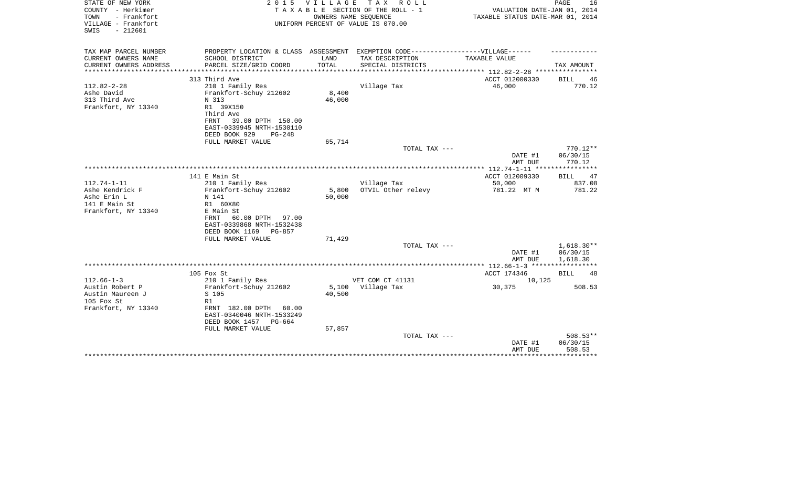| STATE OF NEW YORK<br>COUNTY - Herkimer<br>- Frankfort<br>TOWN<br>VILLAGE - Frankfort<br>$-212601$<br>SWIS | 2 0 1 5                                    | <b>VILLAGE</b>  | T A X<br>R O L L<br>TAXABLE SECTION OF THE ROLL - 1<br>OWNERS NAME SEQUENCE<br>UNIFORM PERCENT OF VALUE IS 070.00 | VALUATION DATE-JAN 01, 2014<br>TAXABLE STATUS DATE-MAR 01, 2014 | PAGE<br>16           |
|-----------------------------------------------------------------------------------------------------------|--------------------------------------------|-----------------|-------------------------------------------------------------------------------------------------------------------|-----------------------------------------------------------------|----------------------|
| TAX MAP PARCEL NUMBER<br>CURRENT OWNERS NAME                                                              | SCHOOL DISTRICT                            | LAND            | PROPERTY LOCATION & CLASS ASSESSMENT EXEMPTION CODE-----------------VILLAGE------<br>TAX DESCRIPTION              | TAXABLE VALUE                                                   |                      |
| CURRENT OWNERS ADDRESS                                                                                    | PARCEL SIZE/GRID COORD                     | TOTAL           | SPECIAL DISTRICTS                                                                                                 |                                                                 | TAX AMOUNT           |
| ********************                                                                                      |                                            |                 |                                                                                                                   |                                                                 |                      |
|                                                                                                           | 313 Third Ave                              |                 |                                                                                                                   | ACCT 012000330                                                  | <b>BILL</b><br>46    |
| $112.82 - 2 - 28$<br>Ashe David                                                                           | 210 1 Family Res<br>Frankfort-Schuy 212602 | 8,400           | Village Tax                                                                                                       | 46,000                                                          | 770.12               |
| 313 Third Ave                                                                                             | N 313                                      | 46,000          |                                                                                                                   |                                                                 |                      |
| Frankfort, NY 13340                                                                                       | R1 39X150                                  |                 |                                                                                                                   |                                                                 |                      |
|                                                                                                           | Third Ave                                  |                 |                                                                                                                   |                                                                 |                      |
|                                                                                                           | 39.00 DPTH 150.00<br>FRNT                  |                 |                                                                                                                   |                                                                 |                      |
|                                                                                                           | EAST-0339945 NRTH-1530110                  |                 |                                                                                                                   |                                                                 |                      |
|                                                                                                           | DEED BOOK 929<br>$PG-248$                  | 65,714          |                                                                                                                   |                                                                 |                      |
|                                                                                                           | FULL MARKET VALUE                          |                 | TOTAL TAX ---                                                                                                     |                                                                 | $770.12**$           |
|                                                                                                           |                                            |                 |                                                                                                                   | DATE #1<br>AMT DUE                                              | 06/30/15<br>770.12   |
|                                                                                                           |                                            |                 |                                                                                                                   |                                                                 |                      |
|                                                                                                           | 141 E Main St                              |                 |                                                                                                                   | ACCT 012009330                                                  | <b>BILL</b><br>47    |
| $112.74 - 1 - 11$                                                                                         | 210 1 Family Res                           |                 | Village Tax                                                                                                       | 50,000                                                          | 837.08               |
| Ashe Kendrick F<br>Ashe Erin L                                                                            | Frankfort-Schuy 212602<br>N 141            | 5,800<br>50,000 | OTVIL Other relevy                                                                                                | 781.22 MT M                                                     | 781.22               |
| 141 E Main St                                                                                             | R1 60X80                                   |                 |                                                                                                                   |                                                                 |                      |
| Frankfort, NY 13340                                                                                       | E Main St                                  |                 |                                                                                                                   |                                                                 |                      |
|                                                                                                           | 60.00 DPTH<br>FRNT<br>97.00                |                 |                                                                                                                   |                                                                 |                      |
|                                                                                                           | EAST-0339868 NRTH-1532438                  |                 |                                                                                                                   |                                                                 |                      |
|                                                                                                           | DEED BOOK 1169<br>PG-857                   |                 |                                                                                                                   |                                                                 |                      |
|                                                                                                           | FULL MARKET VALUE                          | 71,429          | TOTAL TAX ---                                                                                                     |                                                                 | $1,618.30**$         |
|                                                                                                           |                                            |                 |                                                                                                                   | DATE #1<br>AMT DUE                                              | 06/30/15<br>1,618.30 |
|                                                                                                           |                                            |                 |                                                                                                                   |                                                                 |                      |
|                                                                                                           | 105 Fox St                                 |                 |                                                                                                                   | ACCT 174346                                                     | <b>BILL</b><br>48    |
| $112.66 - 1 - 3$                                                                                          | 210 1 Family Res                           |                 | VET COM CT 41131                                                                                                  | 10,125                                                          |                      |
| Austin Robert P                                                                                           | Frankfort-Schuy 212602                     | 5,100           | Village Tax                                                                                                       | 30,375                                                          | 508.53               |
| Austin Maureen J<br>105 Fox St                                                                            | S 105<br>R1                                | 40,500          |                                                                                                                   |                                                                 |                      |
| Frankfort, NY 13340                                                                                       | FRNT 182.00 DPTH<br>60.00                  |                 |                                                                                                                   |                                                                 |                      |
|                                                                                                           | EAST-0340046 NRTH-1533249                  |                 |                                                                                                                   |                                                                 |                      |
|                                                                                                           | DEED BOOK 1457<br>PG-664                   |                 |                                                                                                                   |                                                                 |                      |
|                                                                                                           | FULL MARKET VALUE                          | 57,857          |                                                                                                                   |                                                                 |                      |
|                                                                                                           |                                            |                 | TOTAL TAX ---                                                                                                     |                                                                 | $508.53**$           |
|                                                                                                           |                                            |                 |                                                                                                                   | DATE #1                                                         | 06/30/15<br>508.53   |
|                                                                                                           |                                            |                 |                                                                                                                   | AMT DUE                                                         |                      |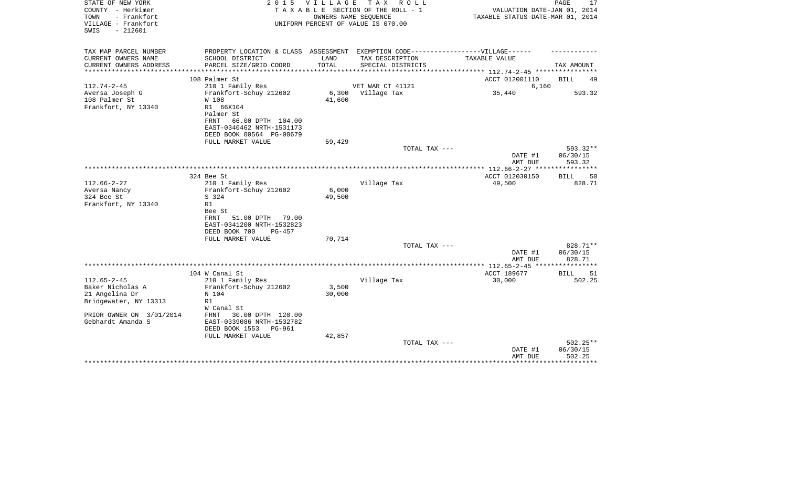| STATE OF NEW YORK<br>COUNTY - Herkimer<br>TOWN<br>- Frankfort<br>VILLAGE - Frankfort<br>$-212601$<br>SWIS | 2 0 1 5                                                                                                      | VILLAGE         | T A X<br>R O L L<br>TAXABLE SECTION OF THE ROLL - 1<br>OWNERS NAME SEQUENCE<br>UNIFORM PERCENT OF VALUE IS 070.00 | VALUATION DATE-JAN 01, 2014<br>TAXABLE STATUS DATE-MAR 01, 2014 | PAGE<br>17                  |
|-----------------------------------------------------------------------------------------------------------|--------------------------------------------------------------------------------------------------------------|-----------------|-------------------------------------------------------------------------------------------------------------------|-----------------------------------------------------------------|-----------------------------|
| TAX MAP PARCEL NUMBER<br>CURRENT OWNERS NAME                                                              | PROPERTY LOCATION & CLASS ASSESSMENT EXEMPTION CODE-----------------VILLAGE------<br>SCHOOL DISTRICT         | LAND            | TAX DESCRIPTION                                                                                                   | TAXABLE VALUE                                                   |                             |
| CURRENT OWNERS ADDRESS                                                                                    | PARCEL SIZE/GRID COORD                                                                                       | TOTAL           | SPECIAL DISTRICTS                                                                                                 |                                                                 | TAX AMOUNT                  |
|                                                                                                           |                                                                                                              |                 |                                                                                                                   | *********** 112.74-2-45 **********                              |                             |
|                                                                                                           | 108 Palmer St                                                                                                |                 |                                                                                                                   | ACCT 012001110                                                  | BILL<br>49                  |
| $112.74 - 2 - 45$<br>Aversa Joseph G<br>108 Palmer St                                                     | 210 1 Family Res<br>Frankfort-Schuy 212602<br>W 108                                                          | 6,300<br>41,600 | VET WAR CT 41121<br>Village Tax                                                                                   | 6,160<br>35,440                                                 | 593.32                      |
| Frankfort, NY 13340                                                                                       | R1 66X104<br>Palmer St<br>FRNT<br>66.00 DPTH 104.00<br>EAST-0340462 NRTH-1531173<br>DEED BOOK 00564 PG-00679 |                 |                                                                                                                   |                                                                 |                             |
|                                                                                                           | FULL MARKET VALUE                                                                                            | 59,429          | TOTAL TAX ---                                                                                                     |                                                                 | 593.32**                    |
|                                                                                                           |                                                                                                              |                 |                                                                                                                   | DATE #1<br>AMT DUE                                              | 06/30/15<br>593.32          |
|                                                                                                           | 324 Bee St                                                                                                   |                 |                                                                                                                   | ************** 112.66-2-27 *****************<br>ACCT 012030150  | <b>BILL</b><br>50           |
| $112.66 - 2 - 27$<br>Aversa Nancy<br>324 Bee St<br>Frankfort, NY 13340                                    | 210 1 Family Res<br>Frankfort-Schuy 212602<br>S 324<br>R1                                                    | 6,000<br>49,500 | Village Tax                                                                                                       | 49,500                                                          | 828.71                      |
|                                                                                                           | Bee St<br>FRNT<br>51.00 DPTH<br>79.00<br>EAST-0341200 NRTH-1532823<br>DEED BOOK 700<br>$PG-457$              |                 |                                                                                                                   |                                                                 |                             |
|                                                                                                           | FULL MARKET VALUE                                                                                            | 70,714          | TOTAL TAX ---                                                                                                     |                                                                 | 828.71**                    |
|                                                                                                           |                                                                                                              |                 |                                                                                                                   | DATE #1<br>AMT DUE                                              | 06/30/15<br>828.71          |
|                                                                                                           |                                                                                                              |                 |                                                                                                                   |                                                                 |                             |
| $112.65 - 2 - 45$                                                                                         | 104 W Canal St<br>210 1 Family Res                                                                           |                 | Village Tax                                                                                                       | ACCT 189677<br>30,000                                           | <b>BILL</b><br>51<br>502.25 |
| Baker Nicholas A<br>21 Angelina Dr                                                                        | Frankfort-Schuy 212602<br>N 104                                                                              | 3,500<br>30,000 |                                                                                                                   |                                                                 |                             |
| Bridgewater, NY 13313                                                                                     | R1<br>W Canal St                                                                                             |                 |                                                                                                                   |                                                                 |                             |
| PRIOR OWNER ON 3/01/2014<br>Gebhardt Amanda S                                                             | 30.00 DPTH 120.00<br>FRNT<br>EAST-0339086 NRTH-1532782<br>DEED BOOK 1553<br>PG-961                           |                 |                                                                                                                   |                                                                 |                             |
|                                                                                                           | FULL MARKET VALUE                                                                                            | 42,857          | TOTAL TAX ---                                                                                                     |                                                                 | 502.25**                    |
|                                                                                                           |                                                                                                              |                 |                                                                                                                   | DATE #1<br>AMT DUE                                              | 06/30/15<br>502.25          |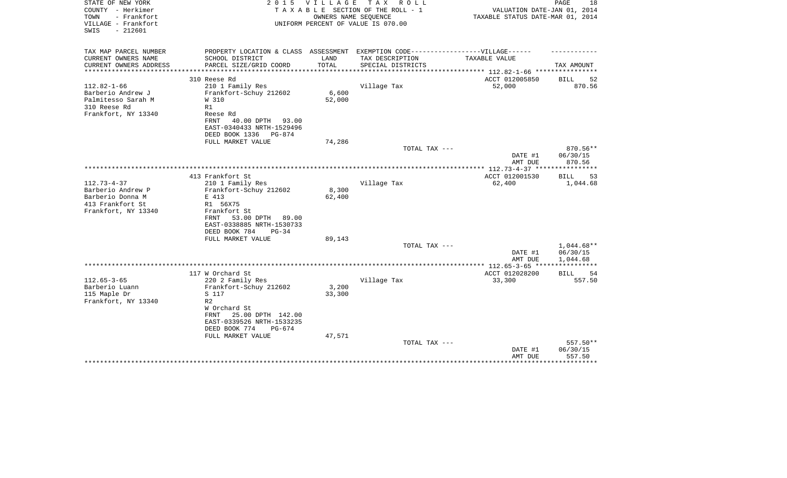| STATE OF NEW YORK<br>COUNTY - Herkimer<br>TOWN<br>- Frankfort<br>VILLAGE - Frankfort<br>$-212601$<br>SWIS | 2 0 1 5                                                                           | VILLAGE | T A X<br>R O L L<br>TAXABLE SECTION OF THE ROLL - 1<br>OWNERS NAME SEQUENCE<br>UNIFORM PERCENT OF VALUE IS 070.00 | VALUATION DATE-JAN 01, 2014<br>TAXABLE STATUS DATE-MAR 01, 2014 | PAGE<br>18               |
|-----------------------------------------------------------------------------------------------------------|-----------------------------------------------------------------------------------|---------|-------------------------------------------------------------------------------------------------------------------|-----------------------------------------------------------------|--------------------------|
| TAX MAP PARCEL NUMBER                                                                                     | PROPERTY LOCATION & CLASS ASSESSMENT EXEMPTION CODE-----------------VILLAGE------ |         |                                                                                                                   |                                                                 |                          |
| CURRENT OWNERS NAME                                                                                       | SCHOOL DISTRICT                                                                   | LAND    | TAX DESCRIPTION                                                                                                   | TAXABLE VALUE                                                   |                          |
| CURRENT OWNERS ADDRESS<br>***************                                                                 | PARCEL SIZE/GRID COORD                                                            | TOTAL   | SPECIAL DISTRICTS                                                                                                 |                                                                 | TAX AMOUNT               |
|                                                                                                           | 310 Reese Rd                                                                      |         |                                                                                                                   | ACCT 012005850                                                  | <b>BILL</b><br>52        |
| $112.82 - 1 - 66$                                                                                         | 210 1 Family Res                                                                  |         | Village Tax                                                                                                       | 52,000                                                          | 870.56                   |
| Barberio Andrew J                                                                                         | Frankfort-Schuy 212602                                                            | 6,600   |                                                                                                                   |                                                                 |                          |
| Palmitesso Sarah M                                                                                        | W 310                                                                             | 52,000  |                                                                                                                   |                                                                 |                          |
| 310 Reese Rd                                                                                              | R1                                                                                |         |                                                                                                                   |                                                                 |                          |
| Frankfort, NY 13340                                                                                       | Reese Rd<br>FRNT<br>40.00 DPTH<br>93.00                                           |         |                                                                                                                   |                                                                 |                          |
|                                                                                                           | EAST-0340433 NRTH-1529496                                                         |         |                                                                                                                   |                                                                 |                          |
|                                                                                                           | DEED BOOK 1336<br>$PG-874$                                                        |         |                                                                                                                   |                                                                 |                          |
|                                                                                                           | FULL MARKET VALUE                                                                 | 74,286  |                                                                                                                   |                                                                 |                          |
|                                                                                                           |                                                                                   |         | TOTAL TAX ---                                                                                                     |                                                                 | 870.56**                 |
|                                                                                                           |                                                                                   |         |                                                                                                                   | DATE #1                                                         | 06/30/15                 |
|                                                                                                           |                                                                                   |         |                                                                                                                   | AMT DUE                                                         | 870.56                   |
|                                                                                                           | 413 Frankfort St                                                                  |         |                                                                                                                   | ACCT 012001530                                                  | 53<br>BILL               |
| $112.73 - 4 - 37$                                                                                         | 210 1 Family Res                                                                  |         | Village Tax                                                                                                       | 62,400                                                          | 1,044.68                 |
| Barberio Andrew P                                                                                         | Frankfort-Schuy 212602                                                            | 8,300   |                                                                                                                   |                                                                 |                          |
| Barberio Donna M                                                                                          | E 413                                                                             | 62,400  |                                                                                                                   |                                                                 |                          |
| 413 Frankfort St<br>Frankfort, NY 13340                                                                   | R1 56X75<br>Frankfort St                                                          |         |                                                                                                                   |                                                                 |                          |
|                                                                                                           | 53.00 DPTH<br>FRNT<br>89.00                                                       |         |                                                                                                                   |                                                                 |                          |
|                                                                                                           | EAST-0338885 NRTH-1530733                                                         |         |                                                                                                                   |                                                                 |                          |
|                                                                                                           | DEED BOOK 784<br>$PG-34$                                                          |         |                                                                                                                   |                                                                 |                          |
|                                                                                                           | FULL MARKET VALUE                                                                 | 89,143  |                                                                                                                   |                                                                 |                          |
|                                                                                                           |                                                                                   |         | TOTAL TAX ---                                                                                                     |                                                                 | $1,044.68**$<br>06/30/15 |
|                                                                                                           |                                                                                   |         |                                                                                                                   | DATE #1<br>AMT DUE                                              | 1,044.68                 |
|                                                                                                           |                                                                                   |         |                                                                                                                   |                                                                 |                          |
|                                                                                                           | 117 W Orchard St                                                                  |         |                                                                                                                   | ACCT 012028200                                                  | <b>BILL</b><br>54        |
| $112.65 - 3 - 65$                                                                                         | 220 2 Family Res                                                                  |         | Village Tax                                                                                                       | 33,300                                                          | 557.50                   |
| Barberio Luann                                                                                            | Frankfort-Schuy 212602                                                            | 3,200   |                                                                                                                   |                                                                 |                          |
| 115 Maple Dr<br>Frankfort, NY 13340                                                                       | S 117<br>R <sub>2</sub>                                                           | 33,300  |                                                                                                                   |                                                                 |                          |
|                                                                                                           | W Orchard St                                                                      |         |                                                                                                                   |                                                                 |                          |
|                                                                                                           | 25.00 DPTH 142.00<br>FRNT                                                         |         |                                                                                                                   |                                                                 |                          |
|                                                                                                           | EAST-0339526 NRTH-1533235                                                         |         |                                                                                                                   |                                                                 |                          |
|                                                                                                           | DEED BOOK 774<br>$PG-674$                                                         |         |                                                                                                                   |                                                                 |                          |
|                                                                                                           | FULL MARKET VALUE                                                                 | 47,571  |                                                                                                                   |                                                                 | 557.50**                 |
|                                                                                                           |                                                                                   |         | TOTAL TAX ---                                                                                                     | DATE #1                                                         | 06/30/15                 |
|                                                                                                           |                                                                                   |         |                                                                                                                   | AMT DUE                                                         | 557.50                   |
|                                                                                                           |                                                                                   |         |                                                                                                                   |                                                                 | * * * * * * * * *        |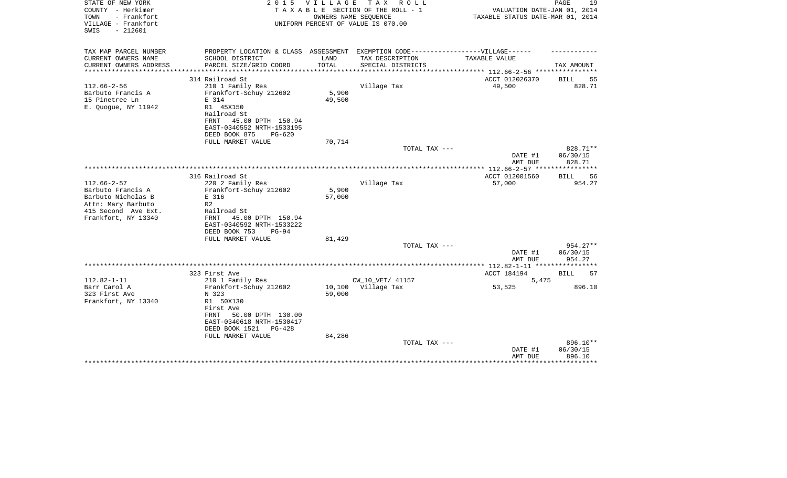| STATE OF NEW YORK<br>COUNTY - Herkimer<br>TOWN<br>- Frankfort<br>VILLAGE - Frankfort<br>$-212601$<br>SWIS | 2 0 1 5                                                                           | <b>VILLAGE</b>         | T A X<br>R O L L<br>TAXABLE SECTION OF THE ROLL - 1<br>OWNERS NAME SEQUENCE<br>UNIFORM PERCENT OF VALUE IS 070.00 | VALUATION DATE-JAN 01, 2014<br>TAXABLE STATUS DATE-MAR 01, 2014 | PAGE<br>19         |
|-----------------------------------------------------------------------------------------------------------|-----------------------------------------------------------------------------------|------------------------|-------------------------------------------------------------------------------------------------------------------|-----------------------------------------------------------------|--------------------|
|                                                                                                           |                                                                                   |                        |                                                                                                                   |                                                                 |                    |
| TAX MAP PARCEL NUMBER                                                                                     | PROPERTY LOCATION & CLASS ASSESSMENT EXEMPTION CODE-----------------VILLAGE------ |                        |                                                                                                                   |                                                                 |                    |
| CURRENT OWNERS NAME                                                                                       | SCHOOL DISTRICT                                                                   | LAND                   | TAX DESCRIPTION                                                                                                   | TAXABLE VALUE                                                   |                    |
| CURRENT OWNERS ADDRESS<br>*******************                                                             | PARCEL SIZE/GRID COORD<br>***************************                             | TOTAL<br>************* | SPECIAL DISTRICTS                                                                                                 | **************** 112.66-2-56 ***********                        | TAX AMOUNT         |
|                                                                                                           | 314 Railroad St                                                                   |                        |                                                                                                                   | ACCT 012026370                                                  | 55<br>BILL         |
| $112.66 - 2 - 56$                                                                                         | 210 1 Family Res                                                                  |                        | Village Tax                                                                                                       | 49,500                                                          | 828.71             |
| Barbuto Francis A                                                                                         | Frankfort-Schuy 212602                                                            | 5,900                  |                                                                                                                   |                                                                 |                    |
| 15 Pinetree Ln                                                                                            | E 314                                                                             | 49,500                 |                                                                                                                   |                                                                 |                    |
| E. Quoque, NY 11942                                                                                       | R1 45X150                                                                         |                        |                                                                                                                   |                                                                 |                    |
|                                                                                                           | Railroad St                                                                       |                        |                                                                                                                   |                                                                 |                    |
|                                                                                                           | 45.00 DPTH 150.94<br>FRNT                                                         |                        |                                                                                                                   |                                                                 |                    |
|                                                                                                           | EAST-0340552 NRTH-1533195                                                         |                        |                                                                                                                   |                                                                 |                    |
|                                                                                                           | DEED BOOK 875<br>$PG-620$                                                         |                        |                                                                                                                   |                                                                 |                    |
|                                                                                                           | FULL MARKET VALUE                                                                 | 70,714                 |                                                                                                                   |                                                                 |                    |
|                                                                                                           |                                                                                   |                        | TOTAL TAX ---                                                                                                     |                                                                 | 828.71**           |
|                                                                                                           |                                                                                   |                        |                                                                                                                   | DATE #1<br>AMT DUE                                              | 06/30/15<br>828.71 |
|                                                                                                           |                                                                                   |                        |                                                                                                                   | ***************** 112.66-2-57 *****************                 |                    |
|                                                                                                           | 316 Railroad St                                                                   |                        |                                                                                                                   | ACCT 012001560                                                  | <b>BILL</b><br>56  |
| $112.66 - 2 - 57$                                                                                         | 220 2 Family Res                                                                  |                        | Village Tax                                                                                                       | 57,000                                                          | 954.27             |
| Barbuto Francis A                                                                                         | Frankfort-Schuy 212602                                                            | 5,900                  |                                                                                                                   |                                                                 |                    |
| Barbuto Nicholas B                                                                                        | E 316                                                                             | 57,000                 |                                                                                                                   |                                                                 |                    |
| Attn: Mary Barbuto                                                                                        | R <sub>2</sub>                                                                    |                        |                                                                                                                   |                                                                 |                    |
| 415 Second Ave Ext.                                                                                       | Railroad St                                                                       |                        |                                                                                                                   |                                                                 |                    |
| Frankfort, NY 13340                                                                                       | 45.00 DPTH 150.94<br>FRNT                                                         |                        |                                                                                                                   |                                                                 |                    |
|                                                                                                           | EAST-0340592 NRTH-1533222                                                         |                        |                                                                                                                   |                                                                 |                    |
|                                                                                                           | DEED BOOK 753<br>$PG-94$                                                          |                        |                                                                                                                   |                                                                 |                    |
|                                                                                                           | FULL MARKET VALUE                                                                 | 81,429                 |                                                                                                                   |                                                                 | $954.27**$         |
|                                                                                                           |                                                                                   |                        | TOTAL TAX ---                                                                                                     | DATE #1                                                         | 06/30/15           |
|                                                                                                           |                                                                                   |                        |                                                                                                                   | AMT DUE                                                         | 954.27             |
|                                                                                                           |                                                                                   |                        |                                                                                                                   |                                                                 |                    |
|                                                                                                           | 323 First Ave                                                                     |                        |                                                                                                                   | ACCT 184194                                                     | BILL<br>57         |
| $112.82 - 1 - 11$                                                                                         | 210 1 Family Res                                                                  |                        | CW 10 VET/ 41157                                                                                                  | 5,475                                                           |                    |
| Barr Carol A                                                                                              | Frankfort-Schuy 212602                                                            |                        | 10,100 Village Tax                                                                                                | 53,525                                                          | 896.10             |
| 323 First Ave                                                                                             | N 323                                                                             | 59,000                 |                                                                                                                   |                                                                 |                    |
| Frankfort, NY 13340                                                                                       | R1 50X130                                                                         |                        |                                                                                                                   |                                                                 |                    |
|                                                                                                           | First Ave                                                                         |                        |                                                                                                                   |                                                                 |                    |
|                                                                                                           | FRNT<br>50.00 DPTH 130.00                                                         |                        |                                                                                                                   |                                                                 |                    |
|                                                                                                           | EAST-0340618 NRTH-1530417                                                         |                        |                                                                                                                   |                                                                 |                    |
|                                                                                                           | DEED BOOK 1521<br>$PG-428$                                                        |                        |                                                                                                                   |                                                                 |                    |
|                                                                                                           | FULL MARKET VALUE                                                                 | 84,286                 | TOTAL TAX ---                                                                                                     |                                                                 | 896.10**           |
|                                                                                                           |                                                                                   |                        |                                                                                                                   | DATE #1                                                         | 06/30/15           |
|                                                                                                           |                                                                                   |                        |                                                                                                                   | AMT DUE                                                         | 896.10             |
|                                                                                                           |                                                                                   |                        |                                                                                                                   |                                                                 | *********          |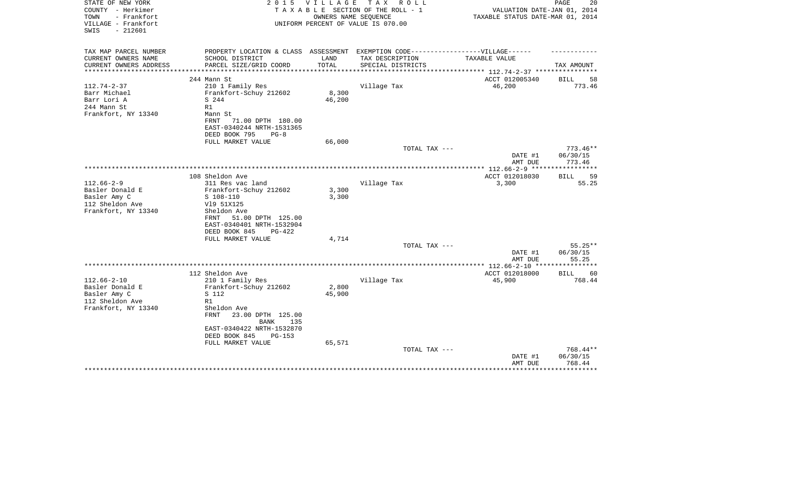| STATE OF NEW YORK<br>COUNTY - Herkimer<br>- Frankfort<br>TOWN<br>VILLAGE - Frankfort<br>$-212601$<br>SWIS | 2 0 1 5                                                                           | V I L L A G E         | T A X<br>R O L L<br>TAXABLE SECTION OF THE ROLL - 1<br>OWNERS NAME SEQUENCE<br>UNIFORM PERCENT OF VALUE IS 070.00 | VALUATION DATE-JAN 01, 2014<br>TAXABLE STATUS DATE-MAR 01, 2014                 | PAGE<br>20               |
|-----------------------------------------------------------------------------------------------------------|-----------------------------------------------------------------------------------|-----------------------|-------------------------------------------------------------------------------------------------------------------|---------------------------------------------------------------------------------|--------------------------|
| TAX MAP PARCEL NUMBER                                                                                     | PROPERTY LOCATION & CLASS ASSESSMENT EXEMPTION CODE-----------------VILLAGE------ |                       |                                                                                                                   |                                                                                 |                          |
| CURRENT OWNERS NAME                                                                                       | SCHOOL DISTRICT                                                                   | LAND                  | TAX DESCRIPTION                                                                                                   | TAXABLE VALUE                                                                   |                          |
| CURRENT OWNERS ADDRESS<br>*******************                                                             | PARCEL SIZE/GRID COORD                                                            | TOTAL<br>************ | SPECIAL DISTRICTS                                                                                                 |                                                                                 | TAX AMOUNT               |
|                                                                                                           | 244 Mann St                                                                       |                       |                                                                                                                   | ************************************** 112.74-2-37 **********<br>ACCT 012005340 | 58<br><b>BILL</b>        |
| $112.74 - 2 - 37$                                                                                         | 210 1 Family Res                                                                  |                       | Village Tax                                                                                                       | 46,200                                                                          | 773.46                   |
| Barr Michael                                                                                              | Frankfort-Schuy 212602                                                            | 8,300                 |                                                                                                                   |                                                                                 |                          |
| Barr Lori A                                                                                               | S 244                                                                             | 46,200                |                                                                                                                   |                                                                                 |                          |
| 244 Mann St                                                                                               | R1                                                                                |                       |                                                                                                                   |                                                                                 |                          |
| Frankfort, NY 13340                                                                                       | Mann St                                                                           |                       |                                                                                                                   |                                                                                 |                          |
|                                                                                                           | FRNT<br>71.00 DPTH 180.00                                                         |                       |                                                                                                                   |                                                                                 |                          |
|                                                                                                           | EAST-0340244 NRTH-1531365                                                         |                       |                                                                                                                   |                                                                                 |                          |
|                                                                                                           | DEED BOOK 795<br>$PG-8$                                                           |                       |                                                                                                                   |                                                                                 |                          |
|                                                                                                           | FULL MARKET VALUE                                                                 | 66,000                |                                                                                                                   |                                                                                 |                          |
|                                                                                                           |                                                                                   |                       | TOTAL TAX ---                                                                                                     | DATE #1                                                                         | $773.46**$<br>06/30/15   |
|                                                                                                           |                                                                                   |                       |                                                                                                                   | AMT DUE                                                                         | 773.46                   |
|                                                                                                           |                                                                                   |                       |                                                                                                                   | **************** 112.66-2-9 ****                                                |                          |
|                                                                                                           | 108 Sheldon Ave                                                                   |                       |                                                                                                                   | ACCT 012018030                                                                  | 59<br><b>BILL</b>        |
| $112.66 - 2 - 9$                                                                                          | 311 Res vac land                                                                  |                       | Village Tax                                                                                                       | 3,300                                                                           | 55.25                    |
| Basler Donald E                                                                                           | Frankfort-Schuy 212602                                                            | 3,300                 |                                                                                                                   |                                                                                 |                          |
| Basler Amy C                                                                                              | $S$ 108-110                                                                       | 3,300                 |                                                                                                                   |                                                                                 |                          |
| 112 Sheldon Ave                                                                                           | V19 51X125                                                                        |                       |                                                                                                                   |                                                                                 |                          |
| Frankfort, NY 13340                                                                                       | Sheldon Ave                                                                       |                       |                                                                                                                   |                                                                                 |                          |
|                                                                                                           | FRNT<br>51.00 DPTH 125.00                                                         |                       |                                                                                                                   |                                                                                 |                          |
|                                                                                                           | EAST-0340401 NRTH-1532904<br>DEED BOOK 845<br>PG-422                              |                       |                                                                                                                   |                                                                                 |                          |
|                                                                                                           | FULL MARKET VALUE                                                                 | 4,714                 |                                                                                                                   |                                                                                 |                          |
|                                                                                                           |                                                                                   |                       | TOTAL TAX ---                                                                                                     |                                                                                 | $55.25**$                |
|                                                                                                           |                                                                                   |                       |                                                                                                                   | DATE #1                                                                         | 06/30/15                 |
|                                                                                                           |                                                                                   |                       |                                                                                                                   | AMT DUE                                                                         | 55.25                    |
|                                                                                                           |                                                                                   |                       |                                                                                                                   | ***************** 112.66-2-10 **                                                | *******                  |
|                                                                                                           | 112 Sheldon Ave                                                                   |                       |                                                                                                                   | ACCT 012018000                                                                  | <b>BILL</b><br>60        |
| $112.66 - 2 - 10$                                                                                         | 210 1 Family Res                                                                  |                       | Village Tax                                                                                                       | 45,900                                                                          | 768.44                   |
| Basler Donald E                                                                                           | Frankfort-Schuy 212602                                                            | 2,800                 |                                                                                                                   |                                                                                 |                          |
| Basler Amy C<br>112 Sheldon Ave                                                                           | S 112<br>R1                                                                       | 45,900                |                                                                                                                   |                                                                                 |                          |
| Frankfort, NY 13340                                                                                       | Sheldon Ave                                                                       |                       |                                                                                                                   |                                                                                 |                          |
|                                                                                                           | 23.00 DPTH 125.00<br>FRNT                                                         |                       |                                                                                                                   |                                                                                 |                          |
|                                                                                                           | BANK<br>135                                                                       |                       |                                                                                                                   |                                                                                 |                          |
|                                                                                                           | EAST-0340422 NRTH-1532870                                                         |                       |                                                                                                                   |                                                                                 |                          |
|                                                                                                           | DEED BOOK 845<br>$PG-153$                                                         |                       |                                                                                                                   |                                                                                 |                          |
|                                                                                                           | FULL MARKET VALUE                                                                 | 65,571                |                                                                                                                   |                                                                                 |                          |
|                                                                                                           |                                                                                   |                       | TOTAL TAX ---                                                                                                     |                                                                                 | 768.44**                 |
|                                                                                                           |                                                                                   |                       |                                                                                                                   | DATE #1                                                                         | 06/30/15                 |
|                                                                                                           |                                                                                   |                       |                                                                                                                   | AMT DUE                                                                         | 768.44<br>************** |
|                                                                                                           |                                                                                   |                       |                                                                                                                   |                                                                                 |                          |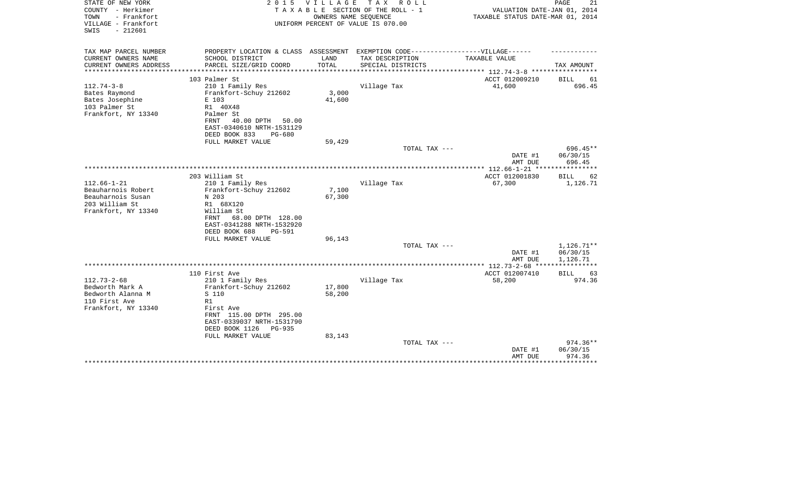| STATE OF NEW YORK<br>COUNTY - Herkimer<br>- Frankfort<br>TOWN<br>VILLAGE - Frankfort<br>$-212601$<br>SWIS | 2 0 1 5                                                 | V I L L A G E | T A X<br>R O L L<br>TAXABLE SECTION OF THE ROLL - 1<br>OWNERS NAME SEQUENCE<br>UNIFORM PERCENT OF VALUE IS 070.00 | VALUATION DATE-JAN 01, 2014<br>TAXABLE STATUS DATE-MAR 01, 2014 | PAGE<br>21        |
|-----------------------------------------------------------------------------------------------------------|---------------------------------------------------------|---------------|-------------------------------------------------------------------------------------------------------------------|-----------------------------------------------------------------|-------------------|
| TAX MAP PARCEL NUMBER<br>CURRENT OWNERS NAME                                                              | PROPERTY LOCATION & CLASS ASSESSMENT<br>SCHOOL DISTRICT | LAND          | EXEMPTION CODE------------------VILLAGE------<br>TAX DESCRIPTION                                                  | TAXABLE VALUE                                                   |                   |
| CURRENT OWNERS ADDRESS<br>*********************                                                           | PARCEL SIZE/GRID COORD                                  | TOTAL         | SPECIAL DISTRICTS                                                                                                 | *************************** 112.74-3-8 *****************        | TAX AMOUNT        |
|                                                                                                           | 103 Palmer St                                           |               |                                                                                                                   | ACCT 012009210                                                  | BILL<br>61        |
| $112.74 - 3 - 8$                                                                                          | 210 1 Family Res                                        |               | Village Tax                                                                                                       | 41,600                                                          | 696.45            |
| Bates Raymond                                                                                             | Frankfort-Schuy 212602                                  | 3,000         |                                                                                                                   |                                                                 |                   |
| Bates Josephine                                                                                           | E 103                                                   | 41,600        |                                                                                                                   |                                                                 |                   |
| 103 Palmer St                                                                                             | R1 40X48                                                |               |                                                                                                                   |                                                                 |                   |
| Frankfort, NY 13340                                                                                       | Palmer St                                               |               |                                                                                                                   |                                                                 |                   |
|                                                                                                           | 40.00 DPTH<br>50.00<br>FRNT                             |               |                                                                                                                   |                                                                 |                   |
|                                                                                                           | EAST-0340610 NRTH-1531129                               |               |                                                                                                                   |                                                                 |                   |
|                                                                                                           | DEED BOOK 833<br>$PG-680$<br>FULL MARKET VALUE          | 59,429        |                                                                                                                   |                                                                 |                   |
|                                                                                                           |                                                         |               | TOTAL TAX ---                                                                                                     |                                                                 | 696.45**          |
|                                                                                                           |                                                         |               |                                                                                                                   | DATE #1                                                         | 06/30/15          |
|                                                                                                           |                                                         |               |                                                                                                                   | AMT DUE                                                         | 696.45            |
|                                                                                                           |                                                         |               |                                                                                                                   |                                                                 |                   |
|                                                                                                           | 203 William St                                          |               |                                                                                                                   | ACCT 012001830                                                  | <b>BILL</b><br>62 |
| $112.66 - 1 - 21$                                                                                         | 210 1 Family Res                                        |               | Village Tax                                                                                                       | 67,300                                                          | 1,126.71          |
| Beauharnois Robert                                                                                        | Frankfort-Schuy 212602                                  | 7,100         |                                                                                                                   |                                                                 |                   |
| Beauharnois Susan                                                                                         | N 203                                                   | 67,300        |                                                                                                                   |                                                                 |                   |
| 203 William St                                                                                            | R1 68X120                                               |               |                                                                                                                   |                                                                 |                   |
| Frankfort, NY 13340                                                                                       | William St<br>68.00 DPTH 128.00<br>FRNT                 |               |                                                                                                                   |                                                                 |                   |
|                                                                                                           | EAST-0341288 NRTH-1532920                               |               |                                                                                                                   |                                                                 |                   |
|                                                                                                           | DEED BOOK 688<br>PG-591                                 |               |                                                                                                                   |                                                                 |                   |
|                                                                                                           | FULL MARKET VALUE                                       | 96,143        |                                                                                                                   |                                                                 |                   |
|                                                                                                           |                                                         |               | TOTAL TAX ---                                                                                                     |                                                                 | 1,126.71**        |
|                                                                                                           |                                                         |               |                                                                                                                   | DATE #1                                                         | 06/30/15          |
|                                                                                                           |                                                         |               |                                                                                                                   | AMT DUE                                                         | 1,126.71          |
|                                                                                                           |                                                         |               |                                                                                                                   | ***************** 112.73-2-68 ****                              | ************      |
|                                                                                                           | 110 First Ave                                           |               |                                                                                                                   | ACCT 012007410                                                  | <b>BILL</b><br>63 |
| $112.73 - 2 - 68$                                                                                         | 210 1 Family Res                                        |               | Village Tax                                                                                                       | 58,200                                                          | 974.36            |
| Bedworth Mark A                                                                                           | Frankfort-Schuy 212602                                  | 17,800        |                                                                                                                   |                                                                 |                   |
| Bedworth Alanna M<br>110 First Ave                                                                        | S 110<br>R1                                             | 58,200        |                                                                                                                   |                                                                 |                   |
| Frankfort, NY 13340                                                                                       | First Ave                                               |               |                                                                                                                   |                                                                 |                   |
|                                                                                                           | FRNT 115.00 DPTH 295.00                                 |               |                                                                                                                   |                                                                 |                   |
|                                                                                                           | EAST-0339037 NRTH-1531790                               |               |                                                                                                                   |                                                                 |                   |
|                                                                                                           | DEED BOOK 1126<br><b>PG-935</b>                         |               |                                                                                                                   |                                                                 |                   |
|                                                                                                           | FULL MARKET VALUE                                       | 83,143        |                                                                                                                   |                                                                 |                   |
|                                                                                                           |                                                         |               | TOTAL TAX ---                                                                                                     |                                                                 | 974.36**          |
|                                                                                                           |                                                         |               |                                                                                                                   | DATE #1                                                         | 06/30/15          |
|                                                                                                           |                                                         |               |                                                                                                                   | AMT DUE                                                         | 974.36            |
|                                                                                                           |                                                         |               |                                                                                                                   |                                                                 |                   |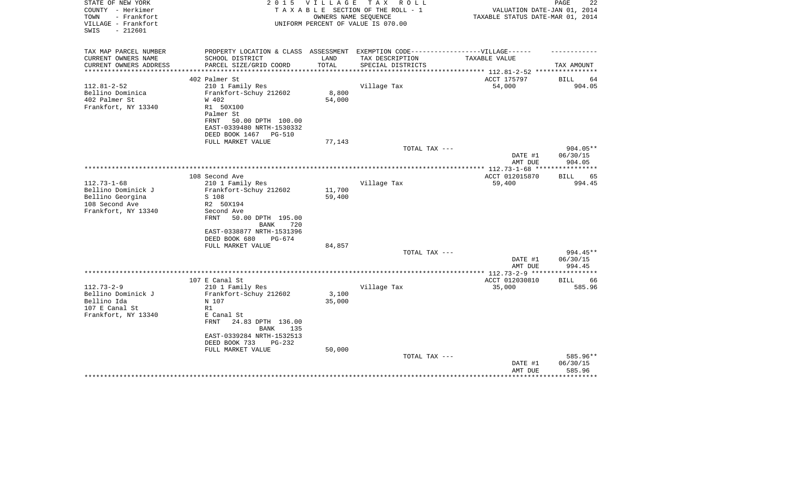| STATE OF NEW YORK<br>COUNTY - Herkimer<br>- Frankfort<br>TOWN<br>VILLAGE - Frankfort<br>$-212601$<br>SWIS | 2 0 1 5                                                                           | <b>VILLAGE</b> | T A X<br>R O L L<br>TAXABLE SECTION OF THE ROLL - 1<br>OWNERS NAME SEOUENCE<br>UNIFORM PERCENT OF VALUE IS 070.00 | VALUATION DATE-JAN 01, 2014<br>TAXABLE STATUS DATE-MAR 01, 2014 | PAGE<br>22           |
|-----------------------------------------------------------------------------------------------------------|-----------------------------------------------------------------------------------|----------------|-------------------------------------------------------------------------------------------------------------------|-----------------------------------------------------------------|----------------------|
| TAX MAP PARCEL NUMBER                                                                                     | PROPERTY LOCATION & CLASS ASSESSMENT EXEMPTION CODE-----------------VILLAGE------ |                |                                                                                                                   |                                                                 |                      |
| CURRENT OWNERS NAME                                                                                       | SCHOOL DISTRICT                                                                   | LAND           | TAX DESCRIPTION                                                                                                   | TAXABLE VALUE                                                   |                      |
| CURRENT OWNERS ADDRESS                                                                                    | PARCEL SIZE/GRID COORD<br>****************************                            | TOTAL          | SPECIAL DISTRICTS                                                                                                 |                                                                 | TAX AMOUNT           |
| **********************                                                                                    |                                                                                   |                |                                                                                                                   |                                                                 |                      |
| $112.81 - 2 - 52$                                                                                         | 402 Palmer St                                                                     |                |                                                                                                                   | ACCT 175797<br>54,000                                           | BILL<br>64<br>904.05 |
| Bellino Dominica                                                                                          | 210 1 Family Res<br>Frankfort-Schuy 212602                                        | 8,800          | Village Tax                                                                                                       |                                                                 |                      |
| 402 Palmer St                                                                                             | W 402                                                                             | 54,000         |                                                                                                                   |                                                                 |                      |
| Frankfort, NY 13340                                                                                       | R1 50X100                                                                         |                |                                                                                                                   |                                                                 |                      |
|                                                                                                           | Palmer St                                                                         |                |                                                                                                                   |                                                                 |                      |
|                                                                                                           | 50.00 DPTH 100.00<br>FRNT                                                         |                |                                                                                                                   |                                                                 |                      |
|                                                                                                           | EAST-0339480 NRTH-1530332                                                         |                |                                                                                                                   |                                                                 |                      |
|                                                                                                           | DEED BOOK 1467 PG-510                                                             |                |                                                                                                                   |                                                                 |                      |
|                                                                                                           | FULL MARKET VALUE                                                                 | 77,143         |                                                                                                                   |                                                                 |                      |
|                                                                                                           |                                                                                   |                | TOTAL TAX ---                                                                                                     |                                                                 | $904.05**$           |
|                                                                                                           |                                                                                   |                |                                                                                                                   | DATE #1                                                         | 06/30/15             |
|                                                                                                           |                                                                                   |                |                                                                                                                   | AMT DUE                                                         | 904.05               |
|                                                                                                           | 108 Second Ave                                                                    |                |                                                                                                                   | ACCT 012015870                                                  | 65<br><b>BILL</b>    |
| $112.73 - 1 - 68$                                                                                         | 210 1 Family Res                                                                  |                | Village Tax                                                                                                       | 59,400                                                          | 994.45               |
| Bellino Dominick J                                                                                        | Frankfort-Schuy 212602                                                            | 11,700         |                                                                                                                   |                                                                 |                      |
| Bellino Georgina                                                                                          | S 108                                                                             | 59,400         |                                                                                                                   |                                                                 |                      |
| 108 Second Ave                                                                                            | R2 50X194                                                                         |                |                                                                                                                   |                                                                 |                      |
| Frankfort, NY 13340                                                                                       | Second Ave                                                                        |                |                                                                                                                   |                                                                 |                      |
|                                                                                                           | 50.00 DPTH 195.00<br>FRNT                                                         |                |                                                                                                                   |                                                                 |                      |
|                                                                                                           | 720<br>BANK                                                                       |                |                                                                                                                   |                                                                 |                      |
|                                                                                                           | EAST-0338877 NRTH-1531396<br>DEED BOOK 680<br>$PG-674$                            |                |                                                                                                                   |                                                                 |                      |
|                                                                                                           | FULL MARKET VALUE                                                                 | 84,857         |                                                                                                                   |                                                                 |                      |
|                                                                                                           |                                                                                   |                | TOTAL TAX ---                                                                                                     |                                                                 | 994.45**             |
|                                                                                                           |                                                                                   |                |                                                                                                                   | DATE #1                                                         | 06/30/15             |
|                                                                                                           |                                                                                   |                |                                                                                                                   | AMT DUE                                                         | 994.45               |
|                                                                                                           |                                                                                   |                |                                                                                                                   |                                                                 |                      |
|                                                                                                           | 107 E Canal St                                                                    |                |                                                                                                                   | ACCT 012030810                                                  | 66<br>BILL           |
| $112.73 - 2 - 9$                                                                                          | 210 1 Family Res                                                                  |                | Village Tax                                                                                                       | 35,000                                                          | 585.96               |
| Bellino Dominick J                                                                                        | Frankfort-Schuy 212602                                                            | 3,100          |                                                                                                                   |                                                                 |                      |
| Bellino Ida                                                                                               | N 107                                                                             | 35,000         |                                                                                                                   |                                                                 |                      |
| 107 E Canal St<br>Frankfort, NY 13340                                                                     | R1<br>E Canal St                                                                  |                |                                                                                                                   |                                                                 |                      |
|                                                                                                           | <b>FRNT</b><br>24.83 DPTH 136.00                                                  |                |                                                                                                                   |                                                                 |                      |
|                                                                                                           | BANK<br>135                                                                       |                |                                                                                                                   |                                                                 |                      |
|                                                                                                           | EAST-0339284 NRTH-1532513                                                         |                |                                                                                                                   |                                                                 |                      |
|                                                                                                           | DEED BOOK 733<br>$PG-232$                                                         |                |                                                                                                                   |                                                                 |                      |
|                                                                                                           | FULL MARKET VALUE                                                                 | 50,000         |                                                                                                                   |                                                                 |                      |
|                                                                                                           |                                                                                   |                | TOTAL TAX ---                                                                                                     |                                                                 | 585.96**             |
|                                                                                                           |                                                                                   |                |                                                                                                                   | DATE #1                                                         | 06/30/15             |
|                                                                                                           |                                                                                   |                |                                                                                                                   | AMT DUE                                                         | 585.96               |
|                                                                                                           |                                                                                   |                |                                                                                                                   |                                                                 |                      |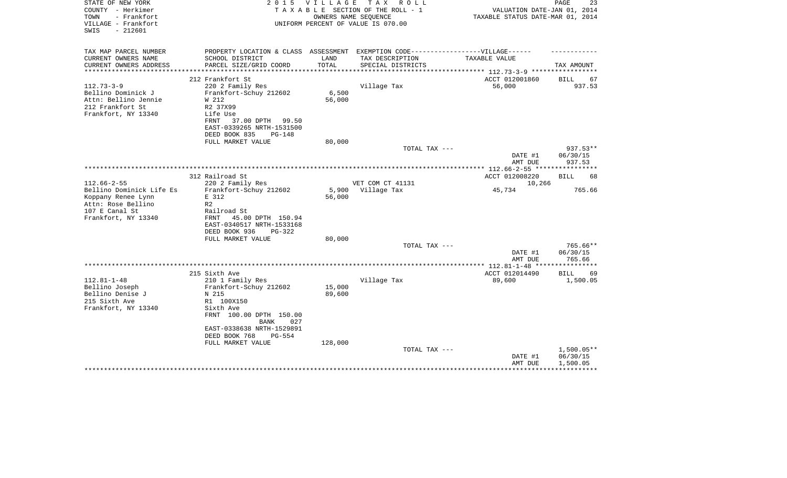| STATE OF NEW YORK<br>COUNTY - Herkimer<br>TOWN<br>- Frankfort<br>VILLAGE - Frankfort<br>$-212601$<br>SWIS     | 2 0 1 5                                                                                                                                                                                  | <b>VILLAGE</b><br>OWNERS NAME SEOUENCE | T A X<br>R O L L<br>TAXABLE SECTION OF THE ROLL - 1<br>UNIFORM PERCENT OF VALUE IS 070.00 | VALUATION DATE-JAN 01, 2014<br>TAXABLE STATUS DATE-MAR 01, 2014 | PAGE<br>23                     |
|---------------------------------------------------------------------------------------------------------------|------------------------------------------------------------------------------------------------------------------------------------------------------------------------------------------|----------------------------------------|-------------------------------------------------------------------------------------------|-----------------------------------------------------------------|--------------------------------|
| TAX MAP PARCEL NUMBER                                                                                         | PROPERTY LOCATION & CLASS ASSESSMENT EXEMPTION CODE-----------------VILLAGE------                                                                                                        |                                        |                                                                                           |                                                                 |                                |
| CURRENT OWNERS NAME<br>CURRENT OWNERS ADDRESS<br>*********************                                        | SCHOOL DISTRICT<br>PARCEL SIZE/GRID COORD<br>**************************                                                                                                                  | LAND<br>TOTAL                          | TAX DESCRIPTION<br>SPECIAL DISTRICTS                                                      | TAXABLE VALUE                                                   | TAX AMOUNT                     |
|                                                                                                               |                                                                                                                                                                                          |                                        |                                                                                           |                                                                 |                                |
| $112.73 - 3 - 9$<br>Bellino Dominick J<br>Attn: Bellino Jennie<br>212 Frankfort St<br>Frankfort, NY 13340     | 212 Frankfort St<br>220 2 Family Res<br>Frankfort-Schuy 212602<br>W 212<br>R2 37X99<br>Life Use<br>FRNT<br>37.00 DPTH<br>99.50<br>EAST-0339265 NRTH-1531500<br>DEED BOOK 835<br>$PG-148$ | 6,500<br>56,000                        | Village Tax                                                                               | ACCT 012001860<br>56,000                                        | 67<br>BILL<br>937.53           |
|                                                                                                               | FULL MARKET VALUE                                                                                                                                                                        | 80,000                                 |                                                                                           |                                                                 |                                |
|                                                                                                               |                                                                                                                                                                                          |                                        | TOTAL TAX ---                                                                             | DATE #1<br>AMT DUE                                              | 937.53**<br>06/30/15<br>937.53 |
|                                                                                                               |                                                                                                                                                                                          |                                        |                                                                                           |                                                                 |                                |
| $112.66 - 2 - 55$                                                                                             | 312 Railroad St<br>220 2 Family Res                                                                                                                                                      |                                        | VET COM CT 41131                                                                          | ACCT 012008220<br>10,266                                        | 68<br>BILL                     |
| Bellino Dominick Life Es<br>Koppany Renee Lynn<br>Attn: Rose Bellino<br>107 E Canal St<br>Frankfort, NY 13340 | Frankfort-Schuy 212602<br>E 312<br>R <sub>2</sub><br>Railroad St<br>FRNT<br>45.00 DPTH 150.94<br>EAST-0340517 NRTH-1533168<br>DEED BOOK 936<br>PG-322<br>FULL MARKET VALUE               | 5,900<br>56,000<br>80,000              | Village Tax                                                                               | 45,734                                                          | 765.66                         |
|                                                                                                               |                                                                                                                                                                                          |                                        | TOTAL TAX ---                                                                             |                                                                 | 765.66**                       |
|                                                                                                               |                                                                                                                                                                                          |                                        |                                                                                           | DATE #1<br>AMT DUE                                              | 06/30/15<br>765.66             |
|                                                                                                               |                                                                                                                                                                                          |                                        |                                                                                           |                                                                 |                                |
| $112.81 - 1 - 48$<br>Bellino Joseph<br>Bellino Denise J<br>215 Sixth Ave<br>Frankfort, NY 13340               | 215 Sixth Ave<br>210 1 Family Res<br>Frankfort-Schuy 212602<br>N 215<br>R1 100X150<br>Sixth Ave<br>FRNT 100.00 DPTH 150.00<br>027<br><b>BANK</b>                                         | 15,000<br>89,600                       | Village Tax                                                                               | ACCT 012014490<br>89,600                                        | <b>BILL</b><br>69<br>1,500.05  |
|                                                                                                               | EAST-0338638 NRTH-1529891<br>DEED BOOK 768<br>$PG-554$<br>FULL MARKET VALUE                                                                                                              | 128,000                                | TOTAL TAX ---                                                                             |                                                                 | $1,500.05**$                   |
|                                                                                                               |                                                                                                                                                                                          |                                        |                                                                                           | DATE #1<br>AMT DUE                                              | 06/30/15<br>1,500.05           |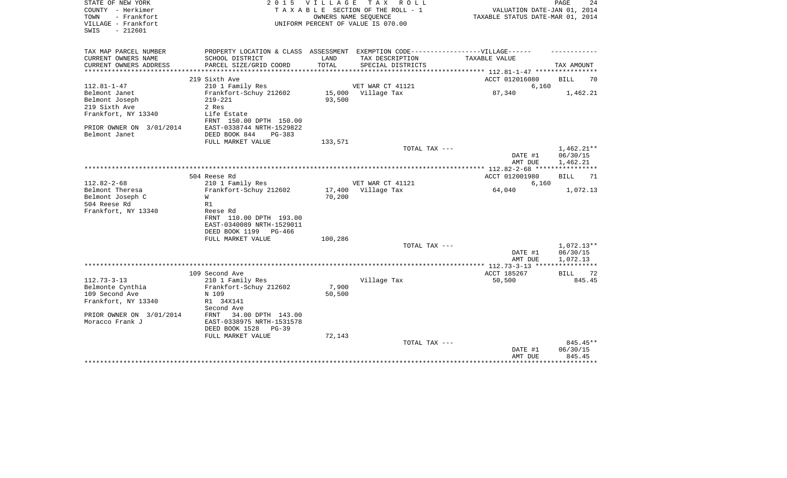| STATE OF NEW YORK<br>COUNTY - Herkimer<br>- Frankfort<br>TOWN<br>VILLAGE - Frankfort<br>SWIS<br>$-212601$                                 | 2 0 1 5                                                                                                                                                                                 | V I L L A G E    | T A X<br>R O L L<br>TAXABLE SECTION OF THE ROLL - 1<br>OWNERS NAME SEQUENCE<br>UNIFORM PERCENT OF VALUE IS 070.00 | VALUATION DATE-JAN 01, 2014<br>TAXABLE STATUS DATE-MAR 01, 2014 | PAGE<br>24                           |
|-------------------------------------------------------------------------------------------------------------------------------------------|-----------------------------------------------------------------------------------------------------------------------------------------------------------------------------------------|------------------|-------------------------------------------------------------------------------------------------------------------|-----------------------------------------------------------------|--------------------------------------|
| TAX MAP PARCEL NUMBER<br>CURRENT OWNERS NAME<br>CURRENT OWNERS ADDRESS                                                                    | PROPERTY LOCATION & CLASS ASSESSMENT EXEMPTION CODE-----------------VILLAGE------<br>SCHOOL DISTRICT<br>PARCEL SIZE/GRID COORD                                                          | LAND<br>TOTAL    | TAX DESCRIPTION<br>SPECIAL DISTRICTS                                                                              | TAXABLE VALUE                                                   | TAX AMOUNT                           |
| ***************                                                                                                                           |                                                                                                                                                                                         |                  |                                                                                                                   | ***************** 112.81-1-47 *****************                 |                                      |
| $112.81 - 1 - 47$<br>Belmont Janet<br>Belmont Joseph<br>219 Sixth Ave<br>Frankfort, NY 13340<br>PRIOR OWNER ON 3/01/2014<br>Belmont Janet | 219 Sixth Ave<br>210 1 Family Res<br>Frankfort-Schuy 212602<br>$219 - 221$<br>2 Res<br>Life Estate<br>FRNT 150.00 DPTH 150.00<br>EAST-0338744 NRTH-1529822<br>DEED BOOK 844<br>$PG-383$ | 93,500           | VET WAR CT 41121<br>15,000 Village Tax                                                                            | ACCT 012016080<br>6,160<br>87,340                               | BILL<br>70<br>1,462.21               |
|                                                                                                                                           | FULL MARKET VALUE                                                                                                                                                                       | 133,571          |                                                                                                                   |                                                                 |                                      |
|                                                                                                                                           |                                                                                                                                                                                         |                  | TOTAL TAX ---                                                                                                     | DATE #1<br>AMT DUE                                              | $1,462.21**$<br>06/30/15<br>1,462.21 |
|                                                                                                                                           |                                                                                                                                                                                         |                  |                                                                                                                   |                                                                 |                                      |
| $112.82 - 2 - 68$<br>Belmont Theresa<br>Belmont Joseph C<br>504 Reese Rd<br>Frankfort, NY 13340                                           | 504 Reese Rd<br>210 1 Family Res<br>Frankfort-Schuy 212602<br>W<br>R1<br>Reese Rd                                                                                                       | 17,400<br>70,200 | VET WAR CT 41121<br>Village Tax                                                                                   | ACCT 012001980<br>6,160<br>64,040                               | <b>BILL</b><br>71<br>1,072.13        |
|                                                                                                                                           | FRNT 110.00 DPTH 193.00<br>EAST-0340089 NRTH-1529011<br>DEED BOOK 1199<br>PG-466<br>FULL MARKET VALUE                                                                                   | 100,286          | TOTAL TAX ---                                                                                                     | DATE #1                                                         | 1,072.13**<br>06/30/15               |
|                                                                                                                                           |                                                                                                                                                                                         |                  |                                                                                                                   | AMT DUE                                                         | 1,072.13                             |
| $112.73 - 3 - 13$<br>Belmonte Cynthia                                                                                                     | 109 Second Ave<br>210 1 Family Res<br>Frankfort-Schuy 212602                                                                                                                            | 7,900            | Village Tax                                                                                                       | ACCT 185267<br>50,500                                           | BILL<br>72<br>845.45                 |
| 109 Second Ave<br>Frankfort, NY 13340<br>PRIOR OWNER ON 3/01/2014                                                                         | N 109<br>R1 34X141<br>Second Ave<br>FRNT                                                                                                                                                | 50,500           |                                                                                                                   |                                                                 |                                      |
| Moracco Frank J                                                                                                                           | 34.00 DPTH 143.00<br>EAST-0338975 NRTH-1531578<br>DEED BOOK 1528<br>$PG-39$<br>FULL MARKET VALUE                                                                                        | 72,143           |                                                                                                                   |                                                                 |                                      |
|                                                                                                                                           |                                                                                                                                                                                         |                  | TOTAL TAX ---                                                                                                     | DATE #1<br>AMT DUE                                              | $845.45**$<br>06/30/15<br>845.45     |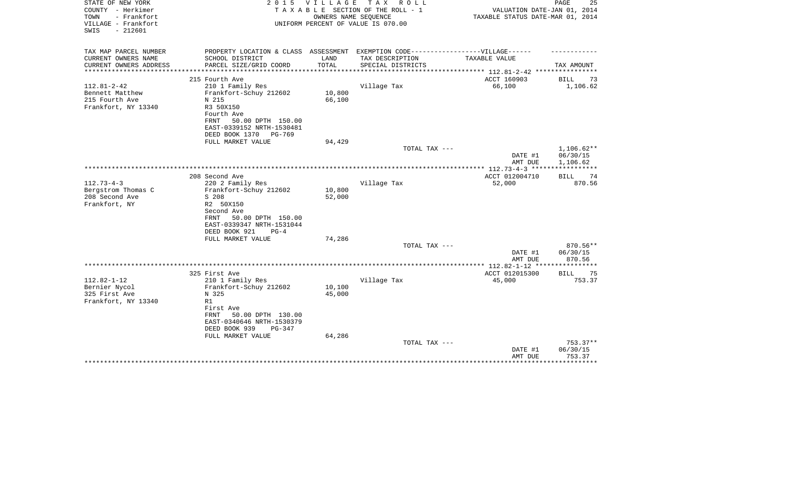| STATE OF NEW YORK<br>COUNTY - Herkimer<br>TOWN<br>- Frankfort<br>VILLAGE - Frankfort<br>$-212601$<br>SWIS | 2 0 1 5                                                                           | VILLAGE                      | TAX ROLL<br>TAXABLE SECTION OF THE ROLL - 1<br>OWNERS NAME SEQUENCE<br>UNIFORM PERCENT OF VALUE IS 070.00 | VALUATION DATE-JAN 01, 2014<br>TAXABLE STATUS DATE-MAR 01, 2014 | 25<br>PAGE         |
|-----------------------------------------------------------------------------------------------------------|-----------------------------------------------------------------------------------|------------------------------|-----------------------------------------------------------------------------------------------------------|-----------------------------------------------------------------|--------------------|
| TAX MAP PARCEL NUMBER                                                                                     | PROPERTY LOCATION & CLASS ASSESSMENT EXEMPTION CODE-----------------VILLAGE------ |                              |                                                                                                           |                                                                 |                    |
| CURRENT OWNERS NAME                                                                                       | SCHOOL DISTRICT                                                                   | LAND                         | TAX DESCRIPTION                                                                                           | TAXABLE VALUE                                                   |                    |
| CURRENT OWNERS ADDRESS<br>****************                                                                | PARCEL SIZE/GRID COORD<br>***************************                             | TOTAL<br>******************* | SPECIAL DISTRICTS                                                                                         | ************************** 112.81-2-42 ****************         | TAX AMOUNT         |
|                                                                                                           | 215 Fourth Ave                                                                    |                              |                                                                                                           | ACCT 160903                                                     | <b>BILL</b><br>73  |
| $112.81 - 2 - 42$                                                                                         | 210 1 Family Res                                                                  |                              | Village Tax                                                                                               | 66,100                                                          | 1,106.62           |
| Bennett Matthew                                                                                           | Frankfort-Schuy 212602                                                            | 10,800                       |                                                                                                           |                                                                 |                    |
| 215 Fourth Ave                                                                                            | N 215                                                                             | 66,100                       |                                                                                                           |                                                                 |                    |
| Frankfort, NY 13340                                                                                       | R3 50X150                                                                         |                              |                                                                                                           |                                                                 |                    |
|                                                                                                           | Fourth Ave                                                                        |                              |                                                                                                           |                                                                 |                    |
|                                                                                                           | 50.00 DPTH 150.00<br>FRNT<br>EAST-0339152 NRTH-1530481                            |                              |                                                                                                           |                                                                 |                    |
|                                                                                                           | DEED BOOK 1370<br>PG-769                                                          |                              |                                                                                                           |                                                                 |                    |
|                                                                                                           | FULL MARKET VALUE                                                                 | 94,429                       |                                                                                                           |                                                                 |                    |
|                                                                                                           |                                                                                   |                              | TOTAL TAX ---                                                                                             |                                                                 | $1,106.62**$       |
|                                                                                                           |                                                                                   |                              |                                                                                                           | DATE #1                                                         | 06/30/15           |
|                                                                                                           |                                                                                   |                              |                                                                                                           | AMT DUE                                                         | 1,106.62           |
|                                                                                                           | 208 Second Ave                                                                    |                              |                                                                                                           | ************* 112.73-4-3 ******************<br>ACCT 012004710   | BILL<br>74         |
| $112.73 - 4 - 3$                                                                                          | 220 2 Family Res                                                                  |                              | Village Tax                                                                                               | 52,000                                                          | 870.56             |
| Bergstrom Thomas C                                                                                        | Frankfort-Schuy 212602                                                            | 10,800                       |                                                                                                           |                                                                 |                    |
| 208 Second Ave                                                                                            | S 208                                                                             | 52,000                       |                                                                                                           |                                                                 |                    |
| Frankfort, NY                                                                                             | R2 50X150                                                                         |                              |                                                                                                           |                                                                 |                    |
|                                                                                                           | Second Ave                                                                        |                              |                                                                                                           |                                                                 |                    |
|                                                                                                           | 50.00 DPTH 150.00<br>FRNT<br>EAST-0339347 NRTH-1531044                            |                              |                                                                                                           |                                                                 |                    |
|                                                                                                           | DEED BOOK 921<br>$PG-4$                                                           |                              |                                                                                                           |                                                                 |                    |
|                                                                                                           | FULL MARKET VALUE                                                                 | 74,286                       |                                                                                                           |                                                                 |                    |
|                                                                                                           |                                                                                   |                              | TOTAL TAX ---                                                                                             |                                                                 | 870.56**           |
|                                                                                                           |                                                                                   |                              |                                                                                                           | DATE #1                                                         | 06/30/15           |
|                                                                                                           |                                                                                   |                              |                                                                                                           | AMT DUE<br>**************** 112.82-1-12 *****************       | 870.56             |
|                                                                                                           | 325 First Ave                                                                     |                              |                                                                                                           | ACCT 012015300                                                  | <b>BILL</b><br>75  |
| $112.82 - 1 - 12$                                                                                         | 210 1 Family Res                                                                  |                              | Village Tax                                                                                               | 45,000                                                          | 753.37             |
| Bernier Nycol                                                                                             | Frankfort-Schuy 212602                                                            | 10,100                       |                                                                                                           |                                                                 |                    |
| 325 First Ave                                                                                             | N 325                                                                             | 45,000                       |                                                                                                           |                                                                 |                    |
| Frankfort, NY 13340                                                                                       | R1                                                                                |                              |                                                                                                           |                                                                 |                    |
|                                                                                                           | First Ave<br>FRNT                                                                 |                              |                                                                                                           |                                                                 |                    |
|                                                                                                           | 50.00 DPTH 130.00<br>EAST-0340646 NRTH-1530379                                    |                              |                                                                                                           |                                                                 |                    |
|                                                                                                           | DEED BOOK 939<br>PG-347                                                           |                              |                                                                                                           |                                                                 |                    |
|                                                                                                           | FULL MARKET VALUE                                                                 | 64,286                       |                                                                                                           |                                                                 |                    |
|                                                                                                           |                                                                                   |                              | TOTAL TAX ---                                                                                             |                                                                 | $753.37**$         |
|                                                                                                           |                                                                                   |                              |                                                                                                           | DATE #1                                                         | 06/30/15           |
|                                                                                                           |                                                                                   |                              |                                                                                                           | AMT DUE                                                         | 753.37<br>******** |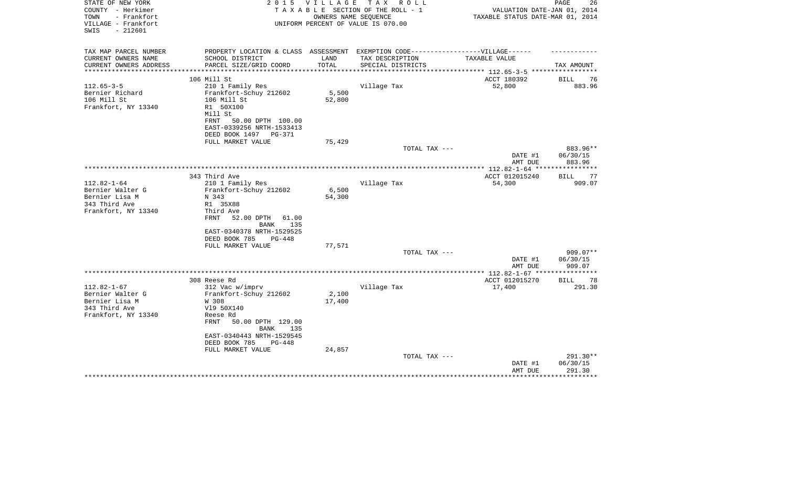| STATE OF NEW YORK<br>COUNTY - Herkimer<br>- Frankfort<br>TOWN<br>VILLAGE - Frankfort<br>$-212601$<br>SWIS | 2 0 1 5                                                                           | V I L L A G E   | T A X<br>R O L L<br>TAXABLE SECTION OF THE ROLL - 1<br>OWNERS NAME SEOUENCE<br>UNIFORM PERCENT OF VALUE IS 070.00 | VALUATION DATE-JAN 01, 2014<br>TAXABLE STATUS DATE-MAR 01, 2014 | PAGE<br>26         |
|-----------------------------------------------------------------------------------------------------------|-----------------------------------------------------------------------------------|-----------------|-------------------------------------------------------------------------------------------------------------------|-----------------------------------------------------------------|--------------------|
| TAX MAP PARCEL NUMBER                                                                                     | PROPERTY LOCATION & CLASS ASSESSMENT EXEMPTION CODE-----------------VILLAGE------ |                 |                                                                                                                   |                                                                 |                    |
| CURRENT OWNERS NAME                                                                                       | SCHOOL DISTRICT                                                                   | LAND            | TAX DESCRIPTION                                                                                                   | TAXABLE VALUE                                                   |                    |
| CURRENT OWNERS ADDRESS                                                                                    | PARCEL SIZE/GRID COORD                                                            | TOTAL           | SPECIAL DISTRICTS                                                                                                 |                                                                 | TAX AMOUNT         |
| **********************                                                                                    |                                                                                   |                 |                                                                                                                   |                                                                 |                    |
|                                                                                                           | 106 Mill St                                                                       |                 |                                                                                                                   | ACCT 180392                                                     | BILL<br>76         |
| $112.65 - 3 - 5$                                                                                          | 210 1 Family Res                                                                  |                 | Village Tax                                                                                                       | 52,800                                                          | 883.96             |
| Bernier Richard<br>106 Mill St                                                                            | Frankfort-Schuy 212602<br>106 Mill St                                             | 5,500<br>52,800 |                                                                                                                   |                                                                 |                    |
| Frankfort, NY 13340                                                                                       | R1 50X100<br>Mill St                                                              |                 |                                                                                                                   |                                                                 |                    |
|                                                                                                           | FRNT<br>50.00 DPTH 100.00<br>EAST-0339256 NRTH-1533413                            |                 |                                                                                                                   |                                                                 |                    |
|                                                                                                           | DEED BOOK 1497 PG-371<br>FULL MARKET VALUE                                        | 75,429          |                                                                                                                   |                                                                 |                    |
|                                                                                                           |                                                                                   |                 | TOTAL TAX ---                                                                                                     |                                                                 | 883.96**           |
|                                                                                                           |                                                                                   |                 |                                                                                                                   | DATE #1                                                         | 06/30/15           |
|                                                                                                           |                                                                                   |                 |                                                                                                                   | AMT DUE                                                         | 883.96             |
|                                                                                                           |                                                                                   |                 |                                                                                                                   |                                                                 | **********         |
|                                                                                                           | 343 Third Ave                                                                     |                 |                                                                                                                   | ACCT 012015240                                                  | <b>BILL</b><br>77  |
| $112.82 - 1 - 64$                                                                                         | 210 1 Family Res                                                                  |                 | Village Tax                                                                                                       | 54,300                                                          | 909.07             |
| Bernier Walter G                                                                                          | Frankfort-Schuy 212602                                                            | 6,500           |                                                                                                                   |                                                                 |                    |
| Bernier Lisa M<br>343 Third Ave                                                                           | N 343                                                                             | 54,300          |                                                                                                                   |                                                                 |                    |
| Frankfort, NY 13340                                                                                       | R1 35X88<br>Third Ave                                                             |                 |                                                                                                                   |                                                                 |                    |
|                                                                                                           | FRNT<br>52.00 DPTH<br>61.00<br>135<br>BANK                                        |                 |                                                                                                                   |                                                                 |                    |
|                                                                                                           | EAST-0340378 NRTH-1529525                                                         |                 |                                                                                                                   |                                                                 |                    |
|                                                                                                           | DEED BOOK 785<br>PG-448                                                           |                 |                                                                                                                   |                                                                 |                    |
|                                                                                                           | FULL MARKET VALUE                                                                 | 77,571          |                                                                                                                   |                                                                 |                    |
|                                                                                                           |                                                                                   |                 | TOTAL TAX ---                                                                                                     |                                                                 | $909.07**$         |
|                                                                                                           |                                                                                   |                 |                                                                                                                   | DATE #1<br>AMT DUE<br>**** 112.82-1-67 **                       | 06/30/15<br>909.07 |
|                                                                                                           | 308 Reese Rd                                                                      |                 |                                                                                                                   | ACCT 012015270                                                  | 78<br><b>BILL</b>  |
| $112.82 - 1 - 67$                                                                                         | 312 Vac w/imprv                                                                   |                 | Village Tax                                                                                                       | 17,400                                                          | 291.30             |
| Bernier Walter G                                                                                          | Frankfort-Schuy 212602                                                            | 2,100           |                                                                                                                   |                                                                 |                    |
| Bernier Lisa M                                                                                            | W 308                                                                             | 17,400          |                                                                                                                   |                                                                 |                    |
| 343 Third Ave                                                                                             | V19 50X140                                                                        |                 |                                                                                                                   |                                                                 |                    |
| Frankfort, NY 13340                                                                                       | Reese Rd                                                                          |                 |                                                                                                                   |                                                                 |                    |
|                                                                                                           | 50.00 DPTH 129.00<br>FRNT<br><b>BANK</b><br>135                                   |                 |                                                                                                                   |                                                                 |                    |
|                                                                                                           | EAST-0340443 NRTH-1529545                                                         |                 |                                                                                                                   |                                                                 |                    |
|                                                                                                           | DEED BOOK 785<br>$PG-448$                                                         |                 |                                                                                                                   |                                                                 |                    |
|                                                                                                           | FULL MARKET VALUE                                                                 | 24,857          | TOTAL TAX ---                                                                                                     |                                                                 | 291.30**           |
|                                                                                                           |                                                                                   |                 |                                                                                                                   | DATE #1                                                         | 06/30/15           |
|                                                                                                           |                                                                                   |                 |                                                                                                                   | AMT DUE                                                         | 291.30             |
|                                                                                                           |                                                                                   |                 |                                                                                                                   |                                                                 |                    |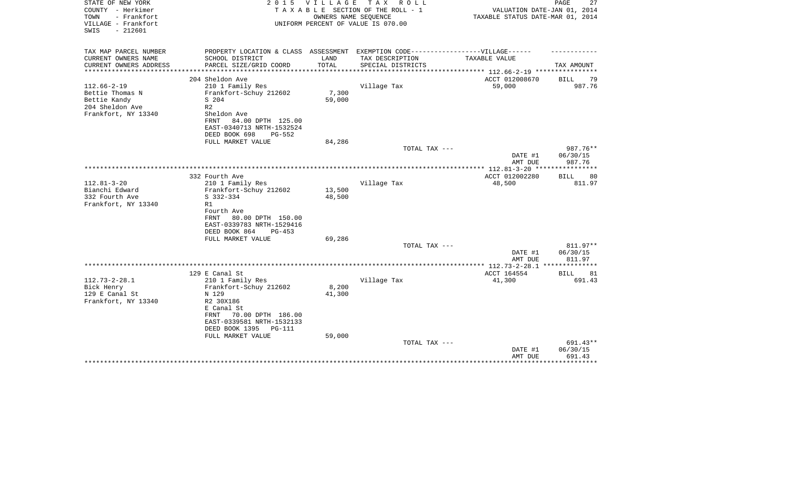| STATE OF NEW YORK<br>COUNTY - Herkimer<br>- Frankfort<br>TOWN<br>VILLAGE - Frankfort<br>$-212601$<br>SWIS | 2 0 1 5                                                                                                                                                                              | VILLAGE                   | T A X<br>ROLL ROLL<br>TAXABLE SECTION OF THE ROLL - 1<br>OWNERS NAME SEQUENCE<br>UNIFORM PERCENT OF VALUE IS 070.00 | VALUATION DATE-JAN 01, 2014<br>TAXABLE STATUS DATE-MAR 01, 2014 | 27<br>PAGE                     |
|-----------------------------------------------------------------------------------------------------------|--------------------------------------------------------------------------------------------------------------------------------------------------------------------------------------|---------------------------|---------------------------------------------------------------------------------------------------------------------|-----------------------------------------------------------------|--------------------------------|
| TAX MAP PARCEL NUMBER                                                                                     | PROPERTY LOCATION & CLASS ASSESSMENT                                                                                                                                                 |                           | EXEMPTION CODE------------------VILLAGE------                                                                       |                                                                 |                                |
| CURRENT OWNERS NAME<br>CURRENT OWNERS ADDRESS<br>****************                                         | SCHOOL DISTRICT<br>PARCEL SIZE/GRID COORD                                                                                                                                            | LAND<br>TOTAL             | TAX DESCRIPTION<br>SPECIAL DISTRICTS                                                                                | TAXABLE VALUE                                                   | TAX AMOUNT                     |
|                                                                                                           | 204 Sheldon Ave                                                                                                                                                                      |                           |                                                                                                                     | ACCT 012008670                                                  | <b>BILL</b><br>79              |
| $112.66 - 2 - 19$<br>Bettie Thomas N<br>Bettie Kandy<br>204 Sheldon Ave<br>Frankfort, NY 13340            | 210 1 Family Res<br>Frankfort-Schuy 212602<br>S 204<br>R <sub>2</sub><br>Sheldon Ave<br>84.00 DPTH 125.00<br>FRNT<br>EAST-0340713 NRTH-1532524<br>DEED BOOK 698<br>$PG-552$          | 7,300<br>59,000           | Village Tax                                                                                                         | 59,000                                                          | 987.76                         |
|                                                                                                           | FULL MARKET VALUE                                                                                                                                                                    | 84,286                    |                                                                                                                     |                                                                 |                                |
|                                                                                                           |                                                                                                                                                                                      |                           | TOTAL TAX ---                                                                                                       |                                                                 | 987.76**                       |
|                                                                                                           |                                                                                                                                                                                      |                           |                                                                                                                     | DATE #1<br>AMT DUE                                              | 06/30/15<br>987.76             |
|                                                                                                           |                                                                                                                                                                                      |                           |                                                                                                                     | ************* 112.81-3-20 *****************                     |                                |
| $112.81 - 3 - 20$<br>Bianchi Edward<br>332 Fourth Ave<br>Frankfort, NY 13340                              | 332 Fourth Ave<br>210 1 Family Res<br>Frankfort-Schuy 212602<br>S 332-334<br>R1<br>Fourth Ave<br>80.00 DPTH 150.00<br>FRNT<br>EAST-0339783 NRTH-1529416<br>DEED BOOK 864<br>$PG-453$ | 13,500<br>48,500          | Village Tax                                                                                                         | ACCT 012002280<br>48,500                                        | <b>BILL</b><br>80<br>811.97    |
|                                                                                                           | FULL MARKET VALUE                                                                                                                                                                    | 69,286                    |                                                                                                                     |                                                                 |                                |
|                                                                                                           |                                                                                                                                                                                      |                           | TOTAL TAX ---                                                                                                       | DATE #1<br>AMT DUE                                              | 811.97**<br>06/30/15<br>811.97 |
|                                                                                                           |                                                                                                                                                                                      |                           |                                                                                                                     |                                                                 |                                |
| $112.73 - 2 - 28.1$                                                                                       | 129 E Canal St<br>210 1 Family Res                                                                                                                                                   |                           | Village Tax                                                                                                         | ACCT 164554<br>41,300                                           | <b>BILL</b><br>81<br>691.43    |
| Bick Henry<br>129 E Canal St<br>Frankfort, NY 13340                                                       | Frankfort-Schuy 212602<br>N 129<br>R2 30X186<br>E Canal St<br>70.00 DPTH 186.00<br>FRNT<br>EAST-0339581 NRTH-1532133<br>DEED BOOK 1395<br>PG-111<br>FULL MARKET VALUE                | 8,200<br>41,300<br>59,000 |                                                                                                                     |                                                                 |                                |
|                                                                                                           |                                                                                                                                                                                      |                           | TOTAL TAX ---                                                                                                       | DATE #1<br>AMT DUE                                              | 691.43**<br>06/30/15<br>691.43 |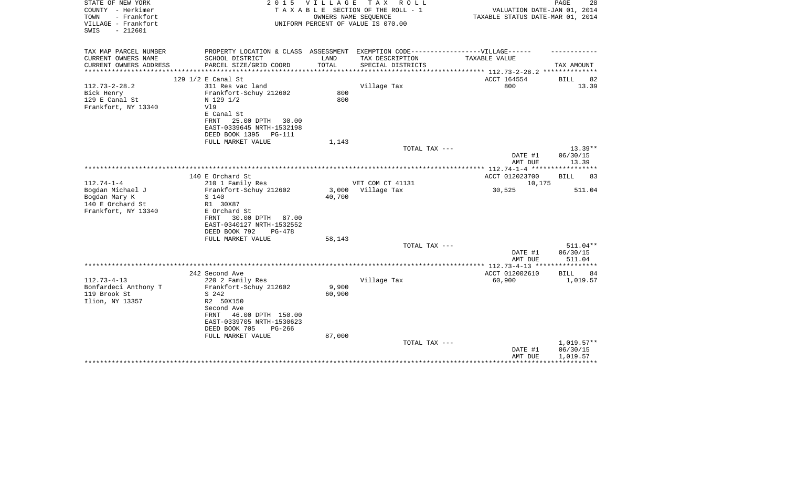| STATE OF NEW YORK<br>COUNTY - Herkimer<br>TOWN<br>- Frankfort<br>VILLAGE - Frankfort | 2 0 1 5                                                                           | V I L L A G E             | T A X<br>R O L L<br>TAXABLE SECTION OF THE ROLL - 1<br>OWNERS NAME SEQUENCE<br>UNIFORM PERCENT OF VALUE IS 070.00 | VALUATION DATE-JAN 01, 2014<br>TAXABLE STATUS DATE-MAR 01, 2014 | PAGE<br>28   |
|--------------------------------------------------------------------------------------|-----------------------------------------------------------------------------------|---------------------------|-------------------------------------------------------------------------------------------------------------------|-----------------------------------------------------------------|--------------|
| $-212601$<br>SWIS                                                                    |                                                                                   |                           |                                                                                                                   |                                                                 |              |
| TAX MAP PARCEL NUMBER                                                                | PROPERTY LOCATION & CLASS ASSESSMENT EXEMPTION CODE-----------------VILLAGE------ |                           |                                                                                                                   |                                                                 |              |
| CURRENT OWNERS NAME                                                                  | SCHOOL DISTRICT                                                                   | LAND                      | TAX DESCRIPTION                                                                                                   | TAXABLE VALUE                                                   |              |
| CURRENT OWNERS ADDRESS                                                               | PARCEL SIZE/GRID COORD                                                            | TOTAL<br>**************** | SPECIAL DISTRICTS                                                                                                 | ******************* 112.73-2-28.2 **************                | TAX AMOUNT   |
|                                                                                      | 129 1/2 E Canal St                                                                |                           |                                                                                                                   | ACCT 164554                                                     | BILL<br>82   |
| $112.73 - 2 - 28.2$                                                                  | 311 Res vac land                                                                  |                           | Village Tax                                                                                                       | 800                                                             | 13.39        |
| Bick Henry                                                                           | Frankfort-Schuy 212602                                                            | 800                       |                                                                                                                   |                                                                 |              |
| 129 E Canal St                                                                       | N 129 1/2                                                                         | 800                       |                                                                                                                   |                                                                 |              |
| Frankfort, NY 13340                                                                  | Vl9                                                                               |                           |                                                                                                                   |                                                                 |              |
|                                                                                      | E Canal St                                                                        |                           |                                                                                                                   |                                                                 |              |
|                                                                                      | 25.00 DPTH<br>FRNT<br>30.00                                                       |                           |                                                                                                                   |                                                                 |              |
|                                                                                      | EAST-0339645 NRTH-1532198<br>DEED BOOK 1395<br>PG-111                             |                           |                                                                                                                   |                                                                 |              |
|                                                                                      | FULL MARKET VALUE                                                                 | 1,143                     |                                                                                                                   |                                                                 |              |
|                                                                                      |                                                                                   |                           | TOTAL TAX ---                                                                                                     |                                                                 | $13.39**$    |
|                                                                                      |                                                                                   |                           |                                                                                                                   | DATE #1                                                         | 06/30/15     |
|                                                                                      |                                                                                   |                           |                                                                                                                   | AMT DUE                                                         | 13.39        |
|                                                                                      |                                                                                   |                           |                                                                                                                   |                                                                 |              |
| $112.74 - 1 - 4$                                                                     | 140 E Orchard St<br>210 1 Family Res                                              |                           | VET COM CT 41131                                                                                                  | ACCT 012023700<br>10,175                                        | BILL<br>83   |
| Bogdan Michael J                                                                     | Frankfort-Schuy 212602                                                            | 3,000                     | Village Tax                                                                                                       | 30,525                                                          | 511.04       |
| Bogdan Mary K                                                                        | S 140                                                                             | 40,700                    |                                                                                                                   |                                                                 |              |
| 140 E Orchard St                                                                     | R1 30X87                                                                          |                           |                                                                                                                   |                                                                 |              |
| Frankfort, NY 13340                                                                  | E Orchard St                                                                      |                           |                                                                                                                   |                                                                 |              |
|                                                                                      | 30.00 DPTH 87.00<br>FRNT                                                          |                           |                                                                                                                   |                                                                 |              |
|                                                                                      | EAST-0340127 NRTH-1532552                                                         |                           |                                                                                                                   |                                                                 |              |
|                                                                                      | DEED BOOK 792<br>$PG-478$<br>FULL MARKET VALUE                                    | 58,143                    |                                                                                                                   |                                                                 |              |
|                                                                                      |                                                                                   |                           | TOTAL TAX ---                                                                                                     |                                                                 | 511.04**     |
|                                                                                      |                                                                                   |                           |                                                                                                                   | DATE #1                                                         | 06/30/15     |
|                                                                                      |                                                                                   |                           |                                                                                                                   | AMT DUE                                                         | 511.04       |
|                                                                                      |                                                                                   |                           |                                                                                                                   |                                                                 |              |
|                                                                                      | 242 Second Ave                                                                    |                           |                                                                                                                   | ACCT 012002610                                                  | BILL<br>84   |
| $112.73 - 4 - 13$<br>Bonfardeci Anthony T                                            | 220 2 Family Res<br>Frankfort-Schuy 212602                                        | 9,900                     | Village Tax                                                                                                       | 60,900                                                          | 1,019.57     |
| 119 Brook St                                                                         | S 242                                                                             | 60,900                    |                                                                                                                   |                                                                 |              |
| Ilion, NY 13357                                                                      | R2 50X150                                                                         |                           |                                                                                                                   |                                                                 |              |
|                                                                                      | Second Ave                                                                        |                           |                                                                                                                   |                                                                 |              |
|                                                                                      | 46.00 DPTH 150.00<br>FRNT                                                         |                           |                                                                                                                   |                                                                 |              |
|                                                                                      | EAST-0339705 NRTH-1530623                                                         |                           |                                                                                                                   |                                                                 |              |
|                                                                                      | DEED BOOK 705<br>$PG-266$                                                         |                           |                                                                                                                   |                                                                 |              |
|                                                                                      | FULL MARKET VALUE                                                                 | 87,000                    | TOTAL TAX ---                                                                                                     |                                                                 | $1,019.57**$ |
|                                                                                      |                                                                                   |                           |                                                                                                                   | DATE #1                                                         | 06/30/15     |
|                                                                                      |                                                                                   |                           |                                                                                                                   | AMT DUE                                                         | 1,019.57     |
|                                                                                      |                                                                                   |                           |                                                                                                                   |                                                                 |              |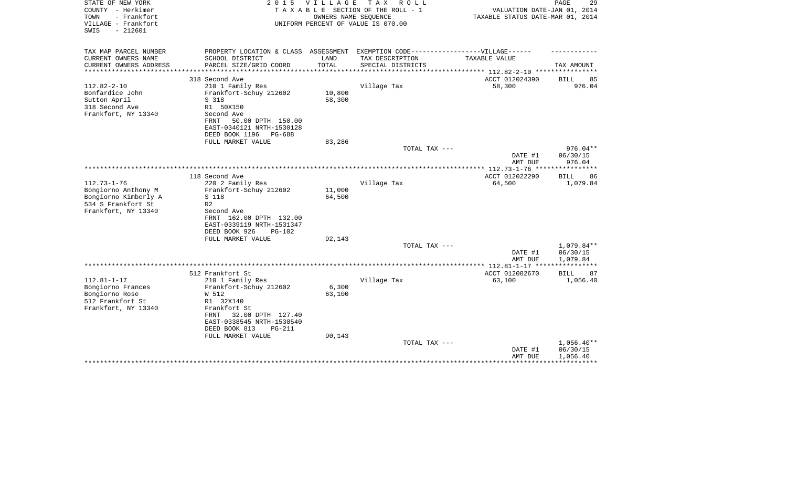| STATE OF NEW YORK<br>COUNTY - Herkimer<br>TOWN<br>- Frankfort<br>VILLAGE - Frankfort | 2 0 1 5                                               | V I L L A G E         | T A X<br>R O L L<br>TAXABLE SECTION OF THE ROLL - 1<br>OWNERS NAME SEQUENCE<br>UNIFORM PERCENT OF VALUE IS 070.00 | VALUATION DATE-JAN 01, 2014<br>TAXABLE STATUS DATE-MAR 01, 2014 | PAGE<br>29                    |
|--------------------------------------------------------------------------------------|-------------------------------------------------------|-----------------------|-------------------------------------------------------------------------------------------------------------------|-----------------------------------------------------------------|-------------------------------|
| $-212601$<br>SWIS                                                                    |                                                       |                       |                                                                                                                   |                                                                 |                               |
| TAX MAP PARCEL NUMBER                                                                | PROPERTY LOCATION & CLASS ASSESSMENT                  |                       | EXEMPTION CODE------------------VILLAGE------                                                                     |                                                                 |                               |
| CURRENT OWNERS NAME                                                                  | SCHOOL DISTRICT                                       | LAND                  | TAX DESCRIPTION                                                                                                   | TAXABLE VALUE                                                   |                               |
| CURRENT OWNERS ADDRESS<br>*************                                              | PARCEL SIZE/GRID COORD<br>************************    | TOTAL<br>************ | SPECIAL DISTRICTS                                                                                                 | ****************** 112.82-2-10 *****************                | TAX AMOUNT                    |
|                                                                                      | 318 Second Ave                                        |                       |                                                                                                                   | ACCT 012024390                                                  | BILL<br>85                    |
| $112.82 - 2 - 10$                                                                    | 210 1 Family Res                                      |                       | Village Tax                                                                                                       | 58,300                                                          | 976.04                        |
| Bonfardice John                                                                      | Frankfort-Schuy 212602                                | 10,800                |                                                                                                                   |                                                                 |                               |
| Sutton April                                                                         | S 318                                                 | 58,300                |                                                                                                                   |                                                                 |                               |
| 318 Second Ave                                                                       | R1 50X150                                             |                       |                                                                                                                   |                                                                 |                               |
| Frankfort, NY 13340                                                                  | Second Ave                                            |                       |                                                                                                                   |                                                                 |                               |
|                                                                                      | 50.00 DPTH 150.00<br>FRNT                             |                       |                                                                                                                   |                                                                 |                               |
|                                                                                      | EAST-0340121 NRTH-1530128<br>DEED BOOK 1196<br>PG-688 |                       |                                                                                                                   |                                                                 |                               |
|                                                                                      | FULL MARKET VALUE                                     | 83,286                |                                                                                                                   |                                                                 |                               |
|                                                                                      |                                                       |                       | TOTAL TAX ---                                                                                                     |                                                                 | $976.04**$                    |
|                                                                                      |                                                       |                       |                                                                                                                   | DATE #1                                                         | 06/30/15                      |
|                                                                                      |                                                       |                       |                                                                                                                   | AMT DUE                                                         | 976.04                        |
|                                                                                      |                                                       |                       |                                                                                                                   |                                                                 |                               |
| $112.73 - 1 - 76$                                                                    | 118 Second Ave<br>220 2 Family Res                    |                       | Village Tax                                                                                                       | ACCT 012022290<br>64,500                                        | <b>BILL</b><br>86<br>1,079.84 |
| Bongiorno Anthony M                                                                  | Frankfort-Schuy 212602                                | 11,000                |                                                                                                                   |                                                                 |                               |
| Bongiorno Kimberly A                                                                 | S 118                                                 | 64,500                |                                                                                                                   |                                                                 |                               |
| 534 S Frankfort St                                                                   | R <sub>2</sub>                                        |                       |                                                                                                                   |                                                                 |                               |
| Frankfort, NY 13340                                                                  | Second Ave                                            |                       |                                                                                                                   |                                                                 |                               |
|                                                                                      | FRNT 162.00 DPTH 132.00                               |                       |                                                                                                                   |                                                                 |                               |
|                                                                                      | EAST-0339119 NRTH-1531347                             |                       |                                                                                                                   |                                                                 |                               |
|                                                                                      | DEED BOOK 926<br>$PG-102$                             |                       |                                                                                                                   |                                                                 |                               |
|                                                                                      | FULL MARKET VALUE                                     | 92,143                |                                                                                                                   |                                                                 | 1,079.84**                    |
|                                                                                      |                                                       |                       | TOTAL TAX ---                                                                                                     | DATE #1                                                         | 06/30/15                      |
|                                                                                      |                                                       |                       |                                                                                                                   | AMT DUE                                                         | 1,079.84                      |
|                                                                                      |                                                       |                       |                                                                                                                   |                                                                 | * * * * * * * * * * *         |
|                                                                                      | 512 Frankfort St                                      |                       |                                                                                                                   | ACCT 012002670                                                  | <b>BILL</b><br>87             |
| $112.81 - 1 - 17$                                                                    | 210 1 Family Res                                      |                       | Village Tax                                                                                                       | 63,100                                                          | 1,056.40                      |
| Bongiorno Frances                                                                    | Frankfort-Schuy 212602                                | 6,300                 |                                                                                                                   |                                                                 |                               |
| Bongiorno Rose                                                                       | W 512                                                 | 63,100                |                                                                                                                   |                                                                 |                               |
| 512 Frankfort St                                                                     | R1 32X140<br>Frankfort St                             |                       |                                                                                                                   |                                                                 |                               |
| Frankfort, NY 13340                                                                  | FRNT<br>32.00 DPTH 127.40                             |                       |                                                                                                                   |                                                                 |                               |
|                                                                                      | EAST-0338545 NRTH-1530540                             |                       |                                                                                                                   |                                                                 |                               |
|                                                                                      | DEED BOOK 813<br>$PG-211$                             |                       |                                                                                                                   |                                                                 |                               |
|                                                                                      | FULL MARKET VALUE                                     | 90,143                |                                                                                                                   |                                                                 |                               |
|                                                                                      |                                                       |                       | TOTAL TAX ---                                                                                                     |                                                                 | $1,056.40**$                  |
|                                                                                      |                                                       |                       |                                                                                                                   | DATE #1                                                         | 06/30/15                      |
|                                                                                      |                                                       |                       |                                                                                                                   |                                                                 |                               |
|                                                                                      |                                                       |                       |                                                                                                                   | AMT DUE                                                         | 1,056.40                      |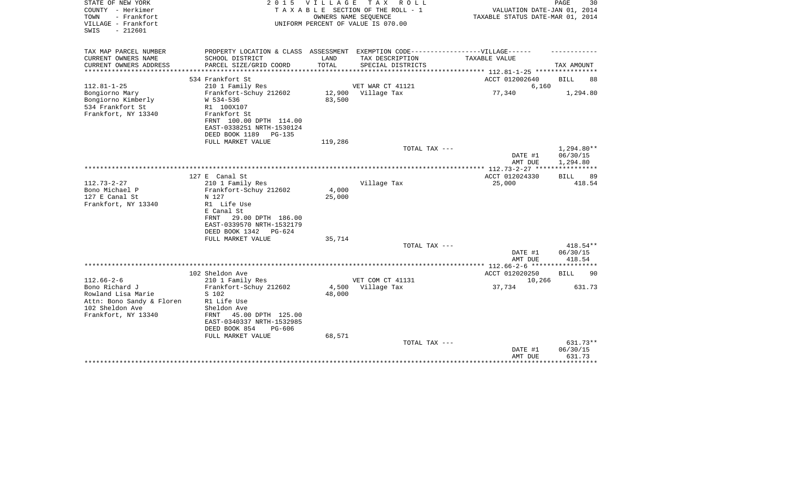| STATE OF NEW YORK<br>COUNTY - Herkimer<br>- Frankfort<br>TOWN<br>VILLAGE - Frankfort<br>SWIS<br>$-212601$   | 2 0 1 5                                                                                                                                                                                    | VILLAGE                   | TAX ROLL<br>TAXABLE SECTION OF THE ROLL - 1<br>OWNERS NAME SEOUENCE<br>UNIFORM PERCENT OF VALUE IS 070.00 | VALUATION DATE-JAN 01, 2014<br>TAXABLE STATUS DATE-MAR 01, 2014 | PAGE<br>30                                  |
|-------------------------------------------------------------------------------------------------------------|--------------------------------------------------------------------------------------------------------------------------------------------------------------------------------------------|---------------------------|-----------------------------------------------------------------------------------------------------------|-----------------------------------------------------------------|---------------------------------------------|
| TAX MAP PARCEL NUMBER<br>CURRENT OWNERS NAME                                                                | PROPERTY LOCATION & CLASS ASSESSMENT EXEMPTION CODE-----------------VILLAGE------<br>SCHOOL DISTRICT                                                                                       | LAND                      | TAX DESCRIPTION                                                                                           | TAXABLE VALUE                                                   |                                             |
| CURRENT OWNERS ADDRESS                                                                                      | PARCEL SIZE/GRID COORD                                                                                                                                                                     | TOTAL                     | SPECIAL DISTRICTS                                                                                         |                                                                 | TAX AMOUNT                                  |
|                                                                                                             |                                                                                                                                                                                            | *****************         |                                                                                                           | ************* 112.81-1-25 ***********                           |                                             |
| $112.81 - 1 - 25$                                                                                           | 534 Frankfort St<br>210 1 Family Res                                                                                                                                                       |                           | VET WAR CT 41121                                                                                          | ACCT 012002640<br>6,160                                         | <b>BILL</b><br>88                           |
| Bongiorno Mary<br>Bongiorno Kimberly<br>534 Frankfort St<br>Frankfort, NY 13340                             | Frankfort-Schuy 212602<br>W 534-536<br>R1 100X107<br>Frankfort St<br>FRNT 100.00 DPTH 114.00<br>EAST-0338251 NRTH-1530124<br>DEED BOOK 1189<br>$PG-135$                                    | 12,900<br>83,500          | Village Tax                                                                                               | 77,340                                                          | 1,294.80                                    |
|                                                                                                             | FULL MARKET VALUE                                                                                                                                                                          | 119,286                   |                                                                                                           |                                                                 |                                             |
|                                                                                                             |                                                                                                                                                                                            |                           | TOTAL TAX ---                                                                                             | DATE #1<br>AMT DUE                                              | 1,294.80**<br>06/30/15<br>1,294.80          |
|                                                                                                             |                                                                                                                                                                                            |                           |                                                                                                           |                                                                 |                                             |
| $112.73 - 2 - 27$<br>Bono Michael P<br>127 E Canal St<br>Frankfort, NY 13340                                | 127 E Canal St<br>210 1 Family Res<br>Frankfort-Schuy 212602<br>N 127<br>R1 Life Use<br>E Canal St<br>29.00 DPTH 186.00<br>FRNT<br>EAST-0339570 NRTH-1532179<br>DEED BOOK 1342<br>$PG-624$ | 4,000<br>25,000           | Village Tax                                                                                               | ACCT 012024330<br>25,000                                        | BILL<br>89<br>418.54                        |
|                                                                                                             | FULL MARKET VALUE                                                                                                                                                                          | 35,714                    |                                                                                                           |                                                                 |                                             |
|                                                                                                             |                                                                                                                                                                                            |                           | TOTAL TAX ---                                                                                             | DATE #1<br>AMT DUE                                              | 418.54**<br>06/30/15<br>418.54              |
|                                                                                                             |                                                                                                                                                                                            |                           |                                                                                                           |                                                                 |                                             |
| $112.66 - 2 - 6$                                                                                            | 102 Sheldon Ave<br>210 1 Family Res                                                                                                                                                        |                           | VET COM CT 41131                                                                                          | ACCT 012020250<br>10,266                                        | <b>BILL</b><br>90                           |
| Bono Richard J<br>Rowland Lisa Marie<br>Attn: Bono Sandy & Floren<br>102 Sheldon Ave<br>Frankfort, NY 13340 | Frankfort-Schuy 212602<br>S 102<br>R1 Life Use<br>Sheldon Ave<br>45.00 DPTH 125.00<br>FRNT<br>EAST-0340337 NRTH-1532985<br>DEED BOOK 854<br>PG-606<br>FULL MARKET VALUE                    | 4,500<br>48,000<br>68,571 | Village Tax                                                                                               | 37,734                                                          | 631.73                                      |
|                                                                                                             |                                                                                                                                                                                            |                           | TOTAL TAX ---                                                                                             | DATE #1<br>AMT DUE                                              | 631.73**<br>06/30/15<br>631.73<br>********* |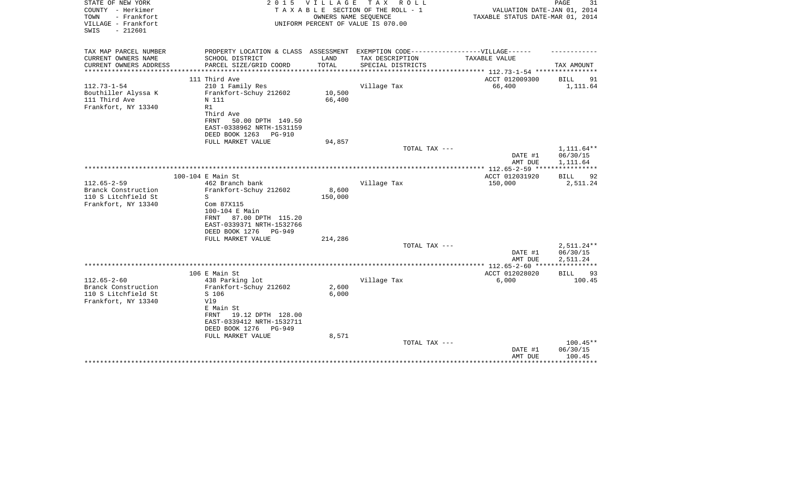| STATE OF NEW YORK<br>COUNTY - Herkimer<br>- Frankfort<br>TOWN<br>VILLAGE - Frankfort | 2 0 1 5                                                                          | <b>VILLAGE</b>   | T A X<br>R O L L<br>TAXABLE SECTION OF THE ROLL - 1<br>OWNERS NAME SEQUENCE<br>UNIFORM PERCENT OF VALUE IS 070.00 | VALUATION DATE-JAN 01, 2014<br>TAXABLE STATUS DATE-MAR 01, 2014 | PAGE<br>31                    |
|--------------------------------------------------------------------------------------|----------------------------------------------------------------------------------|------------------|-------------------------------------------------------------------------------------------------------------------|-----------------------------------------------------------------|-------------------------------|
| $-212601$<br>SWIS                                                                    |                                                                                  |                  |                                                                                                                   |                                                                 |                               |
| TAX MAP PARCEL NUMBER                                                                | PROPERTY LOCATION & CLASS ASSESSMENT EXEMPTION CODE----------------VILLAGE------ |                  |                                                                                                                   |                                                                 |                               |
| CURRENT OWNERS NAME<br>CURRENT OWNERS ADDRESS                                        | SCHOOL DISTRICT<br>PARCEL SIZE/GRID COORD                                        | LAND<br>TOTAL    | TAX DESCRIPTION<br>SPECIAL DISTRICTS                                                                              | TAXABLE VALUE                                                   | TAX AMOUNT                    |
|                                                                                      |                                                                                  |                  |                                                                                                                   |                                                                 |                               |
|                                                                                      | 111 Third Ave                                                                    |                  |                                                                                                                   | ACCT 012009300                                                  | BILL<br>91                    |
| $112.73 - 1 - 54$                                                                    | 210 1 Family Res                                                                 |                  | Village Tax                                                                                                       | 66,400                                                          | 1,111.64                      |
| Bouthiller Alyssa K<br>111 Third Ave                                                 | Frankfort-Schuy 212602<br>N 111                                                  | 10,500<br>66,400 |                                                                                                                   |                                                                 |                               |
| Frankfort, NY 13340                                                                  | R1                                                                               |                  |                                                                                                                   |                                                                 |                               |
|                                                                                      | Third Ave                                                                        |                  |                                                                                                                   |                                                                 |                               |
|                                                                                      | 50.00 DPTH 149.50<br>FRNT                                                        |                  |                                                                                                                   |                                                                 |                               |
|                                                                                      | EAST-0338962 NRTH-1531159                                                        |                  |                                                                                                                   |                                                                 |                               |
|                                                                                      | DEED BOOK 1263<br><b>PG-910</b><br>FULL MARKET VALUE                             | 94,857           |                                                                                                                   |                                                                 |                               |
|                                                                                      |                                                                                  |                  | TOTAL TAX ---                                                                                                     |                                                                 | 1,111.64**                    |
|                                                                                      |                                                                                  |                  |                                                                                                                   | DATE #1                                                         | 06/30/15                      |
|                                                                                      |                                                                                  |                  |                                                                                                                   | AMT DUE                                                         | 1,111.64                      |
|                                                                                      |                                                                                  |                  |                                                                                                                   | **************** 112.65-2-59 *****************                  |                               |
| $112.65 - 2 - 59$                                                                    | 100-104 E Main St<br>462 Branch bank                                             |                  | Village Tax                                                                                                       | ACCT 012031920<br>150,000                                       | <b>BILL</b><br>92<br>2,511.24 |
| Branck Construction                                                                  | Frankfort-Schuy 212602                                                           | 8,600            |                                                                                                                   |                                                                 |                               |
| 110 S Litchfield St                                                                  | S                                                                                | 150,000          |                                                                                                                   |                                                                 |                               |
| Frankfort, NY 13340                                                                  | Com 87X115                                                                       |                  |                                                                                                                   |                                                                 |                               |
|                                                                                      | 100-104 E Main                                                                   |                  |                                                                                                                   |                                                                 |                               |
|                                                                                      | 87.00 DPTH 115.20<br>FRNT<br>EAST-0339371 NRTH-1532766                           |                  |                                                                                                                   |                                                                 |                               |
|                                                                                      | DEED BOOK 1276<br>PG-949                                                         |                  |                                                                                                                   |                                                                 |                               |
|                                                                                      | FULL MARKET VALUE                                                                | 214,286          |                                                                                                                   |                                                                 |                               |
|                                                                                      |                                                                                  |                  | TOTAL TAX ---                                                                                                     |                                                                 | 2,511.24**                    |
|                                                                                      |                                                                                  |                  |                                                                                                                   | DATE #1<br>AMT DUE                                              | 06/30/15<br>2,511.24          |
|                                                                                      |                                                                                  |                  |                                                                                                                   | *********** 112.65-2-60 *****************                       |                               |
|                                                                                      | 106 E Main St                                                                    |                  |                                                                                                                   | ACCT 012028020                                                  | <b>BILL</b><br>93             |
| $112.65 - 2 - 60$                                                                    | 438 Parking lot                                                                  |                  | Village Tax                                                                                                       | 6,000                                                           | 100.45                        |
| Branck Construction                                                                  | Frankfort-Schuy 212602                                                           | 2,600            |                                                                                                                   |                                                                 |                               |
| 110 S Litchfield St<br>Frankfort, NY 13340                                           | S 106<br>V19                                                                     | 6,000            |                                                                                                                   |                                                                 |                               |
|                                                                                      | E Main St                                                                        |                  |                                                                                                                   |                                                                 |                               |
|                                                                                      | 19.12 DPTH 128.00<br>FRNT                                                        |                  |                                                                                                                   |                                                                 |                               |
|                                                                                      | EAST-0339412 NRTH-1532711                                                        |                  |                                                                                                                   |                                                                 |                               |
|                                                                                      | DEED BOOK 1276<br>PG-949<br>FULL MARKET VALUE                                    | 8,571            |                                                                                                                   |                                                                 |                               |
|                                                                                      |                                                                                  |                  | TOTAL TAX ---                                                                                                     |                                                                 | $100.45**$                    |
|                                                                                      |                                                                                  |                  |                                                                                                                   | DATE #1                                                         | 06/30/15                      |
|                                                                                      |                                                                                  |                  |                                                                                                                   | AMT DUE                                                         | 100.45                        |
|                                                                                      |                                                                                  |                  |                                                                                                                   |                                                                 | *********                     |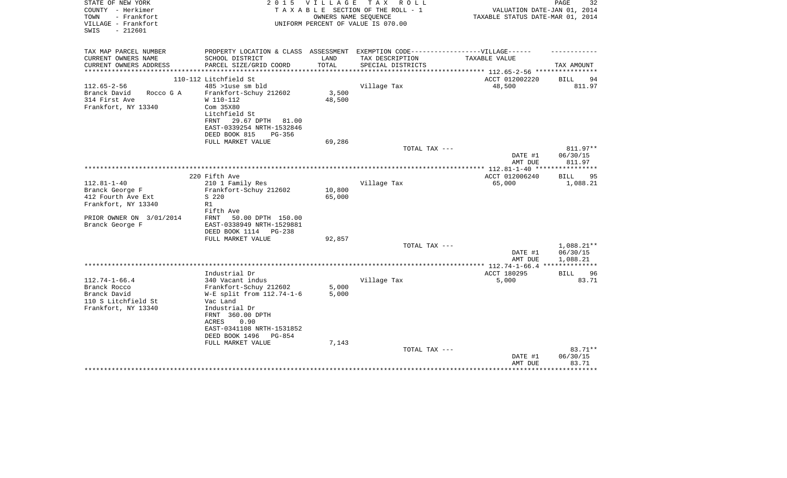| STATE OF NEW YORK<br>COUNTY - Herkimer<br>TOWN<br>- Frankfort<br>VILLAGE - Frankfort<br>$-212601$<br>SWIS | 2 0 1 5                                                                          | VILLAGE                      | T A X<br>R O L L<br>TAXABLE SECTION OF THE ROLL - 1<br>OWNERS NAME SEQUENCE<br>UNIFORM PERCENT OF VALUE IS 070.00 | VALUATION DATE-JAN 01, 2014<br>TAXABLE STATUS DATE-MAR 01, 2014 | PAGE<br>32               |
|-----------------------------------------------------------------------------------------------------------|----------------------------------------------------------------------------------|------------------------------|-------------------------------------------------------------------------------------------------------------------|-----------------------------------------------------------------|--------------------------|
| TAX MAP PARCEL NUMBER                                                                                     | PROPERTY LOCATION & CLASS ASSESSMENT EXEMPTION CODE----------------VILLAGE------ |                              |                                                                                                                   |                                                                 |                          |
| CURRENT OWNERS NAME                                                                                       | SCHOOL DISTRICT                                                                  | LAND                         | TAX DESCRIPTION                                                                                                   | TAXABLE VALUE                                                   |                          |
| CURRENT OWNERS ADDRESS                                                                                    | PARCEL SIZE/GRID COORD                                                           | TOTAL<br>* * * * * * * * * * | SPECIAL DISTRICTS                                                                                                 |                                                                 | TAX AMOUNT               |
|                                                                                                           | 110-112 Litchfield St                                                            |                              |                                                                                                                   | *********** 112.65-2-56 ****<br>ACCT 012002220                  | 94<br>BILL               |
| $112.65 - 2 - 56$                                                                                         | 485 >luse sm bld                                                                 |                              | Village Tax                                                                                                       | 48,500                                                          | 811.97                   |
| Branck David<br>Rocco G A                                                                                 | Frankfort-Schuy 212602                                                           | 3,500                        |                                                                                                                   |                                                                 |                          |
| 314 First Ave                                                                                             | W 110-112                                                                        | 48,500                       |                                                                                                                   |                                                                 |                          |
| Frankfort, NY 13340                                                                                       | Com 35X80                                                                        |                              |                                                                                                                   |                                                                 |                          |
|                                                                                                           | Litchfield St                                                                    |                              |                                                                                                                   |                                                                 |                          |
|                                                                                                           | FRNT<br>29.67 DPTH 81.00                                                         |                              |                                                                                                                   |                                                                 |                          |
|                                                                                                           | EAST-0339254 NRTH-1532846<br>DEED BOOK 815<br>PG-356                             |                              |                                                                                                                   |                                                                 |                          |
|                                                                                                           | FULL MARKET VALUE                                                                | 69,286                       |                                                                                                                   |                                                                 |                          |
|                                                                                                           |                                                                                  |                              | TOTAL TAX ---                                                                                                     |                                                                 | 811.97**                 |
|                                                                                                           |                                                                                  |                              |                                                                                                                   | DATE #1                                                         | 06/30/15                 |
|                                                                                                           |                                                                                  |                              |                                                                                                                   | AMT DUE                                                         | 811.97                   |
|                                                                                                           |                                                                                  |                              |                                                                                                                   | ***** $112.81 - 1 - 40$ ***                                     |                          |
|                                                                                                           | 220 Fifth Ave                                                                    |                              |                                                                                                                   | ACCT 012006240                                                  | <b>BILL</b><br>95        |
| $112.81 - 1 - 40$<br>Branck George F                                                                      | 210 1 Family Res<br>Frankfort-Schuy 212602                                       | 10,800                       | Village Tax                                                                                                       | 65,000                                                          | 1,088.21                 |
| 412 Fourth Ave Ext                                                                                        | S 220                                                                            | 65,000                       |                                                                                                                   |                                                                 |                          |
| Frankfort, NY 13340                                                                                       | R1                                                                               |                              |                                                                                                                   |                                                                 |                          |
|                                                                                                           | Fifth Ave                                                                        |                              |                                                                                                                   |                                                                 |                          |
| PRIOR OWNER ON 3/01/2014                                                                                  | <b>FRNT</b><br>50.00 DPTH 150.00                                                 |                              |                                                                                                                   |                                                                 |                          |
| Branck George F                                                                                           | EAST-0338949 NRTH-1529881                                                        |                              |                                                                                                                   |                                                                 |                          |
|                                                                                                           | DEED BOOK 1114<br>PG-238                                                         |                              |                                                                                                                   |                                                                 |                          |
|                                                                                                           | FULL MARKET VALUE                                                                | 92,857                       |                                                                                                                   |                                                                 |                          |
|                                                                                                           |                                                                                  |                              | TOTAL TAX ---                                                                                                     | DATE #1                                                         | $1,088.21**$<br>06/30/15 |
|                                                                                                           |                                                                                  |                              |                                                                                                                   | AMT DUE                                                         | 1,088.21                 |
|                                                                                                           |                                                                                  |                              |                                                                                                                   | ** 112.74-1-66.4 ***                                            | ***********              |
|                                                                                                           | Industrial Dr                                                                    |                              |                                                                                                                   | ACCT 180295                                                     | 96<br><b>BILL</b>        |
| $112.74 - 1 - 66.4$                                                                                       | 340 Vacant indus                                                                 |                              | Village Tax                                                                                                       | 5,000                                                           | 83.71                    |
| Branck Rocco                                                                                              | Frankfort-Schuy 212602                                                           | 5,000                        |                                                                                                                   |                                                                 |                          |
| Branck David                                                                                              | $W-E$ split from $112.74-1-6$                                                    | 5,000                        |                                                                                                                   |                                                                 |                          |
| 110 S Litchfield St                                                                                       | Vac Land                                                                         |                              |                                                                                                                   |                                                                 |                          |
| Frankfort, NY 13340                                                                                       | Industrial Dr<br>FRNT 360.00 DPTH                                                |                              |                                                                                                                   |                                                                 |                          |
|                                                                                                           | ACRES<br>0.90                                                                    |                              |                                                                                                                   |                                                                 |                          |
|                                                                                                           | EAST-0341108 NRTH-1531852                                                        |                              |                                                                                                                   |                                                                 |                          |
|                                                                                                           | DEED BOOK 1496<br>PG-854                                                         |                              |                                                                                                                   |                                                                 |                          |
|                                                                                                           | FULL MARKET VALUE                                                                | 7,143                        |                                                                                                                   |                                                                 |                          |
|                                                                                                           |                                                                                  |                              | TOTAL TAX ---                                                                                                     |                                                                 | $83.71**$                |
|                                                                                                           |                                                                                  |                              |                                                                                                                   | DATE #1                                                         | 06/30/15                 |
|                                                                                                           |                                                                                  |                              |                                                                                                                   | AMT DUE                                                         | 83.71                    |
|                                                                                                           |                                                                                  |                              |                                                                                                                   |                                                                 |                          |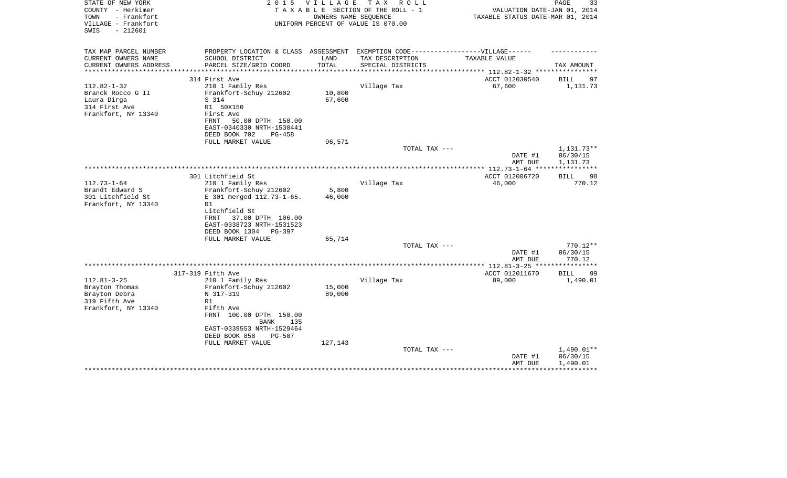| STATE OF NEW YORK<br>COUNTY - Herkimer<br>TOWN<br>- Frankfort<br>VILLAGE - Frankfort | 2 0 1 5                                                                           | <b>VILLAGE</b> | T A X<br>R O L L<br>TAXABLE SECTION OF THE ROLL - 1<br>OWNERS NAME SEQUENCE<br>UNIFORM PERCENT OF VALUE IS 070.00 | VALUATION DATE-JAN 01, 2014<br>TAXABLE STATUS DATE-MAR 01, 2014 | PAGE<br>33           |
|--------------------------------------------------------------------------------------|-----------------------------------------------------------------------------------|----------------|-------------------------------------------------------------------------------------------------------------------|-----------------------------------------------------------------|----------------------|
| $-212601$<br>SWIS                                                                    |                                                                                   |                |                                                                                                                   |                                                                 |                      |
| TAX MAP PARCEL NUMBER                                                                | PROPERTY LOCATION & CLASS ASSESSMENT EXEMPTION CODE-----------------VILLAGE------ |                |                                                                                                                   |                                                                 |                      |
| CURRENT OWNERS NAME                                                                  | SCHOOL DISTRICT                                                                   | LAND           | TAX DESCRIPTION                                                                                                   | TAXABLE VALUE                                                   |                      |
| CURRENT OWNERS ADDRESS                                                               | PARCEL SIZE/GRID COORD                                                            | TOTAL          | SPECIAL DISTRICTS                                                                                                 |                                                                 | TAX AMOUNT           |
|                                                                                      | 314 First Ave                                                                     |                |                                                                                                                   | *********** 112.82-1-32 ****<br>ACCT 012030540                  | <b>BILL</b><br>97    |
| $112.82 - 1 - 32$                                                                    | 210 1 Family Res                                                                  |                | Village Tax                                                                                                       | 67,600                                                          | 1,131.73             |
| Branck Rocco G II                                                                    | Frankfort-Schuy 212602                                                            | 10,800         |                                                                                                                   |                                                                 |                      |
| Laura Dirga                                                                          | S 314                                                                             | 67,600         |                                                                                                                   |                                                                 |                      |
| 314 First Ave                                                                        | R1 50X150                                                                         |                |                                                                                                                   |                                                                 |                      |
| Frankfort, NY 13340                                                                  | First Ave                                                                         |                |                                                                                                                   |                                                                 |                      |
|                                                                                      | FRNT<br>50.00 DPTH 150.00                                                         |                |                                                                                                                   |                                                                 |                      |
|                                                                                      | EAST-0340330 NRTH-1530441                                                         |                |                                                                                                                   |                                                                 |                      |
|                                                                                      | DEED BOOK 702<br>PG-458                                                           |                |                                                                                                                   |                                                                 |                      |
|                                                                                      | FULL MARKET VALUE                                                                 | 96,571         |                                                                                                                   |                                                                 |                      |
|                                                                                      |                                                                                   |                | TOTAL TAX ---                                                                                                     |                                                                 | 1,131.73**           |
|                                                                                      |                                                                                   |                |                                                                                                                   | DATE #1<br>AMT DUE                                              | 06/30/15<br>1,131.73 |
|                                                                                      |                                                                                   |                | **********************                                                                                            | ************ 112.73-1-64 ***                                    |                      |
|                                                                                      | 301 Litchfield St                                                                 |                |                                                                                                                   | ACCT 012006720                                                  | 98<br><b>BILL</b>    |
| $112.73 - 1 - 64$                                                                    | 210 1 Family Res                                                                  |                | Village Tax                                                                                                       | 46,000                                                          | 770.12               |
| Brandt Edward S                                                                      | Frankfort-Schuy 212602                                                            | 5,800          |                                                                                                                   |                                                                 |                      |
| 301 Litchfield St                                                                    | E 301 merged 112.73-1-65.                                                         | 46,000         |                                                                                                                   |                                                                 |                      |
| Frankfort, NY 13340                                                                  | R1                                                                                |                |                                                                                                                   |                                                                 |                      |
|                                                                                      | Litchfield St                                                                     |                |                                                                                                                   |                                                                 |                      |
|                                                                                      | 37.00 DPTH 106.00<br>FRNT                                                         |                |                                                                                                                   |                                                                 |                      |
|                                                                                      | EAST-0338723 NRTH-1531523                                                         |                |                                                                                                                   |                                                                 |                      |
|                                                                                      | DEED BOOK 1304 PG-397<br>FULL MARKET VALUE                                        | 65,714         |                                                                                                                   |                                                                 |                      |
|                                                                                      |                                                                                   |                | TOTAL TAX ---                                                                                                     |                                                                 | $770.12**$           |
|                                                                                      |                                                                                   |                |                                                                                                                   | DATE #1                                                         | 06/30/15             |
|                                                                                      |                                                                                   |                |                                                                                                                   | AMT DUE                                                         | 770.12               |
|                                                                                      |                                                                                   |                |                                                                                                                   | * $112.81 - 3 - 25$ **                                          | * * * * * * * * *    |
|                                                                                      | 317-319 Fifth Ave                                                                 |                |                                                                                                                   | ACCT 012011670                                                  | 99<br><b>BILL</b>    |
| $112.81 - 3 - 25$                                                                    | 210 1 Family Res                                                                  |                | Village Tax                                                                                                       | 89,000                                                          | 1,490.01             |
| Brayton Thomas                                                                       | Frankfort-Schuy 212602                                                            | 15,000         |                                                                                                                   |                                                                 |                      |
| Brayton Debra                                                                        | N 317-319                                                                         | 89,000         |                                                                                                                   |                                                                 |                      |
| 319 Fifth Ave<br>Frankfort, NY 13340                                                 | R1<br>Fifth Ave                                                                   |                |                                                                                                                   |                                                                 |                      |
|                                                                                      | FRNT 100.00 DPTH 150.00                                                           |                |                                                                                                                   |                                                                 |                      |
|                                                                                      | <b>BANK</b><br>135                                                                |                |                                                                                                                   |                                                                 |                      |
|                                                                                      | EAST-0339553 NRTH-1529464                                                         |                |                                                                                                                   |                                                                 |                      |
|                                                                                      | DEED BOOK 858<br><b>PG-507</b>                                                    |                |                                                                                                                   |                                                                 |                      |
|                                                                                      | FULL MARKET VALUE                                                                 | 127,143        |                                                                                                                   |                                                                 |                      |
|                                                                                      |                                                                                   |                | TOTAL TAX ---                                                                                                     |                                                                 | 1,490.01**           |
|                                                                                      |                                                                                   |                |                                                                                                                   | DATE #1                                                         | 06/30/15             |
|                                                                                      |                                                                                   |                |                                                                                                                   | AMT DUE                                                         | 1,490.01             |
|                                                                                      |                                                                                   |                |                                                                                                                   |                                                                 | ************         |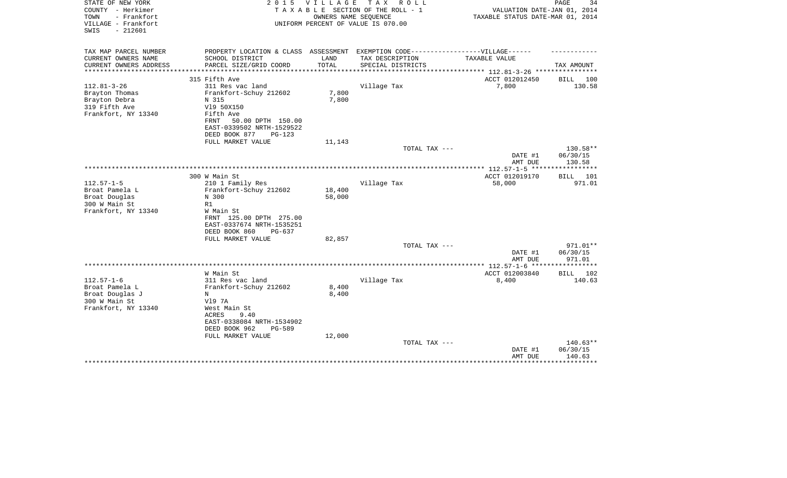| STATE OF NEW YORK<br>COUNTY - Herkimer<br>TOWN<br>- Frankfort<br>VILLAGE - Frankfort<br>$-212601$<br>SWIS | 2 0 1 5                                                                           | V I L L A G E             | T A X<br>R O L L<br>TAXABLE SECTION OF THE ROLL - 1<br>OWNERS NAME SEQUENCE<br>UNIFORM PERCENT OF VALUE IS 070.00 | VALUATION DATE-JAN 01, 2014<br>TAXABLE STATUS DATE-MAR 01, 2014 | PAGE<br>34      |
|-----------------------------------------------------------------------------------------------------------|-----------------------------------------------------------------------------------|---------------------------|-------------------------------------------------------------------------------------------------------------------|-----------------------------------------------------------------|-----------------|
| TAX MAP PARCEL NUMBER                                                                                     | PROPERTY LOCATION & CLASS ASSESSMENT                                              |                           | EXEMPTION CODE-----------------VILLAGE------                                                                      |                                                                 |                 |
| CURRENT OWNERS NAME                                                                                       | SCHOOL DISTRICT                                                                   | LAND                      | TAX DESCRIPTION                                                                                                   | TAXABLE VALUE                                                   |                 |
| CURRENT OWNERS ADDRESS<br>********************                                                            | PARCEL SIZE/GRID COORD                                                            | TOTAL<br>**************** | SPECIAL DISTRICTS                                                                                                 | *************************** 112.81-3-26 ****************        | TAX AMOUNT      |
|                                                                                                           | 315 Fifth Ave                                                                     |                           |                                                                                                                   | ACCT 012012450                                                  | BILL 100        |
| $112.81 - 3 - 26$                                                                                         | 311 Res vac land                                                                  |                           | Village Tax                                                                                                       | 7,800                                                           | 130.58          |
| Brayton Thomas                                                                                            | Frankfort-Schuy 212602                                                            | 7,800                     |                                                                                                                   |                                                                 |                 |
| Brayton Debra                                                                                             | N 315                                                                             | 7,800                     |                                                                                                                   |                                                                 |                 |
| 319 Fifth Ave                                                                                             | V19 50X150                                                                        |                           |                                                                                                                   |                                                                 |                 |
| Frankfort, NY 13340                                                                                       | Fifth Ave                                                                         |                           |                                                                                                                   |                                                                 |                 |
|                                                                                                           | 50.00 DPTH 150.00<br>FRNT                                                         |                           |                                                                                                                   |                                                                 |                 |
|                                                                                                           | EAST-0339502 NRTH-1529522                                                         |                           |                                                                                                                   |                                                                 |                 |
|                                                                                                           | DEED BOOK 877<br>PG-123                                                           |                           |                                                                                                                   |                                                                 |                 |
|                                                                                                           | FULL MARKET VALUE                                                                 | 11,143                    | TOTAL TAX ---                                                                                                     |                                                                 | 130.58**        |
|                                                                                                           |                                                                                   |                           |                                                                                                                   | DATE #1                                                         | 06/30/15        |
|                                                                                                           |                                                                                   |                           |                                                                                                                   | AMT DUE                                                         | 130.58          |
|                                                                                                           |                                                                                   |                           |                                                                                                                   | **************** 112.57-1-5 ******************                  |                 |
|                                                                                                           | 300 W Main St                                                                     |                           |                                                                                                                   | ACCT 012019170                                                  | <b>BILL</b> 101 |
| $112.57 - 1 - 5$                                                                                          | 210 1 Family Res                                                                  |                           | Village Tax                                                                                                       | 58,000                                                          | 971.01          |
| Broat Pamela L                                                                                            | Frankfort-Schuy 212602                                                            | 18,400                    |                                                                                                                   |                                                                 |                 |
| Broat Douglas                                                                                             | N 300                                                                             | 58,000                    |                                                                                                                   |                                                                 |                 |
| 300 W Main St<br>Frankfort, NY 13340                                                                      | R1<br>W Main St                                                                   |                           |                                                                                                                   |                                                                 |                 |
|                                                                                                           | FRNT 125.00 DPTH 275.00<br>EAST-0337674 NRTH-1535251<br>DEED BOOK 860<br>$PG-637$ |                           |                                                                                                                   |                                                                 |                 |
|                                                                                                           | FULL MARKET VALUE                                                                 | 82,857                    |                                                                                                                   |                                                                 |                 |
|                                                                                                           |                                                                                   |                           | TOTAL TAX ---                                                                                                     |                                                                 | 971.01**        |
|                                                                                                           |                                                                                   |                           |                                                                                                                   | DATE #1                                                         | 06/30/15        |
|                                                                                                           |                                                                                   |                           |                                                                                                                   | AMT DUE                                                         | 971.01          |
|                                                                                                           |                                                                                   |                           |                                                                                                                   |                                                                 |                 |
|                                                                                                           | W Main St                                                                         |                           |                                                                                                                   | ACCT 012003840                                                  | BILL<br>102     |
| $112.57 - 1 - 6$                                                                                          | 311 Res vac land                                                                  |                           | Village Tax                                                                                                       | 8,400                                                           | 140.63          |
| Broat Pamela L                                                                                            | Frankfort-Schuy 212602                                                            | 8,400                     |                                                                                                                   |                                                                 |                 |
| Broat Douglas J<br>300 W Main St                                                                          | N<br>V19 7A                                                                       | 8,400                     |                                                                                                                   |                                                                 |                 |
| Frankfort, NY 13340                                                                                       | West Main St                                                                      |                           |                                                                                                                   |                                                                 |                 |
|                                                                                                           | ACRES<br>9.40                                                                     |                           |                                                                                                                   |                                                                 |                 |
|                                                                                                           | EAST-0338084 NRTH-1534902                                                         |                           |                                                                                                                   |                                                                 |                 |
|                                                                                                           | DEED BOOK 962<br><b>PG-589</b>                                                    |                           |                                                                                                                   |                                                                 |                 |
|                                                                                                           | FULL MARKET VALUE                                                                 | 12,000                    |                                                                                                                   |                                                                 |                 |
|                                                                                                           |                                                                                   |                           | TOTAL TAX ---                                                                                                     |                                                                 | 140.63**        |
|                                                                                                           |                                                                                   |                           |                                                                                                                   | DATE #1                                                         | 06/30/15        |
|                                                                                                           |                                                                                   |                           |                                                                                                                   | AMT DUE                                                         | 140.63          |
|                                                                                                           |                                                                                   |                           |                                                                                                                   |                                                                 | **********      |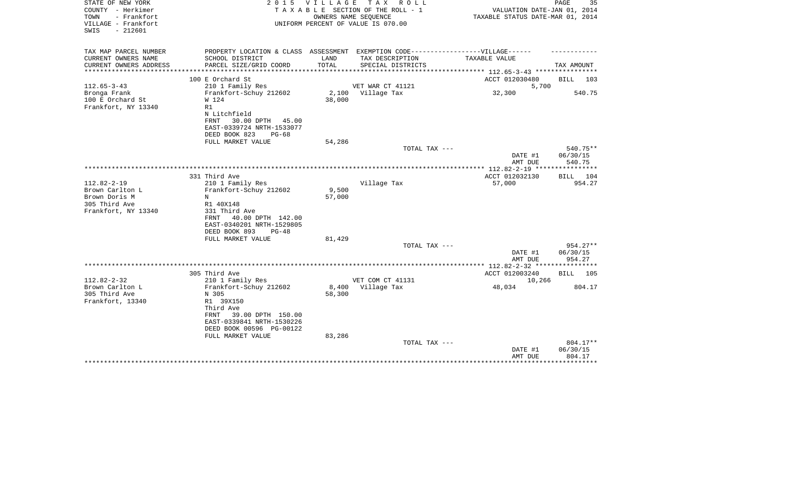| STATE OF NEW YORK<br>COUNTY - Herkimer<br>- Frankfort<br>TOWN<br>VILLAGE - Frankfort<br>$-212601$<br>SWIS |                                                                                                                                                 |                      | 2015 VILLAGE TAX ROLL<br>TAXABLE SECTION OF THE ROLL - 1<br>OWNERS NAME SEOUENCE<br>UNIFORM PERCENT OF VALUE IS 070.00 | VALUATION DATE-JAN 01, 2014<br>TAXABLE STATUS DATE-MAR 01, 2014 | PAGE<br>35                                    |
|-----------------------------------------------------------------------------------------------------------|-------------------------------------------------------------------------------------------------------------------------------------------------|----------------------|------------------------------------------------------------------------------------------------------------------------|-----------------------------------------------------------------|-----------------------------------------------|
| TAX MAP PARCEL NUMBER<br>CURRENT OWNERS NAME                                                              | PROPERTY LOCATION & CLASS ASSESSMENT EXEMPTION CODE-----------------VILLAGE------<br>SCHOOL DISTRICT                                            | LAND                 | TAX DESCRIPTION                                                                                                        | TAXABLE VALUE                                                   |                                               |
| CURRENT OWNERS ADDRESS                                                                                    | PARCEL SIZE/GRID COORD                                                                                                                          | TOTAL                | SPECIAL DISTRICTS                                                                                                      |                                                                 | TAX AMOUNT                                    |
|                                                                                                           |                                                                                                                                                 | ******************** |                                                                                                                        | ************ 112.65-3-43 **********                             |                                               |
| $112.65 - 3 - 43$                                                                                         | 100 E Orchard St<br>210 1 Family Res                                                                                                            |                      | VET WAR CT 41121                                                                                                       | ACCT 012030480<br>5,700                                         | BILL<br>103                                   |
| Bronga Frank<br>100 E Orchard St<br>Frankfort, NY 13340                                                   | Frankfort-Schuy 212602<br>W 124<br>R1<br>N Litchfield<br>30.00 DPTH 45.00<br>FRNT                                                               | 38,000               | 2,100 Village Tax                                                                                                      | 32,300                                                          | 540.75                                        |
|                                                                                                           | EAST-0339724 NRTH-1533077                                                                                                                       |                      |                                                                                                                        |                                                                 |                                               |
|                                                                                                           | DEED BOOK 823<br>$PG-68$<br>FULL MARKET VALUE                                                                                                   | 54,286               |                                                                                                                        |                                                                 |                                               |
|                                                                                                           |                                                                                                                                                 |                      | TOTAL TAX ---                                                                                                          |                                                                 | 540.75**                                      |
|                                                                                                           |                                                                                                                                                 |                      |                                                                                                                        | DATE #1<br>AMT DUE                                              | 06/30/15<br>540.75                            |
|                                                                                                           |                                                                                                                                                 |                      |                                                                                                                        |                                                                 |                                               |
| $112.82 - 2 - 19$<br>Brown Carlton L<br>Brown Doris M<br>305 Third Ave<br>Frankfort, NY 13340             | 331 Third Ave<br>210 1 Family Res<br>Frankfort-Schuy 212602<br>N<br>R1 40X148<br>331 Third Ave                                                  | 9,500<br>57,000      | Village Tax                                                                                                            | ACCT 012032130<br>57,000                                        | BILL 104<br>954.27                            |
|                                                                                                           | 40.00 DPTH 142.00<br>FRNT<br>EAST-0340201 NRTH-1529805<br>DEED BOOK 893<br>$PG-48$<br>FULL MARKET VALUE                                         | 81,429               | TOTAL TAX ---                                                                                                          |                                                                 | $954.27**$                                    |
|                                                                                                           |                                                                                                                                                 |                      |                                                                                                                        | DATE #1                                                         | 06/30/15                                      |
|                                                                                                           |                                                                                                                                                 |                      |                                                                                                                        | AMT DUE                                                         | 954.27                                        |
|                                                                                                           | 305 Third Ave                                                                                                                                   |                      |                                                                                                                        | *************** 112.82-2-32 *****************<br>ACCT 012003240 | BILL 105                                      |
| $112.82 - 2 - 32$                                                                                         | 210 1 Family Res                                                                                                                                |                      | VET COM CT 41131                                                                                                       | 10,266                                                          |                                               |
| Brown Carlton L<br>305 Third Ave<br>Frankfort, 13340                                                      | Frankfort-Schuy 212602<br>N 305<br>R1 39X150<br>Third Ave<br>39.00 DPTH 150.00<br>FRNT<br>EAST-0339841 NRTH-1530226<br>DEED BOOK 00596 PG-00122 | 58,300               | 8,400 Village Tax                                                                                                      | 48,034                                                          | 804.17                                        |
|                                                                                                           | FULL MARKET VALUE<br>*************************                                                                                                  | 83,286               | TOTAL TAX ---<br>******************************                                                                        | DATE #1<br>AMT DUE                                              | 804.17**<br>06/30/15<br>804.17<br>*********** |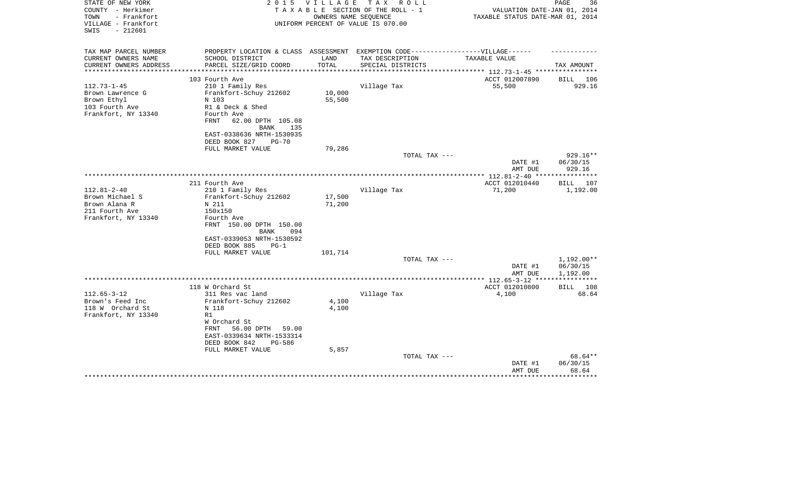| STATE OF NEW YORK<br>COUNTY - Herkimer<br>- Frankfort<br>TOWN<br>VILLAGE - Frankfort<br>SWIS<br>- 212601 | 2 0 1 5                                                                           | <b>VILLAGE</b> | T A X<br>R O L L<br>TAXABLE SECTION OF THE ROLL - 1<br>OWNERS NAME SEOUENCE<br>UNIFORM PERCENT OF VALUE IS 070.00 | VALUATION DATE-JAN 01, 2014<br>TAXABLE STATUS DATE-MAR 01, 2014 | PAGE<br>36   |
|----------------------------------------------------------------------------------------------------------|-----------------------------------------------------------------------------------|----------------|-------------------------------------------------------------------------------------------------------------------|-----------------------------------------------------------------|--------------|
| TAX MAP PARCEL NUMBER                                                                                    | PROPERTY LOCATION & CLASS ASSESSMENT EXEMPTION CODE-----------------VILLAGE------ |                |                                                                                                                   |                                                                 |              |
| CURRENT OWNERS NAME<br>CURRENT OWNERS ADDRESS                                                            | SCHOOL DISTRICT<br>PARCEL SIZE/GRID COORD                                         | LAND<br>TOTAL  | TAX DESCRIPTION<br>SPECIAL DISTRICTS                                                                              | TAXABLE VALUE                                                   | TAX AMOUNT   |
| ***********************                                                                                  |                                                                                   |                |                                                                                                                   |                                                                 |              |
|                                                                                                          | 103 Fourth Ave                                                                    |                |                                                                                                                   | ACCT 012007890                                                  | BILL 106     |
| $112.73 - 1 - 45$                                                                                        | 210 1 Family Res                                                                  |                | Village Tax                                                                                                       | 55,500                                                          | 929.16       |
| Brown Lawrence G                                                                                         | Frankfort-Schuy 212602                                                            | 10,000         |                                                                                                                   |                                                                 |              |
| Brown Ethyl                                                                                              | N 103                                                                             | 55,500         |                                                                                                                   |                                                                 |              |
| 103 Fourth Ave                                                                                           | R1 & Deck & Shed                                                                  |                |                                                                                                                   |                                                                 |              |
| Frankfort, NY 13340                                                                                      | Fourth Ave                                                                        |                |                                                                                                                   |                                                                 |              |
|                                                                                                          | 62.00 DPTH 105.08<br>FRNT                                                         |                |                                                                                                                   |                                                                 |              |
|                                                                                                          | BANK<br>135                                                                       |                |                                                                                                                   |                                                                 |              |
|                                                                                                          | EAST-0338636 NRTH-1530935                                                         |                |                                                                                                                   |                                                                 |              |
|                                                                                                          | DEED BOOK 827<br>$PG-70$<br>FULL MARKET VALUE                                     | 79,286         |                                                                                                                   |                                                                 |              |
|                                                                                                          |                                                                                   |                | TOTAL TAX ---                                                                                                     |                                                                 | 929.16**     |
|                                                                                                          |                                                                                   |                |                                                                                                                   | DATE #1                                                         | 06/30/15     |
|                                                                                                          |                                                                                   |                |                                                                                                                   | AMT DUE                                                         | 929.16       |
|                                                                                                          |                                                                                   |                |                                                                                                                   | **************** 112.81-2-40 ****                               | ************ |
|                                                                                                          | 211 Fourth Ave                                                                    |                |                                                                                                                   | ACCT 012010440                                                  | 107<br>BILL  |
| $112.81 - 2 - 40$                                                                                        | 210 1 Family Res                                                                  |                | Village Tax                                                                                                       | 71,200                                                          | 1,192.00     |
| Brown Michael S                                                                                          | Frankfort-Schuy 212602                                                            | 17,500         |                                                                                                                   |                                                                 |              |
| Brown Alana R                                                                                            | N 211                                                                             | 71,200         |                                                                                                                   |                                                                 |              |
| 211 Fourth Ave                                                                                           | 150x150                                                                           |                |                                                                                                                   |                                                                 |              |
| Frankfort, NY 13340                                                                                      | Fourth Ave                                                                        |                |                                                                                                                   |                                                                 |              |
|                                                                                                          | FRNT 150.00 DPTH 150.00                                                           |                |                                                                                                                   |                                                                 |              |
|                                                                                                          | BANK<br>094<br>EAST-0339053 NRTH-1530592                                          |                |                                                                                                                   |                                                                 |              |
|                                                                                                          | DEED BOOK 885<br>$PG-1$                                                           |                |                                                                                                                   |                                                                 |              |
|                                                                                                          | FULL MARKET VALUE                                                                 | 101,714        |                                                                                                                   |                                                                 |              |
|                                                                                                          |                                                                                   |                | TOTAL TAX ---                                                                                                     |                                                                 | 1,192.00**   |
|                                                                                                          |                                                                                   |                |                                                                                                                   | DATE #1                                                         | 06/30/15     |
|                                                                                                          |                                                                                   |                |                                                                                                                   | AMT DUE                                                         | 1,192.00     |
|                                                                                                          |                                                                                   |                |                                                                                                                   |                                                                 |              |
|                                                                                                          | 118 W Orchard St                                                                  |                |                                                                                                                   | ACCT 012010800                                                  | BILL<br>108  |
| $112.65 - 3 - 12$                                                                                        | 311 Res vac land                                                                  |                | Village Tax                                                                                                       | 4,100                                                           | 68.64        |
| Brown's Feed Inc                                                                                         | Frankfort-Schuy 212602                                                            | 4,100          |                                                                                                                   |                                                                 |              |
| 118 W Orchard St<br>Frankfort, NY 13340                                                                  | N 118<br>R1                                                                       | 4,100          |                                                                                                                   |                                                                 |              |
|                                                                                                          | W Orchard St                                                                      |                |                                                                                                                   |                                                                 |              |
|                                                                                                          | 56.00 DPTH<br>FRNT<br>59.00                                                       |                |                                                                                                                   |                                                                 |              |
|                                                                                                          | EAST-0339634 NRTH-1533314                                                         |                |                                                                                                                   |                                                                 |              |
|                                                                                                          | DEED BOOK 842<br>$PG-586$                                                         |                |                                                                                                                   |                                                                 |              |
|                                                                                                          | FULL MARKET VALUE                                                                 | 5,857          |                                                                                                                   |                                                                 |              |
|                                                                                                          |                                                                                   |                | TOTAL TAX ---                                                                                                     |                                                                 | 68.64**      |
|                                                                                                          |                                                                                   |                |                                                                                                                   | DATE #1                                                         | 06/30/15     |
|                                                                                                          |                                                                                   |                |                                                                                                                   | AMT DUE                                                         | 68.64        |
|                                                                                                          |                                                                                   |                |                                                                                                                   |                                                                 | ***********  |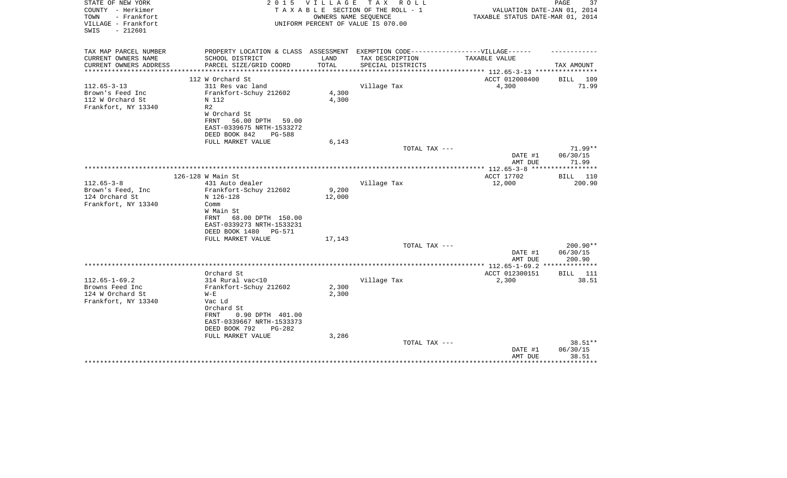| STATE OF NEW YORK<br>COUNTY - Herkimer<br>TOWN<br>- Frankfort<br>VILLAGE - Frankfort<br>$-212601$<br>SWIS | 2 0 1 5                                                                           | V I L L A G E | TAX ROLL<br>TAXABLE SECTION OF THE ROLL - 1<br>OWNERS NAME SEQUENCE<br>UNIFORM PERCENT OF VALUE IS 070.00 | VALUATION DATE-JAN 01, 2014<br>TAXABLE STATUS DATE-MAR 01, 2014 | PAGE<br>37        |
|-----------------------------------------------------------------------------------------------------------|-----------------------------------------------------------------------------------|---------------|-----------------------------------------------------------------------------------------------------------|-----------------------------------------------------------------|-------------------|
|                                                                                                           |                                                                                   |               |                                                                                                           |                                                                 |                   |
| TAX MAP PARCEL NUMBER                                                                                     | PROPERTY LOCATION & CLASS ASSESSMENT EXEMPTION CODE-----------------VILLAGE------ |               |                                                                                                           |                                                                 |                   |
| CURRENT OWNERS NAME                                                                                       | SCHOOL DISTRICT                                                                   | LAND          | TAX DESCRIPTION                                                                                           | TAXABLE VALUE                                                   |                   |
| CURRENT OWNERS ADDRESS<br>********************                                                            | PARCEL SIZE/GRID COORD                                                            | TOTAL         | SPECIAL DISTRICTS                                                                                         | ***************** 112.65-3-13 *****************                 | TAX AMOUNT        |
|                                                                                                           | 112 W Orchard St                                                                  |               |                                                                                                           | ACCT 012008400                                                  | BILL 109          |
| $112.65 - 3 - 13$                                                                                         | 311 Res vac land                                                                  |               | Village Tax                                                                                               | 4,300                                                           | 71.99             |
| Brown's Feed Inc                                                                                          | Frankfort-Schuy 212602                                                            | 4,300         |                                                                                                           |                                                                 |                   |
| 112 W Orchard St                                                                                          | N 112                                                                             | 4,300         |                                                                                                           |                                                                 |                   |
| Frankfort, NY 13340                                                                                       | R <sub>2</sub>                                                                    |               |                                                                                                           |                                                                 |                   |
|                                                                                                           | W Orchard St                                                                      |               |                                                                                                           |                                                                 |                   |
|                                                                                                           | 56.00 DPTH<br>FRNT<br>59.00                                                       |               |                                                                                                           |                                                                 |                   |
|                                                                                                           | EAST-0339675 NRTH-1533272                                                         |               |                                                                                                           |                                                                 |                   |
|                                                                                                           | DEED BOOK 842<br><b>PG-588</b>                                                    |               |                                                                                                           |                                                                 |                   |
|                                                                                                           | FULL MARKET VALUE                                                                 | 6,143         |                                                                                                           |                                                                 |                   |
|                                                                                                           |                                                                                   |               | TOTAL TAX ---                                                                                             |                                                                 | $71.99**$         |
|                                                                                                           |                                                                                   |               |                                                                                                           | DATE #1<br>AMT DUE                                              | 06/30/15<br>71.99 |
|                                                                                                           |                                                                                   |               |                                                                                                           |                                                                 |                   |
|                                                                                                           | 126-128 W Main St                                                                 |               |                                                                                                           | ACCT 17702                                                      | BILL 110          |
| $112.65 - 3 - 8$                                                                                          | 431 Auto dealer                                                                   |               | Village Tax                                                                                               | 12,000                                                          | 200.90            |
| Brown's Feed, Inc.                                                                                        | Frankfort-Schuy 212602                                                            | 9,200         |                                                                                                           |                                                                 |                   |
| 124 Orchard St                                                                                            | N 126-128                                                                         | 12,000        |                                                                                                           |                                                                 |                   |
| Frankfort, NY 13340                                                                                       | Comm                                                                              |               |                                                                                                           |                                                                 |                   |
|                                                                                                           | W Main St                                                                         |               |                                                                                                           |                                                                 |                   |
|                                                                                                           | FRNT<br>68.00 DPTH 150.00                                                         |               |                                                                                                           |                                                                 |                   |
|                                                                                                           | EAST-0339273 NRTH-1533231<br>DEED BOOK 1480<br>PG-571                             |               |                                                                                                           |                                                                 |                   |
|                                                                                                           | FULL MARKET VALUE                                                                 | 17,143        |                                                                                                           |                                                                 |                   |
|                                                                                                           |                                                                                   |               | TOTAL TAX ---                                                                                             |                                                                 | 200.90**          |
|                                                                                                           |                                                                                   |               |                                                                                                           | DATE #1                                                         | 06/30/15          |
|                                                                                                           |                                                                                   |               |                                                                                                           | AMT DUE                                                         | 200.90            |
|                                                                                                           |                                                                                   |               |                                                                                                           |                                                                 |                   |
|                                                                                                           | Orchard St                                                                        |               |                                                                                                           | ACCT 012300151                                                  | 111<br>BILL       |
| $112.65 - 1 - 69.2$                                                                                       | 314 Rural vac<10                                                                  |               | Village Tax                                                                                               | 2,300                                                           | 38.51             |
| Browns Feed Inc                                                                                           | Frankfort-Schuy 212602                                                            | 2,300         |                                                                                                           |                                                                 |                   |
| 124 W Orchard St                                                                                          | $W - E$                                                                           | 2,300         |                                                                                                           |                                                                 |                   |
| Frankfort, NY 13340                                                                                       | Vac Ld                                                                            |               |                                                                                                           |                                                                 |                   |
|                                                                                                           | Orchard St<br>0.90 DPTH 401.00<br>FRNT                                            |               |                                                                                                           |                                                                 |                   |
|                                                                                                           | EAST-0339667 NRTH-1533373                                                         |               |                                                                                                           |                                                                 |                   |
|                                                                                                           | DEED BOOK 792<br>$PG-282$                                                         |               |                                                                                                           |                                                                 |                   |
|                                                                                                           | FULL MARKET VALUE                                                                 | 3,286         |                                                                                                           |                                                                 |                   |
|                                                                                                           |                                                                                   |               | TOTAL TAX ---                                                                                             |                                                                 | 38.51**           |
|                                                                                                           |                                                                                   |               |                                                                                                           | DATE #1                                                         | 06/30/15          |
|                                                                                                           |                                                                                   |               |                                                                                                           | AMT DUE                                                         | 38.51             |
|                                                                                                           |                                                                                   |               |                                                                                                           |                                                                 |                   |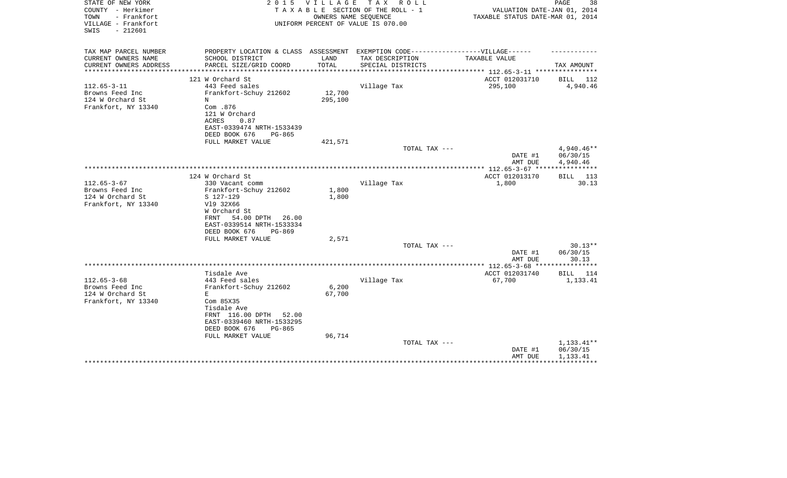| STATE OF NEW YORK                  | 2 0 1 5                                                                           | V I L L A G E        | TAX ROLL                                                   |                                                  | 38<br>PAGE      |
|------------------------------------|-----------------------------------------------------------------------------------|----------------------|------------------------------------------------------------|--------------------------------------------------|-----------------|
| COUNTY - Herkimer<br>TOWN          |                                                                                   |                      | TAXABLE SECTION OF THE ROLL - 1                            | VALUATION DATE-JAN 01, 2014                      |                 |
| - Frankfort<br>VILLAGE - Frankfort |                                                                                   |                      | OWNERS NAME SEQUENCE<br>UNIFORM PERCENT OF VALUE IS 070.00 | TAXABLE STATUS DATE-MAR 01, 2014                 |                 |
| $-212601$<br>SWIS                  |                                                                                   |                      |                                                            |                                                  |                 |
|                                    |                                                                                   |                      |                                                            |                                                  |                 |
|                                    |                                                                                   |                      |                                                            |                                                  |                 |
| TAX MAP PARCEL NUMBER              | PROPERTY LOCATION & CLASS ASSESSMENT EXEMPTION CODE-----------------VILLAGE------ |                      |                                                            |                                                  |                 |
| CURRENT OWNERS NAME                | SCHOOL DISTRICT                                                                   | LAND                 | TAX DESCRIPTION                                            | TAXABLE VALUE                                    |                 |
| CURRENT OWNERS ADDRESS             | PARCEL SIZE/GRID COORD<br>**************************                              | TOTAL<br>*********** | SPECIAL DISTRICTS                                          | ****************** 112.65-3-11 ***************** | TAX AMOUNT      |
|                                    | 121 W Orchard St                                                                  |                      |                                                            | ACCT 012031710                                   | BILL 112        |
| $112.65 - 3 - 11$                  | 443 Feed sales                                                                    |                      | Village Tax                                                | 295,100                                          | 4,940.46        |
| Browns Feed Inc                    | Frankfort-Schuy 212602                                                            | 12,700               |                                                            |                                                  |                 |
| 124 W Orchard St                   | N                                                                                 | 295,100              |                                                            |                                                  |                 |
| Frankfort, NY 13340                | Com .876                                                                          |                      |                                                            |                                                  |                 |
|                                    | 121 W Orchard                                                                     |                      |                                                            |                                                  |                 |
|                                    | ACRES<br>0.87                                                                     |                      |                                                            |                                                  |                 |
|                                    | EAST-0339474 NRTH-1533439                                                         |                      |                                                            |                                                  |                 |
|                                    | DEED BOOK 676<br>PG-865                                                           |                      |                                                            |                                                  |                 |
|                                    | FULL MARKET VALUE                                                                 | 421,571              |                                                            |                                                  |                 |
|                                    |                                                                                   |                      | TOTAL TAX ---                                              |                                                  | 4,940.46**      |
|                                    |                                                                                   |                      |                                                            | DATE #1                                          | 06/30/15        |
|                                    |                                                                                   |                      |                                                            | AMT DUE                                          | 4,940.46        |
|                                    |                                                                                   |                      |                                                            |                                                  |                 |
|                                    | 124 W Orchard St                                                                  |                      |                                                            | ACCT 012013170                                   | <b>BILL</b> 113 |
| $112.65 - 3 - 67$                  | 330 Vacant comm                                                                   |                      | Village Tax                                                | 1,800                                            | 30.13           |
| Browns Feed Inc                    | Frankfort-Schuy 212602                                                            | 1,800                |                                                            |                                                  |                 |
| 124 W Orchard St                   | S 127-129                                                                         | 1,800                |                                                            |                                                  |                 |
| Frankfort, NY 13340                | V19 32X66                                                                         |                      |                                                            |                                                  |                 |
|                                    | W Orchard St                                                                      |                      |                                                            |                                                  |                 |
|                                    | 54.00 DPTH 26.00<br>FRNT                                                          |                      |                                                            |                                                  |                 |
|                                    | EAST-0339514 NRTH-1533334                                                         |                      |                                                            |                                                  |                 |
|                                    | DEED BOOK 676<br>PG-869                                                           |                      |                                                            |                                                  |                 |
|                                    | FULL MARKET VALUE                                                                 | 2,571                |                                                            |                                                  |                 |
|                                    |                                                                                   |                      | TOTAL TAX ---                                              |                                                  | $30.13**$       |
|                                    |                                                                                   |                      |                                                            | DATE #1                                          | 06/30/15        |
|                                    |                                                                                   |                      |                                                            | AMT DUE                                          | 30.13           |
|                                    | Tisdale Ave                                                                       |                      |                                                            | ACCT 012031740                                   | <b>BILL</b> 114 |
| $112.65 - 3 - 68$                  | 443 Feed sales                                                                    |                      | Village Tax                                                | 67,700                                           | 1,133.41        |
| Browns Feed Inc                    | Frankfort-Schuy 212602                                                            | 6,200                |                                                            |                                                  |                 |
| 124 W Orchard St                   | Е                                                                                 | 67,700               |                                                            |                                                  |                 |
| Frankfort, NY 13340                | Com 85X35                                                                         |                      |                                                            |                                                  |                 |
|                                    | Tisdale Ave                                                                       |                      |                                                            |                                                  |                 |
|                                    | FRNT 116.00 DPTH 52.00                                                            |                      |                                                            |                                                  |                 |
|                                    | EAST-0339460 NRTH-1533295                                                         |                      |                                                            |                                                  |                 |
|                                    | DEED BOOK 676<br>PG-865                                                           |                      |                                                            |                                                  |                 |
|                                    | FULL MARKET VALUE                                                                 | 96,714               |                                                            |                                                  |                 |
|                                    |                                                                                   |                      | TOTAL TAX ---                                              |                                                  | 1,133.41**      |
|                                    |                                                                                   |                      |                                                            | DATE #1                                          | 06/30/15        |
|                                    |                                                                                   |                      |                                                            | AMT DUE                                          | 1,133.41        |
|                                    |                                                                                   |                      |                                                            |                                                  |                 |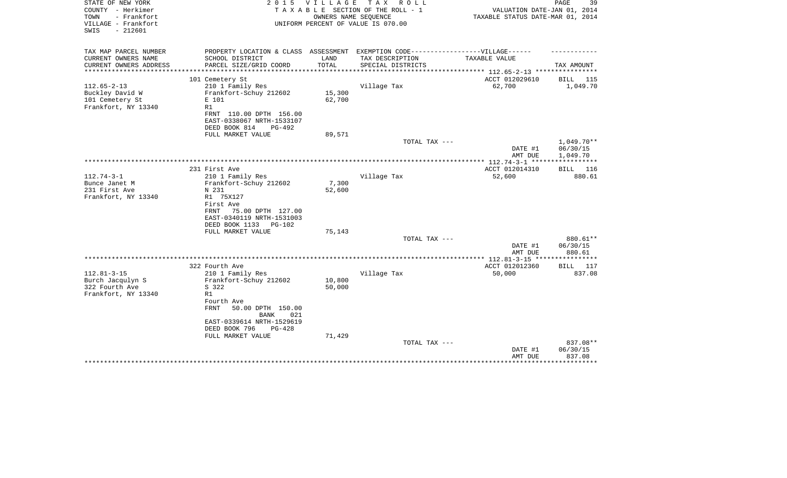| STATE OF NEW YORK<br>COUNTY - Herkimer<br>- Frankfort<br>TOWN<br>VILLAGE - Frankfort<br>$-212601$<br>SWIS | 2 0 1 5                                                                                                                                                                                                              | <b>VILLAGE</b><br>OWNERS NAME SEQUENCE | TAX ROLL<br>TAXABLE SECTION OF THE ROLL - 1<br>UNIFORM PERCENT OF VALUE IS 070.00 | VALUATION DATE-JAN 01, 2014<br>TAXABLE STATUS DATE-MAR 01, 2014 | PAGE<br>39                     |
|-----------------------------------------------------------------------------------------------------------|----------------------------------------------------------------------------------------------------------------------------------------------------------------------------------------------------------------------|----------------------------------------|-----------------------------------------------------------------------------------|-----------------------------------------------------------------|--------------------------------|
| TAX MAP PARCEL NUMBER<br>CURRENT OWNERS NAME                                                              | PROPERTY LOCATION & CLASS ASSESSMENT EXEMPTION CODE-----------------VILLAGE------<br>SCHOOL DISTRICT                                                                                                                 | LAND                                   | TAX DESCRIPTION                                                                   | TAXABLE VALUE                                                   |                                |
| CURRENT OWNERS ADDRESS                                                                                    | PARCEL SIZE/GRID COORD                                                                                                                                                                                               | TOTAL                                  | SPECIAL DISTRICTS                                                                 |                                                                 | TAX AMOUNT                     |
| **************                                                                                            | **********************                                                                                                                                                                                               | *************                          |                                                                                   | ************** 112.65-2-13 *****************                    |                                |
|                                                                                                           | 101 Cemetery St                                                                                                                                                                                                      |                                        |                                                                                   | ACCT 012029610                                                  | BILL 115                       |
| $112.65 - 2 - 13$<br>Buckley David W<br>101 Cemetery St<br>Frankfort, NY 13340                            | 210 1 Family Res<br>Frankfort-Schuy 212602<br>E 101<br>R1<br>FRNT 110.00 DPTH 156.00<br>EAST-0338067 NRTH-1533107                                                                                                    | 15,300<br>62,700                       | Village Tax                                                                       | 62,700                                                          | 1,049.70                       |
|                                                                                                           | DEED BOOK 814<br>PG-492                                                                                                                                                                                              |                                        |                                                                                   |                                                                 |                                |
|                                                                                                           | FULL MARKET VALUE                                                                                                                                                                                                    | 89,571                                 | TOTAL TAX ---                                                                     |                                                                 | $1,049.70**$                   |
|                                                                                                           |                                                                                                                                                                                                                      |                                        |                                                                                   | DATE #1<br>AMT DUE                                              | 06/30/15<br>1,049.70           |
|                                                                                                           |                                                                                                                                                                                                                      |                                        |                                                                                   | ** $112.74 - 3 - 1$ ****                                        | * * * * * * * * * * *          |
| $112.74 - 3 - 1$<br>Bunce Janet M<br>231 First Ave<br>Frankfort, NY 13340                                 | 231 First Ave<br>210 1 Family Res<br>Frankfort-Schuy 212602<br>N 231<br>R1 75X127<br>First Ave<br>75.00 DPTH 127.00<br>FRNT<br>EAST-0340119 NRTH-1531003<br>DEED BOOK 1133<br>PG-102                                 | 7,300<br>52,600                        | Village Tax                                                                       | ACCT 012014310<br>52,600                                        | 116<br>BILL<br>880.61          |
|                                                                                                           | FULL MARKET VALUE                                                                                                                                                                                                    | 75,143                                 |                                                                                   |                                                                 |                                |
|                                                                                                           |                                                                                                                                                                                                                      |                                        | TOTAL TAX ---                                                                     | DATE #1<br>AMT DUE                                              | 880.61**<br>06/30/15<br>880.61 |
|                                                                                                           |                                                                                                                                                                                                                      |                                        |                                                                                   |                                                                 | * * * * * * * * * * *          |
| $112.81 - 3 - 15$<br>Burch Jacqulyn S<br>322 Fourth Ave<br>Frankfort, NY 13340                            | 322 Fourth Ave<br>210 1 Family Res<br>Frankfort-Schuy 212602<br>S 322<br>R1<br>Fourth Ave<br>FRNT<br>50.00 DPTH 150.00<br>021<br>BANK<br>EAST-0339614 NRTH-1529619<br>DEED BOOK 796<br>$PG-428$<br>FULL MARKET VALUE | 10,800<br>50,000<br>71,429             | Village Tax                                                                       | ACCT 012012360<br>50,000                                        | BILL 117<br>837.08             |
|                                                                                                           |                                                                                                                                                                                                                      |                                        | TOTAL TAX ---                                                                     | DATE #1<br>AMT DUE                                              | 837.08**<br>06/30/15<br>837.08 |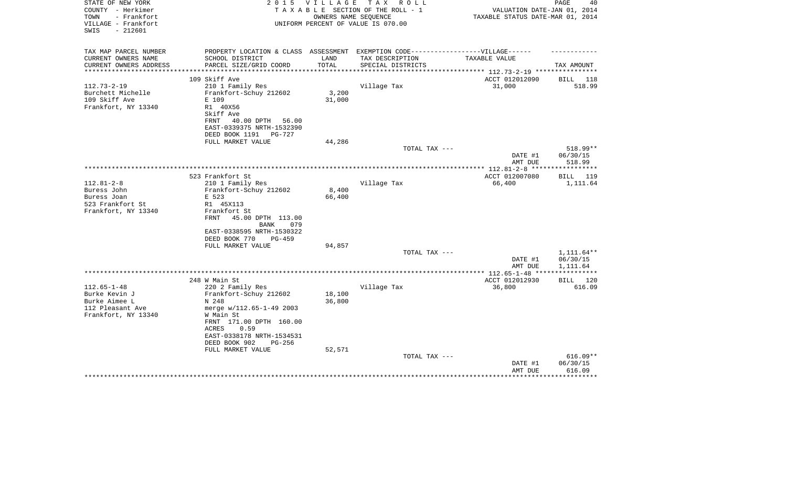| STATE OF NEW YORK<br>COUNTY - Herkimer<br>- Frankfort<br>TOWN<br>VILLAGE - Frankfort<br>$-212601$<br>SWIS | 2 0 1 5<br>V I L L A G E<br>T A X<br>R O L L<br>TAXABLE SECTION OF THE ROLL - 1<br>OWNERS NAME SEQUENCE<br>UNIFORM PERCENT OF VALUE IS 070.00 |        |                   | 40<br>PAGE<br>VALUATION DATE-JAN 01, 2014<br>TAXABLE STATUS DATE-MAR 01, 2014 |                    |  |
|-----------------------------------------------------------------------------------------------------------|-----------------------------------------------------------------------------------------------------------------------------------------------|--------|-------------------|-------------------------------------------------------------------------------|--------------------|--|
| TAX MAP PARCEL NUMBER                                                                                     | PROPERTY LOCATION & CLASS ASSESSMENT EXEMPTION CODE----------------VILLAGE------                                                              |        |                   |                                                                               |                    |  |
| CURRENT OWNERS NAME                                                                                       | SCHOOL DISTRICT                                                                                                                               | LAND   | TAX DESCRIPTION   | TAXABLE VALUE                                                                 |                    |  |
| CURRENT OWNERS ADDRESS<br>**********************                                                          | PARCEL SIZE/GRID COORD                                                                                                                        | TOTAL  | SPECIAL DISTRICTS |                                                                               | TAX AMOUNT         |  |
|                                                                                                           |                                                                                                                                               |        |                   |                                                                               |                    |  |
| $112.73 - 2 - 19$                                                                                         | 109 Skiff Ave<br>210 1 Family Res                                                                                                             |        | Village Tax       | ACCT 012012090<br>31,000                                                      | BILL 118<br>518.99 |  |
| Burchett Michelle                                                                                         | Frankfort-Schuy 212602                                                                                                                        | 3,200  |                   |                                                                               |                    |  |
| 109 Skiff Ave                                                                                             | E 109                                                                                                                                         | 31,000 |                   |                                                                               |                    |  |
| Frankfort, NY 13340                                                                                       | R1 40X56                                                                                                                                      |        |                   |                                                                               |                    |  |
|                                                                                                           | Skiff Ave                                                                                                                                     |        |                   |                                                                               |                    |  |
|                                                                                                           | FRNT<br>40.00 DPTH<br>56.00                                                                                                                   |        |                   |                                                                               |                    |  |
|                                                                                                           | EAST-0339375 NRTH-1532390                                                                                                                     |        |                   |                                                                               |                    |  |
|                                                                                                           | DEED BOOK 1191<br>PG-727                                                                                                                      |        |                   |                                                                               |                    |  |
|                                                                                                           | FULL MARKET VALUE                                                                                                                             | 44,286 |                   |                                                                               |                    |  |
|                                                                                                           |                                                                                                                                               |        | TOTAL TAX ---     |                                                                               | 518.99**           |  |
|                                                                                                           |                                                                                                                                               |        |                   | DATE #1                                                                       | 06/30/15           |  |
|                                                                                                           |                                                                                                                                               |        |                   | AMT DUE                                                                       | 518.99             |  |
|                                                                                                           |                                                                                                                                               |        |                   | ** $112.81 - 2 - 8$ ***                                                       | ********           |  |
|                                                                                                           | 523 Frankfort St                                                                                                                              |        |                   | ACCT 012007080                                                                | <b>BILL</b><br>119 |  |
| $112.81 - 2 - 8$<br>Buress John                                                                           | 210 1 Family Res<br>Frankfort-Schuy 212602                                                                                                    | 8,400  | Village Tax       | 66,400                                                                        | 1,111.64           |  |
| Buress Joan                                                                                               | E 523                                                                                                                                         | 66,400 |                   |                                                                               |                    |  |
| 523 Frankfort St                                                                                          | R1 45X113                                                                                                                                     |        |                   |                                                                               |                    |  |
| Frankfort, NY 13340                                                                                       | Frankfort St                                                                                                                                  |        |                   |                                                                               |                    |  |
|                                                                                                           | FRNT<br>45.00 DPTH 113.00                                                                                                                     |        |                   |                                                                               |                    |  |
|                                                                                                           | <b>BANK</b><br>079                                                                                                                            |        |                   |                                                                               |                    |  |
|                                                                                                           | EAST-0338595 NRTH-1530322                                                                                                                     |        |                   |                                                                               |                    |  |
|                                                                                                           | DEED BOOK 770<br>$PG-459$                                                                                                                     |        |                   |                                                                               |                    |  |
|                                                                                                           | FULL MARKET VALUE                                                                                                                             | 94,857 | TOTAL TAX ---     |                                                                               | $1,111.64**$       |  |
|                                                                                                           |                                                                                                                                               |        |                   | DATE #1                                                                       | 06/30/15           |  |
|                                                                                                           |                                                                                                                                               |        |                   | AMT DUE                                                                       | 1,111.64           |  |
|                                                                                                           |                                                                                                                                               |        |                   |                                                                               | ***********        |  |
|                                                                                                           | 248 W Main St                                                                                                                                 |        |                   | ACCT 012012930                                                                | BILL 120           |  |
| $112.65 - 1 - 48$                                                                                         | 220 2 Family Res                                                                                                                              |        | Village Tax       | 36,800                                                                        | 616.09             |  |
| Burke Kevin J                                                                                             | Frankfort-Schuy 212602                                                                                                                        | 18,100 |                   |                                                                               |                    |  |
| Burke Aimee L                                                                                             | N 248                                                                                                                                         | 36,800 |                   |                                                                               |                    |  |
| 112 Pleasant Ave                                                                                          | merge w/112.65-1-49 2003                                                                                                                      |        |                   |                                                                               |                    |  |
| Frankfort, NY 13340                                                                                       | W Main St                                                                                                                                     |        |                   |                                                                               |                    |  |
|                                                                                                           | FRNT 171.00 DPTH 160.00                                                                                                                       |        |                   |                                                                               |                    |  |
|                                                                                                           | ACRES<br>0.59                                                                                                                                 |        |                   |                                                                               |                    |  |
|                                                                                                           | EAST-0338178 NRTH-1534531                                                                                                                     |        |                   |                                                                               |                    |  |
|                                                                                                           | DEED BOOK 902<br>$PG-256$                                                                                                                     |        |                   |                                                                               |                    |  |
|                                                                                                           | FULL MARKET VALUE                                                                                                                             | 52,571 | TOTAL TAX ---     |                                                                               | $616.09**$         |  |
|                                                                                                           |                                                                                                                                               |        |                   | DATE #1                                                                       | 06/30/15           |  |
|                                                                                                           |                                                                                                                                               |        |                   | AMT DUE                                                                       | 616.09             |  |
|                                                                                                           |                                                                                                                                               |        |                   |                                                                               |                    |  |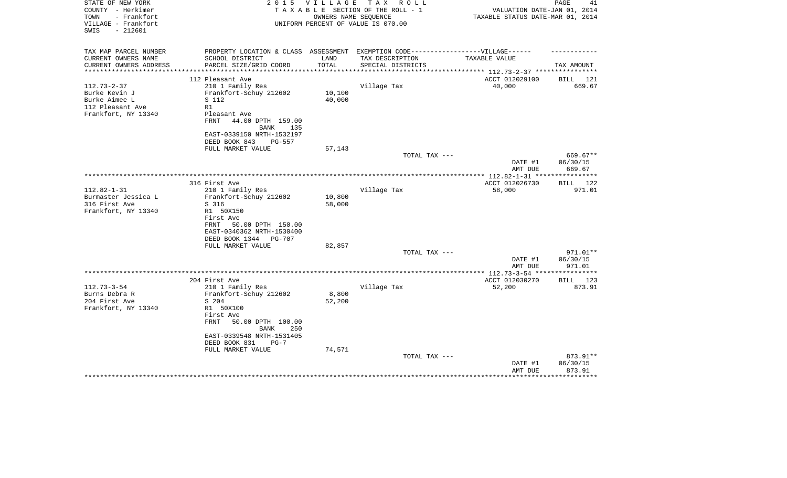| STATE OF NEW YORK<br>COUNTY - Herkimer<br>- Frankfort<br>TOWN<br>VILLAGE - Frankfort<br>$-212601$<br>SWIS | 2 0 1 5                                                                           | VILLAGE        | TAX ROLL<br>TAXABLE SECTION OF THE ROLL - 1<br>OWNERS NAME SEQUENCE<br>UNIFORM PERCENT OF VALUE IS 070.00 | VALUATION DATE-JAN 01, 2014<br>TAXABLE STATUS DATE-MAR 01, 2014 | PAGE<br>41         |
|-----------------------------------------------------------------------------------------------------------|-----------------------------------------------------------------------------------|----------------|-----------------------------------------------------------------------------------------------------------|-----------------------------------------------------------------|--------------------|
| TAX MAP PARCEL NUMBER                                                                                     | PROPERTY LOCATION & CLASS ASSESSMENT EXEMPTION CODE-----------------VILLAGE------ |                |                                                                                                           |                                                                 |                    |
| CURRENT OWNERS NAME<br>CURRENT OWNERS ADDRESS                                                             | SCHOOL DISTRICT<br>PARCEL SIZE/GRID COORD                                         | LAND<br>TOTAL  | TAX DESCRIPTION<br>SPECIAL DISTRICTS                                                                      | TAXABLE VALUE                                                   | TAX AMOUNT         |
| **********************                                                                                    | *************************                                                         | ************** |                                                                                                           |                                                                 |                    |
|                                                                                                           | 112 Pleasant Ave                                                                  |                |                                                                                                           | ACCT 012029100                                                  | 121<br>BILL        |
| $112.73 - 2 - 37$                                                                                         | 210 1 Family Res                                                                  |                | Village Tax                                                                                               | 40,000                                                          | 669.67             |
| Burke Kevin J                                                                                             | Frankfort-Schuy 212602                                                            | 10,100         |                                                                                                           |                                                                 |                    |
| Burke Aimee L                                                                                             | S 112                                                                             | 40,000         |                                                                                                           |                                                                 |                    |
| 112 Pleasant Ave                                                                                          | R1                                                                                |                |                                                                                                           |                                                                 |                    |
| Frankfort, NY 13340                                                                                       | Pleasant Ave                                                                      |                |                                                                                                           |                                                                 |                    |
|                                                                                                           | FRNT<br>44.00 DPTH 159.00                                                         |                |                                                                                                           |                                                                 |                    |
|                                                                                                           | <b>BANK</b><br>135                                                                |                |                                                                                                           |                                                                 |                    |
|                                                                                                           | EAST-0339150 NRTH-1532197<br>PG-557                                               |                |                                                                                                           |                                                                 |                    |
|                                                                                                           | DEED BOOK 843<br>FULL MARKET VALUE                                                | 57,143         |                                                                                                           |                                                                 |                    |
|                                                                                                           |                                                                                   |                | TOTAL TAX ---                                                                                             |                                                                 | 669.67**           |
|                                                                                                           |                                                                                   |                |                                                                                                           | DATE #1                                                         | 06/30/15           |
|                                                                                                           |                                                                                   |                |                                                                                                           | AMT DUE                                                         | 669.67             |
|                                                                                                           |                                                                                   |                |                                                                                                           |                                                                 |                    |
|                                                                                                           | 316 First Ave                                                                     |                |                                                                                                           | ACCT 012026730                                                  | 122<br>BILL        |
| $112.82 - 1 - 31$                                                                                         | 210 1 Family Res                                                                  |                | Village Tax                                                                                               | 58,000                                                          | 971.01             |
| Burmaster Jessica L                                                                                       | Frankfort-Schuy 212602                                                            | 10,800         |                                                                                                           |                                                                 |                    |
| 316 First Ave<br>Frankfort, NY 13340                                                                      | S 316<br>R1 50X150                                                                | 58,000         |                                                                                                           |                                                                 |                    |
|                                                                                                           | First Ave                                                                         |                |                                                                                                           |                                                                 |                    |
|                                                                                                           | FRNT<br>50.00 DPTH 150.00                                                         |                |                                                                                                           |                                                                 |                    |
|                                                                                                           | EAST-0340362 NRTH-1530400                                                         |                |                                                                                                           |                                                                 |                    |
|                                                                                                           | DEED BOOK 1344<br><b>PG-707</b>                                                   |                |                                                                                                           |                                                                 |                    |
|                                                                                                           | FULL MARKET VALUE                                                                 | 82,857         |                                                                                                           |                                                                 |                    |
|                                                                                                           |                                                                                   |                | TOTAL TAX ---                                                                                             |                                                                 | 971.01**           |
|                                                                                                           |                                                                                   |                |                                                                                                           | DATE #1                                                         | 06/30/15           |
|                                                                                                           |                                                                                   |                |                                                                                                           | AMT DUE                                                         | 971.01             |
|                                                                                                           | 204 First Ave                                                                     |                |                                                                                                           | **** $112.73 - 3 - 54$ **<br>ACCT 012030270                     | 123<br>BILL        |
| $112.73 - 3 - 54$                                                                                         | 210 1 Family Res                                                                  |                | Village Tax                                                                                               | 52,200                                                          | 873.91             |
| Burns Debra R                                                                                             | Frankfort-Schuy 212602                                                            | 8,800          |                                                                                                           |                                                                 |                    |
| 204 First Ave                                                                                             | S 204                                                                             | 52,200         |                                                                                                           |                                                                 |                    |
| Frankfort, NY 13340                                                                                       | R1 50X100                                                                         |                |                                                                                                           |                                                                 |                    |
|                                                                                                           | First Ave                                                                         |                |                                                                                                           |                                                                 |                    |
|                                                                                                           | <b>FRNT</b><br>50.00 DPTH 100.00<br><b>BANK</b><br>250                            |                |                                                                                                           |                                                                 |                    |
|                                                                                                           | EAST-0339548 NRTH-1531405                                                         |                |                                                                                                           |                                                                 |                    |
|                                                                                                           | DEED BOOK 831<br>$PG-7$                                                           |                |                                                                                                           |                                                                 |                    |
|                                                                                                           | FULL MARKET VALUE                                                                 | 74,571         |                                                                                                           |                                                                 |                    |
|                                                                                                           |                                                                                   |                | TOTAL TAX ---                                                                                             |                                                                 | 873.91**           |
|                                                                                                           |                                                                                   |                |                                                                                                           | DATE #1<br>AMT DUE                                              | 06/30/15<br>873.91 |
|                                                                                                           |                                                                                   |                |                                                                                                           |                                                                 |                    |
|                                                                                                           |                                                                                   |                |                                                                                                           |                                                                 |                    |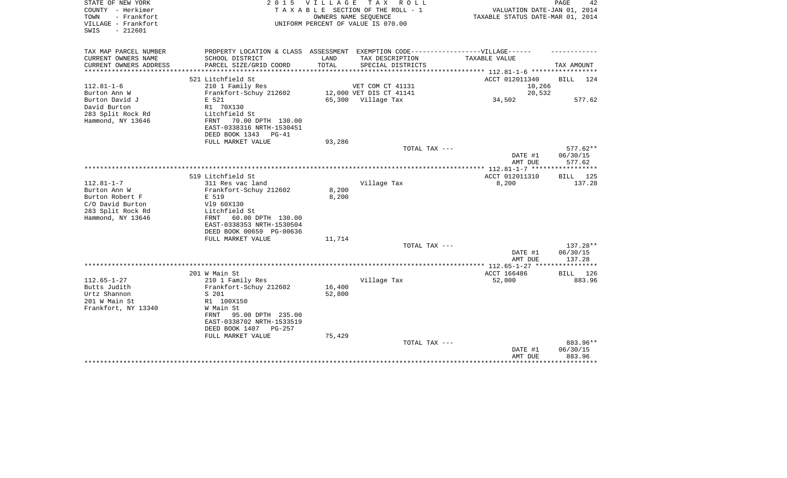| STATE OF NEW YORK<br>COUNTY - Herkimer<br>- Frankfort<br>TOWN<br>VILLAGE - Frankfort<br>$-212601$<br>SWIS         |                                                                                                                                                                          | 2015 VILLAGE<br>OWNERS NAME SEOUENCE | TAX ROLL<br>TAXABLE SECTION OF THE ROLL - 1<br>UNIFORM PERCENT OF VALUE IS 070.00 | VALUATION DATE-JAN 01, 2014<br>TAXABLE STATUS DATE-MAR 01, 2014 | PAGE<br>42                       |
|-------------------------------------------------------------------------------------------------------------------|--------------------------------------------------------------------------------------------------------------------------------------------------------------------------|--------------------------------------|-----------------------------------------------------------------------------------|-----------------------------------------------------------------|----------------------------------|
| TAX MAP PARCEL NUMBER<br>CURRENT OWNERS NAME                                                                      | PROPERTY LOCATION & CLASS ASSESSMENT EXEMPTION CODE-----------------VILLAGE------<br>SCHOOL DISTRICT                                                                     | LAND                                 | TAX DESCRIPTION                                                                   | TAXABLE VALUE                                                   |                                  |
| CURRENT OWNERS ADDRESS                                                                                            | PARCEL SIZE/GRID COORD                                                                                                                                                   | TOTAL                                | SPECIAL DISTRICTS                                                                 |                                                                 | TAX AMOUNT                       |
|                                                                                                                   |                                                                                                                                                                          |                                      |                                                                                   | ********** 112.81-1-6 **********                                |                                  |
|                                                                                                                   | 521 Litchfield St                                                                                                                                                        |                                      |                                                                                   | ACCT 012011340                                                  | <b>BILL</b><br>124               |
| $112.81 - 1 - 6$<br>Burton Ann W                                                                                  | 210 1 Family Res<br>Frankfort-Schuy 212602                                                                                                                               |                                      | VET COM CT 41131<br>12,000 VET DIS CT 41141                                       | 10,266<br>20,532                                                |                                  |
| Burton David J                                                                                                    | E 521                                                                                                                                                                    |                                      | 65,300 Village Tax                                                                | 34,502                                                          | 577.62                           |
| David Burton<br>283 Split Rock Rd<br>Hammond, NY 13646                                                            | R1 70X130<br>Litchfield St<br>70.00 DPTH 130.00<br>FRNT<br>EAST-0338316 NRTH-1530451<br>DEED BOOK 1343<br>$PG-41$                                                        |                                      |                                                                                   |                                                                 |                                  |
|                                                                                                                   | FULL MARKET VALUE                                                                                                                                                        | 93,286                               |                                                                                   |                                                                 |                                  |
|                                                                                                                   |                                                                                                                                                                          |                                      | TOTAL TAX ---                                                                     | DATE #1<br>AMT DUE                                              | $577.62**$<br>06/30/15<br>577.62 |
|                                                                                                                   |                                                                                                                                                                          |                                      |                                                                                   |                                                                 |                                  |
|                                                                                                                   | 519 Litchfield St                                                                                                                                                        |                                      |                                                                                   | ACCT 012011310                                                  | BILL 125                         |
| $112.81 - 1 - 7$<br>Burton Ann W<br>Burton Robert F<br>C/O David Burton<br>283 Split Rock Rd<br>Hammond, NY 13646 | 311 Res vac land<br>Frankfort-Schuy 212602<br>E 519<br>V19 60X130<br>Litchfield St<br>60.00 DPTH 130.00<br>FRNT<br>EAST-0338353 NRTH-1530504<br>DEED BOOK 00659 PG-00636 | 8,200<br>8,200                       | Village Tax                                                                       | 8,200                                                           | 137.28                           |
|                                                                                                                   | FULL MARKET VALUE                                                                                                                                                        | 11,714                               |                                                                                   |                                                                 |                                  |
|                                                                                                                   |                                                                                                                                                                          |                                      | TOTAL TAX ---                                                                     | DATE #1<br>AMT DUE                                              | 137.28**<br>06/30/15<br>137.28   |
|                                                                                                                   |                                                                                                                                                                          |                                      |                                                                                   | ************** 112.65-1-27 *****************                    |                                  |
| $112.65 - 1 - 27$                                                                                                 | 201 W Main St<br>210 1 Family Res                                                                                                                                        |                                      | Village Tax                                                                       | ACCT 166486<br>52,800                                           | BILL 126<br>883.96               |
| Butts Judith                                                                                                      | Frankfort-Schuy 212602                                                                                                                                                   | 16,400                               |                                                                                   |                                                                 |                                  |
| Urtz Shannon                                                                                                      | S 201                                                                                                                                                                    | 52,800                               |                                                                                   |                                                                 |                                  |
| 201 W Main St<br>Frankfort, NY 13340                                                                              | R1 100X150<br>W Main St<br>95.00 DPTH 235.00<br>FRNT<br>EAST-0338702 NRTH-1533519<br>DEED BOOK 1407<br>PG-257<br>FULL MARKET VALUE                                       | 75,429                               |                                                                                   |                                                                 |                                  |
|                                                                                                                   |                                                                                                                                                                          |                                      | TOTAL TAX ---                                                                     |                                                                 | 883.96**                         |
|                                                                                                                   |                                                                                                                                                                          |                                      |                                                                                   | DATE #1<br>AMT DUE                                              | 06/30/15<br>883.96<br>********   |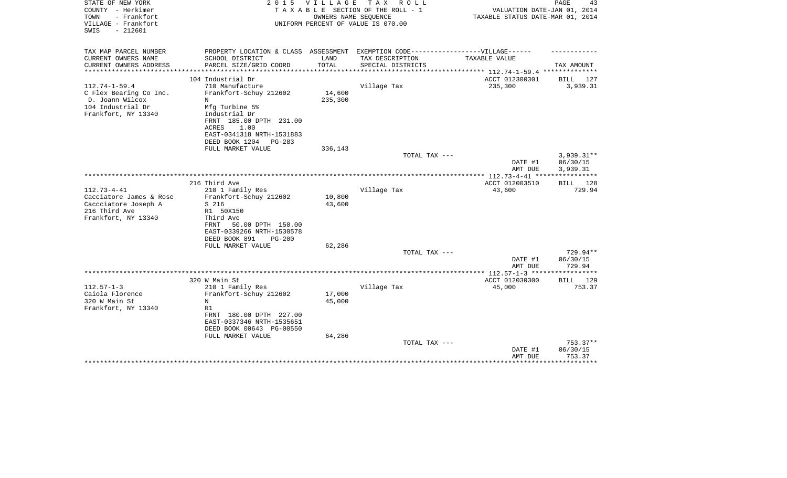| 2 0 1 5                                                                                                                                                                                       | V I L L A G E                        | TAX ROLL          |                                                                                                                  | PAGE<br>43                                                                                                                                                                                                                                          |
|-----------------------------------------------------------------------------------------------------------------------------------------------------------------------------------------------|--------------------------------------|-------------------|------------------------------------------------------------------------------------------------------------------|-----------------------------------------------------------------------------------------------------------------------------------------------------------------------------------------------------------------------------------------------------|
|                                                                                                                                                                                               |                                      |                   |                                                                                                                  |                                                                                                                                                                                                                                                     |
| PARCEL SIZE/GRID COORD                                                                                                                                                                        | TOTAL                                | SPECIAL DISTRICTS |                                                                                                                  | TAX AMOUNT                                                                                                                                                                                                                                          |
| 104 Industrial Dr                                                                                                                                                                             |                                      |                   |                                                                                                                  | BILL 127                                                                                                                                                                                                                                            |
| 710 Manufacture<br>Frankfort-Schuy 212602<br>N<br>Mfg Turbine 5%<br>Industrial Dr<br>FRNT 185.00 DPTH 231.00<br>1.00<br>ACRES<br>EAST-0341318 NRTH-1531883<br>DEED BOOK 1204<br><b>PG-283</b> | 14,600<br>235,300                    | Village Tax       | 235,300                                                                                                          | 3,939.31                                                                                                                                                                                                                                            |
| FULL MARKET VALUE                                                                                                                                                                             | 336,143                              |                   |                                                                                                                  |                                                                                                                                                                                                                                                     |
|                                                                                                                                                                                               |                                      | TOTAL TAX ---     | DATE #1                                                                                                          | $3,939.31**$<br>06/30/15<br>3,939.31                                                                                                                                                                                                                |
| 216 Third Ave<br>210 1 Family Res<br>Frankfort-Schuy 212602<br>S 216<br>R1 50X150<br>Third Ave<br>FRNT<br>50.00 DPTH 150.00<br>EAST-0339266 NRTH-1530578<br>DEED BOOK 891<br>$PG-200$         | 10,800<br>43,600                     | Village Tax       | ACCT 012003510<br>43,600                                                                                         | * * * * * * * * * * *<br>BILL<br>128<br>729.94                                                                                                                                                                                                      |
| FULL MARKET VALUE                                                                                                                                                                             | 62,286                               | TOTAL TAX ---     | DATE #1                                                                                                          | 729.94**<br>06/30/15                                                                                                                                                                                                                                |
|                                                                                                                                                                                               |                                      |                   |                                                                                                                  | 729.94<br>************                                                                                                                                                                                                                              |
| 320 W Main St<br>210 1 Family Res<br>Frankfort-Schuy 212602<br>N<br>R1<br>FRNT 180.00 DPTH 227.00<br>EAST-0337346 NRTH-1535651<br>DEED BOOK 00643 PG-00550                                    | 17,000<br>45,000                     | Village Tax       | ACCT 012030300<br>45,000                                                                                         | BILL 129<br>753.37                                                                                                                                                                                                                                  |
|                                                                                                                                                                                               |                                      | TOTAL TAX ---     | DATE #1<br>AMT DUE                                                                                               | 753.37**<br>06/30/15<br>753.37<br>* * * * * * * * *                                                                                                                                                                                                 |
|                                                                                                                                                                                               | SCHOOL DISTRICT<br>FULL MARKET VALUE | LAND<br>64,286    | TAXABLE SECTION OF THE ROLL - 1<br>OWNERS NAME SEQUENCE<br>UNIFORM PERCENT OF VALUE IS 070.00<br>TAX DESCRIPTION | VALUATION DATE-JAN 01, 2014<br>TAXABLE STATUS DATE-MAR 01, 2014<br>PROPERTY LOCATION & CLASS ASSESSMENT EXEMPTION CODE-----------------VILLAGE------<br>TAXABLE VALUE<br>********* 112.74-1-59.4 **********<br>ACCT 012300301<br>AMT DUE<br>AMT DUE |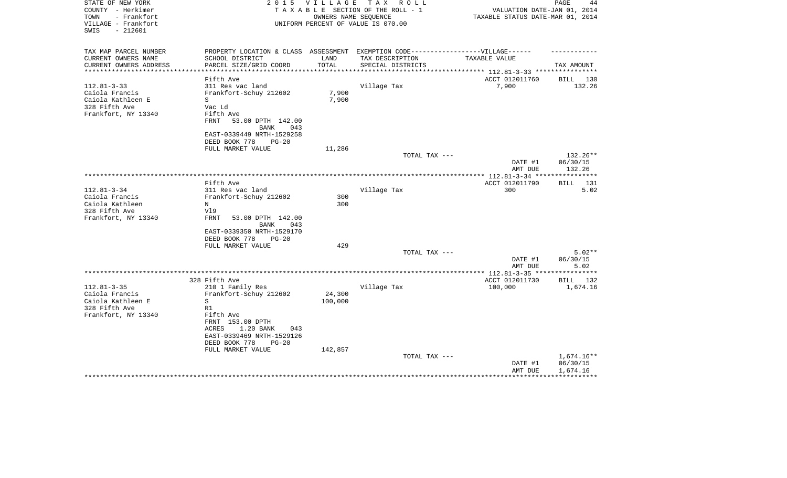| STATE OF NEW YORK<br>COUNTY - Herkimer<br>- Frankfort<br>TOWN<br>VILLAGE - Frankfort<br>$-212601$<br>SWIS | 2 0 1 5                                                                                                                        | V I L L A G E  | T A X<br>R O L L<br>TAXABLE SECTION OF THE ROLL - 1<br>OWNERS NAME SEQUENCE<br>UNIFORM PERCENT OF VALUE IS 070.00 | VALUATION DATE-JAN 01, 2014<br>TAXABLE STATUS DATE-MAR 01, 2014     | PAGE<br>44           |
|-----------------------------------------------------------------------------------------------------------|--------------------------------------------------------------------------------------------------------------------------------|----------------|-------------------------------------------------------------------------------------------------------------------|---------------------------------------------------------------------|----------------------|
| TAX MAP PARCEL NUMBER<br>CURRENT OWNERS NAME<br>CURRENT OWNERS ADDRESS                                    | PROPERTY LOCATION & CLASS ASSESSMENT EXEMPTION CODE-----------------VILLAGE------<br>SCHOOL DISTRICT<br>PARCEL SIZE/GRID COORD | LAND<br>TOTAL  | TAX DESCRIPTION<br>SPECIAL DISTRICTS                                                                              | TAXABLE VALUE                                                       | TAX AMOUNT           |
| *********************                                                                                     | *************************                                                                                                      | ************** |                                                                                                                   | ************************************* 112.81-3-33 ***************** |                      |
|                                                                                                           | Fifth Ave                                                                                                                      |                |                                                                                                                   | ACCT 012011760                                                      | BILL 130             |
| $112.81 - 3 - 33$                                                                                         | 311 Res vac land                                                                                                               |                | Village Tax                                                                                                       | 7,900                                                               | 132.26               |
| Caiola Francis                                                                                            | Frankfort-Schuy 212602                                                                                                         | 7,900          |                                                                                                                   |                                                                     |                      |
| Caiola Kathleen E                                                                                         | S                                                                                                                              | 7,900          |                                                                                                                   |                                                                     |                      |
| 328 Fifth Ave                                                                                             | Vac Ld                                                                                                                         |                |                                                                                                                   |                                                                     |                      |
| Frankfort, NY 13340                                                                                       | Fifth Ave<br>FRNT<br>53.00 DPTH 142.00                                                                                         |                |                                                                                                                   |                                                                     |                      |
|                                                                                                           | BANK<br>043                                                                                                                    |                |                                                                                                                   |                                                                     |                      |
|                                                                                                           | EAST-0339449 NRTH-1529258                                                                                                      |                |                                                                                                                   |                                                                     |                      |
|                                                                                                           | DEED BOOK 778<br>$PG-20$                                                                                                       |                |                                                                                                                   |                                                                     |                      |
|                                                                                                           | FULL MARKET VALUE                                                                                                              | 11,286         |                                                                                                                   |                                                                     |                      |
|                                                                                                           |                                                                                                                                |                | TOTAL TAX ---                                                                                                     |                                                                     | 132.26**             |
|                                                                                                           |                                                                                                                                |                |                                                                                                                   | DATE #1                                                             | 06/30/15             |
|                                                                                                           |                                                                                                                                |                |                                                                                                                   | AMT DUE                                                             | 132.26               |
|                                                                                                           | Fifth Ave                                                                                                                      |                |                                                                                                                   | ACCT 012011790                                                      | 131<br>BILL          |
| $112.81 - 3 - 34$                                                                                         | 311 Res vac land                                                                                                               |                | Village Tax                                                                                                       | 300                                                                 | 5.02                 |
| Caiola Francis                                                                                            | Frankfort-Schuy 212602                                                                                                         | 300            |                                                                                                                   |                                                                     |                      |
| Caiola Kathleen                                                                                           | N                                                                                                                              | 300            |                                                                                                                   |                                                                     |                      |
| 328 Fifth Ave                                                                                             | V19                                                                                                                            |                |                                                                                                                   |                                                                     |                      |
| Frankfort, NY 13340                                                                                       | <b>FRNT</b><br>53.00 DPTH 142.00<br>043<br>BANK                                                                                |                |                                                                                                                   |                                                                     |                      |
|                                                                                                           | EAST-0339350 NRTH-1529170                                                                                                      |                |                                                                                                                   |                                                                     |                      |
|                                                                                                           | DEED BOOK 778<br>$PG-20$                                                                                                       |                |                                                                                                                   |                                                                     |                      |
|                                                                                                           | FULL MARKET VALUE                                                                                                              | 429            | TOTAL TAX ---                                                                                                     |                                                                     | $5.02**$             |
|                                                                                                           |                                                                                                                                |                |                                                                                                                   | DATE #1<br>AMT DUE                                                  | 06/30/15<br>5.02     |
|                                                                                                           |                                                                                                                                |                |                                                                                                                   | ** 112.81-3-35 **                                                   | *********            |
|                                                                                                           | 328 Fifth Ave                                                                                                                  |                |                                                                                                                   | ACCT 012011730                                                      | BILL 132             |
| $112.81 - 3 - 35$                                                                                         | 210 1 Family Res                                                                                                               |                | Village Tax                                                                                                       | 100,000                                                             | 1,674.16             |
| Caiola Francis                                                                                            | Frankfort-Schuy 212602                                                                                                         | 24,300         |                                                                                                                   |                                                                     |                      |
| Caiola Kathleen E<br>328 Fifth Ave                                                                        | S<br>R1                                                                                                                        | 100,000        |                                                                                                                   |                                                                     |                      |
| Frankfort, NY 13340                                                                                       | Fifth Ave                                                                                                                      |                |                                                                                                                   |                                                                     |                      |
|                                                                                                           | FRNT 153.00 DPTH<br><b>ACRES</b><br>1.20 BANK<br>043<br>EAST-0339469 NRTH-1529126                                              |                |                                                                                                                   |                                                                     |                      |
|                                                                                                           | DEED BOOK 778<br>$PG-20$                                                                                                       |                |                                                                                                                   |                                                                     |                      |
|                                                                                                           | FULL MARKET VALUE                                                                                                              | 142,857        |                                                                                                                   |                                                                     |                      |
|                                                                                                           |                                                                                                                                |                | TOTAL TAX ---                                                                                                     |                                                                     | 1,674.16**           |
|                                                                                                           |                                                                                                                                |                |                                                                                                                   | DATE #1<br>AMT DUE                                                  | 06/30/15<br>1,674.16 |
|                                                                                                           |                                                                                                                                |                |                                                                                                                   |                                                                     |                      |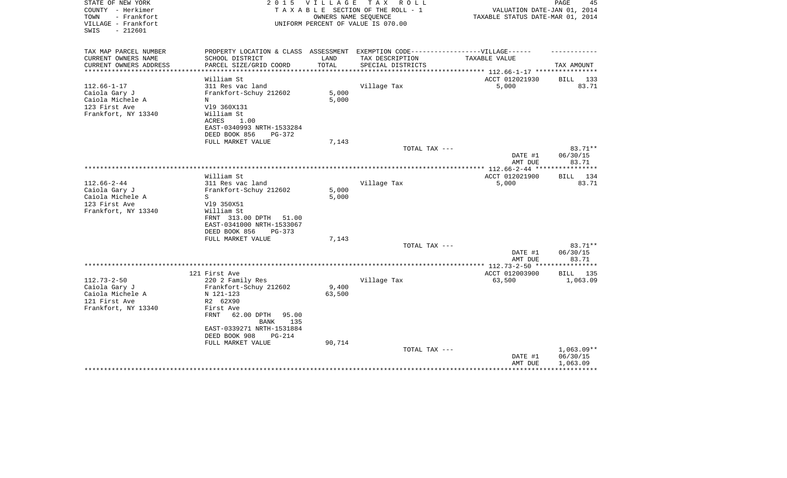| TAX MAP PARCEL NUMBER<br>PROPERTY LOCATION & CLASS ASSESSMENT<br>EXEMPTION CODE------------------VILLAGE------                         |       |
|----------------------------------------------------------------------------------------------------------------------------------------|-------|
| CURRENT OWNERS NAME<br>SCHOOL DISTRICT<br>LAND<br>TAX DESCRIPTION<br>TAXABLE VALUE                                                     |       |
| CURRENT OWNERS ADDRESS<br>PARCEL SIZE/GRID COORD<br>TOTAL<br>SPECIAL DISTRICTS<br>TAX AMOUNT<br>*********************<br>************* |       |
| William St<br>ACCT 012021930<br>BILL                                                                                                   | 133   |
| $112.66 - 1 - 17$<br>311 Res vac land<br>Village Tax<br>5,000                                                                          | 83.71 |
| 5,000<br>Frankfort-Schuy 212602<br>Caiola Gary J                                                                                       |       |
| Caiola Michele A<br>5,000<br>N                                                                                                         |       |
| 123 First Ave<br>V19 360X131                                                                                                           |       |
| Frankfort, NY 13340<br>William St                                                                                                      |       |
| ACRES<br>1.00                                                                                                                          |       |
| EAST-0340993 NRTH-1533284                                                                                                              |       |
| DEED BOOK 856<br>PG-372                                                                                                                |       |
| FULL MARKET VALUE<br>7,143<br>83.71**<br>TOTAL TAX ---                                                                                 |       |
| DATE #1<br>06/30/15                                                                                                                    |       |
| 83.71<br>AMT DUE                                                                                                                       |       |
| **********************<br>**********<br>************* 112.66-2-44 **                                                                   |       |
| William St<br>ACCT 012021900<br>BILL 134                                                                                               |       |
| $112.66 - 2 - 44$<br>311 Res vac land<br>Village Tax<br>5,000                                                                          | 83.71 |
| 5,000<br>Caiola Gary J<br>Frankfort-Schuy 212602                                                                                       |       |
| Caiola Michele A<br>5,000<br>S                                                                                                         |       |
| 123 First Ave<br>V19 350X51                                                                                                            |       |
| Frankfort, NY 13340<br>William St                                                                                                      |       |
| FRNT 313.00 DPTH<br>51.00<br>EAST-0341000 NRTH-1533067                                                                                 |       |
| DEED BOOK 856<br>PG-373                                                                                                                |       |
| 7,143<br>FULL MARKET VALUE                                                                                                             |       |
| TOTAL TAX ---<br>83.71**                                                                                                               |       |
| DATE #1<br>06/30/15                                                                                                                    |       |
| AMT DUE<br>83.71                                                                                                                       |       |
| ** $112.73 - 2 - 50$ **<br>* * * * * * * *                                                                                             |       |
| 121 First Ave<br>ACCT 012003900<br>BILL 135<br>$112.73 - 2 - 50$                                                                       |       |
| 220 2 Family Res<br>Village Tax<br>63,500<br>1,063.09<br>9,400<br>Caiola Gary J<br>Frankfort-Schuy 212602                              |       |
| 63,500<br>Caiola Michele A<br>N 121-123                                                                                                |       |
| 121 First Ave<br>R2 62X90                                                                                                              |       |
| Frankfort, NY 13340<br>First Ave                                                                                                       |       |
| FRNT<br>62.00 DPTH<br>95.00                                                                                                            |       |
| <b>BANK</b><br>135                                                                                                                     |       |
| EAST-0339271 NRTH-1531884                                                                                                              |       |
| DEED BOOK 908<br>PG-214                                                                                                                |       |
| 90,714<br>FULL MARKET VALUE                                                                                                            |       |
| $1,063.09**$<br>TOTAL TAX ---                                                                                                          |       |
| 06/30/15<br>DATE #1<br>AMT DUE<br>1,063.09                                                                                             |       |
|                                                                                                                                        |       |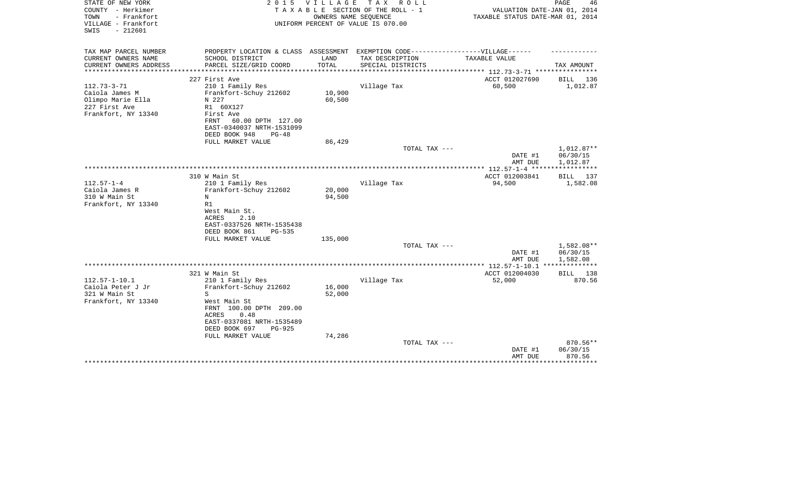| STATE OF NEW YORK<br>COUNTY - Herkimer<br>TOWN<br>- Frankfort<br>VILLAGE - Frankfort<br>$-212601$<br>SWIS | 2 0 1 5                                                                                                                                                                                       | <b>VILLAGE</b><br>OWNERS NAME SEQUENCE | T A X<br>R O L L<br>TAXABLE SECTION OF THE ROLL - 1<br>UNIFORM PERCENT OF VALUE IS 070.00 | VALUATION DATE-JAN 01, 2014<br>TAXABLE STATUS DATE-MAR 01, 2014 | PAGE<br>46                                 |
|-----------------------------------------------------------------------------------------------------------|-----------------------------------------------------------------------------------------------------------------------------------------------------------------------------------------------|----------------------------------------|-------------------------------------------------------------------------------------------|-----------------------------------------------------------------|--------------------------------------------|
|                                                                                                           |                                                                                                                                                                                               |                                        |                                                                                           |                                                                 |                                            |
| TAX MAP PARCEL NUMBER<br>CURRENT OWNERS NAME                                                              | PROPERTY LOCATION & CLASS ASSESSMENT EXEMPTION CODE-----------------VILLAGE------<br>SCHOOL DISTRICT                                                                                          | LAND                                   | TAX DESCRIPTION                                                                           | <b>TAXABLE VALUE</b>                                            |                                            |
| CURRENT OWNERS ADDRESS<br>**********************                                                          | PARCEL SIZE/GRID COORD                                                                                                                                                                        | TOTAL                                  | SPECIAL DISTRICTS                                                                         |                                                                 | TAX AMOUNT                                 |
|                                                                                                           | 227 First Ave                                                                                                                                                                                 |                                        |                                                                                           | ACCT 012027690                                                  | BILL<br>136                                |
| $112.73 - 3 - 71$<br>Caiola James M<br>Olimpo Marie Ella<br>227 First Ave<br>Frankfort, NY 13340          | 210 1 Family Res<br>Frankfort-Schuy 212602<br>N 227<br>R1 60X127<br>First Ave<br>60.00 DPTH 127.00<br>FRNT<br>EAST-0340037 NRTH-1531099<br>DEED BOOK 948<br>$PG-48$                           | 10,900<br>60,500                       | Village Tax                                                                               | 60,500                                                          | 1,012.87                                   |
|                                                                                                           | FULL MARKET VALUE                                                                                                                                                                             | 86,429                                 | TOTAL TAX ---                                                                             |                                                                 | 1,012.87**                                 |
|                                                                                                           |                                                                                                                                                                                               |                                        |                                                                                           | DATE #1<br>AMT DUE                                              | 06/30/15<br>1,012.87                       |
|                                                                                                           |                                                                                                                                                                                               |                                        |                                                                                           | ***************** 112.57-1-4 ******************                 |                                            |
| $112.57 - 1 - 4$<br>Caiola James R<br>310 W Main St<br>Frankfort, NY 13340                                | 310 W Main St<br>210 1 Family Res<br>Frankfort-Schuy 212602<br>N<br>R1<br>West Main St.<br>2.10<br><b>ACRES</b><br>EAST-0337526 NRTH-1535438<br>DEED BOOK 861<br>PG-535                       | 20,000<br>94,500                       | Village Tax                                                                               | ACCT 012003841<br>94,500                                        | BILL 137<br>1,582.08                       |
|                                                                                                           | FULL MARKET VALUE                                                                                                                                                                             | 135,000                                |                                                                                           |                                                                 |                                            |
|                                                                                                           |                                                                                                                                                                                               |                                        | TOTAL TAX ---                                                                             | DATE #1<br>AMT DUE                                              | 1,582.08**<br>06/30/15<br>1,582.08         |
|                                                                                                           |                                                                                                                                                                                               |                                        |                                                                                           | ************ 112.57-1-10.1 *******                              | ******                                     |
| $112.57 - 1 - 10.1$<br>Caiola Peter J Jr<br>321 W Main St<br>Frankfort, NY 13340                          | 321 W Main St<br>210 1 Family Res<br>Frankfort-Schuy 212602<br>S<br>West Main St<br>FRNT 100.00 DPTH 209.00<br><b>ACRES</b><br>0.48<br>EAST-0337081 NRTH-1535489<br>DEED BOOK 697<br>$PG-925$ | 16,000<br>52,000                       | Village Tax                                                                               | ACCT 012004030<br>52,000                                        | 138<br><b>BILL</b><br>870.56               |
|                                                                                                           | FULL MARKET VALUE                                                                                                                                                                             | 74,286                                 | TOTAL TAX ---                                                                             | DATE #1<br>AMT DUE                                              | 870.56**<br>06/30/15<br>870.56<br>******** |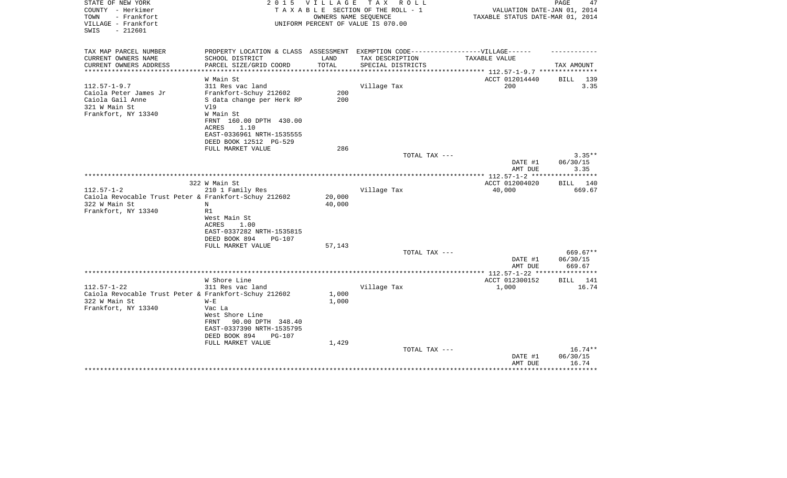| STATE OF NEW YORK<br>COUNTY - Herkimer<br>TOWN<br>- Frankfort<br>VILLAGE - Frankfort<br>$-212601$<br>SWIS | 2 0 1 5                                                                           | V I L L A G E | TAX ROLL<br>TAXABLE SECTION OF THE ROLL - 1<br>OWNERS NAME SEOUENCE<br>UNIFORM PERCENT OF VALUE IS 070.00 | VALUATION DATE-JAN 01, 2014<br>TAXABLE STATUS DATE-MAR 01, 2014 | PAGE<br>47          |
|-----------------------------------------------------------------------------------------------------------|-----------------------------------------------------------------------------------|---------------|-----------------------------------------------------------------------------------------------------------|-----------------------------------------------------------------|---------------------|
| TAX MAP PARCEL NUMBER                                                                                     | PROPERTY LOCATION & CLASS ASSESSMENT EXEMPTION CODE-----------------VILLAGE------ |               |                                                                                                           |                                                                 |                     |
| CURRENT OWNERS NAME<br>CURRENT OWNERS ADDRESS                                                             | SCHOOL DISTRICT<br>PARCEL SIZE/GRID COORD                                         | LAND<br>TOTAL | TAX DESCRIPTION<br>SPECIAL DISTRICTS                                                                      | TAXABLE VALUE                                                   | TAX AMOUNT          |
|                                                                                                           | W Main St                                                                         |               |                                                                                                           | ********** 112.57-1-9.7 ***<br>ACCT 012014440                   | 139<br><b>BILL</b>  |
| $112.57 - 1 - 9.7$                                                                                        | 311 Res vac land                                                                  |               | Village Tax                                                                                               | 200                                                             | 3.35                |
| Caiola Peter James Jr                                                                                     | Frankfort-Schuy 212602                                                            | 200           |                                                                                                           |                                                                 |                     |
| Caiola Gail Anne                                                                                          | S data change per Herk RP                                                         | 200           |                                                                                                           |                                                                 |                     |
| 321 W Main St                                                                                             | V19                                                                               |               |                                                                                                           |                                                                 |                     |
| Frankfort, NY 13340                                                                                       | W Main St                                                                         |               |                                                                                                           |                                                                 |                     |
|                                                                                                           | FRNT 160.00 DPTH 430.00                                                           |               |                                                                                                           |                                                                 |                     |
|                                                                                                           | 1.10<br>ACRES                                                                     |               |                                                                                                           |                                                                 |                     |
|                                                                                                           | EAST-0336961 NRTH-1535555                                                         |               |                                                                                                           |                                                                 |                     |
|                                                                                                           | DEED BOOK 12512 PG-529                                                            |               |                                                                                                           |                                                                 |                     |
|                                                                                                           | FULL MARKET VALUE                                                                 | 286           |                                                                                                           |                                                                 |                     |
|                                                                                                           |                                                                                   |               | TOTAL TAX ---                                                                                             |                                                                 | $3.35**$            |
|                                                                                                           |                                                                                   |               |                                                                                                           | DATE #1                                                         | 06/30/15            |
|                                                                                                           |                                                                                   |               |                                                                                                           | AMT DUE                                                         | 3.35<br>*********** |
|                                                                                                           |                                                                                   |               |                                                                                                           |                                                                 | <b>BILL</b><br>140  |
|                                                                                                           | 322 W Main St                                                                     |               |                                                                                                           | ACCT 012004020                                                  |                     |
| $112.57 - 1 - 2$<br>Caiola Revocable Trust Peter & Frankfort-Schuy 212602                                 | 210 1 Family Res                                                                  | 20,000        | Village Tax                                                                                               | 40,000                                                          | 669.67              |
| 322 W Main St                                                                                             | N                                                                                 | 40,000        |                                                                                                           |                                                                 |                     |
| Frankfort, NY 13340                                                                                       | R1                                                                                |               |                                                                                                           |                                                                 |                     |
|                                                                                                           | West Main St                                                                      |               |                                                                                                           |                                                                 |                     |
|                                                                                                           | 1.00<br>ACRES                                                                     |               |                                                                                                           |                                                                 |                     |
|                                                                                                           | EAST-0337282 NRTH-1535815                                                         |               |                                                                                                           |                                                                 |                     |
|                                                                                                           | DEED BOOK 894<br><b>PG-107</b>                                                    |               |                                                                                                           |                                                                 |                     |
|                                                                                                           | FULL MARKET VALUE                                                                 | 57,143        |                                                                                                           |                                                                 |                     |
|                                                                                                           |                                                                                   |               | TOTAL TAX ---                                                                                             |                                                                 | 669.67**            |
|                                                                                                           |                                                                                   |               |                                                                                                           | DATE #1                                                         | 06/30/15            |
|                                                                                                           |                                                                                   |               |                                                                                                           | AMT DUE                                                         | 669.67              |
|                                                                                                           |                                                                                   |               |                                                                                                           |                                                                 |                     |
|                                                                                                           | W Shore Line                                                                      |               |                                                                                                           | ACCT 012300152                                                  | 141<br>BILL         |
| $112.57 - 1 - 22$                                                                                         | 311 Res vac land                                                                  |               | Village Tax                                                                                               | 1,000                                                           | 16.74               |
| Caiola Revocable Trust Peter & Frankfort-Schuy 212602                                                     |                                                                                   | 1,000         |                                                                                                           |                                                                 |                     |
| 322 W Main St                                                                                             | $W - E$                                                                           | 1,000         |                                                                                                           |                                                                 |                     |
| Frankfort, NY 13340                                                                                       | Vac La<br>West Shore Line                                                         |               |                                                                                                           |                                                                 |                     |
|                                                                                                           | FRNT<br>90.00 DPTH 348.40                                                         |               |                                                                                                           |                                                                 |                     |
|                                                                                                           | EAST-0337390 NRTH-1535795                                                         |               |                                                                                                           |                                                                 |                     |
|                                                                                                           | DEED BOOK 894<br><b>PG-107</b>                                                    |               |                                                                                                           |                                                                 |                     |
|                                                                                                           | FULL MARKET VALUE                                                                 | 1,429         |                                                                                                           |                                                                 |                     |
|                                                                                                           |                                                                                   |               | TOTAL TAX ---                                                                                             |                                                                 | $16.74**$           |
|                                                                                                           |                                                                                   |               |                                                                                                           | DATE #1                                                         | 06/30/15            |
|                                                                                                           |                                                                                   |               |                                                                                                           | AMT DUE                                                         | 16.74               |
|                                                                                                           |                                                                                   |               |                                                                                                           |                                                                 |                     |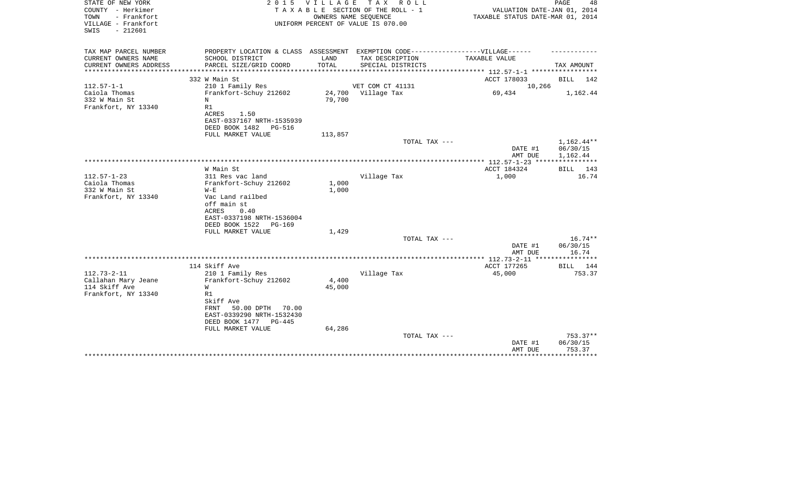| STATE OF NEW YORK<br>COUNTY - Herkimer<br>TOWN<br>- Frankfort<br>VILLAGE - Frankfort<br>$-212601$<br>SWIS | 2 0 1 5                                                                                                                                                    | V I L L A G E   | TAX ROLL<br>TAXABLE SECTION OF THE ROLL - 1<br>OWNERS NAME SEQUENCE<br>UNIFORM PERCENT OF VALUE IS 070.00 | VALUATION DATE-JAN 01, 2014<br>TAXABLE STATUS DATE-MAR 01, 2014 | PAGE<br>48                         |
|-----------------------------------------------------------------------------------------------------------|------------------------------------------------------------------------------------------------------------------------------------------------------------|-----------------|-----------------------------------------------------------------------------------------------------------|-----------------------------------------------------------------|------------------------------------|
| TAX MAP PARCEL NUMBER<br>CURRENT OWNERS NAME                                                              | PROPERTY LOCATION & CLASS ASSESSMENT EXEMPTION CODE-----------------VILLAGE------<br>SCHOOL DISTRICT                                                       | LAND            | TAX DESCRIPTION                                                                                           | TAXABLE VALUE                                                   |                                    |
| CURRENT OWNERS ADDRESS                                                                                    | PARCEL SIZE/GRID COORD                                                                                                                                     | TOTAL           | SPECIAL DISTRICTS                                                                                         |                                                                 | TAX AMOUNT                         |
| *******************                                                                                       |                                                                                                                                                            |                 |                                                                                                           |                                                                 |                                    |
|                                                                                                           | 332 W Main St                                                                                                                                              |                 |                                                                                                           | ACCT 178033                                                     | <b>BILL</b><br>142                 |
| $112.57 - 1 - 1$<br>Caiola Thomas                                                                         | 210 1 Family Res<br>Frankfort-Schuy 212602                                                                                                                 | 24,700          | VET COM CT 41131<br>Village Tax                                                                           | 10,266<br>69,434                                                | 1,162.44                           |
| 332 W Main St<br>Frankfort, NY 13340                                                                      | N<br>R1<br>ACRES<br>1.50<br>EAST-0337167 NRTH-1535939<br>DEED BOOK 1482<br><b>PG-516</b>                                                                   | 79,700          |                                                                                                           |                                                                 |                                    |
|                                                                                                           | FULL MARKET VALUE                                                                                                                                          | 113,857         |                                                                                                           |                                                                 |                                    |
|                                                                                                           |                                                                                                                                                            |                 | TOTAL TAX ---                                                                                             | DATE #1<br>AMT DUE                                              | 1,162.44**<br>06/30/15<br>1,162.44 |
|                                                                                                           | W Main St                                                                                                                                                  |                 |                                                                                                           | *** 112.57-1-23 ***<br>ACCT 184324                              | 143<br>BILL                        |
| $112.57 - 1 - 23$<br>Caiola Thomas<br>332 W Main St<br>Frankfort, NY 13340                                | 311 Res vac land<br>Frankfort-Schuy 212602<br>$W - E$<br>Vac Land railbed<br>off main st<br>ACRES<br>0.40<br>EAST-0337198 NRTH-1536004                     | 1,000<br>1,000  | Village Tax                                                                                               | 1,000                                                           | 16.74                              |
|                                                                                                           | DEED BOOK 1522<br>PG-169                                                                                                                                   |                 |                                                                                                           |                                                                 |                                    |
|                                                                                                           | FULL MARKET VALUE                                                                                                                                          | 1,429           |                                                                                                           |                                                                 |                                    |
|                                                                                                           |                                                                                                                                                            |                 | TOTAL TAX ---                                                                                             | DATE #1<br>AMT DUE                                              | $16.74**$<br>06/30/15<br>16.74     |
|                                                                                                           |                                                                                                                                                            |                 |                                                                                                           |                                                                 | **********                         |
|                                                                                                           | 114 Skiff Ave                                                                                                                                              |                 |                                                                                                           | ACCT 177265                                                     | <b>BILL</b><br>144                 |
| $112.73 - 2 - 11$<br>Callahan Mary Jeane<br>114 Skiff Ave<br>Frankfort, NY 13340                          | 210 1 Family Res<br>Frankfort-Schuy 212602<br>W<br>R1<br>Skiff Ave<br>50.00 DPTH<br>FRNT<br>70.00<br>EAST-0339290 NRTH-1532430<br>DEED BOOK 1477<br>PG-445 | 4,400<br>45,000 | Village Tax                                                                                               | 45,000                                                          | 753.37                             |
|                                                                                                           | FULL MARKET VALUE                                                                                                                                          | 64,286          |                                                                                                           |                                                                 |                                    |
|                                                                                                           |                                                                                                                                                            |                 | TOTAL TAX ---                                                                                             | DATE #1<br>AMT DUE                                              | $753.37**$<br>06/30/15<br>753.37   |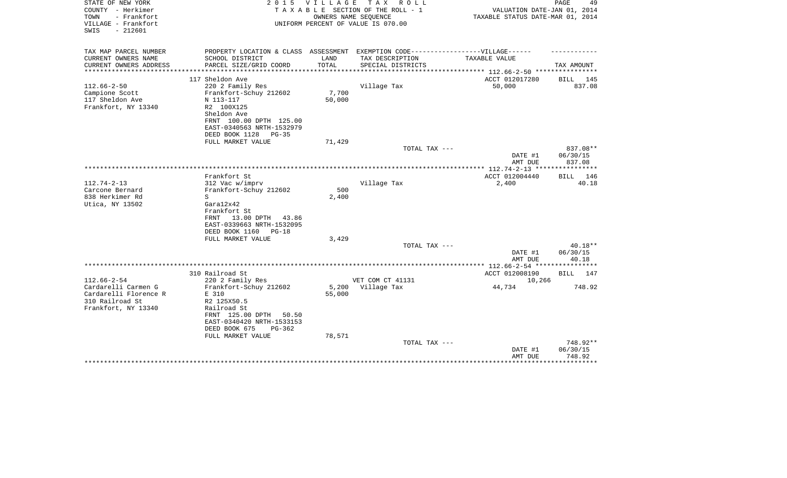| STATE OF NEW YORK<br>COUNTY - Herkimer<br>- Frankfort<br>TOWN<br>VILLAGE - Frankfort<br>SWIS<br>$-212601$   | 2 0 1 5                                                                                                                                                                                       | <b>VILLAGE</b><br>OWNERS NAME SEQUENCE | TAX ROLL<br>TAXABLE SECTION OF THE ROLL - 1<br>UNIFORM PERCENT OF VALUE IS 070.00 | VALUATION DATE-JAN 01, 2014<br>TAXABLE STATUS DATE-MAR 01, 2014 | PAGE<br>49                                 |
|-------------------------------------------------------------------------------------------------------------|-----------------------------------------------------------------------------------------------------------------------------------------------------------------------------------------------|----------------------------------------|-----------------------------------------------------------------------------------|-----------------------------------------------------------------|--------------------------------------------|
| TAX MAP PARCEL NUMBER<br>CURRENT OWNERS NAME                                                                | PROPERTY LOCATION & CLASS ASSESSMENT EXEMPTION CODE-----------------VILLAGE------<br>SCHOOL DISTRICT                                                                                          | LAND                                   | TAX DESCRIPTION                                                                   | <b>TAXABLE VALUE</b>                                            |                                            |
| CURRENT OWNERS ADDRESS                                                                                      | PARCEL SIZE/GRID COORD                                                                                                                                                                        | TOTAL                                  | SPECIAL DISTRICTS                                                                 |                                                                 | TAX AMOUNT                                 |
|                                                                                                             |                                                                                                                                                                                               |                                        |                                                                                   | *********** 112.66-2-50 *****************                       |                                            |
|                                                                                                             | 117 Sheldon Ave                                                                                                                                                                               |                                        |                                                                                   | ACCT 012017280                                                  | BILL 145                                   |
| $112.66 - 2 - 50$<br>Campione Scott<br>117 Sheldon Ave<br>Frankfort, NY 13340                               | 220 2 Family Res<br>Frankfort-Schuy 212602<br>N 113-117<br>R2 100X125<br>Sheldon Ave<br>FRNT 100.00 DPTH 125.00<br>EAST-0340563 NRTH-1532979<br>DEED BOOK 1128<br>$PG-35$                     | 7,700<br>50,000                        | Village Tax                                                                       | 50,000                                                          | 837.08                                     |
|                                                                                                             | FULL MARKET VALUE                                                                                                                                                                             | 71,429                                 |                                                                                   |                                                                 |                                            |
|                                                                                                             |                                                                                                                                                                                               |                                        | TOTAL TAX ---                                                                     | DATE #1<br>AMT DUE                                              | 837.08**<br>06/30/15<br>837.08             |
|                                                                                                             |                                                                                                                                                                                               |                                        |                                                                                   |                                                                 |                                            |
| $112.74 - 2 - 13$<br>Carcone Bernard<br>838 Herkimer Rd<br>Utica, NY 13502                                  | Frankfort St<br>312 Vac w/imprv<br>Frankfort-Schuy 212602<br>S<br>Gara12x42<br>Frankfort St<br>13.00 DPTH 43.86<br>FRNT<br>EAST-0339663 NRTH-1532095<br>DEED BOOK 1160<br>$PG-18$             | 500<br>2,400                           | Village Tax                                                                       | ACCT 012004440<br>2,400                                         | BILL 146<br>40.18                          |
|                                                                                                             | FULL MARKET VALUE                                                                                                                                                                             | 3,429                                  |                                                                                   |                                                                 |                                            |
|                                                                                                             |                                                                                                                                                                                               |                                        | TOTAL TAX ---                                                                     | DATE #1<br>AMT DUE                                              | $40.18**$<br>06/30/15<br>40.18             |
|                                                                                                             |                                                                                                                                                                                               |                                        |                                                                                   | ************** 112.66-2-54 *****************                    |                                            |
|                                                                                                             | 310 Railroad St                                                                                                                                                                               |                                        |                                                                                   | ACCT 012008190                                                  | BILL 147                                   |
| $112.66 - 2 - 54$<br>Cardarelli Carmen G<br>Cardarelli Florence R<br>310 Railroad St<br>Frankfort, NY 13340 | 220 2 Family Res<br>Frankfort-Schuy 212602<br>E 310<br>R2 125X50.5<br>Railroad St<br>FRNT 125.00 DPTH<br>50.50<br>EAST-0340420 NRTH-1533153<br>DEED BOOK 675<br>$PG-362$<br>FULL MARKET VALUE | 5,200<br>55,000<br>78,571              | VET COM CT 41131<br>Village Tax                                                   | 10,266<br>44,734                                                | 748.92                                     |
|                                                                                                             |                                                                                                                                                                                               |                                        | TOTAL TAX ---                                                                     | DATE #1<br>AMT DUE                                              | 748.92**<br>06/30/15<br>748.92<br>******** |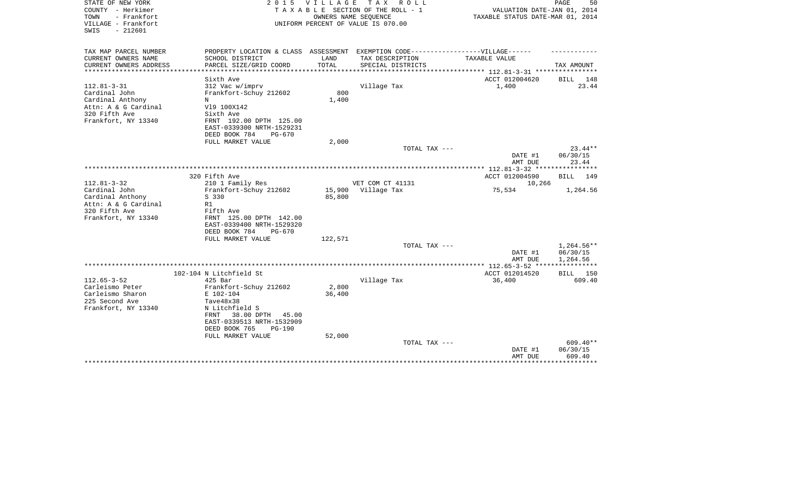| STATE OF NEW YORK<br>COUNTY - Herkimer<br>TOWN<br>- Frankfort | 2 0 1 5                              | V I L L A G E | T A X<br>R O L L<br>TAXABLE SECTION OF THE ROLL - 1<br>OWNERS NAME SEQUENCE | VALUATION DATE-JAN 01, 2014<br>TAXABLE STATUS DATE-MAR 01, 2014 | PAGE<br>50           |
|---------------------------------------------------------------|--------------------------------------|---------------|-----------------------------------------------------------------------------|-----------------------------------------------------------------|----------------------|
| VILLAGE - Frankfort<br>$-212601$<br>SWIS                      |                                      |               | UNIFORM PERCENT OF VALUE IS 070.00                                          |                                                                 |                      |
| TAX MAP PARCEL NUMBER                                         | PROPERTY LOCATION & CLASS ASSESSMENT |               | EXEMPTION CODE-----------------VILLAGE------                                |                                                                 |                      |
| CURRENT OWNERS NAME                                           | SCHOOL DISTRICT                      | LAND          | TAX DESCRIPTION                                                             | TAXABLE VALUE                                                   |                      |
| CURRENT OWNERS ADDRESS                                        | PARCEL SIZE/GRID COORD               | TOTAL         | SPECIAL DISTRICTS                                                           |                                                                 | TAX AMOUNT           |
| **************                                                |                                      |               |                                                                             | ****************** 112.81-3-31 *****************                |                      |
|                                                               | Sixth Ave                            |               |                                                                             | ACCT 012004620                                                  | BILL 148             |
| $112.81 - 3 - 31$                                             | 312 Vac w/imprv                      |               | Village Tax                                                                 | 1,400                                                           | 23.44                |
| Cardinal John                                                 | Frankfort-Schuy 212602               | 800           |                                                                             |                                                                 |                      |
| Cardinal Anthony                                              | N                                    | 1,400         |                                                                             |                                                                 |                      |
| Attn: A & G Cardinal<br>320 Fifth Ave                         | V19 100X142                          |               |                                                                             |                                                                 |                      |
| Frankfort, NY 13340                                           | Sixth Ave<br>FRNT 192.00 DPTH 125.00 |               |                                                                             |                                                                 |                      |
|                                                               | EAST-0339300 NRTH-1529231            |               |                                                                             |                                                                 |                      |
|                                                               | DEED BOOK 784<br><b>PG-670</b>       |               |                                                                             |                                                                 |                      |
|                                                               | FULL MARKET VALUE                    | 2,000         |                                                                             |                                                                 |                      |
|                                                               |                                      |               | TOTAL TAX ---                                                               |                                                                 | $23.44**$            |
|                                                               |                                      |               |                                                                             | DATE #1                                                         | 06/30/15             |
|                                                               |                                      |               |                                                                             | AMT DUE                                                         | 23.44                |
|                                                               |                                      |               |                                                                             | **************** 112.81-3-32 *****************                  |                      |
|                                                               | 320 Fifth Ave                        |               |                                                                             | ACCT 012004590                                                  | <b>BILL</b> 149      |
| $112.81 - 3 - 32$                                             | 210 1 Family Res                     |               | VET COM CT 41131                                                            | 10,266                                                          |                      |
| Cardinal John                                                 | Frankfort-Schuy 212602               | 15,900        | Village Tax                                                                 | 75,534                                                          | 1,264.56             |
| Cardinal Anthony                                              | S 330                                | 85,800        |                                                                             |                                                                 |                      |
| Attn: A & G Cardinal                                          | R1                                   |               |                                                                             |                                                                 |                      |
| 320 Fifth Ave                                                 | Fifth Ave                            |               |                                                                             |                                                                 |                      |
| Frankfort, NY 13340                                           | FRNT 125.00 DPTH 142.00              |               |                                                                             |                                                                 |                      |
|                                                               | EAST-0339400 NRTH-1529320            |               |                                                                             |                                                                 |                      |
|                                                               | DEED BOOK 784<br>PG-670              |               |                                                                             |                                                                 |                      |
|                                                               | FULL MARKET VALUE                    | 122,571       |                                                                             |                                                                 |                      |
|                                                               |                                      |               | TOTAL TAX ---                                                               |                                                                 | 1,264.56**           |
|                                                               |                                      |               |                                                                             | DATE #1<br>AMT DUE                                              | 06/30/15<br>1,264.56 |
|                                                               |                                      |               |                                                                             |                                                                 | ***********          |
|                                                               | 102-104 N Litchfield St              |               |                                                                             | ACCT 012014520                                                  | BILL 150             |
| $112.65 - 3 - 52$                                             | 425 Bar                              |               | Village Tax                                                                 | 36,400                                                          | 609.40               |
| Carleismo Peter                                               | Frankfort-Schuy 212602               | 2,800         |                                                                             |                                                                 |                      |
| Carleismo Sharon                                              | E 102-104                            | 36,400        |                                                                             |                                                                 |                      |
| 225 Second Ave                                                | Tave48x38                            |               |                                                                             |                                                                 |                      |
| Frankfort, NY 13340                                           | N Litchfield S                       |               |                                                                             |                                                                 |                      |
|                                                               | 38.00 DPTH<br>45.00<br>FRNT          |               |                                                                             |                                                                 |                      |
|                                                               | EAST-0339513 NRTH-1532909            |               |                                                                             |                                                                 |                      |
|                                                               | DEED BOOK 765<br><b>PG-190</b>       |               |                                                                             |                                                                 |                      |
|                                                               | FULL MARKET VALUE                    | 52,000        |                                                                             |                                                                 |                      |
|                                                               |                                      |               | TOTAL TAX ---                                                               |                                                                 | $609.40**$           |
|                                                               |                                      |               |                                                                             | DATE #1                                                         | 06/30/15             |
|                                                               |                                      |               |                                                                             | AMT DUE                                                         | 609.40               |
|                                                               |                                      |               |                                                                             |                                                                 | **********           |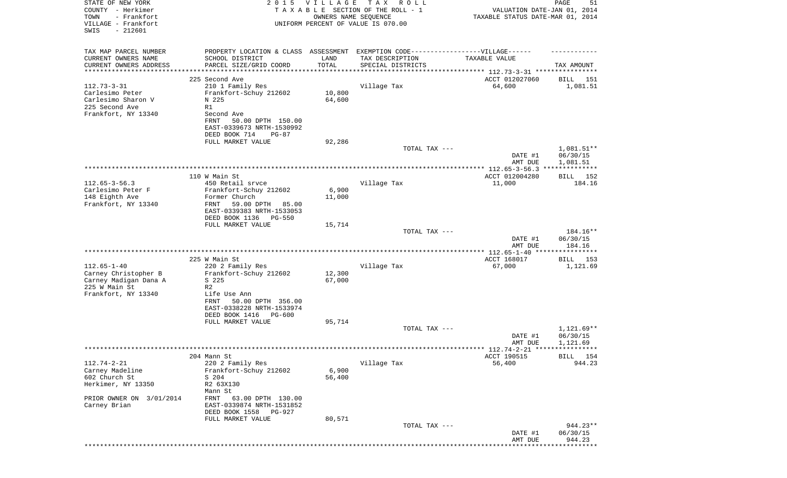| STATE OF NEW YORK                        |                                                                                  | 2015 VILLAGE | T A X<br>R O L L                                           |                                                           | PAGE<br>51           |
|------------------------------------------|----------------------------------------------------------------------------------|--------------|------------------------------------------------------------|-----------------------------------------------------------|----------------------|
| COUNTY - Herkimer<br>TOWN<br>- Frankfort |                                                                                  |              | TAXABLE SECTION OF THE ROLL - 1                            | VALUATION DATE-JAN 01, 2014                               |                      |
| VILLAGE - Frankfort                      |                                                                                  |              | OWNERS NAME SEQUENCE<br>UNIFORM PERCENT OF VALUE IS 070.00 | TAXABLE STATUS DATE-MAR 01, 2014                          |                      |
| $-212601$<br>SWIS                        |                                                                                  |              |                                                            |                                                           |                      |
|                                          |                                                                                  |              |                                                            |                                                           |                      |
| TAX MAP PARCEL NUMBER                    | PROPERTY LOCATION & CLASS ASSESSMENT EXEMPTION CODE----------------VILLAGE------ |              |                                                            |                                                           |                      |
| CURRENT OWNERS NAME                      | SCHOOL DISTRICT                                                                  | LAND         | TAX DESCRIPTION                                            | TAXABLE VALUE                                             |                      |
| CURRENT OWNERS ADDRESS                   | PARCEL SIZE/GRID COORD                                                           | TOTAL        | SPECIAL DISTRICTS                                          |                                                           | TAX AMOUNT           |
| ******************                       |                                                                                  |              |                                                            | **************************** 112.73-3-31 **************** |                      |
| $112.73 - 3 - 31$                        | 225 Second Ave                                                                   |              |                                                            | ACCT 012027060<br>64,600                                  | BILL<br>151          |
| Carlesimo Peter                          | 210 1 Family Res<br>Frankfort-Schuy 212602                                       | 10,800       | Village Tax                                                |                                                           | 1,081.51             |
| Carlesimo Sharon V                       | N 225                                                                            | 64,600       |                                                            |                                                           |                      |
| 225 Second Ave                           | R1                                                                               |              |                                                            |                                                           |                      |
| Frankfort, NY 13340                      | Second Ave                                                                       |              |                                                            |                                                           |                      |
|                                          | FRNT<br>50.00 DPTH 150.00                                                        |              |                                                            |                                                           |                      |
|                                          | EAST-0339673 NRTH-1530992                                                        |              |                                                            |                                                           |                      |
|                                          | DEED BOOK 714<br>$PG-87$                                                         |              |                                                            |                                                           |                      |
|                                          | FULL MARKET VALUE                                                                | 92,286       |                                                            |                                                           |                      |
|                                          |                                                                                  |              | TOTAL TAX ---                                              |                                                           | 1,081.51**           |
|                                          |                                                                                  |              |                                                            | DATE #1                                                   | 06/30/15             |
|                                          |                                                                                  |              |                                                            | AMT DUE                                                   | 1,081.51             |
|                                          | 110 W Main St                                                                    |              |                                                            |                                                           |                      |
| $112.65 - 3 - 56.3$                      | 450 Retail srvce                                                                 |              | Village Tax                                                | ACCT 012004280<br>11,000                                  | BILL 152<br>184.16   |
| Carlesimo Peter F                        | Frankfort-Schuy 212602                                                           | 6,900        |                                                            |                                                           |                      |
| 148 Eighth Ave                           | Former Church                                                                    | 11,000       |                                                            |                                                           |                      |
| Frankfort, NY 13340                      | 59.00 DPTH<br>FRNT<br>85.00                                                      |              |                                                            |                                                           |                      |
|                                          | EAST-0339383 NRTH-1533053                                                        |              |                                                            |                                                           |                      |
|                                          | DEED BOOK 1136<br><b>PG-550</b>                                                  |              |                                                            |                                                           |                      |
|                                          | FULL MARKET VALUE                                                                | 15,714       |                                                            |                                                           |                      |
|                                          |                                                                                  |              | TOTAL TAX ---                                              |                                                           | 184.16**             |
|                                          |                                                                                  |              |                                                            | DATE #1                                                   | 06/30/15             |
|                                          |                                                                                  |              |                                                            | AMT DUE                                                   | 184.16               |
|                                          | 225 W Main St                                                                    |              |                                                            | ACCT 168017                                               | BILL 153             |
| $112.65 - 1 - 40$                        | 220 2 Family Res                                                                 |              | Village Tax                                                | 67,000                                                    | 1,121.69             |
| Carney Christopher B                     | Frankfort-Schuy 212602                                                           | 12,300       |                                                            |                                                           |                      |
| Carney Madigan Dana A                    | S 225                                                                            | 67,000       |                                                            |                                                           |                      |
| 225 W Main St                            | R <sub>2</sub>                                                                   |              |                                                            |                                                           |                      |
| Frankfort, NY 13340                      | Life Use Ann                                                                     |              |                                                            |                                                           |                      |
|                                          | 50.00 DPTH 356.00<br>FRNT                                                        |              |                                                            |                                                           |                      |
|                                          | EAST-0338228 NRTH-1533974                                                        |              |                                                            |                                                           |                      |
|                                          | DEED BOOK 1416<br>PG-600                                                         |              |                                                            |                                                           |                      |
|                                          | FULL MARKET VALUE                                                                | 95,714       |                                                            |                                                           |                      |
|                                          |                                                                                  |              | TOTAL TAX ---                                              |                                                           | $1,121.69**$         |
|                                          |                                                                                  |              |                                                            | DATE #1<br>AMT DUE                                        | 06/30/15<br>1,121.69 |
|                                          |                                                                                  |              |                                                            | **** 112.74-2-21 *****************                        |                      |
|                                          | 204 Mann St                                                                      |              |                                                            | ACCT 190515                                               | BILL 154             |
| $112.74 - 2 - 21$                        | 220 2 Family Res                                                                 |              | Village Tax                                                | 56,400                                                    | 944.23               |
| Carney Madeline                          | Frankfort-Schuy 212602                                                           | 6,900        |                                                            |                                                           |                      |
| 602 Church St                            | S 204                                                                            | 56,400       |                                                            |                                                           |                      |
| Herkimer, NY 13350                       | R2 63X130                                                                        |              |                                                            |                                                           |                      |
|                                          | Mann St                                                                          |              |                                                            |                                                           |                      |
| PRIOR OWNER ON 3/01/2014                 | FRNT<br>63.00 DPTH 130.00                                                        |              |                                                            |                                                           |                      |
| Carney Brian                             | EAST-0339874 NRTH-1531852                                                        |              |                                                            |                                                           |                      |
|                                          | DEED BOOK 1558<br>PG-927                                                         |              |                                                            |                                                           |                      |
|                                          | FULL MARKET VALUE                                                                | 80,571       | TOTAL TAX ---                                              |                                                           | 944.23**             |
|                                          |                                                                                  |              |                                                            | DATE #1                                                   | 06/30/15             |
|                                          |                                                                                  |              |                                                            | AMT DUE                                                   | 944.23               |
|                                          |                                                                                  |              |                                                            |                                                           |                      |
|                                          |                                                                                  |              |                                                            |                                                           |                      |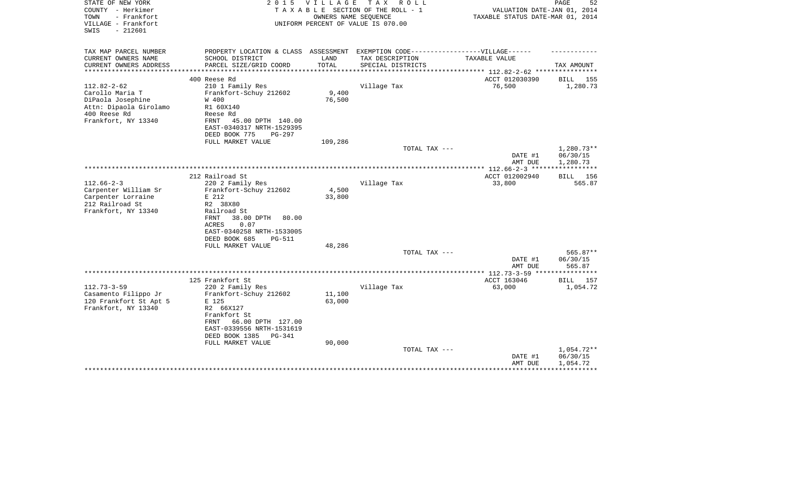| STATE OF NEW YORK<br>COUNTY - Herkimer<br>- Frankfort<br>TOWN<br>VILLAGE - Frankfort<br>$-212601$<br>SWIS                  | 2 0 1 5                                                                                                                                                                                     | <b>VILLAGE</b><br>OWNERS NAME SEQUENCE | TAX ROLL<br>TAXABLE SECTION OF THE ROLL - 1<br>UNIFORM PERCENT OF VALUE IS 070.00 | VALUATION DATE-JAN 01, 2014<br>TAXABLE STATUS DATE-MAR 01, 2014    | 52<br>PAGE                         |
|----------------------------------------------------------------------------------------------------------------------------|---------------------------------------------------------------------------------------------------------------------------------------------------------------------------------------------|----------------------------------------|-----------------------------------------------------------------------------------|--------------------------------------------------------------------|------------------------------------|
| TAX MAP PARCEL NUMBER                                                                                                      | PROPERTY LOCATION & CLASS ASSESSMENT                                                                                                                                                        |                                        | EXEMPTION CODE------------------VILLAGE------                                     |                                                                    |                                    |
| CURRENT OWNERS NAME<br>CURRENT OWNERS ADDRESS<br>********************                                                      | SCHOOL DISTRICT<br>PARCEL SIZE/GRID COORD                                                                                                                                                   | LAND<br>TOTAL<br>************          | TAX DESCRIPTION<br>SPECIAL DISTRICTS                                              | TAXABLE VALUE<br>******************************** 112.82-2-62 **** | TAX AMOUNT                         |
|                                                                                                                            | 400 Reese Rd                                                                                                                                                                                |                                        |                                                                                   | ACCT 012030390                                                     | <b>BILL</b><br>155                 |
| $112.82 - 2 - 62$<br>Carollo Maria T<br>DiPaola Josephine<br>Attn: Dipaola Girolamo<br>400 Reese Rd<br>Frankfort, NY 13340 | 210 1 Family Res<br>Frankfort-Schuy 212602<br>W 400<br>R1 60X140<br>Reese Rd<br>FRNT<br>45.00 DPTH 140.00<br>EAST-0340317 NRTH-1529395                                                      | 9,400<br>76,500                        | Village Tax                                                                       | 76,500                                                             | 1,280.73                           |
|                                                                                                                            | DEED BOOK 775<br>$PG-297$                                                                                                                                                                   |                                        |                                                                                   |                                                                    |                                    |
|                                                                                                                            | FULL MARKET VALUE                                                                                                                                                                           | 109,286                                | TOTAL TAX ---                                                                     |                                                                    | $1,280.73**$                       |
|                                                                                                                            |                                                                                                                                                                                             |                                        |                                                                                   | DATE #1<br>AMT DUE                                                 | 06/30/15<br>1,280.73               |
|                                                                                                                            |                                                                                                                                                                                             |                                        |                                                                                   |                                                                    |                                    |
| $112.66 - 2 - 3$<br>Carpenter William Sr<br>Carpenter Lorraine<br>212 Railroad St<br>Frankfort, NY 13340                   | 212 Railroad St<br>220 2 Family Res<br>Frankfort-Schuy 212602<br>E 212<br>R2 38X80<br>Railroad St                                                                                           | 4,500<br>33,800                        | Village Tax                                                                       | ACCT 012002940<br>33,800                                           | BILL 156<br>565.87                 |
|                                                                                                                            | FRNT<br>38.00 DPTH<br>80.00<br>ACRES<br>0.07<br>EAST-0340258 NRTH-1533005<br>DEED BOOK 685<br>PG-511<br>FULL MARKET VALUE                                                                   | 48,286                                 | TOTAL TAX ---                                                                     |                                                                    | $565.87**$                         |
|                                                                                                                            |                                                                                                                                                                                             |                                        |                                                                                   | DATE #1<br>AMT DUE                                                 | 06/30/15<br>565.87                 |
|                                                                                                                            |                                                                                                                                                                                             |                                        |                                                                                   |                                                                    |                                    |
|                                                                                                                            | 125 Frankfort St                                                                                                                                                                            |                                        |                                                                                   | ACCT 163046                                                        | <b>BILL</b><br>157                 |
| $112.73 - 3 - 59$<br>Casamento Filippo Jr<br>120 Frankfort St Apt 5<br>Frankfort, NY 13340                                 | 220 2 Family Res<br>Frankfort-Schuy 212602<br>E 125<br>R2 66X127<br>Frankfort St<br>66.00 DPTH 127.00<br>FRNT<br>EAST-0339556 NRTH-1531619<br>DEED BOOK 1385<br>PG-341<br>FULL MARKET VALUE | 11,100<br>63,000<br>90,000             | Village Tax                                                                       | 63,000                                                             | 1,054.72                           |
|                                                                                                                            |                                                                                                                                                                                             |                                        | TOTAL TAX ---                                                                     | DATE #1<br>AMT DUE                                                 | 1,054.72**<br>06/30/15<br>1,054.72 |
|                                                                                                                            |                                                                                                                                                                                             |                                        |                                                                                   |                                                                    |                                    |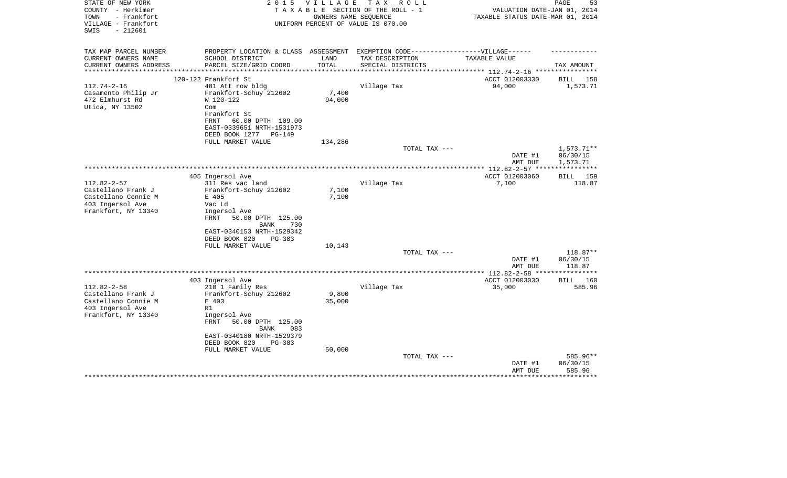| STATE OF NEW YORK<br>COUNTY - Herkimer<br>- Frankfort<br>TOWN<br>VILLAGE - Frankfort<br>$-212601$<br>SWIS | 2 0 1 5                                                                           | <b>VILLAGE</b> | T A X<br>R O L L<br>TAXABLE SECTION OF THE ROLL - 1<br>OWNERS NAME SEOUENCE<br>UNIFORM PERCENT OF VALUE IS 070.00 | VALUATION DATE-JAN 01, 2014<br>TAXABLE STATUS DATE-MAR 01, 2014 | PAGE<br>53         |
|-----------------------------------------------------------------------------------------------------------|-----------------------------------------------------------------------------------|----------------|-------------------------------------------------------------------------------------------------------------------|-----------------------------------------------------------------|--------------------|
| TAX MAP PARCEL NUMBER                                                                                     | PROPERTY LOCATION & CLASS ASSESSMENT EXEMPTION CODE-----------------VILLAGE------ |                |                                                                                                                   |                                                                 |                    |
| CURRENT OWNERS NAME                                                                                       | SCHOOL DISTRICT                                                                   | LAND           | TAX DESCRIPTION                                                                                                   | TAXABLE VALUE                                                   |                    |
| CURRENT OWNERS ADDRESS<br>*********************                                                           | PARCEL SIZE/GRID COORD                                                            | TOTAL          | SPECIAL DISTRICTS                                                                                                 |                                                                 | TAX AMOUNT         |
|                                                                                                           | 120-122 Frankfort St                                                              |                |                                                                                                                   | ACCT 012003330                                                  | BILL 158           |
| $112.74 - 2 - 16$                                                                                         | 481 Att row bldg                                                                  |                | Village Tax                                                                                                       | 94,000                                                          | 1,573.71           |
| Casamento Philip Jr                                                                                       | Frankfort-Schuy 212602                                                            | 7,400          |                                                                                                                   |                                                                 |                    |
| 472 Elmhurst Rd                                                                                           | W 120-122                                                                         | 94,000         |                                                                                                                   |                                                                 |                    |
| Utica, NY 13502                                                                                           | Com                                                                               |                |                                                                                                                   |                                                                 |                    |
|                                                                                                           | Frankfort St                                                                      |                |                                                                                                                   |                                                                 |                    |
|                                                                                                           | FRNT<br>60.00 DPTH 109.00                                                         |                |                                                                                                                   |                                                                 |                    |
|                                                                                                           | EAST-0339651 NRTH-1531973                                                         |                |                                                                                                                   |                                                                 |                    |
|                                                                                                           | DEED BOOK 1277<br>PG-149<br>FULL MARKET VALUE                                     | 134,286        |                                                                                                                   |                                                                 |                    |
|                                                                                                           |                                                                                   |                | TOTAL TAX ---                                                                                                     |                                                                 | 1,573.71**         |
|                                                                                                           |                                                                                   |                |                                                                                                                   | DATE #1                                                         | 06/30/15           |
|                                                                                                           |                                                                                   |                |                                                                                                                   | AMT DUE                                                         | 1,573.71           |
|                                                                                                           |                                                                                   |                |                                                                                                                   |                                                                 | ***********        |
|                                                                                                           | 405 Ingersol Ave                                                                  |                |                                                                                                                   | ACCT 012003060                                                  | BILL<br>159        |
| $112.82 - 2 - 57$                                                                                         | 311 Res vac land                                                                  |                | Village Tax                                                                                                       | 7,100                                                           | 118.87             |
| Castellano Frank J                                                                                        | Frankfort-Schuy 212602                                                            | 7,100          |                                                                                                                   |                                                                 |                    |
| Castellano Connie M<br>403 Ingersol Ave                                                                   | E 405<br>Vac Ld                                                                   | 7,100          |                                                                                                                   |                                                                 |                    |
| Frankfort, NY 13340                                                                                       | Ingersol Ave                                                                      |                |                                                                                                                   |                                                                 |                    |
|                                                                                                           | 50.00 DPTH 125.00<br>FRNT<br><b>BANK</b><br>730                                   |                |                                                                                                                   |                                                                 |                    |
|                                                                                                           | EAST-0340153 NRTH-1529342                                                         |                |                                                                                                                   |                                                                 |                    |
|                                                                                                           | DEED BOOK 820<br>PG-383                                                           |                |                                                                                                                   |                                                                 |                    |
|                                                                                                           | FULL MARKET VALUE                                                                 | 10,143         |                                                                                                                   |                                                                 |                    |
|                                                                                                           |                                                                                   |                | TOTAL TAX ---                                                                                                     |                                                                 | $118.87**$         |
|                                                                                                           |                                                                                   |                |                                                                                                                   | DATE #1<br>AMT DUE                                              | 06/30/15<br>118.87 |
|                                                                                                           |                                                                                   |                |                                                                                                                   | ** $112.82 - 2 - 58$ **                                         | * * * * * * * * *  |
|                                                                                                           | 403 Ingersol Ave                                                                  |                |                                                                                                                   | ACCT 012003030                                                  | BILL 160           |
| $112.82 - 2 - 58$                                                                                         | 210 1 Family Res                                                                  |                | Village Tax                                                                                                       | 35,000                                                          | 585.96             |
| Castellano Frank J                                                                                        | Frankfort-Schuy 212602                                                            | 9,800          |                                                                                                                   |                                                                 |                    |
| Castellano Connie M                                                                                       | E 403                                                                             | 35,000         |                                                                                                                   |                                                                 |                    |
| 403 Ingersol Ave                                                                                          | R1                                                                                |                |                                                                                                                   |                                                                 |                    |
| Frankfort, NY 13340                                                                                       | Ingersol Ave                                                                      |                |                                                                                                                   |                                                                 |                    |
|                                                                                                           | <b>FRNT</b><br>50.00 DPTH 125.00<br><b>BANK</b><br>083                            |                |                                                                                                                   |                                                                 |                    |
|                                                                                                           | EAST-0340180 NRTH-1529379                                                         |                |                                                                                                                   |                                                                 |                    |
|                                                                                                           | DEED BOOK 820<br>PG-383                                                           |                |                                                                                                                   |                                                                 |                    |
|                                                                                                           | FULL MARKET VALUE                                                                 | 50,000         |                                                                                                                   |                                                                 |                    |
|                                                                                                           |                                                                                   |                | TOTAL TAX ---                                                                                                     |                                                                 | 585.96**           |
|                                                                                                           |                                                                                   |                |                                                                                                                   | DATE #1                                                         | 06/30/15           |
|                                                                                                           |                                                                                   |                |                                                                                                                   | AMT DUE                                                         | 585.96             |
|                                                                                                           |                                                                                   |                |                                                                                                                   |                                                                 |                    |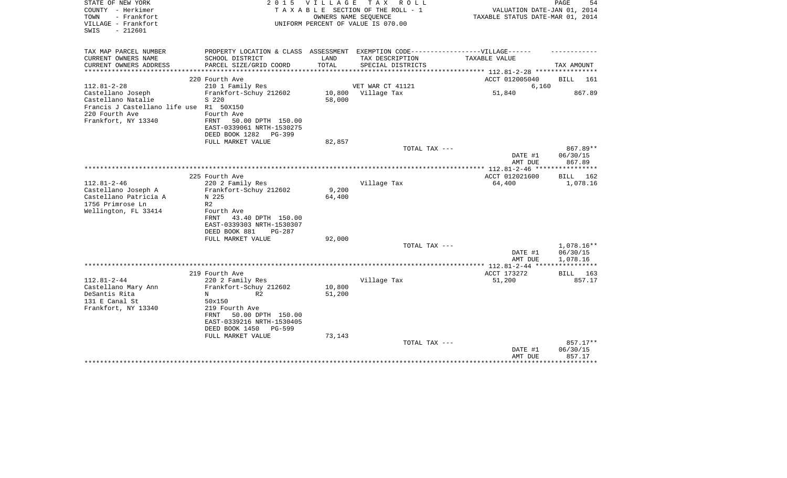| STATE OF NEW YORK<br>COUNTY - Herkimer<br>- Frankfort<br>TOWN<br>VILLAGE - Frankfort<br>SWIS<br>$-212601$                                        | 2 0 1 5                                                                                                                                                                   | <b>VILLAGE</b>   | TAX ROLL<br>TAXABLE SECTION OF THE ROLL - 1<br>OWNERS NAME SEQUENCE<br>UNIFORM PERCENT OF VALUE IS 070.00 | VALUATION DATE-JAN 01, 2014<br>TAXABLE STATUS DATE-MAR 01, 2014 | PAGE<br>54                                 |
|--------------------------------------------------------------------------------------------------------------------------------------------------|---------------------------------------------------------------------------------------------------------------------------------------------------------------------------|------------------|-----------------------------------------------------------------------------------------------------------|-----------------------------------------------------------------|--------------------------------------------|
| TAX MAP PARCEL NUMBER<br>CURRENT OWNERS NAME                                                                                                     | PROPERTY LOCATION & CLASS ASSESSMENT EXEMPTION CODE----------------VILLAGE------<br>SCHOOL DISTRICT                                                                       | LAND             | TAX DESCRIPTION                                                                                           | TAXABLE VALUE                                                   |                                            |
| CURRENT OWNERS ADDRESS                                                                                                                           | PARCEL SIZE/GRID COORD                                                                                                                                                    | TOTAL            | SPECIAL DISTRICTS                                                                                         |                                                                 | TAX AMOUNT                                 |
|                                                                                                                                                  |                                                                                                                                                                           |                  |                                                                                                           | *********** 112.81-2-28 ***********                             |                                            |
|                                                                                                                                                  | 220 Fourth Ave                                                                                                                                                            |                  |                                                                                                           | ACCT 012005040                                                  | 161<br>BILL                                |
| $112.81 - 2 - 28$<br>Castellano Joseph<br>Castellano Natalie<br>Francis J Castellano life use R1 50X150<br>220 Fourth Ave<br>Frankfort, NY 13340 | 210 1 Family Res<br>Frankfort-Schuy 212602<br>S 220<br>Fourth Ave<br>50.00 DPTH 150.00<br>FRNT<br>EAST-0339061 NRTH-1530275<br>DEED BOOK 1282<br>$PG-399$                 | 10,800<br>58,000 | VET WAR CT 41121<br>Village Tax                                                                           | 6,160<br>51,840                                                 | 867.89                                     |
|                                                                                                                                                  | FULL MARKET VALUE                                                                                                                                                         | 82,857           |                                                                                                           |                                                                 |                                            |
|                                                                                                                                                  |                                                                                                                                                                           |                  | TOTAL TAX ---                                                                                             | DATE #1<br>AMT DUE                                              | 867.89**<br>06/30/15<br>867.89             |
|                                                                                                                                                  | 225 Fourth Ave                                                                                                                                                            |                  |                                                                                                           | ACCT 012021600                                                  | BILL 162                                   |
| $112.81 - 2 - 46$<br>Castellano Joseph A<br>Castellano Patricia A<br>1756 Primrose Ln<br>Wellington, FL 33414                                    | 220 2 Family Res<br>Frankfort-Schuy 212602<br>N 225<br>R <sub>2</sub><br>Fourth Ave<br>43.40 DPTH 150.00<br>FRNT<br>EAST-0339303 NRTH-1530307                             | 9,200<br>64,400  | Village Tax                                                                                               | 64,400                                                          | 1,078.16                                   |
|                                                                                                                                                  | DEED BOOK 881<br>$PG-287$                                                                                                                                                 |                  |                                                                                                           |                                                                 |                                            |
|                                                                                                                                                  | FULL MARKET VALUE                                                                                                                                                         | 92,000           |                                                                                                           |                                                                 |                                            |
|                                                                                                                                                  |                                                                                                                                                                           |                  | TOTAL TAX ---                                                                                             | DATE #1<br>AMT DUE                                              | 1,078.16**<br>06/30/15<br>1,078.16         |
|                                                                                                                                                  |                                                                                                                                                                           |                  |                                                                                                           | **************** 112.81-2-44 ****                               | ************                               |
| $112.81 - 2 - 44$<br>Castellano Mary Ann<br>DeSantis Rita<br>131 E Canal St<br>Frankfort, NY 13340                                               | 219 Fourth Ave<br>220 2 Family Res<br>Frankfort-Schuy 212602<br>R <sub>2</sub><br>N<br>50x150<br>219 Fourth Ave<br>50.00 DPTH 150.00<br>FRNT<br>EAST-0339216 NRTH-1530405 | 10,800<br>51,200 | Village Tax                                                                                               | ACCT 173272<br>51,200                                           | BILL<br>163<br>857.17                      |
|                                                                                                                                                  | DEED BOOK 1450<br><b>PG-599</b><br>FULL MARKET VALUE                                                                                                                      | 73,143           | TOTAL TAX ---                                                                                             | DATE #1<br>AMT DUE                                              | 857.17**<br>06/30/15<br>857.17<br>******** |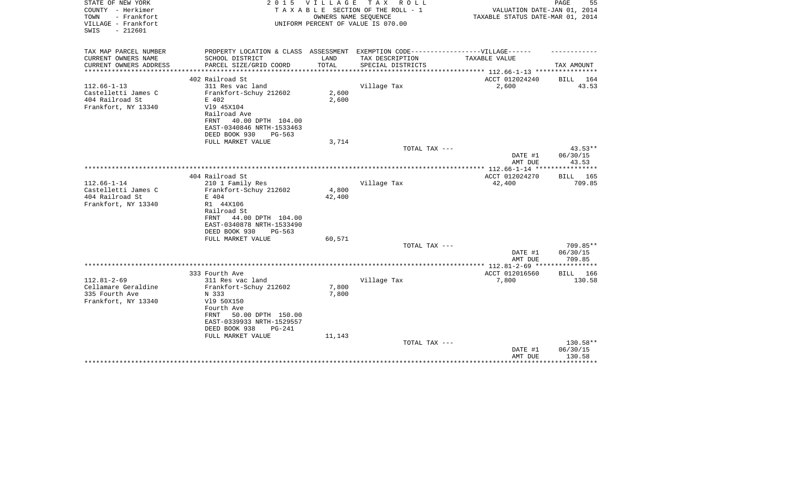| STATE OF NEW YORK<br>COUNTY - Herkimer<br>TOWN<br>- Frankfort | 2 0 1 5                                                                           | V I L L A G E | TAX ROLL<br>TAXABLE SECTION OF THE ROLL - 1<br>OWNERS NAME SEQUENCE | VALUATION DATE-JAN 01, 2014<br>TAXABLE STATUS DATE-MAR 01, 2014 | PAGE<br>55                |
|---------------------------------------------------------------|-----------------------------------------------------------------------------------|---------------|---------------------------------------------------------------------|-----------------------------------------------------------------|---------------------------|
| VILLAGE - Frankfort<br>$-212601$<br>SWIS                      |                                                                                   |               | UNIFORM PERCENT OF VALUE IS 070.00                                  |                                                                 |                           |
| TAX MAP PARCEL NUMBER                                         | PROPERTY LOCATION & CLASS ASSESSMENT EXEMPTION CODE-----------------VILLAGE------ |               |                                                                     |                                                                 |                           |
| CURRENT OWNERS NAME                                           | SCHOOL DISTRICT                                                                   | LAND          | TAX DESCRIPTION                                                     | TAXABLE VALUE                                                   |                           |
| CURRENT OWNERS ADDRESS<br>********************                | PARCEL SIZE/GRID COORD                                                            | TOTAL         | SPECIAL DISTRICTS                                                   | ***************** 112.66-1-13 *****************                 | TAX AMOUNT                |
|                                                               | 402 Railroad St                                                                   |               |                                                                     | ACCT 012024240                                                  | BILL 164                  |
| $112.66 - 1 - 13$                                             | 311 Res vac land                                                                  |               | Village Tax                                                         | 2,600                                                           | 43.53                     |
| Castelletti James C                                           | Frankfort-Schuy 212602                                                            | 2,600         |                                                                     |                                                                 |                           |
| 404 Railroad St                                               | E 402                                                                             | 2,600         |                                                                     |                                                                 |                           |
| Frankfort, NY 13340                                           | V19 45X104                                                                        |               |                                                                     |                                                                 |                           |
|                                                               | Railroad Ave                                                                      |               |                                                                     |                                                                 |                           |
|                                                               | 40.00 DPTH 104.00<br>FRNT                                                         |               |                                                                     |                                                                 |                           |
|                                                               | EAST-0340846 NRTH-1533463                                                         |               |                                                                     |                                                                 |                           |
|                                                               | DEED BOOK 930<br>PG-563                                                           |               |                                                                     |                                                                 |                           |
|                                                               | FULL MARKET VALUE                                                                 | 3,714         |                                                                     |                                                                 |                           |
|                                                               |                                                                                   |               | TOTAL TAX ---                                                       |                                                                 | $43.53**$                 |
|                                                               |                                                                                   |               |                                                                     | DATE #1                                                         | 06/30/15                  |
|                                                               |                                                                                   |               |                                                                     | AMT DUE                                                         | 43.53<br>***********      |
|                                                               | 404 Railroad St                                                                   |               |                                                                     | *************** 112.66-1-14 ****<br>ACCT 012024270              |                           |
| $112.66 - 1 - 14$                                             | 210 1 Family Res                                                                  |               | Village Tax                                                         | 42,400                                                          | <b>BILL</b> 165<br>709.85 |
| Castelletti James C                                           | Frankfort-Schuy 212602                                                            | 4,800         |                                                                     |                                                                 |                           |
| 404 Railroad St                                               | E 404                                                                             | 42,400        |                                                                     |                                                                 |                           |
| Frankfort, NY 13340                                           | R1 44X106                                                                         |               |                                                                     |                                                                 |                           |
|                                                               | Railroad St                                                                       |               |                                                                     |                                                                 |                           |
|                                                               | 44.00 DPTH 104.00<br>FRNT                                                         |               |                                                                     |                                                                 |                           |
|                                                               | EAST-0340878 NRTH-1533490                                                         |               |                                                                     |                                                                 |                           |
|                                                               | DEED BOOK 930<br>$PG-563$                                                         |               |                                                                     |                                                                 |                           |
|                                                               | FULL MARKET VALUE                                                                 | 60,571        |                                                                     |                                                                 |                           |
|                                                               |                                                                                   |               | TOTAL TAX ---                                                       |                                                                 | 709.85**                  |
|                                                               |                                                                                   |               |                                                                     | DATE #1                                                         | 06/30/15                  |
|                                                               |                                                                                   |               |                                                                     | AMT DUE                                                         | 709.85                    |
|                                                               | 333 Fourth Ave                                                                    |               |                                                                     | ACCT 012016560                                                  | BILL 166                  |
| $112.81 - 2 - 69$                                             | 311 Res vac land                                                                  |               | Village Tax                                                         | 7,800                                                           | 130.58                    |
| Cellamare Geraldine                                           | Frankfort-Schuy 212602                                                            | 7,800         |                                                                     |                                                                 |                           |
| 335 Fourth Ave                                                | N 333                                                                             | 7,800         |                                                                     |                                                                 |                           |
| Frankfort, NY 13340                                           | V19 50X150                                                                        |               |                                                                     |                                                                 |                           |
|                                                               | Fourth Ave                                                                        |               |                                                                     |                                                                 |                           |
|                                                               | 50.00 DPTH 150.00<br>FRNT                                                         |               |                                                                     |                                                                 |                           |
|                                                               | EAST-0339933 NRTH-1529557                                                         |               |                                                                     |                                                                 |                           |
|                                                               | DEED BOOK 938<br>$PG-241$                                                         |               |                                                                     |                                                                 |                           |
|                                                               | FULL MARKET VALUE                                                                 | 11,143        |                                                                     |                                                                 |                           |
|                                                               |                                                                                   |               | TOTAL TAX ---                                                       |                                                                 | 130.58**                  |
|                                                               |                                                                                   |               |                                                                     | DATE #1                                                         | 06/30/15                  |
|                                                               |                                                                                   |               |                                                                     | AMT DUE                                                         | 130.58                    |
|                                                               |                                                                                   |               |                                                                     |                                                                 | * * * * * * * * *         |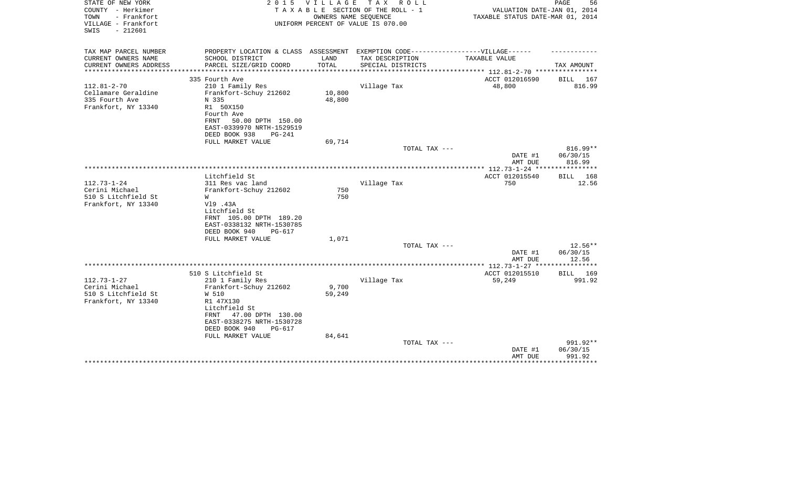| STATE OF NEW YORK<br>COUNTY - Herkimer<br>TOWN<br>- Frankfort | 2 0 1 5                                                | V I L L A G E | T A X<br>R O L L<br>TAXABLE SECTION OF THE ROLL - 1<br>OWNERS NAME SEQUENCE | VALUATION DATE-JAN 01, 2014<br>TAXABLE STATUS DATE-MAR 01, 2014  | PAGE<br>56               |
|---------------------------------------------------------------|--------------------------------------------------------|---------------|-----------------------------------------------------------------------------|------------------------------------------------------------------|--------------------------|
| VILLAGE - Frankfort<br>$-212601$<br>SWIS                      |                                                        |               | UNIFORM PERCENT OF VALUE IS 070.00                                          |                                                                  |                          |
| TAX MAP PARCEL NUMBER                                         | PROPERTY LOCATION & CLASS ASSESSMENT                   |               | EXEMPTION CODE-----------------VILLAGE------                                |                                                                  |                          |
| CURRENT OWNERS NAME                                           | SCHOOL DISTRICT                                        | LAND          | TAX DESCRIPTION                                                             | TAXABLE VALUE                                                    |                          |
| CURRENT OWNERS ADDRESS                                        | PARCEL SIZE/GRID COORD                                 | TOTAL         | SPECIAL DISTRICTS                                                           |                                                                  | TAX AMOUNT               |
|                                                               | 335 Fourth Ave                                         |               |                                                                             | **************** 112.81-2-70 *****************<br>ACCT 012016590 | BILL 167                 |
| $112.81 - 2 - 70$                                             | 210 1 Family Res                                       |               | Village Tax                                                                 | 48,800                                                           | 816.99                   |
| Cellamare Geraldine                                           | Frankfort-Schuy 212602                                 | 10,800        |                                                                             |                                                                  |                          |
| 335 Fourth Ave                                                | N 335                                                  | 48,800        |                                                                             |                                                                  |                          |
| Frankfort, NY 13340                                           | R1 50X150                                              |               |                                                                             |                                                                  |                          |
|                                                               | Fourth Ave                                             |               |                                                                             |                                                                  |                          |
|                                                               | 50.00 DPTH 150.00<br>FRNT<br>EAST-0339970 NRTH-1529519 |               |                                                                             |                                                                  |                          |
|                                                               | DEED BOOK 938<br>$PG-241$                              |               |                                                                             |                                                                  |                          |
|                                                               | FULL MARKET VALUE                                      | 69,714        |                                                                             |                                                                  |                          |
|                                                               |                                                        |               | TOTAL TAX ---                                                               |                                                                  | $816.99**$               |
|                                                               |                                                        |               |                                                                             | DATE #1                                                          | 06/30/15                 |
|                                                               |                                                        |               |                                                                             | AMT DUE                                                          | 816.99                   |
|                                                               |                                                        |               |                                                                             |                                                                  |                          |
| $112.73 - 1 - 24$                                             | Litchfield St<br>311 Res vac land                      |               | Village Tax                                                                 | ACCT 012015540<br>750                                            | <b>BILL</b> 168<br>12.56 |
| Cerini Michael                                                | Frankfort-Schuy 212602                                 | 750           |                                                                             |                                                                  |                          |
| 510 S Litchfield St                                           | W                                                      | 750           |                                                                             |                                                                  |                          |
| Frankfort, NY 13340                                           | V19 .43A                                               |               |                                                                             |                                                                  |                          |
|                                                               | Litchfield St                                          |               |                                                                             |                                                                  |                          |
|                                                               | FRNT 105.00 DPTH 189.20<br>EAST-0338132 NRTH-1530785   |               |                                                                             |                                                                  |                          |
|                                                               | DEED BOOK 940<br>PG-617                                |               |                                                                             |                                                                  |                          |
|                                                               | FULL MARKET VALUE                                      | 1,071         |                                                                             |                                                                  |                          |
|                                                               |                                                        |               | TOTAL TAX ---                                                               |                                                                  | 12.56**                  |
|                                                               |                                                        |               |                                                                             | DATE #1                                                          | 06/30/15                 |
|                                                               |                                                        |               |                                                                             | AMT DUE                                                          | 12.56                    |
|                                                               | 510 S Litchfield St                                    |               |                                                                             | ACCT 012015510                                                   | ***********<br>BILL 169  |
| $112.73 - 1 - 27$                                             | 210 1 Family Res                                       |               | Village Tax                                                                 | 59,249                                                           | 991.92                   |
| Cerini Michael                                                | Frankfort-Schuy 212602                                 | 9,700         |                                                                             |                                                                  |                          |
| 510 S Litchfield St                                           | W 510                                                  | 59,249        |                                                                             |                                                                  |                          |
| Frankfort, NY 13340                                           | R1 47X130                                              |               |                                                                             |                                                                  |                          |
|                                                               | Litchfield St                                          |               |                                                                             |                                                                  |                          |
|                                                               | 47.00 DPTH 130.00<br>FRNT                              |               |                                                                             |                                                                  |                          |
|                                                               | EAST-0338275 NRTH-1530728<br>DEED BOOK 940<br>PG-617   |               |                                                                             |                                                                  |                          |
|                                                               | FULL MARKET VALUE                                      | 84,641        |                                                                             |                                                                  |                          |
|                                                               |                                                        |               | TOTAL TAX ---                                                               |                                                                  | 991.92**                 |
|                                                               |                                                        |               |                                                                             | DATE #1                                                          | 06/30/15                 |
|                                                               |                                                        |               |                                                                             | AMT DUE                                                          | 991.92                   |
|                                                               |                                                        |               |                                                                             |                                                                  | *********                |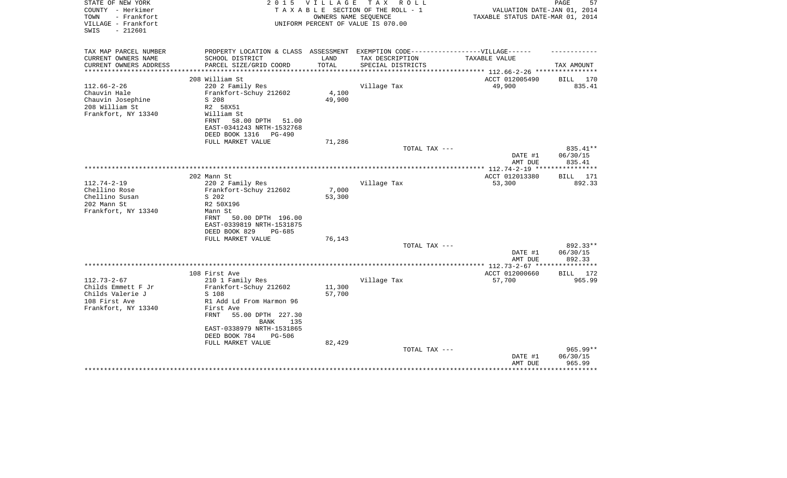| STATE OF NEW YORK      | 2 0 1 5                                                                          | V I L L A G E | TAX ROLL                           |                                     | 57<br>PAGE         |
|------------------------|----------------------------------------------------------------------------------|---------------|------------------------------------|-------------------------------------|--------------------|
| COUNTY - Herkimer      |                                                                                  |               | TAXABLE SECTION OF THE ROLL - 1    | VALUATION DATE-JAN 01, 2014         |                    |
| TOWN<br>- Frankfort    |                                                                                  |               | OWNERS NAME SEQUENCE               | TAXABLE STATUS DATE-MAR 01, 2014    |                    |
| VILLAGE - Frankfort    |                                                                                  |               | UNIFORM PERCENT OF VALUE IS 070.00 |                                     |                    |
| SWIS<br>$-212601$      |                                                                                  |               |                                    |                                     |                    |
|                        |                                                                                  |               |                                    |                                     |                    |
| TAX MAP PARCEL NUMBER  | PROPERTY LOCATION & CLASS ASSESSMENT EXEMPTION CODE----------------VILLAGE------ |               |                                    |                                     |                    |
| CURRENT OWNERS NAME    | SCHOOL DISTRICT                                                                  | LAND          | TAX DESCRIPTION                    | TAXABLE VALUE                       |                    |
| CURRENT OWNERS ADDRESS | PARCEL SIZE/GRID COORD                                                           | TOTAL         | SPECIAL DISTRICTS                  |                                     | TAX AMOUNT         |
|                        |                                                                                  | **********    |                                    | ****************** 112.66-2-26 **** |                    |
|                        | 208 William St                                                                   |               |                                    | ACCT 012005490                      | 170<br>BILL        |
| $112.66 - 2 - 26$      | 220 2 Family Res                                                                 |               | Village Tax                        | 49,900                              | 835.41             |
| Chauvin Hale           | Frankfort-Schuy 212602                                                           | 4,100         |                                    |                                     |                    |
| Chauvin Josephine      | S 208                                                                            | 49,900        |                                    |                                     |                    |
| 208 William St         | R2 58X51                                                                         |               |                                    |                                     |                    |
| Frankfort, NY 13340    | William St                                                                       |               |                                    |                                     |                    |
|                        | FRNT<br>58.00 DPTH<br>51.00                                                      |               |                                    |                                     |                    |
|                        | EAST-0341243 NRTH-1532768                                                        |               |                                    |                                     |                    |
|                        | DEED BOOK 1316<br>PG-490                                                         |               |                                    |                                     |                    |
|                        | FULL MARKET VALUE                                                                | 71,286        |                                    |                                     |                    |
|                        |                                                                                  |               | TOTAL TAX ---                      |                                     | 835.41**           |
|                        |                                                                                  |               |                                    | DATE #1<br>AMT DUE                  | 06/30/15<br>835.41 |
|                        |                                                                                  |               |                                    |                                     |                    |
|                        | 202 Mann St                                                                      |               |                                    | ACCT 012013380                      | BILL 171           |
| $112.74 - 2 - 19$      | 220 2 Family Res                                                                 |               | Village Tax                        | 53,300                              | 892.33             |
| Chellino Rose          | Frankfort-Schuy 212602                                                           | 7,000         |                                    |                                     |                    |
| Chellino Susan         | S 202                                                                            | 53,300        |                                    |                                     |                    |
| 202 Mann St            | R2 50X196                                                                        |               |                                    |                                     |                    |
| Frankfort, NY 13340    | Mann St                                                                          |               |                                    |                                     |                    |
|                        | 50.00 DPTH 196.00<br>FRNT                                                        |               |                                    |                                     |                    |
|                        | EAST-0339819 NRTH-1531875                                                        |               |                                    |                                     |                    |
|                        | DEED BOOK 829<br>PG-685                                                          |               |                                    |                                     |                    |
|                        | FULL MARKET VALUE                                                                | 76,143        |                                    |                                     |                    |
|                        |                                                                                  |               | TOTAL TAX ---                      |                                     | 892.33**           |
|                        |                                                                                  |               |                                    | DATE #1                             | 06/30/15           |
|                        |                                                                                  |               |                                    | AMT DUE                             | 892.33             |
|                        |                                                                                  |               |                                    | ** $112.73 - 2 - 67$ **             | * * * * * * * * *  |
|                        | 108 First Ave                                                                    |               |                                    | ACCT 012000660                      | BILL<br>172        |
| $112.73 - 2 - 67$      | 210 1 Family Res                                                                 |               | Village Tax                        | 57,700                              | 965.99             |
| Childs Emmett F Jr     | Frankfort-Schuy 212602                                                           | 11,300        |                                    |                                     |                    |
| Childs Valerie J       | S 108                                                                            | 57,700        |                                    |                                     |                    |
| 108 First Ave          | R1 Add Ld From Harmon 96                                                         |               |                                    |                                     |                    |
| Frankfort, NY 13340    | First Ave<br>55.00 DPTH 227.30<br>FRNT                                           |               |                                    |                                     |                    |
|                        | BANK<br>135                                                                      |               |                                    |                                     |                    |
|                        | EAST-0338979 NRTH-1531865                                                        |               |                                    |                                     |                    |
|                        | DEED BOOK 784<br><b>PG-506</b>                                                   |               |                                    |                                     |                    |
|                        | FULL MARKET VALUE                                                                | 82,429        |                                    |                                     |                    |
|                        |                                                                                  |               | TOTAL TAX ---                      |                                     | 965.99**           |
|                        |                                                                                  |               |                                    | DATE #1                             | 06/30/15           |
|                        |                                                                                  |               |                                    | AMT DUE                             | 965.99             |
|                        |                                                                                  |               |                                    |                                     |                    |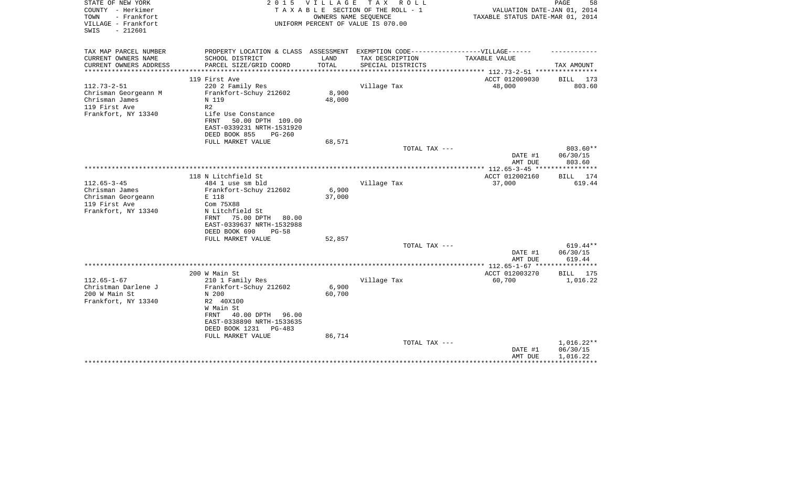| STATE OF NEW YORK<br>COUNTY - Herkimer<br>TOWN<br>- Frankfort<br>VILLAGE - Frankfort<br>$-212601$<br>SWIS | 2 0 1 5                                                                           | <b>VILLAGE</b>  | T A X<br>R O L L<br>TAXABLE SECTION OF THE ROLL - 1<br>OWNERS NAME SEQUENCE<br>UNIFORM PERCENT OF VALUE IS 070.00 | VALUATION DATE-JAN 01, 2014<br>TAXABLE STATUS DATE-MAR 01, 2014 | PAGE<br>58           |
|-----------------------------------------------------------------------------------------------------------|-----------------------------------------------------------------------------------|-----------------|-------------------------------------------------------------------------------------------------------------------|-----------------------------------------------------------------|----------------------|
| TAX MAP PARCEL NUMBER                                                                                     | PROPERTY LOCATION & CLASS ASSESSMENT EXEMPTION CODE-----------------VILLAGE------ |                 |                                                                                                                   |                                                                 |                      |
| CURRENT OWNERS NAME                                                                                       | SCHOOL DISTRICT                                                                   | LAND            | TAX DESCRIPTION                                                                                                   | TAXABLE VALUE                                                   |                      |
| CURRENT OWNERS ADDRESS<br>**********************                                                          | PARCEL SIZE/GRID COORD                                                            | TOTAL           | SPECIAL DISTRICTS                                                                                                 | **************************** 112.73-2-51 ****************       | TAX AMOUNT           |
|                                                                                                           | 119 First Ave                                                                     |                 |                                                                                                                   | ACCT 012009030                                                  | BILL 173             |
| $112.73 - 2 - 51$                                                                                         | 220 2 Family Res                                                                  |                 | Village Tax                                                                                                       | 48,000                                                          | 803.60               |
| Chrisman Georgeann M                                                                                      | Frankfort-Schuy 212602                                                            | 8,900           |                                                                                                                   |                                                                 |                      |
| Chrisman James                                                                                            | N 119                                                                             | 48,000          |                                                                                                                   |                                                                 |                      |
| 119 First Ave<br>Frankfort, NY 13340                                                                      | R <sub>2</sub><br>Life Use Constance                                              |                 |                                                                                                                   |                                                                 |                      |
|                                                                                                           | 50.00 DPTH 109.00<br>FRNT                                                         |                 |                                                                                                                   |                                                                 |                      |
|                                                                                                           | EAST-0339231 NRTH-1531920                                                         |                 |                                                                                                                   |                                                                 |                      |
|                                                                                                           | DEED BOOK 855<br>$PG-260$                                                         |                 |                                                                                                                   |                                                                 |                      |
|                                                                                                           | FULL MARKET VALUE                                                                 | 68,571          |                                                                                                                   |                                                                 |                      |
|                                                                                                           |                                                                                   |                 | TOTAL TAX ---                                                                                                     |                                                                 | 803.60**             |
|                                                                                                           |                                                                                   |                 |                                                                                                                   | DATE #1<br>AMT DUE                                              | 06/30/15<br>803.60   |
|                                                                                                           |                                                                                   |                 |                                                                                                                   |                                                                 |                      |
|                                                                                                           | 118 N Litchfield St                                                               |                 |                                                                                                                   | ACCT 012002160                                                  | BILL 174             |
| $112.65 - 3 - 45$                                                                                         | 484 1 use sm bld                                                                  |                 | Village Tax                                                                                                       | 37,000                                                          | 619.44               |
| Chrisman James                                                                                            | Frankfort-Schuy 212602                                                            | 6,900           |                                                                                                                   |                                                                 |                      |
| Chrisman Georgeann<br>119 First Ave                                                                       | E 118<br>Com 75X88                                                                | 37,000          |                                                                                                                   |                                                                 |                      |
| Frankfort, NY 13340                                                                                       | N Litchfield St                                                                   |                 |                                                                                                                   |                                                                 |                      |
|                                                                                                           | 75.00 DPTH<br>80.00<br>FRNT                                                       |                 |                                                                                                                   |                                                                 |                      |
|                                                                                                           | EAST-0339637 NRTH-1532988                                                         |                 |                                                                                                                   |                                                                 |                      |
|                                                                                                           | DEED BOOK 690<br>$PG-58$                                                          |                 |                                                                                                                   |                                                                 |                      |
|                                                                                                           | FULL MARKET VALUE                                                                 | 52,857          |                                                                                                                   |                                                                 |                      |
|                                                                                                           |                                                                                   |                 | TOTAL TAX ---                                                                                                     | DATE #1                                                         | 619.44**<br>06/30/15 |
|                                                                                                           |                                                                                   |                 |                                                                                                                   | AMT DUE                                                         | 619.44               |
|                                                                                                           |                                                                                   |                 |                                                                                                                   |                                                                 |                      |
|                                                                                                           | 200 W Main St                                                                     |                 |                                                                                                                   | ACCT 012003270                                                  | BILL<br>175          |
| $112.65 - 1 - 67$                                                                                         | 210 1 Family Res                                                                  |                 | Village Tax                                                                                                       | 60,700                                                          | 1,016.22             |
| Christman Darlene J<br>200 W Main St                                                                      | Frankfort-Schuy 212602<br>N 200                                                   | 6,900<br>60,700 |                                                                                                                   |                                                                 |                      |
| Frankfort, NY 13340                                                                                       | R2 40X100                                                                         |                 |                                                                                                                   |                                                                 |                      |
|                                                                                                           | W Main St                                                                         |                 |                                                                                                                   |                                                                 |                      |
|                                                                                                           | FRNT<br>40.00 DPTH<br>96.00                                                       |                 |                                                                                                                   |                                                                 |                      |
|                                                                                                           | EAST-0338890 NRTH-1533635                                                         |                 |                                                                                                                   |                                                                 |                      |
|                                                                                                           | DEED BOOK 1231<br>$PG-483$                                                        |                 |                                                                                                                   |                                                                 |                      |
|                                                                                                           | FULL MARKET VALUE                                                                 | 86,714          | TOTAL TAX ---                                                                                                     |                                                                 | 1,016.22**           |
|                                                                                                           |                                                                                   |                 |                                                                                                                   | DATE #1                                                         | 06/30/15             |
|                                                                                                           |                                                                                   |                 |                                                                                                                   | AMT DUE                                                         | 1,016.22             |
|                                                                                                           |                                                                                   |                 |                                                                                                                   |                                                                 |                      |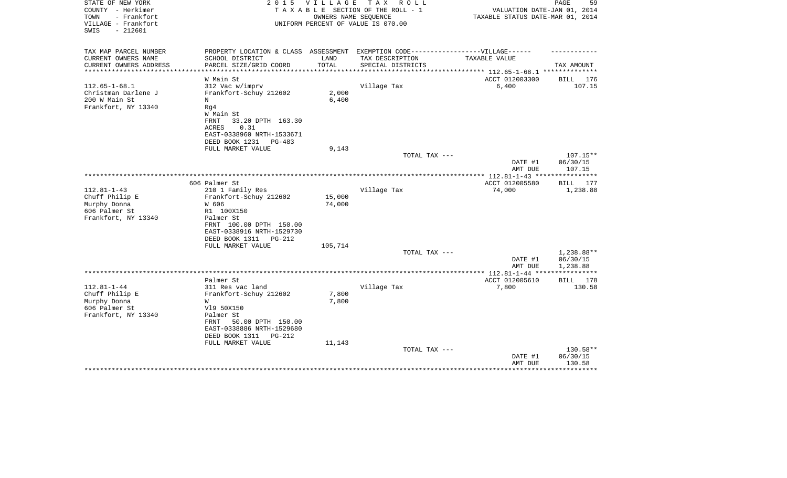| STATE OF NEW YORK<br>COUNTY - Herkimer<br>TOWN<br>- Frankfort<br>VILLAGE - Frankfort<br>$-212601$<br>SWIS    | 2 0 1 5                                                                                                                                                                                            | <b>VILLAGE</b><br>OWNERS NAME SEOUENCE | T A X<br>R O L L<br>TAXABLE SECTION OF THE ROLL - 1<br>UNIFORM PERCENT OF VALUE IS 070.00 | VALUATION DATE-JAN 01, 2014<br>TAXABLE STATUS DATE-MAR 01, 2014 | PAGE<br>59                         |
|--------------------------------------------------------------------------------------------------------------|----------------------------------------------------------------------------------------------------------------------------------------------------------------------------------------------------|----------------------------------------|-------------------------------------------------------------------------------------------|-----------------------------------------------------------------|------------------------------------|
| TAX MAP PARCEL NUMBER<br>CURRENT OWNERS NAME<br>CURRENT OWNERS ADDRESS                                       | PROPERTY LOCATION & CLASS ASSESSMENT<br>SCHOOL DISTRICT<br>PARCEL SIZE/GRID COORD                                                                                                                  | LAND<br>TOTAL                          | EXEMPTION CODE------------------VILLAGE------<br>TAX DESCRIPTION<br>SPECIAL DISTRICTS     | TAXABLE VALUE                                                   | TAX AMOUNT                         |
| **********************<br>$112.65 - 1 - 68.1$<br>Christman Darlene J<br>200 W Main St<br>Frankfort, NY 13340 | W Main St<br>312 Vac w/imprv<br>Frankfort-Schuy 212602<br>N<br>Rq4<br>W Main St<br>FRNT<br>33.20 DPTH 163.30<br>0.31<br>ACRES<br>EAST-0338960 NRTH-1533671<br>DEED BOOK 1231<br>PG-483             | 2,000<br>6,400                         | Village Tax                                                                               | ACCT 012003300<br>6,400                                         | BILL 176<br>107.15                 |
|                                                                                                              | FULL MARKET VALUE                                                                                                                                                                                  | 9,143                                  | TOTAL TAX ---                                                                             | DATE #1<br>AMT DUE                                              | 107.15**<br>06/30/15<br>107.15     |
| $112.81 - 1 - 43$<br>Chuff Philip E<br>Murphy Donna<br>606 Palmer St<br>Frankfort, NY 13340                  | 606 Palmer St<br>210 1 Family Res<br>Frankfort-Schuy 212602<br>W 606<br>R1 100X150<br>Palmer St<br>FRNT 100.00 DPTH 150.00<br>EAST-0338916 NRTH-1529730<br>DEED BOOK 1311<br>$PG-212$              | 15,000<br>74,000                       | Village Tax                                                                               | ACCT 012005580<br>74,000                                        | <b>BILL</b><br>177<br>1,238.88     |
|                                                                                                              | FULL MARKET VALUE                                                                                                                                                                                  | 105,714                                | TOTAL TAX ---                                                                             | DATE #1                                                         | 1,238.88**<br>06/30/15<br>1,238.88 |
| $112.81 - 1 - 44$<br>Chuff Philip E<br>Murphy Donna<br>606 Palmer St<br>Frankfort, NY 13340                  | Palmer St<br>311 Res vac land<br>Frankfort-Schuy 212602<br>W<br>V19 50X150<br>Palmer St<br>FRNT<br>50.00 DPTH 150.00<br>EAST-0338886 NRTH-1529680<br>DEED BOOK 1311<br>PG-212<br>FULL MARKET VALUE | 7,800<br>7,800<br>11,143               | Village Tax                                                                               | AMT DUE<br>ACCT 012005610<br>7,800                              | 178<br>BILL<br>130.58              |
|                                                                                                              |                                                                                                                                                                                                    |                                        | TOTAL TAX ---                                                                             | DATE #1<br>AMT DUE                                              | 130.58**<br>06/30/15<br>130.58     |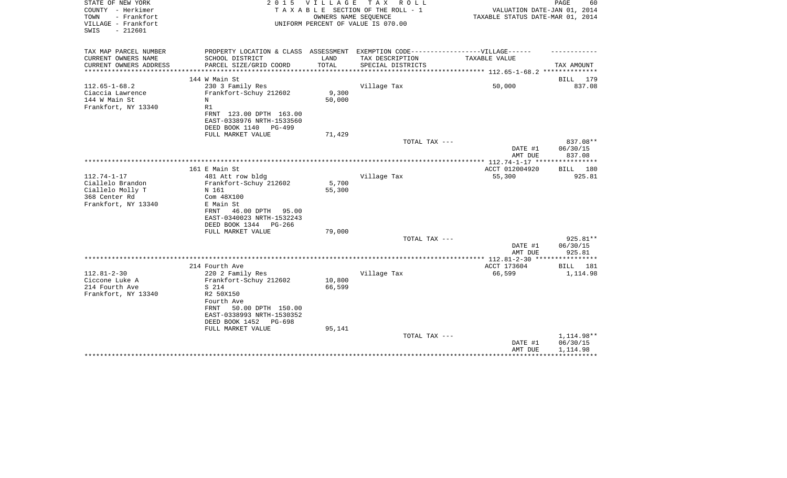| STATE OF NEW YORK<br>COUNTY - Herkimer<br>- Frankfort<br>TOWN<br>VILLAGE - Frankfort<br>$-212601$<br>SWIS | 2 0 1 5                                                                                                                                                                                     | VILLAGE                   | T A X<br>R O L L<br>TAXABLE SECTION OF THE ROLL - 1<br>OWNERS NAME SEQUENCE<br>UNIFORM PERCENT OF VALUE IS 070.00 | VALUATION DATE-JAN 01, 2014<br>TAXABLE STATUS DATE-MAR 01, 2014 | PAGE<br>60                         |
|-----------------------------------------------------------------------------------------------------------|---------------------------------------------------------------------------------------------------------------------------------------------------------------------------------------------|---------------------------|-------------------------------------------------------------------------------------------------------------------|-----------------------------------------------------------------|------------------------------------|
| TAX MAP PARCEL NUMBER<br>CURRENT OWNERS NAME                                                              | PROPERTY LOCATION & CLASS ASSESSMENT EXEMPTION CODE----------------VILLAGE------<br>SCHOOL DISTRICT                                                                                         | LAND                      | TAX DESCRIPTION                                                                                                   | TAXABLE VALUE                                                   |                                    |
| CURRENT OWNERS ADDRESS                                                                                    | PARCEL SIZE/GRID COORD                                                                                                                                                                      | TOTAL                     | SPECIAL DISTRICTS                                                                                                 |                                                                 | TAX AMOUNT                         |
|                                                                                                           |                                                                                                                                                                                             |                           |                                                                                                                   |                                                                 |                                    |
|                                                                                                           | 144 W Main St                                                                                                                                                                               |                           |                                                                                                                   |                                                                 | BILL 179                           |
| $112.65 - 1 - 68.2$<br>Ciaccia Lawrence<br>144 W Main St<br>Frankfort, NY 13340                           | 230 3 Family Res<br>Frankfort-Schuy 212602<br>N<br>R1<br>FRNT 123.00 DPTH 163.00<br>EAST-0338976 NRTH-1533560                                                                               | 9,300<br>50,000           | Village Tax                                                                                                       | 50,000                                                          | 837.08                             |
|                                                                                                           | DEED BOOK 1140<br>PG-499                                                                                                                                                                    |                           |                                                                                                                   |                                                                 |                                    |
|                                                                                                           | FULL MARKET VALUE                                                                                                                                                                           | 71,429                    | TOTAL TAX ---                                                                                                     | DATE #1                                                         | 837.08**<br>06/30/15               |
|                                                                                                           |                                                                                                                                                                                             |                           |                                                                                                                   | AMT DUE                                                         | 837.08<br>* * * * * * * * * * *    |
|                                                                                                           | 161 E Main St                                                                                                                                                                               |                           |                                                                                                                   | ACCT 012004920                                                  | BILL 180                           |
| $112.74 - 1 - 17$<br>Ciallelo Brandon<br>Ciallelo Molly T<br>368 Center Rd<br>Frankfort, NY 13340         | 481 Att row bldg<br>Frankfort-Schuy 212602<br>N 161<br>Com 48X100<br>E Main St<br>FRNT<br>46.00 DPTH<br>95.00<br>EAST-0340023 NRTH-1532243<br>DEED BOOK 1344<br>PG-266<br>FULL MARKET VALUE | 5,700<br>55,300<br>79,000 | Village Tax                                                                                                       | 55,300                                                          | 925.81                             |
|                                                                                                           |                                                                                                                                                                                             |                           | TOTAL TAX ---                                                                                                     |                                                                 | 925.81**                           |
|                                                                                                           |                                                                                                                                                                                             |                           |                                                                                                                   | DATE #1<br>AMT DUE                                              | 06/30/15<br>925.81                 |
|                                                                                                           |                                                                                                                                                                                             |                           |                                                                                                                   |                                                                 |                                    |
| $112.81 - 2 - 30$                                                                                         | 214 Fourth Ave<br>220 2 Family Res                                                                                                                                                          |                           | Village Tax                                                                                                       | ACCT 173604<br>66,599                                           | BILL 181<br>1,114.98               |
| Ciccone Luke A<br>214 Fourth Ave<br>Frankfort, NY 13340                                                   | Frankfort-Schuy 212602<br>S 214<br>R2 50X150<br>Fourth Ave<br>50.00 DPTH 150.00<br>FRNT<br>EAST-0338993 NRTH-1530352<br>DEED BOOK 1452<br>PG-698<br>FULL MARKET VALUE                       | 10,800<br>66,599          |                                                                                                                   |                                                                 |                                    |
|                                                                                                           |                                                                                                                                                                                             | 95,141                    | TOTAL TAX ---                                                                                                     | DATE #1<br>AMT DUE                                              | 1,114.98**<br>06/30/15<br>1,114.98 |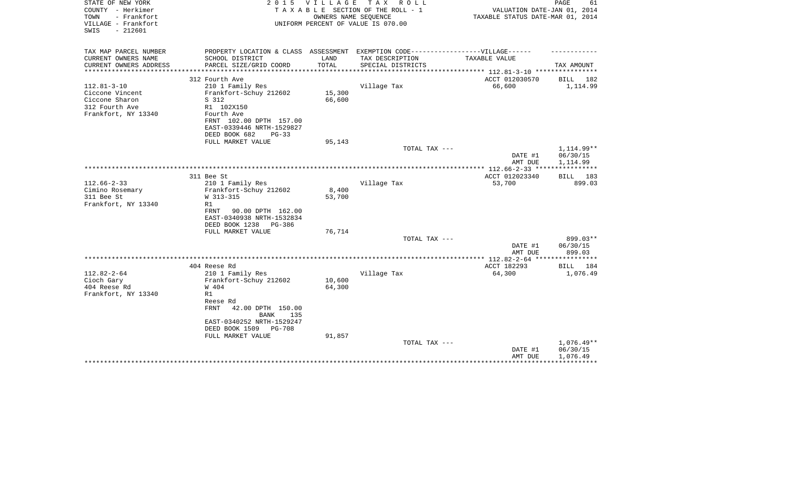| STATE OF NEW YORK<br>COUNTY - Herkimer<br>- Frankfort<br>TOWN<br>VILLAGE - Frankfort<br>$-212601$<br>SWIS | 2 0 1 5                                                                           | V I L L A G E | T A X<br>R O L L<br>TAXABLE SECTION OF THE ROLL - 1<br>OWNERS NAME SEQUENCE<br>UNIFORM PERCENT OF VALUE IS 070.00 | VALUATION DATE-JAN 01, 2014<br>TAXABLE STATUS DATE-MAR 01, 2014 | PAGE<br>61         |
|-----------------------------------------------------------------------------------------------------------|-----------------------------------------------------------------------------------|---------------|-------------------------------------------------------------------------------------------------------------------|-----------------------------------------------------------------|--------------------|
| TAX MAP PARCEL NUMBER                                                                                     | PROPERTY LOCATION & CLASS ASSESSMENT EXEMPTION CODE-----------------VILLAGE------ |               |                                                                                                                   |                                                                 |                    |
| CURRENT OWNERS NAME                                                                                       | SCHOOL DISTRICT                                                                   | LAND          | TAX DESCRIPTION                                                                                                   | TAXABLE VALUE                                                   |                    |
| CURRENT OWNERS ADDRESS<br>********************                                                            | PARCEL SIZE/GRID COORD                                                            | TOTAL         | SPECIAL DISTRICTS                                                                                                 |                                                                 | TAX AMOUNT         |
|                                                                                                           | 312 Fourth Ave                                                                    |               |                                                                                                                   | ACCT 012030570                                                  | 182<br>BILL        |
| $112.81 - 3 - 10$                                                                                         | 210 1 Family Res                                                                  |               | Village Tax                                                                                                       | 66,600                                                          | 1,114.99           |
| Ciccone Vincent                                                                                           | Frankfort-Schuy 212602                                                            | 15,300        |                                                                                                                   |                                                                 |                    |
| Ciccone Sharon                                                                                            | S 312                                                                             | 66,600        |                                                                                                                   |                                                                 |                    |
| 312 Fourth Ave                                                                                            | R1 102X150                                                                        |               |                                                                                                                   |                                                                 |                    |
| Frankfort, NY 13340                                                                                       | Fourth Ave                                                                        |               |                                                                                                                   |                                                                 |                    |
|                                                                                                           | FRNT 102.00 DPTH 157.00                                                           |               |                                                                                                                   |                                                                 |                    |
|                                                                                                           | EAST-0339446 NRTH-1529827<br>DEED BOOK 682<br>$PG-33$                             |               |                                                                                                                   |                                                                 |                    |
|                                                                                                           | FULL MARKET VALUE                                                                 | 95,143        |                                                                                                                   |                                                                 |                    |
|                                                                                                           |                                                                                   |               | TOTAL TAX ---                                                                                                     |                                                                 | $1.114.99**$       |
|                                                                                                           |                                                                                   |               |                                                                                                                   | DATE #1                                                         | 06/30/15           |
|                                                                                                           |                                                                                   |               |                                                                                                                   | AMT DUE                                                         | 1,114.99           |
|                                                                                                           |                                                                                   |               |                                                                                                                   |                                                                 |                    |
| $112.66 - 2 - 33$                                                                                         | 311 Bee St<br>210 1 Family Res                                                    |               | Village Tax                                                                                                       | ACCT 012023340<br>53,700                                        | BILL 183<br>899.03 |
| Cimino Rosemary                                                                                           | Frankfort-Schuy 212602                                                            | 8,400         |                                                                                                                   |                                                                 |                    |
| 311 Bee St                                                                                                | W 313-315                                                                         | 53,700        |                                                                                                                   |                                                                 |                    |
| Frankfort, NY 13340                                                                                       | R1                                                                                |               |                                                                                                                   |                                                                 |                    |
|                                                                                                           | FRNT<br>90.00 DPTH 162.00                                                         |               |                                                                                                                   |                                                                 |                    |
|                                                                                                           | EAST-0340938 NRTH-1532834                                                         |               |                                                                                                                   |                                                                 |                    |
|                                                                                                           | DEED BOOK 1238<br>PG-386                                                          |               |                                                                                                                   |                                                                 |                    |
|                                                                                                           | FULL MARKET VALUE                                                                 | 76,714        |                                                                                                                   |                                                                 | 899.03**           |
|                                                                                                           |                                                                                   |               | TOTAL TAX ---                                                                                                     | DATE #1                                                         | 06/30/15           |
|                                                                                                           |                                                                                   |               |                                                                                                                   | AMT DUE                                                         | 899.03             |
|                                                                                                           |                                                                                   |               |                                                                                                                   |                                                                 |                    |
|                                                                                                           | 404 Reese Rd                                                                      |               |                                                                                                                   | ACCT 182293                                                     | BILL<br>184        |
| $112.82 - 2 - 64$                                                                                         | 210 1 Family Res                                                                  |               | Village Tax                                                                                                       | 64,300                                                          | 1,076.49           |
| Cioch Gary                                                                                                | Frankfort-Schuy 212602                                                            | 10,600        |                                                                                                                   |                                                                 |                    |
| 404 Reese Rd<br>Frankfort, NY 13340                                                                       | W 404<br>R1                                                                       | 64,300        |                                                                                                                   |                                                                 |                    |
|                                                                                                           | Reese Rd                                                                          |               |                                                                                                                   |                                                                 |                    |
|                                                                                                           | <b>FRNT</b><br>42.00 DPTH 150.00<br><b>BANK</b><br>135                            |               |                                                                                                                   |                                                                 |                    |
|                                                                                                           | EAST-0340252 NRTH-1529247                                                         |               |                                                                                                                   |                                                                 |                    |
|                                                                                                           | DEED BOOK 1509<br>PG-708                                                          |               |                                                                                                                   |                                                                 |                    |
|                                                                                                           | FULL MARKET VALUE                                                                 | 91,857        |                                                                                                                   |                                                                 |                    |
|                                                                                                           |                                                                                   |               | TOTAL TAX ---                                                                                                     |                                                                 | $1,076.49**$       |
|                                                                                                           |                                                                                   |               |                                                                                                                   | DATE #1                                                         | 06/30/15           |
|                                                                                                           |                                                                                   |               |                                                                                                                   | AMT DUE                                                         | 1,076.49           |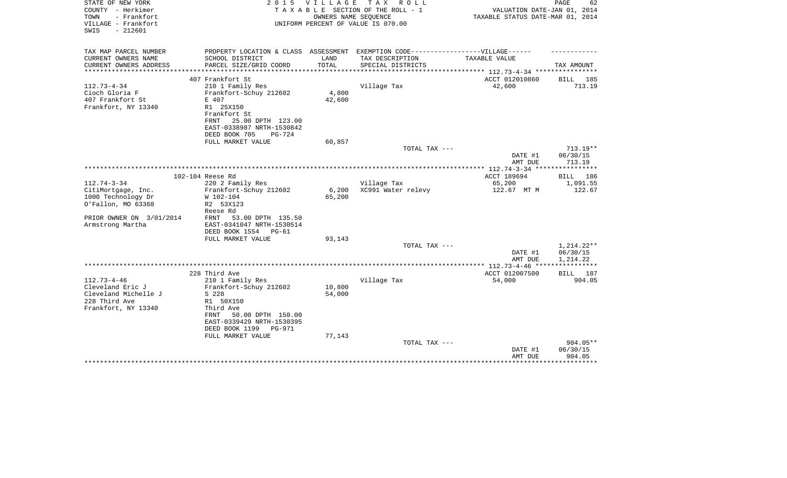| STATE OF NEW YORK<br>COUNTY - Herkimer<br>- Frankfort<br>TOWN<br>VILLAGE - Frankfort<br>$-212601$<br>SWIS | 2 0 1 5                                                                                                                                                                 | VILLAGE<br>OWNERS NAME SEOUENCE | TAX ROLL<br>TAXABLE SECTION OF THE ROLL - 1<br>UNIFORM PERCENT OF VALUE IS 070.00 | VALUATION DATE-JAN 01, 2014<br>TAXABLE STATUS DATE-MAR 01, 2014 | PAGE<br>62                                      |
|-----------------------------------------------------------------------------------------------------------|-------------------------------------------------------------------------------------------------------------------------------------------------------------------------|---------------------------------|-----------------------------------------------------------------------------------|-----------------------------------------------------------------|-------------------------------------------------|
| TAX MAP PARCEL NUMBER<br>CURRENT OWNERS NAME                                                              | PROPERTY LOCATION & CLASS ASSESSMENT EXEMPTION CODE-----------------VILLAGE------<br>SCHOOL DISTRICT                                                                    | LAND                            | TAX DESCRIPTION                                                                   | TAXABLE VALUE                                                   |                                                 |
| CURRENT OWNERS ADDRESS                                                                                    | PARCEL SIZE/GRID COORD                                                                                                                                                  | TOTAL                           | SPECIAL DISTRICTS                                                                 |                                                                 | TAX AMOUNT                                      |
|                                                                                                           |                                                                                                                                                                         |                                 |                                                                                   | *********** 112.73-4-34 ************                            |                                                 |
|                                                                                                           | 407 Frankfort St                                                                                                                                                        |                                 |                                                                                   | ACCT 012010860                                                  | BILL 185                                        |
| $112.73 - 4 - 34$<br>Cioch Gloria F<br>407 Frankfort St<br>Frankfort, NY 13340                            | 210 1 Family Res<br>Frankfort-Schuy 212602<br>E 407<br>R1 25X150<br>Frankfort St<br>25.00 DPTH 123.00<br>FRNT<br>EAST-0338987 NRTH-1530842<br>DEED BOOK 705<br>$PG-724$ | 4,800<br>42,600                 | Village Tax                                                                       | 42,600                                                          | 713.19                                          |
|                                                                                                           | FULL MARKET VALUE                                                                                                                                                       | 60,857                          |                                                                                   |                                                                 |                                                 |
|                                                                                                           |                                                                                                                                                                         |                                 | TOTAL TAX ---                                                                     |                                                                 | $713.19**$                                      |
|                                                                                                           |                                                                                                                                                                         |                                 |                                                                                   | DATE #1<br>AMT DUE                                              | 06/30/15<br>713.19                              |
|                                                                                                           |                                                                                                                                                                         |                                 |                                                                                   |                                                                 |                                                 |
| $112.74 - 3 - 34$                                                                                         | 102-104 Reese Rd<br>220 2 Family Res                                                                                                                                    |                                 | Village Tax                                                                       | ACCT 189694<br>65,200                                           | BILL 186<br>1,091.55                            |
| CitiMortgage, Inc.<br>1000 Technology Dr<br>O'Fallon, MO 63368                                            | Frankfort-Schuy 212602<br>W 102-104<br>R2 53X123<br>Reese Rd                                                                                                            | 6,200<br>65,200                 | XC991 Water relevy                                                                | 122.67 MT M                                                     | 122.67                                          |
| PRIOR OWNER ON 3/01/2014<br>Armstrong Martha                                                              | 53.00 DPTH 135.50<br>FRNT<br>EAST-0341047 NRTH-1530514<br>DEED BOOK 1554<br>PG-61<br>FULL MARKET VALUE                                                                  | 93,143                          |                                                                                   |                                                                 |                                                 |
|                                                                                                           |                                                                                                                                                                         |                                 | TOTAL TAX ---                                                                     |                                                                 | 1,214.22**                                      |
|                                                                                                           |                                                                                                                                                                         |                                 |                                                                                   | DATE #1<br>AMT DUE                                              | 06/30/15<br>1,214.22                            |
|                                                                                                           |                                                                                                                                                                         |                                 |                                                                                   | *************** 112.73-4-46 ****                                |                                                 |
|                                                                                                           | 228 Third Ave                                                                                                                                                           |                                 |                                                                                   | ACCT 012007500                                                  | BILL 187                                        |
| $112.73 - 4 - 46$<br>Cleveland Eric J<br>Cleveland Michelle J<br>228 Third Ave<br>Frankfort, NY 13340     | 210 1 Family Res<br>Frankfort-Schuy 212602<br>S 228<br>R1 50X150<br>Third Ave<br>50.00 DPTH 150.00<br>FRNT<br>EAST-0339429 NRTH-1530395<br>DEED BOOK 1199<br>PG-971     | 10,800<br>54,000                | Village Tax                                                                       | 54,000                                                          | 904.05                                          |
|                                                                                                           | FULL MARKET VALUE                                                                                                                                                       | 77,143                          | TOTAL TAX ---                                                                     | DATE #1<br>AMT DUE                                              | $904.05**$<br>06/30/15<br>904.05<br>*********** |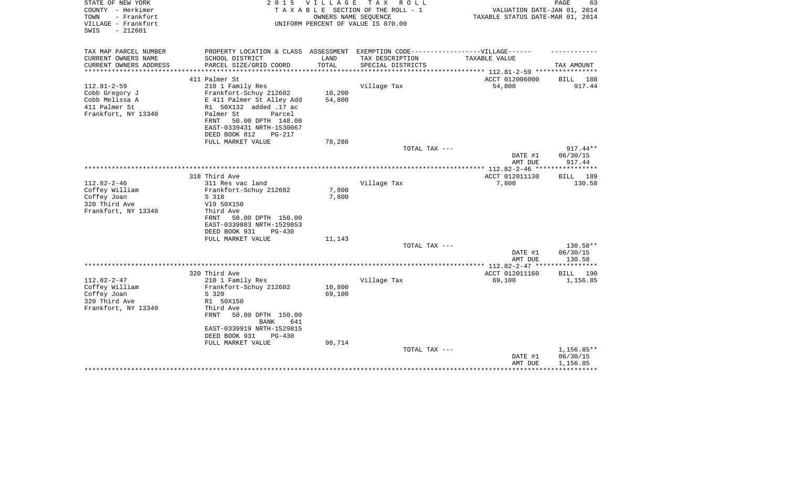| STATE OF NEW YORK<br>COUNTY - Herkimer<br>TOWN<br>- Frankfort<br>VILLAGE - Frankfort<br>$-212601$<br>SWIS | 2 0 1 5                                                                          | V I L L A G E | T A X<br>R O L L<br>TAXABLE SECTION OF THE ROLL - 1<br>OWNERS NAME SEOUENCE<br>UNIFORM PERCENT OF VALUE IS 070.00 | VALUATION DATE-JAN 01, 2014<br>TAXABLE STATUS DATE-MAR 01, 2014 | PAGE<br>63         |
|-----------------------------------------------------------------------------------------------------------|----------------------------------------------------------------------------------|---------------|-------------------------------------------------------------------------------------------------------------------|-----------------------------------------------------------------|--------------------|
| TAX MAP PARCEL NUMBER                                                                                     | PROPERTY LOCATION & CLASS ASSESSMENT EXEMPTION CODE----------------VILLAGE------ |               |                                                                                                                   |                                                                 |                    |
| CURRENT OWNERS NAME                                                                                       | SCHOOL DISTRICT                                                                  | LAND          | TAX DESCRIPTION                                                                                                   | TAXABLE VALUE                                                   |                    |
| CURRENT OWNERS ADDRESS<br>**********************                                                          | PARCEL SIZE/GRID COORD                                                           | TOTAL         | SPECIAL DISTRICTS                                                                                                 |                                                                 | TAX AMOUNT         |
|                                                                                                           | 411 Palmer St                                                                    |               |                                                                                                                   | ACCT 012006000                                                  | BILL<br>188        |
| $112.81 - 2 - 59$                                                                                         | 210 1 Family Res                                                                 |               | Village Tax                                                                                                       | 54,800                                                          | 917.44             |
| Cobb Gregory J                                                                                            | Frankfort-Schuy 212602                                                           | 10,200        |                                                                                                                   |                                                                 |                    |
| Cobb Melissa A                                                                                            | E 411 Palmer St Alley Add                                                        | 54,800        |                                                                                                                   |                                                                 |                    |
| 411 Palmer St                                                                                             | R1 50X132 added .17 ac                                                           |               |                                                                                                                   |                                                                 |                    |
| Frankfort, NY 13340                                                                                       | Palmer St<br>Parcel                                                              |               |                                                                                                                   |                                                                 |                    |
|                                                                                                           | FRNT<br>50.00 DPTH 148.00<br>EAST-0339431 NRTH-1530067                           |               |                                                                                                                   |                                                                 |                    |
|                                                                                                           | DEED BOOK 812<br>PG-217                                                          |               |                                                                                                                   |                                                                 |                    |
|                                                                                                           | FULL MARKET VALUE                                                                | 78,286        |                                                                                                                   |                                                                 |                    |
|                                                                                                           |                                                                                  |               | TOTAL TAX ---                                                                                                     |                                                                 | 917.44**           |
|                                                                                                           |                                                                                  |               |                                                                                                                   | DATE #1                                                         | 06/30/15           |
|                                                                                                           |                                                                                  |               |                                                                                                                   | AMT DUE                                                         | 917.44             |
|                                                                                                           |                                                                                  |               |                                                                                                                   |                                                                 | ************       |
|                                                                                                           | 318 Third Ave                                                                    |               |                                                                                                                   | ACCT 012011130                                                  | 189<br>BILL        |
| $112.82 - 2 - 46$<br>Coffey William                                                                       | 311 Res vac land<br>Frankfort-Schuy 212602                                       | 7,800         | Village Tax                                                                                                       | 7,800                                                           | 130.58             |
| Coffey Joan                                                                                               | S 318                                                                            | 7,800         |                                                                                                                   |                                                                 |                    |
| 320 Third Ave                                                                                             | V19 50X150                                                                       |               |                                                                                                                   |                                                                 |                    |
| Frankfort, NY 13340                                                                                       | Third Ave                                                                        |               |                                                                                                                   |                                                                 |                    |
|                                                                                                           | 50.00 DPTH 150.00<br>FRNT                                                        |               |                                                                                                                   |                                                                 |                    |
|                                                                                                           | EAST-0339883 NRTH-1529853                                                        |               |                                                                                                                   |                                                                 |                    |
|                                                                                                           | DEED BOOK 931<br>$PG-430$                                                        |               |                                                                                                                   |                                                                 |                    |
|                                                                                                           | FULL MARKET VALUE                                                                | 11,143        | TOTAL TAX ---                                                                                                     |                                                                 | 130.58**           |
|                                                                                                           |                                                                                  |               |                                                                                                                   | DATE #1                                                         | 06/30/15           |
|                                                                                                           |                                                                                  |               |                                                                                                                   | AMT DUE                                                         | 130.58             |
|                                                                                                           |                                                                                  |               |                                                                                                                   |                                                                 |                    |
|                                                                                                           | 320 Third Ave                                                                    |               |                                                                                                                   | ACCT 012011160                                                  | <b>BILL</b><br>190 |
| $112.82 - 2 - 47$                                                                                         | 210 1 Family Res                                                                 |               | Village Tax                                                                                                       | 69,100                                                          | 1,156.85           |
| Coffey William                                                                                            | Frankfort-Schuy 212602                                                           | 10,800        |                                                                                                                   |                                                                 |                    |
| Coffey Joan                                                                                               | S 320                                                                            | 69,100        |                                                                                                                   |                                                                 |                    |
| 320 Third Ave<br>Frankfort, NY 13340                                                                      | R1 50X150<br>Third Ave                                                           |               |                                                                                                                   |                                                                 |                    |
|                                                                                                           | FRNT<br>50.00 DPTH 150.00                                                        |               |                                                                                                                   |                                                                 |                    |
|                                                                                                           | 641<br><b>BANK</b>                                                               |               |                                                                                                                   |                                                                 |                    |
|                                                                                                           | EAST-0339919 NRTH-1529815                                                        |               |                                                                                                                   |                                                                 |                    |
|                                                                                                           | DEED BOOK 931<br><b>PG-430</b>                                                   |               |                                                                                                                   |                                                                 |                    |
|                                                                                                           | FULL MARKET VALUE                                                                | 98,714        |                                                                                                                   |                                                                 |                    |
|                                                                                                           |                                                                                  |               | TOTAL TAX ---                                                                                                     |                                                                 | $1,156.85**$       |
|                                                                                                           |                                                                                  |               |                                                                                                                   | DATE #1                                                         | 06/30/15           |
|                                                                                                           |                                                                                  |               |                                                                                                                   | AMT DUE                                                         | 1,156.85           |
|                                                                                                           |                                                                                  |               |                                                                                                                   |                                                                 |                    |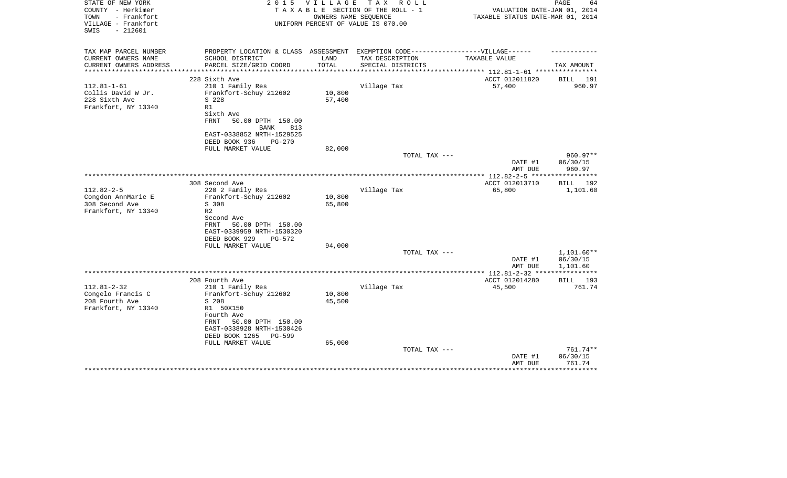| TAXABLE STATUS DATE-MAR 01, 2014 |
|----------------------------------|
|                                  |
| TAX AMOUNT                       |
| 191                              |
| 960.97                           |
|                                  |
|                                  |
| $960.97**$<br>06/30/15<br>960.97 |
|                                  |
| 192<br>1,101.60                  |
|                                  |
| $1,101.60**$                     |
| 06/30/15<br>1,101.60             |
|                                  |
| BILL 193<br>761.74               |
|                                  |
|                                  |
| 761.74**                         |
| 06/30/15<br>761.74               |
|                                  |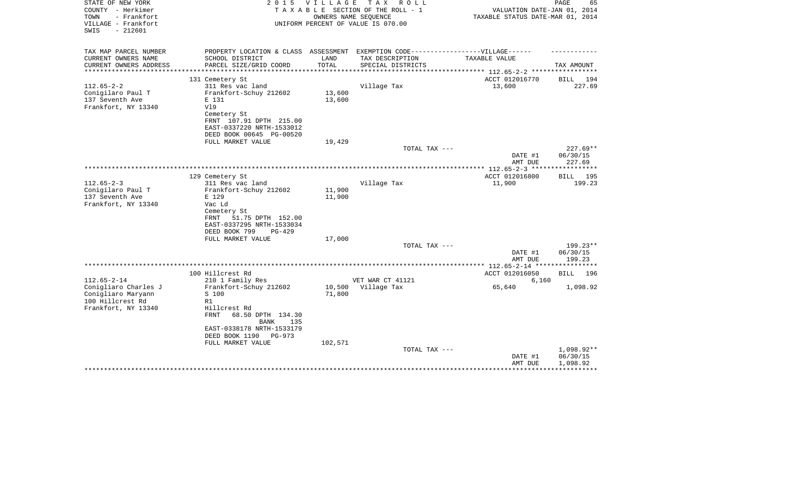| STATE OF NEW YORK<br>COUNTY - Herkimer<br>TOWN<br>- Frankfort<br>VILLAGE - Frankfort<br>$-212601$<br>SWIS | 2 0 1 5                                                                           | V I L L A G E          | TAX ROLL<br>TAXABLE SECTION OF THE ROLL - 1<br>OWNERS NAME SEQUENCE<br>UNIFORM PERCENT OF VALUE IS 070.00 | VALUATION DATE-JAN 01, 2014<br>TAXABLE STATUS DATE-MAR 01, 2014 | PAGE<br>65                      |
|-----------------------------------------------------------------------------------------------------------|-----------------------------------------------------------------------------------|------------------------|-----------------------------------------------------------------------------------------------------------|-----------------------------------------------------------------|---------------------------------|
| TAX MAP PARCEL NUMBER                                                                                     | PROPERTY LOCATION & CLASS ASSESSMENT EXEMPTION CODE-----------------VILLAGE------ |                        |                                                                                                           |                                                                 |                                 |
| CURRENT OWNERS NAME                                                                                       | SCHOOL DISTRICT                                                                   | LAND                   | TAX DESCRIPTION                                                                                           | TAXABLE VALUE                                                   |                                 |
| CURRENT OWNERS ADDRESS<br>*******************                                                             | PARCEL SIZE/GRID COORD<br>***********************                                 | TOTAL<br>************* | SPECIAL DISTRICTS                                                                                         |                                                                 | TAX AMOUNT                      |
|                                                                                                           | 131 Cemetery St                                                                   |                        |                                                                                                           | ACCT 012016770                                                  | 194<br>BILL                     |
| $112.65 - 2 - 2$                                                                                          | 311 Res vac land                                                                  |                        | Village Tax                                                                                               | 13,600                                                          | 227.69                          |
| Conigilaro Paul T                                                                                         | Frankfort-Schuy 212602                                                            | 13,600                 |                                                                                                           |                                                                 |                                 |
| 137 Seventh Ave                                                                                           | E 131                                                                             | 13,600                 |                                                                                                           |                                                                 |                                 |
| Frankfort, NY 13340                                                                                       | V19                                                                               |                        |                                                                                                           |                                                                 |                                 |
|                                                                                                           | Cemetery St                                                                       |                        |                                                                                                           |                                                                 |                                 |
|                                                                                                           | FRNT 107.91 DPTH 215.00<br>EAST-0337220 NRTH-1533012                              |                        |                                                                                                           |                                                                 |                                 |
|                                                                                                           | DEED BOOK 00645 PG-00520                                                          |                        |                                                                                                           |                                                                 |                                 |
|                                                                                                           | FULL MARKET VALUE                                                                 | 19,429                 |                                                                                                           |                                                                 |                                 |
|                                                                                                           |                                                                                   |                        | TOTAL TAX ---                                                                                             |                                                                 | $227.69**$                      |
|                                                                                                           |                                                                                   |                        |                                                                                                           | DATE #1                                                         | 06/30/15                        |
|                                                                                                           |                                                                                   |                        |                                                                                                           | AMT DUE                                                         | 227.69<br>* * * * * * * * * * * |
|                                                                                                           | 129 Cemetery St                                                                   |                        |                                                                                                           | ACCT 012016800                                                  | BILL 195                        |
| $112.65 - 2 - 3$                                                                                          | 311 Res vac land                                                                  |                        | Village Tax                                                                                               | 11,900                                                          | 199.23                          |
| Conigilaro Paul T                                                                                         | Frankfort-Schuy 212602                                                            | 11,900                 |                                                                                                           |                                                                 |                                 |
| 137 Seventh Ave                                                                                           | E 129                                                                             | 11,900                 |                                                                                                           |                                                                 |                                 |
| Frankfort, NY 13340                                                                                       | Vac Ld                                                                            |                        |                                                                                                           |                                                                 |                                 |
|                                                                                                           | Cemetery St                                                                       |                        |                                                                                                           |                                                                 |                                 |
|                                                                                                           | 51.75 DPTH 152.00<br>FRNT<br>EAST-0337295 NRTH-1533034                            |                        |                                                                                                           |                                                                 |                                 |
|                                                                                                           | DEED BOOK 799<br><b>PG-429</b>                                                    |                        |                                                                                                           |                                                                 |                                 |
|                                                                                                           | FULL MARKET VALUE                                                                 | 17,000                 |                                                                                                           |                                                                 |                                 |
|                                                                                                           |                                                                                   |                        | TOTAL TAX ---                                                                                             |                                                                 | $199.23**$                      |
|                                                                                                           |                                                                                   |                        |                                                                                                           | DATE #1                                                         | 06/30/15                        |
|                                                                                                           |                                                                                   |                        |                                                                                                           | AMT DUE<br>************ 112.65-2-14 *****                       | 199.23<br>*********             |
|                                                                                                           | 100 Hillcrest Rd                                                                  |                        |                                                                                                           | ACCT 012016050                                                  | <b>BILL</b><br>196              |
| $112.65 - 2 - 14$                                                                                         | 210 1 Family Res                                                                  |                        | VET WAR CT 41121                                                                                          | 6,160                                                           |                                 |
| Conigliaro Charles J                                                                                      | Frankfort-Schuy 212602                                                            | 10,500                 | Village Tax                                                                                               | 65,640                                                          | 1,098.92                        |
| Conigliaro Maryann                                                                                        | S 100                                                                             | 71,800                 |                                                                                                           |                                                                 |                                 |
| 100 Hillcrest Rd                                                                                          | R1                                                                                |                        |                                                                                                           |                                                                 |                                 |
| Frankfort, NY 13340                                                                                       | Hillcrest Rd                                                                      |                        |                                                                                                           |                                                                 |                                 |
|                                                                                                           | <b>FRNT</b><br>68.50 DPTH 134.30<br>BANK<br>135                                   |                        |                                                                                                           |                                                                 |                                 |
|                                                                                                           | EAST-0338178 NRTH-1533179                                                         |                        |                                                                                                           |                                                                 |                                 |
|                                                                                                           | DEED BOOK 1190<br>PG-973                                                          |                        |                                                                                                           |                                                                 |                                 |
|                                                                                                           | FULL MARKET VALUE                                                                 | 102,571                |                                                                                                           |                                                                 |                                 |
|                                                                                                           |                                                                                   |                        | TOTAL TAX ---                                                                                             |                                                                 | 1,098.92**                      |
|                                                                                                           |                                                                                   |                        |                                                                                                           | DATE #1                                                         | 06/30/15                        |
|                                                                                                           |                                                                                   |                        |                                                                                                           | AMT DUE                                                         | 1,098.92                        |
|                                                                                                           |                                                                                   |                        |                                                                                                           |                                                                 |                                 |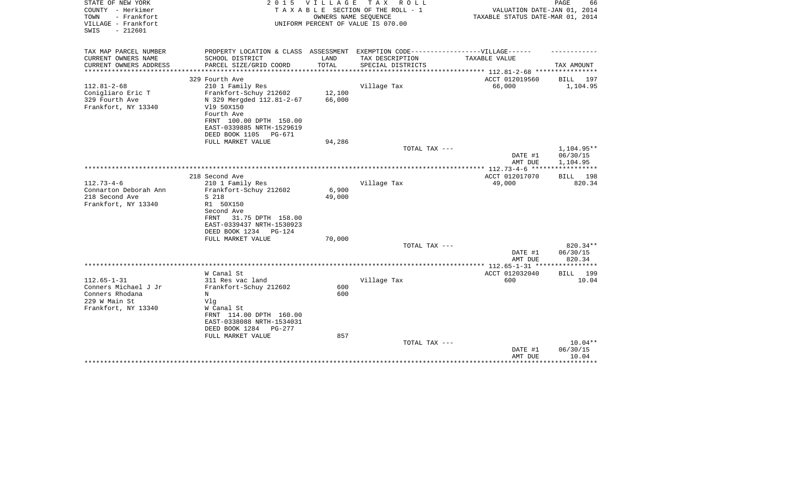| STATE OF NEW YORK<br>COUNTY - Herkimer                          | 2 0 1 5                                                | <b>VILLAGE</b> | T A X<br>R O L L<br>TAXABLE SECTION OF THE ROLL - 1        | VALUATION DATE-JAN 01, 2014                                                 | PAGE<br>66              |
|-----------------------------------------------------------------|--------------------------------------------------------|----------------|------------------------------------------------------------|-----------------------------------------------------------------------------|-------------------------|
| - Frankfort<br>TOWN<br>VILLAGE - Frankfort<br>$-212601$<br>SWIS |                                                        |                | OWNERS NAME SEQUENCE<br>UNIFORM PERCENT OF VALUE IS 070.00 | TAXABLE STATUS DATE-MAR 01, 2014                                            |                         |
| TAX MAP PARCEL NUMBER                                           | PROPERTY LOCATION & CLASS ASSESSMENT                   |                | EXEMPTION CODE------------------VILLAGE------              |                                                                             |                         |
| CURRENT OWNERS NAME                                             | SCHOOL DISTRICT                                        | LAND           | TAX DESCRIPTION                                            | TAXABLE VALUE                                                               |                         |
| CURRENT OWNERS ADDRESS                                          | PARCEL SIZE/GRID COORD                                 | TOTAL          | SPECIAL DISTRICTS                                          |                                                                             | TAX AMOUNT              |
| ********************                                            |                                                        |                |                                                            | **************************** 112.81-2-68 ****************<br>ACCT 012019560 |                         |
| $112.81 - 2 - 68$                                               | 329 Fourth Ave<br>210 1 Family Res                     |                | Village Tax                                                | 66,000                                                                      | BILL<br>197<br>1,104.95 |
| Conigliaro Eric T                                               | Frankfort-Schuy 212602                                 | 12,100         |                                                            |                                                                             |                         |
| 329 Fourth Ave                                                  | N 329 Mergded 112.81-2-67                              | 66,000         |                                                            |                                                                             |                         |
| Frankfort, NY 13340                                             | V19 50X150                                             |                |                                                            |                                                                             |                         |
|                                                                 | Fourth Ave                                             |                |                                                            |                                                                             |                         |
|                                                                 | FRNT 100.00 DPTH 150.00                                |                |                                                            |                                                                             |                         |
|                                                                 | EAST-0339885 NRTH-1529619                              |                |                                                            |                                                                             |                         |
|                                                                 | DEED BOOK 1105<br>PG-671                               |                |                                                            |                                                                             |                         |
|                                                                 | FULL MARKET VALUE                                      | 94,286         |                                                            |                                                                             |                         |
|                                                                 |                                                        |                | TOTAL TAX ---                                              | DATE #1                                                                     | 1,104.95**<br>06/30/15  |
|                                                                 |                                                        |                |                                                            | AMT DUE                                                                     | 1,104.95                |
|                                                                 |                                                        |                |                                                            |                                                                             |                         |
|                                                                 | 218 Second Ave                                         |                |                                                            | ACCT 012017070                                                              | BILL 198                |
| $112.73 - 4 - 6$                                                | 210 1 Family Res                                       |                | Village Tax                                                | 49,000                                                                      | 820.34                  |
| Connarton Deborah Ann                                           | Frankfort-Schuy 212602                                 | 6,900          |                                                            |                                                                             |                         |
| 218 Second Ave                                                  | S 218                                                  | 49,000         |                                                            |                                                                             |                         |
| Frankfort, NY 13340                                             | R1 50X150                                              |                |                                                            |                                                                             |                         |
|                                                                 | Second Ave                                             |                |                                                            |                                                                             |                         |
|                                                                 | 31.75 DPTH 158.00<br>FRNT<br>EAST-0339437 NRTH-1530923 |                |                                                            |                                                                             |                         |
|                                                                 | DEED BOOK 1234<br>PG-124                               |                |                                                            |                                                                             |                         |
|                                                                 | FULL MARKET VALUE                                      | 70,000         |                                                            |                                                                             |                         |
|                                                                 |                                                        |                | TOTAL TAX ---                                              |                                                                             | 820.34**                |
|                                                                 |                                                        |                |                                                            | DATE #1                                                                     | 06/30/15                |
|                                                                 |                                                        |                |                                                            | AMT DUE                                                                     | 820.34                  |
|                                                                 |                                                        |                |                                                            | ************* 112.65-1-31 ****                                              | ************            |
|                                                                 | W Canal St                                             |                |                                                            | ACCT 012032040                                                              | <b>BILL</b> 199         |
| $112.65 - 1 - 31$                                               | 311 Res vac land                                       |                | Village Tax                                                | 600                                                                         | 10.04                   |
| Conners Michael J Jr<br>Conners Rhodana                         | Frankfort-Schuy 212602<br>N                            | 600<br>600     |                                                            |                                                                             |                         |
| 229 W Main St                                                   | Vlq                                                    |                |                                                            |                                                                             |                         |
| Frankfort, NY 13340                                             | W Canal St                                             |                |                                                            |                                                                             |                         |
|                                                                 | FRNT 114.00 DPTH 160.00                                |                |                                                            |                                                                             |                         |
|                                                                 | EAST-0338088 NRTH-1534031                              |                |                                                            |                                                                             |                         |
|                                                                 | DEED BOOK 1284<br>PG-277                               |                |                                                            |                                                                             |                         |
|                                                                 | FULL MARKET VALUE                                      | 857            |                                                            |                                                                             |                         |
|                                                                 |                                                        |                | TOTAL TAX ---                                              |                                                                             | $10.04**$               |
|                                                                 |                                                        |                |                                                            | DATE #1                                                                     | 06/30/15                |
|                                                                 |                                                        |                |                                                            | AMT DUE                                                                     | 10.04                   |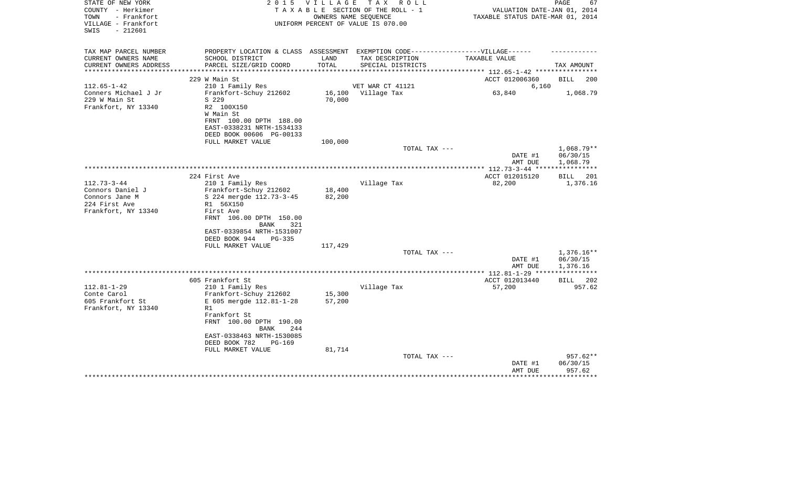| STATE OF NEW YORK<br>COUNTY - Herkimer           | 2 0 1 5                                                                           | <b>VILLAGE</b>       | TAX ROLL<br>TAXABLE SECTION OF THE ROLL - 1 | VALUATION DATE-JAN 01, 2014         | PAGE<br>67         |
|--------------------------------------------------|-----------------------------------------------------------------------------------|----------------------|---------------------------------------------|-------------------------------------|--------------------|
| TOWN<br>- Frankfort                              |                                                                                   | OWNERS NAME SEQUENCE |                                             | TAXABLE STATUS DATE-MAR 01, 2014    |                    |
| VILLAGE - Frankfort                              |                                                                                   |                      | UNIFORM PERCENT OF VALUE IS 070.00          |                                     |                    |
| $-212601$<br>SWIS                                |                                                                                   |                      |                                             |                                     |                    |
| TAX MAP PARCEL NUMBER                            | PROPERTY LOCATION & CLASS ASSESSMENT EXEMPTION CODE-----------------VILLAGE------ |                      |                                             |                                     |                    |
| CURRENT OWNERS NAME                              | SCHOOL DISTRICT                                                                   | LAND                 | TAX DESCRIPTION                             | TAXABLE VALUE                       |                    |
| CURRENT OWNERS ADDRESS<br>********************** | PARCEL SIZE/GRID COORD                                                            | TOTAL                | SPECIAL DISTRICTS                           |                                     | TAX AMOUNT         |
|                                                  | 229 W Main St                                                                     |                      |                                             | ACCT 012006360                      | <b>BILL</b><br>200 |
| $112.65 - 1 - 42$                                | 210 1 Family Res                                                                  |                      | VET WAR CT 41121                            | 6,160                               |                    |
| Conners Michael J Jr                             | Frankfort-Schuy 212602                                                            | 16,100               | Village Tax                                 | 63,840                              | 1,068.79           |
| 229 W Main St                                    | S 229                                                                             | 70,000               |                                             |                                     |                    |
| Frankfort, NY 13340                              | R2 100X150                                                                        |                      |                                             |                                     |                    |
|                                                  | W Main St                                                                         |                      |                                             |                                     |                    |
|                                                  | FRNT 100.00 DPTH 188.00                                                           |                      |                                             |                                     |                    |
|                                                  | EAST-0338231 NRTH-1534133                                                         |                      |                                             |                                     |                    |
|                                                  | DEED BOOK 00606 PG-00133                                                          |                      |                                             |                                     |                    |
|                                                  | FULL MARKET VALUE                                                                 | 100,000              |                                             |                                     |                    |
|                                                  |                                                                                   |                      | TOTAL TAX ---                               |                                     | 1,068.79**         |
|                                                  |                                                                                   |                      |                                             | DATE #1                             | 06/30/15           |
|                                                  |                                                                                   |                      |                                             | AMT DUE                             | 1,068.79           |
|                                                  |                                                                                   |                      |                                             | ***** 112.73-3-44 ***************** |                    |
|                                                  | 224 First Ave                                                                     |                      |                                             | ACCT 012015120                      | <b>BILL</b><br>201 |
| $112.73 - 3 - 44$                                | 210 1 Family Res                                                                  |                      | Village Tax                                 | 82,200                              | 1,376.16           |
| Connors Daniel J                                 | Frankfort-Schuy 212602                                                            | 18,400               |                                             |                                     |                    |
| Connors Jane M                                   | S 224 mergde 112.73-3-45                                                          | 82,200               |                                             |                                     |                    |
| 224 First Ave                                    | R1 56X150                                                                         |                      |                                             |                                     |                    |
| Frankfort, NY 13340                              | First Ave                                                                         |                      |                                             |                                     |                    |
|                                                  | FRNT 106.00 DPTH 150.00                                                           |                      |                                             |                                     |                    |
|                                                  | <b>BANK</b><br>321                                                                |                      |                                             |                                     |                    |
|                                                  | EAST-0339854 NRTH-1531007                                                         |                      |                                             |                                     |                    |
|                                                  | DEED BOOK 944<br>PG-335                                                           |                      |                                             |                                     |                    |
|                                                  | FULL MARKET VALUE                                                                 | 117,429              | TOTAL TAX ---                               |                                     | $1,376.16**$       |
|                                                  |                                                                                   |                      |                                             | DATE #1                             | 06/30/15           |
|                                                  |                                                                                   |                      |                                             | AMT DUE                             | 1,376.16           |
|                                                  |                                                                                   |                      |                                             | *********** 112.81-1-29 ***         |                    |
|                                                  | 605 Frankfort St                                                                  |                      |                                             | ACCT 012013440                      | BILL<br>202        |
| $112.81 - 1 - 29$                                | 210 1 Family Res                                                                  |                      | Village Tax                                 | 57,200                              | 957.62             |
| Conte Carol                                      | Frankfort-Schuy 212602                                                            | 15,300               |                                             |                                     |                    |
| 605 Frankfort St                                 | E 605 mergde 112.81-1-28                                                          | 57,200               |                                             |                                     |                    |
| Frankfort, NY 13340                              | R1                                                                                |                      |                                             |                                     |                    |
|                                                  | Frankfort St                                                                      |                      |                                             |                                     |                    |
|                                                  | FRNT 100.00 DPTH 190.00                                                           |                      |                                             |                                     |                    |
|                                                  | <b>BANK</b><br>244                                                                |                      |                                             |                                     |                    |
|                                                  | EAST-0338463 NRTH-1530085                                                         |                      |                                             |                                     |                    |
|                                                  | DEED BOOK 782<br><b>PG-169</b>                                                    |                      |                                             |                                     |                    |
|                                                  | FULL MARKET VALUE                                                                 | 81,714               |                                             |                                     |                    |
|                                                  |                                                                                   |                      | TOTAL TAX ---                               |                                     | $957.62**$         |
|                                                  |                                                                                   |                      |                                             | DATE #1                             | 06/30/15           |
|                                                  |                                                                                   |                      |                                             | AMT DUE                             | 957.62             |
|                                                  |                                                                                   |                      |                                             |                                     |                    |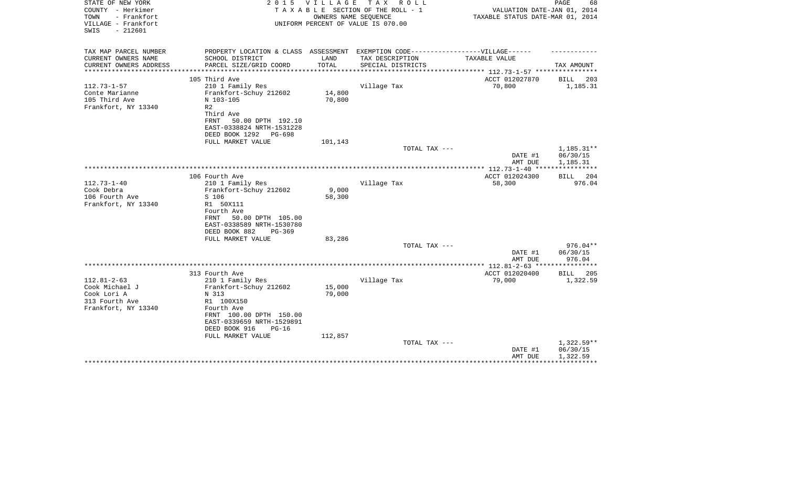| STATE OF NEW YORK<br>COUNTY - Herkimer<br>TOWN<br>- Frankfort<br>VILLAGE - Frankfort | 2 0 1 5                                                                           | <b>VILLAGE</b> | T A X<br>R O L L<br>TAXABLE SECTION OF THE ROLL - 1<br>OWNERS NAME SEQUENCE<br>UNIFORM PERCENT OF VALUE IS 070.00 | VALUATION DATE-JAN 01, 2014<br>TAXABLE STATUS DATE-MAR 01, 2014 | PAGE<br>68            |
|--------------------------------------------------------------------------------------|-----------------------------------------------------------------------------------|----------------|-------------------------------------------------------------------------------------------------------------------|-----------------------------------------------------------------|-----------------------|
| $-212601$<br>SWIS                                                                    |                                                                                   |                |                                                                                                                   |                                                                 |                       |
| TAX MAP PARCEL NUMBER                                                                | PROPERTY LOCATION & CLASS ASSESSMENT EXEMPTION CODE-----------------VILLAGE------ |                |                                                                                                                   |                                                                 |                       |
| CURRENT OWNERS NAME                                                                  | SCHOOL DISTRICT<br>PARCEL SIZE/GRID COORD                                         | LAND<br>TOTAL  | TAX DESCRIPTION                                                                                                   | <b>TAXABLE VALUE</b>                                            | TAX AMOUNT            |
| CURRENT OWNERS ADDRESS                                                               |                                                                                   |                | SPECIAL DISTRICTS                                                                                                 |                                                                 |                       |
|                                                                                      | 105 Third Ave                                                                     |                |                                                                                                                   | ACCT 012027870                                                  | BILL<br>203           |
| $112.73 - 1 - 57$                                                                    | 210 1 Family Res                                                                  |                | Village Tax                                                                                                       | 70,800                                                          | 1,185.31              |
| Conte Marianne                                                                       | Frankfort-Schuy 212602                                                            | 14,800         |                                                                                                                   |                                                                 |                       |
| 105 Third Ave<br>Frankfort, NY 13340                                                 | N 103-105<br>R <sub>2</sub>                                                       | 70,800         |                                                                                                                   |                                                                 |                       |
|                                                                                      | Third Ave                                                                         |                |                                                                                                                   |                                                                 |                       |
|                                                                                      | 50.00 DPTH 192.10<br><b>FRNT</b>                                                  |                |                                                                                                                   |                                                                 |                       |
|                                                                                      | EAST-0338824 NRTH-1531228                                                         |                |                                                                                                                   |                                                                 |                       |
|                                                                                      | DEED BOOK 1292<br>PG-698                                                          |                |                                                                                                                   |                                                                 |                       |
|                                                                                      | FULL MARKET VALUE                                                                 | 101,143        | TOTAL TAX ---                                                                                                     |                                                                 | 1,185.31**            |
|                                                                                      |                                                                                   |                |                                                                                                                   | DATE #1                                                         | 06/30/15              |
|                                                                                      |                                                                                   |                |                                                                                                                   | AMT DUE                                                         | 1,185.31              |
|                                                                                      |                                                                                   |                |                                                                                                                   |                                                                 |                       |
| $112.73 - 1 - 40$                                                                    | 106 Fourth Ave                                                                    |                | Village Tax                                                                                                       | ACCT 012024300<br>58,300                                        | 204<br>BILL<br>976.04 |
| Cook Debra                                                                           | 210 1 Family Res<br>Frankfort-Schuy 212602                                        | 9,000          |                                                                                                                   |                                                                 |                       |
| 106 Fourth Ave                                                                       | S 106                                                                             | 58,300         |                                                                                                                   |                                                                 |                       |
| Frankfort, NY 13340                                                                  | R1 50X111                                                                         |                |                                                                                                                   |                                                                 |                       |
|                                                                                      | Fourth Ave                                                                        |                |                                                                                                                   |                                                                 |                       |
|                                                                                      | 50.00 DPTH 105.00<br>FRNT<br>EAST-0338589 NRTH-1530780                            |                |                                                                                                                   |                                                                 |                       |
|                                                                                      | DEED BOOK 882<br>PG-369                                                           |                |                                                                                                                   |                                                                 |                       |
|                                                                                      | FULL MARKET VALUE                                                                 | 83,286         |                                                                                                                   |                                                                 |                       |
|                                                                                      |                                                                                   |                | TOTAL TAX ---                                                                                                     |                                                                 | $976.04**$            |
|                                                                                      |                                                                                   |                |                                                                                                                   | DATE #1                                                         | 06/30/15              |
|                                                                                      |                                                                                   |                |                                                                                                                   | AMT DUE                                                         | 976.04                |
|                                                                                      | 313 Fourth Ave                                                                    |                |                                                                                                                   | ACCT 012020400                                                  | <b>BILL</b><br>205    |
| $112.81 - 2 - 63$                                                                    | 210 1 Family Res                                                                  |                | Village Tax                                                                                                       | 79,000                                                          | 1,322.59              |
| Cook Michael J                                                                       | Frankfort-Schuy 212602                                                            | 15,000         |                                                                                                                   |                                                                 |                       |
| Cook Lori A<br>313 Fourth Ave                                                        | N 313                                                                             | 79,000         |                                                                                                                   |                                                                 |                       |
| Frankfort, NY 13340                                                                  | R1 100X150<br>Fourth Ave                                                          |                |                                                                                                                   |                                                                 |                       |
|                                                                                      | FRNT 100.00 DPTH 150.00                                                           |                |                                                                                                                   |                                                                 |                       |
|                                                                                      | EAST-0339659 NRTH-1529891                                                         |                |                                                                                                                   |                                                                 |                       |
|                                                                                      | DEED BOOK 916<br>$PG-16$                                                          |                |                                                                                                                   |                                                                 |                       |
|                                                                                      | FULL MARKET VALUE                                                                 | 112,857        | TOTAL TAX ---                                                                                                     |                                                                 | $1,322.59**$          |
|                                                                                      |                                                                                   |                |                                                                                                                   | DATE #1                                                         | 06/30/15              |
|                                                                                      |                                                                                   |                |                                                                                                                   | AMT DUE                                                         | 1,322.59              |
|                                                                                      |                                                                                   |                |                                                                                                                   |                                                                 |                       |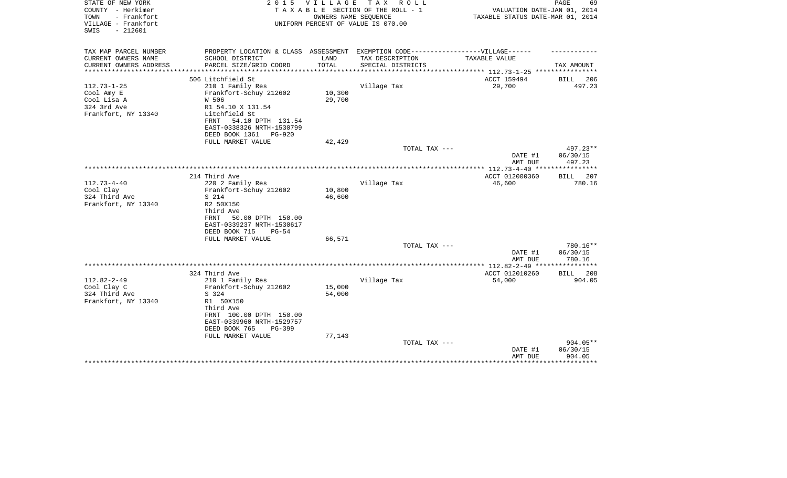| STATE OF NEW YORK<br>COUNTY - Herkimer<br>- Frankfort<br>TOWN<br>VILLAGE - Frankfort | VILLAGE<br>2 0 1 5<br>T A X<br>R O L L<br>TAXABLE SECTION OF THE ROLL - 1<br>OWNERS NAME SEQUENCE<br>UNIFORM PERCENT OF VALUE IS 070.00 |                              |                   | PAGE<br>69<br>VALUATION DATE-JAN 01, 2014<br>TAXABLE STATUS DATE-MAR 01, 2014 |                     |  |
|--------------------------------------------------------------------------------------|-----------------------------------------------------------------------------------------------------------------------------------------|------------------------------|-------------------|-------------------------------------------------------------------------------|---------------------|--|
| $-212601$<br>SWIS                                                                    |                                                                                                                                         |                              |                   |                                                                               |                     |  |
| TAX MAP PARCEL NUMBER                                                                | PROPERTY LOCATION & CLASS ASSESSMENT EXEMPTION CODE-----------------VILLAGE------                                                       |                              |                   |                                                                               |                     |  |
| CURRENT OWNERS NAME                                                                  | SCHOOL DISTRICT                                                                                                                         | LAND                         | TAX DESCRIPTION   | TAXABLE VALUE                                                                 |                     |  |
| CURRENT OWNERS ADDRESS<br>**************                                             | PARCEL SIZE/GRID COORD<br>***************************                                                                                   | TOTAL<br>******************* | SPECIAL DISTRICTS | *************************** 112.73-1-25 ****************                      | TAX AMOUNT          |  |
|                                                                                      | 506 Litchfield St                                                                                                                       |                              |                   | ACCT 159494                                                                   | BILL<br>206         |  |
| $112.73 - 1 - 25$                                                                    | 210 1 Family Res                                                                                                                        |                              | Village Tax       | 29,700                                                                        | 497.23              |  |
| Cool Amy E                                                                           | Frankfort-Schuy 212602                                                                                                                  | 10,300                       |                   |                                                                               |                     |  |
| Cool Lisa A                                                                          | W 506                                                                                                                                   | 29,700                       |                   |                                                                               |                     |  |
| 324 3rd Ave                                                                          | R1 54.10 X 131.54                                                                                                                       |                              |                   |                                                                               |                     |  |
| Frankfort, NY 13340                                                                  | Litchfield St                                                                                                                           |                              |                   |                                                                               |                     |  |
|                                                                                      | 54.10 DPTH 131.54<br>FRNT                                                                                                               |                              |                   |                                                                               |                     |  |
|                                                                                      | EAST-0338326 NRTH-1530799                                                                                                               |                              |                   |                                                                               |                     |  |
|                                                                                      | DEED BOOK 1361<br>PG-920                                                                                                                |                              |                   |                                                                               |                     |  |
|                                                                                      | FULL MARKET VALUE                                                                                                                       | 42,429                       |                   |                                                                               |                     |  |
|                                                                                      |                                                                                                                                         |                              | TOTAL TAX ---     |                                                                               | 497.23**            |  |
|                                                                                      |                                                                                                                                         |                              |                   | DATE #1<br>AMT DUE                                                            | 06/30/15<br>497.23  |  |
|                                                                                      |                                                                                                                                         |                              |                   |                                                                               |                     |  |
|                                                                                      | 214 Third Ave                                                                                                                           |                              |                   | ACCT 012000360                                                                | <b>BILL</b><br>207  |  |
| $112.73 - 4 - 40$                                                                    | 220 2 Family Res                                                                                                                        |                              | Village Tax       | 46,600                                                                        | 780.16              |  |
| Cool Clay                                                                            | Frankfort-Schuy 212602                                                                                                                  | 10,800                       |                   |                                                                               |                     |  |
| 324 Third Ave                                                                        | S 214                                                                                                                                   | 46,600                       |                   |                                                                               |                     |  |
| Frankfort, NY 13340                                                                  | R2 50X150                                                                                                                               |                              |                   |                                                                               |                     |  |
|                                                                                      | Third Ave                                                                                                                               |                              |                   |                                                                               |                     |  |
|                                                                                      | 50.00 DPTH 150.00<br><b>FRNT</b>                                                                                                        |                              |                   |                                                                               |                     |  |
|                                                                                      | EAST-0339237 NRTH-1530617                                                                                                               |                              |                   |                                                                               |                     |  |
|                                                                                      | DEED BOOK 715<br>$PG-54$                                                                                                                |                              |                   |                                                                               |                     |  |
|                                                                                      | FULL MARKET VALUE                                                                                                                       | 66,571                       |                   |                                                                               |                     |  |
|                                                                                      |                                                                                                                                         |                              | TOTAL TAX ---     |                                                                               | 780.16**            |  |
|                                                                                      |                                                                                                                                         |                              |                   | DATE #1                                                                       | 06/30/15            |  |
|                                                                                      |                                                                                                                                         |                              |                   | AMT DUE                                                                       | 780.16              |  |
|                                                                                      | 324 Third Ave                                                                                                                           |                              |                   | ACCT 012010260                                                                | 208<br>BILL         |  |
| $112.82 - 2 - 49$                                                                    | 210 1 Family Res                                                                                                                        |                              | Village Tax       | 54,000                                                                        | 904.05              |  |
| Cool Clay C                                                                          | Frankfort-Schuy 212602                                                                                                                  | 15,000                       |                   |                                                                               |                     |  |
| 324 Third Ave                                                                        | S 324                                                                                                                                   | 54,000                       |                   |                                                                               |                     |  |
| Frankfort, NY 13340                                                                  | R1 50X150                                                                                                                               |                              |                   |                                                                               |                     |  |
|                                                                                      | Third Ave                                                                                                                               |                              |                   |                                                                               |                     |  |
|                                                                                      | FRNT 100.00 DPTH 150.00                                                                                                                 |                              |                   |                                                                               |                     |  |
|                                                                                      | EAST-0339960 NRTH-1529757                                                                                                               |                              |                   |                                                                               |                     |  |
|                                                                                      | DEED BOOK 765<br>PG-399                                                                                                                 |                              |                   |                                                                               |                     |  |
|                                                                                      | FULL MARKET VALUE                                                                                                                       | 77,143                       |                   |                                                                               |                     |  |
|                                                                                      |                                                                                                                                         |                              | TOTAL TAX ---     |                                                                               | 904.05**            |  |
|                                                                                      |                                                                                                                                         |                              |                   | DATE #1                                                                       | 06/30/15            |  |
|                                                                                      |                                                                                                                                         |                              |                   | AMT DUE                                                                       | 904.05<br>********* |  |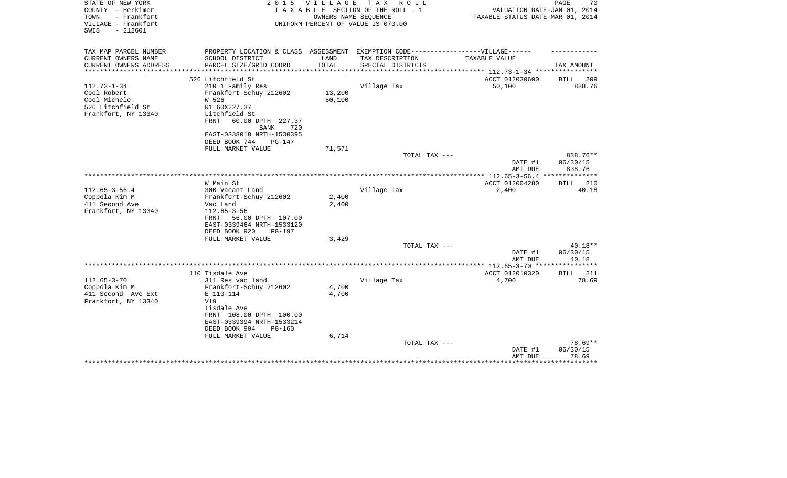| STATE OF NEW YORK<br>COUNTY - Herkimer<br>TOWN<br>- Frankfort<br>VILLAGE - Frankfort<br>$-212601$<br>SWIS | 2 0 1 5                                         | VILLAGE | TAX ROLL<br>TAXABLE SECTION OF THE ROLL - 1<br>OWNERS NAME SEQUENCE<br>UNIFORM PERCENT OF VALUE IS 070.00 | VALUATION DATE-JAN 01, 2014<br>TAXABLE STATUS DATE-MAR 01, 2014 | 70<br>PAGE               |
|-----------------------------------------------------------------------------------------------------------|-------------------------------------------------|---------|-----------------------------------------------------------------------------------------------------------|-----------------------------------------------------------------|--------------------------|
|                                                                                                           |                                                 |         |                                                                                                           |                                                                 |                          |
| TAX MAP PARCEL NUMBER                                                                                     | PROPERTY LOCATION & CLASS ASSESSMENT            |         | EXEMPTION CODE-----------------VILLAGE------                                                              |                                                                 |                          |
| CURRENT OWNERS NAME                                                                                       | SCHOOL DISTRICT                                 | LAND    | TAX DESCRIPTION                                                                                           | TAXABLE VALUE                                                   |                          |
| CURRENT OWNERS ADDRESS<br>***************                                                                 | PARCEL SIZE/GRID COORD                          | TOTAL   | SPECIAL DISTRICTS                                                                                         | *************************** 112.73-1-34 ****************        | TAX AMOUNT               |
|                                                                                                           | 526 Litchfield St                               |         |                                                                                                           | ACCT 012030600                                                  | BILL<br>209              |
| $112.73 - 1 - 34$                                                                                         | 210 1 Family Res                                |         | Village Tax                                                                                               | 50,100                                                          | 838.76                   |
| Cool Robert                                                                                               | Frankfort-Schuy 212602                          | 13,200  |                                                                                                           |                                                                 |                          |
| Cool Michele                                                                                              | W 526                                           | 50,100  |                                                                                                           |                                                                 |                          |
| 526 Litchfield St                                                                                         | R1 60X227.37                                    |         |                                                                                                           |                                                                 |                          |
| Frankfort, NY 13340                                                                                       | Litchfield St                                   |         |                                                                                                           |                                                                 |                          |
|                                                                                                           | 60.00 DPTH 227.37<br>FRNT<br><b>BANK</b><br>720 |         |                                                                                                           |                                                                 |                          |
|                                                                                                           | EAST-0338018 NRTH-1530395                       |         |                                                                                                           |                                                                 |                          |
|                                                                                                           | DEED BOOK 744<br>$PG-147$                       |         |                                                                                                           |                                                                 |                          |
|                                                                                                           | FULL MARKET VALUE                               | 71,571  |                                                                                                           |                                                                 |                          |
|                                                                                                           |                                                 |         | TOTAL TAX ---                                                                                             |                                                                 | 838.76**                 |
|                                                                                                           |                                                 |         |                                                                                                           | DATE #1                                                         | 06/30/15                 |
|                                                                                                           |                                                 |         |                                                                                                           | AMT DUE                                                         | 838.76                   |
|                                                                                                           |                                                 |         |                                                                                                           | ************ 112.65-3-56.4                                      | **************           |
|                                                                                                           | W Main St                                       |         |                                                                                                           | ACCT 012004280                                                  | 210<br>BILL              |
| $112.65 - 3 - 56.4$                                                                                       | 300 Vacant Land                                 |         | Village Tax                                                                                               | 2,400                                                           | 40.18                    |
| Coppola Kim M                                                                                             | Frankfort-Schuy 212602                          | 2,400   |                                                                                                           |                                                                 |                          |
| 411 Second Ave                                                                                            | Vac Land                                        | 2,400   |                                                                                                           |                                                                 |                          |
| Frankfort, NY 13340                                                                                       | $112.65 - 3 - 56$                               |         |                                                                                                           |                                                                 |                          |
|                                                                                                           | 56.00 DPTH 107.00<br>FRNT                       |         |                                                                                                           |                                                                 |                          |
|                                                                                                           | EAST-0339464 NRTH-1533120                       |         |                                                                                                           |                                                                 |                          |
|                                                                                                           | DEED BOOK 920<br>PG-197<br>FULL MARKET VALUE    | 3,429   |                                                                                                           |                                                                 |                          |
|                                                                                                           |                                                 |         | TOTAL TAX ---                                                                                             |                                                                 | $40.18**$                |
|                                                                                                           |                                                 |         |                                                                                                           | DATE #1                                                         | 06/30/15                 |
|                                                                                                           |                                                 |         |                                                                                                           | AMT DUE                                                         | 40.18                    |
|                                                                                                           |                                                 |         |                                                                                                           | **************** 112.65-3-70 ****************                   |                          |
|                                                                                                           | 110 Tisdale Ave                                 |         |                                                                                                           | ACCT 012010320                                                  | 211<br><b>BILL</b>       |
| $112.65 - 3 - 70$                                                                                         | 311 Res vac land                                |         | Village Tax                                                                                               | 4,700                                                           | 78.69                    |
| Coppola Kim M                                                                                             | Frankfort-Schuy 212602                          | 4,700   |                                                                                                           |                                                                 |                          |
| 411 Second Ave Ext                                                                                        | E 110-114                                       | 4,700   |                                                                                                           |                                                                 |                          |
| Frankfort, NY 13340                                                                                       | V19                                             |         |                                                                                                           |                                                                 |                          |
|                                                                                                           | Tisdale Ave                                     |         |                                                                                                           |                                                                 |                          |
|                                                                                                           | FRNT 108.00 DPTH 100.00                         |         |                                                                                                           |                                                                 |                          |
|                                                                                                           | EAST-0339394 NRTH-1533214                       |         |                                                                                                           |                                                                 |                          |
|                                                                                                           | DEED BOOK 904<br>$PG-160$                       |         |                                                                                                           |                                                                 |                          |
|                                                                                                           | FULL MARKET VALUE                               | 6,714   |                                                                                                           |                                                                 |                          |
|                                                                                                           |                                                 |         | TOTAL TAX ---                                                                                             |                                                                 | $78.69**$                |
|                                                                                                           |                                                 |         |                                                                                                           | DATE #1                                                         | 06/30/15                 |
|                                                                                                           |                                                 |         |                                                                                                           | AMT DUE                                                         | 78.69<br>* * * * * * * * |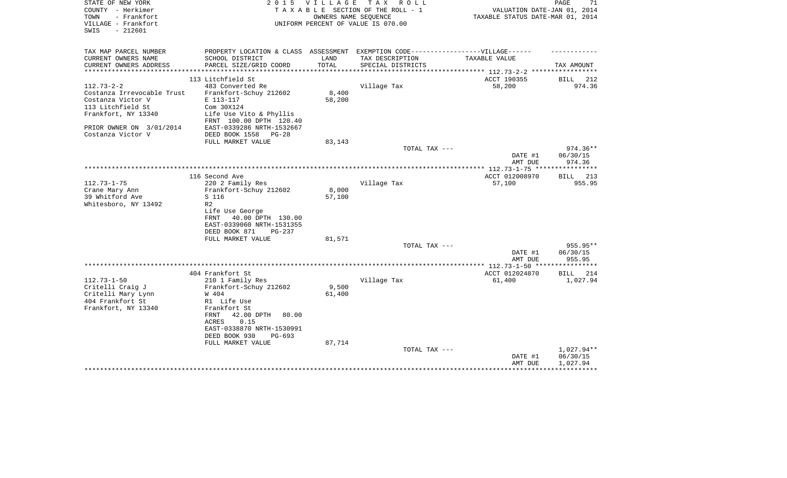| STATE OF NEW YORK<br>COUNTY - Herkimer<br>TOWN<br>- Frankfort<br>VILLAGE - Frankfort<br>$-212601$<br>SWIS | 2 0 1 5                                              | V I L L A G E | T A X<br>R O L L<br>TAXABLE SECTION OF THE ROLL - 1<br>OWNERS NAME SEOUENCE<br>UNIFORM PERCENT OF VALUE IS 070.00 | VALUATION DATE-JAN 01, 2014<br>TAXABLE STATUS DATE-MAR 01, 2014 | PAGE<br>71                     |
|-----------------------------------------------------------------------------------------------------------|------------------------------------------------------|---------------|-------------------------------------------------------------------------------------------------------------------|-----------------------------------------------------------------|--------------------------------|
| TAX MAP PARCEL NUMBER                                                                                     | PROPERTY LOCATION & CLASS ASSESSMENT                 |               | EXEMPTION CODE------------------VILLAGE------                                                                     |                                                                 |                                |
| CURRENT OWNERS NAME<br>CURRENT OWNERS ADDRESS<br>**********************                                   | SCHOOL DISTRICT<br>PARCEL SIZE/GRID COORD            | LAND<br>TOTAL | TAX DESCRIPTION<br>SPECIAL DISTRICTS                                                                              | TAXABLE VALUE                                                   | TAX AMOUNT                     |
|                                                                                                           | 113 Litchfield St                                    |               |                                                                                                                   | ACCT 190355                                                     | 212<br>BILL                    |
| $112.73 - 2 - 2$                                                                                          | 483 Converted Re                                     |               | Village Tax                                                                                                       | 58,200                                                          | 974.36                         |
| Costanza Irrevocable Trust                                                                                | Frankfort-Schuy 212602                               | $8\,,400$     |                                                                                                                   |                                                                 |                                |
| Costanza Victor V                                                                                         | E 113-117                                            | 58,200        |                                                                                                                   |                                                                 |                                |
| 113 Litchfield St                                                                                         | Com 30X124                                           |               |                                                                                                                   |                                                                 |                                |
| Frankfort, NY 13340                                                                                       | Life Use Vito & Phyllis<br>FRNT 100.00 DPTH 120.40   |               |                                                                                                                   |                                                                 |                                |
| PRIOR OWNER ON 3/01/2014                                                                                  | EAST-0339286 NRTH-1532667                            |               |                                                                                                                   |                                                                 |                                |
| Costanza Victor V                                                                                         | DEED BOOK 1558<br>$PG-28$                            |               |                                                                                                                   |                                                                 |                                |
|                                                                                                           | FULL MARKET VALUE                                    | 83,143        |                                                                                                                   |                                                                 |                                |
|                                                                                                           |                                                      |               | TOTAL TAX ---                                                                                                     | DATE #1<br>AMT DUE                                              | 974.36**<br>06/30/15<br>974.36 |
|                                                                                                           |                                                      |               |                                                                                                                   |                                                                 | **********                     |
|                                                                                                           | 116 Second Ave                                       |               |                                                                                                                   | ACCT 012008970                                                  | BILL 213                       |
| $112.73 - 1 - 75$                                                                                         | 220 2 Family Res                                     |               | Village Tax                                                                                                       | 57,100                                                          | 955.95                         |
| Crane Mary Ann                                                                                            | Frankfort-Schuy 212602                               | 8,000         |                                                                                                                   |                                                                 |                                |
| 39 Whitford Ave                                                                                           | S 116                                                | 57,100        |                                                                                                                   |                                                                 |                                |
| Whitesboro, NY 13492                                                                                      | R <sub>2</sub>                                       |               |                                                                                                                   |                                                                 |                                |
|                                                                                                           | Life Use George                                      |               |                                                                                                                   |                                                                 |                                |
|                                                                                                           | 40.00 DPTH 130.00<br>FRNT                            |               |                                                                                                                   |                                                                 |                                |
|                                                                                                           | EAST-0339060 NRTH-1531355<br>DEED BOOK 871<br>PG-237 |               |                                                                                                                   |                                                                 |                                |
|                                                                                                           | FULL MARKET VALUE                                    | 81,571        |                                                                                                                   |                                                                 |                                |
|                                                                                                           |                                                      |               | TOTAL TAX ---                                                                                                     |                                                                 | 955.95**                       |
|                                                                                                           |                                                      |               |                                                                                                                   | DATE #1                                                         | 06/30/15                       |
|                                                                                                           |                                                      |               |                                                                                                                   | AMT DUE                                                         | 955.95                         |
|                                                                                                           |                                                      |               |                                                                                                                   |                                                                 |                                |
|                                                                                                           | 404 Frankfort St                                     |               |                                                                                                                   | ACCT 012024870                                                  | <b>BILL</b><br>214             |
| $112.73 - 1 - 50$                                                                                         | 210 1 Family Res                                     |               | Village Tax                                                                                                       | 61,400                                                          | 1,027.94                       |
| Critelli Craig J                                                                                          | Frankfort-Schuy 212602                               | 9,500         |                                                                                                                   |                                                                 |                                |
| Critelli Mary Lynn                                                                                        | W 404                                                | 61,400        |                                                                                                                   |                                                                 |                                |
| 404 Frankfort St                                                                                          | R1 Life Use                                          |               |                                                                                                                   |                                                                 |                                |
| Frankfort, NY 13340                                                                                       | Frankfort St                                         |               |                                                                                                                   |                                                                 |                                |
|                                                                                                           | FRNT<br>42.00 DPTH<br>80.00                          |               |                                                                                                                   |                                                                 |                                |
|                                                                                                           | 0.15<br>ACRES                                        |               |                                                                                                                   |                                                                 |                                |
|                                                                                                           | EAST-0338870 NRTH-1530991                            |               |                                                                                                                   |                                                                 |                                |
|                                                                                                           | DEED BOOK 930<br>$PG-693$                            |               |                                                                                                                   |                                                                 |                                |
|                                                                                                           | FULL MARKET VALUE                                    | 87,714        | TOTAL TAX ---                                                                                                     |                                                                 | 1,027.94**                     |
|                                                                                                           |                                                      |               |                                                                                                                   | DATE #1                                                         | 06/30/15                       |
|                                                                                                           |                                                      |               |                                                                                                                   | AMT DUE                                                         | 1,027.94                       |
|                                                                                                           |                                                      |               |                                                                                                                   |                                                                 |                                |
|                                                                                                           |                                                      |               |                                                                                                                   |                                                                 |                                |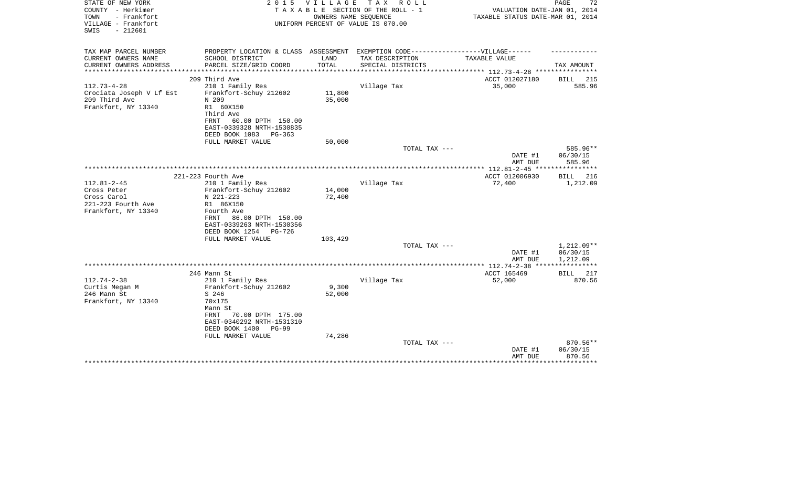| STATE OF NEW YORK<br>COUNTY - Herkimer<br>- Frankfort<br>TOWN<br>VILLAGE - Frankfort<br>$-212601$<br>SWIS | 2 0 1 5                                                                                                                                                             | VILLAGE          | T A X<br>R O L L<br>TAXABLE SECTION OF THE ROLL - 1<br>OWNERS NAME SEQUENCE<br>UNIFORM PERCENT OF VALUE IS 070.00 | VALUATION DATE-JAN 01, 2014<br>TAXABLE STATUS DATE-MAR 01, 2014            | PAGE<br>72                         |
|-----------------------------------------------------------------------------------------------------------|---------------------------------------------------------------------------------------------------------------------------------------------------------------------|------------------|-------------------------------------------------------------------------------------------------------------------|----------------------------------------------------------------------------|------------------------------------|
| TAX MAP PARCEL NUMBER                                                                                     | PROPERTY LOCATION & CLASS ASSESSMENT                                                                                                                                |                  | EXEMPTION CODE------------------VILLAGE------                                                                     |                                                                            |                                    |
| CURRENT OWNERS NAME<br>CURRENT OWNERS ADDRESS<br>*********************                                    | SCHOOL DISTRICT<br>PARCEL SIZE/GRID COORD                                                                                                                           | LAND<br>TOTAL    | TAX DESCRIPTION<br>SPECIAL DISTRICTS                                                                              | TAXABLE VALUE<br>**************************** 112.73-4-28 **************** | TAX AMOUNT                         |
|                                                                                                           | 209 Third Ave                                                                                                                                                       |                  |                                                                                                                   | ACCT 012027180                                                             | BILL<br>-215                       |
| $112.73 - 4 - 28$<br>Crociata Joseph V Lf Est<br>209 Third Ave<br>Frankfort, NY 13340                     | 210 1 Family Res<br>Frankfort-Schuy 212602<br>N 209<br>R1 60X150<br>Third Ave<br>60.00 DPTH 150.00<br>FRNT<br>EAST-0339328 NRTH-1530835<br>DEED BOOK 1083<br>PG-363 | 11,800<br>35,000 | Village Tax                                                                                                       | 35,000                                                                     | 585.96                             |
|                                                                                                           | FULL MARKET VALUE                                                                                                                                                   | 50,000           |                                                                                                                   |                                                                            |                                    |
|                                                                                                           |                                                                                                                                                                     |                  | TOTAL TAX ---                                                                                                     | DATE #1                                                                    | 585.96**<br>06/30/15               |
|                                                                                                           |                                                                                                                                                                     |                  |                                                                                                                   | AMT DUE                                                                    | 585.96                             |
|                                                                                                           | 221-223 Fourth Ave                                                                                                                                                  |                  |                                                                                                                   | ACCT 012006930                                                             | BILL<br>216                        |
| $112.81 - 2 - 45$                                                                                         | 210 1 Family Res                                                                                                                                                    |                  | Village Tax                                                                                                       | 72,400                                                                     | 1,212.09                           |
| Cross Peter<br>Cross Carol                                                                                | Frankfort-Schuy 212602<br>N 221-223                                                                                                                                 | 14,000<br>72,400 |                                                                                                                   |                                                                            |                                    |
| 221-223 Fourth Ave<br>Frankfort, NY 13340                                                                 | R1 86X150<br>Fourth Ave<br>86.00 DPTH 150.00<br>FRNT<br>EAST-0339263 NRTH-1530356<br>DEED BOOK 1254<br>PG-726                                                       |                  |                                                                                                                   |                                                                            |                                    |
|                                                                                                           | FULL MARKET VALUE                                                                                                                                                   | 103,429          |                                                                                                                   |                                                                            |                                    |
|                                                                                                           |                                                                                                                                                                     |                  | TOTAL TAX ---                                                                                                     | DATE #1<br>AMT DUE                                                         | 1,212.09**<br>06/30/15<br>1,212.09 |
|                                                                                                           |                                                                                                                                                                     |                  |                                                                                                                   | *************** 112.74-2-38 ****                                           | ***********                        |
|                                                                                                           | 246 Mann St                                                                                                                                                         |                  |                                                                                                                   | ACCT 165469                                                                | BILL 217                           |
| $112.74 - 2 - 38$<br>Curtis Megan M<br>246 Mann St<br>Frankfort, NY 13340                                 | 210 1 Family Res<br>Frankfort-Schuy 212602<br>S 246<br>70x175<br>Mann St<br>70.00 DPTH 175.00<br>FRNT                                                               | 9,300<br>52,000  | Village Tax                                                                                                       | 52,000                                                                     | 870.56                             |
|                                                                                                           | EAST-0340292 NRTH-1531310<br>DEED BOOK 1400<br>PG-99                                                                                                                |                  |                                                                                                                   |                                                                            |                                    |
|                                                                                                           | FULL MARKET VALUE                                                                                                                                                   | 74,286           | TOTAL TAX ---                                                                                                     |                                                                            | 870.56**                           |
|                                                                                                           |                                                                                                                                                                     |                  |                                                                                                                   | DATE #1<br>AMT DUE                                                         | 06/30/15<br>870.56                 |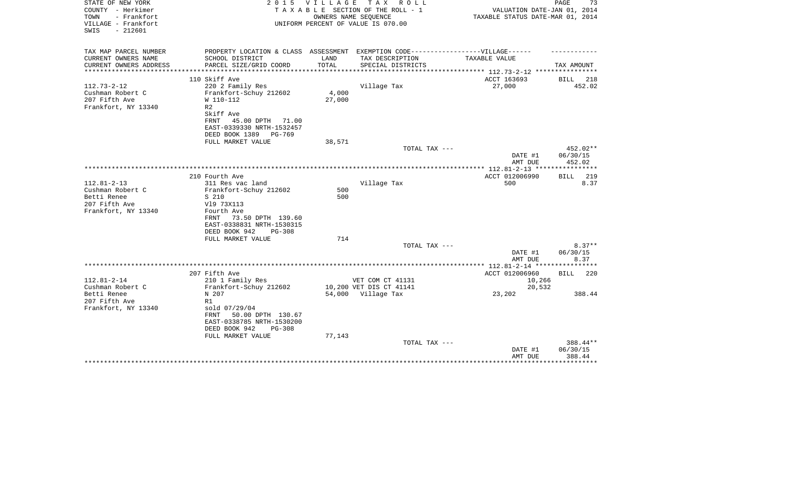| STATE OF NEW YORK<br>COUNTY - Herkimer<br>TOWN<br>- Frankfort<br>VILLAGE - Frankfort | 2 0 1 5                                                                           | <b>VILLAGE</b>         | T A X<br>R O L L<br>TAXABLE SECTION OF THE ROLL - 1<br>OWNERS NAME SEQUENCE<br>UNIFORM PERCENT OF VALUE IS 070.00 | VALUATION DATE-JAN 01, 2014<br>TAXABLE STATUS DATE-MAR 01, 2014 | PAGE<br>73         |
|--------------------------------------------------------------------------------------|-----------------------------------------------------------------------------------|------------------------|-------------------------------------------------------------------------------------------------------------------|-----------------------------------------------------------------|--------------------|
| $-212601$<br>SWIS                                                                    |                                                                                   |                        |                                                                                                                   |                                                                 |                    |
| TAX MAP PARCEL NUMBER                                                                | PROPERTY LOCATION & CLASS ASSESSMENT EXEMPTION CODE-----------------VILLAGE------ |                        |                                                                                                                   |                                                                 |                    |
| CURRENT OWNERS NAME<br>CURRENT OWNERS ADDRESS                                        | SCHOOL DISTRICT<br>PARCEL SIZE/GRID COORD                                         | LAND<br>TOTAL          | TAX DESCRIPTION<br>SPECIAL DISTRICTS                                                                              | <b>TAXABLE VALUE</b>                                            | TAX AMOUNT         |
| ********************                                                                 | **************************                                                        | ********************** |                                                                                                                   | ***************************** 112.73-2-12 ****************      |                    |
|                                                                                      | 110 Skiff Ave                                                                     |                        |                                                                                                                   | ACCT 163693                                                     | 218<br>BILL        |
| $112.73 - 2 - 12$                                                                    | 220 2 Family Res                                                                  |                        | Village Tax                                                                                                       | 27,000                                                          | 452.02             |
| Cushman Robert C                                                                     | Frankfort-Schuy 212602                                                            | 4,000                  |                                                                                                                   |                                                                 |                    |
| 207 Fifth Ave                                                                        | W 110-112                                                                         | 27,000                 |                                                                                                                   |                                                                 |                    |
| Frankfort, NY 13340                                                                  | R <sub>2</sub><br>Skiff Ave                                                       |                        |                                                                                                                   |                                                                 |                    |
|                                                                                      | 45.00 DPTH<br>FRNT<br>71.00                                                       |                        |                                                                                                                   |                                                                 |                    |
|                                                                                      | EAST-0339330 NRTH-1532457                                                         |                        |                                                                                                                   |                                                                 |                    |
|                                                                                      | DEED BOOK 1389<br>$PG-769$                                                        |                        |                                                                                                                   |                                                                 |                    |
|                                                                                      | FULL MARKET VALUE                                                                 | 38,571                 |                                                                                                                   |                                                                 |                    |
|                                                                                      |                                                                                   |                        | TOTAL TAX ---                                                                                                     |                                                                 | 452.02**           |
|                                                                                      |                                                                                   |                        |                                                                                                                   | DATE #1<br>AMT DUE                                              | 06/30/15<br>452.02 |
|                                                                                      |                                                                                   |                        |                                                                                                                   |                                                                 |                    |
|                                                                                      | 210 Fourth Ave                                                                    |                        |                                                                                                                   | ACCT 012006990                                                  | 219<br>BILL        |
| $112.81 - 2 - 13$                                                                    | 311 Res vac land                                                                  |                        | Village Tax                                                                                                       | 500                                                             | 8.37               |
| Cushman Robert C                                                                     | Frankfort-Schuy 212602                                                            | 500                    |                                                                                                                   |                                                                 |                    |
| Betti Renee                                                                          | S 210                                                                             | 500                    |                                                                                                                   |                                                                 |                    |
| 207 Fifth Ave<br>Frankfort, NY 13340                                                 | V19 73X113<br>Fourth Ave                                                          |                        |                                                                                                                   |                                                                 |                    |
|                                                                                      | 73.50 DPTH 139.60<br>FRNT                                                         |                        |                                                                                                                   |                                                                 |                    |
|                                                                                      | EAST-0338831 NRTH-1530315                                                         |                        |                                                                                                                   |                                                                 |                    |
|                                                                                      | DEED BOOK 942<br>$PG-308$                                                         |                        |                                                                                                                   |                                                                 |                    |
|                                                                                      | FULL MARKET VALUE                                                                 | 714                    |                                                                                                                   |                                                                 |                    |
|                                                                                      |                                                                                   |                        | TOTAL TAX ---                                                                                                     |                                                                 | $8.37**$           |
|                                                                                      |                                                                                   |                        |                                                                                                                   | DATE #1<br>AMT DUE                                              | 06/30/15<br>8.37   |
|                                                                                      |                                                                                   |                        |                                                                                                                   | ***************** 112.81-2-14 *****************                 |                    |
|                                                                                      | 207 Fifth Ave                                                                     |                        |                                                                                                                   | ACCT 012006960                                                  | <b>BILL</b><br>220 |
| $112.81 - 2 - 14$                                                                    | 210 1 Family Res                                                                  |                        | VET COM CT 41131                                                                                                  | 10,266                                                          |                    |
| Cushman Robert C                                                                     | Frankfort-Schuy 212602                                                            |                        | 10,200 VET DIS CT 41141                                                                                           | 20,532                                                          |                    |
| Betti Renee<br>207 Fifth Ave                                                         | N 207<br>R1                                                                       |                        | 54,000 Village Tax                                                                                                | 23,202                                                          | 388.44             |
| Frankfort, NY 13340                                                                  | sold 07/29/04                                                                     |                        |                                                                                                                   |                                                                 |                    |
|                                                                                      | 50.00 DPTH 130.67<br>FRNT                                                         |                        |                                                                                                                   |                                                                 |                    |
|                                                                                      | EAST-0338785 NRTH-1530200                                                         |                        |                                                                                                                   |                                                                 |                    |
|                                                                                      | DEED BOOK 942<br>$PG-308$                                                         |                        |                                                                                                                   |                                                                 |                    |
|                                                                                      | FULL MARKET VALUE                                                                 | 77,143                 |                                                                                                                   |                                                                 |                    |
|                                                                                      |                                                                                   |                        | TOTAL TAX ---                                                                                                     |                                                                 | 388.44**           |
|                                                                                      |                                                                                   |                        |                                                                                                                   | DATE #1<br>AMT DUE                                              | 06/30/15<br>388.44 |
|                                                                                      |                                                                                   |                        |                                                                                                                   |                                                                 | ******             |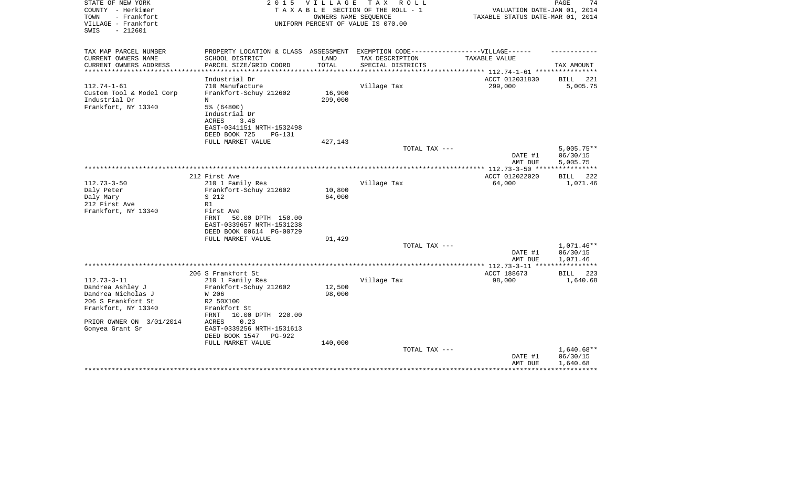| STATE OF NEW YORK<br>COUNTY - Herkimer<br>TOWN<br>- Frankfort<br>VILLAGE - Frankfort<br>$-212601$<br>SWIS | 2 0 1 5                                                                           | V I L L A G E | TAX ROLL<br>TAXABLE SECTION OF THE ROLL - 1<br>OWNERS NAME SEQUENCE<br>UNIFORM PERCENT OF VALUE IS 070.00 | VALUATION DATE-JAN 01, 2014<br>TAXABLE STATUS DATE-MAR 01, 2014 | PAGE<br>74            |
|-----------------------------------------------------------------------------------------------------------|-----------------------------------------------------------------------------------|---------------|-----------------------------------------------------------------------------------------------------------|-----------------------------------------------------------------|-----------------------|
|                                                                                                           |                                                                                   |               |                                                                                                           |                                                                 |                       |
| TAX MAP PARCEL NUMBER                                                                                     | PROPERTY LOCATION & CLASS ASSESSMENT EXEMPTION CODE-----------------VILLAGE------ |               |                                                                                                           |                                                                 |                       |
| CURRENT OWNERS NAME                                                                                       | SCHOOL DISTRICT                                                                   | LAND          | TAX DESCRIPTION                                                                                           | TAXABLE VALUE                                                   |                       |
| CURRENT OWNERS ADDRESS<br>**********************                                                          | PARCEL SIZE/GRID COORD                                                            | TOTAL         | SPECIAL DISTRICTS                                                                                         |                                                                 | TAX AMOUNT            |
|                                                                                                           | Industrial Dr                                                                     |               |                                                                                                           | ACCT 012031830                                                  | BILL<br>221           |
| $112.74 - 1 - 61$                                                                                         | 710 Manufacture                                                                   |               | Village Tax                                                                                               | 299,000                                                         | 5,005.75              |
| Custom Tool & Model Corp                                                                                  | Frankfort-Schuy 212602                                                            | 16,900        |                                                                                                           |                                                                 |                       |
| Industrial Dr                                                                                             | N                                                                                 | 299,000       |                                                                                                           |                                                                 |                       |
| Frankfort, NY 13340                                                                                       | 5% (64800)                                                                        |               |                                                                                                           |                                                                 |                       |
|                                                                                                           | Industrial Dr                                                                     |               |                                                                                                           |                                                                 |                       |
|                                                                                                           | ACRES<br>3.48                                                                     |               |                                                                                                           |                                                                 |                       |
|                                                                                                           | EAST-0341151 NRTH-1532498                                                         |               |                                                                                                           |                                                                 |                       |
|                                                                                                           | DEED BOOK 725<br>$PG-131$<br>FULL MARKET VALUE                                    | 427,143       |                                                                                                           |                                                                 |                       |
|                                                                                                           |                                                                                   |               | TOTAL TAX ---                                                                                             |                                                                 | $5,005.75**$          |
|                                                                                                           |                                                                                   |               |                                                                                                           | DATE #1                                                         | 06/30/15              |
|                                                                                                           |                                                                                   |               |                                                                                                           | AMT DUE                                                         | 5,005.75              |
|                                                                                                           |                                                                                   |               |                                                                                                           |                                                                 | * * * * * * * * * * * |
|                                                                                                           | 212 First Ave                                                                     |               |                                                                                                           | ACCT 012022020                                                  | <b>BILL</b><br>222    |
| $112.73 - 3 - 50$                                                                                         | 210 1 Family Res                                                                  |               | Village Tax                                                                                               | 64,000                                                          | 1,071.46              |
| Daly Peter                                                                                                | Frankfort-Schuy 212602                                                            | 10,800        |                                                                                                           |                                                                 |                       |
| Daly Mary                                                                                                 | S 212<br>R1                                                                       | 64,000        |                                                                                                           |                                                                 |                       |
| 212 First Ave<br>Frankfort, NY 13340                                                                      | First Ave                                                                         |               |                                                                                                           |                                                                 |                       |
|                                                                                                           | 50.00 DPTH 150.00<br>FRNT                                                         |               |                                                                                                           |                                                                 |                       |
|                                                                                                           | EAST-0339657 NRTH-1531238                                                         |               |                                                                                                           |                                                                 |                       |
|                                                                                                           | DEED BOOK 00614 PG-00729                                                          |               |                                                                                                           |                                                                 |                       |
|                                                                                                           | FULL MARKET VALUE                                                                 | 91,429        |                                                                                                           |                                                                 |                       |
|                                                                                                           |                                                                                   |               | TOTAL TAX ---                                                                                             |                                                                 | 1,071.46**            |
|                                                                                                           |                                                                                   |               |                                                                                                           | DATE #1                                                         | 06/30/15              |
|                                                                                                           |                                                                                   |               |                                                                                                           | AMT DUE<br>***** 112.73-3-11 ***                                | 1,071.46              |
|                                                                                                           | 206 S Frankfort St                                                                |               |                                                                                                           | ACCT 188673                                                     | <b>BILL</b><br>223    |
| $112.73 - 3 - 11$                                                                                         | 210 1 Family Res                                                                  |               | Village Tax                                                                                               | 98,000                                                          | 1,640.68              |
| Dandrea Ashley J                                                                                          | Frankfort-Schuy 212602                                                            | 12,500        |                                                                                                           |                                                                 |                       |
| Dandrea Nicholas J                                                                                        | W 206                                                                             | 98,000        |                                                                                                           |                                                                 |                       |
| 206 S Frankfort St                                                                                        | R2 50X100                                                                         |               |                                                                                                           |                                                                 |                       |
| Frankfort, NY 13340                                                                                       | Frankfort St                                                                      |               |                                                                                                           |                                                                 |                       |
|                                                                                                           | 10.00 DPTH 220.00<br>FRNT                                                         |               |                                                                                                           |                                                                 |                       |
| PRIOR OWNER ON 3/01/2014                                                                                  | 0.23<br>ACRES<br>EAST-0339256 NRTH-1531613                                        |               |                                                                                                           |                                                                 |                       |
| Gonyea Grant Sr                                                                                           | DEED BOOK 1547<br>PG-922                                                          |               |                                                                                                           |                                                                 |                       |
|                                                                                                           | FULL MARKET VALUE                                                                 | 140,000       |                                                                                                           |                                                                 |                       |
|                                                                                                           |                                                                                   |               | TOTAL TAX ---                                                                                             |                                                                 | $1,640.68**$          |
|                                                                                                           |                                                                                   |               |                                                                                                           | DATE #1                                                         | 06/30/15              |
|                                                                                                           |                                                                                   |               |                                                                                                           | AMT DUE                                                         | 1,640.68              |
|                                                                                                           |                                                                                   |               |                                                                                                           |                                                                 |                       |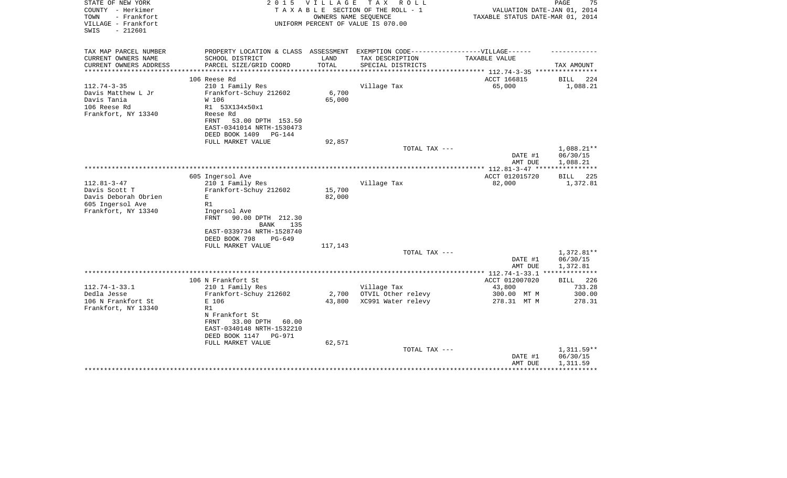| STATE OF NEW YORK<br>COUNTY - Herkimer<br>TOWN<br>- Frankfort<br>VILLAGE - Frankfort<br>$-212601$<br>SWIS | 2 0 1 5                                                                           | <b>VILLAGE</b><br>OWNERS NAME SEOUENCE | T A X<br>R O L L<br>TAXABLE SECTION OF THE ROLL - 1<br>UNIFORM PERCENT OF VALUE IS 070.00 | VALUATION DATE-JAN 01, 2014<br>TAXABLE STATUS DATE-MAR 01, 2014 | PAGE<br>75             |
|-----------------------------------------------------------------------------------------------------------|-----------------------------------------------------------------------------------|----------------------------------------|-------------------------------------------------------------------------------------------|-----------------------------------------------------------------|------------------------|
| TAX MAP PARCEL NUMBER                                                                                     | PROPERTY LOCATION & CLASS ASSESSMENT EXEMPTION CODE-----------------VILLAGE------ |                                        |                                                                                           |                                                                 |                        |
| CURRENT OWNERS NAME                                                                                       | SCHOOL DISTRICT                                                                   | LAND                                   | TAX DESCRIPTION                                                                           | TAXABLE VALUE                                                   |                        |
| CURRENT OWNERS ADDRESS<br>**********************                                                          | PARCEL SIZE/GRID COORD                                                            | TOTAL                                  | SPECIAL DISTRICTS                                                                         |                                                                 | TAX AMOUNT             |
|                                                                                                           | 106 Reese Rd                                                                      |                                        |                                                                                           | ACCT 166815                                                     | 224<br>BILL            |
| $112.74 - 3 - 35$                                                                                         | 210 1 Family Res                                                                  |                                        | Village Tax                                                                               | 65,000                                                          | 1,088.21               |
| Davis Matthew L Jr                                                                                        | Frankfort-Schuy 212602                                                            | 6,700                                  |                                                                                           |                                                                 |                        |
| Davis Tania                                                                                               | W 106                                                                             | 65,000                                 |                                                                                           |                                                                 |                        |
| 106 Reese Rd                                                                                              | R1 53X134x50x1                                                                    |                                        |                                                                                           |                                                                 |                        |
| Frankfort, NY 13340                                                                                       | Reese Rd                                                                          |                                        |                                                                                           |                                                                 |                        |
|                                                                                                           | FRNT<br>53.00 DPTH 153.50                                                         |                                        |                                                                                           |                                                                 |                        |
|                                                                                                           | EAST-0341014 NRTH-1530473<br>DEED BOOK 1409<br>$PG-144$                           |                                        |                                                                                           |                                                                 |                        |
|                                                                                                           | FULL MARKET VALUE                                                                 | 92,857                                 |                                                                                           |                                                                 |                        |
|                                                                                                           |                                                                                   |                                        | TOTAL TAX ---                                                                             |                                                                 | 1,088.21**             |
|                                                                                                           |                                                                                   |                                        |                                                                                           | DATE #1<br>AMT DUE                                              | 06/30/15<br>1,088.21   |
|                                                                                                           |                                                                                   |                                        |                                                                                           |                                                                 | * * * * * * * * * * *  |
|                                                                                                           | 605 Ingersol Ave                                                                  |                                        |                                                                                           | ACCT 012015720                                                  | 225<br>BILL            |
| $112.81 - 3 - 47$<br>Davis Scott T                                                                        | 210 1 Family Res                                                                  | 15,700                                 | Village Tax                                                                               | 82,000                                                          | 1,372.81               |
| Davis Deborah Obrien                                                                                      | Frankfort-Schuy 212602<br>E                                                       | 82,000                                 |                                                                                           |                                                                 |                        |
| 605 Ingersol Ave                                                                                          | R1                                                                                |                                        |                                                                                           |                                                                 |                        |
| Frankfort, NY 13340                                                                                       | Ingersol Ave                                                                      |                                        |                                                                                           |                                                                 |                        |
|                                                                                                           | <b>FRNT</b><br>90.00 DPTH 212.30<br>BANK<br>135                                   |                                        |                                                                                           |                                                                 |                        |
|                                                                                                           | EAST-0339734 NRTH-1528740                                                         |                                        |                                                                                           |                                                                 |                        |
|                                                                                                           | DEED BOOK 798<br>$PG-649$                                                         |                                        |                                                                                           |                                                                 |                        |
|                                                                                                           | FULL MARKET VALUE                                                                 | 117,143                                |                                                                                           |                                                                 |                        |
|                                                                                                           |                                                                                   |                                        | TOTAL TAX ---                                                                             | DATE #1                                                         | 1,372.81**<br>06/30/15 |
|                                                                                                           |                                                                                   |                                        |                                                                                           | AMT DUE                                                         | 1,372.81               |
|                                                                                                           |                                                                                   |                                        |                                                                                           |                                                                 |                        |
|                                                                                                           | 106 N Frankfort St                                                                |                                        |                                                                                           | ACCT 012007020                                                  | BILL 226               |
| $112.74 - 1 - 33.1$                                                                                       | 210 1 Family Res                                                                  |                                        | Village Tax                                                                               | 43,800                                                          | 733.28                 |
| Dedla Jesse                                                                                               | Frankfort-Schuy 212602                                                            | 2,700                                  | OTVIL Other relevy                                                                        | 300.00 MT M                                                     | 300.00                 |
| 106 N Frankfort St                                                                                        | E 106                                                                             | 43,800                                 | XC991 Water relevy                                                                        | 278.31 MT M                                                     | 278.31                 |
| Frankfort, NY 13340                                                                                       | R1<br>N Frankfort St                                                              |                                        |                                                                                           |                                                                 |                        |
|                                                                                                           | 33.00 DPTH<br>FRNT<br>60.00                                                       |                                        |                                                                                           |                                                                 |                        |
|                                                                                                           | EAST-0340148 NRTH-1532210                                                         |                                        |                                                                                           |                                                                 |                        |
|                                                                                                           | DEED BOOK 1147<br><b>PG-971</b>                                                   |                                        |                                                                                           |                                                                 |                        |
|                                                                                                           | FULL MARKET VALUE                                                                 | 62,571                                 |                                                                                           |                                                                 |                        |
|                                                                                                           |                                                                                   |                                        | TOTAL TAX ---                                                                             |                                                                 | $1,311.59**$           |
|                                                                                                           |                                                                                   |                                        |                                                                                           | DATE #1                                                         | 06/30/15               |
|                                                                                                           |                                                                                   |                                        |                                                                                           | AMT DUE                                                         | 1,311.59               |
|                                                                                                           |                                                                                   |                                        |                                                                                           |                                                                 |                        |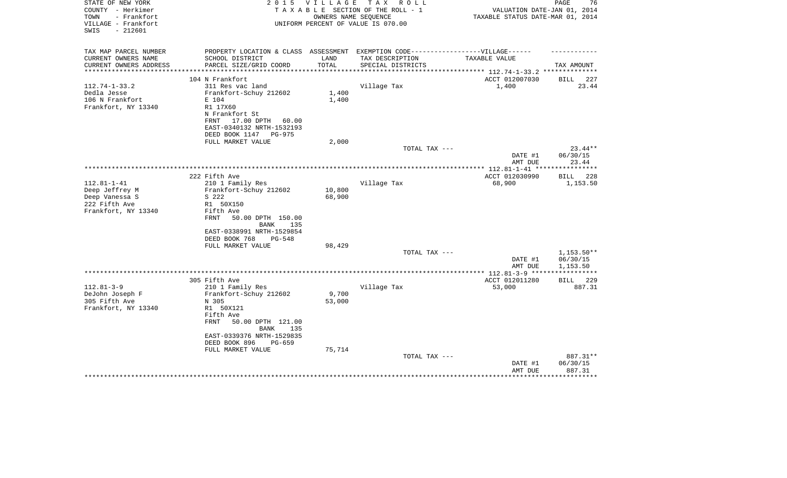| STATE OF NEW YORK<br>COUNTY - Herkimer<br>- Frankfort<br>TOWN<br>VILLAGE - Frankfort<br>$-212601$<br>SWIS | 2 0 1 5                                                                           | V I L L A G E | T A X<br>R O L L<br>TAXABLE SECTION OF THE ROLL - 1<br>OWNERS NAME SEOUENCE<br>UNIFORM PERCENT OF VALUE IS 070.00 | VALUATION DATE-JAN 01, 2014<br>TAXABLE STATUS DATE-MAR 01, 2014 | PAGE<br>76            |
|-----------------------------------------------------------------------------------------------------------|-----------------------------------------------------------------------------------|---------------|-------------------------------------------------------------------------------------------------------------------|-----------------------------------------------------------------|-----------------------|
| TAX MAP PARCEL NUMBER                                                                                     | PROPERTY LOCATION & CLASS ASSESSMENT EXEMPTION CODE-----------------VILLAGE------ |               |                                                                                                                   |                                                                 |                       |
| CURRENT OWNERS NAME                                                                                       | SCHOOL DISTRICT                                                                   | LAND          | TAX DESCRIPTION                                                                                                   | TAXABLE VALUE                                                   |                       |
| CURRENT OWNERS ADDRESS<br>**********************                                                          | PARCEL SIZE/GRID COORD                                                            | TOTAL         | SPECIAL DISTRICTS                                                                                                 |                                                                 | TAX AMOUNT            |
|                                                                                                           | 104 N Frankfort                                                                   |               |                                                                                                                   | ACCT 012007030                                                  | 227<br>BILL           |
| $112.74 - 1 - 33.2$                                                                                       | 311 Res vac land                                                                  |               | Village Tax                                                                                                       | 1,400                                                           | 23.44                 |
| Dedla Jesse                                                                                               | Frankfort-Schuy 212602                                                            | $1\,,400$     |                                                                                                                   |                                                                 |                       |
| 106 N Frankfort                                                                                           | E 104                                                                             | 1,400         |                                                                                                                   |                                                                 |                       |
| Frankfort, NY 13340                                                                                       | R1 17X60                                                                          |               |                                                                                                                   |                                                                 |                       |
|                                                                                                           | N Frankfort St                                                                    |               |                                                                                                                   |                                                                 |                       |
|                                                                                                           | 17.00 DPTH<br>FRNT<br>60.00                                                       |               |                                                                                                                   |                                                                 |                       |
|                                                                                                           | EAST-0340132 NRTH-1532193                                                         |               |                                                                                                                   |                                                                 |                       |
|                                                                                                           | DEED BOOK 1147<br>PG-975                                                          |               |                                                                                                                   |                                                                 |                       |
|                                                                                                           | FULL MARKET VALUE                                                                 | 2,000         |                                                                                                                   |                                                                 |                       |
|                                                                                                           |                                                                                   |               | TOTAL TAX ---                                                                                                     | DATE #1                                                         | $23.44**$<br>06/30/15 |
|                                                                                                           |                                                                                   |               |                                                                                                                   | AMT DUE                                                         | 23.44                 |
|                                                                                                           |                                                                                   |               |                                                                                                                   |                                                                 |                       |
|                                                                                                           | 222 Fifth Ave                                                                     |               |                                                                                                                   | ACCT 012030990                                                  | 228<br><b>BILL</b>    |
| $112.81 - 1 - 41$                                                                                         | 210 1 Family Res                                                                  |               | Village Tax                                                                                                       | 68,900                                                          | 1,153.50              |
| Deep Jeffrey M                                                                                            | Frankfort-Schuy 212602                                                            | 10,800        |                                                                                                                   |                                                                 |                       |
| Deep Vanessa S                                                                                            | S 222                                                                             | 68,900        |                                                                                                                   |                                                                 |                       |
| 222 Fifth Ave                                                                                             | R1 50X150                                                                         |               |                                                                                                                   |                                                                 |                       |
| Frankfort, NY 13340                                                                                       | Fifth Ave                                                                         |               |                                                                                                                   |                                                                 |                       |
|                                                                                                           | FRNT<br>50.00 DPTH 150.00<br>135<br>BANK                                          |               |                                                                                                                   |                                                                 |                       |
|                                                                                                           | EAST-0338991 NRTH-1529854                                                         |               |                                                                                                                   |                                                                 |                       |
|                                                                                                           | DEED BOOK 768<br>$PG-548$                                                         |               |                                                                                                                   |                                                                 |                       |
|                                                                                                           | FULL MARKET VALUE                                                                 | 98,429        |                                                                                                                   |                                                                 |                       |
|                                                                                                           |                                                                                   |               | TOTAL TAX ---                                                                                                     |                                                                 | $1,153.50**$          |
|                                                                                                           |                                                                                   |               |                                                                                                                   | DATE #1                                                         | 06/30/15              |
|                                                                                                           |                                                                                   |               |                                                                                                                   | AMT DUE                                                         | 1,153.50              |
|                                                                                                           |                                                                                   |               |                                                                                                                   | *************** 112.81-3-9 ***                                  | **********            |
|                                                                                                           | 305 Fifth Ave                                                                     |               |                                                                                                                   | ACCT 012011280                                                  | 229<br>BILL           |
| $112.81 - 3 - 9$<br>DeJohn Joseph F                                                                       | 210 1 Family Res<br>Frankfort-Schuy 212602                                        | 9,700         | Village Tax                                                                                                       | 53,000                                                          | 887.31                |
| 305 Fifth Ave                                                                                             | N 305                                                                             | 53,000        |                                                                                                                   |                                                                 |                       |
| Frankfort, NY 13340                                                                                       | R1 50X121                                                                         |               |                                                                                                                   |                                                                 |                       |
|                                                                                                           | Fifth Ave                                                                         |               |                                                                                                                   |                                                                 |                       |
|                                                                                                           | <b>FRNT</b><br>50.00 DPTH 121.00<br><b>BANK</b><br>135                            |               |                                                                                                                   |                                                                 |                       |
|                                                                                                           | EAST-0339376 NRTH-1529835                                                         |               |                                                                                                                   |                                                                 |                       |
|                                                                                                           | DEED BOOK 896<br>PG-659                                                           |               |                                                                                                                   |                                                                 |                       |
|                                                                                                           | FULL MARKET VALUE                                                                 | 75,714        |                                                                                                                   |                                                                 |                       |
|                                                                                                           |                                                                                   |               | TOTAL TAX ---                                                                                                     |                                                                 | 887.31**              |
|                                                                                                           |                                                                                   |               |                                                                                                                   | DATE #1                                                         | 06/30/15              |
|                                                                                                           |                                                                                   |               |                                                                                                                   | AMT DUE                                                         | 887.31                |
|                                                                                                           |                                                                                   |               |                                                                                                                   |                                                                 |                       |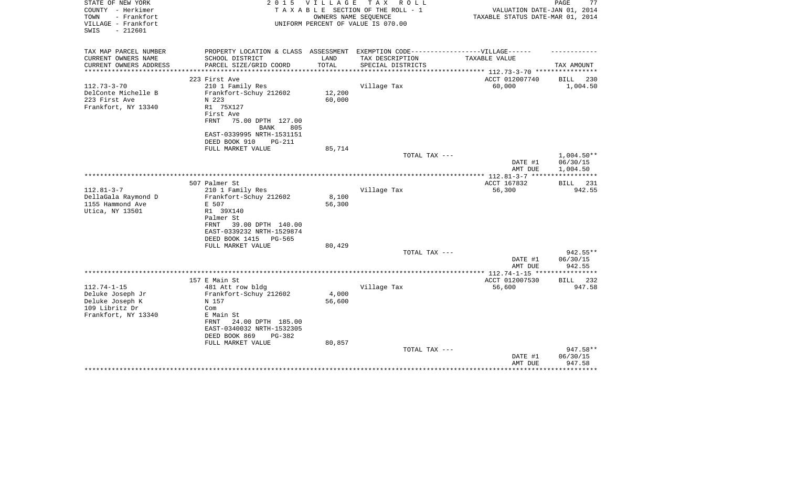| STATE OF NEW YORK<br>COUNTY - Herkimer<br>- Frankfort<br>TOWN<br>VILLAGE - Frankfort | 2 0 1 5                                                                          | V I L L A G E | TAX ROLL<br>TAXABLE SECTION OF THE ROLL - 1<br>OWNERS NAME SEQUENCE | VALUATION DATE-JAN 01, 2014<br>TAXABLE STATUS DATE-MAR 01, 2014 | PAGE<br>77         |
|--------------------------------------------------------------------------------------|----------------------------------------------------------------------------------|---------------|---------------------------------------------------------------------|-----------------------------------------------------------------|--------------------|
| $-212601$<br>SWIS                                                                    |                                                                                  |               | UNIFORM PERCENT OF VALUE IS 070.00                                  |                                                                 |                    |
| TAX MAP PARCEL NUMBER                                                                | PROPERTY LOCATION & CLASS ASSESSMENT EXEMPTION CODE----------------VILLAGE------ |               |                                                                     |                                                                 |                    |
| CURRENT OWNERS NAME                                                                  | SCHOOL DISTRICT                                                                  | LAND          | TAX DESCRIPTION                                                     | TAXABLE VALUE                                                   |                    |
| CURRENT OWNERS ADDRESS<br>********************                                       | PARCEL SIZE/GRID COORD                                                           | TOTAL         | SPECIAL DISTRICTS                                                   |                                                                 | TAX AMOUNT         |
|                                                                                      | 223 First Ave                                                                    |               |                                                                     | ACCT 012007740                                                  | BILL<br>230        |
| $112.73 - 3 - 70$                                                                    | 210 1 Family Res                                                                 |               | Village Tax                                                         | 60,000                                                          | 1,004.50           |
| DelConte Michelle B                                                                  | Frankfort-Schuy 212602                                                           | 12,200        |                                                                     |                                                                 |                    |
| 223 First Ave                                                                        | N 223                                                                            | 60,000        |                                                                     |                                                                 |                    |
| Frankfort, NY 13340                                                                  | R1 75X127                                                                        |               |                                                                     |                                                                 |                    |
|                                                                                      | First Ave                                                                        |               |                                                                     |                                                                 |                    |
|                                                                                      | 75.00 DPTH 127.00<br>FRNT                                                        |               |                                                                     |                                                                 |                    |
|                                                                                      | <b>BANK</b><br>805                                                               |               |                                                                     |                                                                 |                    |
|                                                                                      | EAST-0339995 NRTH-1531151                                                        |               |                                                                     |                                                                 |                    |
|                                                                                      | DEED BOOK 910<br><b>PG-211</b>                                                   |               |                                                                     |                                                                 |                    |
|                                                                                      | FULL MARKET VALUE                                                                | 85,714        |                                                                     |                                                                 |                    |
|                                                                                      |                                                                                  |               | TOTAL TAX ---                                                       |                                                                 | $1,004.50**$       |
|                                                                                      |                                                                                  |               |                                                                     | DATE #1                                                         | 06/30/15           |
|                                                                                      |                                                                                  |               |                                                                     | AMT DUE                                                         | 1,004.50           |
|                                                                                      | 507 Palmer St                                                                    |               |                                                                     | ***************** 112.81-3-7 ******************<br>ACCT 167832  | <b>BILL</b><br>231 |
| $112.81 - 3 - 7$                                                                     | 210 1 Family Res                                                                 |               | Village Tax                                                         | 56,300                                                          | 942.55             |
| DellaGala Raymond D                                                                  | Frankfort-Schuy 212602                                                           | 8,100         |                                                                     |                                                                 |                    |
| 1155 Hammond Ave                                                                     | E 507                                                                            | 56,300        |                                                                     |                                                                 |                    |
| Utica, NY 13501                                                                      | R1 39X140                                                                        |               |                                                                     |                                                                 |                    |
|                                                                                      | Palmer St                                                                        |               |                                                                     |                                                                 |                    |
|                                                                                      | 39.00 DPTH 140.00<br>FRNT                                                        |               |                                                                     |                                                                 |                    |
|                                                                                      | EAST-0339232 NRTH-1529874                                                        |               |                                                                     |                                                                 |                    |
|                                                                                      | DEED BOOK 1415<br><b>PG-565</b>                                                  |               |                                                                     |                                                                 |                    |
|                                                                                      | FULL MARKET VALUE                                                                | 80,429        |                                                                     |                                                                 |                    |
|                                                                                      |                                                                                  |               | TOTAL TAX ---                                                       |                                                                 | $942.55**$         |
|                                                                                      |                                                                                  |               |                                                                     | DATE #1                                                         | 06/30/15           |
|                                                                                      |                                                                                  |               |                                                                     | AMT DUE                                                         | 942.55             |
|                                                                                      |                                                                                  |               |                                                                     |                                                                 |                    |
| $112.74 - 1 - 15$                                                                    | 157 E Main St                                                                    |               |                                                                     | ACCT 012007530                                                  | BILL 232           |
| Deluke Joseph Jr                                                                     | 481 Att row bldg<br>Frankfort-Schuy 212602                                       | 4,000         | Village Tax                                                         | 56,600                                                          | 947.58             |
| Deluke Joseph K                                                                      | N 157                                                                            | 56,600        |                                                                     |                                                                 |                    |
| 109 Libritz Dr                                                                       | Com                                                                              |               |                                                                     |                                                                 |                    |
| Frankfort, NY 13340                                                                  | E Main St                                                                        |               |                                                                     |                                                                 |                    |
|                                                                                      | FRNT<br>24.00 DPTH 185.00                                                        |               |                                                                     |                                                                 |                    |
|                                                                                      | EAST-0340032 NRTH-1532305                                                        |               |                                                                     |                                                                 |                    |
|                                                                                      | DEED BOOK 869<br>PG-382                                                          |               |                                                                     |                                                                 |                    |
|                                                                                      | FULL MARKET VALUE                                                                | 80,857        |                                                                     |                                                                 |                    |
|                                                                                      |                                                                                  |               | TOTAL TAX ---                                                       |                                                                 | 947.58**           |
|                                                                                      |                                                                                  |               |                                                                     | DATE #1                                                         | 06/30/15           |
|                                                                                      |                                                                                  |               |                                                                     | AMT DUE                                                         | 947.58             |
|                                                                                      |                                                                                  |               |                                                                     |                                                                 |                    |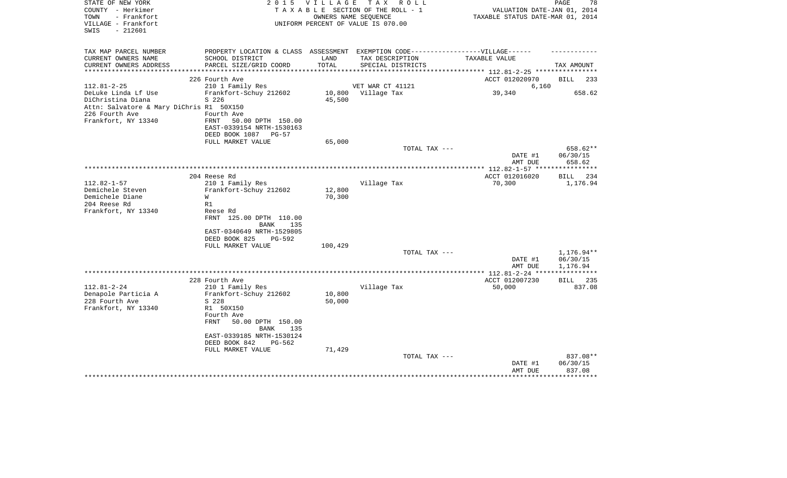| STATE OF NEW YORK<br>COUNTY - Herkimer           | 2 0 1 5                                                                          | <b>VILLAGE</b>       | TAX ROLL<br>TAXABLE SECTION OF THE ROLL - 1 | VALUATION DATE-JAN 01, 2014      | 78<br>PAGE                     |
|--------------------------------------------------|----------------------------------------------------------------------------------|----------------------|---------------------------------------------|----------------------------------|--------------------------------|
| TOWN<br>- Frankfort                              |                                                                                  | OWNERS NAME SEQUENCE |                                             | TAXABLE STATUS DATE-MAR 01, 2014 |                                |
| VILLAGE - Frankfort                              |                                                                                  |                      | UNIFORM PERCENT OF VALUE IS 070.00          |                                  |                                |
| $-212601$<br>SWIS                                |                                                                                  |                      |                                             |                                  |                                |
| TAX MAP PARCEL NUMBER                            | PROPERTY LOCATION & CLASS ASSESSMENT EXEMPTION CODE----------------VILLAGE------ |                      |                                             |                                  |                                |
| CURRENT OWNERS NAME                              | SCHOOL DISTRICT                                                                  | LAND                 | TAX DESCRIPTION                             | TAXABLE VALUE                    |                                |
| CURRENT OWNERS ADDRESS<br>********************** | PARCEL SIZE/GRID COORD<br>****************************                           | TOTAL                | SPECIAL DISTRICTS                           |                                  | TAX AMOUNT                     |
|                                                  | 226 Fourth Ave                                                                   |                      |                                             | ACCT 012020970                   | <b>BILL</b><br>233             |
| $112.81 - 2 - 25$                                | 210 1 Family Res                                                                 |                      | VET WAR CT 41121                            | 6,160                            |                                |
| DeLuke Linda Lf Use                              | Frankfort-Schuy 212602                                                           | 10,800               | Village Tax                                 | 39,340                           | 658.62                         |
| DiChristina Diana                                | S 226                                                                            | 45,500               |                                             |                                  |                                |
| Attn: Salvatore & Mary DiChris R1 50X150         |                                                                                  |                      |                                             |                                  |                                |
| 226 Fourth Ave                                   | Fourth Ave                                                                       |                      |                                             |                                  |                                |
| Frankfort, NY 13340                              | FRNT<br>50.00 DPTH 150.00                                                        |                      |                                             |                                  |                                |
|                                                  | EAST-0339154 NRTH-1530163                                                        |                      |                                             |                                  |                                |
|                                                  | DEED BOOK 1087<br>$PG-57$<br>FULL MARKET VALUE                                   | 65,000               |                                             |                                  |                                |
|                                                  |                                                                                  |                      | TOTAL TAX ---                               |                                  | 658.62**                       |
|                                                  |                                                                                  |                      |                                             | DATE #1                          | 06/30/15                       |
|                                                  |                                                                                  |                      |                                             | AMT DUE                          | 658.62                         |
|                                                  |                                                                                  |                      |                                             | *************** 112.82-1-57 **** | ***********                    |
|                                                  | 204 Reese Rd                                                                     |                      |                                             | ACCT 012016020                   | <b>BILL</b><br>234             |
| $112.82 - 1 - 57$                                | 210 1 Family Res                                                                 |                      | Village Tax                                 | 70,300                           | 1,176.94                       |
| Demichele Steven                                 | Frankfort-Schuy 212602                                                           | 12,800               |                                             |                                  |                                |
| Demichele Diane<br>204 Reese Rd                  | W<br>R1                                                                          | 70,300               |                                             |                                  |                                |
| Frankfort, NY 13340                              | Reese Rd                                                                         |                      |                                             |                                  |                                |
|                                                  | FRNT 125.00 DPTH 110.00<br>135                                                   |                      |                                             |                                  |                                |
|                                                  | BANK<br>EAST-0340649 NRTH-1529805                                                |                      |                                             |                                  |                                |
|                                                  | DEED BOOK 825<br>$PG-592$                                                        |                      |                                             |                                  |                                |
|                                                  | FULL MARKET VALUE                                                                | 100,429              |                                             |                                  |                                |
|                                                  |                                                                                  |                      | TOTAL TAX ---                               |                                  | 1,176.94**                     |
|                                                  |                                                                                  |                      |                                             | DATE #1<br>AMT DUE               | 06/30/15<br>1,176.94           |
|                                                  |                                                                                  |                      |                                             |                                  |                                |
|                                                  | 228 Fourth Ave                                                                   |                      |                                             | ACCT 012007230                   | BILL 235                       |
| $112.81 - 2 - 24$                                | 210 1 Family Res                                                                 |                      | Village Tax                                 | 50,000                           | 837.08                         |
| Denapole Particia A                              | Frankfort-Schuy 212602                                                           | 10,800               |                                             |                                  |                                |
| 228 Fourth Ave<br>Frankfort, NY 13340            | S 228<br>R1 50X150                                                               | 50,000               |                                             |                                  |                                |
|                                                  | Fourth Ave                                                                       |                      |                                             |                                  |                                |
|                                                  | FRNT<br>50.00 DPTH 150.00                                                        |                      |                                             |                                  |                                |
|                                                  | BANK<br>135                                                                      |                      |                                             |                                  |                                |
|                                                  | EAST-0339185 NRTH-1530124                                                        |                      |                                             |                                  |                                |
|                                                  | DEED BOOK 842<br>PG-562                                                          |                      |                                             |                                  |                                |
|                                                  | FULL MARKET VALUE                                                                | 71,429               |                                             |                                  |                                |
|                                                  |                                                                                  |                      | TOTAL TAX ---                               |                                  |                                |
|                                                  |                                                                                  |                      |                                             |                                  |                                |
|                                                  |                                                                                  |                      |                                             |                                  |                                |
|                                                  |                                                                                  |                      |                                             | DATE #1<br>AMT DUE               | 837.08**<br>06/30/15<br>837.08 |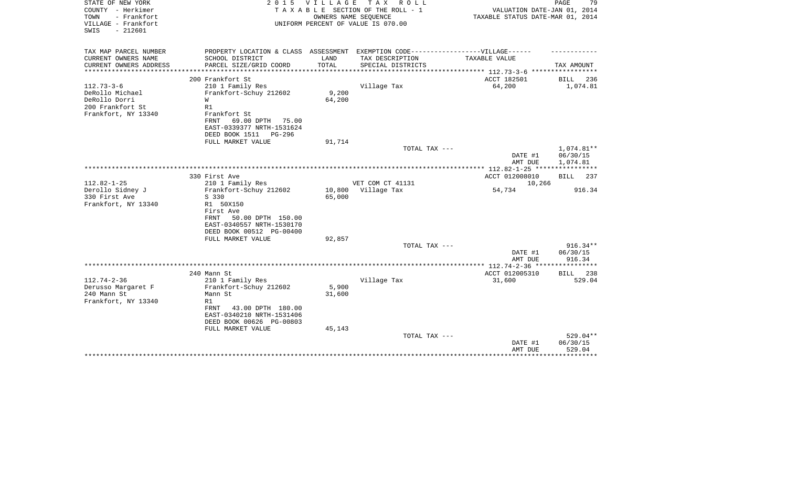| STATE OF NEW YORK<br>COUNTY - Herkimer<br>- Frankfort<br>TOWN<br>VILLAGE - Frankfort<br>SWIS<br>$-212601$ | 2 0 1 5                                                                                              | VILLAGE | TAX ROLL<br>TAXABLE SECTION OF THE ROLL - 1<br>OWNERS NAME SEQUENCE<br>UNIFORM PERCENT OF VALUE IS 070.00 | VALUATION DATE-JAN 01, 2014<br>TAXABLE STATUS DATE-MAR 01, 2014 | PAGE<br>79             |
|-----------------------------------------------------------------------------------------------------------|------------------------------------------------------------------------------------------------------|---------|-----------------------------------------------------------------------------------------------------------|-----------------------------------------------------------------|------------------------|
| TAX MAP PARCEL NUMBER                                                                                     | PROPERTY LOCATION & CLASS ASSESSMENT EXEMPTION CODE-----------------VILLAGE------<br>SCHOOL DISTRICT | LAND    |                                                                                                           | TAXABLE VALUE                                                   |                        |
| CURRENT OWNERS NAME<br>CURRENT OWNERS ADDRESS                                                             | PARCEL SIZE/GRID COORD                                                                               | TOTAL   | TAX DESCRIPTION<br>SPECIAL DISTRICTS                                                                      |                                                                 | TAX AMOUNT             |
| **************                                                                                            | ************************                                                                             |         |                                                                                                           |                                                                 |                        |
|                                                                                                           | 200 Frankfort St                                                                                     |         |                                                                                                           | ACCT 182501                                                     | <b>BILL</b><br>236     |
| $112.73 - 3 - 6$                                                                                          | 210 1 Family Res                                                                                     |         | Village Tax                                                                                               | 64,200                                                          | 1,074.81               |
| DeRollo Michael                                                                                           | Frankfort-Schuy 212602                                                                               | 9,200   |                                                                                                           |                                                                 |                        |
| DeRollo Dorri<br>200 Frankfort St                                                                         | W<br>R1                                                                                              | 64,200  |                                                                                                           |                                                                 |                        |
| Frankfort, NY 13340                                                                                       | Frankfort St                                                                                         |         |                                                                                                           |                                                                 |                        |
|                                                                                                           | 69.00 DPTH<br>FRNT<br>75.00                                                                          |         |                                                                                                           |                                                                 |                        |
|                                                                                                           | EAST-0339377 NRTH-1531624                                                                            |         |                                                                                                           |                                                                 |                        |
|                                                                                                           | DEED BOOK 1511<br>PG-296                                                                             |         |                                                                                                           |                                                                 |                        |
|                                                                                                           | FULL MARKET VALUE                                                                                    | 91,714  |                                                                                                           |                                                                 |                        |
|                                                                                                           |                                                                                                      |         | TOTAL TAX ---                                                                                             | DATE #1                                                         | 1,074.81**<br>06/30/15 |
|                                                                                                           |                                                                                                      |         |                                                                                                           | AMT DUE                                                         | 1,074.81               |
|                                                                                                           | *************************************                                                                |         |                                                                                                           | ** 112.82-1-25 *****************                                |                        |
|                                                                                                           | 330 First Ave                                                                                        |         |                                                                                                           | ACCT 012008010                                                  | 237<br>BILL            |
| $112.82 - 1 - 25$                                                                                         | 210 1 Family Res                                                                                     |         | VET COM CT 41131                                                                                          | 10,266                                                          |                        |
| Derollo Sidney J                                                                                          | Frankfort-Schuy 212602                                                                               | 10,800  | Village Tax                                                                                               | 54,734                                                          | 916.34                 |
| 330 First Ave<br>Frankfort, NY 13340                                                                      | S 330<br>R1 50X150                                                                                   | 65,000  |                                                                                                           |                                                                 |                        |
|                                                                                                           | First Ave                                                                                            |         |                                                                                                           |                                                                 |                        |
|                                                                                                           | 50.00 DPTH 150.00<br>FRNT                                                                            |         |                                                                                                           |                                                                 |                        |
|                                                                                                           | EAST-0340557 NRTH-1530170                                                                            |         |                                                                                                           |                                                                 |                        |
|                                                                                                           | DEED BOOK 00512 PG-00400                                                                             |         |                                                                                                           |                                                                 |                        |
|                                                                                                           | FULL MARKET VALUE                                                                                    | 92,857  |                                                                                                           |                                                                 |                        |
|                                                                                                           |                                                                                                      |         | TOTAL TAX ---                                                                                             | DATE #1                                                         | 916.34**<br>06/30/15   |
|                                                                                                           |                                                                                                      |         |                                                                                                           | AMT DUE                                                         | 916.34                 |
|                                                                                                           |                                                                                                      |         |                                                                                                           | ************ 112.74-2-36 ****                                   | *******                |
|                                                                                                           | 240 Mann St                                                                                          |         |                                                                                                           | ACCT 012005310                                                  | BILL 238               |
| $112.74 - 2 - 36$                                                                                         | 210 1 Family Res                                                                                     |         | Village Tax                                                                                               | 31,600                                                          | 529.04                 |
| Derusso Margaret F                                                                                        | Frankfort-Schuy 212602                                                                               | 5,900   |                                                                                                           |                                                                 |                        |
| 240 Mann St<br>Frankfort, NY 13340                                                                        | Mann St<br>R1                                                                                        | 31,600  |                                                                                                           |                                                                 |                        |
|                                                                                                           | 43.00 DPTH 180.00<br>FRNT                                                                            |         |                                                                                                           |                                                                 |                        |
|                                                                                                           | EAST-0340210 NRTH-1531406                                                                            |         |                                                                                                           |                                                                 |                        |
|                                                                                                           | DEED BOOK 00626 PG-00803                                                                             |         |                                                                                                           |                                                                 |                        |
|                                                                                                           | FULL MARKET VALUE                                                                                    | 45,143  |                                                                                                           |                                                                 |                        |
|                                                                                                           |                                                                                                      |         | TOTAL TAX ---                                                                                             |                                                                 | 529.04**               |
|                                                                                                           |                                                                                                      |         |                                                                                                           | DATE #1<br>AMT DUE                                              | 06/30/15<br>529.04     |
|                                                                                                           |                                                                                                      |         |                                                                                                           |                                                                 | ********               |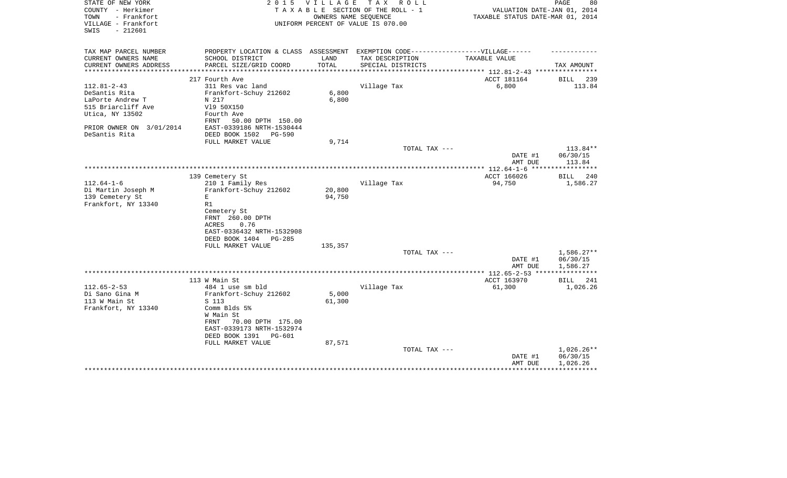| STATE OF NEW YORK        | 2 0 1 5                                                                           | <b>VILLAGE</b> | TAX ROLL                           |                                       | 80<br>PAGE         |
|--------------------------|-----------------------------------------------------------------------------------|----------------|------------------------------------|---------------------------------------|--------------------|
| COUNTY - Herkimer        |                                                                                   |                | TAXABLE SECTION OF THE ROLL - 1    | VALUATION DATE-JAN 01, 2014           |                    |
| - Frankfort<br>TOWN      |                                                                                   |                | OWNERS NAME SEQUENCE               | TAXABLE STATUS DATE-MAR 01, 2014      |                    |
| VILLAGE - Frankfort      |                                                                                   |                | UNIFORM PERCENT OF VALUE IS 070.00 |                                       |                    |
| SWIS<br>$-212601$        |                                                                                   |                |                                    |                                       |                    |
|                          |                                                                                   |                |                                    |                                       |                    |
| TAX MAP PARCEL NUMBER    | PROPERTY LOCATION & CLASS ASSESSMENT EXEMPTION CODE-----------------VILLAGE------ |                |                                    |                                       |                    |
| CURRENT OWNERS NAME      | SCHOOL DISTRICT                                                                   | LAND           | TAX DESCRIPTION                    | TAXABLE VALUE                         |                    |
| CURRENT OWNERS ADDRESS   | PARCEL SIZE/GRID COORD                                                            | TOTAL          | SPECIAL DISTRICTS                  |                                       | TAX AMOUNT         |
| **************           |                                                                                   | ************   |                                    | ******************** 112.81-2-43 **** |                    |
|                          | 217 Fourth Ave                                                                    |                |                                    | ACCT 181164                           | 239<br><b>BILL</b> |
| $112.81 - 2 - 43$        | 311 Res vac land                                                                  |                | Village Tax                        | 6,800                                 | 113.84             |
| DeSantis Rita            | Frankfort-Schuy 212602                                                            | 6,800          |                                    |                                       |                    |
| LaPorte Andrew T         | N 217                                                                             | 6,800          |                                    |                                       |                    |
| 515 Briarcliff Ave       | V19 50X150                                                                        |                |                                    |                                       |                    |
| Utica, NY 13502          | Fourth Ave                                                                        |                |                                    |                                       |                    |
|                          |                                                                                   |                |                                    |                                       |                    |
|                          | FRNT<br>50.00 DPTH 150.00                                                         |                |                                    |                                       |                    |
| PRIOR OWNER ON 3/01/2014 | EAST-0339186 NRTH-1530444                                                         |                |                                    |                                       |                    |
| DeSantis Rita            | DEED BOOK 1502<br>PG-590                                                          |                |                                    |                                       |                    |
|                          | FULL MARKET VALUE                                                                 | 9,714          |                                    |                                       |                    |
|                          |                                                                                   |                | TOTAL TAX ---                      |                                       | 113.84**           |
|                          |                                                                                   |                |                                    | DATE #1                               | 06/30/15           |
|                          |                                                                                   |                |                                    | AMT DUE                               | 113.84             |
|                          |                                                                                   |                |                                    | **************** 112.64-1-6           |                    |
|                          | 139 Cemetery St                                                                   |                |                                    | ACCT 166026                           | <b>BILL</b><br>240 |
| $112.64 - 1 - 6$         | 210 1 Family Res                                                                  |                | Village Tax                        | 94,750                                | 1,586.27           |
| Di Martin Joseph M       | Frankfort-Schuy 212602                                                            | 20,800         |                                    |                                       |                    |
| 139 Cemetery St          | E                                                                                 | 94,750         |                                    |                                       |                    |
| Frankfort, NY 13340      | R1                                                                                |                |                                    |                                       |                    |
|                          | Cemetery St                                                                       |                |                                    |                                       |                    |
|                          | FRNT 260.00 DPTH                                                                  |                |                                    |                                       |                    |
|                          | 0.76<br>ACRES                                                                     |                |                                    |                                       |                    |
|                          | EAST-0336432 NRTH-1532908                                                         |                |                                    |                                       |                    |
|                          | DEED BOOK 1404<br>$PG-285$                                                        |                |                                    |                                       |                    |
|                          | FULL MARKET VALUE                                                                 | 135,357        |                                    |                                       |                    |
|                          |                                                                                   |                | TOTAL TAX ---                      |                                       | $1,586.27**$       |
|                          |                                                                                   |                |                                    | DATE #1                               | 06/30/15           |
|                          |                                                                                   |                |                                    | AMT DUE                               | 1,586.27           |
|                          |                                                                                   |                |                                    |                                       |                    |
|                          | 113 W Main St                                                                     |                |                                    | ACCT 163970                           | BILL<br>241        |
| $112.65 - 2 - 53$        | 484 1 use sm bld                                                                  |                | Village Tax                        | 61,300                                | 1,026.26           |
| Di Sano Gina M           | Frankfort-Schuy 212602                                                            | 5,000          |                                    |                                       |                    |
| 113 W Main St            | S 113                                                                             | 61,300         |                                    |                                       |                    |
| Frankfort, NY 13340      | Comm Blds 5%                                                                      |                |                                    |                                       |                    |
|                          | W Main St                                                                         |                |                                    |                                       |                    |
|                          | FRNT<br>70.00 DPTH 175.00                                                         |                |                                    |                                       |                    |
|                          | EAST-0339173 NRTH-1532974                                                         |                |                                    |                                       |                    |
|                          | DEED BOOK 1391<br>PG-601                                                          |                |                                    |                                       |                    |
|                          | FULL MARKET VALUE                                                                 | 87,571         |                                    |                                       |                    |
|                          |                                                                                   |                | TOTAL TAX ---                      |                                       | $1,026.26**$       |
|                          |                                                                                   |                |                                    | DATE #1                               | 06/30/15           |
|                          |                                                                                   |                |                                    | AMT DUE                               | 1,026.26           |
|                          |                                                                                   |                |                                    |                                       |                    |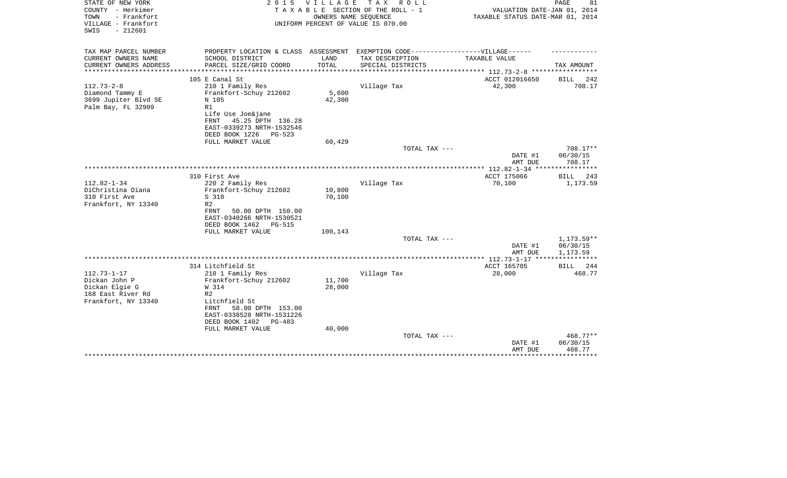| STATE OF NEW YORK<br>COUNTY - Herkimer<br>TOWN<br>- Frankfort<br>VILLAGE - Frankfort<br>$-212601$<br>SWIS | 2 0 1 5                                                                                             | V I L L A G E | TAX ROLL<br>TAXABLE SECTION OF THE ROLL - 1<br>OWNERS NAME SEQUENCE<br>UNIFORM PERCENT OF VALUE IS 070.00 | VALUATION DATE-JAN 01, 2014<br>TAXABLE STATUS DATE-MAR 01, 2014 | PAGE<br>81           |
|-----------------------------------------------------------------------------------------------------------|-----------------------------------------------------------------------------------------------------|---------------|-----------------------------------------------------------------------------------------------------------|-----------------------------------------------------------------|----------------------|
| TAX MAP PARCEL NUMBER<br>CURRENT OWNERS NAME                                                              | PROPERTY LOCATION & CLASS ASSESSMENT EXEMPTION CODE----------------VILLAGE------<br>SCHOOL DISTRICT | LAND          | TAX DESCRIPTION                                                                                           | TAXABLE VALUE                                                   |                      |
| CURRENT OWNERS ADDRESS                                                                                    | PARCEL SIZE/GRID COORD                                                                              | TOTAL         | SPECIAL DISTRICTS                                                                                         |                                                                 | TAX AMOUNT           |
|                                                                                                           |                                                                                                     |               |                                                                                                           | **************************** 112.73-2-8 ******************      |                      |
|                                                                                                           | 105 E Canal St                                                                                      |               |                                                                                                           | ACCT 012016650                                                  | <b>BILL</b><br>242   |
| $112.73 - 2 - 8$                                                                                          | 210 1 Family Res                                                                                    |               | Village Tax                                                                                               | 42,300                                                          | 708.17               |
| Diamond Tammy E                                                                                           | Frankfort-Schuy 212602                                                                              | 5,600         |                                                                                                           |                                                                 |                      |
| 3699 Jupiter Blvd SE<br>Palm Bay, FL 32909                                                                | N 105<br>R1                                                                                         | 42,300        |                                                                                                           |                                                                 |                      |
|                                                                                                           | Life Use Joe&jane                                                                                   |               |                                                                                                           |                                                                 |                      |
|                                                                                                           | 45.25 DPTH 136.28<br>FRNT                                                                           |               |                                                                                                           |                                                                 |                      |
|                                                                                                           | EAST-0339273 NRTH-1532546                                                                           |               |                                                                                                           |                                                                 |                      |
|                                                                                                           | DEED BOOK 1226<br>PG-523                                                                            |               |                                                                                                           |                                                                 |                      |
|                                                                                                           | FULL MARKET VALUE                                                                                   | 60,429        |                                                                                                           |                                                                 |                      |
|                                                                                                           |                                                                                                     |               | TOTAL TAX ---                                                                                             |                                                                 | 708.17**<br>06/30/15 |
|                                                                                                           |                                                                                                     |               |                                                                                                           | DATE #1<br>AMT DUE                                              | 708.17               |
|                                                                                                           |                                                                                                     |               |                                                                                                           |                                                                 |                      |
|                                                                                                           | 310 First Ave                                                                                       |               |                                                                                                           | ACCT 175066                                                     | <b>BILL</b><br>243   |
| $112.82 - 1 - 34$                                                                                         | 220 2 Family Res                                                                                    |               | Village Tax                                                                                               | 70,100                                                          | 1,173.59             |
| DiChristina Diana                                                                                         | Frankfort-Schuy 212602                                                                              | 10,800        |                                                                                                           |                                                                 |                      |
| 310 First Ave                                                                                             | S 310                                                                                               | 70,100        |                                                                                                           |                                                                 |                      |
| Frankfort, NY 13340                                                                                       | R <sub>2</sub><br>FRNT<br>50.00 DPTH 150.00                                                         |               |                                                                                                           |                                                                 |                      |
|                                                                                                           | EAST-0340266 NRTH-1530521                                                                           |               |                                                                                                           |                                                                 |                      |
|                                                                                                           | DEED BOOK 1462<br><b>PG-515</b>                                                                     |               |                                                                                                           |                                                                 |                      |
|                                                                                                           | FULL MARKET VALUE                                                                                   | 100,143       |                                                                                                           |                                                                 |                      |
|                                                                                                           |                                                                                                     |               | TOTAL TAX ---                                                                                             |                                                                 | 1,173.59**           |
|                                                                                                           |                                                                                                     |               |                                                                                                           | DATE #1                                                         | 06/30/15             |
|                                                                                                           |                                                                                                     |               |                                                                                                           | AMT DUE                                                         | 1,173.59             |
|                                                                                                           | 314 Litchfield St                                                                                   |               |                                                                                                           | ACCT 165705                                                     | 244<br>BILL          |
| $112.73 - 1 - 17$                                                                                         | 210 1 Family Res                                                                                    |               | Village Tax                                                                                               | 28,000                                                          | 468.77               |
| Dickan John P                                                                                             | Frankfort-Schuy 212602                                                                              | 11,700        |                                                                                                           |                                                                 |                      |
| Dickan Elgie G                                                                                            | W 314                                                                                               | 28,000        |                                                                                                           |                                                                 |                      |
| 168 East River Rd                                                                                         | R <sub>2</sub>                                                                                      |               |                                                                                                           |                                                                 |                      |
| Frankfort, NY 13340                                                                                       | Litchfield St<br>58.00 DPTH 153.00<br>FRNT                                                          |               |                                                                                                           |                                                                 |                      |
|                                                                                                           | EAST-0338528 NRTH-1531226                                                                           |               |                                                                                                           |                                                                 |                      |
|                                                                                                           | DEED BOOK 1402<br>PG-483                                                                            |               |                                                                                                           |                                                                 |                      |
|                                                                                                           | FULL MARKET VALUE                                                                                   | 40,000        |                                                                                                           |                                                                 |                      |
|                                                                                                           |                                                                                                     |               | TOTAL TAX ---                                                                                             |                                                                 | 468.77**             |
|                                                                                                           |                                                                                                     |               |                                                                                                           | DATE #1                                                         | 06/30/15             |
|                                                                                                           |                                                                                                     |               |                                                                                                           | AMT DUE                                                         | 468.77               |
|                                                                                                           |                                                                                                     |               |                                                                                                           |                                                                 |                      |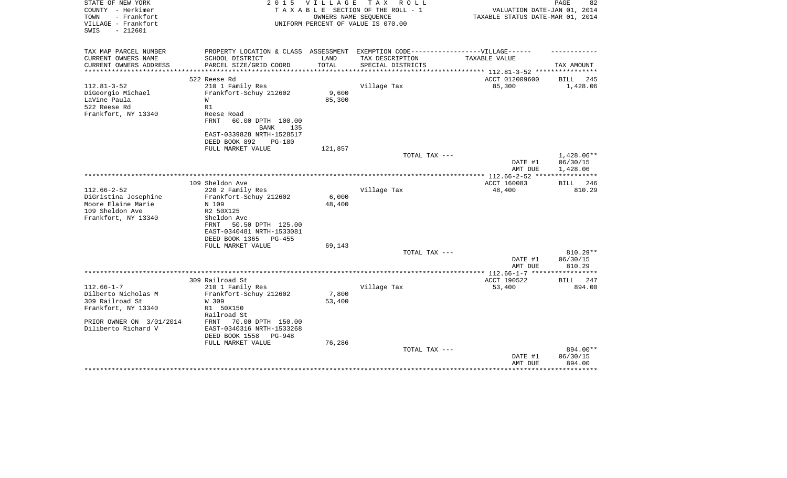| STATE OF NEW YORK<br>COUNTY - Herkimer<br>TOWN<br>- Frankfort | 2 0 1 5                                                                           | VILLAGE | TAX ROLL<br>TAXABLE SECTION OF THE ROLL - 1<br>OWNERS NAME SEQUENCE | VALUATION DATE-JAN 01, 2014<br>TAXABLE STATUS DATE-MAR 01, 2014 | PAGE<br>82                         |
|---------------------------------------------------------------|-----------------------------------------------------------------------------------|---------|---------------------------------------------------------------------|-----------------------------------------------------------------|------------------------------------|
| VILLAGE - Frankfort<br>$-212601$<br>SWIS                      |                                                                                   |         | UNIFORM PERCENT OF VALUE IS 070.00                                  |                                                                 |                                    |
| TAX MAP PARCEL NUMBER                                         | PROPERTY LOCATION & CLASS ASSESSMENT EXEMPTION CODE-----------------VILLAGE------ |         |                                                                     |                                                                 |                                    |
| CURRENT OWNERS NAME                                           | SCHOOL DISTRICT                                                                   | LAND    | TAX DESCRIPTION                                                     | TAXABLE VALUE                                                   |                                    |
| CURRENT OWNERS ADDRESS                                        | PARCEL SIZE/GRID COORD                                                            | TOTAL   | SPECIAL DISTRICTS                                                   | ********* 112.81-3-52 ***                                       | TAX AMOUNT                         |
|                                                               | 522 Reese Rd                                                                      |         |                                                                     | ACCT 012009600                                                  | 245<br>BILL                        |
| $112.81 - 3 - 52$                                             | 210 1 Family Res                                                                  |         | Village Tax                                                         | 85,300                                                          | 1,428.06                           |
| DiGeorgio Michael                                             | Frankfort-Schuy 212602                                                            | 9,600   |                                                                     |                                                                 |                                    |
| LaVine Paula                                                  | W                                                                                 | 85,300  |                                                                     |                                                                 |                                    |
| 522 Reese Rd                                                  | R1                                                                                |         |                                                                     |                                                                 |                                    |
| Frankfort, NY 13340                                           | Reese Road<br><b>FRNT</b><br>60.00 DPTH 100.00<br><b>BANK</b><br>135              |         |                                                                     |                                                                 |                                    |
|                                                               | EAST-0339828 NRTH-1528517<br>DEED BOOK 892<br><b>PG-180</b>                       |         |                                                                     |                                                                 |                                    |
|                                                               | FULL MARKET VALUE                                                                 | 121,857 |                                                                     |                                                                 |                                    |
|                                                               |                                                                                   |         | TOTAL TAX ---                                                       | DATE #1<br>AMT DUE                                              | 1,428.06**<br>06/30/15<br>1,428.06 |
|                                                               |                                                                                   |         |                                                                     |                                                                 |                                    |
|                                                               | 109 Sheldon Ave                                                                   |         |                                                                     | ACCT 160083                                                     | <b>BILL</b><br>246                 |
| $112.66 - 2 - 52$                                             | 220 2 Family Res                                                                  |         | Village Tax                                                         | 48,400                                                          | 810.29                             |
| DiGristina Josephine                                          | Frankfort-Schuy 212602                                                            | 6,000   |                                                                     |                                                                 |                                    |
| Moore Elaine Marie                                            | N 109                                                                             | 48,400  |                                                                     |                                                                 |                                    |
| 109 Sheldon Ave                                               | R2 50X125                                                                         |         |                                                                     |                                                                 |                                    |
| Frankfort, NY 13340                                           | Sheldon Ave                                                                       |         |                                                                     |                                                                 |                                    |
|                                                               | 50.50 DPTH 125.00<br>FRNT<br>EAST-0340481 NRTH-1533081                            |         |                                                                     |                                                                 |                                    |
|                                                               | DEED BOOK 1365<br>$PG-455$                                                        |         |                                                                     |                                                                 |                                    |
|                                                               | FULL MARKET VALUE                                                                 | 69,143  |                                                                     |                                                                 |                                    |
|                                                               |                                                                                   |         | TOTAL TAX ---                                                       |                                                                 | $810.29**$                         |
|                                                               |                                                                                   |         |                                                                     | DATE #1                                                         | 06/30/15                           |
|                                                               |                                                                                   |         |                                                                     | AMT DUE                                                         | 810.29                             |
|                                                               |                                                                                   |         |                                                                     |                                                                 |                                    |
|                                                               | 309 Railroad St                                                                   |         |                                                                     | ACCT 190522                                                     | 247<br>BILL                        |
| $112.66 - 1 - 7$<br>Dilberto Nicholas M                       | 210 1 Family Res<br>Frankfort-Schuy 212602                                        | 7,800   | Village Tax                                                         | 53,400                                                          | 894.00                             |
| 309 Railroad St                                               | W 309                                                                             | 53,400  |                                                                     |                                                                 |                                    |
| Frankfort, NY 13340                                           | R1 50X150                                                                         |         |                                                                     |                                                                 |                                    |
|                                                               | Railroad St                                                                       |         |                                                                     |                                                                 |                                    |
| PRIOR OWNER ON 3/01/2014                                      | FRNT<br>70.00 DPTH 150.00                                                         |         |                                                                     |                                                                 |                                    |
| Diliberto Richard V                                           | EAST-0340316 NRTH-1533268                                                         |         |                                                                     |                                                                 |                                    |
|                                                               | DEED BOOK 1558<br>PG-948                                                          |         |                                                                     |                                                                 |                                    |
|                                                               | FULL MARKET VALUE                                                                 | 76,286  |                                                                     |                                                                 |                                    |
|                                                               |                                                                                   |         | TOTAL TAX ---                                                       |                                                                 | 894.00**                           |
|                                                               |                                                                                   |         |                                                                     | DATE #1                                                         | 06/30/15                           |
|                                                               |                                                                                   |         |                                                                     | AMT DUE                                                         | 894.00                             |
|                                                               |                                                                                   |         |                                                                     |                                                                 |                                    |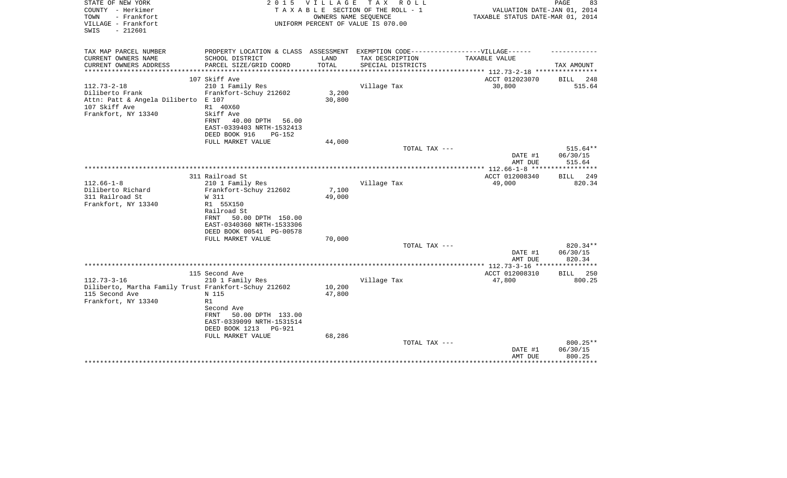| STATE OF NEW YORK<br>COUNTY - Herkimer<br>- Frankfort<br>TOWN<br>VILLAGE - Frankfort<br>$-212601$<br>SWIS     | 2 0 1 5                                                                                                                                                               | <b>VILLAGE</b>   | T A X<br>R O L L<br>TAXABLE SECTION OF THE ROLL - 1<br>OWNERS NAME SEQUENCE<br>UNIFORM PERCENT OF VALUE IS 070.00 | VALUATION DATE-JAN 01, 2014<br>TAXABLE STATUS DATE-MAR 01, 2014 | PAGE<br>83                     |
|---------------------------------------------------------------------------------------------------------------|-----------------------------------------------------------------------------------------------------------------------------------------------------------------------|------------------|-------------------------------------------------------------------------------------------------------------------|-----------------------------------------------------------------|--------------------------------|
| TAX MAP PARCEL NUMBER<br>CURRENT OWNERS NAME                                                                  |                                                                                                                                                                       | LAND             | PROPERTY LOCATION & CLASS ASSESSMENT EXEMPTION CODE-----------------VILLAGE------                                 | TAXABLE VALUE                                                   |                                |
| CURRENT OWNERS ADDRESS<br>*********************                                                               | SCHOOL DISTRICT<br>PARCEL SIZE/GRID COORD                                                                                                                             | TOTAL            | TAX DESCRIPTION<br>SPECIAL DISTRICTS                                                                              |                                                                 | TAX AMOUNT                     |
|                                                                                                               | 107 Skiff Ave                                                                                                                                                         |                  |                                                                                                                   | ACCT 012023070                                                  | BILL<br>248                    |
| $112.73 - 2 - 18$<br>Diliberto Frank<br>Attn: Patt & Angela Diliberto<br>107 Skiff Ave<br>Frankfort, NY 13340 | 210 1 Family Res<br>Frankfort-Schuy 212602<br>E 107<br>R1 40X60<br>Skiff Ave<br>40.00 DPTH<br>56.00<br>FRNT<br>EAST-0339403 NRTH-1532413<br>DEED BOOK 916<br>$PG-152$ | 3,200<br>30,800  | Village Tax                                                                                                       | 30,800                                                          | 515.64                         |
|                                                                                                               | FULL MARKET VALUE                                                                                                                                                     | 44,000           |                                                                                                                   |                                                                 |                                |
|                                                                                                               |                                                                                                                                                                       |                  | TOTAL TAX ---                                                                                                     | DATE #1<br>AMT DUE                                              | 515.64**<br>06/30/15<br>515.64 |
|                                                                                                               |                                                                                                                                                                       |                  |                                                                                                                   |                                                                 |                                |
| $112.66 - 1 - 8$                                                                                              | 311 Railroad St<br>210 1 Family Res                                                                                                                                   |                  | Village Tax                                                                                                       | ACCT 012008340<br>49,000                                        | 249<br><b>BILL</b><br>820.34   |
| Diliberto Richard<br>311 Railroad St<br>Frankfort, NY 13340                                                   | Frankfort-Schuy 212602<br>W 311<br>R1 55X150<br>Railroad St<br>50.00 DPTH 150.00<br>FRNT<br>EAST-0340360 NRTH-1533306<br>DEED BOOK 00541 PG-00578                     | 7,100<br>49,000  |                                                                                                                   |                                                                 |                                |
|                                                                                                               | FULL MARKET VALUE                                                                                                                                                     | 70,000           |                                                                                                                   |                                                                 |                                |
|                                                                                                               |                                                                                                                                                                       |                  | TOTAL TAX ---                                                                                                     | DATE #1<br>AMT DUE                                              | 820.34**<br>06/30/15<br>820.34 |
|                                                                                                               |                                                                                                                                                                       |                  |                                                                                                                   |                                                                 |                                |
| $112.73 - 3 - 16$                                                                                             | 115 Second Ave<br>210 1 Family Res                                                                                                                                    |                  | Village Tax                                                                                                       | ACCT 012008310<br>47,800                                        | BILL 250<br>800.25             |
| Diliberto, Martha Family Trust Frankfort-Schuy 212602<br>115 Second Ave<br>Frankfort, NY 13340                | N 115<br>R1<br>Second Ave<br>50.00 DPTH 133.00<br>FRNT<br>EAST-0339099 NRTH-1531514<br>DEED BOOK 1213<br><b>PG-921</b>                                                | 10,200<br>47,800 |                                                                                                                   |                                                                 |                                |
|                                                                                                               | FULL MARKET VALUE                                                                                                                                                     | 68,286           | TOTAL TAX ---                                                                                                     | DATE #1<br>AMT DUE                                              | 800.25**<br>06/30/15<br>800.25 |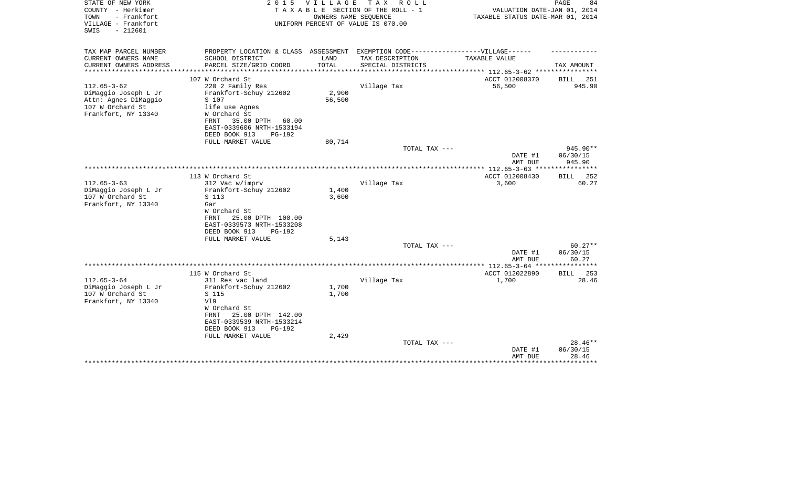| STATE OF NEW YORK<br>COUNTY - Herkimer<br>TOWN<br>- Frankfort<br>VILLAGE - Frankfort<br>$-212601$<br>SWIS | 2 0 1 5                                                                           | <b>VILLAGE</b> | T A X<br>R O L L<br>TAXABLE SECTION OF THE ROLL - 1<br>OWNERS NAME SEQUENCE<br>UNIFORM PERCENT OF VALUE IS 070.00 | VALUATION DATE-JAN 01, 2014<br>TAXABLE STATUS DATE-MAR 01, 2014 | PAGE<br>84         |
|-----------------------------------------------------------------------------------------------------------|-----------------------------------------------------------------------------------|----------------|-------------------------------------------------------------------------------------------------------------------|-----------------------------------------------------------------|--------------------|
| TAX MAP PARCEL NUMBER                                                                                     | PROPERTY LOCATION & CLASS ASSESSMENT EXEMPTION CODE-----------------VILLAGE------ |                |                                                                                                                   |                                                                 |                    |
| CURRENT OWNERS NAME                                                                                       | SCHOOL DISTRICT                                                                   | LAND           | TAX DESCRIPTION                                                                                                   | TAXABLE VALUE                                                   |                    |
| CURRENT OWNERS ADDRESS<br>***************                                                                 | PARCEL SIZE/GRID COORD                                                            | TOTAL          | SPECIAL DISTRICTS                                                                                                 | ***************** 112.65-3-62 *****************                 | TAX AMOUNT         |
|                                                                                                           | 107 W Orchard St                                                                  |                |                                                                                                                   | ACCT 012008370                                                  | <b>BILL</b><br>251 |
| $112.65 - 3 - 62$                                                                                         | 220 2 Family Res                                                                  |                | Village Tax                                                                                                       | 56,500                                                          | 945.90             |
| DiMaggio Joseph L Jr                                                                                      | Frankfort-Schuy 212602                                                            | 2,900          |                                                                                                                   |                                                                 |                    |
| Attn: Agnes DiMaggio                                                                                      | S 107                                                                             | 56,500         |                                                                                                                   |                                                                 |                    |
| 107 W Orchard St                                                                                          | life use Agnes                                                                    |                |                                                                                                                   |                                                                 |                    |
| Frankfort, NY 13340                                                                                       | W Orchard St                                                                      |                |                                                                                                                   |                                                                 |                    |
|                                                                                                           | 35.00 DPTH<br>FRNT<br>60.00                                                       |                |                                                                                                                   |                                                                 |                    |
|                                                                                                           | EAST-0339606 NRTH-1533194                                                         |                |                                                                                                                   |                                                                 |                    |
|                                                                                                           | DEED BOOK 913<br><b>PG-192</b><br>FULL MARKET VALUE                               | 80,714         |                                                                                                                   |                                                                 |                    |
|                                                                                                           |                                                                                   |                | TOTAL TAX ---                                                                                                     |                                                                 | 945.90**           |
|                                                                                                           |                                                                                   |                |                                                                                                                   | DATE #1                                                         | 06/30/15           |
|                                                                                                           |                                                                                   |                |                                                                                                                   | AMT DUE                                                         | 945.90             |
|                                                                                                           |                                                                                   |                |                                                                                                                   |                                                                 |                    |
|                                                                                                           | 113 W Orchard St                                                                  |                |                                                                                                                   | ACCT 012008430                                                  | <b>BILL</b><br>252 |
| $112.65 - 3 - 63$                                                                                         | 312 Vac w/imprv                                                                   |                | Village Tax                                                                                                       | 3,600                                                           | 60.27              |
| DiMaggio Joseph L Jr                                                                                      | Frankfort-Schuy 212602                                                            | 1,400<br>3,600 |                                                                                                                   |                                                                 |                    |
| 107 W Orchard St<br>Frankfort, NY 13340                                                                   | S 113<br>Gar                                                                      |                |                                                                                                                   |                                                                 |                    |
|                                                                                                           | W Orchard St                                                                      |                |                                                                                                                   |                                                                 |                    |
|                                                                                                           | 25.00 DPTH 100.00<br>FRNT                                                         |                |                                                                                                                   |                                                                 |                    |
|                                                                                                           | EAST-0339573 NRTH-1533208                                                         |                |                                                                                                                   |                                                                 |                    |
|                                                                                                           | DEED BOOK 913<br>PG-192                                                           |                |                                                                                                                   |                                                                 |                    |
|                                                                                                           | FULL MARKET VALUE                                                                 | 5,143          |                                                                                                                   |                                                                 |                    |
|                                                                                                           |                                                                                   |                | TOTAL TAX ---                                                                                                     |                                                                 | $60.27**$          |
|                                                                                                           |                                                                                   |                |                                                                                                                   | DATE #1                                                         | 06/30/15           |
|                                                                                                           |                                                                                   |                |                                                                                                                   | AMT DUE                                                         | 60.27              |
|                                                                                                           | 115 W Orchard St                                                                  |                |                                                                                                                   | ACCT 012022890                                                  | 253<br><b>BILL</b> |
| $112.65 - 3 - 64$                                                                                         | 311 Res vac land                                                                  |                | Village Tax                                                                                                       | 1,700                                                           | 28.46              |
| DiMaggio Joseph L Jr                                                                                      | Frankfort-Schuy 212602                                                            | 1,700          |                                                                                                                   |                                                                 |                    |
| 107 W Orchard St                                                                                          | S 115                                                                             | 1,700          |                                                                                                                   |                                                                 |                    |
| Frankfort, NY 13340                                                                                       | V19                                                                               |                |                                                                                                                   |                                                                 |                    |
|                                                                                                           | W Orchard St                                                                      |                |                                                                                                                   |                                                                 |                    |
|                                                                                                           | 25.00 DPTH 142.00<br>FRNT                                                         |                |                                                                                                                   |                                                                 |                    |
|                                                                                                           | EAST-0339539 NRTH-1533214                                                         |                |                                                                                                                   |                                                                 |                    |
|                                                                                                           | DEED BOOK 913<br><b>PG-192</b><br>FULL MARKET VALUE                               | 2,429          |                                                                                                                   |                                                                 |                    |
|                                                                                                           |                                                                                   |                | TOTAL TAX ---                                                                                                     |                                                                 | $28.46**$          |
|                                                                                                           |                                                                                   |                |                                                                                                                   | DATE #1                                                         | 06/30/15           |
|                                                                                                           |                                                                                   |                |                                                                                                                   | AMT DUE                                                         | 28.46              |
|                                                                                                           |                                                                                   |                |                                                                                                                   |                                                                 |                    |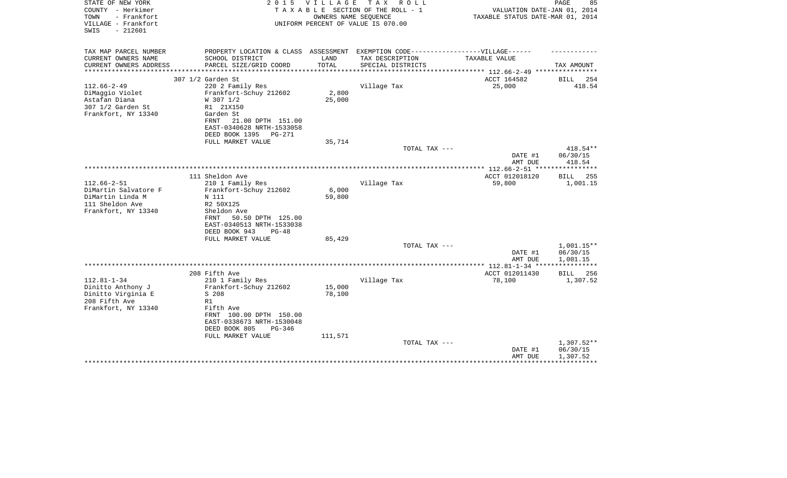| STATE OF NEW YORK<br>COUNTY - Herkimer<br>TOWN<br>- Frankfort<br>VILLAGE - Frankfort<br>$-212601$<br>SWIS | 2 0 1 5                                                                           | V I L L A G E | T A X<br>R O L L<br>TAXABLE SECTION OF THE ROLL - 1<br>OWNERS NAME SEQUENCE<br>UNIFORM PERCENT OF VALUE IS 070.00 | VALUATION DATE-JAN 01, 2014<br>TAXABLE STATUS DATE-MAR 01, 2014 | 85<br>PAGE                   |
|-----------------------------------------------------------------------------------------------------------|-----------------------------------------------------------------------------------|---------------|-------------------------------------------------------------------------------------------------------------------|-----------------------------------------------------------------|------------------------------|
| TAX MAP PARCEL NUMBER                                                                                     | PROPERTY LOCATION & CLASS ASSESSMENT EXEMPTION CODE-----------------VILLAGE------ |               |                                                                                                                   |                                                                 |                              |
| CURRENT OWNERS NAME                                                                                       | SCHOOL DISTRICT                                                                   | LAND          | TAX DESCRIPTION                                                                                                   | TAXABLE VALUE                                                   |                              |
| CURRENT OWNERS ADDRESS                                                                                    | PARCEL SIZE/GRID COORD                                                            | TOTAL         | SPECIAL DISTRICTS                                                                                                 |                                                                 | TAX AMOUNT                   |
|                                                                                                           |                                                                                   | ************  |                                                                                                                   | ****************** 112.66-2-49 *****************                |                              |
| $112.66 - 2 - 49$                                                                                         | 307 1/2 Garden St<br>220 2 Family Res                                             |               | Village Tax                                                                                                       | ACCT 164582<br>25,000                                           | <b>BILL</b><br>254<br>418.54 |
| DiMaggio Violet                                                                                           | Frankfort-Schuy 212602                                                            | 2,800         |                                                                                                                   |                                                                 |                              |
| Astafan Diana                                                                                             | W 307 1/2                                                                         | 25,000        |                                                                                                                   |                                                                 |                              |
| 307 1/2 Garden St                                                                                         | R1 21X150                                                                         |               |                                                                                                                   |                                                                 |                              |
| Frankfort, NY 13340                                                                                       | Garden St                                                                         |               |                                                                                                                   |                                                                 |                              |
|                                                                                                           | 21.00 DPTH 151.00<br>FRNT                                                         |               |                                                                                                                   |                                                                 |                              |
|                                                                                                           | EAST-0340628 NRTH-1533058<br>DEED BOOK 1395<br>PG-271                             |               |                                                                                                                   |                                                                 |                              |
|                                                                                                           | FULL MARKET VALUE                                                                 | 35,714        |                                                                                                                   |                                                                 |                              |
|                                                                                                           |                                                                                   |               | TOTAL TAX ---                                                                                                     |                                                                 | 418.54**                     |
|                                                                                                           |                                                                                   |               |                                                                                                                   | DATE #1                                                         | 06/30/15                     |
|                                                                                                           |                                                                                   |               |                                                                                                                   | AMT DUE                                                         | 418.54                       |
|                                                                                                           | 111 Sheldon Ave                                                                   |               |                                                                                                                   | ACCT 012018120                                                  | <b>BILL</b> 255              |
| $112.66 - 2 - 51$                                                                                         | 210 1 Family Res                                                                  |               | Village Tax                                                                                                       | 59,800                                                          | 1,001.15                     |
| DiMartin Salvatore F                                                                                      | Frankfort-Schuy 212602                                                            | 6,000         |                                                                                                                   |                                                                 |                              |
| DiMartin Linda M                                                                                          | N 111                                                                             | 59,800        |                                                                                                                   |                                                                 |                              |
| 111 Sheldon Ave                                                                                           | R2 50X125                                                                         |               |                                                                                                                   |                                                                 |                              |
| Frankfort, NY 13340                                                                                       | Sheldon Ave                                                                       |               |                                                                                                                   |                                                                 |                              |
|                                                                                                           | 50.50 DPTH 125.00<br>FRNT<br>EAST-0340513 NRTH-1533038                            |               |                                                                                                                   |                                                                 |                              |
|                                                                                                           | DEED BOOK 943<br>$PG-48$                                                          |               |                                                                                                                   |                                                                 |                              |
|                                                                                                           | FULL MARKET VALUE                                                                 | 85,429        |                                                                                                                   |                                                                 |                              |
|                                                                                                           |                                                                                   |               | TOTAL TAX ---                                                                                                     |                                                                 | $1,001.15**$                 |
|                                                                                                           |                                                                                   |               |                                                                                                                   | DATE #1                                                         | 06/30/15                     |
|                                                                                                           |                                                                                   |               |                                                                                                                   | AMT DUE                                                         | 1,001.15                     |
|                                                                                                           | 208 Fifth Ave                                                                     |               |                                                                                                                   | ACCT 012011430                                                  | 256<br>BILL                  |
| $112.81 - 1 - 34$                                                                                         | 210 1 Family Res                                                                  |               | Village Tax                                                                                                       | 78,100                                                          | 1,307.52                     |
| Dinitto Anthony J                                                                                         | Frankfort-Schuy 212602                                                            | 15,000        |                                                                                                                   |                                                                 |                              |
| Dinitto Virginia E                                                                                        | S 208                                                                             | 78,100        |                                                                                                                   |                                                                 |                              |
| 208 Fifth Ave                                                                                             | R1                                                                                |               |                                                                                                                   |                                                                 |                              |
| Frankfort, NY 13340                                                                                       | Fifth Ave<br>FRNT 100.00 DPTH 150.00                                              |               |                                                                                                                   |                                                                 |                              |
|                                                                                                           | EAST-0338673 NRTH-1530048                                                         |               |                                                                                                                   |                                                                 |                              |
|                                                                                                           | DEED BOOK 805<br>$PG-346$                                                         |               |                                                                                                                   |                                                                 |                              |
|                                                                                                           | FULL MARKET VALUE                                                                 | 111,571       |                                                                                                                   |                                                                 |                              |
|                                                                                                           |                                                                                   |               | TOTAL TAX ---                                                                                                     |                                                                 | 1,307.52**                   |
|                                                                                                           |                                                                                   |               |                                                                                                                   | DATE #1                                                         | 06/30/15                     |
|                                                                                                           |                                                                                   |               |                                                                                                                   | AMT DUE                                                         | 1,307.52                     |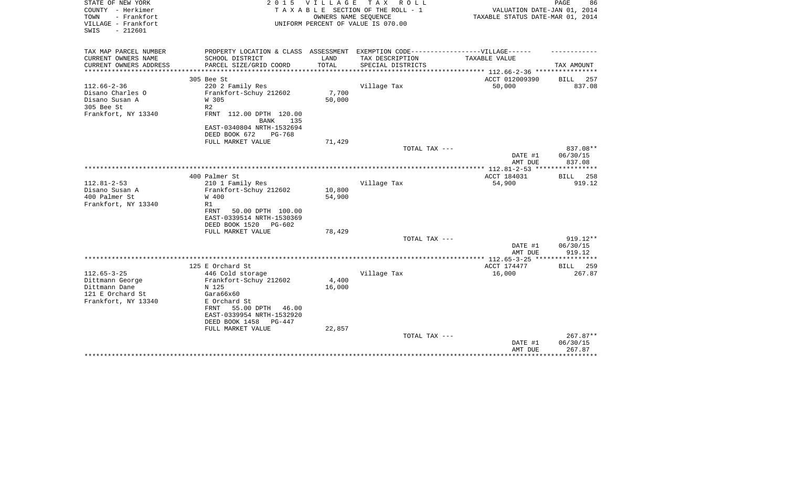| STATE OF NEW YORK<br>COUNTY - Herkimer<br>- Frankfort<br>TOWN<br>VILLAGE - Frankfort<br>$-212601$<br>SWIS | 2 0 1 5                                                | <b>VILLAGE</b><br>OWNERS NAME SEQUENCE | TAX ROLL<br>TAXABLE SECTION OF THE ROLL - 1<br>UNIFORM PERCENT OF VALUE IS 070.00 | VALUATION DATE-JAN 01, 2014<br>TAXABLE STATUS DATE-MAR 01, 2014 | PAGE<br>86           |
|-----------------------------------------------------------------------------------------------------------|--------------------------------------------------------|----------------------------------------|-----------------------------------------------------------------------------------|-----------------------------------------------------------------|----------------------|
| TAX MAP PARCEL NUMBER                                                                                     | PROPERTY LOCATION & CLASS ASSESSMENT                   |                                        | EXEMPTION CODE-----------------VILLAGE------                                      |                                                                 |                      |
| CURRENT OWNERS NAME<br>CURRENT OWNERS ADDRESS                                                             | SCHOOL DISTRICT<br>PARCEL SIZE/GRID COORD              | LAND<br>TOTAL                          | TAX DESCRIPTION<br>SPECIAL DISTRICTS                                              | TAXABLE VALUE                                                   | TAX AMOUNT           |
|                                                                                                           |                                                        |                                        |                                                                                   | ************** 112.66-2-36 ************                         |                      |
|                                                                                                           | 305 Bee St                                             |                                        |                                                                                   | ACCT 012009390                                                  | BILL<br>257          |
| $112.66 - 2 - 36$                                                                                         | 220 2 Family Res                                       |                                        | Village Tax                                                                       | 50,000                                                          | 837.08               |
| Disano Charles O                                                                                          | Frankfort-Schuy 212602                                 | 7,700                                  |                                                                                   |                                                                 |                      |
| Disano Susan A<br>305 Bee St                                                                              | W 305<br>R <sub>2</sub>                                | 50,000                                 |                                                                                   |                                                                 |                      |
| Frankfort, NY 13340                                                                                       | FRNT 112.00 DPTH 120.00<br><b>BANK</b><br>135          |                                        |                                                                                   |                                                                 |                      |
|                                                                                                           | EAST-0340804 NRTH-1532694<br>DEED BOOK 672<br>$PG-768$ |                                        |                                                                                   |                                                                 |                      |
|                                                                                                           | FULL MARKET VALUE                                      | 71,429                                 |                                                                                   |                                                                 |                      |
|                                                                                                           |                                                        |                                        | TOTAL TAX ---                                                                     | DATE #1                                                         | 837.08**<br>06/30/15 |
|                                                                                                           |                                                        |                                        |                                                                                   | AMT DUE                                                         | 837.08               |
|                                                                                                           | 400 Palmer St                                          |                                        |                                                                                   | ACCT 184031                                                     | BILL<br>258          |
| $112.81 - 2 - 53$                                                                                         | 210 1 Family Res                                       |                                        | Village Tax                                                                       | 54,900                                                          | 919.12               |
| Disano Susan A                                                                                            | Frankfort-Schuy 212602                                 | 10,800                                 |                                                                                   |                                                                 |                      |
| 400 Palmer St                                                                                             | W 400                                                  | 54,900                                 |                                                                                   |                                                                 |                      |
| Frankfort, NY 13340                                                                                       | R1                                                     |                                        |                                                                                   |                                                                 |                      |
|                                                                                                           | FRNT<br>50.00 DPTH 100.00                              |                                        |                                                                                   |                                                                 |                      |
|                                                                                                           | EAST-0339514 NRTH-1530369<br>DEED BOOK 1520            |                                        |                                                                                   |                                                                 |                      |
|                                                                                                           | PG-602<br>FULL MARKET VALUE                            | 78,429                                 |                                                                                   |                                                                 |                      |
|                                                                                                           |                                                        |                                        | TOTAL TAX ---                                                                     |                                                                 | $919.12**$           |
|                                                                                                           |                                                        |                                        |                                                                                   | DATE #1<br>AMT DUE                                              | 06/30/15<br>919.12   |
|                                                                                                           |                                                        |                                        |                                                                                   |                                                                 |                      |
|                                                                                                           | 125 E Orchard St                                       |                                        |                                                                                   | ACCT 174477                                                     | 259<br><b>BILL</b>   |
| $112.65 - 3 - 25$                                                                                         | 446 Cold storage                                       |                                        | Village Tax                                                                       | 16,000                                                          | 267.87               |
| Dittmann George                                                                                           | Frankfort-Schuy 212602                                 | 4,400                                  |                                                                                   |                                                                 |                      |
| Dittmann Dane<br>121 E Orchard St                                                                         | N 125<br>Gara66x60                                     | 16,000                                 |                                                                                   |                                                                 |                      |
| Frankfort, NY 13340                                                                                       | E Orchard St                                           |                                        |                                                                                   |                                                                 |                      |
|                                                                                                           | 55.00 DPTH<br>FRNT<br>46.00                            |                                        |                                                                                   |                                                                 |                      |
|                                                                                                           | EAST-0339954 NRTH-1532920                              |                                        |                                                                                   |                                                                 |                      |
|                                                                                                           | DEED BOOK 1458<br>PG-447                               |                                        |                                                                                   |                                                                 |                      |
|                                                                                                           | FULL MARKET VALUE                                      | 22,857                                 |                                                                                   |                                                                 |                      |
|                                                                                                           |                                                        |                                        | TOTAL TAX ---                                                                     |                                                                 | 267.87**             |
|                                                                                                           |                                                        |                                        |                                                                                   | DATE #1                                                         | 06/30/15             |
|                                                                                                           |                                                        |                                        |                                                                                   | AMT DUE                                                         | 267.87               |
|                                                                                                           |                                                        |                                        |                                                                                   |                                                                 |                      |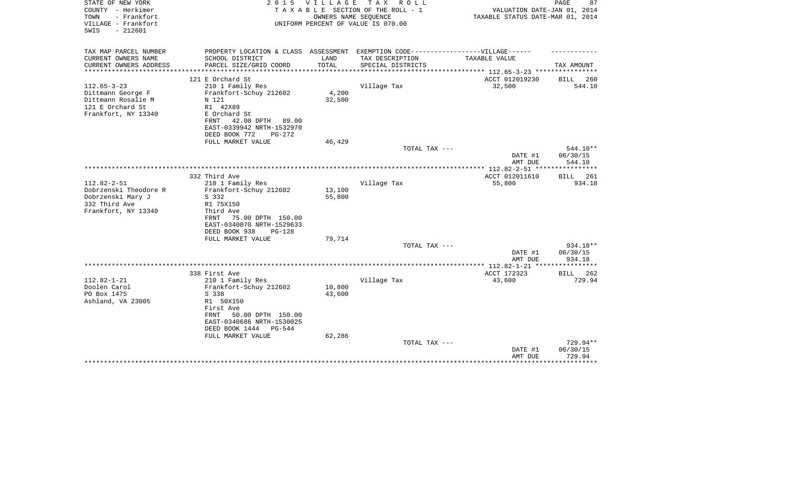| STATE OF NEW YORK<br>COUNTY - Herkimer<br>TOWN<br>- Frankfort<br>VILLAGE - Frankfort<br>$-212601$<br>SWIS | 2 0 1 5                                                                           | V I L L A G E | T A X<br>R O L L<br>TAXABLE SECTION OF THE ROLL - 1<br>OWNERS NAME SEQUENCE<br>UNIFORM PERCENT OF VALUE IS 070.00 | VALUATION DATE-JAN 01, 2014<br>TAXABLE STATUS DATE-MAR 01, 2014 | PAGE<br>87        |
|-----------------------------------------------------------------------------------------------------------|-----------------------------------------------------------------------------------|---------------|-------------------------------------------------------------------------------------------------------------------|-----------------------------------------------------------------|-------------------|
| TAX MAP PARCEL NUMBER                                                                                     | PROPERTY LOCATION & CLASS ASSESSMENT EXEMPTION CODE-----------------VILLAGE------ |               |                                                                                                                   |                                                                 |                   |
| CURRENT OWNERS NAME                                                                                       | SCHOOL DISTRICT                                                                   | LAND          | TAX DESCRIPTION                                                                                                   | TAXABLE VALUE                                                   |                   |
| CURRENT OWNERS ADDRESS<br>*********************                                                           | PARCEL SIZE/GRID COORD                                                            | TOTAL         | SPECIAL DISTRICTS                                                                                                 |                                                                 | TAX AMOUNT        |
|                                                                                                           | 121 E Orchard St                                                                  |               |                                                                                                                   | ACCT 012019230                                                  | BILL<br>260       |
| $112.65 - 3 - 23$                                                                                         | 210 1 Family Res                                                                  |               | Village Tax                                                                                                       | 32,500                                                          | 544.10            |
| Dittmann George F                                                                                         | Frankfort-Schuy 212602                                                            | 4,200         |                                                                                                                   |                                                                 |                   |
| Dittmann Rosalie M                                                                                        | N 121                                                                             | 32,500        |                                                                                                                   |                                                                 |                   |
| 121 E Orchard St                                                                                          | R1 42X89                                                                          |               |                                                                                                                   |                                                                 |                   |
| Frankfort, NY 13340                                                                                       | E Orchard St                                                                      |               |                                                                                                                   |                                                                 |                   |
|                                                                                                           | 42.00 DPTH<br>FRNT<br>89.00                                                       |               |                                                                                                                   |                                                                 |                   |
|                                                                                                           | EAST-0339942 NRTH-1532970                                                         |               |                                                                                                                   |                                                                 |                   |
|                                                                                                           | DEED BOOK 772<br>PG-272                                                           | 46,429        |                                                                                                                   |                                                                 |                   |
|                                                                                                           | FULL MARKET VALUE                                                                 |               | TOTAL TAX ---                                                                                                     |                                                                 | 544.10**          |
|                                                                                                           |                                                                                   |               |                                                                                                                   | DATE #1                                                         | 06/30/15          |
|                                                                                                           |                                                                                   |               |                                                                                                                   | AMT DUE                                                         | 544.10            |
|                                                                                                           |                                                                                   |               |                                                                                                                   |                                                                 |                   |
|                                                                                                           | 332 Third Ave                                                                     |               |                                                                                                                   | ACCT 012011610                                                  | 261<br>BILL       |
| $112.82 - 2 - 51$                                                                                         | 210 1 Family Res                                                                  |               | Village Tax                                                                                                       | 55,800                                                          | 934.18            |
| Dobrzenski Theodore R                                                                                     | Frankfort-Schuy 212602                                                            | 13,100        |                                                                                                                   |                                                                 |                   |
| Dobrzenski Mary J<br>332 Third Ave                                                                        | S 332                                                                             | 55,800        |                                                                                                                   |                                                                 |                   |
| Frankfort, NY 13340                                                                                       | R1 75X150<br>Third Ave                                                            |               |                                                                                                                   |                                                                 |                   |
|                                                                                                           | 75.00 DPTH 150.00<br>FRNT                                                         |               |                                                                                                                   |                                                                 |                   |
|                                                                                                           | EAST-0340070 NRTH-1529633                                                         |               |                                                                                                                   |                                                                 |                   |
|                                                                                                           | DEED BOOK 938<br>$PG-128$                                                         |               |                                                                                                                   |                                                                 |                   |
|                                                                                                           | FULL MARKET VALUE                                                                 | 79,714        |                                                                                                                   |                                                                 |                   |
|                                                                                                           |                                                                                   |               | TOTAL TAX ---                                                                                                     |                                                                 | 934.18**          |
|                                                                                                           |                                                                                   |               |                                                                                                                   | DATE #1                                                         | 06/30/15          |
|                                                                                                           |                                                                                   |               |                                                                                                                   | AMT DUE                                                         | 934.18            |
|                                                                                                           | 338 First Ave                                                                     |               |                                                                                                                   | ACCT 172323                                                     | BILL<br>262       |
| $112.82 - 1 - 21$                                                                                         | 210 1 Family Res                                                                  |               | Village Tax                                                                                                       | 43,600                                                          | 729.94            |
| Doolen Carol                                                                                              | Frankfort-Schuy 212602                                                            | 10,800        |                                                                                                                   |                                                                 |                   |
| PO Box 1475                                                                                               | S 338                                                                             | 43,600        |                                                                                                                   |                                                                 |                   |
| Ashland, VA 23005                                                                                         | R1 50X150                                                                         |               |                                                                                                                   |                                                                 |                   |
|                                                                                                           | First Ave                                                                         |               |                                                                                                                   |                                                                 |                   |
|                                                                                                           | FRNT<br>50.00 DPTH 150.00                                                         |               |                                                                                                                   |                                                                 |                   |
|                                                                                                           | EAST-0340686 NRTH-1530025                                                         |               |                                                                                                                   |                                                                 |                   |
|                                                                                                           | DEED BOOK 1444<br>PG-544<br>FULL MARKET VALUE                                     | 62,286        |                                                                                                                   |                                                                 |                   |
|                                                                                                           |                                                                                   |               | TOTAL TAX ---                                                                                                     |                                                                 | 729.94**          |
|                                                                                                           |                                                                                   |               |                                                                                                                   | DATE #1                                                         | 06/30/15          |
|                                                                                                           |                                                                                   |               |                                                                                                                   | AMT DUE                                                         | 729.94            |
|                                                                                                           |                                                                                   |               |                                                                                                                   |                                                                 | * * * * * * * * * |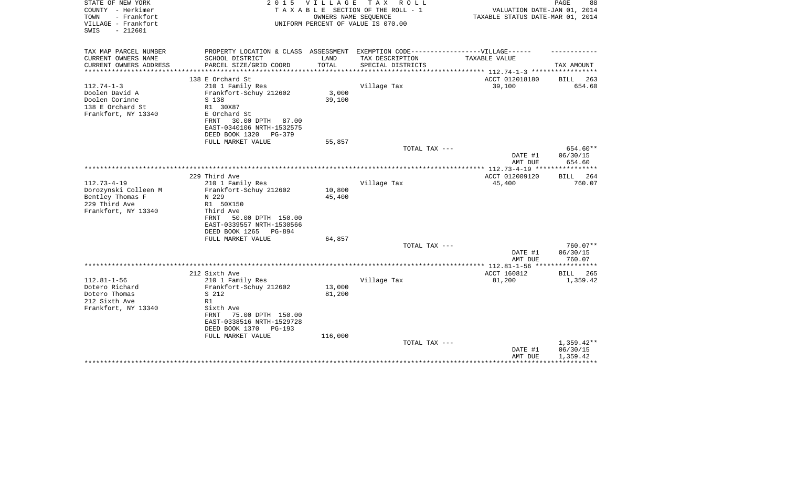| STATE OF NEW YORK<br>COUNTY - Herkimer<br>- Frankfort<br>TOWN<br>VILLAGE - Frankfort<br>$-212601$<br>SWIS | 2 0 1 5                                                                           | <b>VILLAGE</b> | T A X<br>R O L L<br>TAXABLE SECTION OF THE ROLL - 1<br>OWNERS NAME SEQUENCE<br>UNIFORM PERCENT OF VALUE IS 070.00 | VALUATION DATE-JAN 01, 2014<br>TAXABLE STATUS DATE-MAR 01, 2014             | PAGE<br>88            |
|-----------------------------------------------------------------------------------------------------------|-----------------------------------------------------------------------------------|----------------|-------------------------------------------------------------------------------------------------------------------|-----------------------------------------------------------------------------|-----------------------|
| TAX MAP PARCEL NUMBER<br>CURRENT OWNERS NAME                                                              | PROPERTY LOCATION & CLASS ASSESSMENT EXEMPTION CODE-----------------VILLAGE------ | LAND           |                                                                                                                   | TAXABLE VALUE                                                               |                       |
| CURRENT OWNERS ADDRESS<br>**********************                                                          | SCHOOL DISTRICT<br>PARCEL SIZE/GRID COORD                                         | TOTAL          | TAX DESCRIPTION<br>SPECIAL DISTRICTS                                                                              |                                                                             | TAX AMOUNT            |
|                                                                                                           | 138 E Orchard St                                                                  |                |                                                                                                                   | **************************** 112.74-1-3 *****************<br>ACCT 012018180 |                       |
| $112.74 - 1 - 3$                                                                                          | 210 1 Family Res                                                                  |                | Village Tax                                                                                                       | 39,100                                                                      | BILL<br>263<br>654.60 |
| Doolen David A                                                                                            | Frankfort-Schuy 212602                                                            | 3,000          |                                                                                                                   |                                                                             |                       |
| Doolen Corinne                                                                                            | S 138                                                                             | 39,100         |                                                                                                                   |                                                                             |                       |
| 138 E Orchard St                                                                                          | R1 30X87                                                                          |                |                                                                                                                   |                                                                             |                       |
| Frankfort, NY 13340                                                                                       | E Orchard St                                                                      |                |                                                                                                                   |                                                                             |                       |
|                                                                                                           | 30.00 DPTH<br>FRNT<br>87.00                                                       |                |                                                                                                                   |                                                                             |                       |
|                                                                                                           | EAST-0340106 NRTH-1532575                                                         |                |                                                                                                                   |                                                                             |                       |
|                                                                                                           | DEED BOOK 1320<br>$PG-379$                                                        |                |                                                                                                                   |                                                                             |                       |
|                                                                                                           | FULL MARKET VALUE                                                                 | 55,857         |                                                                                                                   |                                                                             |                       |
|                                                                                                           |                                                                                   |                | TOTAL TAX ---                                                                                                     | DATE #1                                                                     | 654.60**<br>06/30/15  |
|                                                                                                           |                                                                                   |                |                                                                                                                   | AMT DUE                                                                     | 654.60                |
|                                                                                                           |                                                                                   |                |                                                                                                                   |                                                                             |                       |
|                                                                                                           | 229 Third Ave                                                                     |                |                                                                                                                   | ACCT 012009120                                                              | 264<br>BILL           |
| $112.73 - 4 - 19$                                                                                         | 210 1 Family Res                                                                  |                | Village Tax                                                                                                       | 45,400                                                                      | 760.07                |
| Dorozynski Colleen M                                                                                      | Frankfort-Schuy 212602                                                            | 10,800         |                                                                                                                   |                                                                             |                       |
| Bentley Thomas F                                                                                          | N 229                                                                             | 45,400         |                                                                                                                   |                                                                             |                       |
| 229 Third Ave                                                                                             | R1 50X150                                                                         |                |                                                                                                                   |                                                                             |                       |
| Frankfort, NY 13340                                                                                       | Third Ave                                                                         |                |                                                                                                                   |                                                                             |                       |
|                                                                                                           | 50.00 DPTH 150.00<br>FRNT                                                         |                |                                                                                                                   |                                                                             |                       |
|                                                                                                           | EAST-0339557 NRTH-1530566<br>DEED BOOK 1265<br>PG-894                             |                |                                                                                                                   |                                                                             |                       |
|                                                                                                           | FULL MARKET VALUE                                                                 | 64,857         |                                                                                                                   |                                                                             |                       |
|                                                                                                           |                                                                                   |                | TOTAL TAX ---                                                                                                     |                                                                             | $760.07**$            |
|                                                                                                           |                                                                                   |                |                                                                                                                   | DATE #1                                                                     | 06/30/15              |
|                                                                                                           |                                                                                   |                |                                                                                                                   | AMT DUE                                                                     | 760.07                |
|                                                                                                           |                                                                                   |                |                                                                                                                   |                                                                             |                       |
|                                                                                                           | 212 Sixth Ave                                                                     |                |                                                                                                                   | ACCT 160812                                                                 | BILL<br>265           |
| $112.81 - 1 - 56$                                                                                         | 210 1 Family Res                                                                  |                | Village Tax                                                                                                       | 81,200                                                                      | 1,359.42              |
| Dotero Richard                                                                                            | Frankfort-Schuy 212602                                                            | 13,000         |                                                                                                                   |                                                                             |                       |
| Dotero Thomas                                                                                             | S 212                                                                             | 81,200         |                                                                                                                   |                                                                             |                       |
| 212 Sixth Ave<br>Frankfort, NY 13340                                                                      | R1<br>Sixth Ave                                                                   |                |                                                                                                                   |                                                                             |                       |
|                                                                                                           | 75.00 DPTH 150.00<br><b>FRNT</b>                                                  |                |                                                                                                                   |                                                                             |                       |
|                                                                                                           | EAST-0338516 NRTH-1529728                                                         |                |                                                                                                                   |                                                                             |                       |
|                                                                                                           | DEED BOOK 1370<br><b>PG-193</b>                                                   |                |                                                                                                                   |                                                                             |                       |
|                                                                                                           | FULL MARKET VALUE                                                                 | 116,000        |                                                                                                                   |                                                                             |                       |
|                                                                                                           |                                                                                   |                | TOTAL TAX ---                                                                                                     |                                                                             | $1,359.42**$          |
|                                                                                                           |                                                                                   |                |                                                                                                                   | DATE #1                                                                     | 06/30/15              |
|                                                                                                           |                                                                                   |                |                                                                                                                   | AMT DUE                                                                     | 1,359.42              |
|                                                                                                           |                                                                                   |                |                                                                                                                   |                                                                             |                       |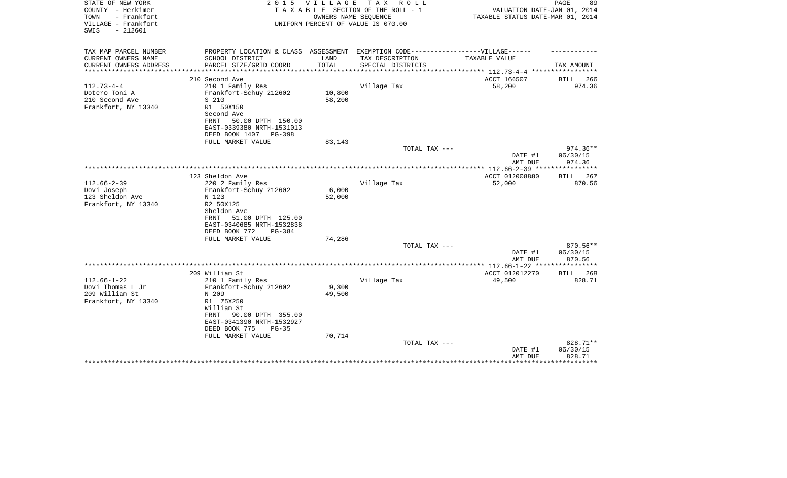| STATE OF NEW YORK                             | 2 0 1 5                                              | V I L L A G E        | T A X<br>R O L L                             |                                                         | PAGE<br>89           |
|-----------------------------------------------|------------------------------------------------------|----------------------|----------------------------------------------|---------------------------------------------------------|----------------------|
| COUNTY - Herkimer                             |                                                      |                      | TAXABLE SECTION OF THE ROLL - 1              | VALUATION DATE-JAN 01, 2014                             |                      |
| TOWN<br>- Frankfort                           |                                                      |                      | OWNERS NAME SEQUENCE                         | TAXABLE STATUS DATE-MAR 01, 2014                        |                      |
| VILLAGE - Frankfort<br>$-212601$<br>SWIS      |                                                      |                      | UNIFORM PERCENT OF VALUE IS 070.00           |                                                         |                      |
|                                               |                                                      |                      |                                              |                                                         |                      |
|                                               |                                                      |                      |                                              |                                                         |                      |
| TAX MAP PARCEL NUMBER                         | PROPERTY LOCATION & CLASS ASSESSMENT                 |                      | EXEMPTION CODE-----------------VILLAGE------ |                                                         |                      |
| CURRENT OWNERS NAME                           | SCHOOL DISTRICT                                      | LAND                 | TAX DESCRIPTION                              | TAXABLE VALUE                                           |                      |
| CURRENT OWNERS ADDRESS<br>******************* | PARCEL SIZE/GRID COORD<br>************************** | TOTAL<br>*********** | SPECIAL DISTRICTS                            | ************************* 112.73-4-4 ****************** | TAX AMOUNT           |
|                                               | 210 Second Ave                                       |                      |                                              | ACCT 166507                                             | <b>BILL</b><br>266   |
| $112.73 - 4 - 4$                              | 210 1 Family Res                                     |                      | Village Tax                                  | 58,200                                                  | 974.36               |
| Dotero Toni A                                 | Frankfort-Schuy 212602                               | 10,800               |                                              |                                                         |                      |
| 210 Second Ave                                | S 210                                                | 58,200               |                                              |                                                         |                      |
| Frankfort, NY 13340                           | R1 50X150                                            |                      |                                              |                                                         |                      |
|                                               | Second Ave                                           |                      |                                              |                                                         |                      |
|                                               | 50.00 DPTH 150.00<br><b>FRNT</b>                     |                      |                                              |                                                         |                      |
|                                               | EAST-0339380 NRTH-1531013                            |                      |                                              |                                                         |                      |
|                                               | DEED BOOK 1407<br>PG-398                             |                      |                                              |                                                         |                      |
|                                               | FULL MARKET VALUE                                    | 83,143               |                                              |                                                         |                      |
|                                               |                                                      |                      | TOTAL TAX ---                                |                                                         | $974.36**$           |
|                                               |                                                      |                      |                                              | DATE #1                                                 | 06/30/15             |
|                                               |                                                      |                      |                                              | AMT DUE                                                 | 974.36               |
|                                               |                                                      |                      |                                              | ************** 112.66-2-39 *****************            |                      |
|                                               | 123 Sheldon Ave                                      |                      |                                              | ACCT 012008880                                          | 267<br>BILL          |
| $112.66 - 2 - 39$                             | 220 2 Family Res                                     |                      | Village Tax                                  | 52,000                                                  | 870.56               |
| Dovi Joseph                                   | Frankfort-Schuy 212602                               | 6,000                |                                              |                                                         |                      |
| 123 Sheldon Ave                               | N 123                                                | 52,000               |                                              |                                                         |                      |
| Frankfort, NY 13340                           | R2 50X125                                            |                      |                                              |                                                         |                      |
|                                               | Sheldon Ave                                          |                      |                                              |                                                         |                      |
|                                               | 51.00 DPTH 125.00<br>FRNT                            |                      |                                              |                                                         |                      |
|                                               | EAST-0340685 NRTH-1532838                            |                      |                                              |                                                         |                      |
|                                               | DEED BOOK 772<br>PG-384                              |                      |                                              |                                                         |                      |
|                                               | FULL MARKET VALUE                                    | 74,286               | TOTAL TAX ---                                |                                                         | 870.56**             |
|                                               |                                                      |                      |                                              | DATE #1                                                 | 06/30/15             |
|                                               |                                                      |                      |                                              | AMT DUE                                                 | 870.56               |
|                                               |                                                      |                      |                                              |                                                         |                      |
|                                               | 209 William St                                       |                      |                                              | ACCT 012012270                                          | <b>BILL</b><br>268   |
| $112.66 - 1 - 22$                             | 210 1 Family Res                                     |                      | Village Tax                                  | 49,500                                                  | 828.71               |
| Dovi Thomas L Jr                              | Frankfort-Schuy 212602                               | 9,300                |                                              |                                                         |                      |
| 209 William St                                | N 209                                                | 49,500               |                                              |                                                         |                      |
| Frankfort, NY 13340                           | R1 75X250                                            |                      |                                              |                                                         |                      |
|                                               | William St                                           |                      |                                              |                                                         |                      |
|                                               | 90.00 DPTH 355.00<br>FRNT                            |                      |                                              |                                                         |                      |
|                                               | EAST-0341390 NRTH-1532927                            |                      |                                              |                                                         |                      |
|                                               | DEED BOOK 775<br>$PG-35$                             |                      |                                              |                                                         |                      |
|                                               | FULL MARKET VALUE                                    | 70,714               |                                              |                                                         |                      |
|                                               |                                                      |                      | TOTAL TAX ---                                |                                                         | 828.71**             |
|                                               |                                                      |                      |                                              | DATE #1                                                 | 06/30/15             |
|                                               |                                                      |                      |                                              | AMT DUE                                                 | 828.71<br>********** |
|                                               |                                                      |                      |                                              |                                                         |                      |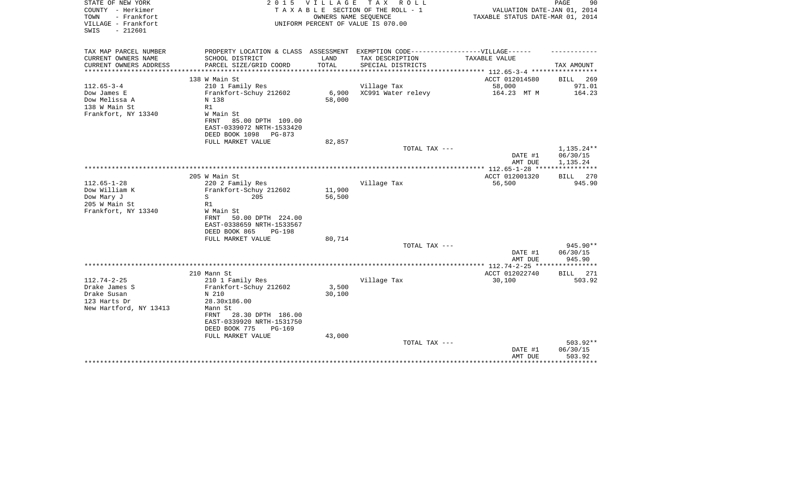| STATE OF NEW YORK<br>COUNTY - Herkimer<br>- Frankfort<br>TOWN<br>VILLAGE - Frankfort<br>$-212601$<br>SWIS | 2 0 1 5                                                                                                                                                               | VILLAGE          | TAX ROLL<br>TAXABLE SECTION OF THE ROLL - 1<br>OWNERS NAME SEOUENCE<br>UNIFORM PERCENT OF VALUE IS 070.00 | VALUATION DATE-JAN 01, 2014<br>TAXABLE STATUS DATE-MAR 01, 2014 | PAGE<br>90                                 |
|-----------------------------------------------------------------------------------------------------------|-----------------------------------------------------------------------------------------------------------------------------------------------------------------------|------------------|-----------------------------------------------------------------------------------------------------------|-----------------------------------------------------------------|--------------------------------------------|
| TAX MAP PARCEL NUMBER<br>CURRENT OWNERS NAME                                                              | SCHOOL DISTRICT                                                                                                                                                       | LAND             | PROPERTY LOCATION & CLASS ASSESSMENT EXEMPTION CODE-----------------VILLAGE------<br>TAX DESCRIPTION      | TAXABLE VALUE                                                   |                                            |
| CURRENT OWNERS ADDRESS                                                                                    | PARCEL SIZE/GRID COORD                                                                                                                                                | TOTAL            | SPECIAL DISTRICTS                                                                                         |                                                                 | TAX AMOUNT                                 |
| *************                                                                                             |                                                                                                                                                                       |                  | **************************                                                                                | **************** 112.65-3-4 **************                      |                                            |
|                                                                                                           | 138 W Main St                                                                                                                                                         |                  |                                                                                                           | ACCT 012014580                                                  | 269<br>BILL                                |
| $112.65 - 3 - 4$<br>Dow James E<br>Dow Melissa A<br>138 W Main St<br>Frankfort, NY 13340                  | 210 1 Family Res<br>Frankfort-Schuy 212602<br>N 138<br>R1<br>W Main St<br>FRNT<br>85.00 DPTH 109.00<br>EAST-0339072 NRTH-1533420                                      | 6,900<br>58,000  | Village Tax<br>XC991 Water relevy                                                                         | 58,000<br>164.23 MT M                                           | 971.01<br>164.23                           |
|                                                                                                           | DEED BOOK 1098<br>$PG-873$                                                                                                                                            |                  |                                                                                                           |                                                                 |                                            |
|                                                                                                           | FULL MARKET VALUE                                                                                                                                                     | 82,857           |                                                                                                           |                                                                 |                                            |
|                                                                                                           |                                                                                                                                                                       |                  | TOTAL TAX ---                                                                                             | DATE #1<br>AMT DUE                                              | 1,135.24**<br>06/30/15<br>1,135.24         |
|                                                                                                           |                                                                                                                                                                       |                  |                                                                                                           |                                                                 |                                            |
| $112.65 - 1 - 28$<br>Dow William K<br>Dow Mary J<br>205 W Main St                                         | 205 W Main St<br>220 2 Family Res<br>Frankfort-Schuy 212602<br>S<br>205<br>R1                                                                                         | 11,900<br>56,500 | Village Tax                                                                                               | ACCT 012001320<br>56,500                                        | BILL 270<br>945.90                         |
| Frankfort, NY 13340                                                                                       | W Main St<br>50.00 DPTH 224.00<br>FRNT<br>EAST-0338659 NRTH-1533567<br>DEED BOOK 865<br><b>PG-198</b><br>FULL MARKET VALUE                                            | 80,714           | TOTAL TAX ---                                                                                             |                                                                 | 945.90**                                   |
|                                                                                                           |                                                                                                                                                                       |                  |                                                                                                           | DATE #1                                                         | 06/30/15                                   |
|                                                                                                           |                                                                                                                                                                       |                  |                                                                                                           | AMT DUE                                                         | 945.90                                     |
|                                                                                                           | 210 Mann St                                                                                                                                                           |                  |                                                                                                           | ACCT 012022740                                                  | BILL<br>271                                |
| $112.74 - 2 - 25$<br>Drake James S<br>Drake Susan<br>123 Harts Dr<br>New Hartford, NY 13413               | 210 1 Family Res<br>Frankfort-Schuy 212602<br>N 210<br>28.30x186.00<br>Mann St<br>28.30 DPTH 186.00<br>FRNT<br>EAST-0339920 NRTH-1531750<br>DEED BOOK 775<br>$PG-169$ | 3,500<br>30,100  | Village Tax                                                                                               | 30,100                                                          | 503.92                                     |
|                                                                                                           | FULL MARKET VALUE                                                                                                                                                     | 43,000           | TOTAL TAX ---                                                                                             | DATE #1<br>AMT DUE                                              | 503.92**<br>06/30/15<br>503.92<br>******** |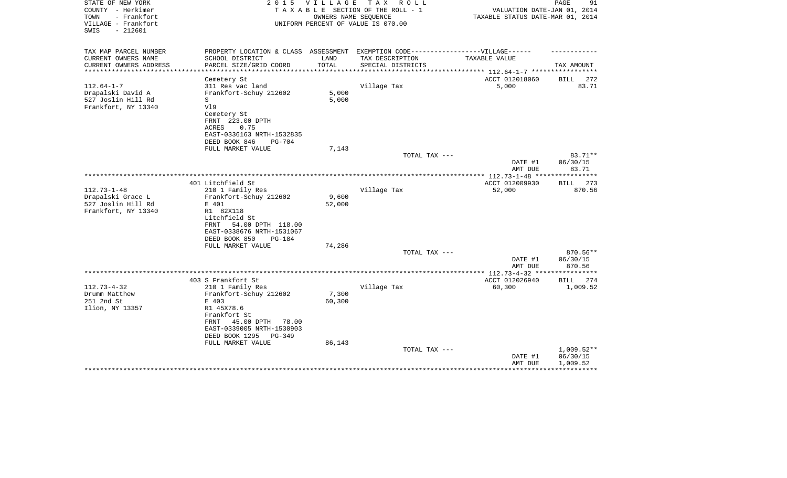| STATE OF NEW YORK<br>COUNTY - Herkimer<br>TOWN<br>- Frankfort | 2 0 1 5                                                                          | V I L L A G E | T A X<br>R O L L<br>TAXABLE SECTION OF THE ROLL - 1<br>OWNERS NAME SEOUENCE | VALUATION DATE-JAN 01, 2014<br>TAXABLE STATUS DATE-MAR 01, 2014 | PAGE<br>91   |
|---------------------------------------------------------------|----------------------------------------------------------------------------------|---------------|-----------------------------------------------------------------------------|-----------------------------------------------------------------|--------------|
| VILLAGE - Frankfort<br>$-212601$<br>SWIS                      |                                                                                  |               | UNIFORM PERCENT OF VALUE IS 070.00                                          |                                                                 |              |
| TAX MAP PARCEL NUMBER                                         | PROPERTY LOCATION & CLASS ASSESSMENT EXEMPTION CODE----------------VILLAGE------ |               |                                                                             |                                                                 |              |
| CURRENT OWNERS NAME                                           | SCHOOL DISTRICT                                                                  | LAND          | TAX DESCRIPTION                                                             | TAXABLE VALUE                                                   |              |
| CURRENT OWNERS ADDRESS<br>**********************              | PARCEL SIZE/GRID COORD                                                           | TOTAL         | SPECIAL DISTRICTS                                                           |                                                                 | TAX AMOUNT   |
|                                                               | Cemetery St                                                                      |               |                                                                             | ACCT 012018060                                                  | 272<br>BILL  |
| $112.64 - 1 - 7$                                              | 311 Res vac land                                                                 |               | Village Tax                                                                 | 5,000                                                           | 83.71        |
| Drapalski David A                                             | Frankfort-Schuy 212602                                                           | 5,000         |                                                                             |                                                                 |              |
| 527 Joslin Hill Rd                                            | S                                                                                | 5,000         |                                                                             |                                                                 |              |
| Frankfort, NY 13340                                           | V19                                                                              |               |                                                                             |                                                                 |              |
|                                                               | Cemetery St                                                                      |               |                                                                             |                                                                 |              |
|                                                               | FRNT 223.00 DPTH                                                                 |               |                                                                             |                                                                 |              |
|                                                               | 0.75<br>ACRES                                                                    |               |                                                                             |                                                                 |              |
|                                                               | EAST-0336163 NRTH-1532835                                                        |               |                                                                             |                                                                 |              |
|                                                               | DEED BOOK 846<br>PG-704                                                          |               |                                                                             |                                                                 |              |
|                                                               | FULL MARKET VALUE                                                                | 7,143         |                                                                             |                                                                 |              |
|                                                               |                                                                                  |               | TOTAL TAX ---                                                               |                                                                 | 83.71**      |
|                                                               |                                                                                  |               |                                                                             | DATE #1                                                         | 06/30/15     |
|                                                               |                                                                                  |               |                                                                             | AMT DUE                                                         | 83.71        |
|                                                               |                                                                                  |               |                                                                             |                                                                 |              |
|                                                               | 401 Litchfield St                                                                |               |                                                                             | ACCT 012009930                                                  | BILL<br>273  |
| $112.73 - 1 - 48$                                             | 210 1 Family Res                                                                 |               | Village Tax                                                                 | 52,000                                                          | 870.56       |
| Drapalski Grace L                                             | Frankfort-Schuy 212602                                                           | 9,600         |                                                                             |                                                                 |              |
| 527 Joslin Hill Rd                                            | E 401                                                                            | 52,000        |                                                                             |                                                                 |              |
| Frankfort, NY 13340                                           | R1 82X118                                                                        |               |                                                                             |                                                                 |              |
|                                                               | Litchfield St                                                                    |               |                                                                             |                                                                 |              |
|                                                               | 54.00 DPTH 118.00<br>FRNT                                                        |               |                                                                             |                                                                 |              |
|                                                               | EAST-0338676 NRTH-1531067                                                        |               |                                                                             |                                                                 |              |
|                                                               | DEED BOOK 850<br><b>PG-184</b><br>FULL MARKET VALUE                              | 74,286        |                                                                             |                                                                 |              |
|                                                               |                                                                                  |               | TOTAL TAX ---                                                               |                                                                 | 870.56**     |
|                                                               |                                                                                  |               |                                                                             | DATE #1                                                         | 06/30/15     |
|                                                               |                                                                                  |               |                                                                             | AMT DUE                                                         | 870.56       |
|                                                               |                                                                                  |               |                                                                             | **************** 112.73-4-32 *****************                  |              |
|                                                               | 403 S Frankfort St                                                               |               |                                                                             | ACCT 012026940                                                  | BILL<br>274  |
| $112.73 - 4 - 32$                                             | 210 1 Family Res                                                                 |               | Village Tax                                                                 | 60,300                                                          | 1,009.52     |
| Drumm Matthew                                                 | Frankfort-Schuy 212602                                                           | 7,300         |                                                                             |                                                                 |              |
| 251 2nd St                                                    | E 403                                                                            | 60,300        |                                                                             |                                                                 |              |
| Ilion, NY 13357                                               | R1 45X78.6                                                                       |               |                                                                             |                                                                 |              |
|                                                               | Frankfort St                                                                     |               |                                                                             |                                                                 |              |
|                                                               | 45.00 DPTH<br>FRNT<br>78.00                                                      |               |                                                                             |                                                                 |              |
|                                                               | EAST-0339005 NRTH-1530903                                                        |               |                                                                             |                                                                 |              |
|                                                               | DEED BOOK 1295<br>PG-349                                                         |               |                                                                             |                                                                 |              |
|                                                               | FULL MARKET VALUE                                                                | 86,143        |                                                                             |                                                                 |              |
|                                                               |                                                                                  |               | TOTAL TAX ---                                                               |                                                                 | $1,009.52**$ |
|                                                               |                                                                                  |               |                                                                             | DATE #1                                                         | 06/30/15     |
|                                                               |                                                                                  |               |                                                                             | AMT DUE                                                         | 1,009.52     |
|                                                               |                                                                                  |               |                                                                             |                                                                 |              |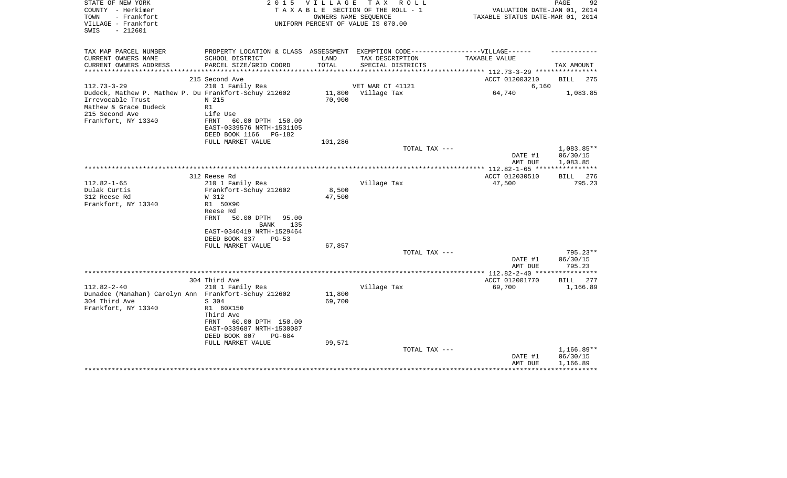| STATE OF NEW YORK<br>COUNTY - Herkimer<br>- Frankfort<br>TOWN<br>VILLAGE - Frankfort<br>$-212601$<br>SWIS | 2 0 1 5                                                                                                         | V I L L A G E    | TAX ROLL<br>TAXABLE SECTION OF THE ROLL - 1<br>OWNERS NAME SEQUENCE<br>UNIFORM PERCENT OF VALUE IS 070.00 | VALUATION DATE-JAN 01, 2014<br>TAXABLE STATUS DATE-MAR 01, 2014 | $\mathop{\mathtt{PAGE}}$<br>92       |
|-----------------------------------------------------------------------------------------------------------|-----------------------------------------------------------------------------------------------------------------|------------------|-----------------------------------------------------------------------------------------------------------|-----------------------------------------------------------------|--------------------------------------|
| TAX MAP PARCEL NUMBER                                                                                     |                                                                                                                 |                  | PROPERTY LOCATION & CLASS ASSESSMENT EXEMPTION CODE-----------------VILLAGE------                         |                                                                 |                                      |
| CURRENT OWNERS NAME                                                                                       | SCHOOL DISTRICT                                                                                                 | LAND             | TAX DESCRIPTION                                                                                           | TAXABLE VALUE                                                   |                                      |
| CURRENT OWNERS ADDRESS<br>*********************                                                           | PARCEL SIZE/GRID COORD                                                                                          | TOTAL            | SPECIAL DISTRICTS                                                                                         |                                                                 | TAX AMOUNT                           |
|                                                                                                           | 215 Second Ave                                                                                                  |                  |                                                                                                           | ACCT 012003210                                                  | <b>BILL</b><br>275                   |
| $112.73 - 3 - 29$                                                                                         | 210 1 Family Res                                                                                                |                  | VET WAR CT 41121                                                                                          | 6,160                                                           |                                      |
| Dudeck, Mathew P. Mathew P. Du Frankfort-Schuy 212602<br>Irrevocable Trust<br>Mathew & Grace Dudeck       | N 215<br>R1                                                                                                     | 11,800<br>70,900 | Village Tax                                                                                               | 64,740                                                          | 1,083.85                             |
| 215 Second Ave<br>Frankfort, NY 13340                                                                     | Life Use<br>60.00 DPTH 150.00<br>FRNT<br>EAST-0339576 NRTH-1531105<br>DEED BOOK 1166<br>PG-182                  |                  |                                                                                                           |                                                                 |                                      |
|                                                                                                           | FULL MARKET VALUE                                                                                               | 101,286          |                                                                                                           |                                                                 |                                      |
|                                                                                                           |                                                                                                                 |                  | TOTAL TAX ---                                                                                             | DATE #1<br>AMT DUE                                              | $1,083.85**$<br>06/30/15<br>1,083.85 |
|                                                                                                           |                                                                                                                 |                  |                                                                                                           |                                                                 |                                      |
|                                                                                                           | 312 Reese Rd                                                                                                    |                  |                                                                                                           | ACCT 012030510                                                  | 276<br>BILL                          |
| $112.82 - 1 - 65$                                                                                         | 210 1 Family Res                                                                                                |                  | Village Tax                                                                                               | 47,500                                                          | 795.23                               |
| Dulak Curtis                                                                                              | Frankfort-Schuy 212602                                                                                          | 8,500            |                                                                                                           |                                                                 |                                      |
| 312 Reese Rd<br>Frankfort, NY 13340                                                                       | W 312<br>R1 50X90<br>Reese Rd<br>FRNT<br>50.00 DPTH<br>95.00<br><b>BANK</b><br>135<br>EAST-0340419 NRTH-1529464 | 47,500           |                                                                                                           |                                                                 |                                      |
|                                                                                                           | DEED BOOK 837<br>$PG-53$                                                                                        |                  |                                                                                                           |                                                                 |                                      |
|                                                                                                           | FULL MARKET VALUE                                                                                               | 67,857           |                                                                                                           |                                                                 |                                      |
|                                                                                                           |                                                                                                                 |                  | TOTAL TAX ---                                                                                             | DATE #1<br>AMT DUE                                              | 795.23**<br>06/30/15<br>795.23       |
|                                                                                                           |                                                                                                                 |                  |                                                                                                           |                                                                 |                                      |
|                                                                                                           | 304 Third Ave                                                                                                   |                  |                                                                                                           | ACCT 012001770                                                  | BILL<br>277                          |
| $112.82 - 2 - 40$                                                                                         | 210 1 Family Res                                                                                                |                  | Village Tax                                                                                               | 69,700                                                          | 1,166.89                             |
| Dunadee (Manahan) Carolyn Ann Frankfort-Schuy 212602                                                      |                                                                                                                 | 11,800           |                                                                                                           |                                                                 |                                      |
| 304 Third Ave                                                                                             | S 304                                                                                                           | 69,700           |                                                                                                           |                                                                 |                                      |
| Frankfort, NY 13340                                                                                       | R1 60X150<br>Third Ave<br>60.00 DPTH 150.00<br>FRNT<br>EAST-0339687 NRTH-1530087<br>DEED BOOK 807<br>PG-684     |                  |                                                                                                           |                                                                 |                                      |
|                                                                                                           | FULL MARKET VALUE                                                                                               | 99,571           |                                                                                                           |                                                                 |                                      |
|                                                                                                           |                                                                                                                 |                  | TOTAL TAX ---                                                                                             | DATE #1<br>AMT DUE                                              | $1,166.89**$<br>06/30/15<br>1,166.89 |
|                                                                                                           |                                                                                                                 |                  |                                                                                                           |                                                                 |                                      |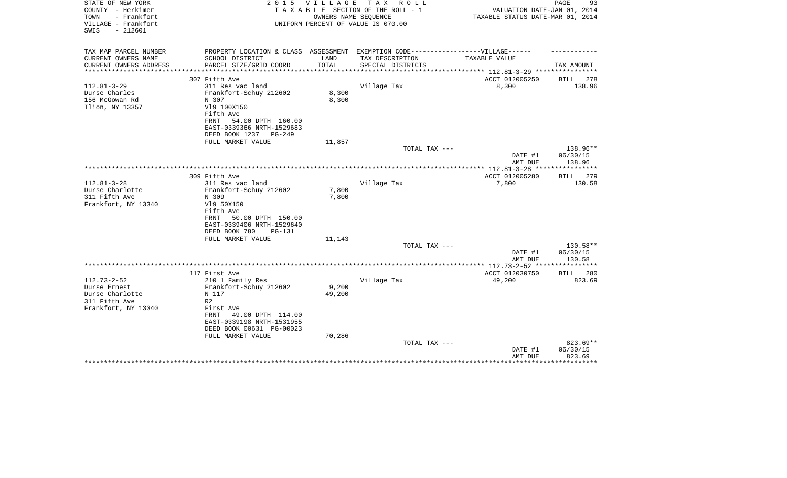| STATE OF NEW YORK<br>COUNTY - Herkimer<br>- Frankfort<br>TOWN<br>VILLAGE - Frankfort<br>$-212601$<br>SWIS | 2 0 1 5                                        | VILLAGE         | T A X<br>R O L L<br>TAXABLE SECTION OF THE ROLL - 1<br>OWNERS NAME SEQUENCE<br>UNIFORM PERCENT OF VALUE IS 070.00 | VALUATION DATE-JAN 01, 2014<br>TAXABLE STATUS DATE-MAR 01, 2014 | 93<br>PAGE  |
|-----------------------------------------------------------------------------------------------------------|------------------------------------------------|-----------------|-------------------------------------------------------------------------------------------------------------------|-----------------------------------------------------------------|-------------|
| TAX MAP PARCEL NUMBER                                                                                     | PROPERTY LOCATION & CLASS ASSESSMENT           |                 | EXEMPTION CODE-----------------VILLAGE------                                                                      |                                                                 |             |
| CURRENT OWNERS NAME                                                                                       | SCHOOL DISTRICT                                | LAND            | TAX DESCRIPTION                                                                                                   | TAXABLE VALUE                                                   |             |
| CURRENT OWNERS ADDRESS<br>**********************                                                          | PARCEL SIZE/GRID COORD                         | TOTAL           | SPECIAL DISTRICTS                                                                                                 |                                                                 | TAX AMOUNT  |
|                                                                                                           | 307 Fifth Ave                                  |                 |                                                                                                                   | ACCT 012005250                                                  | BILL<br>278 |
| $112.81 - 3 - 29$                                                                                         | 311 Res vac land                               |                 | Village Tax                                                                                                       | 8,300                                                           | 138.96      |
| Durse Charles                                                                                             | Frankfort-Schuy 212602                         | 8,300           |                                                                                                                   |                                                                 |             |
| 156 McGowan Rd                                                                                            | N 307                                          | 8,300           |                                                                                                                   |                                                                 |             |
| Ilion, NY 13357                                                                                           | V19 100X150                                    |                 |                                                                                                                   |                                                                 |             |
|                                                                                                           | Fifth Ave                                      |                 |                                                                                                                   |                                                                 |             |
|                                                                                                           | 54.00 DPTH 160.00<br>FRNT                      |                 |                                                                                                                   |                                                                 |             |
|                                                                                                           | EAST-0339366 NRTH-1529683                      |                 |                                                                                                                   |                                                                 |             |
|                                                                                                           | DEED BOOK 1237<br>PG-249                       |                 |                                                                                                                   |                                                                 |             |
|                                                                                                           | FULL MARKET VALUE                              | 11,857          | TOTAL TAX ---                                                                                                     |                                                                 | 138.96**    |
|                                                                                                           |                                                |                 |                                                                                                                   | DATE #1                                                         | 06/30/15    |
|                                                                                                           |                                                |                 |                                                                                                                   | AMT DUE                                                         | 138.96      |
|                                                                                                           |                                                |                 |                                                                                                                   |                                                                 |             |
|                                                                                                           | 309 Fifth Ave                                  |                 |                                                                                                                   | ACCT 012005280                                                  | BILL<br>279 |
| $112.81 - 3 - 28$                                                                                         | 311 Res vac land                               |                 | Village Tax                                                                                                       | 7,800                                                           | 130.58      |
| Durse Charlotte                                                                                           | Frankfort-Schuy 212602                         | 7,800           |                                                                                                                   |                                                                 |             |
| 311 Fifth Ave                                                                                             | N 309                                          | 7,800           |                                                                                                                   |                                                                 |             |
| Frankfort, NY 13340                                                                                       | V19 50X150                                     |                 |                                                                                                                   |                                                                 |             |
|                                                                                                           | Fifth Ave<br>FRNT                              |                 |                                                                                                                   |                                                                 |             |
|                                                                                                           | 50.00 DPTH 150.00<br>EAST-0339406 NRTH-1529640 |                 |                                                                                                                   |                                                                 |             |
|                                                                                                           | DEED BOOK 780<br><b>PG-131</b>                 |                 |                                                                                                                   |                                                                 |             |
|                                                                                                           | FULL MARKET VALUE                              | 11,143          |                                                                                                                   |                                                                 |             |
|                                                                                                           |                                                |                 | TOTAL TAX ---                                                                                                     |                                                                 | 130.58**    |
|                                                                                                           |                                                |                 |                                                                                                                   | DATE #1                                                         | 06/30/15    |
|                                                                                                           |                                                |                 |                                                                                                                   | AMT DUE                                                         | 130.58      |
|                                                                                                           |                                                |                 |                                                                                                                   | **************** 112.73-2-52 ****************                   |             |
|                                                                                                           | 117 First Ave                                  |                 |                                                                                                                   | ACCT 012030750                                                  | BILL<br>280 |
| $112.73 - 2 - 52$                                                                                         | 210 1 Family Res                               |                 | Village Tax                                                                                                       | 49,200                                                          | 823.69      |
| Durse Ernest<br>Durse Charlotte                                                                           | Frankfort-Schuy 212602<br>N 117                | 9,200<br>49,200 |                                                                                                                   |                                                                 |             |
| 311 Fifth Ave                                                                                             | R <sub>2</sub>                                 |                 |                                                                                                                   |                                                                 |             |
| Frankfort, NY 13340                                                                                       | First Ave                                      |                 |                                                                                                                   |                                                                 |             |
|                                                                                                           | 49.00 DPTH 114.00<br><b>FRNT</b>               |                 |                                                                                                                   |                                                                 |             |
|                                                                                                           | EAST-0339198 NRTH-1531955                      |                 |                                                                                                                   |                                                                 |             |
|                                                                                                           | DEED BOOK 00631 PG-00023                       |                 |                                                                                                                   |                                                                 |             |
|                                                                                                           | FULL MARKET VALUE                              | 70,286          |                                                                                                                   |                                                                 |             |
|                                                                                                           |                                                |                 | TOTAL TAX ---                                                                                                     |                                                                 | 823.69**    |
|                                                                                                           |                                                |                 |                                                                                                                   | DATE #1                                                         | 06/30/15    |
|                                                                                                           |                                                |                 |                                                                                                                   | AMT DUE                                                         | 823.69      |
|                                                                                                           |                                                |                 |                                                                                                                   |                                                                 | ******      |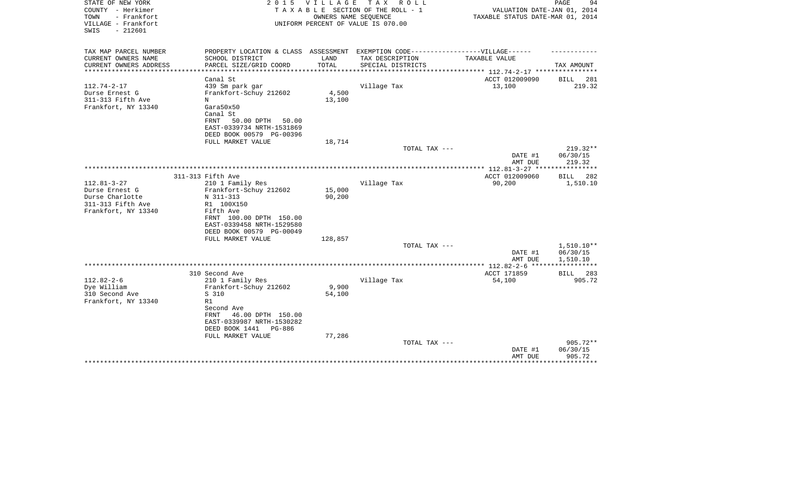| STATE OF NEW YORK<br>COUNTY - Herkimer                          | 2 0 1 5                                                                           | VILLAGE | TAX ROLL<br>TAXABLE SECTION OF THE ROLL - 1                | VALUATION DATE-JAN 01, 2014                     | PAGE<br>94              |
|-----------------------------------------------------------------|-----------------------------------------------------------------------------------|---------|------------------------------------------------------------|-------------------------------------------------|-------------------------|
| TOWN<br>- Frankfort<br>VILLAGE - Frankfort<br>$-212601$<br>SWIS |                                                                                   |         | OWNERS NAME SEQUENCE<br>UNIFORM PERCENT OF VALUE IS 070.00 | TAXABLE STATUS DATE-MAR 01, 2014                |                         |
| TAX MAP PARCEL NUMBER                                           | PROPERTY LOCATION & CLASS ASSESSMENT EXEMPTION CODE-----------------VILLAGE------ |         |                                                            |                                                 |                         |
| CURRENT OWNERS NAME                                             | SCHOOL DISTRICT                                                                   | LAND    | TAX DESCRIPTION                                            | TAXABLE VALUE                                   |                         |
| CURRENT OWNERS ADDRESS<br>*********************                 | PARCEL SIZE/GRID COORD                                                            | TOTAL   | SPECIAL DISTRICTS                                          |                                                 | TAX AMOUNT              |
|                                                                 | Canal St                                                                          |         |                                                            | ACCT 012009090                                  | 281<br>BILL             |
| $112.74 - 2 - 17$                                               | 439 Sm park gar                                                                   |         | Village Tax                                                | 13,100                                          | 219.32                  |
| Durse Ernest G                                                  | Frankfort-Schuy 212602                                                            | 4,500   |                                                            |                                                 |                         |
| 311-313 Fifth Ave                                               | N                                                                                 | 13,100  |                                                            |                                                 |                         |
| Frankfort, NY 13340                                             | Gara50x50                                                                         |         |                                                            |                                                 |                         |
|                                                                 | Canal St                                                                          |         |                                                            |                                                 |                         |
|                                                                 | FRNT<br>50.00 DPTH<br>50.00                                                       |         |                                                            |                                                 |                         |
|                                                                 | EAST-0339734 NRTH-1531869                                                         |         |                                                            |                                                 |                         |
|                                                                 | DEED BOOK 00579 PG-00396<br>FULL MARKET VALUE                                     |         |                                                            |                                                 |                         |
|                                                                 |                                                                                   | 18,714  | TOTAL TAX ---                                              |                                                 | 219.32**                |
|                                                                 |                                                                                   |         |                                                            | DATE #1                                         | 06/30/15                |
|                                                                 |                                                                                   |         |                                                            | AMT DUE                                         | 219.32                  |
|                                                                 |                                                                                   |         |                                                            | ***************** 112.81-3-27 ***************** |                         |
|                                                                 | 311-313 Fifth Ave                                                                 |         |                                                            | ACCT 012009060                                  | BILL<br>282             |
| $112.81 - 3 - 27$                                               | 210 1 Family Res                                                                  |         | Village Tax                                                | 90,200                                          | 1,510.10                |
| Durse Ernest G                                                  | Frankfort-Schuy 212602                                                            | 15,000  |                                                            |                                                 |                         |
| Durse Charlotte<br>311-313 Fifth Ave                            | N 311-313<br>R1 100X150                                                           | 90,200  |                                                            |                                                 |                         |
| Frankfort, NY 13340                                             | Fifth Ave                                                                         |         |                                                            |                                                 |                         |
|                                                                 | FRNT 100.00 DPTH 150.00                                                           |         |                                                            |                                                 |                         |
|                                                                 | EAST-0339458 NRTH-1529580                                                         |         |                                                            |                                                 |                         |
|                                                                 | DEED BOOK 00579 PG-00049                                                          |         |                                                            |                                                 |                         |
|                                                                 | FULL MARKET VALUE                                                                 | 128,857 |                                                            |                                                 |                         |
|                                                                 |                                                                                   |         | TOTAL TAX ---                                              |                                                 | 1,510.10**              |
|                                                                 |                                                                                   |         |                                                            | DATE #1                                         | 06/30/15                |
|                                                                 |                                                                                   |         |                                                            | AMT DUE                                         | 1,510.10<br>*********** |
|                                                                 | 310 Second Ave                                                                    |         |                                                            | ACCT 171859                                     | BILL<br>283             |
| $112.82 - 2 - 6$                                                | 210 1 Family Res                                                                  |         | Village Tax                                                | 54,100                                          | 905.72                  |
| Dye William                                                     | Frankfort-Schuy 212602                                                            | 9,900   |                                                            |                                                 |                         |
| 310 Second Ave                                                  | S 310                                                                             | 54,100  |                                                            |                                                 |                         |
| Frankfort, NY 13340                                             | R1                                                                                |         |                                                            |                                                 |                         |
|                                                                 | Second Ave                                                                        |         |                                                            |                                                 |                         |
|                                                                 | FRNT<br>46.00 DPTH 150.00                                                         |         |                                                            |                                                 |                         |
|                                                                 | EAST-0339987 NRTH-1530282<br>DEED BOOK 1441<br>PG-886                             |         |                                                            |                                                 |                         |
|                                                                 | FULL MARKET VALUE                                                                 | 77,286  |                                                            |                                                 |                         |
|                                                                 |                                                                                   |         | TOTAL TAX ---                                              |                                                 | 905.72**                |
|                                                                 |                                                                                   |         |                                                            | DATE #1                                         | 06/30/15                |
|                                                                 |                                                                                   |         |                                                            | AMT DUE                                         | 905.72                  |
|                                                                 |                                                                                   |         |                                                            |                                                 | *******                 |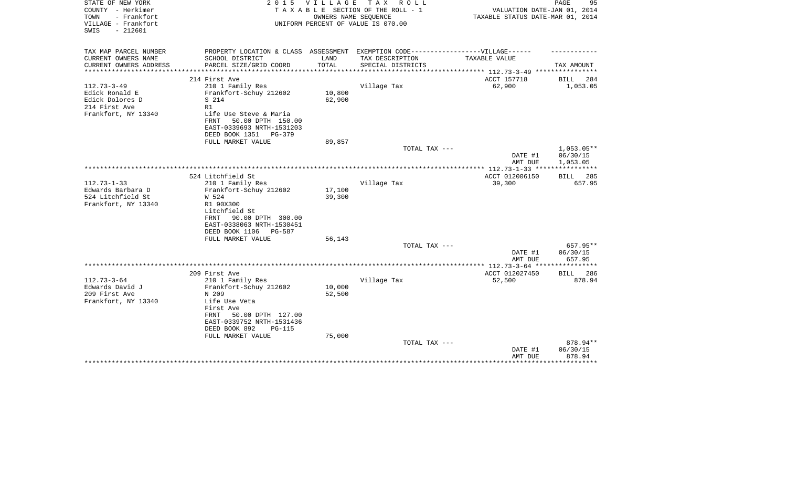| STATE OF NEW YORK<br>COUNTY - Herkimer<br>TOWN<br>- Frankfort<br>VILLAGE - Frankfort | 2 0 1 5                                                                           | V I L L A G E | T A X<br>R O L L<br>TAXABLE SECTION OF THE ROLL - 1<br>OWNERS NAME SEQUENCE<br>UNIFORM PERCENT OF VALUE IS 070.00 | VALUATION DATE-JAN 01, 2014<br>TAXABLE STATUS DATE-MAR 01, 2014 | 95<br>PAGE               |
|--------------------------------------------------------------------------------------|-----------------------------------------------------------------------------------|---------------|-------------------------------------------------------------------------------------------------------------------|-----------------------------------------------------------------|--------------------------|
| $-212601$<br>SWIS                                                                    |                                                                                   |               |                                                                                                                   |                                                                 |                          |
| TAX MAP PARCEL NUMBER                                                                | PROPERTY LOCATION & CLASS ASSESSMENT EXEMPTION CODE-----------------VILLAGE------ |               |                                                                                                                   |                                                                 |                          |
| CURRENT OWNERS NAME                                                                  | SCHOOL DISTRICT                                                                   | LAND          | TAX DESCRIPTION                                                                                                   | TAXABLE VALUE                                                   |                          |
| CURRENT OWNERS ADDRESS<br>****************                                           | PARCEL SIZE/GRID COORD                                                            | TOTAL         | SPECIAL DISTRICTS                                                                                                 |                                                                 | TAX AMOUNT               |
|                                                                                      | 214 First Ave                                                                     |               |                                                                                                                   | ACCT 157718                                                     | <b>BILL</b><br>284       |
| $112.73 - 3 - 49$                                                                    | 210 1 Family Res                                                                  |               | Village Tax                                                                                                       | 62,900                                                          | 1,053.05                 |
| Edick Ronald E                                                                       | Frankfort-Schuy 212602                                                            | 10,800        |                                                                                                                   |                                                                 |                          |
| Edick Dolores D                                                                      | S 214                                                                             | 62,900        |                                                                                                                   |                                                                 |                          |
| 214 First Ave                                                                        | R1                                                                                |               |                                                                                                                   |                                                                 |                          |
| Frankfort, NY 13340                                                                  | Life Use Steve & Maria                                                            |               |                                                                                                                   |                                                                 |                          |
|                                                                                      | 50.00 DPTH 150.00<br>FRNT                                                         |               |                                                                                                                   |                                                                 |                          |
|                                                                                      | EAST-0339693 NRTH-1531203                                                         |               |                                                                                                                   |                                                                 |                          |
|                                                                                      | DEED BOOK 1351<br>PG-379                                                          |               |                                                                                                                   |                                                                 |                          |
|                                                                                      | FULL MARKET VALUE                                                                 | 89,857        |                                                                                                                   |                                                                 |                          |
|                                                                                      |                                                                                   |               | TOTAL TAX ---                                                                                                     | DATE #1                                                         | $1,053.05**$<br>06/30/15 |
|                                                                                      |                                                                                   |               |                                                                                                                   | AMT DUE                                                         | 1,053.05                 |
|                                                                                      |                                                                                   |               |                                                                                                                   | *************** 112.73-1-33 ****                                | ************             |
|                                                                                      | 524 Litchfield St                                                                 |               |                                                                                                                   | ACCT 012006150                                                  | <b>BILL</b><br>285       |
| $112.73 - 1 - 33$                                                                    | 210 1 Family Res                                                                  |               | Village Tax                                                                                                       | 39,300                                                          | 657.95                   |
| Edwards Barbara D                                                                    | Frankfort-Schuy 212602                                                            | 17,100        |                                                                                                                   |                                                                 |                          |
| 524 Litchfield St                                                                    | W 524                                                                             | 39,300        |                                                                                                                   |                                                                 |                          |
| Frankfort, NY 13340                                                                  | R1 90X300                                                                         |               |                                                                                                                   |                                                                 |                          |
|                                                                                      | Litchfield St                                                                     |               |                                                                                                                   |                                                                 |                          |
|                                                                                      | 90.00 DPTH 300.00<br>FRNT                                                         |               |                                                                                                                   |                                                                 |                          |
|                                                                                      | EAST-0338063 NRTH-1530451                                                         |               |                                                                                                                   |                                                                 |                          |
|                                                                                      | DEED BOOK 1106<br>PG-587<br>FULL MARKET VALUE                                     | 56,143        |                                                                                                                   |                                                                 |                          |
|                                                                                      |                                                                                   |               | TOTAL TAX ---                                                                                                     |                                                                 | 657.95**                 |
|                                                                                      |                                                                                   |               |                                                                                                                   | DATE #1                                                         | 06/30/15                 |
|                                                                                      |                                                                                   |               |                                                                                                                   | AMT DUE                                                         | 657.95                   |
|                                                                                      |                                                                                   |               |                                                                                                                   |                                                                 | * * * * * * * * * * * *  |
|                                                                                      | 209 First Ave                                                                     |               |                                                                                                                   | ACCT 012027450                                                  | 286<br><b>BILL</b>       |
| $112.73 - 3 - 64$                                                                    | 210 1 Family Res                                                                  |               | Village Tax                                                                                                       | 52,500                                                          | 878.94                   |
| Edwards David J                                                                      | Frankfort-Schuy 212602                                                            | 10,000        |                                                                                                                   |                                                                 |                          |
| 209 First Ave                                                                        | N 209                                                                             | 52,500        |                                                                                                                   |                                                                 |                          |
| Frankfort, NY 13340                                                                  | Life Use Veta                                                                     |               |                                                                                                                   |                                                                 |                          |
|                                                                                      | First Ave                                                                         |               |                                                                                                                   |                                                                 |                          |
|                                                                                      | 50.00 DPTH 127.00<br>FRNT<br>EAST-0339752 NRTH-1531436                            |               |                                                                                                                   |                                                                 |                          |
|                                                                                      | DEED BOOK 892<br><b>PG-115</b>                                                    |               |                                                                                                                   |                                                                 |                          |
|                                                                                      | FULL MARKET VALUE                                                                 | 75,000        |                                                                                                                   |                                                                 |                          |
|                                                                                      |                                                                                   |               | TOTAL TAX ---                                                                                                     |                                                                 | 878.94**                 |
|                                                                                      |                                                                                   |               |                                                                                                                   | DATE #1                                                         | 06/30/15                 |
|                                                                                      |                                                                                   |               |                                                                                                                   | AMT DUE                                                         | 878.94                   |
|                                                                                      |                                                                                   |               |                                                                                                                   |                                                                 |                          |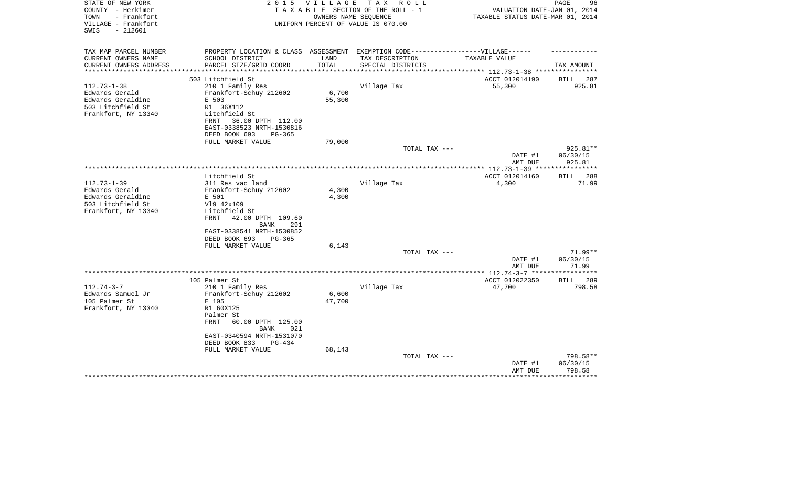| STATE OF NEW YORK<br>COUNTY - Herkimer<br>- Frankfort<br>TOWN<br>VILLAGE - Frankfort<br>$-212601$<br>SWIS | 2 0 1 5                                                | V I L L A G E | T A X<br>R O L L<br>TAXABLE SECTION OF THE ROLL - 1<br>OWNERS NAME SEQUENCE<br>UNIFORM PERCENT OF VALUE IS 070.00 | VALUATION DATE-JAN 01, 2014<br>TAXABLE STATUS DATE-MAR 01, 2014 | PAGE<br>96            |
|-----------------------------------------------------------------------------------------------------------|--------------------------------------------------------|---------------|-------------------------------------------------------------------------------------------------------------------|-----------------------------------------------------------------|-----------------------|
| TAX MAP PARCEL NUMBER                                                                                     | PROPERTY LOCATION & CLASS ASSESSMENT                   |               |                                                                                                                   | EXEMPTION CODE------------------VILLAGE------                   |                       |
| CURRENT OWNERS NAME                                                                                       | SCHOOL DISTRICT                                        | LAND          | TAX DESCRIPTION                                                                                                   | TAXABLE VALUE                                                   |                       |
| CURRENT OWNERS ADDRESS<br>*********************                                                           | PARCEL SIZE/GRID COORD<br>*************************    | TOTAL         | SPECIAL DISTRICTS                                                                                                 |                                                                 | TAX AMOUNT            |
|                                                                                                           |                                                        |               |                                                                                                                   |                                                                 |                       |
| $112.73 - 1 - 38$                                                                                         | 503 Litchfield St<br>210 1 Family Res                  |               | Village Tax                                                                                                       | ACCT 012014190<br>55,300                                        | BILL<br>287<br>925.81 |
| Edwards Gerald                                                                                            | Frankfort-Schuy 212602                                 | 6,700         |                                                                                                                   |                                                                 |                       |
| Edwards Geraldine                                                                                         | E 503                                                  | 55,300        |                                                                                                                   |                                                                 |                       |
| 503 Litchfield St                                                                                         | R1 36X112                                              |               |                                                                                                                   |                                                                 |                       |
| Frankfort, NY 13340                                                                                       | Litchfield St                                          |               |                                                                                                                   |                                                                 |                       |
|                                                                                                           | 36.00 DPTH 112.00<br>FRNT                              |               |                                                                                                                   |                                                                 |                       |
|                                                                                                           | EAST-0338523 NRTH-1530816                              |               |                                                                                                                   |                                                                 |                       |
|                                                                                                           | DEED BOOK 693<br>$PG-365$                              |               |                                                                                                                   |                                                                 |                       |
|                                                                                                           | FULL MARKET VALUE                                      | 79,000        |                                                                                                                   |                                                                 |                       |
|                                                                                                           |                                                        |               | TOTAL TAX ---                                                                                                     |                                                                 | 925.81**              |
|                                                                                                           |                                                        |               |                                                                                                                   | DATE #1<br>AMT DUE                                              | 06/30/15<br>925.81    |
|                                                                                                           |                                                        |               |                                                                                                                   |                                                                 | **********            |
|                                                                                                           | Litchfield St                                          |               |                                                                                                                   | ACCT 012014160                                                  | <b>BILL</b><br>288    |
| $112.73 - 1 - 39$                                                                                         | 311 Res vac land                                       |               | Village Tax                                                                                                       | 4,300                                                           | 71.99                 |
| Edwards Gerald                                                                                            | Frankfort-Schuy 212602                                 | 4,300         |                                                                                                                   |                                                                 |                       |
| Edwards Geraldine                                                                                         | E 501                                                  | 4,300         |                                                                                                                   |                                                                 |                       |
| 503 Litchfield St                                                                                         | V19 42x109                                             |               |                                                                                                                   |                                                                 |                       |
| Frankfort, NY 13340                                                                                       | Litchfield St                                          |               |                                                                                                                   |                                                                 |                       |
|                                                                                                           | 42.00 DPTH 109.60<br>FRNT                              |               |                                                                                                                   |                                                                 |                       |
|                                                                                                           | 291<br>BANK                                            |               |                                                                                                                   |                                                                 |                       |
|                                                                                                           | EAST-0338541 NRTH-1530852<br>DEED BOOK 693<br>$PG-365$ |               |                                                                                                                   |                                                                 |                       |
|                                                                                                           | FULL MARKET VALUE                                      | 6,143         |                                                                                                                   |                                                                 |                       |
|                                                                                                           |                                                        |               | TOTAL TAX ---                                                                                                     |                                                                 | 71.99**               |
|                                                                                                           |                                                        |               |                                                                                                                   | DATE #1                                                         | 06/30/15              |
|                                                                                                           |                                                        |               |                                                                                                                   | AMT DUE                                                         | 71.99                 |
|                                                                                                           |                                                        |               |                                                                                                                   | ****** $112.74-3-7$ ****                                        | **********            |
|                                                                                                           | 105 Palmer St                                          |               |                                                                                                                   | ACCT 012022350                                                  | <b>BILL</b> 289       |
| $112.74 - 3 - 7$                                                                                          | 210 1 Family Res                                       |               | Village Tax                                                                                                       | 47,700                                                          | 798.58                |
| Edwards Samuel Jr                                                                                         | Frankfort-Schuy 212602                                 | 6,600         |                                                                                                                   |                                                                 |                       |
| 105 Palmer St                                                                                             | E 105<br>R1 60X125                                     | 47,700        |                                                                                                                   |                                                                 |                       |
| Frankfort, NY 13340                                                                                       | Palmer St                                              |               |                                                                                                                   |                                                                 |                       |
|                                                                                                           | <b>FRNT</b><br>60.00 DPTH 125.00                       |               |                                                                                                                   |                                                                 |                       |
|                                                                                                           | <b>BANK</b><br>021                                     |               |                                                                                                                   |                                                                 |                       |
|                                                                                                           | EAST-0340594 NRTH-1531070                              |               |                                                                                                                   |                                                                 |                       |
|                                                                                                           | DEED BOOK 833<br>$PG-4.34$                             |               |                                                                                                                   |                                                                 |                       |
|                                                                                                           | FULL MARKET VALUE                                      | 68,143        |                                                                                                                   |                                                                 |                       |
|                                                                                                           |                                                        |               | TOTAL TAX ---                                                                                                     |                                                                 | 798.58**              |
|                                                                                                           |                                                        |               |                                                                                                                   | DATE #1                                                         | 06/30/15              |
|                                                                                                           |                                                        |               |                                                                                                                   | AMT DUE                                                         | 798.58                |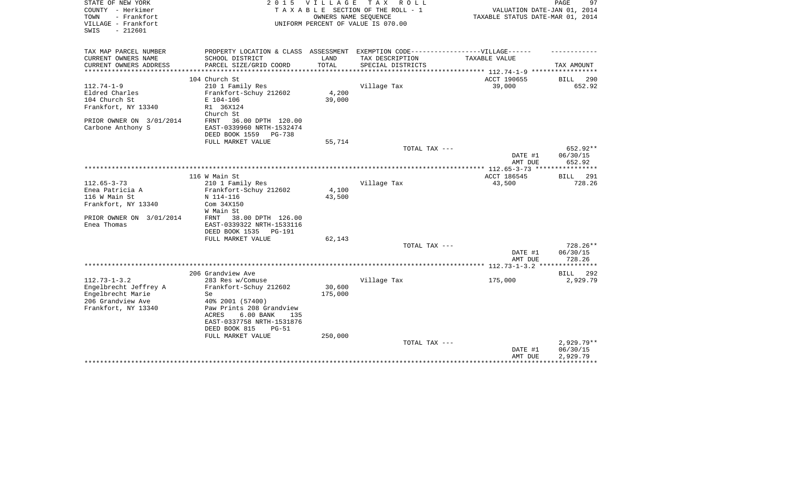| STATE OF NEW YORK                          | 2 0 1 5                                               | V I L L A G E             | T A X<br>R O L L                                           |                                                    | 97<br>PAGE            |
|--------------------------------------------|-------------------------------------------------------|---------------------------|------------------------------------------------------------|----------------------------------------------------|-----------------------|
| COUNTY - Herkimer                          |                                                       |                           | TAXABLE SECTION OF THE ROLL - 1                            | VALUATION DATE-JAN 01, 2014                        |                       |
| - Frankfort<br>TOWN<br>VILLAGE - Frankfort |                                                       |                           | OWNERS NAME SEQUENCE<br>UNIFORM PERCENT OF VALUE IS 070.00 | TAXABLE STATUS DATE-MAR 01, 2014                   |                       |
| $-212601$<br>SWIS                          |                                                       |                           |                                                            |                                                    |                       |
|                                            |                                                       |                           |                                                            |                                                    |                       |
| TAX MAP PARCEL NUMBER                      | PROPERTY LOCATION & CLASS ASSESSMENT                  |                           | EXEMPTION CODE------------------VILLAGE------              |                                                    |                       |
| CURRENT OWNERS NAME                        | SCHOOL DISTRICT                                       | LAND                      | TAX DESCRIPTION                                            | TAXABLE VALUE                                      |                       |
| CURRENT OWNERS ADDRESS<br>**************   | PARCEL SIZE/GRID COORD<br>*************************** | TOTAL<br>**************** | SPECIAL DISTRICTS                                          |                                                    | TAX AMOUNT            |
|                                            |                                                       |                           |                                                            | ******************** 112.74-1-9 ****************** |                       |
| $112.74 - 1 - 9$                           | 104 Church St                                         |                           |                                                            | ACCT 190655                                        | 290<br>BILL           |
|                                            | 210 1 Family Res                                      | 4,200                     | Village Tax                                                | 39,000                                             | 652.92                |
| Eldred Charles                             | Frankfort-Schuy 212602                                |                           |                                                            |                                                    |                       |
| 104 Church St                              | E 104-106                                             | 39,000                    |                                                            |                                                    |                       |
| Frankfort, NY 13340                        | R1 36X124                                             |                           |                                                            |                                                    |                       |
|                                            | Church St                                             |                           |                                                            |                                                    |                       |
| PRIOR OWNER ON 3/01/2014                   | 36.00 DPTH 120.00<br>FRNT                             |                           |                                                            |                                                    |                       |
| Carbone Anthony S                          | EAST-0339960 NRTH-1532474                             |                           |                                                            |                                                    |                       |
|                                            | DEED BOOK 1559<br>PG-738                              |                           |                                                            |                                                    |                       |
|                                            | FULL MARKET VALUE                                     | 55,714                    |                                                            |                                                    |                       |
|                                            |                                                       |                           | TOTAL TAX ---                                              |                                                    | 652.92**              |
|                                            |                                                       |                           |                                                            | DATE #1                                            | 06/30/15              |
|                                            |                                                       |                           |                                                            | AMT DUE                                            | 652.92                |
|                                            |                                                       |                           |                                                            |                                                    |                       |
| $112.65 - 3 - 73$                          | 116 W Main St                                         |                           | Village Tax                                                | ACCT 186545                                        | BILL<br>291<br>728.26 |
| Enea Patricia A                            | 210 1 Family Res                                      | 4,100                     |                                                            | 43,500                                             |                       |
| 116 W Main St                              | Frankfort-Schuy 212602                                | 43,500                    |                                                            |                                                    |                       |
|                                            | N 114-116                                             |                           |                                                            |                                                    |                       |
| Frankfort, NY 13340                        | Com 34X150<br>W Main St                               |                           |                                                            |                                                    |                       |
| PRIOR OWNER ON 3/01/2014                   | 38.00 DPTH 126.00<br>FRNT                             |                           |                                                            |                                                    |                       |
| Enea Thomas                                | EAST-0339322 NRTH-1533116                             |                           |                                                            |                                                    |                       |
|                                            | DEED BOOK 1535<br>PG-191                              |                           |                                                            |                                                    |                       |
|                                            | FULL MARKET VALUE                                     | 62,143                    |                                                            |                                                    |                       |
|                                            |                                                       |                           | TOTAL TAX ---                                              |                                                    | 728.26**              |
|                                            |                                                       |                           |                                                            | DATE #1                                            | 06/30/15              |
|                                            |                                                       |                           |                                                            | AMT DUE                                            | 728.26                |
|                                            |                                                       |                           |                                                            |                                                    |                       |
|                                            | 206 Grandview Ave                                     |                           |                                                            |                                                    | BILL<br>292           |
| $112.73 - 1 - 3.2$                         | 283 Res w/Comuse                                      |                           | Village Tax                                                | 175,000                                            | 2,929.79              |
| Engelbrecht Jeffrey A                      | Frankfort-Schuy 212602                                | 30,600                    |                                                            |                                                    |                       |
| Engelbrecht Marie                          | Se                                                    | 175,000                   |                                                            |                                                    |                       |
| 206 Grandview Ave                          | 40% 2001 (57400)                                      |                           |                                                            |                                                    |                       |
| Frankfort, NY 13340                        | Paw Prints 208 Grandview                              |                           |                                                            |                                                    |                       |
|                                            | 6.00 BANK<br>ACRES<br>135                             |                           |                                                            |                                                    |                       |
|                                            | EAST-0337758 NRTH-1531876                             |                           |                                                            |                                                    |                       |
|                                            | DEED BOOK 815<br>$PG-51$                              |                           |                                                            |                                                    |                       |
|                                            | FULL MARKET VALUE                                     | 250,000                   |                                                            |                                                    |                       |
|                                            |                                                       |                           | TOTAL TAX ---                                              |                                                    | $2,929.79**$          |
|                                            |                                                       |                           |                                                            | DATE #1                                            | 06/30/15              |
|                                            |                                                       |                           |                                                            | AMT DUE                                            | 2,929.79              |
|                                            |                                                       |                           |                                                            |                                                    |                       |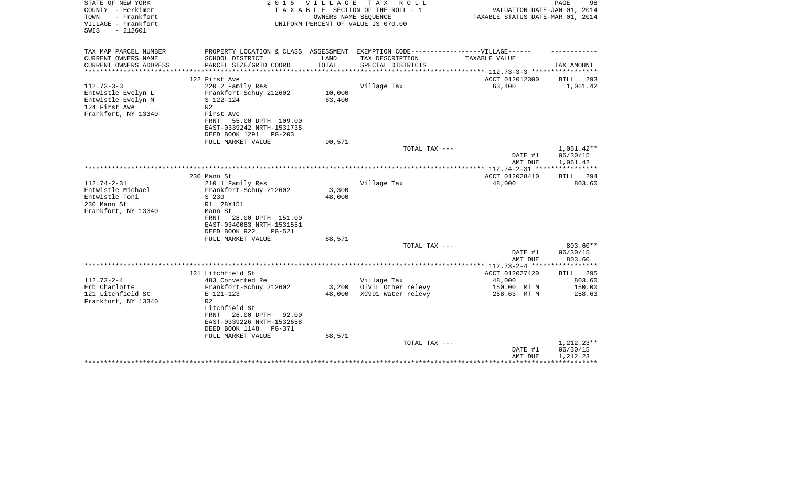| STATE OF NEW YORK<br>COUNTY - Herkimer<br>- Frankfort<br>TOWN<br>VILLAGE - Frankfort<br>$-212601$<br>SWIS                                                                                              | 2 0 1 5                                                    | VILLAGE<br>OWNERS NAME SEOUENCE | TAX ROLL<br>TAXABLE SECTION OF THE ROLL - 1<br>UNIFORM PERCENT OF VALUE IS 070.00 | TAXABLE STATUS DATE-MAR 01, 2014                                                  | 98<br>PAGE<br>VALUATION DATE-JAN 01, 2014 |
|--------------------------------------------------------------------------------------------------------------------------------------------------------------------------------------------------------|------------------------------------------------------------|---------------------------------|-----------------------------------------------------------------------------------|-----------------------------------------------------------------------------------|-------------------------------------------|
| TAX MAP PARCEL NUMBER                                                                                                                                                                                  |                                                            |                                 |                                                                                   | PROPERTY LOCATION & CLASS ASSESSMENT EXEMPTION CODE-----------------VILLAGE------ |                                           |
| CURRENT OWNERS NAME<br>SCHOOL DISTRICT<br>CURRENT OWNERS ADDRESS<br>PARCEL SIZE/GRID COORD                                                                                                             |                                                            | LAND<br>TOTAL                   | TAX DESCRIPTION                                                                   | <b>TAXABLE VALUE</b>                                                              |                                           |
| **********************                                                                                                                                                                                 |                                                            |                                 | SPECIAL DISTRICTS                                                                 |                                                                                   | TAX AMOUNT                                |
| 122 First Ave                                                                                                                                                                                          |                                                            |                                 |                                                                                   | ACCT 012012300                                                                    | <b>BILL</b><br>293                        |
| $112.73 - 3 - 3$<br>220 2 Family Res<br>Entwistle Evelyn L<br>Frankfort-Schuy 212602<br>S 122-124<br>Entwistle Evelyn M<br>124 First Ave<br>R <sub>2</sub><br>Frankfort, NY 13340<br>First Ave<br>FRNT | 55.00 DPTH 109.00<br>EAST-0339242 NRTH-1531735             | 10,000<br>63,400                | Village Tax                                                                       | 63,400                                                                            | 1,061.42                                  |
| DEED BOOK 1291<br>FULL MARKET VALUE                                                                                                                                                                    | $PG-203$                                                   | 90,571                          |                                                                                   |                                                                                   |                                           |
|                                                                                                                                                                                                        |                                                            |                                 | TOTAL TAX ---                                                                     |                                                                                   | 1,061.42**                                |
|                                                                                                                                                                                                        |                                                            |                                 |                                                                                   | DATE #1<br>AMT DUE                                                                | 06/30/15<br>1,061.42                      |
| 230 Mann St                                                                                                                                                                                            |                                                            |                                 |                                                                                   | ACCT 012028410                                                                    | <b>BILL</b><br>294                        |
| $112.74 - 2 - 31$<br>210 1 Family Res                                                                                                                                                                  |                                                            |                                 | Village Tax                                                                       | 48,000                                                                            | 803.60                                    |
| Entwistle Michael<br>Frankfort-Schuy 212602<br>Entwistle Toni<br>S 230<br>R1 28X151<br>230 Mann St                                                                                                     |                                                            | 3,300<br>48,000                 |                                                                                   |                                                                                   |                                           |
| Frankfort, NY 13340<br>Mann St<br>FRNT<br>DEED BOOK 922                                                                                                                                                | 28.00 DPTH 151.00<br>EAST-0340083 NRTH-1531551<br>$PG-521$ |                                 |                                                                                   |                                                                                   |                                           |
| FULL MARKET VALUE                                                                                                                                                                                      |                                                            | 68,571                          | TOTAL TAX ---                                                                     |                                                                                   | 803.60**                                  |
|                                                                                                                                                                                                        |                                                            |                                 |                                                                                   | DATE #1<br>AMT DUE                                                                | 06/30/15<br>803.60                        |
|                                                                                                                                                                                                        |                                                            |                                 |                                                                                   |                                                                                   |                                           |
| 121 Litchfield St                                                                                                                                                                                      |                                                            |                                 |                                                                                   | ACCT 012027420                                                                    | <b>BILL</b> 295                           |
| $112.73 - 2 - 4$<br>483 Converted Re<br>Erb Charlotte<br>Frankfort-Schuy 212602                                                                                                                        |                                                            | 3,200                           | Village Tax<br>OTVIL Other relevy                                                 | 48,000<br>150.00 MT M                                                             | 803.60<br>150.00                          |
| 121 Litchfield St<br>E 121-123                                                                                                                                                                         |                                                            | 48,000                          | XC991 Water relevy                                                                | 258.63 MT M                                                                       | 258.63                                    |
| Frankfort, NY 13340<br>R <sub>2</sub><br>Litchfield St<br>FRNT<br>DEED BOOK 1148                                                                                                                       | 26.00 DPTH<br>92.00<br>EAST-0339226 NRTH-1532658<br>PG-371 |                                 |                                                                                   |                                                                                   |                                           |
| FULL MARKET VALUE                                                                                                                                                                                      |                                                            | 68,571                          | TOTAL TAX ---                                                                     |                                                                                   | $1,212.23**$                              |
|                                                                                                                                                                                                        |                                                            |                                 |                                                                                   | DATE #1<br>AMT DUE                                                                | 06/30/15<br>1,212.23                      |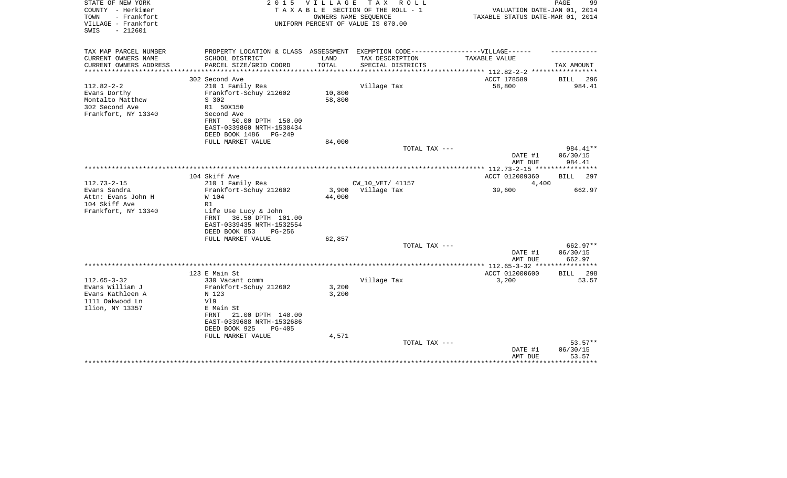| STATE OF NEW YORK<br>COUNTY - Herkimer<br>- Frankfort<br>TOWN<br>VILLAGE - Frankfort | 2 0 1 5                                                                          | VILLAGE                      | TAX ROLL<br>TAXABLE SECTION OF THE ROLL - 1<br>OWNERS NAME SEQUENCE<br>UNIFORM PERCENT OF VALUE IS 070.00 | VALUATION DATE-JAN 01, 2014<br>TAXABLE STATUS DATE-MAR 01, 2014 | PAGE<br>99       |
|--------------------------------------------------------------------------------------|----------------------------------------------------------------------------------|------------------------------|-----------------------------------------------------------------------------------------------------------|-----------------------------------------------------------------|------------------|
| $-212601$<br>SWIS                                                                    |                                                                                  |                              |                                                                                                           |                                                                 |                  |
| TAX MAP PARCEL NUMBER                                                                | PROPERTY LOCATION & CLASS ASSESSMENT EXEMPTION CODE----------------VILLAGE------ |                              |                                                                                                           |                                                                 |                  |
| CURRENT OWNERS NAME                                                                  | SCHOOL DISTRICT                                                                  | LAND                         | TAX DESCRIPTION                                                                                           | TAXABLE VALUE                                                   |                  |
| CURRENT OWNERS ADDRESS<br>********************                                       | PARCEL SIZE/GRID COORD<br>**************************                             | TOTAL<br>******************* | SPECIAL DISTRICTS                                                                                         | *************************** 112.82-2-2 *****************        | TAX AMOUNT       |
|                                                                                      | 302 Second Ave                                                                   |                              |                                                                                                           | ACCT 178589                                                     | BILL<br>296      |
| $112.82 - 2 - 2$                                                                     | 210 1 Family Res                                                                 |                              | Village Tax                                                                                               | 58,800                                                          | 984.41           |
| Evans Dorthy                                                                         | Frankfort-Schuy 212602                                                           | 10,800                       |                                                                                                           |                                                                 |                  |
| Montalto Matthew                                                                     | S 302                                                                            | 58,800                       |                                                                                                           |                                                                 |                  |
| 302 Second Ave                                                                       | R1 50X150                                                                        |                              |                                                                                                           |                                                                 |                  |
| Frankfort, NY 13340                                                                  | Second Ave                                                                       |                              |                                                                                                           |                                                                 |                  |
|                                                                                      | FRNT<br>50.00 DPTH 150.00                                                        |                              |                                                                                                           |                                                                 |                  |
|                                                                                      | EAST-0339860 NRTH-1530434                                                        |                              |                                                                                                           |                                                                 |                  |
|                                                                                      | DEED BOOK 1486<br>PG-249                                                         |                              |                                                                                                           |                                                                 |                  |
|                                                                                      | FULL MARKET VALUE                                                                | 84,000                       |                                                                                                           |                                                                 |                  |
|                                                                                      |                                                                                  |                              | TOTAL TAX ---                                                                                             |                                                                 | 984.41**         |
|                                                                                      |                                                                                  |                              |                                                                                                           | DATE #1                                                         | 06/30/15         |
|                                                                                      |                                                                                  |                              |                                                                                                           | AMT DUE                                                         | 984.41           |
|                                                                                      | 104 Skiff Ave                                                                    |                              |                                                                                                           | ACCT 012009360                                                  | BILL 297         |
| $112.73 - 2 - 15$                                                                    | 210 1 Family Res                                                                 |                              | CW_10_VET/ 41157                                                                                          | 4,400                                                           |                  |
| Evans Sandra                                                                         | Frankfort-Schuy 212602                                                           |                              | 3,900 Village Tax                                                                                         | 39,600                                                          | 662.97           |
| Attn: Evans John H                                                                   | W 104                                                                            | 44,000                       |                                                                                                           |                                                                 |                  |
| 104 Skiff Ave                                                                        | R1                                                                               |                              |                                                                                                           |                                                                 |                  |
| Frankfort, NY 13340                                                                  | Life Use Lucy & John                                                             |                              |                                                                                                           |                                                                 |                  |
|                                                                                      | 36.50 DPTH 101.00<br>FRNT                                                        |                              |                                                                                                           |                                                                 |                  |
|                                                                                      | EAST-0339435 NRTH-1532554                                                        |                              |                                                                                                           |                                                                 |                  |
|                                                                                      | DEED BOOK 853<br>$PG-256$                                                        |                              |                                                                                                           |                                                                 |                  |
|                                                                                      | FULL MARKET VALUE                                                                | 62,857                       |                                                                                                           |                                                                 |                  |
|                                                                                      |                                                                                  |                              | TOTAL TAX ---                                                                                             |                                                                 | 662.97**         |
|                                                                                      |                                                                                  |                              |                                                                                                           | DATE #1                                                         | 06/30/15         |
|                                                                                      |                                                                                  |                              |                                                                                                           | AMT DUE                                                         | 662.97           |
|                                                                                      | 123 E Main St                                                                    |                              |                                                                                                           | ACCT 012000600                                                  | BILL<br>298      |
| $112.65 - 3 - 32$                                                                    | 330 Vacant comm                                                                  |                              | Village Tax                                                                                               | 3,200                                                           | 53.57            |
| Evans William J                                                                      | Frankfort-Schuy 212602                                                           | 3,200                        |                                                                                                           |                                                                 |                  |
| Evans Kathleen A                                                                     | N 123                                                                            | 3,200                        |                                                                                                           |                                                                 |                  |
| 1111 Oakwood Ln                                                                      | V19                                                                              |                              |                                                                                                           |                                                                 |                  |
| Ilion, NY 13357                                                                      | E Main St                                                                        |                              |                                                                                                           |                                                                 |                  |
|                                                                                      | 21.00 DPTH 140.00<br>FRNT                                                        |                              |                                                                                                           |                                                                 |                  |
|                                                                                      | EAST-0339688 NRTH-1532686                                                        |                              |                                                                                                           |                                                                 |                  |
|                                                                                      | DEED BOOK 925<br>$PG-405$                                                        |                              |                                                                                                           |                                                                 |                  |
|                                                                                      | FULL MARKET VALUE                                                                | 4,571                        |                                                                                                           |                                                                 |                  |
|                                                                                      |                                                                                  |                              | TOTAL TAX ---                                                                                             |                                                                 | $53.57**$        |
|                                                                                      |                                                                                  |                              |                                                                                                           | DATE #1                                                         | 06/30/15         |
|                                                                                      |                                                                                  |                              |                                                                                                           | AMT DUE                                                         | 53.57<br>******* |
|                                                                                      |                                                                                  |                              |                                                                                                           |                                                                 |                  |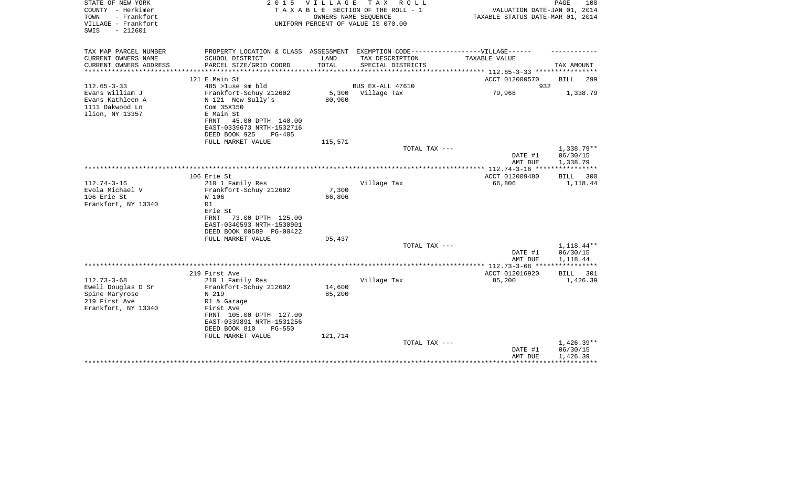| STATE OF NEW YORK<br>COUNTY - Herkimer<br>TOWN<br>- Frankfort<br>VILLAGE - Frankfort<br>$-212601$<br>SWIS | 2 0 1 5                                                                                                                          | VILLAGE       | T A X<br>R O L L<br>TAXABLE SECTION OF THE ROLL - 1<br>OWNERS NAME SEQUENCE<br>UNIFORM PERCENT OF VALUE IS 070.00 | VALUATION DATE-JAN 01, 2014<br>TAXABLE STATUS DATE-MAR 01, 2014 | PAGE<br>100                    |
|-----------------------------------------------------------------------------------------------------------|----------------------------------------------------------------------------------------------------------------------------------|---------------|-------------------------------------------------------------------------------------------------------------------|-----------------------------------------------------------------|--------------------------------|
| TAX MAP PARCEL NUMBER                                                                                     | PROPERTY LOCATION & CLASS ASSESSMENT EXEMPTION CODE-----------------VILLAGE------                                                |               |                                                                                                                   |                                                                 |                                |
| CURRENT OWNERS NAME<br>CURRENT OWNERS ADDRESS                                                             | SCHOOL DISTRICT<br>PARCEL SIZE/GRID COORD                                                                                        | LAND<br>TOTAL | TAX DESCRIPTION<br>SPECIAL DISTRICTS                                                                              | TAXABLE VALUE                                                   | TAX AMOUNT                     |
| *************                                                                                             |                                                                                                                                  |               |                                                                                                                   | *************** 112.65-3-33 ***********                         |                                |
|                                                                                                           | 121 E Main St                                                                                                                    |               |                                                                                                                   | ACCT 012000570                                                  | BILL<br>299                    |
| $112.65 - 3 - 33$                                                                                         | 485 >luse sm bld                                                                                                                 |               | BUS EX-ALL 47610                                                                                                  | 932                                                             |                                |
| Evans William J<br>Evans Kathleen A<br>1111 Oakwood Ln<br>Ilion, NY 13357                                 | Frankfort-Schuy 212602<br>N 121 New Sully's<br>Com 35X150<br>E Main St<br>45.00 DPTH 140.00<br>FRNT<br>EAST-0339673 NRTH-1532716 | 80,900        | 5,300 Village Tax                                                                                                 | 79,968                                                          | 1,338.79                       |
|                                                                                                           | DEED BOOK 925<br><b>PG-405</b>                                                                                                   |               |                                                                                                                   |                                                                 |                                |
|                                                                                                           | FULL MARKET VALUE                                                                                                                | 115,571       |                                                                                                                   |                                                                 |                                |
|                                                                                                           |                                                                                                                                  |               | TOTAL TAX ---                                                                                                     | DATE #1                                                         | 1,338.79**<br>06/30/15         |
|                                                                                                           |                                                                                                                                  |               |                                                                                                                   | AMT DUE                                                         | 1,338.79                       |
|                                                                                                           |                                                                                                                                  |               |                                                                                                                   | ***************** 112.74-3-16 *****************                 |                                |
| $112.74 - 3 - 16$                                                                                         | 106 Erie St<br>210 1 Family Res                                                                                                  |               | Village Tax                                                                                                       | ACCT 012009480<br>66,806                                        | <b>BILL</b><br>300<br>1,118.44 |
| Evola Michael V                                                                                           | Frankfort-Schuy 212602                                                                                                           | 7,300         |                                                                                                                   |                                                                 |                                |
| 106 Erie St                                                                                               | W 106                                                                                                                            | 66,806        |                                                                                                                   |                                                                 |                                |
| Frankfort, NY 13340                                                                                       | R1                                                                                                                               |               |                                                                                                                   |                                                                 |                                |
|                                                                                                           | Erie St<br>73.00 DPTH 125.00<br>FRNT<br>EAST-0340593 NRTH-1530901<br>DEED BOOK 00589 PG-00422                                    |               |                                                                                                                   |                                                                 |                                |
|                                                                                                           | FULL MARKET VALUE                                                                                                                | 95,437        | TOTAL TAX ---                                                                                                     |                                                                 | 1,118.44**                     |
|                                                                                                           |                                                                                                                                  |               |                                                                                                                   | DATE #1                                                         | 06/30/15                       |
|                                                                                                           |                                                                                                                                  |               |                                                                                                                   | AMT DUE                                                         | 1,118.44                       |
|                                                                                                           | 219 First Ave                                                                                                                    |               |                                                                                                                   | ACCT 012016920                                                  | BILL<br>301                    |
| $112.73 - 3 - 68$                                                                                         | 210 1 Family Res                                                                                                                 |               | Village Tax                                                                                                       | 85,200                                                          | 1,426.39                       |
| Ewell Douglas D Sr                                                                                        | Frankfort-Schuy 212602                                                                                                           | 14,600        |                                                                                                                   |                                                                 |                                |
| Spine Maryrose                                                                                            | N 219                                                                                                                            | 85,200        |                                                                                                                   |                                                                 |                                |
| 219 First Ave                                                                                             | R1 & Garage                                                                                                                      |               |                                                                                                                   |                                                                 |                                |
| Frankfort, NY 13340                                                                                       | First Ave<br>FRNT 105.00 DPTH 127.00<br>EAST-0339891 NRTH-1531256<br>DEED BOOK 810<br>$PG-550$                                   |               |                                                                                                                   |                                                                 |                                |
|                                                                                                           | FULL MARKET VALUE                                                                                                                | 121,714       |                                                                                                                   |                                                                 |                                |
|                                                                                                           |                                                                                                                                  |               | TOTAL TAX ---                                                                                                     | DATE #1                                                         | $1,426.39**$<br>06/30/15       |
|                                                                                                           |                                                                                                                                  |               |                                                                                                                   | AMT DUE                                                         | 1,426.39                       |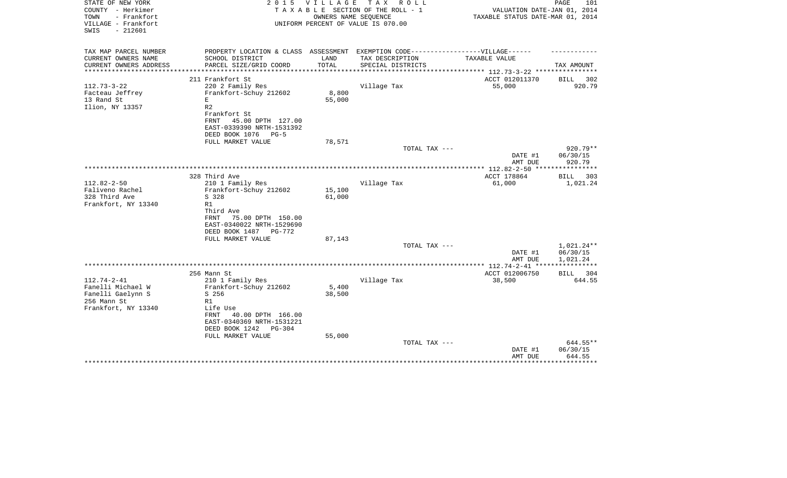| STATE OF NEW YORK<br>COUNTY - Herkimer<br>- Frankfort<br>TOWN | 2 0 1 5                                          | V I L L A G E | T A X<br>R O L L<br>TAXABLE SECTION OF THE ROLL - 1<br>OWNERS NAME SEQUENCE | VALUATION DATE-JAN 01, 2014<br>TAXABLE STATUS DATE-MAR 01, 2014 | PAGE<br>101          |
|---------------------------------------------------------------|--------------------------------------------------|---------------|-----------------------------------------------------------------------------|-----------------------------------------------------------------|----------------------|
| VILLAGE - Frankfort<br>$-212601$<br>SWIS                      |                                                  |               | UNIFORM PERCENT OF VALUE IS 070.00                                          |                                                                 |                      |
| TAX MAP PARCEL NUMBER                                         | PROPERTY LOCATION & CLASS ASSESSMENT             |               | EXEMPTION CODE------------------VILLAGE------                               |                                                                 |                      |
| CURRENT OWNERS NAME                                           | SCHOOL DISTRICT                                  | LAND          | TAX DESCRIPTION                                                             | TAXABLE VALUE                                                   |                      |
| CURRENT OWNERS ADDRESS<br>********************                | PARCEL SIZE/GRID COORD                           | TOTAL         | SPECIAL DISTRICTS                                                           | **************** 112.73-3-22 *****************                  | TAX AMOUNT           |
|                                                               | 211 Frankfort St                                 |               |                                                                             | ACCT 012011370                                                  | 302<br>BILL          |
| $112.73 - 3 - 22$                                             | 220 2 Family Res                                 |               | Village Tax                                                                 | 55,000                                                          | 920.79               |
| Facteau Jeffrey                                               | Frankfort-Schuy 212602                           | 8,800         |                                                                             |                                                                 |                      |
| 13 Rand St                                                    | E                                                | 55,000        |                                                                             |                                                                 |                      |
| Ilion, NY 13357                                               | R <sub>2</sub>                                   |               |                                                                             |                                                                 |                      |
|                                                               | Frankfort St<br><b>FRNT</b><br>45.00 DPTH 127.00 |               |                                                                             |                                                                 |                      |
|                                                               | EAST-0339390 NRTH-1531392                        |               |                                                                             |                                                                 |                      |
|                                                               | DEED BOOK 1076<br>$PG-5$                         |               |                                                                             |                                                                 |                      |
|                                                               | FULL MARKET VALUE                                | 78,571        |                                                                             |                                                                 |                      |
|                                                               |                                                  |               | TOTAL TAX ---                                                               |                                                                 | $920.79**$           |
|                                                               |                                                  |               |                                                                             | DATE #1                                                         | 06/30/15             |
|                                                               |                                                  |               |                                                                             | AMT DUE                                                         | 920.79               |
|                                                               | 328 Third Ave                                    |               |                                                                             | ACCT 178864                                                     | BILL<br>303          |
| $112.82 - 2 - 50$                                             | 210 1 Family Res                                 |               | Village Tax                                                                 | 61,000                                                          | 1,021.24             |
| Faliveno Rachel                                               | Frankfort-Schuy 212602                           | 15,100        |                                                                             |                                                                 |                      |
| 328 Third Ave                                                 | S 328                                            | 61,000        |                                                                             |                                                                 |                      |
| Frankfort, NY 13340                                           | R1                                               |               |                                                                             |                                                                 |                      |
|                                                               | Third Ave<br>FRNT<br>75.00 DPTH 150.00           |               |                                                                             |                                                                 |                      |
|                                                               | EAST-0340022 NRTH-1529690                        |               |                                                                             |                                                                 |                      |
|                                                               | DEED BOOK 1487 PG-772                            |               |                                                                             |                                                                 |                      |
|                                                               | FULL MARKET VALUE                                | 87,143        |                                                                             |                                                                 |                      |
|                                                               |                                                  |               | TOTAL TAX ---                                                               |                                                                 | $1,021.24**$         |
|                                                               |                                                  |               |                                                                             | DATE #1<br>AMT DUE                                              | 06/30/15<br>1,021.24 |
|                                                               |                                                  |               |                                                                             |                                                                 |                      |
|                                                               | 256 Mann St                                      |               |                                                                             | ACCT 012006750                                                  | BILL 304             |
| $112.74 - 2 - 41$                                             | 210 1 Family Res                                 |               | Village Tax                                                                 | 38,500                                                          | 644.55               |
| Fanelli Michael W                                             | Frankfort-Schuy 212602                           | 5,400         |                                                                             |                                                                 |                      |
| Fanelli Gaelynn S                                             | S 256                                            | 38,500        |                                                                             |                                                                 |                      |
| 256 Mann St<br>Frankfort, NY 13340                            | R1<br>Life Use                                   |               |                                                                             |                                                                 |                      |
|                                                               | 40.00 DPTH 166.00<br>FRNT                        |               |                                                                             |                                                                 |                      |
|                                                               | EAST-0340369 NRTH-1531221                        |               |                                                                             |                                                                 |                      |
|                                                               | DEED BOOK 1242<br>$PG-304$                       |               |                                                                             |                                                                 |                      |
|                                                               | FULL MARKET VALUE                                | 55,000        |                                                                             |                                                                 |                      |
|                                                               |                                                  |               | TOTAL TAX ---                                                               |                                                                 | 644.55**             |
|                                                               |                                                  |               |                                                                             | DATE #1<br>AMT DUE                                              | 06/30/15<br>644.55   |
|                                                               | **********************************               |               |                                                                             |                                                                 | *********            |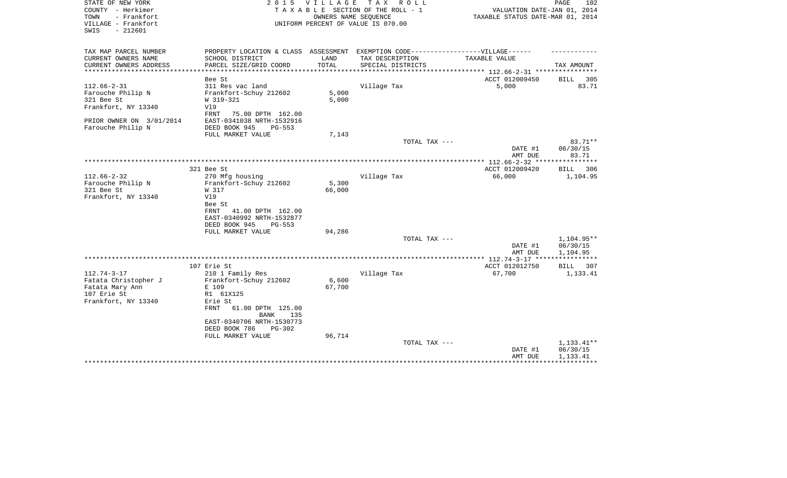| STATE OF NEW YORK<br>COUNTY - Herkimer<br>- Frankfort<br>TOWN<br>VILLAGE - Frankfort<br>SWIS<br>$-212601$ | 2 0 1 5                                                                           | VILLAGE                     | T A X<br>R O L L<br>TAXABLE SECTION OF THE ROLL - 1<br>OWNERS NAME SEQUENCE<br>UNIFORM PERCENT OF VALUE IS 070.00 | VALUATION DATE-JAN 01, 2014<br>TAXABLE STATUS DATE-MAR 01, 2014 | 102<br>PAGE          |
|-----------------------------------------------------------------------------------------------------------|-----------------------------------------------------------------------------------|-----------------------------|-------------------------------------------------------------------------------------------------------------------|-----------------------------------------------------------------|----------------------|
|                                                                                                           |                                                                                   |                             |                                                                                                                   |                                                                 |                      |
| TAX MAP PARCEL NUMBER                                                                                     | PROPERTY LOCATION & CLASS ASSESSMENT EXEMPTION CODE-----------------VILLAGE------ |                             |                                                                                                                   |                                                                 |                      |
| CURRENT OWNERS NAME                                                                                       | SCHOOL DISTRICT                                                                   | LAND                        | TAX DESCRIPTION                                                                                                   | TAXABLE VALUE                                                   |                      |
| CURRENT OWNERS ADDRESS<br>*********************                                                           | PARCEL SIZE/GRID COORD<br>********************                                    | TOTAL<br>****************** | SPECIAL DISTRICTS                                                                                                 | **************************** 112.66-2-31 ****************       | TAX AMOUNT           |
|                                                                                                           | Bee St                                                                            |                             |                                                                                                                   | ACCT 012009450                                                  | <b>BILL</b> 305      |
| $112.66 - 2 - 31$                                                                                         | 311 Res vac land                                                                  |                             | Village Tax                                                                                                       | 5,000                                                           | 83.71                |
| Farouche Philip N                                                                                         | Frankfort-Schuy 212602                                                            | 5,000                       |                                                                                                                   |                                                                 |                      |
| 321 Bee St                                                                                                | W 319-321                                                                         | 5,000                       |                                                                                                                   |                                                                 |                      |
| Frankfort, NY 13340                                                                                       | V19                                                                               |                             |                                                                                                                   |                                                                 |                      |
|                                                                                                           | FRNT<br>75.00 DPTH 162.00                                                         |                             |                                                                                                                   |                                                                 |                      |
| PRIOR OWNER ON 3/01/2014                                                                                  | EAST-0341038 NRTH-1532916                                                         |                             |                                                                                                                   |                                                                 |                      |
| Farouche Philip N                                                                                         | DEED BOOK 945<br>$PG-553$                                                         |                             |                                                                                                                   |                                                                 |                      |
|                                                                                                           | FULL MARKET VALUE                                                                 | 7,143                       |                                                                                                                   |                                                                 |                      |
|                                                                                                           |                                                                                   |                             | TOTAL TAX ---                                                                                                     | DATE #1                                                         | 83.71**<br>06/30/15  |
|                                                                                                           |                                                                                   |                             |                                                                                                                   | AMT DUE                                                         | 83.71                |
|                                                                                                           |                                                                                   |                             |                                                                                                                   |                                                                 |                      |
|                                                                                                           | 321 Bee St                                                                        |                             |                                                                                                                   | ACCT 012009420                                                  | BILL<br>306          |
| $112.66 - 2 - 32$                                                                                         | 270 Mfg housing                                                                   |                             | Village Tax                                                                                                       | 66,000                                                          | 1,104.95             |
| Farouche Philip N                                                                                         | Frankfort-Schuy 212602                                                            | 5,300                       |                                                                                                                   |                                                                 |                      |
| 321 Bee St                                                                                                | W 317                                                                             | 66,000                      |                                                                                                                   |                                                                 |                      |
| Frankfort, NY 13340                                                                                       | V19                                                                               |                             |                                                                                                                   |                                                                 |                      |
|                                                                                                           | Bee St                                                                            |                             |                                                                                                                   |                                                                 |                      |
|                                                                                                           | 41.00 DPTH 162.00<br>FRNT                                                         |                             |                                                                                                                   |                                                                 |                      |
|                                                                                                           | EAST-0340992 NRTH-1532877                                                         |                             |                                                                                                                   |                                                                 |                      |
|                                                                                                           | DEED BOOK 945<br>PG-553                                                           |                             |                                                                                                                   |                                                                 |                      |
|                                                                                                           | FULL MARKET VALUE                                                                 | 94,286                      |                                                                                                                   |                                                                 | 1,104.95**           |
|                                                                                                           |                                                                                   |                             | TOTAL TAX ---                                                                                                     | DATE #1                                                         | 06/30/15             |
|                                                                                                           |                                                                                   |                             |                                                                                                                   | AMT DUE                                                         | 1,104.95             |
|                                                                                                           |                                                                                   |                             |                                                                                                                   |                                                                 |                      |
|                                                                                                           | 107 Erie St                                                                       |                             |                                                                                                                   | ACCT 012012750                                                  | BILL<br>307          |
| $112.74 - 3 - 17$                                                                                         | 210 1 Family Res                                                                  |                             | Village Tax                                                                                                       | 67,700                                                          | 1,133.41             |
| Fatata Christopher J                                                                                      | Frankfort-Schuy 212602                                                            | 6,600                       |                                                                                                                   |                                                                 |                      |
| Fatata Mary Ann                                                                                           | E 109                                                                             | 67,700                      |                                                                                                                   |                                                                 |                      |
| 107 Erie St                                                                                               | R1 61X125                                                                         |                             |                                                                                                                   |                                                                 |                      |
| Frankfort, NY 13340                                                                                       | Erie St                                                                           |                             |                                                                                                                   |                                                                 |                      |
|                                                                                                           | 61.00 DPTH 125.00<br>FRNT<br>135<br>BANK                                          |                             |                                                                                                                   |                                                                 |                      |
|                                                                                                           | EAST-0340706 NRTH-1530773                                                         |                             |                                                                                                                   |                                                                 |                      |
|                                                                                                           | DEED BOOK 786<br>$PG-302$                                                         |                             |                                                                                                                   |                                                                 |                      |
|                                                                                                           | FULL MARKET VALUE                                                                 | 96,714                      |                                                                                                                   |                                                                 |                      |
|                                                                                                           |                                                                                   |                             | TOTAL TAX ---                                                                                                     |                                                                 | 1,133.41**           |
|                                                                                                           |                                                                                   |                             |                                                                                                                   | DATE #1<br>AMT DUE                                              | 06/30/15<br>1,133.41 |
|                                                                                                           | *********************                                                             |                             |                                                                                                                   |                                                                 |                      |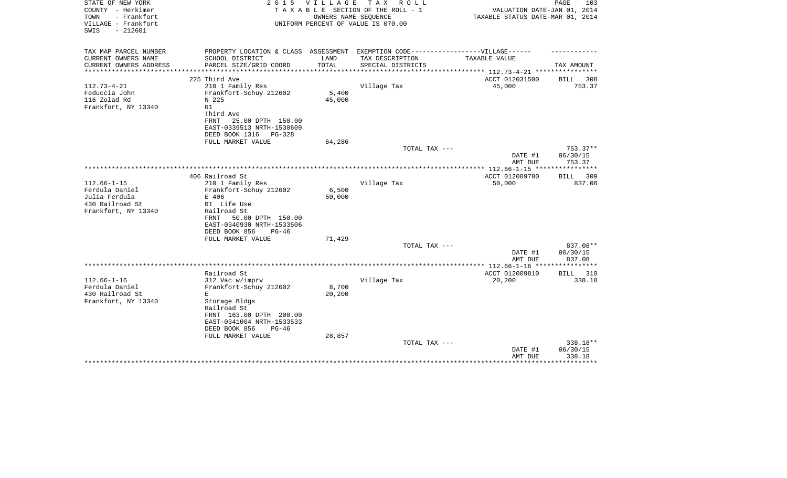| STATE OF NEW YORK<br>COUNTY - Herkimer                          | 2 0 1 5                                                                           | <b>VILLAGE</b>        | T A X<br>R O L L<br>TAXABLE SECTION OF THE ROLL - 1        | VALUATION DATE-JAN 01, 2014                                       | PAGE<br>103 |
|-----------------------------------------------------------------|-----------------------------------------------------------------------------------|-----------------------|------------------------------------------------------------|-------------------------------------------------------------------|-------------|
| TOWN<br>- Frankfort<br>VILLAGE - Frankfort<br>$-212601$<br>SWIS |                                                                                   |                       | OWNERS NAME SEQUENCE<br>UNIFORM PERCENT OF VALUE IS 070.00 | TAXABLE STATUS DATE-MAR 01, 2014                                  |             |
| TAX MAP PARCEL NUMBER                                           | PROPERTY LOCATION & CLASS ASSESSMENT EXEMPTION CODE-----------------VILLAGE------ |                       |                                                            |                                                                   |             |
| CURRENT OWNERS NAME                                             | SCHOOL DISTRICT                                                                   | LAND                  | TAX DESCRIPTION                                            | TAXABLE VALUE                                                     |             |
| CURRENT OWNERS ADDRESS<br>*******************                   | PARCEL SIZE/GRID COORD<br>**************************                              | TOTAL<br>************ | SPECIAL DISTRICTS                                          |                                                                   | TAX AMOUNT  |
|                                                                 | 225 Third Ave                                                                     |                       |                                                            | ***************** 112.73-4-21 *****************<br>ACCT 012031500 | BILL<br>308 |
| $112.73 - 4 - 21$                                               | 210 1 Family Res                                                                  |                       | Village Tax                                                | 45,000                                                            | 753.37      |
| Feduccia John                                                   | Frankfort-Schuy 212602                                                            | 5,400                 |                                                            |                                                                   |             |
| 116 Zolad Rd                                                    | N 225                                                                             | 45,000                |                                                            |                                                                   |             |
| Frankfort, NY 13340                                             | R1                                                                                |                       |                                                            |                                                                   |             |
|                                                                 | Third Ave                                                                         |                       |                                                            |                                                                   |             |
|                                                                 | <b>FRNT</b><br>25.00 DPTH 150.00                                                  |                       |                                                            |                                                                   |             |
|                                                                 | EAST-0339513 NRTH-1530609                                                         |                       |                                                            |                                                                   |             |
|                                                                 | DEED BOOK 1316<br>PG-328                                                          |                       |                                                            |                                                                   |             |
|                                                                 | FULL MARKET VALUE                                                                 | 64,286                |                                                            |                                                                   |             |
|                                                                 |                                                                                   |                       | TOTAL TAX ---                                              |                                                                   | $753.37**$  |
|                                                                 |                                                                                   |                       |                                                            | DATE #1                                                           | 06/30/15    |
|                                                                 |                                                                                   |                       |                                                            | AMT DUE                                                           | 753.37      |
|                                                                 |                                                                                   |                       |                                                            | **************** 112.66-1-15 *****************                    |             |
|                                                                 | 406 Railroad St                                                                   |                       |                                                            | ACCT 012009780                                                    | 309<br>BILL |
| $112.66 - 1 - 15$                                               | 210 1 Family Res                                                                  |                       | Village Tax                                                | 50,000                                                            | 837.08      |
| Ferdula Daniel                                                  | Frankfort-Schuy 212602                                                            | 6,500                 |                                                            |                                                                   |             |
| Julia Ferdula<br>430 Railroad St                                | E 406<br>R1 Life Use                                                              | 50,000                |                                                            |                                                                   |             |
| Frankfort, NY 13340                                             | Railroad St                                                                       |                       |                                                            |                                                                   |             |
|                                                                 | FRNT<br>50.00 DPTH 150.00                                                         |                       |                                                            |                                                                   |             |
|                                                                 | EAST-0340930 NRTH-1533506                                                         |                       |                                                            |                                                                   |             |
|                                                                 | DEED BOOK 856<br>$PG-46$                                                          |                       |                                                            |                                                                   |             |
|                                                                 | FULL MARKET VALUE                                                                 | 71,429                |                                                            |                                                                   |             |
|                                                                 |                                                                                   |                       | TOTAL TAX ---                                              |                                                                   | 837.08**    |
|                                                                 |                                                                                   |                       |                                                            | DATE #1                                                           | 06/30/15    |
|                                                                 |                                                                                   |                       |                                                            | AMT DUE                                                           | 837.08      |
|                                                                 |                                                                                   |                       |                                                            |                                                                   |             |
|                                                                 | Railroad St                                                                       |                       |                                                            | ACCT 012009810                                                    | 310<br>BILL |
| $112.66 - 1 - 16$                                               | 312 Vac w/imprv                                                                   |                       | Village Tax                                                | 20,200                                                            | 338.18      |
| Ferdula Daniel                                                  | Frankfort-Schuy 212602                                                            | 8,700                 |                                                            |                                                                   |             |
| 430 Railroad St                                                 | E                                                                                 | 20,200                |                                                            |                                                                   |             |
| Frankfort, NY 13340                                             | Storage Bldgs                                                                     |                       |                                                            |                                                                   |             |
|                                                                 | Railroad St                                                                       |                       |                                                            |                                                                   |             |
|                                                                 | FRNT 163.00 DPTH 200.00                                                           |                       |                                                            |                                                                   |             |
|                                                                 | EAST-0341004 NRTH-1533533                                                         |                       |                                                            |                                                                   |             |
|                                                                 | DEED BOOK 856<br>$PG-46$                                                          | 28,857                |                                                            |                                                                   |             |
|                                                                 | FULL MARKET VALUE                                                                 |                       | TOTAL TAX ---                                              |                                                                   | 338.18**    |
|                                                                 |                                                                                   |                       |                                                            | DATE #1                                                           | 06/30/15    |
|                                                                 |                                                                                   |                       |                                                            | AMT DUE                                                           | 338.18      |
|                                                                 |                                                                                   |                       |                                                            |                                                                   | ********    |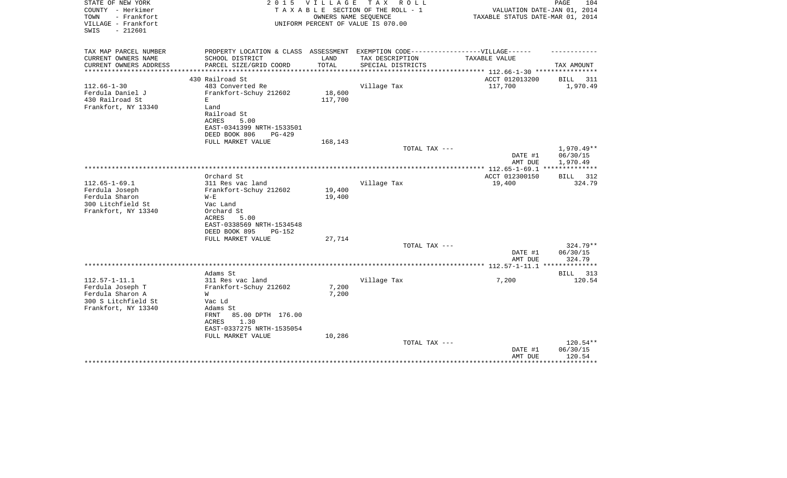| STATE OF NEW YORK<br>COUNTY - Herkimer<br>- Frankfort<br>TOWN<br>VILLAGE - Frankfort<br>$-212601$<br>SWIS |                                                                                                                                                              | 2015 VILLAGE<br>OWNERS NAME SEQUENCE | TAX ROLL<br>TAXABLE SECTION OF THE ROLL - 1<br>UNIFORM PERCENT OF VALUE IS 070.00 | VALUATION DATE-JAN 01, 2014<br>TAXABLE STATUS DATE-MAR 01, 2014 | PAGE<br>104                                |
|-----------------------------------------------------------------------------------------------------------|--------------------------------------------------------------------------------------------------------------------------------------------------------------|--------------------------------------|-----------------------------------------------------------------------------------|-----------------------------------------------------------------|--------------------------------------------|
| TAX MAP PARCEL NUMBER<br>CURRENT OWNERS NAME                                                              | PROPERTY LOCATION & CLASS ASSESSMENT EXEMPTION CODE-----------------VILLAGE------<br>SCHOOL DISTRICT                                                         | LAND                                 | TAX DESCRIPTION                                                                   | TAXABLE VALUE                                                   |                                            |
| CURRENT OWNERS ADDRESS                                                                                    | PARCEL SIZE/GRID COORD                                                                                                                                       | TOTAL                                | SPECIAL DISTRICTS                                                                 |                                                                 | TAX AMOUNT                                 |
|                                                                                                           |                                                                                                                                                              |                                      |                                                                                   | ********** 112.66-1-30 ***********                              |                                            |
|                                                                                                           | 430 Railroad St                                                                                                                                              |                                      |                                                                                   | ACCT 012013200                                                  | BILL<br>311                                |
| $112.66 - 1 - 30$<br>Ferdula Daniel J<br>430 Railroad St<br>Frankfort, NY 13340                           | 483 Converted Re<br>Frankfort-Schuy 212602<br>E<br>Land<br>Railroad St<br>ACRES<br>5.00<br>EAST-0341399 NRTH-1533501<br>DEED BOOK 806<br>$PG-429$            | 18,600<br>117,700                    | Village Tax                                                                       | 117,700                                                         | 1,970.49                                   |
|                                                                                                           | FULL MARKET VALUE                                                                                                                                            | 168,143                              | TOTAL TAX ---                                                                     |                                                                 | $1,970.49**$                               |
|                                                                                                           |                                                                                                                                                              |                                      |                                                                                   | DATE #1<br>AMT DUE                                              | 06/30/15<br>1,970.49                       |
|                                                                                                           |                                                                                                                                                              |                                      |                                                                                   |                                                                 |                                            |
| $112.65 - 1 - 69.1$<br>Ferdula Joseph<br>Ferdula Sharon<br>300 Litchfield St<br>Frankfort, NY 13340       | Orchard St<br>311 Res vac land<br>Frankfort-Schuy 212602<br>$W - E$<br>Vac Land<br>Orchard St<br>5.00<br>ACRES<br>EAST-0338569 NRTH-1534548                  | 19,400<br>19,400                     | Village Tax                                                                       | ACCT 012300150<br>19,400                                        | BILL 312<br>324.79                         |
|                                                                                                           | DEED BOOK 895<br><b>PG-152</b><br>FULL MARKET VALUE                                                                                                          | 27,714                               |                                                                                   |                                                                 |                                            |
|                                                                                                           |                                                                                                                                                              |                                      | TOTAL TAX ---                                                                     | DATE #1<br>AMT DUE                                              | $324.79**$<br>06/30/15<br>324.79           |
|                                                                                                           |                                                                                                                                                              |                                      |                                                                                   |                                                                 | **************                             |
| $112.57 - 1 - 11.1$<br>Ferdula Joseph T<br>Ferdula Sharon A<br>300 S Litchfield St<br>Frankfort, NY 13340 | Adams St<br>311 Res vac land<br>Frankfort-Schuy 212602<br>W<br>Vac Ld<br>Adams St<br>85.00 DPTH 176.00<br>FRNT<br>1.30<br>ACRES<br>EAST-0337275 NRTH-1535054 | 7,200<br>7,200                       | Village Tax                                                                       | 7,200                                                           | BILL<br>313<br>120.54                      |
|                                                                                                           | FULL MARKET VALUE                                                                                                                                            | 10,286                               |                                                                                   |                                                                 |                                            |
|                                                                                                           |                                                                                                                                                              |                                      | TOTAL TAX ---                                                                     | DATE #1<br>AMT DUE                                              | 120.54**<br>06/30/15<br>120.54<br>******** |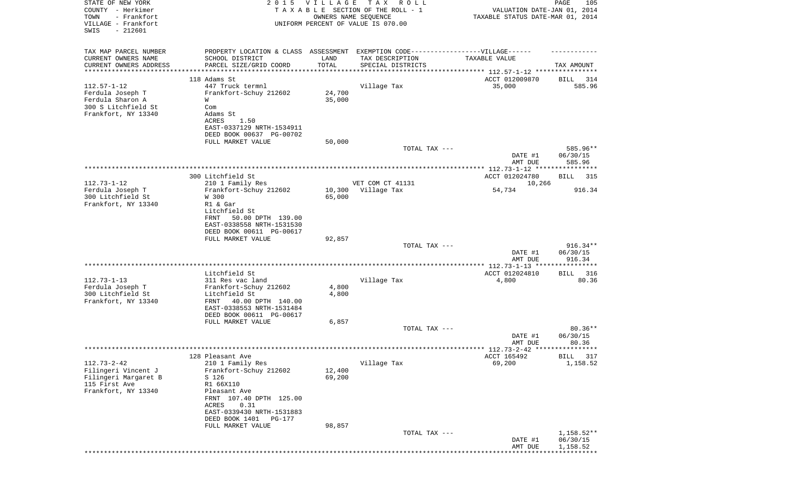| STATE OF NEW YORK                                | 2 0 1 5                                                                           | VILLAGE | T A X<br>R O L L                   |                                                | PAGE<br>105        |
|--------------------------------------------------|-----------------------------------------------------------------------------------|---------|------------------------------------|------------------------------------------------|--------------------|
| COUNTY - Herkimer                                |                                                                                   |         | TAXABLE SECTION OF THE ROLL - 1    | VALUATION DATE-JAN 01, 2014                    |                    |
| - Frankfort<br>TOWN                              |                                                                                   |         | OWNERS NAME SEQUENCE               | TAXABLE STATUS DATE-MAR 01, 2014               |                    |
| VILLAGE - Frankfort<br>SWIS<br>$-212601$         |                                                                                   |         | UNIFORM PERCENT OF VALUE IS 070.00 |                                                |                    |
|                                                  |                                                                                   |         |                                    |                                                |                    |
|                                                  |                                                                                   |         |                                    |                                                |                    |
| TAX MAP PARCEL NUMBER                            | PROPERTY LOCATION & CLASS ASSESSMENT EXEMPTION CODE-----------------VILLAGE------ |         |                                    |                                                |                    |
| CURRENT OWNERS NAME                              | SCHOOL DISTRICT                                                                   | LAND    | TAX DESCRIPTION                    | TAXABLE VALUE                                  |                    |
| CURRENT OWNERS ADDRESS<br>********************** | PARCEL SIZE/GRID COORD<br>***************************                             | TOTAL   | SPECIAL DISTRICTS                  |                                                | TAX AMOUNT         |
|                                                  |                                                                                   |         |                                    |                                                |                    |
|                                                  | 118 Adams St                                                                      |         |                                    | ACCT 012009870                                 | BILL<br>314        |
| $112.57 - 1 - 12$                                | 447 Truck termnl                                                                  |         | Village Tax                        | 35,000                                         | 585.96             |
| Ferdula Joseph T<br>Ferdula Sharon A             | Frankfort-Schuy 212602                                                            | 24,700  |                                    |                                                |                    |
| 300 S Litchfield St                              | W                                                                                 | 35,000  |                                    |                                                |                    |
| Frankfort, NY 13340                              | Com<br>Adams St                                                                   |         |                                    |                                                |                    |
|                                                  | ACRES<br>1.50                                                                     |         |                                    |                                                |                    |
|                                                  | EAST-0337129 NRTH-1534911                                                         |         |                                    |                                                |                    |
|                                                  | DEED BOOK 00637 PG-00702                                                          |         |                                    |                                                |                    |
|                                                  | FULL MARKET VALUE                                                                 | 50,000  |                                    |                                                |                    |
|                                                  |                                                                                   |         | TOTAL TAX ---                      |                                                | 585.96**           |
|                                                  |                                                                                   |         |                                    | DATE #1                                        | 06/30/15           |
|                                                  |                                                                                   |         |                                    | AMT DUE                                        | 585.96             |
|                                                  |                                                                                   |         |                                    | **************** 112.73-1-12 ***************** |                    |
|                                                  | 300 Litchfield St                                                                 |         |                                    | ACCT 012024780                                 | BILL<br>315        |
| $112.73 - 1 - 12$                                | 210 1 Family Res                                                                  |         | VET COM CT 41131                   | 10,266                                         |                    |
| Ferdula Joseph T                                 | Frankfort-Schuy 212602                                                            | 10,300  | Village Tax                        | 54,734                                         | 916.34             |
| 300 Litchfield St                                | W 300                                                                             | 65,000  |                                    |                                                |                    |
| Frankfort, NY 13340                              | R1 & Gar                                                                          |         |                                    |                                                |                    |
|                                                  | Litchfield St                                                                     |         |                                    |                                                |                    |
|                                                  | FRNT<br>50.00 DPTH 139.00                                                         |         |                                    |                                                |                    |
|                                                  | EAST-0338558 NRTH-1531530                                                         |         |                                    |                                                |                    |
|                                                  | DEED BOOK 00611 PG-00617                                                          |         |                                    |                                                |                    |
|                                                  | FULL MARKET VALUE                                                                 | 92,857  |                                    |                                                |                    |
|                                                  |                                                                                   |         | TOTAL TAX ---                      |                                                | $916.34**$         |
|                                                  |                                                                                   |         |                                    | DATE #1                                        | 06/30/15           |
|                                                  |                                                                                   |         |                                    | AMT DUE                                        | 916.34             |
|                                                  |                                                                                   |         |                                    | ************ 112.73-1-13 *********             | ******             |
|                                                  | Litchfield St                                                                     |         |                                    | ACCT 012024810                                 | BILL<br>316        |
| $112.73 - 1 - 13$                                | 311 Res vac land                                                                  |         | Village Tax                        | 4,800                                          | 80.36              |
| Ferdula Joseph T                                 | Frankfort-Schuy 212602                                                            | 4,800   |                                    |                                                |                    |
| 300 Litchfield St                                | Litchfield St<br>FRNT                                                             | 4,800   |                                    |                                                |                    |
| Frankfort, NY 13340                              | 40.00 DPTH 140.00<br>EAST-0338553 NRTH-1531484                                    |         |                                    |                                                |                    |
|                                                  | DEED BOOK 00611 PG-00617                                                          |         |                                    |                                                |                    |
|                                                  | FULL MARKET VALUE                                                                 | 6,857   |                                    |                                                |                    |
|                                                  |                                                                                   |         | TOTAL TAX ---                      |                                                | $80.36**$          |
|                                                  |                                                                                   |         |                                    | DATE #1                                        | 06/30/15           |
|                                                  |                                                                                   |         |                                    | AMT DUE                                        | 80.36              |
|                                                  |                                                                                   |         |                                    | *********** 112.73-2-42 *****************      |                    |
|                                                  | 128 Pleasant Ave                                                                  |         |                                    | ACCT 165492                                    | <b>BILL</b><br>317 |
| $112.73 - 2 - 42$                                | 210 1 Family Res                                                                  |         | Village Tax                        | 69,200                                         | 1,158.52           |
| Filingeri Vincent J                              | Frankfort-Schuy 212602                                                            | 12,400  |                                    |                                                |                    |
| Filingeri Margaret B                             | S 126                                                                             | 69,200  |                                    |                                                |                    |
| 115 First Ave                                    | R1 66X110                                                                         |         |                                    |                                                |                    |
| Frankfort, NY 13340                              | Pleasant Ave                                                                      |         |                                    |                                                |                    |
|                                                  | FRNT 107.40 DPTH 125.00                                                           |         |                                    |                                                |                    |
|                                                  | 0.31<br>ACRES                                                                     |         |                                    |                                                |                    |
|                                                  | EAST-0339430 NRTH-1531883                                                         |         |                                    |                                                |                    |
|                                                  | DEED BOOK 1401<br>PG-177                                                          |         |                                    |                                                |                    |
|                                                  | FULL MARKET VALUE                                                                 | 98,857  |                                    |                                                |                    |
|                                                  |                                                                                   |         | TOTAL TAX ---                      |                                                | 1,158.52**         |
|                                                  |                                                                                   |         |                                    | DATE #1                                        | 06/30/15           |
|                                                  |                                                                                   |         |                                    | AMT DUE                                        | 1,158.52           |
|                                                  |                                                                                   |         |                                    |                                                |                    |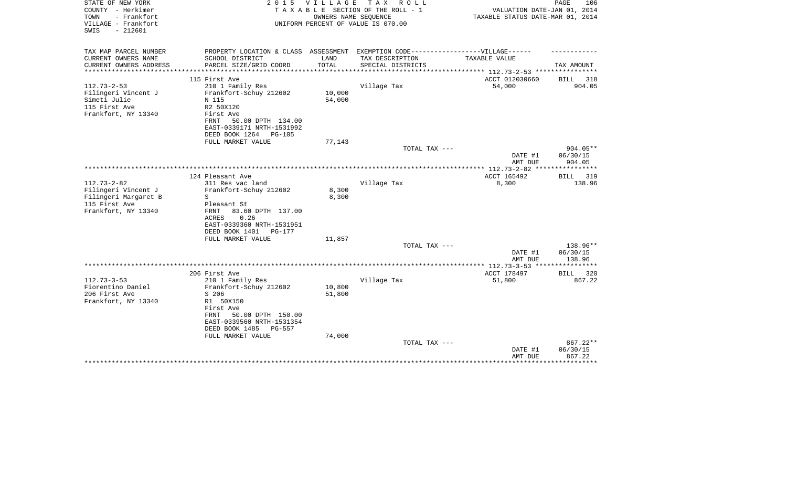| STATE OF NEW YORK<br>COUNTY - Herkimer<br>- Frankfort<br>TOWN<br>VILLAGE - Frankfort<br>$-212601$<br>SWIS | 2 0 1 5                                                                           | V I L L A G E    | T A X<br>R O L L<br>TAXABLE SECTION OF THE ROLL - 1<br>OWNERS NAME SEQUENCE<br>UNIFORM PERCENT OF VALUE IS 070.00 | VALUATION DATE-JAN 01, 2014<br>TAXABLE STATUS DATE-MAR 01, 2014 | PAGE<br>106       |
|-----------------------------------------------------------------------------------------------------------|-----------------------------------------------------------------------------------|------------------|-------------------------------------------------------------------------------------------------------------------|-----------------------------------------------------------------|-------------------|
| TAX MAP PARCEL NUMBER                                                                                     | PROPERTY LOCATION & CLASS ASSESSMENT EXEMPTION CODE-----------------VILLAGE------ |                  |                                                                                                                   |                                                                 |                   |
| CURRENT OWNERS NAME                                                                                       | SCHOOL DISTRICT                                                                   | LAND             | TAX DESCRIPTION                                                                                                   | TAXABLE VALUE                                                   |                   |
| CURRENT OWNERS ADDRESS<br>**********************                                                          | PARCEL SIZE/GRID COORD                                                            | TOTAL            | SPECIAL DISTRICTS                                                                                                 |                                                                 | TAX AMOUNT        |
|                                                                                                           | 115 First Ave                                                                     |                  |                                                                                                                   | ACCT 012030660                                                  | BILL<br>318       |
| $112.73 - 2 - 53$                                                                                         | 210 1 Family Res                                                                  |                  | Village Tax                                                                                                       | 54,000                                                          | 904.05            |
| Filingeri Vincent J                                                                                       | Frankfort-Schuy 212602                                                            | 10,000           |                                                                                                                   |                                                                 |                   |
| Simeti Julie                                                                                              | N 115                                                                             | 54,000           |                                                                                                                   |                                                                 |                   |
| 115 First Ave                                                                                             | R2 50X120                                                                         |                  |                                                                                                                   |                                                                 |                   |
| Frankfort, NY 13340                                                                                       | First Ave                                                                         |                  |                                                                                                                   |                                                                 |                   |
|                                                                                                           | 50.00 DPTH 134.00<br>FRNT<br>EAST-0339171 NRTH-1531992                            |                  |                                                                                                                   |                                                                 |                   |
|                                                                                                           | DEED BOOK 1264<br><b>PG-105</b>                                                   |                  |                                                                                                                   |                                                                 |                   |
|                                                                                                           | FULL MARKET VALUE                                                                 | 77,143           |                                                                                                                   |                                                                 |                   |
|                                                                                                           |                                                                                   |                  | TOTAL TAX ---                                                                                                     |                                                                 | $904.05**$        |
|                                                                                                           |                                                                                   |                  |                                                                                                                   | DATE #1                                                         | 06/30/15          |
|                                                                                                           |                                                                                   |                  |                                                                                                                   | AMT DUE                                                         | 904.05            |
|                                                                                                           | 124 Pleasant Ave                                                                  |                  |                                                                                                                   | ACCT 165492                                                     | BILL<br>319       |
| $112.73 - 2 - 82$                                                                                         | 311 Res vac land                                                                  |                  | Village Tax                                                                                                       | 8,300                                                           | 138.96            |
| Filingeri Vincent J                                                                                       | Frankfort-Schuy 212602                                                            | 8,300            |                                                                                                                   |                                                                 |                   |
| Filingeri Margaret B                                                                                      | S                                                                                 | 8,300            |                                                                                                                   |                                                                 |                   |
| 115 First Ave                                                                                             | Pleasant St                                                                       |                  |                                                                                                                   |                                                                 |                   |
| Frankfort, NY 13340                                                                                       | FRNT<br>83.60 DPTH 137.00                                                         |                  |                                                                                                                   |                                                                 |                   |
|                                                                                                           | 0.26<br>ACRES                                                                     |                  |                                                                                                                   |                                                                 |                   |
|                                                                                                           | EAST-0339360 NRTH-1531951<br>DEED BOOK 1401<br>PG-177                             |                  |                                                                                                                   |                                                                 |                   |
|                                                                                                           | FULL MARKET VALUE                                                                 | 11,857           |                                                                                                                   |                                                                 |                   |
|                                                                                                           |                                                                                   |                  | TOTAL TAX ---                                                                                                     |                                                                 | 138.96**          |
|                                                                                                           |                                                                                   |                  |                                                                                                                   | DATE #1                                                         | 06/30/15          |
|                                                                                                           |                                                                                   |                  |                                                                                                                   | AMT DUE                                                         | 138.96            |
|                                                                                                           |                                                                                   |                  |                                                                                                                   | *************** 112.73-3-53 *****************                   |                   |
|                                                                                                           | 206 First Ave                                                                     |                  |                                                                                                                   | ACCT 178497                                                     | 320<br>BILL       |
| $112.73 - 3 - 53$                                                                                         | 210 1 Family Res                                                                  |                  | Village Tax                                                                                                       | 51,800                                                          | 867.22            |
| Fiorentino Daniel<br>206 First Ave                                                                        | Frankfort-Schuy 212602<br>S 206                                                   | 10,800<br>51,800 |                                                                                                                   |                                                                 |                   |
| Frankfort, NY 13340                                                                                       | R1 50X150                                                                         |                  |                                                                                                                   |                                                                 |                   |
|                                                                                                           | First Ave                                                                         |                  |                                                                                                                   |                                                                 |                   |
|                                                                                                           | FRNT<br>50.00 DPTH 150.00                                                         |                  |                                                                                                                   |                                                                 |                   |
|                                                                                                           | EAST-0339560 NRTH-1531354                                                         |                  |                                                                                                                   |                                                                 |                   |
|                                                                                                           | DEED BOOK 1485<br>PG-557                                                          |                  |                                                                                                                   |                                                                 |                   |
|                                                                                                           | FULL MARKET VALUE                                                                 | 74,000           |                                                                                                                   |                                                                 |                   |
|                                                                                                           |                                                                                   |                  | TOTAL TAX ---                                                                                                     |                                                                 | 867.22**          |
|                                                                                                           |                                                                                   |                  |                                                                                                                   | DATE #1                                                         | 06/30/15          |
|                                                                                                           |                                                                                   |                  |                                                                                                                   | AMT DUE                                                         | 867.22<br>******* |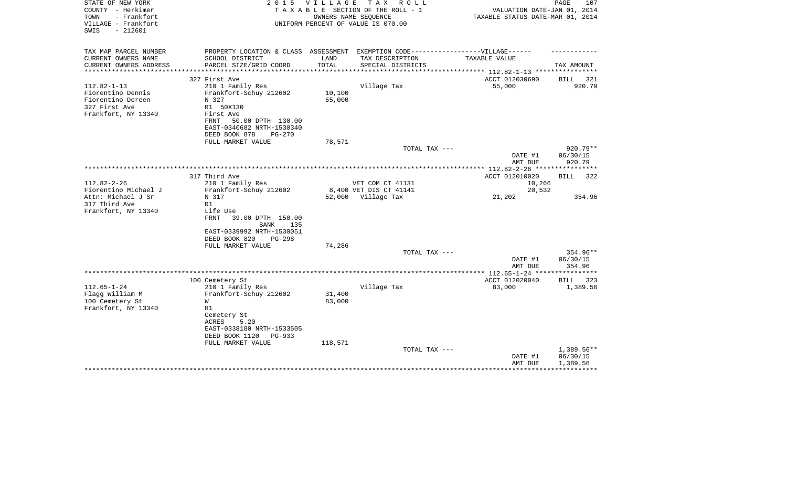| STATE OF NEW YORK<br>COUNTY - Herkimer<br>- Frankfort<br>TOWN<br>VILLAGE - Frankfort<br>SWIS<br>$-212601$ | 2 0 1 5                                                                           | VILLAGE | T A X<br>R O L L<br>TAXABLE SECTION OF THE ROLL - 1<br>OWNERS NAME SEQUENCE<br>UNIFORM PERCENT OF VALUE IS 070.00 | VALUATION DATE-JAN 01, 2014<br>TAXABLE STATUS DATE-MAR 01, 2014 | PAGE<br>107        |
|-----------------------------------------------------------------------------------------------------------|-----------------------------------------------------------------------------------|---------|-------------------------------------------------------------------------------------------------------------------|-----------------------------------------------------------------|--------------------|
| TAX MAP PARCEL NUMBER                                                                                     | PROPERTY LOCATION & CLASS ASSESSMENT EXEMPTION CODE-----------------VILLAGE------ | LAND    |                                                                                                                   |                                                                 |                    |
| CURRENT OWNERS NAME<br>CURRENT OWNERS ADDRESS                                                             | SCHOOL DISTRICT<br>PARCEL SIZE/GRID COORD                                         | TOTAL   | TAX DESCRIPTION<br>SPECIAL DISTRICTS                                                                              | TAXABLE VALUE<br>********* 112.82-1-13 ****                     | TAX AMOUNT         |
|                                                                                                           | 327 First Ave                                                                     |         |                                                                                                                   | ACCT 012030690                                                  | 321<br><b>BILL</b> |
| $112.82 - 1 - 13$                                                                                         | 210 1 Family Res                                                                  |         | Village Tax                                                                                                       | 55,000                                                          | 920.79             |
| Fiorentino Dennis                                                                                         | Frankfort-Schuy 212602                                                            | 10,100  |                                                                                                                   |                                                                 |                    |
| Fiorentino Doreen                                                                                         | N 327                                                                             | 55,000  |                                                                                                                   |                                                                 |                    |
| 327 First Ave                                                                                             | R1 50X130                                                                         |         |                                                                                                                   |                                                                 |                    |
| Frankfort, NY 13340                                                                                       | First Ave                                                                         |         |                                                                                                                   |                                                                 |                    |
|                                                                                                           | FRNT<br>50.00 DPTH 130.00                                                         |         |                                                                                                                   |                                                                 |                    |
|                                                                                                           | EAST-0340682 NRTH-1530340<br>DEED BOOK 878                                        |         |                                                                                                                   |                                                                 |                    |
|                                                                                                           | $PG-270$<br>FULL MARKET VALUE                                                     | 78,571  |                                                                                                                   |                                                                 |                    |
|                                                                                                           |                                                                                   |         | TOTAL TAX ---                                                                                                     |                                                                 | $920.79**$         |
|                                                                                                           |                                                                                   |         |                                                                                                                   | DATE #1<br>AMT DUE                                              | 06/30/15<br>920.79 |
|                                                                                                           |                                                                                   |         |                                                                                                                   | ***** 112.82-2-26 *****************                             |                    |
|                                                                                                           | 317 Third Ave                                                                     |         |                                                                                                                   | ACCT 012010020                                                  | 322<br><b>BILL</b> |
| $112.82 - 2 - 26$                                                                                         | 210 1 Family Res                                                                  |         | VET COM CT 41131                                                                                                  | 10,266                                                          |                    |
| Fiorentino Michael J                                                                                      | Frankfort-Schuy 212602                                                            |         | 8,400 VET DIS CT 41141                                                                                            | 20,532                                                          |                    |
| Attn: Michael J Sr                                                                                        | N 317                                                                             |         | 52,000 Village Tax                                                                                                | 21,202                                                          | 354.96             |
| 317 Third Ave                                                                                             | R1                                                                                |         |                                                                                                                   |                                                                 |                    |
| Frankfort, NY 13340                                                                                       | Life Use                                                                          |         |                                                                                                                   |                                                                 |                    |
|                                                                                                           | <b>FRNT</b><br>39.00 DPTH 150.00<br><b>BANK</b><br>135                            |         |                                                                                                                   |                                                                 |                    |
|                                                                                                           | EAST-0339992 NRTH-1530051                                                         |         |                                                                                                                   |                                                                 |                    |
|                                                                                                           | DEED BOOK 820<br>$PG-298$                                                         |         |                                                                                                                   |                                                                 |                    |
|                                                                                                           | FULL MARKET VALUE                                                                 | 74,286  |                                                                                                                   |                                                                 |                    |
|                                                                                                           |                                                                                   |         | TOTAL TAX ---                                                                                                     |                                                                 | 354.96**           |
|                                                                                                           |                                                                                   |         |                                                                                                                   | DATE #1                                                         | 06/30/15           |
|                                                                                                           |                                                                                   |         |                                                                                                                   | AMT DUE                                                         | 354.96             |
|                                                                                                           |                                                                                   |         |                                                                                                                   |                                                                 |                    |
|                                                                                                           | 100 Cemetery St                                                                   |         |                                                                                                                   | ACCT 012020040                                                  | 323<br>BILL        |
| $112.65 - 1 - 24$<br>Flagg William M                                                                      | 210 1 Family Res<br>Frankfort-Schuy 212602                                        | 31,400  | Village Tax                                                                                                       | 83,000                                                          | 1,389.56           |
| 100 Cemetery St                                                                                           | W                                                                                 | 83,000  |                                                                                                                   |                                                                 |                    |
| Frankfort, NY 13340                                                                                       | R1                                                                                |         |                                                                                                                   |                                                                 |                    |
|                                                                                                           | Cemetery St                                                                       |         |                                                                                                                   |                                                                 |                    |
|                                                                                                           | 5.20<br>ACRES                                                                     |         |                                                                                                                   |                                                                 |                    |
|                                                                                                           | EAST-0338180 NRTH-1533505                                                         |         |                                                                                                                   |                                                                 |                    |
|                                                                                                           | DEED BOOK 1120<br>PG-933                                                          |         |                                                                                                                   |                                                                 |                    |
|                                                                                                           | FULL MARKET VALUE                                                                 | 118,571 |                                                                                                                   |                                                                 |                    |
|                                                                                                           |                                                                                   |         | TOTAL TAX ---                                                                                                     |                                                                 | 1,389.56**         |
|                                                                                                           |                                                                                   |         |                                                                                                                   | DATE #1                                                         | 06/30/15           |
|                                                                                                           |                                                                                   |         |                                                                                                                   | AMT DUE                                                         | 1,389.56           |
|                                                                                                           |                                                                                   |         |                                                                                                                   |                                                                 |                    |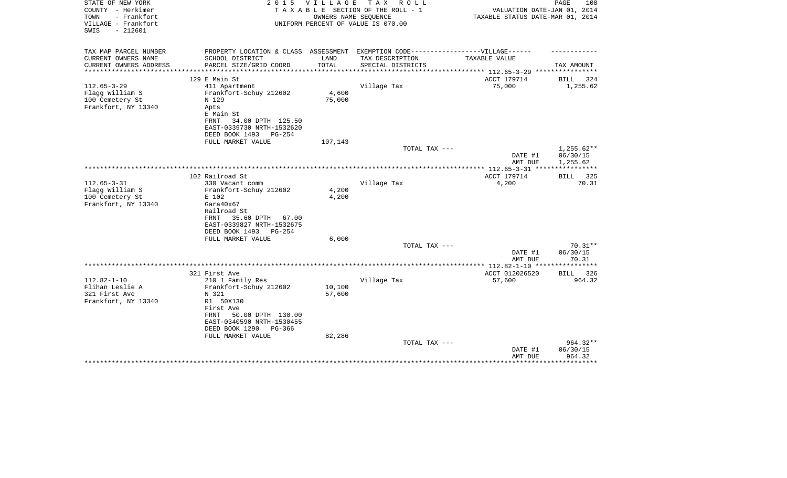| STATE OF NEW YORK<br>COUNTY - Herkimer                          | 2 0 1 5                                                                           | <b>VILLAGE</b> | T A X<br>R O L L<br>TAXABLE SECTION OF THE ROLL - 1        | VALUATION DATE-JAN 01, 2014                         | PAGE<br>108        |
|-----------------------------------------------------------------|-----------------------------------------------------------------------------------|----------------|------------------------------------------------------------|-----------------------------------------------------|--------------------|
| TOWN<br>- Frankfort<br>VILLAGE - Frankfort<br>$-212601$<br>SWIS |                                                                                   |                | OWNERS NAME SEQUENCE<br>UNIFORM PERCENT OF VALUE IS 070.00 | TAXABLE STATUS DATE-MAR 01, 2014                    |                    |
| TAX MAP PARCEL NUMBER                                           | PROPERTY LOCATION & CLASS ASSESSMENT EXEMPTION CODE-----------------VILLAGE------ |                |                                                            |                                                     |                    |
| CURRENT OWNERS NAME                                             | SCHOOL DISTRICT                                                                   | LAND           | TAX DESCRIPTION                                            | TAXABLE VALUE                                       |                    |
| CURRENT OWNERS ADDRESS<br>**********************                | PARCEL SIZE/GRID COORD                                                            | TOTAL          | SPECIAL DISTRICTS                                          |                                                     | TAX AMOUNT         |
|                                                                 | 129 E Main St                                                                     |                |                                                            | ACCT 179714                                         | BILL<br>324        |
| $112.65 - 3 - 29$                                               | 411 Apartment                                                                     |                | Village Tax                                                | 75,000                                              | 1,255.62           |
| Flagg William S                                                 | Frankfort-Schuy 212602                                                            | 4,600          |                                                            |                                                     |                    |
| 100 Cemetery St                                                 | N 129                                                                             | 75,000         |                                                            |                                                     |                    |
| Frankfort, NY 13340                                             | Apts                                                                              |                |                                                            |                                                     |                    |
|                                                                 | E Main St                                                                         |                |                                                            |                                                     |                    |
|                                                                 | 34.00 DPTH 125.50<br>FRNT                                                         |                |                                                            |                                                     |                    |
|                                                                 | EAST-0339730 NRTH-1532620<br>DEED BOOK 1493<br>$PG-254$                           |                |                                                            |                                                     |                    |
|                                                                 | FULL MARKET VALUE                                                                 | 107,143        |                                                            |                                                     |                    |
|                                                                 |                                                                                   |                | TOTAL TAX ---                                              |                                                     | $1,255.62**$       |
|                                                                 |                                                                                   |                |                                                            | DATE #1                                             | 06/30/15           |
|                                                                 |                                                                                   |                |                                                            | AMT DUE                                             | 1,255.62           |
|                                                                 |                                                                                   |                |                                                            | ***************** 112.65-3-31 *****************     |                    |
|                                                                 | 102 Railroad St                                                                   |                |                                                            | ACCT 179714                                         | 325<br><b>BILL</b> |
| $112.65 - 3 - 31$                                               | 330 Vacant comm                                                                   |                | Village Tax                                                | 4,200                                               | 70.31              |
| Flagg William S                                                 | Frankfort-Schuy 212602                                                            | 4,200          |                                                            |                                                     |                    |
| 100 Cemetery St<br>Frankfort, NY 13340                          | E 102<br>Gara40x67                                                                | 4,200          |                                                            |                                                     |                    |
|                                                                 | Railroad St                                                                       |                |                                                            |                                                     |                    |
|                                                                 | 35.60 DPTH<br>FRNT<br>67.00                                                       |                |                                                            |                                                     |                    |
|                                                                 | EAST-0339827 NRTH-1532675                                                         |                |                                                            |                                                     |                    |
|                                                                 | DEED BOOK 1493<br>$PG-254$                                                        |                |                                                            |                                                     |                    |
|                                                                 | FULL MARKET VALUE                                                                 | 6,000          |                                                            |                                                     |                    |
|                                                                 |                                                                                   |                | TOTAL TAX ---                                              |                                                     | $70.31**$          |
|                                                                 |                                                                                   |                |                                                            | DATE #1                                             | 06/30/15           |
|                                                                 |                                                                                   |                |                                                            | AMT DUE                                             | 70.31<br>*******   |
|                                                                 | 321 First Ave                                                                     |                |                                                            | *********** 112.82-1-10 *********<br>ACCT 012026520 | 326<br><b>BILL</b> |
| $112.82 - 1 - 10$                                               | 210 1 Family Res                                                                  |                | Village Tax                                                | 57,600                                              | 964.32             |
| Flihan Leslie A                                                 | Frankfort-Schuy 212602                                                            | 10,100         |                                                            |                                                     |                    |
| 321 First Ave                                                   | N 321                                                                             | 57,600         |                                                            |                                                     |                    |
| Frankfort, NY 13340                                             | R1 50X130                                                                         |                |                                                            |                                                     |                    |
|                                                                 | First Ave                                                                         |                |                                                            |                                                     |                    |
|                                                                 | 50.00 DPTH 130.00<br>FRNT                                                         |                |                                                            |                                                     |                    |
|                                                                 | EAST-0340590 NRTH-1530455                                                         |                |                                                            |                                                     |                    |
|                                                                 | DEED BOOK 1290<br>PG-366                                                          |                |                                                            |                                                     |                    |
|                                                                 | FULL MARKET VALUE                                                                 | 82,286         |                                                            |                                                     | 964.32**           |
|                                                                 |                                                                                   |                | TOTAL TAX ---                                              | DATE #1                                             | 06/30/15           |
|                                                                 |                                                                                   |                |                                                            | AMT DUE                                             | 964.32             |
|                                                                 |                                                                                   |                |                                                            |                                                     | *******            |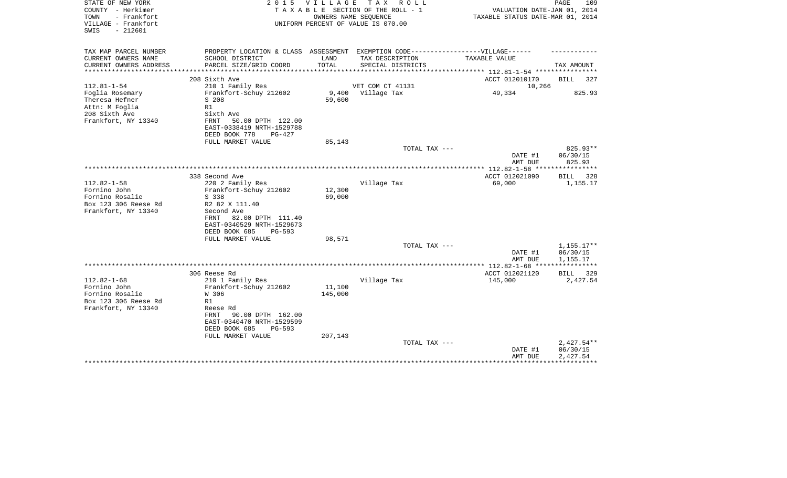| PROPERTY LOCATION & CLASS ASSESSMENT EXEMPTION CODE-----------------VILLAGE------<br>CURRENT OWNERS NAME<br>SCHOOL DISTRICT<br>LAND<br>TAX DESCRIPTION<br>TAXABLE VALUE<br>PARCEL SIZE/GRID COORD<br>TOTAL<br>CURRENT OWNERS ADDRESS<br>SPECIAL DISTRICTS<br>TAX AMOUNT<br>*************<br>************** 112.81-1-54 ***********<br>*************************<br>ACCT 012010170<br>208 Sixth Ave<br>BILL<br>327<br>$112.81 - 1 - 54$<br>210 1 Family Res<br>VET COM CT 41131<br>10,266<br>Frankfort-Schuy 212602<br>9,400<br>Village Tax<br>49,334<br>825.93<br>Foglia Rosemary<br>Theresa Hefner<br>S 208<br>59,600<br>Attn: M Foglia<br>R1<br>Sixth Ave<br>FRNT<br>50.00 DPTH 122.00<br>EAST-0338419 NRTH-1529788<br>DEED BOOK 778<br>$PG-427$<br>FULL MARKET VALUE<br>85,143<br>825.93**<br>TOTAL TAX ---<br>DATE #1<br>06/30/15<br>825.93<br>AMT DUE<br>ACCT 012021090<br>338 Second Ave<br><b>BILL</b><br>328<br>$112.82 - 1 - 58$<br>220 2 Family Res<br>Village Tax<br>69,000<br>1,155.17<br>Fornino John<br>Frankfort-Schuy 212602<br>12,300<br>69,000<br>Fornino Rosalie<br>S 338<br>R2 82 X 111.40<br>Second Ave<br>82.00 DPTH 111.40<br>FRNT<br>EAST-0340529 NRTH-1529673<br>DEED BOOK 685<br>$PG-593$<br>FULL MARKET VALUE<br>98,571<br>$1,155.17**$<br>TOTAL TAX ---<br>DATE #1<br>06/30/15<br>1,155.17<br>AMT DUE<br>**************** 112.82-1-68 ****************<br>306 Reese Rd<br>ACCT 012021120<br>BILL<br>329<br>$112.82 - 1 - 68$<br>Village Tax<br>145,000<br>210 1 Family Res<br>2,427.54<br>Fornino John<br>Frankfort-Schuy 212602<br>11,100<br>Fornino Rosalie<br>W 306<br>145,000<br>R1<br>Reese Rd<br>90.00 DPTH 162.00<br>FRNT<br>EAST-0340470 NRTH-1529599<br>DEED BOOK 685<br>$PG-593$<br>207,143<br>FULL MARKET VALUE<br>$2,427.54**$<br>TOTAL TAX ---<br>DATE #1<br>06/30/15<br>AMT DUE<br>2,427.54 | STATE OF NEW YORK<br>COUNTY - Herkimer<br>- Frankfort<br>TOWN<br>VILLAGE - Frankfort<br>SWIS<br>$-212601$ | OWNERS NAME SEOUENCE | 2015 VILLAGE TAX ROLL<br>T A X A B L E SECTION OF THE ROLL - 1<br>UNIFORM PERCENT OF VALUE IS 070.00 | VALUATION DATE-JAN 01, 2014<br>TAXABLE STATUS DATE-MAR 01, 2014 | PAGE<br>109 |
|---------------------------------------------------------------------------------------------------------------------------------------------------------------------------------------------------------------------------------------------------------------------------------------------------------------------------------------------------------------------------------------------------------------------------------------------------------------------------------------------------------------------------------------------------------------------------------------------------------------------------------------------------------------------------------------------------------------------------------------------------------------------------------------------------------------------------------------------------------------------------------------------------------------------------------------------------------------------------------------------------------------------------------------------------------------------------------------------------------------------------------------------------------------------------------------------------------------------------------------------------------------------------------------------------------------------------------------------------------------------------------------------------------------------------------------------------------------------------------------------------------------------------------------------------------------------------------------------------------------------------------------------------------------------------------------------------------------------------------------------------------------------------------------------------------------------------------------|-----------------------------------------------------------------------------------------------------------|----------------------|------------------------------------------------------------------------------------------------------|-----------------------------------------------------------------|-------------|
|                                                                                                                                                                                                                                                                                                                                                                                                                                                                                                                                                                                                                                                                                                                                                                                                                                                                                                                                                                                                                                                                                                                                                                                                                                                                                                                                                                                                                                                                                                                                                                                                                                                                                                                                                                                                                                       | TAX MAP PARCEL NUMBER                                                                                     |                      |                                                                                                      |                                                                 |             |
|                                                                                                                                                                                                                                                                                                                                                                                                                                                                                                                                                                                                                                                                                                                                                                                                                                                                                                                                                                                                                                                                                                                                                                                                                                                                                                                                                                                                                                                                                                                                                                                                                                                                                                                                                                                                                                       |                                                                                                           |                      |                                                                                                      |                                                                 |             |
|                                                                                                                                                                                                                                                                                                                                                                                                                                                                                                                                                                                                                                                                                                                                                                                                                                                                                                                                                                                                                                                                                                                                                                                                                                                                                                                                                                                                                                                                                                                                                                                                                                                                                                                                                                                                                                       |                                                                                                           |                      |                                                                                                      |                                                                 |             |
|                                                                                                                                                                                                                                                                                                                                                                                                                                                                                                                                                                                                                                                                                                                                                                                                                                                                                                                                                                                                                                                                                                                                                                                                                                                                                                                                                                                                                                                                                                                                                                                                                                                                                                                                                                                                                                       |                                                                                                           |                      |                                                                                                      |                                                                 |             |
|                                                                                                                                                                                                                                                                                                                                                                                                                                                                                                                                                                                                                                                                                                                                                                                                                                                                                                                                                                                                                                                                                                                                                                                                                                                                                                                                                                                                                                                                                                                                                                                                                                                                                                                                                                                                                                       |                                                                                                           |                      |                                                                                                      |                                                                 |             |
|                                                                                                                                                                                                                                                                                                                                                                                                                                                                                                                                                                                                                                                                                                                                                                                                                                                                                                                                                                                                                                                                                                                                                                                                                                                                                                                                                                                                                                                                                                                                                                                                                                                                                                                                                                                                                                       |                                                                                                           |                      |                                                                                                      |                                                                 |             |
|                                                                                                                                                                                                                                                                                                                                                                                                                                                                                                                                                                                                                                                                                                                                                                                                                                                                                                                                                                                                                                                                                                                                                                                                                                                                                                                                                                                                                                                                                                                                                                                                                                                                                                                                                                                                                                       |                                                                                                           |                      |                                                                                                      |                                                                 |             |
|                                                                                                                                                                                                                                                                                                                                                                                                                                                                                                                                                                                                                                                                                                                                                                                                                                                                                                                                                                                                                                                                                                                                                                                                                                                                                                                                                                                                                                                                                                                                                                                                                                                                                                                                                                                                                                       | 208 Sixth Ave                                                                                             |                      |                                                                                                      |                                                                 |             |
|                                                                                                                                                                                                                                                                                                                                                                                                                                                                                                                                                                                                                                                                                                                                                                                                                                                                                                                                                                                                                                                                                                                                                                                                                                                                                                                                                                                                                                                                                                                                                                                                                                                                                                                                                                                                                                       | Frankfort, NY 13340                                                                                       |                      |                                                                                                      |                                                                 |             |
|                                                                                                                                                                                                                                                                                                                                                                                                                                                                                                                                                                                                                                                                                                                                                                                                                                                                                                                                                                                                                                                                                                                                                                                                                                                                                                                                                                                                                                                                                                                                                                                                                                                                                                                                                                                                                                       |                                                                                                           |                      |                                                                                                      |                                                                 |             |
|                                                                                                                                                                                                                                                                                                                                                                                                                                                                                                                                                                                                                                                                                                                                                                                                                                                                                                                                                                                                                                                                                                                                                                                                                                                                                                                                                                                                                                                                                                                                                                                                                                                                                                                                                                                                                                       |                                                                                                           |                      |                                                                                                      |                                                                 |             |
|                                                                                                                                                                                                                                                                                                                                                                                                                                                                                                                                                                                                                                                                                                                                                                                                                                                                                                                                                                                                                                                                                                                                                                                                                                                                                                                                                                                                                                                                                                                                                                                                                                                                                                                                                                                                                                       |                                                                                                           |                      |                                                                                                      |                                                                 |             |
|                                                                                                                                                                                                                                                                                                                                                                                                                                                                                                                                                                                                                                                                                                                                                                                                                                                                                                                                                                                                                                                                                                                                                                                                                                                                                                                                                                                                                                                                                                                                                                                                                                                                                                                                                                                                                                       |                                                                                                           |                      |                                                                                                      |                                                                 |             |
|                                                                                                                                                                                                                                                                                                                                                                                                                                                                                                                                                                                                                                                                                                                                                                                                                                                                                                                                                                                                                                                                                                                                                                                                                                                                                                                                                                                                                                                                                                                                                                                                                                                                                                                                                                                                                                       |                                                                                                           |                      |                                                                                                      |                                                                 |             |
|                                                                                                                                                                                                                                                                                                                                                                                                                                                                                                                                                                                                                                                                                                                                                                                                                                                                                                                                                                                                                                                                                                                                                                                                                                                                                                                                                                                                                                                                                                                                                                                                                                                                                                                                                                                                                                       |                                                                                                           |                      |                                                                                                      |                                                                 |             |
|                                                                                                                                                                                                                                                                                                                                                                                                                                                                                                                                                                                                                                                                                                                                                                                                                                                                                                                                                                                                                                                                                                                                                                                                                                                                                                                                                                                                                                                                                                                                                                                                                                                                                                                                                                                                                                       |                                                                                                           |                      |                                                                                                      |                                                                 |             |
|                                                                                                                                                                                                                                                                                                                                                                                                                                                                                                                                                                                                                                                                                                                                                                                                                                                                                                                                                                                                                                                                                                                                                                                                                                                                                                                                                                                                                                                                                                                                                                                                                                                                                                                                                                                                                                       |                                                                                                           |                      |                                                                                                      |                                                                 |             |
|                                                                                                                                                                                                                                                                                                                                                                                                                                                                                                                                                                                                                                                                                                                                                                                                                                                                                                                                                                                                                                                                                                                                                                                                                                                                                                                                                                                                                                                                                                                                                                                                                                                                                                                                                                                                                                       |                                                                                                           |                      |                                                                                                      |                                                                 |             |
|                                                                                                                                                                                                                                                                                                                                                                                                                                                                                                                                                                                                                                                                                                                                                                                                                                                                                                                                                                                                                                                                                                                                                                                                                                                                                                                                                                                                                                                                                                                                                                                                                                                                                                                                                                                                                                       | Box 123 306 Reese Rd                                                                                      |                      |                                                                                                      |                                                                 |             |
|                                                                                                                                                                                                                                                                                                                                                                                                                                                                                                                                                                                                                                                                                                                                                                                                                                                                                                                                                                                                                                                                                                                                                                                                                                                                                                                                                                                                                                                                                                                                                                                                                                                                                                                                                                                                                                       | Frankfort, NY 13340                                                                                       |                      |                                                                                                      |                                                                 |             |
|                                                                                                                                                                                                                                                                                                                                                                                                                                                                                                                                                                                                                                                                                                                                                                                                                                                                                                                                                                                                                                                                                                                                                                                                                                                                                                                                                                                                                                                                                                                                                                                                                                                                                                                                                                                                                                       |                                                                                                           |                      |                                                                                                      |                                                                 |             |
|                                                                                                                                                                                                                                                                                                                                                                                                                                                                                                                                                                                                                                                                                                                                                                                                                                                                                                                                                                                                                                                                                                                                                                                                                                                                                                                                                                                                                                                                                                                                                                                                                                                                                                                                                                                                                                       |                                                                                                           |                      |                                                                                                      |                                                                 |             |
|                                                                                                                                                                                                                                                                                                                                                                                                                                                                                                                                                                                                                                                                                                                                                                                                                                                                                                                                                                                                                                                                                                                                                                                                                                                                                                                                                                                                                                                                                                                                                                                                                                                                                                                                                                                                                                       |                                                                                                           |                      |                                                                                                      |                                                                 |             |
|                                                                                                                                                                                                                                                                                                                                                                                                                                                                                                                                                                                                                                                                                                                                                                                                                                                                                                                                                                                                                                                                                                                                                                                                                                                                                                                                                                                                                                                                                                                                                                                                                                                                                                                                                                                                                                       |                                                                                                           |                      |                                                                                                      |                                                                 |             |
|                                                                                                                                                                                                                                                                                                                                                                                                                                                                                                                                                                                                                                                                                                                                                                                                                                                                                                                                                                                                                                                                                                                                                                                                                                                                                                                                                                                                                                                                                                                                                                                                                                                                                                                                                                                                                                       |                                                                                                           |                      |                                                                                                      |                                                                 |             |
|                                                                                                                                                                                                                                                                                                                                                                                                                                                                                                                                                                                                                                                                                                                                                                                                                                                                                                                                                                                                                                                                                                                                                                                                                                                                                                                                                                                                                                                                                                                                                                                                                                                                                                                                                                                                                                       |                                                                                                           |                      |                                                                                                      |                                                                 |             |
|                                                                                                                                                                                                                                                                                                                                                                                                                                                                                                                                                                                                                                                                                                                                                                                                                                                                                                                                                                                                                                                                                                                                                                                                                                                                                                                                                                                                                                                                                                                                                                                                                                                                                                                                                                                                                                       |                                                                                                           |                      |                                                                                                      |                                                                 |             |
|                                                                                                                                                                                                                                                                                                                                                                                                                                                                                                                                                                                                                                                                                                                                                                                                                                                                                                                                                                                                                                                                                                                                                                                                                                                                                                                                                                                                                                                                                                                                                                                                                                                                                                                                                                                                                                       |                                                                                                           |                      |                                                                                                      |                                                                 |             |
|                                                                                                                                                                                                                                                                                                                                                                                                                                                                                                                                                                                                                                                                                                                                                                                                                                                                                                                                                                                                                                                                                                                                                                                                                                                                                                                                                                                                                                                                                                                                                                                                                                                                                                                                                                                                                                       |                                                                                                           |                      |                                                                                                      |                                                                 |             |
|                                                                                                                                                                                                                                                                                                                                                                                                                                                                                                                                                                                                                                                                                                                                                                                                                                                                                                                                                                                                                                                                                                                                                                                                                                                                                                                                                                                                                                                                                                                                                                                                                                                                                                                                                                                                                                       |                                                                                                           |                      |                                                                                                      |                                                                 |             |
|                                                                                                                                                                                                                                                                                                                                                                                                                                                                                                                                                                                                                                                                                                                                                                                                                                                                                                                                                                                                                                                                                                                                                                                                                                                                                                                                                                                                                                                                                                                                                                                                                                                                                                                                                                                                                                       | Box 123 306 Reese Rd                                                                                      |                      |                                                                                                      |                                                                 |             |
|                                                                                                                                                                                                                                                                                                                                                                                                                                                                                                                                                                                                                                                                                                                                                                                                                                                                                                                                                                                                                                                                                                                                                                                                                                                                                                                                                                                                                                                                                                                                                                                                                                                                                                                                                                                                                                       | Frankfort, NY 13340                                                                                       |                      |                                                                                                      |                                                                 |             |
|                                                                                                                                                                                                                                                                                                                                                                                                                                                                                                                                                                                                                                                                                                                                                                                                                                                                                                                                                                                                                                                                                                                                                                                                                                                                                                                                                                                                                                                                                                                                                                                                                                                                                                                                                                                                                                       |                                                                                                           |                      |                                                                                                      |                                                                 |             |
|                                                                                                                                                                                                                                                                                                                                                                                                                                                                                                                                                                                                                                                                                                                                                                                                                                                                                                                                                                                                                                                                                                                                                                                                                                                                                                                                                                                                                                                                                                                                                                                                                                                                                                                                                                                                                                       |                                                                                                           |                      |                                                                                                      |                                                                 |             |
|                                                                                                                                                                                                                                                                                                                                                                                                                                                                                                                                                                                                                                                                                                                                                                                                                                                                                                                                                                                                                                                                                                                                                                                                                                                                                                                                                                                                                                                                                                                                                                                                                                                                                                                                                                                                                                       |                                                                                                           |                      |                                                                                                      |                                                                 |             |
|                                                                                                                                                                                                                                                                                                                                                                                                                                                                                                                                                                                                                                                                                                                                                                                                                                                                                                                                                                                                                                                                                                                                                                                                                                                                                                                                                                                                                                                                                                                                                                                                                                                                                                                                                                                                                                       |                                                                                                           |                      |                                                                                                      |                                                                 |             |
|                                                                                                                                                                                                                                                                                                                                                                                                                                                                                                                                                                                                                                                                                                                                                                                                                                                                                                                                                                                                                                                                                                                                                                                                                                                                                                                                                                                                                                                                                                                                                                                                                                                                                                                                                                                                                                       |                                                                                                           |                      |                                                                                                      |                                                                 |             |
|                                                                                                                                                                                                                                                                                                                                                                                                                                                                                                                                                                                                                                                                                                                                                                                                                                                                                                                                                                                                                                                                                                                                                                                                                                                                                                                                                                                                                                                                                                                                                                                                                                                                                                                                                                                                                                       |                                                                                                           |                      |                                                                                                      |                                                                 |             |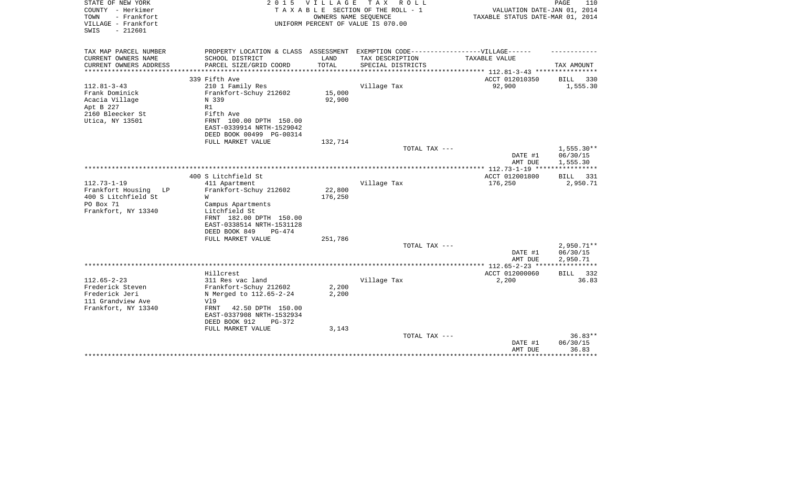| STATE OF NEW YORK<br>COUNTY - Herkimer<br>- Frankfort<br>TOWN<br>VILLAGE - Frankfort<br>SWIS<br>$-212601$ | 2 0 1 5                                                                           | <b>VILLAGE</b> | TAX ROLL<br>TAXABLE SECTION OF THE ROLL - 1<br>OWNERS NAME SEQUENCE<br>UNIFORM PERCENT OF VALUE IS 070.00 | VALUATION DATE-JAN 01, 2014<br>TAXABLE STATUS DATE-MAR 01, 2014 | PAGE<br>110              |
|-----------------------------------------------------------------------------------------------------------|-----------------------------------------------------------------------------------|----------------|-----------------------------------------------------------------------------------------------------------|-----------------------------------------------------------------|--------------------------|
| TAX MAP PARCEL NUMBER                                                                                     | PROPERTY LOCATION & CLASS ASSESSMENT EXEMPTION CODE-----------------VILLAGE------ | LAND           |                                                                                                           |                                                                 |                          |
| CURRENT OWNERS NAME<br>CURRENT OWNERS ADDRESS                                                             | SCHOOL DISTRICT<br>PARCEL SIZE/GRID COORD                                         | TOTAL          | TAX DESCRIPTION<br>SPECIAL DISTRICTS                                                                      | TAXABLE VALUE                                                   | TAX AMOUNT               |
| ********************                                                                                      | **************************                                                        |                |                                                                                                           |                                                                 |                          |
|                                                                                                           | 339 Fifth Ave                                                                     |                |                                                                                                           | ACCT 012010350                                                  | BILL<br>330              |
| $112.81 - 3 - 43$                                                                                         | 210 1 Family Res                                                                  |                | Village Tax                                                                                               | 92,900                                                          | 1,555.30                 |
| Frank Dominick                                                                                            | Frankfort-Schuy 212602                                                            | 15,000         |                                                                                                           |                                                                 |                          |
| Acacia Village<br>Apt B 227                                                                               | N 339<br>R1                                                                       | 92,900         |                                                                                                           |                                                                 |                          |
| 2160 Bleecker St                                                                                          | Fifth Ave                                                                         |                |                                                                                                           |                                                                 |                          |
| Utica, NY 13501                                                                                           | FRNT 100.00 DPTH 150.00                                                           |                |                                                                                                           |                                                                 |                          |
|                                                                                                           | EAST-0339914 NRTH-1529042                                                         |                |                                                                                                           |                                                                 |                          |
|                                                                                                           | DEED BOOK 00499 PG-00314                                                          |                |                                                                                                           |                                                                 |                          |
|                                                                                                           | FULL MARKET VALUE                                                                 | 132,714        | TOTAL TAX ---                                                                                             |                                                                 | $1,555.30**$             |
|                                                                                                           |                                                                                   |                |                                                                                                           | DATE #1<br>AMT DUE                                              | 06/30/15<br>1,555.30     |
|                                                                                                           |                                                                                   |                |                                                                                                           | $* 112.73 - 1 - 19$ **                                          | **********               |
|                                                                                                           | 400 S Litchfield St                                                               |                |                                                                                                           | ACCT 012001800                                                  | <b>BILL</b><br>331       |
| $112.73 - 1 - 19$                                                                                         | 411 Apartment                                                                     |                | Village Tax                                                                                               | 176,250                                                         | 2,950.71                 |
| Frankfort Housing<br>LP                                                                                   | Frankfort-Schuy 212602                                                            | 22,800         |                                                                                                           |                                                                 |                          |
| 400 S Litchfield St<br>PO Box 71                                                                          | W<br>Campus Apartments                                                            | 176,250        |                                                                                                           |                                                                 |                          |
| Frankfort, NY 13340                                                                                       | Litchfield St                                                                     |                |                                                                                                           |                                                                 |                          |
|                                                                                                           | FRNT 182.00 DPTH 150.00                                                           |                |                                                                                                           |                                                                 |                          |
|                                                                                                           | EAST-0338514 NRTH-1531128                                                         |                |                                                                                                           |                                                                 |                          |
|                                                                                                           | DEED BOOK 849<br>$PG-474$                                                         |                |                                                                                                           |                                                                 |                          |
|                                                                                                           | FULL MARKET VALUE                                                                 | 251,786        |                                                                                                           |                                                                 |                          |
|                                                                                                           |                                                                                   |                | TOTAL TAX ---                                                                                             | DATE #1                                                         | $2,950.71**$<br>06/30/15 |
|                                                                                                           |                                                                                   |                |                                                                                                           | AMT DUE                                                         | 2,950.71                 |
|                                                                                                           |                                                                                   |                |                                                                                                           | ************ 112.65-2-23 ***                                    | ******                   |
|                                                                                                           | Hillcrest                                                                         |                |                                                                                                           | ACCT 012000060                                                  | 332<br>BILL              |
| $112.65 - 2 - 23$                                                                                         | 311 Res vac land                                                                  |                | Village Tax                                                                                               | 2,200                                                           | 36.83                    |
| Frederick Steven<br>Frederick Jeri                                                                        | Frankfort-Schuy 212602<br>N Merged to 112.65-2-24                                 | 2,200<br>2,200 |                                                                                                           |                                                                 |                          |
| 111 Grandview Ave                                                                                         | Vl9                                                                               |                |                                                                                                           |                                                                 |                          |
| Frankfort, NY 13340                                                                                       | FRNT<br>42.50 DPTH 150.00                                                         |                |                                                                                                           |                                                                 |                          |
|                                                                                                           | EAST-0337908 NRTH-1532934                                                         |                |                                                                                                           |                                                                 |                          |
|                                                                                                           | DEED BOOK 912<br>$PG-372$                                                         |                |                                                                                                           |                                                                 |                          |
|                                                                                                           | FULL MARKET VALUE                                                                 | 3,143          | TOTAL TAX ---                                                                                             |                                                                 | $36.83**$                |
|                                                                                                           |                                                                                   |                |                                                                                                           | DATE #1                                                         | 06/30/15                 |
|                                                                                                           |                                                                                   |                |                                                                                                           | AMT DUE                                                         | 36.83                    |
|                                                                                                           |                                                                                   |                |                                                                                                           |                                                                 | *******                  |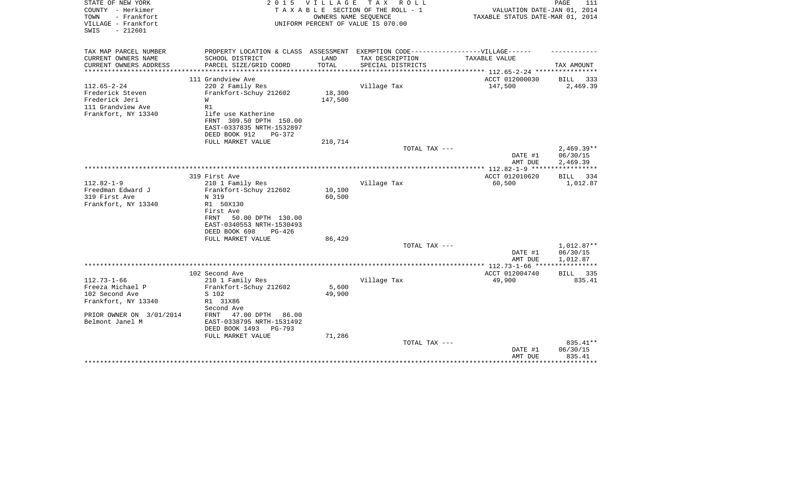| STATE OF NEW YORK<br>COUNTY - Herkimer<br>TOWN<br>- Frankfort<br>VILLAGE - Frankfort<br>$-212601$<br>SWIS | 2 0 1 5                                                                           | <b>VILLAGE</b>         | T A X<br>R O L L<br>TAXABLE SECTION OF THE ROLL - 1<br>OWNERS NAME SEQUENCE<br>UNIFORM PERCENT OF VALUE IS 070.00 | VALUATION DATE-JAN 01, 2014<br>TAXABLE STATUS DATE-MAR 01, 2014 | PAGE<br>111  |
|-----------------------------------------------------------------------------------------------------------|-----------------------------------------------------------------------------------|------------------------|-------------------------------------------------------------------------------------------------------------------|-----------------------------------------------------------------|--------------|
|                                                                                                           |                                                                                   |                        |                                                                                                                   |                                                                 |              |
| TAX MAP PARCEL NUMBER                                                                                     | PROPERTY LOCATION & CLASS ASSESSMENT EXEMPTION CODE-----------------VILLAGE------ |                        |                                                                                                                   |                                                                 |              |
| CURRENT OWNERS NAME                                                                                       | SCHOOL DISTRICT                                                                   | LAND                   | TAX DESCRIPTION                                                                                                   | TAXABLE VALUE                                                   |              |
| CURRENT OWNERS ADDRESS<br>*******************                                                             | PARCEL SIZE/GRID COORD<br>******************************                          | TOTAL<br>************* | SPECIAL DISTRICTS                                                                                                 | **************** 112.65-2-24 *****************                  | TAX AMOUNT   |
|                                                                                                           | 111 Grandview Ave                                                                 |                        |                                                                                                                   | ACCT 012000030                                                  | BILL<br>333  |
| $112.65 - 2 - 24$                                                                                         | 220 2 Family Res                                                                  |                        | Village Tax                                                                                                       | 147,500                                                         | 2,469.39     |
| Frederick Steven                                                                                          | Frankfort-Schuy 212602                                                            | 18,300                 |                                                                                                                   |                                                                 |              |
| Frederick Jeri                                                                                            | W                                                                                 | 147,500                |                                                                                                                   |                                                                 |              |
| 111 Grandview Ave                                                                                         | R1                                                                                |                        |                                                                                                                   |                                                                 |              |
| Frankfort, NY 13340                                                                                       | life use Katherine                                                                |                        |                                                                                                                   |                                                                 |              |
|                                                                                                           | FRNT 309.50 DPTH 150.00                                                           |                        |                                                                                                                   |                                                                 |              |
|                                                                                                           | EAST-0337835 NRTH-1532897                                                         |                        |                                                                                                                   |                                                                 |              |
|                                                                                                           | DEED BOOK 912<br>$PG-372$<br>FULL MARKET VALUE                                    | 210,714                |                                                                                                                   |                                                                 |              |
|                                                                                                           |                                                                                   |                        | TOTAL TAX ---                                                                                                     |                                                                 | $2,469.39**$ |
|                                                                                                           |                                                                                   |                        |                                                                                                                   | DATE #1                                                         | 06/30/15     |
|                                                                                                           |                                                                                   |                        |                                                                                                                   | AMT DUE                                                         | 2,469.39     |
|                                                                                                           |                                                                                   |                        |                                                                                                                   |                                                                 |              |
|                                                                                                           | 319 First Ave                                                                     |                        |                                                                                                                   | ACCT 012010620                                                  | BILL 334     |
| $112.82 - 1 - 9$                                                                                          | 210 1 Family Res                                                                  |                        | Village Tax                                                                                                       | 60,500                                                          | 1,012.87     |
| Freedman Edward J                                                                                         | Frankfort-Schuy 212602                                                            | 10,100                 |                                                                                                                   |                                                                 |              |
| 319 First Ave                                                                                             | N 319                                                                             | 60,500                 |                                                                                                                   |                                                                 |              |
| Frankfort, NY 13340                                                                                       | R1 50X130                                                                         |                        |                                                                                                                   |                                                                 |              |
|                                                                                                           | First Ave<br>FRNT<br>50.00 DPTH 130.00                                            |                        |                                                                                                                   |                                                                 |              |
|                                                                                                           | EAST-0340553 NRTH-1530493                                                         |                        |                                                                                                                   |                                                                 |              |
|                                                                                                           | DEED BOOK 698<br>$PG-426$                                                         |                        |                                                                                                                   |                                                                 |              |
|                                                                                                           | FULL MARKET VALUE                                                                 | 86,429                 |                                                                                                                   |                                                                 |              |
|                                                                                                           |                                                                                   |                        | TOTAL TAX ---                                                                                                     |                                                                 | 1,012.87**   |
|                                                                                                           |                                                                                   |                        |                                                                                                                   | DATE #1                                                         | 06/30/15     |
|                                                                                                           |                                                                                   |                        |                                                                                                                   | AMT DUE                                                         | 1,012.87     |
|                                                                                                           |                                                                                   |                        |                                                                                                                   |                                                                 |              |
|                                                                                                           | 102 Second Ave                                                                    |                        |                                                                                                                   | ACCT 012004740                                                  | 335<br>BILL  |
| $112.73 - 1 - 66$                                                                                         | 210 1 Family Res                                                                  |                        | Village Tax                                                                                                       | 49,900                                                          | 835.41       |
| Freeza Michael P<br>102 Second Ave                                                                        | Frankfort-Schuy 212602<br>S 102                                                   | 5,600<br>49,900        |                                                                                                                   |                                                                 |              |
| Frankfort, NY 13340                                                                                       | R1 31X86                                                                          |                        |                                                                                                                   |                                                                 |              |
|                                                                                                           | Second Ave                                                                        |                        |                                                                                                                   |                                                                 |              |
| PRIOR OWNER ON 3/01/2014                                                                                  | 47.00 DPTH<br>86.00<br>FRNT                                                       |                        |                                                                                                                   |                                                                 |              |
| Belmont Janel M                                                                                           | EAST-0338795 NRTH-1531492                                                         |                        |                                                                                                                   |                                                                 |              |
|                                                                                                           | DEED BOOK 1493<br>PG-793                                                          |                        |                                                                                                                   |                                                                 |              |
|                                                                                                           | FULL MARKET VALUE                                                                 | 71,286                 |                                                                                                                   |                                                                 |              |
|                                                                                                           |                                                                                   |                        | TOTAL TAX ---                                                                                                     |                                                                 | 835.41**     |
|                                                                                                           |                                                                                   |                        |                                                                                                                   | DATE #1                                                         | 06/30/15     |
|                                                                                                           |                                                                                   |                        |                                                                                                                   | AMT DUE                                                         | 835.41       |
|                                                                                                           |                                                                                   |                        |                                                                                                                   |                                                                 |              |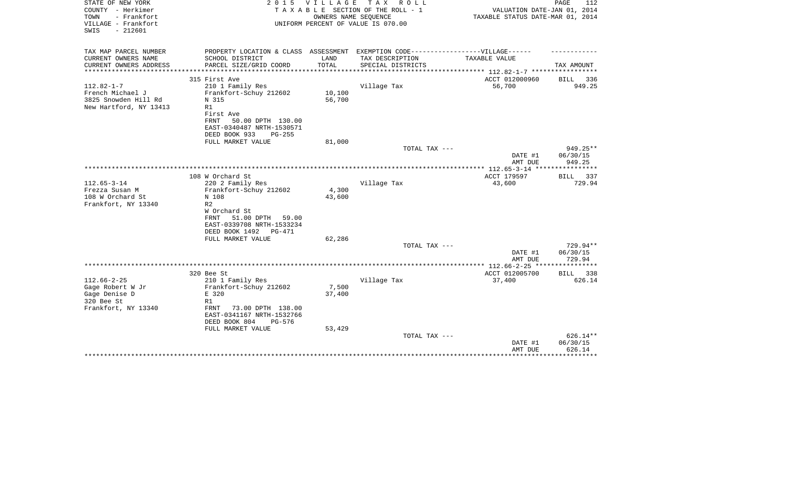| STATE OF NEW YORK<br>COUNTY - Herkimer<br>TOWN<br>- Frankfort<br>VILLAGE - Frankfort<br>$-212601$<br>SWIS | 2 0 1 5                                                                          | VILLAGE         | TAX ROLL<br>TAXABLE SECTION OF THE ROLL - 1<br>OWNERS NAME SEQUENCE<br>UNIFORM PERCENT OF VALUE IS 070.00 | VALUATION DATE-JAN 01, 2014<br>TAXABLE STATUS DATE-MAR 01, 2014 | PAGE<br>112          |
|-----------------------------------------------------------------------------------------------------------|----------------------------------------------------------------------------------|-----------------|-----------------------------------------------------------------------------------------------------------|-----------------------------------------------------------------|----------------------|
| TAX MAP PARCEL NUMBER                                                                                     | PROPERTY LOCATION & CLASS ASSESSMENT EXEMPTION CODE----------------VILLAGE------ |                 |                                                                                                           |                                                                 |                      |
| CURRENT OWNERS NAME<br>CURRENT OWNERS ADDRESS                                                             | SCHOOL DISTRICT<br>PARCEL SIZE/GRID COORD                                        | LAND<br>TOTAL   | TAX DESCRIPTION<br>SPECIAL DISTRICTS                                                                      | TAXABLE VALUE                                                   | TAX AMOUNT           |
| *******************                                                                                       |                                                                                  |                 |                                                                                                           |                                                                 |                      |
|                                                                                                           | 315 First Ave                                                                    |                 |                                                                                                           | ACCT 012000960                                                  | BILL 336             |
| $112.82 - 1 - 7$                                                                                          | 210 1 Family Res                                                                 |                 | Village Tax                                                                                               | 56,700                                                          | 949.25               |
| French Michael J                                                                                          | Frankfort-Schuy 212602<br>N 315                                                  | 10,100          |                                                                                                           |                                                                 |                      |
| 3825 Snowden Hill Rd<br>New Hartford, NY 13413                                                            | R1                                                                               | 56,700          |                                                                                                           |                                                                 |                      |
|                                                                                                           | First Ave                                                                        |                 |                                                                                                           |                                                                 |                      |
|                                                                                                           | FRNT<br>50.00 DPTH 130.00                                                        |                 |                                                                                                           |                                                                 |                      |
|                                                                                                           | EAST-0340487 NRTH-1530571                                                        |                 |                                                                                                           |                                                                 |                      |
|                                                                                                           | DEED BOOK 933<br>$PG-255$                                                        |                 |                                                                                                           |                                                                 |                      |
|                                                                                                           | FULL MARKET VALUE                                                                | 81,000          | TOTAL TAX ---                                                                                             |                                                                 | 949.25**             |
|                                                                                                           |                                                                                  |                 |                                                                                                           | DATE #1<br>AMT DUE                                              | 06/30/15<br>949.25   |
|                                                                                                           |                                                                                  |                 |                                                                                                           |                                                                 |                      |
|                                                                                                           | 108 W Orchard St                                                                 |                 |                                                                                                           | ACCT 179597                                                     | 337<br>BILL          |
| $112.65 - 3 - 14$                                                                                         | 220 2 Family Res                                                                 |                 | Village Tax                                                                                               | 43,600                                                          | 729.94               |
| Frezza Susan M<br>108 W Orchard St                                                                        | Frankfort-Schuy 212602<br>N 108                                                  | 4,300<br>43,600 |                                                                                                           |                                                                 |                      |
| Frankfort, NY 13340                                                                                       | R <sub>2</sub>                                                                   |                 |                                                                                                           |                                                                 |                      |
|                                                                                                           | W Orchard St                                                                     |                 |                                                                                                           |                                                                 |                      |
|                                                                                                           | <b>FRNT</b><br>51.00 DPTH<br>59.00                                               |                 |                                                                                                           |                                                                 |                      |
|                                                                                                           | EAST-0339708 NRTH-1533234                                                        |                 |                                                                                                           |                                                                 |                      |
|                                                                                                           | DEED BOOK 1492<br>PG-471                                                         | 62,286          |                                                                                                           |                                                                 |                      |
|                                                                                                           | FULL MARKET VALUE                                                                |                 | TOTAL TAX ---                                                                                             |                                                                 | 729.94**             |
|                                                                                                           |                                                                                  |                 |                                                                                                           | DATE #1                                                         | 06/30/15             |
|                                                                                                           |                                                                                  |                 |                                                                                                           | AMT DUE                                                         | 729.94               |
|                                                                                                           |                                                                                  |                 |                                                                                                           |                                                                 |                      |
|                                                                                                           | 320 Bee St                                                                       |                 |                                                                                                           | ACCT 012005700                                                  | 338<br>BILL          |
| $112.66 - 2 - 25$<br>Gage Robert W Jr                                                                     | 210 1 Family Res<br>Frankfort-Schuy 212602                                       | 7,500           | Village Tax                                                                                               | 37,400                                                          | 626.14               |
| Gage Denise D                                                                                             | E 320                                                                            | 37,400          |                                                                                                           |                                                                 |                      |
| 320 Bee St                                                                                                | R1                                                                               |                 |                                                                                                           |                                                                 |                      |
| Frankfort, NY 13340                                                                                       | 73.00 DPTH 138.00<br>FRNT<br>EAST-0341167 NRTH-1532766                           |                 |                                                                                                           |                                                                 |                      |
|                                                                                                           | DEED BOOK 804<br>$PG-576$                                                        |                 |                                                                                                           |                                                                 |                      |
|                                                                                                           | FULL MARKET VALUE                                                                | 53,429          |                                                                                                           |                                                                 |                      |
|                                                                                                           |                                                                                  |                 | TOTAL TAX ---                                                                                             | DATE #1                                                         | 626.14**<br>06/30/15 |
|                                                                                                           |                                                                                  |                 |                                                                                                           | AMT DUE                                                         | 626.14               |
|                                                                                                           |                                                                                  |                 |                                                                                                           |                                                                 |                      |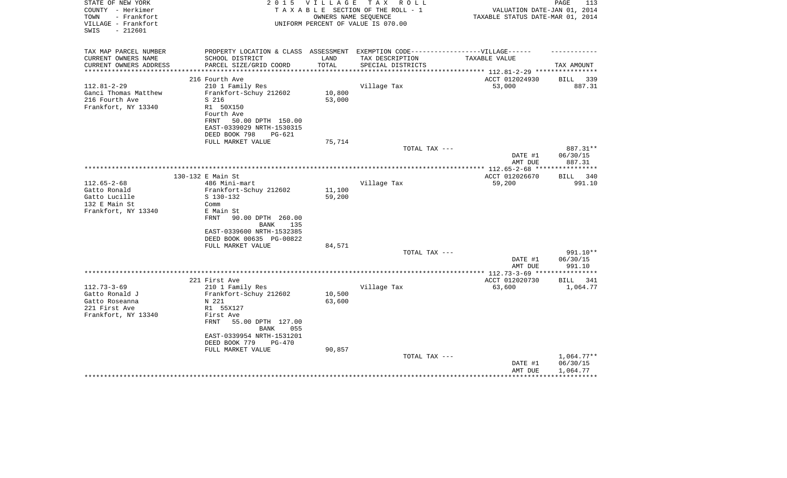| STATE OF NEW YORK<br>COUNTY - Herkimer<br>- Frankfort<br>TOWN | 2 0 1 5                                                                           | V I L L A G E | T A X<br>R O L L<br>TAXABLE SECTION OF THE ROLL - 1<br>OWNERS NAME SEQUENCE | VALUATION DATE-JAN 01, 2014<br>TAXABLE STATUS DATE-MAR 01, 2014 | PAGE<br>113             |
|---------------------------------------------------------------|-----------------------------------------------------------------------------------|---------------|-----------------------------------------------------------------------------|-----------------------------------------------------------------|-------------------------|
| VILLAGE - Frankfort<br>$-212601$<br>SWIS                      |                                                                                   |               | UNIFORM PERCENT OF VALUE IS 070.00                                          |                                                                 |                         |
| TAX MAP PARCEL NUMBER                                         | PROPERTY LOCATION & CLASS ASSESSMENT EXEMPTION CODE-----------------VILLAGE------ |               |                                                                             |                                                                 |                         |
| CURRENT OWNERS NAME                                           | SCHOOL DISTRICT                                                                   | LAND          | TAX DESCRIPTION                                                             | TAXABLE VALUE                                                   |                         |
| CURRENT OWNERS ADDRESS                                        | PARCEL SIZE/GRID COORD                                                            | TOTAL         | SPECIAL DISTRICTS                                                           |                                                                 | TAX AMOUNT              |
| **********************                                        | *****************************                                                     |               |                                                                             |                                                                 |                         |
|                                                               | 216 Fourth Ave                                                                    |               |                                                                             | ACCT 012024930                                                  | BILL 339                |
| $112.81 - 2 - 29$                                             | 210 1 Family Res                                                                  |               | Village Tax                                                                 | 53,000                                                          | 887.31                  |
| Ganci Thomas Matthew                                          | Frankfort-Schuy 212602                                                            | 10,800        |                                                                             |                                                                 |                         |
| 216 Fourth Ave                                                | S 216                                                                             | 53,000        |                                                                             |                                                                 |                         |
| Frankfort, NY 13340                                           | R1 50X150<br>Fourth Ave                                                           |               |                                                                             |                                                                 |                         |
|                                                               | FRNT<br>50.00 DPTH 150.00                                                         |               |                                                                             |                                                                 |                         |
|                                                               | EAST-0339029 NRTH-1530315                                                         |               |                                                                             |                                                                 |                         |
|                                                               | DEED BOOK 798<br>PG-621                                                           |               |                                                                             |                                                                 |                         |
|                                                               | FULL MARKET VALUE                                                                 | 75,714        |                                                                             |                                                                 |                         |
|                                                               |                                                                                   |               | TOTAL TAX ---                                                               |                                                                 | 887.31**                |
|                                                               |                                                                                   |               |                                                                             | DATE #1                                                         | 06/30/15                |
|                                                               |                                                                                   |               |                                                                             | AMT DUE                                                         | 887.31                  |
|                                                               | * * * * * * * * * * * * *                                                         |               |                                                                             | **************** 112.65-2-68 ***                                | ***********             |
|                                                               | 130-132 E Main St                                                                 |               |                                                                             | ACCT 012026670                                                  | BILL<br>340             |
| $112.65 - 2 - 68$                                             | 486 Mini-mart                                                                     |               | Village Tax                                                                 | 59,200                                                          | 991.10                  |
| Gatto Ronald                                                  | Frankfort-Schuy 212602                                                            | 11,100        |                                                                             |                                                                 |                         |
| Gatto Lucille<br>132 E Main St                                | S 130-132<br>Comm                                                                 | 59,200        |                                                                             |                                                                 |                         |
| Frankfort, NY 13340                                           | E Main St                                                                         |               |                                                                             |                                                                 |                         |
|                                                               | 90.00 DPTH 260.00<br>FRNT                                                         |               |                                                                             |                                                                 |                         |
|                                                               | BANK<br>135                                                                       |               |                                                                             |                                                                 |                         |
|                                                               | EAST-0339600 NRTH-1532385                                                         |               |                                                                             |                                                                 |                         |
|                                                               | DEED BOOK 00635 PG-00822                                                          |               |                                                                             |                                                                 |                         |
|                                                               | FULL MARKET VALUE                                                                 | 84,571        |                                                                             |                                                                 |                         |
|                                                               |                                                                                   |               | TOTAL TAX ---                                                               |                                                                 | 991.10**                |
|                                                               |                                                                                   |               |                                                                             | DATE #1                                                         | 06/30/15                |
|                                                               |                                                                                   |               |                                                                             | AMT DUE                                                         | 991.10                  |
|                                                               |                                                                                   |               |                                                                             | ****** 112.73-3-69 ***                                          |                         |
| $112.73 - 3 - 69$                                             | 221 First Ave                                                                     |               |                                                                             | ACCT 012020730<br>63,600                                        | BILL<br>341<br>1,064.77 |
| Gatto Ronald J                                                | 210 1 Family Res<br>Frankfort-Schuy 212602                                        | 10,500        | Village Tax                                                                 |                                                                 |                         |
| Gatto Roseanna                                                | N 221                                                                             | 63,600        |                                                                             |                                                                 |                         |
| 221 First Ave                                                 | R1 55X127                                                                         |               |                                                                             |                                                                 |                         |
| Frankfort, NY 13340                                           | First Ave                                                                         |               |                                                                             |                                                                 |                         |
|                                                               | 55.00 DPTH 127.00<br>FRNT                                                         |               |                                                                             |                                                                 |                         |
|                                                               | <b>BANK</b><br>055                                                                |               |                                                                             |                                                                 |                         |
|                                                               | EAST-0339954 NRTH-1531201                                                         |               |                                                                             |                                                                 |                         |
|                                                               | DEED BOOK 779<br>$PG-470$                                                         |               |                                                                             |                                                                 |                         |
|                                                               | FULL MARKET VALUE                                                                 | 90,857        |                                                                             |                                                                 |                         |
|                                                               |                                                                                   |               | TOTAL TAX ---                                                               |                                                                 | $1,064.77**$            |
|                                                               |                                                                                   |               |                                                                             | DATE #1                                                         | 06/30/15                |
|                                                               |                                                                                   |               |                                                                             | AMT DUE                                                         | 1,064.77                |
|                                                               |                                                                                   |               |                                                                             |                                                                 |                         |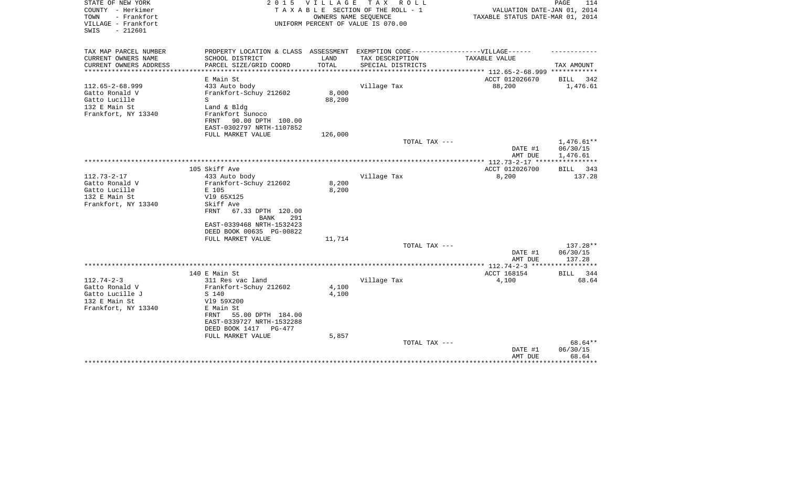| STATE OF NEW YORK<br>COUNTY - Herkimer   | 2 0 1 5                                       | V I L L A G E | T A X<br>R O L L<br>TAXABLE SECTION OF THE ROLL - 1 |                                                                 | 114<br>PAGE  |
|------------------------------------------|-----------------------------------------------|---------------|-----------------------------------------------------|-----------------------------------------------------------------|--------------|
| TOWN<br>- Frankfort                      |                                               |               | OWNERS NAME SEQUENCE                                | VALUATION DATE-JAN 01, 2014<br>TAXABLE STATUS DATE-MAR 01, 2014 |              |
| VILLAGE - Frankfort<br>$-212601$<br>SWIS |                                               |               | UNIFORM PERCENT OF VALUE IS 070.00                  |                                                                 |              |
|                                          |                                               |               |                                                     |                                                                 |              |
|                                          |                                               |               |                                                     |                                                                 |              |
| TAX MAP PARCEL NUMBER                    | PROPERTY LOCATION & CLASS ASSESSMENT          |               | EXEMPTION CODE------------------VILLAGE------       |                                                                 |              |
| CURRENT OWNERS NAME                      | SCHOOL DISTRICT                               | LAND          | TAX DESCRIPTION                                     | TAXABLE VALUE                                                   |              |
| CURRENT OWNERS ADDRESS                   | PARCEL SIZE/GRID COORD<br>******************* | TOTAL         | SPECIAL DISTRICTS                                   | **************** 112.65-2-68.999 ************                   | TAX AMOUNT   |
|                                          | E Main St                                     |               |                                                     | ACCT 012026670                                                  | 342<br>BILL  |
| $112.65 - 2 - 68.999$                    | 433 Auto body                                 |               | Village Tax                                         | 88,200                                                          | 1,476.61     |
| Gatto Ronald V                           | Frankfort-Schuy 212602                        | 8,000         |                                                     |                                                                 |              |
| Gatto Lucille                            | S                                             | 88,200        |                                                     |                                                                 |              |
| 132 E Main St                            | Land & Bldg                                   |               |                                                     |                                                                 |              |
| Frankfort, NY 13340                      | Frankfort Sunoco                              |               |                                                     |                                                                 |              |
|                                          | 90.00 DPTH 100.00<br>FRNT                     |               |                                                     |                                                                 |              |
|                                          | EAST-0302797 NRTH-1107852                     |               |                                                     |                                                                 |              |
|                                          | FULL MARKET VALUE                             | 126,000       |                                                     |                                                                 |              |
|                                          |                                               |               | TOTAL TAX ---                                       |                                                                 | $1,476.61**$ |
|                                          |                                               |               |                                                     | DATE #1                                                         | 06/30/15     |
|                                          |                                               |               |                                                     | AMT DUE                                                         | 1,476.61     |
|                                          |                                               |               |                                                     |                                                                 |              |
|                                          | 105 Skiff Ave                                 |               |                                                     | ACCT 012026700                                                  | 343<br>BILL  |
| $112.73 - 2 - 17$                        | 433 Auto body                                 |               | Village Tax                                         | 8,200                                                           | 137.28       |
| Gatto Ronald V                           | Frankfort-Schuy 212602                        | 8,200         |                                                     |                                                                 |              |
| Gatto Lucille                            | E 105                                         | 8,200         |                                                     |                                                                 |              |
| 132 E Main St                            | V19 65X125                                    |               |                                                     |                                                                 |              |
| Frankfort, NY 13340                      | Skiff Ave                                     |               |                                                     |                                                                 |              |
|                                          | FRNT<br>67.33 DPTH 120.00                     |               |                                                     |                                                                 |              |
|                                          | <b>BANK</b><br>291                            |               |                                                     |                                                                 |              |
|                                          | EAST-0339468 NRTH-1532423                     |               |                                                     |                                                                 |              |
|                                          | DEED BOOK 00635 PG-00822                      |               |                                                     |                                                                 |              |
|                                          | FULL MARKET VALUE                             | 11,714        |                                                     |                                                                 |              |
|                                          |                                               |               | TOTAL TAX ---                                       |                                                                 | 137.28**     |
|                                          |                                               |               |                                                     | DATE #1                                                         | 06/30/15     |
|                                          |                                               |               |                                                     | AMT DUE                                                         | 137.28       |
|                                          |                                               |               |                                                     | ********** 112.74-2-3 *****************                         |              |
|                                          | 140 E Main St                                 |               |                                                     | ACCT 168154                                                     | BILL<br>344  |
| $112.74 - 2 - 3$                         | 311 Res vac land                              |               | Village Tax                                         | 4,100                                                           | 68.64        |
| Gatto Ronald V                           | Frankfort-Schuy 212602                        | 4,100         |                                                     |                                                                 |              |
| Gatto Lucille J                          | S 140                                         | 4,100         |                                                     |                                                                 |              |
| 132 E Main St                            | V19 59X200                                    |               |                                                     |                                                                 |              |
| Frankfort, NY 13340                      | E Main St                                     |               |                                                     |                                                                 |              |
|                                          | 55.00 DPTH 184.00<br>FRNT                     |               |                                                     |                                                                 |              |
|                                          | EAST-0339727 NRTH-1532288                     |               |                                                     |                                                                 |              |
|                                          | DEED BOOK 1417<br>$PG-477$                    |               |                                                     |                                                                 |              |
|                                          | FULL MARKET VALUE                             | 5,857         |                                                     |                                                                 |              |
|                                          |                                               |               | TOTAL TAX ---                                       |                                                                 | 68.64**      |
|                                          |                                               |               |                                                     | DATE #1                                                         | 06/30/15     |
|                                          |                                               |               |                                                     | AMT DUE                                                         | 68.64        |
|                                          |                                               |               |                                                     |                                                                 |              |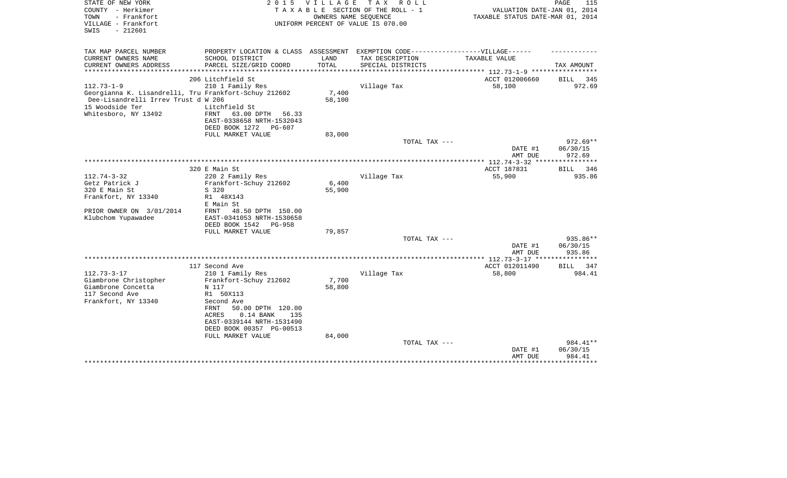| STATE OF NEW YORK<br>COUNTY - Herkimer<br>- Frankfort<br>TOWN<br>VILLAGE - Frankfort<br>$-212601$<br>SWIS                                                   | 2 0 1 5                                                                                                                                                                                                                                    | <b>VILLAGE</b><br>OWNERS NAME SEQUENCE | T A X<br>R O L L<br>TAXABLE SECTION OF THE ROLL - 1<br>UNIFORM PERCENT OF VALUE IS 070.00 | VALUATION DATE-JAN 01, 2014<br>TAXABLE STATUS DATE-MAR 01, 2014 | PAGE<br>115                      |
|-------------------------------------------------------------------------------------------------------------------------------------------------------------|--------------------------------------------------------------------------------------------------------------------------------------------------------------------------------------------------------------------------------------------|----------------------------------------|-------------------------------------------------------------------------------------------|-----------------------------------------------------------------|----------------------------------|
| TAX MAP PARCEL NUMBER<br>CURRENT OWNERS NAME                                                                                                                | PROPERTY LOCATION & CLASS ASSESSMENT EXEMPTION CODE-----------------VILLAGE------<br>SCHOOL DISTRICT                                                                                                                                       | LAND                                   | TAX DESCRIPTION                                                                           | TAXABLE VALUE                                                   |                                  |
| CURRENT OWNERS ADDRESS                                                                                                                                      | PARCEL SIZE/GRID COORD                                                                                                                                                                                                                     | TOTAL                                  | SPECIAL DISTRICTS                                                                         |                                                                 | TAX AMOUNT                       |
| ***************                                                                                                                                             | ***********************                                                                                                                                                                                                                    |                                        | **************************                                                                | ************* 112.73-1-9 ******************                     |                                  |
|                                                                                                                                                             | 206 Litchfield St                                                                                                                                                                                                                          |                                        |                                                                                           | ACCT 012006660                                                  | BILL<br>345                      |
| $112.73 - 1 - 9$<br>Georgianna K. Lisandrelli, Tru Frankfort-Schuy 212602<br>Dee-Lisandrelli Irrev Trust d W 206<br>15 Woodside Ter<br>Whitesboro, NY 13492 | 210 1 Family Res<br>Litchfield St<br><b>FRNT</b><br>63.00 DPTH<br>56.33<br>EAST-0338658 NRTH-1532043<br>DEED BOOK 1272<br>PG-607                                                                                                           | 7,400<br>58,100                        | Village Tax                                                                               | 58,100                                                          | 972.69                           |
|                                                                                                                                                             | FULL MARKET VALUE                                                                                                                                                                                                                          | 83,000                                 | TOTAL TAX ---                                                                             |                                                                 |                                  |
|                                                                                                                                                             |                                                                                                                                                                                                                                            |                                        |                                                                                           | DATE #1<br>AMT DUE                                              | $972.69**$<br>06/30/15<br>972.69 |
|                                                                                                                                                             |                                                                                                                                                                                                                                            |                                        |                                                                                           | ** 112.74-3-32                                                  |                                  |
|                                                                                                                                                             | 320 E Main St                                                                                                                                                                                                                              |                                        |                                                                                           | ACCT 187831                                                     | 346<br><b>BILL</b>               |
| $112.74 - 3 - 32$<br>Getz Patrick J<br>320 E Main St<br>Frankfort, NY 13340<br>PRIOR OWNER ON 3/01/2014<br>Klubchom Yupawadee                               | 220 2 Family Res<br>Frankfort-Schuy 212602<br>S 320<br>R1 48X143<br>E Main St<br>FRNT<br>48.50 DPTH 150.00<br>EAST-0341053 NRTH-1530658                                                                                                    | 6,400<br>55,900                        | Village Tax                                                                               | 55,900                                                          | 935.86                           |
|                                                                                                                                                             | DEED BOOK 1542<br>$PG-958$                                                                                                                                                                                                                 |                                        |                                                                                           |                                                                 |                                  |
|                                                                                                                                                             | FULL MARKET VALUE                                                                                                                                                                                                                          | 79,857                                 | TOTAL TAX ---                                                                             |                                                                 | 935.86**                         |
|                                                                                                                                                             |                                                                                                                                                                                                                                            |                                        |                                                                                           | DATE #1<br>AMT DUE                                              | 06/30/15<br>935.86               |
|                                                                                                                                                             |                                                                                                                                                                                                                                            |                                        |                                                                                           | ****** 112.73-3-17 ****                                         | ********                         |
| $112.73 - 3 - 17$<br>Giambrone Christopher<br>Giambrone Concetta<br>117 Second Ave<br>Frankfort, NY 13340                                                   | 117 Second Ave<br>210 1 Family Res<br>Frankfort-Schuy 212602<br>N 117<br>R1 50X113<br>Second Ave<br>50.00 DPTH 120.00<br>FRNT<br>$0.14$ BANK<br>ACRES<br>135<br>EAST-0339144 NRTH-1531490<br>DEED BOOK 00357 PG-00513<br>FULL MARKET VALUE | 7,700<br>58,800<br>84,000              | Village Tax                                                                               | ACCT 012011490<br>58,800                                        | <b>BILL</b><br>347<br>984.41     |
|                                                                                                                                                             |                                                                                                                                                                                                                                            |                                        | TOTAL TAX ---                                                                             | DATE #1<br>AMT DUE                                              | 984.41**<br>06/30/15<br>984.41   |
|                                                                                                                                                             |                                                                                                                                                                                                                                            |                                        |                                                                                           |                                                                 | **********                       |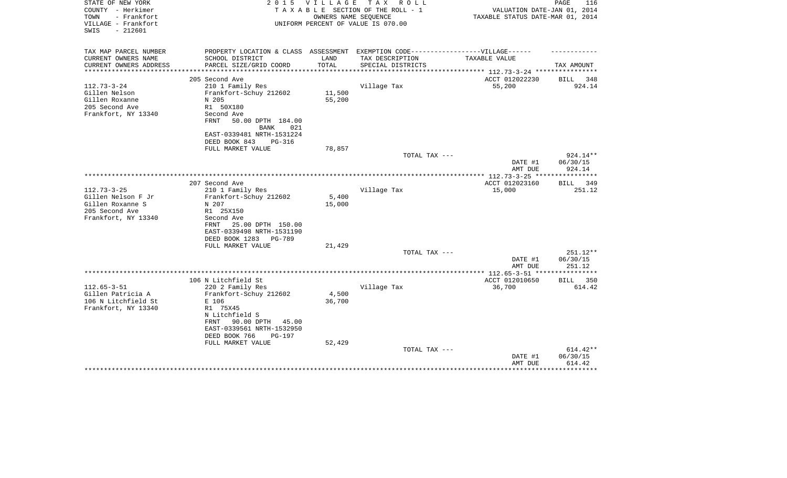| STATE OF NEW YORK<br>COUNTY - Herkimer                          | 2 0 1 5                                                                          | VILLAGE         | TAX ROLL<br>TAXABLE SECTION OF THE ROLL - 1                | VALUATION DATE-JAN 01, 2014      | PAGE<br>116                    |
|-----------------------------------------------------------------|----------------------------------------------------------------------------------|-----------------|------------------------------------------------------------|----------------------------------|--------------------------------|
| - Frankfort<br>TOWN<br>VILLAGE - Frankfort<br>SWIS<br>$-212601$ |                                                                                  |                 | OWNERS NAME SEQUENCE<br>UNIFORM PERCENT OF VALUE IS 070.00 | TAXABLE STATUS DATE-MAR 01, 2014 |                                |
| TAX MAP PARCEL NUMBER                                           | PROPERTY LOCATION & CLASS ASSESSMENT EXEMPTION CODE----------------VILLAGE------ |                 |                                                            |                                  |                                |
| CURRENT OWNERS NAME                                             | SCHOOL DISTRICT                                                                  | LAND            | TAX DESCRIPTION                                            | TAXABLE VALUE                    |                                |
| CURRENT OWNERS ADDRESS                                          | PARCEL SIZE/GRID COORD                                                           | TOTAL           | SPECIAL DISTRICTS                                          | *********** 112.73-3-24 ****     | TAX AMOUNT                     |
|                                                                 | 205 Second Ave                                                                   |                 |                                                            | ACCT 012022230                   | 348<br><b>BILL</b>             |
| $112.73 - 3 - 24$                                               | 210 1 Family Res                                                                 |                 | Village Tax                                                | 55,200                           | 924.14                         |
| Gillen Nelson                                                   | Frankfort-Schuy 212602                                                           | 11,500          |                                                            |                                  |                                |
| Gillen Roxanne                                                  | N 205                                                                            | 55,200          |                                                            |                                  |                                |
| 205 Second Ave                                                  | R1 50X180                                                                        |                 |                                                            |                                  |                                |
| Frankfort, NY 13340                                             | Second Ave<br>FRNT<br>50.00 DPTH 184.00                                          |                 |                                                            |                                  |                                |
|                                                                 | <b>BANK</b><br>021                                                               |                 |                                                            |                                  |                                |
|                                                                 | EAST-0339481 NRTH-1531224                                                        |                 |                                                            |                                  |                                |
|                                                                 | DEED BOOK 843<br>PG-316                                                          |                 |                                                            |                                  |                                |
|                                                                 | FULL MARKET VALUE                                                                | 78,857          |                                                            |                                  |                                |
|                                                                 |                                                                                  |                 | TOTAL TAX ---                                              | DATE #1<br>AMT DUE               | 924.14**<br>06/30/15<br>924.14 |
|                                                                 |                                                                                  |                 |                                                            |                                  |                                |
|                                                                 | 207 Second Ave                                                                   |                 |                                                            | ACCT 012023160                   | <b>BILL</b><br>349             |
| $112.73 - 3 - 25$                                               | 210 1 Family Res                                                                 |                 | Village Tax                                                | 15,000                           | 251.12                         |
| Gillen Nelson F Jr                                              | Frankfort-Schuy 212602                                                           | 5,400           |                                                            |                                  |                                |
| Gillen Roxanne S<br>205 Second Ave                              | N 207                                                                            | 15,000          |                                                            |                                  |                                |
| Frankfort, NY 13340                                             | R1 25X150<br>Second Ave                                                          |                 |                                                            |                                  |                                |
|                                                                 | 25.00 DPTH 150.00<br>FRNT                                                        |                 |                                                            |                                  |                                |
|                                                                 | EAST-0339498 NRTH-1531190                                                        |                 |                                                            |                                  |                                |
|                                                                 | DEED BOOK 1283<br>PG-789                                                         |                 |                                                            |                                  |                                |
|                                                                 | FULL MARKET VALUE                                                                | 21,429          |                                                            |                                  |                                |
|                                                                 |                                                                                  |                 | TOTAL TAX ---                                              | DATE #1                          | 251.12**<br>06/30/15           |
|                                                                 |                                                                                  |                 |                                                            | AMT DUE                          | 251.12                         |
|                                                                 |                                                                                  |                 |                                                            |                                  |                                |
|                                                                 | 106 N Litchfield St                                                              |                 |                                                            | ACCT 012010650                   | 350<br>BILL                    |
| $112.65 - 3 - 51$                                               | 220 2 Family Res                                                                 |                 | Village Tax                                                | 36,700                           | 614.42                         |
| Gillen Patricia A<br>106 N Litchfield St                        | Frankfort-Schuy 212602<br>E 106                                                  | 4,500<br>36,700 |                                                            |                                  |                                |
| Frankfort, NY 13340                                             | R1 75X45                                                                         |                 |                                                            |                                  |                                |
|                                                                 | N Litchfield S                                                                   |                 |                                                            |                                  |                                |
|                                                                 | 90.00 DPTH<br>FRNT<br>45.00                                                      |                 |                                                            |                                  |                                |
|                                                                 | EAST-0339561 NRTH-1532950                                                        |                 |                                                            |                                  |                                |
|                                                                 | DEED BOOK 766<br>PG-197                                                          |                 |                                                            |                                  |                                |
|                                                                 | FULL MARKET VALUE                                                                | 52,429          | TOTAL TAX ---                                              |                                  | 614.42**                       |
|                                                                 |                                                                                  |                 |                                                            | DATE #1                          | 06/30/15                       |
|                                                                 |                                                                                  |                 |                                                            | AMT DUE                          | 614.42                         |
|                                                                 |                                                                                  |                 |                                                            |                                  |                                |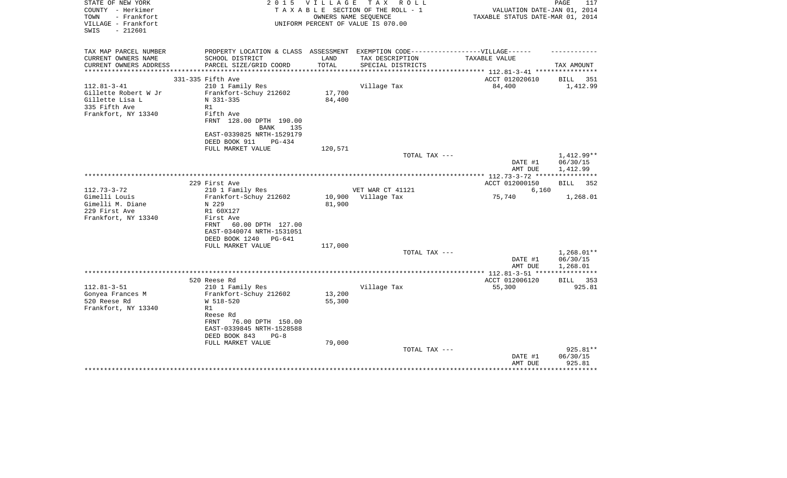| STATE OF NEW YORK<br>COUNTY - Herkimer<br>- Frankfort<br>TOWN<br>VILLAGE - Frankfort<br>$-212601$<br>SWIS | 2 0 1 5                                                                                                                                                                             | VILLAGE                    | TAX ROLL<br>TAXABLE SECTION OF THE ROLL - 1<br>OWNERS NAME SEQUENCE<br>UNIFORM PERCENT OF VALUE IS 070.00 | VALUATION DATE-JAN 01, 2014<br>TAXABLE STATUS DATE-MAR 01, 2014             | PAGE<br>117                          |
|-----------------------------------------------------------------------------------------------------------|-------------------------------------------------------------------------------------------------------------------------------------------------------------------------------------|----------------------------|-----------------------------------------------------------------------------------------------------------|-----------------------------------------------------------------------------|--------------------------------------|
| TAX MAP PARCEL NUMBER                                                                                     | PROPERTY LOCATION & CLASS ASSESSMENT EXEMPTION CODE-----------------VILLAGE------                                                                                                   |                            |                                                                                                           |                                                                             |                                      |
| CURRENT OWNERS NAME<br>CURRENT OWNERS ADDRESS<br>**********************                                   | SCHOOL DISTRICT<br>PARCEL SIZE/GRID COORD                                                                                                                                           | LAND<br>TOTAL              | TAX DESCRIPTION<br>SPECIAL DISTRICTS                                                                      | TAXABLE VALUE<br>***************************** 112.81-3-41 **************** | TAX AMOUNT                           |
|                                                                                                           | 331-335 Fifth Ave                                                                                                                                                                   |                            |                                                                                                           | ACCT 012020610                                                              | BILL 351                             |
| $112.81 - 3 - 41$<br>Gillette Robert W Jr<br>Gillette Lisa L<br>335 Fifth Ave<br>Frankfort, NY 13340      | 210 1 Family Res<br>Frankfort-Schuy 212602<br>N 331-335<br>R1<br>Fifth Ave<br>FRNT 128.00 DPTH 190.00<br>BANK<br>135                                                                | 17,700<br>84,400           | Village Tax                                                                                               | 84,400                                                                      | 1,412.99                             |
|                                                                                                           | EAST-0339825 NRTH-1529179<br>DEED BOOK 911<br>PG-434                                                                                                                                |                            |                                                                                                           |                                                                             |                                      |
|                                                                                                           | FULL MARKET VALUE                                                                                                                                                                   | 120,571                    |                                                                                                           |                                                                             |                                      |
|                                                                                                           |                                                                                                                                                                                     |                            | TOTAL TAX ---                                                                                             | DATE #1<br>AMT DUE                                                          | 1,412.99**<br>06/30/15<br>1,412.99   |
|                                                                                                           |                                                                                                                                                                                     |                            |                                                                                                           | **************** 112.73-3-72 *****************                              |                                      |
|                                                                                                           | 229 First Ave                                                                                                                                                                       |                            |                                                                                                           | ACCT 012000150                                                              | <b>BILL</b><br>352                   |
| $112.73 - 3 - 72$                                                                                         | 210 1 Family Res                                                                                                                                                                    |                            | VET WAR CT 41121                                                                                          | 6,160                                                                       |                                      |
| Gimelli Louis<br>Gimelli M. Diane<br>229 First Ave<br>Frankfort, NY 13340                                 | Frankfort-Schuy 212602<br>N 229<br>R1 60X127<br>First Ave<br>60.00 DPTH 127.00<br>FRNT<br>EAST-0340074 NRTH-1531051<br>DEED BOOK 1240<br>PG-641                                     | 10,900<br>81,900           | Village Tax                                                                                               | 75,740                                                                      | 1,268.01                             |
|                                                                                                           | FULL MARKET VALUE                                                                                                                                                                   | 117,000                    |                                                                                                           |                                                                             |                                      |
|                                                                                                           |                                                                                                                                                                                     |                            | TOTAL TAX ---                                                                                             | DATE #1<br>AMT DUE                                                          | $1,268.01**$<br>06/30/15<br>1,268.01 |
|                                                                                                           |                                                                                                                                                                                     |                            |                                                                                                           |                                                                             |                                      |
|                                                                                                           | 520 Reese Rd                                                                                                                                                                        |                            |                                                                                                           | ACCT 012006120                                                              | BILL 353                             |
| $112.81 - 3 - 51$<br>Gonyea Frances M<br>520 Reese Rd<br>Frankfort, NY 13340                              | 210 1 Family Res<br>Frankfort-Schuy 212602<br>W 518-520<br>R1<br>Reese Rd<br>FRNT<br>76.00 DPTH 150.00<br>EAST-0339845 NRTH-1528588<br>DEED BOOK 843<br>$PG-8$<br>FULL MARKET VALUE | 13,200<br>55,300<br>79,000 | Village Tax                                                                                               | 55,300                                                                      | 925.81                               |
|                                                                                                           |                                                                                                                                                                                     |                            | TOTAL TAX ---                                                                                             | DATE #1<br>AMT DUE                                                          | 925.81**<br>06/30/15<br>925.81       |
|                                                                                                           |                                                                                                                                                                                     |                            |                                                                                                           |                                                                             | ********                             |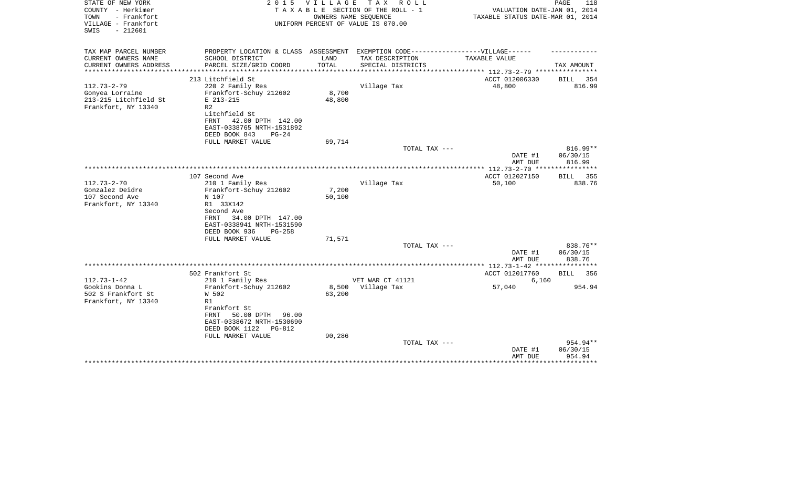| STATE OF NEW YORK<br>COUNTY - Herkimer                          | 2 0 1 5                                                                           | VILLAGE               | TAX ROLL<br>TAXABLE SECTION OF THE ROLL - 1                | VALUATION DATE-JAN 01, 2014                     | PAGE<br>118           |
|-----------------------------------------------------------------|-----------------------------------------------------------------------------------|-----------------------|------------------------------------------------------------|-------------------------------------------------|-----------------------|
| TOWN<br>- Frankfort<br>VILLAGE - Frankfort<br>$-212601$<br>SWIS |                                                                                   |                       | OWNERS NAME SEQUENCE<br>UNIFORM PERCENT OF VALUE IS 070.00 | TAXABLE STATUS DATE-MAR 01, 2014                |                       |
| TAX MAP PARCEL NUMBER                                           | PROPERTY LOCATION & CLASS ASSESSMENT EXEMPTION CODE-----------------VILLAGE------ |                       |                                                            |                                                 |                       |
| CURRENT OWNERS NAME                                             | SCHOOL DISTRICT                                                                   | LAND                  | TAX DESCRIPTION                                            | TAXABLE VALUE                                   |                       |
| CURRENT OWNERS ADDRESS<br>********************                  | PARCEL SIZE/GRID COORD<br>**************************                              | TOTAL<br>************ | SPECIAL DISTRICTS                                          |                                                 | TAX AMOUNT            |
|                                                                 |                                                                                   |                       |                                                            | ***************** 112.73-2-79 ***************** |                       |
| $112.73 - 2 - 79$                                               | 213 Litchfield St<br>220 2 Family Res                                             |                       | Village Tax                                                | ACCT 012006330<br>48,800                        | BILL<br>354<br>816.99 |
| Gonyea Lorraine                                                 | Frankfort-Schuy 212602                                                            | 8,700                 |                                                            |                                                 |                       |
| 213-215 Litchfield St                                           | E 213-215                                                                         | 48,800                |                                                            |                                                 |                       |
| Frankfort, NY 13340                                             | R <sub>2</sub>                                                                    |                       |                                                            |                                                 |                       |
|                                                                 | Litchfield St                                                                     |                       |                                                            |                                                 |                       |
|                                                                 | 42.00 DPTH 142.00<br>FRNT                                                         |                       |                                                            |                                                 |                       |
|                                                                 | EAST-0338765 NRTH-1531892                                                         |                       |                                                            |                                                 |                       |
|                                                                 | DEED BOOK 843<br>$PG-24$                                                          |                       |                                                            |                                                 |                       |
|                                                                 | FULL MARKET VALUE                                                                 | 69,714                |                                                            |                                                 |                       |
|                                                                 |                                                                                   |                       | TOTAL TAX ---                                              |                                                 | $816.99**$            |
|                                                                 |                                                                                   |                       |                                                            | DATE #1                                         | 06/30/15              |
|                                                                 |                                                                                   |                       |                                                            | AMT DUE                                         | 816.99                |
|                                                                 | 107 Second Ave                                                                    |                       |                                                            | ACCT 012027150                                  | 355<br>BILL           |
| $112.73 - 2 - 70$                                               | 210 1 Family Res                                                                  |                       | Village Tax                                                | 50,100                                          | 838.76                |
| Gonzalez Deidre                                                 | Frankfort-Schuy 212602                                                            | 7,200                 |                                                            |                                                 |                       |
| 107 Second Ave                                                  | N 107                                                                             | 50,100                |                                                            |                                                 |                       |
| Frankfort, NY 13340                                             | R1 33X142                                                                         |                       |                                                            |                                                 |                       |
|                                                                 | Second Ave                                                                        |                       |                                                            |                                                 |                       |
|                                                                 | 34.00 DPTH 147.00<br>FRNT                                                         |                       |                                                            |                                                 |                       |
|                                                                 | EAST-0338941 NRTH-1531590                                                         |                       |                                                            |                                                 |                       |
|                                                                 | DEED BOOK 936<br>$PG-258$                                                         |                       |                                                            |                                                 |                       |
|                                                                 | FULL MARKET VALUE                                                                 | 71,571                |                                                            |                                                 |                       |
|                                                                 |                                                                                   |                       | TOTAL TAX ---                                              |                                                 | 838.76**              |
|                                                                 |                                                                                   |                       |                                                            | DATE #1<br>AMT DUE                              | 06/30/15<br>838.76    |
|                                                                 |                                                                                   |                       |                                                            |                                                 |                       |
|                                                                 | 502 Frankfort St                                                                  |                       |                                                            | ACCT 012017760                                  | BILL 356              |
| $112.73 - 1 - 42$                                               | 210 1 Family Res                                                                  |                       | VET WAR CT 41121                                           | 6,160                                           |                       |
| Gookins Donna L                                                 | Frankfort-Schuy 212602                                                            | 8,500                 | Village Tax                                                | 57,040                                          | 954.94                |
| 502 S Frankfort St                                              | W 502                                                                             | 63,200                |                                                            |                                                 |                       |
| Frankfort, NY 13340                                             | R1                                                                                |                       |                                                            |                                                 |                       |
|                                                                 | Frankfort St                                                                      |                       |                                                            |                                                 |                       |
|                                                                 | 50.00 DPTH<br>FRNT<br>96.00                                                       |                       |                                                            |                                                 |                       |
|                                                                 | EAST-0338672 NRTH-1530690                                                         |                       |                                                            |                                                 |                       |
|                                                                 | DEED BOOK 1122<br>PG-812                                                          |                       |                                                            |                                                 |                       |
|                                                                 | FULL MARKET VALUE                                                                 | 90,286                | TOTAL TAX ---                                              |                                                 | 954.94**              |
|                                                                 |                                                                                   |                       |                                                            | DATE #1                                         | 06/30/15              |
|                                                                 |                                                                                   |                       |                                                            | AMT DUE                                         | 954.94                |
|                                                                 |                                                                                   |                       |                                                            |                                                 |                       |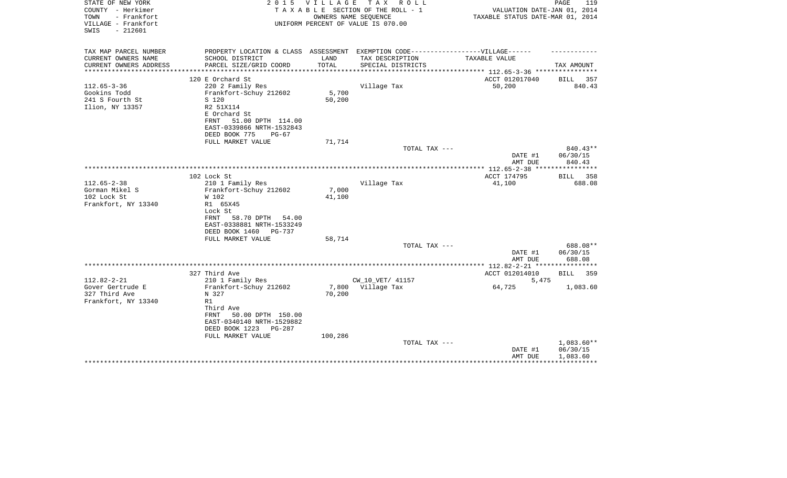| COUNTY - Herkimer<br>TAXABLE SECTION OF THE ROLL - 1<br>VALUATION DATE-JAN 01, 2014<br>TOWN<br>- Frankfort<br>OWNERS NAME SEQUENCE<br>TAXABLE STATUS DATE-MAR 01, 2014<br>VILLAGE - Frankfort<br>UNIFORM PERCENT OF VALUE IS 070.00<br>$-212601$<br>SWIS |        |
|----------------------------------------------------------------------------------------------------------------------------------------------------------------------------------------------------------------------------------------------------------|--------|
|                                                                                                                                                                                                                                                          |        |
|                                                                                                                                                                                                                                                          |        |
| TAX MAP PARCEL NUMBER<br>PROPERTY LOCATION & CLASS ASSESSMENT EXEMPTION CODE-----------------VILLAGE------                                                                                                                                               |        |
| CURRENT OWNERS NAME<br>SCHOOL DISTRICT<br>LAND<br>TAX DESCRIPTION<br>TAXABLE VALUE                                                                                                                                                                       |        |
| CURRENT OWNERS ADDRESS<br>PARCEL SIZE/GRID COORD<br>TOTAL<br>SPECIAL DISTRICTS<br>TAX AMOUNT<br>*******************<br>****************<br>***************** 112.65-3-36 *****************                                                               |        |
| 120 E Orchard St<br>ACCT 012017040<br>BILL 357                                                                                                                                                                                                           |        |
| $112.65 - 3 - 36$<br>220 2 Family Res<br>Village Tax<br>50,200                                                                                                                                                                                           | 840.43 |
| Gookins Todd<br>Frankfort-Schuy 212602<br>5,700                                                                                                                                                                                                          |        |
| 50,200<br>241 S Fourth St<br>S 120                                                                                                                                                                                                                       |        |
| Ilion, NY 13357<br>R2 51X114                                                                                                                                                                                                                             |        |
| E Orchard St                                                                                                                                                                                                                                             |        |
| 51.00 DPTH 114.00<br>FRNT                                                                                                                                                                                                                                |        |
| EAST-0339866 NRTH-1532843                                                                                                                                                                                                                                |        |
| DEED BOOK 775<br>$PG-67$                                                                                                                                                                                                                                 |        |
| 71,714<br>FULL MARKET VALUE                                                                                                                                                                                                                              |        |
| 840.43**<br>TOTAL TAX ---                                                                                                                                                                                                                                |        |
| DATE #1<br>06/30/15                                                                                                                                                                                                                                      |        |
| 840.43<br>AMT DUE                                                                                                                                                                                                                                        |        |
| 102 Lock St<br>ACCT 174795<br>BILL 358                                                                                                                                                                                                                   |        |
| $112.65 - 2 - 38$<br>210 1 Family Res<br>Village Tax<br>41,100                                                                                                                                                                                           | 688.08 |
| Gorman Mikel S<br>Frankfort-Schuy 212602<br>7,000                                                                                                                                                                                                        |        |
| 102 Lock St<br>41,100<br>W 102                                                                                                                                                                                                                           |        |
| Frankfort, NY 13340<br>R1 65X45                                                                                                                                                                                                                          |        |
| Lock St                                                                                                                                                                                                                                                  |        |
| FRNT<br>58.70 DPTH<br>54.00                                                                                                                                                                                                                              |        |
| EAST-0338881 NRTH-1533249                                                                                                                                                                                                                                |        |
| DEED BOOK 1460<br>PG-737                                                                                                                                                                                                                                 |        |
| FULL MARKET VALUE<br>58,714                                                                                                                                                                                                                              |        |
| 688.08**<br>TOTAL TAX ---                                                                                                                                                                                                                                |        |
| 06/30/15<br>DATE #1                                                                                                                                                                                                                                      |        |
| 688.08<br>AMT DUE                                                                                                                                                                                                                                        |        |
| 327 Third Ave<br>ACCT 012014010<br>BILL                                                                                                                                                                                                                  | 359    |
| $112.82 - 2 - 21$<br>CW_10_VET/ 41157<br>210 1 Family Res<br>5,475                                                                                                                                                                                       |        |
| Gover Gertrude E<br>Frankfort-Schuy 212602<br>7,800 Village Tax<br>64,725<br>1,083.60                                                                                                                                                                    |        |
| 327 Third Ave<br>N 327<br>70,200                                                                                                                                                                                                                         |        |
| Frankfort, NY 13340<br>R1                                                                                                                                                                                                                                |        |
| Third Ave                                                                                                                                                                                                                                                |        |
| 50.00 DPTH 150.00<br>FRNT                                                                                                                                                                                                                                |        |
| EAST-0340140 NRTH-1529882                                                                                                                                                                                                                                |        |
| DEED BOOK 1223<br>PG-287                                                                                                                                                                                                                                 |        |
| FULL MARKET VALUE<br>100,286                                                                                                                                                                                                                             |        |
| 1,083.60**<br>TOTAL TAX ---                                                                                                                                                                                                                              |        |
| 06/30/15<br>DATE #1                                                                                                                                                                                                                                      |        |
| AMT DUE<br>1,083.60                                                                                                                                                                                                                                      |        |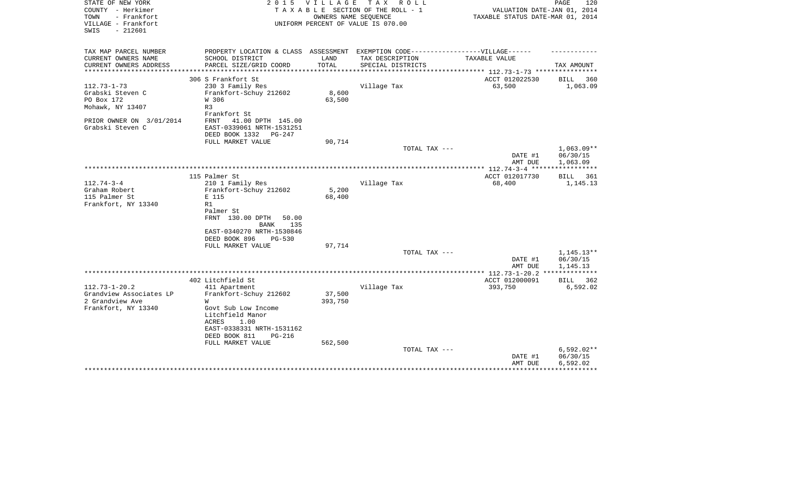| STATE OF NEW YORK<br>COUNTY - Herkimer                          | 2 0 1 5                                               | V I L L A G E        | TAX ROLL<br>TAXABLE SECTION OF THE ROLL - 1                | VALUATION DATE-JAN 01, 2014                                   | 120<br>PAGE                          |
|-----------------------------------------------------------------|-------------------------------------------------------|----------------------|------------------------------------------------------------|---------------------------------------------------------------|--------------------------------------|
| TOWN<br>- Frankfort<br>VILLAGE - Frankfort<br>$-212601$<br>SWIS |                                                       |                      | OWNERS NAME SEQUENCE<br>UNIFORM PERCENT OF VALUE IS 070.00 | TAXABLE STATUS DATE-MAR 01, 2014                              |                                      |
| TAX MAP PARCEL NUMBER                                           | PROPERTY LOCATION & CLASS ASSESSMENT                  |                      | EXEMPTION CODE------------------VILLAGE------              |                                                               |                                      |
| CURRENT OWNERS NAME                                             | SCHOOL DISTRICT                                       | LAND                 | TAX DESCRIPTION                                            | TAXABLE VALUE                                                 |                                      |
| CURRENT OWNERS ADDRESS<br>*******************                   | PARCEL SIZE/GRID COORD                                | TOTAL<br>*********** | SPECIAL DISTRICTS                                          |                                                               | TAX AMOUNT                           |
|                                                                 | 306 S Frankfort St                                    |                      |                                                            | ******************** 112.73-1-73 **********<br>ACCT 012022530 | 360<br>BILL                          |
| $112.73 - 1 - 73$                                               | 230 3 Family Res                                      |                      | Village Tax                                                | 63,500                                                        | 1,063.09                             |
| Grabski Steven C                                                | Frankfort-Schuy 212602                                | 8,600                |                                                            |                                                               |                                      |
| PO Box 172                                                      | W 306                                                 | 63,500               |                                                            |                                                               |                                      |
| Mohawk, NY 13407                                                | R3<br>Frankfort St                                    |                      |                                                            |                                                               |                                      |
| PRIOR OWNER ON 3/01/2014                                        | FRNT<br>41.00 DPTH 145.00                             |                      |                                                            |                                                               |                                      |
| Grabski Steven C                                                | EAST-0339061 NRTH-1531251<br>DEED BOOK 1332<br>PG-247 |                      |                                                            |                                                               |                                      |
|                                                                 | FULL MARKET VALUE                                     | 90,714               |                                                            |                                                               |                                      |
|                                                                 |                                                       |                      | TOTAL TAX ---                                              | DATE #1<br>AMT DUE                                            | $1,063.09**$<br>06/30/15<br>1,063.09 |
|                                                                 |                                                       |                      |                                                            |                                                               |                                      |
|                                                                 | 115 Palmer St                                         |                      |                                                            | ACCT 012017730                                                | 361<br>BILL                          |
| $112.74 - 3 - 4$                                                | 210 1 Family Res                                      |                      | Village Tax                                                | 68,400                                                        | 1,145.13                             |
| Graham Robert                                                   | Frankfort-Schuy 212602                                | 5,200                |                                                            |                                                               |                                      |
| 115 Palmer St                                                   | E 115<br>R1                                           | 68,400               |                                                            |                                                               |                                      |
| Frankfort, NY 13340                                             | Palmer St                                             |                      |                                                            |                                                               |                                      |
|                                                                 | FRNT 130.00 DPTH<br>50.00                             |                      |                                                            |                                                               |                                      |
|                                                                 | 135<br>BANK                                           |                      |                                                            |                                                               |                                      |
|                                                                 | EAST-0340270 NRTH-1530846                             |                      |                                                            |                                                               |                                      |
|                                                                 | DEED BOOK 896<br>$PG-530$                             |                      |                                                            |                                                               |                                      |
|                                                                 | FULL MARKET VALUE                                     | 97,714               |                                                            |                                                               |                                      |
|                                                                 |                                                       |                      | TOTAL TAX ---                                              |                                                               | 1,145.13**                           |
|                                                                 |                                                       |                      |                                                            | DATE #1<br>AMT DUE                                            | 06/30/15<br>1,145.13                 |
|                                                                 |                                                       |                      |                                                            | ************** 112.73-1-20.2 **************                   |                                      |
|                                                                 | 402 Litchfield St                                     |                      |                                                            | ACCT 012000091                                                | 362<br>BILL                          |
| $112.73 - 1 - 20.2$                                             | 411 Apartment                                         |                      | Village Tax                                                | 393,750                                                       | 6,592.02                             |
| Grandview Associates LP                                         | Frankfort-Schuy 212602                                | 37,500               |                                                            |                                                               |                                      |
| 2 Grandview Ave                                                 | W                                                     | 393,750              |                                                            |                                                               |                                      |
| Frankfort, NY 13340                                             | Govt Sub Low Income                                   |                      |                                                            |                                                               |                                      |
|                                                                 | Litchfield Manor<br>ACRES<br>1.00                     |                      |                                                            |                                                               |                                      |
|                                                                 | EAST-0338331 NRTH-1531162                             |                      |                                                            |                                                               |                                      |
|                                                                 | DEED BOOK 811<br><b>PG-216</b>                        |                      |                                                            |                                                               |                                      |
|                                                                 | FULL MARKET VALUE                                     | 562,500              |                                                            |                                                               |                                      |
|                                                                 |                                                       |                      | TOTAL TAX ---                                              |                                                               | $6,592.02**$                         |
|                                                                 |                                                       |                      |                                                            | DATE #1                                                       | 06/30/15                             |
|                                                                 |                                                       |                      |                                                            | AMT DUE                                                       | 6,592.02                             |
|                                                                 |                                                       |                      |                                                            |                                                               |                                      |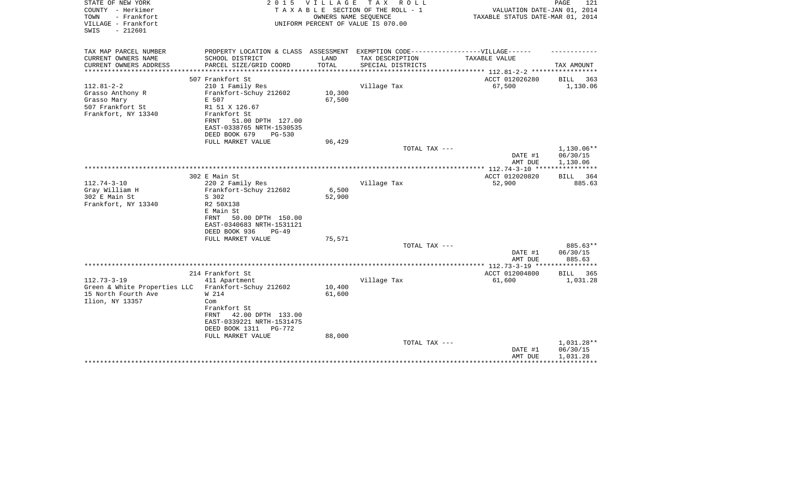| STATE OF NEW YORK<br>COUNTY - Herkimer<br>- Frankfort<br>TOWN<br>VILLAGE - Frankfort<br>$-212601$<br>SWIS | 2 0 1 5                                                                           | VILLAGE | TAX ROLL<br>TAXABLE SECTION OF THE ROLL - 1<br>OWNERS NAME SEQUENCE<br>UNIFORM PERCENT OF VALUE IS 070.00 | VALUATION DATE-JAN 01, 2014<br>TAXABLE STATUS DATE-MAR 01, 2014 | 121<br>PAGE        |
|-----------------------------------------------------------------------------------------------------------|-----------------------------------------------------------------------------------|---------|-----------------------------------------------------------------------------------------------------------|-----------------------------------------------------------------|--------------------|
| TAX MAP PARCEL NUMBER                                                                                     | PROPERTY LOCATION & CLASS ASSESSMENT EXEMPTION CODE-----------------VILLAGE------ |         |                                                                                                           |                                                                 |                    |
| CURRENT OWNERS NAME                                                                                       | SCHOOL DISTRICT                                                                   | LAND    | TAX DESCRIPTION                                                                                           | TAXABLE VALUE                                                   |                    |
| CURRENT OWNERS ADDRESS<br>**********************                                                          | PARCEL SIZE/GRID COORD                                                            | TOTAL   | SPECIAL DISTRICTS                                                                                         |                                                                 | TAX AMOUNT         |
|                                                                                                           | 507 Frankfort St                                                                  |         |                                                                                                           | ACCT 012026280                                                  | <b>BILL</b><br>363 |
| $112.81 - 2 - 2$                                                                                          | 210 1 Family Res                                                                  |         | Village Tax                                                                                               | 67,500                                                          | 1,130.06           |
| Grasso Anthony R                                                                                          | Frankfort-Schuy 212602                                                            | 10,300  |                                                                                                           |                                                                 |                    |
| Grasso Mary                                                                                               | E 507                                                                             | 67,500  |                                                                                                           |                                                                 |                    |
| 507 Frankfort St                                                                                          | R1 51 X 126.67                                                                    |         |                                                                                                           |                                                                 |                    |
| Frankfort, NY 13340                                                                                       | Frankfort St                                                                      |         |                                                                                                           |                                                                 |                    |
|                                                                                                           | 51.00 DPTH 127.00<br>FRNT<br>EAST-0338765 NRTH-1530535                            |         |                                                                                                           |                                                                 |                    |
|                                                                                                           | DEED BOOK 679<br>$PG-530$                                                         |         |                                                                                                           |                                                                 |                    |
|                                                                                                           | FULL MARKET VALUE                                                                 | 96,429  |                                                                                                           |                                                                 |                    |
|                                                                                                           |                                                                                   |         | TOTAL TAX ---                                                                                             |                                                                 | 1,130.06**         |
|                                                                                                           |                                                                                   |         |                                                                                                           | DATE #1                                                         | 06/30/15           |
|                                                                                                           |                                                                                   |         |                                                                                                           | AMT DUE                                                         | 1,130.06           |
|                                                                                                           | 302 E Main St                                                                     |         |                                                                                                           | ACCT 012020820                                                  | 364<br>BILL        |
| $112.74 - 3 - 10$                                                                                         | 220 2 Family Res                                                                  |         | Village Tax                                                                                               | 52,900                                                          | 885.63             |
| Gray William H                                                                                            | Frankfort-Schuy 212602                                                            | 6,500   |                                                                                                           |                                                                 |                    |
| 302 E Main St                                                                                             | S 302                                                                             | 52,900  |                                                                                                           |                                                                 |                    |
| Frankfort, NY 13340                                                                                       | R2 50X138                                                                         |         |                                                                                                           |                                                                 |                    |
|                                                                                                           | E Main St                                                                         |         |                                                                                                           |                                                                 |                    |
|                                                                                                           | 50.00 DPTH 150.00<br>FRNT                                                         |         |                                                                                                           |                                                                 |                    |
|                                                                                                           | EAST-0340683 NRTH-1531121<br>DEED BOOK 936<br>$PG-49$                             |         |                                                                                                           |                                                                 |                    |
|                                                                                                           | FULL MARKET VALUE                                                                 | 75,571  |                                                                                                           |                                                                 |                    |
|                                                                                                           |                                                                                   |         | TOTAL TAX ---                                                                                             |                                                                 | 885.63**           |
|                                                                                                           |                                                                                   |         |                                                                                                           | DATE #1                                                         | 06/30/15           |
|                                                                                                           |                                                                                   |         |                                                                                                           | AMT DUE                                                         | 885.63             |
|                                                                                                           | 214 Frankfort St                                                                  |         |                                                                                                           | ACCT 012004800                                                  | <b>BILL</b><br>365 |
| $112.73 - 3 - 19$                                                                                         | 411 Apartment                                                                     |         | Village Tax                                                                                               | 61,600                                                          | 1,031.28           |
| Green & White Properties LLC                                                                              | Frankfort-Schuy 212602                                                            | 10,400  |                                                                                                           |                                                                 |                    |
| 15 North Fourth Ave                                                                                       | W 214                                                                             | 61,600  |                                                                                                           |                                                                 |                    |
| Ilion, NY 13357                                                                                           | Com                                                                               |         |                                                                                                           |                                                                 |                    |
|                                                                                                           | Frankfort St                                                                      |         |                                                                                                           |                                                                 |                    |
|                                                                                                           | 42.00 DPTH 133.00<br>FRNT                                                         |         |                                                                                                           |                                                                 |                    |
|                                                                                                           | EAST-0339221 NRTH-1531475<br>PG-772                                               |         |                                                                                                           |                                                                 |                    |
|                                                                                                           | DEED BOOK 1311<br>FULL MARKET VALUE                                               | 88,000  |                                                                                                           |                                                                 |                    |
|                                                                                                           |                                                                                   |         | TOTAL TAX ---                                                                                             |                                                                 | 1,031.28**         |
|                                                                                                           |                                                                                   |         |                                                                                                           | DATE #1                                                         | 06/30/15           |
|                                                                                                           |                                                                                   |         |                                                                                                           | AMT DUE                                                         | 1,031.28           |
|                                                                                                           |                                                                                   |         |                                                                                                           |                                                                 |                    |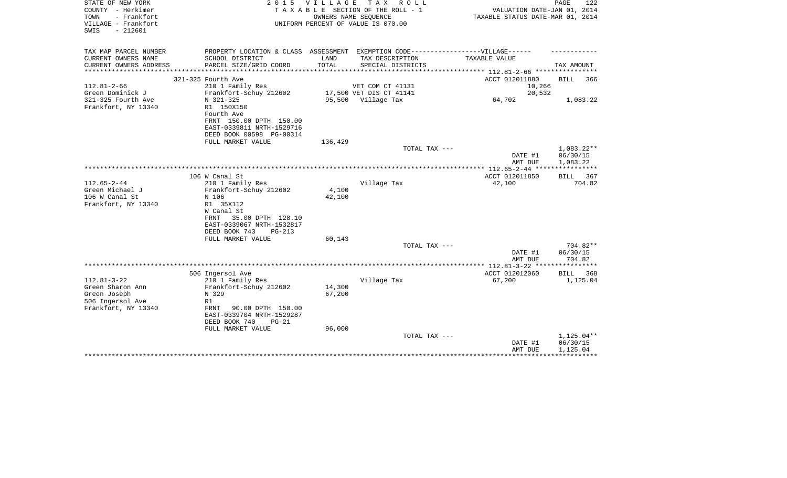| STATE OF NEW YORK<br>COUNTY - Herkimer<br>- Frankfort<br>TOWN<br>VILLAGE - Frankfort<br>$-212601$<br>SWIS | 2 0 1 5                                                                                                                                                                                    | VILLAGE                   | TAX ROLL<br>TAXABLE SECTION OF THE ROLL - 1<br>OWNERS NAME SEQUENCE<br>UNIFORM PERCENT OF VALUE IS 070.00 | VALUATION DATE-JAN 01, 2014<br>TAXABLE STATUS DATE-MAR 01, 2014 | PAGE<br>122                          |
|-----------------------------------------------------------------------------------------------------------|--------------------------------------------------------------------------------------------------------------------------------------------------------------------------------------------|---------------------------|-----------------------------------------------------------------------------------------------------------|-----------------------------------------------------------------|--------------------------------------|
| TAX MAP PARCEL NUMBER                                                                                     | PROPERTY LOCATION & CLASS ASSESSMENT EXEMPTION CODE-----------------VILLAGE------                                                                                                          |                           |                                                                                                           |                                                                 |                                      |
| CURRENT OWNERS NAME<br>CURRENT OWNERS ADDRESS                                                             | SCHOOL DISTRICT<br>PARCEL SIZE/GRID COORD                                                                                                                                                  | LAND<br>TOTAL             | TAX DESCRIPTION<br>SPECIAL DISTRICTS                                                                      | TAXABLE VALUE                                                   | TAX AMOUNT                           |
| *********************                                                                                     |                                                                                                                                                                                            |                           |                                                                                                           |                                                                 |                                      |
| $112.81 - 2 - 66$                                                                                         | 321-325 Fourth Ave<br>210 1 Family Res                                                                                                                                                     |                           | VET COM CT 41131                                                                                          | ACCT 012011880<br>10,266                                        | <b>BILL</b><br>366                   |
| Green Dominick J                                                                                          | Frankfort-Schuy 212602                                                                                                                                                                     |                           | 17,500 VET DIS CT 41141                                                                                   | 20,532                                                          |                                      |
| 321-325 Fourth Ave<br>Frankfort, NY 13340                                                                 | N 321-325<br>R1 150X150<br>Fourth Ave<br>FRNT 150.00 DPTH 150.00<br>EAST-0339811 NRTH-1529716                                                                                              |                           | 95,500 Village Tax                                                                                        | 64,702                                                          | 1,083.22                             |
|                                                                                                           | DEED BOOK 00598 PG-00314                                                                                                                                                                   |                           |                                                                                                           |                                                                 |                                      |
|                                                                                                           | FULL MARKET VALUE                                                                                                                                                                          | 136,429                   |                                                                                                           |                                                                 |                                      |
|                                                                                                           |                                                                                                                                                                                            |                           | TOTAL TAX ---                                                                                             | DATE #1<br>AMT DUE                                              | $1,083.22**$<br>06/30/15<br>1,083.22 |
|                                                                                                           |                                                                                                                                                                                            |                           |                                                                                                           | ************ 112.65-2-44 *****************                      |                                      |
|                                                                                                           | 106 W Canal St                                                                                                                                                                             |                           |                                                                                                           | ACCT 012011850                                                  | BILL<br>367                          |
| $112.65 - 2 - 44$<br>Green Michael J<br>106 W Canal St<br>Frankfort, NY 13340                             | 210 1 Family Res<br>Frankfort-Schuy 212602<br>N 106<br>R1 35X112<br>W Canal St<br>35.00 DPTH 128.10<br>FRNT<br>EAST-0339067 NRTH-1532817<br>DEED BOOK 743<br>$PG-213$<br>FULL MARKET VALUE | 4,100<br>42,100<br>60,143 | Village Tax                                                                                               | 42,100                                                          | 704.82                               |
|                                                                                                           |                                                                                                                                                                                            |                           | TOTAL TAX ---                                                                                             | DATE #1                                                         | $704.82**$<br>06/30/15               |
|                                                                                                           |                                                                                                                                                                                            |                           |                                                                                                           | AMT DUE                                                         | 704.82                               |
|                                                                                                           | 506 Ingersol Ave                                                                                                                                                                           |                           |                                                                                                           | ACCT 012012060                                                  | 368<br>BILL                          |
| $112.81 - 3 - 22$<br>Green Sharon Ann<br>Green Joseph<br>506 Ingersol Ave<br>Frankfort, NY 13340          | 210 1 Family Res<br>Frankfort-Schuy 212602<br>N 329<br>R1<br><b>FRNT</b><br>90.00 DPTH 150.00<br>EAST-0339704 NRTH-1529287<br>DEED BOOK 740<br>$PG-21$                                     | 14,300<br>67,200          | Village Tax                                                                                               | 67,200                                                          | 1,125.04                             |
|                                                                                                           | FULL MARKET VALUE                                                                                                                                                                          | 96,000                    | TOTAL TAX ---                                                                                             | DATE #1<br>AMT DUE                                              | 1,125.04**<br>06/30/15<br>1,125.04   |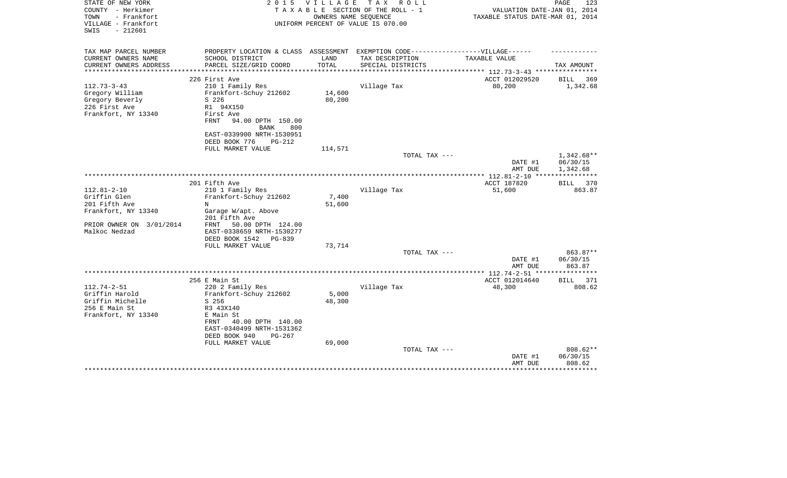| STATE OF NEW YORK<br>COUNTY - Herkimer<br>- Frankfort<br>TOWN | 2 0 1 5                                                                           | VILLAGE<br>OWNERS NAME SEQUENCE | TAX ROLL<br>TAXABLE SECTION OF THE ROLL - 1 | VALUATION DATE-JAN 01, 2014<br>TAXABLE STATUS DATE-MAR 01, 2014 | PAGE<br>123                        |
|---------------------------------------------------------------|-----------------------------------------------------------------------------------|---------------------------------|---------------------------------------------|-----------------------------------------------------------------|------------------------------------|
| VILLAGE - Frankfort<br>SWIS<br>$-212601$                      |                                                                                   |                                 | UNIFORM PERCENT OF VALUE IS 070.00          |                                                                 |                                    |
| TAX MAP PARCEL NUMBER                                         | PROPERTY LOCATION & CLASS ASSESSMENT EXEMPTION CODE-----------------VILLAGE------ |                                 |                                             |                                                                 |                                    |
| CURRENT OWNERS NAME                                           | SCHOOL DISTRICT                                                                   | LAND<br>TOTAL                   | TAX DESCRIPTION                             | TAXABLE VALUE                                                   |                                    |
| CURRENT OWNERS ADDRESS                                        | PARCEL SIZE/GRID COORD                                                            | ************                    | SPECIAL DISTRICTS                           | ******************* 112.73-3-43 ****                            | TAX AMOUNT                         |
|                                                               | 226 First Ave                                                                     |                                 |                                             | ACCT 012029520                                                  | <b>BILL</b><br>369                 |
| $112.73 - 3 - 43$                                             | 210 1 Family Res                                                                  |                                 | Village Tax                                 | 80,200                                                          | 1,342.68                           |
| Gregory William                                               | Frankfort-Schuy 212602                                                            | 14,600                          |                                             |                                                                 |                                    |
| Gregory Beverly                                               | S 226                                                                             | 80,200                          |                                             |                                                                 |                                    |
| 226 First Ave                                                 | R1 94X150                                                                         |                                 |                                             |                                                                 |                                    |
| Frankfort, NY 13340                                           | First Ave<br><b>FRNT</b><br>94.00 DPTH 150.00                                     |                                 |                                             |                                                                 |                                    |
|                                                               | <b>BANK</b><br>800                                                                |                                 |                                             |                                                                 |                                    |
|                                                               | EAST-0339900 NRTH-1530951                                                         |                                 |                                             |                                                                 |                                    |
|                                                               | DEED BOOK 776<br><b>PG-212</b>                                                    |                                 |                                             |                                                                 |                                    |
|                                                               | FULL MARKET VALUE                                                                 | 114,571                         |                                             |                                                                 |                                    |
|                                                               |                                                                                   |                                 | TOTAL TAX ---                               | DATE #1<br>AMT DUE                                              | 1,342.68**<br>06/30/15<br>1,342.68 |
|                                                               |                                                                                   |                                 |                                             |                                                                 |                                    |
|                                                               | 201 Fifth Ave                                                                     |                                 |                                             | ACCT 187820                                                     | BILL<br>370                        |
| $112.81 - 2 - 10$                                             | 210 1 Family Res                                                                  |                                 | Village Tax                                 | 51,600                                                          | 863.87                             |
| Griffin Glen                                                  | Frankfort-Schuy 212602                                                            | 7,400                           |                                             |                                                                 |                                    |
| 201 Fifth Ave                                                 | N                                                                                 | 51,600                          |                                             |                                                                 |                                    |
| Frankfort, NY 13340                                           | Garage W/apt. Above<br>201 Fifth Ave                                              |                                 |                                             |                                                                 |                                    |
| PRIOR OWNER ON 3/01/2014                                      | 50.00 DPTH 124.00<br>FRNT                                                         |                                 |                                             |                                                                 |                                    |
| Malkoc Nedzad                                                 | EAST-0338659 NRTH-1530277                                                         |                                 |                                             |                                                                 |                                    |
|                                                               | DEED BOOK 1542<br>PG-839<br>FULL MARKET VALUE                                     | 73,714                          |                                             |                                                                 |                                    |
|                                                               |                                                                                   |                                 | TOTAL TAX ---                               |                                                                 | 863.87**                           |
|                                                               |                                                                                   |                                 |                                             | DATE #1                                                         | 06/30/15                           |
|                                                               |                                                                                   |                                 |                                             | AMT DUE                                                         | 863.87                             |
|                                                               |                                                                                   |                                 |                                             |                                                                 |                                    |
|                                                               | 256 E Main St                                                                     |                                 |                                             | ACCT 012014640                                                  | 371<br>BILL                        |
| $112.74 - 2 - 51$<br>Griffin Harold                           | 220 2 Family Res<br>Frankfort-Schuy 212602                                        | 5,000                           | Village Tax                                 | 48,300                                                          | 808.62                             |
| Griffin Michelle                                              | $S$ 256                                                                           | 48,300                          |                                             |                                                                 |                                    |
| 256 E Main St                                                 | R3 43X140                                                                         |                                 |                                             |                                                                 |                                    |
| Frankfort, NY 13340                                           | E Main St                                                                         |                                 |                                             |                                                                 |                                    |
|                                                               | FRNT<br>40.00 DPTH 140.00<br>EAST-0340499 NRTH-1531362                            |                                 |                                             |                                                                 |                                    |
|                                                               | DEED BOOK 940<br>$PG-267$                                                         |                                 |                                             |                                                                 |                                    |
|                                                               | FULL MARKET VALUE                                                                 | 69,000                          |                                             |                                                                 |                                    |
|                                                               |                                                                                   |                                 | TOTAL TAX ---                               |                                                                 | 808.62**                           |
|                                                               |                                                                                   |                                 |                                             | DATE #1<br>AMT DUE                                              | 06/30/15<br>808.62                 |
|                                                               |                                                                                   |                                 |                                             |                                                                 |                                    |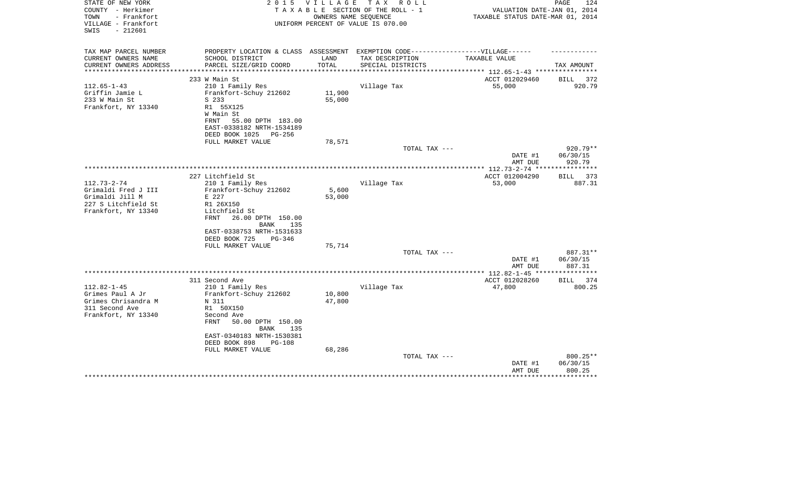| STATE OF NEW YORK<br>COUNTY - Herkimer<br>TOWN<br>- Frankfort<br>VILLAGE - Frankfort<br>$-212601$<br>SWIS | 2 0 1 5                                                                          | V I L L A G E | T A X<br>R O L L<br>TAXABLE SECTION OF THE ROLL - 1<br>OWNERS NAME SEOUENCE<br>UNIFORM PERCENT OF VALUE IS 070.00 | VALUATION DATE-JAN 01, 2014<br>TAXABLE STATUS DATE-MAR 01, 2014 | PAGE<br>124                  |
|-----------------------------------------------------------------------------------------------------------|----------------------------------------------------------------------------------|---------------|-------------------------------------------------------------------------------------------------------------------|-----------------------------------------------------------------|------------------------------|
| TAX MAP PARCEL NUMBER                                                                                     | PROPERTY LOCATION & CLASS ASSESSMENT EXEMPTION CODE----------------VILLAGE------ |               |                                                                                                                   |                                                                 |                              |
| CURRENT OWNERS NAME                                                                                       | SCHOOL DISTRICT                                                                  | LAND          | TAX DESCRIPTION                                                                                                   | TAXABLE VALUE                                                   |                              |
| CURRENT OWNERS ADDRESS                                                                                    | PARCEL SIZE/GRID COORD                                                           | TOTAL         | SPECIAL DISTRICTS                                                                                                 |                                                                 | TAX AMOUNT                   |
| **********************                                                                                    |                                                                                  |               |                                                                                                                   |                                                                 |                              |
|                                                                                                           | 233 W Main St                                                                    |               |                                                                                                                   | ACCT 012029460                                                  | BILL 372                     |
| $112.65 - 1 - 43$                                                                                         | 210 1 Family Res                                                                 |               | Village Tax                                                                                                       | 55,000                                                          | 920.79                       |
| Griffin Jamie L                                                                                           | Frankfort-Schuy 212602                                                           | 11,900        |                                                                                                                   |                                                                 |                              |
| 233 W Main St<br>Frankfort, NY 13340                                                                      | S 233<br>R1 55X125                                                               | 55,000        |                                                                                                                   |                                                                 |                              |
|                                                                                                           | W Main St                                                                        |               |                                                                                                                   |                                                                 |                              |
|                                                                                                           | 55.00 DPTH 183.00<br>FRNT                                                        |               |                                                                                                                   |                                                                 |                              |
|                                                                                                           | EAST-0338182 NRTH-1534189                                                        |               |                                                                                                                   |                                                                 |                              |
|                                                                                                           | DEED BOOK 1025<br>PG-256                                                         |               |                                                                                                                   |                                                                 |                              |
|                                                                                                           | FULL MARKET VALUE                                                                | 78,571        |                                                                                                                   |                                                                 |                              |
|                                                                                                           |                                                                                  |               | TOTAL TAX ---                                                                                                     |                                                                 | 920.79**                     |
|                                                                                                           |                                                                                  |               |                                                                                                                   | DATE #1                                                         | 06/30/15                     |
|                                                                                                           |                                                                                  |               |                                                                                                                   | AMT DUE                                                         | 920.79                       |
|                                                                                                           |                                                                                  |               |                                                                                                                   |                                                                 |                              |
| $112.73 - 2 - 74$                                                                                         | 227 Litchfield St<br>210 1 Family Res                                            |               | Village Tax                                                                                                       | ACCT 012004290<br>53,000                                        | <b>BILL</b><br>373<br>887.31 |
| Grimaldi Fred J III                                                                                       | Frankfort-Schuy 212602                                                           | 5,600         |                                                                                                                   |                                                                 |                              |
| Grimaldi Jill M                                                                                           | E 227                                                                            | 53,000        |                                                                                                                   |                                                                 |                              |
| 227 S Litchfield St                                                                                       | R1 26X150                                                                        |               |                                                                                                                   |                                                                 |                              |
| Frankfort, NY 13340                                                                                       | Litchfield St                                                                    |               |                                                                                                                   |                                                                 |                              |
|                                                                                                           | 26.00 DPTH 150.00<br>FRNT                                                        |               |                                                                                                                   |                                                                 |                              |
|                                                                                                           | BANK<br>135                                                                      |               |                                                                                                                   |                                                                 |                              |
|                                                                                                           | EAST-0338753 NRTH-1531633                                                        |               |                                                                                                                   |                                                                 |                              |
|                                                                                                           | DEED BOOK 725<br>$PG-346$                                                        |               |                                                                                                                   |                                                                 |                              |
|                                                                                                           | FULL MARKET VALUE                                                                | 75,714        | TOTAL TAX ---                                                                                                     |                                                                 | 887.31**                     |
|                                                                                                           |                                                                                  |               |                                                                                                                   | DATE #1                                                         | 06/30/15                     |
|                                                                                                           |                                                                                  |               |                                                                                                                   | AMT DUE                                                         | 887.31                       |
|                                                                                                           |                                                                                  |               |                                                                                                                   | ************* 112.82-1-45 **                                    | * * * * * * * * * *          |
|                                                                                                           | 311 Second Ave                                                                   |               |                                                                                                                   | ACCT 012028260                                                  | 374<br>BILL                  |
| $112.82 - 1 - 45$                                                                                         | 210 1 Family Res                                                                 |               | Village Tax                                                                                                       | 47,800                                                          | 800.25                       |
| Grimes Paul A Jr                                                                                          | Frankfort-Schuy 212602                                                           | 10,800        |                                                                                                                   |                                                                 |                              |
| Grimes Chrisandra M                                                                                       | N 311                                                                            | 47,800        |                                                                                                                   |                                                                 |                              |
| 311 Second Ave                                                                                            | R1 50X150                                                                        |               |                                                                                                                   |                                                                 |                              |
| Frankfort, NY 13340                                                                                       | Second Ave<br><b>FRNT</b>                                                        |               |                                                                                                                   |                                                                 |                              |
|                                                                                                           | 50.00 DPTH 150.00<br><b>BANK</b><br>135                                          |               |                                                                                                                   |                                                                 |                              |
|                                                                                                           | EAST-0340183 NRTH-1530381                                                        |               |                                                                                                                   |                                                                 |                              |
|                                                                                                           | DEED BOOK 898<br><b>PG-108</b>                                                   |               |                                                                                                                   |                                                                 |                              |
|                                                                                                           | FULL MARKET VALUE                                                                | 68,286        |                                                                                                                   |                                                                 |                              |
|                                                                                                           |                                                                                  |               | TOTAL TAX ---                                                                                                     |                                                                 | 800.25**                     |
|                                                                                                           |                                                                                  |               |                                                                                                                   | DATE #1                                                         | 06/30/15                     |
|                                                                                                           |                                                                                  |               |                                                                                                                   | AMT DUE                                                         | 800.25                       |
|                                                                                                           |                                                                                  |               |                                                                                                                   |                                                                 |                              |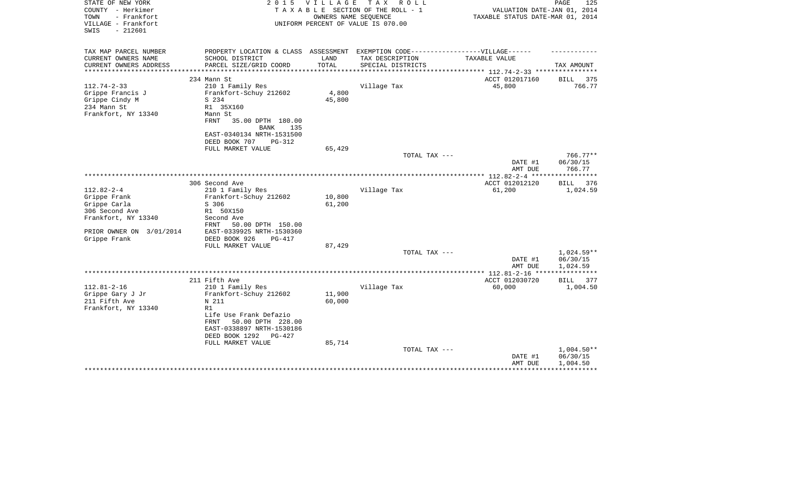| STATE OF NEW YORK<br>COUNTY - Herkimer<br>TOWN<br>- Frankfort<br>VILLAGE - Frankfort<br>$-212601$<br>SWIS | 2 0 1 5                                                                           | <b>VILLAGE</b>   | T A X<br>R O L L<br>TAXABLE SECTION OF THE ROLL - 1<br>OWNERS NAME SEOUENCE<br>UNIFORM PERCENT OF VALUE IS 070.00 | VALUATION DATE-JAN 01, 2014<br>TAXABLE STATUS DATE-MAR 01, 2014 | PAGE<br>125              |
|-----------------------------------------------------------------------------------------------------------|-----------------------------------------------------------------------------------|------------------|-------------------------------------------------------------------------------------------------------------------|-----------------------------------------------------------------|--------------------------|
| TAX MAP PARCEL NUMBER                                                                                     | PROPERTY LOCATION & CLASS ASSESSMENT EXEMPTION CODE-----------------VILLAGE------ |                  |                                                                                                                   |                                                                 |                          |
| CURRENT OWNERS NAME                                                                                       | SCHOOL DISTRICT                                                                   | LAND             | TAX DESCRIPTION                                                                                                   | TAXABLE VALUE                                                   |                          |
| CURRENT OWNERS ADDRESS<br>**********************                                                          | PARCEL SIZE/GRID COORD                                                            | TOTAL            | SPECIAL DISTRICTS                                                                                                 |                                                                 | TAX AMOUNT               |
|                                                                                                           | 234 Mann St                                                                       |                  |                                                                                                                   | ACCT 012017160                                                  | BILL 375                 |
| $112.74 - 2 - 33$                                                                                         | 210 1 Family Res                                                                  |                  | Village Tax                                                                                                       | 45,800                                                          | 766.77                   |
| Grippe Francis J                                                                                          | Frankfort-Schuy 212602                                                            | 4,800            |                                                                                                                   |                                                                 |                          |
| Grippe Cindy M                                                                                            | S 234                                                                             | 45,800           |                                                                                                                   |                                                                 |                          |
| 234 Mann St                                                                                               | R1 35X160                                                                         |                  |                                                                                                                   |                                                                 |                          |
| Frankfort, NY 13340                                                                                       | Mann St                                                                           |                  |                                                                                                                   |                                                                 |                          |
|                                                                                                           | FRNT<br>35.00 DPTH 180.00                                                         |                  |                                                                                                                   |                                                                 |                          |
|                                                                                                           | <b>BANK</b><br>135                                                                |                  |                                                                                                                   |                                                                 |                          |
|                                                                                                           | EAST-0340134 NRTH-1531500                                                         |                  |                                                                                                                   |                                                                 |                          |
|                                                                                                           | DEED BOOK 707<br><b>PG-312</b><br>FULL MARKET VALUE                               | 65,429           |                                                                                                                   |                                                                 |                          |
|                                                                                                           |                                                                                   |                  | TOTAL TAX ---                                                                                                     |                                                                 | $766.77**$               |
|                                                                                                           |                                                                                   |                  |                                                                                                                   | DATE #1<br>AMT DUE                                              | 06/30/15<br>766.77       |
|                                                                                                           |                                                                                   |                  |                                                                                                                   |                                                                 |                          |
|                                                                                                           | 306 Second Ave                                                                    |                  |                                                                                                                   | ACCT 012012120                                                  | <b>BILL</b><br>376       |
| $112.82 - 2 - 4$                                                                                          | 210 1 Family Res                                                                  |                  | Village Tax                                                                                                       | 61,200                                                          | 1,024.59                 |
| Grippe Frank<br>Grippe Carla                                                                              | Frankfort-Schuy 212602<br>S 306                                                   | 10,800<br>61,200 |                                                                                                                   |                                                                 |                          |
| 306 Second Ave                                                                                            | R1 50X150                                                                         |                  |                                                                                                                   |                                                                 |                          |
| Frankfort, NY 13340                                                                                       | Second Ave                                                                        |                  |                                                                                                                   |                                                                 |                          |
|                                                                                                           | FRNT<br>50.00 DPTH 150.00                                                         |                  |                                                                                                                   |                                                                 |                          |
| PRIOR OWNER ON 3/01/2014                                                                                  | EAST-0339925 NRTH-1530360                                                         |                  |                                                                                                                   |                                                                 |                          |
| Grippe Frank                                                                                              | DEED BOOK 926<br>$PG-417$                                                         |                  |                                                                                                                   |                                                                 |                          |
|                                                                                                           | FULL MARKET VALUE                                                                 | 87,429           |                                                                                                                   |                                                                 |                          |
|                                                                                                           |                                                                                   |                  | TOTAL TAX ---                                                                                                     |                                                                 | $1,024.59**$             |
|                                                                                                           |                                                                                   |                  |                                                                                                                   | DATE #1                                                         | 06/30/15                 |
|                                                                                                           |                                                                                   |                  |                                                                                                                   | AMT DUE                                                         | 1,024.59<br>************ |
|                                                                                                           | 211 Fifth Ave                                                                     |                  |                                                                                                                   | ACCT 012030720                                                  | BILL<br>377              |
| $112.81 - 2 - 16$                                                                                         | 210 1 Family Res                                                                  |                  | Village Tax                                                                                                       | 60,000                                                          | 1,004.50                 |
| Grippe Gary J Jr                                                                                          | Frankfort-Schuy 212602                                                            | 11,900           |                                                                                                                   |                                                                 |                          |
| 211 Fifth Ave                                                                                             | N 211                                                                             | 60,000           |                                                                                                                   |                                                                 |                          |
| Frankfort, NY 13340                                                                                       | R1                                                                                |                  |                                                                                                                   |                                                                 |                          |
|                                                                                                           | Life Use Frank Defazio                                                            |                  |                                                                                                                   |                                                                 |                          |
|                                                                                                           | 50.00 DPTH 228.00<br>FRNT                                                         |                  |                                                                                                                   |                                                                 |                          |
|                                                                                                           | EAST-0338897 NRTH-1530186                                                         |                  |                                                                                                                   |                                                                 |                          |
|                                                                                                           | DEED BOOK 1292<br>PG-427<br>FULL MARKET VALUE                                     | 85,714           |                                                                                                                   |                                                                 |                          |
|                                                                                                           |                                                                                   |                  | TOTAL TAX ---                                                                                                     |                                                                 | $1,004.50**$             |
|                                                                                                           |                                                                                   |                  |                                                                                                                   | DATE #1                                                         | 06/30/15                 |
|                                                                                                           |                                                                                   |                  |                                                                                                                   | AMT DUE                                                         | 1,004.50                 |
|                                                                                                           |                                                                                   |                  |                                                                                                                   |                                                                 |                          |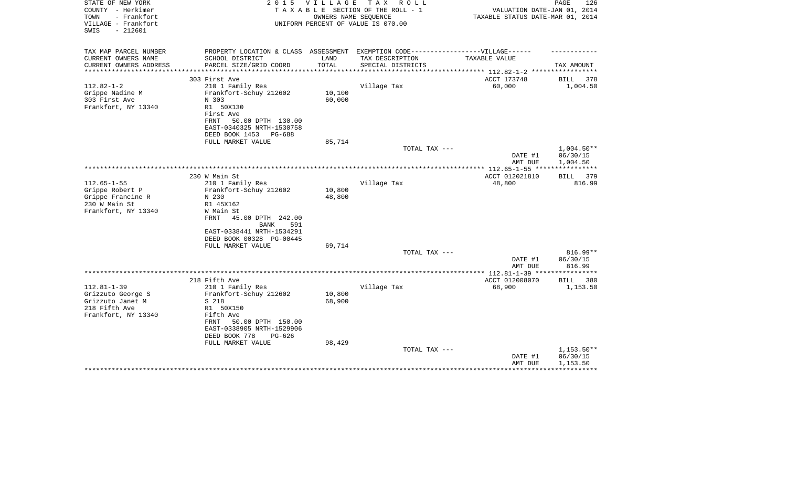| STATE OF NEW YORK<br>COUNTY - Herkimer<br>TOWN<br>- Frankfort<br>VILLAGE - Frankfort<br>$-212601$<br>SWIS | 2 0 1 5                                                                           | V I L L A G E | T A X<br>R O L L<br>TAXABLE SECTION OF THE ROLL - 1<br>OWNERS NAME SEOUENCE<br>UNIFORM PERCENT OF VALUE IS 070.00 | VALUATION DATE-JAN 01, 2014<br>TAXABLE STATUS DATE-MAR 01, 2014 | PAGE<br>126             |
|-----------------------------------------------------------------------------------------------------------|-----------------------------------------------------------------------------------|---------------|-------------------------------------------------------------------------------------------------------------------|-----------------------------------------------------------------|-------------------------|
| TAX MAP PARCEL NUMBER                                                                                     | PROPERTY LOCATION & CLASS ASSESSMENT EXEMPTION CODE-----------------VILLAGE------ |               |                                                                                                                   |                                                                 |                         |
| CURRENT OWNERS NAME                                                                                       | SCHOOL DISTRICT                                                                   | LAND          | TAX DESCRIPTION                                                                                                   | TAXABLE VALUE                                                   |                         |
| CURRENT OWNERS ADDRESS<br>**********************                                                          | PARCEL SIZE/GRID COORD                                                            | TOTAL         | SPECIAL DISTRICTS                                                                                                 |                                                                 | TAX AMOUNT              |
|                                                                                                           | 303 First Ave                                                                     |               |                                                                                                                   | ACCT 173748                                                     | BILL<br>378             |
| $112.82 - 1 - 2$                                                                                          | 210 1 Family Res                                                                  |               | Village Tax                                                                                                       | 60,000                                                          | 1,004.50                |
| Grippe Nadine M                                                                                           | Frankfort-Schuy 212602                                                            | 10,100        |                                                                                                                   |                                                                 |                         |
| 303 First Ave                                                                                             | N 303                                                                             | 60,000        |                                                                                                                   |                                                                 |                         |
| Frankfort, NY 13340                                                                                       | R1 50X130                                                                         |               |                                                                                                                   |                                                                 |                         |
|                                                                                                           | First Ave                                                                         |               |                                                                                                                   |                                                                 |                         |
|                                                                                                           | FRNT<br>50.00 DPTH 130.00                                                         |               |                                                                                                                   |                                                                 |                         |
|                                                                                                           | EAST-0340325 NRTH-1530758                                                         |               |                                                                                                                   |                                                                 |                         |
|                                                                                                           | DEED BOOK 1453<br>PG-688                                                          |               |                                                                                                                   |                                                                 |                         |
|                                                                                                           | FULL MARKET VALUE                                                                 | 85,714        |                                                                                                                   |                                                                 |                         |
|                                                                                                           |                                                                                   |               | TOTAL TAX ---                                                                                                     |                                                                 | $1,004.50**$            |
|                                                                                                           |                                                                                   |               |                                                                                                                   | DATE #1<br>AMT DUE                                              | 06/30/15<br>1,004.50    |
|                                                                                                           |                                                                                   |               |                                                                                                                   |                                                                 | * * * * * * * * * * * * |
|                                                                                                           | 230 W Main St                                                                     |               |                                                                                                                   | ACCT 012021810                                                  | BILL 379                |
| $112.65 - 1 - 55$                                                                                         | 210 1 Family Res                                                                  |               | Village Tax                                                                                                       | 48,800                                                          | 816.99                  |
| Grippe Robert P                                                                                           | Frankfort-Schuy 212602                                                            | 10,800        |                                                                                                                   |                                                                 |                         |
| Grippe Francine R                                                                                         | N 230                                                                             | 48,800        |                                                                                                                   |                                                                 |                         |
| 230 W Main St                                                                                             | R1 45X162                                                                         |               |                                                                                                                   |                                                                 |                         |
| Frankfort, NY 13340                                                                                       | W Main St                                                                         |               |                                                                                                                   |                                                                 |                         |
|                                                                                                           | FRNT<br>45.00 DPTH 242.00                                                         |               |                                                                                                                   |                                                                 |                         |
|                                                                                                           | <b>BANK</b><br>591                                                                |               |                                                                                                                   |                                                                 |                         |
|                                                                                                           | EAST-0338441 NRTH-1534291<br>DEED BOOK 00328 PG-00445                             |               |                                                                                                                   |                                                                 |                         |
|                                                                                                           | FULL MARKET VALUE                                                                 | 69,714        |                                                                                                                   |                                                                 |                         |
|                                                                                                           |                                                                                   |               | TOTAL TAX ---                                                                                                     |                                                                 | $816.99**$              |
|                                                                                                           |                                                                                   |               |                                                                                                                   | DATE #1                                                         | 06/30/15                |
|                                                                                                           |                                                                                   |               |                                                                                                                   | AMT DUE                                                         | 816.99                  |
|                                                                                                           |                                                                                   |               |                                                                                                                   | ***************** 112.81-1-39 *****************                 |                         |
|                                                                                                           | 218 Fifth Ave                                                                     |               |                                                                                                                   | ACCT 012008070                                                  | <b>BILL</b><br>380      |
| $112.81 - 1 - 39$                                                                                         | 210 1 Family Res                                                                  |               | Village Tax                                                                                                       | 68,900                                                          | 1,153.50                |
| Grizzuto George S                                                                                         | Frankfort-Schuy 212602                                                            | 10,800        |                                                                                                                   |                                                                 |                         |
| Grizzuto Janet M                                                                                          | S 218                                                                             | 68,900        |                                                                                                                   |                                                                 |                         |
| 218 Fifth Ave<br>Frankfort, NY 13340                                                                      | R1 50X150<br>Fifth Ave                                                            |               |                                                                                                                   |                                                                 |                         |
|                                                                                                           | 50.00 DPTH 150.00<br>FRNT                                                         |               |                                                                                                                   |                                                                 |                         |
|                                                                                                           | EAST-0338905 NRTH-1529906                                                         |               |                                                                                                                   |                                                                 |                         |
|                                                                                                           | DEED BOOK 778<br>$PG-626$                                                         |               |                                                                                                                   |                                                                 |                         |
|                                                                                                           | FULL MARKET VALUE                                                                 | 98,429        |                                                                                                                   |                                                                 |                         |
|                                                                                                           |                                                                                   |               | TOTAL TAX ---                                                                                                     |                                                                 | $1,153.50**$            |
|                                                                                                           |                                                                                   |               |                                                                                                                   | DATE #1                                                         | 06/30/15                |
|                                                                                                           |                                                                                   |               |                                                                                                                   | AMT DUE                                                         | 1,153.50                |
|                                                                                                           |                                                                                   |               |                                                                                                                   |                                                                 |                         |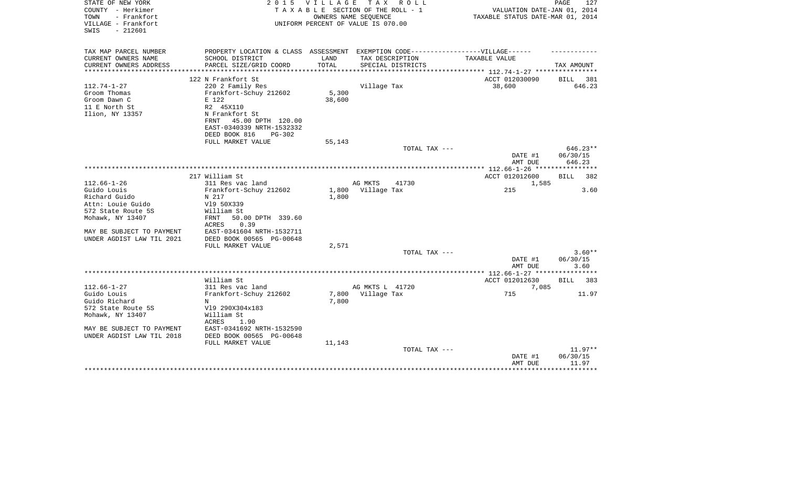| COUNTY - Herkimer<br>TAXABLE SECTION OF THE ROLL - 1<br>TOWN<br>- Frankfort<br>OWNERS NAME SEOUENCE<br>VILLAGE - Frankfort<br>UNIFORM PERCENT OF VALUE IS 070.00<br>$-212601$<br>SWIS | VALUATION DATE-JAN 01, 2014<br>TAXABLE STATUS DATE-MAR 01, 2014 |           |
|---------------------------------------------------------------------------------------------------------------------------------------------------------------------------------------|-----------------------------------------------------------------|-----------|
| PROPERTY LOCATION & CLASS ASSESSMENT EXEMPTION CODE-----------------VILLAGE------<br>TAX MAP PARCEL NUMBER                                                                            |                                                                 |           |
| CURRENT OWNERS NAME<br>SCHOOL DISTRICT<br>LAND<br>TAX DESCRIPTION<br>TAXABLE VALUE                                                                                                    |                                                                 |           |
| TOTAL<br>CURRENT OWNERS ADDRESS<br>PARCEL SIZE/GRID COORD<br>SPECIAL DISTRICTS<br>*********************                                                                               | TAX AMOUNT                                                      |           |
| 122 N Frankfort St                                                                                                                                                                    | ACCT 012030090<br>BILL                                          | 381       |
| $112.74 - 1 - 27$<br>220 2 Family Res<br>Village Tax                                                                                                                                  | 38,600                                                          | 646.23    |
| 5,300<br>Groom Thomas<br>Frankfort-Schuy 212602                                                                                                                                       |                                                                 |           |
| Groom Dawn C<br>E 122<br>38,600                                                                                                                                                       |                                                                 |           |
| 11 E North St<br>R2 45X110                                                                                                                                                            |                                                                 |           |
| Ilion, NY 13357<br>N Frankfort St                                                                                                                                                     |                                                                 |           |
| 45.00 DPTH 120.00<br>FRNT                                                                                                                                                             |                                                                 |           |
| EAST-0340339 NRTH-1532332                                                                                                                                                             |                                                                 |           |
| DEED BOOK 816<br>PG-302<br>FULL MARKET VALUE<br>55,143                                                                                                                                |                                                                 |           |
| TOTAL TAX ---                                                                                                                                                                         |                                                                 | 646.23**  |
|                                                                                                                                                                                       | DATE #1<br>06/30/15                                             |           |
|                                                                                                                                                                                       | AMT DUE                                                         | 646.23    |
|                                                                                                                                                                                       |                                                                 |           |
| 217 William St                                                                                                                                                                        | ACCT 012012600<br>BILL                                          | 382       |
| $112.66 - 1 - 26$<br>311 Res vac land<br>AG MKTS<br>41730                                                                                                                             | 1,585                                                           |           |
| Guido Louis<br>1,800<br>Village Tax<br>Frankfort-Schuy 212602                                                                                                                         | 215                                                             | 3.60      |
| Richard Guido<br>N 217<br>1,800                                                                                                                                                       |                                                                 |           |
| Attn: Louie Guido<br>V19 50X339<br>572 State Route 5S<br>William St                                                                                                                   |                                                                 |           |
| Mohawk, NY 13407<br>50.00 DPTH 339.60<br>FRNT                                                                                                                                         |                                                                 |           |
| 0.39<br>ACRES                                                                                                                                                                         |                                                                 |           |
| MAY BE SUBJECT TO PAYMENT<br>EAST-0341604 NRTH-1532711                                                                                                                                |                                                                 |           |
| DEED BOOK 00565 PG-00648<br>UNDER AGDIST LAW TIL 2021                                                                                                                                 |                                                                 |           |
| FULL MARKET VALUE<br>2,571                                                                                                                                                            |                                                                 |           |
| TOTAL TAX ---                                                                                                                                                                         |                                                                 | $3.60**$  |
|                                                                                                                                                                                       | 06/30/15<br>DATE #1                                             |           |
| ************* 112.66-1-27 ****                                                                                                                                                        | AMT DUE<br>************                                         | 3.60      |
| William St                                                                                                                                                                            | ACCT 012012630<br>BILL                                          | 383       |
| $112.66 - 1 - 27$<br>311 Res vac land<br>AG MKTS L 41720                                                                                                                              | 7,085                                                           |           |
| Guido Louis<br>Frankfort-Schuy 212602<br>7,800<br>Village Tax                                                                                                                         | 715                                                             | 11.97     |
| 7,800<br>Guido Richard<br>N                                                                                                                                                           |                                                                 |           |
| 572 State Route 5S<br>V19 290X304x183                                                                                                                                                 |                                                                 |           |
| Mohawk, NY 13407<br>William St                                                                                                                                                        |                                                                 |           |
| <b>ACRES</b><br>1.90                                                                                                                                                                  |                                                                 |           |
| MAY BE SUBJECT TO PAYMENT<br>EAST-0341692 NRTH-1532590                                                                                                                                |                                                                 |           |
| UNDER AGDIST LAW TIL 2018<br>DEED BOOK 00565 PG-00648                                                                                                                                 |                                                                 |           |
| FULL MARKET VALUE<br>11,143                                                                                                                                                           |                                                                 |           |
| TOTAL TAX ---                                                                                                                                                                         | 06/30/15<br>DATE #1                                             | $11.97**$ |
|                                                                                                                                                                                       | AMT DUE                                                         | 11.97     |
|                                                                                                                                                                                       |                                                                 |           |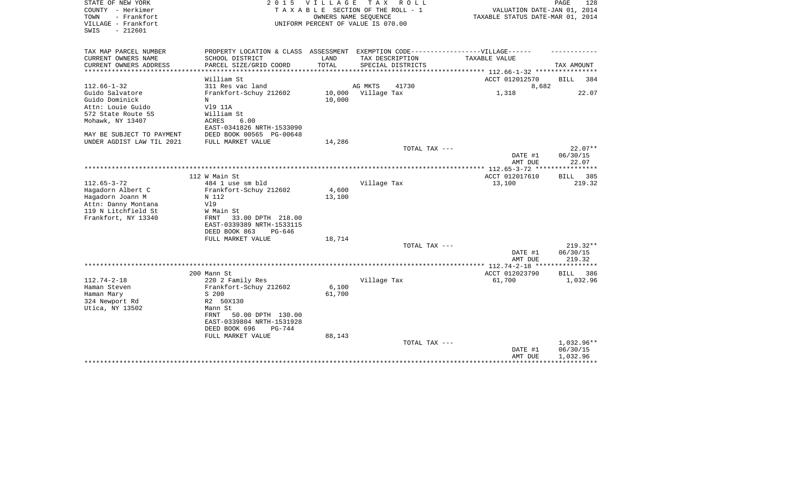| STATE OF NEW YORK<br>COUNTY - Herkimer<br>- Frankfort<br>TOWN<br>VILLAGE - Frankfort<br>SWIS<br>$-212601$ | 2 0 1 5                                                                                              | V I L L A G E | T A X<br>R O L L<br>TAXABLE SECTION OF THE ROLL - 1<br>OWNERS NAME SEQUENCE<br>UNIFORM PERCENT OF VALUE IS 070.00 | VALUATION DATE-JAN 01, 2014<br>TAXABLE STATUS DATE-MAR 01, 2014 | PAGE<br>128        |
|-----------------------------------------------------------------------------------------------------------|------------------------------------------------------------------------------------------------------|---------------|-------------------------------------------------------------------------------------------------------------------|-----------------------------------------------------------------|--------------------|
| TAX MAP PARCEL NUMBER<br>CURRENT OWNERS NAME                                                              | PROPERTY LOCATION & CLASS ASSESSMENT EXEMPTION CODE-----------------VILLAGE------<br>SCHOOL DISTRICT | LAND          | TAX DESCRIPTION                                                                                                   | TAXABLE VALUE                                                   |                    |
| CURRENT OWNERS ADDRESS<br>**************                                                                  | PARCEL SIZE/GRID COORD<br>***********************                                                    | TOTAL         | SPECIAL DISTRICTS                                                                                                 | ************** 112.66-1-32 **********                           | TAX AMOUNT         |
|                                                                                                           | William St                                                                                           |               |                                                                                                                   | ACCT 012012570                                                  | BILL<br>384        |
| $112.66 - 1 - 32$                                                                                         | 311 Res vac land                                                                                     |               | AG MKTS<br>41730                                                                                                  | 8,682                                                           |                    |
| Guido Salvatore                                                                                           | Frankfort-Schuy 212602                                                                               | 10,000        | Village Tax                                                                                                       | 1,318                                                           | 22.07              |
| Guido Dominick                                                                                            | N                                                                                                    | 10,000        |                                                                                                                   |                                                                 |                    |
| Attn: Louie Guido                                                                                         | V19 11A                                                                                              |               |                                                                                                                   |                                                                 |                    |
| 572 State Route 5S                                                                                        | William St                                                                                           |               |                                                                                                                   |                                                                 |                    |
| Mohawk, NY 13407                                                                                          | ACRES<br>6.00                                                                                        |               |                                                                                                                   |                                                                 |                    |
|                                                                                                           | EAST-0341826 NRTH-1533090                                                                            |               |                                                                                                                   |                                                                 |                    |
| MAY BE SUBJECT TO PAYMENT                                                                                 | DEED BOOK 00565 PG-00648                                                                             |               |                                                                                                                   |                                                                 |                    |
| UNDER AGDIST LAW TIL 2021                                                                                 | FULL MARKET VALUE                                                                                    | 14,286        |                                                                                                                   |                                                                 |                    |
|                                                                                                           |                                                                                                      |               | TOTAL TAX ---                                                                                                     |                                                                 | $22.07**$          |
|                                                                                                           |                                                                                                      |               |                                                                                                                   | DATE #1                                                         | 06/30/15           |
|                                                                                                           |                                                                                                      |               |                                                                                                                   | AMT DUE<br>****************** 112.65-3-72 *****************     | 22.07              |
|                                                                                                           | 112 W Main St                                                                                        |               |                                                                                                                   | ACCT 012017610                                                  | 385<br>BILL        |
| $112.65 - 3 - 72$                                                                                         | 484 1 use sm bld                                                                                     |               | Village Tax                                                                                                       | 13,100                                                          | 219.32             |
| Hagadorn Albert C                                                                                         | Frankfort-Schuy 212602                                                                               | 4,600         |                                                                                                                   |                                                                 |                    |
| Hagadorn Joann M                                                                                          | N 112                                                                                                | 13,100        |                                                                                                                   |                                                                 |                    |
| Attn: Danny Montana                                                                                       | Vl9                                                                                                  |               |                                                                                                                   |                                                                 |                    |
| 119 N Litchfield St                                                                                       | W Main St                                                                                            |               |                                                                                                                   |                                                                 |                    |
| Frankfort, NY 13340                                                                                       | 33.00 DPTH 218.00<br>FRNT                                                                            |               |                                                                                                                   |                                                                 |                    |
|                                                                                                           | EAST-0339389 NRTH-1533115                                                                            |               |                                                                                                                   |                                                                 |                    |
|                                                                                                           | DEED BOOK 863<br>PG-646                                                                              |               |                                                                                                                   |                                                                 |                    |
|                                                                                                           | FULL MARKET VALUE                                                                                    | 18,714        |                                                                                                                   |                                                                 |                    |
|                                                                                                           |                                                                                                      |               | TOTAL TAX ---                                                                                                     |                                                                 | $219.32**$         |
|                                                                                                           |                                                                                                      |               |                                                                                                                   | DATE #1                                                         | 06/30/15           |
|                                                                                                           |                                                                                                      |               |                                                                                                                   | AMT DUE<br>*********** 112.74-2-18 **********                   | 219.32             |
|                                                                                                           | 200 Mann St                                                                                          |               |                                                                                                                   | ACCT 012023790                                                  | <b>BILL</b><br>386 |
| $112.74 - 2 - 18$                                                                                         | 220 2 Family Res                                                                                     |               | Village Tax                                                                                                       | 61,700                                                          | 1,032.96           |
| Haman Steven                                                                                              | Frankfort-Schuy 212602                                                                               | 6,100         |                                                                                                                   |                                                                 |                    |
| Haman Mary                                                                                                | S 200                                                                                                | 61,700        |                                                                                                                   |                                                                 |                    |
| 324 Newport Rd                                                                                            | R2 50X130                                                                                            |               |                                                                                                                   |                                                                 |                    |
| Utica, NY 13502                                                                                           | Mann St                                                                                              |               |                                                                                                                   |                                                                 |                    |
|                                                                                                           | FRNT<br>50.00 DPTH 130.00                                                                            |               |                                                                                                                   |                                                                 |                    |
|                                                                                                           | EAST-0339804 NRTH-1531928                                                                            |               |                                                                                                                   |                                                                 |                    |
|                                                                                                           | DEED BOOK 696<br>$PG-744$                                                                            |               |                                                                                                                   |                                                                 |                    |
|                                                                                                           | FULL MARKET VALUE                                                                                    | 88,143        |                                                                                                                   |                                                                 |                    |
|                                                                                                           |                                                                                                      |               | TOTAL TAX ---                                                                                                     |                                                                 | 1,032.96**         |
|                                                                                                           |                                                                                                      |               |                                                                                                                   | DATE #1                                                         | 06/30/15           |
|                                                                                                           |                                                                                                      |               |                                                                                                                   | AMT DUE                                                         | 1,032.96           |
|                                                                                                           |                                                                                                      |               |                                                                                                                   |                                                                 |                    |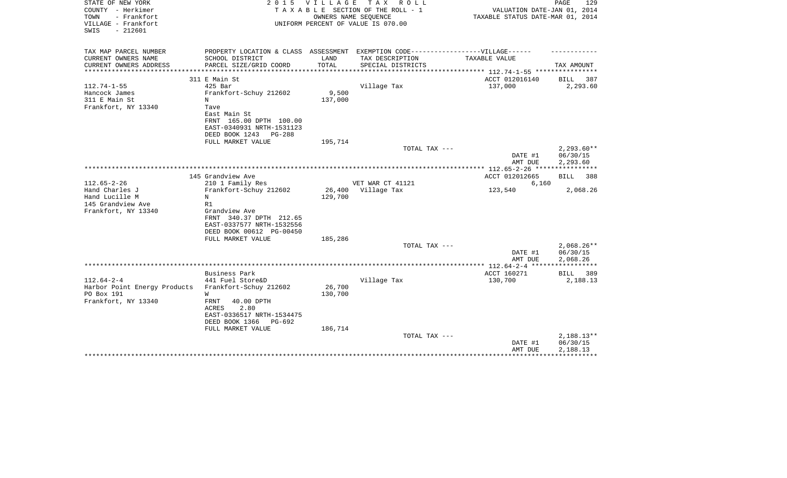| STATE OF NEW YORK<br>COUNTY - Herkimer<br>- Frankfort<br>TOWN<br>VILLAGE - Frankfort<br>SWIS<br>$-212601$ | 2 0 1 5                                 | VILLAGE | TAX ROLL<br>TAXABLE SECTION OF THE ROLL - 1<br>OWNERS NAME SEQUENCE<br>UNIFORM PERCENT OF VALUE IS 070.00 | VALUATION DATE-JAN 01, 2014<br>TAXABLE STATUS DATE-MAR 01, 2014 | PAGE<br>129             |
|-----------------------------------------------------------------------------------------------------------|-----------------------------------------|---------|-----------------------------------------------------------------------------------------------------------|-----------------------------------------------------------------|-------------------------|
| TAX MAP PARCEL NUMBER<br>CURRENT OWNERS NAME                                                              | SCHOOL DISTRICT                         | LAND    | PROPERTY LOCATION & CLASS ASSESSMENT EXEMPTION CODE-----------------VILLAGE------<br>TAX DESCRIPTION      | TAXABLE VALUE                                                   |                         |
| CURRENT OWNERS ADDRESS                                                                                    | PARCEL SIZE/GRID COORD                  | TOTAL   | SPECIAL DISTRICTS                                                                                         |                                                                 | TAX AMOUNT              |
| **********************                                                                                    |                                         |         |                                                                                                           |                                                                 |                         |
|                                                                                                           | 311 E Main St                           |         |                                                                                                           | ACCT 012016140                                                  | BILL<br>-387            |
| $112.74 - 1 - 55$                                                                                         | $425$ Bar                               |         | Village Tax                                                                                               | 137,000                                                         | 2,293.60                |
| Hancock James                                                                                             | Frankfort-Schuy 212602                  | 9,500   |                                                                                                           |                                                                 |                         |
| 311 E Main St                                                                                             | N                                       | 137,000 |                                                                                                           |                                                                 |                         |
| Frankfort, NY 13340                                                                                       | Tave                                    |         |                                                                                                           |                                                                 |                         |
|                                                                                                           | East Main St<br>FRNT 165.00 DPTH 100.00 |         |                                                                                                           |                                                                 |                         |
|                                                                                                           | EAST-0340931 NRTH-1531123               |         |                                                                                                           |                                                                 |                         |
|                                                                                                           | DEED BOOK 1243<br>$PG-288$              |         |                                                                                                           |                                                                 |                         |
|                                                                                                           | FULL MARKET VALUE                       | 195,714 |                                                                                                           |                                                                 |                         |
|                                                                                                           |                                         |         | TOTAL TAX ---                                                                                             |                                                                 | $2,293.60**$            |
|                                                                                                           |                                         |         |                                                                                                           | DATE #1<br>AMT DUE                                              | 06/30/15<br>2,293.60    |
|                                                                                                           |                                         |         |                                                                                                           | *********** 112.65-2-26 *****************                       |                         |
|                                                                                                           | 145 Grandview Ave                       |         |                                                                                                           | ACCT 012012665                                                  | <b>BILL</b><br>388      |
| $112.65 - 2 - 26$                                                                                         | 210 1 Family Res                        |         | VET WAR CT 41121                                                                                          | 6,160                                                           |                         |
| Hand Charles J                                                                                            | Frankfort-Schuy 212602                  | 26,400  | Village Tax                                                                                               | 123,540                                                         | 2,068.26                |
| Hand Lucille M<br>145 Grandview Ave                                                                       | N<br>R1                                 | 129,700 |                                                                                                           |                                                                 |                         |
| Frankfort, NY 13340                                                                                       | Grandview Ave                           |         |                                                                                                           |                                                                 |                         |
|                                                                                                           | FRNT 340.37 DPTH 212.65                 |         |                                                                                                           |                                                                 |                         |
|                                                                                                           | EAST-0337577 NRTH-1532556               |         |                                                                                                           |                                                                 |                         |
|                                                                                                           | DEED BOOK 00612 PG-00450                |         |                                                                                                           |                                                                 |                         |
|                                                                                                           | FULL MARKET VALUE                       | 185,286 |                                                                                                           |                                                                 |                         |
|                                                                                                           |                                         |         | TOTAL TAX ---                                                                                             |                                                                 | $2,068.26**$            |
|                                                                                                           |                                         |         |                                                                                                           | DATE #1                                                         | 06/30/15                |
|                                                                                                           |                                         |         |                                                                                                           | AMT DUE                                                         | 2,068.26<br>*********** |
|                                                                                                           | Business Park                           |         |                                                                                                           | ACCT 160271                                                     | BILL<br>389             |
| $112.64 - 2 - 4$                                                                                          | 441 Fuel Store&D                        |         | Village Tax                                                                                               | 130,700                                                         | 2,188.13                |
| Harbor Point Energy Products                                                                              | Frankfort-Schuy 212602                  | 26,700  |                                                                                                           |                                                                 |                         |
| PO Box 191                                                                                                | W                                       | 130,700 |                                                                                                           |                                                                 |                         |
| Frankfort, NY 13340                                                                                       | FRNT<br>40.00 DPTH                      |         |                                                                                                           |                                                                 |                         |
|                                                                                                           | ACRES<br>2.80                           |         |                                                                                                           |                                                                 |                         |
|                                                                                                           | EAST-0336517 NRTH-1534475               |         |                                                                                                           |                                                                 |                         |
|                                                                                                           | DEED BOOK 1366<br>PG-692                |         |                                                                                                           |                                                                 |                         |
|                                                                                                           | FULL MARKET VALUE                       | 186,714 | TOTAL TAX ---                                                                                             |                                                                 | $2,188.13**$            |
|                                                                                                           |                                         |         |                                                                                                           | DATE #1                                                         | 06/30/15                |
|                                                                                                           |                                         |         |                                                                                                           | AMT DUE                                                         | 2,188.13                |
|                                                                                                           |                                         |         |                                                                                                           |                                                                 |                         |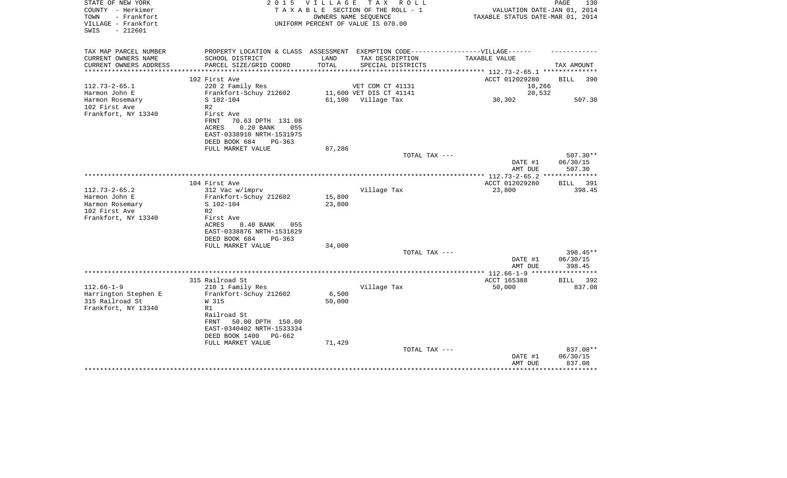| STATE OF NEW YORK<br>COUNTY - Herkimer<br>TOWN<br>- Frankfort<br>VILLAGE - Frankfort | 2 0 1 5                                                                          | VILLAGE | TAX ROLL<br>TAXABLE SECTION OF THE ROLL - 1<br>OWNERS NAME SEQUENCE<br>UNIFORM PERCENT OF VALUE IS 070.00 | VALUATION DATE-JAN 01, 2014<br>TAXABLE STATUS DATE-MAR 01, 2014 | PAGE<br>130                      |
|--------------------------------------------------------------------------------------|----------------------------------------------------------------------------------|---------|-----------------------------------------------------------------------------------------------------------|-----------------------------------------------------------------|----------------------------------|
| $-212601$<br>SWIS                                                                    |                                                                                  |         |                                                                                                           |                                                                 |                                  |
| TAX MAP PARCEL NUMBER                                                                | PROPERTY LOCATION & CLASS ASSESSMENT EXEMPTION CODE----------------VILLAGE------ |         |                                                                                                           |                                                                 |                                  |
| CURRENT OWNERS NAME                                                                  | SCHOOL DISTRICT                                                                  | LAND    | TAX DESCRIPTION                                                                                           | TAXABLE VALUE                                                   |                                  |
| CURRENT OWNERS ADDRESS                                                               | PARCEL SIZE/GRID COORD                                                           | TOTAL   | SPECIAL DISTRICTS<br>**********************                                                               | ***************** 112.73-2-65.1 ***************                 | TAX AMOUNT                       |
|                                                                                      | 102 First Ave                                                                    |         |                                                                                                           | ACCT 012029280                                                  | <b>BILL</b><br>390               |
| $112.73 - 2 - 65.1$                                                                  | 220 2 Family Res                                                                 |         | VET COM CT 41131                                                                                          | 10,266                                                          |                                  |
| Harmon John E                                                                        | Frankfort-Schuy 212602                                                           |         | 11,600 VET DIS CT 41141                                                                                   | 20,532                                                          |                                  |
| Harmon Rosemary                                                                      | S 102-104                                                                        |         | 61,100 Village Tax                                                                                        | 30,302                                                          | 507.30                           |
| 102 First Ave                                                                        | R <sub>2</sub>                                                                   |         |                                                                                                           |                                                                 |                                  |
| Frankfort, NY 13340                                                                  | First Ave<br><b>FRNT</b><br>70.63 DPTH 131.08<br>$0.20$ BANK<br>ACRES<br>055     |         |                                                                                                           |                                                                 |                                  |
|                                                                                      | EAST-0338910 NRTH-1531975<br>DEED BOOK 684<br>PG-363                             |         |                                                                                                           |                                                                 |                                  |
|                                                                                      | FULL MARKET VALUE                                                                | 87,286  |                                                                                                           |                                                                 |                                  |
|                                                                                      |                                                                                  |         | TOTAL TAX ---                                                                                             | DATE #1<br>AMT DUE                                              | $507.30**$<br>06/30/15<br>507.30 |
|                                                                                      |                                                                                  |         |                                                                                                           |                                                                 |                                  |
|                                                                                      | 104 First Ave                                                                    |         |                                                                                                           | ACCT 012029280                                                  | BILL<br>391                      |
| $112.73 - 2 - 65.2$                                                                  | 312 Vac w/imprv                                                                  |         | Village Tax                                                                                               | 23,800                                                          | 398.45                           |
| Harmon John E                                                                        | Frankfort-Schuy 212602                                                           | 15,800  |                                                                                                           |                                                                 |                                  |
| Harmon Rosemary<br>102 First Ave                                                     | S 102-104<br>R <sub>2</sub>                                                      | 23,800  |                                                                                                           |                                                                 |                                  |
| Frankfort, NY 13340                                                                  | First Ave                                                                        |         |                                                                                                           |                                                                 |                                  |
|                                                                                      | ACRES<br>$0.40$ BANK<br>055                                                      |         |                                                                                                           |                                                                 |                                  |
|                                                                                      | EAST-0338876 NRTH-1531829                                                        |         |                                                                                                           |                                                                 |                                  |
|                                                                                      | DEED BOOK 684<br>PG-363                                                          |         |                                                                                                           |                                                                 |                                  |
|                                                                                      | FULL MARKET VALUE                                                                | 34,000  |                                                                                                           |                                                                 |                                  |
|                                                                                      |                                                                                  |         | TOTAL TAX ---                                                                                             |                                                                 | $398.45**$                       |
|                                                                                      |                                                                                  |         |                                                                                                           | DATE #1                                                         | 06/30/15                         |
|                                                                                      |                                                                                  |         |                                                                                                           | AMT DUE                                                         | 398.45                           |
|                                                                                      | 315 Railroad St                                                                  |         |                                                                                                           | ACCT 165388                                                     | BILL 392                         |
| $112.66 - 1 - 9$                                                                     | 210 1 Family Res                                                                 |         | Village Tax                                                                                               | 50,000                                                          | 837.08                           |
| Harrington Stephen E                                                                 | Frankfort-Schuy 212602                                                           | 6,500   |                                                                                                           |                                                                 |                                  |
| 315 Railroad St                                                                      | W 315                                                                            | 50,000  |                                                                                                           |                                                                 |                                  |
| Frankfort, NY 13340                                                                  | R1                                                                               |         |                                                                                                           |                                                                 |                                  |
|                                                                                      | Railroad St                                                                      |         |                                                                                                           |                                                                 |                                  |
|                                                                                      | 50.00 DPTH 150.00<br>FRNT                                                        |         |                                                                                                           |                                                                 |                                  |
|                                                                                      | EAST-0340402 NRTH-1533334                                                        |         |                                                                                                           |                                                                 |                                  |
|                                                                                      | DEED BOOK 1400<br>PG-662<br>FULL MARKET VALUE                                    | 71,429  |                                                                                                           |                                                                 |                                  |
|                                                                                      |                                                                                  |         | TOTAL TAX ---                                                                                             |                                                                 | 837.08**                         |
|                                                                                      |                                                                                  |         |                                                                                                           | DATE #1                                                         | 06/30/15                         |
|                                                                                      |                                                                                  |         |                                                                                                           | AMT DUE                                                         | 837.08                           |
|                                                                                      |                                                                                  |         |                                                                                                           |                                                                 |                                  |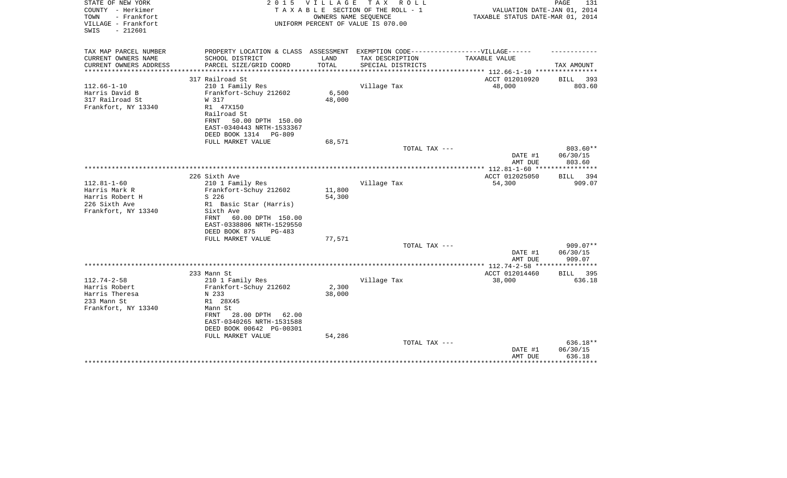| STATE OF NEW YORK<br>COUNTY - Herkimer<br>- Frankfort<br>TOWN | 2 0 1 5                                                                           | <b>VILLAGE</b> | TAX ROLL<br>TAXABLE SECTION OF THE ROLL - 1<br>OWNERS NAME SEQUENCE | VALUATION DATE-JAN 01, 2014<br>TAXABLE STATUS DATE-MAR 01, 2014 | PAGE<br>131               |
|---------------------------------------------------------------|-----------------------------------------------------------------------------------|----------------|---------------------------------------------------------------------|-----------------------------------------------------------------|---------------------------|
| VILLAGE - Frankfort<br>$-212601$<br>SWIS                      |                                                                                   |                | UNIFORM PERCENT OF VALUE IS 070.00                                  |                                                                 |                           |
| TAX MAP PARCEL NUMBER                                         | PROPERTY LOCATION & CLASS ASSESSMENT EXEMPTION CODE-----------------VILLAGE------ |                |                                                                     |                                                                 |                           |
| CURRENT OWNERS NAME                                           | SCHOOL DISTRICT                                                                   | LAND           | TAX DESCRIPTION                                                     | TAXABLE VALUE                                                   |                           |
| CURRENT OWNERS ADDRESS<br>********************                | PARCEL SIZE/GRID COORD                                                            | TOTAL          | SPECIAL DISTRICTS                                                   | ***************************** 112.66-1-10 ****************      | TAX AMOUNT                |
|                                                               | 317 Railroad St                                                                   |                |                                                                     | ACCT 012010920                                                  | BILL<br>-393              |
| $112.66 - 1 - 10$                                             | 210 1 Family Res                                                                  |                | Village Tax                                                         | 48,000                                                          | 803.60                    |
| Harris David B                                                | Frankfort-Schuy 212602                                                            | 6,500          |                                                                     |                                                                 |                           |
| 317 Railroad St                                               | W 317                                                                             | 48,000         |                                                                     |                                                                 |                           |
| Frankfort, NY 13340                                           | R1 47X150                                                                         |                |                                                                     |                                                                 |                           |
|                                                               | Railroad St                                                                       |                |                                                                     |                                                                 |                           |
|                                                               | 50.00 DPTH 150.00<br>FRNT                                                         |                |                                                                     |                                                                 |                           |
|                                                               | EAST-0340443 NRTH-1533367                                                         |                |                                                                     |                                                                 |                           |
|                                                               | DEED BOOK 1314<br>PG-809                                                          |                |                                                                     |                                                                 |                           |
|                                                               | FULL MARKET VALUE                                                                 | 68,571         | TOTAL TAX ---                                                       |                                                                 | 803.60**                  |
|                                                               |                                                                                   |                |                                                                     | DATE #1                                                         | 06/30/15                  |
|                                                               |                                                                                   |                |                                                                     | AMT DUE                                                         | 803.60                    |
|                                                               |                                                                                   |                |                                                                     |                                                                 |                           |
|                                                               | 226 Sixth Ave                                                                     |                |                                                                     | ACCT 012025050                                                  | BILL 394                  |
| $112.81 - 1 - 60$                                             | 210 1 Family Res                                                                  |                | Village Tax                                                         | 54,300                                                          | 909.07                    |
| Harris Mark R                                                 | Frankfort-Schuy 212602                                                            | 11,800         |                                                                     |                                                                 |                           |
| Harris Robert H                                               | S 226                                                                             | 54,300         |                                                                     |                                                                 |                           |
| 226 Sixth Ave                                                 | R1 Basic Star (Harris)                                                            |                |                                                                     |                                                                 |                           |
| Frankfort, NY 13340                                           | Sixth Ave<br>60.00 DPTH 150.00<br>FRNT                                            |                |                                                                     |                                                                 |                           |
|                                                               | EAST-0338806 NRTH-1529550                                                         |                |                                                                     |                                                                 |                           |
|                                                               | DEED BOOK 875<br>PG-483                                                           |                |                                                                     |                                                                 |                           |
|                                                               | FULL MARKET VALUE                                                                 | 77,571         |                                                                     |                                                                 |                           |
|                                                               |                                                                                   |                | TOTAL TAX ---                                                       |                                                                 | $909.07**$                |
|                                                               |                                                                                   |                |                                                                     | DATE #1                                                         | 06/30/15                  |
|                                                               |                                                                                   |                |                                                                     | AMT DUE                                                         | 909.07                    |
|                                                               |                                                                                   |                |                                                                     | **************** 112.74-2-58 *****************                  |                           |
| $112.74 - 2 - 58$                                             | 233 Mann St<br>210 1 Family Res                                                   |                | Village Tax                                                         | ACCT 012014460<br>38,000                                        | <b>BILL</b> 395<br>636.18 |
| Harris Robert                                                 | Frankfort-Schuy 212602                                                            | 2,300          |                                                                     |                                                                 |                           |
| Harris Theresa                                                | N 233                                                                             | 38,000         |                                                                     |                                                                 |                           |
| 233 Mann St                                                   | R1 28X45                                                                          |                |                                                                     |                                                                 |                           |
| Frankfort, NY 13340                                           | Mann St                                                                           |                |                                                                     |                                                                 |                           |
|                                                               | 28.00 DPTH<br>FRNT<br>62.00                                                       |                |                                                                     |                                                                 |                           |
|                                                               | EAST-0340265 NRTH-1531588                                                         |                |                                                                     |                                                                 |                           |
|                                                               | DEED BOOK 00642 PG-00301                                                          |                |                                                                     |                                                                 |                           |
|                                                               | FULL MARKET VALUE                                                                 | 54,286         |                                                                     |                                                                 |                           |
|                                                               |                                                                                   |                | TOTAL TAX ---                                                       |                                                                 | $636.18**$                |
|                                                               |                                                                                   |                |                                                                     | DATE #1<br>AMT DUE                                              | 06/30/15<br>636.18        |
|                                                               |                                                                                   |                |                                                                     |                                                                 | *******                   |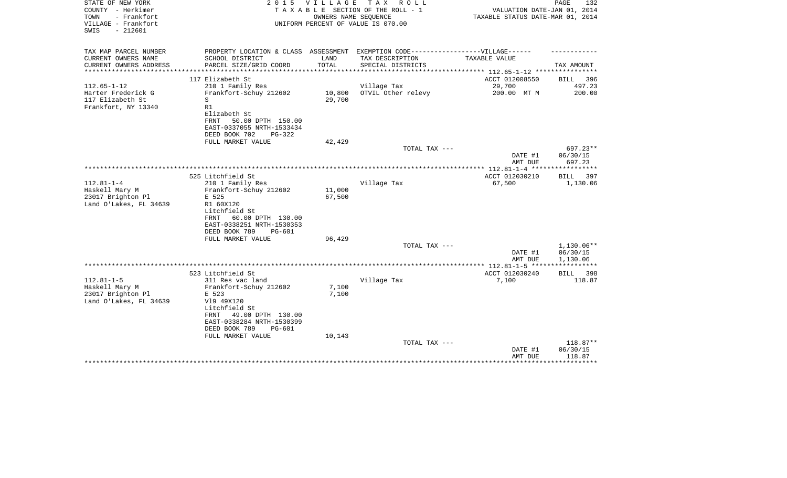| STATE OF NEW YORK<br>COUNTY - Herkimer<br>- Frankfort<br>TOWN<br>VILLAGE - Frankfort<br>SWIS<br>$-212601$ |                                                                                                                                                                          |                  | 2015 VILLAGE TAX ROLL<br>TAXABLE SECTION OF THE ROLL - 1<br>OWNERS NAME SEOUENCE<br>UNIFORM PERCENT OF VALUE IS 070.00 | VALUATION DATE-JAN 01, 2014<br>TAXABLE STATUS DATE-MAR 01, 2014 | PAGE<br>132                    |
|-----------------------------------------------------------------------------------------------------------|--------------------------------------------------------------------------------------------------------------------------------------------------------------------------|------------------|------------------------------------------------------------------------------------------------------------------------|-----------------------------------------------------------------|--------------------------------|
| TAX MAP PARCEL NUMBER<br>CURRENT OWNERS NAME                                                              | PROPERTY LOCATION & CLASS ASSESSMENT EXEMPTION CODE-----------------VILLAGE------<br>SCHOOL DISTRICT                                                                     | LAND             | TAX DESCRIPTION                                                                                                        | TAXABLE VALUE                                                   |                                |
| CURRENT OWNERS ADDRESS                                                                                    | PARCEL SIZE/GRID COORD                                                                                                                                                   | TOTAL            | SPECIAL DISTRICTS                                                                                                      |                                                                 | TAX AMOUNT                     |
|                                                                                                           |                                                                                                                                                                          | ***********      |                                                                                                                        | ************** 112.65-1-12 ************                         |                                |
| $112.65 - 1 - 12$                                                                                         | 117 Elizabeth St<br>210 1 Family Res                                                                                                                                     |                  | Village Tax                                                                                                            | ACCT 012008550<br>29,700                                        | <b>BILL</b><br>396<br>497.23   |
| Harter Frederick G<br>117 Elizabeth St<br>Frankfort, NY 13340                                             | Frankfort-Schuy 212602<br>S<br>R1<br>Elizabeth St                                                                                                                        | 10,800<br>29,700 | OTVIL Other relevy                                                                                                     | 200.00 MT M                                                     | 200.00                         |
|                                                                                                           | 50.00 DPTH 150.00<br>FRNT<br>EAST-0337055 NRTH-1533434<br>DEED BOOK 702<br>$PG-322$                                                                                      |                  |                                                                                                                        |                                                                 |                                |
|                                                                                                           | FULL MARKET VALUE                                                                                                                                                        | 42,429           |                                                                                                                        |                                                                 |                                |
|                                                                                                           |                                                                                                                                                                          |                  | TOTAL TAX ---                                                                                                          | DATE #1                                                         | $697.23**$<br>06/30/15         |
|                                                                                                           |                                                                                                                                                                          |                  |                                                                                                                        | AMT DUE                                                         | 697.23                         |
|                                                                                                           | 525 Litchfield St                                                                                                                                                        |                  |                                                                                                                        | ACCT 012030210                                                  | BILL 397                       |
| $112.81 - 1 - 4$<br>Haskell Mary M<br>23017 Brighton Pl<br>Land O'Lakes, FL 34639                         | 210 1 Family Res<br>Frankfort-Schuy 212602<br>E 525<br>R1 60X120<br>Litchfield St<br>60.00 DPTH 130.00<br>FRNT<br>EAST-0338251 NRTH-1530353<br>DEED BOOK 789<br>$PG-601$ | 11,000<br>67,500 | Village Tax                                                                                                            | 67,500                                                          | 1,130.06                       |
|                                                                                                           | FULL MARKET VALUE                                                                                                                                                        | 96,429           |                                                                                                                        |                                                                 |                                |
|                                                                                                           |                                                                                                                                                                          |                  | TOTAL TAX ---                                                                                                          | DATE #1                                                         | 1,130.06**<br>06/30/15         |
|                                                                                                           |                                                                                                                                                                          |                  |                                                                                                                        | AMT DUE                                                         | 1,130.06                       |
|                                                                                                           | 523 Litchfield St                                                                                                                                                        |                  |                                                                                                                        | ACCT 012030240                                                  | BILL 398                       |
| $112.81 - 1 - 5$<br>Haskell Mary M<br>23017 Brighton Pl<br>Land O'Lakes, FL 34639                         | 311 Res vac land<br>Frankfort-Schuy 212602<br>E 523<br>V19 49X120<br>Litchfield St<br>49.00 DPTH 130.00<br>FRNT<br>EAST-0338284 NRTH-1530399                             | 7,100<br>7,100   | Village Tax                                                                                                            | 7,100                                                           | 118.87                         |
|                                                                                                           | DEED BOOK 789<br>PG-601<br>FULL MARKET VALUE                                                                                                                             | 10,143           |                                                                                                                        |                                                                 |                                |
|                                                                                                           |                                                                                                                                                                          |                  | TOTAL TAX ---                                                                                                          | DATE #1<br>AMT DUE                                              | 118.87**<br>06/30/15<br>118.87 |
|                                                                                                           |                                                                                                                                                                          |                  |                                                                                                                        |                                                                 |                                |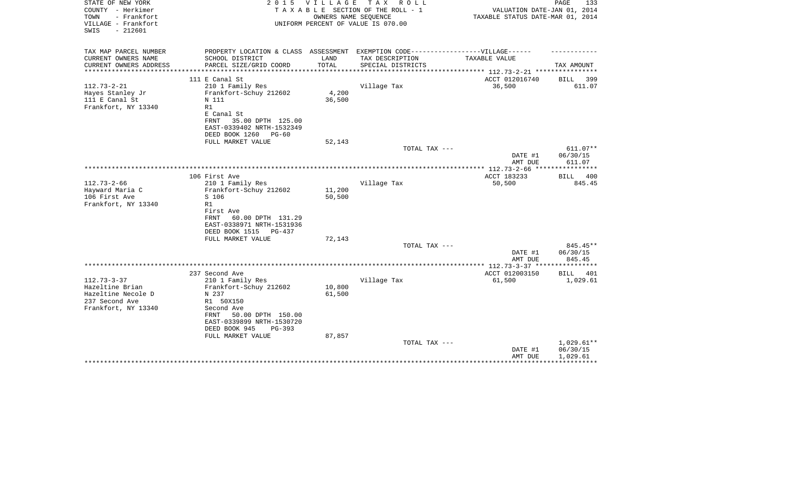| STATE OF NEW YORK<br>COUNTY - Herkimer<br>TOWN<br>- Frankfort<br>VILLAGE - Frankfort<br>$-212601$<br>SWIS | 2 0 1 5                                                                                                                                  | VILLAGE          | T A X<br>R O L L<br>TAXABLE SECTION OF THE ROLL - 1<br>OWNERS NAME SEQUENCE<br>UNIFORM PERCENT OF VALUE IS 070.00 | VALUATION DATE-JAN 01, 2014<br>TAXABLE STATUS DATE-MAR 01, 2014             | PAGE<br>133                          |
|-----------------------------------------------------------------------------------------------------------|------------------------------------------------------------------------------------------------------------------------------------------|------------------|-------------------------------------------------------------------------------------------------------------------|-----------------------------------------------------------------------------|--------------------------------------|
| TAX MAP PARCEL NUMBER<br>CURRENT OWNERS NAME                                                              | PROPERTY LOCATION & CLASS ASSESSMENT EXEMPTION CODE-----------------VILLAGE------<br>SCHOOL DISTRICT                                     | LAND             | TAX DESCRIPTION                                                                                                   | TAXABLE VALUE                                                               |                                      |
| CURRENT OWNERS ADDRESS                                                                                    | PARCEL SIZE/GRID COORD                                                                                                                   | TOTAL            | SPECIAL DISTRICTS                                                                                                 |                                                                             | TAX AMOUNT                           |
| *********************                                                                                     | 111 E Canal St                                                                                                                           |                  |                                                                                                                   | **************************** 112.73-2-21 ****************<br>ACCT 012016740 | 399<br>BILL                          |
| $112.73 - 2 - 21$<br>Hayes Stanley Jr<br>111 E Canal St<br>Frankfort, NY 13340                            | 210 1 Family Res<br>Frankfort-Schuy 212602<br>N 111<br>R1<br>E Canal St<br>35.00 DPTH 125.00<br>FRNT                                     | 4,200<br>36,500  | Village Tax                                                                                                       | 36,500                                                                      | 611.07                               |
|                                                                                                           | EAST-0339402 NRTH-1532349<br>DEED BOOK 1260<br>$PG-60$                                                                                   |                  |                                                                                                                   |                                                                             |                                      |
|                                                                                                           | FULL MARKET VALUE                                                                                                                        | 52,143           |                                                                                                                   |                                                                             |                                      |
|                                                                                                           |                                                                                                                                          |                  | TOTAL TAX ---                                                                                                     | DATE #1<br>AMT DUE                                                          | 611.07**<br>06/30/15<br>611.07       |
|                                                                                                           |                                                                                                                                          |                  |                                                                                                                   |                                                                             |                                      |
| $112.73 - 2 - 66$<br>Hayward Maria C                                                                      | 106 First Ave<br>210 1 Family Res<br>Frankfort-Schuy 212602                                                                              | 11,200           | Village Tax                                                                                                       | ACCT 183233<br>50,500                                                       | BILL 400<br>845.45                   |
| 106 First Ave<br>Frankfort, NY 13340                                                                      | S 106<br>R1<br>First Ave<br>60.00 DPTH 131.29<br>FRNT<br>EAST-0338971 NRTH-1531936<br>DEED BOOK 1515<br>PG-437                           | 50,500           |                                                                                                                   |                                                                             |                                      |
|                                                                                                           | FULL MARKET VALUE                                                                                                                        | 72,143           |                                                                                                                   |                                                                             |                                      |
|                                                                                                           |                                                                                                                                          |                  | TOTAL TAX ---                                                                                                     | DATE #1<br>AMT DUE                                                          | 845.45**<br>06/30/15<br>845.45       |
|                                                                                                           |                                                                                                                                          |                  |                                                                                                                   |                                                                             |                                      |
|                                                                                                           | 237 Second Ave                                                                                                                           |                  |                                                                                                                   | ACCT 012003150                                                              | <b>BILL</b><br>401                   |
| $112.73 - 3 - 37$<br>Hazeltine Brian<br>Hazeltine Necole D<br>237 Second Ave<br>Frankfort, NY 13340       | 210 1 Family Res<br>Frankfort-Schuy 212602<br>N 237<br>R1 50X150<br>Second Ave<br>50.00 DPTH 150.00<br>FRNT<br>EAST-0339899 NRTH-1530720 | 10,800<br>61,500 | Village Tax                                                                                                       | 61,500                                                                      | 1,029.61                             |
|                                                                                                           | DEED BOOK 945<br>$PG-393$<br>FULL MARKET VALUE                                                                                           | 87,857           |                                                                                                                   |                                                                             |                                      |
|                                                                                                           |                                                                                                                                          |                  | TOTAL TAX ---                                                                                                     | DATE #1<br>AMT DUE                                                          | $1,029.61**$<br>06/30/15<br>1,029.61 |
|                                                                                                           |                                                                                                                                          |                  |                                                                                                                   |                                                                             |                                      |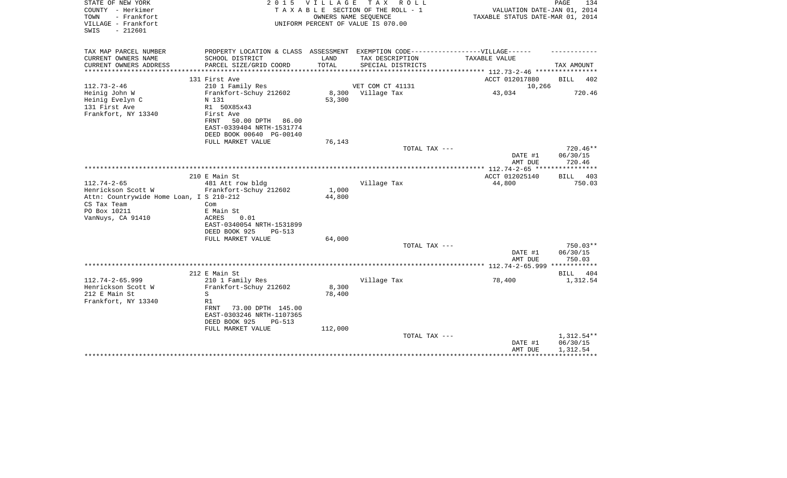| STATE OF NEW YORK<br>COUNTY - Herkimer<br>- Frankfort<br>TOWN<br>VILLAGE - Frankfort<br>$-212601$<br>SWIS | 2 0 1 5                                                                                                              | V I L L A G E   | TAX ROLL<br>TAXABLE SECTION OF THE ROLL - 1<br>OWNERS NAME SEQUENCE<br>UNIFORM PERCENT OF VALUE IS 070.00 | VALUATION DATE-JAN 01, 2014<br>TAXABLE STATUS DATE-MAR 01, 2014 | PAGE<br>134                  |
|-----------------------------------------------------------------------------------------------------------|----------------------------------------------------------------------------------------------------------------------|-----------------|-----------------------------------------------------------------------------------------------------------|-----------------------------------------------------------------|------------------------------|
| TAX MAP PARCEL NUMBER                                                                                     | PROPERTY LOCATION & CLASS ASSESSMENT EXEMPTION CODE-----------------VILLAGE------                                    |                 |                                                                                                           |                                                                 |                              |
| CURRENT OWNERS NAME<br>CURRENT OWNERS ADDRESS                                                             | SCHOOL DISTRICT<br>PARCEL SIZE/GRID COORD                                                                            | LAND<br>TOTAL   | TAX DESCRIPTION<br>SPECIAL DISTRICTS                                                                      | TAXABLE VALUE                                                   | TAX AMOUNT                   |
|                                                                                                           |                                                                                                                      |                 | **************************                                                                                | ************** 112.73-2-46 **********                           |                              |
|                                                                                                           | 131 First Ave                                                                                                        |                 |                                                                                                           | ACCT 012017880                                                  | <b>BILL</b><br>402           |
| $112.73 - 2 - 46$                                                                                         | 210 1 Family Res                                                                                                     |                 | VET COM CT 41131                                                                                          | 10,266                                                          |                              |
| Heinig John W<br>Heinig Evelyn C<br>131 First Ave<br>Frankfort, NY 13340                                  | Frankfort-Schuy 212602<br>N 131<br>R1 50X85x43<br>First Ave<br>50.00 DPTH 86.00<br>FRNT<br>EAST-0339404 NRTH-1531774 | 8,300<br>53,300 | Village Tax                                                                                               | 43,034                                                          | 720.46                       |
|                                                                                                           | DEED BOOK 00640 PG-00140                                                                                             |                 |                                                                                                           |                                                                 |                              |
|                                                                                                           | FULL MARKET VALUE                                                                                                    | 76,143          |                                                                                                           |                                                                 | $720.46**$                   |
|                                                                                                           |                                                                                                                      |                 | TOTAL TAX ---                                                                                             | DATE #1<br>AMT DUE                                              | 06/30/15<br>720.46           |
|                                                                                                           |                                                                                                                      |                 |                                                                                                           |                                                                 |                              |
| $112.74 - 2 - 65$                                                                                         | 210 E Main St<br>481 Att row bldg                                                                                    |                 | Village Tax                                                                                               | ACCT 012025140<br>44,800                                        | <b>BILL</b><br>403<br>750.03 |
| Henrickson Scott W                                                                                        | Frankfort-Schuy 212602                                                                                               | 1,000           |                                                                                                           |                                                                 |                              |
| Attn: Countrywide Home Loan, I S 210-212<br>CS Tax Team                                                   | Com                                                                                                                  | 44,800          |                                                                                                           |                                                                 |                              |
| PO Box 10211                                                                                              | E Main St                                                                                                            |                 |                                                                                                           |                                                                 |                              |
| VanNuys, CA 91410                                                                                         | <b>ACRES</b><br>0.01<br>EAST-0340054 NRTH-1531899                                                                    |                 |                                                                                                           |                                                                 |                              |
|                                                                                                           | DEED BOOK 925<br>$PG-513$                                                                                            |                 |                                                                                                           |                                                                 |                              |
|                                                                                                           | FULL MARKET VALUE                                                                                                    | 64,000          |                                                                                                           |                                                                 |                              |
|                                                                                                           |                                                                                                                      |                 | TOTAL TAX ---                                                                                             | DATE #1                                                         | $750.03**$<br>06/30/15       |
|                                                                                                           |                                                                                                                      |                 |                                                                                                           | AMT DUE                                                         | 750.03                       |
|                                                                                                           | 212 E Main St                                                                                                        |                 |                                                                                                           |                                                                 | 404<br>BILL                  |
| $112.74 - 2 - 65.999$                                                                                     | 210 1 Family Res                                                                                                     |                 | Village Tax                                                                                               | 78,400                                                          | 1,312.54                     |
| Henrickson Scott W                                                                                        | Frankfort-Schuy 212602                                                                                               | 8,300           |                                                                                                           |                                                                 |                              |
| 212 E Main St                                                                                             | S<br>R1                                                                                                              | 78,400          |                                                                                                           |                                                                 |                              |
| Frankfort, NY 13340                                                                                       | 73.00 DPTH 145.00<br>FRNT<br>EAST-0303246 NRTH-1107365<br>DEED BOOK 925<br>$PG-513$                                  |                 |                                                                                                           |                                                                 |                              |
|                                                                                                           | FULL MARKET VALUE                                                                                                    | 112,000         | TOTAL TAX ---                                                                                             |                                                                 | 1,312.54**                   |
|                                                                                                           |                                                                                                                      |                 |                                                                                                           | DATE #1<br>AMT DUE                                              | 06/30/15<br>1,312.54         |
|                                                                                                           |                                                                                                                      |                 |                                                                                                           |                                                                 |                              |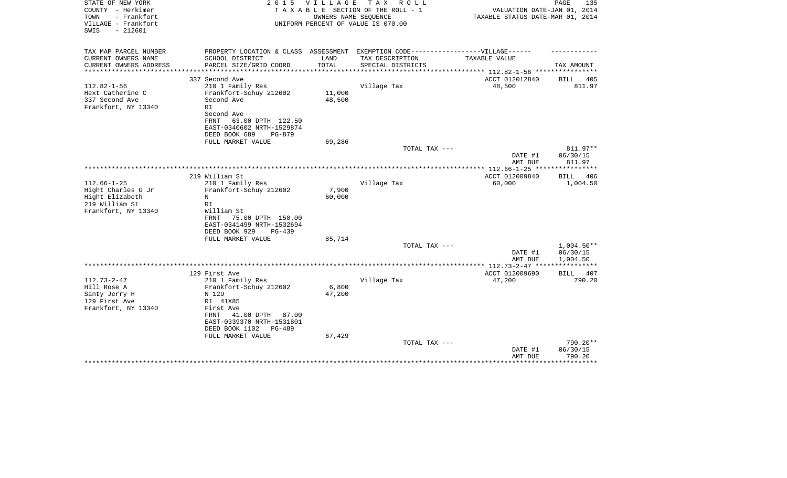| STATE OF NEW YORK<br>COUNTY - Herkimer<br>TOWN<br>- Frankfort<br>VILLAGE - Frankfort<br>$-212601$<br>SWIS | 2 0 1 5                                                  | <b>VILLAGE</b>   | T A X<br>R O L L<br>TAXABLE SECTION OF THE ROLL - 1<br>OWNERS NAME SEQUENCE<br>UNIFORM PERCENT OF VALUE IS 070.00 | VALUATION DATE-JAN 01, 2014<br>TAXABLE STATUS DATE-MAR 01, 2014  | PAGE<br>135              |
|-----------------------------------------------------------------------------------------------------------|----------------------------------------------------------|------------------|-------------------------------------------------------------------------------------------------------------------|------------------------------------------------------------------|--------------------------|
|                                                                                                           |                                                          |                  |                                                                                                                   |                                                                  |                          |
| TAX MAP PARCEL NUMBER                                                                                     | PROPERTY LOCATION & CLASS ASSESSMENT                     |                  | EXEMPTION CODE------------------VILLAGE------                                                                     |                                                                  |                          |
| CURRENT OWNERS NAME<br>CURRENT OWNERS ADDRESS                                                             | SCHOOL DISTRICT<br>PARCEL SIZE/GRID COORD                | LAND<br>TOTAL    | TAX DESCRIPTION<br>SPECIAL DISTRICTS                                                                              | TAXABLE VALUE                                                    | TAX AMOUNT               |
| ********************                                                                                      | ***************************                              | **************   |                                                                                                                   | ***************** 112.82-1-56 *****************                  |                          |
|                                                                                                           | 337 Second Ave                                           |                  |                                                                                                                   | ACCT 012012840                                                   | 405<br>BILL              |
| $112.82 - 1 - 56$                                                                                         | 210 1 Family Res                                         |                  | Village Tax                                                                                                       | 48,500                                                           | 811.97                   |
| Hext Catherine C<br>337 Second Ave                                                                        | Frankfort-Schuy 212602<br>Second Ave                     | 11,000<br>48,500 |                                                                                                                   |                                                                  |                          |
| Frankfort, NY 13340                                                                                       | R1                                                       |                  |                                                                                                                   |                                                                  |                          |
|                                                                                                           | Second Ave                                               |                  |                                                                                                                   |                                                                  |                          |
|                                                                                                           | 63.00 DPTH 122.50<br>FRNT                                |                  |                                                                                                                   |                                                                  |                          |
|                                                                                                           | EAST-0340602 NRTH-1529874                                |                  |                                                                                                                   |                                                                  |                          |
|                                                                                                           | DEED BOOK 689<br><b>PG-879</b><br>FULL MARKET VALUE      | 69,286           |                                                                                                                   |                                                                  |                          |
|                                                                                                           |                                                          |                  | TOTAL TAX ---                                                                                                     |                                                                  | 811.97**                 |
|                                                                                                           |                                                          |                  |                                                                                                                   | DATE #1                                                          | 06/30/15                 |
|                                                                                                           |                                                          |                  |                                                                                                                   | AMT DUE                                                          | 811.97                   |
|                                                                                                           | 219 William St                                           |                  |                                                                                                                   | **************** 112.66-1-25 *****************<br>ACCT 012009840 | BILL<br>- 406            |
| $112.66 - 1 - 25$                                                                                         | 210 1 Family Res                                         |                  | Village Tax                                                                                                       | 60,000                                                           | 1,004.50                 |
| Hight Charles G Jr                                                                                        | Frankfort-Schuy 212602                                   | 7,900            |                                                                                                                   |                                                                  |                          |
| Hight Elizabeth                                                                                           | N                                                        | 60,000           |                                                                                                                   |                                                                  |                          |
| 219 William St<br>Frankfort, NY 13340                                                                     | R1<br>William St                                         |                  |                                                                                                                   |                                                                  |                          |
|                                                                                                           | 75.00 DPTH 150.00<br>FRNT                                |                  |                                                                                                                   |                                                                  |                          |
|                                                                                                           | EAST-0341499 NRTH-1532694                                |                  |                                                                                                                   |                                                                  |                          |
|                                                                                                           | DEED BOOK 929<br>$PG-439$                                |                  |                                                                                                                   |                                                                  |                          |
|                                                                                                           | FULL MARKET VALUE                                        | 85,714           |                                                                                                                   |                                                                  |                          |
|                                                                                                           |                                                          |                  | TOTAL TAX ---                                                                                                     | DATE #1                                                          | $1,004.50**$<br>06/30/15 |
|                                                                                                           |                                                          |                  |                                                                                                                   | AMT DUE                                                          | 1,004.50                 |
|                                                                                                           |                                                          |                  |                                                                                                                   |                                                                  |                          |
|                                                                                                           | 129 First Ave                                            |                  |                                                                                                                   | ACCT 012009690                                                   | BILL<br>407              |
| $112.73 - 2 - 47$<br>Hill Rose A                                                                          | 210 1 Family Res<br>Frankfort-Schuy 212602               | 6,800            | Village Tax                                                                                                       | 47,200                                                           | 790.20                   |
| Santy Jerry H                                                                                             | N 129                                                    | 47,200           |                                                                                                                   |                                                                  |                          |
| 129 First Ave                                                                                             | R1 41X85                                                 |                  |                                                                                                                   |                                                                  |                          |
| Frankfort, NY 13340                                                                                       | First Ave                                                |                  |                                                                                                                   |                                                                  |                          |
|                                                                                                           | 41.00 DPTH<br>FRNT<br>87.00<br>EAST-0339370 NRTH-1531801 |                  |                                                                                                                   |                                                                  |                          |
|                                                                                                           | DEED BOOK 1102<br>PG-489                                 |                  |                                                                                                                   |                                                                  |                          |
|                                                                                                           | FULL MARKET VALUE                                        | 67,429           |                                                                                                                   |                                                                  |                          |
|                                                                                                           |                                                          |                  | TOTAL TAX ---                                                                                                     |                                                                  | 790.20**                 |
|                                                                                                           |                                                          |                  |                                                                                                                   | DATE #1                                                          | 06/30/15<br>790.20       |
|                                                                                                           |                                                          |                  |                                                                                                                   | AMT DUE                                                          | ********                 |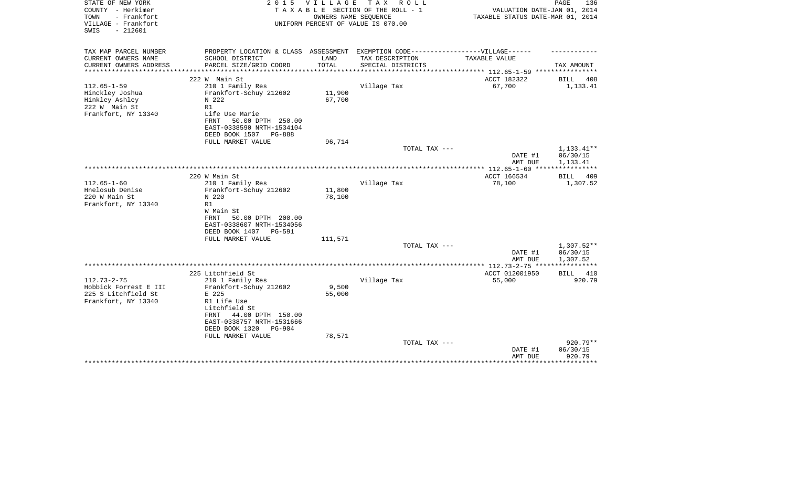| STATE OF NEW YORK<br>COUNTY - Herkimer<br>TOWN<br>- Frankfort<br>VILLAGE - Frankfort | 2 0 1 5                                                                           | <b>VILLAGE</b>   | T A X<br>R O L L<br>TAXABLE SECTION OF THE ROLL - 1<br>OWNERS NAME SEQUENCE<br>UNIFORM PERCENT OF VALUE IS 070.00 | VALUATION DATE-JAN 01, 2014<br>TAXABLE STATUS DATE-MAR 01, 2014 | PAGE<br>136            |
|--------------------------------------------------------------------------------------|-----------------------------------------------------------------------------------|------------------|-------------------------------------------------------------------------------------------------------------------|-----------------------------------------------------------------|------------------------|
| $-212601$<br>SWIS                                                                    |                                                                                   |                  |                                                                                                                   |                                                                 |                        |
| TAX MAP PARCEL NUMBER                                                                | PROPERTY LOCATION & CLASS ASSESSMENT EXEMPTION CODE-----------------VILLAGE------ |                  |                                                                                                                   |                                                                 |                        |
| CURRENT OWNERS NAME<br>CURRENT OWNERS ADDRESS                                        | SCHOOL DISTRICT<br>PARCEL SIZE/GRID COORD                                         | LAND<br>TOTAL    | TAX DESCRIPTION<br>SPECIAL DISTRICTS                                                                              | TAXABLE VALUE                                                   | TAX AMOUNT             |
| *********************                                                                |                                                                                   |                  |                                                                                                                   |                                                                 |                        |
|                                                                                      | 222 W Main St                                                                     |                  |                                                                                                                   | ACCT 182322                                                     | BILL<br>408            |
| $112.65 - 1 - 59$                                                                    | 210 1 Family Res                                                                  |                  | Village Tax                                                                                                       | 67,700                                                          | 1,133.41               |
| Hinckley Joshua<br>Hinkley Ashley                                                    | Frankfort-Schuy 212602<br>N 222                                                   | 11,900<br>67,700 |                                                                                                                   |                                                                 |                        |
| 222 W Main St                                                                        | R1                                                                                |                  |                                                                                                                   |                                                                 |                        |
| Frankfort, NY 13340                                                                  | Life Use Marie                                                                    |                  |                                                                                                                   |                                                                 |                        |
|                                                                                      | 50.00 DPTH 250.00<br>FRNT                                                         |                  |                                                                                                                   |                                                                 |                        |
|                                                                                      | EAST-0338590 NRTH-1534104                                                         |                  |                                                                                                                   |                                                                 |                        |
|                                                                                      | DEED BOOK 1507<br>PG-888<br>FULL MARKET VALUE                                     | 96,714           |                                                                                                                   |                                                                 |                        |
|                                                                                      |                                                                                   |                  | TOTAL TAX ---                                                                                                     |                                                                 | 1,133.41**             |
|                                                                                      |                                                                                   |                  |                                                                                                                   | DATE #1                                                         | 06/30/15               |
|                                                                                      |                                                                                   |                  |                                                                                                                   | AMT DUE                                                         | 1,133.41               |
|                                                                                      | 220 W Main St                                                                     |                  |                                                                                                                   | ACCT 166534                                                     | <b>BILL</b><br>409     |
| $112.65 - 1 - 60$                                                                    | 210 1 Family Res                                                                  |                  | Village Tax                                                                                                       | 78,100                                                          | 1,307.52               |
| Hnelosub Denise                                                                      | Frankfort-Schuy 212602                                                            | 11,800           |                                                                                                                   |                                                                 |                        |
| 220 W Main St                                                                        | N 220                                                                             | 78,100           |                                                                                                                   |                                                                 |                        |
| Frankfort, NY 13340                                                                  | R1<br>W Main St                                                                   |                  |                                                                                                                   |                                                                 |                        |
|                                                                                      | 50.00 DPTH 200.00<br>FRNT                                                         |                  |                                                                                                                   |                                                                 |                        |
|                                                                                      | EAST-0338607 NRTH-1534056                                                         |                  |                                                                                                                   |                                                                 |                        |
|                                                                                      | DEED BOOK 1407<br>PG-591                                                          |                  |                                                                                                                   |                                                                 |                        |
|                                                                                      | FULL MARKET VALUE                                                                 | 111,571          |                                                                                                                   |                                                                 |                        |
|                                                                                      |                                                                                   |                  | TOTAL TAX ---                                                                                                     | DATE #1                                                         | 1,307.52**<br>06/30/15 |
|                                                                                      |                                                                                   |                  |                                                                                                                   | AMT DUE                                                         | 1,307.52               |
|                                                                                      |                                                                                   |                  |                                                                                                                   | ************ 112.73-2-75 *****************                      |                        |
|                                                                                      | 225 Litchfield St                                                                 |                  |                                                                                                                   | ACCT 012001950                                                  | <b>BILL</b><br>410     |
| $112.73 - 2 - 75$<br>Hobbick Forrest E III                                           | 210 1 Family Res<br>Frankfort-Schuy 212602                                        | 9,500            | Village Tax                                                                                                       | 55,000                                                          | 920.79                 |
| 225 S Litchfield St                                                                  | E 225                                                                             | 55,000           |                                                                                                                   |                                                                 |                        |
| Frankfort, NY 13340                                                                  | R1 Life Use                                                                       |                  |                                                                                                                   |                                                                 |                        |
|                                                                                      | Litchfield St                                                                     |                  |                                                                                                                   |                                                                 |                        |
|                                                                                      | 44.00 DPTH 150.00<br>FRNT<br>EAST-0338757 NRTH-1531666                            |                  |                                                                                                                   |                                                                 |                        |
|                                                                                      | DEED BOOK 1320<br><b>PG-904</b>                                                   |                  |                                                                                                                   |                                                                 |                        |
|                                                                                      | FULL MARKET VALUE                                                                 | 78,571           |                                                                                                                   |                                                                 |                        |
|                                                                                      |                                                                                   |                  | TOTAL TAX ---                                                                                                     |                                                                 | 920.79**               |
|                                                                                      |                                                                                   |                  |                                                                                                                   | DATE #1                                                         | 06/30/15               |
|                                                                                      |                                                                                   |                  |                                                                                                                   | AMT DUE                                                         | 920.79<br>********     |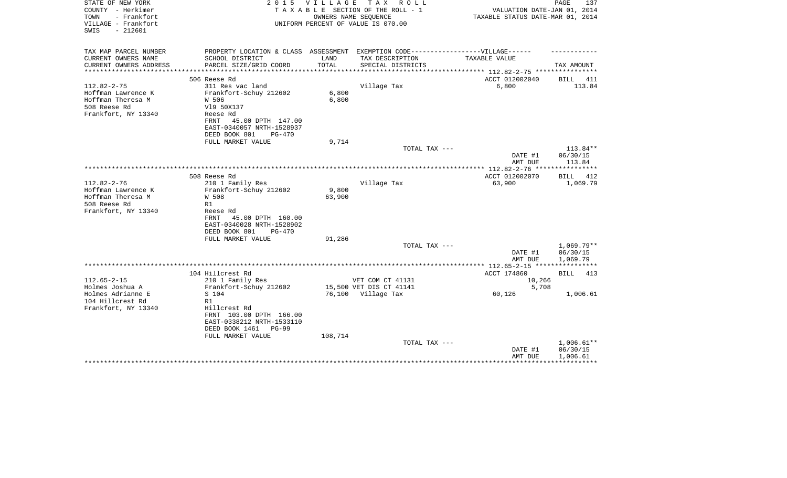| STATE OF NEW YORK<br>COUNTY - Herkimer<br>- Frankfort<br>TOWN<br>VILLAGE - Frankfort<br>$-212601$<br>SWIS | 2 0 1 5                                                                           | <b>VILLAGE</b> | T A X<br>R O L L<br>TAXABLE SECTION OF THE ROLL - 1<br>OWNERS NAME SEQUENCE<br>UNIFORM PERCENT OF VALUE IS 070.00 | VALUATION DATE-JAN 01, 2014<br>TAXABLE STATUS DATE-MAR 01, 2014 | PAGE<br>137              |
|-----------------------------------------------------------------------------------------------------------|-----------------------------------------------------------------------------------|----------------|-------------------------------------------------------------------------------------------------------------------|-----------------------------------------------------------------|--------------------------|
| TAX MAP PARCEL NUMBER                                                                                     | PROPERTY LOCATION & CLASS ASSESSMENT EXEMPTION CODE-----------------VILLAGE------ |                |                                                                                                                   |                                                                 |                          |
| CURRENT OWNERS NAME                                                                                       | SCHOOL DISTRICT                                                                   | LAND           | TAX DESCRIPTION                                                                                                   | TAXABLE VALUE                                                   |                          |
| CURRENT OWNERS ADDRESS                                                                                    | PARCEL SIZE/GRID COORD                                                            | TOTAL          | SPECIAL DISTRICTS                                                                                                 |                                                                 | TAX AMOUNT               |
|                                                                                                           | 506 Reese Rd                                                                      |                |                                                                                                                   | ACCT 012002040                                                  | BILL<br>411              |
| $112.82 - 2 - 75$                                                                                         | 311 Res vac land                                                                  |                | Village Tax                                                                                                       | 6,800                                                           | 113.84                   |
| Hoffman Lawrence K                                                                                        | Frankfort-Schuy 212602                                                            | 6,800          |                                                                                                                   |                                                                 |                          |
| Hoffman Theresa M                                                                                         | W 506                                                                             | 6,800          |                                                                                                                   |                                                                 |                          |
| 508 Reese Rd<br>Frankfort, NY 13340                                                                       | V19 50X137<br>Reese Rd                                                            |                |                                                                                                                   |                                                                 |                          |
|                                                                                                           | 45.00 DPTH 147.00<br>FRNT                                                         |                |                                                                                                                   |                                                                 |                          |
|                                                                                                           | EAST-0340057 NRTH-1528937                                                         |                |                                                                                                                   |                                                                 |                          |
|                                                                                                           | DEED BOOK 801<br>$PG-470$                                                         |                |                                                                                                                   |                                                                 |                          |
|                                                                                                           | FULL MARKET VALUE                                                                 | 9,714          | TOTAL TAX ---                                                                                                     |                                                                 | 113.84**                 |
|                                                                                                           |                                                                                   |                |                                                                                                                   | DATE #1                                                         | 06/30/15                 |
|                                                                                                           |                                                                                   |                |                                                                                                                   | AMT DUE                                                         | 113.84                   |
|                                                                                                           |                                                                                   |                |                                                                                                                   |                                                                 |                          |
| $112.82 - 2 - 76$                                                                                         | 508 Reese Rd                                                                      |                |                                                                                                                   | ACCT 012002070                                                  | BILL<br>412              |
| Hoffman Lawrence K                                                                                        | 210 1 Family Res<br>Frankfort-Schuy 212602                                        | 9,800          | Village Tax                                                                                                       | 63,900                                                          | 1,069.79                 |
| Hoffman Theresa M                                                                                         | W 508                                                                             | 63,900         |                                                                                                                   |                                                                 |                          |
| 508 Reese Rd                                                                                              | R1                                                                                |                |                                                                                                                   |                                                                 |                          |
| Frankfort, NY 13340                                                                                       | Reese Rd                                                                          |                |                                                                                                                   |                                                                 |                          |
|                                                                                                           | 45.00 DPTH 160.00<br>FRNT<br>EAST-0340028 NRTH-1528902                            |                |                                                                                                                   |                                                                 |                          |
|                                                                                                           | DEED BOOK 801<br>$PG-470$                                                         |                |                                                                                                                   |                                                                 |                          |
|                                                                                                           | FULL MARKET VALUE                                                                 | 91,286         |                                                                                                                   |                                                                 |                          |
|                                                                                                           |                                                                                   |                | TOTAL TAX ---                                                                                                     |                                                                 | $1.069.79**$             |
|                                                                                                           |                                                                                   |                |                                                                                                                   | DATE #1                                                         | 06/30/15                 |
|                                                                                                           |                                                                                   |                |                                                                                                                   | AMT DUE                                                         | 1,069.79                 |
|                                                                                                           | 104 Hillcrest Rd                                                                  |                |                                                                                                                   | ACCT 174860                                                     | <b>BILL</b><br>413       |
| $112.65 - 2 - 15$                                                                                         | 210 1 Family Res                                                                  |                | VET COM CT 41131                                                                                                  | 10,266                                                          |                          |
| Holmes Joshua A                                                                                           | Frankfort-Schuy 212602                                                            |                | 15,500 VET DIS CT 41141                                                                                           | 5,708                                                           |                          |
| Holmes Adrianne E                                                                                         | S 104                                                                             | 76,100         | Village Tax                                                                                                       | 60,126                                                          | 1,006.61                 |
| 104 Hillcrest Rd<br>Frankfort, NY 13340                                                                   | R1<br>Hillcrest Rd                                                                |                |                                                                                                                   |                                                                 |                          |
|                                                                                                           | FRNT 103.00 DPTH 166.00                                                           |                |                                                                                                                   |                                                                 |                          |
|                                                                                                           | EAST-0338212 NRTH-1533110                                                         |                |                                                                                                                   |                                                                 |                          |
|                                                                                                           | DEED BOOK 1461<br>$PG-99$                                                         |                |                                                                                                                   |                                                                 |                          |
|                                                                                                           | FULL MARKET VALUE                                                                 | 108,714        |                                                                                                                   |                                                                 |                          |
|                                                                                                           |                                                                                   |                | TOTAL TAX ---                                                                                                     | DATE #1                                                         | $1,006.61**$<br>06/30/15 |
|                                                                                                           |                                                                                   |                |                                                                                                                   | AMT DUE                                                         | 1,006.61                 |
|                                                                                                           | ********************************                                                  |                |                                                                                                                   |                                                                 | ***********              |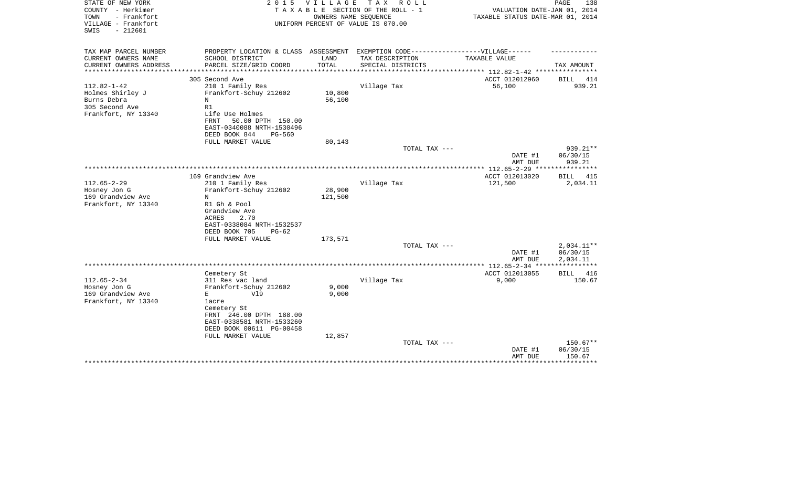| STATE OF NEW YORK<br>COUNTY - Herkimer<br>TOWN<br>- Frankfort<br>VILLAGE - Frankfort<br>$-212601$<br>SWIS | 2 0 1 5                                                                           | <b>VILLAGE</b> | T A X<br>R O L L<br>TAXABLE SECTION OF THE ROLL - 1<br>OWNERS NAME SEQUENCE<br>UNIFORM PERCENT OF VALUE IS 070.00 | VALUATION DATE-JAN 01, 2014<br>TAXABLE STATUS DATE-MAR 01, 2014 | PAGE<br>138            |
|-----------------------------------------------------------------------------------------------------------|-----------------------------------------------------------------------------------|----------------|-------------------------------------------------------------------------------------------------------------------|-----------------------------------------------------------------|------------------------|
| TAX MAP PARCEL NUMBER                                                                                     | PROPERTY LOCATION & CLASS ASSESSMENT EXEMPTION CODE-----------------VILLAGE------ |                |                                                                                                                   |                                                                 |                        |
| CURRENT OWNERS NAME                                                                                       | SCHOOL DISTRICT                                                                   | LAND<br>TOTAL  | TAX DESCRIPTION                                                                                                   | TAXABLE VALUE                                                   |                        |
| CURRENT OWNERS ADDRESS<br>********************                                                            | PARCEL SIZE/GRID COORD<br>**************************                              | ************** | SPECIAL DISTRICTS                                                                                                 | ***************** 112.82-1-42 *****************                 | TAX AMOUNT             |
|                                                                                                           | 305 Second Ave                                                                    |                |                                                                                                                   | ACCT 012012960                                                  | 414<br>BILL            |
| $112.82 - 1 - 42$<br>Holmes Shirley J                                                                     | 210 1 Family Res<br>Frankfort-Schuy 212602                                        | 10,800         | Village Tax                                                                                                       | 56,100                                                          | 939.21                 |
| Burns Debra<br>305 Second Ave                                                                             | N<br>R1                                                                           | 56,100         |                                                                                                                   |                                                                 |                        |
| Frankfort, NY 13340                                                                                       | Life Use Holmes<br>50.00 DPTH 150.00<br>FRNT                                      |                |                                                                                                                   |                                                                 |                        |
|                                                                                                           | EAST-0340088 NRTH-1530496<br>DEED BOOK 844<br>PG-560<br>FULL MARKET VALUE         | 80,143         |                                                                                                                   |                                                                 |                        |
|                                                                                                           |                                                                                   |                | TOTAL TAX ---                                                                                                     |                                                                 | 939.21**               |
|                                                                                                           |                                                                                   |                |                                                                                                                   | DATE #1<br>AMT DUE                                              | 06/30/15<br>939.21     |
|                                                                                                           |                                                                                   |                |                                                                                                                   | *********** 112.65-2-29 ****                                    |                        |
|                                                                                                           | 169 Grandview Ave                                                                 |                |                                                                                                                   | ACCT 012013020                                                  | <b>BILL</b><br>415     |
| $112.65 - 2 - 29$                                                                                         | 210 1 Family Res                                                                  |                | Village Tax                                                                                                       | 121,500                                                         | 2,034.11               |
| Hosney Jon G                                                                                              | Frankfort-Schuy 212602<br>N                                                       | 28,900         |                                                                                                                   |                                                                 |                        |
| 169 Grandview Ave<br>Frankfort, NY 13340                                                                  | R1 Gh & Pool                                                                      | 121,500        |                                                                                                                   |                                                                 |                        |
|                                                                                                           | Grandview Ave                                                                     |                |                                                                                                                   |                                                                 |                        |
|                                                                                                           | 2.70<br>ACRES                                                                     |                |                                                                                                                   |                                                                 |                        |
|                                                                                                           | EAST-0338084 NRTH-1532537                                                         |                |                                                                                                                   |                                                                 |                        |
|                                                                                                           | DEED BOOK 705<br>$PG-62$                                                          |                |                                                                                                                   |                                                                 |                        |
|                                                                                                           | FULL MARKET VALUE                                                                 | 173,571        |                                                                                                                   |                                                                 |                        |
|                                                                                                           |                                                                                   |                | TOTAL TAX ---                                                                                                     |                                                                 | 2,034.11**<br>06/30/15 |
|                                                                                                           |                                                                                   |                |                                                                                                                   | DATE #1<br>AMT DUE                                              | 2,034.11               |
|                                                                                                           |                                                                                   |                |                                                                                                                   |                                                                 | * * * * * * * * * * *  |
|                                                                                                           | Cemetery St                                                                       |                |                                                                                                                   | ACCT 012013055                                                  | 416<br>BILL            |
| $112.65 - 2 - 34$                                                                                         | 311 Res vac land                                                                  |                | Village Tax                                                                                                       | 9,000                                                           | 150.67                 |
| Hosney Jon G                                                                                              | Frankfort-Schuy 212602                                                            | 9,000          |                                                                                                                   |                                                                 |                        |
| 169 Grandview Ave                                                                                         | V19<br>Е                                                                          | 9,000          |                                                                                                                   |                                                                 |                        |
| Frankfort, NY 13340                                                                                       | lacre<br>Cemetery St                                                              |                |                                                                                                                   |                                                                 |                        |
|                                                                                                           | FRNT 246.00 DPTH 188.00                                                           |                |                                                                                                                   |                                                                 |                        |
|                                                                                                           | EAST-0338581 NRTH-1533260                                                         |                |                                                                                                                   |                                                                 |                        |
|                                                                                                           | DEED BOOK 00611 PG-00458                                                          |                |                                                                                                                   |                                                                 |                        |
|                                                                                                           | FULL MARKET VALUE                                                                 | 12,857         |                                                                                                                   |                                                                 |                        |
|                                                                                                           |                                                                                   |                | TOTAL TAX ---                                                                                                     |                                                                 | 150.67**               |
|                                                                                                           |                                                                                   |                |                                                                                                                   | DATE #1<br>AMT DUE                                              | 06/30/15<br>150.67     |
|                                                                                                           |                                                                                   |                |                                                                                                                   |                                                                 | * * * * * * * * *      |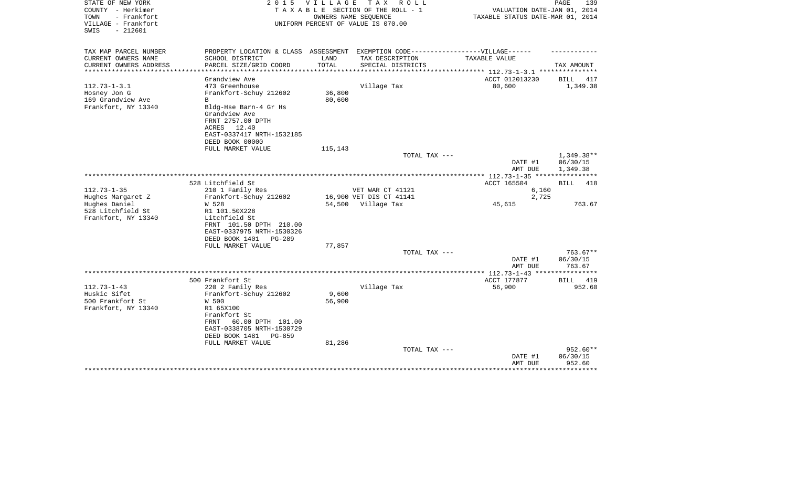| $-212601$<br>SWIS<br>PROPERTY LOCATION & CLASS ASSESSMENT EXEMPTION CODE-----------------VILLAGE------<br>CURRENT OWNERS NAME<br>SCHOOL DISTRICT<br>LAND<br>TAX DESCRIPTION<br>TAXABLE VALUE<br>CURRENT OWNERS ADDRESS<br>PARCEL SIZE/GRID COORD<br>TOTAL<br>SPECIAL DISTRICTS<br>TAX AMOUNT<br>*********************<br>ACCT 012013230<br>Grandview Ave<br>BILL<br>417<br>$112.73 - 1 - 3.1$<br>80,600<br>473 Greenhouse<br>Village Tax<br>1,349.38<br>36,800<br>Frankfort-Schuy 212602<br>Hosney Jon G<br>169 Grandview Ave<br>80,600<br>B<br>Frankfort, NY 13340<br>Bldg-Hse Barn-4 Gr Hs<br>Grandview Ave<br>FRNT 2757.00 DPTH<br>ACRES 12.40<br>EAST-0337417 NRTH-1532185<br>DEED BOOK 00000<br>FULL MARKET VALUE<br>115,143<br>1,349.38**<br>TOTAL TAX ---<br>DATE #1<br>06/30/15<br>AMT DUE<br>1,349.38<br>***************** 112.73-1-35 *****************<br>528 Litchfield St<br>ACCT 165504<br><b>BILL</b><br>418<br>$112.73 - 1 - 35$<br>210 1 Family Res<br>VET WAR CT 41121<br>6,160<br>16,900 VET DIS CT 41141<br>2,725<br>Hughes Margaret Z<br>Frankfort-Schuy 212602<br>Hughes Daniel<br>W 528<br>54,500 Village Tax<br>45,615<br>763.67<br>528 Litchfield St<br>R1 101.50X228<br>Frankfort, NY 13340<br>Litchfield St<br>FRNT 101.50 DPTH 210.00<br>EAST-0337975 NRTH-1530326<br>DEED BOOK 1401<br>PG-289<br>FULL MARKET VALUE<br>77,857<br>TOTAL TAX ---<br>$763.67**$<br>DATE #1<br>06/30/15<br>763.67<br>AMT DUE<br>500 Frankfort St<br>ACCT 177877<br>BILL<br>419<br>220 2 Family Res<br>Village Tax<br>56,900<br>952.60<br>Huskic Sifet<br>Frankfort-Schuy 212602<br>9,600<br>500 Frankfort St<br>W 500<br>56,900<br>Frankfort, NY 13340<br>R1 65X100<br>Frankfort St<br>60.00 DPTH 101.00<br>FRNT<br>EAST-0338705 NRTH-1530729<br>DEED BOOK 1481<br>PG-859<br>81,286<br>FULL MARKET VALUE<br>952.60**<br>TOTAL TAX ---<br>DATE #1<br>06/30/15<br>952.60<br>AMT DUE | STATE OF NEW YORK<br>COUNTY - Herkimer<br>TOWN<br>- Frankfort<br>VILLAGE - Frankfort | 2 0 1 5 | VILLAGE | TAX ROLL<br>TAXABLE SECTION OF THE ROLL - 1<br>OWNERS NAME SEQUENCE<br>UNIFORM PERCENT OF VALUE IS 070.00 | VALUATION DATE-JAN 01, 2014<br>TAXABLE STATUS DATE-MAR 01, 2014 | PAGE<br>139 |
|-------------------------------------------------------------------------------------------------------------------------------------------------------------------------------------------------------------------------------------------------------------------------------------------------------------------------------------------------------------------------------------------------------------------------------------------------------------------------------------------------------------------------------------------------------------------------------------------------------------------------------------------------------------------------------------------------------------------------------------------------------------------------------------------------------------------------------------------------------------------------------------------------------------------------------------------------------------------------------------------------------------------------------------------------------------------------------------------------------------------------------------------------------------------------------------------------------------------------------------------------------------------------------------------------------------------------------------------------------------------------------------------------------------------------------------------------------------------------------------------------------------------------------------------------------------------------------------------------------------------------------------------------------------------------------------------------------------------------------------------------------------------------------------------------------------------------------------------------------------------------------------------|--------------------------------------------------------------------------------------|---------|---------|-----------------------------------------------------------------------------------------------------------|-----------------------------------------------------------------|-------------|
|                                                                                                                                                                                                                                                                                                                                                                                                                                                                                                                                                                                                                                                                                                                                                                                                                                                                                                                                                                                                                                                                                                                                                                                                                                                                                                                                                                                                                                                                                                                                                                                                                                                                                                                                                                                                                                                                                           |                                                                                      |         |         |                                                                                                           |                                                                 |             |
|                                                                                                                                                                                                                                                                                                                                                                                                                                                                                                                                                                                                                                                                                                                                                                                                                                                                                                                                                                                                                                                                                                                                                                                                                                                                                                                                                                                                                                                                                                                                                                                                                                                                                                                                                                                                                                                                                           | TAX MAP PARCEL NUMBER                                                                |         |         |                                                                                                           |                                                                 |             |
|                                                                                                                                                                                                                                                                                                                                                                                                                                                                                                                                                                                                                                                                                                                                                                                                                                                                                                                                                                                                                                                                                                                                                                                                                                                                                                                                                                                                                                                                                                                                                                                                                                                                                                                                                                                                                                                                                           |                                                                                      |         |         |                                                                                                           |                                                                 |             |
|                                                                                                                                                                                                                                                                                                                                                                                                                                                                                                                                                                                                                                                                                                                                                                                                                                                                                                                                                                                                                                                                                                                                                                                                                                                                                                                                                                                                                                                                                                                                                                                                                                                                                                                                                                                                                                                                                           |                                                                                      |         |         |                                                                                                           |                                                                 |             |
|                                                                                                                                                                                                                                                                                                                                                                                                                                                                                                                                                                                                                                                                                                                                                                                                                                                                                                                                                                                                                                                                                                                                                                                                                                                                                                                                                                                                                                                                                                                                                                                                                                                                                                                                                                                                                                                                                           |                                                                                      |         |         |                                                                                                           |                                                                 |             |
|                                                                                                                                                                                                                                                                                                                                                                                                                                                                                                                                                                                                                                                                                                                                                                                                                                                                                                                                                                                                                                                                                                                                                                                                                                                                                                                                                                                                                                                                                                                                                                                                                                                                                                                                                                                                                                                                                           |                                                                                      |         |         |                                                                                                           |                                                                 |             |
|                                                                                                                                                                                                                                                                                                                                                                                                                                                                                                                                                                                                                                                                                                                                                                                                                                                                                                                                                                                                                                                                                                                                                                                                                                                                                                                                                                                                                                                                                                                                                                                                                                                                                                                                                                                                                                                                                           |                                                                                      |         |         |                                                                                                           |                                                                 |             |
|                                                                                                                                                                                                                                                                                                                                                                                                                                                                                                                                                                                                                                                                                                                                                                                                                                                                                                                                                                                                                                                                                                                                                                                                                                                                                                                                                                                                                                                                                                                                                                                                                                                                                                                                                                                                                                                                                           |                                                                                      |         |         |                                                                                                           |                                                                 |             |
|                                                                                                                                                                                                                                                                                                                                                                                                                                                                                                                                                                                                                                                                                                                                                                                                                                                                                                                                                                                                                                                                                                                                                                                                                                                                                                                                                                                                                                                                                                                                                                                                                                                                                                                                                                                                                                                                                           |                                                                                      |         |         |                                                                                                           |                                                                 |             |
|                                                                                                                                                                                                                                                                                                                                                                                                                                                                                                                                                                                                                                                                                                                                                                                                                                                                                                                                                                                                                                                                                                                                                                                                                                                                                                                                                                                                                                                                                                                                                                                                                                                                                                                                                                                                                                                                                           |                                                                                      |         |         |                                                                                                           |                                                                 |             |
|                                                                                                                                                                                                                                                                                                                                                                                                                                                                                                                                                                                                                                                                                                                                                                                                                                                                                                                                                                                                                                                                                                                                                                                                                                                                                                                                                                                                                                                                                                                                                                                                                                                                                                                                                                                                                                                                                           |                                                                                      |         |         |                                                                                                           |                                                                 |             |
|                                                                                                                                                                                                                                                                                                                                                                                                                                                                                                                                                                                                                                                                                                                                                                                                                                                                                                                                                                                                                                                                                                                                                                                                                                                                                                                                                                                                                                                                                                                                                                                                                                                                                                                                                                                                                                                                                           |                                                                                      |         |         |                                                                                                           |                                                                 |             |
|                                                                                                                                                                                                                                                                                                                                                                                                                                                                                                                                                                                                                                                                                                                                                                                                                                                                                                                                                                                                                                                                                                                                                                                                                                                                                                                                                                                                                                                                                                                                                                                                                                                                                                                                                                                                                                                                                           |                                                                                      |         |         |                                                                                                           |                                                                 |             |
|                                                                                                                                                                                                                                                                                                                                                                                                                                                                                                                                                                                                                                                                                                                                                                                                                                                                                                                                                                                                                                                                                                                                                                                                                                                                                                                                                                                                                                                                                                                                                                                                                                                                                                                                                                                                                                                                                           |                                                                                      |         |         |                                                                                                           |                                                                 |             |
|                                                                                                                                                                                                                                                                                                                                                                                                                                                                                                                                                                                                                                                                                                                                                                                                                                                                                                                                                                                                                                                                                                                                                                                                                                                                                                                                                                                                                                                                                                                                                                                                                                                                                                                                                                                                                                                                                           |                                                                                      |         |         |                                                                                                           |                                                                 |             |
|                                                                                                                                                                                                                                                                                                                                                                                                                                                                                                                                                                                                                                                                                                                                                                                                                                                                                                                                                                                                                                                                                                                                                                                                                                                                                                                                                                                                                                                                                                                                                                                                                                                                                                                                                                                                                                                                                           |                                                                                      |         |         |                                                                                                           |                                                                 |             |
|                                                                                                                                                                                                                                                                                                                                                                                                                                                                                                                                                                                                                                                                                                                                                                                                                                                                                                                                                                                                                                                                                                                                                                                                                                                                                                                                                                                                                                                                                                                                                                                                                                                                                                                                                                                                                                                                                           |                                                                                      |         |         |                                                                                                           |                                                                 |             |
|                                                                                                                                                                                                                                                                                                                                                                                                                                                                                                                                                                                                                                                                                                                                                                                                                                                                                                                                                                                                                                                                                                                                                                                                                                                                                                                                                                                                                                                                                                                                                                                                                                                                                                                                                                                                                                                                                           |                                                                                      |         |         |                                                                                                           |                                                                 |             |
|                                                                                                                                                                                                                                                                                                                                                                                                                                                                                                                                                                                                                                                                                                                                                                                                                                                                                                                                                                                                                                                                                                                                                                                                                                                                                                                                                                                                                                                                                                                                                                                                                                                                                                                                                                                                                                                                                           |                                                                                      |         |         |                                                                                                           |                                                                 |             |
|                                                                                                                                                                                                                                                                                                                                                                                                                                                                                                                                                                                                                                                                                                                                                                                                                                                                                                                                                                                                                                                                                                                                                                                                                                                                                                                                                                                                                                                                                                                                                                                                                                                                                                                                                                                                                                                                                           |                                                                                      |         |         |                                                                                                           |                                                                 |             |
|                                                                                                                                                                                                                                                                                                                                                                                                                                                                                                                                                                                                                                                                                                                                                                                                                                                                                                                                                                                                                                                                                                                                                                                                                                                                                                                                                                                                                                                                                                                                                                                                                                                                                                                                                                                                                                                                                           |                                                                                      |         |         |                                                                                                           |                                                                 |             |
|                                                                                                                                                                                                                                                                                                                                                                                                                                                                                                                                                                                                                                                                                                                                                                                                                                                                                                                                                                                                                                                                                                                                                                                                                                                                                                                                                                                                                                                                                                                                                                                                                                                                                                                                                                                                                                                                                           |                                                                                      |         |         |                                                                                                           |                                                                 |             |
|                                                                                                                                                                                                                                                                                                                                                                                                                                                                                                                                                                                                                                                                                                                                                                                                                                                                                                                                                                                                                                                                                                                                                                                                                                                                                                                                                                                                                                                                                                                                                                                                                                                                                                                                                                                                                                                                                           |                                                                                      |         |         |                                                                                                           |                                                                 |             |
|                                                                                                                                                                                                                                                                                                                                                                                                                                                                                                                                                                                                                                                                                                                                                                                                                                                                                                                                                                                                                                                                                                                                                                                                                                                                                                                                                                                                                                                                                                                                                                                                                                                                                                                                                                                                                                                                                           |                                                                                      |         |         |                                                                                                           |                                                                 |             |
|                                                                                                                                                                                                                                                                                                                                                                                                                                                                                                                                                                                                                                                                                                                                                                                                                                                                                                                                                                                                                                                                                                                                                                                                                                                                                                                                                                                                                                                                                                                                                                                                                                                                                                                                                                                                                                                                                           |                                                                                      |         |         |                                                                                                           |                                                                 |             |
|                                                                                                                                                                                                                                                                                                                                                                                                                                                                                                                                                                                                                                                                                                                                                                                                                                                                                                                                                                                                                                                                                                                                                                                                                                                                                                                                                                                                                                                                                                                                                                                                                                                                                                                                                                                                                                                                                           |                                                                                      |         |         |                                                                                                           |                                                                 |             |
|                                                                                                                                                                                                                                                                                                                                                                                                                                                                                                                                                                                                                                                                                                                                                                                                                                                                                                                                                                                                                                                                                                                                                                                                                                                                                                                                                                                                                                                                                                                                                                                                                                                                                                                                                                                                                                                                                           |                                                                                      |         |         |                                                                                                           |                                                                 |             |
|                                                                                                                                                                                                                                                                                                                                                                                                                                                                                                                                                                                                                                                                                                                                                                                                                                                                                                                                                                                                                                                                                                                                                                                                                                                                                                                                                                                                                                                                                                                                                                                                                                                                                                                                                                                                                                                                                           |                                                                                      |         |         |                                                                                                           |                                                                 |             |
|                                                                                                                                                                                                                                                                                                                                                                                                                                                                                                                                                                                                                                                                                                                                                                                                                                                                                                                                                                                                                                                                                                                                                                                                                                                                                                                                                                                                                                                                                                                                                                                                                                                                                                                                                                                                                                                                                           |                                                                                      |         |         |                                                                                                           |                                                                 |             |
|                                                                                                                                                                                                                                                                                                                                                                                                                                                                                                                                                                                                                                                                                                                                                                                                                                                                                                                                                                                                                                                                                                                                                                                                                                                                                                                                                                                                                                                                                                                                                                                                                                                                                                                                                                                                                                                                                           |                                                                                      |         |         |                                                                                                           |                                                                 |             |
|                                                                                                                                                                                                                                                                                                                                                                                                                                                                                                                                                                                                                                                                                                                                                                                                                                                                                                                                                                                                                                                                                                                                                                                                                                                                                                                                                                                                                                                                                                                                                                                                                                                                                                                                                                                                                                                                                           |                                                                                      |         |         |                                                                                                           |                                                                 |             |
|                                                                                                                                                                                                                                                                                                                                                                                                                                                                                                                                                                                                                                                                                                                                                                                                                                                                                                                                                                                                                                                                                                                                                                                                                                                                                                                                                                                                                                                                                                                                                                                                                                                                                                                                                                                                                                                                                           |                                                                                      |         |         |                                                                                                           |                                                                 |             |
|                                                                                                                                                                                                                                                                                                                                                                                                                                                                                                                                                                                                                                                                                                                                                                                                                                                                                                                                                                                                                                                                                                                                                                                                                                                                                                                                                                                                                                                                                                                                                                                                                                                                                                                                                                                                                                                                                           |                                                                                      |         |         |                                                                                                           |                                                                 |             |
|                                                                                                                                                                                                                                                                                                                                                                                                                                                                                                                                                                                                                                                                                                                                                                                                                                                                                                                                                                                                                                                                                                                                                                                                                                                                                                                                                                                                                                                                                                                                                                                                                                                                                                                                                                                                                                                                                           | $112.73 - 1 - 43$                                                                    |         |         |                                                                                                           |                                                                 |             |
|                                                                                                                                                                                                                                                                                                                                                                                                                                                                                                                                                                                                                                                                                                                                                                                                                                                                                                                                                                                                                                                                                                                                                                                                                                                                                                                                                                                                                                                                                                                                                                                                                                                                                                                                                                                                                                                                                           |                                                                                      |         |         |                                                                                                           |                                                                 |             |
|                                                                                                                                                                                                                                                                                                                                                                                                                                                                                                                                                                                                                                                                                                                                                                                                                                                                                                                                                                                                                                                                                                                                                                                                                                                                                                                                                                                                                                                                                                                                                                                                                                                                                                                                                                                                                                                                                           |                                                                                      |         |         |                                                                                                           |                                                                 |             |
|                                                                                                                                                                                                                                                                                                                                                                                                                                                                                                                                                                                                                                                                                                                                                                                                                                                                                                                                                                                                                                                                                                                                                                                                                                                                                                                                                                                                                                                                                                                                                                                                                                                                                                                                                                                                                                                                                           |                                                                                      |         |         |                                                                                                           |                                                                 |             |
|                                                                                                                                                                                                                                                                                                                                                                                                                                                                                                                                                                                                                                                                                                                                                                                                                                                                                                                                                                                                                                                                                                                                                                                                                                                                                                                                                                                                                                                                                                                                                                                                                                                                                                                                                                                                                                                                                           |                                                                                      |         |         |                                                                                                           |                                                                 |             |
|                                                                                                                                                                                                                                                                                                                                                                                                                                                                                                                                                                                                                                                                                                                                                                                                                                                                                                                                                                                                                                                                                                                                                                                                                                                                                                                                                                                                                                                                                                                                                                                                                                                                                                                                                                                                                                                                                           |                                                                                      |         |         |                                                                                                           |                                                                 |             |
|                                                                                                                                                                                                                                                                                                                                                                                                                                                                                                                                                                                                                                                                                                                                                                                                                                                                                                                                                                                                                                                                                                                                                                                                                                                                                                                                                                                                                                                                                                                                                                                                                                                                                                                                                                                                                                                                                           |                                                                                      |         |         |                                                                                                           |                                                                 |             |
|                                                                                                                                                                                                                                                                                                                                                                                                                                                                                                                                                                                                                                                                                                                                                                                                                                                                                                                                                                                                                                                                                                                                                                                                                                                                                                                                                                                                                                                                                                                                                                                                                                                                                                                                                                                                                                                                                           |                                                                                      |         |         |                                                                                                           |                                                                 |             |
|                                                                                                                                                                                                                                                                                                                                                                                                                                                                                                                                                                                                                                                                                                                                                                                                                                                                                                                                                                                                                                                                                                                                                                                                                                                                                                                                                                                                                                                                                                                                                                                                                                                                                                                                                                                                                                                                                           |                                                                                      |         |         |                                                                                                           |                                                                 |             |
|                                                                                                                                                                                                                                                                                                                                                                                                                                                                                                                                                                                                                                                                                                                                                                                                                                                                                                                                                                                                                                                                                                                                                                                                                                                                                                                                                                                                                                                                                                                                                                                                                                                                                                                                                                                                                                                                                           |                                                                                      |         |         |                                                                                                           |                                                                 |             |
|                                                                                                                                                                                                                                                                                                                                                                                                                                                                                                                                                                                                                                                                                                                                                                                                                                                                                                                                                                                                                                                                                                                                                                                                                                                                                                                                                                                                                                                                                                                                                                                                                                                                                                                                                                                                                                                                                           |                                                                                      |         |         |                                                                                                           |                                                                 |             |
|                                                                                                                                                                                                                                                                                                                                                                                                                                                                                                                                                                                                                                                                                                                                                                                                                                                                                                                                                                                                                                                                                                                                                                                                                                                                                                                                                                                                                                                                                                                                                                                                                                                                                                                                                                                                                                                                                           |                                                                                      |         |         |                                                                                                           |                                                                 |             |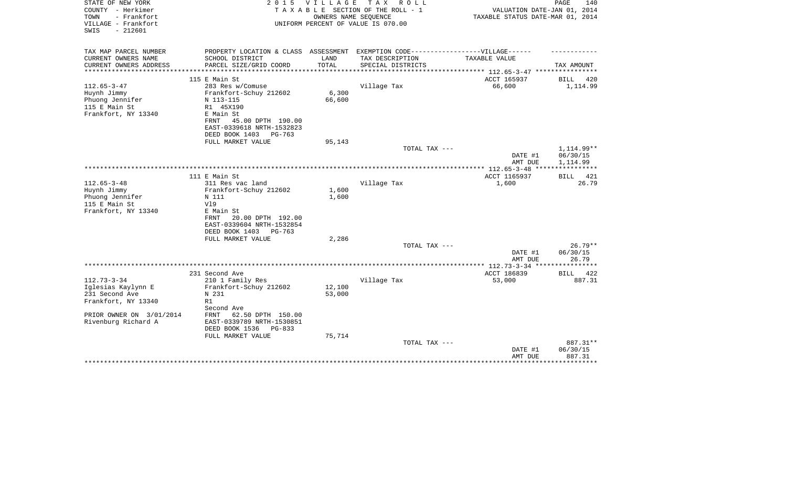| STATE OF NEW YORK                          | 2 0 1 5                                                 | V I L L A G E | T A X<br>R O L L                                                 |                                  | PAGE<br>140        |
|--------------------------------------------|---------------------------------------------------------|---------------|------------------------------------------------------------------|----------------------------------|--------------------|
| COUNTY - Herkimer                          |                                                         |               | TAXABLE SECTION OF THE ROLL - 1                                  | VALUATION DATE-JAN 01, 2014      |                    |
| - Frankfort<br>TOWN<br>VILLAGE - Frankfort |                                                         |               | OWNERS NAME SEQUENCE<br>UNIFORM PERCENT OF VALUE IS 070.00       | TAXABLE STATUS DATE-MAR 01, 2014 |                    |
| $-212601$<br>SWIS                          |                                                         |               |                                                                  |                                  |                    |
|                                            |                                                         |               |                                                                  |                                  |                    |
| TAX MAP PARCEL NUMBER                      |                                                         |               |                                                                  |                                  |                    |
| CURRENT OWNERS NAME                        | PROPERTY LOCATION & CLASS ASSESSMENT<br>SCHOOL DISTRICT | LAND          | EXEMPTION CODE------------------VILLAGE------<br>TAX DESCRIPTION | TAXABLE VALUE                    |                    |
| CURRENT OWNERS ADDRESS                     | PARCEL SIZE/GRID COORD                                  | TOTAL         | SPECIAL DISTRICTS                                                |                                  | TAX AMOUNT         |
| *********************                      |                                                         |               |                                                                  |                                  |                    |
|                                            | 115 E Main St                                           |               |                                                                  | ACCT 165937                      | <b>BILL</b><br>420 |
| $112.65 - 3 - 47$                          | 283 Res w/Comuse                                        |               | Village Tax                                                      | 66,600                           | 1,114.99           |
| Huynh Jimmy                                | Frankfort-Schuy 212602                                  | 6,300         |                                                                  |                                  |                    |
| Phuong Jennifer                            | N 113-115                                               | 66,600        |                                                                  |                                  |                    |
| 115 E Main St                              | R1 45X190                                               |               |                                                                  |                                  |                    |
| Frankfort, NY 13340                        | E Main St                                               |               |                                                                  |                                  |                    |
|                                            | 45.00 DPTH 190.00<br>FRNT                               |               |                                                                  |                                  |                    |
|                                            | EAST-0339618 NRTH-1532823                               |               |                                                                  |                                  |                    |
|                                            | DEED BOOK 1403<br>PG-763                                |               |                                                                  |                                  |                    |
|                                            | FULL MARKET VALUE                                       | 95,143        |                                                                  |                                  |                    |
|                                            |                                                         |               | TOTAL TAX ---                                                    |                                  | 1,114.99**         |
|                                            |                                                         |               |                                                                  | DATE #1                          | 06/30/15           |
|                                            |                                                         |               |                                                                  | AMT DUE                          | 1,114.99           |
|                                            |                                                         |               |                                                                  |                                  |                    |
|                                            | 111 E Main St                                           |               |                                                                  | ACCT 1165937                     | 421<br>BILL        |
| $112.65 - 3 - 48$                          | 311 Res vac land                                        |               | Village Tax                                                      | 1,600                            | 26.79              |
| Huynh Jimmy                                | Frankfort-Schuy 212602                                  | 1,600         |                                                                  |                                  |                    |
| Phuong Jennifer                            | N 111                                                   | 1,600         |                                                                  |                                  |                    |
| 115 E Main St                              | V19                                                     |               |                                                                  |                                  |                    |
| Frankfort, NY 13340                        | E Main St                                               |               |                                                                  |                                  |                    |
|                                            | 20.00 DPTH 192.00<br>FRNT<br>EAST-0339604 NRTH-1532854  |               |                                                                  |                                  |                    |
|                                            | DEED BOOK 1403<br>PG-763                                |               |                                                                  |                                  |                    |
|                                            | FULL MARKET VALUE                                       | 2,286         |                                                                  |                                  |                    |
|                                            |                                                         |               | TOTAL TAX ---                                                    |                                  | $26.79**$          |
|                                            |                                                         |               |                                                                  | DATE #1                          | 06/30/15           |
|                                            |                                                         |               |                                                                  | AMT DUE                          | 26.79              |
|                                            |                                                         |               |                                                                  |                                  |                    |
|                                            | 231 Second Ave                                          |               |                                                                  | ACCT 186839                      | 422<br>BILL        |
| $112.73 - 3 - 34$                          | 210 1 Family Res                                        |               | Village Tax                                                      | 53,000                           | 887.31             |
| Iglesias Kaylynn E                         | Frankfort-Schuy 212602                                  | 12,100        |                                                                  |                                  |                    |
| 231 Second Ave                             | N 231                                                   | 53,000        |                                                                  |                                  |                    |
| Frankfort, NY 13340                        | R1                                                      |               |                                                                  |                                  |                    |
|                                            | Second Ave                                              |               |                                                                  |                                  |                    |
| PRIOR OWNER ON 3/01/2014                   | FRNT<br>62.50 DPTH 150.00                               |               |                                                                  |                                  |                    |
| Rivenburg Richard A                        | EAST-0339789 NRTH-1530851                               |               |                                                                  |                                  |                    |
|                                            | DEED BOOK 1536<br>$PG-833$                              |               |                                                                  |                                  |                    |
|                                            | FULL MARKET VALUE                                       | 75,714        |                                                                  |                                  |                    |
|                                            |                                                         |               | TOTAL TAX ---                                                    |                                  | 887.31**           |
|                                            |                                                         |               |                                                                  | DATE #1                          | 06/30/15           |
|                                            |                                                         |               |                                                                  | AMT DUE                          | 887.31             |
|                                            |                                                         |               |                                                                  |                                  |                    |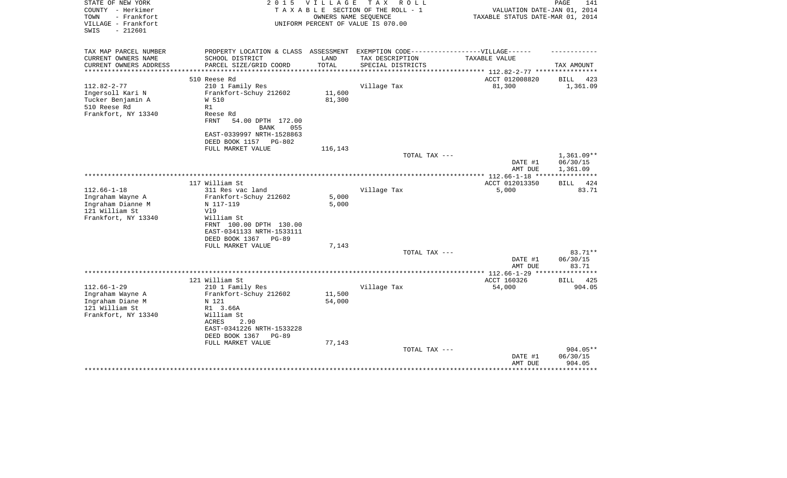| STATE OF NEW YORK<br>COUNTY - Herkimer<br>- Frankfort<br>TOWN<br>VILLAGE - Frankfort<br>SWIS<br>$-212601$ | 2 0 1 5                                                                                                                                                                           | <b>VILLAGE</b><br>OWNERS NAME SEQUENCE | T A X<br>R O L L<br>TAXABLE SECTION OF THE ROLL - 1<br>UNIFORM PERCENT OF VALUE IS 070.00 | VALUATION DATE-JAN 01, 2014<br>TAXABLE STATUS DATE-MAR 01, 2014 | PAGE<br>141                          |
|-----------------------------------------------------------------------------------------------------------|-----------------------------------------------------------------------------------------------------------------------------------------------------------------------------------|----------------------------------------|-------------------------------------------------------------------------------------------|-----------------------------------------------------------------|--------------------------------------|
| TAX MAP PARCEL NUMBER<br>CURRENT OWNERS NAME<br>CURRENT OWNERS ADDRESS                                    | PROPERTY LOCATION & CLASS ASSESSMENT EXEMPTION CODE-----------------VILLAGE------<br>SCHOOL DISTRICT<br>PARCEL SIZE/GRID COORD                                                    | LAND<br>TOTAL                          | TAX DESCRIPTION<br>SPECIAL DISTRICTS                                                      | TAXABLE VALUE                                                   | TAX AMOUNT                           |
|                                                                                                           | 510 Reese Rd                                                                                                                                                                      |                                        |                                                                                           | ********* 112.82-2-77 ***<br>ACCT 012008820                     | 423<br><b>BILL</b>                   |
| $112.82 - 2 - 77$<br>Ingersoll Kari N<br>Tucker Benjamin A<br>510 Reese Rd<br>Frankfort, NY 13340         | 210 1 Family Res<br>Frankfort-Schuy 212602<br>W 510<br>R1<br>Reese Rd<br><b>FRNT</b><br>54.00 DPTH 172.00<br>BANK<br>055<br>EAST-0339997 NRTH-1528863<br>DEED BOOK 1157<br>PG-802 | 11,600<br>81,300                       | Village Tax                                                                               | 81,300                                                          | 1,361.09                             |
|                                                                                                           | FULL MARKET VALUE                                                                                                                                                                 | 116,143                                |                                                                                           |                                                                 |                                      |
|                                                                                                           |                                                                                                                                                                                   |                                        | TOTAL TAX ---                                                                             | DATE #1<br>AMT DUE                                              | $1,361.09**$<br>06/30/15<br>1,361.09 |
|                                                                                                           |                                                                                                                                                                                   |                                        |                                                                                           |                                                                 |                                      |
| $112.66 - 1 - 18$<br>Ingraham Wayne A<br>Ingraham Dianne M<br>121 William St<br>Frankfort, NY 13340       | 117 William St<br>311 Res vac land<br>Frankfort-Schuy 212602<br>N 117-119<br>V19<br>William St                                                                                    | 5,000<br>5,000                         | Village Tax                                                                               | ACCT 012013350<br>5,000                                         | <b>BILL</b><br>424<br>83.71          |
|                                                                                                           | FRNT 100.00 DPTH 130.00<br>EAST-0341133 NRTH-1533111<br>DEED BOOK 1367<br>$PG-89$<br>FULL MARKET VALUE                                                                            | 7,143                                  | TOTAL TAX ---                                                                             |                                                                 | 83.71**                              |
|                                                                                                           |                                                                                                                                                                                   |                                        |                                                                                           | DATE #1                                                         | 06/30/15                             |
|                                                                                                           | 121 William St                                                                                                                                                                    |                                        |                                                                                           | AMT DUE<br>**************** 112.66-1-29 ***<br>ACCT 160326      | 83.71<br>****<br>425<br>BILL         |
| $112.66 - 1 - 29$<br>Ingraham Wayne A<br>Ingraham Diane M<br>121 William St<br>Frankfort, NY 13340        | 210 1 Family Res<br>Frankfort-Schuy 212602<br>N 121<br>R1 3.66A<br>William St<br>ACRES<br>2.90<br>EAST-0341226 NRTH-1533228<br>DEED BOOK 1367<br>$PG-89$                          | 11,500<br>54,000                       | Village Tax                                                                               | 54,000                                                          | 904.05                               |
|                                                                                                           | FULL MARKET VALUE                                                                                                                                                                 | 77,143                                 | TOTAL TAX ---                                                                             | DATE #1<br>AMT DUE                                              | 904.05**<br>06/30/15<br>904.05       |
|                                                                                                           |                                                                                                                                                                                   |                                        |                                                                                           |                                                                 |                                      |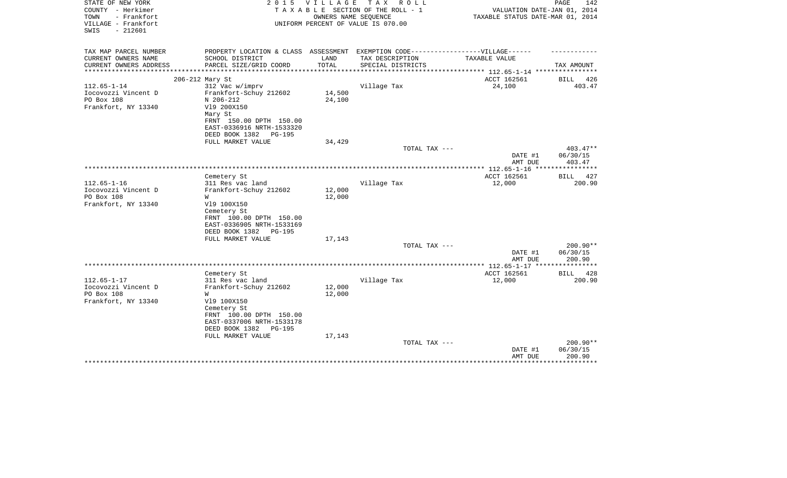| TAX MAP PARCEL NUMBER<br>PROPERTY LOCATION & CLASS ASSESSMENT EXEMPTION CODE-----------------VILLAGE------<br>CURRENT OWNERS NAME<br>SCHOOL DISTRICT<br>LAND<br>TAX DESCRIPTION<br>TAXABLE VALUE<br>CURRENT OWNERS ADDRESS<br>PARCEL SIZE/GRID COORD<br>TOTAL<br>SPECIAL DISTRICTS<br>TAX AMOUNT<br>***************** | 426<br>403.47 |
|-----------------------------------------------------------------------------------------------------------------------------------------------------------------------------------------------------------------------------------------------------------------------------------------------------------------------|---------------|
|                                                                                                                                                                                                                                                                                                                       |               |
|                                                                                                                                                                                                                                                                                                                       |               |
|                                                                                                                                                                                                                                                                                                                       |               |
| ACCT 162561<br>206-212 Mary St<br>BILL                                                                                                                                                                                                                                                                                |               |
| $112.65 - 1 - 14$<br>312 Vac w/imprv<br>Village Tax<br>24,100                                                                                                                                                                                                                                                         |               |
| Iocovozzi Vincent D<br>14,500<br>Frankfort-Schuy 212602                                                                                                                                                                                                                                                               |               |
| PO Box 108<br>N 206-212<br>24,100                                                                                                                                                                                                                                                                                     |               |
| Frankfort, NY 13340<br>V19 200X150                                                                                                                                                                                                                                                                                    |               |
| Mary St                                                                                                                                                                                                                                                                                                               |               |
| FRNT 150.00 DPTH 150.00<br>EAST-0336916 NRTH-1533320                                                                                                                                                                                                                                                                  |               |
| DEED BOOK 1382<br><b>PG-195</b>                                                                                                                                                                                                                                                                                       |               |
| FULL MARKET VALUE<br>34,429                                                                                                                                                                                                                                                                                           |               |
| $403.47**$<br>TOTAL TAX ---                                                                                                                                                                                                                                                                                           |               |
| DATE #1<br>06/30/15                                                                                                                                                                                                                                                                                                   |               |
| AMT DUE<br>403.47<br>***************** 112.65-1-16 *****************                                                                                                                                                                                                                                                  |               |
| ACCT 162561<br>Cemetery St<br>BILL                                                                                                                                                                                                                                                                                    | 427           |
| $112.65 - 1 - 16$<br>Village Tax<br>12,000<br>311 Res vac land                                                                                                                                                                                                                                                        | 200.90        |
| Iocovozzi Vincent D<br>Frankfort-Schuy 212602<br>12,000                                                                                                                                                                                                                                                               |               |
| PO Box 108<br>12,000<br>W                                                                                                                                                                                                                                                                                             |               |
| Frankfort, NY 13340<br>V19 100X150                                                                                                                                                                                                                                                                                    |               |
| Cemetery St<br>FRNT 100.00 DPTH 150.00                                                                                                                                                                                                                                                                                |               |
| EAST-0336905 NRTH-1533169                                                                                                                                                                                                                                                                                             |               |
| DEED BOOK 1382<br><b>PG-195</b>                                                                                                                                                                                                                                                                                       |               |
| FULL MARKET VALUE<br>17,143                                                                                                                                                                                                                                                                                           |               |
| TOTAL TAX ---<br>200.90**                                                                                                                                                                                                                                                                                             |               |
| 06/30/15<br>DATE #1                                                                                                                                                                                                                                                                                                   |               |
| AMT DUE<br>200.90<br>*************** 112.65-1-17 *****************                                                                                                                                                                                                                                                    |               |
| ACCT 162561<br>Cemetery St<br><b>BILL</b>                                                                                                                                                                                                                                                                             | 428           |
| $112.65 - 1 - 17$<br>12,000<br>311 Res vac land<br>Village Tax                                                                                                                                                                                                                                                        | 200.90        |
| Iocovozzi Vincent D<br>12,000<br>Frankfort-Schuy 212602                                                                                                                                                                                                                                                               |               |
| PO Box 108<br>12,000<br>W                                                                                                                                                                                                                                                                                             |               |
| Frankfort, NY 13340<br>V19 100X150                                                                                                                                                                                                                                                                                    |               |
| Cemetery St                                                                                                                                                                                                                                                                                                           |               |
| FRNT 100.00 DPTH 150.00<br>EAST-0337006 NRTH-1533178                                                                                                                                                                                                                                                                  |               |
| DEED BOOK 1382<br><b>PG-195</b>                                                                                                                                                                                                                                                                                       |               |
| FULL MARKET VALUE<br>17,143                                                                                                                                                                                                                                                                                           |               |
| 200.90**<br>TOTAL TAX ---                                                                                                                                                                                                                                                                                             |               |
| 06/30/15<br>DATE #1                                                                                                                                                                                                                                                                                                   |               |
| 200.90<br>AMT DUE                                                                                                                                                                                                                                                                                                     |               |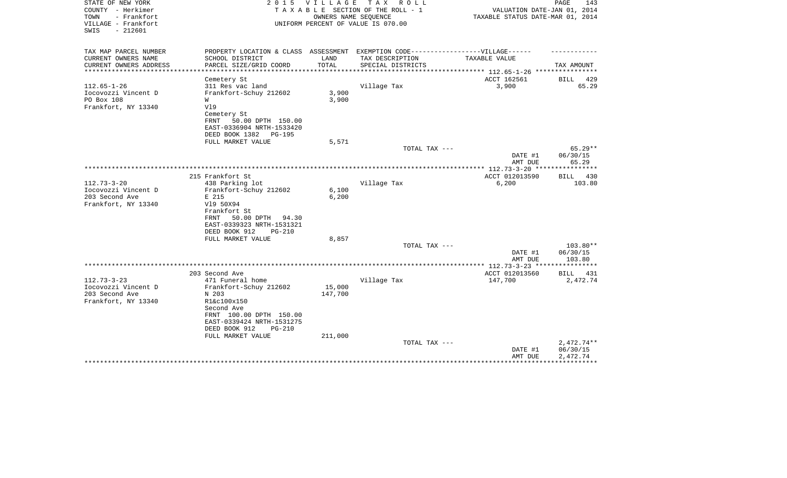| STATE OF NEW YORK<br>COUNTY - Herkimer<br>TOWN<br>- Frankfort<br>VILLAGE - Frankfort<br>$-212601$<br>SWIS | 2 0 1 5                                                                           | VILLAGE | TAX ROLL<br>TAXABLE SECTION OF THE ROLL - 1<br>OWNERS NAME SEQUENCE<br>UNIFORM PERCENT OF VALUE IS 070.00 | VALUATION DATE-JAN 01, 2014<br>TAXABLE STATUS DATE-MAR 01, 2014 | PAGE<br>143          |
|-----------------------------------------------------------------------------------------------------------|-----------------------------------------------------------------------------------|---------|-----------------------------------------------------------------------------------------------------------|-----------------------------------------------------------------|----------------------|
| TAX MAP PARCEL NUMBER                                                                                     | PROPERTY LOCATION & CLASS ASSESSMENT EXEMPTION CODE-----------------VILLAGE------ |         |                                                                                                           |                                                                 |                      |
| CURRENT OWNERS NAME                                                                                       | SCHOOL DISTRICT                                                                   | LAND    | TAX DESCRIPTION                                                                                           | TAXABLE VALUE                                                   |                      |
| CURRENT OWNERS ADDRESS<br>*********************                                                           | PARCEL SIZE/GRID COORD                                                            | TOTAL   | SPECIAL DISTRICTS                                                                                         | *************************** 112.65-1-26 *****************       | TAX AMOUNT           |
|                                                                                                           | Cemetery St                                                                       |         |                                                                                                           | ACCT 162561                                                     | 429<br>BILL          |
| $112.65 - 1 - 26$                                                                                         | 311 Res vac land                                                                  |         | Village Tax                                                                                               | 3,900                                                           | 65.29                |
| Iocovozzi Vincent D                                                                                       | Frankfort-Schuy 212602                                                            | 3,900   |                                                                                                           |                                                                 |                      |
| PO Box 108                                                                                                | W                                                                                 | 3,900   |                                                                                                           |                                                                 |                      |
| Frankfort, NY 13340                                                                                       | V19                                                                               |         |                                                                                                           |                                                                 |                      |
|                                                                                                           | Cemetery St                                                                       |         |                                                                                                           |                                                                 |                      |
|                                                                                                           | 50.00 DPTH 150.00<br>FRNT                                                         |         |                                                                                                           |                                                                 |                      |
|                                                                                                           | EAST-0336904 NRTH-1533420                                                         |         |                                                                                                           |                                                                 |                      |
|                                                                                                           | DEED BOOK 1382<br>PG-195                                                          |         |                                                                                                           |                                                                 |                      |
|                                                                                                           | FULL MARKET VALUE                                                                 | 5,571   |                                                                                                           |                                                                 |                      |
|                                                                                                           |                                                                                   |         | TOTAL TAX ---                                                                                             |                                                                 | $65.29**$            |
|                                                                                                           |                                                                                   |         |                                                                                                           | DATE #1                                                         | 06/30/15             |
|                                                                                                           |                                                                                   |         |                                                                                                           | AMT DUE<br>**************** 112.73-3-20 ***                     | 65.29<br>*********** |
|                                                                                                           | 215 Frankfort St                                                                  |         |                                                                                                           | ACCT 012013590                                                  | 430<br>BILL          |
| $112.73 - 3 - 20$                                                                                         | 438 Parking lot                                                                   |         | Village Tax                                                                                               | 6,200                                                           | 103.80               |
| Iocovozzi Vincent D                                                                                       | Frankfort-Schuy 212602                                                            | 6,100   |                                                                                                           |                                                                 |                      |
| 203 Second Ave                                                                                            | E 215                                                                             | 6,200   |                                                                                                           |                                                                 |                      |
| Frankfort, NY 13340                                                                                       | V19 50X94                                                                         |         |                                                                                                           |                                                                 |                      |
|                                                                                                           | Frankfort St                                                                      |         |                                                                                                           |                                                                 |                      |
|                                                                                                           | 50.00 DPTH 94.30<br>FRNT                                                          |         |                                                                                                           |                                                                 |                      |
|                                                                                                           | EAST-0339323 NRTH-1531321                                                         |         |                                                                                                           |                                                                 |                      |
|                                                                                                           | DEED BOOK 912<br>$PG-210$                                                         |         |                                                                                                           |                                                                 |                      |
|                                                                                                           | FULL MARKET VALUE                                                                 | 8,857   |                                                                                                           |                                                                 |                      |
|                                                                                                           |                                                                                   |         | TOTAL TAX ---                                                                                             |                                                                 | 103.80**             |
|                                                                                                           |                                                                                   |         |                                                                                                           | DATE #1                                                         | 06/30/15<br>103.80   |
|                                                                                                           |                                                                                   |         |                                                                                                           | AMT DUE                                                         |                      |
|                                                                                                           | 203 Second Ave                                                                    |         |                                                                                                           | ACCT 012013560                                                  | BILL 431             |
| $112.73 - 3 - 23$                                                                                         | 471 Funeral home                                                                  |         | Village Tax                                                                                               | 147,700                                                         | 2,472.74             |
| Iocovozzi Vincent D                                                                                       | Frankfort-Schuy 212602                                                            | 15,000  |                                                                                                           |                                                                 |                      |
| 203 Second Ave                                                                                            | N 203                                                                             | 147,700 |                                                                                                           |                                                                 |                      |
| Frankfort, NY 13340                                                                                       | R1&c100x150                                                                       |         |                                                                                                           |                                                                 |                      |
|                                                                                                           | Second Ave                                                                        |         |                                                                                                           |                                                                 |                      |
|                                                                                                           | FRNT 100.00 DPTH 150.00                                                           |         |                                                                                                           |                                                                 |                      |
|                                                                                                           | EAST-0339424 NRTH-1531275                                                         |         |                                                                                                           |                                                                 |                      |
|                                                                                                           | DEED BOOK 912<br>$PG-210$                                                         |         |                                                                                                           |                                                                 |                      |
|                                                                                                           | FULL MARKET VALUE                                                                 | 211,000 |                                                                                                           |                                                                 |                      |
|                                                                                                           |                                                                                   |         | TOTAL TAX ---                                                                                             |                                                                 | $2,472.74**$         |
|                                                                                                           |                                                                                   |         |                                                                                                           | DATE #1                                                         | 06/30/15             |
|                                                                                                           |                                                                                   |         |                                                                                                           | AMT DUE                                                         | 2,472.74             |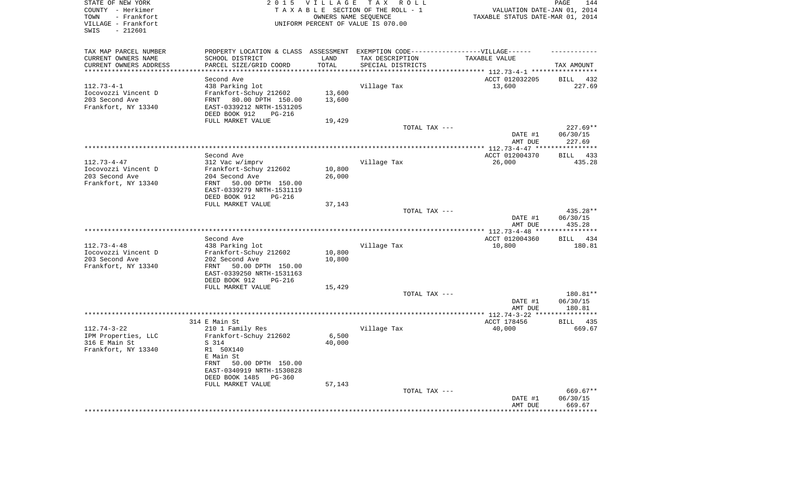| STATE OF NEW YORK<br>COUNTY - Herkimer<br>- Frankfort<br>TOWN<br>VILLAGE - Frankfort<br>SWIS<br>$-212601$ |                                                                                                      | 2015 VILLAGE<br>OWNERS NAME SEQUENCE | TAX ROLL<br>TAXABLE SECTION OF THE ROLL - 1<br>UNIFORM PERCENT OF VALUE IS 070.00 | VALUATION DATE-JAN 01, 2014<br>TAXABLE STATUS DATE-MAR 01, 2014 | PAGE<br>144        |
|-----------------------------------------------------------------------------------------------------------|------------------------------------------------------------------------------------------------------|--------------------------------------|-----------------------------------------------------------------------------------|-----------------------------------------------------------------|--------------------|
| TAX MAP PARCEL NUMBER<br>CURRENT OWNERS NAME                                                              | PROPERTY LOCATION & CLASS ASSESSMENT EXEMPTION CODE-----------------VILLAGE------<br>SCHOOL DISTRICT | LAND                                 | TAX DESCRIPTION                                                                   | TAXABLE VALUE                                                   |                    |
| CURRENT OWNERS ADDRESS<br>************************                                                        | PARCEL SIZE/GRID COORD                                                                               | TOTAL                                | SPECIAL DISTRICTS                                                                 |                                                                 | TAX AMOUNT         |
|                                                                                                           | Second Ave                                                                                           |                                      |                                                                                   | ACCT 012032205                                                  | BILL 432           |
| $112.73 - 4 - 1$                                                                                          | 438 Parking lot                                                                                      |                                      | Village Tax                                                                       | 13,600                                                          | 227.69             |
| Iocovozzi Vincent D                                                                                       | Frankfort-Schuy 212602                                                                               | 13,600                               |                                                                                   |                                                                 |                    |
| 203 Second Ave                                                                                            | FRNT<br>80.00 DPTH 150.00                                                                            | 13,600                               |                                                                                   |                                                                 |                    |
| Frankfort, NY 13340                                                                                       | EAST-0339212 NRTH-1531205                                                                            |                                      |                                                                                   |                                                                 |                    |
|                                                                                                           | DEED BOOK 912<br>$PG-216$                                                                            |                                      |                                                                                   |                                                                 |                    |
|                                                                                                           | FULL MARKET VALUE                                                                                    | 19,429                               | TOTAL TAX ---                                                                     |                                                                 | $227.69**$         |
|                                                                                                           |                                                                                                      |                                      |                                                                                   | DATE #1                                                         | 06/30/15           |
|                                                                                                           |                                                                                                      |                                      |                                                                                   | AMT DUE                                                         | 227.69             |
|                                                                                                           |                                                                                                      |                                      |                                                                                   |                                                                 |                    |
|                                                                                                           | Second Ave                                                                                           |                                      |                                                                                   | ACCT 012004370                                                  | BILL 433           |
| $112.73 - 4 - 47$<br>Iocovozzi Vincent D                                                                  | 312 Vac w/imprv<br>Frankfort-Schuy 212602                                                            | 10,800                               | Village Tax                                                                       | 26,000                                                          | 435.28             |
| 203 Second Ave                                                                                            | 204 Second Ave                                                                                       | 26,000                               |                                                                                   |                                                                 |                    |
| Frankfort, NY 13340                                                                                       | FRNT<br>50.00 DPTH 150.00                                                                            |                                      |                                                                                   |                                                                 |                    |
|                                                                                                           | EAST-0339279 NRTH-1531119                                                                            |                                      |                                                                                   |                                                                 |                    |
|                                                                                                           | DEED BOOK 912<br>PG-216                                                                              |                                      |                                                                                   |                                                                 |                    |
|                                                                                                           | FULL MARKET VALUE                                                                                    | 37,143                               | TOTAL TAX ---                                                                     |                                                                 | 435.28**           |
|                                                                                                           |                                                                                                      |                                      |                                                                                   | DATE #1<br>AMT DUE                                              | 06/30/15<br>435.28 |
|                                                                                                           |                                                                                                      |                                      |                                                                                   |                                                                 |                    |
|                                                                                                           | Second Ave                                                                                           |                                      |                                                                                   | ACCT 012004360                                                  | BILL<br>434        |
| $112.73 - 4 - 48$                                                                                         | 438 Parking lot                                                                                      |                                      | Village Tax                                                                       | 10,800                                                          | 180.81             |
| Iocovozzi Vincent D<br>203 Second Ave                                                                     | Frankfort-Schuy 212602<br>202 Second Ave                                                             | 10,800<br>10,800                     |                                                                                   |                                                                 |                    |
| Frankfort, NY 13340                                                                                       | 50.00 DPTH 150.00<br>FRNT                                                                            |                                      |                                                                                   |                                                                 |                    |
|                                                                                                           | EAST-0339250 NRTH-1531163                                                                            |                                      |                                                                                   |                                                                 |                    |
|                                                                                                           | DEED BOOK 912<br>PG-216                                                                              |                                      |                                                                                   |                                                                 |                    |
|                                                                                                           | FULL MARKET VALUE                                                                                    | 15,429                               |                                                                                   |                                                                 |                    |
|                                                                                                           |                                                                                                      |                                      | TOTAL TAX ---                                                                     |                                                                 | 180.81**           |
|                                                                                                           |                                                                                                      |                                      |                                                                                   | DATE #1<br>AMT DUE                                              | 06/30/15<br>180.81 |
|                                                                                                           |                                                                                                      |                                      |                                                                                   |                                                                 |                    |
|                                                                                                           | 314 E Main St                                                                                        |                                      |                                                                                   | ACCT 178456                                                     | BILL<br>435        |
| $112.74 - 3 - 22$                                                                                         | 210 1 Family Res                                                                                     |                                      | Village Tax                                                                       | 40,000                                                          | 669.67             |
| IPM Properties, LLC                                                                                       | Frankfort-Schuy 212602                                                                               | 6,500                                |                                                                                   |                                                                 |                    |
| 316 E Main St<br>Frankfort, NY 13340                                                                      | S 314<br>R1 50X140                                                                                   | 40,000                               |                                                                                   |                                                                 |                    |
|                                                                                                           | E Main St                                                                                            |                                      |                                                                                   |                                                                 |                    |
|                                                                                                           | FRNT<br>50.00 DPTH 150.00                                                                            |                                      |                                                                                   |                                                                 |                    |
|                                                                                                           | EAST-0340919 NRTH-1530828                                                                            |                                      |                                                                                   |                                                                 |                    |
|                                                                                                           | DEED BOOK 1485 PG-360                                                                                |                                      |                                                                                   |                                                                 |                    |
|                                                                                                           | FULL MARKET VALUE                                                                                    | 57,143                               | TOTAL TAX ---                                                                     |                                                                 | 669.67**           |
|                                                                                                           |                                                                                                      |                                      |                                                                                   | DATE #1                                                         | 06/30/15           |
|                                                                                                           |                                                                                                      |                                      |                                                                                   | AMT DUE                                                         | 669.67             |
|                                                                                                           |                                                                                                      |                                      |                                                                                   | *******************                                             | **************     |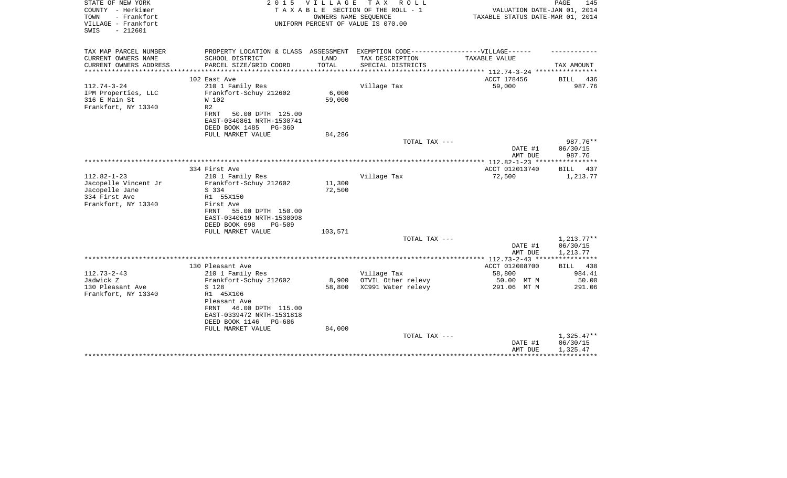| STATE OF NEW YORK<br>COUNTY - Herkimer<br>- Frankfort<br>TOWN<br>VILLAGE - Frankfort<br>$-212601$<br>SWIS | 2 0 1 5                                                                                                                                                              | <b>VILLAGE</b><br>OWNERS NAME SEQUENCE | TAX ROLL<br>TAXABLE SECTION OF THE ROLL - 1<br>UNIFORM PERCENT OF VALUE IS 070.00 | VALUATION DATE-JAN 01, 2014<br>TAXABLE STATUS DATE-MAR 01, 2014 | PAGE<br>145                                         |
|-----------------------------------------------------------------------------------------------------------|----------------------------------------------------------------------------------------------------------------------------------------------------------------------|----------------------------------------|-----------------------------------------------------------------------------------|-----------------------------------------------------------------|-----------------------------------------------------|
| TAX MAP PARCEL NUMBER<br>CURRENT OWNERS NAME                                                              | PROPERTY LOCATION & CLASS ASSESSMENT EXEMPTION CODE-----------------VILLAGE------<br>SCHOOL DISTRICT                                                                 | LAND                                   | TAX DESCRIPTION                                                                   | TAXABLE VALUE                                                   |                                                     |
| CURRENT OWNERS ADDRESS<br>********************                                                            | PARCEL SIZE/GRID COORD                                                                                                                                               | TOTAL                                  | SPECIAL DISTRICTS                                                                 |                                                                 | TAX AMOUNT                                          |
|                                                                                                           | 102 East Ave                                                                                                                                                         |                                        |                                                                                   | ACCT 178456                                                     | <b>BILL</b><br>436                                  |
| $112.74 - 3 - 24$<br>IPM Properties, LLC<br>316 E Main St<br>Frankfort, NY 13340                          | 210 1 Family Res<br>Frankfort-Schuy 212602<br>W 102<br>R <sub>2</sub><br><b>FRNT</b><br>50.00 DPTH 125.00<br>EAST-0340861 NRTH-1530741<br>DEED BOOK 1485<br>$PG-360$ | 6,000<br>59,000                        | Village Tax                                                                       | 59,000                                                          | 987.76                                              |
|                                                                                                           | FULL MARKET VALUE                                                                                                                                                    | 84,286                                 |                                                                                   |                                                                 |                                                     |
|                                                                                                           |                                                                                                                                                                      |                                        | TOTAL TAX ---                                                                     | DATE #1<br>AMT DUE                                              | 987.76**<br>06/30/15<br>987.76<br>***********       |
|                                                                                                           | 334 First Ave                                                                                                                                                        |                                        |                                                                                   | ACCT 012013740                                                  | BILL 437                                            |
| $112.82 - 1 - 23$<br>Jacopelle Vincent Jr<br>Jacopelle Jane<br>334 First Ave<br>Frankfort, NY 13340       | 210 1 Family Res<br>Frankfort-Schuy 212602<br>S 334<br>R1 55X150<br>First Ave<br>FRNT<br>55.00 DPTH 150.00<br>EAST-0340619 NRTH-1530098<br>DEED BOOK 698<br>$PG-509$ | 11,300<br>72,500                       | Village Tax                                                                       | 72,500                                                          | 1,213.77                                            |
|                                                                                                           | FULL MARKET VALUE                                                                                                                                                    | 103,571                                | TOTAL TAX ---                                                                     |                                                                 | $1,213.77**$                                        |
|                                                                                                           |                                                                                                                                                                      |                                        |                                                                                   | DATE #1<br>AMT DUE                                              | 06/30/15<br>1,213.77                                |
|                                                                                                           |                                                                                                                                                                      |                                        |                                                                                   |                                                                 |                                                     |
|                                                                                                           | 130 Pleasant Ave                                                                                                                                                     |                                        |                                                                                   | ACCT 012008700                                                  | BILL 438                                            |
| $112.73 - 2 - 43$<br>Jadwick Z                                                                            | 210 1 Family Res<br>Frankfort-Schuy 212602                                                                                                                           | 8,900                                  | Village Tax<br>OTVIL Other relevy                                                 | 58,800<br>50.00 MT M                                            | 984.41<br>50.00                                     |
| 130 Pleasant Ave<br>Frankfort, NY 13340                                                                   | S 128<br>R1 45X106<br>Pleasant Ave<br>46.00 DPTH 115.00<br>FRNT<br>EAST-0339472 NRTH-1531818<br>DEED BOOK 1146<br>PG-686                                             | 58,800                                 | XC991 Water relevy                                                                | 291.06 MT M                                                     | 291.06                                              |
|                                                                                                           | FULL MARKET VALUE                                                                                                                                                    | 84,000                                 | TOTAL TAX ---                                                                     | DATE #1<br>AMT DUE                                              | $1,325.47**$<br>06/30/15<br>1,325.47<br>*********** |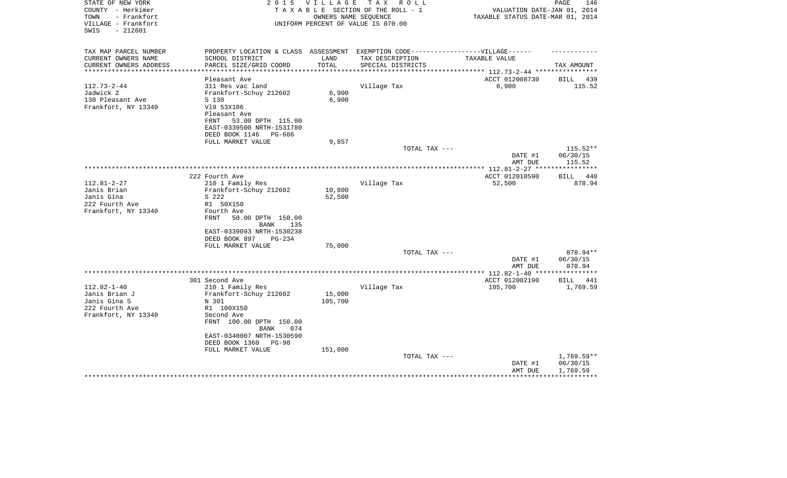| VILLAGE - Frankfort<br>UNIFORM PERCENT OF VALUE IS 070.00<br>SWIS<br>$-212601$                             |                         |
|------------------------------------------------------------------------------------------------------------|-------------------------|
| TAX MAP PARCEL NUMBER<br>PROPERTY LOCATION & CLASS ASSESSMENT EXEMPTION CODE-----------------VILLAGE------ |                         |
| CURRENT OWNERS NAME<br>SCHOOL DISTRICT<br>LAND<br>TAX DESCRIPTION<br>TAXABLE VALUE                         |                         |
| TOTAL<br>CURRENT OWNERS ADDRESS<br>PARCEL SIZE/GRID COORD<br>SPECIAL DISTRICTS                             | TAX AMOUNT              |
| **********************                                                                                     |                         |
| ACCT 012008730<br>Pleasant Ave<br>$112.73 - 2 - 44$                                                        | BILL 439<br>115.52      |
| Village Tax<br>6,900<br>311 Res vac land<br>6,900<br>Jadwick Z<br>Frankfort-Schuy 212602                   |                         |
| 130 Pleasant Ave<br>6,900<br>S 130                                                                         |                         |
| Frankfort, NY 13340<br>V19 53X106                                                                          |                         |
| Pleasant Ave                                                                                               |                         |
| 53.00 DPTH 115.00<br>FRNT                                                                                  |                         |
| EAST-0339500 NRTH-1531780                                                                                  |                         |
| DEED BOOK 1146<br>PG-686                                                                                   |                         |
| FULL MARKET VALUE<br>9,857                                                                                 |                         |
| TOTAL TAX ---                                                                                              | $115.52**$              |
| DATE #1<br>AMT DUE                                                                                         | 06/30/15<br>115.52      |
|                                                                                                            |                         |
| 222 Fourth Ave<br>ACCT 012010590                                                                           | 440<br><b>BILL</b>      |
| $112.81 - 2 - 27$<br>Village Tax<br>210 1 Family Res<br>52,500                                             | 878.94                  |
| Janis Brian<br>Frankfort-Schuy 212602<br>10,800                                                            |                         |
| Janis Gina<br>52,500<br>S 222                                                                              |                         |
| 222 Fourth Ave<br>R1 50X150                                                                                |                         |
| Frankfort, NY 13340<br>Fourth Ave                                                                          |                         |
| FRNT<br>50.00 DPTH 150.00<br>BANK<br>135                                                                   |                         |
| EAST-0339093 NRTH-1530238                                                                                  |                         |
| DEED BOOK 897<br>$PG-234$                                                                                  |                         |
| 75,000<br>FULL MARKET VALUE                                                                                |                         |
| TOTAL TAX ---                                                                                              | 878.94**                |
| DATE #1                                                                                                    | 06/30/15                |
| AMT DUE                                                                                                    | 878.94                  |
| ** 112.82-1-40 **<br>301 Second Ave                                                                        | * * * * * * * * * *     |
| ACCT 012002190<br>105,700<br>$112.82 - 1 - 40$<br>210 1 Family Res<br>Village Tax                          | BILL<br>441<br>1,769.59 |
| Janis Brian J<br>15,000<br>Frankfort-Schuy 212602                                                          |                         |
| Janis Gina S<br>105,700<br>N 301                                                                           |                         |
| 222 Fourth Ave<br>R1 100X150                                                                               |                         |
| Frankfort, NY 13340<br>Second Ave                                                                          |                         |
| FRNT 100.00 DPTH 150.00<br>BANK<br>074                                                                     |                         |
| EAST-0340007 NRTH-1530590                                                                                  |                         |
| DEED BOOK 1360<br>$PG-90$                                                                                  |                         |
| FULL MARKET VALUE<br>151,000                                                                               |                         |
| TOTAL TAX ---                                                                                              | $1,769.59**$            |
| DATE #1                                                                                                    | 06/30/15                |
| AMT DUE                                                                                                    | 1,769.59                |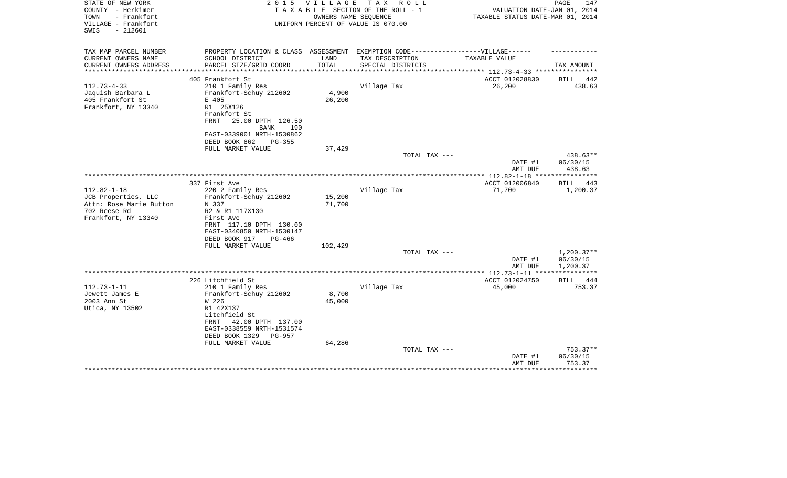| STATE OF NEW YORK<br>COUNTY - Herkimer<br>TOWN<br>- Frankfort<br>VILLAGE - Frankfort<br>$-212601$<br>SWIS | 2 0 1 5                                                                                              | V I L L A G E   | T A X<br>R O L L<br>TAXABLE SECTION OF THE ROLL - 1<br>OWNERS NAME SEOUENCE<br>UNIFORM PERCENT OF VALUE IS 070.00 | VALUATION DATE-JAN 01, 2014<br>TAXABLE STATUS DATE-MAR 01, 2014 | PAGE<br>147        |
|-----------------------------------------------------------------------------------------------------------|------------------------------------------------------------------------------------------------------|-----------------|-------------------------------------------------------------------------------------------------------------------|-----------------------------------------------------------------|--------------------|
| TAX MAP PARCEL NUMBER<br>CURRENT OWNERS NAME                                                              | PROPERTY LOCATION & CLASS ASSESSMENT EXEMPTION CODE-----------------VILLAGE------<br>SCHOOL DISTRICT | LAND            | TAX DESCRIPTION                                                                                                   | TAXABLE VALUE                                                   |                    |
| CURRENT OWNERS ADDRESS<br>**********************                                                          | PARCEL SIZE/GRID COORD                                                                               | TOTAL           | SPECIAL DISTRICTS                                                                                                 |                                                                 | TAX AMOUNT         |
|                                                                                                           | 405 Frankfort St                                                                                     |                 |                                                                                                                   | ACCT 012028830                                                  | BILL<br>442        |
| $112.73 - 4 - 33$                                                                                         | 210 1 Family Res                                                                                     |                 | Village Tax                                                                                                       | 26,200                                                          | 438.63             |
| Jaquish Barbara L                                                                                         | Frankfort-Schuy 212602                                                                               | 4,900           |                                                                                                                   |                                                                 |                    |
| 405 Frankfort St                                                                                          | E 405                                                                                                | 26,200          |                                                                                                                   |                                                                 |                    |
| Frankfort, NY 13340                                                                                       | R1 25X126<br>Frankfort St<br>FRNT<br>25.00 DPTH 126.50<br><b>BANK</b><br>190                         |                 |                                                                                                                   |                                                                 |                    |
|                                                                                                           | EAST-0339001 NRTH-1530862                                                                            |                 |                                                                                                                   |                                                                 |                    |
|                                                                                                           | DEED BOOK 862<br>$PG-355$                                                                            |                 |                                                                                                                   |                                                                 |                    |
|                                                                                                           | FULL MARKET VALUE                                                                                    | 37,429          |                                                                                                                   |                                                                 | $438.63**$         |
|                                                                                                           |                                                                                                      |                 | TOTAL TAX ---                                                                                                     | DATE #1<br>AMT DUE                                              | 06/30/15<br>438.63 |
|                                                                                                           |                                                                                                      |                 |                                                                                                                   |                                                                 |                    |
| $112.82 - 1 - 18$                                                                                         | 337 First Ave                                                                                        |                 | Village Tax                                                                                                       | ACCT 012006840                                                  | <b>BILL</b><br>443 |
| JCB Properties, LLC                                                                                       | 220 2 Family Res<br>Frankfort-Schuy 212602                                                           | 15,200          |                                                                                                                   | 71,700                                                          | 1,200.37           |
| Attn: Rose Marie Button                                                                                   | N 337                                                                                                | 71,700          |                                                                                                                   |                                                                 |                    |
| 702 Reese Rd                                                                                              | R2 & R1 117X130                                                                                      |                 |                                                                                                                   |                                                                 |                    |
| Frankfort, NY 13340                                                                                       | First Ave                                                                                            |                 |                                                                                                                   |                                                                 |                    |
|                                                                                                           | FRNT 117.10 DPTH 130.00                                                                              |                 |                                                                                                                   |                                                                 |                    |
|                                                                                                           | EAST-0340850 NRTH-1530147                                                                            |                 |                                                                                                                   |                                                                 |                    |
|                                                                                                           | DEED BOOK 917<br>$PG-466$<br>FULL MARKET VALUE                                                       | 102,429         |                                                                                                                   |                                                                 |                    |
|                                                                                                           |                                                                                                      |                 | TOTAL TAX ---                                                                                                     |                                                                 | $1,200.37**$       |
|                                                                                                           |                                                                                                      |                 |                                                                                                                   | DATE #1                                                         | 06/30/15           |
|                                                                                                           |                                                                                                      |                 |                                                                                                                   | AMT DUE                                                         | 1,200.37           |
|                                                                                                           |                                                                                                      |                 |                                                                                                                   |                                                                 |                    |
|                                                                                                           | 226 Litchfield St                                                                                    |                 |                                                                                                                   | ACCT 012024750                                                  | BILL<br>444        |
| $112.73 - 1 - 11$<br>Jewett James E                                                                       | 210 1 Family Res                                                                                     |                 | Village Tax                                                                                                       | 45,000                                                          | 753.37             |
| 2003 Ann St                                                                                               | Frankfort-Schuy 212602<br>W 226                                                                      | 8,700<br>45,000 |                                                                                                                   |                                                                 |                    |
| Utica, NY 13502                                                                                           | R1 42X137                                                                                            |                 |                                                                                                                   |                                                                 |                    |
|                                                                                                           | Litchfield St                                                                                        |                 |                                                                                                                   |                                                                 |                    |
|                                                                                                           | FRNT<br>42.00 DPTH 137.00                                                                            |                 |                                                                                                                   |                                                                 |                    |
|                                                                                                           | EAST-0338559 NRTH-1531574                                                                            |                 |                                                                                                                   |                                                                 |                    |
|                                                                                                           | DEED BOOK 1329<br>PG-957                                                                             |                 |                                                                                                                   |                                                                 |                    |
|                                                                                                           | FULL MARKET VALUE                                                                                    | 64,286          | TOTAL TAX ---                                                                                                     |                                                                 | $753.37**$         |
|                                                                                                           |                                                                                                      |                 |                                                                                                                   | DATE #1                                                         | 06/30/15           |
|                                                                                                           |                                                                                                      |                 |                                                                                                                   | AMT DUE                                                         | 753.37             |
|                                                                                                           |                                                                                                      |                 |                                                                                                                   |                                                                 |                    |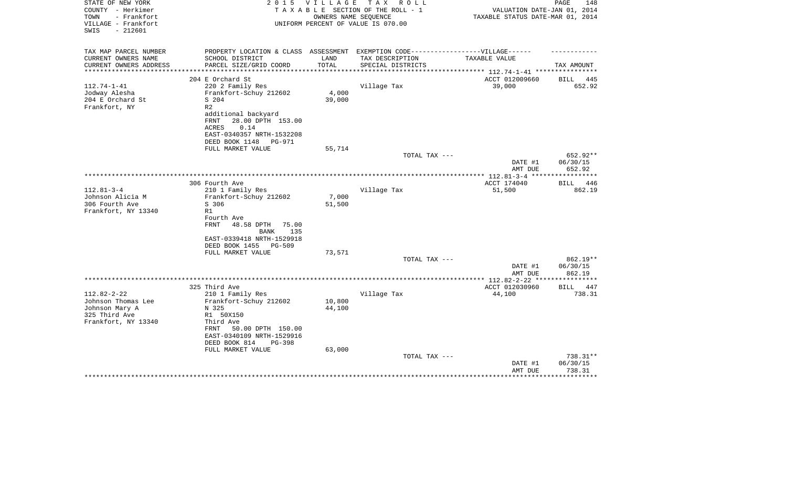| PROPERTY LOCATION & CLASS ASSESSMENT EXEMPTION CODE-----------------VILLAGE------<br>CURRENT OWNERS NAME<br>SCHOOL DISTRICT<br>LAND<br>TAX DESCRIPTION<br>TAXABLE VALUE<br>TOTAL<br>CURRENT OWNERS ADDRESS<br>PARCEL SIZE/GRID COORD<br>SPECIAL DISTRICTS<br>TAX AMOUNT<br>**********************<br>ACCT 012009660<br>204 E Orchard St<br>BILL<br>445<br>220 2 Family Res<br>Village Tax<br>39,000<br>652.92<br>Frankfort-Schuy 212602<br>4,000<br>204 E Orchard St<br>S 204<br>39,000<br>Frankfort, NY<br>R <sub>2</sub><br>additional backyard<br>28.00 DPTH 153.00<br>FRNT<br>ACRES<br>0.14<br>EAST-0340357 NRTH-1532208<br>DEED BOOK 1148<br>PG-971<br>FULL MARKET VALUE<br>55,714<br>TOTAL TAX ---<br>652.92**<br>DATE #1<br>06/30/15<br>652.92<br>AMT DUE<br>*************** 112.81-3-4 *****<br>ACCT 174040<br>306 Fourth Ave<br>446<br>BILL<br>$112.81 - 3 - 4$<br>210 1 Family Res<br>Village Tax<br>51,500<br>862.19<br>Johnson Alicia M<br>Frankfort-Schuy 212602<br>7,000<br>S 306<br>51,500<br>R1<br>Fourth Ave<br>FRNT<br>48.58 DPTH<br>75.00<br>135<br>BANK<br>EAST-0339418 NRTH-1529918<br>DEED BOOK 1455<br>PG-509<br>73,571<br>FULL MARKET VALUE<br>TOTAL TAX ---<br>862.19**<br>DATE #1<br>06/30/15<br>862.19<br>AMT DUE<br>***********<br>325 Third Ave<br>ACCT 012030960<br><b>BILL</b><br>447<br>$112.82 - 2 - 22$<br>Village Tax<br>210 1 Family Res<br>44,100<br>738.31<br>10,800<br>Johnson Thomas Lee<br>Frankfort-Schuy 212602<br>44,100<br>Johnson Mary A<br>N 325<br>325 Third Ave<br>R1 50X150<br>Frankfort, NY 13340<br>Third Ave<br>50.00 DPTH 150.00<br>FRNT<br>EAST-0340109 NRTH-1529916<br>DEED BOOK 814<br>$PG-398$<br>63,000<br>FULL MARKET VALUE<br>738.31**<br>TOTAL TAX ---<br>06/30/15<br>DATE #1<br>738.31<br>AMT DUE<br>*********** | STATE OF NEW YORK<br>COUNTY - Herkimer<br>TOWN<br>- Frankfort<br>VILLAGE - Frankfort<br>SWIS<br>$-212601$ | 2 0 1 5 | V I L L A G E | T A X<br>R O L L<br>TAXABLE SECTION OF THE ROLL - 1<br>OWNERS NAME SEOUENCE<br>UNIFORM PERCENT OF VALUE IS 070.00 | VALUATION DATE-JAN 01, 2014<br>TAXABLE STATUS DATE-MAR 01, 2014 | PAGE<br>148 |
|---------------------------------------------------------------------------------------------------------------------------------------------------------------------------------------------------------------------------------------------------------------------------------------------------------------------------------------------------------------------------------------------------------------------------------------------------------------------------------------------------------------------------------------------------------------------------------------------------------------------------------------------------------------------------------------------------------------------------------------------------------------------------------------------------------------------------------------------------------------------------------------------------------------------------------------------------------------------------------------------------------------------------------------------------------------------------------------------------------------------------------------------------------------------------------------------------------------------------------------------------------------------------------------------------------------------------------------------------------------------------------------------------------------------------------------------------------------------------------------------------------------------------------------------------------------------------------------------------------------------------------------------------------------------------------------------------------------------------------------------------------------------------------|-----------------------------------------------------------------------------------------------------------|---------|---------------|-------------------------------------------------------------------------------------------------------------------|-----------------------------------------------------------------|-------------|
|                                                                                                                                                                                                                                                                                                                                                                                                                                                                                                                                                                                                                                                                                                                                                                                                                                                                                                                                                                                                                                                                                                                                                                                                                                                                                                                                                                                                                                                                                                                                                                                                                                                                                                                                                                                 | TAX MAP PARCEL NUMBER                                                                                     |         |               |                                                                                                                   |                                                                 |             |
|                                                                                                                                                                                                                                                                                                                                                                                                                                                                                                                                                                                                                                                                                                                                                                                                                                                                                                                                                                                                                                                                                                                                                                                                                                                                                                                                                                                                                                                                                                                                                                                                                                                                                                                                                                                 |                                                                                                           |         |               |                                                                                                                   |                                                                 |             |
|                                                                                                                                                                                                                                                                                                                                                                                                                                                                                                                                                                                                                                                                                                                                                                                                                                                                                                                                                                                                                                                                                                                                                                                                                                                                                                                                                                                                                                                                                                                                                                                                                                                                                                                                                                                 |                                                                                                           |         |               |                                                                                                                   |                                                                 |             |
|                                                                                                                                                                                                                                                                                                                                                                                                                                                                                                                                                                                                                                                                                                                                                                                                                                                                                                                                                                                                                                                                                                                                                                                                                                                                                                                                                                                                                                                                                                                                                                                                                                                                                                                                                                                 |                                                                                                           |         |               |                                                                                                                   |                                                                 |             |
|                                                                                                                                                                                                                                                                                                                                                                                                                                                                                                                                                                                                                                                                                                                                                                                                                                                                                                                                                                                                                                                                                                                                                                                                                                                                                                                                                                                                                                                                                                                                                                                                                                                                                                                                                                                 | $112.74 - 1 - 41$                                                                                         |         |               |                                                                                                                   |                                                                 |             |
|                                                                                                                                                                                                                                                                                                                                                                                                                                                                                                                                                                                                                                                                                                                                                                                                                                                                                                                                                                                                                                                                                                                                                                                                                                                                                                                                                                                                                                                                                                                                                                                                                                                                                                                                                                                 | Jodway Alesha                                                                                             |         |               |                                                                                                                   |                                                                 |             |
|                                                                                                                                                                                                                                                                                                                                                                                                                                                                                                                                                                                                                                                                                                                                                                                                                                                                                                                                                                                                                                                                                                                                                                                                                                                                                                                                                                                                                                                                                                                                                                                                                                                                                                                                                                                 |                                                                                                           |         |               |                                                                                                                   |                                                                 |             |
|                                                                                                                                                                                                                                                                                                                                                                                                                                                                                                                                                                                                                                                                                                                                                                                                                                                                                                                                                                                                                                                                                                                                                                                                                                                                                                                                                                                                                                                                                                                                                                                                                                                                                                                                                                                 |                                                                                                           |         |               |                                                                                                                   |                                                                 |             |
|                                                                                                                                                                                                                                                                                                                                                                                                                                                                                                                                                                                                                                                                                                                                                                                                                                                                                                                                                                                                                                                                                                                                                                                                                                                                                                                                                                                                                                                                                                                                                                                                                                                                                                                                                                                 |                                                                                                           |         |               |                                                                                                                   |                                                                 |             |
|                                                                                                                                                                                                                                                                                                                                                                                                                                                                                                                                                                                                                                                                                                                                                                                                                                                                                                                                                                                                                                                                                                                                                                                                                                                                                                                                                                                                                                                                                                                                                                                                                                                                                                                                                                                 |                                                                                                           |         |               |                                                                                                                   |                                                                 |             |
|                                                                                                                                                                                                                                                                                                                                                                                                                                                                                                                                                                                                                                                                                                                                                                                                                                                                                                                                                                                                                                                                                                                                                                                                                                                                                                                                                                                                                                                                                                                                                                                                                                                                                                                                                                                 |                                                                                                           |         |               |                                                                                                                   |                                                                 |             |
|                                                                                                                                                                                                                                                                                                                                                                                                                                                                                                                                                                                                                                                                                                                                                                                                                                                                                                                                                                                                                                                                                                                                                                                                                                                                                                                                                                                                                                                                                                                                                                                                                                                                                                                                                                                 |                                                                                                           |         |               |                                                                                                                   |                                                                 |             |
|                                                                                                                                                                                                                                                                                                                                                                                                                                                                                                                                                                                                                                                                                                                                                                                                                                                                                                                                                                                                                                                                                                                                                                                                                                                                                                                                                                                                                                                                                                                                                                                                                                                                                                                                                                                 |                                                                                                           |         |               |                                                                                                                   |                                                                 |             |
|                                                                                                                                                                                                                                                                                                                                                                                                                                                                                                                                                                                                                                                                                                                                                                                                                                                                                                                                                                                                                                                                                                                                                                                                                                                                                                                                                                                                                                                                                                                                                                                                                                                                                                                                                                                 |                                                                                                           |         |               |                                                                                                                   |                                                                 |             |
|                                                                                                                                                                                                                                                                                                                                                                                                                                                                                                                                                                                                                                                                                                                                                                                                                                                                                                                                                                                                                                                                                                                                                                                                                                                                                                                                                                                                                                                                                                                                                                                                                                                                                                                                                                                 |                                                                                                           |         |               |                                                                                                                   |                                                                 |             |
|                                                                                                                                                                                                                                                                                                                                                                                                                                                                                                                                                                                                                                                                                                                                                                                                                                                                                                                                                                                                                                                                                                                                                                                                                                                                                                                                                                                                                                                                                                                                                                                                                                                                                                                                                                                 |                                                                                                           |         |               |                                                                                                                   |                                                                 |             |
|                                                                                                                                                                                                                                                                                                                                                                                                                                                                                                                                                                                                                                                                                                                                                                                                                                                                                                                                                                                                                                                                                                                                                                                                                                                                                                                                                                                                                                                                                                                                                                                                                                                                                                                                                                                 |                                                                                                           |         |               |                                                                                                                   |                                                                 |             |
|                                                                                                                                                                                                                                                                                                                                                                                                                                                                                                                                                                                                                                                                                                                                                                                                                                                                                                                                                                                                                                                                                                                                                                                                                                                                                                                                                                                                                                                                                                                                                                                                                                                                                                                                                                                 |                                                                                                           |         |               |                                                                                                                   |                                                                 |             |
|                                                                                                                                                                                                                                                                                                                                                                                                                                                                                                                                                                                                                                                                                                                                                                                                                                                                                                                                                                                                                                                                                                                                                                                                                                                                                                                                                                                                                                                                                                                                                                                                                                                                                                                                                                                 |                                                                                                           |         |               |                                                                                                                   |                                                                 |             |
|                                                                                                                                                                                                                                                                                                                                                                                                                                                                                                                                                                                                                                                                                                                                                                                                                                                                                                                                                                                                                                                                                                                                                                                                                                                                                                                                                                                                                                                                                                                                                                                                                                                                                                                                                                                 | 306 Fourth Ave                                                                                            |         |               |                                                                                                                   |                                                                 |             |
|                                                                                                                                                                                                                                                                                                                                                                                                                                                                                                                                                                                                                                                                                                                                                                                                                                                                                                                                                                                                                                                                                                                                                                                                                                                                                                                                                                                                                                                                                                                                                                                                                                                                                                                                                                                 | Frankfort, NY 13340                                                                                       |         |               |                                                                                                                   |                                                                 |             |
|                                                                                                                                                                                                                                                                                                                                                                                                                                                                                                                                                                                                                                                                                                                                                                                                                                                                                                                                                                                                                                                                                                                                                                                                                                                                                                                                                                                                                                                                                                                                                                                                                                                                                                                                                                                 |                                                                                                           |         |               |                                                                                                                   |                                                                 |             |
|                                                                                                                                                                                                                                                                                                                                                                                                                                                                                                                                                                                                                                                                                                                                                                                                                                                                                                                                                                                                                                                                                                                                                                                                                                                                                                                                                                                                                                                                                                                                                                                                                                                                                                                                                                                 |                                                                                                           |         |               |                                                                                                                   |                                                                 |             |
|                                                                                                                                                                                                                                                                                                                                                                                                                                                                                                                                                                                                                                                                                                                                                                                                                                                                                                                                                                                                                                                                                                                                                                                                                                                                                                                                                                                                                                                                                                                                                                                                                                                                                                                                                                                 |                                                                                                           |         |               |                                                                                                                   |                                                                 |             |
|                                                                                                                                                                                                                                                                                                                                                                                                                                                                                                                                                                                                                                                                                                                                                                                                                                                                                                                                                                                                                                                                                                                                                                                                                                                                                                                                                                                                                                                                                                                                                                                                                                                                                                                                                                                 |                                                                                                           |         |               |                                                                                                                   |                                                                 |             |
|                                                                                                                                                                                                                                                                                                                                                                                                                                                                                                                                                                                                                                                                                                                                                                                                                                                                                                                                                                                                                                                                                                                                                                                                                                                                                                                                                                                                                                                                                                                                                                                                                                                                                                                                                                                 |                                                                                                           |         |               |                                                                                                                   |                                                                 |             |
|                                                                                                                                                                                                                                                                                                                                                                                                                                                                                                                                                                                                                                                                                                                                                                                                                                                                                                                                                                                                                                                                                                                                                                                                                                                                                                                                                                                                                                                                                                                                                                                                                                                                                                                                                                                 |                                                                                                           |         |               |                                                                                                                   |                                                                 |             |
|                                                                                                                                                                                                                                                                                                                                                                                                                                                                                                                                                                                                                                                                                                                                                                                                                                                                                                                                                                                                                                                                                                                                                                                                                                                                                                                                                                                                                                                                                                                                                                                                                                                                                                                                                                                 |                                                                                                           |         |               |                                                                                                                   |                                                                 |             |
|                                                                                                                                                                                                                                                                                                                                                                                                                                                                                                                                                                                                                                                                                                                                                                                                                                                                                                                                                                                                                                                                                                                                                                                                                                                                                                                                                                                                                                                                                                                                                                                                                                                                                                                                                                                 |                                                                                                           |         |               |                                                                                                                   |                                                                 |             |
|                                                                                                                                                                                                                                                                                                                                                                                                                                                                                                                                                                                                                                                                                                                                                                                                                                                                                                                                                                                                                                                                                                                                                                                                                                                                                                                                                                                                                                                                                                                                                                                                                                                                                                                                                                                 |                                                                                                           |         |               |                                                                                                                   |                                                                 |             |
|                                                                                                                                                                                                                                                                                                                                                                                                                                                                                                                                                                                                                                                                                                                                                                                                                                                                                                                                                                                                                                                                                                                                                                                                                                                                                                                                                                                                                                                                                                                                                                                                                                                                                                                                                                                 |                                                                                                           |         |               |                                                                                                                   |                                                                 |             |
|                                                                                                                                                                                                                                                                                                                                                                                                                                                                                                                                                                                                                                                                                                                                                                                                                                                                                                                                                                                                                                                                                                                                                                                                                                                                                                                                                                                                                                                                                                                                                                                                                                                                                                                                                                                 |                                                                                                           |         |               |                                                                                                                   |                                                                 |             |
|                                                                                                                                                                                                                                                                                                                                                                                                                                                                                                                                                                                                                                                                                                                                                                                                                                                                                                                                                                                                                                                                                                                                                                                                                                                                                                                                                                                                                                                                                                                                                                                                                                                                                                                                                                                 |                                                                                                           |         |               |                                                                                                                   |                                                                 |             |
|                                                                                                                                                                                                                                                                                                                                                                                                                                                                                                                                                                                                                                                                                                                                                                                                                                                                                                                                                                                                                                                                                                                                                                                                                                                                                                                                                                                                                                                                                                                                                                                                                                                                                                                                                                                 |                                                                                                           |         |               |                                                                                                                   |                                                                 |             |
|                                                                                                                                                                                                                                                                                                                                                                                                                                                                                                                                                                                                                                                                                                                                                                                                                                                                                                                                                                                                                                                                                                                                                                                                                                                                                                                                                                                                                                                                                                                                                                                                                                                                                                                                                                                 |                                                                                                           |         |               |                                                                                                                   |                                                                 |             |
|                                                                                                                                                                                                                                                                                                                                                                                                                                                                                                                                                                                                                                                                                                                                                                                                                                                                                                                                                                                                                                                                                                                                                                                                                                                                                                                                                                                                                                                                                                                                                                                                                                                                                                                                                                                 |                                                                                                           |         |               |                                                                                                                   |                                                                 |             |
|                                                                                                                                                                                                                                                                                                                                                                                                                                                                                                                                                                                                                                                                                                                                                                                                                                                                                                                                                                                                                                                                                                                                                                                                                                                                                                                                                                                                                                                                                                                                                                                                                                                                                                                                                                                 |                                                                                                           |         |               |                                                                                                                   |                                                                 |             |
|                                                                                                                                                                                                                                                                                                                                                                                                                                                                                                                                                                                                                                                                                                                                                                                                                                                                                                                                                                                                                                                                                                                                                                                                                                                                                                                                                                                                                                                                                                                                                                                                                                                                                                                                                                                 |                                                                                                           |         |               |                                                                                                                   |                                                                 |             |
|                                                                                                                                                                                                                                                                                                                                                                                                                                                                                                                                                                                                                                                                                                                                                                                                                                                                                                                                                                                                                                                                                                                                                                                                                                                                                                                                                                                                                                                                                                                                                                                                                                                                                                                                                                                 |                                                                                                           |         |               |                                                                                                                   |                                                                 |             |
|                                                                                                                                                                                                                                                                                                                                                                                                                                                                                                                                                                                                                                                                                                                                                                                                                                                                                                                                                                                                                                                                                                                                                                                                                                                                                                                                                                                                                                                                                                                                                                                                                                                                                                                                                                                 |                                                                                                           |         |               |                                                                                                                   |                                                                 |             |
|                                                                                                                                                                                                                                                                                                                                                                                                                                                                                                                                                                                                                                                                                                                                                                                                                                                                                                                                                                                                                                                                                                                                                                                                                                                                                                                                                                                                                                                                                                                                                                                                                                                                                                                                                                                 |                                                                                                           |         |               |                                                                                                                   |                                                                 |             |
|                                                                                                                                                                                                                                                                                                                                                                                                                                                                                                                                                                                                                                                                                                                                                                                                                                                                                                                                                                                                                                                                                                                                                                                                                                                                                                                                                                                                                                                                                                                                                                                                                                                                                                                                                                                 |                                                                                                           |         |               |                                                                                                                   |                                                                 |             |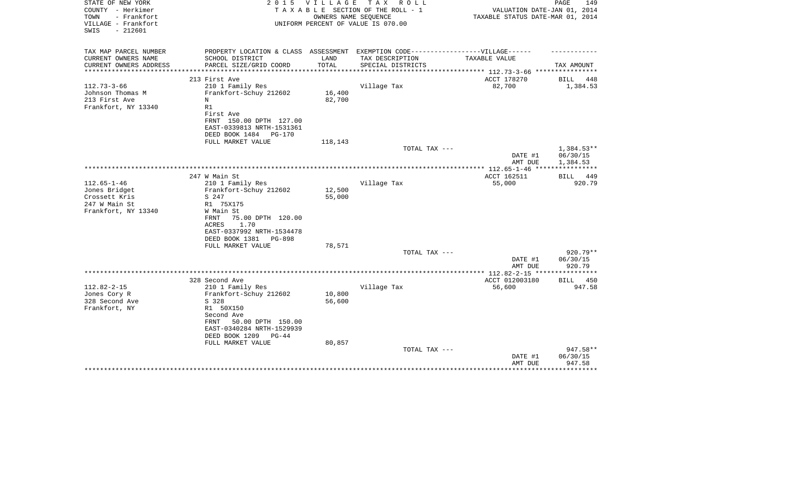| STATE OF NEW YORK                          | 2 0 1 5                                                                           | V I L L A G E | тах<br>R O L L                     |                                       | PAGE<br>149              |
|--------------------------------------------|-----------------------------------------------------------------------------------|---------------|------------------------------------|---------------------------------------|--------------------------|
| COUNTY - Herkimer                          |                                                                                   |               | TAXABLE SECTION OF THE ROLL - 1    | VALUATION DATE-JAN 01, 2014           |                          |
| TOWN<br>- Frankfort<br>VILLAGE - Frankfort |                                                                                   |               | OWNERS NAME SEOUENCE               | TAXABLE STATUS DATE-MAR 01, 2014      |                          |
| $-212601$<br>SWIS                          |                                                                                   |               | UNIFORM PERCENT OF VALUE IS 070.00 |                                       |                          |
|                                            |                                                                                   |               |                                    |                                       |                          |
| TAX MAP PARCEL NUMBER                      | PROPERTY LOCATION & CLASS ASSESSMENT EXEMPTION CODE-----------------VILLAGE------ |               |                                    |                                       |                          |
| CURRENT OWNERS NAME                        | SCHOOL DISTRICT                                                                   | LAND          | TAX DESCRIPTION                    | TAXABLE VALUE                         |                          |
| CURRENT OWNERS ADDRESS                     | PARCEL SIZE/GRID COORD                                                            | TOTAL         | SPECIAL DISTRICTS                  |                                       | TAX AMOUNT               |
| *********************                      |                                                                                   |               |                                    |                                       |                          |
|                                            | 213 First Ave                                                                     |               |                                    | ACCT 178270                           | BILL<br>448              |
| $112.73 - 3 - 66$                          | 210 1 Family Res                                                                  |               | Village Tax                        | 82,700                                | 1,384.53                 |
| Johnson Thomas M                           | Frankfort-Schuy 212602                                                            | 16,400        |                                    |                                       |                          |
| 213 First Ave                              | Ν                                                                                 | 82,700        |                                    |                                       |                          |
| Frankfort, NY 13340                        | R1                                                                                |               |                                    |                                       |                          |
|                                            | First Ave                                                                         |               |                                    |                                       |                          |
|                                            | FRNT 150.00 DPTH 127.00                                                           |               |                                    |                                       |                          |
|                                            | EAST-0339813 NRTH-1531361                                                         |               |                                    |                                       |                          |
|                                            | DEED BOOK 1484<br>PG-170                                                          |               |                                    |                                       |                          |
|                                            | FULL MARKET VALUE                                                                 | 118,143       |                                    |                                       |                          |
|                                            |                                                                                   |               | TOTAL TAX ---                      |                                       | $1,384.53**$             |
|                                            |                                                                                   |               |                                    | DATE #1                               | 06/30/15                 |
|                                            |                                                                                   |               |                                    | AMT DUE                               | 1,384.53<br>************ |
|                                            | 247 W Main St                                                                     |               |                                    | ACCT 162511                           | 449<br>BILL              |
| $112.65 - 1 - 46$                          | 210 1 Family Res                                                                  |               | Village Tax                        | 55,000                                | 920.79                   |
| Jones Bridget                              | Frankfort-Schuy 212602                                                            | 12,500        |                                    |                                       |                          |
| Crossett Kris                              | S 247                                                                             | 55,000        |                                    |                                       |                          |
| 247 W Main St                              | R1 75X175                                                                         |               |                                    |                                       |                          |
| Frankfort, NY 13340                        | W Main St                                                                         |               |                                    |                                       |                          |
|                                            | 75.00 DPTH 120.00<br>FRNT                                                         |               |                                    |                                       |                          |
|                                            | 1.70<br>ACRES                                                                     |               |                                    |                                       |                          |
|                                            | EAST-0337992 NRTH-1534478                                                         |               |                                    |                                       |                          |
|                                            | DEED BOOK 1381<br>PG-898                                                          |               |                                    |                                       |                          |
|                                            | FULL MARKET VALUE                                                                 | 78,571        |                                    |                                       |                          |
|                                            |                                                                                   |               | TOTAL TAX ---                      |                                       | $920.79**$               |
|                                            |                                                                                   |               |                                    | DATE #1                               | 06/30/15                 |
|                                            |                                                                                   |               |                                    | AMT DUE<br>*********** 112.82-2-15 ** | 920.79<br>************   |
|                                            | 328 Second Ave                                                                    |               |                                    | ACCT 012003180                        | BILL<br>450              |
| $112.82 - 2 - 15$                          | 210 1 Family Res                                                                  |               | Village Tax                        | 56,600                                | 947.58                   |
| Jones Cory R                               | Frankfort-Schuy 212602                                                            | 10,800        |                                    |                                       |                          |
| 328 Second Ave                             | S 328                                                                             | 56,600        |                                    |                                       |                          |
| Frankfort, NY                              | R1 50X150                                                                         |               |                                    |                                       |                          |
|                                            | Second Ave                                                                        |               |                                    |                                       |                          |
|                                            | FRNT<br>50.00 DPTH 150.00                                                         |               |                                    |                                       |                          |
|                                            | EAST-0340284 NRTH-1529939                                                         |               |                                    |                                       |                          |
|                                            | DEED BOOK 1209<br>$PG-44$                                                         |               |                                    |                                       |                          |
|                                            | FULL MARKET VALUE                                                                 | 80,857        |                                    |                                       |                          |
|                                            |                                                                                   |               | TOTAL TAX ---                      |                                       | 947.58**                 |
|                                            |                                                                                   |               |                                    | DATE #1                               | 06/30/15                 |
|                                            |                                                                                   |               |                                    |                                       |                          |
|                                            |                                                                                   |               |                                    | AMT DUE                               | 947.58                   |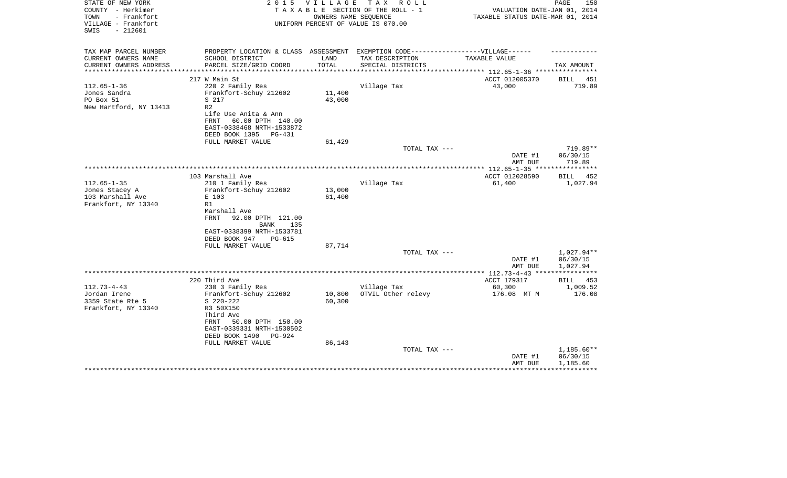| STATE OF NEW YORK<br>COUNTY - Herkimer<br>- Frankfort<br>TOWN<br>VILLAGE - Frankfort<br>$-212601$<br>SWIS | 2 0 1 5                                                                                                                      | V I L L A G E<br>OWNERS NAME SEQUENCE | TAX ROLL<br>TAXABLE SECTION OF THE ROLL - 1<br>UNIFORM PERCENT OF VALUE IS 070.00 | VALUATION DATE-JAN 01, 2014<br>TAXABLE STATUS DATE-MAR 01, 2014 | 150<br>PAGE                        |
|-----------------------------------------------------------------------------------------------------------|------------------------------------------------------------------------------------------------------------------------------|---------------------------------------|-----------------------------------------------------------------------------------|-----------------------------------------------------------------|------------------------------------|
| TAX MAP PARCEL NUMBER<br>CURRENT OWNERS NAME                                                              | PROPERTY LOCATION & CLASS ASSESSMENT EXEMPTION CODE----------------VILLAGE------<br>SCHOOL DISTRICT                          | LAND                                  | TAX DESCRIPTION                                                                   | TAXABLE VALUE                                                   |                                    |
| CURRENT OWNERS ADDRESS<br>*********************                                                           | PARCEL SIZE/GRID COORD                                                                                                       | TOTAL<br>*************                | SPECIAL DISTRICTS                                                                 |                                                                 | TAX AMOUNT                         |
|                                                                                                           | 217 W Main St                                                                                                                |                                       |                                                                                   | ACCT 012005370                                                  | <b>BILL</b><br>451                 |
| $112.65 - 1 - 36$<br>Jones Sandra<br>PO Box 51<br>New Hartford, NY 13413                                  | 220 2 Family Res<br>Frankfort-Schuy 212602<br>S 217<br>R <sub>2</sub><br>Life Use Anita & Ann<br>FRNT                        | 11,400<br>43,000                      | Village Tax                                                                       | 43,000                                                          | 719.89                             |
|                                                                                                           | 60.00 DPTH 140.00<br>EAST-0338468 NRTH-1533872<br>DEED BOOK 1395<br>PG-431                                                   |                                       |                                                                                   |                                                                 |                                    |
|                                                                                                           | FULL MARKET VALUE                                                                                                            | 61,429                                | TOTAL TAX ---                                                                     | DATE #1<br>AMT DUE                                              | 719.89**<br>06/30/15<br>719.89     |
|                                                                                                           |                                                                                                                              |                                       |                                                                                   |                                                                 | * * * * * * * * * * *              |
|                                                                                                           | 103 Marshall Ave                                                                                                             |                                       |                                                                                   | ACCT 012028590                                                  | 452<br>BILL                        |
| $112.65 - 1 - 35$<br>Jones Stacey A<br>103 Marshall Ave<br>Frankfort, NY 13340                            | 210 1 Family Res<br>Frankfort-Schuy 212602<br>E 103<br>R1<br>Marshall Ave<br><b>FRNT</b><br>92.00 DPTH 121.00<br>BANK<br>135 | 13,000<br>61,400                      | Village Tax                                                                       | 61,400                                                          | 1,027.94                           |
|                                                                                                           | EAST-0338399 NRTH-1533781<br>DEED BOOK 947<br>$PG-615$<br>FULL MARKET VALUE                                                  | 87,714                                |                                                                                   |                                                                 |                                    |
|                                                                                                           |                                                                                                                              |                                       | TOTAL TAX ---                                                                     | DATE #1<br>AMT DUE                                              | 1,027.94**<br>06/30/15<br>1,027.94 |
|                                                                                                           |                                                                                                                              |                                       |                                                                                   |                                                                 |                                    |
|                                                                                                           | 220 Third Ave                                                                                                                |                                       |                                                                                   | ACCT 179317                                                     | BILL<br>453                        |
| $112.73 - 4 - 43$<br>Jordan Irene<br>3359 State Rte 5<br>Frankfort, NY 13340                              | 230 3 Family Res<br>Frankfort-Schuy 212602<br>$S$ 220-222<br>R3 50X150<br>Third Ave                                          | 10,800<br>60,300                      | Village Tax<br>OTVIL Other relevy                                                 | 60,300<br>176.08 MT M                                           | 1,009.52<br>176.08                 |
|                                                                                                           | 50.00 DPTH 150.00<br>FRNT<br>EAST-0339331 NRTH-1530502<br>DEED BOOK 1490<br><b>PG-924</b><br>FULL MARKET VALUE               | 86,143                                |                                                                                   |                                                                 |                                    |
|                                                                                                           |                                                                                                                              |                                       | TOTAL TAX ---                                                                     | DATE #1<br>AMT DUE                                              | 1,185.60**<br>06/30/15<br>1,185.60 |
|                                                                                                           |                                                                                                                              |                                       |                                                                                   |                                                                 |                                    |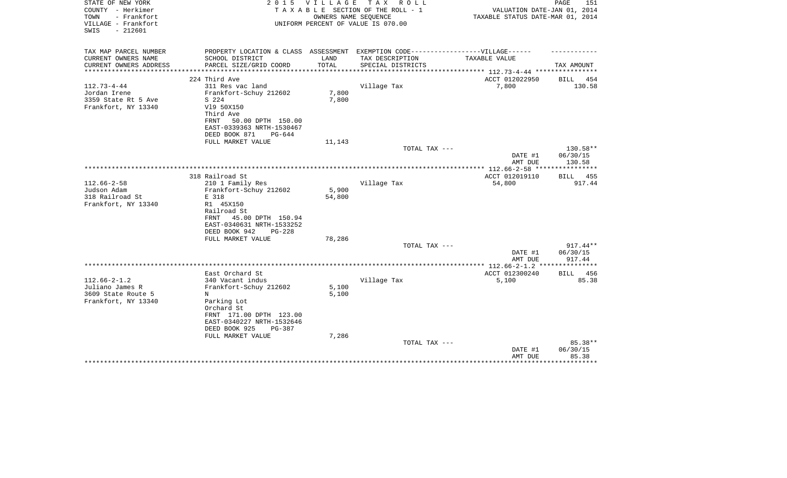| STATE OF NEW YORK<br>COUNTY - Herkimer                          | 2 0 1 5                                                                           | VILLAGE      | TAX ROLL<br>TAXABLE SECTION OF THE ROLL - 1                | VALUATION DATE-JAN 01, 2014                     | PAGE<br>151        |
|-----------------------------------------------------------------|-----------------------------------------------------------------------------------|--------------|------------------------------------------------------------|-------------------------------------------------|--------------------|
| TOWN<br>- Frankfort<br>VILLAGE - Frankfort<br>$-212601$<br>SWIS |                                                                                   |              | OWNERS NAME SEQUENCE<br>UNIFORM PERCENT OF VALUE IS 070.00 | TAXABLE STATUS DATE-MAR 01, 2014                |                    |
| TAX MAP PARCEL NUMBER                                           | PROPERTY LOCATION & CLASS ASSESSMENT EXEMPTION CODE-----------------VILLAGE------ |              |                                                            |                                                 |                    |
| CURRENT OWNERS NAME                                             | SCHOOL DISTRICT                                                                   | LAND         | TAX DESCRIPTION                                            | TAXABLE VALUE                                   |                    |
| CURRENT OWNERS ADDRESS                                          | PARCEL SIZE/GRID COORD                                                            | TOTAL        | SPECIAL DISTRICTS                                          |                                                 | TAX AMOUNT         |
| ********************                                            | **************************                                                        | ************ |                                                            | ***************** 112.73-4-44 ***************** |                    |
|                                                                 | 224 Third Ave                                                                     |              |                                                            | ACCT 012022950                                  | BILL<br>454        |
| $112.73 - 4 - 44$                                               | 311 Res vac land                                                                  |              | Village Tax                                                | 7,800                                           | 130.58             |
| Jordan Irene                                                    | Frankfort-Schuy 212602                                                            | 7,800        |                                                            |                                                 |                    |
| 3359 State Rt 5 Ave                                             | S 224                                                                             | 7,800        |                                                            |                                                 |                    |
| Frankfort, NY 13340                                             | V19 50X150                                                                        |              |                                                            |                                                 |                    |
|                                                                 | Third Ave                                                                         |              |                                                            |                                                 |                    |
|                                                                 | 50.00 DPTH 150.00<br>FRNT                                                         |              |                                                            |                                                 |                    |
|                                                                 | EAST-0339363 NRTH-1530467                                                         |              |                                                            |                                                 |                    |
|                                                                 | DEED BOOK 871<br>$PG-644$                                                         |              |                                                            |                                                 |                    |
|                                                                 | FULL MARKET VALUE                                                                 | 11,143       |                                                            |                                                 |                    |
|                                                                 |                                                                                   |              | TOTAL TAX ---                                              |                                                 | 130.58**           |
|                                                                 |                                                                                   |              |                                                            | DATE #1<br>AMT DUE                              | 06/30/15<br>130.58 |
|                                                                 |                                                                                   |              |                                                            | ***************** 112.66-2-58 ***************** |                    |
|                                                                 | 318 Railroad St                                                                   |              |                                                            | ACCT 012019110                                  | <b>BILL</b> 455    |
| $112.66 - 2 - 58$                                               | 210 1 Family Res                                                                  |              | Village Tax                                                | 54,800                                          | 917.44             |
| Judson Adam                                                     | Frankfort-Schuy 212602                                                            | 5,900        |                                                            |                                                 |                    |
| 318 Railroad St                                                 | E 318                                                                             | 54,800       |                                                            |                                                 |                    |
| Frankfort, NY 13340                                             | R1 45X150                                                                         |              |                                                            |                                                 |                    |
|                                                                 | Railroad St                                                                       |              |                                                            |                                                 |                    |
|                                                                 | FRNT<br>45.00 DPTH 150.94                                                         |              |                                                            |                                                 |                    |
|                                                                 | EAST-0340631 NRTH-1533252                                                         |              |                                                            |                                                 |                    |
|                                                                 | DEED BOOK 942<br>$PG-228$                                                         |              |                                                            |                                                 |                    |
|                                                                 | FULL MARKET VALUE                                                                 | 78,286       |                                                            |                                                 |                    |
|                                                                 |                                                                                   |              | TOTAL TAX ---                                              |                                                 | 917.44**           |
|                                                                 |                                                                                   |              |                                                            | DATE #1                                         | 06/30/15           |
|                                                                 |                                                                                   |              |                                                            | AMT DUE                                         | 917.44             |
|                                                                 |                                                                                   |              |                                                            |                                                 |                    |
|                                                                 | East Orchard St                                                                   |              |                                                            | ACCT 012300240                                  | 456<br>BILL        |
| $112.66 - 2 - 1.2$                                              | 340 Vacant indus                                                                  |              | Village Tax                                                | 5,100                                           | 85.38              |
| Juliano James R                                                 | Frankfort-Schuy 212602                                                            | 5,100        |                                                            |                                                 |                    |
| 3609 State Route 5                                              | N                                                                                 | 5,100        |                                                            |                                                 |                    |
| Frankfort, NY 13340                                             | Parking Lot                                                                       |              |                                                            |                                                 |                    |
|                                                                 | Orchard St                                                                        |              |                                                            |                                                 |                    |
|                                                                 | FRNT 171.00 DPTH 123.00                                                           |              |                                                            |                                                 |                    |
|                                                                 | EAST-0340227 NRTH-1532646                                                         |              |                                                            |                                                 |                    |
|                                                                 | DEED BOOK 925<br>PG-387                                                           |              |                                                            |                                                 |                    |
|                                                                 | FULL MARKET VALUE                                                                 | 7,286        |                                                            |                                                 |                    |
|                                                                 |                                                                                   |              | TOTAL TAX ---                                              |                                                 | 85.38**            |
|                                                                 |                                                                                   |              |                                                            | DATE #1<br>AMT DUE                              | 06/30/15<br>85.38  |
|                                                                 |                                                                                   |              |                                                            |                                                 | ********           |
|                                                                 |                                                                                   |              |                                                            |                                                 |                    |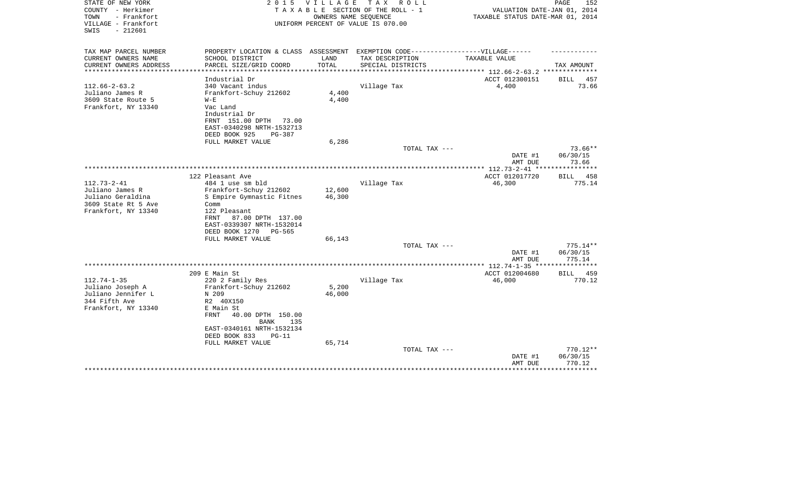| STATE OF NEW YORK<br>COUNTY - Herkimer<br>- Frankfort<br>TOWN<br>VILLAGE - Frankfort<br>SWIS<br>$-212601$ | 2 0 1 5                                                                                                        | V I L L A G E                          | T A X<br>R O L L<br>TAXABLE SECTION OF THE ROLL - 1<br>OWNERS NAME SEQUENCE<br>UNIFORM PERCENT OF VALUE IS 070.00 | VALUATION DATE-JAN 01, 2014<br>TAXABLE STATUS DATE-MAR 01, 2014 | PAGE<br>152                    |
|-----------------------------------------------------------------------------------------------------------|----------------------------------------------------------------------------------------------------------------|----------------------------------------|-------------------------------------------------------------------------------------------------------------------|-----------------------------------------------------------------|--------------------------------|
| TAX MAP PARCEL NUMBER                                                                                     | PROPERTY LOCATION & CLASS ASSESSMENT                                                                           |                                        | EXEMPTION CODE-----------------VILLAGE------                                                                      |                                                                 |                                |
| CURRENT OWNERS NAME                                                                                       | SCHOOL DISTRICT                                                                                                | LAND                                   | TAX DESCRIPTION                                                                                                   | TAXABLE VALUE                                                   |                                |
| CURRENT OWNERS ADDRESS<br>*********************                                                           | PARCEL SIZE/GRID COORD<br>***********************                                                              | TOTAL<br>* * * * * * * * * * * * * * * | SPECIAL DISTRICTS                                                                                                 | ********************************* 112.66-2-63.2 **************  | TAX AMOUNT                     |
|                                                                                                           | Industrial Dr                                                                                                  |                                        |                                                                                                                   | ACCT 012300151                                                  | 457<br>BILL                    |
| $112.66 - 2 - 63.2$                                                                                       | 340 Vacant indus                                                                                               |                                        | Village Tax                                                                                                       | 4,400                                                           | 73.66                          |
| Juliano James R                                                                                           | Frankfort-Schuy 212602                                                                                         | $4\,,400$                              |                                                                                                                   |                                                                 |                                |
| 3609 State Route 5                                                                                        | $W - E$                                                                                                        | 4,400                                  |                                                                                                                   |                                                                 |                                |
| Frankfort, NY 13340                                                                                       | Vac Land<br>Industrial Dr<br>FRNT 151.00 DPTH<br>73.00<br>EAST-0340298 NRTH-1532713<br>DEED BOOK 925<br>PG-387 |                                        |                                                                                                                   |                                                                 |                                |
|                                                                                                           | FULL MARKET VALUE                                                                                              | 6,286                                  |                                                                                                                   |                                                                 | $73.66**$                      |
|                                                                                                           |                                                                                                                |                                        | TOTAL TAX ---                                                                                                     | DATE #1<br>AMT DUE                                              | 06/30/15<br>73.66              |
|                                                                                                           |                                                                                                                |                                        |                                                                                                                   | *************** 112.73-2-41 **                                  | *********                      |
|                                                                                                           | 122 Pleasant Ave                                                                                               |                                        |                                                                                                                   | ACCT 012017720                                                  | BILL 458                       |
| $112.73 - 2 - 41$                                                                                         | 484 1 use sm bld                                                                                               |                                        | Village Tax                                                                                                       | 46,300                                                          | 775.14                         |
| Juliano James R<br>Juliano Geraldina                                                                      | Frankfort-Schuy 212602<br>S Empire Gymnastic Fitnes                                                            | 12,600<br>46,300                       |                                                                                                                   |                                                                 |                                |
| 3609 State Rt 5 Ave                                                                                       | Comm                                                                                                           |                                        |                                                                                                                   |                                                                 |                                |
| Frankfort, NY 13340                                                                                       | 122 Pleasant                                                                                                   |                                        |                                                                                                                   |                                                                 |                                |
|                                                                                                           | 87.00 DPTH 137.00<br>FRNT<br>EAST-0339307 NRTH-1532014<br>DEED BOOK 1270<br>PG-565                             |                                        |                                                                                                                   |                                                                 |                                |
|                                                                                                           | FULL MARKET VALUE                                                                                              | 66,143                                 |                                                                                                                   |                                                                 |                                |
|                                                                                                           |                                                                                                                |                                        | TOTAL TAX ---                                                                                                     |                                                                 | 775.14**                       |
|                                                                                                           |                                                                                                                |                                        |                                                                                                                   | DATE #1<br>AMT DUE                                              | 06/30/15<br>775.14             |
|                                                                                                           |                                                                                                                |                                        |                                                                                                                   |                                                                 | *********                      |
|                                                                                                           | 209 E Main St                                                                                                  |                                        |                                                                                                                   | ACCT 012004680                                                  | BILL<br>459                    |
| $112.74 - 1 - 35$                                                                                         | 220 2 Family Res                                                                                               |                                        | Village Tax                                                                                                       | 46,000                                                          | 770.12                         |
| Juliano Joseph A<br>Juliano Jennifer L                                                                    | Frankfort-Schuy 212602<br>N 209                                                                                | 5,200<br>46,000                        |                                                                                                                   |                                                                 |                                |
| 344 Fifth Ave                                                                                             | R2 40X150                                                                                                      |                                        |                                                                                                                   |                                                                 |                                |
| Frankfort, NY 13340                                                                                       | E Main St                                                                                                      |                                        |                                                                                                                   |                                                                 |                                |
|                                                                                                           | FRNT<br>40.00 DPTH 150.00                                                                                      |                                        |                                                                                                                   |                                                                 |                                |
|                                                                                                           | 135<br>BANK                                                                                                    |                                        |                                                                                                                   |                                                                 |                                |
|                                                                                                           | EAST-0340161 NRTH-1532134                                                                                      |                                        |                                                                                                                   |                                                                 |                                |
|                                                                                                           | DEED BOOK 833<br>$PG-11$                                                                                       |                                        |                                                                                                                   |                                                                 |                                |
|                                                                                                           | FULL MARKET VALUE                                                                                              | 65,714                                 |                                                                                                                   |                                                                 |                                |
|                                                                                                           |                                                                                                                |                                        | TOTAL TAX ---                                                                                                     | DATE #1<br>AMT DUE                                              | 770.12**<br>06/30/15<br>770.12 |
|                                                                                                           |                                                                                                                |                                        |                                                                                                                   |                                                                 |                                |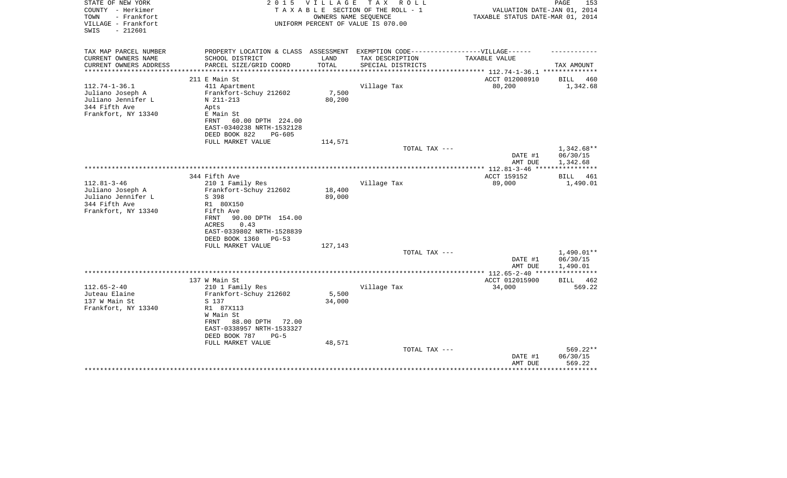| STATE OF NEW YORK<br>COUNTY - Herkimer<br>- Frankfort<br>TOWN<br>VILLAGE - Frankfort<br>$-212601$<br>SWIS | 2 0 1 5                                                                                                                                                           | VILLAGE                 | TAX ROLL<br>TAXABLE SECTION OF THE ROLL - 1<br>OWNERS NAME SEOUENCE<br>UNIFORM PERCENT OF VALUE IS 070.00 | VALUATION DATE-JAN 01, 2014<br>TAXABLE STATUS DATE-MAR 01, 2014 | PAGE<br>153                          |
|-----------------------------------------------------------------------------------------------------------|-------------------------------------------------------------------------------------------------------------------------------------------------------------------|-------------------------|-----------------------------------------------------------------------------------------------------------|-----------------------------------------------------------------|--------------------------------------|
| TAX MAP PARCEL NUMBER<br>CURRENT OWNERS NAME                                                              | PROPERTY LOCATION & CLASS ASSESSMENT<br>SCHOOL DISTRICT                                                                                                           | LAND                    | EXEMPTION CODE------------------VILLAGE------<br>TAX DESCRIPTION                                          | TAXABLE VALUE                                                   |                                      |
| CURRENT OWNERS ADDRESS<br>*********************                                                           | PARCEL SIZE/GRID COORD<br>***************************                                                                                                             | TOTAL<br>************** | SPECIAL DISTRICTS                                                                                         |                                                                 | TAX AMOUNT                           |
|                                                                                                           | 211 E Main St                                                                                                                                                     |                         |                                                                                                           | ACCT 012008910                                                  | BILL<br>460                          |
| $112.74 - 1 - 36.1$<br>Juliano Joseph A<br>Juliano Jennifer L<br>344 Fifth Ave<br>Frankfort, NY 13340     | 411 Apartment<br>Frankfort-Schuy 212602<br>N 211-213<br>Apts<br>E Main St<br>FRNT<br>60.00 DPTH 224.00                                                            | 7,500<br>80,200         | Village Tax                                                                                               | 80,200                                                          | 1,342.68                             |
|                                                                                                           | EAST-0340238 NRTH-1532128<br>DEED BOOK 822<br>$PG-605$<br>FULL MARKET VALUE                                                                                       | 114,571                 |                                                                                                           |                                                                 |                                      |
|                                                                                                           |                                                                                                                                                                   |                         | TOTAL TAX ---                                                                                             | DATE #1<br>AMT DUE                                              | $1,342.68**$<br>06/30/15<br>1,342.68 |
|                                                                                                           |                                                                                                                                                                   |                         |                                                                                                           |                                                                 | * * * * * * * * * * * *              |
| $112.81 - 3 - 46$                                                                                         | 344 Fifth Ave<br>210 1 Family Res                                                                                                                                 |                         | Village Tax                                                                                               | ACCT 159152<br>89,000                                           | 461<br>BILL<br>1,490.01              |
| Juliano Joseph A<br>Juliano Jennifer L<br>344 Fifth Ave<br>Frankfort, NY 13340                            | Frankfort-Schuy 212602<br>S 398<br>R1 80X150<br>Fifth Ave<br>90.00 DPTH 154.00<br>FRNT<br>0.43<br>ACRES<br>EAST-0339802 NRTH-1528839<br>DEED BOOK 1360<br>$PG-53$ | 18,400<br>89,000        |                                                                                                           |                                                                 |                                      |
|                                                                                                           | FULL MARKET VALUE                                                                                                                                                 | 127,143                 | TOTAL TAX ---                                                                                             |                                                                 | 1,490.01**                           |
|                                                                                                           |                                                                                                                                                                   |                         |                                                                                                           | DATE #1<br>AMT DUE                                              | 06/30/15<br>1,490.01                 |
|                                                                                                           |                                                                                                                                                                   |                         |                                                                                                           |                                                                 |                                      |
|                                                                                                           | 137 W Main St                                                                                                                                                     |                         |                                                                                                           | ACCT 012015900                                                  | BILL<br>462                          |
| $112.65 - 2 - 40$<br>Juteau Elaine<br>137 W Main St<br>Frankfort, NY 13340                                | 210 1 Family Res<br>Frankfort-Schuy 212602<br>S 137<br>R1 87X113                                                                                                  | 5,500<br>34,000         | Village Tax                                                                                               | 34,000                                                          | 569.22                               |
|                                                                                                           | W Main St<br>88.00 DPTH<br>72.00<br>FRNT<br>EAST-0338957 NRTH-1533327<br>DEED BOOK 787<br>$PG-5$<br>FULL MARKET VALUE                                             | 48,571                  |                                                                                                           |                                                                 |                                      |
|                                                                                                           |                                                                                                                                                                   |                         | TOTAL TAX ---                                                                                             | DATE #1<br>AMT DUE                                              | 569.22**<br>06/30/15<br>569.22       |
|                                                                                                           |                                                                                                                                                                   |                         |                                                                                                           |                                                                 | ***********                          |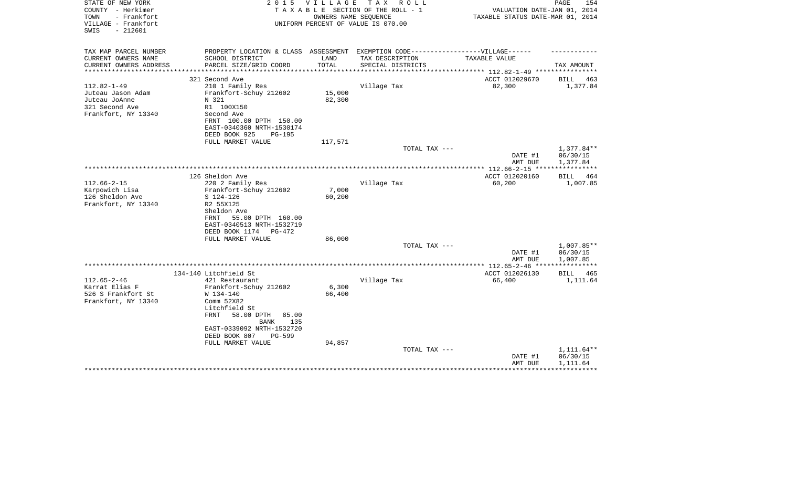| STATE OF NEW YORK<br>COUNTY - Herkimer                          | 2 0 1 5                                                                           | VILLAGE | TAX ROLL<br>TAXABLE SECTION OF THE ROLL - 1                | VALUATION DATE-JAN 01, 2014      | PAGE<br>154          |
|-----------------------------------------------------------------|-----------------------------------------------------------------------------------|---------|------------------------------------------------------------|----------------------------------|----------------------|
| TOWN<br>- Frankfort<br>VILLAGE - Frankfort<br>$-212601$<br>SWIS |                                                                                   |         | OWNERS NAME SEQUENCE<br>UNIFORM PERCENT OF VALUE IS 070.00 | TAXABLE STATUS DATE-MAR 01, 2014 |                      |
| TAX MAP PARCEL NUMBER                                           | PROPERTY LOCATION & CLASS ASSESSMENT EXEMPTION CODE-----------------VILLAGE------ |         |                                                            |                                  |                      |
| CURRENT OWNERS NAME                                             | SCHOOL DISTRICT                                                                   | LAND    | TAX DESCRIPTION                                            | TAXABLE VALUE                    |                      |
| CURRENT OWNERS ADDRESS                                          | PARCEL SIZE/GRID COORD                                                            | TOTAL   | SPECIAL DISTRICTS                                          | ******** 112.82-1-49 ***         | TAX AMOUNT           |
|                                                                 | 321 Second Ave                                                                    |         |                                                            | ACCT 012029670                   | BILL<br>463          |
| $112.82 - 1 - 49$                                               | 210 1 Family Res                                                                  |         | Village Tax                                                | 82,300                           | 1,377.84             |
| Juteau Jason Adam                                               | Frankfort-Schuy 212602                                                            | 15,000  |                                                            |                                  |                      |
| Juteau JoAnne                                                   | N 321                                                                             | 82,300  |                                                            |                                  |                      |
| 321 Second Ave                                                  | R1 100X150                                                                        |         |                                                            |                                  |                      |
| Frankfort, NY 13340                                             | Second Ave                                                                        |         |                                                            |                                  |                      |
|                                                                 | FRNT 100.00 DPTH 150.00                                                           |         |                                                            |                                  |                      |
|                                                                 | EAST-0340360 NRTH-1530174                                                         |         |                                                            |                                  |                      |
|                                                                 | DEED BOOK 925<br><b>PG-195</b>                                                    |         |                                                            |                                  |                      |
|                                                                 | FULL MARKET VALUE                                                                 | 117,571 |                                                            |                                  |                      |
|                                                                 |                                                                                   |         | TOTAL TAX ---                                              |                                  | $1,377.84**$         |
|                                                                 |                                                                                   |         |                                                            | DATE #1<br>AMT DUE               | 06/30/15<br>1,377.84 |
|                                                                 |                                                                                   |         |                                                            | **** 112.66-2-15 **              |                      |
|                                                                 | 126 Sheldon Ave                                                                   |         |                                                            | ACCT 012020160                   | 464<br>BILL          |
| $112.66 - 2 - 15$                                               | 220 2 Family Res                                                                  |         | Village Tax                                                | 60,200                           | 1,007.85             |
| Karpowich Lisa                                                  | Frankfort-Schuy 212602                                                            | 7,000   |                                                            |                                  |                      |
| 126 Sheldon Ave                                                 | $S$ 124-126                                                                       | 60,200  |                                                            |                                  |                      |
| Frankfort, NY 13340                                             | R2 55X125                                                                         |         |                                                            |                                  |                      |
|                                                                 | Sheldon Ave                                                                       |         |                                                            |                                  |                      |
|                                                                 | 55.00 DPTH 160.00<br>FRNT                                                         |         |                                                            |                                  |                      |
|                                                                 | EAST-0340513 NRTH-1532719                                                         |         |                                                            |                                  |                      |
|                                                                 | DEED BOOK 1174 PG-472                                                             | 86,000  |                                                            |                                  |                      |
|                                                                 | FULL MARKET VALUE                                                                 |         | TOTAL TAX ---                                              |                                  | 1,007.85**           |
|                                                                 |                                                                                   |         |                                                            | DATE #1                          | 06/30/15             |
|                                                                 |                                                                                   |         |                                                            | AMT DUE                          | 1,007.85             |
|                                                                 |                                                                                   |         |                                                            |                                  |                      |
|                                                                 | 134-140 Litchfield St                                                             |         |                                                            | ACCT 012026130                   | BILL<br>465          |
| $112.65 - 2 - 46$                                               | 421 Restaurant                                                                    |         | Village Tax                                                | 66,400                           | 1,111.64             |
| Karrat Elias F                                                  | Frankfort-Schuy 212602                                                            | 6,300   |                                                            |                                  |                      |
| 526 S Frankfort St                                              | W 134-140                                                                         | 66,400  |                                                            |                                  |                      |
| Frankfort, NY 13340                                             | Comm 52X82                                                                        |         |                                                            |                                  |                      |
|                                                                 | Litchfield St                                                                     |         |                                                            |                                  |                      |
|                                                                 | 58.00 DPTH<br>FRNT<br>85.00                                                       |         |                                                            |                                  |                      |
|                                                                 | <b>BANK</b><br>135<br>EAST-0339092 NRTH-1532720                                   |         |                                                            |                                  |                      |
|                                                                 | DEED BOOK 807<br><b>PG-599</b>                                                    |         |                                                            |                                  |                      |
|                                                                 | FULL MARKET VALUE                                                                 | 94,857  |                                                            |                                  |                      |
|                                                                 |                                                                                   |         | TOTAL TAX ---                                              |                                  | $1,111.64**$         |
|                                                                 |                                                                                   |         |                                                            | DATE #1                          | 06/30/15             |
|                                                                 |                                                                                   |         |                                                            | AMT DUE                          | 1,111.64             |
|                                                                 |                                                                                   |         |                                                            |                                  |                      |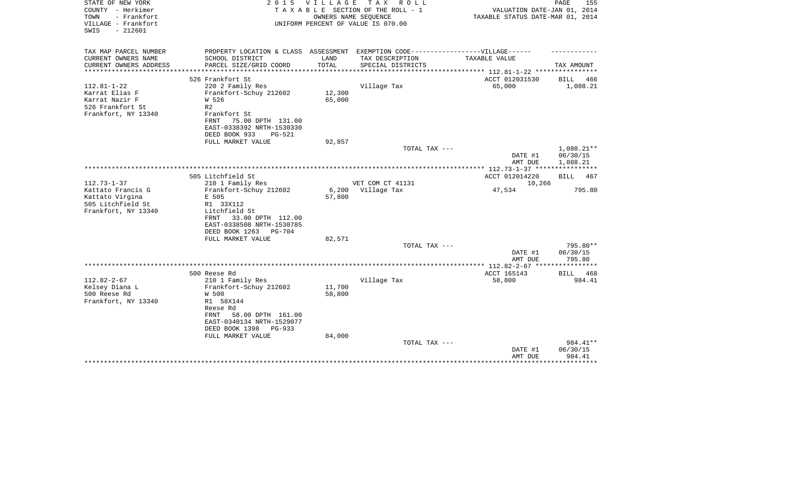| STATE OF NEW YORK<br>COUNTY - Herkimer<br>TOWN<br>- Frankfort | 2 0 1 5                                                                           | <b>VILLAGE</b>   | T A X<br>R O L L<br>TAXABLE SECTION OF THE ROLL - 1<br>OWNERS NAME SEQUENCE | VALUATION DATE-JAN 01, 2014<br>TAXABLE STATUS DATE-MAR 01, 2014 | PAGE<br>155                  |
|---------------------------------------------------------------|-----------------------------------------------------------------------------------|------------------|-----------------------------------------------------------------------------|-----------------------------------------------------------------|------------------------------|
| VILLAGE - Frankfort<br>$-212601$<br>SWIS                      |                                                                                   |                  | UNIFORM PERCENT OF VALUE IS 070.00                                          |                                                                 |                              |
| TAX MAP PARCEL NUMBER                                         | PROPERTY LOCATION & CLASS ASSESSMENT EXEMPTION CODE-----------------VILLAGE------ |                  |                                                                             |                                                                 |                              |
| CURRENT OWNERS NAME<br>CURRENT OWNERS ADDRESS                 | SCHOOL DISTRICT<br>PARCEL SIZE/GRID COORD                                         | LAND<br>TOTAL    | TAX DESCRIPTION<br>SPECIAL DISTRICTS                                        | TAXABLE VALUE                                                   | TAX AMOUNT                   |
| *********************                                         |                                                                                   |                  |                                                                             |                                                                 |                              |
|                                                               | 526 Frankfort St                                                                  |                  |                                                                             | ACCT 012031530                                                  | BILL<br>466                  |
| $112.81 - 1 - 22$                                             | 220 2 Family Res                                                                  |                  | Village Tax                                                                 | 65,000                                                          | 1,088.21                     |
| Karrat Elias F<br>Karrat Nazir F                              | Frankfort-Schuy 212602<br>W 526                                                   | 12,300<br>65,000 |                                                                             |                                                                 |                              |
| 526 Frankfort St                                              | R <sub>2</sub>                                                                    |                  |                                                                             |                                                                 |                              |
| Frankfort, NY 13340                                           | Frankfort St                                                                      |                  |                                                                             |                                                                 |                              |
|                                                               | 75.00 DPTH 131.00<br>FRNT                                                         |                  |                                                                             |                                                                 |                              |
|                                                               | EAST-0338392 NRTH-1530330                                                         |                  |                                                                             |                                                                 |                              |
|                                                               | DEED BOOK 933<br>$PG-521$<br>FULL MARKET VALUE                                    | 92,857           |                                                                             |                                                                 |                              |
|                                                               |                                                                                   |                  | TOTAL TAX ---                                                               |                                                                 | 1,088.21**                   |
|                                                               |                                                                                   |                  |                                                                             | DATE #1                                                         | 06/30/15                     |
|                                                               |                                                                                   |                  |                                                                             | AMT DUE                                                         | 1,088.21                     |
|                                                               | 505 Litchfield St                                                                 |                  |                                                                             | ACCT 012014220                                                  | BILL<br>467                  |
| $112.73 - 1 - 37$                                             | 210 1 Family Res                                                                  |                  | VET COM CT 41131                                                            | 10,266                                                          |                              |
| Kattato Francis G                                             | Frankfort-Schuy 212602                                                            | 6,200            | Village Tax                                                                 | 47,534                                                          | 795.80                       |
| Kattato Virgina                                               | E 505                                                                             | 57,800           |                                                                             |                                                                 |                              |
| 505 Litchfield St<br>Frankfort, NY 13340                      | R1 33X112<br>Litchfield St                                                        |                  |                                                                             |                                                                 |                              |
|                                                               | 33.00 DPTH 112.00<br>FRNT                                                         |                  |                                                                             |                                                                 |                              |
|                                                               | EAST-0338508 NRTH-1530785                                                         |                  |                                                                             |                                                                 |                              |
|                                                               | DEED BOOK 1263<br>PG-704                                                          |                  |                                                                             |                                                                 |                              |
|                                                               | FULL MARKET VALUE                                                                 | 82,571           | TOTAL TAX ---                                                               |                                                                 | 795.80**                     |
|                                                               |                                                                                   |                  |                                                                             | DATE #1                                                         | 06/30/15                     |
|                                                               |                                                                                   |                  |                                                                             | AMT DUE                                                         | 795.80                       |
|                                                               |                                                                                   |                  |                                                                             | ********* 112.82-2-67 ********                                  | ****                         |
| $112.82 - 2 - 67$                                             | 500 Reese Rd<br>210 1 Family Res                                                  |                  | Village Tax                                                                 | ACCT 165143<br>58,800                                           | <b>BILL</b><br>468<br>984.41 |
| Kelsey Diana L                                                | Frankfort-Schuy 212602                                                            | 11,700           |                                                                             |                                                                 |                              |
| 500 Reese Rd                                                  | W 500                                                                             | 58,800           |                                                                             |                                                                 |                              |
| Frankfort, NY 13340                                           | R1 58X144                                                                         |                  |                                                                             |                                                                 |                              |
|                                                               | Reese Rd<br>58.00 DPTH 161.00<br>FRNT                                             |                  |                                                                             |                                                                 |                              |
|                                                               | EAST-0340134 NRTH-1529077                                                         |                  |                                                                             |                                                                 |                              |
|                                                               | DEED BOOK 1398<br>$PG-933$                                                        |                  |                                                                             |                                                                 |                              |
|                                                               | FULL MARKET VALUE                                                                 | 84,000           |                                                                             |                                                                 |                              |
|                                                               |                                                                                   |                  | TOTAL TAX ---                                                               |                                                                 | 984.41**                     |
|                                                               |                                                                                   |                  |                                                                             | DATE #1<br>AMT DUE                                              | 06/30/15<br>984.41           |
|                                                               |                                                                                   |                  |                                                                             |                                                                 | ********                     |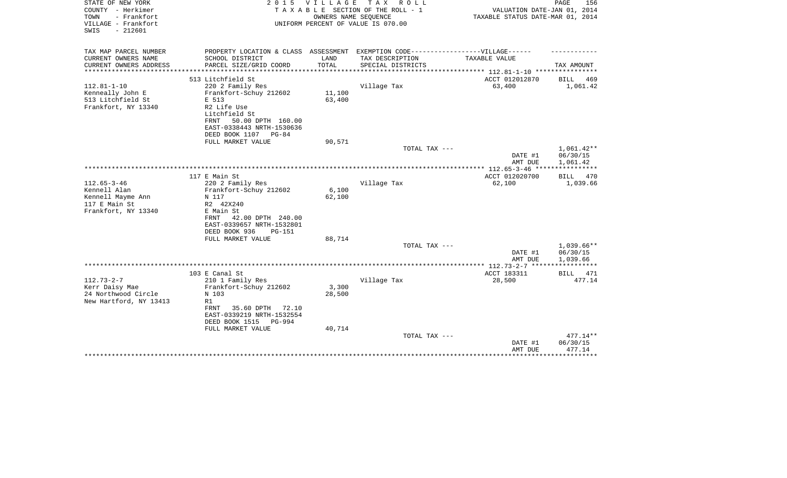| STATE OF NEW YORK<br>COUNTY - Herkimer<br>- Frankfort<br>TOWN<br>VILLAGE - Frankfort<br>$-212601$<br>SWIS | 2 0 1 5                                                                                              | V I L L A G E | T A X<br>R O L L<br>TAXABLE SECTION OF THE ROLL - 1<br>OWNERS NAME SEQUENCE<br>UNIFORM PERCENT OF VALUE IS 070.00 | VALUATION DATE-JAN 01, 2014<br>TAXABLE STATUS DATE-MAR 01, 2014 | PAGE<br>156          |
|-----------------------------------------------------------------------------------------------------------|------------------------------------------------------------------------------------------------------|---------------|-------------------------------------------------------------------------------------------------------------------|-----------------------------------------------------------------|----------------------|
| TAX MAP PARCEL NUMBER<br>CURRENT OWNERS NAME                                                              | PROPERTY LOCATION & CLASS ASSESSMENT EXEMPTION CODE-----------------VILLAGE------<br>SCHOOL DISTRICT | LAND          | TAX DESCRIPTION                                                                                                   | TAXABLE VALUE                                                   |                      |
| CURRENT OWNERS ADDRESS                                                                                    | PARCEL SIZE/GRID COORD                                                                               | TOTAL         | SPECIAL DISTRICTS                                                                                                 |                                                                 | TAX AMOUNT           |
| *******************                                                                                       |                                                                                                      |               |                                                                                                                   |                                                                 |                      |
|                                                                                                           | 513 Litchfield St                                                                                    |               |                                                                                                                   | ACCT 012012870                                                  | <b>BILL</b><br>469   |
| $112.81 - 1 - 10$<br>Kenneally John E                                                                     | 220 2 Family Res<br>Frankfort-Schuy 212602                                                           | 11,100        | Village Tax                                                                                                       | 63,400                                                          | 1,061.42             |
| 513 Litchfield St                                                                                         | E 513                                                                                                | 63,400        |                                                                                                                   |                                                                 |                      |
| Frankfort, NY 13340                                                                                       | R2 Life Use                                                                                          |               |                                                                                                                   |                                                                 |                      |
|                                                                                                           | Litchfield St                                                                                        |               |                                                                                                                   |                                                                 |                      |
|                                                                                                           | 50.00 DPTH 160.00<br>FRNT                                                                            |               |                                                                                                                   |                                                                 |                      |
|                                                                                                           | EAST-0338443 NRTH-1530636                                                                            |               |                                                                                                                   |                                                                 |                      |
|                                                                                                           | DEED BOOK 1107<br>PG-84                                                                              |               |                                                                                                                   |                                                                 |                      |
|                                                                                                           | FULL MARKET VALUE                                                                                    | 90,571        | TOTAL TAX ---                                                                                                     |                                                                 | $1,061.42**$         |
|                                                                                                           |                                                                                                      |               |                                                                                                                   | DATE #1                                                         | 06/30/15             |
|                                                                                                           |                                                                                                      |               |                                                                                                                   | AMT DUE                                                         | 1,061.42             |
|                                                                                                           |                                                                                                      |               |                                                                                                                   |                                                                 |                      |
|                                                                                                           | 117 E Main St                                                                                        |               |                                                                                                                   | ACCT 012020700                                                  | BILL<br>470          |
| $112.65 - 3 - 46$                                                                                         | 220 2 Family Res                                                                                     |               | Village Tax                                                                                                       | 62,100                                                          | 1,039.66             |
| Kennell Alan                                                                                              | Frankfort-Schuy 212602                                                                               | 6,100         |                                                                                                                   |                                                                 |                      |
| Kennell Mayme Ann<br>117 E Main St                                                                        | N 117<br>R2 42X240                                                                                   | 62,100        |                                                                                                                   |                                                                 |                      |
| Frankfort, NY 13340                                                                                       | E Main St                                                                                            |               |                                                                                                                   |                                                                 |                      |
|                                                                                                           | FRNT<br>42.00 DPTH 240.00                                                                            |               |                                                                                                                   |                                                                 |                      |
|                                                                                                           | EAST-0339657 NRTH-1532801                                                                            |               |                                                                                                                   |                                                                 |                      |
|                                                                                                           | DEED BOOK 936<br><b>PG-151</b>                                                                       |               |                                                                                                                   |                                                                 |                      |
|                                                                                                           | FULL MARKET VALUE                                                                                    | 88,714        |                                                                                                                   |                                                                 |                      |
|                                                                                                           |                                                                                                      |               | TOTAL TAX ---                                                                                                     |                                                                 | 1,039.66**           |
|                                                                                                           |                                                                                                      |               |                                                                                                                   | DATE #1<br>AMT DUE                                              | 06/30/15<br>1,039.66 |
|                                                                                                           |                                                                                                      |               |                                                                                                                   | **************** 112.73-2-7 ****                                |                      |
|                                                                                                           | 103 E Canal St                                                                                       |               |                                                                                                                   | ACCT 183311                                                     | BILL<br>471          |
| $112.73 - 2 - 7$                                                                                          | 210 1 Family Res                                                                                     |               | Village Tax                                                                                                       | 28,500                                                          | 477.14               |
| Kerr Daisy Mae                                                                                            | Frankfort-Schuy 212602                                                                               | 3,300         |                                                                                                                   |                                                                 |                      |
| 24 Northwood Circle                                                                                       | N 103                                                                                                | 28,500        |                                                                                                                   |                                                                 |                      |
| New Hartford, NY 13413                                                                                    | R1<br>FRNT                                                                                           |               |                                                                                                                   |                                                                 |                      |
|                                                                                                           | 35.60 DPTH<br>72.10<br>EAST-0339219 NRTH-1532554                                                     |               |                                                                                                                   |                                                                 |                      |
|                                                                                                           | DEED BOOK 1515<br><b>PG-994</b>                                                                      |               |                                                                                                                   |                                                                 |                      |
|                                                                                                           | FULL MARKET VALUE                                                                                    | 40,714        |                                                                                                                   |                                                                 |                      |
|                                                                                                           |                                                                                                      |               | TOTAL TAX ---                                                                                                     |                                                                 | $477.14**$           |
|                                                                                                           |                                                                                                      |               |                                                                                                                   | DATE #1                                                         | 06/30/15             |
|                                                                                                           |                                                                                                      |               |                                                                                                                   | AMT DUE                                                         | 477.14<br>********   |
|                                                                                                           |                                                                                                      |               |                                                                                                                   |                                                                 |                      |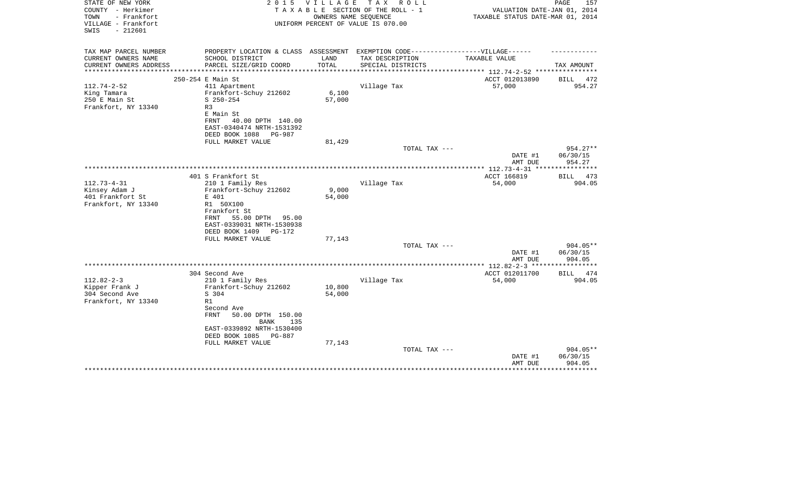| STATE OF NEW YORK<br>COUNTY - Herkimer     | 2 0 1 5                                                                           | <b>VILLAGE</b>  | T A X<br>R O L L<br>TAXABLE SECTION OF THE ROLL - 1        | VALUATION DATE-JAN 01, 2014      | 157<br>PAGE        |
|--------------------------------------------|-----------------------------------------------------------------------------------|-----------------|------------------------------------------------------------|----------------------------------|--------------------|
| - Frankfort<br>TOWN<br>VILLAGE - Frankfort |                                                                                   |                 | OWNERS NAME SEQUENCE<br>UNIFORM PERCENT OF VALUE IS 070.00 | TAXABLE STATUS DATE-MAR 01, 2014 |                    |
| $-212601$<br>SWIS                          |                                                                                   |                 |                                                            |                                  |                    |
| TAX MAP PARCEL NUMBER                      | PROPERTY LOCATION & CLASS ASSESSMENT EXEMPTION CODE-----------------VILLAGE------ |                 |                                                            |                                  |                    |
| CURRENT OWNERS NAME                        | SCHOOL DISTRICT                                                                   | LAND            | TAX DESCRIPTION                                            | TAXABLE VALUE                    |                    |
| CURRENT OWNERS ADDRESS                     | PARCEL SIZE/GRID COORD                                                            | TOTAL           | SPECIAL DISTRICTS                                          | *********** 112.74-2-52 ****     | TAX AMOUNT         |
|                                            | 250-254 E Main St                                                                 |                 |                                                            | ACCT 012013890                   | 472<br>BILL        |
| $112.74 - 2 - 52$                          | 411 Apartment                                                                     |                 | Village Tax                                                | 57,000                           | 954.27             |
| King Tamara                                | Frankfort-Schuy 212602                                                            | 6,100           |                                                            |                                  |                    |
| 250 E Main St                              | $S$ 250-254                                                                       | 57,000          |                                                            |                                  |                    |
| Frankfort, NY 13340                        | R3                                                                                |                 |                                                            |                                  |                    |
|                                            | E Main St                                                                         |                 |                                                            |                                  |                    |
|                                            | FRNT<br>40.00 DPTH 140.00                                                         |                 |                                                            |                                  |                    |
|                                            | EAST-0340474 NRTH-1531392<br>DEED BOOK 1088<br>PG-987                             |                 |                                                            |                                  |                    |
|                                            | FULL MARKET VALUE                                                                 | 81,429          |                                                            |                                  |                    |
|                                            |                                                                                   |                 | TOTAL TAX ---                                              |                                  | 954.27**           |
|                                            |                                                                                   |                 |                                                            | DATE #1                          | 06/30/15           |
|                                            |                                                                                   |                 |                                                            | AMT DUE                          | 954.27             |
|                                            |                                                                                   |                 |                                                            | ***** $112.73 - 4 - 31$ ***      |                    |
|                                            | 401 S Frankfort St                                                                |                 |                                                            | ACCT 166819                      | BILL 473           |
| $112.73 - 4 - 31$                          | 210 1 Family Res                                                                  |                 | Village Tax                                                | 54,000                           | 904.05             |
| Kinsey Adam J<br>401 Frankfort St          | Frankfort-Schuy 212602<br>E 401                                                   | 9,000<br>54,000 |                                                            |                                  |                    |
| Frankfort, NY 13340                        | R1 50X100                                                                         |                 |                                                            |                                  |                    |
|                                            | Frankfort St                                                                      |                 |                                                            |                                  |                    |
|                                            | 55.00 DPTH<br>FRNT<br>95.00                                                       |                 |                                                            |                                  |                    |
|                                            | EAST-0339031 NRTH-1530938                                                         |                 |                                                            |                                  |                    |
|                                            | DEED BOOK 1409<br>PG-172                                                          |                 |                                                            |                                  |                    |
|                                            | FULL MARKET VALUE                                                                 | 77,143          |                                                            |                                  |                    |
|                                            |                                                                                   |                 | TOTAL TAX ---                                              |                                  | $904.05**$         |
|                                            |                                                                                   |                 |                                                            | DATE #1<br>AMT DUE               | 06/30/15<br>904.05 |
|                                            |                                                                                   |                 |                                                            | ** $112.82 - 2 - 3$ ***          |                    |
|                                            | 304 Second Ave                                                                    |                 |                                                            | ACCT 012011700                   | <b>BILL</b><br>474 |
| $112.82 - 2 - 3$                           | 210 1 Family Res                                                                  |                 | Village Tax                                                | 54,000                           | 904.05             |
| Kipper Frank J                             | Frankfort-Schuy 212602                                                            | 10,800          |                                                            |                                  |                    |
| 304 Second Ave                             | S 304                                                                             | 54,000          |                                                            |                                  |                    |
| Frankfort, NY 13340                        | R1                                                                                |                 |                                                            |                                  |                    |
|                                            | Second Ave<br><b>FRNT</b><br>50.00 DPTH 150.00                                    |                 |                                                            |                                  |                    |
|                                            | <b>BANK</b><br>135                                                                |                 |                                                            |                                  |                    |
|                                            | EAST-0339892 NRTH-1530400                                                         |                 |                                                            |                                  |                    |
|                                            | DEED BOOK 1085<br>PG-887                                                          |                 |                                                            |                                  |                    |
|                                            | FULL MARKET VALUE                                                                 | 77,143          |                                                            |                                  |                    |
|                                            |                                                                                   |                 | TOTAL TAX ---                                              |                                  | 904.05**           |
|                                            |                                                                                   |                 |                                                            | DATE #1                          | 06/30/15           |
|                                            |                                                                                   |                 |                                                            | AMT DUE                          | 904.05             |
|                                            |                                                                                   |                 |                                                            |                                  |                    |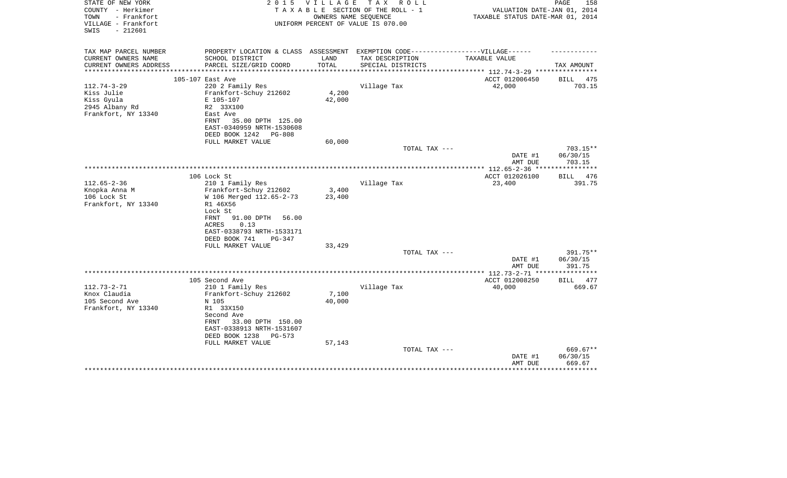| PROPERTY LOCATION & CLASS ASSESSMENT EXEMPTION CODE-----------------VILLAGE------<br>TAX MAP PARCEL NUMBER<br>CURRENT OWNERS NAME<br>SCHOOL DISTRICT<br>LAND<br>TAX DESCRIPTION<br>TAXABLE VALUE<br>TOTAL<br>CURRENT OWNERS ADDRESS<br>PARCEL SIZE/GRID COORD<br>SPECIAL DISTRICTS<br>TAX AMOUNT<br>*********************<br>ACCT 012006450<br>105-107 East Ave<br>BILL<br>42,000<br>$112.74 - 3 - 29$<br>220 2 Family Res<br>Village Tax<br>4,200<br>Frankfort-Schuy 212602<br>Kiss Julie<br>Kiss Gyula<br>42,000<br>E 105-107<br>2945 Albany Rd<br>R2 33X100<br>Frankfort, NY 13340<br>East Ave<br>FRNT<br>35.00 DPTH 125.00<br>EAST-0340959 NRTH-1530608<br>DEED BOOK 1242<br>PG-808 | 475<br>703.15 |
|-----------------------------------------------------------------------------------------------------------------------------------------------------------------------------------------------------------------------------------------------------------------------------------------------------------------------------------------------------------------------------------------------------------------------------------------------------------------------------------------------------------------------------------------------------------------------------------------------------------------------------------------------------------------------------------------|---------------|
|                                                                                                                                                                                                                                                                                                                                                                                                                                                                                                                                                                                                                                                                                         |               |
|                                                                                                                                                                                                                                                                                                                                                                                                                                                                                                                                                                                                                                                                                         |               |
|                                                                                                                                                                                                                                                                                                                                                                                                                                                                                                                                                                                                                                                                                         |               |
|                                                                                                                                                                                                                                                                                                                                                                                                                                                                                                                                                                                                                                                                                         |               |
|                                                                                                                                                                                                                                                                                                                                                                                                                                                                                                                                                                                                                                                                                         |               |
|                                                                                                                                                                                                                                                                                                                                                                                                                                                                                                                                                                                                                                                                                         |               |
|                                                                                                                                                                                                                                                                                                                                                                                                                                                                                                                                                                                                                                                                                         |               |
|                                                                                                                                                                                                                                                                                                                                                                                                                                                                                                                                                                                                                                                                                         |               |
|                                                                                                                                                                                                                                                                                                                                                                                                                                                                                                                                                                                                                                                                                         |               |
|                                                                                                                                                                                                                                                                                                                                                                                                                                                                                                                                                                                                                                                                                         |               |
| 60,000<br>FULL MARKET VALUE                                                                                                                                                                                                                                                                                                                                                                                                                                                                                                                                                                                                                                                             |               |
| TOTAL TAX ---<br>703.15**<br>DATE #1<br>06/30/15                                                                                                                                                                                                                                                                                                                                                                                                                                                                                                                                                                                                                                        |               |
| 703.15<br>AMT DUE                                                                                                                                                                                                                                                                                                                                                                                                                                                                                                                                                                                                                                                                       |               |
| ***********                                                                                                                                                                                                                                                                                                                                                                                                                                                                                                                                                                                                                                                                             |               |
| 106 Lock St<br>ACCT 012026100<br>BILL                                                                                                                                                                                                                                                                                                                                                                                                                                                                                                                                                                                                                                                   | 476           |
| $112.65 - 2 - 36$<br>210 1 Family Res<br>Village Tax<br>23,400                                                                                                                                                                                                                                                                                                                                                                                                                                                                                                                                                                                                                          | 391.75        |
| Knopka Anna M<br>Frankfort-Schuy 212602<br>3,400<br>106 Lock St<br>W 106 Merged 112.65-2-73<br>23,400                                                                                                                                                                                                                                                                                                                                                                                                                                                                                                                                                                                   |               |
| Frankfort, NY 13340<br>R1 46X56                                                                                                                                                                                                                                                                                                                                                                                                                                                                                                                                                                                                                                                         |               |
| Lock St                                                                                                                                                                                                                                                                                                                                                                                                                                                                                                                                                                                                                                                                                 |               |
| FRNT<br>91.00 DPTH<br>56.00                                                                                                                                                                                                                                                                                                                                                                                                                                                                                                                                                                                                                                                             |               |
| <b>ACRES</b><br>0.13                                                                                                                                                                                                                                                                                                                                                                                                                                                                                                                                                                                                                                                                    |               |
| EAST-0338793 NRTH-1533171<br>DEED BOOK 741<br>$PG-347$                                                                                                                                                                                                                                                                                                                                                                                                                                                                                                                                                                                                                                  |               |
| FULL MARKET VALUE<br>33,429                                                                                                                                                                                                                                                                                                                                                                                                                                                                                                                                                                                                                                                             |               |
| 391.75**<br>TOTAL TAX ---                                                                                                                                                                                                                                                                                                                                                                                                                                                                                                                                                                                                                                                               |               |
| DATE #1<br>06/30/15                                                                                                                                                                                                                                                                                                                                                                                                                                                                                                                                                                                                                                                                     |               |
| AMT DUE<br>391.75<br>***********                                                                                                                                                                                                                                                                                                                                                                                                                                                                                                                                                                                                                                                        |               |
| **************** 112.73-2-71 **<br>105 Second Ave<br>ACCT 012008250<br>BILL                                                                                                                                                                                                                                                                                                                                                                                                                                                                                                                                                                                                             | 477           |
| $112.73 - 2 - 71$<br>210 1 Family Res<br>Village Tax<br>40,000                                                                                                                                                                                                                                                                                                                                                                                                                                                                                                                                                                                                                          | 669.67        |
| 7,100<br>Knox Claudia<br>Frankfort-Schuy 212602                                                                                                                                                                                                                                                                                                                                                                                                                                                                                                                                                                                                                                         |               |
| 40,000<br>105 Second Ave<br>N 105                                                                                                                                                                                                                                                                                                                                                                                                                                                                                                                                                                                                                                                       |               |
| Frankfort, NY 13340<br>R1 33X150                                                                                                                                                                                                                                                                                                                                                                                                                                                                                                                                                                                                                                                        |               |
| Second Ave                                                                                                                                                                                                                                                                                                                                                                                                                                                                                                                                                                                                                                                                              |               |
| 33.00 DPTH 150.00<br>FRNT<br>EAST-0338913 NRTH-1531607                                                                                                                                                                                                                                                                                                                                                                                                                                                                                                                                                                                                                                  |               |
| DEED BOOK 1238<br>PG-573                                                                                                                                                                                                                                                                                                                                                                                                                                                                                                                                                                                                                                                                |               |
| FULL MARKET VALUE<br>57,143                                                                                                                                                                                                                                                                                                                                                                                                                                                                                                                                                                                                                                                             |               |
| TOTAL TAX ---<br>$669.67**$                                                                                                                                                                                                                                                                                                                                                                                                                                                                                                                                                                                                                                                             |               |
| 06/30/15<br>DATE #1                                                                                                                                                                                                                                                                                                                                                                                                                                                                                                                                                                                                                                                                     |               |
| 669.67<br>AMT DUE                                                                                                                                                                                                                                                                                                                                                                                                                                                                                                                                                                                                                                                                       |               |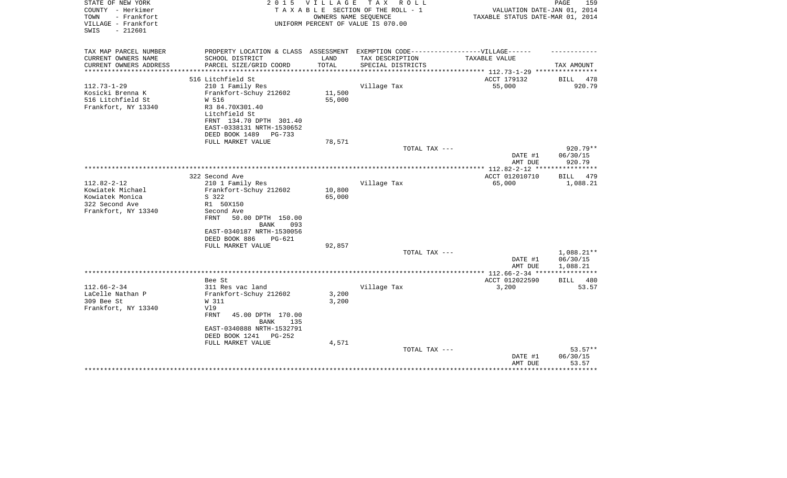| STATE OF NEW YORK<br>COUNTY - Herkimer<br>- Frankfort<br>TOWN<br>VILLAGE - Frankfort<br>SWIS<br>$-212601$ | 2 0 1 5                                                                                                                                   | V I L L A G E        | тах<br>R O L L<br>TAXABLE SECTION OF THE ROLL - 1<br>OWNERS NAME SEQUENCE<br>UNIFORM PERCENT OF VALUE IS 070.00 | VALUATION DATE-JAN 01, 2014<br>TAXABLE STATUS DATE-MAR 01, 2014 | PAGE<br>159          |
|-----------------------------------------------------------------------------------------------------------|-------------------------------------------------------------------------------------------------------------------------------------------|----------------------|-----------------------------------------------------------------------------------------------------------------|-----------------------------------------------------------------|----------------------|
| TAX MAP PARCEL NUMBER                                                                                     | PROPERTY LOCATION & CLASS ASSESSMENT EXEMPTION CODE-----------------VILLAGE------                                                         |                      |                                                                                                                 |                                                                 |                      |
| CURRENT OWNERS NAME                                                                                       | SCHOOL DISTRICT                                                                                                                           | LAND                 | TAX DESCRIPTION                                                                                                 | TAXABLE VALUE                                                   |                      |
| CURRENT OWNERS ADDRESS<br>*******************                                                             | PARCEL SIZE/GRID COORD<br>************************                                                                                        | TOTAL<br>*********** | SPECIAL DISTRICTS                                                                                               | **************************** 112.73-1-29 ****                   | TAX AMOUNT           |
|                                                                                                           | 516 Litchfield St                                                                                                                         |                      |                                                                                                                 | ACCT 179132                                                     | BILL<br>478          |
| $112.73 - 1 - 29$                                                                                         | 210 1 Family Res                                                                                                                          |                      | Village Tax                                                                                                     | 55,000                                                          | 920.79               |
| Kosicki Brenna K                                                                                          | Frankfort-Schuy 212602                                                                                                                    | 11,500               |                                                                                                                 |                                                                 |                      |
| 516 Litchfield St                                                                                         | W 516                                                                                                                                     | 55,000               |                                                                                                                 |                                                                 |                      |
| Frankfort, NY 13340                                                                                       | R3 84.70X301.40<br>Litchfield St<br>FRNT 134.70 DPTH 301.40<br>EAST-0338131 NRTH-1530652<br>DEED BOOK 1489<br>PG-733<br>FULL MARKET VALUE | 78,571               |                                                                                                                 |                                                                 |                      |
|                                                                                                           |                                                                                                                                           |                      | TOTAL TAX ---                                                                                                   |                                                                 | 920.79**             |
|                                                                                                           |                                                                                                                                           |                      |                                                                                                                 | DATE #1<br>AMT DUE                                              | 06/30/15<br>920.79   |
|                                                                                                           |                                                                                                                                           |                      |                                                                                                                 | ************ 112.82-2-12 ***                                    |                      |
|                                                                                                           | 322 Second Ave                                                                                                                            |                      |                                                                                                                 | ACCT 012010710                                                  | <b>BILL</b><br>479   |
| $112.82 - 2 - 12$<br>Kowiatek Michael                                                                     | 210 1 Family Res<br>Frankfort-Schuy 212602                                                                                                | 10,800               | Village Tax                                                                                                     | 65,000                                                          | 1,088.21             |
| Kowiatek Monica                                                                                           | S 322                                                                                                                                     | 65,000               |                                                                                                                 |                                                                 |                      |
| 322 Second Ave                                                                                            | R1 50X150                                                                                                                                 |                      |                                                                                                                 |                                                                 |                      |
| Frankfort, NY 13340                                                                                       | Second Ave                                                                                                                                |                      |                                                                                                                 |                                                                 |                      |
|                                                                                                           | FRNT<br>50.00 DPTH 150.00<br><b>BANK</b><br>093                                                                                           |                      |                                                                                                                 |                                                                 |                      |
|                                                                                                           | EAST-0340187 NRTH-1530056                                                                                                                 |                      |                                                                                                                 |                                                                 |                      |
|                                                                                                           | DEED BOOK 886<br>PG-621<br>FULL MARKET VALUE                                                                                              | 92,857               |                                                                                                                 |                                                                 |                      |
|                                                                                                           |                                                                                                                                           |                      | TOTAL TAX ---                                                                                                   |                                                                 | $1,088.21**$         |
|                                                                                                           |                                                                                                                                           |                      |                                                                                                                 | DATE #1<br>AMT DUE                                              | 06/30/15<br>1,088.21 |
|                                                                                                           |                                                                                                                                           |                      |                                                                                                                 |                                                                 |                      |
|                                                                                                           | Bee St                                                                                                                                    |                      |                                                                                                                 | ACCT 012022590                                                  | BILL<br>480          |
| $112.66 - 2 - 34$                                                                                         | 311 Res vac land                                                                                                                          |                      | Village Tax                                                                                                     | 3,200                                                           | 53.57                |
| LaCelle Nathan P                                                                                          | Frankfort-Schuy 212602                                                                                                                    | 3,200                |                                                                                                                 |                                                                 |                      |
| 309 Bee St<br>Frankfort, NY 13340                                                                         | W 311<br>V19                                                                                                                              | 3,200                |                                                                                                                 |                                                                 |                      |
|                                                                                                           | FRNT<br>45.00 DPTH 170.00<br>BANK<br>135                                                                                                  |                      |                                                                                                                 |                                                                 |                      |
|                                                                                                           | EAST-0340888 NRTH-1532791                                                                                                                 |                      |                                                                                                                 |                                                                 |                      |
|                                                                                                           | DEED BOOK 1241<br>$PG-252$                                                                                                                |                      |                                                                                                                 |                                                                 |                      |
|                                                                                                           | FULL MARKET VALUE                                                                                                                         | 4,571                |                                                                                                                 |                                                                 |                      |
|                                                                                                           |                                                                                                                                           |                      | TOTAL TAX ---                                                                                                   |                                                                 | $53.57**$            |
|                                                                                                           |                                                                                                                                           |                      |                                                                                                                 | DATE #1<br>AMT DUE                                              | 06/30/15<br>53.57    |
|                                                                                                           |                                                                                                                                           |                      |                                                                                                                 |                                                                 | ************         |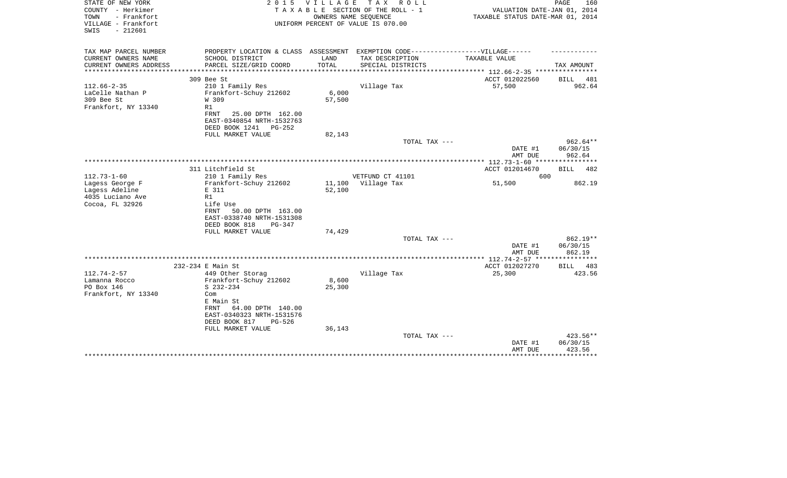| STATE OF NEW YORK<br>COUNTY - Herkimer<br>- Frankfort<br>TOWN<br>VILLAGE - Frankfort<br>$-212601$<br>SWIS | 2 0 1 5                                                                                               | VILLAGE<br>OWNERS NAME SEQUENCE | TAX ROLL<br>TAXABLE SECTION OF THE ROLL - 1<br>UNIFORM PERCENT OF VALUE IS 070.00                    | VALUATION DATE-JAN 01, 2014<br>TAXABLE STATUS DATE-MAR 01, 2014 | PAGE<br>160                    |
|-----------------------------------------------------------------------------------------------------------|-------------------------------------------------------------------------------------------------------|---------------------------------|------------------------------------------------------------------------------------------------------|-----------------------------------------------------------------|--------------------------------|
| TAX MAP PARCEL NUMBER<br>CURRENT OWNERS NAME                                                              | SCHOOL DISTRICT                                                                                       | LAND                            | PROPERTY LOCATION & CLASS ASSESSMENT EXEMPTION CODE-----------------VILLAGE------<br>TAX DESCRIPTION | TAXABLE VALUE                                                   |                                |
| CURRENT OWNERS ADDRESS<br>*************                                                                   | PARCEL SIZE/GRID COORD<br>***************                                                             | TOTAL<br>* * * * * * * * * *    | SPECIAL DISTRICTS                                                                                    | ********* 112.66-2-35 *****************                         | TAX AMOUNT                     |
|                                                                                                           | 309 Bee St                                                                                            |                                 |                                                                                                      | ACCT 012022560                                                  | <b>BILL</b><br>481             |
| $112.66 - 2 - 35$                                                                                         | 210 1 Family Res                                                                                      |                                 | Village Tax                                                                                          | 57,500                                                          | 962.64                         |
| LaCelle Nathan P<br>309 Bee St<br>Frankfort, NY 13340                                                     | Frankfort-Schuy 212602<br>W 309<br>R1                                                                 | 6,000<br>57,500                 |                                                                                                      |                                                                 |                                |
|                                                                                                           | FRNT<br>25.00 DPTH 162.00<br>EAST-0340854 NRTH-1532763<br>DEED BOOK 1241<br>$PG-252$                  |                                 |                                                                                                      |                                                                 |                                |
|                                                                                                           | FULL MARKET VALUE                                                                                     | 82,143                          | TOTAL TAX ---                                                                                        |                                                                 | $962.64**$                     |
|                                                                                                           |                                                                                                       |                                 |                                                                                                      | DATE #1<br>AMT DUE                                              | 06/30/15<br>962.64             |
|                                                                                                           |                                                                                                       |                                 |                                                                                                      | ************* 112.73-1-60 ****                                  |                                |
|                                                                                                           | 311 Litchfield St                                                                                     |                                 |                                                                                                      | ACCT 012014670                                                  | <b>BILL</b><br>482             |
| $112.73 - 1 - 60$                                                                                         | 210 1 Family Res                                                                                      |                                 | VETFUND CT 41101                                                                                     | 600                                                             |                                |
| Lagess George F<br>Lagess Adeline                                                                         | Frankfort-Schuy 212602<br>E 311                                                                       | 11,100<br>52,100                | Village Tax                                                                                          | 51,500                                                          | 862.19                         |
| 4035 Luciano Ave                                                                                          | R1                                                                                                    |                                 |                                                                                                      |                                                                 |                                |
| Cocoa, FL 32926                                                                                           | Life Use                                                                                              |                                 |                                                                                                      |                                                                 |                                |
|                                                                                                           | FRNT<br>50.00 DPTH 163.00                                                                             |                                 |                                                                                                      |                                                                 |                                |
|                                                                                                           | EAST-0338740 NRTH-1531308                                                                             |                                 |                                                                                                      |                                                                 |                                |
|                                                                                                           | DEED BOOK 818<br>PG-347                                                                               |                                 |                                                                                                      |                                                                 |                                |
|                                                                                                           | FULL MARKET VALUE                                                                                     | 74,429                          |                                                                                                      |                                                                 | 862.19**                       |
|                                                                                                           |                                                                                                       |                                 | TOTAL TAX ---                                                                                        | DATE #1<br>AMT DUE                                              | 06/30/15<br>862.19             |
|                                                                                                           |                                                                                                       |                                 |                                                                                                      |                                                                 |                                |
|                                                                                                           | 232-234 E Main St                                                                                     |                                 |                                                                                                      | ACCT 012027270                                                  | 483<br><b>BILL</b>             |
| $112.74 - 2 - 57$                                                                                         | 449 Other Storag                                                                                      |                                 | Village Tax                                                                                          | 25,300                                                          | 423.56                         |
| Lamanna Rocco                                                                                             | Frankfort-Schuy 212602                                                                                | 8,600                           |                                                                                                      |                                                                 |                                |
| PO Box 146                                                                                                | $S$ 232-234                                                                                           | 25,300                          |                                                                                                      |                                                                 |                                |
| Frankfort, NY 13340                                                                                       | Com<br>E Main St<br>FRNT<br>64.00 DPTH 140.00<br>EAST-0340323 NRTH-1531576<br>DEED BOOK 817<br>PG-526 |                                 |                                                                                                      |                                                                 |                                |
|                                                                                                           | FULL MARKET VALUE                                                                                     | 36,143                          |                                                                                                      |                                                                 |                                |
|                                                                                                           |                                                                                                       |                                 | TOTAL TAX ---                                                                                        | DATE #1<br>AMT DUE                                              | 423.56**<br>06/30/15<br>423.56 |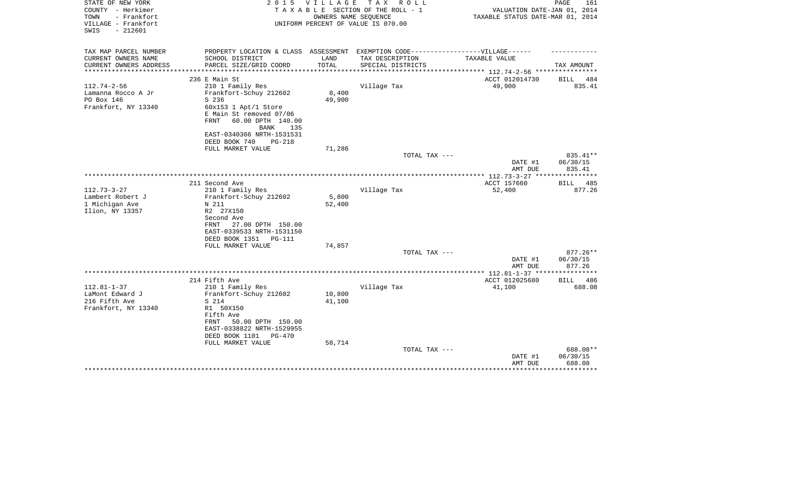| STATE OF NEW YORK<br>COUNTY - Herkimer<br>TOWN<br>- Frankfort | 2 0 1 5                                                                          | VILLAGE         | TAX ROLL<br>TAXABLE SECTION OF THE ROLL - 1<br>OWNERS NAME SEQUENCE | VALUATION DATE-JAN 01, 2014<br>TAXABLE STATUS DATE-MAR 01, 2014 | PAGE<br>161        |
|---------------------------------------------------------------|----------------------------------------------------------------------------------|-----------------|---------------------------------------------------------------------|-----------------------------------------------------------------|--------------------|
| VILLAGE - Frankfort<br>$-212601$<br>SWIS                      |                                                                                  |                 | UNIFORM PERCENT OF VALUE IS 070.00                                  |                                                                 |                    |
| TAX MAP PARCEL NUMBER                                         | PROPERTY LOCATION & CLASS ASSESSMENT EXEMPTION CODE----------------VILLAGE------ |                 |                                                                     |                                                                 |                    |
| CURRENT OWNERS NAME                                           | SCHOOL DISTRICT                                                                  | LAND            | TAX DESCRIPTION                                                     | TAXABLE VALUE                                                   |                    |
| CURRENT OWNERS ADDRESS                                        | PARCEL SIZE/GRID COORD                                                           | TOTAL           | SPECIAL DISTRICTS                                                   | *********** 112.74-2-56 ****                                    | TAX AMOUNT         |
|                                                               | 236 E Main St                                                                    |                 |                                                                     | ACCT 012014730                                                  | 484<br>BILL        |
| $112.74 - 2 - 56$                                             | 210 1 Family Res                                                                 |                 | Village Tax                                                         | 49,900                                                          | 835.41             |
| Lamanna Rocco A Jr                                            | Frankfort-Schuy 212602                                                           | 8,400           |                                                                     |                                                                 |                    |
| PO Box 146                                                    | S 236                                                                            | 49,900          |                                                                     |                                                                 |                    |
| Frankfort, NY 13340                                           | $60x153$ 1 Apt/1 Store                                                           |                 |                                                                     |                                                                 |                    |
|                                                               | E Main St removed 07/06                                                          |                 |                                                                     |                                                                 |                    |
|                                                               | <b>FRNT</b><br>60.00 DPTH 140.00                                                 |                 |                                                                     |                                                                 |                    |
|                                                               | <b>BANK</b><br>135                                                               |                 |                                                                     |                                                                 |                    |
|                                                               | EAST-0340366 NRTH-1531531                                                        |                 |                                                                     |                                                                 |                    |
|                                                               | DEED BOOK 740<br><b>PG-218</b>                                                   |                 |                                                                     |                                                                 |                    |
|                                                               | FULL MARKET VALUE                                                                | 71,286          |                                                                     |                                                                 |                    |
|                                                               |                                                                                  |                 | TOTAL TAX ---                                                       |                                                                 | 835.41**           |
|                                                               |                                                                                  |                 |                                                                     | DATE #1                                                         | 06/30/15           |
|                                                               |                                                                                  |                 |                                                                     | AMT DUE                                                         | 835.41             |
|                                                               |                                                                                  |                 |                                                                     |                                                                 |                    |
|                                                               | 211 Second Ave                                                                   |                 |                                                                     | ACCT 157660                                                     | <b>BILL</b><br>485 |
| $112.73 - 3 - 27$                                             | 210 1 Family Res                                                                 |                 | Village Tax                                                         | 52,400                                                          | 877.26             |
| Lambert Robert J<br>1 Michigan Ave                            | Frankfort-Schuy 212602<br>N 211                                                  | 5,800<br>52,400 |                                                                     |                                                                 |                    |
| Ilion, NY 13357                                               | R2 27X150                                                                        |                 |                                                                     |                                                                 |                    |
|                                                               | Second Ave                                                                       |                 |                                                                     |                                                                 |                    |
|                                                               | 27.00 DPTH 150.00<br>FRNT                                                        |                 |                                                                     |                                                                 |                    |
|                                                               | EAST-0339533 NRTH-1531150                                                        |                 |                                                                     |                                                                 |                    |
|                                                               | DEED BOOK 1351<br><b>PG-111</b>                                                  |                 |                                                                     |                                                                 |                    |
|                                                               | FULL MARKET VALUE                                                                | 74,857          |                                                                     |                                                                 |                    |
|                                                               |                                                                                  |                 | TOTAL TAX ---                                                       |                                                                 | $877.26**$         |
|                                                               |                                                                                  |                 |                                                                     | DATE #1                                                         | 06/30/15           |
|                                                               |                                                                                  |                 |                                                                     | AMT DUE                                                         | 877.26             |
|                                                               |                                                                                  |                 |                                                                     |                                                                 |                    |
|                                                               | 214 Fifth Ave                                                                    |                 |                                                                     | ACCT 012025680                                                  | 486<br>BILL        |
| $112.81 - 1 - 37$                                             | 210 1 Family Res                                                                 |                 | Village Tax                                                         | 41,100                                                          | 688.08             |
| LaMont Edward J                                               | Frankfort-Schuy 212602                                                           | 10,800          |                                                                     |                                                                 |                    |
| 216 Fifth Ave                                                 | S 214                                                                            | 41,100          |                                                                     |                                                                 |                    |
| Frankfort, NY 13340                                           | R1 50X150                                                                        |                 |                                                                     |                                                                 |                    |
|                                                               | Fifth Ave                                                                        |                 |                                                                     |                                                                 |                    |
|                                                               | FRNT<br>50.00 DPTH 150.00                                                        |                 |                                                                     |                                                                 |                    |
|                                                               | EAST-0338822 NRTH-1529955                                                        |                 |                                                                     |                                                                 |                    |
|                                                               | DEED BOOK 1101<br>PG-470                                                         |                 |                                                                     |                                                                 |                    |
|                                                               | FULL MARKET VALUE                                                                | 58,714          |                                                                     |                                                                 |                    |
|                                                               |                                                                                  |                 | TOTAL TAX ---                                                       |                                                                 | 688.08**           |
|                                                               |                                                                                  |                 |                                                                     | DATE #1                                                         | 06/30/15           |
|                                                               |                                                                                  |                 |                                                                     | AMT DUE                                                         | 688.08             |
|                                                               |                                                                                  |                 |                                                                     |                                                                 |                    |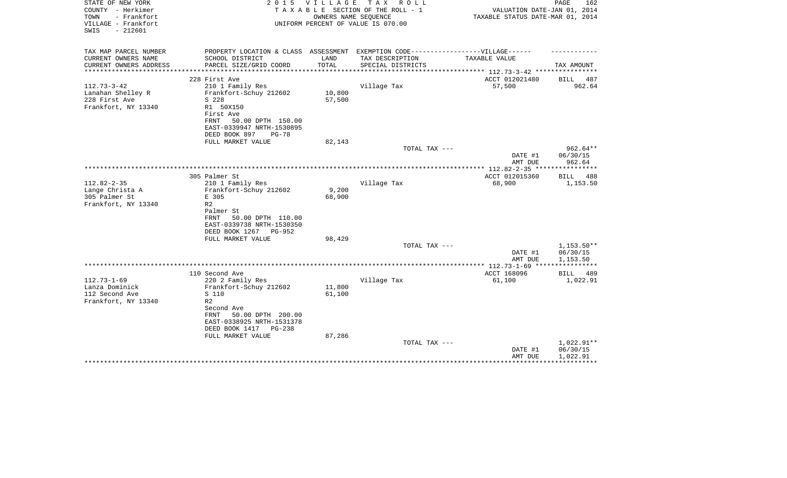| STATE OF NEW YORK<br>COUNTY - Herkimer<br>TOWN<br>- Frankfort<br>VILLAGE - Frankfort<br>$-212601$<br>SWIS | 2 0 1 5                                                                           | V I L L A G E | TAX ROLL<br>TAXABLE SECTION OF THE ROLL - 1<br>OWNERS NAME SEQUENCE<br>UNIFORM PERCENT OF VALUE IS 070.00 | VALUATION DATE-JAN 01, 2014<br>TAXABLE STATUS DATE-MAR 01, 2014 | PAGE<br>162             |
|-----------------------------------------------------------------------------------------------------------|-----------------------------------------------------------------------------------|---------------|-----------------------------------------------------------------------------------------------------------|-----------------------------------------------------------------|-------------------------|
| TAX MAP PARCEL NUMBER                                                                                     | PROPERTY LOCATION & CLASS ASSESSMENT EXEMPTION CODE-----------------VILLAGE------ |               |                                                                                                           |                                                                 |                         |
| CURRENT OWNERS NAME<br>CURRENT OWNERS ADDRESS                                                             | SCHOOL DISTRICT<br>PARCEL SIZE/GRID COORD                                         | LAND<br>TOTAL | TAX DESCRIPTION<br>SPECIAL DISTRICTS                                                                      | TAXABLE VALUE                                                   | TAX AMOUNT              |
| *********************                                                                                     |                                                                                   |               |                                                                                                           | *************************** 112.73-3-42 ****************        |                         |
|                                                                                                           | 228 First Ave                                                                     |               |                                                                                                           | ACCT 012021480                                                  | BILL 487                |
| $112.73 - 3 - 42$<br>Lanahan Shelley R                                                                    | 210 1 Family Res<br>Frankfort-Schuy 212602                                        | 10,800        | Village Tax                                                                                               | 57,500                                                          | 962.64                  |
| 228 First Ave                                                                                             | S 228                                                                             | 57,500        |                                                                                                           |                                                                 |                         |
| Frankfort, NY 13340                                                                                       | R1 50X150                                                                         |               |                                                                                                           |                                                                 |                         |
|                                                                                                           | First Ave                                                                         |               |                                                                                                           |                                                                 |                         |
|                                                                                                           | 50.00 DPTH 150.00<br>FRNT                                                         |               |                                                                                                           |                                                                 |                         |
|                                                                                                           | EAST-0339947 NRTH-1530895                                                         |               |                                                                                                           |                                                                 |                         |
|                                                                                                           | DEED BOOK 897<br>$PG-78$                                                          |               |                                                                                                           |                                                                 |                         |
|                                                                                                           | FULL MARKET VALUE                                                                 | 82,143        |                                                                                                           |                                                                 |                         |
|                                                                                                           |                                                                                   |               | TOTAL TAX ---                                                                                             |                                                                 | $962.64**$              |
|                                                                                                           |                                                                                   |               |                                                                                                           | DATE #1                                                         | 06/30/15                |
|                                                                                                           |                                                                                   |               |                                                                                                           | AMT DUE                                                         | 962.64                  |
|                                                                                                           |                                                                                   |               |                                                                                                           |                                                                 |                         |
| $112.82 - 2 - 35$                                                                                         | 305 Palmer St<br>210 1 Family Res                                                 |               | Village Tax                                                                                               | ACCT 012015360<br>68,900                                        | BILL<br>488<br>1,153.50 |
| Lange Christa A                                                                                           | Frankfort-Schuy 212602                                                            | 9,200         |                                                                                                           |                                                                 |                         |
| 305 Palmer St                                                                                             | E 305                                                                             | 68,900        |                                                                                                           |                                                                 |                         |
| Frankfort, NY 13340                                                                                       | R <sub>2</sub>                                                                    |               |                                                                                                           |                                                                 |                         |
|                                                                                                           | Palmer St                                                                         |               |                                                                                                           |                                                                 |                         |
|                                                                                                           | 50.00 DPTH 110.00<br><b>FRNT</b>                                                  |               |                                                                                                           |                                                                 |                         |
|                                                                                                           | EAST-0339738 NRTH-1530350                                                         |               |                                                                                                           |                                                                 |                         |
|                                                                                                           | DEED BOOK 1267<br>PG-952                                                          |               |                                                                                                           |                                                                 |                         |
|                                                                                                           | FULL MARKET VALUE                                                                 | 98,429        |                                                                                                           |                                                                 |                         |
|                                                                                                           |                                                                                   |               | TOTAL TAX ---                                                                                             |                                                                 | 1,153.50**              |
|                                                                                                           |                                                                                   |               |                                                                                                           | DATE #1                                                         | 06/30/15                |
|                                                                                                           |                                                                                   |               |                                                                                                           | AMT DUE                                                         | 1,153.50                |
|                                                                                                           | 110 Second Ave                                                                    |               |                                                                                                           | ACCT 168096                                                     | BILL<br>489             |
| $112.73 - 1 - 69$                                                                                         | 220 2 Family Res                                                                  |               | Village Tax                                                                                               | 61,100                                                          | 1,022.91                |
| Lanza Dominick                                                                                            | Frankfort-Schuy 212602                                                            | 11,800        |                                                                                                           |                                                                 |                         |
| 112 Second Ave                                                                                            | S 110                                                                             | 61,100        |                                                                                                           |                                                                 |                         |
| Frankfort, NY 13340                                                                                       | R <sub>2</sub>                                                                    |               |                                                                                                           |                                                                 |                         |
|                                                                                                           | Second Ave                                                                        |               |                                                                                                           |                                                                 |                         |
|                                                                                                           | 50.00 DPTH 200.00<br>FRNT                                                         |               |                                                                                                           |                                                                 |                         |
|                                                                                                           | EAST-0338925 NRTH-1531378                                                         |               |                                                                                                           |                                                                 |                         |
|                                                                                                           | DEED BOOK 1417<br>$PG-238$                                                        |               |                                                                                                           |                                                                 |                         |
|                                                                                                           | FULL MARKET VALUE                                                                 | 87,286        |                                                                                                           |                                                                 |                         |
|                                                                                                           |                                                                                   |               | TOTAL TAX ---                                                                                             |                                                                 | 1,022.91**              |
|                                                                                                           |                                                                                   |               |                                                                                                           | DATE #1                                                         | 06/30/15                |
|                                                                                                           |                                                                                   |               |                                                                                                           | AMT DUE                                                         | 1,022.91                |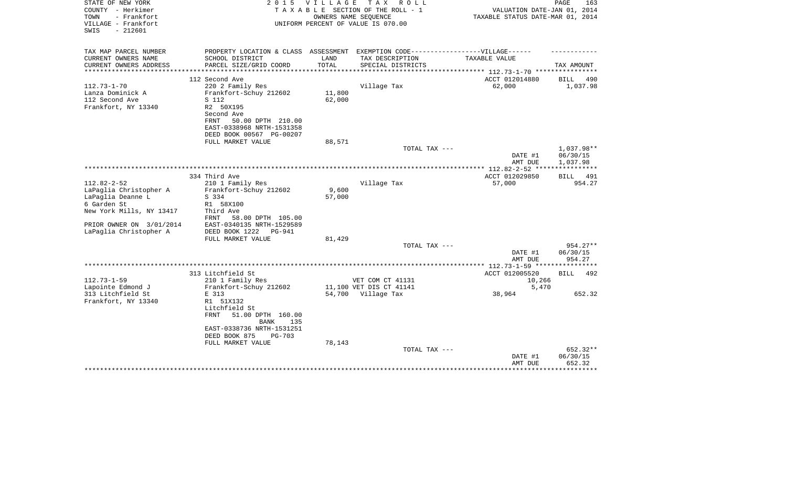| STATE OF NEW YORK<br>COUNTY - Herkimer<br>TOWN<br>- Frankfort<br>VILLAGE - Frankfort<br>$-212601$<br>SWIS                                                         | 2 0 1 5                                                                                                                                                             | <b>VILLAGE</b><br>OWNERS NAME SEOUENCE | T A X<br>R O L L<br>TAXABLE SECTION OF THE ROLL - 1<br>UNIFORM PERCENT OF VALUE IS 070.00 | VALUATION DATE-JAN 01, 2014<br>TAXABLE STATUS DATE-MAR 01, 2014 | PAGE<br>163           |
|-------------------------------------------------------------------------------------------------------------------------------------------------------------------|---------------------------------------------------------------------------------------------------------------------------------------------------------------------|----------------------------------------|-------------------------------------------------------------------------------------------|-----------------------------------------------------------------|-----------------------|
| TAX MAP PARCEL NUMBER                                                                                                                                             | PROPERTY LOCATION & CLASS ASSESSMENT EXEMPTION CODE-----------------VILLAGE------                                                                                   |                                        |                                                                                           |                                                                 |                       |
| CURRENT OWNERS NAME<br>CURRENT OWNERS ADDRESS<br>*********************                                                                                            | SCHOOL DISTRICT<br>PARCEL SIZE/GRID COORD<br>****************************                                                                                           | LAND<br>TOTAL                          | TAX DESCRIPTION<br>SPECIAL DISTRICTS                                                      | TAXABLE VALUE                                                   | TAX AMOUNT            |
|                                                                                                                                                                   | 112 Second Ave                                                                                                                                                      |                                        |                                                                                           | ACCT 012014880                                                  | 490<br>BILL           |
| $112.73 - 1 - 70$<br>Lanza Dominick A<br>112 Second Ave<br>Frankfort, NY 13340                                                                                    | 220 2 Family Res<br>Frankfort-Schuy 212602<br>S 112<br>R2 50X195<br>Second Ave<br>FRNT<br>50.00 DPTH 210.00                                                         | 11,800<br>62,000                       | Village Tax                                                                               | 62,000                                                          | 1,037.98              |
|                                                                                                                                                                   | EAST-0338968 NRTH-1531358<br>DEED BOOK 00567 PG-00207                                                                                                               |                                        |                                                                                           |                                                                 |                       |
|                                                                                                                                                                   | FULL MARKET VALUE                                                                                                                                                   | 88,571                                 | TOTAL TAX ---                                                                             |                                                                 | 1,037.98**            |
|                                                                                                                                                                   |                                                                                                                                                                     |                                        |                                                                                           | DATE #1<br>AMT DUE                                              | 06/30/15<br>1,037.98  |
|                                                                                                                                                                   | 334 Third Ave                                                                                                                                                       |                                        |                                                                                           |                                                                 |                       |
| $112.82 - 2 - 52$<br>LaPaglia Christopher A<br>LaPaglia Deanne L<br>6 Garden St<br>New York Mills, NY 13417<br>PRIOR OWNER ON 3/01/2014<br>LaPaglia Christopher A | 210 1 Family Res<br>Frankfort-Schuy 212602<br>S 334<br>R1 58X100<br>Third Ave<br>58.00 DPTH 105.00<br>FRNT<br>EAST-0340135 NRTH-1529589<br>DEED BOOK 1222<br>PG-941 | 9,600<br>57,000                        | Village Tax                                                                               | ACCT 012029850<br>57,000                                        | 491<br>BILL<br>954.27 |
|                                                                                                                                                                   | FULL MARKET VALUE                                                                                                                                                   | 81,429                                 | TOTAL TAX ---                                                                             |                                                                 | 954.27**              |
|                                                                                                                                                                   |                                                                                                                                                                     |                                        |                                                                                           | DATE #1<br>AMT DUE                                              | 06/30/15<br>954.27    |
|                                                                                                                                                                   |                                                                                                                                                                     |                                        |                                                                                           |                                                                 |                       |
|                                                                                                                                                                   | 313 Litchfield St                                                                                                                                                   |                                        |                                                                                           | ACCT 012005520                                                  | <b>BILL</b><br>492    |
| $112.73 - 1 - 59$<br>Lapointe Edmond J                                                                                                                            | 210 1 Family Res<br>Frankfort-Schuy 212602                                                                                                                          |                                        | VET COM CT 41131<br>11,100 VET DIS CT 41141                                               | 10,266<br>5,470                                                 |                       |
| 313 Litchfield St                                                                                                                                                 | E 313                                                                                                                                                               |                                        | 54,700 Village Tax                                                                        | 38,964                                                          | 652.32                |
| Frankfort, NY 13340                                                                                                                                               | R1 51X132<br>Litchfield St<br>FRNT<br>51.00 DPTH 160.00<br><b>BANK</b><br>135<br>EAST-0338736 NRTH-1531251<br>DEED BOOK 875<br>$PG-703$<br>FULL MARKET VALUE        | 78,143                                 |                                                                                           |                                                                 |                       |
|                                                                                                                                                                   |                                                                                                                                                                     |                                        | TOTAL TAX ---                                                                             |                                                                 | 652.32**              |
|                                                                                                                                                                   |                                                                                                                                                                     |                                        |                                                                                           | DATE #1<br>AMT DUE                                              | 06/30/15<br>652.32    |
|                                                                                                                                                                   |                                                                                                                                                                     |                                        |                                                                                           |                                                                 |                       |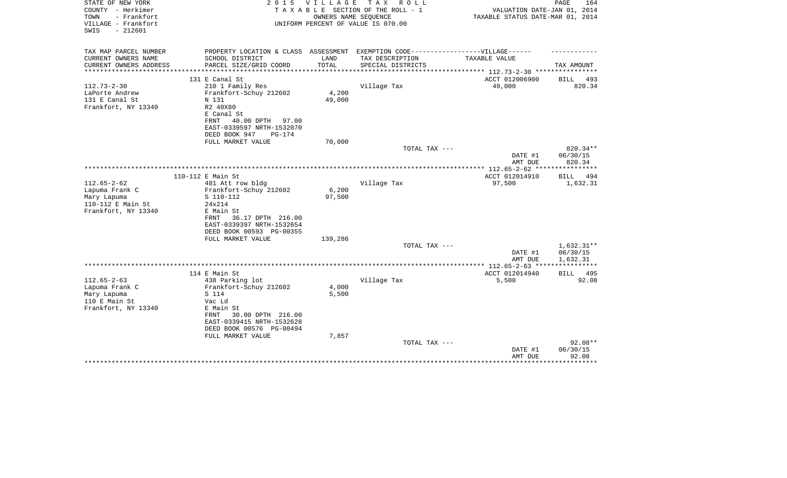| STATE OF NEW YORK<br>COUNTY - Herkimer                          | 2 0 1 5                                                                           | V I L L A G E  | T A X<br>R O L L<br>TAXABLE SECTION OF THE ROLL - 1        | VALUATION DATE-JAN 01, 2014                                                | PAGE<br>164          |
|-----------------------------------------------------------------|-----------------------------------------------------------------------------------|----------------|------------------------------------------------------------|----------------------------------------------------------------------------|----------------------|
| TOWN<br>- Frankfort<br>VILLAGE - Frankfort<br>$-212601$<br>SWIS |                                                                                   |                | OWNERS NAME SEQUENCE<br>UNIFORM PERCENT OF VALUE IS 070.00 | TAXABLE STATUS DATE-MAR 01, 2014                                           |                      |
| TAX MAP PARCEL NUMBER                                           | PROPERTY LOCATION & CLASS ASSESSMENT EXEMPTION CODE-----------------VILLAGE------ |                |                                                            |                                                                            |                      |
| CURRENT OWNERS NAME                                             | SCHOOL DISTRICT                                                                   | LAND           | TAX DESCRIPTION                                            | TAXABLE VALUE                                                              |                      |
| CURRENT OWNERS ADDRESS                                          | PARCEL SIZE/GRID COORD                                                            | TOTAL          | SPECIAL DISTRICTS                                          |                                                                            | TAX AMOUNT           |
| *********************                                           | 131 E Canal St                                                                    |                |                                                            | *************************** 112.73-2-30 ****************<br>ACCT 012006900 | BILL<br>493          |
| $112.73 - 2 - 30$                                               | 210 1 Family Res                                                                  |                | Village Tax                                                | 49,000                                                                     | 820.34               |
| LaPorte Andrew                                                  | Frankfort-Schuy 212602                                                            | 4,200          |                                                            |                                                                            |                      |
| 131 E Canal St                                                  | N 131                                                                             | 49,000         |                                                            |                                                                            |                      |
| Frankfort, NY 13340                                             | R2 40X80                                                                          |                |                                                            |                                                                            |                      |
|                                                                 | E Canal St                                                                        |                |                                                            |                                                                            |                      |
|                                                                 | 40.00 DPTH<br>FRNT<br>97.00                                                       |                |                                                            |                                                                            |                      |
|                                                                 | EAST-0339597 NRTH-1532070                                                         |                |                                                            |                                                                            |                      |
|                                                                 | DEED BOOK 947<br>$PG-174$                                                         |                |                                                            |                                                                            |                      |
|                                                                 | FULL MARKET VALUE                                                                 | 70,000         |                                                            |                                                                            |                      |
|                                                                 |                                                                                   |                | TOTAL TAX ---                                              | DATE #1                                                                    | 820.34**<br>06/30/15 |
|                                                                 |                                                                                   |                |                                                            | AMT DUE                                                                    | 820.34               |
|                                                                 |                                                                                   |                |                                                            |                                                                            |                      |
|                                                                 | 110-112 E Main St                                                                 |                |                                                            | ACCT 012014910                                                             | <b>BILL</b><br>494   |
| $112.65 - 2 - 62$                                               | 481 Att row bldg                                                                  |                | Village Tax                                                | 97,500                                                                     | 1,632.31             |
| Lapuma Frank C                                                  | Frankfort-Schuy 212602                                                            | 6,200          |                                                            |                                                                            |                      |
| Mary Lapuma                                                     | S 110-112                                                                         | 97,500         |                                                            |                                                                            |                      |
| 110-112 E Main St                                               | 24x214                                                                            |                |                                                            |                                                                            |                      |
| Frankfort, NY 13340                                             | E Main St                                                                         |                |                                                            |                                                                            |                      |
|                                                                 | 36.17 DPTH 216.00<br>FRNT<br>EAST-0339397 NRTH-1532654                            |                |                                                            |                                                                            |                      |
|                                                                 | DEED BOOK 00593 PG-00355                                                          |                |                                                            |                                                                            |                      |
|                                                                 | FULL MARKET VALUE                                                                 | 139,286        |                                                            |                                                                            |                      |
|                                                                 |                                                                                   |                | TOTAL TAX ---                                              |                                                                            | 1,632.31**           |
|                                                                 |                                                                                   |                |                                                            | DATE #1                                                                    | 06/30/15             |
|                                                                 |                                                                                   |                |                                                            | AMT DUE                                                                    | 1,632.31             |
|                                                                 |                                                                                   |                |                                                            |                                                                            | ******               |
|                                                                 | 114 E Main St                                                                     |                |                                                            | ACCT 012014940                                                             | BILL<br>495          |
| $112.65 - 2 - 63$                                               | 438 Parking lot                                                                   |                | Village Tax                                                | 5,500                                                                      | 92.08                |
| Lapuma Frank C                                                  | Frankfort-Schuy 212602<br>S 114                                                   | 4,000<br>5,500 |                                                            |                                                                            |                      |
| Mary Lapuma<br>110 E Main St                                    | Vac Ld                                                                            |                |                                                            |                                                                            |                      |
| Frankfort, NY 13340                                             | E Main St                                                                         |                |                                                            |                                                                            |                      |
|                                                                 | 30.00 DPTH 216.00<br>FRNT                                                         |                |                                                            |                                                                            |                      |
|                                                                 | EAST-0339415 NRTH-1532628                                                         |                |                                                            |                                                                            |                      |
|                                                                 | DEED BOOK 00576 PG-00494                                                          |                |                                                            |                                                                            |                      |
|                                                                 | FULL MARKET VALUE                                                                 | 7,857          |                                                            |                                                                            |                      |
|                                                                 |                                                                                   |                | TOTAL TAX ---                                              |                                                                            | $92.08**$            |
|                                                                 |                                                                                   |                |                                                            | DATE #1                                                                    | 06/30/15             |
|                                                                 |                                                                                   |                |                                                            | AMT DUE                                                                    | 92.08<br>********    |
|                                                                 |                                                                                   |                |                                                            |                                                                            |                      |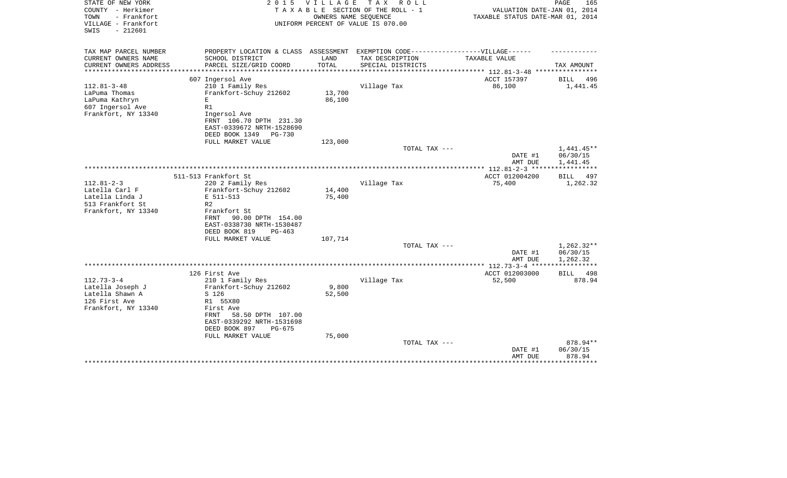| STATE OF NEW YORK<br>COUNTY - Herkimer<br>- Frankfort<br>TOWN<br>VILLAGE - Frankfort | 2 0 1 5                                                | V I L L A G E             | T A X<br>R O L L<br>TAXABLE SECTION OF THE ROLL - 1<br>OWNERS NAME SEQUENCE<br>UNIFORM PERCENT OF VALUE IS 070.00 | VALUATION DATE-JAN 01, 2014<br>TAXABLE STATUS DATE-MAR 01, 2014 | PAGE<br>165              |
|--------------------------------------------------------------------------------------|--------------------------------------------------------|---------------------------|-------------------------------------------------------------------------------------------------------------------|-----------------------------------------------------------------|--------------------------|
| $-212601$<br>SWIS                                                                    |                                                        |                           |                                                                                                                   |                                                                 |                          |
| TAX MAP PARCEL NUMBER                                                                | PROPERTY LOCATION & CLASS ASSESSMENT                   |                           | EXEMPTION CODE------------------VILLAGE------                                                                     |                                                                 |                          |
| CURRENT OWNERS NAME                                                                  | SCHOOL DISTRICT                                        | LAND                      | TAX DESCRIPTION                                                                                                   | TAXABLE VALUE                                                   |                          |
| CURRENT OWNERS ADDRESS<br>*******************                                        | PARCEL SIZE/GRID COORD<br>**************************   | TOTAL<br>**************** | SPECIAL DISTRICTS                                                                                                 | ***************** 112.81-3-48 *****************                 | TAX AMOUNT               |
|                                                                                      | 607 Ingersol Ave                                       |                           |                                                                                                                   | ACCT 157397                                                     | BILL<br>496              |
| $112.81 - 3 - 48$                                                                    | 210 1 Family Res                                       |                           | Village Tax                                                                                                       | 86,100                                                          | 1,441.45                 |
| LaPuma Thomas                                                                        | Frankfort-Schuy 212602                                 | 13,700                    |                                                                                                                   |                                                                 |                          |
| LaPuma Kathryn                                                                       | E                                                      | 86,100                    |                                                                                                                   |                                                                 |                          |
| 607 Ingersol Ave                                                                     | R1                                                     |                           |                                                                                                                   |                                                                 |                          |
| Frankfort, NY 13340                                                                  | Ingersol Ave<br>FRNT 106.70 DPTH 231.30                |                           |                                                                                                                   |                                                                 |                          |
|                                                                                      | EAST-0339672 NRTH-1528690                              |                           |                                                                                                                   |                                                                 |                          |
|                                                                                      | DEED BOOK 1349<br>PG-730                               |                           |                                                                                                                   |                                                                 |                          |
|                                                                                      | FULL MARKET VALUE                                      | 123,000                   |                                                                                                                   |                                                                 |                          |
|                                                                                      |                                                        |                           | TOTAL TAX ---                                                                                                     |                                                                 | 1,441.45**               |
|                                                                                      |                                                        |                           |                                                                                                                   | DATE #1                                                         | 06/30/15                 |
|                                                                                      |                                                        |                           |                                                                                                                   | AMT DUE                                                         | 1,441.45<br>************ |
|                                                                                      | 511-513 Frankfort St                                   |                           |                                                                                                                   | **************** 112.81-2-3 *****<br>ACCT 012004200             | BILL<br>497              |
| $112.81 - 2 - 3$                                                                     | 220 2 Family Res                                       |                           | Village Tax                                                                                                       | 75,400                                                          | 1,262.32                 |
| Latella Carl F                                                                       | Frankfort-Schuy 212602                                 | 14,400                    |                                                                                                                   |                                                                 |                          |
| Latella Linda J                                                                      | E 511-513                                              | 75,400                    |                                                                                                                   |                                                                 |                          |
| 513 Frankfort St                                                                     | R <sub>2</sub>                                         |                           |                                                                                                                   |                                                                 |                          |
| Frankfort, NY 13340                                                                  | Frankfort St                                           |                           |                                                                                                                   |                                                                 |                          |
|                                                                                      | 90.00 DPTH 154.00<br>FRNT                              |                           |                                                                                                                   |                                                                 |                          |
|                                                                                      | EAST-0338730 NRTH-1530487<br>DEED BOOK 819<br>$PG-463$ |                           |                                                                                                                   |                                                                 |                          |
|                                                                                      | FULL MARKET VALUE                                      | 107,714                   |                                                                                                                   |                                                                 |                          |
|                                                                                      |                                                        |                           | TOTAL TAX ---                                                                                                     |                                                                 | $1,262.32**$             |
|                                                                                      |                                                        |                           |                                                                                                                   | DATE #1                                                         | 06/30/15                 |
|                                                                                      |                                                        |                           |                                                                                                                   | AMT DUE                                                         | 1,262.32                 |
|                                                                                      |                                                        |                           |                                                                                                                   |                                                                 |                          |
| $112.73 - 3 - 4$                                                                     | 126 First Ave<br>210 1 Family Res                      |                           |                                                                                                                   | ACCT 012003000<br>52,500                                        | BILL<br>498<br>878.94    |
| Latella Joseph J                                                                     | Frankfort-Schuy 212602                                 | 9,800                     | Village Tax                                                                                                       |                                                                 |                          |
| Latella Shawn A                                                                      | S 126                                                  | 52,500                    |                                                                                                                   |                                                                 |                          |
| 126 First Ave                                                                        | R1 55X80                                               |                           |                                                                                                                   |                                                                 |                          |
| Frankfort, NY 13340                                                                  | First Ave                                              |                           |                                                                                                                   |                                                                 |                          |
|                                                                                      | 58.50 DPTH 107.00<br>FRNT                              |                           |                                                                                                                   |                                                                 |                          |
|                                                                                      | EAST-0339292 NRTH-1531698                              |                           |                                                                                                                   |                                                                 |                          |
|                                                                                      | DEED BOOK 897<br>$PG-675$                              |                           |                                                                                                                   |                                                                 |                          |
|                                                                                      | FULL MARKET VALUE                                      | 75,000                    | TOTAL TAX ---                                                                                                     |                                                                 | 878.94**                 |
|                                                                                      |                                                        |                           |                                                                                                                   | DATE #1                                                         | 06/30/15                 |
|                                                                                      |                                                        |                           |                                                                                                                   | AMT DUE                                                         | 878.94                   |
|                                                                                      |                                                        |                           |                                                                                                                   |                                                                 |                          |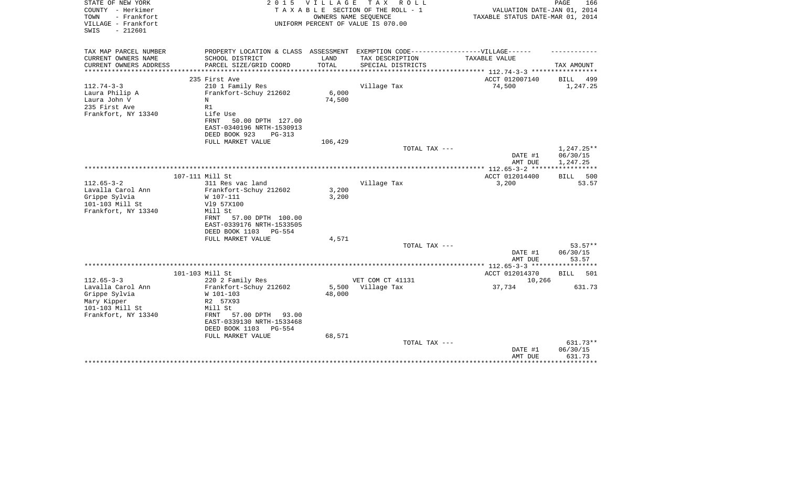| STATE OF NEW YORK<br>COUNTY - Herkimer<br>TOWN<br>- Frankfort<br>VILLAGE - Frankfort<br>$-212601$<br>SWIS       | 2 0 1 5                                                                                                                                                                                     | V I L L A G E             | T A X<br>R O L L<br>TAXABLE SECTION OF THE ROLL - 1<br>OWNERS NAME SEQUENCE<br>UNIFORM PERCENT OF VALUE IS 070.00 | VALUATION DATE-JAN 01, 2014<br>TAXABLE STATUS DATE-MAR 01, 2014 | PAGE<br>166                                |
|-----------------------------------------------------------------------------------------------------------------|---------------------------------------------------------------------------------------------------------------------------------------------------------------------------------------------|---------------------------|-------------------------------------------------------------------------------------------------------------------|-----------------------------------------------------------------|--------------------------------------------|
| TAX MAP PARCEL NUMBER                                                                                           | PROPERTY LOCATION & CLASS ASSESSMENT EXEMPTION CODE----------------VILLAGE------                                                                                                            |                           |                                                                                                                   |                                                                 |                                            |
| CURRENT OWNERS NAME<br>CURRENT OWNERS ADDRESS<br>*********************                                          | SCHOOL DISTRICT<br>PARCEL SIZE/GRID COORD                                                                                                                                                   | LAND<br>TOTAL             | TAX DESCRIPTION<br>SPECIAL DISTRICTS                                                                              | TAXABLE VALUE                                                   | TAX AMOUNT                                 |
|                                                                                                                 | 235 First Ave                                                                                                                                                                               |                           |                                                                                                                   | ACCT 012007140                                                  | BILL<br>499                                |
| $112.74 - 3 - 3$<br>Laura Philip A<br>Laura John V<br>235 First Ave<br>Frankfort, NY 13340                      | 210 1 Family Res<br>Frankfort-Schuy 212602<br>N<br>R1<br>Life Use<br>50.00 DPTH 127.00<br>FRNT<br>EAST-0340196 NRTH-1530913                                                                 | 6,000<br>74,500           | Village Tax                                                                                                       | 74,500                                                          | 1,247.25                                   |
|                                                                                                                 | DEED BOOK 923<br>$PG-313$<br>FULL MARKET VALUE                                                                                                                                              | 106,429                   |                                                                                                                   |                                                                 |                                            |
|                                                                                                                 |                                                                                                                                                                                             |                           | TOTAL TAX ---                                                                                                     |                                                                 | 1,247.25**                                 |
|                                                                                                                 |                                                                                                                                                                                             |                           |                                                                                                                   | DATE #1<br>AMT DUE                                              | 06/30/15<br>1,247.25                       |
|                                                                                                                 |                                                                                                                                                                                             |                           |                                                                                                                   |                                                                 |                                            |
| 107-111 Mill St<br>$112.65 - 3 - 2$                                                                             | 311 Res vac land                                                                                                                                                                            |                           | Village Tax                                                                                                       | ACCT 012014400<br>3,200                                         | 500<br>BILL<br>53.57                       |
| Lavalla Carol Ann<br>Grippe Sylvia<br>101-103 Mill St<br>Frankfort, NY 13340                                    | Frankfort-Schuy 212602<br>W 107-111<br>V19 57X100<br>Mill St<br>57.00 DPTH 100.00<br>FRNT<br>EAST-0339176 NRTH-1533505<br>DEED BOOK 1103<br>PG-554                                          | 3,200<br>3,200            |                                                                                                                   |                                                                 |                                            |
|                                                                                                                 | FULL MARKET VALUE                                                                                                                                                                           | 4,571                     |                                                                                                                   |                                                                 |                                            |
|                                                                                                                 |                                                                                                                                                                                             |                           | TOTAL TAX ---                                                                                                     | DATE #1<br>AMT DUE                                              | $53.57**$<br>06/30/15<br>53.57             |
|                                                                                                                 |                                                                                                                                                                                             |                           |                                                                                                                   |                                                                 |                                            |
| 101-103 Mill St                                                                                                 |                                                                                                                                                                                             |                           |                                                                                                                   | ACCT 012014370                                                  | 501<br>BILL                                |
| $112.65 - 3 - 3$<br>Lavalla Carol Ann<br>Grippe Sylvia<br>Mary Kipper<br>101-103 Mill St<br>Frankfort, NY 13340 | 220 2 Family Res<br>Frankfort-Schuy 212602<br>W 101-103<br>R2 57X93<br>Mill St<br>57.00 DPTH<br>FRNT<br>93.00<br>EAST-0339130 NRTH-1533468<br>DEED BOOK 1103<br>PG-554<br>FULL MARKET VALUE | 5,500<br>48,000<br>68,571 | VET COM CT 41131<br>Village Tax                                                                                   | 10,266<br>37,734                                                | 631.73                                     |
|                                                                                                                 |                                                                                                                                                                                             |                           | TOTAL TAX ---                                                                                                     | DATE #1<br>AMT DUE                                              | 631.73**<br>06/30/15<br>631.73<br>******** |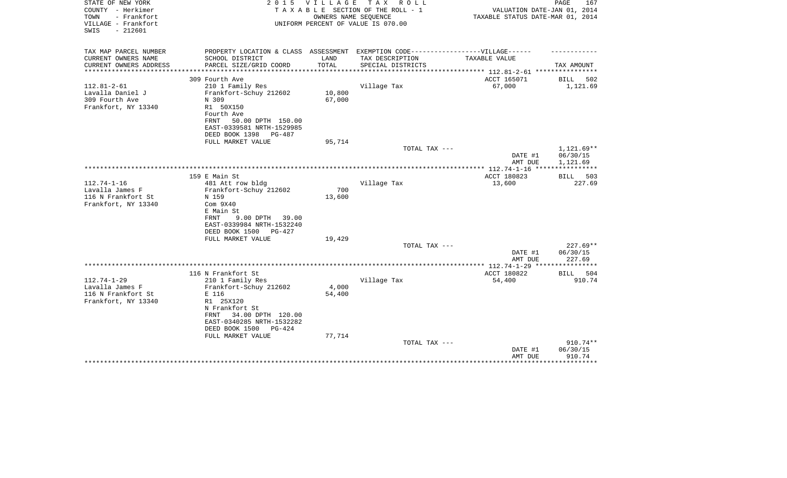| STATE OF NEW YORK      | 2 0 1 5                                                                           | V I L L A G E | T A X<br>R O L L                   |                                                           | PAGE<br>167          |
|------------------------|-----------------------------------------------------------------------------------|---------------|------------------------------------|-----------------------------------------------------------|----------------------|
| COUNTY - Herkimer      |                                                                                   |               | TAXABLE SECTION OF THE ROLL - 1    | VALUATION DATE-JAN 01, 2014                               |                      |
| TOWN<br>- Frankfort    |                                                                                   |               | OWNERS NAME SEQUENCE               | TAXABLE STATUS DATE-MAR 01, 2014                          |                      |
| VILLAGE - Frankfort    |                                                                                   |               | UNIFORM PERCENT OF VALUE IS 070.00 |                                                           |                      |
| $-212601$<br>SWIS      |                                                                                   |               |                                    |                                                           |                      |
|                        |                                                                                   |               |                                    |                                                           |                      |
| TAX MAP PARCEL NUMBER  | PROPERTY LOCATION & CLASS ASSESSMENT EXEMPTION CODE-----------------VILLAGE------ |               |                                    |                                                           |                      |
| CURRENT OWNERS NAME    | SCHOOL DISTRICT                                                                   | LAND          | TAX DESCRIPTION                    | TAXABLE VALUE                                             |                      |
| CURRENT OWNERS ADDRESS | PARCEL SIZE/GRID COORD                                                            | TOTAL         | SPECIAL DISTRICTS                  |                                                           | TAX AMOUNT           |
| *******************    | ************************                                                          |               |                                    | **************** 112.81-2-61 ************                 |                      |
|                        | 309 Fourth Ave                                                                    |               |                                    | ACCT 165071                                               | <b>BILL</b><br>502   |
| $112.81 - 2 - 61$      | 210 1 Family Res                                                                  |               | Village Tax                        | 67,000                                                    | 1,121.69             |
| Lavalla Daniel J       | Frankfort-Schuy 212602                                                            | 10,800        |                                    |                                                           |                      |
| 309 Fourth Ave         | N 309                                                                             | 67,000        |                                    |                                                           |                      |
| Frankfort, NY 13340    | R1 50X150                                                                         |               |                                    |                                                           |                      |
|                        | Fourth Ave                                                                        |               |                                    |                                                           |                      |
|                        | 50.00 DPTH 150.00<br>FRNT                                                         |               |                                    |                                                           |                      |
|                        | EAST-0339581 NRTH-1529985                                                         |               |                                    |                                                           |                      |
|                        | DEED BOOK 1398<br>PG-487                                                          |               |                                    |                                                           |                      |
|                        | FULL MARKET VALUE                                                                 | 95,714        |                                    |                                                           |                      |
|                        |                                                                                   |               | TOTAL TAX ---                      |                                                           | 1,121.69**           |
|                        |                                                                                   |               |                                    | DATE #1                                                   | 06/30/15<br>1,121.69 |
|                        |                                                                                   |               |                                    | AMT DUE<br>**************** 112.74-1-16 ***************** |                      |
|                        | 159 E Main St                                                                     |               |                                    | ACCT 180823                                               | 503<br>BILL          |
| $112.74 - 1 - 16$      | 481 Att row bldg                                                                  |               | Village Tax                        | 13,600                                                    | 227.69               |
| Lavalla James F        | Frankfort-Schuy 212602                                                            | 700           |                                    |                                                           |                      |
| 116 N Frankfort St     | N 159                                                                             | 13,600        |                                    |                                                           |                      |
| Frankfort, NY 13340    | Com <sub>9X40</sub>                                                               |               |                                    |                                                           |                      |
|                        | E Main St                                                                         |               |                                    |                                                           |                      |
|                        | FRNT<br>9.00 DPTH<br>39.00                                                        |               |                                    |                                                           |                      |
|                        | EAST-0339984 NRTH-1532240                                                         |               |                                    |                                                           |                      |
|                        | DEED BOOK 1500<br>$PG-427$                                                        |               |                                    |                                                           |                      |
|                        | FULL MARKET VALUE                                                                 | 19,429        |                                    |                                                           |                      |
|                        |                                                                                   |               | TOTAL TAX ---                      |                                                           | $227.69**$           |
|                        |                                                                                   |               |                                    | DATE #1                                                   | 06/30/15             |
|                        |                                                                                   |               |                                    | AMT DUE                                                   | 227.69               |
|                        |                                                                                   |               |                                    |                                                           |                      |
|                        | 116 N Frankfort St                                                                |               |                                    | ACCT 180822                                               | 504<br>BILL          |
| $112.74 - 1 - 29$      | 210 1 Family Res                                                                  |               | Village Tax                        | 54,400                                                    | 910.74               |
| Lavalla James F        | Frankfort-Schuy 212602                                                            | 4,000         |                                    |                                                           |                      |
| 116 N Frankfort St     | E 116                                                                             | 54,400        |                                    |                                                           |                      |
| Frankfort, NY 13340    | R1 25X120                                                                         |               |                                    |                                                           |                      |
|                        | N Frankfort St                                                                    |               |                                    |                                                           |                      |
|                        | 34.00 DPTH 120.00<br>FRNT                                                         |               |                                    |                                                           |                      |
|                        | EAST-0340285 NRTH-1532282                                                         |               |                                    |                                                           |                      |
|                        | DEED BOOK 1500<br>$PG-424$                                                        |               |                                    |                                                           |                      |
|                        | FULL MARKET VALUE                                                                 | 77,714        |                                    |                                                           |                      |
|                        |                                                                                   |               | TOTAL TAX ---                      |                                                           | $910.74**$           |
|                        |                                                                                   |               |                                    | DATE #1                                                   | 06/30/15<br>910.74   |
|                        |                                                                                   |               |                                    | AMT DUE                                                   |                      |
|                        |                                                                                   |               |                                    |                                                           |                      |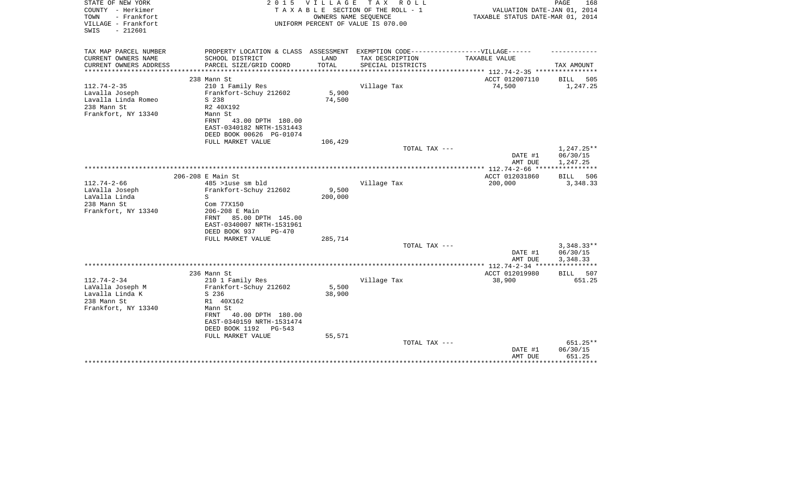| STATE OF NEW YORK<br>COUNTY - Herkimer<br>- Frankfort<br>TOWN<br>VILLAGE - Frankfort<br>$-212601$<br>SWIS | 2 0 1 5                                        | VILLAGE<br>OWNERS NAME SEQUENCE | T A X<br>R O L L<br>TAXABLE SECTION OF THE ROLL - 1<br>UNIFORM PERCENT OF VALUE IS 070.00 | VALUATION DATE-JAN 01, 2014<br>TAXABLE STATUS DATE-MAR 01, 2014 | PAGE<br>168             |
|-----------------------------------------------------------------------------------------------------------|------------------------------------------------|---------------------------------|-------------------------------------------------------------------------------------------|-----------------------------------------------------------------|-------------------------|
| TAX MAP PARCEL NUMBER                                                                                     |                                                |                                 | PROPERTY LOCATION & CLASS ASSESSMENT EXEMPTION CODE-----------------VILLAGE------         |                                                                 |                         |
| CURRENT OWNERS NAME                                                                                       | SCHOOL DISTRICT                                | LAND                            | TAX DESCRIPTION                                                                           | TAXABLE VALUE                                                   |                         |
| CURRENT OWNERS ADDRESS<br>**********************                                                          | PARCEL SIZE/GRID COORD                         | TOTAL                           | SPECIAL DISTRICTS                                                                         |                                                                 | TAX AMOUNT              |
| 238 Mann St                                                                                               |                                                |                                 |                                                                                           | ACCT 012007110                                                  | BILL<br>505             |
| $112.74 - 2 - 35$                                                                                         | 210 1 Family Res                               |                                 | Village Tax                                                                               | 74,500                                                          | 1,247.25                |
| Lavalla Joseph                                                                                            | Frankfort-Schuy 212602                         | 5,900                           |                                                                                           |                                                                 |                         |
| Lavalla Linda Romeo<br>S 238                                                                              |                                                | 74,500                          |                                                                                           |                                                                 |                         |
| 238 Mann St                                                                                               | R2 40X192                                      |                                 |                                                                                           |                                                                 |                         |
| Frankfort, NY 13340                                                                                       | Mann St                                        |                                 |                                                                                           |                                                                 |                         |
| FRNT                                                                                                      | 43.00 DPTH 180.00<br>EAST-0340182 NRTH-1531443 |                                 |                                                                                           |                                                                 |                         |
|                                                                                                           | DEED BOOK 00626 PG-01074                       |                                 |                                                                                           |                                                                 |                         |
|                                                                                                           | FULL MARKET VALUE                              | 106,429                         |                                                                                           |                                                                 |                         |
|                                                                                                           |                                                |                                 | TOTAL TAX ---                                                                             |                                                                 | $1,247.25**$            |
|                                                                                                           |                                                |                                 |                                                                                           | DATE #1                                                         | 06/30/15                |
|                                                                                                           |                                                |                                 |                                                                                           | AMT DUE                                                         | 1,247.25                |
|                                                                                                           |                                                |                                 |                                                                                           |                                                                 |                         |
| 206-208 E Main St<br>$112.74 - 2 - 66$                                                                    | $485$ >luse sm bld                             |                                 | Village Tax                                                                               | ACCT 012031860<br>200,000                                       | BILL<br>506<br>3,348.33 |
| LaValla Joseph                                                                                            | Frankfort-Schuy 212602                         | 9,500                           |                                                                                           |                                                                 |                         |
| LaValla Linda<br>S                                                                                        |                                                | 200,000                         |                                                                                           |                                                                 |                         |
| 238 Mann St                                                                                               | Com 77X150                                     |                                 |                                                                                           |                                                                 |                         |
| Frankfort, NY 13340                                                                                       | 206-208 E Main                                 |                                 |                                                                                           |                                                                 |                         |
| FRNT                                                                                                      | 85.00 DPTH 145.00                              |                                 |                                                                                           |                                                                 |                         |
|                                                                                                           | EAST-0340007 NRTH-1531961                      |                                 |                                                                                           |                                                                 |                         |
|                                                                                                           | DEED BOOK 937<br>$PG-470$                      |                                 |                                                                                           |                                                                 |                         |
|                                                                                                           | FULL MARKET VALUE                              | 285,714                         | TOTAL TAX ---                                                                             |                                                                 | $3,348.33**$            |
|                                                                                                           |                                                |                                 |                                                                                           | DATE #1                                                         | 06/30/15                |
|                                                                                                           |                                                |                                 |                                                                                           | AMT DUE                                                         | 3,348.33                |
|                                                                                                           |                                                |                                 |                                                                                           | **************** 112.74-2-34 ****                               | ***********             |
| 236 Mann St                                                                                               |                                                |                                 |                                                                                           | ACCT 012019980                                                  | BILL<br>507             |
| $112.74 - 2 - 34$                                                                                         | 210 1 Family Res                               |                                 | Village Tax                                                                               | 38,900                                                          | 651.25                  |
| LaValla Joseph M                                                                                          | Frankfort-Schuy 212602                         | 5,500                           |                                                                                           |                                                                 |                         |
| Lavalla Linda K<br>S 236<br>238 Mann St                                                                   | R1 40X162                                      | 38,900                          |                                                                                           |                                                                 |                         |
| Frankfort, NY 13340                                                                                       | Mann St                                        |                                 |                                                                                           |                                                                 |                         |
| FRNT                                                                                                      | 40.00 DPTH 180.00                              |                                 |                                                                                           |                                                                 |                         |
|                                                                                                           | EAST-0340159 NRTH-1531474                      |                                 |                                                                                           |                                                                 |                         |
|                                                                                                           | DEED BOOK 1192<br>$PG-543$                     |                                 |                                                                                           |                                                                 |                         |
|                                                                                                           | FULL MARKET VALUE                              | 55,571                          |                                                                                           |                                                                 |                         |
|                                                                                                           |                                                |                                 | TOTAL TAX ---                                                                             |                                                                 | 651.25**                |
|                                                                                                           |                                                |                                 |                                                                                           | DATE #1                                                         | 06/30/15                |
|                                                                                                           |                                                |                                 |                                                                                           | AMT DUE                                                         | 651.25<br>******        |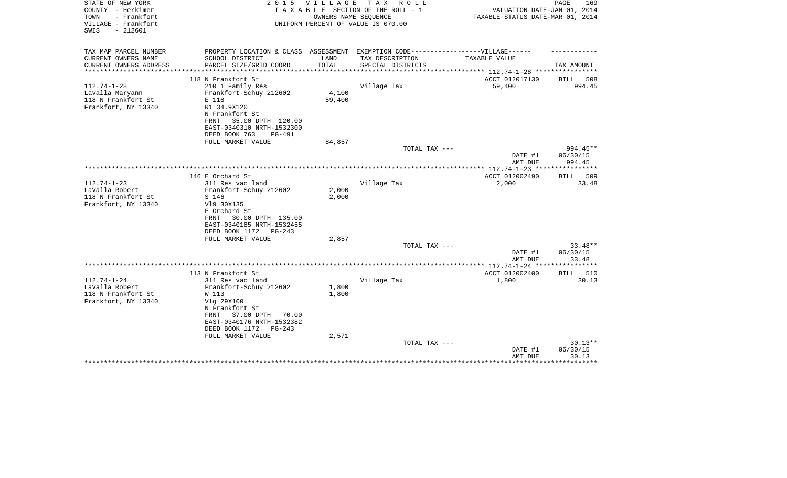| STATE OF NEW YORK<br>COUNTY - Herkimer<br>TOWN<br>- Frankfort<br>VILLAGE - Frankfort<br>$-212601$<br>SWIS | 2 0 1 5                                                                                                                                                                          | VILLAGE                       | T A X<br>R O L L<br>TAXABLE SECTION OF THE ROLL - 1<br>OWNERS NAME SEQUENCE<br>UNIFORM PERCENT OF VALUE IS 070.00 | VALUATION DATE-JAN 01, 2014<br>TAXABLE STATUS DATE-MAR 01, 2014   | PAGE<br>169                                       |
|-----------------------------------------------------------------------------------------------------------|----------------------------------------------------------------------------------------------------------------------------------------------------------------------------------|-------------------------------|-------------------------------------------------------------------------------------------------------------------|-------------------------------------------------------------------|---------------------------------------------------|
| TAX MAP PARCEL NUMBER                                                                                     | PROPERTY LOCATION & CLASS ASSESSMENT EXEMPTION CODE-----------------VILLAGE------                                                                                                |                               |                                                                                                                   |                                                                   |                                                   |
| CURRENT OWNERS NAME<br>CURRENT OWNERS ADDRESS<br>**************                                           | SCHOOL DISTRICT<br>PARCEL SIZE/GRID COORD<br>****************************                                                                                                        | LAND<br>TOTAL<br>************ | TAX DESCRIPTION<br>SPECIAL DISTRICTS                                                                              | TAXABLE VALUE                                                     | TAX AMOUNT                                        |
|                                                                                                           | 118 N Frankfort St                                                                                                                                                               |                               |                                                                                                                   | ***************** 112.74-1-28 *****************<br>ACCT 012017130 | BILL<br>508                                       |
| $112.74 - 1 - 28$<br>Lavalla Maryann<br>118 N Frankfort St<br>Frankfort, NY 13340                         | 210 1 Family Res<br>Frankfort-Schuy 212602<br>E 118<br>R1 34.9X120<br>N Frankfort St<br>35.00 DPTH 120.00<br>FRNT<br>EAST-0340310 NRTH-1532300<br>DEED BOOK 763<br><b>PG-491</b> | 4,100<br>59,400               | Village Tax                                                                                                       | 59,400                                                            | 994.45                                            |
|                                                                                                           | FULL MARKET VALUE                                                                                                                                                                | 84,857                        |                                                                                                                   |                                                                   |                                                   |
|                                                                                                           |                                                                                                                                                                                  |                               | TOTAL TAX ---                                                                                                     | DATE #1                                                           | 994.45**<br>06/30/15                              |
|                                                                                                           |                                                                                                                                                                                  |                               |                                                                                                                   | AMT DUE<br>**************** 112.74-1-23 ****                      | 994.45<br>******                                  |
| $112.74 - 1 - 23$<br>LaValla Robert                                                                       | 146 E Orchard St<br>311 Res vac land<br>Frankfort-Schuy 212602                                                                                                                   | 2,000                         | Village Tax                                                                                                       | ACCT 012002490<br>2,000                                           | 509<br>BILL<br>33.48                              |
| 118 N Frankfort St<br>Frankfort, NY 13340                                                                 | S 146<br>V19 30X135<br>E Orchard St<br>30.00 DPTH 135.00<br>FRNT<br>EAST-0340185 NRTH-1532455<br>DEED BOOK 1172<br>PG-243                                                        | 2,000                         |                                                                                                                   |                                                                   |                                                   |
|                                                                                                           | FULL MARKET VALUE                                                                                                                                                                | 2,857                         |                                                                                                                   |                                                                   |                                                   |
|                                                                                                           |                                                                                                                                                                                  |                               | TOTAL TAX ---                                                                                                     | DATE #1<br>AMT DUE                                                | $33.48**$<br>06/30/15<br>33.48                    |
|                                                                                                           |                                                                                                                                                                                  |                               |                                                                                                                   |                                                                   | ***********                                       |
|                                                                                                           | 113 N Frankfort St                                                                                                                                                               |                               |                                                                                                                   | ACCT 012002400                                                    | 510<br>BILL                                       |
| $112.74 - 1 - 24$<br>LaValla Robert<br>118 N Frankfort St<br>Frankfort, NY 13340                          | 311 Res vac land<br>Frankfort-Schuy 212602<br>W 113<br>Vlg 29X100<br>N Frankfort St<br>37.00 DPTH<br>FRNT<br>70.00                                                               | 1,800<br>1,800                | Village Tax                                                                                                       | 1,800                                                             | 30.13                                             |
|                                                                                                           | EAST-0340176 NRTH-1532382<br>DEED BOOK 1172<br>$PG-243$<br>FULL MARKET VALUE                                                                                                     | 2,571                         |                                                                                                                   |                                                                   |                                                   |
|                                                                                                           |                                                                                                                                                                                  |                               | TOTAL TAX ---                                                                                                     | DATE #1<br>AMT DUE                                                | $30.13**$<br>06/30/15<br>30.13<br>* * * * * * * * |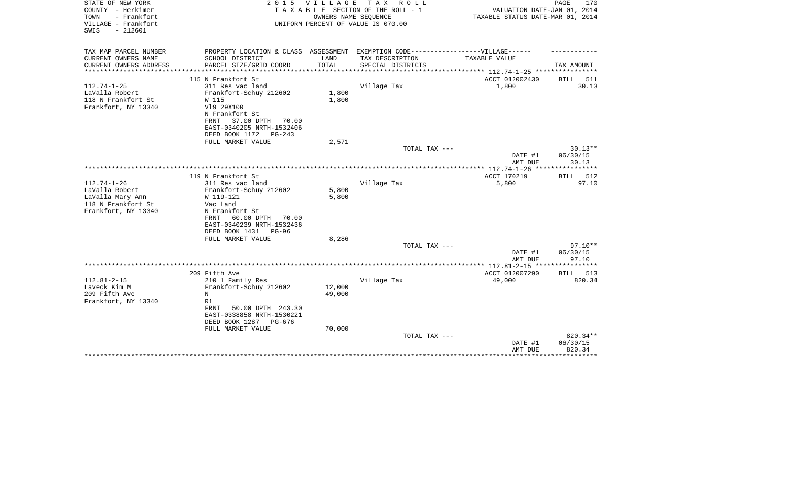| STATE OF NEW YORK<br>COUNTY - Herkimer<br>- Frankfort<br>TOWN<br>VILLAGE - Frankfort<br>$-212601$<br>SWIS | 2 0 1 5                                                                                              | V I L L A G E | TAX ROLL<br>TAXABLE SECTION OF THE ROLL - 1<br>OWNERS NAME SEQUENCE<br>UNIFORM PERCENT OF VALUE IS 070.00 | VALUATION DATE-JAN 01, 2014<br>TAXABLE STATUS DATE-MAR 01, 2014 | PAGE<br>170           |
|-----------------------------------------------------------------------------------------------------------|------------------------------------------------------------------------------------------------------|---------------|-----------------------------------------------------------------------------------------------------------|-----------------------------------------------------------------|-----------------------|
| TAX MAP PARCEL NUMBER<br>CURRENT OWNERS NAME                                                              | PROPERTY LOCATION & CLASS ASSESSMENT EXEMPTION CODE-----------------VILLAGE------<br>SCHOOL DISTRICT | LAND          | TAX DESCRIPTION                                                                                           | TAXABLE VALUE                                                   |                       |
| CURRENT OWNERS ADDRESS                                                                                    | PARCEL SIZE/GRID COORD                                                                               | TOTAL         | SPECIAL DISTRICTS                                                                                         |                                                                 | TAX AMOUNT            |
|                                                                                                           |                                                                                                      | ************* |                                                                                                           | ************************** 112.74-1-25 *****************        |                       |
|                                                                                                           | 115 N Frankfort St                                                                                   |               |                                                                                                           | ACCT 012002430                                                  | BILL<br>511           |
| $112.74 - 1 - 25$                                                                                         | 311 Res vac land                                                                                     |               | Village Tax                                                                                               | 1,800                                                           | 30.13                 |
| LaValla Robert                                                                                            | Frankfort-Schuy 212602                                                                               | 1,800         |                                                                                                           |                                                                 |                       |
| 118 N Frankfort St<br>Frankfort, NY 13340                                                                 | W 115<br>V19 29X100                                                                                  | 1,800         |                                                                                                           |                                                                 |                       |
|                                                                                                           | N Frankfort St                                                                                       |               |                                                                                                           |                                                                 |                       |
|                                                                                                           | 37.00 DPTH<br>FRNT<br>70.00                                                                          |               |                                                                                                           |                                                                 |                       |
|                                                                                                           | EAST-0340205 NRTH-1532406                                                                            |               |                                                                                                           |                                                                 |                       |
|                                                                                                           | DEED BOOK 1172<br>$PG-243$                                                                           |               |                                                                                                           |                                                                 |                       |
|                                                                                                           | FULL MARKET VALUE                                                                                    | 2,571         |                                                                                                           |                                                                 |                       |
|                                                                                                           |                                                                                                      |               | TOTAL TAX ---                                                                                             |                                                                 | $30.13**$<br>06/30/15 |
|                                                                                                           |                                                                                                      |               |                                                                                                           | DATE #1<br>AMT DUE                                              | 30.13                 |
|                                                                                                           |                                                                                                      |               |                                                                                                           |                                                                 | ********              |
|                                                                                                           | 119 N Frankfort St                                                                                   |               |                                                                                                           | ACCT 170219                                                     | 512<br><b>BILL</b>    |
| $112.74 - 1 - 26$                                                                                         | 311 Res vac land                                                                                     |               | Village Tax                                                                                               | 5,800                                                           | 97.10                 |
| LaValla Robert                                                                                            | Frankfort-Schuy 212602                                                                               | 5,800         |                                                                                                           |                                                                 |                       |
| LaValla Mary Ann                                                                                          | W 119-121                                                                                            | 5,800         |                                                                                                           |                                                                 |                       |
| 118 N Frankfort St                                                                                        | Vac Land                                                                                             |               |                                                                                                           |                                                                 |                       |
| Frankfort, NY 13340                                                                                       | N Frankfort St<br>FRNT<br>60.00 DPTH<br>70.00                                                        |               |                                                                                                           |                                                                 |                       |
|                                                                                                           | EAST-0340239 NRTH-1532436                                                                            |               |                                                                                                           |                                                                 |                       |
|                                                                                                           | DEED BOOK 1431<br>PG-96                                                                              |               |                                                                                                           |                                                                 |                       |
|                                                                                                           | FULL MARKET VALUE                                                                                    | 8,286         |                                                                                                           |                                                                 |                       |
|                                                                                                           |                                                                                                      |               | TOTAL TAX ---                                                                                             |                                                                 | $97.10**$             |
|                                                                                                           |                                                                                                      |               |                                                                                                           | DATE #1                                                         | 06/30/15              |
|                                                                                                           |                                                                                                      |               |                                                                                                           | AMT DUE                                                         | 97.10<br>***********  |
|                                                                                                           | 209 Fifth Ave                                                                                        |               |                                                                                                           | ACCT 012007290                                                  | BILL 513              |
| $112.81 - 2 - 15$                                                                                         | 210 1 Family Res                                                                                     |               | Village Tax                                                                                               | 49,000                                                          | 820.34                |
| Laveck Kim M                                                                                              | Frankfort-Schuy 212602                                                                               | 12,000        |                                                                                                           |                                                                 |                       |
| 209 Fifth Ave                                                                                             | N                                                                                                    | 49,000        |                                                                                                           |                                                                 |                       |
| Frankfort, NY 13340                                                                                       | R1                                                                                                   |               |                                                                                                           |                                                                 |                       |
|                                                                                                           | <b>FRNT</b><br>50.00 DPTH 243.30                                                                     |               |                                                                                                           |                                                                 |                       |
|                                                                                                           | EAST-0338858 NRTH-1530221                                                                            |               |                                                                                                           |                                                                 |                       |
|                                                                                                           | DEED BOOK 1287<br>PG-676<br>FULL MARKET VALUE                                                        | 70,000        |                                                                                                           |                                                                 |                       |
|                                                                                                           |                                                                                                      |               | TOTAL TAX ---                                                                                             |                                                                 | 820.34**              |
|                                                                                                           |                                                                                                      |               |                                                                                                           | DATE #1                                                         | 06/30/15              |
|                                                                                                           |                                                                                                      |               |                                                                                                           | AMT DUE                                                         | 820.34                |
|                                                                                                           |                                                                                                      |               |                                                                                                           |                                                                 |                       |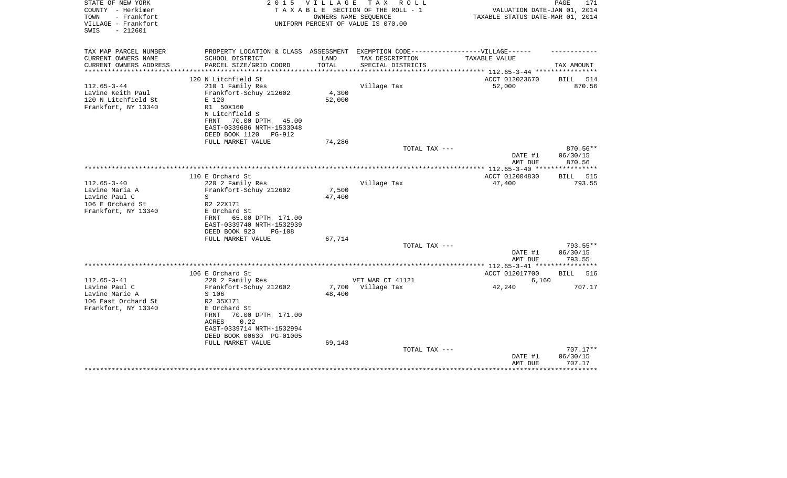| STATE OF NEW YORK<br>COUNTY - Herkimer<br>TOWN<br>- Frankfort<br>VILLAGE - Frankfort<br>$-212601$<br>SWIS | 2 0 1 5                                                                                                                                                                                                           | V I L L A G E             | тах<br>R O L L<br>TAXABLE SECTION OF THE ROLL - 1<br>OWNERS NAME SEOUENCE<br>UNIFORM PERCENT OF VALUE IS 070.00 | VALUATION DATE-JAN 01, 2014<br>TAXABLE STATUS DATE-MAR 01, 2014 | PAGE<br>171                                    |
|-----------------------------------------------------------------------------------------------------------|-------------------------------------------------------------------------------------------------------------------------------------------------------------------------------------------------------------------|---------------------------|-----------------------------------------------------------------------------------------------------------------|-----------------------------------------------------------------|------------------------------------------------|
| TAX MAP PARCEL NUMBER                                                                                     | PROPERTY LOCATION & CLASS ASSESSMENT EXEMPTION CODE----------------VILLAGE------                                                                                                                                  |                           |                                                                                                                 |                                                                 |                                                |
| CURRENT OWNERS NAME<br>CURRENT OWNERS ADDRESS<br>*******************                                      | SCHOOL DISTRICT<br>PARCEL SIZE/GRID COORD<br>***************************                                                                                                                                          | LAND<br>TOTAL             | TAX DESCRIPTION<br>SPECIAL DISTRICTS                                                                            | TAXABLE VALUE                                                   | TAX AMOUNT                                     |
|                                                                                                           | 120 N Litchfield St                                                                                                                                                                                               |                           |                                                                                                                 | ACCT 012023670                                                  | 514<br>BILL                                    |
| $112.65 - 3 - 44$<br>LaVine Keith Paul<br>120 N Litchfield St<br>Frankfort, NY 13340                      | 210 1 Family Res<br>Frankfort-Schuy 212602<br>E 120<br>R1 50X160<br>N Litchfield S<br>70.00 DPTH<br>FRNT<br>45.00<br>EAST-0339686 NRTH-1533048                                                                    | 4,300<br>52,000           | Village Tax                                                                                                     | 52,000                                                          | 870.56                                         |
|                                                                                                           | DEED BOOK 1120<br><b>PG-912</b><br>FULL MARKET VALUE                                                                                                                                                              | 74,286                    |                                                                                                                 |                                                                 |                                                |
|                                                                                                           |                                                                                                                                                                                                                   |                           | TOTAL TAX ---                                                                                                   | DATE #1<br>AMT DUE                                              | 870.56**<br>06/30/15<br>870.56                 |
|                                                                                                           |                                                                                                                                                                                                                   |                           |                                                                                                                 |                                                                 |                                                |
| $112.65 - 3 - 40$<br>Lavine Maria A<br>Lavine Paul C<br>106 E Orchard St<br>Frankfort, NY 13340           | 110 E Orchard St<br>220 2 Family Res<br>Frankfort-Schuy 212602<br>S<br>R2 22X171<br>E Orchard St<br>65.00 DPTH 171.00<br>FRNT<br>EAST-0339740 NRTH-1532939<br>DEED BOOK 923<br><b>PG-108</b><br>FULL MARKET VALUE | 7,500<br>47,400<br>67,714 | Village Tax                                                                                                     | ACCT 012004830<br>47,400                                        | 515<br>BILL<br>793.55                          |
|                                                                                                           |                                                                                                                                                                                                                   |                           | TOTAL TAX ---                                                                                                   |                                                                 | 793.55**                                       |
|                                                                                                           |                                                                                                                                                                                                                   |                           |                                                                                                                 | DATE #1<br>AMT DUE                                              | 06/30/15<br>793.55                             |
|                                                                                                           |                                                                                                                                                                                                                   |                           |                                                                                                                 |                                                                 |                                                |
|                                                                                                           | 106 E Orchard St                                                                                                                                                                                                  |                           |                                                                                                                 | ACCT 012017700                                                  | <b>BILL</b><br>516                             |
| $112.65 - 3 - 41$<br>Lavine Paul C<br>Lavine Marie A<br>106 East Orchard St<br>Frankfort, NY 13340        | 220 2 Family Res<br>Frankfort-Schuy 212602<br>S 106<br>R2 35X171<br>E Orchard St<br>70.00 DPTH 171.00<br>FRNT<br><b>ACRES</b><br>0.22                                                                             | 7,700<br>48,400           | VET WAR CT 41121<br>Village Tax                                                                                 | 6,160<br>42,240                                                 | 707.17                                         |
|                                                                                                           | EAST-0339714 NRTH-1532994<br>DEED BOOK 00630 PG-01005                                                                                                                                                             |                           |                                                                                                                 |                                                                 |                                                |
|                                                                                                           | FULL MARKET VALUE                                                                                                                                                                                                 | 69,143                    | TOTAL TAX ---                                                                                                   | DATE #1<br>AMT DUE                                              | 707.17**<br>06/30/15<br>707.17<br>************ |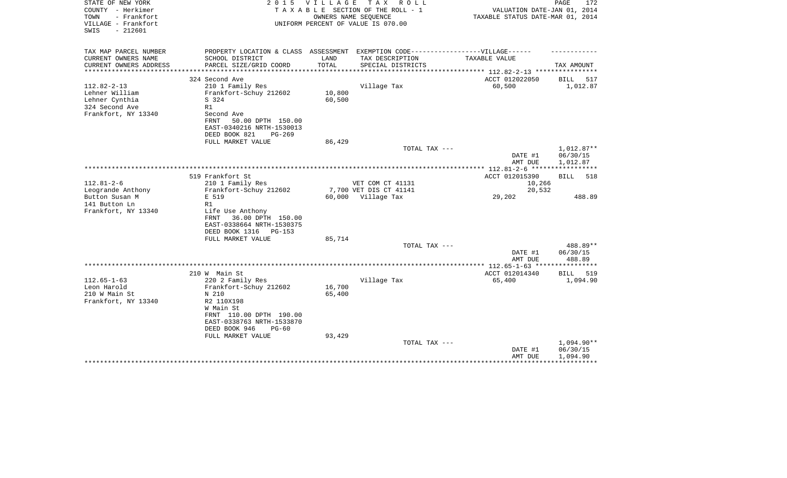| STATE OF NEW YORK<br>COUNTY - Herkimer<br>TOWN<br>- Frankfort<br>VILLAGE - Frankfort | 2 0 1 5                                                                           | <b>VILLAGE</b> | T A X<br>R O L L<br>TAXABLE SECTION OF THE ROLL - 1<br>OWNERS NAME SEQUENCE<br>UNIFORM PERCENT OF VALUE IS 070.00 | VALUATION DATE-JAN 01, 2014<br>TAXABLE STATUS DATE-MAR 01, 2014 | PAGE<br>172            |
|--------------------------------------------------------------------------------------|-----------------------------------------------------------------------------------|----------------|-------------------------------------------------------------------------------------------------------------------|-----------------------------------------------------------------|------------------------|
| $-212601$<br>SWIS                                                                    |                                                                                   |                |                                                                                                                   |                                                                 |                        |
| TAX MAP PARCEL NUMBER                                                                | PROPERTY LOCATION & CLASS ASSESSMENT EXEMPTION CODE-----------------VILLAGE------ |                |                                                                                                                   |                                                                 |                        |
| CURRENT OWNERS NAME                                                                  | SCHOOL DISTRICT                                                                   | LAND           | TAX DESCRIPTION                                                                                                   | TAXABLE VALUE                                                   |                        |
| CURRENT OWNERS ADDRESS<br>**********************                                     | PARCEL SIZE/GRID COORD                                                            | TOTAL          | SPECIAL DISTRICTS                                                                                                 |                                                                 | TAX AMOUNT             |
|                                                                                      | 324 Second Ave                                                                    |                |                                                                                                                   | ACCT 012022050                                                  | BILL<br>517            |
| $112.82 - 2 - 13$                                                                    | 210 1 Family Res                                                                  |                | Village Tax                                                                                                       | 60,500                                                          | 1,012.87               |
| Lehner William                                                                       | Frankfort-Schuy 212602                                                            | 10,800         |                                                                                                                   |                                                                 |                        |
| Lehner Cynthia                                                                       | S 324                                                                             | 60,500         |                                                                                                                   |                                                                 |                        |
| 324 Second Ave<br>Frankfort, NY 13340                                                | R1<br>Second Ave                                                                  |                |                                                                                                                   |                                                                 |                        |
|                                                                                      | FRNT<br>50.00 DPTH 150.00                                                         |                |                                                                                                                   |                                                                 |                        |
|                                                                                      | EAST-0340216 NRTH-1530013                                                         |                |                                                                                                                   |                                                                 |                        |
|                                                                                      | DEED BOOK 821<br>$PG-269$                                                         |                |                                                                                                                   |                                                                 |                        |
|                                                                                      | FULL MARKET VALUE                                                                 | 86,429         |                                                                                                                   |                                                                 |                        |
|                                                                                      |                                                                                   |                | TOTAL TAX ---                                                                                                     | DATE #1                                                         | 1,012.87**<br>06/30/15 |
|                                                                                      |                                                                                   |                |                                                                                                                   | AMT DUE                                                         | 1,012.87               |
|                                                                                      |                                                                                   |                |                                                                                                                   |                                                                 |                        |
|                                                                                      | 519 Frankfort St                                                                  |                |                                                                                                                   | ACCT 012015390                                                  | 518<br>BILL            |
| $112.81 - 2 - 6$                                                                     | 210 1 Family Res                                                                  |                | VET COM CT 41131                                                                                                  | 10,266                                                          |                        |
| Leogrande Anthony                                                                    | Frankfort-Schuy 212602                                                            |                | 7,700 VET DIS CT 41141                                                                                            | 20,532                                                          |                        |
| Button Susan M<br>141 Button Ln                                                      | E 519<br>R1                                                                       | 60,000         | Village Tax                                                                                                       | 29,202                                                          | 488.89                 |
| Frankfort, NY 13340                                                                  | Life Use Anthony                                                                  |                |                                                                                                                   |                                                                 |                        |
|                                                                                      | 36.00 DPTH 150.00<br>FRNT                                                         |                |                                                                                                                   |                                                                 |                        |
|                                                                                      | EAST-0338664 NRTH-1530375                                                         |                |                                                                                                                   |                                                                 |                        |
|                                                                                      | DEED BOOK 1316<br>PG-153                                                          |                |                                                                                                                   |                                                                 |                        |
|                                                                                      | FULL MARKET VALUE                                                                 | 85,714         | TOTAL TAX ---                                                                                                     |                                                                 | 488.89**               |
|                                                                                      |                                                                                   |                |                                                                                                                   | DATE #1                                                         | 06/30/15               |
|                                                                                      |                                                                                   |                |                                                                                                                   | AMT DUE                                                         | 488.89                 |
|                                                                                      |                                                                                   |                |                                                                                                                   | ************ 112.65-1-63 *****************                      |                        |
|                                                                                      | 210 W Main St                                                                     |                |                                                                                                                   | ACCT 012014340                                                  | <b>BILL</b><br>519     |
| $112.65 - 1 - 63$<br>Leon Harold                                                     | 220 2 Family Res<br>Frankfort-Schuy 212602                                        | 16,700         | Village Tax                                                                                                       | 65,400                                                          | 1,094.90               |
| 210 W Main St                                                                        | N 210                                                                             | 65,400         |                                                                                                                   |                                                                 |                        |
| Frankfort, NY 13340                                                                  | R2 110X198                                                                        |                |                                                                                                                   |                                                                 |                        |
|                                                                                      | W Main St                                                                         |                |                                                                                                                   |                                                                 |                        |
|                                                                                      | FRNT 110.00 DPTH 190.00                                                           |                |                                                                                                                   |                                                                 |                        |
|                                                                                      | EAST-0338763 NRTH-1533870<br>DEED BOOK 946                                        |                |                                                                                                                   |                                                                 |                        |
|                                                                                      | $PG-60$<br>FULL MARKET VALUE                                                      | 93,429         |                                                                                                                   |                                                                 |                        |
|                                                                                      |                                                                                   |                | TOTAL TAX ---                                                                                                     |                                                                 | 1,094.90**             |
|                                                                                      |                                                                                   |                |                                                                                                                   | DATE #1                                                         | 06/30/15               |
|                                                                                      |                                                                                   |                |                                                                                                                   | AMT DUE                                                         | 1,094.90               |
|                                                                                      |                                                                                   |                |                                                                                                                   |                                                                 |                        |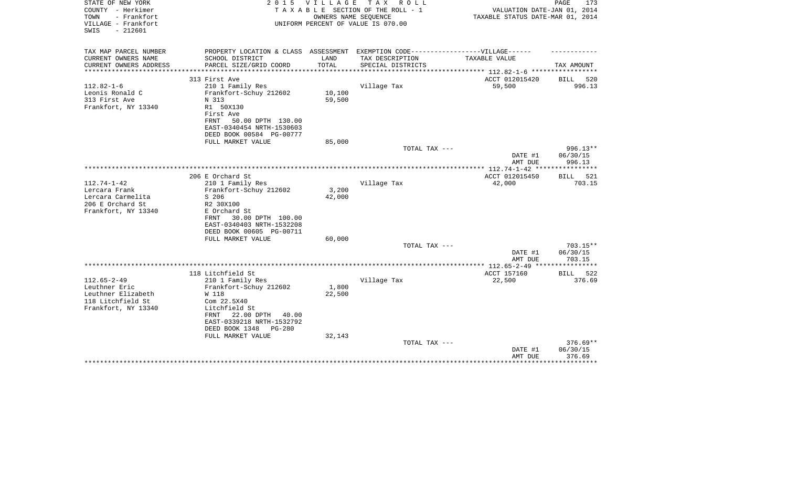| STATE OF NEW YORK<br>COUNTY - Herkimer<br>TOWN<br>- Frankfort<br>VILLAGE - Frankfort<br>$-212601$<br>SWIS | 2 0 1 5                                                                           | V I L L A G E | T A X<br>R O L L<br>TAXABLE SECTION OF THE ROLL - 1<br>OWNERS NAME SEQUENCE<br>UNIFORM PERCENT OF VALUE IS 070.00 | VALUATION DATE-JAN 01, 2014<br>TAXABLE STATUS DATE-MAR 01, 2014            | PAGE<br>173        |
|-----------------------------------------------------------------------------------------------------------|-----------------------------------------------------------------------------------|---------------|-------------------------------------------------------------------------------------------------------------------|----------------------------------------------------------------------------|--------------------|
| TAX MAP PARCEL NUMBER                                                                                     | PROPERTY LOCATION & CLASS ASSESSMENT EXEMPTION CODE-----------------VILLAGE------ |               |                                                                                                                   |                                                                            |                    |
| CURRENT OWNERS NAME                                                                                       | SCHOOL DISTRICT                                                                   | LAND          | TAX DESCRIPTION                                                                                                   | TAXABLE VALUE                                                              |                    |
| CURRENT OWNERS ADDRESS<br>*********************                                                           | PARCEL SIZE/GRID COORD                                                            | TOTAL         | SPECIAL DISTRICTS                                                                                                 |                                                                            | TAX AMOUNT         |
|                                                                                                           | 313 First Ave                                                                     |               |                                                                                                                   | *************************** 112.82-1-6 *****************<br>ACCT 012015420 | <b>BILL</b><br>520 |
| $112.82 - 1 - 6$                                                                                          | 210 1 Family Res                                                                  |               | Village Tax                                                                                                       | 59,500                                                                     | 996.13             |
| Leonis Ronald C                                                                                           | Frankfort-Schuy 212602                                                            | 10,100        |                                                                                                                   |                                                                            |                    |
| 313 First Ave                                                                                             | N 313                                                                             | 59,500        |                                                                                                                   |                                                                            |                    |
| Frankfort, NY 13340                                                                                       | R1 50X130                                                                         |               |                                                                                                                   |                                                                            |                    |
|                                                                                                           | First Ave                                                                         |               |                                                                                                                   |                                                                            |                    |
|                                                                                                           | 50.00 DPTH 130.00<br>FRNT                                                         |               |                                                                                                                   |                                                                            |                    |
|                                                                                                           | EAST-0340454 NRTH-1530603                                                         |               |                                                                                                                   |                                                                            |                    |
|                                                                                                           | DEED BOOK 00584 PG-00777<br>FULL MARKET VALUE                                     | 85,000        |                                                                                                                   |                                                                            |                    |
|                                                                                                           |                                                                                   |               | TOTAL TAX ---                                                                                                     |                                                                            | 996.13**           |
|                                                                                                           |                                                                                   |               |                                                                                                                   | DATE #1                                                                    | 06/30/15           |
|                                                                                                           |                                                                                   |               |                                                                                                                   | AMT DUE                                                                    | 996.13             |
|                                                                                                           |                                                                                   |               |                                                                                                                   | **************** 112.74-1-42 ****                                          | ************       |
|                                                                                                           | 206 E Orchard St                                                                  |               |                                                                                                                   | ACCT 012015450                                                             | 521<br>BILL        |
| $112.74 - 1 - 42$                                                                                         | 210 1 Family Res                                                                  |               | Village Tax                                                                                                       | 42,000                                                                     | 703.15             |
| Lercara Frank                                                                                             | Frankfort-Schuy 212602                                                            | 3,200         |                                                                                                                   |                                                                            |                    |
| Lercara Carmelita<br>206 E Orchard St                                                                     | S 206<br>R2 30X100                                                                | 42,000        |                                                                                                                   |                                                                            |                    |
| Frankfort, NY 13340                                                                                       | E Orchard St                                                                      |               |                                                                                                                   |                                                                            |                    |
|                                                                                                           | 30.00 DPTH 100.00<br>FRNT                                                         |               |                                                                                                                   |                                                                            |                    |
|                                                                                                           | EAST-0340403 NRTH-1532208                                                         |               |                                                                                                                   |                                                                            |                    |
|                                                                                                           | DEED BOOK 00605 PG-00711                                                          |               |                                                                                                                   |                                                                            |                    |
|                                                                                                           | FULL MARKET VALUE                                                                 | 60,000        |                                                                                                                   |                                                                            |                    |
|                                                                                                           |                                                                                   |               | TOTAL TAX ---                                                                                                     |                                                                            | 703.15**           |
|                                                                                                           |                                                                                   |               |                                                                                                                   | DATE #1                                                                    | 06/30/15           |
|                                                                                                           |                                                                                   |               |                                                                                                                   | AMT DUE                                                                    | 703.15             |
|                                                                                                           | 118 Litchfield St                                                                 |               |                                                                                                                   | ACCT 157160                                                                | BILL<br>522        |
| $112.65 - 2 - 49$                                                                                         | 210 1 Family Res                                                                  |               | Village Tax                                                                                                       | 22,500                                                                     | 376.69             |
| Leuthner Eric                                                                                             | Frankfort-Schuy 212602                                                            | 1,800         |                                                                                                                   |                                                                            |                    |
| Leuthner Elizabeth                                                                                        | W 118                                                                             | 22,500        |                                                                                                                   |                                                                            |                    |
| 118 Litchfield St                                                                                         | Com 22.5X40                                                                       |               |                                                                                                                   |                                                                            |                    |
| Frankfort, NY 13340                                                                                       | Litchfield St                                                                     |               |                                                                                                                   |                                                                            |                    |
|                                                                                                           | 22.00 DPTH<br>40.00<br>FRNT                                                       |               |                                                                                                                   |                                                                            |                    |
|                                                                                                           | EAST-0339218 NRTH-1532792                                                         |               |                                                                                                                   |                                                                            |                    |
|                                                                                                           | DEED BOOK 1348<br>$PG-280$<br>FULL MARKET VALUE                                   | 32,143        |                                                                                                                   |                                                                            |                    |
|                                                                                                           |                                                                                   |               | TOTAL TAX ---                                                                                                     |                                                                            | $376.69**$         |
|                                                                                                           |                                                                                   |               |                                                                                                                   | DATE #1                                                                    | 06/30/15           |
|                                                                                                           |                                                                                   |               |                                                                                                                   | AMT DUE                                                                    | 376.69             |
|                                                                                                           |                                                                                   |               |                                                                                                                   |                                                                            | ***********        |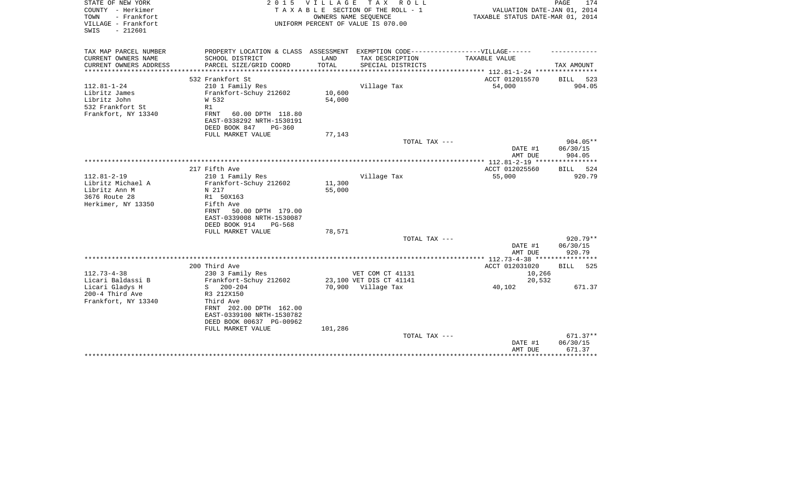| - Frankfort<br>TOWN<br>OWNERS NAME SEQUENCE<br>TAXABLE STATUS DATE-MAR 01, 2014<br>VILLAGE - Frankfort<br>UNIFORM PERCENT OF VALUE IS 070.00<br>$-212601$<br>SWIS                                    |                     |
|------------------------------------------------------------------------------------------------------------------------------------------------------------------------------------------------------|---------------------|
| TAX MAP PARCEL NUMBER<br>EXEMPTION CODE------------------VILLAGE------<br>PROPERTY LOCATION & CLASS ASSESSMENT<br>CURRENT OWNERS NAME<br>SCHOOL DISTRICT<br>LAND<br>TAX DESCRIPTION<br>TAXABLE VALUE |                     |
| PARCEL SIZE/GRID COORD<br>TOTAL<br>CURRENT OWNERS ADDRESS<br>SPECIAL DISTRICTS                                                                                                                       | TAX AMOUNT          |
| ********************<br>********************<br>* * * * * * * * * * * * *                                                                                                                            |                     |
| 532 Frankfort St<br>ACCT 012015570<br><b>BILL</b>                                                                                                                                                    | 523                 |
| $112.81 - 1 - 24$<br>210 1 Family Res<br>Village Tax<br>54,000                                                                                                                                       | 904.05              |
| Libritz James<br>Frankfort-Schuy 212602<br>10,600<br>Libritz John<br>W 532<br>54,000                                                                                                                 |                     |
| 532 Frankfort St<br>R1                                                                                                                                                                               |                     |
| Frankfort, NY 13340<br><b>FRNT</b><br>60.00 DPTH 118.80                                                                                                                                              |                     |
| EAST-0338292 NRTH-1530191                                                                                                                                                                            |                     |
| DEED BOOK 847<br>$PG-360$                                                                                                                                                                            |                     |
| FULL MARKET VALUE<br>77,143                                                                                                                                                                          |                     |
| TOTAL TAX ---<br>DATE #1                                                                                                                                                                             | 904.05**            |
| AMT DUE                                                                                                                                                                                              | 06/30/15<br>904.05  |
| **********************<br>$***$ 112.81-2-19 ***                                                                                                                                                      |                     |
| 217 Fifth Ave<br>ACCT 012025560<br>BILL                                                                                                                                                              | 524                 |
| $112.81 - 2 - 19$<br>210 1 Family Res<br>Village Tax<br>55,000                                                                                                                                       | 920.79              |
| Libritz Michael A<br>11,300<br>Frankfort-Schuy 212602                                                                                                                                                |                     |
| Libritz Ann M<br>N 217<br>55,000                                                                                                                                                                     |                     |
| 3676 Route 28<br>R1 50X163<br>Herkimer, NY 13350<br>Fifth Ave                                                                                                                                        |                     |
| FRNT<br>50.00 DPTH 179.00                                                                                                                                                                            |                     |
| EAST-0339008 NRTH-1530087                                                                                                                                                                            |                     |
| DEED BOOK 914<br>$PG-568$                                                                                                                                                                            |                     |
| 78,571<br>FULL MARKET VALUE                                                                                                                                                                          |                     |
| TOTAL TAX ---                                                                                                                                                                                        | $920.79**$          |
| DATE #1                                                                                                                                                                                              | 06/30/15            |
| AMT DUE                                                                                                                                                                                              | 920.79<br>********* |
| 200 Third Ave<br>ACCT 012031020<br>BILL                                                                                                                                                              | 525                 |
| $112.73 - 4 - 38$<br>230 3 Family Res<br>VET COM CT 41131<br>10,266                                                                                                                                  |                     |
| Licari Baldassi B<br>Frankfort-Schuy 212602<br>23,100 VET DIS CT 41141<br>20,532                                                                                                                     |                     |
| Licari Gladys H<br>S<br>$200 - 204$<br>70,900 Village Tax<br>40,102                                                                                                                                  | 671.37              |
| 200-4 Third Ave<br>R3 212X150                                                                                                                                                                        |                     |
| Frankfort, NY 13340<br>Third Ave<br>FRNT 202.00 DPTH 162.00                                                                                                                                          |                     |
| EAST-0339100 NRTH-1530782                                                                                                                                                                            |                     |
| DEED BOOK 00637 PG-00962                                                                                                                                                                             |                     |
| 101,286<br>FULL MARKET VALUE                                                                                                                                                                         |                     |
| TOTAL TAX ---                                                                                                                                                                                        | $671.37**$          |
| DATE #1                                                                                                                                                                                              | 06/30/15            |
| AMT DUE                                                                                                                                                                                              | 671.37<br>*******   |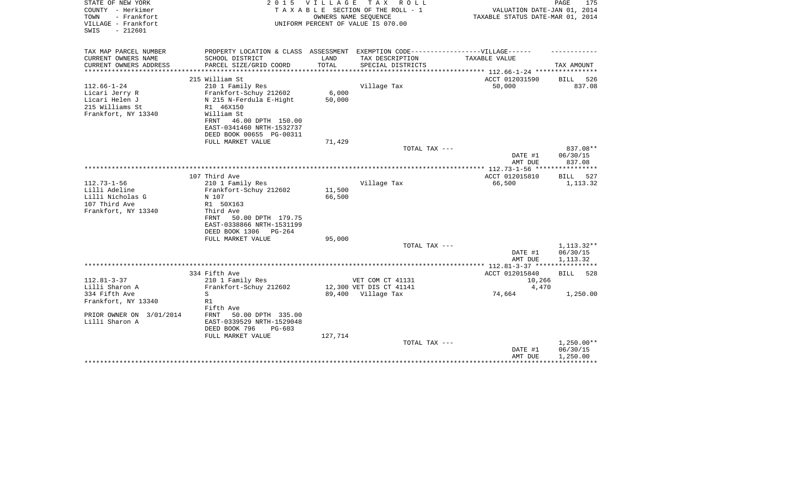| STATE OF NEW YORK<br>COUNTY - Herkimer<br>TOWN<br>- Frankfort<br>VILLAGE - Frankfort<br>$-212601$<br>SWIS | 2 0 1 5                                                                           | VILLAGE | T A X<br>R O L L<br>TAXABLE SECTION OF THE ROLL - 1<br>OWNERS NAME SEQUENCE<br>UNIFORM PERCENT OF VALUE IS 070.00 | VALUATION DATE-JAN 01, 2014<br>TAXABLE STATUS DATE-MAR 01, 2014 | PAGE<br>175             |
|-----------------------------------------------------------------------------------------------------------|-----------------------------------------------------------------------------------|---------|-------------------------------------------------------------------------------------------------------------------|-----------------------------------------------------------------|-------------------------|
| TAX MAP PARCEL NUMBER                                                                                     | PROPERTY LOCATION & CLASS ASSESSMENT EXEMPTION CODE-----------------VILLAGE------ |         |                                                                                                                   |                                                                 |                         |
| CURRENT OWNERS NAME                                                                                       | SCHOOL DISTRICT                                                                   | LAND    | TAX DESCRIPTION                                                                                                   | TAXABLE VALUE                                                   |                         |
| CURRENT OWNERS ADDRESS                                                                                    | PARCEL SIZE/GRID COORD                                                            | TOTAL   | SPECIAL DISTRICTS                                                                                                 |                                                                 | TAX AMOUNT              |
|                                                                                                           | 215 William St                                                                    |         |                                                                                                                   | ACCT 012031590                                                  | 526<br>BILL             |
| $112.66 - 1 - 24$                                                                                         | 210 1 Family Res                                                                  |         | Village Tax                                                                                                       | 50,000                                                          | 837.08                  |
| Licari Jerry R                                                                                            | Frankfort-Schuy 212602                                                            | 6,000   |                                                                                                                   |                                                                 |                         |
| Licari Helen J                                                                                            | N 215 N-Ferdula E-Hight                                                           | 50,000  |                                                                                                                   |                                                                 |                         |
| 215 Williams St                                                                                           | R1 46X150                                                                         |         |                                                                                                                   |                                                                 |                         |
| Frankfort, NY 13340                                                                                       | William St                                                                        |         |                                                                                                                   |                                                                 |                         |
|                                                                                                           | 46.00 DPTH 150.00<br>FRNT<br>EAST-0341460 NRTH-1532737                            |         |                                                                                                                   |                                                                 |                         |
|                                                                                                           | DEED BOOK 00655 PG-00311                                                          |         |                                                                                                                   |                                                                 |                         |
|                                                                                                           | FULL MARKET VALUE                                                                 | 71,429  |                                                                                                                   |                                                                 |                         |
|                                                                                                           |                                                                                   |         | TOTAL TAX ---                                                                                                     |                                                                 | 837.08**                |
|                                                                                                           |                                                                                   |         |                                                                                                                   | DATE #1                                                         | 06/30/15                |
|                                                                                                           |                                                                                   |         |                                                                                                                   | AMT DUE                                                         | 837.08                  |
|                                                                                                           |                                                                                   |         |                                                                                                                   |                                                                 |                         |
| $112.73 - 1 - 56$                                                                                         | 107 Third Ave<br>210 1 Family Res                                                 |         | Village Tax                                                                                                       | ACCT 012015810<br>66,500                                        | BILL<br>527<br>1,113.32 |
| Lilli Adeline                                                                                             | Frankfort-Schuy 212602                                                            | 11,500  |                                                                                                                   |                                                                 |                         |
| Lilli Nicholas G                                                                                          | N 107                                                                             | 66,500  |                                                                                                                   |                                                                 |                         |
| 107 Third Ave                                                                                             | R1 50X163                                                                         |         |                                                                                                                   |                                                                 |                         |
| Frankfort, NY 13340                                                                                       | Third Ave                                                                         |         |                                                                                                                   |                                                                 |                         |
|                                                                                                           | 50.00 DPTH 179.75<br>FRNT                                                         |         |                                                                                                                   |                                                                 |                         |
|                                                                                                           | EAST-0338866 NRTH-1531199                                                         |         |                                                                                                                   |                                                                 |                         |
|                                                                                                           | DEED BOOK 1306<br>$PG-264$                                                        |         |                                                                                                                   |                                                                 |                         |
|                                                                                                           | FULL MARKET VALUE                                                                 | 95,000  | TOTAL TAX ---                                                                                                     |                                                                 | 1, 113. 32**            |
|                                                                                                           |                                                                                   |         |                                                                                                                   | DATE #1                                                         | 06/30/15                |
|                                                                                                           |                                                                                   |         |                                                                                                                   | AMT DUE                                                         | 1,113.32                |
|                                                                                                           |                                                                                   |         |                                                                                                                   |                                                                 |                         |
|                                                                                                           | 334 Fifth Ave                                                                     |         |                                                                                                                   | ACCT 012015840                                                  | BILL<br>528             |
| $112.81 - 3 - 37$                                                                                         | 210 1 Family Res                                                                  |         | VET COM CT 41131                                                                                                  | 10,266                                                          |                         |
| Lilli Sharon A                                                                                            | Frankfort-Schuy 212602                                                            |         | 12,300 VET DIS CT 41141                                                                                           | 4,470                                                           |                         |
| 334 Fifth Ave                                                                                             | S                                                                                 |         | 89,400 Village Tax                                                                                                | 74,664                                                          | 1,250.00                |
| Frankfort, NY 13340                                                                                       | R1<br>Fifth Ave                                                                   |         |                                                                                                                   |                                                                 |                         |
| PRIOR OWNER ON 3/01/2014                                                                                  | 50.00 DPTH 335.00<br>FRNT                                                         |         |                                                                                                                   |                                                                 |                         |
| Lilli Sharon A                                                                                            | EAST-0339529 NRTH-1529048                                                         |         |                                                                                                                   |                                                                 |                         |
|                                                                                                           | DEED BOOK 796<br>$PG-603$                                                         |         |                                                                                                                   |                                                                 |                         |
|                                                                                                           | FULL MARKET VALUE                                                                 | 127,714 |                                                                                                                   |                                                                 |                         |
|                                                                                                           |                                                                                   |         | TOTAL TAX ---                                                                                                     |                                                                 | $1,250.00**$            |
|                                                                                                           |                                                                                   |         |                                                                                                                   | DATE #1                                                         | 06/30/15                |
|                                                                                                           |                                                                                   |         |                                                                                                                   | AMT DUE                                                         | 1,250.00                |
|                                                                                                           |                                                                                   |         |                                                                                                                   |                                                                 |                         |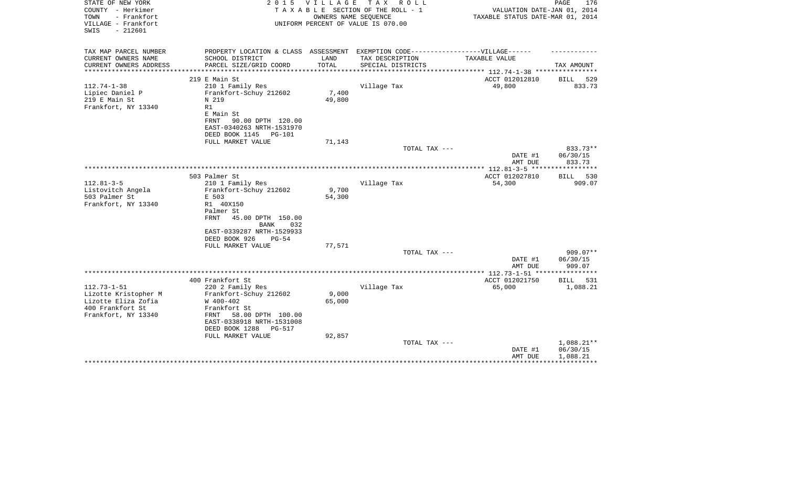| STATE OF NEW YORK<br>COUNTY - Herkimer<br>- Frankfort<br>TOWN<br>VILLAGE - Frankfort<br>$-212601$<br>SWIS | 2 0 1 5                                                                           | VILLAGE         | TAX ROLL<br>TAXABLE SECTION OF THE ROLL - 1<br>OWNERS NAME SEQUENCE<br>UNIFORM PERCENT OF VALUE IS 070.00 | VALUATION DATE-JAN 01, 2014<br>TAXABLE STATUS DATE-MAR 01, 2014 | PAGE<br>176            |
|-----------------------------------------------------------------------------------------------------------|-----------------------------------------------------------------------------------|-----------------|-----------------------------------------------------------------------------------------------------------|-----------------------------------------------------------------|------------------------|
| TAX MAP PARCEL NUMBER                                                                                     | PROPERTY LOCATION & CLASS ASSESSMENT EXEMPTION CODE-----------------VILLAGE------ |                 |                                                                                                           |                                                                 |                        |
| CURRENT OWNERS NAME                                                                                       | SCHOOL DISTRICT                                                                   | LAND            | TAX DESCRIPTION                                                                                           | TAXABLE VALUE                                                   |                        |
| CURRENT OWNERS ADDRESS<br>*****************                                                               | PARCEL SIZE/GRID COORD                                                            | TOTAL           | SPECIAL DISTRICTS                                                                                         | ********************************** 112.74-1-38 **************** | TAX AMOUNT             |
|                                                                                                           | 219 E Main St                                                                     |                 |                                                                                                           | ACCT 012012810                                                  | BILL<br>529            |
| $112.74 - 1 - 38$                                                                                         | 210 1 Family Res                                                                  |                 | Village Tax                                                                                               | 49,800                                                          | 833.73                 |
| Lipiec Daniel P                                                                                           | Frankfort-Schuy 212602                                                            | 7,400           |                                                                                                           |                                                                 |                        |
| 219 E Main St                                                                                             | N 219                                                                             | 49,800          |                                                                                                           |                                                                 |                        |
| Frankfort, NY 13340                                                                                       | R1<br>E Main St                                                                   |                 |                                                                                                           |                                                                 |                        |
|                                                                                                           | <b>FRNT</b><br>90.00 DPTH 120.00                                                  |                 |                                                                                                           |                                                                 |                        |
|                                                                                                           | EAST-0340263 NRTH-1531970                                                         |                 |                                                                                                           |                                                                 |                        |
|                                                                                                           | DEED BOOK 1145<br><b>PG-101</b>                                                   |                 |                                                                                                           |                                                                 |                        |
|                                                                                                           | FULL MARKET VALUE                                                                 | 71,143          |                                                                                                           |                                                                 |                        |
|                                                                                                           |                                                                                   |                 | TOTAL TAX ---                                                                                             |                                                                 | 833.73**<br>06/30/15   |
|                                                                                                           |                                                                                   |                 |                                                                                                           | DATE #1<br>AMT DUE                                              | 833.73                 |
|                                                                                                           |                                                                                   |                 |                                                                                                           |                                                                 |                        |
|                                                                                                           | 503 Palmer St                                                                     |                 |                                                                                                           | ACCT 012027810                                                  | BILL<br>530            |
| $112.81 - 3 - 5$                                                                                          | 210 1 Family Res                                                                  |                 | Village Tax                                                                                               | 54,300                                                          | 909.07                 |
| Listovitch Angela<br>503 Palmer St                                                                        | Frankfort-Schuy 212602                                                            | 9,700<br>54,300 |                                                                                                           |                                                                 |                        |
| Frankfort, NY 13340                                                                                       | E 503<br>R1 40X150                                                                |                 |                                                                                                           |                                                                 |                        |
|                                                                                                           | Palmer St                                                                         |                 |                                                                                                           |                                                                 |                        |
|                                                                                                           | 45.00 DPTH 150.00<br><b>FRNT</b><br>BANK<br>032                                   |                 |                                                                                                           |                                                                 |                        |
|                                                                                                           | EAST-0339287 NRTH-1529933                                                         |                 |                                                                                                           |                                                                 |                        |
|                                                                                                           | DEED BOOK 926<br>$PG-54$                                                          |                 |                                                                                                           |                                                                 |                        |
|                                                                                                           | FULL MARKET VALUE                                                                 | 77,571          | TOTAL TAX ---                                                                                             |                                                                 | 909.07**               |
|                                                                                                           |                                                                                   |                 |                                                                                                           | DATE #1<br>AMT DUE                                              | 06/30/15<br>909.07     |
|                                                                                                           |                                                                                   |                 |                                                                                                           |                                                                 |                        |
|                                                                                                           | 400 Frankfort St                                                                  |                 |                                                                                                           | ACCT 012021750                                                  | <b>BILL</b><br>531     |
| $112.73 - 1 - 51$                                                                                         | 220 2 Family Res                                                                  |                 | Village Tax                                                                                               | 65,000                                                          | 1,088.21               |
| Lizotte Kristopher M<br>Lizotte Eliza Zofia                                                               | Frankfort-Schuy 212602<br>W 400-402                                               | 9,000<br>65,000 |                                                                                                           |                                                                 |                        |
| 400 Frankfort St                                                                                          | Frankfort St                                                                      |                 |                                                                                                           |                                                                 |                        |
| Frankfort, NY 13340                                                                                       | 58.00 DPTH 100.00<br>FRNT                                                         |                 |                                                                                                           |                                                                 |                        |
|                                                                                                           | EAST-0338918 NRTH-1531008                                                         |                 |                                                                                                           |                                                                 |                        |
|                                                                                                           | DEED BOOK 1288<br><b>PG-517</b>                                                   |                 |                                                                                                           |                                                                 |                        |
|                                                                                                           | FULL MARKET VALUE                                                                 | 92,857          |                                                                                                           |                                                                 |                        |
|                                                                                                           |                                                                                   |                 | TOTAL TAX ---                                                                                             | DATE #1                                                         | 1,088.21**<br>06/30/15 |
|                                                                                                           |                                                                                   |                 |                                                                                                           | AMT DUE                                                         | 1,088.21               |
|                                                                                                           |                                                                                   |                 |                                                                                                           |                                                                 |                        |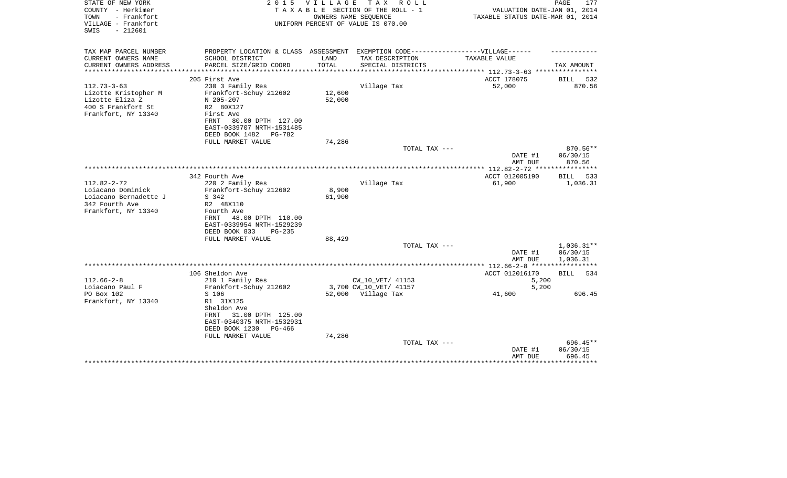| STATE OF NEW YORK<br>COUNTY - Herkimer<br>- Frankfort<br>TOWN<br>VILLAGE - Frankfort<br>$-212601$<br>SWIS | 2 0 1 5                                                                           | VILLAGE | T A X<br>R O L L<br>TAXABLE SECTION OF THE ROLL - 1<br>OWNERS NAME SEQUENCE<br>UNIFORM PERCENT OF VALUE IS 070.00 | VALUATION DATE-JAN 01, 2014<br>TAXABLE STATUS DATE-MAR 01, 2014 | 177<br>PAGE          |
|-----------------------------------------------------------------------------------------------------------|-----------------------------------------------------------------------------------|---------|-------------------------------------------------------------------------------------------------------------------|-----------------------------------------------------------------|----------------------|
| TAX MAP PARCEL NUMBER                                                                                     | PROPERTY LOCATION & CLASS ASSESSMENT EXEMPTION CODE-----------------VILLAGE------ |         |                                                                                                                   |                                                                 |                      |
| CURRENT OWNERS NAME                                                                                       | SCHOOL DISTRICT                                                                   | LAND    | TAX DESCRIPTION                                                                                                   | TAXABLE VALUE                                                   |                      |
| CURRENT OWNERS ADDRESS<br>*********************                                                           | PARCEL SIZE/GRID COORD                                                            | TOTAL   | SPECIAL DISTRICTS                                                                                                 |                                                                 | TAX AMOUNT           |
|                                                                                                           | 205 First Ave                                                                     |         |                                                                                                                   | ACCT 178075                                                     | BILL<br>532          |
| $112.73 - 3 - 63$                                                                                         | 230 3 Family Res                                                                  |         | Village Tax                                                                                                       | 52,000                                                          | 870.56               |
| Lizotte Kristopher M                                                                                      | Frankfort-Schuy 212602                                                            | 12,600  |                                                                                                                   |                                                                 |                      |
| Lizotte Eliza Z                                                                                           | N 205-207                                                                         | 52,000  |                                                                                                                   |                                                                 |                      |
| 400 S Frankfort St<br>Frankfort, NY 13340                                                                 | R2 80X127<br>First Ave                                                            |         |                                                                                                                   |                                                                 |                      |
|                                                                                                           | 80.00 DPTH 127.00<br>FRNT                                                         |         |                                                                                                                   |                                                                 |                      |
|                                                                                                           | EAST-0339707 NRTH-1531485                                                         |         |                                                                                                                   |                                                                 |                      |
|                                                                                                           | DEED BOOK 1482<br>PG-782                                                          |         |                                                                                                                   |                                                                 |                      |
|                                                                                                           | FULL MARKET VALUE                                                                 | 74,286  |                                                                                                                   |                                                                 |                      |
|                                                                                                           |                                                                                   |         | TOTAL TAX ---                                                                                                     |                                                                 | $870.56**$           |
|                                                                                                           |                                                                                   |         |                                                                                                                   | DATE #1<br>AMT DUE                                              | 06/30/15<br>870.56   |
|                                                                                                           |                                                                                   |         |                                                                                                                   |                                                                 |                      |
|                                                                                                           | 342 Fourth Ave                                                                    |         |                                                                                                                   | ACCT 012005190                                                  | BILL<br>533          |
| $112.82 - 2 - 72$                                                                                         | 220 2 Family Res                                                                  |         | Village Tax                                                                                                       | 61,900                                                          | 1,036.31             |
| Loiacano Dominick                                                                                         | Frankfort-Schuy 212602                                                            | 8,900   |                                                                                                                   |                                                                 |                      |
| Loiacano Bernadette J                                                                                     | S 342                                                                             | 61,900  |                                                                                                                   |                                                                 |                      |
| 342 Fourth Ave<br>Frankfort, NY 13340                                                                     | R2 48X110<br>Fourth Ave                                                           |         |                                                                                                                   |                                                                 |                      |
|                                                                                                           | 48.00 DPTH 110.00<br>FRNT                                                         |         |                                                                                                                   |                                                                 |                      |
|                                                                                                           | EAST-0339954 NRTH-1529239                                                         |         |                                                                                                                   |                                                                 |                      |
|                                                                                                           | DEED BOOK 833<br>$PG-235$                                                         |         |                                                                                                                   |                                                                 |                      |
|                                                                                                           | FULL MARKET VALUE                                                                 | 88,429  |                                                                                                                   |                                                                 |                      |
|                                                                                                           |                                                                                   |         | TOTAL TAX ---                                                                                                     |                                                                 | $1,036.31**$         |
|                                                                                                           |                                                                                   |         |                                                                                                                   | DATE #1<br>AMT DUE                                              | 06/30/15<br>1,036.31 |
|                                                                                                           |                                                                                   |         |                                                                                                                   | ***************** 112.66-2-8 ******************                 |                      |
|                                                                                                           | 106 Sheldon Ave                                                                   |         |                                                                                                                   | ACCT 012016170                                                  | BILL<br>534          |
| $112.66 - 2 - 8$                                                                                          | 210 1 Family Res                                                                  |         | CW 10 VET/ 41153                                                                                                  | 5,200                                                           |                      |
| Loiacano Paul F                                                                                           | Frankfort-Schuy 212602                                                            |         | 3,700 CW_10_VET/ 41157                                                                                            | 5,200                                                           |                      |
| PO Box 102                                                                                                | S 106                                                                             |         | 52,000 Village Tax                                                                                                | 41,600                                                          | 696.45               |
| Frankfort, NY 13340                                                                                       | R1 31X125<br>Sheldon Ave                                                          |         |                                                                                                                   |                                                                 |                      |
|                                                                                                           | 31.00 DPTH 125.00<br>FRNT                                                         |         |                                                                                                                   |                                                                 |                      |
|                                                                                                           | EAST-0340375 NRTH-1532931                                                         |         |                                                                                                                   |                                                                 |                      |
|                                                                                                           | DEED BOOK 1230<br>PG-466                                                          |         |                                                                                                                   |                                                                 |                      |
|                                                                                                           | FULL MARKET VALUE                                                                 | 74,286  |                                                                                                                   |                                                                 |                      |
|                                                                                                           |                                                                                   |         | TOTAL TAX ---                                                                                                     |                                                                 | 696.45**             |
|                                                                                                           |                                                                                   |         |                                                                                                                   | DATE #1<br>AMT DUE                                              | 06/30/15<br>696.45   |
|                                                                                                           |                                                                                   |         |                                                                                                                   |                                                                 | ******               |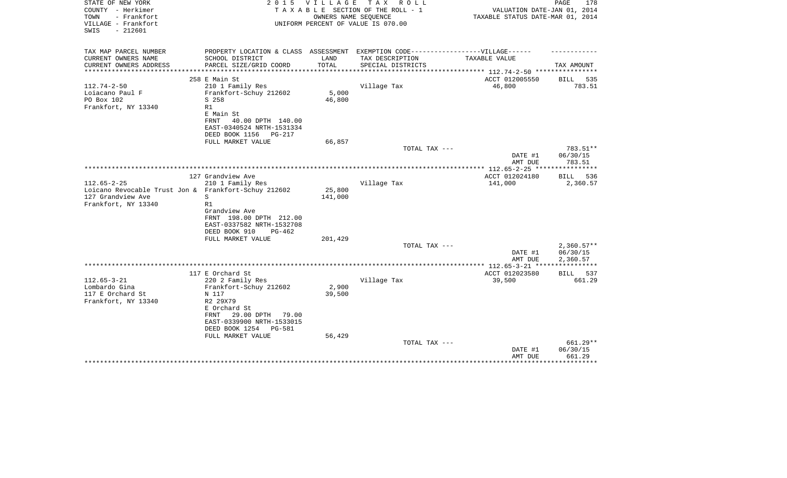| TOWN<br>- Frankfort<br>OWNERS NAME SEQUENCE<br>TAXABLE STATUS DATE-MAR 01, 2014<br>VILLAGE - Frankfort<br>UNIFORM PERCENT OF VALUE IS 070.00<br>$-212601$<br>SWIS |                    |
|-------------------------------------------------------------------------------------------------------------------------------------------------------------------|--------------------|
| TAX MAP PARCEL NUMBER<br>PROPERTY LOCATION & CLASS ASSESSMENT EXEMPTION CODE-----------------VILLAGE------                                                        |                    |
| CURRENT OWNERS NAME<br>SCHOOL DISTRICT<br>LAND<br>TAX DESCRIPTION<br>TAXABLE VALUE                                                                                |                    |
| CURRENT OWNERS ADDRESS<br>PARCEL SIZE/GRID COORD<br>TOTAL<br>SPECIAL DISTRICTS<br>****************<br>*************************** 112.74-2-50 ****************    | TAX AMOUNT         |
| ACCT 012005550<br>258 E Main St                                                                                                                                   | BILL<br>535        |
| $112.74 - 2 - 50$<br>210 1 Family Res<br>Village Tax<br>46,800                                                                                                    | 783.51             |
| 5,000<br>Frankfort-Schuy 212602<br>Loiacano Paul F                                                                                                                |                    |
| PO Box 102<br>S 258<br>46,800                                                                                                                                     |                    |
| Frankfort, NY 13340<br>R1                                                                                                                                         |                    |
| E Main St                                                                                                                                                         |                    |
| FRNT<br>40.00 DPTH 140.00<br>EAST-0340524 NRTH-1531334                                                                                                            |                    |
| DEED BOOK 1156<br>PG-217                                                                                                                                          |                    |
| 66,857<br>FULL MARKET VALUE                                                                                                                                       |                    |
| TOTAL TAX ---                                                                                                                                                     | 783.51**           |
| DATE #1                                                                                                                                                           | 06/30/15           |
| AMT DUE                                                                                                                                                           | 783.51             |
| ************ 112.65-2-25 *****************<br>127 Grandview Ave<br>ACCT 012024180                                                                                 | BILL<br>536        |
| $112.65 - 2 - 25$<br>210 1 Family Res<br>Village Tax<br>141,000                                                                                                   | 2,360.57           |
| Loicano Revocable Trust Jon & Frankfort-Schuy 212602<br>25,800                                                                                                    |                    |
| 127 Grandview Ave<br>141,000<br>S                                                                                                                                 |                    |
| R1<br>Frankfort, NY 13340                                                                                                                                         |                    |
| Grandview Ave                                                                                                                                                     |                    |
| FRNT 198.00 DPTH 212.00<br>EAST-0337582 NRTH-1532708                                                                                                              |                    |
| DEED BOOK 910<br>$PG-462$                                                                                                                                         |                    |
| FULL MARKET VALUE<br>201,429                                                                                                                                      |                    |
| TOTAL TAX ---                                                                                                                                                     | $2,360.57**$       |
| DATE #1                                                                                                                                                           | 06/30/15           |
| AMT DUE                                                                                                                                                           | 2,360.57           |
| 117 E Orchard St<br>ACCT 012023580                                                                                                                                | 537<br>BILL        |
| $112.65 - 3 - 21$<br>220 2 Family Res<br>Village Tax<br>39,500                                                                                                    | 661.29             |
| 2,900<br>Lombardo Gina<br>Frankfort-Schuy 212602                                                                                                                  |                    |
| 117 E Orchard St<br>39,500<br>N 117                                                                                                                               |                    |
| Frankfort, NY 13340<br>R2 29X79                                                                                                                                   |                    |
| E Orchard St                                                                                                                                                      |                    |
| 29.00 DPTH<br>79.00<br>FRNT<br>EAST-0339900 NRTH-1533015                                                                                                          |                    |
| DEED BOOK 1254<br><b>PG-581</b>                                                                                                                                   |                    |
| FULL MARKET VALUE<br>56,429                                                                                                                                       |                    |
| TOTAL TAX ---                                                                                                                                                     | 661.29**           |
| DATE #1                                                                                                                                                           | 06/30/15           |
| AMT DUE                                                                                                                                                           | 661.29<br>******** |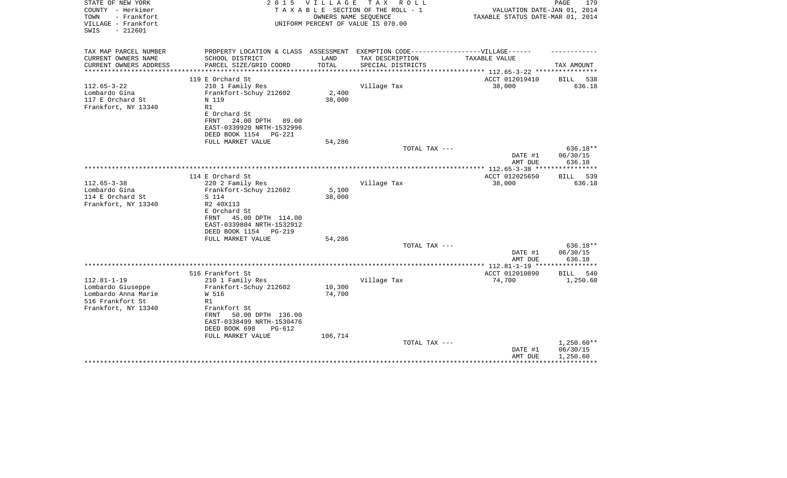| STATE OF NEW YORK<br>COUNTY - Herkimer<br>TOWN<br>- Frankfort | 2 0 1 5                                                                           | <b>VILLAGE</b><br>OWNERS NAME SEQUENCE | T A X<br>R O L L<br>TAXABLE SECTION OF THE ROLL - 1 | VALUATION DATE-JAN 01, 2014<br>TAXABLE STATUS DATE-MAR 01, 2014 | PAGE<br>179          |
|---------------------------------------------------------------|-----------------------------------------------------------------------------------|----------------------------------------|-----------------------------------------------------|-----------------------------------------------------------------|----------------------|
| VILLAGE - Frankfort<br>$-212601$<br>SWIS                      |                                                                                   |                                        | UNIFORM PERCENT OF VALUE IS 070.00                  |                                                                 |                      |
| TAX MAP PARCEL NUMBER                                         | PROPERTY LOCATION & CLASS ASSESSMENT EXEMPTION CODE-----------------VILLAGE------ |                                        |                                                     |                                                                 |                      |
| CURRENT OWNERS NAME<br>CURRENT OWNERS ADDRESS                 | SCHOOL DISTRICT<br>PARCEL SIZE/GRID COORD                                         | LAND<br>TOTAL                          | TAX DESCRIPTION<br>SPECIAL DISTRICTS                | <b>TAXABLE VALUE</b>                                            | TAX AMOUNT           |
|                                                               |                                                                                   |                                        |                                                     |                                                                 |                      |
|                                                               | 119 E Orchard St                                                                  |                                        |                                                     | ACCT 012019410                                                  | BILL<br>538          |
| $112.65 - 3 - 22$                                             | 210 1 Family Res                                                                  |                                        | Village Tax                                         | 38,000                                                          | 636.18               |
| Lombardo Gina<br>117 E Orchard St                             | Frankfort-Schuy 212602<br>N 119                                                   | 2,400<br>38,000                        |                                                     |                                                                 |                      |
| Frankfort, NY 13340                                           | R1                                                                                |                                        |                                                     |                                                                 |                      |
|                                                               | E Orchard St                                                                      |                                        |                                                     |                                                                 |                      |
|                                                               | 24.00 DPTH<br><b>FRNT</b><br>89.00                                                |                                        |                                                     |                                                                 |                      |
|                                                               | EAST-0339920 NRTH-1532996                                                         |                                        |                                                     |                                                                 |                      |
|                                                               | DEED BOOK 1154<br>$PG-221$<br>FULL MARKET VALUE                                   | 54,286                                 |                                                     |                                                                 |                      |
|                                                               |                                                                                   |                                        | TOTAL TAX ---                                       |                                                                 | 636.18**             |
|                                                               |                                                                                   |                                        |                                                     | DATE #1                                                         | 06/30/15             |
|                                                               |                                                                                   |                                        |                                                     | AMT DUE                                                         | 636.18               |
|                                                               | 114 E Orchard St                                                                  |                                        |                                                     | ACCT 012025650                                                  | 539<br>BILL          |
| $112.65 - 3 - 38$                                             | 220 2 Family Res                                                                  |                                        | Village Tax                                         | 38,000                                                          | 636.18               |
| Lombardo Gina                                                 | Frankfort-Schuy 212602                                                            | 5,100                                  |                                                     |                                                                 |                      |
| 114 E Orchard St                                              | S 114                                                                             | 38,000                                 |                                                     |                                                                 |                      |
| Frankfort, NY 13340                                           | R2 40X113                                                                         |                                        |                                                     |                                                                 |                      |
|                                                               | E Orchard St<br>45.00 DPTH 114.00<br>FRNT                                         |                                        |                                                     |                                                                 |                      |
|                                                               | EAST-0339804 NRTH-1532912                                                         |                                        |                                                     |                                                                 |                      |
|                                                               | DEED BOOK 1154<br>PG-219                                                          |                                        |                                                     |                                                                 |                      |
|                                                               | FULL MARKET VALUE                                                                 | 54,286                                 |                                                     |                                                                 |                      |
|                                                               |                                                                                   |                                        | TOTAL TAX ---                                       | DATE #1                                                         | 636.18**<br>06/30/15 |
|                                                               |                                                                                   |                                        |                                                     | AMT DUE                                                         | 636.18               |
|                                                               |                                                                                   |                                        |                                                     | *************** 112.81-1-19 ********                            | *******              |
|                                                               | 516 Frankfort St                                                                  |                                        |                                                     | ACCT 012010890                                                  | <b>BILL</b><br>540   |
| $112.81 - 1 - 19$                                             | 210 1 Family Res                                                                  |                                        | Village Tax                                         | 74,700                                                          | 1,250.60             |
| Lombardo Giuseppe<br>Lombardo Anna Marie                      | Frankfort-Schuy 212602<br>W 516                                                   | 10,300<br>74,700                       |                                                     |                                                                 |                      |
| 516 Frankfort St                                              | R1                                                                                |                                        |                                                     |                                                                 |                      |
| Frankfort, NY 13340                                           | Frankfort St                                                                      |                                        |                                                     |                                                                 |                      |
|                                                               | 50.00 DPTH 136.00<br>FRNT                                                         |                                        |                                                     |                                                                 |                      |
|                                                               | EAST-0338499 NRTH-1530476<br>DEED BOOK 698<br>$PG-612$                            |                                        |                                                     |                                                                 |                      |
|                                                               | FULL MARKET VALUE                                                                 | 106,714                                |                                                     |                                                                 |                      |
|                                                               |                                                                                   |                                        | TOTAL TAX ---                                       |                                                                 | $1,250.60**$         |
|                                                               |                                                                                   |                                        |                                                     | DATE #1                                                         | 06/30/15             |
|                                                               |                                                                                   |                                        |                                                     | AMT DUE                                                         | 1,250.60             |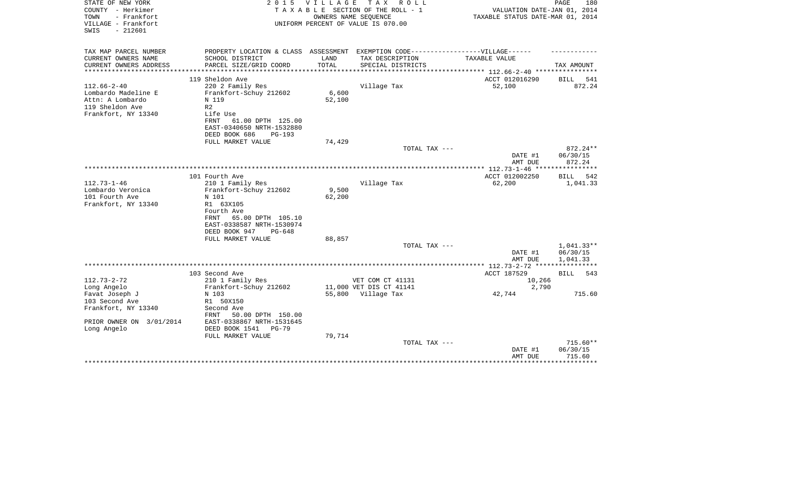| STATE OF NEW YORK<br>COUNTY - Herkimer<br>- Frankfort<br>TOWN<br>VILLAGE - Frankfort<br>$-212601$<br>SWIS | 2 0 1 5                                                                           | VILLAGE | T A X<br>R O L L<br>TAXABLE SECTION OF THE ROLL - 1<br>OWNERS NAME SEQUENCE<br>UNIFORM PERCENT OF VALUE IS 070.00 | VALUATION DATE-JAN 01, 2014<br>TAXABLE STATUS DATE-MAR 01, 2014 | PAGE<br>180            |
|-----------------------------------------------------------------------------------------------------------|-----------------------------------------------------------------------------------|---------|-------------------------------------------------------------------------------------------------------------------|-----------------------------------------------------------------|------------------------|
| TAX MAP PARCEL NUMBER                                                                                     | PROPERTY LOCATION & CLASS ASSESSMENT EXEMPTION CODE-----------------VILLAGE------ |         |                                                                                                                   |                                                                 |                        |
| CURRENT OWNERS NAME                                                                                       | SCHOOL DISTRICT                                                                   | LAND    | TAX DESCRIPTION                                                                                                   | TAXABLE VALUE                                                   |                        |
| CURRENT OWNERS ADDRESS<br>**********************                                                          | PARCEL SIZE/GRID COORD                                                            | TOTAL   | SPECIAL DISTRICTS                                                                                                 |                                                                 | TAX AMOUNT             |
|                                                                                                           | 119 Sheldon Ave                                                                   |         |                                                                                                                   | ACCT 012016290                                                  | 541<br>BILL            |
| $112.66 - 2 - 40$                                                                                         | 220 2 Family Res                                                                  |         | Village Tax                                                                                                       | 52,100                                                          | 872.24                 |
| Lombardo Madeline E                                                                                       | Frankfort-Schuy 212602                                                            | 6,600   |                                                                                                                   |                                                                 |                        |
| Attn: A Lombardo                                                                                          | N 119                                                                             | 52,100  |                                                                                                                   |                                                                 |                        |
| 119 Sheldon Ave                                                                                           | R <sub>2</sub>                                                                    |         |                                                                                                                   |                                                                 |                        |
| Frankfort, NY 13340                                                                                       | Life Use                                                                          |         |                                                                                                                   |                                                                 |                        |
|                                                                                                           | 61.00 DPTH 125.00<br><b>FRNT</b><br>EAST-0340650 NRTH-1532880                     |         |                                                                                                                   |                                                                 |                        |
|                                                                                                           | DEED BOOK 686<br>$PG-193$                                                         |         |                                                                                                                   |                                                                 |                        |
|                                                                                                           | FULL MARKET VALUE                                                                 | 74,429  |                                                                                                                   |                                                                 |                        |
|                                                                                                           |                                                                                   |         | TOTAL TAX ---                                                                                                     |                                                                 | $872.24**$             |
|                                                                                                           |                                                                                   |         |                                                                                                                   | DATE #1                                                         | 06/30/15               |
|                                                                                                           |                                                                                   |         |                                                                                                                   | AMT DUE                                                         | 872.24                 |
|                                                                                                           | 101 Fourth Ave                                                                    |         |                                                                                                                   | ACCT 012002250                                                  | <b>BILL</b><br>542     |
| $112.73 - 1 - 46$                                                                                         | 210 1 Family Res                                                                  |         | Village Tax                                                                                                       | 62,200                                                          | 1,041.33               |
| Lombardo Veronica                                                                                         | Frankfort-Schuy 212602                                                            | 9,500   |                                                                                                                   |                                                                 |                        |
| 101 Fourth Ave                                                                                            | N 101                                                                             | 62,200  |                                                                                                                   |                                                                 |                        |
| Frankfort, NY 13340                                                                                       | R1 63X105                                                                         |         |                                                                                                                   |                                                                 |                        |
|                                                                                                           | Fourth Ave<br>65.00 DPTH 105.10<br>FRNT                                           |         |                                                                                                                   |                                                                 |                        |
|                                                                                                           | EAST-0338587 NRTH-1530974                                                         |         |                                                                                                                   |                                                                 |                        |
|                                                                                                           | DEED BOOK 947<br>$PG-648$                                                         |         |                                                                                                                   |                                                                 |                        |
|                                                                                                           | FULL MARKET VALUE                                                                 | 88,857  |                                                                                                                   |                                                                 |                        |
|                                                                                                           |                                                                                   |         | TOTAL TAX ---                                                                                                     |                                                                 | $1,041.33**$           |
|                                                                                                           |                                                                                   |         |                                                                                                                   | DATE #1<br>AMT DUE                                              | 06/30/15<br>1,041.33   |
|                                                                                                           |                                                                                   |         |                                                                                                                   | **************** 112.73-2-72 ****************                   |                        |
|                                                                                                           | 103 Second Ave                                                                    |         |                                                                                                                   | ACCT 187529                                                     | BILL<br>543            |
| $112.73 - 2 - 72$                                                                                         | 210 1 Family Res                                                                  |         | VET COM CT 41131                                                                                                  | 10,266                                                          |                        |
| Long Angelo                                                                                               | Frankfort-Schuy 212602                                                            |         | 11,000 VET DIS CT 41141                                                                                           | 2,790                                                           |                        |
| Favat Joseph J                                                                                            | N 103                                                                             | 55,800  | Village Tax                                                                                                       | 42,744                                                          | 715.60                 |
| 103 Second Ave<br>Frankfort, NY 13340                                                                     | R1 50X150<br>Second Ave                                                           |         |                                                                                                                   |                                                                 |                        |
|                                                                                                           | 50.00 DPTH 150.00<br>FRNT                                                         |         |                                                                                                                   |                                                                 |                        |
| PRIOR OWNER ON 3/01/2014                                                                                  | EAST-0338867 NRTH-1531645                                                         |         |                                                                                                                   |                                                                 |                        |
| Long Angelo                                                                                               | DEED BOOK 1541<br>$PG-79$                                                         |         |                                                                                                                   |                                                                 |                        |
|                                                                                                           | FULL MARKET VALUE                                                                 | 79,714  |                                                                                                                   |                                                                 |                        |
|                                                                                                           |                                                                                   |         | TOTAL TAX ---                                                                                                     | DATE #1                                                         | $715.60**$<br>06/30/15 |
|                                                                                                           |                                                                                   |         |                                                                                                                   | AMT DUE                                                         | 715.60                 |
|                                                                                                           |                                                                                   |         |                                                                                                                   |                                                                 | ********               |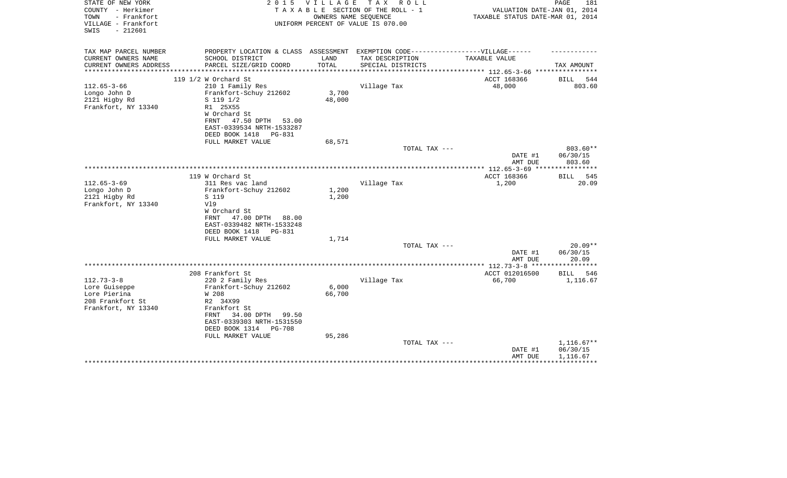| STATE OF NEW YORK<br>2 0 1 5                     | VILLAGE                            | T A X<br>R O L L                |                                                                                   | PAGE<br>181        |
|--------------------------------------------------|------------------------------------|---------------------------------|-----------------------------------------------------------------------------------|--------------------|
| COUNTY - Herkimer                                |                                    | TAXABLE SECTION OF THE ROLL - 1 | VALUATION DATE-JAN 01, 2014                                                       |                    |
| - Frankfort<br>TOWN<br>VILLAGE - Frankfort       |                                    | OWNERS NAME SEQUENCE            | TAXABLE STATUS DATE-MAR 01, 2014                                                  |                    |
| $-212601$<br>SWIS                                | UNIFORM PERCENT OF VALUE IS 070.00 |                                 |                                                                                   |                    |
|                                                  |                                    |                                 |                                                                                   |                    |
|                                                  |                                    |                                 |                                                                                   |                    |
| TAX MAP PARCEL NUMBER                            |                                    |                                 | PROPERTY LOCATION & CLASS ASSESSMENT EXEMPTION CODE-----------------VILLAGE------ |                    |
| CURRENT OWNERS NAME<br>SCHOOL DISTRICT           | LAND                               | TAX DESCRIPTION                 | TAXABLE VALUE                                                                     |                    |
| PARCEL SIZE/GRID COORD<br>CURRENT OWNERS ADDRESS | TOTAL                              | SPECIAL DISTRICTS               |                                                                                   | TAX AMOUNT         |
| *********************                            |                                    |                                 |                                                                                   |                    |
| 119 $1/2$ W Orchard St                           |                                    |                                 | ACCT 168366                                                                       | 544<br>BILL        |
| $112.65 - 3 - 66$<br>210 1 Family Res            |                                    | Village Tax                     | 48,000                                                                            | 803.60             |
| Longo John D<br>Frankfort-Schuy 212602           | 3,700                              |                                 |                                                                                   |                    |
| 2121 Higby Rd<br>S 119 1/2                       | 48,000                             |                                 |                                                                                   |                    |
| Frankfort, NY 13340<br>R1 25X55                  |                                    |                                 |                                                                                   |                    |
| W Orchard St                                     |                                    |                                 |                                                                                   |                    |
| 47.50 DPTH<br>FRNT                               | 53.00                              |                                 |                                                                                   |                    |
| EAST-0339534 NRTH-1533287                        |                                    |                                 |                                                                                   |                    |
| DEED BOOK 1418<br>PG-831                         |                                    |                                 |                                                                                   |                    |
| FULL MARKET VALUE                                | 68,571                             |                                 |                                                                                   |                    |
|                                                  |                                    | TOTAL TAX ---                   |                                                                                   | 803.60**           |
|                                                  |                                    |                                 | DATE #1                                                                           | 06/30/15           |
|                                                  |                                    |                                 | AMT DUE                                                                           | 803.60             |
|                                                  |                                    |                                 |                                                                                   |                    |
| 119 W Orchard St                                 |                                    |                                 | ACCT 168366                                                                       | BILL<br>545        |
| $112.65 - 3 - 69$<br>311 Res vac land            |                                    | Village Tax                     | 1,200                                                                             | 20.09              |
| Longo John D<br>Frankfort-Schuy 212602           | 1,200                              |                                 |                                                                                   |                    |
| 2121 Higby Rd<br>S 119                           | 1,200                              |                                 |                                                                                   |                    |
| V19<br>Frankfort, NY 13340                       |                                    |                                 |                                                                                   |                    |
| W Orchard St                                     |                                    |                                 |                                                                                   |                    |
| 47.00 DPTH<br><b>FRNT</b>                        | 88.00                              |                                 |                                                                                   |                    |
| EAST-0339482 NRTH-1533248                        |                                    |                                 |                                                                                   |                    |
| DEED BOOK 1418<br>PG-831                         |                                    |                                 |                                                                                   |                    |
| FULL MARKET VALUE                                | 1,714                              |                                 |                                                                                   |                    |
|                                                  |                                    | TOTAL TAX ---                   |                                                                                   | $20.09**$          |
|                                                  |                                    |                                 | DATE #1                                                                           | 06/30/15           |
|                                                  |                                    |                                 | AMT DUE                                                                           | 20.09              |
|                                                  |                                    |                                 |                                                                                   |                    |
| 208 Frankfort St                                 |                                    |                                 | ACCT 012016500                                                                    | <b>BILL</b><br>546 |
| $112.73 - 3 - 8$<br>220 2 Family Res             |                                    | Village Tax                     | 66,700                                                                            | 1,116.67           |
| Frankfort-Schuy 212602<br>Lore Guiseppe          | 6,000                              |                                 |                                                                                   |                    |
| Lore Pierina<br>W 208                            | 66,700                             |                                 |                                                                                   |                    |
| 208 Frankfort St<br>R2 34X99                     |                                    |                                 |                                                                                   |                    |
| Frankfort, NY 13340<br>Frankfort St              |                                    |                                 |                                                                                   |                    |
| 34.00 DPTH<br>FRNT                               | 99.50                              |                                 |                                                                                   |                    |
| EAST-0339303 NRTH-1531550                        |                                    |                                 |                                                                                   |                    |
| DEED BOOK 1314<br>PG-708                         |                                    |                                 |                                                                                   |                    |
| FULL MARKET VALUE                                | 95,286                             |                                 |                                                                                   |                    |
|                                                  |                                    | TOTAL TAX ---                   |                                                                                   | $1,116.67**$       |
|                                                  |                                    |                                 | DATE #1                                                                           | 06/30/15           |
|                                                  |                                    |                                 | AMT DUE                                                                           | 1,116.67           |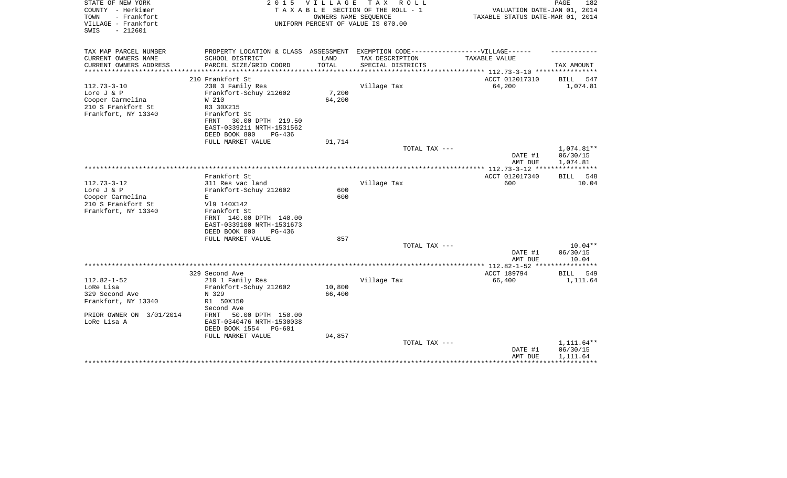| STATE OF NEW YORK<br>COUNTY - Herkimer<br>- Frankfort<br>TOWN<br>VILLAGE - Frankfort<br>$-212601$<br>SWIS | 2 0 1 5                                                                                              | V I L L A G E   | TAX ROLL<br>TAXABLE SECTION OF THE ROLL - 1<br>OWNERS NAME SEQUENCE<br>UNIFORM PERCENT OF VALUE IS 070.00 | VALUATION DATE-JAN 01, 2014<br>TAXABLE STATUS DATE-MAR 01, 2014 | PAGE<br>182             |
|-----------------------------------------------------------------------------------------------------------|------------------------------------------------------------------------------------------------------|-----------------|-----------------------------------------------------------------------------------------------------------|-----------------------------------------------------------------|-------------------------|
| TAX MAP PARCEL NUMBER<br>CURRENT OWNERS NAME                                                              | PROPERTY LOCATION & CLASS ASSESSMENT EXEMPTION CODE-----------------VILLAGE------<br>SCHOOL DISTRICT | LAND            | TAX DESCRIPTION                                                                                           | TAXABLE VALUE                                                   |                         |
| CURRENT OWNERS ADDRESS                                                                                    | PARCEL SIZE/GRID COORD                                                                               | TOTAL           | SPECIAL DISTRICTS                                                                                         |                                                                 | TAX AMOUNT              |
| *********************                                                                                     |                                                                                                      |                 |                                                                                                           |                                                                 |                         |
| $112.73 - 3 - 10$                                                                                         | 210 Frankfort St<br>230 3 Family Res                                                                 |                 | Village Tax                                                                                               | ACCT 012017310<br>64,200                                        | BILL<br>547<br>1,074.81 |
| Lore J & P<br>Cooper Carmelina<br>210 S Frankfort St<br>Frankfort, NY 13340                               | Frankfort-Schuy 212602<br>W 210<br>R3 30X215<br>Frankfort St<br>30.00 DPTH 219.50<br>FRNT            | 7,200<br>64,200 |                                                                                                           |                                                                 |                         |
|                                                                                                           | EAST-0339211 NRTH-1531562                                                                            |                 |                                                                                                           |                                                                 |                         |
|                                                                                                           | DEED BOOK 800<br>$PG-436$<br>FULL MARKET VALUE                                                       | 91,714          |                                                                                                           |                                                                 |                         |
|                                                                                                           |                                                                                                      |                 | TOTAL TAX ---                                                                                             |                                                                 | 1,074.81**              |
|                                                                                                           |                                                                                                      |                 |                                                                                                           | DATE #1                                                         | 06/30/15<br>1,074.81    |
|                                                                                                           |                                                                                                      |                 |                                                                                                           | AMT DUE                                                         |                         |
|                                                                                                           | Frankfort St                                                                                         |                 |                                                                                                           | ACCT 012017340                                                  | 548<br>BILL             |
| $112.73 - 3 - 12$                                                                                         | 311 Res vac land                                                                                     |                 | Village Tax                                                                                               | 600                                                             | 10.04                   |
| Lore J & P                                                                                                | Frankfort-Schuy 212602                                                                               | 600             |                                                                                                           |                                                                 |                         |
| Cooper Carmelina                                                                                          | E.                                                                                                   | 600             |                                                                                                           |                                                                 |                         |
| 210 S Frankfort St                                                                                        | V19 140X142                                                                                          |                 |                                                                                                           |                                                                 |                         |
| Frankfort, NY 13340                                                                                       | Frankfort St<br>FRNT 140.00 DPTH 140.00<br>EAST-0339100 NRTH-1531673<br>DEED BOOK 800<br>$PG-436$    |                 |                                                                                                           |                                                                 |                         |
|                                                                                                           | FULL MARKET VALUE                                                                                    | 857             |                                                                                                           |                                                                 |                         |
|                                                                                                           |                                                                                                      |                 | TOTAL TAX ---                                                                                             |                                                                 | $10.04**$               |
|                                                                                                           |                                                                                                      |                 |                                                                                                           | DATE #1                                                         | 06/30/15                |
|                                                                                                           |                                                                                                      |                 |                                                                                                           | AMT DUE<br>***************** 112.82-1-52 *****************      | 10.04                   |
|                                                                                                           | 329 Second Ave                                                                                       |                 |                                                                                                           | ACCT 189794                                                     | BILL<br>549             |
| $112.82 - 1 - 52$                                                                                         | 210 1 Family Res                                                                                     |                 | Village Tax                                                                                               | 66,400                                                          | 1,111.64                |
| LoRe Lisa                                                                                                 | Frankfort-Schuy 212602                                                                               | 10,800          |                                                                                                           |                                                                 |                         |
| 329 Second Ave                                                                                            | N 329                                                                                                | 66,400          |                                                                                                           |                                                                 |                         |
| Frankfort, NY 13340                                                                                       | R1 50X150                                                                                            |                 |                                                                                                           |                                                                 |                         |
|                                                                                                           | Second Ave                                                                                           |                 |                                                                                                           |                                                                 |                         |
| PRIOR OWNER ON 3/01/2014                                                                                  | 50.00 DPTH 150.00<br>FRNT                                                                            |                 |                                                                                                           |                                                                 |                         |
| LoRe Lisa A                                                                                               | EAST-0340476 NRTH-1530038<br><b>PG-601</b>                                                           |                 |                                                                                                           |                                                                 |                         |
|                                                                                                           | DEED BOOK 1554<br>FULL MARKET VALUE                                                                  | 94,857          |                                                                                                           |                                                                 |                         |
|                                                                                                           |                                                                                                      |                 | TOTAL TAX ---                                                                                             |                                                                 | 1,111.64**              |
|                                                                                                           |                                                                                                      |                 |                                                                                                           | DATE #1<br>AMT DUE                                              | 06/30/15<br>1,111.64    |
|                                                                                                           |                                                                                                      |                 |                                                                                                           |                                                                 |                         |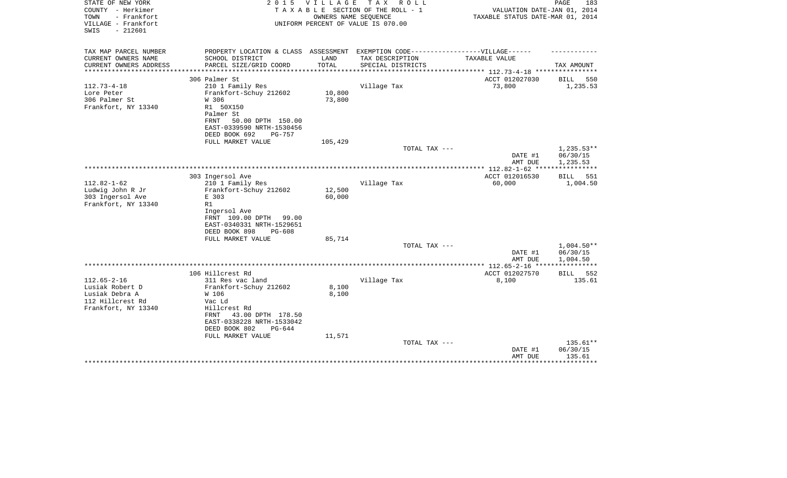| STATE OF NEW YORK<br>COUNTY - Herkimer<br>TOWN<br>- Frankfort<br>VILLAGE - Frankfort<br>$-212601$<br>SWIS | 2 0 1 5                                                | VILLAGE          | T A X<br>R O L L<br>TAXABLE SECTION OF THE ROLL - 1<br>OWNERS NAME SEQUENCE<br>UNIFORM PERCENT OF VALUE IS 070.00 | VALUATION DATE-JAN 01, 2014<br>TAXABLE STATUS DATE-MAR 01, 2014 | PAGE<br>183              |
|-----------------------------------------------------------------------------------------------------------|--------------------------------------------------------|------------------|-------------------------------------------------------------------------------------------------------------------|-----------------------------------------------------------------|--------------------------|
| TAX MAP PARCEL NUMBER                                                                                     | PROPERTY LOCATION & CLASS ASSESSMENT                   |                  | EXEMPTION CODE------------------VILLAGE------                                                                     |                                                                 |                          |
| CURRENT OWNERS NAME                                                                                       | SCHOOL DISTRICT                                        | LAND             | TAX DESCRIPTION                                                                                                   | TAXABLE VALUE                                                   |                          |
| CURRENT OWNERS ADDRESS<br>**********************                                                          | PARCEL SIZE/GRID COORD                                 | TOTAL            | SPECIAL DISTRICTS                                                                                                 |                                                                 | TAX AMOUNT               |
|                                                                                                           | 306 Palmer St                                          |                  |                                                                                                                   | ACCT 012027030                                                  | BILL<br>550              |
| $112.73 - 4 - 18$                                                                                         | 210 1 Family Res                                       |                  | Village Tax                                                                                                       | 73,800                                                          | 1,235.53                 |
| Lore Peter                                                                                                | Frankfort-Schuy 212602                                 | 10,800           |                                                                                                                   |                                                                 |                          |
| 306 Palmer St                                                                                             | W 306                                                  | 73,800           |                                                                                                                   |                                                                 |                          |
| Frankfort, NY 13340                                                                                       | R1 50X150<br>Palmer St                                 |                  |                                                                                                                   |                                                                 |                          |
|                                                                                                           | 50.00 DPTH 150.00<br><b>FRNT</b>                       |                  |                                                                                                                   |                                                                 |                          |
|                                                                                                           | EAST-0339590 NRTH-1530456                              |                  |                                                                                                                   |                                                                 |                          |
|                                                                                                           | DEED BOOK 692<br><b>PG-757</b>                         |                  |                                                                                                                   |                                                                 |                          |
|                                                                                                           | FULL MARKET VALUE                                      | 105,429          |                                                                                                                   |                                                                 |                          |
|                                                                                                           |                                                        |                  | TOTAL TAX ---                                                                                                     | DATE #1                                                         | $1,235.53**$<br>06/30/15 |
|                                                                                                           |                                                        |                  |                                                                                                                   | AMT DUE                                                         | 1,235.53                 |
|                                                                                                           |                                                        |                  |                                                                                                                   |                                                                 | ************             |
|                                                                                                           | 303 Ingersol Ave                                       |                  |                                                                                                                   | ACCT 012016530                                                  | 551<br><b>BILL</b>       |
| $112.82 - 1 - 62$                                                                                         | 210 1 Family Res                                       |                  | Village Tax                                                                                                       | 60,000                                                          | 1,004.50                 |
| Ludwig John R Jr                                                                                          | Frankfort-Schuy 212602<br>E 303                        | 12,500<br>60,000 |                                                                                                                   |                                                                 |                          |
| 303 Ingersol Ave<br>Frankfort, NY 13340                                                                   | R1                                                     |                  |                                                                                                                   |                                                                 |                          |
|                                                                                                           | Ingersol Ave                                           |                  |                                                                                                                   |                                                                 |                          |
|                                                                                                           | FRNT 109.00 DPTH<br>99.00                              |                  |                                                                                                                   |                                                                 |                          |
|                                                                                                           | EAST-0340331 NRTH-1529651                              |                  |                                                                                                                   |                                                                 |                          |
|                                                                                                           | DEED BOOK 898<br>$PG-608$<br>FULL MARKET VALUE         | 85,714           |                                                                                                                   |                                                                 |                          |
|                                                                                                           |                                                        |                  | TOTAL TAX ---                                                                                                     |                                                                 | $1,004.50**$             |
|                                                                                                           |                                                        |                  |                                                                                                                   | DATE #1                                                         | 06/30/15                 |
|                                                                                                           |                                                        |                  |                                                                                                                   | AMT DUE                                                         | 1,004.50                 |
|                                                                                                           |                                                        |                  |                                                                                                                   | ************ 112.65-2-16 ****                                   |                          |
| $112.65 - 2 - 16$                                                                                         | 106 Hillcrest Rd<br>311 Res vac land                   |                  | Village Tax                                                                                                       | ACCT 012027570<br>8,100                                         | 552<br>BILL<br>135.61    |
| Lusiak Robert D                                                                                           | Frankfort-Schuy 212602                                 | 8,100            |                                                                                                                   |                                                                 |                          |
| Lusiak Debra A                                                                                            | W 106                                                  | 8,100            |                                                                                                                   |                                                                 |                          |
| 112 Hillcrest Rd                                                                                          | Vac Ld                                                 |                  |                                                                                                                   |                                                                 |                          |
| Frankfort, NY 13340                                                                                       | Hillcrest Rd                                           |                  |                                                                                                                   |                                                                 |                          |
|                                                                                                           | 43.00 DPTH 178.50<br>FRNT                              |                  |                                                                                                                   |                                                                 |                          |
|                                                                                                           | EAST-0338228 NRTH-1533042<br>DEED BOOK 802<br>$PG-644$ |                  |                                                                                                                   |                                                                 |                          |
|                                                                                                           | FULL MARKET VALUE                                      | 11,571           |                                                                                                                   |                                                                 |                          |
|                                                                                                           |                                                        |                  | TOTAL TAX ---                                                                                                     |                                                                 | 135.61**                 |
|                                                                                                           |                                                        |                  |                                                                                                                   | DATE #1                                                         | 06/30/15                 |
|                                                                                                           |                                                        |                  |                                                                                                                   | AMT DUE                                                         | 135.61                   |
|                                                                                                           |                                                        |                  |                                                                                                                   |                                                                 |                          |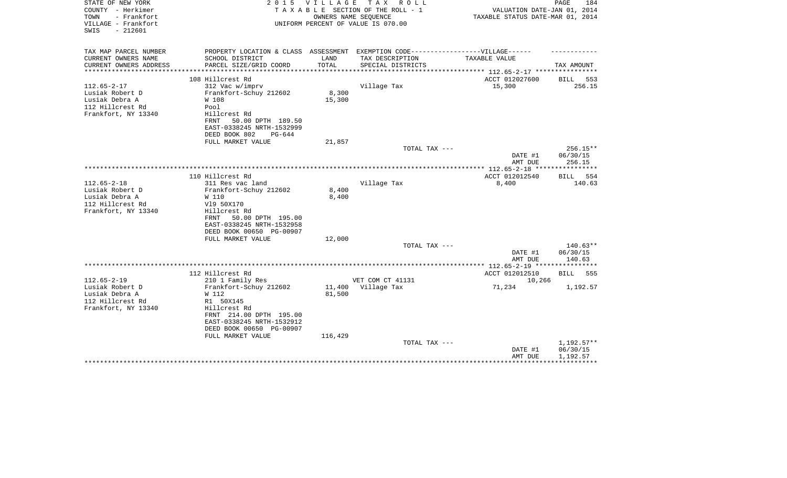| STATE OF NEW YORK<br>COUNTY - Herkimer                          | 2 0 1 5                                                                           | VILLAGE | TAX ROLL<br>TAXABLE SECTION OF THE ROLL - 1                | VALUATION DATE-JAN 01, 2014                              | PAGE<br>184     |
|-----------------------------------------------------------------|-----------------------------------------------------------------------------------|---------|------------------------------------------------------------|----------------------------------------------------------|-----------------|
| TOWN<br>- Frankfort<br>VILLAGE - Frankfort<br>$-212601$<br>SWIS |                                                                                   |         | OWNERS NAME SEQUENCE<br>UNIFORM PERCENT OF VALUE IS 070.00 | TAXABLE STATUS DATE-MAR 01, 2014                         |                 |
| TAX MAP PARCEL NUMBER                                           | PROPERTY LOCATION & CLASS ASSESSMENT EXEMPTION CODE-----------------VILLAGE------ |         |                                                            |                                                          |                 |
| CURRENT OWNERS NAME                                             | SCHOOL DISTRICT                                                                   | LAND    | TAX DESCRIPTION                                            | TAXABLE VALUE                                            |                 |
| CURRENT OWNERS ADDRESS<br>********************                  | PARCEL SIZE/GRID COORD                                                            | TOTAL   | SPECIAL DISTRICTS                                          | ************************** 112.65-2-17 ***************** | TAX AMOUNT      |
|                                                                 | 108 Hillcrest Rd                                                                  |         |                                                            | ACCT 012027600                                           | BILL 553        |
| $112.65 - 2 - 17$                                               | 312 Vac w/imprv                                                                   |         | Village Tax                                                | 15,300                                                   | 256.15          |
| Lusiak Robert D                                                 | Frankfort-Schuy 212602                                                            | 8,300   |                                                            |                                                          |                 |
| Lusiak Debra A                                                  | W 108                                                                             | 15,300  |                                                            |                                                          |                 |
| 112 Hillcrest Rd                                                | Pool                                                                              |         |                                                            |                                                          |                 |
| Frankfort, NY 13340                                             | Hillcrest Rd                                                                      |         |                                                            |                                                          |                 |
|                                                                 | 50.00 DPTH 189.50<br>FRNT                                                         |         |                                                            |                                                          |                 |
|                                                                 | EAST-0338245 NRTH-1532999                                                         |         |                                                            |                                                          |                 |
|                                                                 | DEED BOOK 802<br>$PG-644$                                                         |         |                                                            |                                                          |                 |
|                                                                 | FULL MARKET VALUE                                                                 | 21,857  |                                                            |                                                          |                 |
|                                                                 |                                                                                   |         | TOTAL TAX ---                                              |                                                          | 256.15**        |
|                                                                 |                                                                                   |         |                                                            | DATE #1                                                  | 06/30/15        |
|                                                                 |                                                                                   |         |                                                            | AMT DUE                                                  | 256.15          |
|                                                                 |                                                                                   |         |                                                            |                                                          |                 |
|                                                                 | 110 Hillcrest Rd                                                                  |         |                                                            | ACCT 012012540                                           | <b>BILL</b> 554 |
| $112.65 - 2 - 18$                                               | 311 Res vac land                                                                  |         | Village Tax                                                | 8,400                                                    | 140.63          |
| Lusiak Robert D                                                 | Frankfort-Schuy 212602                                                            | 8,400   |                                                            |                                                          |                 |
| Lusiak Debra A                                                  | W 110                                                                             | 8,400   |                                                            |                                                          |                 |
| 112 Hillcrest Rd                                                | V19 50X170                                                                        |         |                                                            |                                                          |                 |
| Frankfort, NY 13340                                             | Hillcrest Rd                                                                      |         |                                                            |                                                          |                 |
|                                                                 | 50.00 DPTH 195.00<br>FRNT                                                         |         |                                                            |                                                          |                 |
|                                                                 | EAST-0338245 NRTH-1532958<br>DEED BOOK 00650 PG-00907                             |         |                                                            |                                                          |                 |
|                                                                 | FULL MARKET VALUE                                                                 | 12,000  |                                                            |                                                          |                 |
|                                                                 |                                                                                   |         | TOTAL TAX ---                                              |                                                          | $140.63**$      |
|                                                                 |                                                                                   |         |                                                            | DATE #1                                                  | 06/30/15        |
|                                                                 |                                                                                   |         |                                                            | AMT DUE                                                  | 140.63          |
|                                                                 |                                                                                   |         |                                                            |                                                          |                 |
|                                                                 | 112 Hillcrest Rd                                                                  |         |                                                            | ACCT 012012510                                           | BILL<br>555     |
| $112.65 - 2 - 19$                                               | 210 1 Family Res                                                                  |         | VET COM CT 41131                                           | 10,266                                                   |                 |
| Lusiak Robert D                                                 | Frankfort-Schuy 212602                                                            | 11,400  | Village Tax                                                | 71,234                                                   | 1,192.57        |
| Lusiak Debra A                                                  | W 112                                                                             | 81,500  |                                                            |                                                          |                 |
| 112 Hillcrest Rd                                                | R1 50X145                                                                         |         |                                                            |                                                          |                 |
| Frankfort, NY 13340                                             | Hillcrest Rd                                                                      |         |                                                            |                                                          |                 |
|                                                                 | FRNT 214.00 DPTH 195.00                                                           |         |                                                            |                                                          |                 |
|                                                                 | EAST-0338245 NRTH-1532912                                                         |         |                                                            |                                                          |                 |
|                                                                 | DEED BOOK 00650 PG-00907                                                          |         |                                                            |                                                          |                 |
|                                                                 | FULL MARKET VALUE                                                                 | 116,429 |                                                            |                                                          |                 |
|                                                                 |                                                                                   |         | TOTAL TAX ---                                              |                                                          | 1,192.57**      |
|                                                                 |                                                                                   |         |                                                            | DATE #1                                                  | 06/30/15        |
|                                                                 |                                                                                   |         |                                                            | AMT DUE                                                  | 1,192.57        |
|                                                                 |                                                                                   |         |                                                            |                                                          |                 |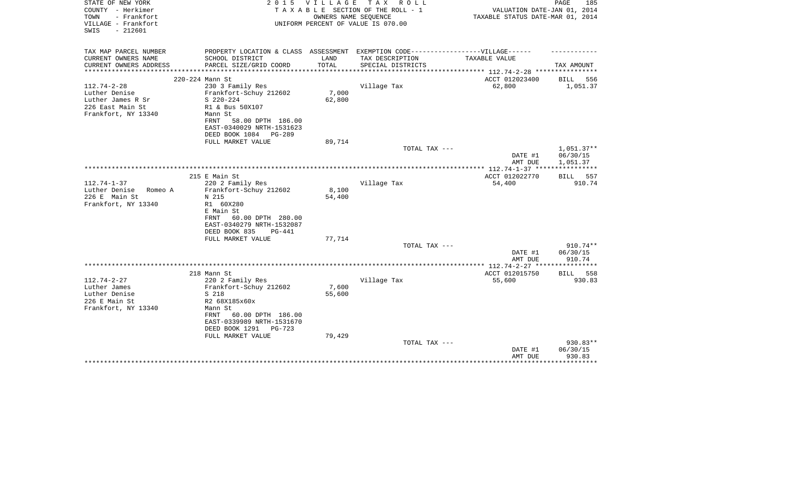| STATE OF NEW YORK<br>COUNTY - Herkimer<br>TOWN<br>- Frankfort<br>VILLAGE - Frankfort | 2 0 1 5                   | V I L L A G E<br>OWNERS NAME SEQUENCE | TAX ROLL<br>TAXABLE SECTION OF THE ROLL - 1<br>UNIFORM PERCENT OF VALUE IS 070.00 | VALUATION DATE-JAN 01, 2014<br>TAXABLE STATUS DATE-MAR 01, 2014 | PAGE<br>185          |
|--------------------------------------------------------------------------------------|---------------------------|---------------------------------------|-----------------------------------------------------------------------------------|-----------------------------------------------------------------|----------------------|
| $-212601$<br>SWIS                                                                    |                           |                                       |                                                                                   |                                                                 |                      |
| TAX MAP PARCEL NUMBER                                                                |                           |                                       | PROPERTY LOCATION & CLASS ASSESSMENT EXEMPTION CODE----------------VILLAGE------  |                                                                 |                      |
| CURRENT OWNERS NAME                                                                  | SCHOOL DISTRICT           | LAND                                  | TAX DESCRIPTION                                                                   | TAXABLE VALUE                                                   |                      |
| CURRENT OWNERS ADDRESS<br>*********************                                      | PARCEL SIZE/GRID COORD    | TOTAL                                 | SPECIAL DISTRICTS                                                                 | ***************** 112.74-2-28 *****************                 | TAX AMOUNT           |
| 220-224 Mann St                                                                      |                           |                                       |                                                                                   | ACCT 012023400                                                  | 556<br>BILL          |
| $112.74 - 2 - 28$                                                                    | 230 3 Family Res          |                                       | Village Tax                                                                       | 62,800                                                          | 1,051.37             |
| Luther Denise                                                                        | Frankfort-Schuy 212602    | 7,000                                 |                                                                                   |                                                                 |                      |
| Luther James R Sr                                                                    | $S$ 220-224               | 62,800                                |                                                                                   |                                                                 |                      |
| 226 East Main St                                                                     | R1 & Bus 50X107           |                                       |                                                                                   |                                                                 |                      |
| Frankfort, NY 13340                                                                  | Mann St                   |                                       |                                                                                   |                                                                 |                      |
|                                                                                      | 58.00 DPTH 186.00<br>FRNT |                                       |                                                                                   |                                                                 |                      |
|                                                                                      | EAST-0340029 NRTH-1531623 |                                       |                                                                                   |                                                                 |                      |
|                                                                                      | DEED BOOK 1084<br>PG-289  |                                       |                                                                                   |                                                                 |                      |
|                                                                                      | FULL MARKET VALUE         | 89,714                                |                                                                                   |                                                                 |                      |
|                                                                                      |                           |                                       | TOTAL TAX ---                                                                     |                                                                 | $1,051.37**$         |
|                                                                                      |                           |                                       |                                                                                   | DATE #1<br>AMT DUE                                              | 06/30/15<br>1,051.37 |
|                                                                                      |                           |                                       |                                                                                   |                                                                 |                      |
|                                                                                      | 215 E Main St             |                                       |                                                                                   | ACCT 012022770                                                  | BILL 557             |
| $112.74 - 1 - 37$                                                                    | 220 2 Family Res          |                                       | Village Tax                                                                       | 54,400                                                          | 910.74               |
| Luther Denise<br>Romeo A                                                             | Frankfort-Schuy 212602    | 8,100                                 |                                                                                   |                                                                 |                      |
| 226 E Main St                                                                        | N 215                     | 54,400                                |                                                                                   |                                                                 |                      |
| Frankfort, NY 13340                                                                  | R1 60X280                 |                                       |                                                                                   |                                                                 |                      |
|                                                                                      | E Main St                 |                                       |                                                                                   |                                                                 |                      |
|                                                                                      | 60.00 DPTH 280.00<br>FRNT |                                       |                                                                                   |                                                                 |                      |
|                                                                                      | EAST-0340279 NRTH-1532087 |                                       |                                                                                   |                                                                 |                      |
|                                                                                      | DEED BOOK 835<br>$PG-441$ |                                       |                                                                                   |                                                                 |                      |
|                                                                                      | FULL MARKET VALUE         | 77,714                                |                                                                                   |                                                                 |                      |
|                                                                                      |                           |                                       | TOTAL TAX ---                                                                     |                                                                 | 910.74**             |
|                                                                                      |                           |                                       |                                                                                   | DATE #1<br>AMT DUE                                              | 06/30/15<br>910.74   |
|                                                                                      |                           |                                       |                                                                                   |                                                                 |                      |
| 218 Mann St                                                                          |                           |                                       |                                                                                   | ACCT 012015750                                                  | BILL<br>558          |
| $112.74 - 2 - 27$                                                                    | 220 2 Family Res          |                                       | Village Tax                                                                       | 55,600                                                          | 930.83               |
| Luther James                                                                         | Frankfort-Schuy 212602    | 7,600                                 |                                                                                   |                                                                 |                      |
| Luther Denise                                                                        | S 218                     | 55,600                                |                                                                                   |                                                                 |                      |
| 226 E Main St                                                                        | R2 68X185x60x             |                                       |                                                                                   |                                                                 |                      |
| Frankfort, NY 13340                                                                  | Mann St                   |                                       |                                                                                   |                                                                 |                      |
|                                                                                      | 60.00 DPTH 186.00<br>FRNT |                                       |                                                                                   |                                                                 |                      |
|                                                                                      | EAST-0339989 NRTH-1531670 |                                       |                                                                                   |                                                                 |                      |
|                                                                                      | DEED BOOK 1291<br>PG-723  |                                       |                                                                                   |                                                                 |                      |
|                                                                                      | FULL MARKET VALUE         | 79,429                                |                                                                                   |                                                                 |                      |
|                                                                                      |                           |                                       | TOTAL TAX ---                                                                     |                                                                 | 930.83**             |
|                                                                                      |                           |                                       |                                                                                   | DATE #1<br>AMT DUE                                              | 06/30/15<br>930.83   |
|                                                                                      |                           |                                       |                                                                                   |                                                                 |                      |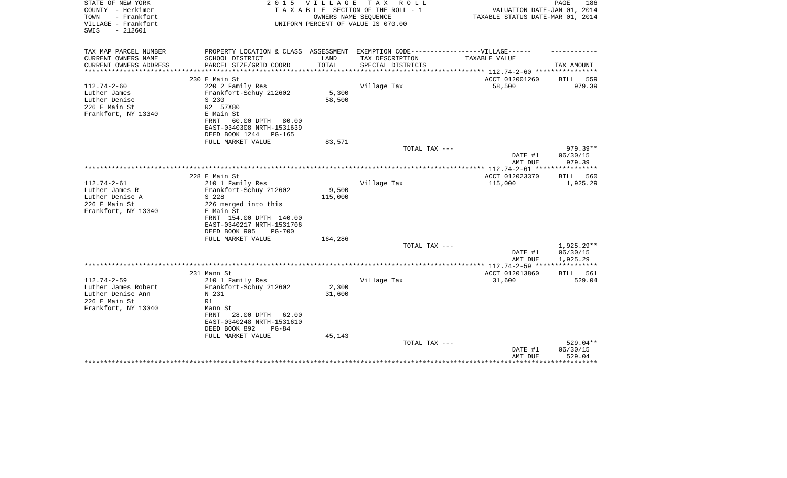| STATE OF NEW YORK<br>COUNTY - Herkimer<br>TOWN<br>- Frankfort<br>VILLAGE - Frankfort<br>$-212601$<br>SWIS | 2 0 1 5                                                                                                                                                                            | <b>VILLAGE</b><br>OWNERS NAME SEQUENCE | T A X<br>R O L L<br>TAXABLE SECTION OF THE ROLL - 1<br>UNIFORM PERCENT OF VALUE IS 070.00 | VALUATION DATE-JAN 01, 2014<br>TAXABLE STATUS DATE-MAR 01, 2014 | PAGE<br>186                    |
|-----------------------------------------------------------------------------------------------------------|------------------------------------------------------------------------------------------------------------------------------------------------------------------------------------|----------------------------------------|-------------------------------------------------------------------------------------------|-----------------------------------------------------------------|--------------------------------|
| TAX MAP PARCEL NUMBER<br>CURRENT OWNERS NAME                                                              | PROPERTY LOCATION & CLASS ASSESSMENT EXEMPTION CODE-----------------VILLAGE------<br>SCHOOL DISTRICT                                                                               | LAND                                   | TAX DESCRIPTION                                                                           | <b>TAXABLE VALUE</b>                                            |                                |
| CURRENT OWNERS ADDRESS                                                                                    | PARCEL SIZE/GRID COORD                                                                                                                                                             | TOTAL                                  | SPECIAL DISTRICTS                                                                         |                                                                 | TAX AMOUNT                     |
| **********************                                                                                    |                                                                                                                                                                                    |                                        |                                                                                           |                                                                 |                                |
| $112.74 - 2 - 60$                                                                                         | 230 E Main St<br>220 2 Family Res                                                                                                                                                  |                                        | Village Tax                                                                               | ACCT 012001260<br>58,500                                        | BILL<br>559<br>979.39          |
| Luther James<br>Luther Denise<br>226 E Main St<br>Frankfort, NY 13340                                     | Frankfort-Schuy 212602<br>S 230<br>R2 57X80<br>E Main St<br>60.00 DPTH<br>80.00<br>FRNT<br>EAST-0340308 NRTH-1531639<br>DEED BOOK 1244<br>PG-165                                   | 5,300<br>58,500                        |                                                                                           |                                                                 |                                |
|                                                                                                           | FULL MARKET VALUE                                                                                                                                                                  | 83,571                                 |                                                                                           |                                                                 | 979.39**                       |
|                                                                                                           |                                                                                                                                                                                    |                                        | TOTAL TAX ---                                                                             | DATE #1                                                         | 06/30/15                       |
|                                                                                                           |                                                                                                                                                                                    |                                        |                                                                                           | AMT DUE                                                         | 979.39                         |
|                                                                                                           | 228 E Main St                                                                                                                                                                      |                                        |                                                                                           | ACCT 012023370                                                  | <b>BILL</b><br>560             |
| $112.74 - 2 - 61$<br>Luther James R<br>Luther Denise A<br>226 E Main St<br>Frankfort, NY 13340            | 210 1 Family Res<br>Frankfort-Schuy 212602<br>S 228<br>226 merged into this<br>E Main St<br>FRNT 154.00 DPTH 140.00<br>EAST-0340217 NRTH-1531706<br>DEED BOOK 905<br><b>PG-700</b> | 9,500<br>115,000                       | Village Tax                                                                               | 115,000                                                         | 1,925.29                       |
|                                                                                                           | FULL MARKET VALUE                                                                                                                                                                  | 164,286                                | TOTAL TAX ---                                                                             |                                                                 | $1,925.29**$                   |
|                                                                                                           |                                                                                                                                                                                    |                                        |                                                                                           | DATE #1<br>AMT DUE                                              | 06/30/15<br>1,925.29           |
|                                                                                                           |                                                                                                                                                                                    |                                        |                                                                                           | ************* 112.74-2-59 *****************                     |                                |
| $112.74 - 2 - 59$<br>Luther James Robert                                                                  | 231 Mann St<br>210 1 Family Res<br>Frankfort-Schuy 212602                                                                                                                          | 2,300                                  | Village Tax                                                                               | ACCT 012013860<br>31,600                                        | 561<br>BILL<br>529.04          |
| Luther Denise Ann<br>226 E Main St<br>Frankfort, NY 13340                                                 | N 231<br>R1<br>Mann St<br>FRNT<br>28.00 DPTH<br>62.00<br>EAST-0340248 NRTH-1531610<br>DEED BOOK 892<br>$PG-84$                                                                     | 31,600                                 |                                                                                           |                                                                 |                                |
|                                                                                                           | FULL MARKET VALUE                                                                                                                                                                  | 45,143                                 | TOTAL TAX ---                                                                             | DATE #1<br>AMT DUE                                              | 529.04**<br>06/30/15<br>529.04 |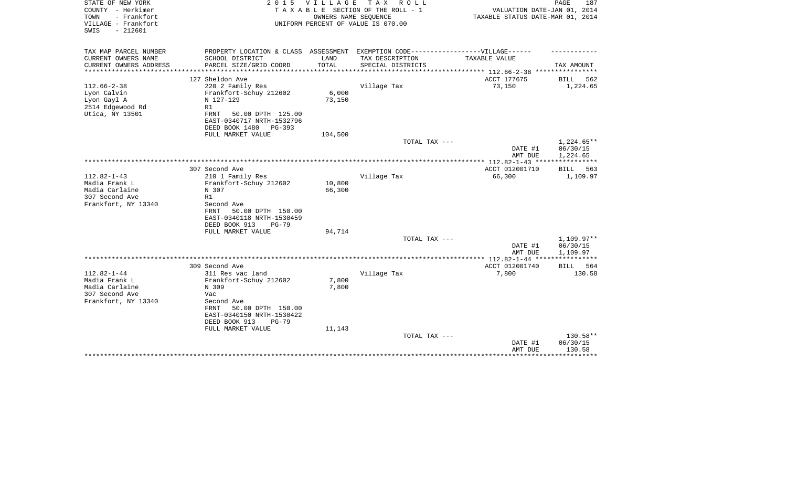| STATE OF NEW YORK<br>COUNTY - Herkimer<br>- Frankfort<br>TOWN<br>VILLAGE - Frankfort<br>$-212601$<br>SWIS | 2 0 1 5                                                                                                                                                                             | V I L L A G E<br>OWNERS NAME SEQUENCE | T A X<br>R O L L<br>TAXABLE SECTION OF THE ROLL - 1<br>UNIFORM PERCENT OF VALUE IS 070.00           | VALUATION DATE-JAN 01, 2014<br>TAXABLE STATUS DATE-MAR 01, 2014 | 187<br>PAGE                                 |
|-----------------------------------------------------------------------------------------------------------|-------------------------------------------------------------------------------------------------------------------------------------------------------------------------------------|---------------------------------------|-----------------------------------------------------------------------------------------------------|-----------------------------------------------------------------|---------------------------------------------|
| TAX MAP PARCEL NUMBER<br>CURRENT OWNERS NAME                                                              | SCHOOL DISTRICT                                                                                                                                                                     | LAND                                  | PROPERTY LOCATION & CLASS ASSESSMENT EXEMPTION CODE----------------VILLAGE------<br>TAX DESCRIPTION | TAXABLE VALUE                                                   |                                             |
| CURRENT OWNERS ADDRESS                                                                                    | PARCEL SIZE/GRID COORD                                                                                                                                                              | TOTAL                                 | SPECIAL DISTRICTS                                                                                   |                                                                 | TAX AMOUNT                                  |
|                                                                                                           |                                                                                                                                                                                     |                                       |                                                                                                     | ************** 112.66-2-38 *****************                    |                                             |
| $112.66 - 2 - 38$<br>Lyon Calvin<br>Lyon Gayl A<br>2514 Edgewood Rd<br>Utica, NY 13501                    | 127 Sheldon Ave<br>220 2 Family Res<br>Frankfort-Schuy 212602<br>N 127-129<br>R1<br>FRNT<br>50.00 DPTH 125.00<br>EAST-0340717 NRTH-1532796                                          | 6,000<br>73,150                       | Village Tax                                                                                         | ACCT 177675<br>73,150                                           | BILL<br>562<br>1,224.65                     |
|                                                                                                           | DEED BOOK 1480<br>$PG-393$                                                                                                                                                          |                                       |                                                                                                     |                                                                 |                                             |
|                                                                                                           | FULL MARKET VALUE                                                                                                                                                                   | 104,500                               | TOTAL TAX ---                                                                                       |                                                                 | $1,224.65**$                                |
|                                                                                                           |                                                                                                                                                                                     |                                       |                                                                                                     | DATE #1<br>AMT DUE                                              | 06/30/15<br>1,224.65                        |
|                                                                                                           | 307 Second Ave                                                                                                                                                                      |                                       |                                                                                                     | ************** 112.82-1-43 ****<br>ACCT 012001710               | BILL<br>563                                 |
| $112.82 - 1 - 43$<br>Madia Frank L<br>Madia Carlaine<br>307 Second Ave<br>Frankfort, NY 13340             | 210 1 Family Res<br>Frankfort-Schuy 212602<br>N 307<br>R1<br>Second Ave<br>FRNT<br>50.00 DPTH 150.00<br>EAST-0340118 NRTH-1530459<br>DEED BOOK 913<br>$PG-79$                       | 10,800<br>66,300                      | Village Tax                                                                                         | 66,300                                                          | 1,109.97                                    |
|                                                                                                           | FULL MARKET VALUE                                                                                                                                                                   | 94,714                                | TOTAL TAX ---                                                                                       |                                                                 | 1,109.97**                                  |
|                                                                                                           |                                                                                                                                                                                     |                                       |                                                                                                     | DATE #1<br>AMT DUE                                              | 06/30/15<br>1,109.97                        |
|                                                                                                           |                                                                                                                                                                                     |                                       |                                                                                                     |                                                                 | ************                                |
|                                                                                                           | 309 Second Ave                                                                                                                                                                      |                                       |                                                                                                     | ACCT 012001740                                                  | BILL<br>564                                 |
| $112.82 - 1 - 44$<br>Madia Frank L<br>Madia Carlaine<br>307 Second Ave<br>Frankfort, NY 13340             | 311 Res vac land<br>Frankfort-Schuy 212602<br>N 309<br>Vac<br>Second Ave<br>50.00 DPTH 150.00<br>FRNT<br>EAST-0340150 NRTH-1530422<br>DEED BOOK 913<br>$PG-79$<br>FULL MARKET VALUE | 7,800<br>7,800<br>11,143              | Village Tax                                                                                         | 7,800                                                           | 130.58                                      |
|                                                                                                           |                                                                                                                                                                                     |                                       | TOTAL TAX ---                                                                                       | DATE #1<br>AMT DUE                                              | 130.58**<br>06/30/15<br>130.58<br>********* |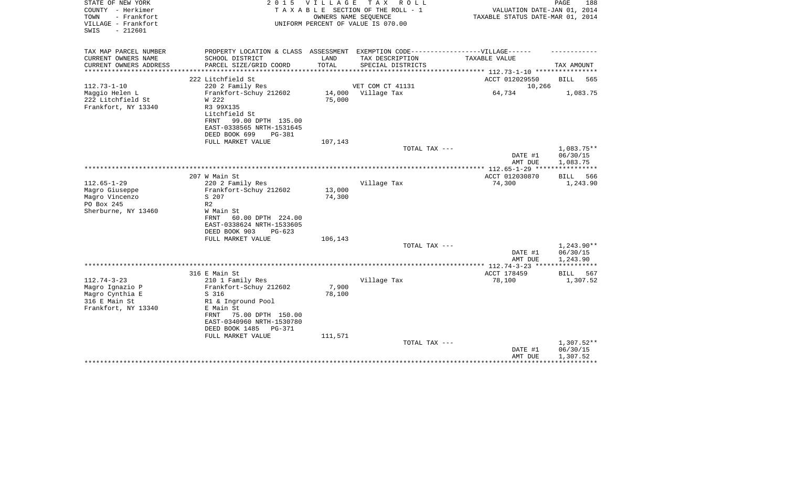| STATE OF NEW YORK<br>COUNTY - Herkimer<br>- Frankfort<br>TOWN | 2 0 1 5                                                                           | V I L L A G E | T A X<br>R O L L<br>TAXABLE SECTION OF THE ROLL - 1<br>OWNERS NAME SEQUENCE | VALUATION DATE-JAN 01, 2014<br>TAXABLE STATUS DATE-MAR 01, 2014 | PAGE<br>188        |
|---------------------------------------------------------------|-----------------------------------------------------------------------------------|---------------|-----------------------------------------------------------------------------|-----------------------------------------------------------------|--------------------|
| VILLAGE - Frankfort<br>$-212601$<br>SWIS                      |                                                                                   |               | UNIFORM PERCENT OF VALUE IS 070.00                                          |                                                                 |                    |
| TAX MAP PARCEL NUMBER                                         | PROPERTY LOCATION & CLASS ASSESSMENT EXEMPTION CODE-----------------VILLAGE------ |               |                                                                             |                                                                 |                    |
| CURRENT OWNERS NAME                                           | SCHOOL DISTRICT                                                                   | LAND          | TAX DESCRIPTION                                                             | TAXABLE VALUE                                                   |                    |
| CURRENT OWNERS ADDRESS                                        | PARCEL SIZE/GRID COORD<br>************************                                | TOTAL         | SPECIAL DISTRICTS                                                           | ************** 112.73-1-10 **********                           | TAX AMOUNT         |
|                                                               | 222 Litchfield St                                                                 |               |                                                                             | ACCT 012029550                                                  | <b>BILL</b><br>565 |
| $112.73 - 1 - 10$                                             | 220 2 Family Res                                                                  |               | VET COM CT 41131                                                            | 10,266                                                          |                    |
| Maggio Helen L                                                | Frankfort-Schuy 212602                                                            | 14,000        | Village Tax                                                                 | 64,734                                                          | 1,083.75           |
| 222 Litchfield St                                             | W 222                                                                             | 75,000        |                                                                             |                                                                 |                    |
| Frankfort, NY 13340                                           | R3 99X135                                                                         |               |                                                                             |                                                                 |                    |
|                                                               | Litchfield St                                                                     |               |                                                                             |                                                                 |                    |
|                                                               | 99.00 DPTH 135.00<br>FRNT                                                         |               |                                                                             |                                                                 |                    |
|                                                               | EAST-0338565 NRTH-1531645                                                         |               |                                                                             |                                                                 |                    |
|                                                               | DEED BOOK 699<br><b>PG-381</b>                                                    |               |                                                                             |                                                                 |                    |
|                                                               | FULL MARKET VALUE                                                                 | 107,143       | TOTAL TAX ---                                                               |                                                                 | 1,083.75**         |
|                                                               |                                                                                   |               |                                                                             | DATE #1                                                         | 06/30/15           |
|                                                               |                                                                                   |               |                                                                             | AMT DUE                                                         | 1,083.75           |
|                                                               |                                                                                   |               |                                                                             | ***************** 112.65-1-29 *****************                 |                    |
|                                                               | 207 W Main St                                                                     |               |                                                                             | ACCT 012030870                                                  | <b>BILL</b><br>566 |
| $112.65 - 1 - 29$                                             | 220 2 Family Res                                                                  |               | Village Tax                                                                 | 74,300                                                          | 1,243.90           |
| Magro Giuseppe                                                | Frankfort-Schuy 212602                                                            | 13,000        |                                                                             |                                                                 |                    |
| Magro Vincenzo                                                | S 207                                                                             | 74,300        |                                                                             |                                                                 |                    |
| PO Box 245                                                    | R <sub>2</sub>                                                                    |               |                                                                             |                                                                 |                    |
| Sherburne, NY 13460                                           | W Main St                                                                         |               |                                                                             |                                                                 |                    |
|                                                               | 60.00 DPTH 224.00<br>FRNT<br>EAST-0338624 NRTH-1533605                            |               |                                                                             |                                                                 |                    |
|                                                               | DEED BOOK 903<br>$PG-623$                                                         |               |                                                                             |                                                                 |                    |
|                                                               | FULL MARKET VALUE                                                                 | 106,143       |                                                                             |                                                                 |                    |
|                                                               |                                                                                   |               | TOTAL TAX ---                                                               |                                                                 | 1,243.90**         |
|                                                               |                                                                                   |               |                                                                             | DATE #1                                                         | 06/30/15           |
|                                                               |                                                                                   |               |                                                                             | AMT DUE                                                         | 1,243.90           |
|                                                               |                                                                                   |               |                                                                             |                                                                 |                    |
|                                                               | 316 E Main St                                                                     |               |                                                                             | ACCT 178459                                                     | BILL<br>567        |
| $112.74 - 3 - 23$                                             | 210 1 Family Res                                                                  |               | Village Tax                                                                 | 78,100                                                          | 1,307.52           |
| Magro Ignazio P                                               | Frankfort-Schuy 212602                                                            | 7,900         |                                                                             |                                                                 |                    |
| Magro Cynthia E<br>316 E Main St                              | S 316                                                                             | 78,100        |                                                                             |                                                                 |                    |
| Frankfort, NY 13340                                           | R1 & Inground Pool<br>E Main St                                                   |               |                                                                             |                                                                 |                    |
|                                                               | FRNT<br>75.00 DPTH 150.00                                                         |               |                                                                             |                                                                 |                    |
|                                                               | EAST-0340960 NRTH-1530780                                                         |               |                                                                             |                                                                 |                    |
|                                                               | DEED BOOK 1485<br>PG-371                                                          |               |                                                                             |                                                                 |                    |
|                                                               | FULL MARKET VALUE                                                                 | 111,571       |                                                                             |                                                                 |                    |
|                                                               |                                                                                   |               | TOTAL TAX ---                                                               |                                                                 | $1,307.52**$       |
|                                                               |                                                                                   |               |                                                                             | DATE #1                                                         | 06/30/15           |
|                                                               |                                                                                   |               |                                                                             | AMT DUE                                                         | 1,307.52           |
|                                                               |                                                                                   |               |                                                                             |                                                                 |                    |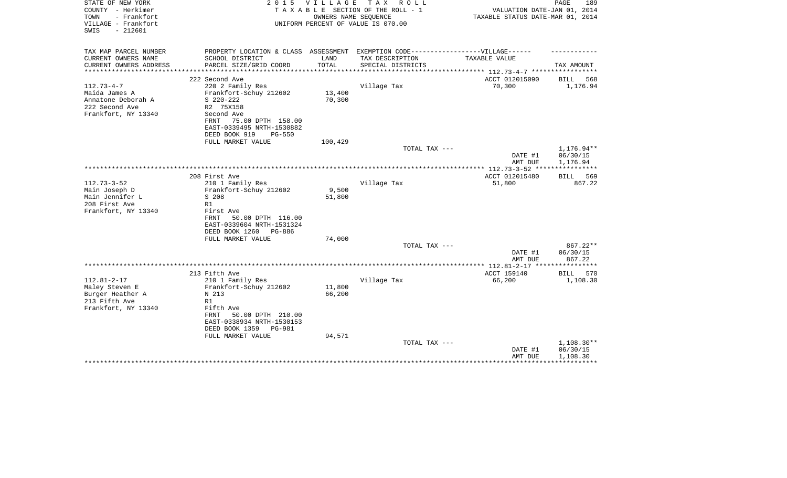| STATE OF NEW YORK<br>COUNTY - Herkimer                          | 2 0 1 5                                                                           | <b>VILLAGE</b> | T A X<br>ROLL ROLL<br>TAXABLE SECTION OF THE ROLL - 1      | VALUATION DATE-JAN 01, 2014                               | PAGE<br>189        |
|-----------------------------------------------------------------|-----------------------------------------------------------------------------------|----------------|------------------------------------------------------------|-----------------------------------------------------------|--------------------|
| - Frankfort<br>TOWN<br>VILLAGE - Frankfort<br>$-212601$<br>SWIS |                                                                                   |                | OWNERS NAME SEQUENCE<br>UNIFORM PERCENT OF VALUE IS 070.00 | TAXABLE STATUS DATE-MAR 01, 2014                          |                    |
| TAX MAP PARCEL NUMBER                                           | PROPERTY LOCATION & CLASS ASSESSMENT EXEMPTION CODE-----------------VILLAGE------ |                |                                                            |                                                           |                    |
| CURRENT OWNERS NAME                                             | SCHOOL DISTRICT                                                                   | LAND           | TAX DESCRIPTION                                            | TAXABLE VALUE                                             |                    |
| CURRENT OWNERS ADDRESS<br>********************                  | PARCEL SIZE/GRID COORD                                                            | TOTAL          | SPECIAL DISTRICTS                                          | **************************** 112.73-4-7 ***************** | TAX AMOUNT         |
|                                                                 | 222 Second Ave                                                                    |                |                                                            | ACCT 012015090                                            | 568<br>BILL        |
| $112.73 - 4 - 7$                                                | 220 2 Family Res                                                                  |                | Village Tax                                                | 70,300                                                    | 1,176.94           |
| Maida James A                                                   | Frankfort-Schuy 212602                                                            | 13,400         |                                                            |                                                           |                    |
| Annatone Deborah A                                              | $S$ 220-222                                                                       | 70,300         |                                                            |                                                           |                    |
| 222 Second Ave                                                  | R2 75X158                                                                         |                |                                                            |                                                           |                    |
| Frankfort, NY 13340                                             | Second Ave                                                                        |                |                                                            |                                                           |                    |
|                                                                 | 75.00 DPTH 158.00<br>FRNT                                                         |                |                                                            |                                                           |                    |
|                                                                 | EAST-0339495 NRTH-1530882                                                         |                |                                                            |                                                           |                    |
|                                                                 | DEED BOOK 919<br>$PG-550$                                                         |                |                                                            |                                                           |                    |
|                                                                 | FULL MARKET VALUE                                                                 | 100,429        |                                                            |                                                           |                    |
|                                                                 |                                                                                   |                | TOTAL TAX ---                                              |                                                           | 1,176.94**         |
|                                                                 |                                                                                   |                |                                                            | DATE #1                                                   | 06/30/15           |
|                                                                 |                                                                                   |                |                                                            | AMT DUE                                                   | 1,176.94           |
|                                                                 | 208 First Ave                                                                     |                |                                                            | ACCT 012015480                                            | BILL 569           |
| $112.73 - 3 - 52$                                               | 210 1 Family Res                                                                  |                | Village Tax                                                | 51,800                                                    | 867.22             |
| Main Joseph D                                                   | Frankfort-Schuy 212602                                                            | 9,500          |                                                            |                                                           |                    |
| Main Jennifer L                                                 | S 208                                                                             | 51,800         |                                                            |                                                           |                    |
| 208 First Ave                                                   | R1                                                                                |                |                                                            |                                                           |                    |
| Frankfort, NY 13340                                             | First Ave                                                                         |                |                                                            |                                                           |                    |
|                                                                 | 50.00 DPTH 116.00<br>FRNT                                                         |                |                                                            |                                                           |                    |
|                                                                 | EAST-0339604 NRTH-1531324                                                         |                |                                                            |                                                           |                    |
|                                                                 | DEED BOOK 1260<br>PG-886                                                          |                |                                                            |                                                           |                    |
|                                                                 | FULL MARKET VALUE                                                                 | 74,000         |                                                            |                                                           |                    |
|                                                                 |                                                                                   |                | TOTAL TAX ---                                              |                                                           | 867.22**           |
|                                                                 |                                                                                   |                |                                                            | DATE #1                                                   | 06/30/15           |
|                                                                 |                                                                                   |                |                                                            | AMT DUE                                                   | 867.22             |
|                                                                 | 213 Fifth Ave                                                                     |                |                                                            | ACCT 159140                                               | <b>BILL</b><br>570 |
| $112.81 - 2 - 17$                                               | 210 1 Family Res                                                                  |                | Village Tax                                                | 66,200                                                    | 1,108.30           |
| Maley Steven E                                                  | Frankfort-Schuy 212602                                                            | 11,800         |                                                            |                                                           |                    |
| Burger Heather A                                                | N 213                                                                             | 66,200         |                                                            |                                                           |                    |
| 213 Fifth Ave                                                   | R1                                                                                |                |                                                            |                                                           |                    |
| Frankfort, NY 13340                                             | Fifth Ave                                                                         |                |                                                            |                                                           |                    |
|                                                                 | FRNT<br>50.00 DPTH 210.00                                                         |                |                                                            |                                                           |                    |
|                                                                 | EAST-0338934 NRTH-1530153                                                         |                |                                                            |                                                           |                    |
|                                                                 | DEED BOOK 1359<br>PG-981                                                          |                |                                                            |                                                           |                    |
|                                                                 | FULL MARKET VALUE                                                                 | 94,571         |                                                            |                                                           |                    |
|                                                                 |                                                                                   |                | TOTAL TAX ---                                              |                                                           | 1,108.30**         |
|                                                                 |                                                                                   |                |                                                            | DATE #1                                                   | 06/30/15           |
|                                                                 |                                                                                   |                |                                                            | AMT DUE                                                   | 1,108.30           |
|                                                                 |                                                                                   |                |                                                            |                                                           |                    |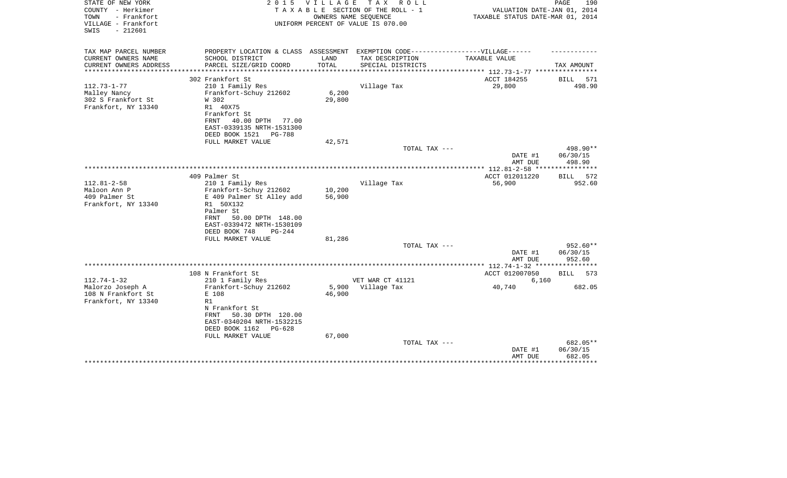| STATE OF NEW YORK<br>COUNTY - Herkimer<br>TOWN<br>- Frankfort | 2 0 1 5                                                                           | VILLAGE                   | T A X<br>R O L L<br>TAXABLE SECTION OF THE ROLL - 1<br>OWNERS NAME SEQUENCE | VALUATION DATE-JAN 01, 2014<br>TAXABLE STATUS DATE-MAR 01, 2014 | PAGE<br>190          |
|---------------------------------------------------------------|-----------------------------------------------------------------------------------|---------------------------|-----------------------------------------------------------------------------|-----------------------------------------------------------------|----------------------|
| VILLAGE - Frankfort<br>$-212601$<br>SWIS                      |                                                                                   |                           | UNIFORM PERCENT OF VALUE IS 070.00                                          |                                                                 |                      |
| TAX MAP PARCEL NUMBER                                         | PROPERTY LOCATION & CLASS ASSESSMENT EXEMPTION CODE-----------------VILLAGE------ |                           |                                                                             |                                                                 |                      |
| CURRENT OWNERS NAME                                           | SCHOOL DISTRICT                                                                   | LAND                      | TAX DESCRIPTION                                                             | TAXABLE VALUE                                                   |                      |
| CURRENT OWNERS ADDRESS<br>********************                | PARCEL SIZE/GRID COORD<br>**************************                              | TOTAL<br>**************** | SPECIAL DISTRICTS                                                           | ***************** 112.73-1-77 *****************                 | TAX AMOUNT           |
|                                                               | 302 Frankfort St                                                                  |                           |                                                                             | ACCT 184255                                                     | BILL<br>571          |
| $112.73 - 1 - 77$                                             | 210 1 Family Res                                                                  |                           | Village Tax                                                                 | 29,800                                                          | 498.90               |
| Malley Nancy                                                  | Frankfort-Schuy 212602                                                            | 6,200                     |                                                                             |                                                                 |                      |
| 302 S Frankfort St                                            | W 302                                                                             | 29,800                    |                                                                             |                                                                 |                      |
| Frankfort, NY 13340                                           | R1 40X75                                                                          |                           |                                                                             |                                                                 |                      |
|                                                               | Frankfort St<br>40.00 DPTH<br>FRNT<br>77.00                                       |                           |                                                                             |                                                                 |                      |
|                                                               | EAST-0339135 NRTH-1531300                                                         |                           |                                                                             |                                                                 |                      |
|                                                               | DEED BOOK 1521<br>PG-788                                                          |                           |                                                                             |                                                                 |                      |
|                                                               | FULL MARKET VALUE                                                                 | 42,571                    |                                                                             |                                                                 |                      |
|                                                               |                                                                                   |                           | TOTAL TAX ---                                                               |                                                                 | 498.90**             |
|                                                               |                                                                                   |                           |                                                                             | DATE #1<br>AMT DUE                                              | 06/30/15<br>498.90   |
|                                                               |                                                                                   |                           |                                                                             |                                                                 |                      |
|                                                               | 409 Palmer St                                                                     |                           |                                                                             | ACCT 012011220                                                  | BILL<br>572          |
| $112.81 - 2 - 58$                                             | 210 1 Family Res                                                                  |                           | Village Tax                                                                 | 56,900                                                          | 952.60               |
| Maloon Ann P                                                  | Frankfort-Schuy 212602                                                            | 10,200                    |                                                                             |                                                                 |                      |
| 409 Palmer St                                                 | E 409 Palmer St Alley add                                                         | 56,900                    |                                                                             |                                                                 |                      |
| Frankfort, NY 13340                                           | R1 50X132<br>Palmer St                                                            |                           |                                                                             |                                                                 |                      |
|                                                               | 50.00 DPTH 148.00<br>FRNT                                                         |                           |                                                                             |                                                                 |                      |
|                                                               | EAST-0339472 NRTH-1530109                                                         |                           |                                                                             |                                                                 |                      |
|                                                               | DEED BOOK 748<br>$PG-244$                                                         |                           |                                                                             |                                                                 |                      |
|                                                               | FULL MARKET VALUE                                                                 | 81,286                    |                                                                             |                                                                 |                      |
|                                                               |                                                                                   |                           | TOTAL TAX ---                                                               |                                                                 | 952.60**             |
|                                                               |                                                                                   |                           |                                                                             | DATE #1<br>AMT DUE                                              | 06/30/15<br>952.60   |
|                                                               |                                                                                   |                           |                                                                             |                                                                 |                      |
|                                                               | 108 N Frankfort St                                                                |                           |                                                                             | ACCT 012007050                                                  | BILL<br>573          |
| $112.74 - 1 - 32$                                             | 210 1 Family Res                                                                  |                           | VET WAR CT 41121                                                            | 6,160                                                           |                      |
| Malorzo Joseph A                                              | Frankfort-Schuy 212602                                                            | 5,900                     | Village Tax                                                                 | 40,740                                                          | 682.05               |
| 108 N Frankfort St                                            | E 108<br>R1                                                                       | 46,900                    |                                                                             |                                                                 |                      |
| Frankfort, NY 13340                                           | N Frankfort St                                                                    |                           |                                                                             |                                                                 |                      |
|                                                               | 50.30 DPTH 120.00<br>FRNT                                                         |                           |                                                                             |                                                                 |                      |
|                                                               | EAST-0340204 NRTH-1532215                                                         |                           |                                                                             |                                                                 |                      |
|                                                               | DEED BOOK 1162<br>$PG-628$                                                        |                           |                                                                             |                                                                 |                      |
|                                                               | FULL MARKET VALUE                                                                 | 67,000                    |                                                                             |                                                                 |                      |
|                                                               |                                                                                   |                           | TOTAL TAX ---                                                               | DATE #1                                                         | 682.05**<br>06/30/15 |
|                                                               |                                                                                   |                           |                                                                             | AMT DUE                                                         | 682.05               |
|                                                               |                                                                                   |                           |                                                                             |                                                                 | *******              |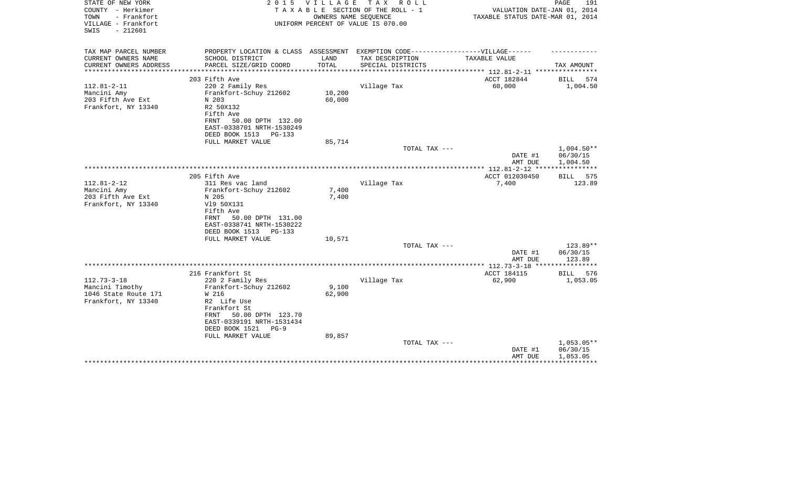| STATE OF NEW YORK<br>COUNTY - Herkimer<br>- Frankfort<br>TOWN<br>VILLAGE - Frankfort<br>$-212601$<br>SWIS | 2 0 1 5                              | V I L L A G E | T A X<br>R O L L<br>TAXABLE SECTION OF THE ROLL - 1<br>OWNERS NAME SEQUENCE<br>UNIFORM PERCENT OF VALUE IS 070.00 | VALUATION DATE-JAN 01, 2014<br>TAXABLE STATUS DATE-MAR 01, 2014 | PAGE<br>191        |
|-----------------------------------------------------------------------------------------------------------|--------------------------------------|---------------|-------------------------------------------------------------------------------------------------------------------|-----------------------------------------------------------------|--------------------|
| TAX MAP PARCEL NUMBER                                                                                     | PROPERTY LOCATION & CLASS ASSESSMENT |               | EXEMPTION CODE------------------VILLAGE------                                                                     |                                                                 |                    |
| CURRENT OWNERS NAME                                                                                       | SCHOOL DISTRICT                      | LAND          | TAX DESCRIPTION                                                                                                   | TAXABLE VALUE                                                   |                    |
| CURRENT OWNERS ADDRESS<br>*****************                                                               | PARCEL SIZE/GRID COORD               | TOTAL         | SPECIAL DISTRICTS                                                                                                 |                                                                 | TAX AMOUNT         |
|                                                                                                           | 203 Fifth Ave                        |               |                                                                                                                   | ACCT 182844                                                     | BILL<br>574        |
| $112.81 - 2 - 11$                                                                                         | 220 2 Family Res                     |               | Village Tax                                                                                                       | 60,000                                                          | 1,004.50           |
| Mancini Amy                                                                                               | Frankfort-Schuy 212602               | 10,200        |                                                                                                                   |                                                                 |                    |
| 203 Fifth Ave Ext                                                                                         | N 203                                | 60,000        |                                                                                                                   |                                                                 |                    |
| Frankfort, NY 13340                                                                                       | R2 50X132                            |               |                                                                                                                   |                                                                 |                    |
|                                                                                                           | Fifth Ave                            |               |                                                                                                                   |                                                                 |                    |
|                                                                                                           | 50.00 DPTH 132.00<br>FRNT            |               |                                                                                                                   |                                                                 |                    |
|                                                                                                           | EAST-0338701 NRTH-1530249            |               |                                                                                                                   |                                                                 |                    |
|                                                                                                           | DEED BOOK 1513<br>PG-133             |               |                                                                                                                   |                                                                 |                    |
|                                                                                                           | FULL MARKET VALUE                    | 85,714        |                                                                                                                   |                                                                 |                    |
|                                                                                                           |                                      |               | TOTAL TAX ---                                                                                                     |                                                                 | $1,004.50**$       |
|                                                                                                           |                                      |               |                                                                                                                   | DATE #1                                                         | 06/30/15           |
|                                                                                                           |                                      |               |                                                                                                                   | AMT DUE                                                         | 1,004.50           |
|                                                                                                           | 205 Fifth Ave                        |               |                                                                                                                   | ACCT 012030450                                                  | BILL 575           |
| $112.81 - 2 - 12$                                                                                         | 311 Res vac land                     |               | Village Tax                                                                                                       | 7,400                                                           | 123.89             |
| Mancini Amy                                                                                               | Frankfort-Schuy 212602               | 7,400         |                                                                                                                   |                                                                 |                    |
| 203 Fifth Ave Ext                                                                                         | N 205                                | 7,400         |                                                                                                                   |                                                                 |                    |
| Frankfort, NY 13340                                                                                       | V19 50X131                           |               |                                                                                                                   |                                                                 |                    |
|                                                                                                           | Fifth Ave                            |               |                                                                                                                   |                                                                 |                    |
|                                                                                                           | 50.00 DPTH 131.00<br>FRNT            |               |                                                                                                                   |                                                                 |                    |
|                                                                                                           | EAST-0338741 NRTH-1530222            |               |                                                                                                                   |                                                                 |                    |
|                                                                                                           | DEED BOOK 1513<br>PG-133             |               |                                                                                                                   |                                                                 |                    |
|                                                                                                           | FULL MARKET VALUE                    | 10,571        |                                                                                                                   |                                                                 |                    |
|                                                                                                           |                                      |               | TOTAL TAX ---                                                                                                     |                                                                 | $123.89**$         |
|                                                                                                           |                                      |               |                                                                                                                   | DATE #1                                                         | 06/30/15           |
|                                                                                                           |                                      |               |                                                                                                                   | AMT DUE                                                         | 123.89             |
|                                                                                                           | 216 Frankfort St                     |               |                                                                                                                   | ACCT 184115                                                     | <b>BILL</b><br>576 |
| $112.73 - 3 - 18$                                                                                         | 220 2 Family Res                     |               | Village Tax                                                                                                       | 62,900                                                          | 1,053.05           |
| Mancini Timothy                                                                                           | Frankfort-Schuy 212602               | 9,100         |                                                                                                                   |                                                                 |                    |
| 1046 State Route 171                                                                                      | W 216                                | 62,900        |                                                                                                                   |                                                                 |                    |
| Frankfort, NY 13340                                                                                       | R2 Life Use                          |               |                                                                                                                   |                                                                 |                    |
|                                                                                                           | Frankfort St                         |               |                                                                                                                   |                                                                 |                    |
|                                                                                                           | 50.00 DPTH 123.70<br>FRNT            |               |                                                                                                                   |                                                                 |                    |
|                                                                                                           | EAST-0339191 NRTH-1531434            |               |                                                                                                                   |                                                                 |                    |
|                                                                                                           | DEED BOOK 1521<br>$PG-9$             |               |                                                                                                                   |                                                                 |                    |
|                                                                                                           | FULL MARKET VALUE                    | 89,857        |                                                                                                                   |                                                                 |                    |
|                                                                                                           |                                      |               | TOTAL TAX ---                                                                                                     |                                                                 | $1,053.05**$       |
|                                                                                                           |                                      |               |                                                                                                                   | DATE #1                                                         | 06/30/15           |
|                                                                                                           |                                      |               |                                                                                                                   | AMT DUE                                                         | 1,053.05           |
|                                                                                                           |                                      |               |                                                                                                                   |                                                                 |                    |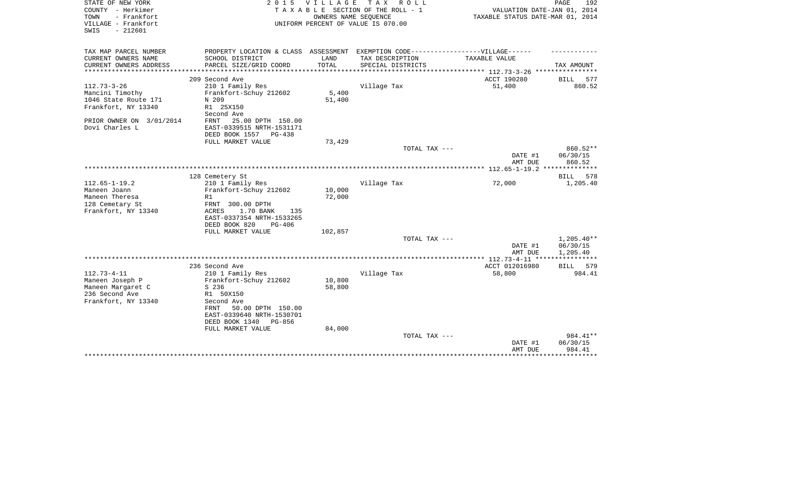| STATE OF NEW YORK<br>COUNTY - Herkimer<br>- Frankfort<br>TOWN<br>VILLAGE - Frankfort<br>$-212601$<br>SWIS | 2 0 1 5                                                                           | <b>VILLAGE</b> | T A X<br>R O L L<br>TAXABLE SECTION OF THE ROLL - 1<br>OWNERS NAME SEQUENCE<br>UNIFORM PERCENT OF VALUE IS 070.00 | VALUATION DATE-JAN 01, 2014<br>TAXABLE STATUS DATE-MAR 01, 2014 | 192<br>PAGE          |
|-----------------------------------------------------------------------------------------------------------|-----------------------------------------------------------------------------------|----------------|-------------------------------------------------------------------------------------------------------------------|-----------------------------------------------------------------|----------------------|
| TAX MAP PARCEL NUMBER                                                                                     | PROPERTY LOCATION & CLASS ASSESSMENT EXEMPTION CODE-----------------VILLAGE------ |                |                                                                                                                   |                                                                 |                      |
| CURRENT OWNERS NAME<br>CURRENT OWNERS ADDRESS                                                             | SCHOOL DISTRICT<br>PARCEL SIZE/GRID COORD                                         | LAND<br>TOTAL  | TAX DESCRIPTION<br>SPECIAL DISTRICTS                                                                              | TAXABLE VALUE                                                   | TAX AMOUNT           |
|                                                                                                           |                                                                                   |                |                                                                                                                   | ************ 112.73-3-26 *****************                      |                      |
|                                                                                                           | 209 Second Ave                                                                    |                |                                                                                                                   | ACCT 190280                                                     | BILL 577             |
| $112.73 - 3 - 26$                                                                                         | 210 1 Family Res                                                                  |                | Village Tax                                                                                                       | 51,400                                                          | 860.52               |
| Mancini Timothy                                                                                           | Frankfort-Schuy 212602                                                            | 5,400          |                                                                                                                   |                                                                 |                      |
| 1046 State Route 171                                                                                      | N 209                                                                             | 51,400         |                                                                                                                   |                                                                 |                      |
| Frankfort, NY 13340                                                                                       | R1 25X150                                                                         |                |                                                                                                                   |                                                                 |                      |
| PRIOR OWNER ON 3/01/2014                                                                                  | Second Ave<br>25.00 DPTH 150.00<br>FRNT                                           |                |                                                                                                                   |                                                                 |                      |
| Dovi Charles L                                                                                            | EAST-0339515 NRTH-1531171                                                         |                |                                                                                                                   |                                                                 |                      |
|                                                                                                           | DEED BOOK 1557<br>PG-438                                                          |                |                                                                                                                   |                                                                 |                      |
|                                                                                                           | FULL MARKET VALUE                                                                 | 73,429         |                                                                                                                   |                                                                 |                      |
|                                                                                                           |                                                                                   |                | TOTAL TAX ---                                                                                                     |                                                                 | 860.52**             |
|                                                                                                           |                                                                                   |                |                                                                                                                   | DATE #1<br>AMT DUE                                              | 06/30/15<br>860.52   |
|                                                                                                           |                                                                                   |                |                                                                                                                   |                                                                 |                      |
|                                                                                                           | 128 Cemetery St                                                                   |                |                                                                                                                   |                                                                 | BILL<br>578          |
| $112.65 - 1 - 19.2$<br>Maneen Joann                                                                       | 210 1 Family Res                                                                  | 10,000         | Village Tax                                                                                                       | 72,000                                                          | 1,205.40             |
| Maneen Theresa                                                                                            | Frankfort-Schuy 212602<br>R1                                                      | 72,000         |                                                                                                                   |                                                                 |                      |
| 128 Cemetary St                                                                                           | FRNT 300.00 DPTH                                                                  |                |                                                                                                                   |                                                                 |                      |
| Frankfort, NY 13340                                                                                       | ACRES<br>1.70 BANK<br>135                                                         |                |                                                                                                                   |                                                                 |                      |
|                                                                                                           | EAST-0337354 NRTH-1533265                                                         |                |                                                                                                                   |                                                                 |                      |
|                                                                                                           | DEED BOOK 820<br>$PG-406$                                                         |                |                                                                                                                   |                                                                 |                      |
|                                                                                                           | FULL MARKET VALUE                                                                 | 102,857        |                                                                                                                   |                                                                 |                      |
|                                                                                                           |                                                                                   |                | TOTAL TAX ---                                                                                                     |                                                                 | $1,205.40**$         |
|                                                                                                           |                                                                                   |                |                                                                                                                   | DATE #1                                                         | 06/30/15<br>1,205.40 |
|                                                                                                           |                                                                                   |                |                                                                                                                   | AMT DUE                                                         |                      |
|                                                                                                           | 236 Second Ave                                                                    |                |                                                                                                                   | ACCT 012016980                                                  | <b>BILL</b><br>579   |
| $112.73 - 4 - 11$                                                                                         | 210 1 Family Res                                                                  |                | Village Tax                                                                                                       | 58,800                                                          | 984.41               |
| Maneen Joseph P                                                                                           | Frankfort-Schuy 212602                                                            | 10,800         |                                                                                                                   |                                                                 |                      |
| Maneen Margaret C                                                                                         | S 236                                                                             | 58,800         |                                                                                                                   |                                                                 |                      |
| 236 Second Ave                                                                                            | R1 50X150                                                                         |                |                                                                                                                   |                                                                 |                      |
| Frankfort, NY 13340                                                                                       | Second Ave                                                                        |                |                                                                                                                   |                                                                 |                      |
|                                                                                                           | 50.00 DPTH 150.00<br>FRNT<br>EAST-0339640 NRTH-1530701                            |                |                                                                                                                   |                                                                 |                      |
|                                                                                                           | DEED BOOK 1340<br>PG-856                                                          |                |                                                                                                                   |                                                                 |                      |
|                                                                                                           | FULL MARKET VALUE                                                                 | 84,000         |                                                                                                                   |                                                                 |                      |
|                                                                                                           |                                                                                   |                | TOTAL TAX ---                                                                                                     |                                                                 | 984.41**             |
|                                                                                                           |                                                                                   |                |                                                                                                                   | DATE #1                                                         | 06/30/15             |
|                                                                                                           |                                                                                   |                |                                                                                                                   | AMT DUE                                                         | 984.41               |
|                                                                                                           |                                                                                   |                |                                                                                                                   |                                                                 | *******              |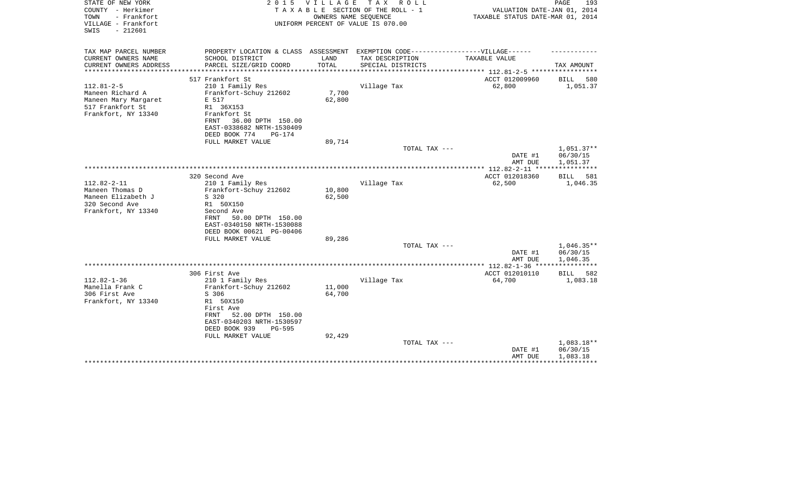| STATE OF NEW YORK<br>COUNTY - Herkimer<br>TOWN<br>- Frankfort<br>VILLAGE - Frankfort<br>$-212601$<br>SWIS | 2 0 1 5                                                                           | V I L L A G E          | T A X<br>R O L L<br>TAXABLE SECTION OF THE ROLL - 1<br>OWNERS NAME SEQUENCE<br>UNIFORM PERCENT OF VALUE IS 070.00 | VALUATION DATE-JAN 01, 2014<br>TAXABLE STATUS DATE-MAR 01, 2014 | PAGE<br>193          |
|-----------------------------------------------------------------------------------------------------------|-----------------------------------------------------------------------------------|------------------------|-------------------------------------------------------------------------------------------------------------------|-----------------------------------------------------------------|----------------------|
|                                                                                                           |                                                                                   |                        |                                                                                                                   |                                                                 |                      |
| TAX MAP PARCEL NUMBER                                                                                     | PROPERTY LOCATION & CLASS ASSESSMENT EXEMPTION CODE-----------------VILLAGE------ |                        |                                                                                                                   |                                                                 |                      |
| CURRENT OWNERS NAME                                                                                       | SCHOOL DISTRICT                                                                   | LAND                   | TAX DESCRIPTION                                                                                                   | TAXABLE VALUE                                                   |                      |
| CURRENT OWNERS ADDRESS<br>*******************                                                             | PARCEL SIZE/GRID COORD<br>***************************                             | TOTAL<br>************* | SPECIAL DISTRICTS                                                                                                 | **************** 112.81-2-5 ************                        | TAX AMOUNT           |
|                                                                                                           | 517 Frankfort St                                                                  |                        |                                                                                                                   | ACCT 012009960                                                  | BILL<br>580          |
| $112.81 - 2 - 5$                                                                                          | 210 1 Family Res                                                                  |                        | Village Tax                                                                                                       | 62,800                                                          | 1,051.37             |
| Maneen Richard A                                                                                          | Frankfort-Schuy 212602                                                            | 7,700                  |                                                                                                                   |                                                                 |                      |
| Maneen Mary Margaret                                                                                      | E 517                                                                             | 62,800                 |                                                                                                                   |                                                                 |                      |
| 517 Frankfort St                                                                                          | R1 36X153                                                                         |                        |                                                                                                                   |                                                                 |                      |
| Frankfort, NY 13340                                                                                       | Frankfort St                                                                      |                        |                                                                                                                   |                                                                 |                      |
|                                                                                                           | 36.00 DPTH 150.00<br>FRNT<br>EAST-0338682 NRTH-1530409                            |                        |                                                                                                                   |                                                                 |                      |
|                                                                                                           | DEED BOOK 774<br>$PG-174$                                                         |                        |                                                                                                                   |                                                                 |                      |
|                                                                                                           | FULL MARKET VALUE                                                                 | 89,714                 |                                                                                                                   |                                                                 |                      |
|                                                                                                           |                                                                                   |                        | TOTAL TAX ---                                                                                                     |                                                                 | $1,051.37**$         |
|                                                                                                           |                                                                                   |                        |                                                                                                                   | DATE #1                                                         | 06/30/15             |
|                                                                                                           |                                                                                   |                        |                                                                                                                   | AMT DUE                                                         | 1,051.37             |
|                                                                                                           |                                                                                   |                        |                                                                                                                   | ***************** 112.82-2-11 *****************                 |                      |
| $112.82 - 2 - 11$                                                                                         | 320 Second Ave                                                                    |                        | Village Tax                                                                                                       | ACCT 012018360                                                  | BILL 581             |
| Maneen Thomas D                                                                                           | 210 1 Family Res<br>Frankfort-Schuy 212602                                        | 10,800                 |                                                                                                                   | 62,500                                                          | 1,046.35             |
| Maneen Elizabeth J                                                                                        | S 320                                                                             | 62,500                 |                                                                                                                   |                                                                 |                      |
| 320 Second Ave                                                                                            | R1 50X150                                                                         |                        |                                                                                                                   |                                                                 |                      |
| Frankfort, NY 13340                                                                                       | Second Ave                                                                        |                        |                                                                                                                   |                                                                 |                      |
|                                                                                                           | FRNT<br>50.00 DPTH 150.00                                                         |                        |                                                                                                                   |                                                                 |                      |
|                                                                                                           | EAST-0340150 NRTH-1530088                                                         |                        |                                                                                                                   |                                                                 |                      |
|                                                                                                           | DEED BOOK 00621 PG-00406                                                          |                        |                                                                                                                   |                                                                 |                      |
|                                                                                                           | FULL MARKET VALUE                                                                 | 89,286                 |                                                                                                                   |                                                                 |                      |
|                                                                                                           |                                                                                   |                        | TOTAL TAX ---                                                                                                     |                                                                 | $1,046.35**$         |
|                                                                                                           |                                                                                   |                        |                                                                                                                   | DATE #1<br>AMT DUE                                              | 06/30/15<br>1,046.35 |
|                                                                                                           |                                                                                   |                        |                                                                                                                   |                                                                 |                      |
|                                                                                                           | 306 First Ave                                                                     |                        |                                                                                                                   | ACCT 012010110                                                  | 582<br>BILL          |
| $112.82 - 1 - 36$                                                                                         | 210 1 Family Res                                                                  |                        | Village Tax                                                                                                       | 64,700                                                          | 1,083.18             |
| Manella Frank C                                                                                           | Frankfort-Schuy 212602                                                            | 11,000                 |                                                                                                                   |                                                                 |                      |
| 306 First Ave                                                                                             | S 306                                                                             | 64,700                 |                                                                                                                   |                                                                 |                      |
| Frankfort, NY 13340                                                                                       | R1 50X150                                                                         |                        |                                                                                                                   |                                                                 |                      |
|                                                                                                           | First Ave                                                                         |                        |                                                                                                                   |                                                                 |                      |
|                                                                                                           | FRNT<br>52.00 DPTH 150.00                                                         |                        |                                                                                                                   |                                                                 |                      |
|                                                                                                           | EAST-0340203 NRTH-1530597<br>DEED BOOK 939<br><b>PG-595</b>                       |                        |                                                                                                                   |                                                                 |                      |
|                                                                                                           | FULL MARKET VALUE                                                                 | 92,429                 |                                                                                                                   |                                                                 |                      |
|                                                                                                           |                                                                                   |                        | TOTAL TAX ---                                                                                                     |                                                                 | 1,083.18**           |
|                                                                                                           |                                                                                   |                        |                                                                                                                   | DATE #1                                                         | 06/30/15             |
|                                                                                                           |                                                                                   |                        |                                                                                                                   | AMT DUE                                                         | 1,083.18             |
|                                                                                                           |                                                                                   |                        |                                                                                                                   |                                                                 |                      |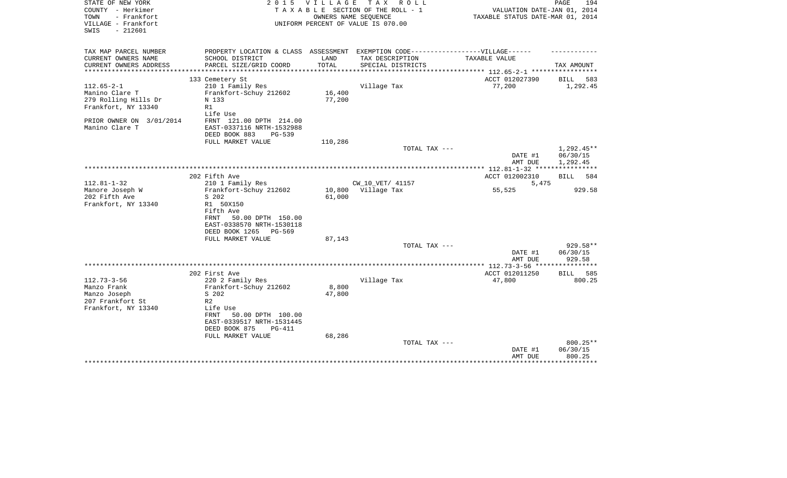| STATE OF NEW YORK<br>COUNTY - Herkimer<br>TOWN<br>- Frankfort<br>VILLAGE - Frankfort<br>$-212601$<br>SWIS | 2 0 1 5<br>TAXABLE                                                                                   | <b>VILLAGE</b>   | T A X<br>R O L L<br>SECTION OF THE ROLL - 1<br>OWNERS NAME SEQUENCE<br>UNIFORM PERCENT OF VALUE IS 070.00 | VALUATION DATE-JAN 01, 2014<br>TAXABLE STATUS DATE-MAR 01, 2014 | PAGE<br>194                          |
|-----------------------------------------------------------------------------------------------------------|------------------------------------------------------------------------------------------------------|------------------|-----------------------------------------------------------------------------------------------------------|-----------------------------------------------------------------|--------------------------------------|
| TAX MAP PARCEL NUMBER<br>CURRENT OWNERS NAME                                                              | PROPERTY LOCATION & CLASS ASSESSMENT EXEMPTION CODE-----------------VILLAGE------<br>SCHOOL DISTRICT | LAND             | TAX DESCRIPTION                                                                                           | TAXABLE VALUE                                                   |                                      |
| CURRENT OWNERS ADDRESS<br>*****************                                                               | PARCEL SIZE/GRID COORD                                                                               | TOTAL            | SPECIAL DISTRICTS                                                                                         |                                                                 | TAX AMOUNT                           |
|                                                                                                           |                                                                                                      |                  |                                                                                                           | ACCT 012027390                                                  | 583                                  |
| $112.65 - 2 - 1$                                                                                          | 133 Cemetery St<br>210 1 Family Res                                                                  |                  | Village Tax                                                                                               | 77,200                                                          | BILL<br>1,292.45                     |
| Manino Clare T<br>279 Rolling Hills Dr<br>Frankfort, NY 13340                                             | Frankfort-Schuy 212602<br>N 133<br>R1<br>Life Use                                                    | 16,400<br>77,200 |                                                                                                           |                                                                 |                                      |
| PRIOR OWNER ON 3/01/2014<br>Manino Clare T                                                                | FRNT 121.00 DPTH 214.00<br>EAST-0337116 NRTH-1532988<br>DEED BOOK 883<br>$PG-539$                    |                  |                                                                                                           |                                                                 |                                      |
|                                                                                                           | FULL MARKET VALUE                                                                                    | 110,286          |                                                                                                           |                                                                 |                                      |
|                                                                                                           |                                                                                                      |                  | TOTAL TAX ---                                                                                             | DATE #1<br>AMT DUE                                              | $1,292.45**$<br>06/30/15<br>1,292.45 |
|                                                                                                           |                                                                                                      |                  |                                                                                                           |                                                                 |                                      |
|                                                                                                           | 202 Fifth Ave                                                                                        |                  |                                                                                                           | ACCT 012002310                                                  | 584<br>BILL                          |
| $112.81 - 1 - 32$<br>Manore Joseph W                                                                      | 210 1 Family Res<br>Frankfort-Schuy 212602                                                           | 10,800           | CW_10_VET/ 41157<br>Village Tax                                                                           | 5,475<br>55,525                                                 | 929.58                               |
| 202 Fifth Ave                                                                                             | S 202                                                                                                | 61,000           |                                                                                                           |                                                                 |                                      |
| Frankfort, NY 13340                                                                                       | R1 50X150                                                                                            |                  |                                                                                                           |                                                                 |                                      |
|                                                                                                           | Fifth Ave<br>50.00 DPTH 150.00<br>FRNT<br>EAST-0338570 NRTH-1530118                                  |                  |                                                                                                           |                                                                 |                                      |
|                                                                                                           | DEED BOOK 1265<br>PG-569                                                                             |                  |                                                                                                           |                                                                 |                                      |
|                                                                                                           | FULL MARKET VALUE                                                                                    | 87,143           |                                                                                                           |                                                                 |                                      |
|                                                                                                           |                                                                                                      |                  | TOTAL TAX ---                                                                                             |                                                                 | 929.58**                             |
|                                                                                                           |                                                                                                      |                  |                                                                                                           | DATE #1                                                         | 06/30/15                             |
|                                                                                                           |                                                                                                      |                  |                                                                                                           | AMT DUE<br>************* 112.73-3-56 *****************          | 929.58                               |
|                                                                                                           | 202 First Ave                                                                                        |                  |                                                                                                           | ACCT 012011250                                                  | <b>BILL</b><br>585                   |
| $112.73 - 3 - 56$                                                                                         | 220 2 Family Res                                                                                     |                  | Village Tax                                                                                               | 47,800                                                          | 800.25                               |
| Manzo Frank                                                                                               | Frankfort-Schuy 212602                                                                               | 8,800            |                                                                                                           |                                                                 |                                      |
| Manzo Joseph                                                                                              | S 202                                                                                                | 47,800           |                                                                                                           |                                                                 |                                      |
| 207 Frankfort St                                                                                          | R <sub>2</sub>                                                                                       |                  |                                                                                                           |                                                                 |                                      |
| Frankfort, NY 13340                                                                                       | Life Use                                                                                             |                  |                                                                                                           |                                                                 |                                      |
|                                                                                                           | 50.00 DPTH 100.00<br>FRNT                                                                            |                  |                                                                                                           |                                                                 |                                      |
|                                                                                                           | EAST-0339517 NRTH-1531445<br>DEED BOOK 875<br>$PG-411$                                               |                  |                                                                                                           |                                                                 |                                      |
|                                                                                                           | FULL MARKET VALUE                                                                                    | 68,286           |                                                                                                           |                                                                 |                                      |
|                                                                                                           |                                                                                                      |                  | TOTAL TAX ---                                                                                             |                                                                 | 800.25**                             |
|                                                                                                           |                                                                                                      |                  |                                                                                                           | DATE #1<br>AMT DUE                                              | 06/30/15<br>800.25                   |
|                                                                                                           |                                                                                                      |                  |                                                                                                           |                                                                 |                                      |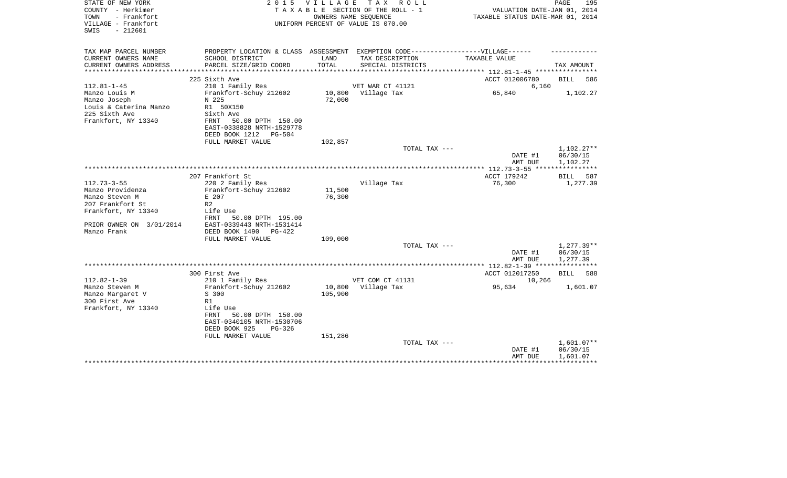| STATE OF NEW YORK<br>COUNTY - Herkimer<br>- Frankfort<br>TOWN<br>VILLAGE - Frankfort<br>$-212601$<br>SWIS |                                                                                                                                                                                   | 2015 VILLAGE                 | TAX ROLL<br>TAXABLE SECTION OF THE ROLL - 1<br>OWNERS NAME SEQUENCE<br>UNIFORM PERCENT OF VALUE IS 070.00 | VALUATION DATE-JAN 01, 2014<br>TAXABLE STATUS DATE-MAR 01, 2014 | PAGE<br>195                          |
|-----------------------------------------------------------------------------------------------------------|-----------------------------------------------------------------------------------------------------------------------------------------------------------------------------------|------------------------------|-----------------------------------------------------------------------------------------------------------|-----------------------------------------------------------------|--------------------------------------|
| TAX MAP PARCEL NUMBER<br>CURRENT OWNERS NAME                                                              | PROPERTY LOCATION & CLASS ASSESSMENT EXEMPTION CODE-----------------VILLAGE------<br>SCHOOL DISTRICT                                                                              | LAND                         | TAX DESCRIPTION                                                                                           | TAXABLE VALUE                                                   |                                      |
| CURRENT OWNERS ADDRESS                                                                                    | PARCEL SIZE/GRID COORD                                                                                                                                                            | TOTAL                        | SPECIAL DISTRICTS                                                                                         |                                                                 | TAX AMOUNT                           |
|                                                                                                           | ************************<br>225 Sixth Ave                                                                                                                                         | *****************            |                                                                                                           | ************* 112.81-1-45 **********<br>ACCT 012006780          | 586                                  |
| $112.81 - 1 - 45$                                                                                         | 210 1 Family Res                                                                                                                                                                  |                              | VET WAR CT 41121                                                                                          | 6,160                                                           | BILL                                 |
| Manzo Louis M<br>Manzo Joseph<br>Louis & Caterina Manzo<br>225 Sixth Ave<br>Frankfort, NY 13340           | Frankfort-Schuy 212602<br>N 225<br>R1 50X150<br>Sixth Ave<br>50.00 DPTH 150.00<br>FRNT<br>EAST-0338828 NRTH-1529778                                                               | 10,800<br>72,000             | Village Tax                                                                                               | 65,840                                                          | 1,102.27                             |
|                                                                                                           | DEED BOOK 1212<br><b>PG-504</b>                                                                                                                                                   |                              |                                                                                                           |                                                                 |                                      |
|                                                                                                           | FULL MARKET VALUE                                                                                                                                                                 | 102,857                      | TOTAL TAX ---                                                                                             |                                                                 | 1,102.27**                           |
|                                                                                                           |                                                                                                                                                                                   |                              |                                                                                                           | DATE #1<br>AMT DUE                                              | 06/30/15<br>1,102.27                 |
|                                                                                                           | 207 Frankfort St                                                                                                                                                                  |                              |                                                                                                           | ***************** 112.73-3-55 ****<br>ACCT 179242               | ************<br><b>BILL</b><br>587   |
| $112.73 - 3 - 55$<br>Manzo Providenza<br>Manzo Steven M<br>207 Frankfort St                               | 220 2 Family Res<br>Frankfort-Schuy 212602<br>E 207<br>R <sub>2</sub>                                                                                                             | 11,500<br>76,300             | Village Tax                                                                                               | 76,300                                                          | 1,277.39                             |
| Frankfort, NY 13340<br>PRIOR OWNER ON 3/01/2014<br>Manzo Frank                                            | Life Use<br>FRNT<br>50.00 DPTH 195.00<br>EAST-0339443 NRTH-1531414<br>DEED BOOK 1490<br>$PG-422$<br>FULL MARKET VALUE                                                             | 109,000                      | TOTAL TAX ---                                                                                             |                                                                 | $1,277.39**$                         |
|                                                                                                           |                                                                                                                                                                                   |                              |                                                                                                           | DATE #1                                                         | 06/30/15                             |
|                                                                                                           |                                                                                                                                                                                   |                              |                                                                                                           | AMT DUE                                                         | 1,277.39                             |
|                                                                                                           |                                                                                                                                                                                   |                              |                                                                                                           |                                                                 |                                      |
|                                                                                                           | 300 First Ave                                                                                                                                                                     |                              |                                                                                                           | ACCT 012017250                                                  | 588<br>BILL                          |
| $112.82 - 1 - 39$<br>Manzo Steven M<br>Manzo Margaret V<br>300 First Ave<br>Frankfort, NY 13340           | 210 1 Family Res<br>Frankfort-Schuy 212602<br>S 300<br>R1<br>Life Use<br>50.00 DPTH 150.00<br>FRNT<br>EAST-0340105 NRTH-1530706<br>DEED BOOK 925<br>$PG-326$<br>FULL MARKET VALUE | 10,800<br>105,900<br>151,286 | VET COM CT 41131<br>Village Tax                                                                           | 10,266<br>95,634                                                | 1,601.07                             |
|                                                                                                           |                                                                                                                                                                                   |                              | TOTAL TAX ---                                                                                             | DATE #1<br>AMT DUE                                              | $1,601.07**$<br>06/30/15<br>1,601.07 |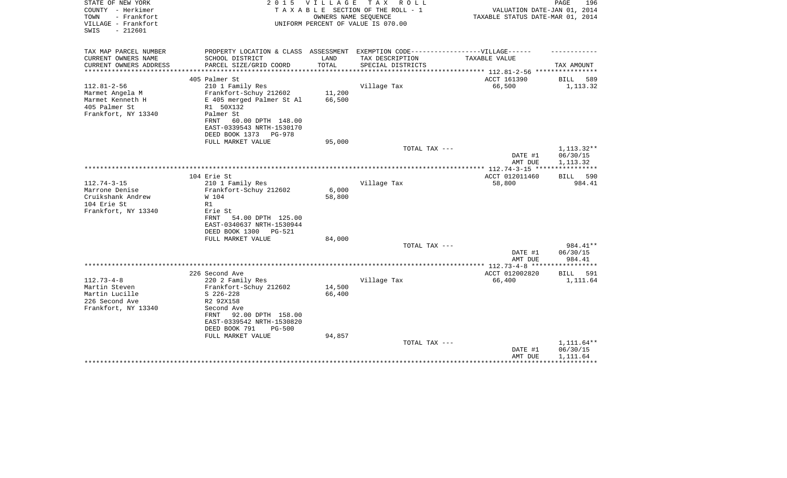| STATE OF NEW YORK<br>COUNTY - Herkimer<br>TOWN<br>- Frankfort | 2 0 1 5                              | V I L L A G E | T A X<br>R O L L<br>TAXABLE SECTION OF THE ROLL - 1<br>OWNERS NAME SEQUENCE | VALUATION DATE-JAN 01, 2014<br>TAXABLE STATUS DATE-MAR 01, 2014 | PAGE<br>196              |
|---------------------------------------------------------------|--------------------------------------|---------------|-----------------------------------------------------------------------------|-----------------------------------------------------------------|--------------------------|
| VILLAGE - Frankfort<br>$-212601$<br>SWIS                      |                                      |               | UNIFORM PERCENT OF VALUE IS 070.00                                          |                                                                 |                          |
| TAX MAP PARCEL NUMBER                                         | PROPERTY LOCATION & CLASS ASSESSMENT |               | EXEMPTION CODE------------------VILLAGE------                               |                                                                 |                          |
| CURRENT OWNERS NAME                                           | SCHOOL DISTRICT                      | LAND          | TAX DESCRIPTION                                                             | TAXABLE VALUE                                                   |                          |
| CURRENT OWNERS ADDRESS<br>********************                | PARCEL SIZE/GRID COORD               | TOTAL         | SPECIAL DISTRICTS                                                           | ************************** 112.81-2-56 *****************        | TAX AMOUNT               |
|                                                               | 405 Palmer St                        |               |                                                                             | ACCT 161390                                                     | <b>BILL</b><br>589       |
| $112.81 - 2 - 56$                                             | 210 1 Family Res                     |               | Village Tax                                                                 | 66,500                                                          | 1,113.32                 |
| Marmet Angela M                                               | Frankfort-Schuy 212602               | 11,200        |                                                                             |                                                                 |                          |
| Marmet Kenneth H                                              | E 405 merged Palmer St Al            | 66,500        |                                                                             |                                                                 |                          |
| 405 Palmer St                                                 | R1 50X132                            |               |                                                                             |                                                                 |                          |
| Frankfort, NY 13340                                           | Palmer St                            |               |                                                                             |                                                                 |                          |
|                                                               | 60.00 DPTH 148.00<br>FRNT            |               |                                                                             |                                                                 |                          |
|                                                               | EAST-0339543 NRTH-1530170            |               |                                                                             |                                                                 |                          |
|                                                               | DEED BOOK 1373<br>PG-978             |               |                                                                             |                                                                 |                          |
|                                                               | FULL MARKET VALUE                    | 95,000        | TOTAL TAX ---                                                               |                                                                 |                          |
|                                                               |                                      |               |                                                                             | DATE #1                                                         | 1, 113. 32**<br>06/30/15 |
|                                                               |                                      |               |                                                                             | AMT DUE                                                         | 1,113.32                 |
|                                                               |                                      |               |                                                                             | ************ 112.74-3-15 ****                                   | ************             |
|                                                               | 104 Erie St                          |               |                                                                             | ACCT 012011460                                                  | BILL 590                 |
| $112.74 - 3 - 15$                                             | 210 1 Family Res                     |               | Village Tax                                                                 | 58,800                                                          | 984.41                   |
| Marrone Denise                                                | Frankfort-Schuy 212602               | 6,000         |                                                                             |                                                                 |                          |
| Cruikshank Andrew                                             | W 104                                | 58,800        |                                                                             |                                                                 |                          |
| 104 Erie St                                                   | R1                                   |               |                                                                             |                                                                 |                          |
| Frankfort, NY 13340                                           | Erie St                              |               |                                                                             |                                                                 |                          |
|                                                               | 54.00 DPTH 125.00<br>FRNT            |               |                                                                             |                                                                 |                          |
|                                                               | EAST-0340637 NRTH-1530944            |               |                                                                             |                                                                 |                          |
|                                                               | DEED BOOK 1300<br>PG-521             |               |                                                                             |                                                                 |                          |
|                                                               | FULL MARKET VALUE                    | 84,000        |                                                                             |                                                                 |                          |
|                                                               |                                      |               | TOTAL TAX ---                                                               |                                                                 | 984.41**<br>06/30/15     |
|                                                               |                                      |               |                                                                             | DATE #1<br>AMT DUE                                              | 984.41                   |
|                                                               |                                      |               |                                                                             |                                                                 |                          |
|                                                               | 226 Second Ave                       |               |                                                                             | ACCT 012002820                                                  | BILL<br>591              |
| $112.73 - 4 - 8$                                              | 220 2 Family Res                     |               | Village Tax                                                                 | 66,400                                                          | 1,111.64                 |
| Martin Steven                                                 | Frankfort-Schuy 212602               | 14,500        |                                                                             |                                                                 |                          |
| Martin Lucille                                                | $S$ 226-228                          | 66,400        |                                                                             |                                                                 |                          |
| 226 Second Ave                                                | R2 92X158                            |               |                                                                             |                                                                 |                          |
| Frankfort, NY 13340                                           | Second Ave                           |               |                                                                             |                                                                 |                          |
|                                                               | 92.00 DPTH 158.00<br>FRNT            |               |                                                                             |                                                                 |                          |
|                                                               | EAST-0339542 NRTH-1530820            |               |                                                                             |                                                                 |                          |
|                                                               | DEED BOOK 791<br>$PG-500$            |               |                                                                             |                                                                 |                          |
|                                                               | FULL MARKET VALUE                    | 94,857        | TOTAL TAX ---                                                               |                                                                 | 1,111.64**               |
|                                                               |                                      |               |                                                                             | DATE #1                                                         | 06/30/15                 |
|                                                               |                                      |               |                                                                             | AMT DUE                                                         | 1,111.64                 |
|                                                               |                                      |               |                                                                             |                                                                 |                          |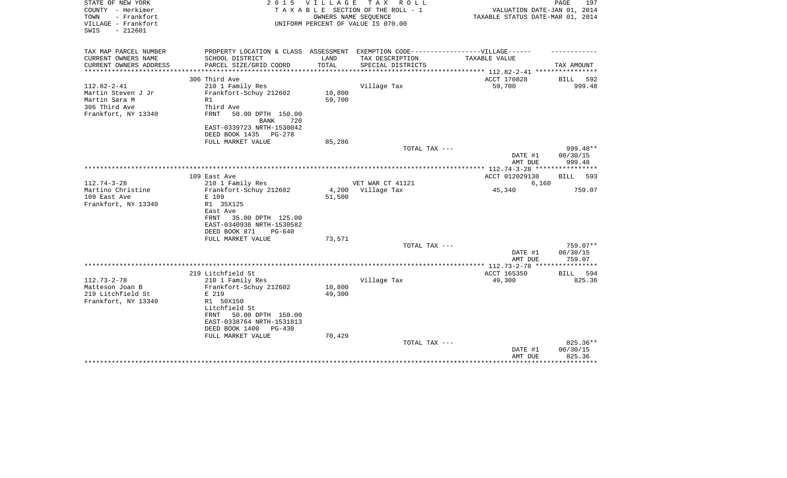| STATE OF NEW YORK<br>COUNTY - Herkimer<br>TOWN<br>- Frankfort<br>VILLAGE - Frankfort<br>$-212601$<br>SWIS | 2 0 1 5                                                                           | VILLAGE | TAX ROLL<br>TAXABLE SECTION OF THE ROLL - 1<br>OWNERS NAME SEQUENCE<br>UNIFORM PERCENT OF VALUE IS 070.00 | VALUATION DATE-JAN 01, 2014<br>TAXABLE STATUS DATE-MAR 01, 2014 | 197<br>PAGE                  |
|-----------------------------------------------------------------------------------------------------------|-----------------------------------------------------------------------------------|---------|-----------------------------------------------------------------------------------------------------------|-----------------------------------------------------------------|------------------------------|
| TAX MAP PARCEL NUMBER                                                                                     | PROPERTY LOCATION & CLASS ASSESSMENT EXEMPTION CODE-----------------VILLAGE------ |         |                                                                                                           |                                                                 |                              |
| CURRENT OWNERS NAME                                                                                       | SCHOOL DISTRICT                                                                   | LAND    | TAX DESCRIPTION                                                                                           | TAXABLE VALUE                                                   |                              |
| CURRENT OWNERS ADDRESS<br>***************                                                                 | PARCEL SIZE/GRID COORD                                                            | TOTAL   | SPECIAL DISTRICTS                                                                                         |                                                                 | TAX AMOUNT                   |
|                                                                                                           | 306 Third Ave                                                                     |         |                                                                                                           | ACCT 170828                                                     | BILL<br>592                  |
| $112.82 - 2 - 41$                                                                                         | 210 1 Family Res                                                                  |         | Village Tax                                                                                               | 59,700                                                          | 999.48                       |
| Martin Steven J Jr                                                                                        | Frankfort-Schuy 212602                                                            | 10,800  |                                                                                                           |                                                                 |                              |
| Martin Sara M                                                                                             | R1                                                                                | 59,700  |                                                                                                           |                                                                 |                              |
| 306 Third Ave                                                                                             | Third Ave                                                                         |         |                                                                                                           |                                                                 |                              |
| Frankfort, NY 13340                                                                                       | FRNT<br>50.00 DPTH 150.00                                                         |         |                                                                                                           |                                                                 |                              |
|                                                                                                           | <b>BANK</b><br>720                                                                |         |                                                                                                           |                                                                 |                              |
|                                                                                                           | EAST-0339723 NRTH-1530042<br>DEED BOOK 1435<br>$PG-278$                           |         |                                                                                                           |                                                                 |                              |
|                                                                                                           | FULL MARKET VALUE                                                                 | 85,286  |                                                                                                           |                                                                 |                              |
|                                                                                                           |                                                                                   |         | TOTAL TAX ---                                                                                             |                                                                 | 999.48**                     |
|                                                                                                           |                                                                                   |         |                                                                                                           | DATE #1                                                         | 06/30/15                     |
|                                                                                                           |                                                                                   |         |                                                                                                           | AMT DUE                                                         | 999.48                       |
|                                                                                                           |                                                                                   |         |                                                                                                           | ACCT 012029130                                                  | BILL<br>593                  |
| $112.74 - 3 - 28$                                                                                         | 109 East Ave<br>210 1 Family Res                                                  |         | VET WAR CT 41121                                                                                          | 6,160                                                           |                              |
| Martino Christine                                                                                         | Frankfort-Schuy 212602                                                            | 4,200   | Village Tax                                                                                               | 45,340                                                          | 759.07                       |
| 109 East Ave                                                                                              | E 109                                                                             | 51,500  |                                                                                                           |                                                                 |                              |
| Frankfort, NY 13340                                                                                       | R1 35X125                                                                         |         |                                                                                                           |                                                                 |                              |
|                                                                                                           | East Ave                                                                          |         |                                                                                                           |                                                                 |                              |
|                                                                                                           | 35.00 DPTH 125.00<br>FRNT                                                         |         |                                                                                                           |                                                                 |                              |
|                                                                                                           | EAST-0340936 NRTH-1530582<br>DEED BOOK 871<br>PG-640                              |         |                                                                                                           |                                                                 |                              |
|                                                                                                           | FULL MARKET VALUE                                                                 | 73,571  |                                                                                                           |                                                                 |                              |
|                                                                                                           |                                                                                   |         | TOTAL TAX ---                                                                                             |                                                                 | $759.07**$                   |
|                                                                                                           |                                                                                   |         |                                                                                                           | DATE #1                                                         | 06/30/15                     |
|                                                                                                           |                                                                                   |         |                                                                                                           | AMT DUE                                                         | 759.07                       |
|                                                                                                           |                                                                                   |         |                                                                                                           |                                                                 | ***********                  |
| $112.73 - 2 - 78$                                                                                         | 219 Litchfield St<br>210 1 Family Res                                             |         | Village Tax                                                                                               | ACCT 165350<br>49,300                                           | 594<br><b>BILL</b><br>825.36 |
| Matteson Joan B                                                                                           | Frankfort-Schuy 212602                                                            | 10,800  |                                                                                                           |                                                                 |                              |
| 219 Litchfield St                                                                                         | E 219                                                                             | 49,300  |                                                                                                           |                                                                 |                              |
| Frankfort, NY 13340                                                                                       | R1 50X150                                                                         |         |                                                                                                           |                                                                 |                              |
|                                                                                                           | Litchfield St                                                                     |         |                                                                                                           |                                                                 |                              |
|                                                                                                           | 50.00 DPTH 150.00<br>FRNT                                                         |         |                                                                                                           |                                                                 |                              |
|                                                                                                           | EAST-0338764 NRTH-1531813<br>DEED BOOK 1400                                       |         |                                                                                                           |                                                                 |                              |
|                                                                                                           | PG-430<br>FULL MARKET VALUE                                                       | 70,429  |                                                                                                           |                                                                 |                              |
|                                                                                                           |                                                                                   |         | TOTAL TAX ---                                                                                             |                                                                 | 825.36**                     |
|                                                                                                           |                                                                                   |         |                                                                                                           | DATE #1                                                         | 06/30/15                     |
|                                                                                                           |                                                                                   |         |                                                                                                           | AMT DUE                                                         | 825.36                       |
|                                                                                                           |                                                                                   |         |                                                                                                           |                                                                 | ********                     |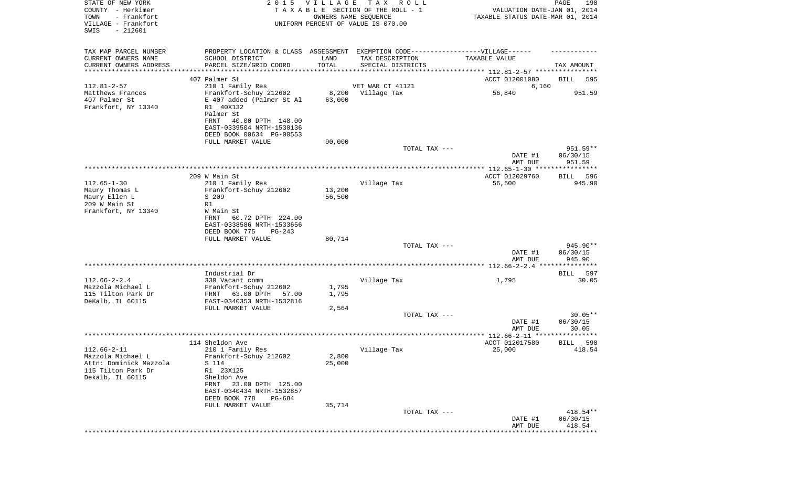| STATE OF NEW YORK<br>COUNTY - Herkimer<br>TOWN<br>- Frankfort<br>VILLAGE - Frankfort<br>SWIS<br>$-212601$ | 2 0 1 5                                      | VILLAGE          | T A X<br>R O L L<br>TAXABLE SECTION OF THE ROLL - 1<br>OWNERS NAME SEQUENCE<br>UNIFORM PERCENT OF VALUE IS 070.00 | VALUATION DATE-JAN 01, 2014<br>TAXABLE STATUS DATE-MAR 01, 2014 | PAGE<br>198           |
|-----------------------------------------------------------------------------------------------------------|----------------------------------------------|------------------|-------------------------------------------------------------------------------------------------------------------|-----------------------------------------------------------------|-----------------------|
| TAX MAP PARCEL NUMBER                                                                                     |                                              |                  | PROPERTY LOCATION & CLASS ASSESSMENT EXEMPTION CODE-----------------VILLAGE------                                 |                                                                 |                       |
| CURRENT OWNERS NAME                                                                                       | SCHOOL DISTRICT                              | LAND             | TAX DESCRIPTION                                                                                                   | TAXABLE VALUE                                                   |                       |
| CURRENT OWNERS ADDRESS<br>*********************                                                           | PARCEL SIZE/GRID COORD                       | TOTAL            | SPECIAL DISTRICTS                                                                                                 |                                                                 | TAX AMOUNT            |
|                                                                                                           | 407 Palmer St                                |                  |                                                                                                                   | ACCT 012001080                                                  | BILL<br>595           |
| $112.81 - 2 - 57$                                                                                         | 210 1 Family Res                             |                  | VET WAR CT 41121                                                                                                  | 6,160                                                           |                       |
| Matthews Frances                                                                                          | Frankfort-Schuy 212602                       | 8,200            | Village Tax                                                                                                       | 56,840                                                          | 951.59                |
| 407 Palmer St                                                                                             | E 407 added (Palmer St Al                    | 63,000           |                                                                                                                   |                                                                 |                       |
| Frankfort, NY 13340                                                                                       | R1 40X132<br>Palmer St                       |                  |                                                                                                                   |                                                                 |                       |
|                                                                                                           | FRNT<br>40.00 DPTH 148.00                    |                  |                                                                                                                   |                                                                 |                       |
|                                                                                                           | EAST-0339504 NRTH-1530136                    |                  |                                                                                                                   |                                                                 |                       |
|                                                                                                           | DEED BOOK 00634 PG-00553                     |                  |                                                                                                                   |                                                                 |                       |
|                                                                                                           | FULL MARKET VALUE                            | 90,000           |                                                                                                                   |                                                                 |                       |
|                                                                                                           |                                              |                  | TOTAL TAX ---                                                                                                     |                                                                 | $951.59**$            |
|                                                                                                           |                                              |                  |                                                                                                                   | DATE #1<br>AMT DUE                                              | 06/30/15<br>951.59    |
|                                                                                                           |                                              |                  |                                                                                                                   |                                                                 |                       |
|                                                                                                           | 209 W Main St                                |                  |                                                                                                                   | ACCT 012029760                                                  | 596<br><b>BILL</b>    |
| $112.65 - 1 - 30$                                                                                         | 210 1 Family Res                             |                  | Village Tax                                                                                                       | 56,500                                                          | 945.90                |
| Maury Thomas L                                                                                            | Frankfort-Schuy 212602<br>S 209              | 13,200<br>56,500 |                                                                                                                   |                                                                 |                       |
| Maury Ellen L<br>209 W Main St                                                                            | R1                                           |                  |                                                                                                                   |                                                                 |                       |
| Frankfort, NY 13340                                                                                       | W Main St                                    |                  |                                                                                                                   |                                                                 |                       |
|                                                                                                           | 60.72 DPTH 224.00<br>FRNT                    |                  |                                                                                                                   |                                                                 |                       |
|                                                                                                           | EAST-0338586 NRTH-1533656                    |                  |                                                                                                                   |                                                                 |                       |
|                                                                                                           | DEED BOOK 775<br>PG-243                      |                  |                                                                                                                   |                                                                 |                       |
|                                                                                                           | FULL MARKET VALUE                            | 80,714           | TOTAL TAX ---                                                                                                     |                                                                 | 945.90**              |
|                                                                                                           |                                              |                  |                                                                                                                   | DATE #1                                                         | 06/30/15              |
|                                                                                                           |                                              |                  |                                                                                                                   | AMT DUE                                                         | 945.90                |
|                                                                                                           |                                              |                  |                                                                                                                   |                                                                 |                       |
| $112.66 - 2 - 2.4$                                                                                        | Industrial Dr<br>330 Vacant comm             |                  |                                                                                                                   |                                                                 | BILL<br>597<br>30.05  |
| Mazzola Michael L                                                                                         | Frankfort-Schuy 212602                       | 1,795            | Village Tax                                                                                                       | 1,795                                                           |                       |
| 115 Tilton Park Dr                                                                                        | FRNT<br>63.00 DPTH<br>57.00                  | 1,795            |                                                                                                                   |                                                                 |                       |
| DeKalb, IL 60115                                                                                          | EAST-0340353 NRTH-1532816                    |                  |                                                                                                                   |                                                                 |                       |
|                                                                                                           | FULL MARKET VALUE                            | 2,564            |                                                                                                                   |                                                                 |                       |
|                                                                                                           |                                              |                  | TOTAL TAX ---                                                                                                     | DATE #1                                                         | $30.05**$<br>06/30/15 |
|                                                                                                           |                                              |                  |                                                                                                                   | AMT DUE                                                         | 30.05                 |
|                                                                                                           |                                              |                  |                                                                                                                   |                                                                 | * * * * *             |
|                                                                                                           | 114 Sheldon Ave                              |                  |                                                                                                                   | ACCT 012017580                                                  | 598<br>BILL           |
| $112.66 - 2 - 11$                                                                                         | 210 1 Family Res                             |                  | Village Tax                                                                                                       | 25,000                                                          | 418.54                |
| Mazzola Michael L<br>Attn: Dominick Mazzola                                                               | Frankfort-Schuy 212602<br>S 114              | 2,800<br>25,000  |                                                                                                                   |                                                                 |                       |
| 115 Tilton Park Dr                                                                                        | R1 23X125                                    |                  |                                                                                                                   |                                                                 |                       |
| Dekalb, IL 60115                                                                                          | Sheldon Ave                                  |                  |                                                                                                                   |                                                                 |                       |
|                                                                                                           | FRNT 23.00 DPTH 125.00                       |                  |                                                                                                                   |                                                                 |                       |
|                                                                                                           | EAST-0340434 NRTH-1532857                    |                  |                                                                                                                   |                                                                 |                       |
|                                                                                                           | DEED BOOK 778<br>PG-684<br>FULL MARKET VALUE |                  |                                                                                                                   |                                                                 |                       |
|                                                                                                           |                                              | 35,714           | TOTAL TAX ---                                                                                                     |                                                                 | 418.54**              |
|                                                                                                           |                                              |                  |                                                                                                                   | DATE #1                                                         | 06/30/15              |
|                                                                                                           |                                              |                  |                                                                                                                   | AMT DUE                                                         | 418.54                |
|                                                                                                           |                                              |                  |                                                                                                                   | * * * * * * * * * * * * * *                                     | *******************   |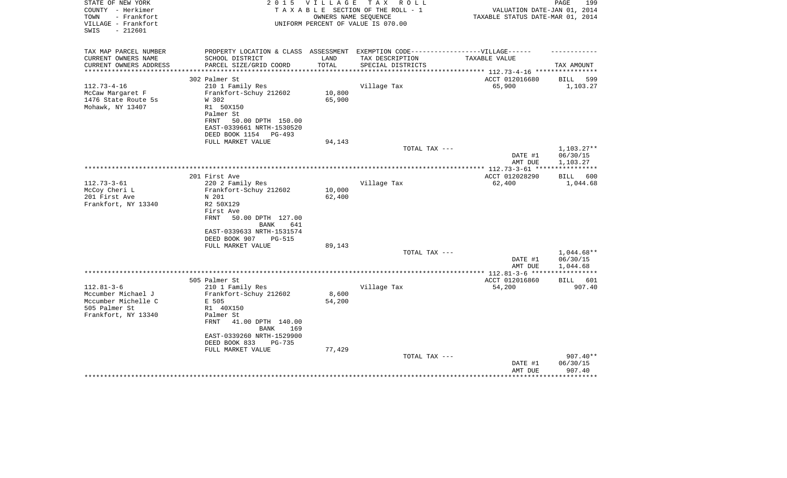| STATE OF NEW YORK<br>COUNTY - Herkimer<br>- Frankfort<br>TOWN<br>VILLAGE - Frankfort<br>$-212601$<br>SWIS | 2 0 1 5                                                                           | V I L L A G E | T A X<br>R O L L<br>TAXABLE SECTION OF THE ROLL - 1<br>OWNERS NAME SEOUENCE<br>UNIFORM PERCENT OF VALUE IS 070.00 | VALUATION DATE-JAN 01, 2014<br>TAXABLE STATUS DATE-MAR 01, 2014 | PAGE<br>199             |
|-----------------------------------------------------------------------------------------------------------|-----------------------------------------------------------------------------------|---------------|-------------------------------------------------------------------------------------------------------------------|-----------------------------------------------------------------|-------------------------|
| TAX MAP PARCEL NUMBER                                                                                     | PROPERTY LOCATION & CLASS ASSESSMENT EXEMPTION CODE-----------------VILLAGE------ |               |                                                                                                                   |                                                                 |                         |
| CURRENT OWNERS NAME                                                                                       | SCHOOL DISTRICT                                                                   | LAND          | TAX DESCRIPTION                                                                                                   | TAXABLE VALUE                                                   |                         |
| CURRENT OWNERS ADDRESS<br>**********************                                                          | PARCEL SIZE/GRID COORD                                                            | TOTAL         | SPECIAL DISTRICTS                                                                                                 |                                                                 | TAX AMOUNT              |
|                                                                                                           | 302 Palmer St                                                                     |               |                                                                                                                   | ACCT 012016680                                                  |                         |
| $112.73 - 4 - 16$                                                                                         | 210 1 Family Res                                                                  |               | Village Tax                                                                                                       | 65,900                                                          | BILL<br>599<br>1,103.27 |
| McCaw Margaret F                                                                                          | Frankfort-Schuy 212602                                                            | 10,800        |                                                                                                                   |                                                                 |                         |
| 1476 State Route 5s                                                                                       | W 302                                                                             | 65,900        |                                                                                                                   |                                                                 |                         |
| Mohawk, NY 13407                                                                                          | R1 50X150                                                                         |               |                                                                                                                   |                                                                 |                         |
|                                                                                                           | Palmer St                                                                         |               |                                                                                                                   |                                                                 |                         |
|                                                                                                           | FRNT<br>50.00 DPTH 150.00                                                         |               |                                                                                                                   |                                                                 |                         |
|                                                                                                           | EAST-0339661 NRTH-1530520                                                         |               |                                                                                                                   |                                                                 |                         |
|                                                                                                           | DEED BOOK 1154<br>PG-493<br>FULL MARKET VALUE                                     | 94,143        |                                                                                                                   |                                                                 |                         |
|                                                                                                           |                                                                                   |               | TOTAL TAX ---                                                                                                     |                                                                 | $1,103.27**$            |
|                                                                                                           |                                                                                   |               |                                                                                                                   | DATE #1                                                         | 06/30/15                |
|                                                                                                           |                                                                                   |               |                                                                                                                   | AMT DUE                                                         | 1,103.27                |
|                                                                                                           |                                                                                   |               |                                                                                                                   |                                                                 | ***********             |
|                                                                                                           | 201 First Ave                                                                     |               |                                                                                                                   | ACCT 012028290                                                  | BILL 600                |
| $112.73 - 3 - 61$<br>McCoy Cheri L                                                                        | 220 2 Family Res                                                                  | 10,000        | Village Tax                                                                                                       | 62,400                                                          | 1,044.68                |
| 201 First Ave                                                                                             | Frankfort-Schuy 212602<br>N 201                                                   | 62,400        |                                                                                                                   |                                                                 |                         |
| Frankfort, NY 13340                                                                                       | R2 50X129                                                                         |               |                                                                                                                   |                                                                 |                         |
|                                                                                                           | First Ave                                                                         |               |                                                                                                                   |                                                                 |                         |
|                                                                                                           | 50.00 DPTH 127.00<br>FRNT                                                         |               |                                                                                                                   |                                                                 |                         |
|                                                                                                           | BANK<br>641                                                                       |               |                                                                                                                   |                                                                 |                         |
|                                                                                                           | EAST-0339633 NRTH-1531574                                                         |               |                                                                                                                   |                                                                 |                         |
|                                                                                                           | DEED BOOK 907<br>PG-515<br>FULL MARKET VALUE                                      | 89,143        |                                                                                                                   |                                                                 |                         |
|                                                                                                           |                                                                                   |               | TOTAL TAX ---                                                                                                     |                                                                 | $1,044.68**$            |
|                                                                                                           |                                                                                   |               |                                                                                                                   | DATE #1                                                         | 06/30/15                |
|                                                                                                           |                                                                                   |               |                                                                                                                   | AMT DUE                                                         | 1,044.68                |
|                                                                                                           |                                                                                   |               |                                                                                                                   | **** $112.81-3-6$ ***                                           |                         |
|                                                                                                           | 505 Palmer St                                                                     |               |                                                                                                                   | ACCT 012016860                                                  | BILL 601                |
| $112.81 - 3 - 6$<br>Mccumber Michael J                                                                    | 210 1 Family Res<br>Frankfort-Schuy 212602                                        | 8,600         | Village Tax                                                                                                       | 54,200                                                          | 907.40                  |
| Mccumber Michelle C                                                                                       | E 505                                                                             | 54,200        |                                                                                                                   |                                                                 |                         |
| 505 Palmer St                                                                                             | R1 40X150                                                                         |               |                                                                                                                   |                                                                 |                         |
| Frankfort, NY 13340                                                                                       | Palmer St                                                                         |               |                                                                                                                   |                                                                 |                         |
|                                                                                                           | 41.00 DPTH 140.00<br>FRNT                                                         |               |                                                                                                                   |                                                                 |                         |
|                                                                                                           | <b>BANK</b><br>169                                                                |               |                                                                                                                   |                                                                 |                         |
|                                                                                                           | EAST-0339260 NRTH-1529900                                                         |               |                                                                                                                   |                                                                 |                         |
|                                                                                                           | DEED BOOK 833<br><b>PG-735</b>                                                    |               |                                                                                                                   |                                                                 |                         |
|                                                                                                           | FULL MARKET VALUE                                                                 | 77,429        | TOTAL TAX ---                                                                                                     |                                                                 | $907.40**$              |
|                                                                                                           |                                                                                   |               |                                                                                                                   | DATE #1                                                         | 06/30/15                |
|                                                                                                           |                                                                                   |               |                                                                                                                   | AMT DUE                                                         | 907.40                  |
|                                                                                                           |                                                                                   |               |                                                                                                                   |                                                                 |                         |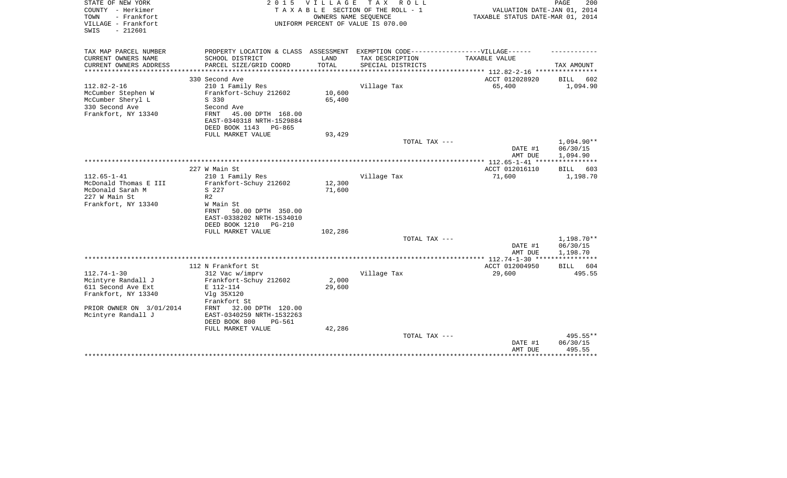| STATE OF NEW YORK<br>COUNTY - Herkimer<br>- Frankfort<br>TOWN<br>VILLAGE - Frankfort<br>$-212601$<br>SWIS              | 2 0 1 5                                                                                                                                | VILLAGE<br>OWNERS NAME SEQUENCE | TAX ROLL<br>TAXABLE SECTION OF THE ROLL - 1<br>UNIFORM PERCENT OF VALUE IS 070.00                    | VALUATION DATE-JAN 01, 2014<br>TAXABLE STATUS DATE-MAR 01, 2014 | PAGE<br>200                                |
|------------------------------------------------------------------------------------------------------------------------|----------------------------------------------------------------------------------------------------------------------------------------|---------------------------------|------------------------------------------------------------------------------------------------------|-----------------------------------------------------------------|--------------------------------------------|
| TAX MAP PARCEL NUMBER<br>CURRENT OWNERS NAME                                                                           | SCHOOL DISTRICT                                                                                                                        | LAND                            | PROPERTY LOCATION & CLASS ASSESSMENT EXEMPTION CODE-----------------VILLAGE------<br>TAX DESCRIPTION | TAXABLE VALUE                                                   |                                            |
| CURRENT OWNERS ADDRESS<br>********************                                                                         | PARCEL SIZE/GRID COORD<br>*********************                                                                                        | TOTAL<br>************           | SPECIAL DISTRICTS<br>********************************* 112.82-2-16 ****************                  |                                                                 | TAX AMOUNT                                 |
|                                                                                                                        | 330 Second Ave                                                                                                                         |                                 |                                                                                                      | ACCT 012028920                                                  | <b>BILL</b><br>602                         |
| $112.82 - 2 - 16$<br>McCumber Stephen W<br>McCumber Sheryl L<br>S 330<br>330 Second Ave<br>Frankfort, NY 13340<br>FRNT | 210 1 Family Res<br>Frankfort-Schuy 212602<br>Second Ave<br>45.00 DPTH 168.00<br>EAST-0340318 NRTH-1529884<br>DEED BOOK 1143<br>PG-865 | 10,600<br>65,400                | Village Tax                                                                                          | 65,400                                                          | 1,094.90                                   |
|                                                                                                                        | FULL MARKET VALUE                                                                                                                      | 93,429                          |                                                                                                      |                                                                 |                                            |
|                                                                                                                        |                                                                                                                                        |                                 | TOTAL TAX ---                                                                                        | DATE #1<br>AMT DUE                                              | 1,094.90**<br>06/30/15<br>1,094.90         |
|                                                                                                                        |                                                                                                                                        |                                 |                                                                                                      |                                                                 |                                            |
| 227 W Main St<br>$112.65 - 1 - 41$                                                                                     | 210 1 Family Res                                                                                                                       |                                 | Village Tax                                                                                          | ACCT 012016110<br>71,600                                        | BILL<br>603<br>1,198.70                    |
| McDonald Thomas E III<br>McDonald Sarah M<br>S 227<br>227 W Main St<br>R <sub>2</sub><br>Frankfort, NY 13340<br>FRNT   | Frankfort-Schuy 212602<br>W Main St<br>50.00 DPTH 350.00<br>EAST-0338202 NRTH-1534010<br>DEED BOOK 1210<br><b>PG-210</b>               | 12,300<br>71,600                |                                                                                                      |                                                                 |                                            |
|                                                                                                                        | FULL MARKET VALUE                                                                                                                      | 102,286                         | TOTAL TAX ---                                                                                        |                                                                 | 1,198.70**                                 |
|                                                                                                                        |                                                                                                                                        |                                 |                                                                                                      | DATE #1<br>AMT DUE                                              | 06/30/15<br>1,198.70                       |
|                                                                                                                        |                                                                                                                                        |                                 |                                                                                                      |                                                                 |                                            |
| $112.74 - 1 - 30$                                                                                                      | 112 N Frankfort St                                                                                                                     |                                 |                                                                                                      | ACCT 012004950                                                  | BILL<br>604                                |
| Mcintyre Randall J<br>611 Second Ave Ext<br>Frankfort, NY 13340<br>PRIOR OWNER ON 3/01/2014<br>FRNT                    | 312 Vac w/imprv<br>Frankfort-Schuy 212602<br>E 112-114<br>Vlg 35X120<br>Frankfort St<br>32.00 DPTH 120.00                              | 2,000<br>29,600                 | Village Tax                                                                                          | 29,600                                                          | 495.55                                     |
| Mcintyre Randall J                                                                                                     | EAST-0340259 NRTH-1532263<br>DEED BOOK 800<br>PG-561<br>FULL MARKET VALUE                                                              | 42,286                          |                                                                                                      |                                                                 |                                            |
|                                                                                                                        |                                                                                                                                        |                                 | TOTAL TAX ---                                                                                        | DATE #1<br>AMT DUE                                              | 495.55**<br>06/30/15<br>495.55<br>******** |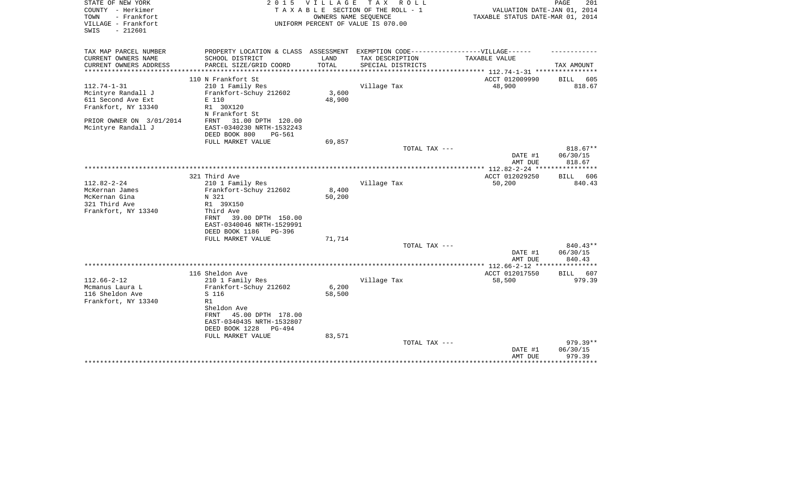| STATE OF NEW YORK                          | 2 0 1 5                                                                           | V I L L A G E | T A X<br>R O L L                                           |                                                 | PAGE<br>201           |
|--------------------------------------------|-----------------------------------------------------------------------------------|---------------|------------------------------------------------------------|-------------------------------------------------|-----------------------|
| COUNTY - Herkimer                          |                                                                                   |               | TAXABLE SECTION OF THE ROLL - 1                            | VALUATION DATE-JAN 01, 2014                     |                       |
| - Frankfort<br>TOWN<br>VILLAGE - Frankfort |                                                                                   |               | OWNERS NAME SEQUENCE<br>UNIFORM PERCENT OF VALUE IS 070.00 | TAXABLE STATUS DATE-MAR 01, 2014                |                       |
| $-212601$<br>SWIS                          |                                                                                   |               |                                                            |                                                 |                       |
|                                            |                                                                                   |               |                                                            |                                                 |                       |
|                                            |                                                                                   |               |                                                            |                                                 |                       |
| TAX MAP PARCEL NUMBER                      | PROPERTY LOCATION & CLASS ASSESSMENT EXEMPTION CODE-----------------VILLAGE------ |               |                                                            |                                                 |                       |
| CURRENT OWNERS NAME                        | SCHOOL DISTRICT                                                                   | LAND          | TAX DESCRIPTION                                            | TAXABLE VALUE                                   |                       |
| CURRENT OWNERS ADDRESS                     | PARCEL SIZE/GRID COORD                                                            | TOTAL         | SPECIAL DISTRICTS                                          |                                                 | TAX AMOUNT            |
| ********************                       |                                                                                   |               |                                                            | ***************** 112.74-1-31 ***************** |                       |
|                                            | 110 N Frankfort St                                                                |               |                                                            | ACCT 012009990                                  | <b>BILL</b><br>605    |
| $112.74 - 1 - 31$                          | 210 1 Family Res                                                                  |               | Village Tax                                                | 48,900                                          | 818.67                |
| Mcintyre Randall J                         | Frankfort-Schuy 212602                                                            | 3,600         |                                                            |                                                 |                       |
| 611 Second Ave Ext                         | E 110                                                                             | 48,900        |                                                            |                                                 |                       |
| Frankfort, NY 13340                        | R1 30X120                                                                         |               |                                                            |                                                 |                       |
|                                            | N Frankfort St                                                                    |               |                                                            |                                                 |                       |
| PRIOR OWNER ON 3/01/2014                   | 31.00 DPTH 120.00<br>FRNT                                                         |               |                                                            |                                                 |                       |
| Mcintyre Randall J                         | EAST-0340230 NRTH-1532243                                                         |               |                                                            |                                                 |                       |
|                                            | DEED BOOK 800<br><b>PG-561</b>                                                    |               |                                                            |                                                 |                       |
|                                            | FULL MARKET VALUE                                                                 | 69,857        |                                                            |                                                 |                       |
|                                            |                                                                                   |               | TOTAL TAX ---                                              |                                                 | $818.67**$            |
|                                            |                                                                                   |               |                                                            | DATE #1                                         | 06/30/15              |
|                                            |                                                                                   |               |                                                            | AMT DUE                                         | 818.67<br>*********** |
|                                            |                                                                                   |               |                                                            | *************** 112.82-2-24 **                  |                       |
| $112.82 - 2 - 24$                          | 321 Third Ave                                                                     |               |                                                            | ACCT 012029250                                  | 606<br>BILL<br>840.43 |
| McKernan James                             | 210 1 Family Res<br>Frankfort-Schuy 212602                                        | 8,400         | Village Tax                                                | 50,200                                          |                       |
| McKernan Gina                              | N 321                                                                             | 50,200        |                                                            |                                                 |                       |
| 321 Third Ave                              | R1 39X150                                                                         |               |                                                            |                                                 |                       |
| Frankfort, NY 13340                        | Third Ave                                                                         |               |                                                            |                                                 |                       |
|                                            | FRNT<br>39.00 DPTH 150.00                                                         |               |                                                            |                                                 |                       |
|                                            | EAST-0340046 NRTH-1529991                                                         |               |                                                            |                                                 |                       |
|                                            | DEED BOOK 1186<br>PG-396                                                          |               |                                                            |                                                 |                       |
|                                            | FULL MARKET VALUE                                                                 | 71,714        |                                                            |                                                 |                       |
|                                            |                                                                                   |               | TOTAL TAX ---                                              |                                                 | 840.43**              |
|                                            |                                                                                   |               |                                                            | DATE #1                                         | 06/30/15              |
|                                            |                                                                                   |               |                                                            | AMT DUE                                         | 840.43                |
|                                            |                                                                                   |               |                                                            |                                                 | ********              |
|                                            | 116 Sheldon Ave                                                                   |               |                                                            | ACCT 012017550                                  | 607<br>BILL           |
| $112.66 - 2 - 12$                          | 210 1 Family Res                                                                  |               | Village Tax                                                | 58,500                                          | 979.39                |
| Mcmanus Laura L                            | Frankfort-Schuy 212602                                                            | 6,200         |                                                            |                                                 |                       |
| 116 Sheldon Ave                            | S 116                                                                             | 58,500        |                                                            |                                                 |                       |
| Frankfort, NY 13340                        | R1                                                                                |               |                                                            |                                                 |                       |
|                                            | Sheldon Ave                                                                       |               |                                                            |                                                 |                       |
|                                            | FRNT<br>45.00 DPTH 178.00                                                         |               |                                                            |                                                 |                       |
|                                            | EAST-0340435 NRTH-1532807                                                         |               |                                                            |                                                 |                       |
|                                            | DEED BOOK 1228<br>$PG-494$                                                        |               |                                                            |                                                 |                       |
|                                            | FULL MARKET VALUE                                                                 | 83,571        |                                                            |                                                 |                       |
|                                            |                                                                                   |               | TOTAL TAX ---                                              |                                                 | 979.39**              |
|                                            |                                                                                   |               |                                                            | DATE #1                                         | 06/30/15              |
|                                            |                                                                                   |               |                                                            | AMT DUE                                         | 979.39                |
|                                            |                                                                                   |               |                                                            |                                                 | * * * * * * * * *     |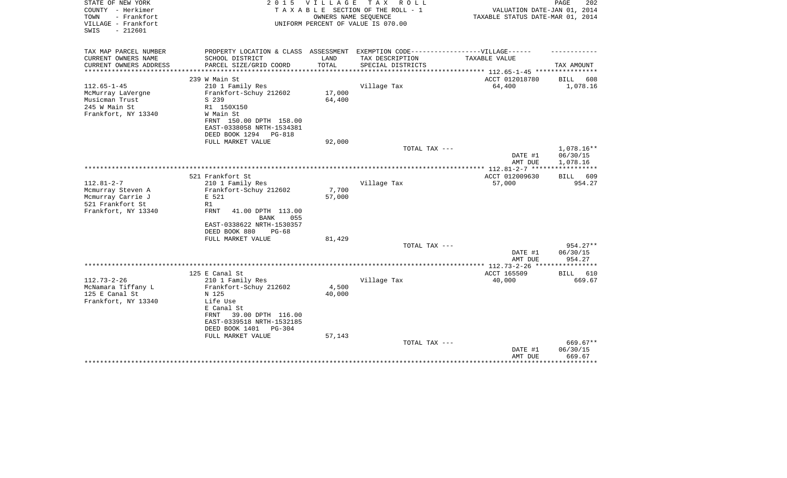| STATE OF NEW YORK<br>COUNTY - Herkimer                          | 2 0 1 5                                                                           | <b>VILLAGE</b>             | T A X<br>R O L L<br>TAXABLE SECTION OF THE ROLL - 1        | VALUATION DATE-JAN 01, 2014                                       | PAGE<br>202           |
|-----------------------------------------------------------------|-----------------------------------------------------------------------------------|----------------------------|------------------------------------------------------------|-------------------------------------------------------------------|-----------------------|
| TOWN<br>- Frankfort<br>VILLAGE - Frankfort<br>$-212601$<br>SWIS |                                                                                   |                            | OWNERS NAME SEQUENCE<br>UNIFORM PERCENT OF VALUE IS 070.00 | TAXABLE STATUS DATE-MAR 01, 2014                                  |                       |
| TAX MAP PARCEL NUMBER                                           | PROPERTY LOCATION & CLASS ASSESSMENT EXEMPTION CODE-----------------VILLAGE------ |                            |                                                            |                                                                   |                       |
| CURRENT OWNERS NAME                                             | SCHOOL DISTRICT                                                                   | LAND                       | TAX DESCRIPTION                                            | TAXABLE VALUE                                                     |                       |
| CURRENT OWNERS ADDRESS<br>********************                  | PARCEL SIZE/GRID COORD<br>**************************                              | TOTAL<br>***************** | SPECIAL DISTRICTS                                          |                                                                   | TAX AMOUNT            |
|                                                                 | 239 W Main St                                                                     |                            |                                                            | ***************** 112.65-1-45 *****************<br>ACCT 012018780 | BILL<br>608           |
| $112.65 - 1 - 45$                                               | 210 1 Family Res                                                                  |                            | Village Tax                                                | 64,400                                                            | 1,078.16              |
| McMurray LaVergne                                               | Frankfort-Schuy 212602                                                            | 17,000                     |                                                            |                                                                   |                       |
| Musicman Trust                                                  | S 239                                                                             | 64,400                     |                                                            |                                                                   |                       |
| 245 W Main St                                                   | R1 150X150                                                                        |                            |                                                            |                                                                   |                       |
| Frankfort, NY 13340                                             | W Main St                                                                         |                            |                                                            |                                                                   |                       |
|                                                                 | FRNT 150.00 DPTH 158.00                                                           |                            |                                                            |                                                                   |                       |
|                                                                 | EAST-0338058 NRTH-1534381                                                         |                            |                                                            |                                                                   |                       |
|                                                                 | DEED BOOK 1294<br>PG-818                                                          |                            |                                                            |                                                                   |                       |
|                                                                 | FULL MARKET VALUE                                                                 | 92,000                     | TOTAL TAX ---                                              |                                                                   | 1,078.16**            |
|                                                                 |                                                                                   |                            |                                                            | DATE #1                                                           | 06/30/15              |
|                                                                 |                                                                                   |                            |                                                            | AMT DUE                                                           | 1,078.16              |
|                                                                 |                                                                                   |                            |                                                            |                                                                   |                       |
|                                                                 | 521 Frankfort St                                                                  |                            |                                                            | ACCT 012009630                                                    | BILL 609              |
| $112.81 - 2 - 7$                                                | 210 1 Family Res                                                                  |                            | Village Tax                                                | 57,000                                                            | 954.27                |
| Mcmurray Steven A                                               | Frankfort-Schuy 212602                                                            | 7,700                      |                                                            |                                                                   |                       |
| Mcmurray Carrie J                                               | E 521                                                                             | 57,000                     |                                                            |                                                                   |                       |
| 521 Frankfort St                                                | R1                                                                                |                            |                                                            |                                                                   |                       |
| Frankfort, NY 13340                                             | <b>FRNT</b><br>41.00 DPTH 113.00<br><b>BANK</b><br>055                            |                            |                                                            |                                                                   |                       |
|                                                                 | EAST-0338622 NRTH-1530357                                                         |                            |                                                            |                                                                   |                       |
|                                                                 | DEED BOOK 880<br>$PG-68$                                                          |                            |                                                            |                                                                   |                       |
|                                                                 | FULL MARKET VALUE                                                                 | 81,429                     |                                                            |                                                                   |                       |
|                                                                 |                                                                                   |                            | TOTAL TAX ---                                              |                                                                   | 954.27**              |
|                                                                 |                                                                                   |                            |                                                            | DATE #1                                                           | 06/30/15              |
|                                                                 |                                                                                   |                            |                                                            | AMT DUE                                                           | 954.27                |
|                                                                 |                                                                                   |                            |                                                            |                                                                   |                       |
| $112.73 - 2 - 26$                                               | 125 E Canal St<br>210 1 Family Res                                                |                            | Village Tax                                                | ACCT 165509<br>40,000                                             | BILL<br>610<br>669.67 |
| McNamara Tiffany L                                              | Frankfort-Schuy 212602                                                            | 4,500                      |                                                            |                                                                   |                       |
| 125 E Canal St                                                  | N 125                                                                             | 40,000                     |                                                            |                                                                   |                       |
| Frankfort, NY 13340                                             | Life Use                                                                          |                            |                                                            |                                                                   |                       |
|                                                                 | E Canal St                                                                        |                            |                                                            |                                                                   |                       |
|                                                                 | 39.00 DPTH 116.00<br>FRNT                                                         |                            |                                                            |                                                                   |                       |
|                                                                 | EAST-0339518 NRTH-1532185                                                         |                            |                                                            |                                                                   |                       |
|                                                                 | DEED BOOK 1401<br>$PG-304$                                                        |                            |                                                            |                                                                   |                       |
|                                                                 | FULL MARKET VALUE                                                                 | 57,143                     |                                                            |                                                                   |                       |
|                                                                 |                                                                                   |                            | TOTAL TAX ---                                              | DATE #1                                                           | 669.67**<br>06/30/15  |
|                                                                 |                                                                                   |                            |                                                            | AMT DUE                                                           | 669.67                |
|                                                                 |                                                                                   |                            |                                                            |                                                                   | ***********           |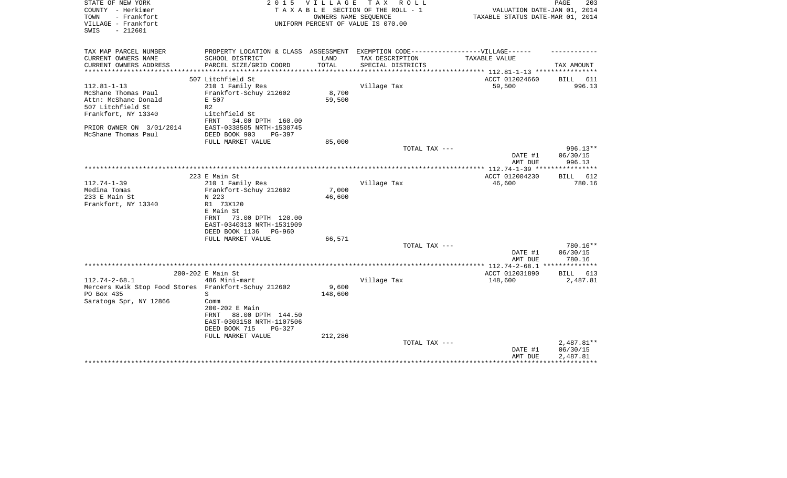| STATE OF NEW YORK<br>COUNTY - Herkimer<br>- Frankfort<br>TOWN<br>VILLAGE - Frankfort<br>$-212601$<br>SWIS | 2 0 1 5                                                                           | V I L L A G E | TAX ROLL<br>TAXABLE SECTION OF THE ROLL - 1<br>OWNERS NAME SEQUENCE<br>UNIFORM PERCENT OF VALUE IS 070.00 | VALUATION DATE-JAN 01, 2014<br>TAXABLE STATUS DATE-MAR 01, 2014 | 203<br>PAGE          |
|-----------------------------------------------------------------------------------------------------------|-----------------------------------------------------------------------------------|---------------|-----------------------------------------------------------------------------------------------------------|-----------------------------------------------------------------|----------------------|
| TAX MAP PARCEL NUMBER                                                                                     | PROPERTY LOCATION & CLASS ASSESSMENT EXEMPTION CODE-----------------VILLAGE------ |               |                                                                                                           |                                                                 |                      |
| CURRENT OWNERS NAME                                                                                       | SCHOOL DISTRICT                                                                   | LAND          | TAX DESCRIPTION                                                                                           | TAXABLE VALUE                                                   |                      |
| CURRENT OWNERS ADDRESS<br>********************                                                            | PARCEL SIZE/GRID COORD                                                            | TOTAL         | SPECIAL DISTRICTS                                                                                         | ***************************** 112.81-1-13 ****************      | TAX AMOUNT           |
|                                                                                                           | 507 Litchfield St                                                                 |               |                                                                                                           | ACCT 012024660                                                  | BILL 611             |
| $112.81 - 1 - 13$                                                                                         | 210 1 Family Res                                                                  |               | Village Tax                                                                                               | 59,500                                                          | 996.13               |
| McShane Thomas Paul                                                                                       | Frankfort-Schuy 212602                                                            | 8,700         |                                                                                                           |                                                                 |                      |
| Attn: McShane Donald                                                                                      | E 507                                                                             | 59,500        |                                                                                                           |                                                                 |                      |
| 507 Litchfield St                                                                                         | R <sub>2</sub>                                                                    |               |                                                                                                           |                                                                 |                      |
| Frankfort, NY 13340                                                                                       | Litchfield St                                                                     |               |                                                                                                           |                                                                 |                      |
|                                                                                                           | 34.00 DPTH 160.00<br>FRNT                                                         |               |                                                                                                           |                                                                 |                      |
| PRIOR OWNER ON 3/01/2014                                                                                  | EAST-0338505 NRTH-1530745                                                         |               |                                                                                                           |                                                                 |                      |
| McShane Thomas Paul                                                                                       | DEED BOOK 903<br>$PG-397$                                                         |               |                                                                                                           |                                                                 |                      |
|                                                                                                           | FULL MARKET VALUE                                                                 | 85,000        |                                                                                                           |                                                                 |                      |
|                                                                                                           |                                                                                   |               | TOTAL TAX ---                                                                                             |                                                                 | 996.13**<br>06/30/15 |
|                                                                                                           |                                                                                   |               |                                                                                                           | DATE #1<br>AMT DUE                                              | 996.13               |
|                                                                                                           |                                                                                   |               |                                                                                                           |                                                                 |                      |
|                                                                                                           | 223 E Main St                                                                     |               |                                                                                                           | ACCT 012004230                                                  | BILL 612             |
| $112.74 - 1 - 39$                                                                                         | 210 1 Family Res                                                                  |               | Village Tax                                                                                               | 46,600                                                          | 780.16               |
| Medina Tomas                                                                                              | Frankfort-Schuy 212602                                                            | 7,000         |                                                                                                           |                                                                 |                      |
| 233 E Main St                                                                                             | N 223                                                                             | 46,600        |                                                                                                           |                                                                 |                      |
| Frankfort, NY 13340                                                                                       | R1 73X120                                                                         |               |                                                                                                           |                                                                 |                      |
|                                                                                                           | E Main St                                                                         |               |                                                                                                           |                                                                 |                      |
|                                                                                                           | 73.00 DPTH 120.00<br>FRNT                                                         |               |                                                                                                           |                                                                 |                      |
|                                                                                                           | EAST-0340313 NRTH-1531909                                                         |               |                                                                                                           |                                                                 |                      |
|                                                                                                           | DEED BOOK 1136<br>PG-960                                                          |               |                                                                                                           |                                                                 |                      |
|                                                                                                           | FULL MARKET VALUE                                                                 | 66,571        |                                                                                                           |                                                                 |                      |
|                                                                                                           |                                                                                   |               | TOTAL TAX ---                                                                                             | DATE #1                                                         | 780.16**<br>06/30/15 |
|                                                                                                           |                                                                                   |               |                                                                                                           | AMT DUE                                                         | 780.16               |
|                                                                                                           |                                                                                   |               |                                                                                                           |                                                                 |                      |
|                                                                                                           | 200-202 E Main St                                                                 |               |                                                                                                           | ACCT 012031890                                                  | BILL 613             |
| $112.74 - 2 - 68.1$                                                                                       | 486 Mini-mart                                                                     |               | Village Tax                                                                                               | 148,600                                                         | 2,487.81             |
| Mercers Kwik Stop Food Stores Frankfort-Schuy 212602                                                      |                                                                                   | 9,600         |                                                                                                           |                                                                 |                      |
| PO Box 435                                                                                                | S                                                                                 | 148,600       |                                                                                                           |                                                                 |                      |
| Saratoga Spr, NY 12866                                                                                    | Comm                                                                              |               |                                                                                                           |                                                                 |                      |
|                                                                                                           | 200-202 E Main                                                                    |               |                                                                                                           |                                                                 |                      |
|                                                                                                           | 88.00 DPTH 144.50<br>FRNT                                                         |               |                                                                                                           |                                                                 |                      |
|                                                                                                           | EAST-0303158 NRTH-1107506                                                         |               |                                                                                                           |                                                                 |                      |
|                                                                                                           | DEED BOOK 715<br>PG-327                                                           |               |                                                                                                           |                                                                 |                      |
|                                                                                                           | FULL MARKET VALUE                                                                 | 212,286       |                                                                                                           |                                                                 | 2,487.81**           |
|                                                                                                           |                                                                                   |               | TOTAL TAX ---                                                                                             | DATE #1                                                         | 06/30/15             |
|                                                                                                           |                                                                                   |               |                                                                                                           | AMT DUE                                                         | 2,487.81             |
|                                                                                                           |                                                                                   |               |                                                                                                           |                                                                 |                      |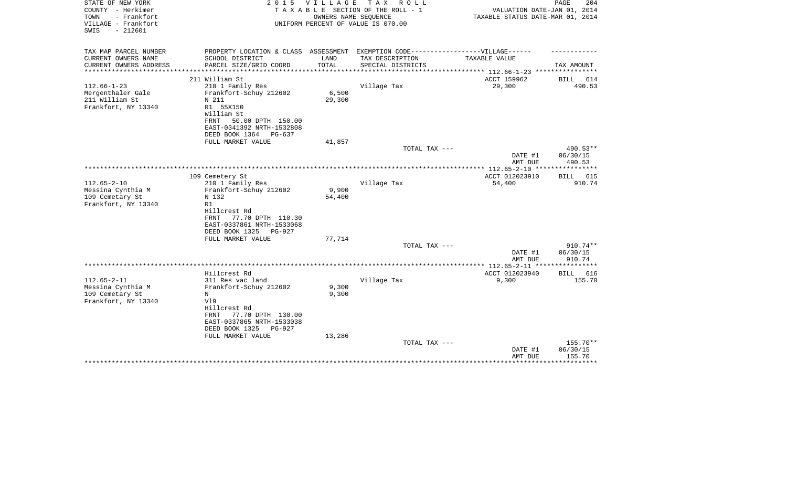| STATE OF NEW YORK<br>COUNTY - Herkimer<br>TOWN<br>- Frankfort | 2 0 1 5                              | V I L L A G E | T A X<br>R O L L<br>TAXABLE SECTION OF THE ROLL - 1<br>OWNERS NAME SEQUENCE | VALUATION DATE-JAN 01, 2014<br>TAXABLE STATUS DATE-MAR 01, 2014 | PAGE<br>204            |
|---------------------------------------------------------------|--------------------------------------|---------------|-----------------------------------------------------------------------------|-----------------------------------------------------------------|------------------------|
| VILLAGE - Frankfort<br>$-212601$<br>SWIS                      |                                      |               | UNIFORM PERCENT OF VALUE IS 070.00                                          |                                                                 |                        |
| TAX MAP PARCEL NUMBER                                         | PROPERTY LOCATION & CLASS ASSESSMENT |               | EXEMPTION CODE-----------------VILLAGE------                                |                                                                 |                        |
| CURRENT OWNERS NAME                                           | SCHOOL DISTRICT                      | LAND          | TAX DESCRIPTION                                                             | TAXABLE VALUE                                                   |                        |
| CURRENT OWNERS ADDRESS<br>********************                | PARCEL SIZE/GRID COORD               | TOTAL         | SPECIAL DISTRICTS                                                           | ***************** 112.66-1-23 *****************                 | TAX AMOUNT             |
|                                                               | 211 William St                       |               |                                                                             | ACCT 159962                                                     | BILL<br>614            |
| $112.66 - 1 - 23$                                             | 210 1 Family Res                     |               | Village Tax                                                                 | 29,300                                                          | 490.53                 |
| Mergenthaler Gale                                             | Frankfort-Schuy 212602               | 6,500         |                                                                             |                                                                 |                        |
| 211 William St                                                | N 211                                | 29,300        |                                                                             |                                                                 |                        |
| Frankfort, NY 13340                                           | R1 55X150                            |               |                                                                             |                                                                 |                        |
|                                                               | William St                           |               |                                                                             |                                                                 |                        |
|                                                               | 50.00 DPTH 150.00<br>FRNT            |               |                                                                             |                                                                 |                        |
|                                                               | EAST-0341392 NRTH-1532808            |               |                                                                             |                                                                 |                        |
|                                                               | DEED BOOK 1364<br>PG-637             |               |                                                                             |                                                                 |                        |
|                                                               | FULL MARKET VALUE                    | 41,857        |                                                                             |                                                                 |                        |
|                                                               |                                      |               | TOTAL TAX ---                                                               |                                                                 | 490.53**               |
|                                                               |                                      |               |                                                                             | DATE #1                                                         | 06/30/15               |
|                                                               |                                      |               |                                                                             | AMT DUE<br>************ 112.65-2-10 ***                         | 490.53<br>************ |
|                                                               | 109 Cemetery St                      |               |                                                                             | ACCT 012023910                                                  | 615<br>BILL            |
| $112.65 - 2 - 10$                                             | 210 1 Family Res                     |               | Village Tax                                                                 | 54,400                                                          | 910.74                 |
| Messina Cynthia M                                             | Frankfort-Schuy 212602               | 9,900         |                                                                             |                                                                 |                        |
| 109 Cemetary St                                               | N 132                                | 54,400        |                                                                             |                                                                 |                        |
| Frankfort, NY 13340                                           | R1                                   |               |                                                                             |                                                                 |                        |
|                                                               | Hillcrest Rd                         |               |                                                                             |                                                                 |                        |
|                                                               | 77.70 DPTH 110.30<br>FRNT            |               |                                                                             |                                                                 |                        |
|                                                               | EAST-0337861 NRTH-1533068            |               |                                                                             |                                                                 |                        |
|                                                               | DEED BOOK 1325<br><b>PG-927</b>      |               |                                                                             |                                                                 |                        |
|                                                               | FULL MARKET VALUE                    | 77,714        |                                                                             |                                                                 |                        |
|                                                               |                                      |               | TOTAL TAX ---                                                               |                                                                 | 910.74**               |
|                                                               |                                      |               |                                                                             | DATE #1                                                         | 06/30/15               |
|                                                               |                                      |               |                                                                             | AMT DUE                                                         | 910.74                 |
|                                                               |                                      |               |                                                                             |                                                                 |                        |
|                                                               | Hillcrest Rd                         |               |                                                                             | ACCT 012023940                                                  | <b>BILL</b><br>616     |
| $112.65 - 2 - 11$                                             | 311 Res vac land                     | 9,300         | Village Tax                                                                 | 9,300                                                           | 155.70                 |
| Messina Cynthia M<br>109 Cemetary St                          | Frankfort-Schuy 212602<br>N          | 9,300         |                                                                             |                                                                 |                        |
| Frankfort, NY 13340                                           | V19                                  |               |                                                                             |                                                                 |                        |
|                                                               | Hillcrest Rd                         |               |                                                                             |                                                                 |                        |
|                                                               | 77.70 DPTH 130.00<br>FRNT            |               |                                                                             |                                                                 |                        |
|                                                               | EAST-0337865 NRTH-1533038            |               |                                                                             |                                                                 |                        |
|                                                               | DEED BOOK 1325<br><b>PG-927</b>      |               |                                                                             |                                                                 |                        |
|                                                               | FULL MARKET VALUE                    | 13,286        |                                                                             |                                                                 |                        |
|                                                               |                                      |               | TOTAL TAX ---                                                               |                                                                 | 155.70**               |
|                                                               |                                      |               |                                                                             | DATE #1                                                         | 06/30/15               |
|                                                               |                                      |               |                                                                             | AMT DUE                                                         | 155.70                 |
|                                                               |                                      |               |                                                                             |                                                                 | *********              |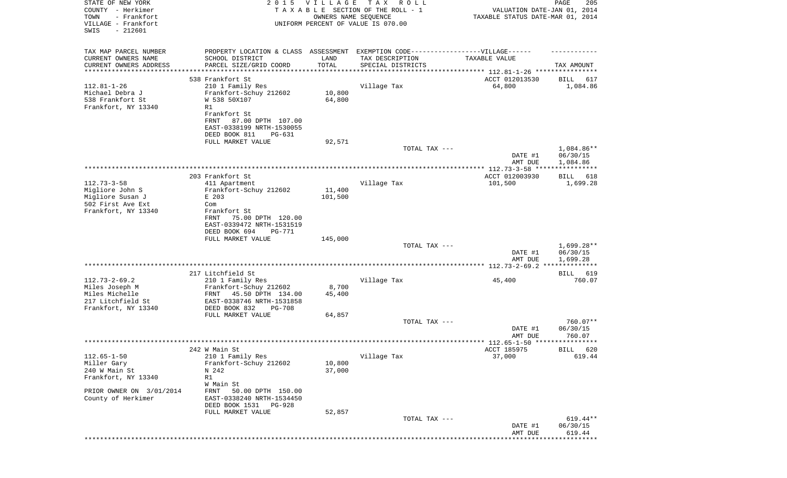| STATE OF NEW YORK<br>COUNTY - Herkimer<br>TOWN<br>- Frankfort<br>VILLAGE - Frankfort<br>SWIS<br>$-212601$ | 2 0 1 5                                                | VILLAGE<br>OWNERS NAME SEQUENCE      | T A X<br>R O L L<br>TAXABLE SECTION OF THE ROLL - 1<br>UNIFORM PERCENT OF VALUE IS 070.00 | VALUATION DATE-JAN 01, 2014<br>TAXABLE STATUS DATE-MAR 01, 2014 | PAGE<br>205              |
|-----------------------------------------------------------------------------------------------------------|--------------------------------------------------------|--------------------------------------|-------------------------------------------------------------------------------------------|-----------------------------------------------------------------|--------------------------|
| TAX MAP PARCEL NUMBER                                                                                     | PROPERTY LOCATION & CLASS ASSESSMENT                   |                                      | EXEMPTION CODE-----------------VILLAGE------                                              |                                                                 |                          |
| CURRENT OWNERS NAME                                                                                       | SCHOOL DISTRICT                                        | LAND                                 | TAX DESCRIPTION                                                                           | TAXABLE VALUE                                                   |                          |
| CURRENT OWNERS ADDRESS<br>********************                                                            | PARCEL SIZE/GRID COORD<br>********************         | TOTAL<br>* * * * * * * * * * * * * * | SPECIAL DISTRICTS                                                                         |                                                                 | TAX AMOUNT               |
|                                                                                                           | 538 Frankfort St                                       |                                      |                                                                                           | ACCT 012013530                                                  | 617                      |
| $112.81 - 1 - 26$                                                                                         | 210 1 Family Res                                       |                                      | Village Tax                                                                               | 64,800                                                          | BILL<br>1,084.86         |
| Michael Debra J                                                                                           | Frankfort-Schuy 212602                                 | 10,800                               |                                                                                           |                                                                 |                          |
| 538 Frankfort St                                                                                          | W 538 50X107                                           | 64,800                               |                                                                                           |                                                                 |                          |
| Frankfort, NY 13340                                                                                       | R1                                                     |                                      |                                                                                           |                                                                 |                          |
|                                                                                                           | Frankfort St                                           |                                      |                                                                                           |                                                                 |                          |
|                                                                                                           | 87.00 DPTH 107.00<br>FRNT<br>EAST-0338199 NRTH-1530055 |                                      |                                                                                           |                                                                 |                          |
|                                                                                                           | DEED BOOK 811<br>PG-631                                |                                      |                                                                                           |                                                                 |                          |
|                                                                                                           | FULL MARKET VALUE                                      | 92,571                               |                                                                                           |                                                                 |                          |
|                                                                                                           |                                                        |                                      | TOTAL TAX ---                                                                             |                                                                 | 1,084.86**               |
|                                                                                                           |                                                        |                                      |                                                                                           | DATE #1                                                         | 06/30/15                 |
|                                                                                                           |                                                        |                                      |                                                                                           | AMT DUE                                                         | 1,084.86                 |
|                                                                                                           | 203 Frankfort St                                       |                                      |                                                                                           | ACCT 012003930                                                  | BILL<br>618              |
| $112.73 - 3 - 58$                                                                                         | 411 Apartment                                          |                                      | Village Tax                                                                               | 101,500                                                         | 1,699.28                 |
| Migliore John S                                                                                           | Frankfort-Schuy 212602                                 | 11,400                               |                                                                                           |                                                                 |                          |
| Migliore Susan J                                                                                          | E 203                                                  | 101,500                              |                                                                                           |                                                                 |                          |
| 502 First Ave Ext<br>Frankfort, NY 13340                                                                  | Com<br>Frankfort St                                    |                                      |                                                                                           |                                                                 |                          |
|                                                                                                           | 75.00 DPTH 120.00<br>FRNT                              |                                      |                                                                                           |                                                                 |                          |
|                                                                                                           | EAST-0339472 NRTH-1531519                              |                                      |                                                                                           |                                                                 |                          |
|                                                                                                           | DEED BOOK 694<br>PG-771                                |                                      |                                                                                           |                                                                 |                          |
|                                                                                                           | FULL MARKET VALUE                                      | 145,000                              |                                                                                           |                                                                 |                          |
|                                                                                                           |                                                        |                                      | TOTAL TAX ---                                                                             | DATE #1                                                         | $1,699.28**$<br>06/30/15 |
|                                                                                                           |                                                        |                                      |                                                                                           | AMT DUE                                                         | 1,699.28                 |
|                                                                                                           |                                                        |                                      |                                                                                           |                                                                 |                          |
|                                                                                                           | 217 Litchfield St                                      |                                      |                                                                                           |                                                                 | BILL 619                 |
| $112.73 - 2 - 69.2$<br>Miles Joseph M                                                                     | 210 1 Family Res                                       | 8,700                                | Village Tax                                                                               | 45,400                                                          | 760.07                   |
| Miles Michelle                                                                                            | Frankfort-Schuy 212602<br>45.50 DPTH 134.00<br>FRNT    | 45,400                               |                                                                                           |                                                                 |                          |
| 217 Litchfield St                                                                                         | EAST-0338746 NRTH-1531858                              |                                      |                                                                                           |                                                                 |                          |
| Frankfort, NY 13340                                                                                       | DEED BOOK 832<br><b>PG-708</b>                         |                                      |                                                                                           |                                                                 |                          |
|                                                                                                           | FULL MARKET VALUE                                      | 64,857                               |                                                                                           |                                                                 |                          |
|                                                                                                           |                                                        |                                      | TOTAL TAX ---                                                                             |                                                                 | 760.07**                 |
|                                                                                                           |                                                        |                                      |                                                                                           | DATE #1<br>AMT DUE                                              | 06/30/15<br>760.07       |
|                                                                                                           |                                                        |                                      |                                                                                           |                                                                 |                          |
|                                                                                                           | 242 W Main St                                          |                                      |                                                                                           | ACCT 185975                                                     | BILL 620                 |
| $112.65 - 1 - 50$                                                                                         | 210 1 Family Res                                       |                                      | Village Tax                                                                               | 37,000                                                          | 619.44                   |
| Miller Gary                                                                                               | Frankfort-Schuy 212602                                 | 10,800                               |                                                                                           |                                                                 |                          |
| 240 W Main St<br>Frankfort, NY 13340                                                                      | N 242<br>R1                                            | 37,000                               |                                                                                           |                                                                 |                          |
|                                                                                                           | W Main St                                              |                                      |                                                                                           |                                                                 |                          |
| PRIOR OWNER ON 3/01/2014                                                                                  | 50.00 DPTH 150.00<br>FRNT                              |                                      |                                                                                           |                                                                 |                          |
| County of Herkimer                                                                                        | EAST-0338240 NRTH-1534450                              |                                      |                                                                                           |                                                                 |                          |
|                                                                                                           | DEED BOOK 1531<br>PG-928                               |                                      |                                                                                           |                                                                 |                          |
|                                                                                                           | FULL MARKET VALUE                                      | 52,857                               |                                                                                           |                                                                 |                          |
|                                                                                                           |                                                        |                                      | TOTAL TAX ---                                                                             | DATE #1                                                         | 619.44**<br>06/30/15     |
|                                                                                                           |                                                        |                                      |                                                                                           | AMT DUE                                                         | 619.44                   |
|                                                                                                           |                                                        |                                      |                                                                                           |                                                                 |                          |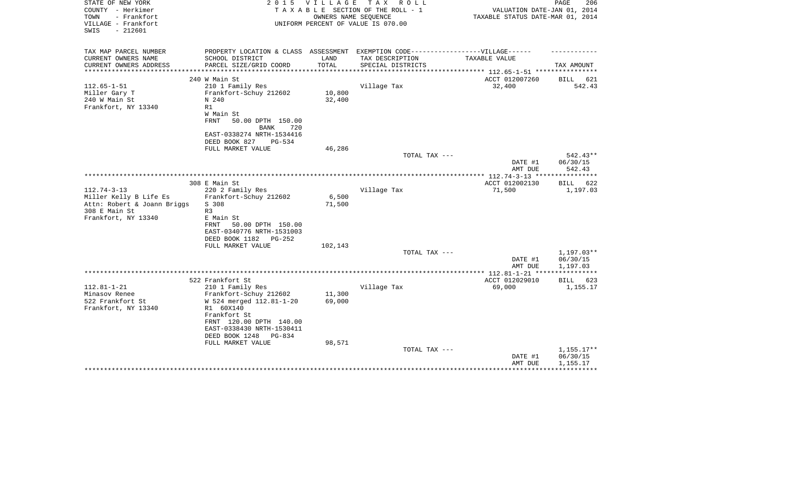| STATE OF NEW YORK<br>COUNTY - Herkimer<br>- Frankfort<br>TOWN<br>VILLAGE - Frankfort<br>SWIS<br>$-212601$ | 2 0 1 5                                                                                              | VILLAGE         | TAX ROLL<br>TAXABLE SECTION OF THE ROLL - 1<br>OWNERS NAME SEQUENCE<br>UNIFORM PERCENT OF VALUE IS 070.00 | VALUATION DATE-JAN 01, 2014<br>TAXABLE STATUS DATE-MAR 01, 2014 | PAGE<br>206        |
|-----------------------------------------------------------------------------------------------------------|------------------------------------------------------------------------------------------------------|-----------------|-----------------------------------------------------------------------------------------------------------|-----------------------------------------------------------------|--------------------|
| TAX MAP PARCEL NUMBER<br>CURRENT OWNERS NAME                                                              | PROPERTY LOCATION & CLASS ASSESSMENT EXEMPTION CODE-----------------VILLAGE------<br>SCHOOL DISTRICT | LAND            | TAX DESCRIPTION                                                                                           | TAXABLE VALUE                                                   |                    |
| CURRENT OWNERS ADDRESS                                                                                    | PARCEL SIZE/GRID COORD                                                                               | TOTAL           | SPECIAL DISTRICTS                                                                                         | ********* 112.65-1-51 ****                                      | TAX AMOUNT         |
|                                                                                                           | 240 W Main St                                                                                        |                 |                                                                                                           | ACCT 012007260                                                  | 621<br>BILL        |
| $112.65 - 1 - 51$                                                                                         | 210 1 Family Res                                                                                     |                 | Village Tax                                                                                               | 32,400                                                          | 542.43             |
| Miller Gary T                                                                                             | Frankfort-Schuy 212602                                                                               | 10,800          |                                                                                                           |                                                                 |                    |
| 240 W Main St                                                                                             | N 240                                                                                                | 32,400          |                                                                                                           |                                                                 |                    |
| Frankfort, NY 13340                                                                                       | R1                                                                                                   |                 |                                                                                                           |                                                                 |                    |
|                                                                                                           | W Main St                                                                                            |                 |                                                                                                           |                                                                 |                    |
|                                                                                                           | <b>FRNT</b><br>50.00 DPTH 150.00                                                                     |                 |                                                                                                           |                                                                 |                    |
|                                                                                                           | <b>BANK</b><br>720                                                                                   |                 |                                                                                                           |                                                                 |                    |
|                                                                                                           | EAST-0338274 NRTH-1534416                                                                            |                 |                                                                                                           |                                                                 |                    |
|                                                                                                           | DEED BOOK 827<br>PG-534<br>FULL MARKET VALUE                                                         | 46,286          |                                                                                                           |                                                                 |                    |
|                                                                                                           |                                                                                                      |                 | TOTAL TAX ---                                                                                             |                                                                 | 542.43**           |
|                                                                                                           |                                                                                                      |                 |                                                                                                           | DATE #1                                                         | 06/30/15           |
|                                                                                                           |                                                                                                      |                 |                                                                                                           | AMT DUE                                                         | 542.43             |
|                                                                                                           |                                                                                                      |                 |                                                                                                           |                                                                 |                    |
|                                                                                                           | 308 E Main St                                                                                        |                 |                                                                                                           | ACCT 012002130                                                  | <b>BILL</b><br>622 |
| $112.74 - 3 - 13$                                                                                         | 220 2 Family Res                                                                                     |                 | Village Tax                                                                                               | 71,500                                                          | 1,197.03           |
| Miller Kelly B Life Es<br>Attn: Robert & Joann Briggs                                                     | Frankfort-Schuy 212602<br>S 308                                                                      | 6,500<br>71,500 |                                                                                                           |                                                                 |                    |
| 308 E Main St                                                                                             | R <sub>3</sub>                                                                                       |                 |                                                                                                           |                                                                 |                    |
| Frankfort, NY 13340                                                                                       | E Main St                                                                                            |                 |                                                                                                           |                                                                 |                    |
|                                                                                                           | 50.00 DPTH 150.00<br>FRNT                                                                            |                 |                                                                                                           |                                                                 |                    |
|                                                                                                           | EAST-0340776 NRTH-1531003                                                                            |                 |                                                                                                           |                                                                 |                    |
|                                                                                                           | DEED BOOK 1182<br>$PG-252$                                                                           |                 |                                                                                                           |                                                                 |                    |
|                                                                                                           | FULL MARKET VALUE                                                                                    | 102,143         |                                                                                                           |                                                                 |                    |
|                                                                                                           |                                                                                                      |                 | TOTAL TAX ---                                                                                             |                                                                 | 1,197.03**         |
|                                                                                                           |                                                                                                      |                 |                                                                                                           | DATE #1                                                         | 06/30/15           |
|                                                                                                           |                                                                                                      |                 |                                                                                                           | AMT DUE                                                         | 1,197.03           |
|                                                                                                           | 522 Frankfort St                                                                                     |                 |                                                                                                           | ACCT 012029010                                                  | BILL<br>623        |
| $112.81 - 1 - 21$                                                                                         | 210 1 Family Res                                                                                     |                 | Village Tax                                                                                               | 69,000                                                          | 1,155.17           |
| Minasov Renee                                                                                             | Frankfort-Schuy 212602                                                                               | 11,300          |                                                                                                           |                                                                 |                    |
| 522 Frankfort St                                                                                          | W 524 merged 112.81-1-20                                                                             | 69,000          |                                                                                                           |                                                                 |                    |
| Frankfort, NY 13340                                                                                       | R1 60X140                                                                                            |                 |                                                                                                           |                                                                 |                    |
|                                                                                                           | Frankfort St                                                                                         |                 |                                                                                                           |                                                                 |                    |
|                                                                                                           | FRNT 120.00 DPTH 140.00                                                                              |                 |                                                                                                           |                                                                 |                    |
|                                                                                                           | EAST-0338430 NRTH-1530411                                                                            |                 |                                                                                                           |                                                                 |                    |
|                                                                                                           | DEED BOOK 1248<br>PG-834                                                                             |                 |                                                                                                           |                                                                 |                    |
|                                                                                                           | FULL MARKET VALUE                                                                                    | 98,571          | TOTAL TAX ---                                                                                             |                                                                 | $1,155.17**$       |
|                                                                                                           |                                                                                                      |                 |                                                                                                           | DATE #1                                                         | 06/30/15           |
|                                                                                                           |                                                                                                      |                 |                                                                                                           | AMT DUE                                                         | 1,155.17           |
|                                                                                                           |                                                                                                      |                 |                                                                                                           |                                                                 |                    |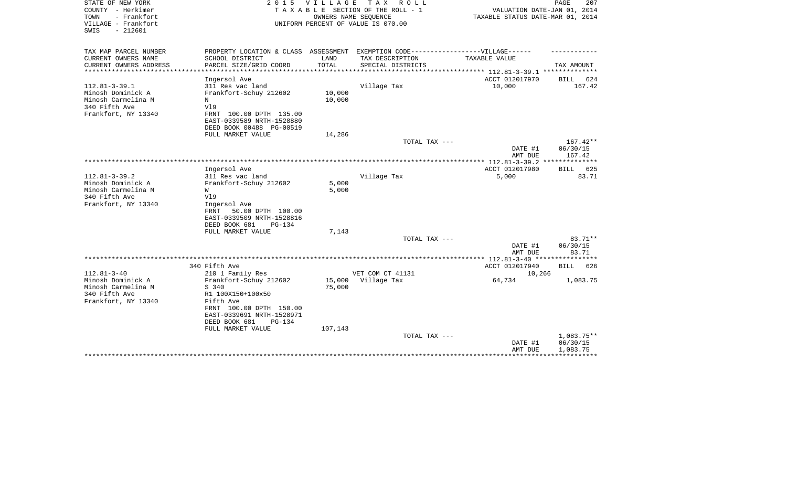| STATE OF NEW YORK<br>COUNTY - Herkimer<br>- Frankfort<br>TOWN<br>VILLAGE - Frankfort<br>$-212601$<br>SWIS | 2 0 1 5                                                                                              | V I L L A G E    | T A X<br>R O L L<br>TAXABLE SECTION OF THE ROLL - 1<br>OWNERS NAME SEQUENCE<br>UNIFORM PERCENT OF VALUE IS 070.00 | VALUATION DATE-JAN 01, 2014<br>TAXABLE STATUS DATE-MAR 01, 2014 | 207<br>PAGE                      |
|-----------------------------------------------------------------------------------------------------------|------------------------------------------------------------------------------------------------------|------------------|-------------------------------------------------------------------------------------------------------------------|-----------------------------------------------------------------|----------------------------------|
| TAX MAP PARCEL NUMBER<br>CURRENT OWNERS NAME                                                              | PROPERTY LOCATION & CLASS ASSESSMENT EXEMPTION CODE-----------------VILLAGE------<br>SCHOOL DISTRICT | LAND             | TAX DESCRIPTION                                                                                                   | TAXABLE VALUE                                                   |                                  |
| CURRENT OWNERS ADDRESS                                                                                    | PARCEL SIZE/GRID COORD                                                                               | TOTAL            | SPECIAL DISTRICTS                                                                                                 |                                                                 | TAX AMOUNT                       |
| ********************                                                                                      | ********************                                                                                 | ***********      |                                                                                                                   |                                                                 |                                  |
|                                                                                                           | Ingersol Ave                                                                                         |                  |                                                                                                                   | ACCT 012017970                                                  | <b>BILL</b><br>624               |
| $112.81 - 3 - 39.1$                                                                                       | 311 Res vac land                                                                                     |                  | Village Tax                                                                                                       | 10,000                                                          | 167.42                           |
| Minosh Dominick A<br>Minosh Carmelina M                                                                   | Frankfort-Schuy 212602<br>N                                                                          | 10,000<br>10,000 |                                                                                                                   |                                                                 |                                  |
| 340 Fifth Ave                                                                                             | V19                                                                                                  |                  |                                                                                                                   |                                                                 |                                  |
| Frankfort, NY 13340                                                                                       | FRNT 100.00 DPTH 135.00                                                                              |                  |                                                                                                                   |                                                                 |                                  |
|                                                                                                           | EAST-0339589 NRTH-1528880                                                                            |                  |                                                                                                                   |                                                                 |                                  |
|                                                                                                           | DEED BOOK 00488 PG-00519                                                                             |                  |                                                                                                                   |                                                                 |                                  |
|                                                                                                           | FULL MARKET VALUE                                                                                    | 14,286           |                                                                                                                   |                                                                 |                                  |
|                                                                                                           |                                                                                                      |                  | TOTAL TAX ---                                                                                                     | DATE #1<br>AMT DUE                                              | $167.42**$<br>06/30/15<br>167.42 |
|                                                                                                           |                                                                                                      |                  | *********************                                                                                             | ** $112.81 - 3 - 39.2$ **                                       |                                  |
|                                                                                                           | Ingersol Ave                                                                                         |                  |                                                                                                                   | ACCT 012017980                                                  | BILL 625                         |
| $112.81 - 3 - 39.2$<br>Minosh Dominick A                                                                  | 311 Res vac land<br>Frankfort-Schuy 212602                                                           | 5,000            | Village Tax                                                                                                       | 5,000                                                           | 83.71                            |
| Minosh Carmelina M                                                                                        | W                                                                                                    | 5,000            |                                                                                                                   |                                                                 |                                  |
| 340 Fifth Ave                                                                                             | V19                                                                                                  |                  |                                                                                                                   |                                                                 |                                  |
| Frankfort, NY 13340                                                                                       | Ingersol Ave                                                                                         |                  |                                                                                                                   |                                                                 |                                  |
|                                                                                                           | 50.00 DPTH 100.00<br>FRNT                                                                            |                  |                                                                                                                   |                                                                 |                                  |
|                                                                                                           | EAST-0339509 NRTH-1528816                                                                            |                  |                                                                                                                   |                                                                 |                                  |
|                                                                                                           | DEED BOOK 681<br>PG-134<br>FULL MARKET VALUE                                                         | 7,143            |                                                                                                                   |                                                                 |                                  |
|                                                                                                           |                                                                                                      |                  | TOTAL TAX ---                                                                                                     |                                                                 | 83.71**                          |
|                                                                                                           |                                                                                                      |                  |                                                                                                                   | DATE #1                                                         | 06/30/15                         |
|                                                                                                           |                                                                                                      |                  |                                                                                                                   | AMT DUE                                                         | 83.71                            |
|                                                                                                           |                                                                                                      |                  |                                                                                                                   |                                                                 |                                  |
| $112.81 - 3 - 40$                                                                                         | 340 Fifth Ave                                                                                        |                  | VET COM CT 41131                                                                                                  | ACCT 012017940                                                  | 626<br><b>BILL</b>               |
| Minosh Dominick A                                                                                         | 210 1 Family Res<br>Frankfort-Schuy 212602                                                           | 15,000           | Village Tax                                                                                                       | 10,266<br>64,734                                                | 1,083.75                         |
| Minosh Carmelina M                                                                                        | S 340                                                                                                | 75,000           |                                                                                                                   |                                                                 |                                  |
| 340 Fifth Ave                                                                                             | R1 100X150+100x50                                                                                    |                  |                                                                                                                   |                                                                 |                                  |
| Frankfort, NY 13340                                                                                       | Fifth Ave                                                                                            |                  |                                                                                                                   |                                                                 |                                  |
|                                                                                                           | FRNT 100.00 DPTH 150.00                                                                              |                  |                                                                                                                   |                                                                 |                                  |
|                                                                                                           | EAST-0339691 NRTH-1528971<br>DEED BOOK 681<br><b>PG-134</b>                                          |                  |                                                                                                                   |                                                                 |                                  |
|                                                                                                           | FULL MARKET VALUE                                                                                    | 107,143          |                                                                                                                   |                                                                 |                                  |
|                                                                                                           |                                                                                                      |                  | TOTAL TAX ---                                                                                                     |                                                                 | 1,083.75**                       |
|                                                                                                           |                                                                                                      |                  |                                                                                                                   | DATE #1                                                         | 06/30/15                         |
|                                                                                                           |                                                                                                      |                  |                                                                                                                   | AMT DUE                                                         | 1,083.75                         |
|                                                                                                           |                                                                                                      |                  |                                                                                                                   |                                                                 |                                  |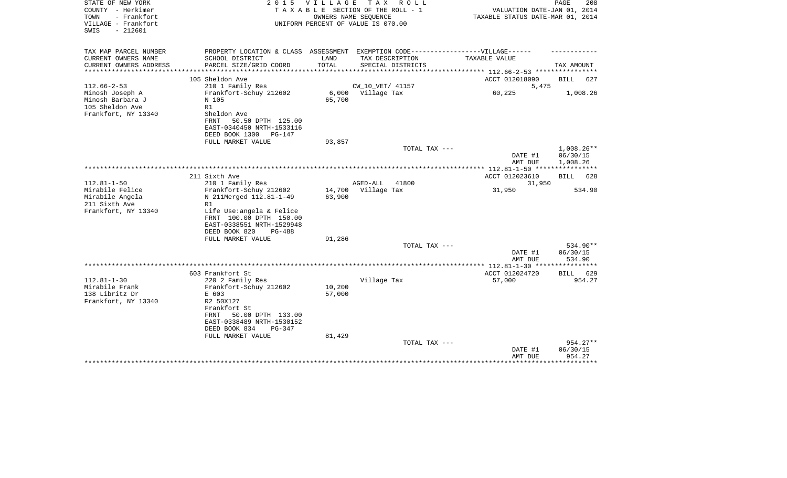| STATE OF NEW YORK<br>COUNTY - Herkimer<br>- Frankfort<br>TOWN<br>VILLAGE - Frankfort<br>SWIS<br>$-212601$ |                                                                                                                    | 2015 VILLAGE     | TAX ROLL<br>T A X A B L E SECTION OF THE ROLL - 1<br>OWNERS NAME SEOUENCE<br>UNIFORM PERCENT OF VALUE IS 070.00 | VALUATION DATE-JAN 01, 2014<br>TAXABLE STATUS DATE-MAR 01, 2014 | PAGE<br>208          |
|-----------------------------------------------------------------------------------------------------------|--------------------------------------------------------------------------------------------------------------------|------------------|-----------------------------------------------------------------------------------------------------------------|-----------------------------------------------------------------|----------------------|
| TAX MAP PARCEL NUMBER<br>CURRENT OWNERS NAME                                                              | PROPERTY LOCATION & CLASS ASSESSMENT EXEMPTION CODE----------------VILLAGE------<br>SCHOOL DISTRICT                | LAND             | TAX DESCRIPTION                                                                                                 | TAXABLE VALUE                                                   |                      |
| CURRENT OWNERS ADDRESS                                                                                    | PARCEL SIZE/GRID COORD                                                                                             | TOTAL            | SPECIAL DISTRICTS                                                                                               |                                                                 | TAX AMOUNT           |
| *************                                                                                             |                                                                                                                    |                  |                                                                                                                 | *********** 112.66-2-53 *********                               |                      |
| $112.66 - 2 - 53$                                                                                         | 105 Sheldon Ave<br>210 1 Family Res                                                                                |                  | CW_10_VET/ 41157                                                                                                | ACCT 012018090<br>5,475                                         | <b>BILL</b><br>627   |
| Minosh Joseph A<br>Minosh Barbara J<br>105 Sheldon Ave<br>Frankfort, NY 13340                             | Frankfort-Schuy 212602<br>N 105<br>R1<br>Sheldon Ave<br>FRNT<br>50.50 DPTH 125.00<br>EAST-0340450 NRTH-1533116     | 65,700           | 6,000 Village Tax                                                                                               | 60,225                                                          | 1,008.26             |
|                                                                                                           | DEED BOOK 1300<br>$PG-147$                                                                                         |                  |                                                                                                                 |                                                                 |                      |
|                                                                                                           | FULL MARKET VALUE                                                                                                  | 93,857           | TOTAL TAX ---                                                                                                   |                                                                 | $1,008.26**$         |
|                                                                                                           |                                                                                                                    |                  |                                                                                                                 | DATE #1<br>AMT DUE                                              | 06/30/15<br>1,008.26 |
|                                                                                                           |                                                                                                                    |                  |                                                                                                                 |                                                                 |                      |
| $112.81 - 1 - 50$                                                                                         | 211 Sixth Ave<br>210 1 Family Res                                                                                  |                  | AGED-ALL<br>41800                                                                                               | ACCT 012023610<br>31,950                                        | 628<br>BILL          |
| Mirabile Felice<br>Mirabile Angela<br>211 Sixth Ave                                                       | Frankfort-Schuy 212602<br>N 211Merged 112.81-1-49<br>R1                                                            | 14,700<br>63,900 | Village Tax                                                                                                     | 31,950                                                          | 534.90               |
| Frankfort, NY 13340                                                                                       | Life Use:angela & Felice<br>FRNT 100.00 DPTH 150.00<br>EAST-0338551 NRTH-1529948<br>DEED BOOK 820<br><b>PG-488</b> |                  |                                                                                                                 |                                                                 |                      |
|                                                                                                           | FULL MARKET VALUE                                                                                                  | 91,286           | TOTAL TAX ---                                                                                                   |                                                                 | 534.90**             |
|                                                                                                           |                                                                                                                    |                  |                                                                                                                 | DATE #1<br>AMT DUE                                              | 06/30/15<br>534.90   |
|                                                                                                           |                                                                                                                    |                  |                                                                                                                 | ************* 112.81-1-30 *****************                     |                      |
|                                                                                                           | 603 Frankfort St                                                                                                   |                  |                                                                                                                 | ACCT 012024720                                                  | <b>BILL</b><br>629   |
| $112.81 - 1 - 30$<br>Mirabile Frank                                                                       | 220 2 Family Res<br>Frankfort-Schuy 212602                                                                         | 10,200           | Village Tax                                                                                                     | 57,000                                                          | 954.27               |
| 138 Libritz Dr                                                                                            | E 603                                                                                                              | 57,000           |                                                                                                                 |                                                                 |                      |
| Frankfort, NY 13340                                                                                       | R2 50X127<br>Frankfort St<br>50.00 DPTH 133.00<br>FRNT<br>EAST-0338489 NRTH-1530152<br>DEED BOOK 834<br>$PG-347$   |                  |                                                                                                                 |                                                                 |                      |
|                                                                                                           | FULL MARKET VALUE                                                                                                  | 81,429           | TOTAL TAX ---                                                                                                   |                                                                 | $954.27**$           |
|                                                                                                           |                                                                                                                    |                  |                                                                                                                 | DATE #1<br>AMT DUE                                              | 06/30/15<br>954.27   |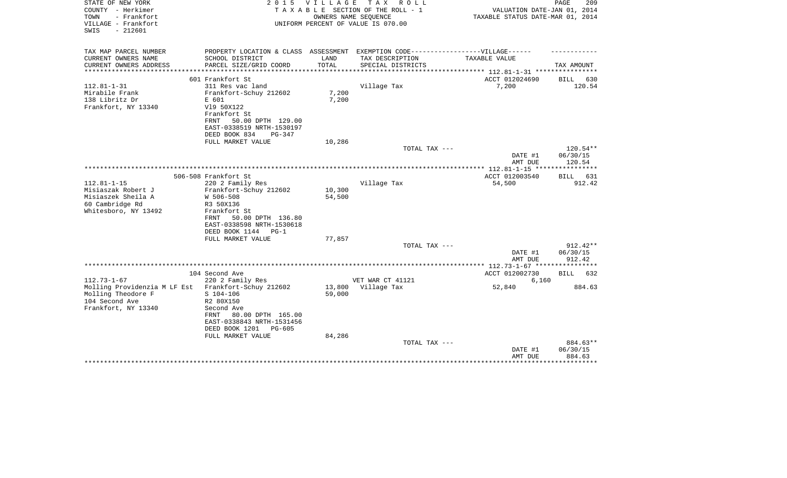| STATE OF NEW YORK<br>COUNTY - Herkimer<br>TOWN<br>- Frankfort | 2 0 1 5                                                | V I L L A G E | T A X<br>R O L L<br>TAXABLE SECTION OF THE ROLL - 1<br>OWNERS NAME SEQUENCE | VALUATION DATE-JAN 01, 2014<br>TAXABLE STATUS DATE-MAR 01, 2014 | PAGE<br>209                  |
|---------------------------------------------------------------|--------------------------------------------------------|---------------|-----------------------------------------------------------------------------|-----------------------------------------------------------------|------------------------------|
| VILLAGE - Frankfort<br>$-212601$<br>SWIS                      |                                                        |               | UNIFORM PERCENT OF VALUE IS 070.00                                          |                                                                 |                              |
| TAX MAP PARCEL NUMBER                                         | PROPERTY LOCATION & CLASS ASSESSMENT                   |               | EXEMPTION CODE------------------VILLAGE------                               |                                                                 |                              |
| CURRENT OWNERS NAME                                           | SCHOOL DISTRICT                                        | LAND          | TAX DESCRIPTION                                                             | TAXABLE VALUE                                                   |                              |
| CURRENT OWNERS ADDRESS<br>********************                | PARCEL SIZE/GRID COORD                                 | TOTAL         | SPECIAL DISTRICTS                                                           | ***************** 112.81-1-31 *****************                 | TAX AMOUNT                   |
|                                                               | 601 Frankfort St                                       |               |                                                                             | ACCT 012024690                                                  | BILL<br>630                  |
| $112.81 - 1 - 31$                                             | 311 Res vac land                                       |               | Village Tax                                                                 | 7,200                                                           | 120.54                       |
| Mirabile Frank                                                | Frankfort-Schuy 212602                                 | 7,200         |                                                                             |                                                                 |                              |
| 138 Libritz Dr                                                | E 601                                                  | 7,200         |                                                                             |                                                                 |                              |
| Frankfort, NY 13340                                           | V19 50X122                                             |               |                                                                             |                                                                 |                              |
|                                                               | Frankfort St                                           |               |                                                                             |                                                                 |                              |
|                                                               | 50.00 DPTH 129.00<br>FRNT                              |               |                                                                             |                                                                 |                              |
|                                                               | EAST-0338519 NRTH-1530197<br>DEED BOOK 834<br>$PG-347$ |               |                                                                             |                                                                 |                              |
|                                                               | FULL MARKET VALUE                                      | 10,286        |                                                                             |                                                                 |                              |
|                                                               |                                                        |               | TOTAL TAX ---                                                               |                                                                 | 120.54**                     |
|                                                               |                                                        |               |                                                                             | DATE #1                                                         | 06/30/15                     |
|                                                               |                                                        |               |                                                                             | AMT DUE                                                         | 120.54                       |
|                                                               |                                                        |               |                                                                             |                                                                 |                              |
| $112.81 - 1 - 15$                                             | 506-508 Frankfort St<br>220 2 Family Res               |               | Village Tax                                                                 | ACCT 012003540<br>54,500                                        | 631<br><b>BILL</b><br>912.42 |
| Misiaszak Robert J                                            | Frankfort-Schuy 212602                                 | 10,300        |                                                                             |                                                                 |                              |
| Misiaszek Sheila A                                            | W 506-508                                              | 54,500        |                                                                             |                                                                 |                              |
| 60 Cambridge Rd                                               | R3 50X136                                              |               |                                                                             |                                                                 |                              |
| Whitesboro, NY 13492                                          | Frankfort St                                           |               |                                                                             |                                                                 |                              |
|                                                               | 50.00 DPTH 136.80<br>FRNT                              |               |                                                                             |                                                                 |                              |
|                                                               | EAST-0338598 NRTH-1530618                              |               |                                                                             |                                                                 |                              |
|                                                               | DEED BOOK 1144<br>$PG-1$                               |               |                                                                             |                                                                 |                              |
|                                                               | FULL MARKET VALUE                                      | 77,857        | TOTAL TAX ---                                                               |                                                                 | $912.42**$                   |
|                                                               |                                                        |               |                                                                             | DATE #1                                                         | 06/30/15                     |
|                                                               |                                                        |               |                                                                             | AMT DUE                                                         | 912.42                       |
|                                                               |                                                        |               |                                                                             | ************ 112.73-1-67 *****************                      |                              |
|                                                               | 104 Second Ave                                         |               |                                                                             | ACCT 012002730                                                  | <b>BILL</b><br>632           |
| $112.73 - 1 - 67$                                             | 220 2 Family Res                                       |               | VET WAR CT 41121                                                            | 6,160                                                           |                              |
| Molling Providenzia M LF Est                                  | Frankfort-Schuy 212602                                 | 13,800        | Village Tax                                                                 | 52,840                                                          | 884.63                       |
| Molling Theodore F<br>104 Second Ave                          | $S$ 104-106<br>R2 80X150                               | 59,000        |                                                                             |                                                                 |                              |
| Frankfort, NY 13340                                           | Second Ave                                             |               |                                                                             |                                                                 |                              |
|                                                               | 80.00 DPTH 165.00<br>FRNT                              |               |                                                                             |                                                                 |                              |
|                                                               | EAST-0338843 NRTH-1531456                              |               |                                                                             |                                                                 |                              |
|                                                               | DEED BOOK 1201<br>PG-605                               |               |                                                                             |                                                                 |                              |
|                                                               | FULL MARKET VALUE                                      | 84,286        |                                                                             |                                                                 |                              |
|                                                               |                                                        |               | TOTAL TAX ---                                                               |                                                                 | 884.63**                     |
|                                                               |                                                        |               |                                                                             | DATE #1                                                         | 06/30/15                     |
|                                                               |                                                        |               |                                                                             | AMT DUE                                                         | 884.63                       |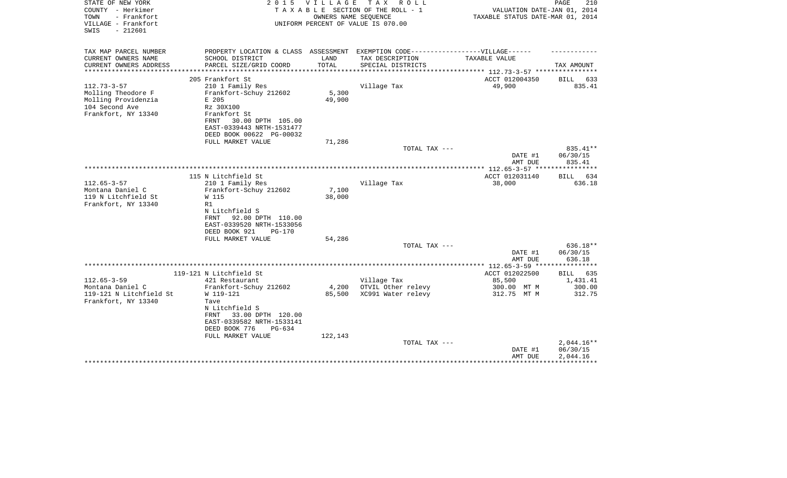| STATE OF NEW YORK<br>COUNTY - Herkimer<br>- Frankfort<br>TOWN<br>VILLAGE - Frankfort<br>$-212601$<br>SWIS | 2 0 1 5                                                                          | VILLAGE | TAX ROLL<br>TAXABLE SECTION OF THE ROLL - 1<br>OWNERS NAME SEQUENCE<br>UNIFORM PERCENT OF VALUE IS 070.00 | VALUATION DATE-JAN 01, 2014<br>TAXABLE STATUS DATE-MAR 01, 2014 | 210<br>PAGE          |
|-----------------------------------------------------------------------------------------------------------|----------------------------------------------------------------------------------|---------|-----------------------------------------------------------------------------------------------------------|-----------------------------------------------------------------|----------------------|
| TAX MAP PARCEL NUMBER                                                                                     | PROPERTY LOCATION & CLASS ASSESSMENT EXEMPTION CODE----------------VILLAGE------ |         |                                                                                                           |                                                                 |                      |
| CURRENT OWNERS NAME                                                                                       | SCHOOL DISTRICT                                                                  | LAND    | TAX DESCRIPTION                                                                                           | TAXABLE VALUE                                                   |                      |
| CURRENT OWNERS ADDRESS<br>**********************                                                          | PARCEL SIZE/GRID COORD                                                           | TOTAL   | SPECIAL DISTRICTS                                                                                         |                                                                 | TAX AMOUNT           |
|                                                                                                           | 205 Frankfort St                                                                 |         |                                                                                                           | ACCT 012004350                                                  | <b>BILL</b><br>633   |
| $112.73 - 3 - 57$                                                                                         | 210 1 Family Res                                                                 |         | Village Tax                                                                                               | 49,900                                                          | 835.41               |
| Molling Theodore F                                                                                        | Frankfort-Schuy 212602                                                           | 5,300   |                                                                                                           |                                                                 |                      |
| Molling Providenzia                                                                                       | E 205                                                                            | 49,900  |                                                                                                           |                                                                 |                      |
| 104 Second Ave                                                                                            | Rz 30X100                                                                        |         |                                                                                                           |                                                                 |                      |
| Frankfort, NY 13340                                                                                       | Frankfort St                                                                     |         |                                                                                                           |                                                                 |                      |
|                                                                                                           | 30.00 DPTH 105.00<br>FRNT                                                        |         |                                                                                                           |                                                                 |                      |
|                                                                                                           | EAST-0339443 NRTH-1531477                                                        |         |                                                                                                           |                                                                 |                      |
|                                                                                                           | DEED BOOK 00622 PG-00032                                                         |         |                                                                                                           |                                                                 |                      |
|                                                                                                           | FULL MARKET VALUE                                                                | 71,286  |                                                                                                           |                                                                 |                      |
|                                                                                                           |                                                                                  |         | TOTAL TAX ---                                                                                             | DATE #1                                                         | 835.41**<br>06/30/15 |
|                                                                                                           |                                                                                  |         |                                                                                                           | AMT DUE                                                         | 835.41               |
|                                                                                                           |                                                                                  |         |                                                                                                           |                                                                 |                      |
|                                                                                                           | 115 N Litchfield St                                                              |         |                                                                                                           | ACCT 012031140                                                  | BILL 634             |
| $112.65 - 3 - 57$                                                                                         | 210 1 Family Res                                                                 |         | Village Tax                                                                                               | 38,000                                                          | 636.18               |
| Montana Daniel C                                                                                          | Frankfort-Schuy 212602                                                           | 7,100   |                                                                                                           |                                                                 |                      |
| 119 N Litchfield St                                                                                       | W 115                                                                            | 38,000  |                                                                                                           |                                                                 |                      |
| Frankfort, NY 13340                                                                                       | R1                                                                               |         |                                                                                                           |                                                                 |                      |
|                                                                                                           | N Litchfield S                                                                   |         |                                                                                                           |                                                                 |                      |
|                                                                                                           | 92.00 DPTH 110.00<br>FRNT                                                        |         |                                                                                                           |                                                                 |                      |
|                                                                                                           | EAST-0339520 NRTH-1533056                                                        |         |                                                                                                           |                                                                 |                      |
|                                                                                                           | DEED BOOK 921<br><b>PG-170</b>                                                   |         |                                                                                                           |                                                                 |                      |
|                                                                                                           | FULL MARKET VALUE                                                                | 54,286  | TOTAL TAX ---                                                                                             |                                                                 | 636.18**             |
|                                                                                                           |                                                                                  |         |                                                                                                           | DATE #1                                                         | 06/30/15             |
|                                                                                                           |                                                                                  |         |                                                                                                           | AMT DUE                                                         | 636.18               |
|                                                                                                           |                                                                                  |         |                                                                                                           |                                                                 |                      |
|                                                                                                           | 119-121 N Litchfield St                                                          |         |                                                                                                           | ACCT 012022500                                                  | BILL 635             |
| $112.65 - 3 - 59$                                                                                         | 421 Restaurant                                                                   |         | Village Tax                                                                                               | 85,500                                                          | 1,431.41             |
| Montana Daniel C                                                                                          | Frankfort-Schuy 212602                                                           | 4,200   | OTVIL Other relevy                                                                                        | 300.00 MT M                                                     | 300.00               |
| 119-121 N Litchfield St                                                                                   | W 119-121                                                                        | 85,500  | XC991 Water relevy                                                                                        | 312.75 MT M                                                     | 312.75               |
| Frankfort, NY 13340                                                                                       | Tave                                                                             |         |                                                                                                           |                                                                 |                      |
|                                                                                                           | N Litchfield S                                                                   |         |                                                                                                           |                                                                 |                      |
|                                                                                                           | 33.00 DPTH 120.00<br>FRNT                                                        |         |                                                                                                           |                                                                 |                      |
|                                                                                                           | EAST-0339582 NRTH-1533141                                                        |         |                                                                                                           |                                                                 |                      |
|                                                                                                           | DEED BOOK 776<br>$PG-634$<br>FULL MARKET VALUE                                   | 122,143 |                                                                                                           |                                                                 |                      |
|                                                                                                           |                                                                                  |         | TOTAL TAX ---                                                                                             |                                                                 | $2,044.16**$         |
|                                                                                                           |                                                                                  |         |                                                                                                           | DATE #1                                                         | 06/30/15             |
|                                                                                                           |                                                                                  |         |                                                                                                           | AMT DUE                                                         | 2,044.16             |
|                                                                                                           |                                                                                  |         |                                                                                                           |                                                                 |                      |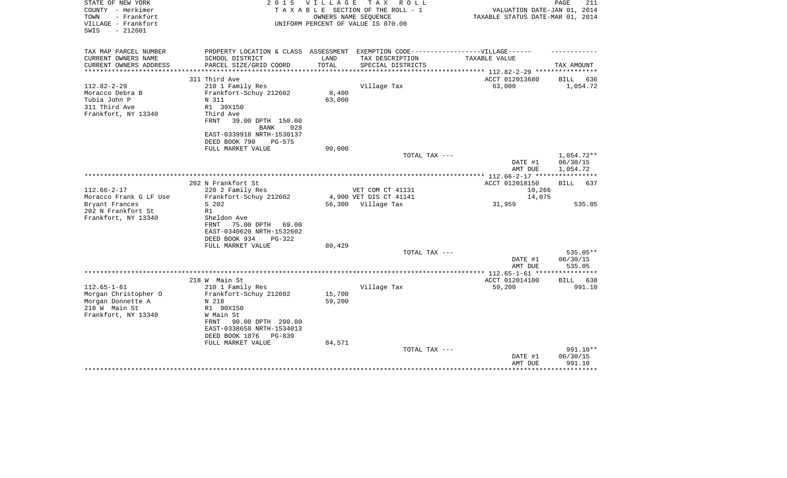| STATE OF NEW YORK<br>COUNTY - Herkimer<br>- Frankfort<br>TOWN<br>VILLAGE - Frankfort<br>$-212601$<br>SWIS | 2 0 1 5                                                                                                 | <b>VILLAGE</b> | TAX ROLL<br>TAXABLE SECTION OF THE ROLL - 1<br>OWNERS NAME SEQUENCE<br>UNIFORM PERCENT OF VALUE IS 070.00 | VALUATION DATE-JAN 01, 2014<br>TAXABLE STATUS DATE-MAR 01, 2014 | PAGE<br>211                        |
|-----------------------------------------------------------------------------------------------------------|---------------------------------------------------------------------------------------------------------|----------------|-----------------------------------------------------------------------------------------------------------|-----------------------------------------------------------------|------------------------------------|
| TAX MAP PARCEL NUMBER                                                                                     | PROPERTY LOCATION & CLASS ASSESSMENT EXEMPTION CODE----------------VILLAGE------                        |                |                                                                                                           |                                                                 |                                    |
| CURRENT OWNERS NAME<br>CURRENT OWNERS ADDRESS<br>*********************                                    | SCHOOL DISTRICT<br>PARCEL SIZE/GRID COORD                                                               | LAND<br>TOTAL  | TAX DESCRIPTION<br>SPECIAL DISTRICTS                                                                      | TAXABLE VALUE                                                   | TAX AMOUNT                         |
|                                                                                                           |                                                                                                         |                |                                                                                                           |                                                                 |                                    |
| $112.82 - 2 - 29$                                                                                         | 311 Third Ave<br>210 1 Family Res                                                                       |                | Village Tax                                                                                               | ACCT 012013680<br>63,000                                        | BILL<br>636<br>1,054.72            |
| Moracco Debra B                                                                                           | Frankfort-Schuy 212602                                                                                  | 8,400          |                                                                                                           |                                                                 |                                    |
| Tubia John P                                                                                              | N 311                                                                                                   | 63,000         |                                                                                                           |                                                                 |                                    |
| 311 Third Ave                                                                                             | R1 39X150                                                                                               |                |                                                                                                           |                                                                 |                                    |
| Frankfort, NY 13340                                                                                       | Third Ave<br>FRNT<br>39.00 DPTH 150.00<br><b>BANK</b><br>028                                            |                |                                                                                                           |                                                                 |                                    |
|                                                                                                           | EAST-0339918 NRTH-1530137<br>DEED BOOK 790<br><b>PG-575</b>                                             |                |                                                                                                           |                                                                 |                                    |
|                                                                                                           | FULL MARKET VALUE                                                                                       | 90,000         |                                                                                                           |                                                                 |                                    |
|                                                                                                           |                                                                                                         |                | TOTAL TAX ---                                                                                             | DATE #1<br>AMT DUE                                              | 1,054.72**<br>06/30/15<br>1,054.72 |
|                                                                                                           |                                                                                                         |                |                                                                                                           | ************ 112.66-2-17 *****************                      |                                    |
|                                                                                                           | 202 N Frankfort St                                                                                      |                |                                                                                                           | ACCT 012018150                                                  | <b>BILL</b><br>637                 |
| $112.66 - 2 - 17$                                                                                         | 220 2 Family Res                                                                                        |                | VET COM CT 41131                                                                                          | 10,266                                                          |                                    |
| Moracco Frank G LF Use                                                                                    | Frankfort-Schuy 212602                                                                                  |                | 4,900 VET DIS CT 41141                                                                                    | 14,075                                                          |                                    |
| Bryant Frances                                                                                            | S 202                                                                                                   |                | 56,300 Village Tax                                                                                        | 31,959                                                          | 535.05                             |
| 202 N Frankfort St<br>Frankfort, NY 13340                                                                 | R1<br>Sheldon Ave<br>75.00 DPTH 69.00<br>FRNT<br>EAST-0340620 NRTH-1532602<br>DEED BOOK 934<br>$PG-322$ |                |                                                                                                           |                                                                 |                                    |
|                                                                                                           | FULL MARKET VALUE                                                                                       | 80,429         |                                                                                                           |                                                                 |                                    |
|                                                                                                           |                                                                                                         |                | TOTAL TAX ---                                                                                             | DATE #1<br>AMT DUE                                              | 535.05**<br>06/30/15<br>535.05     |
|                                                                                                           |                                                                                                         |                |                                                                                                           |                                                                 |                                    |
|                                                                                                           | 218 W Main St                                                                                           |                |                                                                                                           | ACCT 012014100                                                  | BILL 638                           |
| $112.65 - 1 - 61$                                                                                         | 210 1 Family Res                                                                                        |                | Village Tax                                                                                               | 59,200                                                          | 991.10                             |
| Morgan Christopher O                                                                                      | Frankfort-Schuy 212602                                                                                  | 15,700         |                                                                                                           |                                                                 |                                    |
| Morgan Donnette A                                                                                         | N 218                                                                                                   | 59,200         |                                                                                                           |                                                                 |                                    |
| 218 W Main St                                                                                             | R1 90X150                                                                                               |                |                                                                                                           |                                                                 |                                    |
| Frankfort, NY 13340                                                                                       | W Main St<br>FRNT<br>90.00 DPTH 200.00<br>EAST-0338658 NRTH-1534013<br>DEED BOOK 1076<br>PG-839         |                |                                                                                                           |                                                                 |                                    |
|                                                                                                           | FULL MARKET VALUE                                                                                       | 84,571         |                                                                                                           |                                                                 |                                    |
|                                                                                                           |                                                                                                         |                | TOTAL TAX ---                                                                                             | DATE #1<br>AMT DUE                                              | 991.10**<br>06/30/15<br>991.10     |
|                                                                                                           |                                                                                                         |                |                                                                                                           | *******************************                                 |                                    |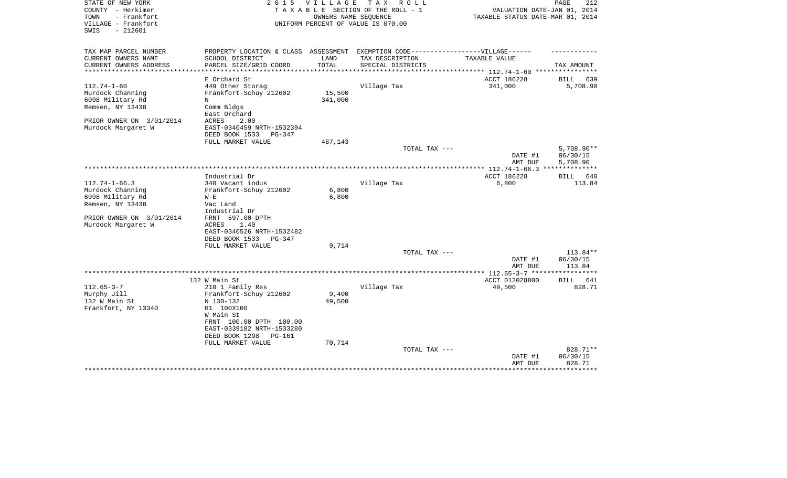| STATE OF NEW YORK<br>COUNTY - Herkimer<br>- Frankfort<br>TOWN | 2 0 1 5                                               | <b>VILLAGE</b><br>OWNERS NAME SEOUENCE | T A X<br>R O L L<br>TAXABLE SECTION OF THE ROLL - 1 | VALUATION DATE-JAN 01, 2014<br>TAXABLE STATUS DATE-MAR 01, 2014 | PAGE<br>212                          |
|---------------------------------------------------------------|-------------------------------------------------------|----------------------------------------|-----------------------------------------------------|-----------------------------------------------------------------|--------------------------------------|
| VILLAGE - Frankfort<br>$-212601$<br>SWIS                      |                                                       |                                        | UNIFORM PERCENT OF VALUE IS 070.00                  |                                                                 |                                      |
| TAX MAP PARCEL NUMBER                                         | PROPERTY LOCATION & CLASS ASSESSMENT                  |                                        | EXEMPTION CODE------------------VILLAGE------       |                                                                 |                                      |
| CURRENT OWNERS NAME                                           | SCHOOL DISTRICT                                       | LAND                                   | TAX DESCRIPTION                                     | TAXABLE VALUE                                                   |                                      |
| CURRENT OWNERS ADDRESS<br>*************************           | PARCEL SIZE/GRID COORD                                | TOTAL                                  | SPECIAL DISTRICTS                                   |                                                                 | TAX AMOUNT                           |
|                                                               | E Orchard St                                          |                                        |                                                     | ACCT 186228                                                     | 639<br>BILL                          |
| $112.74 - 1 - 60$                                             | 449 Other Storag                                      |                                        | Village Tax                                         | 341,000                                                         | 5,708.90                             |
| Murdock Channing                                              | Frankfort-Schuy 212602                                | 15,500                                 |                                                     |                                                                 |                                      |
| 6098 Military Rd                                              | N                                                     | 341,000                                |                                                     |                                                                 |                                      |
| Remsen, NY 13438                                              | Comm Bldgs<br>East Orchard                            |                                        |                                                     |                                                                 |                                      |
| PRIOR OWNER ON 3/01/2014                                      | ACRES<br>2.00                                         |                                        |                                                     |                                                                 |                                      |
| Murdock Margaret W                                            | EAST-0340459 NRTH-1532394<br>DEED BOOK 1533<br>PG-347 |                                        |                                                     |                                                                 |                                      |
|                                                               | FULL MARKET VALUE                                     | 487,143                                |                                                     |                                                                 |                                      |
|                                                               |                                                       |                                        | TOTAL TAX ---                                       | DATE #1<br>AMT DUE                                              | $5,708.90**$<br>06/30/15<br>5,708.90 |
|                                                               |                                                       |                                        |                                                     |                                                                 | ***********                          |
|                                                               | Industrial Dr                                         |                                        |                                                     | ACCT 186228                                                     | 640<br>BILL                          |
| $112.74 - 1 - 66.3$                                           | 340 Vacant indus                                      |                                        | Village Tax                                         | 6,800                                                           | 113.84                               |
| Murdock Channing                                              | Frankfort-Schuy 212602                                | 6,800                                  |                                                     |                                                                 |                                      |
| 6098 Military Rd                                              | $W - E$                                               | 6,800                                  |                                                     |                                                                 |                                      |
| Remsen, NY 13438                                              | Vac Land                                              |                                        |                                                     |                                                                 |                                      |
|                                                               | Industrial Dr                                         |                                        |                                                     |                                                                 |                                      |
| PRIOR OWNER ON 3/01/2014                                      | FRNT 597.00 DPTH                                      |                                        |                                                     |                                                                 |                                      |
| Murdock Margaret W                                            | 1.40<br>ACRES                                         |                                        |                                                     |                                                                 |                                      |
|                                                               | EAST-0340526 NRTH-1532482                             |                                        |                                                     |                                                                 |                                      |
|                                                               | DEED BOOK 1533<br>$PG-347$<br>FULL MARKET VALUE       | 9,714                                  |                                                     |                                                                 |                                      |
|                                                               |                                                       |                                        | TOTAL TAX ---                                       |                                                                 | 113.84**                             |
|                                                               |                                                       |                                        |                                                     | DATE #1                                                         | 06/30/15                             |
|                                                               |                                                       |                                        |                                                     | AMT DUE                                                         | 113.84                               |
|                                                               |                                                       |                                        |                                                     |                                                                 |                                      |
|                                                               | 132 W Main St                                         |                                        |                                                     | ACCT 012028800                                                  | 641<br>BILL                          |
| $112.65 - 3 - 7$                                              | 210 1 Family Res                                      |                                        | Village Tax                                         | 49,500                                                          | 828.71                               |
| Murphy Jill                                                   | Frankfort-Schuy 212602                                | 9,400                                  |                                                     |                                                                 |                                      |
| 132 W Main St                                                 | N 130-132                                             | 49,500                                 |                                                     |                                                                 |                                      |
| Frankfort, NY 13340                                           | R1 100X100                                            |                                        |                                                     |                                                                 |                                      |
|                                                               | W Main St                                             |                                        |                                                     |                                                                 |                                      |
|                                                               | FRNT 100.00 DPTH 100.00                               |                                        |                                                     |                                                                 |                                      |
|                                                               | EAST-0339182 NRTH-1533280                             |                                        |                                                     |                                                                 |                                      |
|                                                               | DEED BOOK 1298<br>PG-161<br>FULL MARKET VALUE         | 70,714                                 |                                                     |                                                                 |                                      |
|                                                               |                                                       |                                        | TOTAL TAX ---                                       |                                                                 | 828.71**                             |
|                                                               |                                                       |                                        |                                                     | DATE #1                                                         | 06/30/15                             |
|                                                               |                                                       |                                        |                                                     | AMT DUE                                                         | 828.71                               |
|                                                               |                                                       |                                        |                                                     |                                                                 |                                      |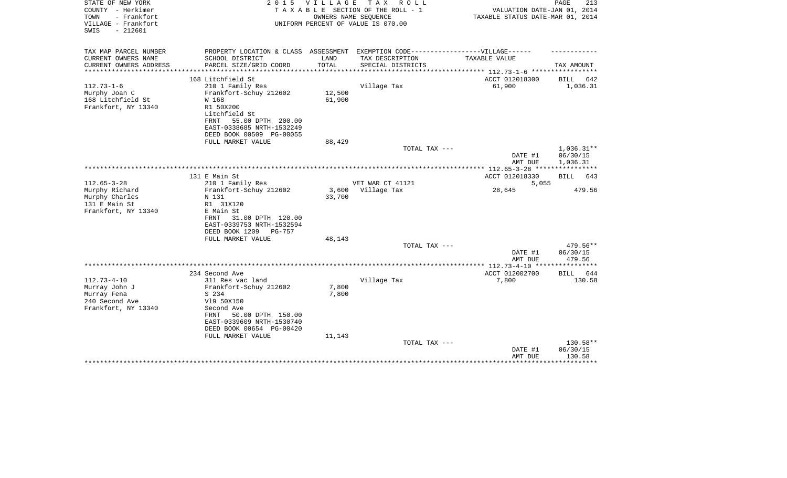| STATE OF NEW YORK<br>COUNTY - Herkimer<br>TOWN<br>- Frankfort<br>VILLAGE - Frankfort<br>$-212601$<br>SWIS | 2 0 1 5                              | V I L L A G E | T A X<br>R O L L<br>TAXABLE SECTION OF THE ROLL - 1<br>OWNERS NAME SEQUENCE<br>UNIFORM PERCENT OF VALUE IS 070.00 | VALUATION DATE-JAN 01, 2014<br>TAXABLE STATUS DATE-MAR 01, 2014 | PAGE<br>213          |
|-----------------------------------------------------------------------------------------------------------|--------------------------------------|---------------|-------------------------------------------------------------------------------------------------------------------|-----------------------------------------------------------------|----------------------|
|                                                                                                           |                                      |               |                                                                                                                   |                                                                 |                      |
| TAX MAP PARCEL NUMBER                                                                                     | PROPERTY LOCATION & CLASS ASSESSMENT |               | EXEMPTION CODE------------------VILLAGE------                                                                     |                                                                 |                      |
| CURRENT OWNERS NAME                                                                                       | SCHOOL DISTRICT                      | LAND          | TAX DESCRIPTION                                                                                                   | TAXABLE VALUE                                                   |                      |
| CURRENT OWNERS ADDRESS<br>*********************                                                           | PARCEL SIZE/GRID COORD               | TOTAL         | SPECIAL DISTRICTS                                                                                                 | **************************** 112.73-1-6 *****************       | TAX AMOUNT           |
|                                                                                                           | 168 Litchfield St                    |               |                                                                                                                   | ACCT 012018300                                                  | BILL<br>642          |
| $112.73 - 1 - 6$                                                                                          | 210 1 Family Res                     |               | Village Tax                                                                                                       | 61,900                                                          | 1,036.31             |
| Murphy Joan C                                                                                             | Frankfort-Schuy 212602               | 12,500        |                                                                                                                   |                                                                 |                      |
| 168 Litchfield St                                                                                         | W 168                                | 61,900        |                                                                                                                   |                                                                 |                      |
| Frankfort, NY 13340                                                                                       | R1 50X200<br>Litchfield St           |               |                                                                                                                   |                                                                 |                      |
|                                                                                                           | 55.00 DPTH 200.00<br>FRNT            |               |                                                                                                                   |                                                                 |                      |
|                                                                                                           | EAST-0338685 NRTH-1532249            |               |                                                                                                                   |                                                                 |                      |
|                                                                                                           | DEED BOOK 00509 PG-00055             |               |                                                                                                                   |                                                                 |                      |
|                                                                                                           | FULL MARKET VALUE                    | 88,429        |                                                                                                                   |                                                                 |                      |
|                                                                                                           |                                      |               | TOTAL TAX ---                                                                                                     |                                                                 | 1,036.31**           |
|                                                                                                           |                                      |               |                                                                                                                   | DATE #1<br>AMT DUE                                              | 06/30/15<br>1,036.31 |
|                                                                                                           |                                      |               |                                                                                                                   |                                                                 |                      |
|                                                                                                           | 131 E Main St                        |               |                                                                                                                   | ACCT 012018330                                                  | BILL<br>643          |
| $112.65 - 3 - 28$                                                                                         | 210 1 Family Res                     |               | VET WAR CT 41121                                                                                                  | 5,055                                                           |                      |
| Murphy Richard                                                                                            | Frankfort-Schuy 212602               | 3,600         | Village Tax                                                                                                       | 28,645                                                          | 479.56               |
| Murphy Charles                                                                                            | N 131                                | 33,700        |                                                                                                                   |                                                                 |                      |
| 131 E Main St<br>Frankfort, NY 13340                                                                      | R1 31X120<br>E Main St               |               |                                                                                                                   |                                                                 |                      |
|                                                                                                           | 31.00 DPTH 120.00<br>FRNT            |               |                                                                                                                   |                                                                 |                      |
|                                                                                                           | EAST-0339753 NRTH-1532594            |               |                                                                                                                   |                                                                 |                      |
|                                                                                                           | DEED BOOK 1209<br>PG-757             |               |                                                                                                                   |                                                                 |                      |
|                                                                                                           | FULL MARKET VALUE                    | 48,143        |                                                                                                                   |                                                                 |                      |
|                                                                                                           |                                      |               | TOTAL TAX ---                                                                                                     |                                                                 | 479.56**             |
|                                                                                                           |                                      |               |                                                                                                                   | DATE #1<br>AMT DUE                                              | 06/30/15<br>479.56   |
|                                                                                                           |                                      |               |                                                                                                                   | ************** 112.73-4-10 *****************                    |                      |
|                                                                                                           | 234 Second Ave                       |               |                                                                                                                   | ACCT 012002700                                                  | <b>BILL</b><br>644   |
| $112.73 - 4 - 10$                                                                                         | 311 Res vac land                     |               | Village Tax                                                                                                       | 7,800                                                           | 130.58               |
| Murray John J                                                                                             | Frankfort-Schuy 212602               | 7,800         |                                                                                                                   |                                                                 |                      |
| Murray Fena                                                                                               | S 234                                | 7,800         |                                                                                                                   |                                                                 |                      |
| 240 Second Ave<br>Frankfort, NY 13340                                                                     | V19 50X150<br>Second Ave             |               |                                                                                                                   |                                                                 |                      |
|                                                                                                           | 50.00 DPTH 150.00<br>FRNT            |               |                                                                                                                   |                                                                 |                      |
|                                                                                                           | EAST-0339609 NRTH-1530740            |               |                                                                                                                   |                                                                 |                      |
|                                                                                                           | DEED BOOK 00654 PG-00420             |               |                                                                                                                   |                                                                 |                      |
|                                                                                                           | FULL MARKET VALUE                    | 11,143        |                                                                                                                   |                                                                 |                      |
|                                                                                                           |                                      |               | TOTAL TAX ---                                                                                                     | DATE #1                                                         | 130.58**<br>06/30/15 |
|                                                                                                           |                                      |               |                                                                                                                   | AMT DUE                                                         | 130.58               |
|                                                                                                           |                                      |               |                                                                                                                   |                                                                 |                      |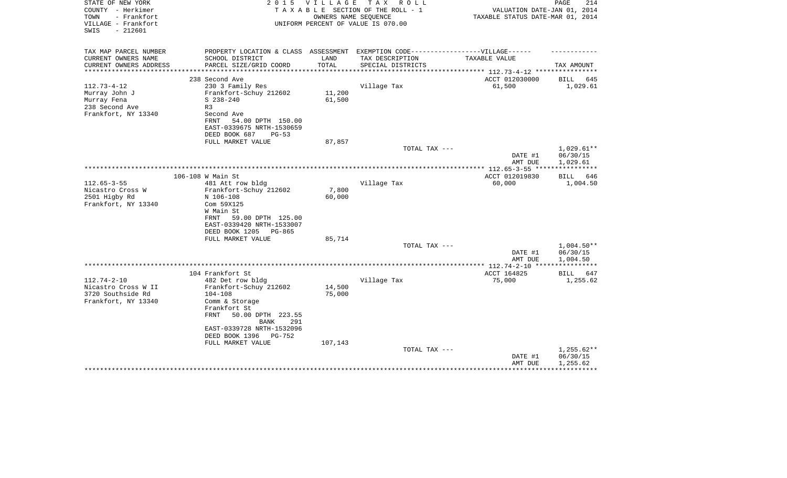| STATE OF NEW YORK<br>COUNTY - Herkimer                          | 2 0 1 5                                                                           | V I L L A G E | TAX ROLL<br>TAXABLE SECTION OF THE ROLL - 1                | VALUATION DATE-JAN 01, 2014                | 214<br>PAGE                          |
|-----------------------------------------------------------------|-----------------------------------------------------------------------------------|---------------|------------------------------------------------------------|--------------------------------------------|--------------------------------------|
| - Frankfort<br>TOWN<br>VILLAGE - Frankfort<br>SWIS<br>$-212601$ |                                                                                   |               | OWNERS NAME SEQUENCE<br>UNIFORM PERCENT OF VALUE IS 070.00 | TAXABLE STATUS DATE-MAR 01, 2014           |                                      |
| TAX MAP PARCEL NUMBER                                           | PROPERTY LOCATION & CLASS ASSESSMENT EXEMPTION CODE-----------------VILLAGE------ |               |                                                            |                                            |                                      |
| CURRENT OWNERS NAME<br>CURRENT OWNERS ADDRESS                   | SCHOOL DISTRICT<br>PARCEL SIZE/GRID COORD                                         | LAND<br>TOTAL | TAX DESCRIPTION<br>SPECIAL DISTRICTS                       | TAXABLE VALUE                              | TAX AMOUNT                           |
|                                                                 |                                                                                   | ************  |                                                            | ******************* 112.73-4-12 ********** |                                      |
| $112.73 - 4 - 12$                                               | 238 Second Ave<br>230 3 Family Res                                                |               | Village Tax                                                | ACCT 012030000<br>61,500                   | 645<br>BILL<br>1,029.61              |
| Murray John J                                                   | Frankfort-Schuy 212602                                                            | 11,200        |                                                            |                                            |                                      |
| Murray Fena                                                     | $S$ 238-240                                                                       | 61,500        |                                                            |                                            |                                      |
| 238 Second Ave                                                  | R3                                                                                |               |                                                            |                                            |                                      |
| Frankfort, NY 13340                                             | Second Ave<br>FRNT<br>54.00 DPTH 150.00<br>EAST-0339675 NRTH-1530659              |               |                                                            |                                            |                                      |
|                                                                 | DEED BOOK 687<br>$PG-53$                                                          |               |                                                            |                                            |                                      |
|                                                                 | FULL MARKET VALUE                                                                 | 87,857        |                                                            |                                            |                                      |
|                                                                 |                                                                                   |               | TOTAL TAX ---                                              | DATE #1<br>AMT DUE                         | $1,029.61**$<br>06/30/15<br>1,029.61 |
|                                                                 |                                                                                   |               |                                                            |                                            |                                      |
|                                                                 | 106-108 W Main St                                                                 |               |                                                            | ACCT 012019830                             | BILL<br>646                          |
| $112.65 - 3 - 55$                                               | 481 Att row bldg                                                                  |               | Village Tax                                                | 60,000                                     | 1,004.50                             |
| Nicastro Cross W<br>2501 Higby Rd                               | Frankfort-Schuy 212602                                                            | 7,800         |                                                            |                                            |                                      |
| Frankfort, NY 13340                                             | N 106-108<br>Com 59X125                                                           | 60,000        |                                                            |                                            |                                      |
|                                                                 | W Main St                                                                         |               |                                                            |                                            |                                      |
|                                                                 | FRNT<br>59.00 DPTH 125.00                                                         |               |                                                            |                                            |                                      |
|                                                                 | EAST-0339420 NRTH-1533007                                                         |               |                                                            |                                            |                                      |
|                                                                 | DEED BOOK 1205<br>PG-865                                                          |               |                                                            |                                            |                                      |
|                                                                 | FULL MARKET VALUE                                                                 | 85,714        |                                                            |                                            | $1,004.50**$                         |
|                                                                 |                                                                                   |               | TOTAL TAX ---                                              | DATE #1                                    | 06/30/15                             |
|                                                                 |                                                                                   |               |                                                            | AMT DUE                                    | 1,004.50                             |
|                                                                 |                                                                                   |               |                                                            | ***** 112.74-2-10 ***                      | * * * * * * * * * * * *              |
|                                                                 | 104 Frankfort St                                                                  |               |                                                            | ACCT 164825                                | BILL 647                             |
| $112.74 - 2 - 10$                                               | 482 Det row bldg                                                                  |               | Village Tax                                                | 75,000                                     | 1,255.62                             |
| Nicastro Cross W II                                             | Frankfort-Schuy 212602                                                            | 14,500        |                                                            |                                            |                                      |
| 3720 Southside Rd<br>Frankfort, NY 13340                        | $104 - 108$<br>Comm & Storage                                                     | 75,000        |                                                            |                                            |                                      |
|                                                                 | Frankfort St                                                                      |               |                                                            |                                            |                                      |
|                                                                 | <b>FRNT</b><br>50.00 DPTH 223.55                                                  |               |                                                            |                                            |                                      |
|                                                                 | <b>BANK</b><br>291                                                                |               |                                                            |                                            |                                      |
|                                                                 | EAST-0339728 NRTH-1532096                                                         |               |                                                            |                                            |                                      |
|                                                                 | DEED BOOK 1396 PG-752                                                             |               |                                                            |                                            |                                      |
|                                                                 | FULL MARKET VALUE                                                                 | 107,143       |                                                            |                                            | $1,255.62**$                         |
|                                                                 |                                                                                   |               | TOTAL TAX ---                                              | DATE #1                                    | 06/30/15                             |
|                                                                 |                                                                                   |               |                                                            | AMT DUE                                    | 1,255.62                             |
|                                                                 |                                                                                   |               |                                                            |                                            |                                      |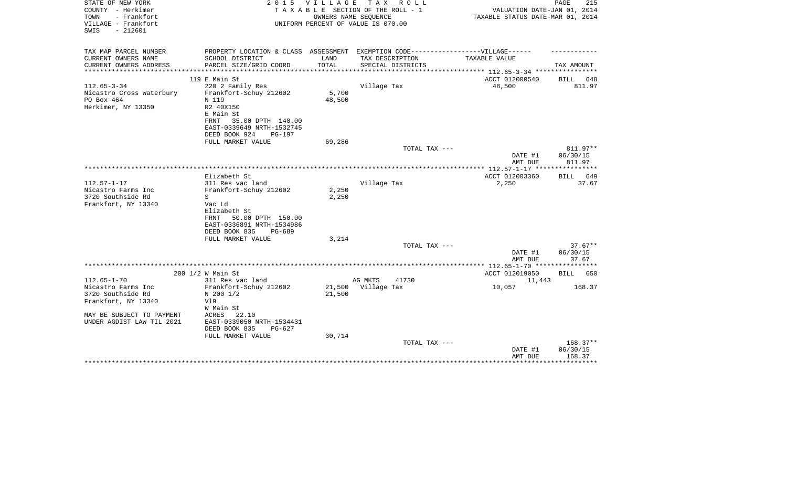| STATE OF NEW YORK<br>COUNTY - Herkimer                          | 2 0 1 5                                                                          | V I L L A G E | TAX ROLL<br>TAXABLE SECTION OF THE ROLL - 1                | VALUATION DATE-JAN 01, 2014                    | PAGE<br>215        |
|-----------------------------------------------------------------|----------------------------------------------------------------------------------|---------------|------------------------------------------------------------|------------------------------------------------|--------------------|
| TOWN<br>- Frankfort<br>VILLAGE - Frankfort<br>$-212601$<br>SWIS |                                                                                  |               | OWNERS NAME SEQUENCE<br>UNIFORM PERCENT OF VALUE IS 070.00 | TAXABLE STATUS DATE-MAR 01, 2014               |                    |
|                                                                 |                                                                                  |               |                                                            |                                                |                    |
| TAX MAP PARCEL NUMBER                                           | PROPERTY LOCATION & CLASS ASSESSMENT EXEMPTION CODE----------------VILLAGE------ |               |                                                            |                                                |                    |
| CURRENT OWNERS NAME                                             | SCHOOL DISTRICT                                                                  | LAND          | TAX DESCRIPTION                                            | TAXABLE VALUE                                  |                    |
| CURRENT OWNERS ADDRESS<br>*********************                 | PARCEL SIZE/GRID COORD                                                           | TOTAL         | SPECIAL DISTRICTS                                          | **************** 112.65-3-34 ***************** | TAX AMOUNT         |
|                                                                 | 119 E Main St                                                                    |               |                                                            | ACCT 012000540                                 | BILL<br>648        |
| $112.65 - 3 - 34$                                               | 220 2 Family Res                                                                 |               | Village Tax                                                | 48,500                                         | 811.97             |
| Nicastro Cross Waterbury                                        | Frankfort-Schuy 212602                                                           | 5,700         |                                                            |                                                |                    |
| PO Box 464                                                      | N 119                                                                            | 48,500        |                                                            |                                                |                    |
| Herkimer, NY 13350                                              | R2 40X150<br>E Main St                                                           |               |                                                            |                                                |                    |
|                                                                 | 35.00 DPTH 140.00<br>FRNT                                                        |               |                                                            |                                                |                    |
|                                                                 | EAST-0339649 NRTH-1532745                                                        |               |                                                            |                                                |                    |
|                                                                 | DEED BOOK 924<br><b>PG-197</b>                                                   |               |                                                            |                                                |                    |
|                                                                 | FULL MARKET VALUE                                                                | 69,286        |                                                            |                                                |                    |
|                                                                 |                                                                                  |               | TOTAL TAX ---                                              |                                                | 811.97**           |
|                                                                 |                                                                                  |               |                                                            | DATE #1<br>AMT DUE                             | 06/30/15<br>811.97 |
|                                                                 |                                                                                  |               |                                                            |                                                |                    |
|                                                                 | Elizabeth St                                                                     |               |                                                            | ACCT 012003360                                 | BILL<br>649        |
| $112.57 - 1 - 17$                                               | 311 Res vac land                                                                 |               | Village Tax                                                | 2,250                                          | 37.67              |
| Nicastro Farms Inc                                              | Frankfort-Schuy 212602                                                           | 2,250         |                                                            |                                                |                    |
| 3720 Southside Rd                                               | S                                                                                | 2,250         |                                                            |                                                |                    |
| Frankfort, NY 13340                                             | Vac Ld<br>Elizabeth St                                                           |               |                                                            |                                                |                    |
|                                                                 | 50.00 DPTH 150.00<br>FRNT                                                        |               |                                                            |                                                |                    |
|                                                                 | EAST-0336891 NRTH-1534986                                                        |               |                                                            |                                                |                    |
|                                                                 | DEED BOOK 835<br>PG-689                                                          |               |                                                            |                                                |                    |
|                                                                 | FULL MARKET VALUE                                                                | 3,214         |                                                            |                                                |                    |
|                                                                 |                                                                                  |               | TOTAL TAX ---                                              |                                                | $37.67**$          |
|                                                                 |                                                                                  |               |                                                            | DATE #1<br>AMT DUE                             | 06/30/15<br>37.67  |
|                                                                 |                                                                                  |               |                                                            |                                                |                    |
|                                                                 | 200 1/2 W Main St                                                                |               |                                                            | ACCT 012019050                                 | BILL<br>650        |
| $112.65 - 1 - 70$                                               | 311 Res vac land                                                                 |               | AG MKTS<br>41730                                           | 11,443                                         |                    |
| Nicastro Farms Inc                                              | Frankfort-Schuy 212602                                                           | 21,500        | Village Tax                                                | 10,057                                         | 168.37             |
| 3720 Southside Rd                                               | N 200 1/2                                                                        | 21,500        |                                                            |                                                |                    |
| Frankfort, NY 13340                                             | V19<br>W Main St                                                                 |               |                                                            |                                                |                    |
| MAY BE SUBJECT TO PAYMENT                                       | 22.10<br>ACRES                                                                   |               |                                                            |                                                |                    |
| UNDER AGDIST LAW TIL 2021                                       | EAST-0339050 NRTH-1534431                                                        |               |                                                            |                                                |                    |
|                                                                 | DEED BOOK 835<br>$PG-627$                                                        |               |                                                            |                                                |                    |
|                                                                 | FULL MARKET VALUE                                                                | 30,714        |                                                            |                                                |                    |
|                                                                 |                                                                                  |               | TOTAL TAX ---                                              |                                                | 168.37**           |
|                                                                 |                                                                                  |               |                                                            | DATE #1<br>AMT DUE                             | 06/30/15<br>168.37 |
|                                                                 |                                                                                  |               |                                                            |                                                |                    |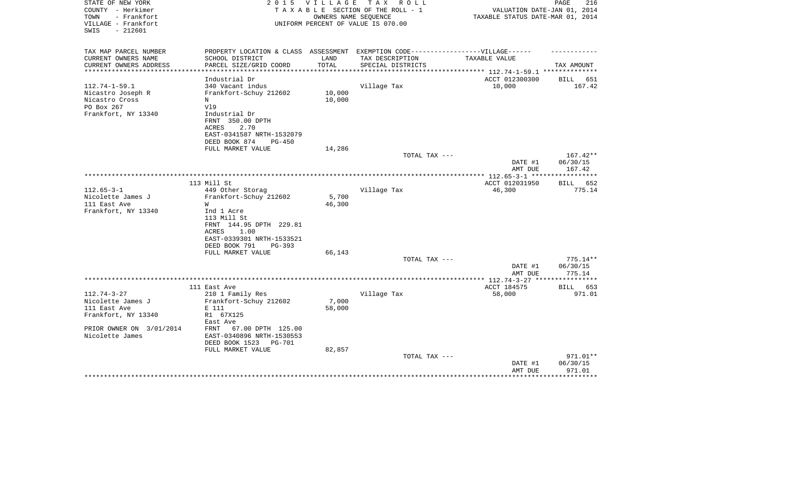| PROPERTY LOCATION & CLASS ASSESSMENT EXEMPTION CODE-----------------VILLAGE------<br>CURRENT OWNERS NAME<br>SCHOOL DISTRICT<br>LAND<br>TAX DESCRIPTION<br>TAXABLE VALUE<br>TOTAL<br>CURRENT OWNERS ADDRESS<br>PARCEL SIZE/GRID COORD<br>SPECIAL DISTRICTS<br>TAX AMOUNT<br>***********************<br>ACCT 012300300<br>Industrial Dr<br>651<br>BILL<br>340 Vacant indus<br>Village Tax<br>10,000<br>167.42<br>10,000<br>Frankfort-Schuy 212602<br>10,000<br>N<br>PO Box 267<br>V19<br>Frankfort, NY 13340<br>Industrial Dr<br>FRNT 350.00 DPTH<br>ACRES<br>2.70<br>EAST-0341587 NRTH-1532079<br>DEED BOOK 874<br>$PG-450$<br>FULL MARKET VALUE<br>14,286<br>TOTAL TAX ---<br>$167.42**$<br>DATE #1<br>06/30/15<br>AMT DUE<br>167.42<br>*************** 112.65-3-1 ******************<br>113 Mill St<br>ACCT 012031950<br>652<br>BILL<br>$112.65 - 3 - 1$<br>449 Other Storag<br>Village Tax<br>46,300<br>775.14<br>Nicolette James J<br>Frankfort-Schuy 212602<br>5,700<br>46,300<br>W<br>Ind 1 Acre<br>113 Mill St<br>FRNT 144.95 DPTH 229.81<br>1.00<br>ACRES<br>EAST-0339301 NRTH-1533521<br>DEED BOOK 791<br>PG-393<br>66,143<br>FULL MARKET VALUE<br>TOTAL TAX ---<br>$775.14**$<br>DATE #1<br>06/30/15<br>AMT DUE<br>775.14<br>ACCT 184575<br>111 East Ave<br>BILL 653<br>$112.74 - 3 - 27$<br>Village Tax<br>210 1 Family Res<br>58,000<br>971.01<br>7,000<br>Nicolette James J<br>Frankfort-Schuy 212602<br>111 East Ave<br>E 111<br>58,000<br>R1 67X125<br>Frankfort, NY 13340<br>East Ave<br>67.00 DPTH 125.00<br>FRNT<br>EAST-0340896 NRTH-1530553<br>DEED BOOK 1523<br><b>PG-701</b><br>FULL MARKET VALUE<br>82,857<br>971.01**<br>TOTAL TAX ---<br>06/30/15<br>DATE #1<br>971.01<br>AMT DUE<br>************ | STATE OF NEW YORK<br>COUNTY - Herkimer<br>- Frankfort<br>TOWN<br>VILLAGE - Frankfort<br>SWIS<br>$-212601$ | 2 0 1 5 | <b>VILLAGE</b> | T A X<br>R O L L<br>TAXABLE SECTION OF THE ROLL - 1<br>OWNERS NAME SEOUENCE<br>UNIFORM PERCENT OF VALUE IS 070.00 | VALUATION DATE-JAN 01, 2014<br>TAXABLE STATUS DATE-MAR 01, 2014 | PAGE<br>216 |
|---------------------------------------------------------------------------------------------------------------------------------------------------------------------------------------------------------------------------------------------------------------------------------------------------------------------------------------------------------------------------------------------------------------------------------------------------------------------------------------------------------------------------------------------------------------------------------------------------------------------------------------------------------------------------------------------------------------------------------------------------------------------------------------------------------------------------------------------------------------------------------------------------------------------------------------------------------------------------------------------------------------------------------------------------------------------------------------------------------------------------------------------------------------------------------------------------------------------------------------------------------------------------------------------------------------------------------------------------------------------------------------------------------------------------------------------------------------------------------------------------------------------------------------------------------------------------------------------------------------------------------------------------------------------------------------------------------------------------|-----------------------------------------------------------------------------------------------------------|---------|----------------|-------------------------------------------------------------------------------------------------------------------|-----------------------------------------------------------------|-------------|
|                                                                                                                                                                                                                                                                                                                                                                                                                                                                                                                                                                                                                                                                                                                                                                                                                                                                                                                                                                                                                                                                                                                                                                                                                                                                                                                                                                                                                                                                                                                                                                                                                                                                                                                           | TAX MAP PARCEL NUMBER                                                                                     |         |                |                                                                                                                   |                                                                 |             |
|                                                                                                                                                                                                                                                                                                                                                                                                                                                                                                                                                                                                                                                                                                                                                                                                                                                                                                                                                                                                                                                                                                                                                                                                                                                                                                                                                                                                                                                                                                                                                                                                                                                                                                                           |                                                                                                           |         |                |                                                                                                                   |                                                                 |             |
|                                                                                                                                                                                                                                                                                                                                                                                                                                                                                                                                                                                                                                                                                                                                                                                                                                                                                                                                                                                                                                                                                                                                                                                                                                                                                                                                                                                                                                                                                                                                                                                                                                                                                                                           |                                                                                                           |         |                |                                                                                                                   |                                                                 |             |
|                                                                                                                                                                                                                                                                                                                                                                                                                                                                                                                                                                                                                                                                                                                                                                                                                                                                                                                                                                                                                                                                                                                                                                                                                                                                                                                                                                                                                                                                                                                                                                                                                                                                                                                           |                                                                                                           |         |                |                                                                                                                   |                                                                 |             |
|                                                                                                                                                                                                                                                                                                                                                                                                                                                                                                                                                                                                                                                                                                                                                                                                                                                                                                                                                                                                                                                                                                                                                                                                                                                                                                                                                                                                                                                                                                                                                                                                                                                                                                                           | $112.74 - 1 - 59.1$                                                                                       |         |                |                                                                                                                   |                                                                 |             |
|                                                                                                                                                                                                                                                                                                                                                                                                                                                                                                                                                                                                                                                                                                                                                                                                                                                                                                                                                                                                                                                                                                                                                                                                                                                                                                                                                                                                                                                                                                                                                                                                                                                                                                                           | Nicastro Joseph R                                                                                         |         |                |                                                                                                                   |                                                                 |             |
|                                                                                                                                                                                                                                                                                                                                                                                                                                                                                                                                                                                                                                                                                                                                                                                                                                                                                                                                                                                                                                                                                                                                                                                                                                                                                                                                                                                                                                                                                                                                                                                                                                                                                                                           | Nicastro Cross                                                                                            |         |                |                                                                                                                   |                                                                 |             |
|                                                                                                                                                                                                                                                                                                                                                                                                                                                                                                                                                                                                                                                                                                                                                                                                                                                                                                                                                                                                                                                                                                                                                                                                                                                                                                                                                                                                                                                                                                                                                                                                                                                                                                                           |                                                                                                           |         |                |                                                                                                                   |                                                                 |             |
|                                                                                                                                                                                                                                                                                                                                                                                                                                                                                                                                                                                                                                                                                                                                                                                                                                                                                                                                                                                                                                                                                                                                                                                                                                                                                                                                                                                                                                                                                                                                                                                                                                                                                                                           |                                                                                                           |         |                |                                                                                                                   |                                                                 |             |
|                                                                                                                                                                                                                                                                                                                                                                                                                                                                                                                                                                                                                                                                                                                                                                                                                                                                                                                                                                                                                                                                                                                                                                                                                                                                                                                                                                                                                                                                                                                                                                                                                                                                                                                           |                                                                                                           |         |                |                                                                                                                   |                                                                 |             |
|                                                                                                                                                                                                                                                                                                                                                                                                                                                                                                                                                                                                                                                                                                                                                                                                                                                                                                                                                                                                                                                                                                                                                                                                                                                                                                                                                                                                                                                                                                                                                                                                                                                                                                                           |                                                                                                           |         |                |                                                                                                                   |                                                                 |             |
|                                                                                                                                                                                                                                                                                                                                                                                                                                                                                                                                                                                                                                                                                                                                                                                                                                                                                                                                                                                                                                                                                                                                                                                                                                                                                                                                                                                                                                                                                                                                                                                                                                                                                                                           |                                                                                                           |         |                |                                                                                                                   |                                                                 |             |
|                                                                                                                                                                                                                                                                                                                                                                                                                                                                                                                                                                                                                                                                                                                                                                                                                                                                                                                                                                                                                                                                                                                                                                                                                                                                                                                                                                                                                                                                                                                                                                                                                                                                                                                           |                                                                                                           |         |                |                                                                                                                   |                                                                 |             |
|                                                                                                                                                                                                                                                                                                                                                                                                                                                                                                                                                                                                                                                                                                                                                                                                                                                                                                                                                                                                                                                                                                                                                                                                                                                                                                                                                                                                                                                                                                                                                                                                                                                                                                                           |                                                                                                           |         |                |                                                                                                                   |                                                                 |             |
|                                                                                                                                                                                                                                                                                                                                                                                                                                                                                                                                                                                                                                                                                                                                                                                                                                                                                                                                                                                                                                                                                                                                                                                                                                                                                                                                                                                                                                                                                                                                                                                                                                                                                                                           |                                                                                                           |         |                |                                                                                                                   |                                                                 |             |
|                                                                                                                                                                                                                                                                                                                                                                                                                                                                                                                                                                                                                                                                                                                                                                                                                                                                                                                                                                                                                                                                                                                                                                                                                                                                                                                                                                                                                                                                                                                                                                                                                                                                                                                           |                                                                                                           |         |                |                                                                                                                   |                                                                 |             |
|                                                                                                                                                                                                                                                                                                                                                                                                                                                                                                                                                                                                                                                                                                                                                                                                                                                                                                                                                                                                                                                                                                                                                                                                                                                                                                                                                                                                                                                                                                                                                                                                                                                                                                                           |                                                                                                           |         |                |                                                                                                                   |                                                                 |             |
|                                                                                                                                                                                                                                                                                                                                                                                                                                                                                                                                                                                                                                                                                                                                                                                                                                                                                                                                                                                                                                                                                                                                                                                                                                                                                                                                                                                                                                                                                                                                                                                                                                                                                                                           |                                                                                                           |         |                |                                                                                                                   |                                                                 |             |
|                                                                                                                                                                                                                                                                                                                                                                                                                                                                                                                                                                                                                                                                                                                                                                                                                                                                                                                                                                                                                                                                                                                                                                                                                                                                                                                                                                                                                                                                                                                                                                                                                                                                                                                           |                                                                                                           |         |                |                                                                                                                   |                                                                 |             |
|                                                                                                                                                                                                                                                                                                                                                                                                                                                                                                                                                                                                                                                                                                                                                                                                                                                                                                                                                                                                                                                                                                                                                                                                                                                                                                                                                                                                                                                                                                                                                                                                                                                                                                                           | 111 East Ave                                                                                              |         |                |                                                                                                                   |                                                                 |             |
|                                                                                                                                                                                                                                                                                                                                                                                                                                                                                                                                                                                                                                                                                                                                                                                                                                                                                                                                                                                                                                                                                                                                                                                                                                                                                                                                                                                                                                                                                                                                                                                                                                                                                                                           | Frankfort, NY 13340                                                                                       |         |                |                                                                                                                   |                                                                 |             |
|                                                                                                                                                                                                                                                                                                                                                                                                                                                                                                                                                                                                                                                                                                                                                                                                                                                                                                                                                                                                                                                                                                                                                                                                                                                                                                                                                                                                                                                                                                                                                                                                                                                                                                                           |                                                                                                           |         |                |                                                                                                                   |                                                                 |             |
|                                                                                                                                                                                                                                                                                                                                                                                                                                                                                                                                                                                                                                                                                                                                                                                                                                                                                                                                                                                                                                                                                                                                                                                                                                                                                                                                                                                                                                                                                                                                                                                                                                                                                                                           |                                                                                                           |         |                |                                                                                                                   |                                                                 |             |
|                                                                                                                                                                                                                                                                                                                                                                                                                                                                                                                                                                                                                                                                                                                                                                                                                                                                                                                                                                                                                                                                                                                                                                                                                                                                                                                                                                                                                                                                                                                                                                                                                                                                                                                           |                                                                                                           |         |                |                                                                                                                   |                                                                 |             |
|                                                                                                                                                                                                                                                                                                                                                                                                                                                                                                                                                                                                                                                                                                                                                                                                                                                                                                                                                                                                                                                                                                                                                                                                                                                                                                                                                                                                                                                                                                                                                                                                                                                                                                                           |                                                                                                           |         |                |                                                                                                                   |                                                                 |             |
|                                                                                                                                                                                                                                                                                                                                                                                                                                                                                                                                                                                                                                                                                                                                                                                                                                                                                                                                                                                                                                                                                                                                                                                                                                                                                                                                                                                                                                                                                                                                                                                                                                                                                                                           |                                                                                                           |         |                |                                                                                                                   |                                                                 |             |
|                                                                                                                                                                                                                                                                                                                                                                                                                                                                                                                                                                                                                                                                                                                                                                                                                                                                                                                                                                                                                                                                                                                                                                                                                                                                                                                                                                                                                                                                                                                                                                                                                                                                                                                           |                                                                                                           |         |                |                                                                                                                   |                                                                 |             |
|                                                                                                                                                                                                                                                                                                                                                                                                                                                                                                                                                                                                                                                                                                                                                                                                                                                                                                                                                                                                                                                                                                                                                                                                                                                                                                                                                                                                                                                                                                                                                                                                                                                                                                                           |                                                                                                           |         |                |                                                                                                                   |                                                                 |             |
|                                                                                                                                                                                                                                                                                                                                                                                                                                                                                                                                                                                                                                                                                                                                                                                                                                                                                                                                                                                                                                                                                                                                                                                                                                                                                                                                                                                                                                                                                                                                                                                                                                                                                                                           |                                                                                                           |         |                |                                                                                                                   |                                                                 |             |
|                                                                                                                                                                                                                                                                                                                                                                                                                                                                                                                                                                                                                                                                                                                                                                                                                                                                                                                                                                                                                                                                                                                                                                                                                                                                                                                                                                                                                                                                                                                                                                                                                                                                                                                           |                                                                                                           |         |                |                                                                                                                   |                                                                 |             |
|                                                                                                                                                                                                                                                                                                                                                                                                                                                                                                                                                                                                                                                                                                                                                                                                                                                                                                                                                                                                                                                                                                                                                                                                                                                                                                                                                                                                                                                                                                                                                                                                                                                                                                                           |                                                                                                           |         |                |                                                                                                                   |                                                                 |             |
|                                                                                                                                                                                                                                                                                                                                                                                                                                                                                                                                                                                                                                                                                                                                                                                                                                                                                                                                                                                                                                                                                                                                                                                                                                                                                                                                                                                                                                                                                                                                                                                                                                                                                                                           |                                                                                                           |         |                |                                                                                                                   |                                                                 |             |
|                                                                                                                                                                                                                                                                                                                                                                                                                                                                                                                                                                                                                                                                                                                                                                                                                                                                                                                                                                                                                                                                                                                                                                                                                                                                                                                                                                                                                                                                                                                                                                                                                                                                                                                           |                                                                                                           |         |                |                                                                                                                   |                                                                 |             |
|                                                                                                                                                                                                                                                                                                                                                                                                                                                                                                                                                                                                                                                                                                                                                                                                                                                                                                                                                                                                                                                                                                                                                                                                                                                                                                                                                                                                                                                                                                                                                                                                                                                                                                                           |                                                                                                           |         |                |                                                                                                                   |                                                                 |             |
|                                                                                                                                                                                                                                                                                                                                                                                                                                                                                                                                                                                                                                                                                                                                                                                                                                                                                                                                                                                                                                                                                                                                                                                                                                                                                                                                                                                                                                                                                                                                                                                                                                                                                                                           |                                                                                                           |         |                |                                                                                                                   |                                                                 |             |
|                                                                                                                                                                                                                                                                                                                                                                                                                                                                                                                                                                                                                                                                                                                                                                                                                                                                                                                                                                                                                                                                                                                                                                                                                                                                                                                                                                                                                                                                                                                                                                                                                                                                                                                           | PRIOR OWNER ON 3/01/2014                                                                                  |         |                |                                                                                                                   |                                                                 |             |
|                                                                                                                                                                                                                                                                                                                                                                                                                                                                                                                                                                                                                                                                                                                                                                                                                                                                                                                                                                                                                                                                                                                                                                                                                                                                                                                                                                                                                                                                                                                                                                                                                                                                                                                           | Nicolette James                                                                                           |         |                |                                                                                                                   |                                                                 |             |
|                                                                                                                                                                                                                                                                                                                                                                                                                                                                                                                                                                                                                                                                                                                                                                                                                                                                                                                                                                                                                                                                                                                                                                                                                                                                                                                                                                                                                                                                                                                                                                                                                                                                                                                           |                                                                                                           |         |                |                                                                                                                   |                                                                 |             |
|                                                                                                                                                                                                                                                                                                                                                                                                                                                                                                                                                                                                                                                                                                                                                                                                                                                                                                                                                                                                                                                                                                                                                                                                                                                                                                                                                                                                                                                                                                                                                                                                                                                                                                                           |                                                                                                           |         |                |                                                                                                                   |                                                                 |             |
|                                                                                                                                                                                                                                                                                                                                                                                                                                                                                                                                                                                                                                                                                                                                                                                                                                                                                                                                                                                                                                                                                                                                                                                                                                                                                                                                                                                                                                                                                                                                                                                                                                                                                                                           |                                                                                                           |         |                |                                                                                                                   |                                                                 |             |
|                                                                                                                                                                                                                                                                                                                                                                                                                                                                                                                                                                                                                                                                                                                                                                                                                                                                                                                                                                                                                                                                                                                                                                                                                                                                                                                                                                                                                                                                                                                                                                                                                                                                                                                           |                                                                                                           |         |                |                                                                                                                   |                                                                 |             |
|                                                                                                                                                                                                                                                                                                                                                                                                                                                                                                                                                                                                                                                                                                                                                                                                                                                                                                                                                                                                                                                                                                                                                                                                                                                                                                                                                                                                                                                                                                                                                                                                                                                                                                                           |                                                                                                           |         |                |                                                                                                                   |                                                                 |             |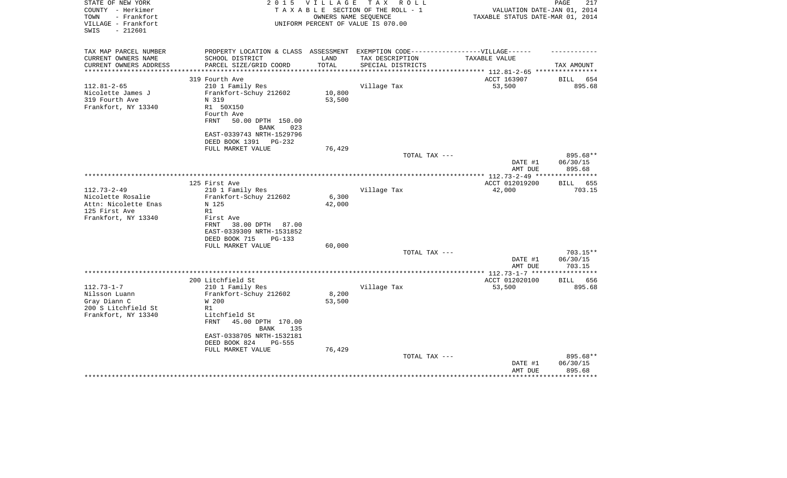| STATE OF NEW YORK<br>COUNTY - Herkimer<br>- Frankfort<br>TOWN<br>VILLAGE - Frankfort<br>SWIS<br>$-212601$ | 2 0 1 5                                                                                              | VILLAGE          | T A X<br>R O L L<br>TAXABLE SECTION OF THE ROLL - 1<br>OWNERS NAME SEQUENCE<br>UNIFORM PERCENT OF VALUE IS 070.00 | VALUATION DATE-JAN 01, 2014<br>TAXABLE STATUS DATE-MAR 01, 2014 | PAGE<br>217          |
|-----------------------------------------------------------------------------------------------------------|------------------------------------------------------------------------------------------------------|------------------|-------------------------------------------------------------------------------------------------------------------|-----------------------------------------------------------------|----------------------|
| TAX MAP PARCEL NUMBER<br>CURRENT OWNERS NAME                                                              | PROPERTY LOCATION & CLASS ASSESSMENT EXEMPTION CODE-----------------VILLAGE------<br>SCHOOL DISTRICT | LAND             | TAX DESCRIPTION                                                                                                   | TAXABLE VALUE                                                   |                      |
| CURRENT OWNERS ADDRESS                                                                                    | PARCEL SIZE/GRID COORD                                                                               | TOTAL            | SPECIAL DISTRICTS                                                                                                 |                                                                 | TAX AMOUNT           |
| **********************                                                                                    | ************************                                                                             | *************    |                                                                                                                   |                                                                 |                      |
|                                                                                                           | 319 Fourth Ave                                                                                       |                  |                                                                                                                   | ACCT 163907                                                     | <b>BILL</b><br>654   |
| $112.81 - 2 - 65$                                                                                         | 210 1 Family Res                                                                                     |                  | Village Tax                                                                                                       | 53,500                                                          | 895.68               |
| Nicolette James J<br>319 Fourth Ave                                                                       | Frankfort-Schuy 212602<br>N 319                                                                      | 10,800<br>53,500 |                                                                                                                   |                                                                 |                      |
| Frankfort, NY 13340                                                                                       | R1 50X150                                                                                            |                  |                                                                                                                   |                                                                 |                      |
|                                                                                                           | Fourth Ave                                                                                           |                  |                                                                                                                   |                                                                 |                      |
|                                                                                                           | FRNT<br>50.00 DPTH 150.00                                                                            |                  |                                                                                                                   |                                                                 |                      |
|                                                                                                           | 023<br>BANK                                                                                          |                  |                                                                                                                   |                                                                 |                      |
|                                                                                                           | EAST-0339743 NRTH-1529796                                                                            |                  |                                                                                                                   |                                                                 |                      |
|                                                                                                           | DEED BOOK 1391<br>PG-232                                                                             |                  |                                                                                                                   |                                                                 |                      |
|                                                                                                           | FULL MARKET VALUE                                                                                    | 76,429           |                                                                                                                   |                                                                 |                      |
|                                                                                                           |                                                                                                      |                  | TOTAL TAX ---                                                                                                     |                                                                 | 895.68**             |
|                                                                                                           |                                                                                                      |                  |                                                                                                                   | DATE #1                                                         | 06/30/15             |
|                                                                                                           |                                                                                                      |                  |                                                                                                                   | AMT DUE                                                         | 895.68               |
|                                                                                                           | 125 First Ave                                                                                        |                  |                                                                                                                   | ACCT 012019200                                                  | 655<br>BILL          |
| $112.73 - 2 - 49$                                                                                         | 210 1 Family Res                                                                                     |                  | Village Tax                                                                                                       | 42,000                                                          | 703.15               |
| Nicolette Rosalie                                                                                         | Frankfort-Schuy 212602                                                                               | 6,300            |                                                                                                                   |                                                                 |                      |
| Attn: Nicolette Enas                                                                                      | N 125                                                                                                | 42,000           |                                                                                                                   |                                                                 |                      |
| 125 First Ave                                                                                             | R1                                                                                                   |                  |                                                                                                                   |                                                                 |                      |
| Frankfort, NY 13340                                                                                       | First Ave                                                                                            |                  |                                                                                                                   |                                                                 |                      |
|                                                                                                           | 38.00 DPTH<br>87.00<br>FRNT                                                                          |                  |                                                                                                                   |                                                                 |                      |
|                                                                                                           | EAST-0339309 NRTH-1531852                                                                            |                  |                                                                                                                   |                                                                 |                      |
|                                                                                                           | DEED BOOK 715<br>PG-133                                                                              |                  |                                                                                                                   |                                                                 |                      |
|                                                                                                           | FULL MARKET VALUE                                                                                    | 60,000           |                                                                                                                   |                                                                 |                      |
|                                                                                                           |                                                                                                      |                  | TOTAL TAX ---                                                                                                     | DATE #1                                                         | 703.15**<br>06/30/15 |
|                                                                                                           |                                                                                                      |                  |                                                                                                                   | AMT DUE                                                         | 703.15               |
|                                                                                                           |                                                                                                      |                  | *********************                                                                                             | **** 112.73-1-7 ***                                             | ********             |
|                                                                                                           | 200 Litchfield St                                                                                    |                  |                                                                                                                   | ACCT 012020100                                                  | BILL 656             |
| $112.73 - 1 - 7$                                                                                          | 210 1 Family Res                                                                                     |                  | Village Tax                                                                                                       | 53,500                                                          | 895.68               |
| Nilsson Luann                                                                                             | Frankfort-Schuy 212602                                                                               | 8,200            |                                                                                                                   |                                                                 |                      |
| Gray Diann C                                                                                              | W 200                                                                                                | 53,500           |                                                                                                                   |                                                                 |                      |
| 200 S Litchfield St                                                                                       | R1                                                                                                   |                  |                                                                                                                   |                                                                 |                      |
| Frankfort, NY 13340                                                                                       | Litchfield St                                                                                        |                  |                                                                                                                   |                                                                 |                      |
|                                                                                                           | <b>FRNT</b><br>45.00 DPTH 170.00                                                                     |                  |                                                                                                                   |                                                                 |                      |
|                                                                                                           | <b>BANK</b><br>135<br>EAST-0338705 NRTH-1532181                                                      |                  |                                                                                                                   |                                                                 |                      |
|                                                                                                           | DEED BOOK 824<br><b>PG-555</b>                                                                       |                  |                                                                                                                   |                                                                 |                      |
|                                                                                                           | FULL MARKET VALUE                                                                                    | 76,429           |                                                                                                                   |                                                                 |                      |
|                                                                                                           |                                                                                                      |                  | TOTAL TAX ---                                                                                                     |                                                                 | 895.68**             |
|                                                                                                           |                                                                                                      |                  |                                                                                                                   | DATE #1                                                         | 06/30/15             |
|                                                                                                           |                                                                                                      |                  |                                                                                                                   | AMT DUE                                                         | 895.68               |
|                                                                                                           |                                                                                                      |                  |                                                                                                                   |                                                                 |                      |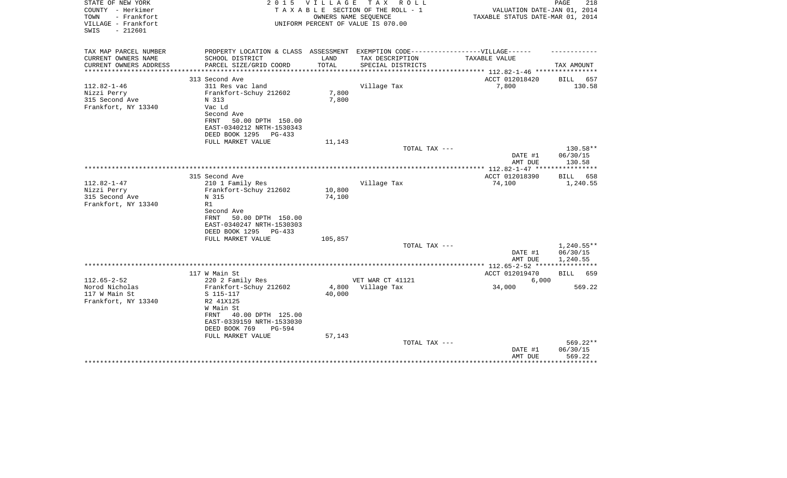| 218<br>VALUATION DATE-JAN 01, 2014<br>TAXABLE STATUS DATE-MAR 01, 2014 |
|------------------------------------------------------------------------|
|                                                                        |
| TAX AMOUNT                                                             |
| <b>BILL</b><br>657                                                     |
| 130.58                                                                 |
|                                                                        |
|                                                                        |
| 130.58**<br>06/30/15<br>130.58                                         |
|                                                                        |
| BILL 658<br>1,240.55                                                   |
|                                                                        |
| 1,240.55**<br>06/30/15                                                 |
| 1,240.55                                                               |
| BILL 659                                                               |
| 569.22                                                                 |
|                                                                        |
| $569.22**$<br>06/30/15<br>569.22                                       |
| ********                                                               |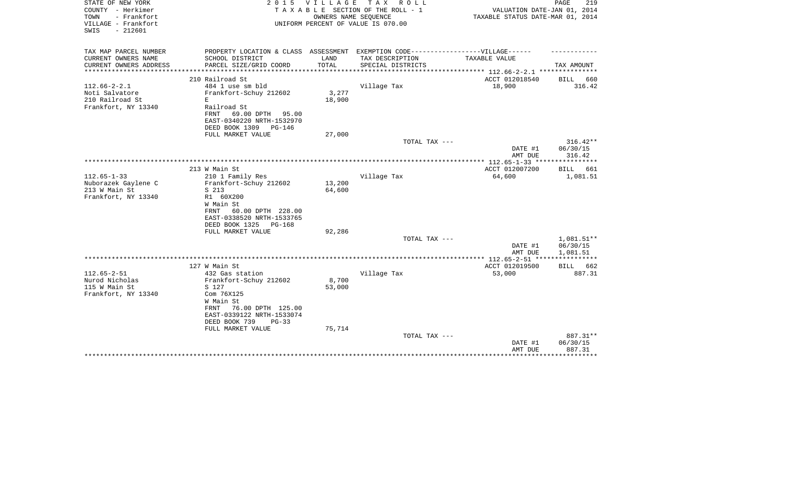| STATE OF NEW YORK<br>COUNTY - Herkimer<br>- Frankfort<br>TOWN<br>VILLAGE - Frankfort<br>$-212601$<br>SWIS | 2 0 1 5                                                                                                                                          | V I L L A G E<br>OWNERS NAME SEQUENCE | TAX ROLL<br>TAXABLE SECTION OF THE ROLL - 1<br>UNIFORM PERCENT OF VALUE IS 070.00 | VALUATION DATE-JAN 01, 2014<br>TAXABLE STATUS DATE-MAR 01, 2014 | PAGE<br>219                                |
|-----------------------------------------------------------------------------------------------------------|--------------------------------------------------------------------------------------------------------------------------------------------------|---------------------------------------|-----------------------------------------------------------------------------------|-----------------------------------------------------------------|--------------------------------------------|
| TAX MAP PARCEL NUMBER<br>CURRENT OWNERS NAME                                                              | PROPERTY LOCATION & CLASS ASSESSMENT EXEMPTION CODE-----------------VILLAGE------<br>SCHOOL DISTRICT                                             | LAND                                  | TAX DESCRIPTION                                                                   | TAXABLE VALUE                                                   |                                            |
| CURRENT OWNERS ADDRESS                                                                                    | PARCEL SIZE/GRID COORD                                                                                                                           | TOTAL                                 | SPECIAL DISTRICTS                                                                 |                                                                 | TAX AMOUNT                                 |
|                                                                                                           |                                                                                                                                                  |                                       |                                                                                   | ************* 112.66-2-2.1 ****************                     |                                            |
|                                                                                                           | 210 Railroad St                                                                                                                                  |                                       |                                                                                   | ACCT 012018540                                                  | <b>BILL</b><br>660                         |
| $112.66 - 2 - 2.1$<br>Noti Salvatore<br>210 Railroad St<br>Frankfort, NY 13340                            | 484 1 use sm bld<br>Frankfort-Schuy 212602<br>E<br>Railroad St<br>FRNT<br>69.00 DPTH<br>95.00<br>EAST-0340220 NRTH-1532970                       | 3,277<br>18,900                       | Village Tax                                                                       | 18,900                                                          | 316.42                                     |
|                                                                                                           | DEED BOOK 1309<br>PG-146<br>FULL MARKET VALUE                                                                                                    |                                       |                                                                                   |                                                                 |                                            |
|                                                                                                           |                                                                                                                                                  | 27,000                                | TOTAL TAX ---                                                                     | DATE #1                                                         | $316.42**$<br>06/30/15                     |
|                                                                                                           |                                                                                                                                                  |                                       |                                                                                   | AMT DUE                                                         | 316.42                                     |
|                                                                                                           | 213 W Main St                                                                                                                                    |                                       |                                                                                   | ACCT 012007200                                                  | * * * * * * * * * * *<br>BILL 661          |
| $112.65 - 1 - 33$                                                                                         | 210 1 Family Res                                                                                                                                 |                                       | Village Tax                                                                       | 64,600                                                          | 1,081.51                                   |
| Nuborazek Gaylene C<br>213 W Main St<br>Frankfort, NY 13340                                               | Frankfort-Schuy 212602<br>S 213<br>R1 60X200<br>W Main St<br>FRNT<br>60.00 DPTH 228.00<br>EAST-0338520 NRTH-1533765<br>DEED BOOK 1325<br>PG-168  | 13,200<br>64,600                      |                                                                                   |                                                                 |                                            |
|                                                                                                           | FULL MARKET VALUE                                                                                                                                | 92,286                                | TOTAL TAX ---                                                                     |                                                                 | 1,081.51**                                 |
|                                                                                                           |                                                                                                                                                  |                                       |                                                                                   | DATE #1<br>AMT DUE                                              | 06/30/15<br>1,081.51                       |
|                                                                                                           |                                                                                                                                                  |                                       |                                                                                   |                                                                 | ***********                                |
| $112.65 - 2 - 51$                                                                                         | 127 W Main St<br>432 Gas station                                                                                                                 |                                       | Village Tax                                                                       | ACCT 012019500<br>53,000                                        | BILL 662<br>887.31                         |
| Nurod Nicholas<br>115 W Main St<br>Frankfort, NY 13340                                                    | Frankfort-Schuy 212602<br>S 127<br>Com 76X125<br>W Main St<br>76.00 DPTH 125.00<br>FRNT<br>EAST-0339122 NRTH-1533074<br>DEED BOOK 739<br>$PG-33$ | 8,700<br>53,000<br>75,714             |                                                                                   |                                                                 |                                            |
|                                                                                                           | FULL MARKET VALUE                                                                                                                                |                                       | TOTAL TAX ---                                                                     | DATE #1<br>AMT DUE                                              | 887.31**<br>06/30/15<br>887.31<br>******** |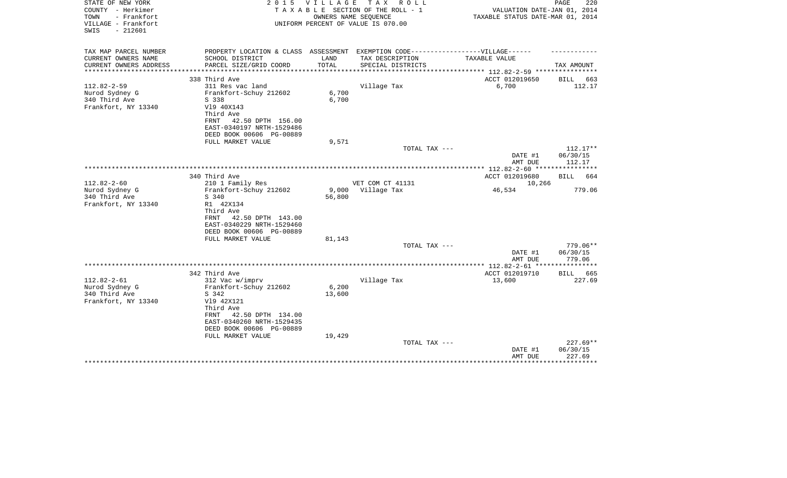| STATE OF NEW YORK<br>COUNTY - Herkimer<br>TOWN<br>- Frankfort<br>VILLAGE - Frankfort<br>$-212601$<br>SWIS | 2 0 1 5                                                                            |                | VILLAGE TAX ROLL<br>TAXABLE SECTION OF THE ROLL - 1<br>OWNERS NAME SEQUENCE<br>UNIFORM PERCENT OF VALUE IS 070.00 | VALUATION DATE-JAN 01, 2014<br>TAXABLE STATUS DATE-MAR 01, 2014 | PAGE<br>220           |
|-----------------------------------------------------------------------------------------------------------|------------------------------------------------------------------------------------|----------------|-------------------------------------------------------------------------------------------------------------------|-----------------------------------------------------------------|-----------------------|
| TAX MAP PARCEL NUMBER                                                                                     | PROPERTY LOCATION & CLASS ASSESSMENT EXEMPTION CODE----------------VILLAGE------   |                |                                                                                                                   |                                                                 |                       |
| CURRENT OWNERS NAME<br>CURRENT OWNERS ADDRESS                                                             | SCHOOL DISTRICT<br>PARCEL SIZE/GRID COORD                                          | LAND<br>TOTAL  | TAX DESCRIPTION<br>SPECIAL DISTRICTS                                                                              | TAXABLE VALUE                                                   | TAX AMOUNT            |
| *********************                                                                                     |                                                                                    |                |                                                                                                                   | *************************** 112.82-2-59 ****************        |                       |
| $112.82 - 2 - 59$                                                                                         | 338 Third Ave<br>311 Res vac land                                                  |                |                                                                                                                   | ACCT 012019650                                                  | BILL<br>663           |
| Nurod Sydney G<br>340 Third Ave<br>Frankfort, NY 13340                                                    | Frankfort-Schuy 212602<br>S 338<br>V19 40X143<br>Third Ave                         | 6,700<br>6,700 | Village Tax                                                                                                       | 6,700                                                           | 112.17                |
|                                                                                                           | 42.50 DPTH 156.00<br>FRNT<br>EAST-0340197 NRTH-1529486<br>DEED BOOK 00606 PG-00889 |                |                                                                                                                   |                                                                 |                       |
|                                                                                                           | FULL MARKET VALUE                                                                  | 9,571          |                                                                                                                   |                                                                 |                       |
|                                                                                                           |                                                                                    |                | TOTAL TAX ---                                                                                                     |                                                                 | $112.17**$            |
|                                                                                                           |                                                                                    |                |                                                                                                                   | DATE #1                                                         | 06/30/15              |
|                                                                                                           |                                                                                    |                |                                                                                                                   | AMT DUE                                                         | 112.17                |
|                                                                                                           | 340 Third Ave                                                                      |                |                                                                                                                   | ACCT 012019680                                                  | BILL 664              |
| $112.82 - 2 - 60$                                                                                         | 210 1 Family Res                                                                   |                | VET COM CT 41131                                                                                                  | 10,266                                                          |                       |
| Nurod Sydney G                                                                                            | Frankfort-Schuy 212602                                                             | 9,000          | Village Tax                                                                                                       | 46,534                                                          | 779.06                |
| 340 Third Ave                                                                                             | S 340                                                                              | 56,800         |                                                                                                                   |                                                                 |                       |
| Frankfort, NY 13340                                                                                       | R1 42X134                                                                          |                |                                                                                                                   |                                                                 |                       |
|                                                                                                           | Third Ave                                                                          |                |                                                                                                                   |                                                                 |                       |
|                                                                                                           | 42.50 DPTH 143.00<br>FRNT<br>EAST-0340229 NRTH-1529460                             |                |                                                                                                                   |                                                                 |                       |
|                                                                                                           | DEED BOOK 00606 PG-00889                                                           |                |                                                                                                                   |                                                                 |                       |
|                                                                                                           | FULL MARKET VALUE                                                                  | 81,143         |                                                                                                                   |                                                                 |                       |
|                                                                                                           |                                                                                    |                | TOTAL TAX ---                                                                                                     |                                                                 | 779.06**              |
|                                                                                                           |                                                                                    |                |                                                                                                                   | DATE #1                                                         | 06/30/15              |
|                                                                                                           |                                                                                    |                |                                                                                                                   | AMT DUE                                                         | 779.06                |
|                                                                                                           |                                                                                    |                |                                                                                                                   |                                                                 |                       |
| $112.82 - 2 - 61$                                                                                         | 342 Third Ave                                                                      |                | Village Tax                                                                                                       | ACCT 012019710<br>13,600                                        | BILL<br>665<br>227.69 |
| Nurod Sydney G                                                                                            | 312 Vac w/imprv<br>Frankfort-Schuy 212602                                          | 6,200          |                                                                                                                   |                                                                 |                       |
| 340 Third Ave                                                                                             | S 342                                                                              | 13,600         |                                                                                                                   |                                                                 |                       |
| Frankfort, NY 13340                                                                                       | V19 42X121<br>Third Ave                                                            |                |                                                                                                                   |                                                                 |                       |
|                                                                                                           | 42.50 DPTH 134.00<br>FRNT<br>EAST-0340260 NRTH-1529435<br>DEED BOOK 00606 PG-00889 |                |                                                                                                                   |                                                                 |                       |
|                                                                                                           | FULL MARKET VALUE                                                                  | 19,429         |                                                                                                                   |                                                                 |                       |
|                                                                                                           |                                                                                    |                | TOTAL TAX ---                                                                                                     |                                                                 | $227.69**$            |
|                                                                                                           |                                                                                    |                |                                                                                                                   | DATE #1                                                         | 06/30/15              |
|                                                                                                           |                                                                                    |                |                                                                                                                   | AMT DUE                                                         | 227.69                |
|                                                                                                           |                                                                                    |                |                                                                                                                   |                                                                 | * * * * * * * * *     |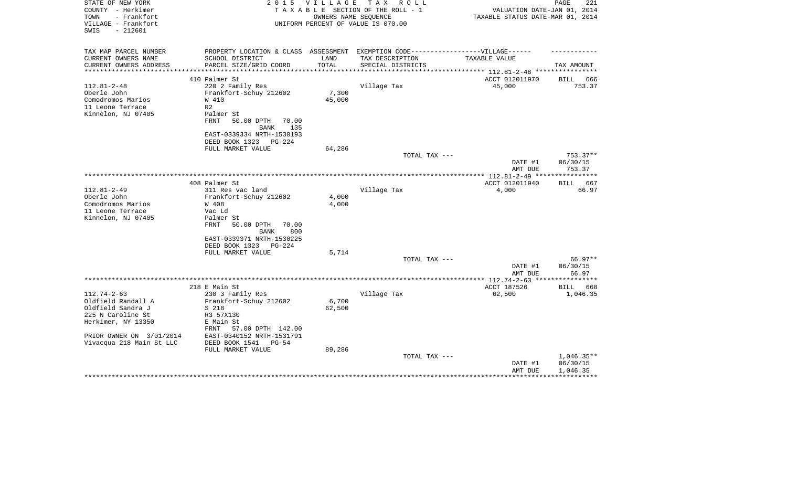| STATE OF NEW YORK<br>COUNTY - Herkimer<br>- Frankfort<br>TOWN | 2 0 1 5                                                                          | VILLAGE         | TAX ROLL<br>TAXABLE SECTION OF THE ROLL - 1<br>OWNERS NAME SEOUENCE | VALUATION DATE-JAN 01, 2014<br>TAXABLE STATUS DATE-MAR 01, 2014 | PAGE<br>221          |
|---------------------------------------------------------------|----------------------------------------------------------------------------------|-----------------|---------------------------------------------------------------------|-----------------------------------------------------------------|----------------------|
| VILLAGE - Frankfort<br>SWIS<br>$-212601$                      |                                                                                  |                 | UNIFORM PERCENT OF VALUE IS 070.00                                  |                                                                 |                      |
| TAX MAP PARCEL NUMBER                                         | PROPERTY LOCATION & CLASS ASSESSMENT EXEMPTION CODE----------------VILLAGE------ |                 |                                                                     |                                                                 |                      |
| CURRENT OWNERS NAME                                           | SCHOOL DISTRICT                                                                  | LAND            | TAX DESCRIPTION                                                     | TAXABLE VALUE                                                   |                      |
| CURRENT OWNERS ADDRESS<br>**********************              | PARCEL SIZE/GRID COORD                                                           | TOTAL           | SPECIAL DISTRICTS                                                   |                                                                 | TAX AMOUNT           |
|                                                               | 410 Palmer St                                                                    |                 |                                                                     | ACCT 012011970                                                  | 666<br>BILL          |
| $112.81 - 2 - 48$                                             | 220 2 Family Res                                                                 |                 | Village Tax                                                         | 45,000                                                          | 753.37               |
| Oberle John                                                   | Frankfort-Schuy 212602                                                           | 7,300           |                                                                     |                                                                 |                      |
| Comodromos Marios                                             | W 410                                                                            | 45,000          |                                                                     |                                                                 |                      |
| 11 Leone Terrace                                              | R2                                                                               |                 |                                                                     |                                                                 |                      |
| Kinnelon, NJ 07405                                            | Palmer St                                                                        |                 |                                                                     |                                                                 |                      |
|                                                               | <b>FRNT</b><br>50.00 DPTH<br>70.00                                               |                 |                                                                     |                                                                 |                      |
|                                                               | 135<br><b>BANK</b>                                                               |                 |                                                                     |                                                                 |                      |
|                                                               | EAST-0339334 NRTH-1530193                                                        |                 |                                                                     |                                                                 |                      |
|                                                               | DEED BOOK 1323<br>PG-224                                                         |                 |                                                                     |                                                                 |                      |
|                                                               | FULL MARKET VALUE                                                                | 64,286          |                                                                     |                                                                 |                      |
|                                                               |                                                                                  |                 | TOTAL TAX ---                                                       | DATE #1                                                         | 753.37**<br>06/30/15 |
|                                                               |                                                                                  |                 |                                                                     | AMT DUE                                                         | 753.37               |
|                                                               |                                                                                  |                 |                                                                     |                                                                 |                      |
|                                                               | 408 Palmer St                                                                    |                 |                                                                     | ACCT 012011940                                                  | 667<br>BILL          |
| $112.81 - 2 - 49$                                             | 311 Res vac land                                                                 |                 | Village Tax                                                         | 4,000                                                           | 66.97                |
| Oberle John                                                   | Frankfort-Schuy 212602                                                           | 4,000           |                                                                     |                                                                 |                      |
| Comodromos Marios                                             | W 408                                                                            | 4,000           |                                                                     |                                                                 |                      |
| 11 Leone Terrace                                              | Vac Ld                                                                           |                 |                                                                     |                                                                 |                      |
| Kinnelon, NJ 07405                                            | Palmer St                                                                        |                 |                                                                     |                                                                 |                      |
|                                                               | <b>FRNT</b><br>50.00 DPTH<br>70.00<br>800<br>BANK                                |                 |                                                                     |                                                                 |                      |
|                                                               | EAST-0339371 NRTH-1530225                                                        |                 |                                                                     |                                                                 |                      |
|                                                               | DEED BOOK 1323<br>PG-224                                                         |                 |                                                                     |                                                                 |                      |
|                                                               | FULL MARKET VALUE                                                                | 5,714           |                                                                     |                                                                 |                      |
|                                                               |                                                                                  |                 | TOTAL TAX ---                                                       |                                                                 | 66.97**              |
|                                                               |                                                                                  |                 |                                                                     | DATE #1                                                         | 06/30/15             |
|                                                               |                                                                                  |                 |                                                                     | AMT DUE                                                         | 66.97                |
|                                                               |                                                                                  |                 |                                                                     |                                                                 |                      |
|                                                               | 218 E Main St                                                                    |                 |                                                                     | ACCT 187526                                                     | BILL<br>668          |
| $112.74 - 2 - 63$                                             | 230 3 Family Res                                                                 |                 | Village Tax                                                         | 62,500                                                          | 1,046.35             |
| Oldfield Randall A<br>Oldfield Sandra J                       | Frankfort-Schuy 212602<br>S 218                                                  | 6,700<br>62,500 |                                                                     |                                                                 |                      |
| 225 N Caroline St                                             | R3 57X130                                                                        |                 |                                                                     |                                                                 |                      |
| Herkimer, NY 13350                                            | E Main St                                                                        |                 |                                                                     |                                                                 |                      |
|                                                               | 57.00 DPTH 142.00<br>FRNT                                                        |                 |                                                                     |                                                                 |                      |
| PRIOR OWNER ON 3/01/2014                                      | EAST-0340152 NRTH-1531791                                                        |                 |                                                                     |                                                                 |                      |
| Vivacqua 218 Main St LLC                                      | DEED BOOK 1541<br>PG-54                                                          |                 |                                                                     |                                                                 |                      |
|                                                               | FULL MARKET VALUE                                                                | 89,286          |                                                                     |                                                                 |                      |
|                                                               |                                                                                  |                 | TOTAL TAX ---                                                       |                                                                 | $1,046.35**$         |
|                                                               |                                                                                  |                 |                                                                     | DATE #1                                                         | 06/30/15             |
|                                                               |                                                                                  |                 |                                                                     | AMT DUE                                                         | 1,046.35             |
|                                                               |                                                                                  |                 |                                                                     |                                                                 |                      |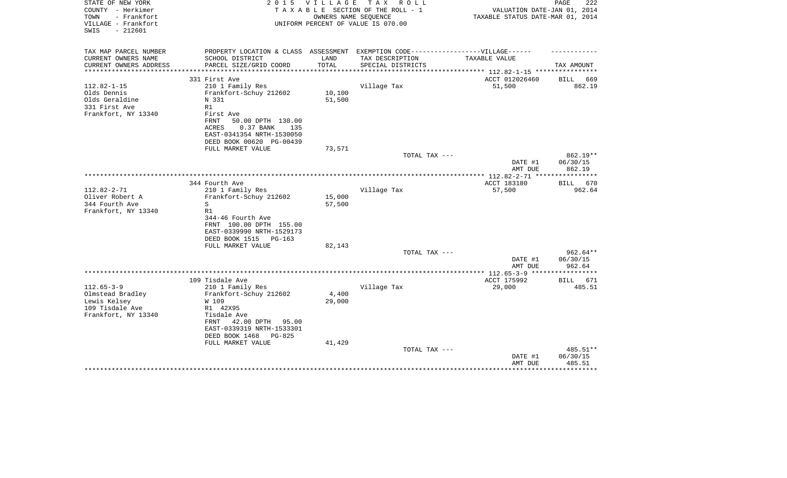| STATE OF NEW YORK<br>COUNTY - Herkimer                          | 2 0 1 5                                                                                              | VILLAGE              | T A X<br>R O L L<br>TAXABLE SECTION OF THE ROLL - 1 | VALUATION DATE-JAN 01, 2014      | PAGE<br>222        |
|-----------------------------------------------------------------|------------------------------------------------------------------------------------------------------|----------------------|-----------------------------------------------------|----------------------------------|--------------------|
| TOWN<br>- Frankfort<br>VILLAGE - Frankfort<br>$-212601$<br>SWIS |                                                                                                      | OWNERS NAME SEQUENCE | UNIFORM PERCENT OF VALUE IS 070.00                  | TAXABLE STATUS DATE-MAR 01, 2014 |                    |
|                                                                 |                                                                                                      |                      |                                                     |                                  |                    |
| TAX MAP PARCEL NUMBER<br>CURRENT OWNERS NAME                    | PROPERTY LOCATION & CLASS ASSESSMENT EXEMPTION CODE-----------------VILLAGE------<br>SCHOOL DISTRICT | LAND                 | TAX DESCRIPTION                                     | TAXABLE VALUE                    |                    |
| CURRENT OWNERS ADDRESS                                          | PARCEL SIZE/GRID COORD                                                                               | TOTAL                | SPECIAL DISTRICTS                                   | ********* 112.82-1-15 ***        | TAX AMOUNT         |
|                                                                 | 331 First Ave                                                                                        |                      |                                                     | ACCT 012026460                   | BILL<br>669        |
| $112.82 - 1 - 15$                                               | 210 1 Family Res                                                                                     |                      | Village Tax                                         | 51,500                           | 862.19             |
| Olds Dennis                                                     | Frankfort-Schuy 212602                                                                               | 10,100               |                                                     |                                  |                    |
| Olds Geraldine                                                  | N 331                                                                                                | 51,500               |                                                     |                                  |                    |
| 331 First Ave                                                   | R1                                                                                                   |                      |                                                     |                                  |                    |
| Frankfort, NY 13340                                             | First Ave                                                                                            |                      |                                                     |                                  |                    |
|                                                                 | FRNT<br>50.00 DPTH 130.00                                                                            |                      |                                                     |                                  |                    |
|                                                                 | ACRES<br>0.37 BANK<br>135<br>EAST-0341354 NRTH-1530050                                               |                      |                                                     |                                  |                    |
|                                                                 | DEED BOOK 00620 PG-00439                                                                             |                      |                                                     |                                  |                    |
|                                                                 | FULL MARKET VALUE                                                                                    | 73,571               |                                                     |                                  |                    |
|                                                                 |                                                                                                      |                      | TOTAL TAX ---                                       |                                  | 862.19**           |
|                                                                 |                                                                                                      |                      |                                                     | DATE #1                          | 06/30/15           |
|                                                                 |                                                                                                      |                      |                                                     | AMT DUE                          | 862.19             |
|                                                                 |                                                                                                      |                      |                                                     |                                  |                    |
|                                                                 | 344 Fourth Ave                                                                                       |                      |                                                     | ACCT 183180                      | <b>BILL</b><br>670 |
| $112.82 - 2 - 71$<br>Oliver Robert A                            | 210 1 Family Res                                                                                     |                      | Village Tax                                         | 57,500                           | 962.64             |
| 344 Fourth Ave                                                  | Frankfort-Schuy 212602<br>S                                                                          | 15,000<br>57,500     |                                                     |                                  |                    |
| Frankfort, NY 13340                                             | R1                                                                                                   |                      |                                                     |                                  |                    |
|                                                                 | 344-46 Fourth Ave                                                                                    |                      |                                                     |                                  |                    |
|                                                                 | FRNT 100.00 DPTH 155.00                                                                              |                      |                                                     |                                  |                    |
|                                                                 | EAST-0339990 NRTH-1529173                                                                            |                      |                                                     |                                  |                    |
|                                                                 | DEED BOOK 1515<br>$PG-163$                                                                           |                      |                                                     |                                  |                    |
|                                                                 | FULL MARKET VALUE                                                                                    | 82,143               |                                                     |                                  |                    |
|                                                                 |                                                                                                      |                      | TOTAL TAX ---                                       |                                  | $962.64**$         |
|                                                                 |                                                                                                      |                      |                                                     | DATE #1                          | 06/30/15           |
|                                                                 |                                                                                                      |                      |                                                     | AMT DUE                          | 962.64             |
|                                                                 | 109 Tisdale Ave                                                                                      |                      |                                                     | ACCT 175992                      | BILL<br>671        |
| $112.65 - 3 - 9$                                                | 210 1 Family Res                                                                                     |                      | Village Tax                                         | 29,000                           | 485.51             |
| Olmstead Bradley                                                | Frankfort-Schuy 212602                                                                               | 4,400                |                                                     |                                  |                    |
| Lewis Kelsey                                                    | W 109                                                                                                | 29,000               |                                                     |                                  |                    |
| 109 Tisdale Ave                                                 | R1 42X95                                                                                             |                      |                                                     |                                  |                    |
| Frankfort, NY 13340                                             | Tisdale Ave                                                                                          |                      |                                                     |                                  |                    |
|                                                                 | FRNT<br>42.00 DPTH<br>95.00                                                                          |                      |                                                     |                                  |                    |
|                                                                 | EAST-0339319 NRTH-1533301                                                                            |                      |                                                     |                                  |                    |
|                                                                 | DEED BOOK 1468<br>PG-825                                                                             |                      |                                                     |                                  |                    |
|                                                                 | FULL MARKET VALUE                                                                                    | 41,429               | TOTAL TAX ---                                       |                                  | 485.51**           |
|                                                                 |                                                                                                      |                      |                                                     | DATE #1                          | 06/30/15           |
|                                                                 |                                                                                                      |                      |                                                     | AMT DUE                          | 485.51             |
|                                                                 |                                                                                                      |                      |                                                     |                                  |                    |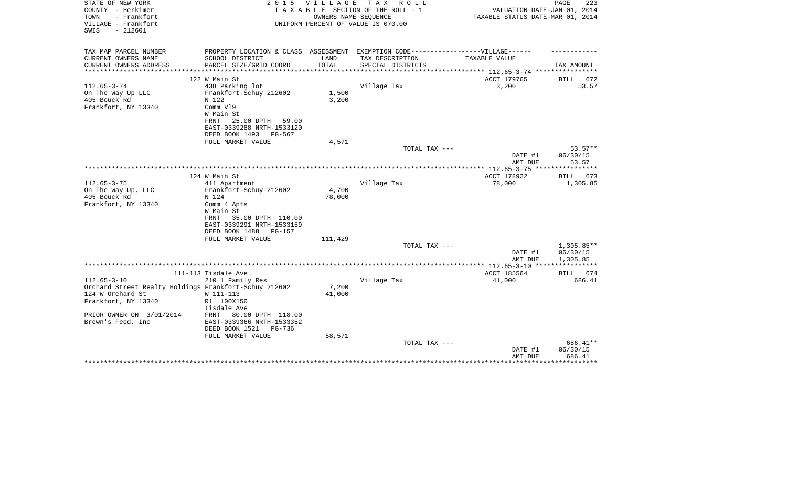| STATE OF NEW YORK<br>COUNTY - Herkimer<br>TOWN<br>- Frankfort<br>VILLAGE - Frankfort<br>$-212601$<br>SWIS | 2 0 1 5                                                                           | <b>VILLAGE</b><br>OWNERS NAME SEQUENCE | T A X<br>R O L L<br>TAXABLE SECTION OF THE ROLL - 1<br>UNIFORM PERCENT OF VALUE IS 070.00 | VALUATION DATE-JAN 01, 2014<br>TAXABLE STATUS DATE-MAR 01, 2014 | PAGE<br>223              |
|-----------------------------------------------------------------------------------------------------------|-----------------------------------------------------------------------------------|----------------------------------------|-------------------------------------------------------------------------------------------|-----------------------------------------------------------------|--------------------------|
|                                                                                                           |                                                                                   |                                        |                                                                                           |                                                                 |                          |
| TAX MAP PARCEL NUMBER                                                                                     | PROPERTY LOCATION & CLASS ASSESSMENT EXEMPTION CODE-----------------VILLAGE------ |                                        |                                                                                           |                                                                 |                          |
| CURRENT OWNERS NAME                                                                                       | SCHOOL DISTRICT                                                                   | LAND                                   | TAX DESCRIPTION                                                                           | TAXABLE VALUE                                                   |                          |
| CURRENT OWNERS ADDRESS<br>**********************                                                          | PARCEL SIZE/GRID COORD                                                            | TOTAL                                  | SPECIAL DISTRICTS                                                                         |                                                                 | TAX AMOUNT               |
|                                                                                                           | 122 W Main St                                                                     |                                        |                                                                                           | ACCT 179765                                                     | 672<br>BILL              |
| $112.65 - 3 - 74$                                                                                         | 438 Parking lot                                                                   |                                        | Village Tax                                                                               | 3,200                                                           | 53.57                    |
| On The Way Up LLC                                                                                         | Frankfort-Schuy 212602                                                            | 1,500                                  |                                                                                           |                                                                 |                          |
| 405 Bouck Rd                                                                                              | N 122                                                                             | 3,200                                  |                                                                                           |                                                                 |                          |
| Frankfort, NY 13340                                                                                       | Comm V19<br>W Main St                                                             |                                        |                                                                                           |                                                                 |                          |
|                                                                                                           | 25.00 DPTH 59.00<br>FRNT                                                          |                                        |                                                                                           |                                                                 |                          |
|                                                                                                           | EAST-0339288 NRTH-1533120                                                         |                                        |                                                                                           |                                                                 |                          |
|                                                                                                           | DEED BOOK 1493<br>PG-567                                                          |                                        |                                                                                           |                                                                 |                          |
|                                                                                                           | FULL MARKET VALUE                                                                 | 4,571                                  |                                                                                           |                                                                 |                          |
|                                                                                                           |                                                                                   |                                        | TOTAL TAX ---                                                                             |                                                                 | 53.57**                  |
|                                                                                                           |                                                                                   |                                        |                                                                                           | DATE #1<br>AMT DUE                                              | 06/30/15<br>53.57        |
|                                                                                                           |                                                                                   |                                        |                                                                                           | ***************** 112.65-3-75                                   | ***********              |
|                                                                                                           | 124 W Main St                                                                     |                                        |                                                                                           | ACCT 178922                                                     | BILL<br>673              |
| $112.65 - 3 - 75$                                                                                         | 411 Apartment                                                                     |                                        | Village Tax                                                                               | 78,000                                                          | 1,305.85                 |
| On The Way Up, LLC                                                                                        | Frankfort-Schuy 212602                                                            | 4,700                                  |                                                                                           |                                                                 |                          |
| 405 Bouck Rd                                                                                              | N 124                                                                             | 78,000                                 |                                                                                           |                                                                 |                          |
| Frankfort, NY 13340                                                                                       | Comm 4 Apts<br>W Main St                                                          |                                        |                                                                                           |                                                                 |                          |
|                                                                                                           | 35.00 DPTH 110.00<br>FRNT                                                         |                                        |                                                                                           |                                                                 |                          |
|                                                                                                           | EAST-0339291 NRTH-1533159                                                         |                                        |                                                                                           |                                                                 |                          |
|                                                                                                           | DEED BOOK 1488<br><b>PG-157</b>                                                   |                                        |                                                                                           |                                                                 |                          |
|                                                                                                           | FULL MARKET VALUE                                                                 | 111,429                                |                                                                                           |                                                                 |                          |
|                                                                                                           |                                                                                   |                                        | TOTAL TAX ---                                                                             | DATE #1                                                         | $1,305.85**$<br>06/30/15 |
|                                                                                                           |                                                                                   |                                        |                                                                                           | AMT DUE                                                         | 1,305.85                 |
|                                                                                                           |                                                                                   |                                        |                                                                                           |                                                                 |                          |
|                                                                                                           | 111-113 Tisdale Ave                                                               |                                        |                                                                                           | ACCT 185564                                                     | BILL 674                 |
| $112.65 - 3 - 10$                                                                                         | 210 1 Family Res                                                                  |                                        | Village Tax                                                                               | 41,000                                                          | 686.41                   |
| Orchard Street Realty Holdings Frankfort-Schuy 212602<br>124 W Orchard St                                 |                                                                                   | 7,200<br>41,000                        |                                                                                           |                                                                 |                          |
| Frankfort, NY 13340                                                                                       | W 111-113<br>R1 100X150                                                           |                                        |                                                                                           |                                                                 |                          |
|                                                                                                           | Tisdale Ave                                                                       |                                        |                                                                                           |                                                                 |                          |
| PRIOR OWNER ON 3/01/2014                                                                                  | 80.00 DPTH 118.00<br>FRNT                                                         |                                        |                                                                                           |                                                                 |                          |
| Brown's Feed, Inc                                                                                         | EAST-0339366 NRTH-1533352                                                         |                                        |                                                                                           |                                                                 |                          |
|                                                                                                           | DEED BOOK 1521<br>$PG-736$                                                        |                                        |                                                                                           |                                                                 |                          |
|                                                                                                           | FULL MARKET VALUE                                                                 | 58,571                                 | TOTAL TAX ---                                                                             |                                                                 | 686.41**                 |
|                                                                                                           |                                                                                   |                                        |                                                                                           | DATE #1                                                         | 06/30/15                 |
|                                                                                                           |                                                                                   |                                        |                                                                                           | AMT DUE                                                         | 686.41                   |
|                                                                                                           |                                                                                   |                                        |                                                                                           |                                                                 |                          |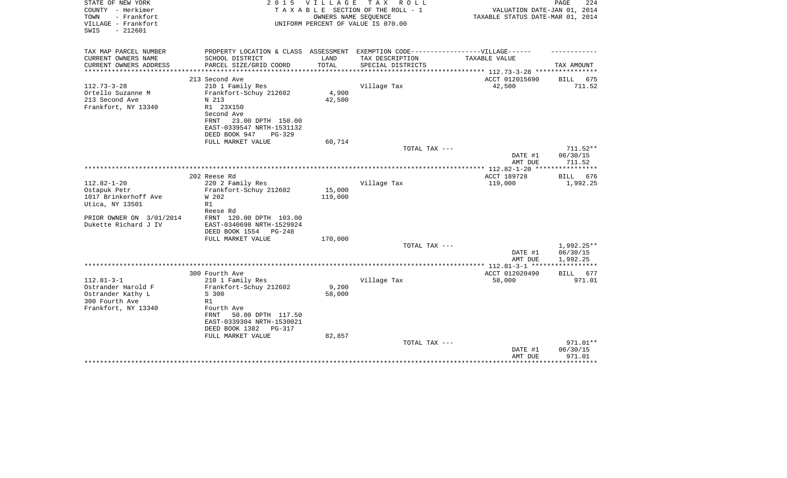| STATE OF NEW YORK<br>COUNTY - Herkimer<br>- Frankfort<br>TOWN | 2 0 1 5                                 | V I L L A G E | T A X<br>R O L L<br>TAXABLE SECTION OF THE ROLL - 1<br>OWNERS NAME SEQUENCE | VALUATION DATE-JAN 01, 2014<br>TAXABLE STATUS DATE-MAR 01, 2014 | PAGE<br>224          |
|---------------------------------------------------------------|-----------------------------------------|---------------|-----------------------------------------------------------------------------|-----------------------------------------------------------------|----------------------|
| VILLAGE - Frankfort<br>$-212601$<br>SWIS                      |                                         |               | UNIFORM PERCENT OF VALUE IS 070.00                                          |                                                                 |                      |
| TAX MAP PARCEL NUMBER                                         | PROPERTY LOCATION & CLASS ASSESSMENT    |               | EXEMPTION CODE------------------VILLAGE------                               |                                                                 |                      |
| CURRENT OWNERS NAME                                           | SCHOOL DISTRICT                         | LAND          | TAX DESCRIPTION                                                             | TAXABLE VALUE                                                   |                      |
| CURRENT OWNERS ADDRESS<br>********************                | PARCEL SIZE/GRID COORD                  | TOTAL         | SPECIAL DISTRICTS                                                           | **************** 112.73-3-28 *****************                  | TAX AMOUNT           |
|                                                               | 213 Second Ave                          |               |                                                                             | ACCT 012015690                                                  | BILL<br>675          |
| $112.73 - 3 - 28$                                             | 210 1 Family Res                        |               | Village Tax                                                                 | 42,500                                                          | 711.52               |
| Ortello Suzanne M                                             | Frankfort-Schuy 212602                  | 4,900         |                                                                             |                                                                 |                      |
| 213 Second Ave                                                | N 213                                   | 42,500        |                                                                             |                                                                 |                      |
| Frankfort, NY 13340                                           | R1 23X150                               |               |                                                                             |                                                                 |                      |
|                                                               | Second Ave<br>23.00 DPTH 150.00<br>FRNT |               |                                                                             |                                                                 |                      |
|                                                               | EAST-0339547 NRTH-1531132               |               |                                                                             |                                                                 |                      |
|                                                               | DEED BOOK 947<br>$PG-329$               |               |                                                                             |                                                                 |                      |
|                                                               | FULL MARKET VALUE                       | 60,714        |                                                                             |                                                                 |                      |
|                                                               |                                         |               | TOTAL TAX ---                                                               |                                                                 | $711.52**$           |
|                                                               |                                         |               |                                                                             | DATE #1                                                         | 06/30/15             |
|                                                               |                                         |               |                                                                             | AMT DUE                                                         | 711.52               |
|                                                               | 202 Reese Rd                            |               |                                                                             | ACCT 189728                                                     | BILL<br>676          |
| $112.82 - 1 - 20$                                             | 220 2 Family Res                        |               | Village Tax                                                                 | 119,000                                                         | 1,992.25             |
| Ostapuk Petr                                                  | Frankfort-Schuy 212602                  | 15,000        |                                                                             |                                                                 |                      |
| 1017 Brinkerhoff Ave                                          | W 202                                   | 119,000       |                                                                             |                                                                 |                      |
| Utica, NY 13501                                               | R1                                      |               |                                                                             |                                                                 |                      |
| PRIOR OWNER ON 3/01/2014                                      | Reese Rd<br>FRNT 120.00 DPTH 103.00     |               |                                                                             |                                                                 |                      |
| Dukette Richard J IV                                          | EAST-0340698 NRTH-1529924               |               |                                                                             |                                                                 |                      |
|                                                               | DEED BOOK 1554<br>PG-248                |               |                                                                             |                                                                 |                      |
|                                                               | FULL MARKET VALUE                       | 170,000       |                                                                             |                                                                 |                      |
|                                                               |                                         |               | TOTAL TAX ---                                                               |                                                                 | 1,992.25**           |
|                                                               |                                         |               |                                                                             | DATE #1<br>AMT DUE                                              | 06/30/15<br>1,992.25 |
|                                                               |                                         |               |                                                                             |                                                                 |                      |
|                                                               | 300 Fourth Ave                          |               |                                                                             | ACCT 012020490                                                  | BILL 677             |
| $112.81 - 3 - 1$                                              | 210 1 Family Res                        |               | Village Tax                                                                 | 58,000                                                          | 971.01               |
| Ostrander Harold F                                            | Frankfort-Schuy 212602                  | 9,200         |                                                                             |                                                                 |                      |
| Ostrander Kathy L                                             | S 300                                   | 58,000        |                                                                             |                                                                 |                      |
| 300 Fourth Ave<br>Frankfort, NY 13340                         | R1<br>Fourth Ave                        |               |                                                                             |                                                                 |                      |
|                                                               | FRNT<br>50.00 DPTH 117.50               |               |                                                                             |                                                                 |                      |
|                                                               | EAST-0339304 NRTH-1530021               |               |                                                                             |                                                                 |                      |
|                                                               | DEED BOOK 1382<br>$PG-317$              |               |                                                                             |                                                                 |                      |
|                                                               | FULL MARKET VALUE                       | 82,857        |                                                                             |                                                                 |                      |
|                                                               |                                         |               | TOTAL TAX ---                                                               |                                                                 | 971.01**             |
|                                                               |                                         |               |                                                                             | DATE #1<br>AMT DUE                                              | 06/30/15<br>971.01   |
|                                                               |                                         |               |                                                                             |                                                                 | ************         |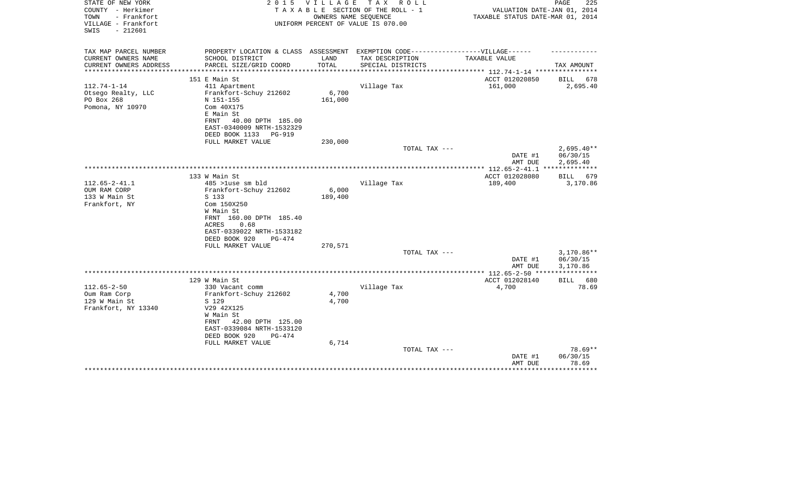| STATE OF NEW YORK<br>COUNTY - Herkimer<br>TOWN<br>- Frankfort<br>VILLAGE - Frankfort<br>$-212601$<br>SWIS | 2 0 1 5                                                                           | V I L L A G E | TAX ROLL<br>TAXABLE SECTION OF THE ROLL - 1<br>OWNERS NAME SEOUENCE<br>UNIFORM PERCENT OF VALUE IS 070.00 | VALUATION DATE-JAN 01, 2014<br>TAXABLE STATUS DATE-MAR 01, 2014 | PAGE<br>225  |
|-----------------------------------------------------------------------------------------------------------|-----------------------------------------------------------------------------------|---------------|-----------------------------------------------------------------------------------------------------------|-----------------------------------------------------------------|--------------|
|                                                                                                           |                                                                                   |               |                                                                                                           |                                                                 |              |
| TAX MAP PARCEL NUMBER                                                                                     | PROPERTY LOCATION & CLASS ASSESSMENT EXEMPTION CODE-----------------VILLAGE------ |               |                                                                                                           |                                                                 |              |
| CURRENT OWNERS NAME                                                                                       | SCHOOL DISTRICT                                                                   | LAND          | TAX DESCRIPTION                                                                                           | TAXABLE VALUE                                                   |              |
| CURRENT OWNERS ADDRESS<br>**********************                                                          | PARCEL SIZE/GRID COORD                                                            | TOTAL         | SPECIAL DISTRICTS                                                                                         |                                                                 | TAX AMOUNT   |
|                                                                                                           | 151 E Main St                                                                     |               |                                                                                                           | ACCT 012020850                                                  | BILL 678     |
| $112.74 - 1 - 14$                                                                                         | 411 Apartment                                                                     |               | Village Tax                                                                                               | 161,000                                                         | 2,695.40     |
| Otsego Realty, LLC                                                                                        | Frankfort-Schuy 212602                                                            | 6,700         |                                                                                                           |                                                                 |              |
| PO Box 268                                                                                                | N 151-155                                                                         | 161,000       |                                                                                                           |                                                                 |              |
| Pomona, NY 10970                                                                                          | Com 40X175                                                                        |               |                                                                                                           |                                                                 |              |
|                                                                                                           | E Main St                                                                         |               |                                                                                                           |                                                                 |              |
|                                                                                                           | 40.00 DPTH 185.00<br>FRNT                                                         |               |                                                                                                           |                                                                 |              |
|                                                                                                           | EAST-0340009 NRTH-1532329                                                         |               |                                                                                                           |                                                                 |              |
|                                                                                                           | DEED BOOK 1133<br>PG-919<br>FULL MARKET VALUE                                     | 230,000       |                                                                                                           |                                                                 |              |
|                                                                                                           |                                                                                   |               | TOTAL TAX ---                                                                                             |                                                                 | $2,695.40**$ |
|                                                                                                           |                                                                                   |               |                                                                                                           | DATE #1                                                         | 06/30/15     |
|                                                                                                           |                                                                                   |               |                                                                                                           | AMT DUE                                                         | 2,695.40     |
|                                                                                                           |                                                                                   |               |                                                                                                           |                                                                 |              |
|                                                                                                           | 133 W Main St                                                                     |               |                                                                                                           | ACCT 012028080                                                  | BILL 679     |
| $112.65 - 2 - 41.1$                                                                                       | 485 >luse sm bld                                                                  |               | Village Tax                                                                                               | 189,400                                                         | 3,170.86     |
| OUM RAM CORP                                                                                              | Frankfort-Schuy 212602                                                            | 6,000         |                                                                                                           |                                                                 |              |
| 133 W Main St<br>Frankfort, NY                                                                            | S 133<br>Com 150X250                                                              | 189,400       |                                                                                                           |                                                                 |              |
|                                                                                                           | W Main St                                                                         |               |                                                                                                           |                                                                 |              |
|                                                                                                           | FRNT 160.00 DPTH 185.40                                                           |               |                                                                                                           |                                                                 |              |
|                                                                                                           | <b>ACRES</b><br>0.68                                                              |               |                                                                                                           |                                                                 |              |
|                                                                                                           | EAST-0339022 NRTH-1533182                                                         |               |                                                                                                           |                                                                 |              |
|                                                                                                           | DEED BOOK 920<br>$PG-474$                                                         |               |                                                                                                           |                                                                 |              |
|                                                                                                           | FULL MARKET VALUE                                                                 | 270,571       |                                                                                                           |                                                                 |              |
|                                                                                                           |                                                                                   |               | TOTAL TAX ---                                                                                             |                                                                 | $3,170.86**$ |
|                                                                                                           |                                                                                   |               |                                                                                                           | DATE #1                                                         | 06/30/15     |
|                                                                                                           |                                                                                   |               |                                                                                                           | AMT DUE                                                         | 3,170.86     |
|                                                                                                           | 129 W Main St                                                                     |               |                                                                                                           | ACCT 012028140                                                  | BILL 680     |
| $112.65 - 2 - 50$                                                                                         | 330 Vacant comm                                                                   |               | Village Tax                                                                                               | 4,700                                                           | 78.69        |
| Oum Ram Corp                                                                                              | Frankfort-Schuy 212602                                                            | 4,700         |                                                                                                           |                                                                 |              |
| 129 W Main St                                                                                             | S 129                                                                             | 4,700         |                                                                                                           |                                                                 |              |
| Frankfort, NY 13340                                                                                       | V29 42X125                                                                        |               |                                                                                                           |                                                                 |              |
|                                                                                                           | W Main St                                                                         |               |                                                                                                           |                                                                 |              |
|                                                                                                           | 42.00 DPTH 125.00<br>FRNT                                                         |               |                                                                                                           |                                                                 |              |
|                                                                                                           | EAST-0339084 NRTH-1533120                                                         |               |                                                                                                           |                                                                 |              |
|                                                                                                           | DEED BOOK 920<br>PG-474<br>FULL MARKET VALUE                                      | 6,714         |                                                                                                           |                                                                 |              |
|                                                                                                           |                                                                                   |               | TOTAL TAX ---                                                                                             |                                                                 | 78.69**      |
|                                                                                                           |                                                                                   |               |                                                                                                           | DATE #1                                                         | 06/30/15     |
|                                                                                                           |                                                                                   |               |                                                                                                           | AMT DUE                                                         | 78.69        |
|                                                                                                           |                                                                                   |               |                                                                                                           |                                                                 | *******      |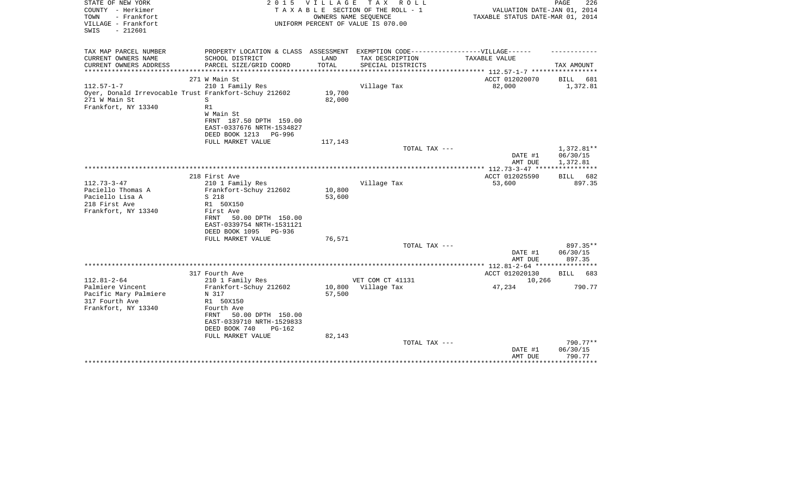| STATE OF NEW YORK<br>COUNTY - Herkimer                                 | 2 0 1 5                                                                           | VILLAGE             | TAX ROLL<br>TAXABLE SECTION OF THE ROLL - 1                | VALUATION DATE-JAN 01, 2014                             | PAGE<br>226            |
|------------------------------------------------------------------------|-----------------------------------------------------------------------------------|---------------------|------------------------------------------------------------|---------------------------------------------------------|------------------------|
| TOWN<br>- Frankfort<br>VILLAGE - Frankfort<br>$-212601$<br>SWIS        |                                                                                   |                     | OWNERS NAME SEQUENCE<br>UNIFORM PERCENT OF VALUE IS 070.00 | TAXABLE STATUS DATE-MAR 01, 2014                        |                        |
| TAX MAP PARCEL NUMBER                                                  | PROPERTY LOCATION & CLASS ASSESSMENT EXEMPTION CODE-----------------VILLAGE------ |                     |                                                            |                                                         |                        |
| CURRENT OWNERS NAME                                                    | SCHOOL DISTRICT                                                                   | LAND                | TAX DESCRIPTION                                            | TAXABLE VALUE                                           |                        |
| CURRENT OWNERS ADDRESS<br>*************                                | PARCEL SIZE/GRID COORD                                                            | TOTAL<br>********** | SPECIAL DISTRICTS                                          | **************** 112.57-1-7 ******************          | TAX AMOUNT             |
|                                                                        | 271 W Main St                                                                     |                     |                                                            | ACCT 012020070                                          | BILL<br>681            |
| $112.57 - 1 - 7$                                                       | 210 1 Family Res                                                                  |                     | Village Tax                                                | 82,000                                                  | 1,372.81               |
| Oyer, Donald Irrevocable Trust Frankfort-Schuy 212602<br>271 W Main St | S                                                                                 | 19,700<br>82,000    |                                                            |                                                         |                        |
| Frankfort, NY 13340                                                    | R1                                                                                |                     |                                                            |                                                         |                        |
|                                                                        | W Main St                                                                         |                     |                                                            |                                                         |                        |
|                                                                        | FRNT 187.50 DPTH 159.00                                                           |                     |                                                            |                                                         |                        |
|                                                                        | EAST-0337676 NRTH-1534827<br>DEED BOOK 1213 PG-996                                |                     |                                                            |                                                         |                        |
|                                                                        | FULL MARKET VALUE                                                                 | 117,143             |                                                            |                                                         |                        |
|                                                                        |                                                                                   |                     | TOTAL TAX ---                                              |                                                         | 1,372.81**             |
|                                                                        |                                                                                   |                     |                                                            | DATE #1                                                 | 06/30/15               |
|                                                                        |                                                                                   |                     |                                                            | AMT DUE<br>************** 112.73-3-47 ***************** | 1,372.81               |
|                                                                        | 218 First Ave                                                                     |                     |                                                            | ACCT 012025590                                          | BILL 682               |
| $112.73 - 3 - 47$                                                      | 210 1 Family Res                                                                  |                     | Village Tax                                                | 53,600                                                  | 897.35                 |
| Paciello Thomas A                                                      | Frankfort-Schuy 212602                                                            | 10,800              |                                                            |                                                         |                        |
| Paciello Lisa A                                                        | S 218                                                                             | 53,600              |                                                            |                                                         |                        |
| 218 First Ave                                                          | R1 50X150                                                                         |                     |                                                            |                                                         |                        |
| Frankfort, NY 13340                                                    | First Ave<br>50.00 DPTH 150.00<br>FRNT                                            |                     |                                                            |                                                         |                        |
|                                                                        | EAST-0339754 NRTH-1531121                                                         |                     |                                                            |                                                         |                        |
|                                                                        | DEED BOOK 1095<br>PG-936                                                          |                     |                                                            |                                                         |                        |
|                                                                        | FULL MARKET VALUE                                                                 | 76,571              |                                                            |                                                         |                        |
|                                                                        |                                                                                   |                     | TOTAL TAX ---                                              |                                                         | 897.35**               |
|                                                                        |                                                                                   |                     |                                                            | DATE #1<br>AMT DUE                                      | 06/30/15<br>897.35     |
|                                                                        |                                                                                   |                     |                                                            | ************* 112.81-2-64 *****************             |                        |
|                                                                        | 317 Fourth Ave                                                                    |                     |                                                            | ACCT 012020130                                          | BILL<br>683            |
| $112.81 - 2 - 64$                                                      | 210 1 Family Res                                                                  |                     | VET COM CT 41131                                           | 10,266                                                  |                        |
| Palmiere Vincent                                                       | Frankfort-Schuy 212602                                                            |                     | 10,800 Village Tax                                         | 47,234                                                  | 790.77                 |
| Pacific Mary Palmiere<br>317 Fourth Ave                                | N 317<br>R1 50X150                                                                | 57,500              |                                                            |                                                         |                        |
| Frankfort, NY 13340                                                    | Fourth Ave                                                                        |                     |                                                            |                                                         |                        |
|                                                                        | 50.00 DPTH 150.00<br>FRNT                                                         |                     |                                                            |                                                         |                        |
|                                                                        | EAST-0339710 NRTH-1529833                                                         |                     |                                                            |                                                         |                        |
|                                                                        | DEED BOOK 740<br>$PG-162$                                                         |                     |                                                            |                                                         |                        |
|                                                                        | FULL MARKET VALUE                                                                 | 82,143              |                                                            |                                                         |                        |
|                                                                        |                                                                                   |                     | TOTAL TAX ---                                              | DATE #1                                                 | $790.77**$<br>06/30/15 |
|                                                                        |                                                                                   |                     |                                                            | AMT DUE                                                 | 790.77                 |
|                                                                        |                                                                                   |                     |                                                            |                                                         | <b>.</b> .             |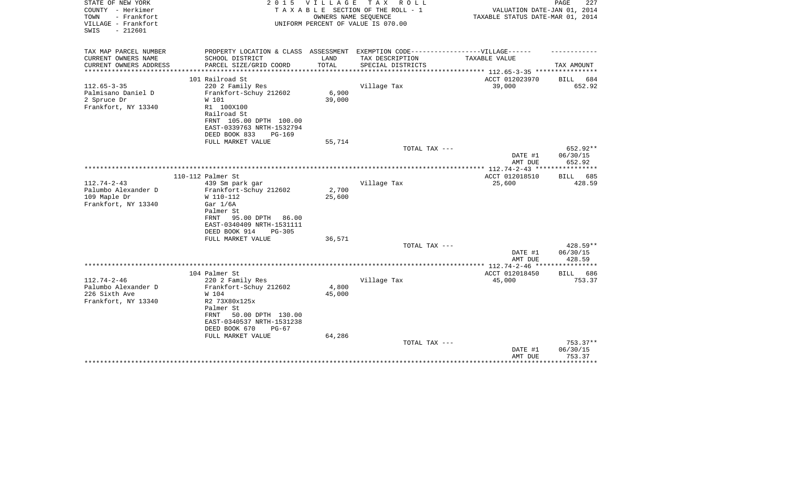| STATE OF NEW YORK<br>COUNTY - Herkimer<br>TOWN<br>- Frankfort<br>VILLAGE - Frankfort | 2 0 1 5                                                                           | <b>VILLAGE</b>         | T A X<br>R O L L<br>TAXABLE SECTION OF THE ROLL - 1<br>OWNERS NAME SEQUENCE<br>UNIFORM PERCENT OF VALUE IS 070.00 | VALUATION DATE-JAN 01, 2014<br>TAXABLE STATUS DATE-MAR 01, 2014 | PAGE<br>227                  |
|--------------------------------------------------------------------------------------|-----------------------------------------------------------------------------------|------------------------|-------------------------------------------------------------------------------------------------------------------|-----------------------------------------------------------------|------------------------------|
| $-212601$<br>SWIS                                                                    |                                                                                   |                        |                                                                                                                   |                                                                 |                              |
| TAX MAP PARCEL NUMBER                                                                | PROPERTY LOCATION & CLASS ASSESSMENT EXEMPTION CODE-----------------VILLAGE------ |                        |                                                                                                                   |                                                                 |                              |
| CURRENT OWNERS NAME                                                                  | SCHOOL DISTRICT                                                                   | LAND                   | TAX DESCRIPTION                                                                                                   | TAXABLE VALUE                                                   |                              |
| CURRENT OWNERS ADDRESS<br>********************                                       | PARCEL SIZE/GRID COORD<br>*****************************                           | TOTAL<br>************* | SPECIAL DISTRICTS                                                                                                 | **************** 112.65-3-35 ****************                   | TAX AMOUNT                   |
|                                                                                      | 101 Railroad St                                                                   |                        |                                                                                                                   | ACCT 012023970                                                  | BILL<br>684                  |
| $112.65 - 3 - 35$                                                                    | 220 2 Family Res                                                                  |                        | Village Tax                                                                                                       | 39,000                                                          | 652.92                       |
| Palmisano Daniel D                                                                   | Frankfort-Schuy 212602                                                            | 6,900                  |                                                                                                                   |                                                                 |                              |
| 2 Spruce Dr                                                                          | W 101                                                                             | 39,000                 |                                                                                                                   |                                                                 |                              |
| Frankfort, NY 13340                                                                  | R1 100X100                                                                        |                        |                                                                                                                   |                                                                 |                              |
|                                                                                      | Railroad St                                                                       |                        |                                                                                                                   |                                                                 |                              |
|                                                                                      | FRNT 105.00 DPTH 100.00<br>EAST-0339763 NRTH-1532794                              |                        |                                                                                                                   |                                                                 |                              |
|                                                                                      | DEED BOOK 833<br><b>PG-169</b>                                                    |                        |                                                                                                                   |                                                                 |                              |
|                                                                                      | FULL MARKET VALUE                                                                 | 55,714                 |                                                                                                                   |                                                                 |                              |
|                                                                                      |                                                                                   |                        | TOTAL TAX ---                                                                                                     |                                                                 | 652.92**                     |
|                                                                                      |                                                                                   |                        |                                                                                                                   | DATE #1                                                         | 06/30/15                     |
|                                                                                      |                                                                                   |                        |                                                                                                                   | AMT DUE                                                         | 652.92                       |
|                                                                                      |                                                                                   |                        |                                                                                                                   |                                                                 |                              |
| $112.74 - 2 - 43$                                                                    | 110-112 Palmer St                                                                 |                        | Village Tax                                                                                                       | ACCT 012018510                                                  | 685<br><b>BILL</b><br>428.59 |
| Palumbo Alexander D                                                                  | 439 Sm park gar<br>Frankfort-Schuy 212602                                         | 2,700                  |                                                                                                                   | 25,600                                                          |                              |
| 109 Maple Dr                                                                         | W 110-112                                                                         | 25,600                 |                                                                                                                   |                                                                 |                              |
| Frankfort, NY 13340                                                                  | Gar $1/6A$                                                                        |                        |                                                                                                                   |                                                                 |                              |
|                                                                                      | Palmer St                                                                         |                        |                                                                                                                   |                                                                 |                              |
|                                                                                      | 95.00 DPTH<br>FRNT<br>86.00                                                       |                        |                                                                                                                   |                                                                 |                              |
|                                                                                      | EAST-0340409 NRTH-1531111                                                         |                        |                                                                                                                   |                                                                 |                              |
|                                                                                      | DEED BOOK 914<br>$PG-305$                                                         |                        |                                                                                                                   |                                                                 |                              |
|                                                                                      | FULL MARKET VALUE                                                                 | 36,571                 |                                                                                                                   |                                                                 |                              |
|                                                                                      |                                                                                   |                        | TOTAL TAX ---                                                                                                     | DATE #1                                                         | 428.59**<br>06/30/15         |
|                                                                                      |                                                                                   |                        |                                                                                                                   | AMT DUE                                                         | 428.59                       |
|                                                                                      |                                                                                   |                        |                                                                                                                   |                                                                 |                              |
|                                                                                      | 104 Palmer St                                                                     |                        |                                                                                                                   | ACCT 012018450                                                  | 686<br>BILL                  |
| $112.74 - 2 - 46$                                                                    | 220 2 Family Res                                                                  |                        | Village Tax                                                                                                       | 45,000                                                          | 753.37                       |
| Palumbo Alexander D                                                                  | Frankfort-Schuy 212602                                                            | 4,800                  |                                                                                                                   |                                                                 |                              |
| 226 Sixth Ave                                                                        | W 104                                                                             | 45,000                 |                                                                                                                   |                                                                 |                              |
| Frankfort, NY 13340                                                                  | R2 73X80x125x                                                                     |                        |                                                                                                                   |                                                                 |                              |
|                                                                                      | Palmer St<br>FRNT<br>50.00 DPTH 130.00                                            |                        |                                                                                                                   |                                                                 |                              |
|                                                                                      | EAST-0340537 NRTH-1531238                                                         |                        |                                                                                                                   |                                                                 |                              |
|                                                                                      | DEED BOOK 670<br>$PG-67$                                                          |                        |                                                                                                                   |                                                                 |                              |
|                                                                                      | FULL MARKET VALUE                                                                 | 64,286                 |                                                                                                                   |                                                                 |                              |
|                                                                                      |                                                                                   |                        | TOTAL TAX ---                                                                                                     |                                                                 | $753.37**$                   |
|                                                                                      |                                                                                   |                        |                                                                                                                   | DATE #1                                                         | 06/30/15                     |
|                                                                                      |                                                                                   |                        |                                                                                                                   | AMT DUE                                                         | 753.37<br>********           |
|                                                                                      |                                                                                   |                        |                                                                                                                   |                                                                 |                              |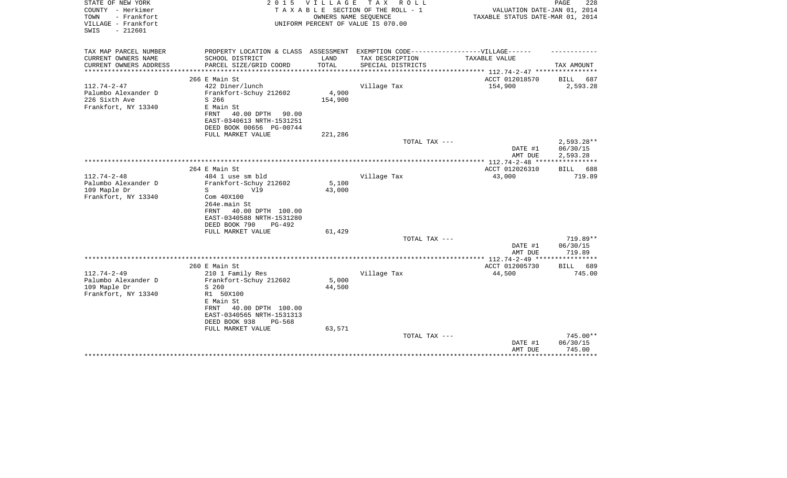| STATE OF NEW YORK<br>COUNTY - Herkimer<br>- Frankfort<br>TOWN<br>VILLAGE - Frankfort<br>$-212601$<br>SWIS | 2 0 1 5                                                                                                                                                                                   | VILLAGE<br>OWNERS NAME SEQUENCE | TAX ROLL<br>TAXABLE SECTION OF THE ROLL - 1<br>UNIFORM PERCENT OF VALUE IS 070.00 | VALUATION DATE-JAN 01, 2014<br>TAXABLE STATUS DATE-MAR 01, 2014 | PAGE<br>228                          |
|-----------------------------------------------------------------------------------------------------------|-------------------------------------------------------------------------------------------------------------------------------------------------------------------------------------------|---------------------------------|-----------------------------------------------------------------------------------|-----------------------------------------------------------------|--------------------------------------|
| TAX MAP PARCEL NUMBER<br>CURRENT OWNERS NAME                                                              | PROPERTY LOCATION & CLASS ASSESSMENT EXEMPTION CODE-----------------VILLAGE------                                                                                                         | LAND                            |                                                                                   | TAXABLE VALUE                                                   |                                      |
| CURRENT OWNERS ADDRESS                                                                                    | SCHOOL DISTRICT<br>PARCEL SIZE/GRID COORD                                                                                                                                                 | TOTAL                           | TAX DESCRIPTION<br>SPECIAL DISTRICTS                                              |                                                                 | TAX AMOUNT                           |
|                                                                                                           |                                                                                                                                                                                           |                                 |                                                                                   | ************ 112.74-2-47 *****************                      |                                      |
|                                                                                                           | 266 E Main St                                                                                                                                                                             |                                 |                                                                                   | ACCT 012018570                                                  | BILL<br>687                          |
| $112.74 - 2 - 47$<br>Palumbo Alexander D<br>226 Sixth Ave<br>Frankfort, NY 13340                          | 422 Diner/lunch<br>Frankfort-Schuy 212602<br>S 266<br>E Main St<br>FRNT<br>40.00 DPTH<br>90.00<br>EAST-0340613 NRTH-1531251<br>DEED BOOK 00656 PG-00744                                   | 4,900<br>154,900                | Village Tax                                                                       | 154,900                                                         | 2,593.28                             |
|                                                                                                           | FULL MARKET VALUE                                                                                                                                                                         | 221,286                         |                                                                                   |                                                                 |                                      |
|                                                                                                           |                                                                                                                                                                                           |                                 | TOTAL TAX ---                                                                     | DATE #1<br>AMT DUE                                              | $2,593.28**$<br>06/30/15<br>2,593.28 |
|                                                                                                           |                                                                                                                                                                                           |                                 |                                                                                   |                                                                 | ***********                          |
| $112.74 - 2 - 48$                                                                                         | 264 E Main St<br>484 1 use sm bld                                                                                                                                                         |                                 | Village Tax                                                                       | ACCT 012026310<br>43,000                                        | BILL 688<br>719.89                   |
| Palumbo Alexander D<br>109 Maple Dr<br>Frankfort, NY 13340                                                | Frankfort-Schuy 212602<br>S<br>V19<br>Com 40X100<br>264e.main St<br>FRNT 40.00 DPTH 100.00<br>EAST-0340588 NRTH-1531280<br>DEED BOOK 790<br>PG-492                                        | 5,100<br>43,000                 |                                                                                   |                                                                 |                                      |
|                                                                                                           | FULL MARKET VALUE                                                                                                                                                                         | 61,429                          | TOTAL TAX ---                                                                     |                                                                 | 719.89**                             |
|                                                                                                           |                                                                                                                                                                                           |                                 |                                                                                   | DATE #1<br>AMT DUE                                              | 06/30/15<br>719.89                   |
|                                                                                                           |                                                                                                                                                                                           |                                 |                                                                                   |                                                                 |                                      |
|                                                                                                           | 260 E Main St                                                                                                                                                                             |                                 |                                                                                   | ACCT 012005730                                                  | 689<br>BILL                          |
| $112.74 - 2 - 49$<br>Palumbo Alexander D<br>109 Maple Dr<br>Frankfort, NY 13340                           | 210 1 Family Res<br>Frankfort-Schuy 212602<br>S 260<br>R1 50X100<br>E Main St<br>40.00 DPTH 100.00<br>FRNT<br>EAST-0340565 NRTH-1531313<br>DEED BOOK 938<br>$PG-568$<br>FULL MARKET VALUE | 5,000<br>44,500<br>63,571       | Village Tax                                                                       | 44,500                                                          | 745.00                               |
|                                                                                                           |                                                                                                                                                                                           |                                 | TOTAL TAX ---                                                                     | DATE #1<br>AMT DUE                                              | $745.00**$<br>06/30/15<br>745.00     |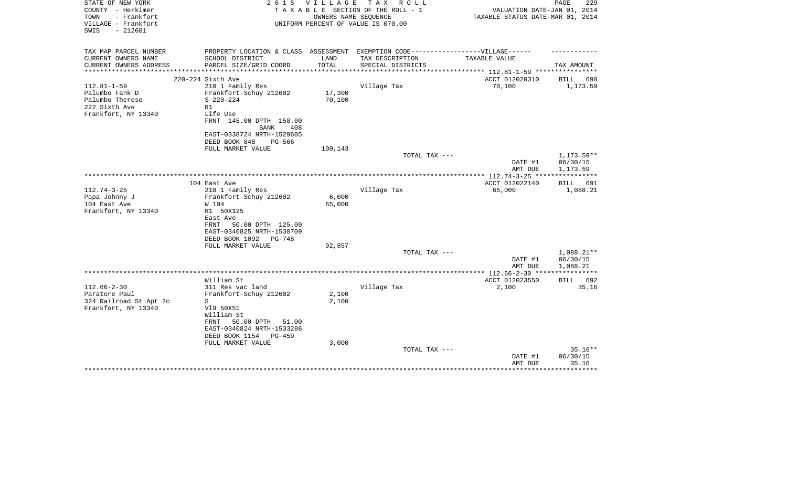| STATE OF NEW YORK<br>COUNTY - Herkimer<br>- Frankfort<br>TOWN<br>VILLAGE - Frankfort<br>$-212601$<br>SWIS | 2 0 1 5                                                                          | V I L L A G E<br>OWNERS NAME SEOUENCE | TAX ROLL<br>TAXABLE SECTION OF THE ROLL - 1<br>UNIFORM PERCENT OF VALUE IS 070.00 | VALUATION DATE-JAN 01, 2014<br>TAXABLE STATUS DATE-MAR 01, 2014 | 229<br>PAGE                        |
|-----------------------------------------------------------------------------------------------------------|----------------------------------------------------------------------------------|---------------------------------------|-----------------------------------------------------------------------------------|-----------------------------------------------------------------|------------------------------------|
| TAX MAP PARCEL NUMBER                                                                                     | PROPERTY LOCATION & CLASS ASSESSMENT EXEMPTION CODE----------------VILLAGE------ |                                       |                                                                                   |                                                                 |                                    |
| CURRENT OWNERS NAME<br>CURRENT OWNERS ADDRESS<br>****************                                         | SCHOOL DISTRICT<br>PARCEL SIZE/GRID COORD                                        | LAND<br>TOTAL<br>***********          | TAX DESCRIPTION<br>SPECIAL DISTRICTS                                              | TAXABLE VALUE<br>******************** 112.81-1-59 **********    | TAX AMOUNT                         |
|                                                                                                           | 220-224 Sixth Ave                                                                |                                       |                                                                                   | ACCT 012020310                                                  | BILL<br>690                        |
| $112.81 - 1 - 59$                                                                                         | 210 1 Family Res                                                                 |                                       | Village Tax                                                                       | 70,100                                                          | 1,173.59                           |
| Palumbo Fank D                                                                                            | Frankfort-Schuy 212602                                                           | 17,300                                |                                                                                   |                                                                 |                                    |
| Palumbo Therese                                                                                           | $S$ 220-224                                                                      | 70,100                                |                                                                                   |                                                                 |                                    |
| 222 Sixth Ave                                                                                             | R1                                                                               |                                       |                                                                                   |                                                                 |                                    |
| Frankfort, NY 13340                                                                                       | Life Use                                                                         |                                       |                                                                                   |                                                                 |                                    |
|                                                                                                           | FRNT 145.00 DPTH 150.00<br>BANK<br>408                                           |                                       |                                                                                   |                                                                 |                                    |
|                                                                                                           | EAST-0338724 NRTH-1529605                                                        |                                       |                                                                                   |                                                                 |                                    |
|                                                                                                           | DEED BOOK 848<br>PG-566                                                          |                                       |                                                                                   |                                                                 |                                    |
|                                                                                                           | FULL MARKET VALUE                                                                | 100,143                               |                                                                                   |                                                                 |                                    |
|                                                                                                           |                                                                                  |                                       | TOTAL TAX ---                                                                     | DATE #1<br>AMT DUE                                              | 1,173.59**<br>06/30/15<br>1,173.59 |
|                                                                                                           |                                                                                  |                                       |                                                                                   |                                                                 |                                    |
|                                                                                                           | 104 East Ave                                                                     |                                       |                                                                                   | ACCT 012022140                                                  | <b>BILL</b><br>691                 |
| $112.74 - 3 - 25$                                                                                         | 210 1 Family Res                                                                 |                                       | Village Tax                                                                       | 65,000                                                          | 1,088.21                           |
| Papa Johnny J                                                                                             | Frankfort-Schuy 212602                                                           | 6,000                                 |                                                                                   |                                                                 |                                    |
| 104 East Ave<br>Frankfort, NY 13340                                                                       | W 104<br>R1 50X125                                                               | 65,000                                |                                                                                   |                                                                 |                                    |
|                                                                                                           | East Ave                                                                         |                                       |                                                                                   |                                                                 |                                    |
|                                                                                                           | 50.00 DPTH 125.00<br>FRNT                                                        |                                       |                                                                                   |                                                                 |                                    |
|                                                                                                           | EAST-0340825 NRTH-1530709                                                        |                                       |                                                                                   |                                                                 |                                    |
|                                                                                                           | DEED BOOK 1092<br>PG-748                                                         |                                       |                                                                                   |                                                                 |                                    |
|                                                                                                           | FULL MARKET VALUE                                                                | 92,857                                |                                                                                   |                                                                 |                                    |
|                                                                                                           |                                                                                  |                                       | TOTAL TAX ---                                                                     |                                                                 | $1,088.21**$                       |
|                                                                                                           |                                                                                  |                                       |                                                                                   | DATE #1                                                         | 06/30/15                           |
|                                                                                                           |                                                                                  |                                       |                                                                                   | AMT DUE                                                         | 1,088.21                           |
|                                                                                                           | William St                                                                       |                                       |                                                                                   | ACCT 012023550                                                  | BILL 692                           |
| $112.66 - 2 - 30$                                                                                         | 311 Res vac land                                                                 |                                       | Village Tax                                                                       | 2,100                                                           | 35.16                              |
| Paratore Paul                                                                                             | Frankfort-Schuy 212602                                                           | 2,100                                 |                                                                                   |                                                                 |                                    |
| 324 Railroad St Apt 2c                                                                                    | S                                                                                | 2,100                                 |                                                                                   |                                                                 |                                    |
| Frankfort, NY 13340                                                                                       | V19 50X51                                                                        |                                       |                                                                                   |                                                                 |                                    |
|                                                                                                           | William St                                                                       |                                       |                                                                                   |                                                                 |                                    |
|                                                                                                           | 50.00 DPTH<br>FRNT<br>51.00                                                      |                                       |                                                                                   |                                                                 |                                    |
|                                                                                                           | EAST-0340824 NRTH-1533286<br>DEED BOOK 1154<br>PG-459                            |                                       |                                                                                   |                                                                 |                                    |
|                                                                                                           | FULL MARKET VALUE                                                                | 3,000                                 |                                                                                   |                                                                 |                                    |
|                                                                                                           |                                                                                  |                                       | TOTAL TAX ---                                                                     |                                                                 | $35.16**$                          |
|                                                                                                           |                                                                                  |                                       |                                                                                   | DATE #1                                                         | 06/30/15                           |
|                                                                                                           |                                                                                  |                                       |                                                                                   | AMT DUE                                                         | 35.16                              |
|                                                                                                           |                                                                                  |                                       |                                                                                   |                                                                 |                                    |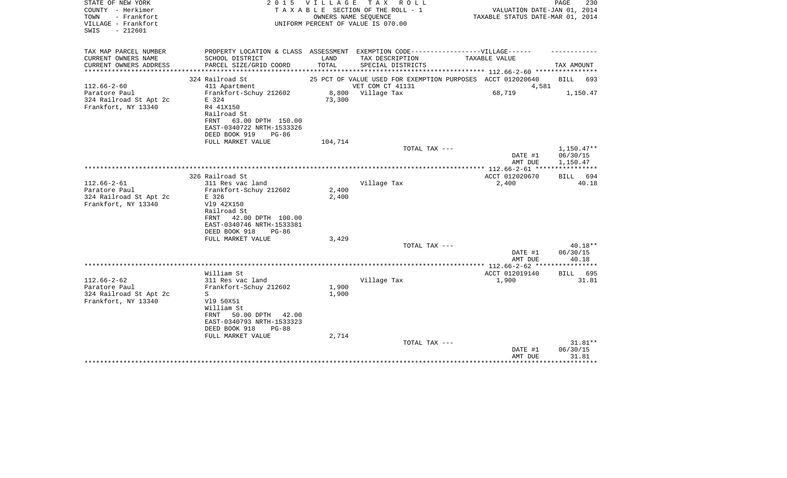| STATE OF NEW YORK<br>COUNTY - Herkimer<br>- Frankfort<br>TOWN<br>VILLAGE - Frankfort<br>$-212601$<br>SWIS |                                                                                                                                                                        |                | 2015 VILLAGE TAX ROLL<br>TAXABLE SECTION OF THE ROLL - 1<br>OWNERS NAME SEOUENCE<br>UNIFORM PERCENT OF VALUE IS 070.00 | VALUATION DATE-JAN 01, 2014<br>TAXABLE STATUS DATE-MAR 01, 2014 | PAGE<br>230                        |
|-----------------------------------------------------------------------------------------------------------|------------------------------------------------------------------------------------------------------------------------------------------------------------------------|----------------|------------------------------------------------------------------------------------------------------------------------|-----------------------------------------------------------------|------------------------------------|
| TAX MAP PARCEL NUMBER<br>CURRENT OWNERS NAME                                                              | PROPERTY LOCATION & CLASS ASSESSMENT EXEMPTION CODE-----------------VILLAGE------<br>SCHOOL DISTRICT                                                                   | LAND           | TAX DESCRIPTION                                                                                                        | TAXABLE VALUE                                                   |                                    |
| CURRENT OWNERS ADDRESS<br>*****************                                                               | PARCEL SIZE/GRID COORD                                                                                                                                                 | TOTAL          | SPECIAL DISTRICTS                                                                                                      |                                                                 | TAX AMOUNT                         |
|                                                                                                           | 324 Railroad St                                                                                                                                                        |                | 25 PCT OF VALUE USED FOR EXEMPTION PURPOSES ACCT 012020640                                                             |                                                                 | <b>BILL</b><br>693                 |
| $112.66 - 2 - 60$                                                                                         | 411 Apartment                                                                                                                                                          |                | VET COM CT 41131                                                                                                       | 4,581                                                           |                                    |
| Paratore Paul<br>324 Railroad St Apt 2c<br>Frankfort, NY 13340                                            | Frankfort-Schuy 212602<br>E 324<br>R4 41X150<br>Railroad St<br>FRNT<br>63.00 DPTH 150.00<br>EAST-0340722 NRTH-1533326                                                  | 73,300         | 8,800 Village Tax                                                                                                      | 68,719                                                          | 1,150.47                           |
|                                                                                                           | DEED BOOK 919<br>$PG-86$                                                                                                                                               |                |                                                                                                                        |                                                                 |                                    |
|                                                                                                           | FULL MARKET VALUE                                                                                                                                                      | 104,714        |                                                                                                                        |                                                                 |                                    |
|                                                                                                           |                                                                                                                                                                        |                | TOTAL TAX ---                                                                                                          | DATE #1<br>AMT DUE                                              | 1,150.47**<br>06/30/15<br>1,150.47 |
|                                                                                                           |                                                                                                                                                                        |                |                                                                                                                        |                                                                 |                                    |
|                                                                                                           | 326 Railroad St                                                                                                                                                        |                |                                                                                                                        | ACCT 012020670                                                  | BILL 694                           |
| $112.66 - 2 - 61$<br>Paratore Paul<br>324 Railroad St Apt 2c<br>Frankfort, NY 13340                       | 311 Res vac land<br>Frankfort-Schuy 212602<br>E 326<br>V19 42X150<br>Railroad St<br>42.00 DPTH 100.00<br>FRNT<br>EAST-0340746 NRTH-1533381<br>DEED BOOK 918<br>$PG-86$ | 2,400<br>2,400 | Village Tax                                                                                                            | 2,400                                                           | 40.18                              |
|                                                                                                           | FULL MARKET VALUE                                                                                                                                                      | 3,429          |                                                                                                                        |                                                                 |                                    |
|                                                                                                           |                                                                                                                                                                        |                | TOTAL TAX ---                                                                                                          | DATE #1<br>AMT DUE                                              | $40.18**$<br>06/30/15<br>40.18     |
|                                                                                                           |                                                                                                                                                                        |                |                                                                                                                        | *************** 112.66-2-62 *****************                   |                                    |
|                                                                                                           | William St                                                                                                                                                             |                |                                                                                                                        | ACCT 012019140                                                  | BILL 695                           |
| $112.66 - 2 - 62$<br>Paratore Paul<br>324 Railroad St Apt 2c<br>Frankfort, NY 13340                       | 311 Res vac land<br>Frankfort-Schuy 212602<br>S<br>V19 50X51<br>William St<br>50.00 DPTH<br>FRNT<br>42.00<br>EAST-0340793 NRTH-1533323                                 | 1,900<br>1,900 | Village Tax                                                                                                            | 1,900                                                           | 31.81                              |
|                                                                                                           | DEED BOOK 918<br>$PG-88$                                                                                                                                               |                |                                                                                                                        |                                                                 |                                    |
|                                                                                                           | FULL MARKET VALUE                                                                                                                                                      | 2,714          |                                                                                                                        |                                                                 |                                    |
|                                                                                                           |                                                                                                                                                                        |                | TOTAL TAX ---                                                                                                          | DATE #1<br>AMT DUE                                              | $31.81**$<br>06/30/15<br>31.81     |
|                                                                                                           |                                                                                                                                                                        |                |                                                                                                                        |                                                                 | **********                         |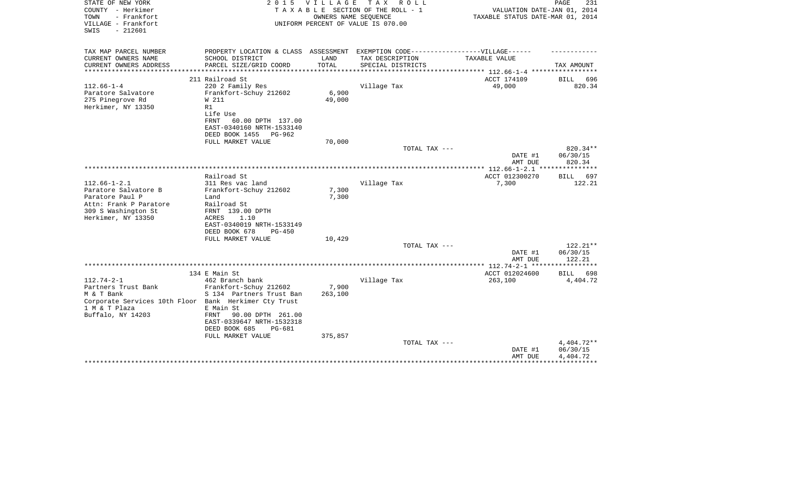| STATE OF NEW YORK<br>COUNTY - Herkimer<br>- Frankfort<br>TOWN<br>VILLAGE - Frankfort<br>SWIS<br>$-212601$ | 2 0 1 5                                       | V I L L A G E | T A X<br>R O L L<br>TAXABLE SECTION OF THE ROLL - 1<br>OWNERS NAME SEQUENCE<br>UNIFORM PERCENT OF VALUE IS 070.00 | VALUATION DATE-JAN 01, 2014<br>TAXABLE STATUS DATE-MAR 01, 2014          | PAGE<br>231        |
|-----------------------------------------------------------------------------------------------------------|-----------------------------------------------|---------------|-------------------------------------------------------------------------------------------------------------------|--------------------------------------------------------------------------|--------------------|
|                                                                                                           |                                               |               |                                                                                                                   |                                                                          |                    |
| TAX MAP PARCEL NUMBER                                                                                     | PROPERTY LOCATION & CLASS ASSESSMENT          |               | EXEMPTION CODE-----------------VILLAGE------                                                                      |                                                                          |                    |
| CURRENT OWNERS NAME                                                                                       | SCHOOL DISTRICT                               | LAND          | TAX DESCRIPTION                                                                                                   | TAXABLE VALUE                                                            |                    |
| CURRENT OWNERS ADDRESS<br>****************                                                                | PARCEL SIZE/GRID COORD                        | TOTAL         | SPECIAL DISTRICTS                                                                                                 |                                                                          | TAX AMOUNT         |
|                                                                                                           | 211 Railroad St                               |               |                                                                                                                   | *************************** 112.66-1-4 ******************<br>ACCT 174109 | BILL<br>696        |
| $112.66 - 1 - 4$                                                                                          | 220 2 Family Res                              |               | Village Tax                                                                                                       | 49,000                                                                   | 820.34             |
| Paratore Salvatore                                                                                        | Frankfort-Schuy 212602                        | 6,900         |                                                                                                                   |                                                                          |                    |
| 275 Pinegrove Rd                                                                                          | W 211                                         | 49,000        |                                                                                                                   |                                                                          |                    |
| Herkimer, NY 13350                                                                                        | R1                                            |               |                                                                                                                   |                                                                          |                    |
|                                                                                                           | Life Use                                      |               |                                                                                                                   |                                                                          |                    |
|                                                                                                           | 60.00 DPTH 137.00<br>FRNT                     |               |                                                                                                                   |                                                                          |                    |
|                                                                                                           | EAST-0340160 NRTH-1533140                     |               |                                                                                                                   |                                                                          |                    |
|                                                                                                           | DEED BOOK 1455<br>PG-962<br>FULL MARKET VALUE | 70,000        |                                                                                                                   |                                                                          |                    |
|                                                                                                           |                                               |               | TOTAL TAX ---                                                                                                     |                                                                          | 820.34**           |
|                                                                                                           |                                               |               |                                                                                                                   | DATE #1                                                                  | 06/30/15           |
|                                                                                                           |                                               |               |                                                                                                                   | AMT DUE                                                                  | 820.34             |
|                                                                                                           |                                               |               |                                                                                                                   |                                                                          |                    |
|                                                                                                           | Railroad St                                   |               |                                                                                                                   | ACCT 012300270                                                           | <b>BILL</b><br>697 |
| $112.66 - 1 - 2.1$                                                                                        | 311 Res vac land                              |               | Village Tax                                                                                                       | 7,300                                                                    | 122.21             |
| Paratore Salvatore B                                                                                      | Frankfort-Schuy 212602                        | 7,300         |                                                                                                                   |                                                                          |                    |
| Paratore Paul P<br>Attn: Frank P Paratore                                                                 | Land                                          | 7,300         |                                                                                                                   |                                                                          |                    |
| 309 S Washington St                                                                                       | Railroad St<br>FRNT 139.00 DPTH               |               |                                                                                                                   |                                                                          |                    |
| Herkimer, NY 13350                                                                                        | 1.10<br>ACRES                                 |               |                                                                                                                   |                                                                          |                    |
|                                                                                                           | EAST-0340019 NRTH-1533149                     |               |                                                                                                                   |                                                                          |                    |
|                                                                                                           | DEED BOOK 678<br>$PG-450$                     |               |                                                                                                                   |                                                                          |                    |
|                                                                                                           | FULL MARKET VALUE                             | 10,429        |                                                                                                                   |                                                                          |                    |
|                                                                                                           |                                               |               | TOTAL TAX ---                                                                                                     |                                                                          | 122.21**           |
|                                                                                                           |                                               |               |                                                                                                                   | DATE #1                                                                  | 06/30/15           |
|                                                                                                           |                                               |               |                                                                                                                   | AMT DUE                                                                  | 122.21             |
|                                                                                                           | 134 E Main St                                 |               |                                                                                                                   | ACCT 012024600                                                           | 698<br><b>BILL</b> |
| $112.74 - 2 - 1$                                                                                          | 462 Branch bank                               |               | Village Tax                                                                                                       | 263,100                                                                  | 4,404.72           |
| Partners Trust Bank                                                                                       | Frankfort-Schuy 212602                        | 7,900         |                                                                                                                   |                                                                          |                    |
| M & T Bank                                                                                                | S 134 Partners Trust Ban                      | 263,100       |                                                                                                                   |                                                                          |                    |
| Corporate Services 10th Floor Bank Herkimer Cty Trust                                                     |                                               |               |                                                                                                                   |                                                                          |                    |
| 1 M & T Plaza                                                                                             | E Main St                                     |               |                                                                                                                   |                                                                          |                    |
| Buffalo, NY 14203                                                                                         | 90.00 DPTH 261.00<br>FRNT                     |               |                                                                                                                   |                                                                          |                    |
|                                                                                                           | EAST-0339647 NRTH-1532318                     |               |                                                                                                                   |                                                                          |                    |
|                                                                                                           | DEED BOOK 685<br>PG-681<br>FULL MARKET VALUE  | 375,857       |                                                                                                                   |                                                                          |                    |
|                                                                                                           |                                               |               | TOTAL TAX ---                                                                                                     |                                                                          | $4,404.72**$       |
|                                                                                                           |                                               |               |                                                                                                                   | DATE #1                                                                  | 06/30/15           |
|                                                                                                           |                                               |               |                                                                                                                   | AMT DUE                                                                  | 4,404.72           |
|                                                                                                           |                                               |               |                                                                                                                   |                                                                          | ***********        |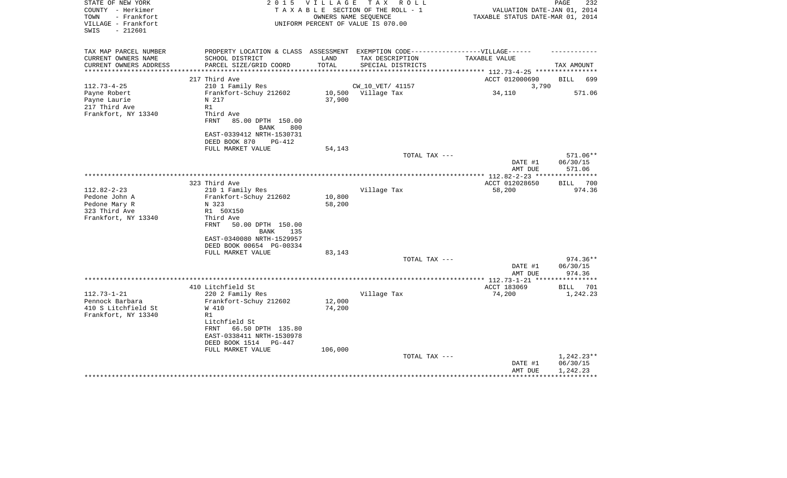| STATE OF NEW YORK<br>COUNTY - Herkimer<br>- Frankfort<br>TOWN<br>VILLAGE - Frankfort<br>$-212601$<br>SWIS | 2 0 1 5                                                                           | V I L L A G E | T A X<br>R O L L<br>TAXABLE SECTION OF THE ROLL - 1<br>OWNERS NAME SEOUENCE<br>UNIFORM PERCENT OF VALUE IS 070.00 | VALUATION DATE-JAN 01, 2014<br>TAXABLE STATUS DATE-MAR 01, 2014 | PAGE<br>232        |
|-----------------------------------------------------------------------------------------------------------|-----------------------------------------------------------------------------------|---------------|-------------------------------------------------------------------------------------------------------------------|-----------------------------------------------------------------|--------------------|
| TAX MAP PARCEL NUMBER                                                                                     | PROPERTY LOCATION & CLASS ASSESSMENT EXEMPTION CODE-----------------VILLAGE------ |               |                                                                                                                   |                                                                 |                    |
| CURRENT OWNERS NAME<br>CURRENT OWNERS ADDRESS                                                             | SCHOOL DISTRICT<br>PARCEL SIZE/GRID COORD                                         | LAND<br>TOTAL | TAX DESCRIPTION<br>SPECIAL DISTRICTS                                                                              | TAXABLE VALUE                                                   | TAX AMOUNT         |
| **********************                                                                                    | ***************************                                                       |               |                                                                                                                   |                                                                 |                    |
|                                                                                                           | 217 Third Ave                                                                     |               |                                                                                                                   | ACCT 012000690                                                  | BILL<br>699        |
| $112.73 - 4 - 25$                                                                                         | 210 1 Family Res                                                                  |               | CW_10_VET/ 41157                                                                                                  | 3,790                                                           |                    |
| Payne Robert                                                                                              | Frankfort-Schuy 212602                                                            | 10,500        | Village Tax                                                                                                       | 34,110                                                          | 571.06             |
| Payne Laurie                                                                                              | N 217                                                                             | 37,900        |                                                                                                                   |                                                                 |                    |
| 217 Third Ave                                                                                             | R1                                                                                |               |                                                                                                                   |                                                                 |                    |
| Frankfort, NY 13340                                                                                       | Third Ave                                                                         |               |                                                                                                                   |                                                                 |                    |
|                                                                                                           | <b>FRNT</b><br>85.00 DPTH 150.00                                                  |               |                                                                                                                   |                                                                 |                    |
|                                                                                                           | BANK<br>800                                                                       |               |                                                                                                                   |                                                                 |                    |
|                                                                                                           | EAST-0339412 NRTH-1530731                                                         |               |                                                                                                                   |                                                                 |                    |
|                                                                                                           | DEED BOOK 870<br>PG-412<br>FULL MARKET VALUE                                      |               |                                                                                                                   |                                                                 |                    |
|                                                                                                           |                                                                                   | 54,143        | TOTAL TAX ---                                                                                                     |                                                                 | 571.06**           |
|                                                                                                           |                                                                                   |               |                                                                                                                   | DATE #1                                                         | 06/30/15           |
|                                                                                                           |                                                                                   |               |                                                                                                                   | AMT DUE                                                         | 571.06             |
|                                                                                                           |                                                                                   |               |                                                                                                                   |                                                                 |                    |
|                                                                                                           | 323 Third Ave                                                                     |               |                                                                                                                   | ACCT 012028650                                                  | 700<br>BILL        |
| $112.82 - 2 - 23$                                                                                         | 210 1 Family Res                                                                  |               | Village Tax                                                                                                       | 58,200                                                          | 974.36             |
| Pedone John A                                                                                             | Frankfort-Schuy 212602                                                            | 10,800        |                                                                                                                   |                                                                 |                    |
| Pedone Mary R                                                                                             | N 323                                                                             | 58,200        |                                                                                                                   |                                                                 |                    |
| 323 Third Ave                                                                                             | R1 50X150                                                                         |               |                                                                                                                   |                                                                 |                    |
| Frankfort, NY 13340                                                                                       | Third Ave                                                                         |               |                                                                                                                   |                                                                 |                    |
|                                                                                                           | FRNT<br>50.00 DPTH 150.00                                                         |               |                                                                                                                   |                                                                 |                    |
|                                                                                                           | <b>BANK</b><br>135                                                                |               |                                                                                                                   |                                                                 |                    |
|                                                                                                           | EAST-0340080 NRTH-1529957<br>DEED BOOK 00654 PG-00334                             |               |                                                                                                                   |                                                                 |                    |
|                                                                                                           | FULL MARKET VALUE                                                                 | 83,143        |                                                                                                                   |                                                                 |                    |
|                                                                                                           |                                                                                   |               | TOTAL TAX ---                                                                                                     |                                                                 | $974.36**$         |
|                                                                                                           |                                                                                   |               |                                                                                                                   | DATE #1                                                         | 06/30/15           |
|                                                                                                           |                                                                                   |               |                                                                                                                   | AMT DUE                                                         | 974.36             |
|                                                                                                           |                                                                                   |               |                                                                                                                   |                                                                 |                    |
|                                                                                                           | 410 Litchfield St                                                                 |               |                                                                                                                   | ACCT 183069                                                     | <b>BILL</b><br>701 |
| $112.73 - 1 - 21$                                                                                         | 220 2 Family Res                                                                  |               | Village Tax                                                                                                       | 74,200                                                          | 1,242.23           |
| Pennock Barbara                                                                                           | Frankfort-Schuy 212602                                                            | 12,000        |                                                                                                                   |                                                                 |                    |
| 410 S Litchfield St                                                                                       | W 410                                                                             | 74,200        |                                                                                                                   |                                                                 |                    |
| Frankfort, NY 13340                                                                                       | R1                                                                                |               |                                                                                                                   |                                                                 |                    |
|                                                                                                           | Litchfield St                                                                     |               |                                                                                                                   |                                                                 |                    |
|                                                                                                           | 66.50 DPTH 135.80<br>FRNT                                                         |               |                                                                                                                   |                                                                 |                    |
|                                                                                                           | EAST-0338411 NRTH-1530978<br>DEED BOOK 1514<br>PG-447                             |               |                                                                                                                   |                                                                 |                    |
|                                                                                                           | FULL MARKET VALUE                                                                 | 106,000       |                                                                                                                   |                                                                 |                    |
|                                                                                                           |                                                                                   |               | TOTAL TAX ---                                                                                                     |                                                                 | $1,242.23**$       |
|                                                                                                           |                                                                                   |               |                                                                                                                   | DATE #1                                                         | 06/30/15           |
|                                                                                                           |                                                                                   |               |                                                                                                                   | AMT DUE                                                         | 1,242.23           |
|                                                                                                           |                                                                                   |               |                                                                                                                   |                                                                 |                    |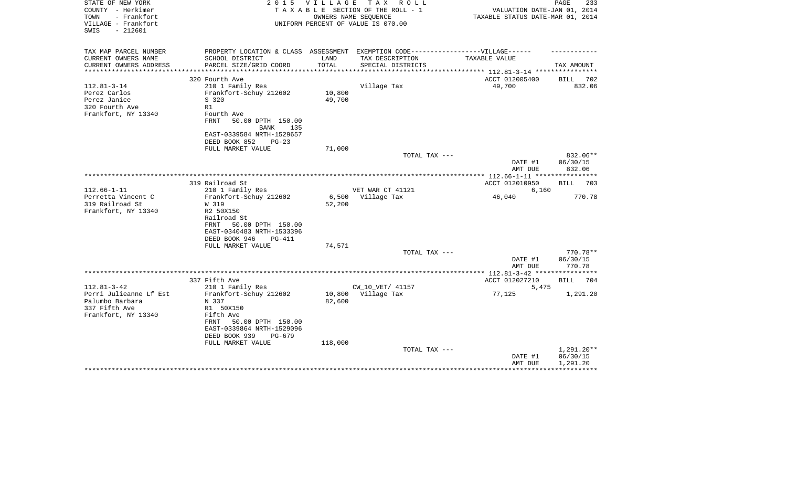| STATE OF NEW YORK<br>COUNTY - Herkimer<br>- Frankfort<br>TOWN<br>VILLAGE - Frankfort<br>$-212601$<br>SWIS | 2 0 1 5                                                                            | VILLAGE | TAX ROLL<br>TAXABLE SECTION OF THE ROLL - 1<br>OWNERS NAME SEQUENCE<br>UNIFORM PERCENT OF VALUE IS 070.00 | VALUATION DATE-JAN 01, 2014<br>TAXABLE STATUS DATE-MAR 01, 2014 | PAGE<br>233                    |
|-----------------------------------------------------------------------------------------------------------|------------------------------------------------------------------------------------|---------|-----------------------------------------------------------------------------------------------------------|-----------------------------------------------------------------|--------------------------------|
| TAX MAP PARCEL NUMBER                                                                                     | PROPERTY LOCATION & CLASS ASSESSMENT EXEMPTION CODE----------------VILLAGE------   |         |                                                                                                           |                                                                 |                                |
| CURRENT OWNERS NAME                                                                                       | SCHOOL DISTRICT                                                                    | LAND    | TAX DESCRIPTION                                                                                           | TAXABLE VALUE                                                   |                                |
| CURRENT OWNERS ADDRESS<br>********************                                                            | PARCEL SIZE/GRID COORD                                                             | TOTAL   | SPECIAL DISTRICTS                                                                                         |                                                                 | TAX AMOUNT                     |
|                                                                                                           | 320 Fourth Ave                                                                     |         |                                                                                                           | ACCT 012005400                                                  | <b>BILL</b><br>702             |
| $112.81 - 3 - 14$                                                                                         | 210 1 Family Res                                                                   |         | Village Tax                                                                                               | 49,700                                                          | 832.06                         |
| Perez Carlos                                                                                              | Frankfort-Schuy 212602                                                             | 10,800  |                                                                                                           |                                                                 |                                |
| Perez Janice                                                                                              | S 320                                                                              | 49,700  |                                                                                                           |                                                                 |                                |
| 320 Fourth Ave                                                                                            | R1                                                                                 |         |                                                                                                           |                                                                 |                                |
| Frankfort, NY 13340                                                                                       | Fourth Ave<br><b>FRNT</b><br>50.00 DPTH 150.00<br><b>BANK</b><br>135               |         |                                                                                                           |                                                                 |                                |
|                                                                                                           | EAST-0339584 NRTH-1529657<br>DEED BOOK 852<br>$PG-23$                              |         |                                                                                                           |                                                                 |                                |
|                                                                                                           | FULL MARKET VALUE                                                                  | 71,000  |                                                                                                           |                                                                 |                                |
|                                                                                                           |                                                                                    |         | TOTAL TAX ---                                                                                             | DATE #1<br>AMT DUE                                              | 832.06**<br>06/30/15<br>832.06 |
|                                                                                                           |                                                                                    |         |                                                                                                           | *************** 112.66-1-11 *****************                   |                                |
|                                                                                                           | 319 Railroad St                                                                    |         |                                                                                                           | ACCT 012010950                                                  | <b>BILL</b><br>703             |
| $112.66 - 1 - 11$                                                                                         | 210 1 Family Res                                                                   |         | VET WAR CT 41121                                                                                          | 6,160                                                           |                                |
| Perretta Vincent C                                                                                        | Frankfort-Schuy 212602                                                             | 6,500   | Village Tax                                                                                               | 46,040                                                          | 770.78                         |
| 319 Railroad St                                                                                           | W 319                                                                              | 52,200  |                                                                                                           |                                                                 |                                |
| Frankfort, NY 13340                                                                                       | R2 50X150<br>Railroad St<br>FRNT<br>50.00 DPTH 150.00<br>EAST-0340483 NRTH-1533396 |         |                                                                                                           |                                                                 |                                |
|                                                                                                           | DEED BOOK 946<br><b>PG-411</b>                                                     |         |                                                                                                           |                                                                 |                                |
|                                                                                                           | FULL MARKET VALUE                                                                  | 74,571  |                                                                                                           |                                                                 |                                |
|                                                                                                           |                                                                                    |         | TOTAL TAX ---                                                                                             | DATE #1                                                         | 770.78**<br>06/30/15           |
|                                                                                                           |                                                                                    |         |                                                                                                           | AMT DUE                                                         | 770.78                         |
|                                                                                                           |                                                                                    |         |                                                                                                           |                                                                 |                                |
|                                                                                                           | 337 Fifth Ave                                                                      |         |                                                                                                           | ACCT 012027210                                                  | BILL<br>704                    |
| $112.81 - 3 - 42$                                                                                         | 210 1 Family Res                                                                   |         | CW_10_VET/ 41157                                                                                          | 5,475                                                           |                                |
| Perri Julieanne Lf Est                                                                                    | Frankfort-Schuy 212602                                                             |         | 10,800 Village Tax                                                                                        | 77,125                                                          | 1,291.20                       |
| Palumbo Barbara                                                                                           | N 337                                                                              | 82,600  |                                                                                                           |                                                                 |                                |
| 337 Fifth Ave                                                                                             | R1 50X150                                                                          |         |                                                                                                           |                                                                 |                                |
| Frankfort, NY 13340                                                                                       | Fifth Ave                                                                          |         |                                                                                                           |                                                                 |                                |
|                                                                                                           | FRNT<br>50.00 DPTH 150.00<br>EAST-0339864 NRTH-1529096                             |         |                                                                                                           |                                                                 |                                |
|                                                                                                           | DEED BOOK 939<br>PG-679                                                            |         |                                                                                                           |                                                                 |                                |
|                                                                                                           | FULL MARKET VALUE                                                                  | 118,000 |                                                                                                           |                                                                 |                                |
|                                                                                                           |                                                                                    |         | TOTAL TAX ---                                                                                             | DATE #1                                                         | 1,291.20**<br>06/30/15         |
|                                                                                                           |                                                                                    |         |                                                                                                           | AMT DUE                                                         | 1,291.20                       |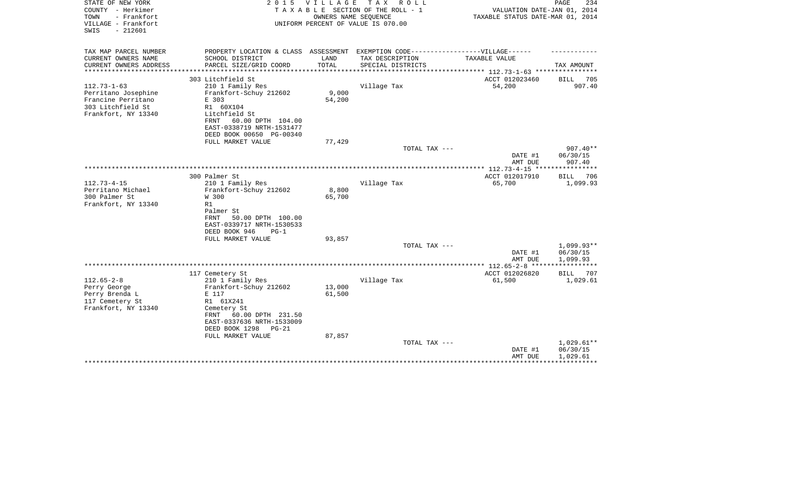| TAX MAP PARCEL NUMBER<br>PROPERTY LOCATION & CLASS ASSESSMENT EXEMPTION CODE-----------------VILLAGE------<br>CURRENT OWNERS NAME<br>SCHOOL DISTRICT<br>LAND<br>TAX DESCRIPTION<br>TAXABLE VALUE |     |
|--------------------------------------------------------------------------------------------------------------------------------------------------------------------------------------------------|-----|
|                                                                                                                                                                                                  |     |
| TOTAL<br>CURRENT OWNERS ADDRESS<br>PARCEL SIZE/GRID COORD<br>SPECIAL DISTRICTS<br>TAX AMOUNT                                                                                                     |     |
| *********************<br>**************************** 112.73-1-63 ****************                                                                                                               |     |
| 303 Litchfield St<br>ACCT 012023460<br>BILL 705                                                                                                                                                  |     |
| $112.73 - 1 - 63$<br>210 1 Family Res<br>Village Tax<br>54,200<br>907.40                                                                                                                         |     |
| Frankfort-Schuy 212602<br>9,000<br>Perritano Josephine<br>Francine Perritano<br>54,200<br>E 303                                                                                                  |     |
| 303 Litchfield St<br>R1 60X104                                                                                                                                                                   |     |
| Frankfort, NY 13340<br>Litchfield St                                                                                                                                                             |     |
| 60.00 DPTH 104.00<br>FRNT                                                                                                                                                                        |     |
| EAST-0338719 NRTH-1531477                                                                                                                                                                        |     |
| DEED BOOK 00650 PG-00340                                                                                                                                                                         |     |
| FULL MARKET VALUE<br>77,429<br>$907.40**$<br>TOTAL TAX ---                                                                                                                                       |     |
| DATE #1<br>06/30/15                                                                                                                                                                              |     |
| 907.40<br>AMT DUE                                                                                                                                                                                |     |
|                                                                                                                                                                                                  |     |
| 300 Palmer St<br>ACCT 012017910<br><b>BILL</b><br>$112.73 - 4 - 15$<br>210 1 Family Res<br>Village Tax<br>65,700<br>1,099.93                                                                     | 706 |
| Perritano Michael<br>Frankfort-Schuy 212602<br>8,800                                                                                                                                             |     |
| 300 Palmer St<br>W 300<br>65,700                                                                                                                                                                 |     |
| Frankfort, NY 13340<br>R1                                                                                                                                                                        |     |
| Palmer St                                                                                                                                                                                        |     |
| 50.00 DPTH 100.00<br><b>FRNT</b>                                                                                                                                                                 |     |
| EAST-0339717 NRTH-1530533<br>DEED BOOK 946<br>$PG-1$                                                                                                                                             |     |
| FULL MARKET VALUE<br>93,857                                                                                                                                                                      |     |
| $1,099.93**$<br>TOTAL TAX ---                                                                                                                                                                    |     |
| 06/30/15<br>DATE #1                                                                                                                                                                              |     |
| 1,099.93<br>AMT DUE<br>************                                                                                                                                                              |     |
| ACCT 012026820<br>117 Cemetery St<br>BILL                                                                                                                                                        | 707 |
| $112.65 - 2 - 8$<br>Village Tax<br>210 1 Family Res<br>61,500<br>1,029.61                                                                                                                        |     |
| 13,000<br>Perry George<br>Frankfort-Schuy 212602                                                                                                                                                 |     |
| Perry Brenda L<br>61,500<br>E 117                                                                                                                                                                |     |
| 117 Cemetery St<br>R1 61X241                                                                                                                                                                     |     |
| Frankfort, NY 13340<br>Cemetery St                                                                                                                                                               |     |
| 60.00 DPTH 231.50<br>FRNT<br>EAST-0337636 NRTH-1533009                                                                                                                                           |     |
| DEED BOOK 1298<br>$PG-21$                                                                                                                                                                        |     |
| FULL MARKET VALUE<br>87,857                                                                                                                                                                      |     |
| 1,029.61**<br>TOTAL TAX ---                                                                                                                                                                      |     |
| 06/30/15<br>DATE #1                                                                                                                                                                              |     |
| AMT DUE<br>1,029.61                                                                                                                                                                              |     |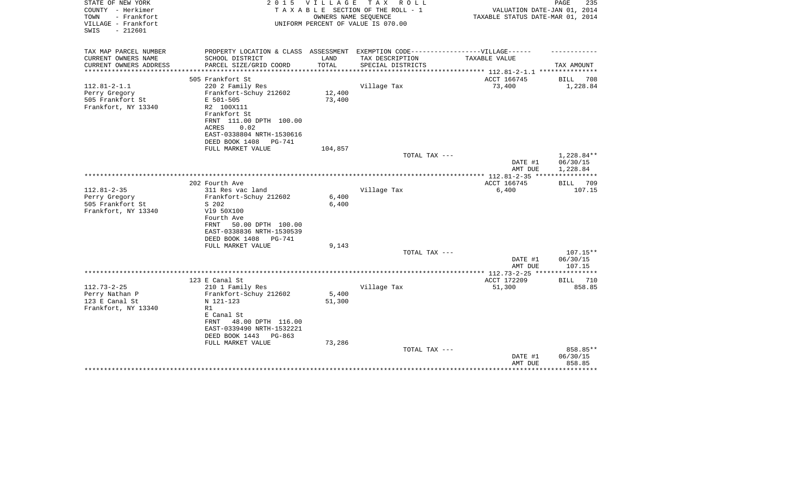| STATE OF NEW YORK<br>COUNTY - Herkimer<br>TOWN<br>- Frankfort<br>VILLAGE - Frankfort<br>$-212601$<br>SWIS | 2 0 1 5                                                                                                                                                                                | V I L L A G E<br>OWNERS NAME SEOUENCE | T A X<br>R O L L<br>TAXABLE SECTION OF THE ROLL - 1<br>UNIFORM PERCENT OF VALUE IS 070.00 | VALUATION DATE-JAN 01, 2014<br>TAXABLE STATUS DATE-MAR 01, 2014 | PAGE<br>235                        |
|-----------------------------------------------------------------------------------------------------------|----------------------------------------------------------------------------------------------------------------------------------------------------------------------------------------|---------------------------------------|-------------------------------------------------------------------------------------------|-----------------------------------------------------------------|------------------------------------|
| TAX MAP PARCEL NUMBER<br>CURRENT OWNERS NAME                                                              | PROPERTY LOCATION & CLASS ASSESSMENT EXEMPTION CODE-----------------VILLAGE------<br>SCHOOL DISTRICT                                                                                   | LAND                                  | TAX DESCRIPTION                                                                           | TAXABLE VALUE                                                   |                                    |
| CURRENT OWNERS ADDRESS                                                                                    | PARCEL SIZE/GRID COORD                                                                                                                                                                 | TOTAL                                 | SPECIAL DISTRICTS                                                                         |                                                                 | TAX AMOUNT                         |
| *********************                                                                                     |                                                                                                                                                                                        |                                       |                                                                                           |                                                                 |                                    |
| $112.81 - 2 - 1.1$<br>Perry Gregory<br>505 Frankfort St<br>Frankfort, NY 13340                            | 505 Frankfort St<br>220 2 Family Res<br>Frankfort-Schuy 212602<br>E 501-505<br>R2 100X111<br>Frankfort St<br>FRNT 111.00 DPTH 100.00<br>0.02<br>ACRES<br>EAST-0338804 NRTH-1530616     | 12,400<br>73,400                      | Village Tax                                                                               | ACCT 166745<br>73,400                                           | BILL<br>708<br>1,228.84            |
|                                                                                                           | DEED BOOK 1408<br>PG-741                                                                                                                                                               |                                       |                                                                                           |                                                                 |                                    |
|                                                                                                           | FULL MARKET VALUE                                                                                                                                                                      | 104,857                               |                                                                                           |                                                                 |                                    |
|                                                                                                           |                                                                                                                                                                                        |                                       | TOTAL TAX ---                                                                             | DATE #1<br>AMT DUE                                              | 1,228.84**<br>06/30/15<br>1,228.84 |
|                                                                                                           |                                                                                                                                                                                        |                                       |                                                                                           | ACCT 166745                                                     |                                    |
| $112.81 - 2 - 35$<br>Perry Gregory<br>505 Frankfort St<br>Frankfort, NY 13340                             | 202 Fourth Ave<br>311 Res vac land<br>Frankfort-Schuy 212602<br>S 202<br>V19 50X100<br>Fourth Ave<br>50.00 DPTH 100.00<br>FRNT<br>EAST-0338836 NRTH-1530539                            | 6,400<br>6,400                        | Village Tax                                                                               | 6,400                                                           | BILL<br>709<br>107.15              |
|                                                                                                           | DEED BOOK 1408<br>PG-741<br>FULL MARKET VALUE                                                                                                                                          | 9,143                                 |                                                                                           |                                                                 |                                    |
|                                                                                                           |                                                                                                                                                                                        |                                       | TOTAL TAX ---                                                                             | DATE #1<br>AMT DUE                                              | $107.15**$<br>06/30/15<br>107.15   |
|                                                                                                           |                                                                                                                                                                                        |                                       |                                                                                           | *************** 112.73-2-25 ****************                    |                                    |
|                                                                                                           | 123 E Canal St                                                                                                                                                                         |                                       |                                                                                           | ACCT 172209                                                     | 710<br>BILL                        |
| $112.73 - 2 - 25$<br>Perry Nathan P<br>123 E Canal St<br>Frankfort, NY 13340                              | 210 1 Family Res<br>Frankfort-Schuy 212602<br>N 121-123<br>R1<br>E Canal St<br>48.00 DPTH 116.00<br>FRNT<br>EAST-0339490 NRTH-1532221<br>DEED BOOK 1443<br>PG-863<br>FULL MARKET VALUE | 5,400<br>51,300                       | Village Tax                                                                               | 51,300                                                          | 858.85                             |
|                                                                                                           |                                                                                                                                                                                        | 73,286                                | TOTAL TAX ---                                                                             | DATE #1<br>AMT DUE                                              | 858.85**<br>06/30/15<br>858.85     |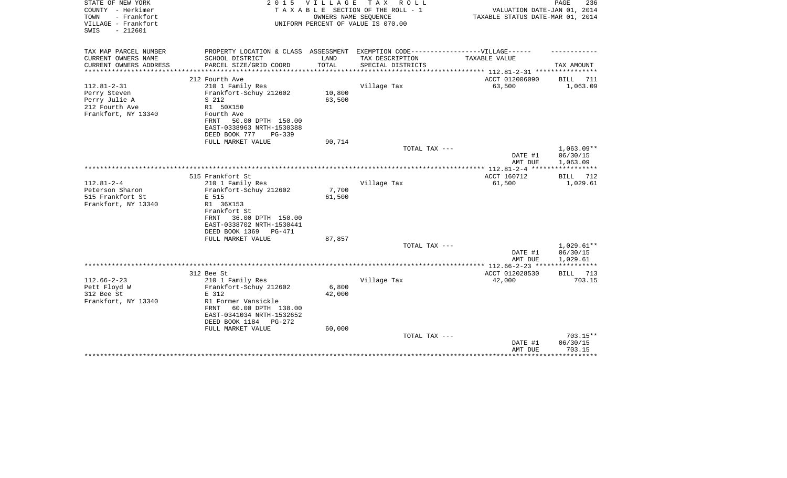| STATE OF NEW YORK<br>COUNTY - Herkimer<br>- Frankfort<br>TOWN<br>VILLAGE - Frankfort<br>SWIS<br>$-212601$ | 2 0 1 5                                                                                              | <b>VILLAGE</b> | T A X<br>R O L L<br>TAXABLE SECTION OF THE ROLL - 1<br>OWNERS NAME SEQUENCE<br>UNIFORM PERCENT OF VALUE IS 070.00 | VALUATION DATE-JAN 01, 2014<br>TAXABLE STATUS DATE-MAR 01, 2014 | PAGE<br>236                  |
|-----------------------------------------------------------------------------------------------------------|------------------------------------------------------------------------------------------------------|----------------|-------------------------------------------------------------------------------------------------------------------|-----------------------------------------------------------------|------------------------------|
| TAX MAP PARCEL NUMBER<br>CURRENT OWNERS NAME                                                              | PROPERTY LOCATION & CLASS ASSESSMENT EXEMPTION CODE-----------------VILLAGE------<br>SCHOOL DISTRICT | LAND           | TAX DESCRIPTION                                                                                                   | TAXABLE VALUE                                                   |                              |
| CURRENT OWNERS ADDRESS                                                                                    | PARCEL SIZE/GRID COORD                                                                               | TOTAL          | SPECIAL DISTRICTS                                                                                                 |                                                                 | TAX AMOUNT                   |
| ***************                                                                                           | ************************                                                                             |                |                                                                                                                   |                                                                 |                              |
|                                                                                                           | 212 Fourth Ave                                                                                       |                |                                                                                                                   | ACCT 012006090                                                  | <b>BILL</b><br>711           |
| $112.81 - 2 - 31$                                                                                         | 210 1 Family Res                                                                                     |                | Village Tax                                                                                                       | 63,500                                                          | 1,063.09                     |
| Perry Steven                                                                                              | Frankfort-Schuy 212602                                                                               | 10,800         |                                                                                                                   |                                                                 |                              |
| Perry Julie A                                                                                             | S 212                                                                                                | 63,500         |                                                                                                                   |                                                                 |                              |
| 212 Fourth Ave<br>Frankfort, NY 13340                                                                     | R1 50X150<br>Fourth Ave                                                                              |                |                                                                                                                   |                                                                 |                              |
|                                                                                                           | 50.00 DPTH 150.00<br>FRNT                                                                            |                |                                                                                                                   |                                                                 |                              |
|                                                                                                           | EAST-0338963 NRTH-1530388                                                                            |                |                                                                                                                   |                                                                 |                              |
|                                                                                                           | DEED BOOK 777<br>$PG-339$                                                                            |                |                                                                                                                   |                                                                 |                              |
|                                                                                                           | FULL MARKET VALUE                                                                                    | 90,714         |                                                                                                                   |                                                                 |                              |
|                                                                                                           |                                                                                                      |                | TOTAL TAX ---                                                                                                     |                                                                 | $1,063.09**$                 |
|                                                                                                           |                                                                                                      |                |                                                                                                                   | DATE #1                                                         | 06/30/15                     |
|                                                                                                           |                                                                                                      |                |                                                                                                                   | AMT DUE<br>************** 112.81-2-4 ****                       | 1,063.09                     |
|                                                                                                           | 515 Frankfort St                                                                                     |                |                                                                                                                   | ACCT 160712                                                     | 712<br>BILL                  |
| $112.81 - 2 - 4$                                                                                          | 210 1 Family Res                                                                                     |                | Village Tax                                                                                                       | 61,500                                                          | 1,029.61                     |
| Peterson Sharon                                                                                           | Frankfort-Schuy 212602                                                                               | 7,700          |                                                                                                                   |                                                                 |                              |
| 515 Frankfort St                                                                                          | E 515                                                                                                | 61,500         |                                                                                                                   |                                                                 |                              |
| Frankfort, NY 13340                                                                                       | R1 36X153                                                                                            |                |                                                                                                                   |                                                                 |                              |
|                                                                                                           | Frankfort St                                                                                         |                |                                                                                                                   |                                                                 |                              |
|                                                                                                           | 36.00 DPTH 150.00<br>FRNT<br>EAST-0338702 NRTH-1530441                                               |                |                                                                                                                   |                                                                 |                              |
|                                                                                                           | DEED BOOK 1369<br>PG-471                                                                             |                |                                                                                                                   |                                                                 |                              |
|                                                                                                           | FULL MARKET VALUE                                                                                    | 87,857         |                                                                                                                   |                                                                 |                              |
|                                                                                                           |                                                                                                      |                | TOTAL TAX ---                                                                                                     |                                                                 | $1,029.61**$                 |
|                                                                                                           |                                                                                                      |                |                                                                                                                   | DATE #1                                                         | 06/30/15                     |
|                                                                                                           |                                                                                                      |                |                                                                                                                   | AMT DUE                                                         | 1,029.61                     |
|                                                                                                           | 312 Bee St                                                                                           |                |                                                                                                                   | ************** 112.66-2-23 ****                                 | ******                       |
| $112.66 - 2 - 23$                                                                                         | 210 1 Family Res                                                                                     |                | Village Tax                                                                                                       | ACCT 012028530<br>42,000                                        | <b>BILL</b><br>713<br>703.15 |
| Pett Floyd W                                                                                              | Frankfort-Schuy 212602                                                                               | 6,800          |                                                                                                                   |                                                                 |                              |
| 312 Bee St                                                                                                | E 312                                                                                                | 42,000         |                                                                                                                   |                                                                 |                              |
| Frankfort, NY 13340                                                                                       | R1 Former Vansickle                                                                                  |                |                                                                                                                   |                                                                 |                              |
|                                                                                                           | 60.00 DPTH 138.00<br>FRNT                                                                            |                |                                                                                                                   |                                                                 |                              |
|                                                                                                           | EAST-0341034 NRTH-1532652                                                                            |                |                                                                                                                   |                                                                 |                              |
|                                                                                                           | DEED BOOK 1184<br>PG-272                                                                             |                |                                                                                                                   |                                                                 |                              |
|                                                                                                           | FULL MARKET VALUE                                                                                    | 60,000         | TOTAL TAX ---                                                                                                     |                                                                 | $703.15**$                   |
|                                                                                                           |                                                                                                      |                |                                                                                                                   | DATE #1                                                         | 06/30/15                     |
|                                                                                                           |                                                                                                      |                |                                                                                                                   | AMT DUE                                                         | 703.15                       |
|                                                                                                           |                                                                                                      |                |                                                                                                                   |                                                                 |                              |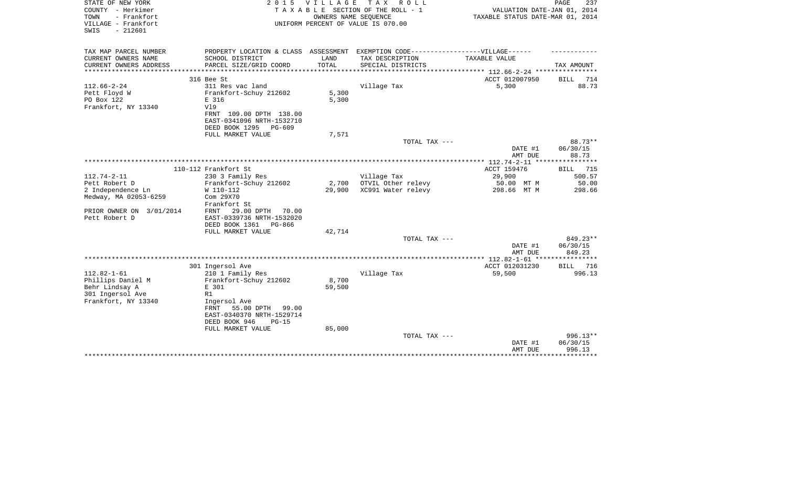| STATE OF NEW YORK<br>COUNTY - Herkimer<br>- Frankfort<br>TOWN<br>VILLAGE - Frankfort<br>$-212601$<br>SWIS | 2 0 1 5                                                                                                                                          | V I L L A G E   | T A X<br>R O L L<br>TAXABLE SECTION OF THE ROLL - 1<br>OWNERS NAME SEQUENCE<br>UNIFORM PERCENT OF VALUE IS 070.00 | VALUATION DATE-JAN 01, 2014<br>TAXABLE STATUS DATE-MAR 01, 2014 | PAGE<br>237                                         |
|-----------------------------------------------------------------------------------------------------------|--------------------------------------------------------------------------------------------------------------------------------------------------|-----------------|-------------------------------------------------------------------------------------------------------------------|-----------------------------------------------------------------|-----------------------------------------------------|
| TAX MAP PARCEL NUMBER<br>CURRENT OWNERS NAME                                                              | SCHOOL DISTRICT                                                                                                                                  | LAND            | PROPERTY LOCATION & CLASS ASSESSMENT EXEMPTION CODE-----------------VILLAGE------<br>TAX DESCRIPTION              | TAXABLE VALUE                                                   |                                                     |
| CURRENT OWNERS ADDRESS                                                                                    | PARCEL SIZE/GRID COORD                                                                                                                           | TOTAL           | SPECIAL DISTRICTS                                                                                                 |                                                                 | TAX AMOUNT                                          |
|                                                                                                           |                                                                                                                                                  |                 |                                                                                                                   |                                                                 |                                                     |
|                                                                                                           | 316 Bee St                                                                                                                                       |                 |                                                                                                                   | ACCT 012007950                                                  | BILL<br>714                                         |
| $112.66 - 2 - 24$<br>Pett Floyd W<br>PO Box 122<br>Frankfort, NY 13340                                    | 311 Res vac land<br>Frankfort-Schuy 212602<br>E 316<br>V19<br>FRNT 109.00 DPTH 138.00<br>EAST-0341096 NRTH-1532710<br>DEED BOOK 1295<br>$PG-609$ | 5,300<br>5,300  | Village Tax                                                                                                       | 5,300                                                           | 88.73                                               |
|                                                                                                           | FULL MARKET VALUE                                                                                                                                | 7,571           |                                                                                                                   |                                                                 |                                                     |
|                                                                                                           |                                                                                                                                                  |                 | TOTAL TAX ---                                                                                                     | DATE #1<br>AMT DUE                                              | 88.73**<br>06/30/15<br>88.73                        |
|                                                                                                           |                                                                                                                                                  |                 |                                                                                                                   |                                                                 | ***********                                         |
|                                                                                                           | 110-112 Frankfort St                                                                                                                             |                 |                                                                                                                   | ACCT 159476                                                     | 715<br>BILL                                         |
| $112.74 - 2 - 11$                                                                                         | 230 3 Family Res                                                                                                                                 |                 | Village Tax                                                                                                       | 29,900                                                          | 500.57                                              |
| Pett Robert D<br>2 Independence Ln                                                                        | Frankfort-Schuy 212602<br>W 110-112                                                                                                              | 2,700<br>29,900 | OTVIL Other relevy<br>XC991 Water relevy                                                                          | 50.00 MT M<br>298.66 MT M                                       | 50.00<br>298.66                                     |
| Medway, MA 02053-6259                                                                                     | Com 29X70<br>Frankfort St                                                                                                                        |                 |                                                                                                                   |                                                                 |                                                     |
| PRIOR OWNER ON 3/01/2014<br>Pett Robert D                                                                 | FRNT<br>29.00 DPTH<br>70.00<br>EAST-0339736 NRTH-1532020<br>DEED BOOK 1361<br>PG-866                                                             |                 |                                                                                                                   |                                                                 |                                                     |
|                                                                                                           | FULL MARKET VALUE                                                                                                                                | 42,714          |                                                                                                                   |                                                                 |                                                     |
|                                                                                                           |                                                                                                                                                  |                 | TOTAL TAX ---                                                                                                     | DATE #1<br>AMT DUE                                              | 849.23**<br>06/30/15<br>849.23                      |
|                                                                                                           |                                                                                                                                                  |                 |                                                                                                                   |                                                                 |                                                     |
|                                                                                                           | 301 Ingersol Ave                                                                                                                                 |                 |                                                                                                                   | ACCT 012031230                                                  | 716<br><b>BILL</b>                                  |
| $112.82 - 1 - 61$                                                                                         | 210 1 Family Res                                                                                                                                 |                 | Village Tax                                                                                                       | 59,500                                                          | 996.13                                              |
| Phillips Daniel M<br>Behr Lindsay A                                                                       | Frankfort-Schuy 212602<br>E 301                                                                                                                  | 8,700<br>59,500 |                                                                                                                   |                                                                 |                                                     |
| 301 Ingersol Ave                                                                                          | R1                                                                                                                                               |                 |                                                                                                                   |                                                                 |                                                     |
| Frankfort, NY 13340                                                                                       | Ingersol Ave<br>55.00 DPTH<br>FRNT<br>99.00<br>EAST-0340370 NRTH-1529714<br>DEED BOOK 946<br>$PG-15$                                             |                 |                                                                                                                   |                                                                 |                                                     |
|                                                                                                           | FULL MARKET VALUE                                                                                                                                | 85,000          | TOTAL TAX ---                                                                                                     | DATE #1<br>AMT DUE                                              | 996.13**<br>06/30/15<br>996.13<br>* * * * * * * * * |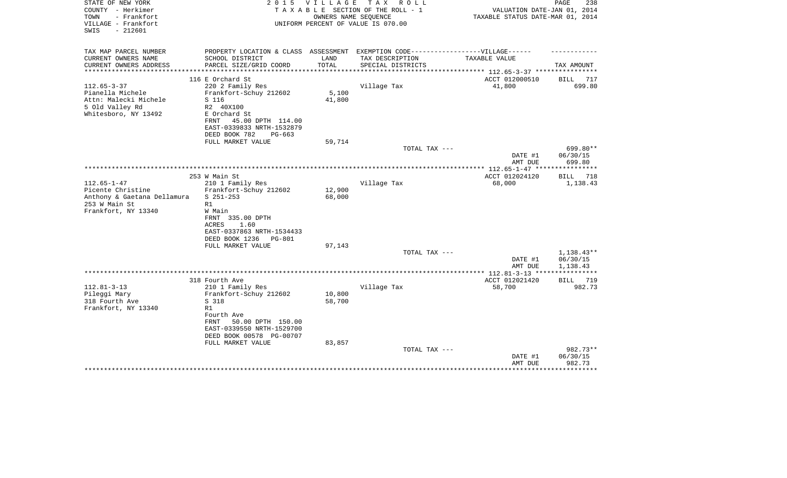| STATE OF NEW YORK<br>COUNTY - Herkimer<br>- Frankfort<br>TOWN<br>VILLAGE - Frankfort<br>$-212601$<br>SWIS     | 2 0 1 5                                                                                                                                                       | <b>VILLAGE</b>   | TAX ROLL<br>TAXABLE SECTION OF THE ROLL - 1<br>OWNERS NAME SEQUENCE<br>UNIFORM PERCENT OF VALUE IS 070.00 | VALUATION DATE-JAN 01, 2014<br>TAXABLE STATUS DATE-MAR 01, 2014                   | PAGE<br>238                    |
|---------------------------------------------------------------------------------------------------------------|---------------------------------------------------------------------------------------------------------------------------------------------------------------|------------------|-----------------------------------------------------------------------------------------------------------|-----------------------------------------------------------------------------------|--------------------------------|
| TAX MAP PARCEL NUMBER                                                                                         | PROPERTY LOCATION & CLASS ASSESSMENT EXEMPTION CODE-----------------VILLAGE------                                                                             |                  |                                                                                                           |                                                                                   |                                |
| CURRENT OWNERS NAME<br>CURRENT OWNERS ADDRESS<br>*******************                                          | SCHOOL DISTRICT<br>PARCEL SIZE/GRID COORD                                                                                                                     | LAND<br>TOTAL    | TAX DESCRIPTION<br>SPECIAL DISTRICTS                                                                      | TAXABLE VALUE                                                                     | TAX AMOUNT                     |
|                                                                                                               | 116 E Orchard St                                                                                                                                              |                  |                                                                                                           | ********************************** 112.65-3-37 ****************<br>ACCT 012000510 | 717<br>BILL                    |
| $112.65 - 3 - 37$<br>Pianella Michele<br>Attn: Malecki Michele<br>5 Old Valley Rd<br>Whitesboro, NY 13492     | 220 2 Family Res<br>Frankfort-Schuy 212602<br>S 116<br>R2 40X100<br>E Orchard St<br>45.00 DPTH 114.00<br>FRNT<br>EAST-0339833 NRTH-1532879                    | 5,100<br>41,800  | Village Tax                                                                                               | 41,800                                                                            | 699.80                         |
|                                                                                                               | DEED BOOK 782<br>$PG-663$<br>FULL MARKET VALUE                                                                                                                | 59,714           |                                                                                                           |                                                                                   |                                |
|                                                                                                               |                                                                                                                                                               |                  | TOTAL TAX ---                                                                                             | DATE #1<br>AMT DUE                                                                | 699.80**<br>06/30/15<br>699.80 |
|                                                                                                               |                                                                                                                                                               |                  | ********************                                                                                      | ******* 112.65-1-47 **                                                            |                                |
|                                                                                                               | 253 W Main St                                                                                                                                                 |                  |                                                                                                           | ACCT 012024120                                                                    | BILL<br>718                    |
| $112.65 - 1 - 47$<br>Picente Christine<br>Anthony & Gaetana Dellamura<br>253 W Main St<br>Frankfort, NY 13340 | 210 1 Family Res<br>Frankfort-Schuy 212602<br>$S$ 251-253<br>R1<br>W Main<br>FRNT<br>335.00 DPTH                                                              | 12,900<br>68,000 | Village Tax                                                                                               | 68,000                                                                            | 1,138.43                       |
|                                                                                                               | <b>ACRES</b><br>1.60<br>EAST-0337863 NRTH-1534433<br>DEED BOOK 1236<br>PG-801<br>FULL MARKET VALUE                                                            | 97,143           | TOTAL TAX ---                                                                                             | DATE #1                                                                           | $1,138.43**$<br>06/30/15       |
|                                                                                                               |                                                                                                                                                               |                  |                                                                                                           | AMT DUE                                                                           | 1,138.43                       |
|                                                                                                               | 318 Fourth Ave                                                                                                                                                |                  |                                                                                                           | ACCT 012021420                                                                    | BILL<br>719                    |
| $112.81 - 3 - 13$<br>Pileggi Mary<br>318 Fourth Ave<br>Frankfort, NY 13340                                    | 210 1 Family Res<br>Frankfort-Schuy 212602<br>S 318<br>R1<br>Fourth Ave<br>FRNT<br>50.00 DPTH 150.00<br>EAST-0339550 NRTH-1529700<br>DEED BOOK 00578 PG-00707 | 10,800<br>58,700 | Village Tax                                                                                               | 58,700                                                                            | 982.73                         |
|                                                                                                               | FULL MARKET VALUE                                                                                                                                             | 83,857           |                                                                                                           |                                                                                   |                                |
|                                                                                                               |                                                                                                                                                               |                  | TOTAL TAX ---                                                                                             | DATE #1<br>AMT DUE                                                                | 982.73**<br>06/30/15<br>982.73 |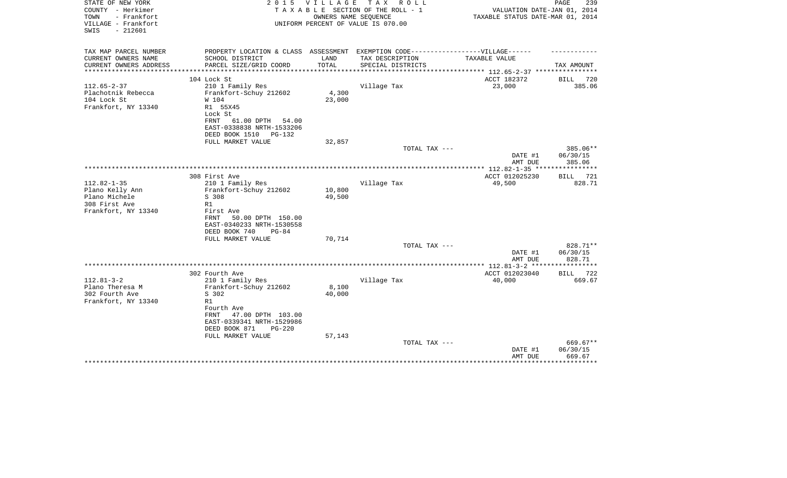| STATE OF NEW YORK<br>COUNTY - Herkimer<br>TOWN<br>- Frankfort<br>VILLAGE - Frankfort<br>$-212601$<br>SWIS | 2 0 1 5                                                                           | <b>VILLAGE</b> | T A X<br>R O L L<br>TAXABLE SECTION OF THE ROLL - 1<br>OWNERS NAME SEQUENCE<br>UNIFORM PERCENT OF VALUE IS 070.00 | VALUATION DATE-JAN 01, 2014<br>TAXABLE STATUS DATE-MAR 01, 2014 | PAGE<br>239             |
|-----------------------------------------------------------------------------------------------------------|-----------------------------------------------------------------------------------|----------------|-------------------------------------------------------------------------------------------------------------------|-----------------------------------------------------------------|-------------------------|
| TAX MAP PARCEL NUMBER                                                                                     | PROPERTY LOCATION & CLASS ASSESSMENT EXEMPTION CODE-----------------VILLAGE------ |                |                                                                                                                   |                                                                 |                         |
| CURRENT OWNERS NAME                                                                                       | SCHOOL DISTRICT                                                                   | LAND           | TAX DESCRIPTION                                                                                                   | TAXABLE VALUE                                                   |                         |
| CURRENT OWNERS ADDRESS<br>********************                                                            | PARCEL SIZE/GRID COORD                                                            | TOTAL          | SPECIAL DISTRICTS                                                                                                 | ***************** 112.65-2-37 *****************                 | TAX AMOUNT              |
|                                                                                                           | 104 Lock St                                                                       |                |                                                                                                                   | ACCT 182372                                                     | BILL<br>720             |
| $112.65 - 2 - 37$                                                                                         | 210 1 Family Res                                                                  |                | Village Tax                                                                                                       | 23,000                                                          | 385.06                  |
| Plachotnik Rebecca                                                                                        | Frankfort-Schuy 212602                                                            | 4,300          |                                                                                                                   |                                                                 |                         |
| 104 Lock St                                                                                               | W 104                                                                             | 23,000         |                                                                                                                   |                                                                 |                         |
| Frankfort, NY 13340                                                                                       | R1 55X45                                                                          |                |                                                                                                                   |                                                                 |                         |
|                                                                                                           | Lock St                                                                           |                |                                                                                                                   |                                                                 |                         |
|                                                                                                           | 61.00 DPTH<br>FRNT<br>54.00                                                       |                |                                                                                                                   |                                                                 |                         |
|                                                                                                           | EAST-0338838 NRTH-1533206<br>DEED BOOK 1510<br>PG-132                             |                |                                                                                                                   |                                                                 |                         |
|                                                                                                           | FULL MARKET VALUE                                                                 | 32,857         |                                                                                                                   |                                                                 |                         |
|                                                                                                           |                                                                                   |                | TOTAL TAX ---                                                                                                     |                                                                 | 385.06**                |
|                                                                                                           |                                                                                   |                |                                                                                                                   | DATE #1                                                         | 06/30/15                |
|                                                                                                           |                                                                                   |                |                                                                                                                   | AMT DUE                                                         | 385.06                  |
|                                                                                                           |                                                                                   |                |                                                                                                                   | **************** 112.82-1-35 *****************                  |                         |
| $112.82 - 1 - 35$                                                                                         | 308 First Ave                                                                     |                |                                                                                                                   | ACCT 012025230                                                  | 721<br>BILL<br>828.71   |
| Plano Kelly Ann                                                                                           | 210 1 Family Res<br>Frankfort-Schuy 212602                                        | 10,800         | Village Tax                                                                                                       | 49,500                                                          |                         |
| Plano Michele                                                                                             | S 308                                                                             | 49,500         |                                                                                                                   |                                                                 |                         |
| 308 First Ave                                                                                             | R1                                                                                |                |                                                                                                                   |                                                                 |                         |
| Frankfort, NY 13340                                                                                       | First Ave                                                                         |                |                                                                                                                   |                                                                 |                         |
|                                                                                                           | <b>FRNT</b><br>50.00 DPTH 150.00                                                  |                |                                                                                                                   |                                                                 |                         |
|                                                                                                           | EAST-0340233 NRTH-1530558                                                         |                |                                                                                                                   |                                                                 |                         |
|                                                                                                           | DEED BOOK 740<br>$PG-84$                                                          |                |                                                                                                                   |                                                                 |                         |
|                                                                                                           | FULL MARKET VALUE                                                                 | 70,714         |                                                                                                                   |                                                                 |                         |
|                                                                                                           |                                                                                   |                | TOTAL TAX ---                                                                                                     | DATE #1                                                         | 828.71**<br>06/30/15    |
|                                                                                                           |                                                                                   |                |                                                                                                                   | AMT DUE                                                         | 828.71                  |
|                                                                                                           |                                                                                   |                |                                                                                                                   |                                                                 | * * * * * * * * * * * * |
|                                                                                                           | 302 Fourth Ave                                                                    |                |                                                                                                                   | ACCT 012023040                                                  | 722<br><b>BILL</b>      |
| $112.81 - 3 - 2$                                                                                          | 210 1 Family Res                                                                  |                | Village Tax                                                                                                       | 40,000                                                          | 669.67                  |
| Plano Theresa M                                                                                           | Frankfort-Schuy 212602                                                            | 8,100          |                                                                                                                   |                                                                 |                         |
| 302 Fourth Ave                                                                                            | S 302                                                                             | 40,000         |                                                                                                                   |                                                                 |                         |
| Frankfort, NY 13340                                                                                       | R1                                                                                |                |                                                                                                                   |                                                                 |                         |
|                                                                                                           | Fourth Ave<br><b>FRNT</b><br>47.00 DPTH 103.00                                    |                |                                                                                                                   |                                                                 |                         |
|                                                                                                           | EAST-0339341 NRTH-1529986                                                         |                |                                                                                                                   |                                                                 |                         |
|                                                                                                           | DEED BOOK 871<br>$PG-220$                                                         |                |                                                                                                                   |                                                                 |                         |
|                                                                                                           | FULL MARKET VALUE                                                                 | 57,143         |                                                                                                                   |                                                                 |                         |
|                                                                                                           |                                                                                   |                | TOTAL TAX ---                                                                                                     |                                                                 | 669.67**                |
|                                                                                                           |                                                                                   |                |                                                                                                                   | DATE #1                                                         | 06/30/15                |
|                                                                                                           |                                                                                   |                |                                                                                                                   | AMT DUE                                                         | 669.67<br>********      |
|                                                                                                           |                                                                                   |                |                                                                                                                   |                                                                 |                         |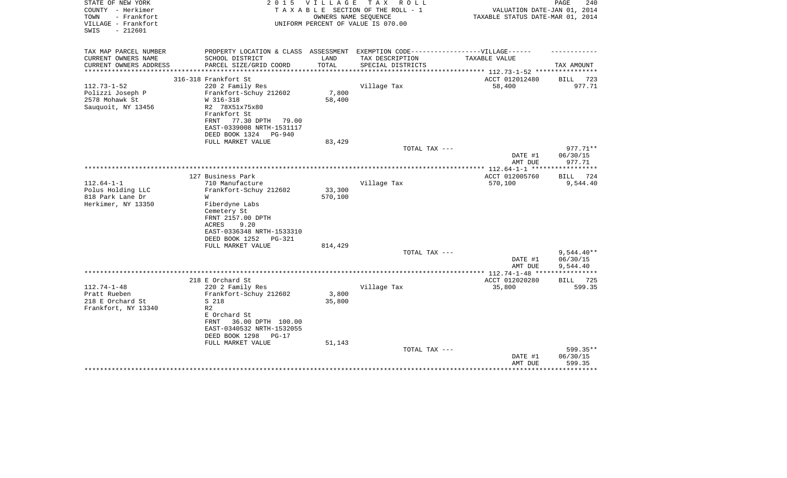| STATE OF NEW YORK<br>COUNTY - Herkimer<br>- Frankfort<br>TOWN<br>VILLAGE - Frankfort<br>$-212601$<br>SWIS |                                                                                                                       | 2015 VILLAGE<br>OWNERS NAME SEQUENCE | TAX ROLL<br>TAXABLE SECTION OF THE ROLL - 1<br>UNIFORM PERCENT OF VALUE IS 070.00 | VALUATION DATE-JAN 01, 2014<br>TAXABLE STATUS DATE-MAR 01, 2014 | PAGE<br>240                          |
|-----------------------------------------------------------------------------------------------------------|-----------------------------------------------------------------------------------------------------------------------|--------------------------------------|-----------------------------------------------------------------------------------|-----------------------------------------------------------------|--------------------------------------|
| TAX MAP PARCEL NUMBER                                                                                     | PROPERTY LOCATION & CLASS ASSESSMENT EXEMPTION CODE-----------------VILLAGE------                                     |                                      |                                                                                   |                                                                 |                                      |
| CURRENT OWNERS NAME<br>CURRENT OWNERS ADDRESS                                                             | SCHOOL DISTRICT<br>PARCEL SIZE/GRID COORD                                                                             | LAND<br>TOTAL                        | TAX DESCRIPTION<br>SPECIAL DISTRICTS                                              | TAXABLE VALUE                                                   | TAX AMOUNT                           |
|                                                                                                           |                                                                                                                       | * * * * * * * * * *                  |                                                                                   | ************************* 112.73-1-52 ************              |                                      |
|                                                                                                           | 316-318 Frankfort St                                                                                                  |                                      |                                                                                   | ACCT 012012480                                                  | BILL<br>723                          |
| $112.73 - 1 - 52$<br>Polizzi Joseph P<br>2578 Mohawk St<br>Sauquoit, NY 13456                             | 220 2 Family Res<br>Frankfort-Schuy 212602<br>W 316-318<br>R2 78X51x75x80<br>Frankfort St<br>FRNT<br>77.30 DPTH 79.00 | 7,800<br>58,400                      | Village Tax                                                                       | 58,400                                                          | 977.71                               |
|                                                                                                           | EAST-0339008 NRTH-1531117<br>DEED BOOK 1324 PG-940                                                                    |                                      |                                                                                   |                                                                 |                                      |
|                                                                                                           | FULL MARKET VALUE                                                                                                     | 83,429                               |                                                                                   |                                                                 |                                      |
|                                                                                                           |                                                                                                                       |                                      | TOTAL TAX ---                                                                     |                                                                 | 977.71**                             |
|                                                                                                           |                                                                                                                       |                                      |                                                                                   | DATE #1<br>AMT DUE                                              | 06/30/15<br>977.71                   |
|                                                                                                           |                                                                                                                       |                                      |                                                                                   | ***** 112.64-1-1 ***                                            | **********                           |
|                                                                                                           | 127 Business Park                                                                                                     |                                      |                                                                                   | ACCT 012005760                                                  | BILL 724                             |
| $112.64 - 1 - 1$<br>Polus Holding LLC<br>818 Park Lane Dr<br>Herkimer, NY 13350                           | 710 Manufacture<br>Frankfort-Schuy 212602<br>W<br>Fiberdyne Labs                                                      | 33,300<br>570,100                    | Village Tax                                                                       | 570,100                                                         | 9,544.40                             |
|                                                                                                           | Cemetery St<br>FRNT 2157.00 DPTH<br>ACRES<br>9.20<br>EAST-0336348 NRTH-1533310<br>DEED BOOK 1252<br><b>PG-321</b>     |                                      |                                                                                   |                                                                 |                                      |
|                                                                                                           | FULL MARKET VALUE                                                                                                     | 814,429                              |                                                                                   |                                                                 |                                      |
|                                                                                                           |                                                                                                                       |                                      | TOTAL TAX ---                                                                     | DATE #1<br>AMT DUE                                              | $9,544.40**$<br>06/30/15<br>9,544.40 |
|                                                                                                           |                                                                                                                       |                                      |                                                                                   |                                                                 |                                      |
|                                                                                                           | 218 E Orchard St                                                                                                      |                                      |                                                                                   | ACCT 012020280                                                  | <b>BILL</b> 725                      |
| $112.74 - 1 - 48$                                                                                         | 220 2 Family Res                                                                                                      |                                      | Village Tax                                                                       | 35,800                                                          | 599.35                               |
| Pratt Rueben                                                                                              | Frankfort-Schuy 212602                                                                                                | 3,800                                |                                                                                   |                                                                 |                                      |
| 218 E Orchard St                                                                                          | S 218                                                                                                                 | 35,800                               |                                                                                   |                                                                 |                                      |
| Frankfort, NY 13340                                                                                       | R <sub>2</sub>                                                                                                        |                                      |                                                                                   |                                                                 |                                      |
|                                                                                                           | E Orchard St<br>36.00 DPTH 100.00<br>FRNT                                                                             |                                      |                                                                                   |                                                                 |                                      |
|                                                                                                           | EAST-0340532 NRTH-1532055                                                                                             |                                      |                                                                                   |                                                                 |                                      |
|                                                                                                           | DEED BOOK 1298<br>$PG-17$                                                                                             |                                      |                                                                                   |                                                                 |                                      |
|                                                                                                           | FULL MARKET VALUE                                                                                                     | 51,143                               | TOTAL TAX ---                                                                     |                                                                 | 599.35**                             |
|                                                                                                           |                                                                                                                       |                                      |                                                                                   | DATE #1<br>AMT DUE                                              | 06/30/15<br>599.35                   |
|                                                                                                           |                                                                                                                       |                                      |                                                                                   |                                                                 |                                      |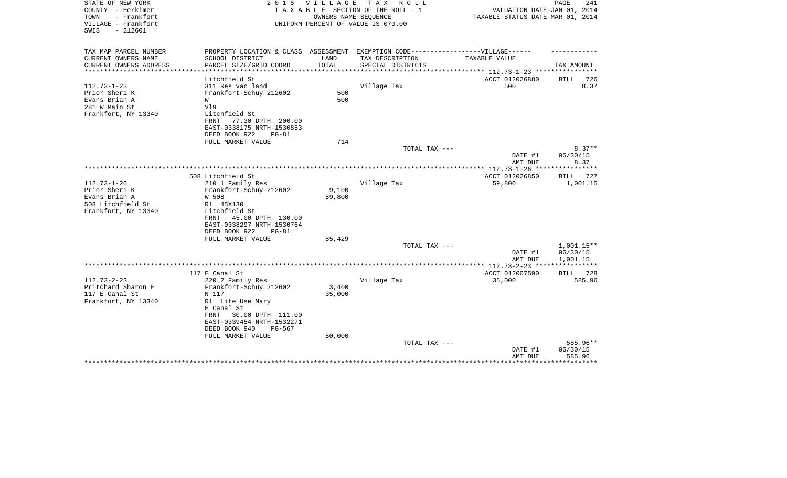| STATE OF NEW YORK<br>COUNTY - Herkimer<br>TOWN<br>- Frankfort<br>VILLAGE - Frankfort<br>$-212601$<br>SWIS | 2 0 1 5                                                                                                                                                                 | V I L L A G E                | T A X<br>R O L L<br>TAXABLE SECTION OF THE ROLL - 1<br>OWNERS NAME SEQUENCE<br>UNIFORM PERCENT OF VALUE IS 070.00 | VALUATION DATE-JAN 01, 2014<br>TAXABLE STATUS DATE-MAR 01, 2014  | 241<br>PAGE                         |
|-----------------------------------------------------------------------------------------------------------|-------------------------------------------------------------------------------------------------------------------------------------------------------------------------|------------------------------|-------------------------------------------------------------------------------------------------------------------|------------------------------------------------------------------|-------------------------------------|
| TAX MAP PARCEL NUMBER                                                                                     | PROPERTY LOCATION & CLASS ASSESSMENT EXEMPTION CODE-----------------VILLAGE------                                                                                       |                              |                                                                                                                   |                                                                  |                                     |
| CURRENT OWNERS NAME<br>CURRENT OWNERS ADDRESS<br>**************                                           | SCHOOL DISTRICT<br>PARCEL SIZE/GRID COORD<br>************************                                                                                                   | LAND<br>TOTAL<br>*********** | TAX DESCRIPTION<br>SPECIAL DISTRICTS                                                                              | TAXABLE VALUE<br>***************** 112.73-1-23 ***************** | TAX AMOUNT                          |
|                                                                                                           | Litchfield St                                                                                                                                                           |                              |                                                                                                                   | ACCT 012026880                                                   | 726<br>BILL                         |
| $112.73 - 1 - 23$<br>Prior Sheri K<br>Evans Brian A<br>281 W Main St<br>Frankfort, NY 13340               | 311 Res vac land<br>Frankfort-Schuy 212602<br>W<br>V19<br>Litchfield St<br>77.30 DPTH 200.00<br>FRNT<br>EAST-0338175 NRTH-1530853                                       | 500<br>500                   | Village Tax                                                                                                       | 500                                                              | 8.37                                |
|                                                                                                           | DEED BOOK 922<br>$PG-81$<br>FULL MARKET VALUE                                                                                                                           | 714                          |                                                                                                                   |                                                                  |                                     |
|                                                                                                           |                                                                                                                                                                         |                              | TOTAL TAX ---                                                                                                     |                                                                  | $8.37**$                            |
|                                                                                                           |                                                                                                                                                                         |                              |                                                                                                                   | DATE #1                                                          | 06/30/15                            |
|                                                                                                           |                                                                                                                                                                         |                              |                                                                                                                   | AMT DUE                                                          | 8.37                                |
|                                                                                                           | 508 Litchfield St                                                                                                                                                       |                              |                                                                                                                   | ACCT 012026850                                                   | BILL 727                            |
| $112.73 - 1 - 26$<br>Prior Sheri K<br>Evans Brian A<br>508 Litchfield St<br>Frankfort, NY 13340           | 210 1 Family Res<br>Frankfort-Schuy 212602<br>W 508<br>R1 45X130<br>Litchfield St<br>45.00 DPTH 130.00<br>FRNT<br>EAST-0338297 NRTH-1530764<br>DEED BOOK 922<br>$PG-81$ | 9,100<br>59,800              | Village Tax                                                                                                       | 59,800                                                           | 1,001.15                            |
|                                                                                                           | FULL MARKET VALUE                                                                                                                                                       | 85,429                       | TOTAL TAX ---                                                                                                     |                                                                  | $1,001.15**$                        |
|                                                                                                           |                                                                                                                                                                         |                              |                                                                                                                   | DATE #1<br>AMT DUE                                               | 06/30/15<br>1,001.15                |
|                                                                                                           |                                                                                                                                                                         |                              |                                                                                                                   |                                                                  | ***********                         |
| $112.73 - 2 - 23$                                                                                         | 117 E Canal St<br>220 2 Family Res                                                                                                                                      |                              | Village Tax                                                                                                       | ACCT 012007590<br>35,000                                         | BILL 728<br>585.96                  |
| Pritchard Sharon E<br>117 E Canal St<br>Frankfort, NY 13340                                               | Frankfort-Schuy 212602<br>N 117<br>R1 Life Use Mary<br>E Canal St<br><b>FRNT</b><br>30.00 DPTH 111.00<br>EAST-0339454 NRTH-1532271<br>DEED BOOK 940<br>PG-567           | 3,400<br>35,000              |                                                                                                                   |                                                                  |                                     |
|                                                                                                           | FULL MARKET VALUE                                                                                                                                                       | 50,000                       | TOTAL TAX ---                                                                                                     | DATE #1<br>AMT DUE                                               | 585.96**<br>06/30/15<br>585.96<br>. |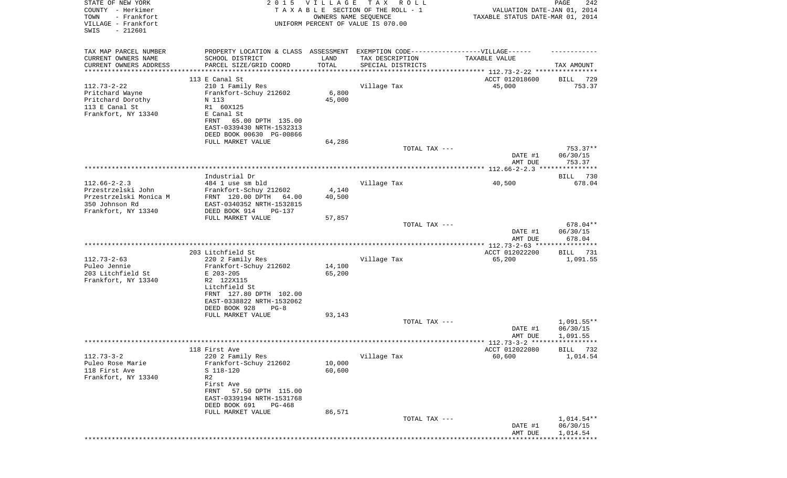| STATE OF NEW YORK<br>COUNTY - Herkimer<br>TOWN<br>- Frankfort<br>VILLAGE - Frankfort<br>$-212601$<br>SWIS | 2 0 1 5                                                                          | <b>VILLAGE</b>  | TAX ROLL<br>TAXABLE SECTION OF THE ROLL - 1<br>OWNERS NAME SEQUENCE<br>UNIFORM PERCENT OF VALUE IS 070.00 | VALUATION DATE-JAN 01, 2014<br>TAXABLE STATUS DATE-MAR 01, 2014 | 242<br>PAGE          |
|-----------------------------------------------------------------------------------------------------------|----------------------------------------------------------------------------------|-----------------|-----------------------------------------------------------------------------------------------------------|-----------------------------------------------------------------|----------------------|
| TAX MAP PARCEL NUMBER                                                                                     | PROPERTY LOCATION & CLASS ASSESSMENT EXEMPTION CODE----------------VILLAGE------ |                 |                                                                                                           |                                                                 |                      |
| CURRENT OWNERS NAME<br>CURRENT OWNERS ADDRESS                                                             | SCHOOL DISTRICT<br>PARCEL SIZE/GRID COORD                                        | LAND<br>TOTAL   | TAX DESCRIPTION<br>SPECIAL DISTRICTS                                                                      | TAXABLE VALUE                                                   | TAX AMOUNT           |
| *********************                                                                                     |                                                                                  | ***********     |                                                                                                           |                                                                 |                      |
|                                                                                                           | 113 E Canal St                                                                   |                 |                                                                                                           | ACCT 012018600                                                  | 729<br>BILL          |
| $112.73 - 2 - 22$<br>Pritchard Wayne                                                                      | 210 1 Family Res<br>Frankfort-Schuy 212602                                       | 6,800           | Village Tax                                                                                               | 45,000                                                          | 753.37               |
| Pritchard Dorothy                                                                                         | N 113                                                                            | 45,000          |                                                                                                           |                                                                 |                      |
| 113 E Canal St                                                                                            | R1 60X125                                                                        |                 |                                                                                                           |                                                                 |                      |
| Frankfort, NY 13340                                                                                       | E Canal St                                                                       |                 |                                                                                                           |                                                                 |                      |
|                                                                                                           | 65.00 DPTH 135.00<br>FRNT                                                        |                 |                                                                                                           |                                                                 |                      |
|                                                                                                           | EAST-0339430 NRTH-1532313                                                        |                 |                                                                                                           |                                                                 |                      |
|                                                                                                           | DEED BOOK 00630 PG-00866<br>FULL MARKET VALUE                                    | 64,286          |                                                                                                           |                                                                 |                      |
|                                                                                                           |                                                                                  |                 | TOTAL TAX ---                                                                                             |                                                                 | 753.37**             |
|                                                                                                           |                                                                                  |                 |                                                                                                           | DATE #1                                                         | 06/30/15             |
|                                                                                                           |                                                                                  |                 |                                                                                                           | AMT DUE                                                         | 753.37               |
|                                                                                                           |                                                                                  |                 |                                                                                                           |                                                                 |                      |
|                                                                                                           | Industrial Dr                                                                    |                 |                                                                                                           |                                                                 | 730<br><b>BILL</b>   |
| $112.66 - 2 - 2.3$<br>Przestrzelski John                                                                  | 484 1 use sm bld                                                                 |                 | Village Tax                                                                                               | 40,500                                                          | 678.04               |
| Przestrzelski Monica M                                                                                    | Frankfort-Schuy 212602<br>FRNT 120.00 DPTH<br>64.00                              | 4,140<br>40,500 |                                                                                                           |                                                                 |                      |
| 350 Johnson Rd                                                                                            | EAST-0340352 NRTH-1532815                                                        |                 |                                                                                                           |                                                                 |                      |
| Frankfort, NY 13340                                                                                       | DEED BOOK 914<br>$PG-137$                                                        |                 |                                                                                                           |                                                                 |                      |
|                                                                                                           | FULL MARKET VALUE                                                                | 57,857          |                                                                                                           |                                                                 |                      |
|                                                                                                           |                                                                                  |                 | TOTAL TAX ---                                                                                             |                                                                 | 678.04**             |
|                                                                                                           |                                                                                  |                 |                                                                                                           | DATE #1<br>AMT DUE                                              | 06/30/15<br>678.04   |
|                                                                                                           |                                                                                  |                 |                                                                                                           | ************* 112.73-2-63 *****************                     |                      |
|                                                                                                           | 203 Litchfield St                                                                |                 |                                                                                                           | ACCT 012022200                                                  | 731<br>BILL          |
| $112.73 - 2 - 63$                                                                                         | 220 2 Family Res                                                                 |                 | Village Tax                                                                                               | 65,200                                                          | 1,091.55             |
| Puleo Jennie                                                                                              | Frankfort-Schuy 212602                                                           | 14,100          |                                                                                                           |                                                                 |                      |
| 203 Litchfield St                                                                                         | E 203-205                                                                        | 65,200          |                                                                                                           |                                                                 |                      |
| Frankfort, NY 13340                                                                                       | R2 122X115<br>Litchfield St                                                      |                 |                                                                                                           |                                                                 |                      |
|                                                                                                           | FRNT 127.80 DPTH 102.00                                                          |                 |                                                                                                           |                                                                 |                      |
|                                                                                                           | EAST-0338822 NRTH-1532062                                                        |                 |                                                                                                           |                                                                 |                      |
|                                                                                                           | DEED BOOK 928<br>$PG-8$                                                          |                 |                                                                                                           |                                                                 |                      |
|                                                                                                           | FULL MARKET VALUE                                                                | 93,143          |                                                                                                           |                                                                 |                      |
|                                                                                                           |                                                                                  |                 | TOTAL TAX ---                                                                                             |                                                                 | $1,091.55**$         |
|                                                                                                           |                                                                                  |                 |                                                                                                           | DATE #1<br>AMT DUE                                              | 06/30/15<br>1,091.55 |
|                                                                                                           |                                                                                  |                 |                                                                                                           |                                                                 |                      |
|                                                                                                           | 118 First Ave                                                                    |                 |                                                                                                           | ACCT 012022080                                                  | BILL 732             |
| $112.73 - 3 - 2$                                                                                          | 220 2 Family Res                                                                 |                 | Village Tax                                                                                               | 60,600                                                          | 1,014.54             |
| Puleo Rose Marie                                                                                          | Frankfort-Schuy 212602                                                           | 10,000          |                                                                                                           |                                                                 |                      |
| 118 First Ave                                                                                             | S 118-120                                                                        | 60,600          |                                                                                                           |                                                                 |                      |
| Frankfort, NY 13340                                                                                       | R2<br>First Ave                                                                  |                 |                                                                                                           |                                                                 |                      |
|                                                                                                           | 57.50 DPTH 115.00<br>FRNT                                                        |                 |                                                                                                           |                                                                 |                      |
|                                                                                                           | EAST-0339194 NRTH-1531768                                                        |                 |                                                                                                           |                                                                 |                      |
|                                                                                                           | DEED BOOK 691<br>PG-468                                                          |                 |                                                                                                           |                                                                 |                      |
|                                                                                                           | FULL MARKET VALUE                                                                | 86,571          |                                                                                                           |                                                                 |                      |
|                                                                                                           |                                                                                  |                 | TOTAL TAX ---                                                                                             |                                                                 | $1,014.54**$         |
|                                                                                                           |                                                                                  |                 |                                                                                                           | DATE #1<br>AMT DUE                                              | 06/30/15<br>1,014.54 |
|                                                                                                           |                                                                                  |                 |                                                                                                           |                                                                 |                      |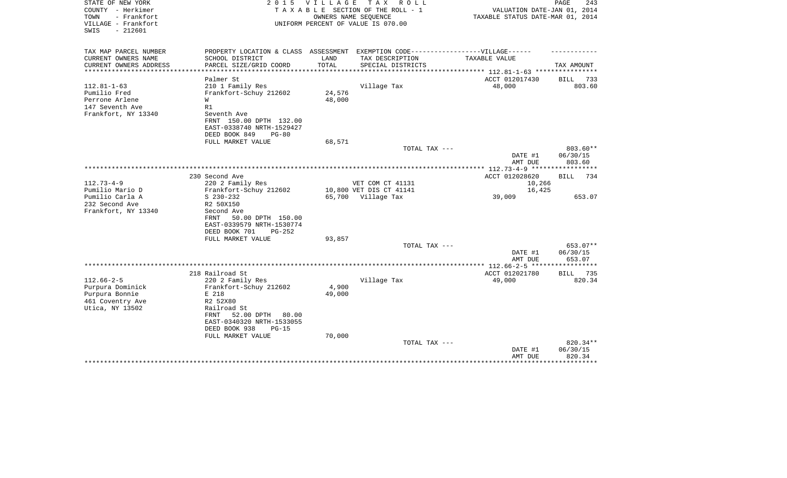| VILLAGE<br>TAX ROLL<br>STATE OF NEW YORK<br>2 0 1 5<br>COUNTY - Herkimer<br>TAXABLE SECTION OF THE ROLL - 1<br>- Frankfort<br>TOWN<br>OWNERS NAME SEQUENCE<br>VILLAGE - Frankfort<br>UNIFORM PERCENT OF VALUE IS 070.00<br>$-212601$<br>SWIS | VALUATION DATE-JAN 01, 2014<br>TAXABLE STATUS DATE-MAR 01, 2014 | 243<br>PAGE          |
|----------------------------------------------------------------------------------------------------------------------------------------------------------------------------------------------------------------------------------------------|-----------------------------------------------------------------|----------------------|
| TAX MAP PARCEL NUMBER<br>PROPERTY LOCATION & CLASS ASSESSMENT EXEMPTION CODE-----------------VILLAGE------                                                                                                                                   |                                                                 |                      |
| CURRENT OWNERS NAME<br>SCHOOL DISTRICT<br>LAND<br>TAX DESCRIPTION                                                                                                                                                                            | TAXABLE VALUE                                                   |                      |
| TOTAL<br>CURRENT OWNERS ADDRESS<br>PARCEL SIZE/GRID COORD<br>SPECIAL DISTRICTS<br>*****************                                                                                                                                          |                                                                 | TAX AMOUNT           |
| Palmer St                                                                                                                                                                                                                                    | ACCT 012017430                                                  | BILL<br>733          |
| $112.81 - 1 - 63$<br>210 1 Family Res<br>Village Tax                                                                                                                                                                                         | 48,000                                                          | 803.60               |
| 24,576<br>Pumilio Fred<br>Frankfort-Schuy 212602                                                                                                                                                                                             |                                                                 |                      |
| Perrone Arlene<br>48,000<br>W                                                                                                                                                                                                                |                                                                 |                      |
| 147 Seventh Ave<br>R1                                                                                                                                                                                                                        |                                                                 |                      |
| Frankfort, NY 13340<br>Seventh Ave                                                                                                                                                                                                           |                                                                 |                      |
| FRNT 150.00 DPTH 132.00                                                                                                                                                                                                                      |                                                                 |                      |
| EAST-0338740 NRTH-1529427                                                                                                                                                                                                                    |                                                                 |                      |
| DEED BOOK 849<br>$PG-80$                                                                                                                                                                                                                     |                                                                 |                      |
| 68,571<br>FULL MARKET VALUE                                                                                                                                                                                                                  |                                                                 |                      |
| TOTAL TAX ---                                                                                                                                                                                                                                | DATE #1                                                         | 803.60**<br>06/30/15 |
|                                                                                                                                                                                                                                              | AMT DUE                                                         | 803.60               |
|                                                                                                                                                                                                                                              | ************ 112.73-4-9 ******************                      |                      |
| 230 Second Ave                                                                                                                                                                                                                               | ACCT 012028620                                                  | BILL<br>734          |
| $112.73 - 4 - 9$<br>220 2 Family Res<br>VET COM CT 41131                                                                                                                                                                                     | 10,266                                                          |                      |
| Pumilio Mario D<br>10,800 VET DIS CT 41141<br>Frankfort-Schuy 212602                                                                                                                                                                         | 16,425                                                          |                      |
| Pumilio Carla A<br>$S$ 230-232<br>65,700 Village Tax                                                                                                                                                                                         | 39,009                                                          | 653.07               |
| 232 Second Ave<br>R2 50X150                                                                                                                                                                                                                  |                                                                 |                      |
| Frankfort, NY 13340<br>Second Ave                                                                                                                                                                                                            |                                                                 |                      |
| 50.00 DPTH 150.00<br>FRNT                                                                                                                                                                                                                    |                                                                 |                      |
| EAST-0339579 NRTH-1530774<br>DEED BOOK 701<br>$PG-252$                                                                                                                                                                                       |                                                                 |                      |
| FULL MARKET VALUE<br>93,857                                                                                                                                                                                                                  |                                                                 |                      |
| TOTAL TAX ---                                                                                                                                                                                                                                |                                                                 | 653.07**             |
|                                                                                                                                                                                                                                              | DATE #1                                                         | 06/30/15             |
|                                                                                                                                                                                                                                              | AMT DUE                                                         | 653.07               |
|                                                                                                                                                                                                                                              | **************** 112.66-2-5 ******************                  |                      |
| 218 Railroad St                                                                                                                                                                                                                              | ACCT 012021780                                                  | 735<br><b>BILL</b>   |
| $112.66 - 2 - 5$<br>Village Tax<br>220 2 Family Res                                                                                                                                                                                          | 49,000                                                          | 820.34               |
| 4,900<br>Purpura Dominick<br>Frankfort-Schuy 212602                                                                                                                                                                                          |                                                                 |                      |
| 49,000<br>Purpura Bonnie<br>E 218<br>461 Coventry Ave<br>R2 52X80                                                                                                                                                                            |                                                                 |                      |
| Utica, NY 13502<br>Railroad St                                                                                                                                                                                                               |                                                                 |                      |
| 52.00 DPTH<br>80.00<br>FRNT                                                                                                                                                                                                                  |                                                                 |                      |
| EAST-0340320 NRTH-1533055                                                                                                                                                                                                                    |                                                                 |                      |
| DEED BOOK 938<br>$PG-15$                                                                                                                                                                                                                     |                                                                 |                      |
| FULL MARKET VALUE<br>70,000                                                                                                                                                                                                                  |                                                                 |                      |
| TOTAL TAX ---                                                                                                                                                                                                                                |                                                                 | 820.34**             |
|                                                                                                                                                                                                                                              | DATE #1                                                         | 06/30/15             |
|                                                                                                                                                                                                                                              | AMT DUE                                                         | 820.34<br>********   |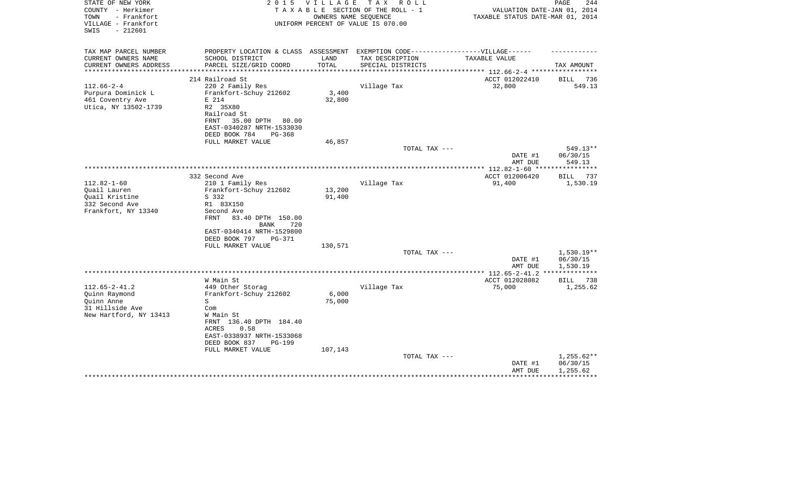| STATE OF NEW YORK<br>COUNTY - Herkimer<br>TOWN<br>- Frankfort<br>VILLAGE - Frankfort<br>$-212601$<br>SWIS | 2 0 1 5                                                                           | V I L L A G E | T A X<br>R O L L<br>TAXABLE SECTION OF THE ROLL - 1<br>OWNERS NAME SEQUENCE<br>UNIFORM PERCENT OF VALUE IS 070.00 | VALUATION DATE-JAN 01, 2014<br>TAXABLE STATUS DATE-MAR 01, 2014 | PAGE<br>244           |
|-----------------------------------------------------------------------------------------------------------|-----------------------------------------------------------------------------------|---------------|-------------------------------------------------------------------------------------------------------------------|-----------------------------------------------------------------|-----------------------|
| TAX MAP PARCEL NUMBER                                                                                     | PROPERTY LOCATION & CLASS ASSESSMENT EXEMPTION CODE-----------------VILLAGE------ |               |                                                                                                                   |                                                                 |                       |
| CURRENT OWNERS NAME                                                                                       | SCHOOL DISTRICT                                                                   | LAND          | TAX DESCRIPTION                                                                                                   | TAXABLE VALUE                                                   |                       |
| CURRENT OWNERS ADDRESS                                                                                    | PARCEL SIZE/GRID COORD                                                            | TOTAL         | SPECIAL DISTRICTS                                                                                                 |                                                                 | TAX AMOUNT            |
| **********************                                                                                    |                                                                                   |               |                                                                                                                   |                                                                 |                       |
|                                                                                                           | 214 Railroad St                                                                   |               |                                                                                                                   | ACCT 012022410                                                  | BILL 736              |
| $112.66 - 2 - 4$                                                                                          | 220 2 Family Res                                                                  | 3,400         | Village Tax                                                                                                       | 32,800                                                          | 549.13                |
| Purpura Dominick L<br>461 Coventry Ave                                                                    | Frankfort-Schuy 212602<br>E 214                                                   | 32,800        |                                                                                                                   |                                                                 |                       |
| Utica, NY 13502-1739                                                                                      | R2 35X80<br>Railroad St                                                           |               |                                                                                                                   |                                                                 |                       |
|                                                                                                           | 35.00 DPTH<br>FRNT<br>80.00<br>EAST-0340287 NRTH-1533030                          |               |                                                                                                                   |                                                                 |                       |
|                                                                                                           | DEED BOOK 784<br>$PG-368$                                                         |               |                                                                                                                   |                                                                 |                       |
|                                                                                                           | FULL MARKET VALUE                                                                 | 46,857        |                                                                                                                   |                                                                 |                       |
|                                                                                                           |                                                                                   |               | TOTAL TAX ---                                                                                                     |                                                                 | 549.13**              |
|                                                                                                           |                                                                                   |               |                                                                                                                   | DATE #1<br>AMT DUE                                              | 06/30/15<br>549.13    |
|                                                                                                           |                                                                                   |               |                                                                                                                   |                                                                 | **********            |
|                                                                                                           | 332 Second Ave                                                                    |               |                                                                                                                   | ACCT 012006420                                                  | <b>BILL</b><br>737    |
| $112.82 - 1 - 60$                                                                                         | 210 1 Family Res                                                                  |               | Village Tax                                                                                                       | 91,400                                                          | 1,530.19              |
| Quail Lauren                                                                                              | Frankfort-Schuy 212602                                                            | 13,200        |                                                                                                                   |                                                                 |                       |
| Quail Kristine                                                                                            | S 332                                                                             | 91,400        |                                                                                                                   |                                                                 |                       |
| 332 Second Ave                                                                                            | R1 83X150                                                                         |               |                                                                                                                   |                                                                 |                       |
| Frankfort, NY 13340                                                                                       | Second Ave                                                                        |               |                                                                                                                   |                                                                 |                       |
|                                                                                                           | FRNT<br>83.40 DPTH 150.00                                                         |               |                                                                                                                   |                                                                 |                       |
|                                                                                                           | 720<br>BANK                                                                       |               |                                                                                                                   |                                                                 |                       |
|                                                                                                           | EAST-0340414 NRTH-1529800<br><b>PG-371</b>                                        |               |                                                                                                                   |                                                                 |                       |
|                                                                                                           | DEED BOOK 797<br>FULL MARKET VALUE                                                | 130,571       |                                                                                                                   |                                                                 |                       |
|                                                                                                           |                                                                                   |               | TOTAL TAX ---                                                                                                     |                                                                 | $1,530.19**$          |
|                                                                                                           |                                                                                   |               |                                                                                                                   | DATE #1                                                         | 06/30/15              |
|                                                                                                           |                                                                                   |               |                                                                                                                   | AMT DUE                                                         | 1,530.19              |
|                                                                                                           |                                                                                   |               |                                                                                                                   |                                                                 | * * * * * * * * * * * |
|                                                                                                           | W Main St                                                                         |               |                                                                                                                   | ACCT 012028082                                                  | BILL 738              |
| $112.65 - 2 - 41.2$                                                                                       | 449 Other Storag                                                                  |               | Village Tax                                                                                                       | 75,000                                                          | 1,255.62              |
| Quinn Raymond                                                                                             | Frankfort-Schuy 212602                                                            | 6,000         |                                                                                                                   |                                                                 |                       |
| Ouinn Anne                                                                                                | S                                                                                 | 75,000        |                                                                                                                   |                                                                 |                       |
| 31 Hillside Ave                                                                                           | Com                                                                               |               |                                                                                                                   |                                                                 |                       |
| New Hartford, NY 13413                                                                                    | W Main St<br>FRNT 136.40 DPTH 184.40                                              |               |                                                                                                                   |                                                                 |                       |
|                                                                                                           | ACRES<br>0.58                                                                     |               |                                                                                                                   |                                                                 |                       |
|                                                                                                           | EAST-0338937 NRTH-1533068                                                         |               |                                                                                                                   |                                                                 |                       |
|                                                                                                           | DEED BOOK 837<br><b>PG-199</b>                                                    |               |                                                                                                                   |                                                                 |                       |
|                                                                                                           | FULL MARKET VALUE                                                                 | 107,143       |                                                                                                                   |                                                                 |                       |
|                                                                                                           |                                                                                   |               | TOTAL TAX ---                                                                                                     |                                                                 | 1,255.62**            |
|                                                                                                           |                                                                                   |               |                                                                                                                   | DATE #1                                                         | 06/30/15              |
|                                                                                                           |                                                                                   |               |                                                                                                                   | AMT DUE                                                         | 1,255.62              |
|                                                                                                           |                                                                                   |               |                                                                                                                   |                                                                 |                       |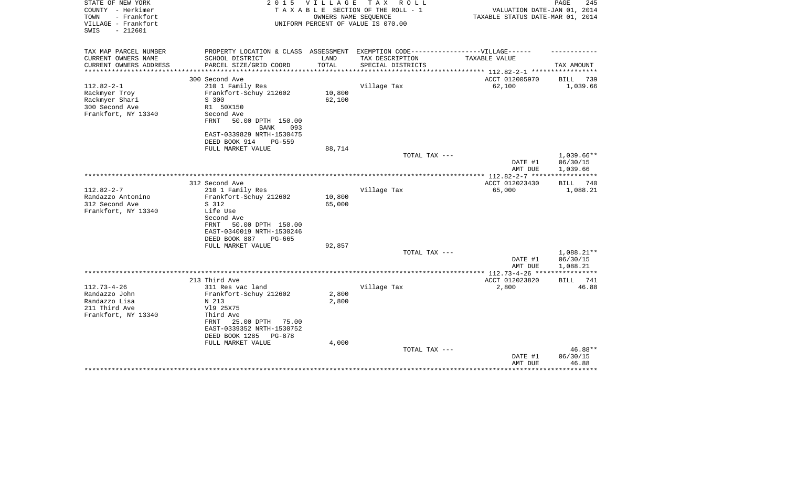| STATE OF NEW YORK<br>COUNTY - Herkimer<br>TOWN<br>- Frankfort<br>VILLAGE - Frankfort<br>$-212601$<br>SWIS | 2 0 1 5                                                                          | <b>VILLAGE</b>         | TAX ROLL<br>TAXABLE SECTION OF THE ROLL - 1<br>OWNERS NAME SEQUENCE<br>UNIFORM PERCENT OF VALUE IS 070.00 | VALUATION DATE-JAN 01, 2014<br>TAXABLE STATUS DATE-MAR 01, 2014 | 245<br>PAGE                          |
|-----------------------------------------------------------------------------------------------------------|----------------------------------------------------------------------------------|------------------------|-----------------------------------------------------------------------------------------------------------|-----------------------------------------------------------------|--------------------------------------|
|                                                                                                           |                                                                                  |                        |                                                                                                           |                                                                 |                                      |
| TAX MAP PARCEL NUMBER                                                                                     | PROPERTY LOCATION & CLASS ASSESSMENT EXEMPTION CODE----------------VILLAGE------ |                        |                                                                                                           |                                                                 |                                      |
| CURRENT OWNERS NAME                                                                                       | SCHOOL DISTRICT                                                                  | LAND                   | TAX DESCRIPTION                                                                                           | TAXABLE VALUE                                                   |                                      |
| CURRENT OWNERS ADDRESS<br>********************                                                            | PARCEL SIZE/GRID COORD                                                           | TOTAL<br>************* | SPECIAL DISTRICTS                                                                                         |                                                                 | TAX AMOUNT                           |
|                                                                                                           | 300 Second Ave                                                                   |                        |                                                                                                           | ACCT 012005970                                                  | BILL<br>739                          |
| $112.82 - 2 - 1$                                                                                          | 210 1 Family Res                                                                 |                        | Village Tax                                                                                               | 62,100                                                          | 1,039.66                             |
| Rackmyer Troy                                                                                             | Frankfort-Schuy 212602                                                           | 10,800                 |                                                                                                           |                                                                 |                                      |
| Rackmyer Shari                                                                                            | S 300                                                                            | 62,100                 |                                                                                                           |                                                                 |                                      |
| 300 Second Ave                                                                                            | R1 50X150                                                                        |                        |                                                                                                           |                                                                 |                                      |
| Frankfort, NY 13340                                                                                       | Second Ave                                                                       |                        |                                                                                                           |                                                                 |                                      |
|                                                                                                           | FRNT<br>50.00 DPTH 150.00                                                        |                        |                                                                                                           |                                                                 |                                      |
|                                                                                                           | BANK<br>093                                                                      |                        |                                                                                                           |                                                                 |                                      |
|                                                                                                           | EAST-0339829 NRTH-1530475                                                        |                        |                                                                                                           |                                                                 |                                      |
|                                                                                                           | DEED BOOK 914<br>PG-559                                                          |                        |                                                                                                           |                                                                 |                                      |
|                                                                                                           | FULL MARKET VALUE                                                                | 88,714                 |                                                                                                           |                                                                 |                                      |
|                                                                                                           |                                                                                  |                        | TOTAL TAX ---                                                                                             | DATE #1<br>AMT DUE                                              | $1,039.66**$<br>06/30/15<br>1,039.66 |
|                                                                                                           |                                                                                  |                        |                                                                                                           |                                                                 |                                      |
|                                                                                                           | 312 Second Ave                                                                   |                        |                                                                                                           | ACCT 012023430                                                  | BILL<br>740                          |
| $112.82 - 2 - 7$                                                                                          | 210 1 Family Res                                                                 |                        | Village Tax                                                                                               | 65,000                                                          | 1,088.21                             |
| Randazzo Antonino                                                                                         | Frankfort-Schuy 212602                                                           | 10,800                 |                                                                                                           |                                                                 |                                      |
| 312 Second Ave                                                                                            | S 312                                                                            | 65,000                 |                                                                                                           |                                                                 |                                      |
| Frankfort, NY 13340                                                                                       | Life Use                                                                         |                        |                                                                                                           |                                                                 |                                      |
|                                                                                                           | Second Ave<br>50.00 DPTH 150.00                                                  |                        |                                                                                                           |                                                                 |                                      |
|                                                                                                           | FRNT<br>EAST-0340019 NRTH-1530246                                                |                        |                                                                                                           |                                                                 |                                      |
|                                                                                                           | DEED BOOK 887<br>$PG-665$                                                        |                        |                                                                                                           |                                                                 |                                      |
|                                                                                                           | FULL MARKET VALUE                                                                | 92,857                 |                                                                                                           |                                                                 |                                      |
|                                                                                                           |                                                                                  |                        | TOTAL TAX ---                                                                                             |                                                                 | 1,088.21**                           |
|                                                                                                           |                                                                                  |                        |                                                                                                           | DATE #1                                                         | 06/30/15                             |
|                                                                                                           |                                                                                  |                        |                                                                                                           | AMT DUE                                                         | 1,088.21                             |
|                                                                                                           |                                                                                  |                        |                                                                                                           | **************** 112.73-4-26 ****                               |                                      |
|                                                                                                           | 213 Third Ave                                                                    |                        |                                                                                                           | ACCT 012023820                                                  | 741<br>BILL                          |
| $112.73 - 4 - 26$                                                                                         | 311 Res vac land                                                                 |                        | Village Tax                                                                                               | 2,800                                                           | 46.88                                |
| Randazzo John                                                                                             | Frankfort-Schuy 212602                                                           | 2,800                  |                                                                                                           |                                                                 |                                      |
| Randazzo Lisa                                                                                             | N 213                                                                            | 2,800                  |                                                                                                           |                                                                 |                                      |
| 211 Third Ave<br>Frankfort, NY 13340                                                                      | V19 25X75<br>Third Ave                                                           |                        |                                                                                                           |                                                                 |                                      |
|                                                                                                           | FRNT<br>25.00 DPTH<br>75.00                                                      |                        |                                                                                                           |                                                                 |                                      |
|                                                                                                           | EAST-0339352 NRTH-1530752                                                        |                        |                                                                                                           |                                                                 |                                      |
|                                                                                                           | DEED BOOK 1285<br>PG-878                                                         |                        |                                                                                                           |                                                                 |                                      |
|                                                                                                           | FULL MARKET VALUE                                                                | 4,000                  |                                                                                                           |                                                                 |                                      |
|                                                                                                           |                                                                                  |                        | TOTAL TAX ---                                                                                             |                                                                 | 46.88**                              |
|                                                                                                           |                                                                                  |                        |                                                                                                           | DATE #1                                                         | 06/30/15                             |
|                                                                                                           |                                                                                  |                        |                                                                                                           | AMT DUE                                                         | 46.88                                |
|                                                                                                           |                                                                                  |                        |                                                                                                           |                                                                 |                                      |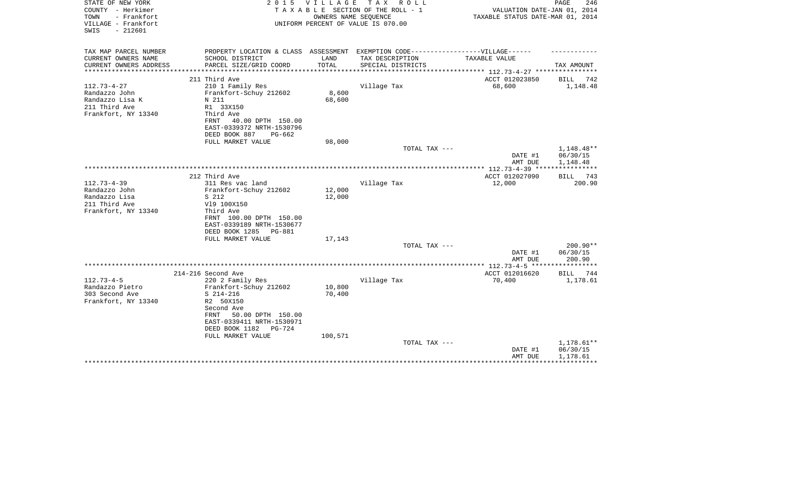| STATE OF NEW YORK<br>COUNTY - Herkimer<br>TOWN<br>- Frankfort<br>VILLAGE - Frankfort<br>$-212601$<br>SWIS | 2 0 1 5                                      | VILLAGE | T A X<br>R O L L<br>TAXABLE SECTION OF THE ROLL - 1<br>OWNERS NAME SEQUENCE<br>UNIFORM PERCENT OF VALUE IS 070.00 | VALUATION DATE-JAN 01, 2014<br>TAXABLE STATUS DATE-MAR 01, 2014 | PAGE<br>246                    |
|-----------------------------------------------------------------------------------------------------------|----------------------------------------------|---------|-------------------------------------------------------------------------------------------------------------------|-----------------------------------------------------------------|--------------------------------|
| TAX MAP PARCEL NUMBER                                                                                     | PROPERTY LOCATION & CLASS ASSESSMENT         |         | EXEMPTION CODE------------------VILLAGE------                                                                     |                                                                 |                                |
| CURRENT OWNERS NAME                                                                                       | SCHOOL DISTRICT                              | LAND    | TAX DESCRIPTION                                                                                                   | TAXABLE VALUE                                                   |                                |
| CURRENT OWNERS ADDRESS<br>*****************                                                               | PARCEL SIZE/GRID COORD                       | TOTAL   | SPECIAL DISTRICTS                                                                                                 |                                                                 | TAX AMOUNT                     |
|                                                                                                           | 211 Third Ave                                |         |                                                                                                                   | ACCT 012023850                                                  | BILL<br>742                    |
| $112.73 - 4 - 27$                                                                                         | 210 1 Family Res                             |         | Village Tax                                                                                                       | 68,600                                                          | 1,148.48                       |
| Randazzo John                                                                                             | Frankfort-Schuy 212602                       | 8,600   |                                                                                                                   |                                                                 |                                |
| Randazzo Lisa K                                                                                           | N 211                                        | 68,600  |                                                                                                                   |                                                                 |                                |
| 211 Third Ave                                                                                             | R1 33X150                                    |         |                                                                                                                   |                                                                 |                                |
| Frankfort, NY 13340                                                                                       | Third Ave                                    |         |                                                                                                                   |                                                                 |                                |
|                                                                                                           | FRNT<br>40.00 DPTH 150.00                    |         |                                                                                                                   |                                                                 |                                |
|                                                                                                           | EAST-0339372 NRTH-1530796                    |         |                                                                                                                   |                                                                 |                                |
|                                                                                                           | DEED BOOK 887<br>PG-662<br>FULL MARKET VALUE | 98,000  |                                                                                                                   |                                                                 |                                |
|                                                                                                           |                                              |         | TOTAL TAX ---                                                                                                     |                                                                 | 1,148.48**                     |
|                                                                                                           |                                              |         |                                                                                                                   | DATE #1                                                         | 06/30/15                       |
|                                                                                                           |                                              |         |                                                                                                                   | AMT DUE                                                         | 1,148.48                       |
|                                                                                                           |                                              |         |                                                                                                                   |                                                                 | ************                   |
|                                                                                                           | 212 Third Ave                                |         |                                                                                                                   | ACCT 012027090                                                  | BILL 743                       |
| $112.73 - 4 - 39$                                                                                         | 311 Res vac land                             |         | Village Tax                                                                                                       | 12,000                                                          | 200.90                         |
| Randazzo John                                                                                             | Frankfort-Schuy 212602                       | 12,000  |                                                                                                                   |                                                                 |                                |
| Randazzo Lisa                                                                                             | S 212                                        | 12,000  |                                                                                                                   |                                                                 |                                |
| 211 Third Ave<br>Frankfort, NY 13340                                                                      | V19 100X150<br>Third Ave                     |         |                                                                                                                   |                                                                 |                                |
|                                                                                                           | FRNT 100.00 DPTH 150.00                      |         |                                                                                                                   |                                                                 |                                |
|                                                                                                           | EAST-0339189 NRTH-1530677                    |         |                                                                                                                   |                                                                 |                                |
|                                                                                                           | DEED BOOK 1285<br>PG-881                     |         |                                                                                                                   |                                                                 |                                |
|                                                                                                           | FULL MARKET VALUE                            | 17,143  |                                                                                                                   |                                                                 |                                |
|                                                                                                           |                                              |         | TOTAL TAX ---                                                                                                     |                                                                 | $200.90**$                     |
|                                                                                                           |                                              |         |                                                                                                                   | DATE #1                                                         | 06/30/15                       |
|                                                                                                           |                                              |         |                                                                                                                   | AMT DUE                                                         | 200.90                         |
|                                                                                                           |                                              |         |                                                                                                                   |                                                                 |                                |
| $112.73 - 4 - 5$                                                                                          | 214-216 Second Ave<br>220 2 Family Res       |         | Village Tax                                                                                                       | ACCT 012016620<br>70,400                                        | 744<br><b>BILL</b><br>1,178.61 |
| Randazzo Pietro                                                                                           | Frankfort-Schuy 212602                       | 10,800  |                                                                                                                   |                                                                 |                                |
| 303 Second Ave                                                                                            | $S$ 214-216                                  | 70,400  |                                                                                                                   |                                                                 |                                |
| Frankfort, NY 13340                                                                                       | R2 50X150                                    |         |                                                                                                                   |                                                                 |                                |
|                                                                                                           | Second Ave                                   |         |                                                                                                                   |                                                                 |                                |
|                                                                                                           | 50.00 DPTH 150.00<br>FRNT                    |         |                                                                                                                   |                                                                 |                                |
|                                                                                                           | EAST-0339411 NRTH-1530971                    |         |                                                                                                                   |                                                                 |                                |
|                                                                                                           | DEED BOOK 1182<br><b>PG-724</b>              |         |                                                                                                                   |                                                                 |                                |
|                                                                                                           | FULL MARKET VALUE                            | 100,571 |                                                                                                                   |                                                                 |                                |
|                                                                                                           |                                              |         | TOTAL TAX ---                                                                                                     | DATE #1                                                         | 1,178.61**<br>06/30/15         |
|                                                                                                           |                                              |         |                                                                                                                   | AMT DUE                                                         | 1,178.61                       |
|                                                                                                           |                                              |         |                                                                                                                   |                                                                 |                                |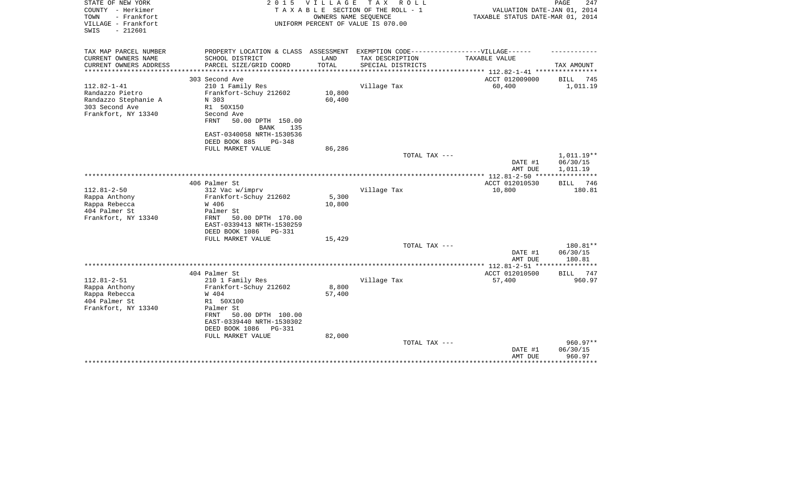| UNIFORM PERCENT OF VALUE IS 070.00<br>$-212601$<br>SWIS<br>TAX MAP PARCEL NUMBER<br>PROPERTY LOCATION & CLASS ASSESSMENT EXEMPTION CODE-----------------VILLAGE------<br>CURRENT OWNERS NAME<br>SCHOOL DISTRICT<br>LAND<br>TAX DESCRIPTION<br>TAXABLE VALUE<br>PARCEL SIZE/GRID COORD<br>TOTAL<br>CURRENT OWNERS ADDRESS<br>SPECIAL DISTRICTS<br>TAX AMOUNT<br>**********************<br>ACCT 012009000<br>303 Second Ave<br>BILL<br>745<br>$112.82 - 1 - 41$<br>60,400<br>210 1 Family Res<br>Village Tax<br>1,011.19<br>10,800<br>Randazzo Pietro<br>Frankfort-Schuy 212602<br>60,400<br>Randazzo Stephanie A<br>N 303<br>303 Second Ave<br>R1 50X150<br>Frankfort, NY 13340<br>Second Ave<br>50.00 DPTH 150.00<br><b>FRNT</b><br><b>BANK</b><br>135<br>EAST-0340058 NRTH-1530536<br>DEED BOOK 885<br>$PG-348$<br>FULL MARKET VALUE<br>86,286<br>1,011.19**<br>TOTAL TAX ---<br>06/30/15<br>DATE #1<br>1,011.19<br>AMT DUE<br>**** 112.81-2-50 ***<br>406 Palmer St<br>ACCT 012010530<br>746<br><b>BILL</b><br>$112.81 - 2 - 50$<br>180.81<br>312 Vac w/imprv<br>Village Tax<br>10,800<br>5,300<br>Rappa Anthony<br>Frankfort-Schuy 212602<br>10,800<br>Rappa Rebecca<br>W 406<br>404 Palmer St<br>Palmer St<br>Frankfort, NY 13340<br>50.00 DPTH 170.00<br><b>FRNT</b><br>EAST-0339413 NRTH-1530259<br>DEED BOOK 1086<br>PG-331<br>FULL MARKET VALUE<br>15,429<br>TOTAL TAX ---<br>180.81**<br>DATE #1<br>06/30/15<br>180.81<br>AMT DUE<br>************ 112.81-2-51 *******<br>404 Palmer St<br>ACCT 012010500<br>747<br><b>BILL</b><br>$112.81 - 2 - 51$<br>210 1 Family Res<br>Village Tax<br>57,400<br>960.97<br>Rappa Anthony<br>Frankfort-Schuy 212602<br>8,800<br>Rappa Rebecca<br>W 404<br>57,400<br>404 Palmer St<br>R1 50X100<br>Frankfort, NY 13340<br>Palmer St<br>50.00 DPTH 100.00<br>FRNT<br>EAST-0339440 NRTH-1530302<br>DEED BOOK 1086<br><b>PG-331</b><br>FULL MARKET VALUE<br>82,000<br>960.97**<br>TOTAL TAX ---<br>06/30/15<br>DATE #1<br>960.97<br>AMT DUE<br>******** | STATE OF NEW YORK<br>COUNTY - Herkimer<br>TOWN<br>- Frankfort | 2 0 1 5<br>TAXABLE | <b>VILLAGE</b> | T A X<br>R O L L<br>SECTION OF THE ROLL - 1<br>OWNERS NAME SEQUENCE | VALUATION DATE-JAN 01, 2014<br>TAXABLE STATUS DATE-MAR 01, 2014 | PAGE<br>247 |
|------------------------------------------------------------------------------------------------------------------------------------------------------------------------------------------------------------------------------------------------------------------------------------------------------------------------------------------------------------------------------------------------------------------------------------------------------------------------------------------------------------------------------------------------------------------------------------------------------------------------------------------------------------------------------------------------------------------------------------------------------------------------------------------------------------------------------------------------------------------------------------------------------------------------------------------------------------------------------------------------------------------------------------------------------------------------------------------------------------------------------------------------------------------------------------------------------------------------------------------------------------------------------------------------------------------------------------------------------------------------------------------------------------------------------------------------------------------------------------------------------------------------------------------------------------------------------------------------------------------------------------------------------------------------------------------------------------------------------------------------------------------------------------------------------------------------------------------------------------------------------------------------------------------------------------------------------------------------------------------------|---------------------------------------------------------------|--------------------|----------------|---------------------------------------------------------------------|-----------------------------------------------------------------|-------------|
|                                                                                                                                                                                                                                                                                                                                                                                                                                                                                                                                                                                                                                                                                                                                                                                                                                                                                                                                                                                                                                                                                                                                                                                                                                                                                                                                                                                                                                                                                                                                                                                                                                                                                                                                                                                                                                                                                                                                                                                                | VILLAGE - Frankfort                                           |                    |                |                                                                     |                                                                 |             |
|                                                                                                                                                                                                                                                                                                                                                                                                                                                                                                                                                                                                                                                                                                                                                                                                                                                                                                                                                                                                                                                                                                                                                                                                                                                                                                                                                                                                                                                                                                                                                                                                                                                                                                                                                                                                                                                                                                                                                                                                |                                                               |                    |                |                                                                     |                                                                 |             |
|                                                                                                                                                                                                                                                                                                                                                                                                                                                                                                                                                                                                                                                                                                                                                                                                                                                                                                                                                                                                                                                                                                                                                                                                                                                                                                                                                                                                                                                                                                                                                                                                                                                                                                                                                                                                                                                                                                                                                                                                |                                                               |                    |                |                                                                     |                                                                 |             |
|                                                                                                                                                                                                                                                                                                                                                                                                                                                                                                                                                                                                                                                                                                                                                                                                                                                                                                                                                                                                                                                                                                                                                                                                                                                                                                                                                                                                                                                                                                                                                                                                                                                                                                                                                                                                                                                                                                                                                                                                |                                                               |                    |                |                                                                     |                                                                 |             |
|                                                                                                                                                                                                                                                                                                                                                                                                                                                                                                                                                                                                                                                                                                                                                                                                                                                                                                                                                                                                                                                                                                                                                                                                                                                                                                                                                                                                                                                                                                                                                                                                                                                                                                                                                                                                                                                                                                                                                                                                |                                                               |                    |                |                                                                     |                                                                 |             |
|                                                                                                                                                                                                                                                                                                                                                                                                                                                                                                                                                                                                                                                                                                                                                                                                                                                                                                                                                                                                                                                                                                                                                                                                                                                                                                                                                                                                                                                                                                                                                                                                                                                                                                                                                                                                                                                                                                                                                                                                |                                                               |                    |                |                                                                     |                                                                 |             |
|                                                                                                                                                                                                                                                                                                                                                                                                                                                                                                                                                                                                                                                                                                                                                                                                                                                                                                                                                                                                                                                                                                                                                                                                                                                                                                                                                                                                                                                                                                                                                                                                                                                                                                                                                                                                                                                                                                                                                                                                |                                                               |                    |                |                                                                     |                                                                 |             |
|                                                                                                                                                                                                                                                                                                                                                                                                                                                                                                                                                                                                                                                                                                                                                                                                                                                                                                                                                                                                                                                                                                                                                                                                                                                                                                                                                                                                                                                                                                                                                                                                                                                                                                                                                                                                                                                                                                                                                                                                |                                                               |                    |                |                                                                     |                                                                 |             |
|                                                                                                                                                                                                                                                                                                                                                                                                                                                                                                                                                                                                                                                                                                                                                                                                                                                                                                                                                                                                                                                                                                                                                                                                                                                                                                                                                                                                                                                                                                                                                                                                                                                                                                                                                                                                                                                                                                                                                                                                |                                                               |                    |                |                                                                     |                                                                 |             |
|                                                                                                                                                                                                                                                                                                                                                                                                                                                                                                                                                                                                                                                                                                                                                                                                                                                                                                                                                                                                                                                                                                                                                                                                                                                                                                                                                                                                                                                                                                                                                                                                                                                                                                                                                                                                                                                                                                                                                                                                |                                                               |                    |                |                                                                     |                                                                 |             |
|                                                                                                                                                                                                                                                                                                                                                                                                                                                                                                                                                                                                                                                                                                                                                                                                                                                                                                                                                                                                                                                                                                                                                                                                                                                                                                                                                                                                                                                                                                                                                                                                                                                                                                                                                                                                                                                                                                                                                                                                |                                                               |                    |                |                                                                     |                                                                 |             |
|                                                                                                                                                                                                                                                                                                                                                                                                                                                                                                                                                                                                                                                                                                                                                                                                                                                                                                                                                                                                                                                                                                                                                                                                                                                                                                                                                                                                                                                                                                                                                                                                                                                                                                                                                                                                                                                                                                                                                                                                |                                                               |                    |                |                                                                     |                                                                 |             |
|                                                                                                                                                                                                                                                                                                                                                                                                                                                                                                                                                                                                                                                                                                                                                                                                                                                                                                                                                                                                                                                                                                                                                                                                                                                                                                                                                                                                                                                                                                                                                                                                                                                                                                                                                                                                                                                                                                                                                                                                |                                                               |                    |                |                                                                     |                                                                 |             |
|                                                                                                                                                                                                                                                                                                                                                                                                                                                                                                                                                                                                                                                                                                                                                                                                                                                                                                                                                                                                                                                                                                                                                                                                                                                                                                                                                                                                                                                                                                                                                                                                                                                                                                                                                                                                                                                                                                                                                                                                |                                                               |                    |                |                                                                     |                                                                 |             |
|                                                                                                                                                                                                                                                                                                                                                                                                                                                                                                                                                                                                                                                                                                                                                                                                                                                                                                                                                                                                                                                                                                                                                                                                                                                                                                                                                                                                                                                                                                                                                                                                                                                                                                                                                                                                                                                                                                                                                                                                |                                                               |                    |                |                                                                     |                                                                 |             |
|                                                                                                                                                                                                                                                                                                                                                                                                                                                                                                                                                                                                                                                                                                                                                                                                                                                                                                                                                                                                                                                                                                                                                                                                                                                                                                                                                                                                                                                                                                                                                                                                                                                                                                                                                                                                                                                                                                                                                                                                |                                                               |                    |                |                                                                     |                                                                 |             |
|                                                                                                                                                                                                                                                                                                                                                                                                                                                                                                                                                                                                                                                                                                                                                                                                                                                                                                                                                                                                                                                                                                                                                                                                                                                                                                                                                                                                                                                                                                                                                                                                                                                                                                                                                                                                                                                                                                                                                                                                |                                                               |                    |                |                                                                     |                                                                 |             |
|                                                                                                                                                                                                                                                                                                                                                                                                                                                                                                                                                                                                                                                                                                                                                                                                                                                                                                                                                                                                                                                                                                                                                                                                                                                                                                                                                                                                                                                                                                                                                                                                                                                                                                                                                                                                                                                                                                                                                                                                |                                                               |                    |                |                                                                     |                                                                 |             |
|                                                                                                                                                                                                                                                                                                                                                                                                                                                                                                                                                                                                                                                                                                                                                                                                                                                                                                                                                                                                                                                                                                                                                                                                                                                                                                                                                                                                                                                                                                                                                                                                                                                                                                                                                                                                                                                                                                                                                                                                |                                                               |                    |                |                                                                     |                                                                 |             |
|                                                                                                                                                                                                                                                                                                                                                                                                                                                                                                                                                                                                                                                                                                                                                                                                                                                                                                                                                                                                                                                                                                                                                                                                                                                                                                                                                                                                                                                                                                                                                                                                                                                                                                                                                                                                                                                                                                                                                                                                |                                                               |                    |                |                                                                     |                                                                 |             |
|                                                                                                                                                                                                                                                                                                                                                                                                                                                                                                                                                                                                                                                                                                                                                                                                                                                                                                                                                                                                                                                                                                                                                                                                                                                                                                                                                                                                                                                                                                                                                                                                                                                                                                                                                                                                                                                                                                                                                                                                |                                                               |                    |                |                                                                     |                                                                 |             |
|                                                                                                                                                                                                                                                                                                                                                                                                                                                                                                                                                                                                                                                                                                                                                                                                                                                                                                                                                                                                                                                                                                                                                                                                                                                                                                                                                                                                                                                                                                                                                                                                                                                                                                                                                                                                                                                                                                                                                                                                |                                                               |                    |                |                                                                     |                                                                 |             |
|                                                                                                                                                                                                                                                                                                                                                                                                                                                                                                                                                                                                                                                                                                                                                                                                                                                                                                                                                                                                                                                                                                                                                                                                                                                                                                                                                                                                                                                                                                                                                                                                                                                                                                                                                                                                                                                                                                                                                                                                |                                                               |                    |                |                                                                     |                                                                 |             |
|                                                                                                                                                                                                                                                                                                                                                                                                                                                                                                                                                                                                                                                                                                                                                                                                                                                                                                                                                                                                                                                                                                                                                                                                                                                                                                                                                                                                                                                                                                                                                                                                                                                                                                                                                                                                                                                                                                                                                                                                |                                                               |                    |                |                                                                     |                                                                 |             |
|                                                                                                                                                                                                                                                                                                                                                                                                                                                                                                                                                                                                                                                                                                                                                                                                                                                                                                                                                                                                                                                                                                                                                                                                                                                                                                                                                                                                                                                                                                                                                                                                                                                                                                                                                                                                                                                                                                                                                                                                |                                                               |                    |                |                                                                     |                                                                 |             |
|                                                                                                                                                                                                                                                                                                                                                                                                                                                                                                                                                                                                                                                                                                                                                                                                                                                                                                                                                                                                                                                                                                                                                                                                                                                                                                                                                                                                                                                                                                                                                                                                                                                                                                                                                                                                                                                                                                                                                                                                |                                                               |                    |                |                                                                     |                                                                 |             |
|                                                                                                                                                                                                                                                                                                                                                                                                                                                                                                                                                                                                                                                                                                                                                                                                                                                                                                                                                                                                                                                                                                                                                                                                                                                                                                                                                                                                                                                                                                                                                                                                                                                                                                                                                                                                                                                                                                                                                                                                |                                                               |                    |                |                                                                     |                                                                 |             |
|                                                                                                                                                                                                                                                                                                                                                                                                                                                                                                                                                                                                                                                                                                                                                                                                                                                                                                                                                                                                                                                                                                                                                                                                                                                                                                                                                                                                                                                                                                                                                                                                                                                                                                                                                                                                                                                                                                                                                                                                |                                                               |                    |                |                                                                     |                                                                 |             |
|                                                                                                                                                                                                                                                                                                                                                                                                                                                                                                                                                                                                                                                                                                                                                                                                                                                                                                                                                                                                                                                                                                                                                                                                                                                                                                                                                                                                                                                                                                                                                                                                                                                                                                                                                                                                                                                                                                                                                                                                |                                                               |                    |                |                                                                     |                                                                 |             |
|                                                                                                                                                                                                                                                                                                                                                                                                                                                                                                                                                                                                                                                                                                                                                                                                                                                                                                                                                                                                                                                                                                                                                                                                                                                                                                                                                                                                                                                                                                                                                                                                                                                                                                                                                                                                                                                                                                                                                                                                |                                                               |                    |                |                                                                     |                                                                 |             |
|                                                                                                                                                                                                                                                                                                                                                                                                                                                                                                                                                                                                                                                                                                                                                                                                                                                                                                                                                                                                                                                                                                                                                                                                                                                                                                                                                                                                                                                                                                                                                                                                                                                                                                                                                                                                                                                                                                                                                                                                |                                                               |                    |                |                                                                     |                                                                 |             |
|                                                                                                                                                                                                                                                                                                                                                                                                                                                                                                                                                                                                                                                                                                                                                                                                                                                                                                                                                                                                                                                                                                                                                                                                                                                                                                                                                                                                                                                                                                                                                                                                                                                                                                                                                                                                                                                                                                                                                                                                |                                                               |                    |                |                                                                     |                                                                 |             |
|                                                                                                                                                                                                                                                                                                                                                                                                                                                                                                                                                                                                                                                                                                                                                                                                                                                                                                                                                                                                                                                                                                                                                                                                                                                                                                                                                                                                                                                                                                                                                                                                                                                                                                                                                                                                                                                                                                                                                                                                |                                                               |                    |                |                                                                     |                                                                 |             |
|                                                                                                                                                                                                                                                                                                                                                                                                                                                                                                                                                                                                                                                                                                                                                                                                                                                                                                                                                                                                                                                                                                                                                                                                                                                                                                                                                                                                                                                                                                                                                                                                                                                                                                                                                                                                                                                                                                                                                                                                |                                                               |                    |                |                                                                     |                                                                 |             |
|                                                                                                                                                                                                                                                                                                                                                                                                                                                                                                                                                                                                                                                                                                                                                                                                                                                                                                                                                                                                                                                                                                                                                                                                                                                                                                                                                                                                                                                                                                                                                                                                                                                                                                                                                                                                                                                                                                                                                                                                |                                                               |                    |                |                                                                     |                                                                 |             |
|                                                                                                                                                                                                                                                                                                                                                                                                                                                                                                                                                                                                                                                                                                                                                                                                                                                                                                                                                                                                                                                                                                                                                                                                                                                                                                                                                                                                                                                                                                                                                                                                                                                                                                                                                                                                                                                                                                                                                                                                |                                                               |                    |                |                                                                     |                                                                 |             |
|                                                                                                                                                                                                                                                                                                                                                                                                                                                                                                                                                                                                                                                                                                                                                                                                                                                                                                                                                                                                                                                                                                                                                                                                                                                                                                                                                                                                                                                                                                                                                                                                                                                                                                                                                                                                                                                                                                                                                                                                |                                                               |                    |                |                                                                     |                                                                 |             |
|                                                                                                                                                                                                                                                                                                                                                                                                                                                                                                                                                                                                                                                                                                                                                                                                                                                                                                                                                                                                                                                                                                                                                                                                                                                                                                                                                                                                                                                                                                                                                                                                                                                                                                                                                                                                                                                                                                                                                                                                |                                                               |                    |                |                                                                     |                                                                 |             |
|                                                                                                                                                                                                                                                                                                                                                                                                                                                                                                                                                                                                                                                                                                                                                                                                                                                                                                                                                                                                                                                                                                                                                                                                                                                                                                                                                                                                                                                                                                                                                                                                                                                                                                                                                                                                                                                                                                                                                                                                |                                                               |                    |                |                                                                     |                                                                 |             |
|                                                                                                                                                                                                                                                                                                                                                                                                                                                                                                                                                                                                                                                                                                                                                                                                                                                                                                                                                                                                                                                                                                                                                                                                                                                                                                                                                                                                                                                                                                                                                                                                                                                                                                                                                                                                                                                                                                                                                                                                |                                                               |                    |                |                                                                     |                                                                 |             |
|                                                                                                                                                                                                                                                                                                                                                                                                                                                                                                                                                                                                                                                                                                                                                                                                                                                                                                                                                                                                                                                                                                                                                                                                                                                                                                                                                                                                                                                                                                                                                                                                                                                                                                                                                                                                                                                                                                                                                                                                |                                                               |                    |                |                                                                     |                                                                 |             |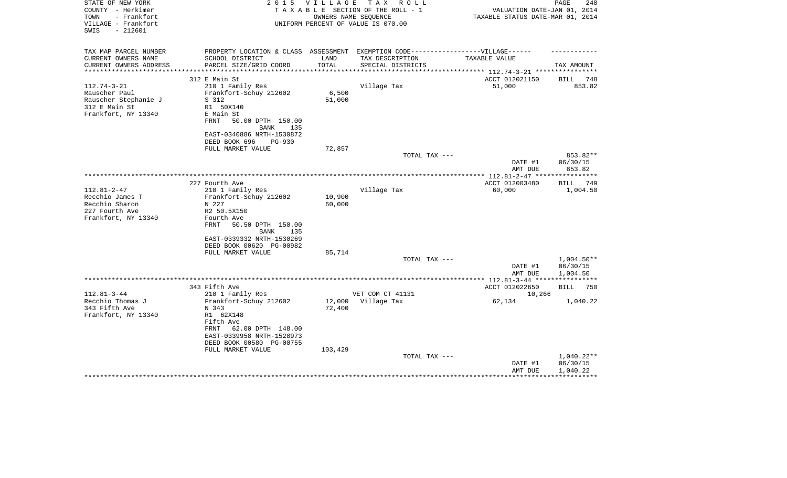| STATE OF NEW YORK<br>COUNTY - Herkimer<br>TOWN<br>- Frankfort<br>VILLAGE - Frankfort<br>SWIS<br>- 212601 | 2 0 1 5                                                                                                                        | <b>VILLAGE</b>   | T A X<br>R O L L<br>TAXABLE SECTION OF THE ROLL - 1<br>OWNERS NAME SEOUENCE<br>UNIFORM PERCENT OF VALUE IS 070.00 | VALUATION DATE-JAN 01, 2014<br>TAXABLE STATUS DATE-MAR 01, 2014 | PAGE<br>248              |
|----------------------------------------------------------------------------------------------------------|--------------------------------------------------------------------------------------------------------------------------------|------------------|-------------------------------------------------------------------------------------------------------------------|-----------------------------------------------------------------|--------------------------|
| TAX MAP PARCEL NUMBER<br>CURRENT OWNERS NAME<br>CURRENT OWNERS ADDRESS                                   | PROPERTY LOCATION & CLASS ASSESSMENT EXEMPTION CODE-----------------VILLAGE------<br>SCHOOL DISTRICT<br>PARCEL SIZE/GRID COORD | LAND<br>TOTAL    | TAX DESCRIPTION<br>SPECIAL DISTRICTS                                                                              | TAXABLE VALUE                                                   | TAX AMOUNT               |
| ***********************                                                                                  | 312 E Main St                                                                                                                  |                  |                                                                                                                   | ACCT 012021150                                                  | BILL 748                 |
| $112.74 - 3 - 21$                                                                                        | 210 1 Family Res                                                                                                               |                  | Village Tax                                                                                                       | 51,000                                                          | 853.82                   |
| Rauscher Paul                                                                                            | Frankfort-Schuy 212602                                                                                                         | 6,500            |                                                                                                                   |                                                                 |                          |
| Rauscher Stephanie J                                                                                     | S 312                                                                                                                          | 51,000           |                                                                                                                   |                                                                 |                          |
| 312 E Main St                                                                                            | R1 50X140                                                                                                                      |                  |                                                                                                                   |                                                                 |                          |
| Frankfort, NY 13340                                                                                      | E Main St                                                                                                                      |                  |                                                                                                                   |                                                                 |                          |
|                                                                                                          | 50.00 DPTH 150.00<br>FRNT                                                                                                      |                  |                                                                                                                   |                                                                 |                          |
|                                                                                                          | BANK<br>135                                                                                                                    |                  |                                                                                                                   |                                                                 |                          |
|                                                                                                          | EAST-0340886 NRTH-1530872<br>DEED BOOK 696<br><b>PG-930</b>                                                                    |                  |                                                                                                                   |                                                                 |                          |
|                                                                                                          | FULL MARKET VALUE                                                                                                              | 72,857           |                                                                                                                   |                                                                 |                          |
|                                                                                                          |                                                                                                                                |                  | TOTAL TAX ---                                                                                                     |                                                                 | 853.82**                 |
|                                                                                                          |                                                                                                                                |                  |                                                                                                                   | DATE #1                                                         | 06/30/15                 |
|                                                                                                          |                                                                                                                                |                  |                                                                                                                   | AMT DUE                                                         | 853.82                   |
|                                                                                                          |                                                                                                                                |                  |                                                                                                                   |                                                                 |                          |
|                                                                                                          | 227 Fourth Ave                                                                                                                 |                  |                                                                                                                   | ACCT 012003480                                                  | BILL<br>749              |
| $112.81 - 2 - 47$<br>Recchio James T                                                                     | 210 1 Family Res<br>Frankfort-Schuy 212602                                                                                     | 10,900           | Village Tax                                                                                                       | 60,000                                                          | 1,004.50                 |
| Recchio Sharon                                                                                           | N 227                                                                                                                          | 60,000           |                                                                                                                   |                                                                 |                          |
| 227 Fourth Ave                                                                                           | R2 50.5X150                                                                                                                    |                  |                                                                                                                   |                                                                 |                          |
| Frankfort, NY 13340                                                                                      | Fourth Ave                                                                                                                     |                  |                                                                                                                   |                                                                 |                          |
|                                                                                                          | FRNT<br>50.50 DPTH 150.00                                                                                                      |                  |                                                                                                                   |                                                                 |                          |
|                                                                                                          | <b>BANK</b><br>135                                                                                                             |                  |                                                                                                                   |                                                                 |                          |
|                                                                                                          | EAST-0339332 NRTH-1530269                                                                                                      |                  |                                                                                                                   |                                                                 |                          |
|                                                                                                          | DEED BOOK 00620 PG-00982<br>FULL MARKET VALUE                                                                                  | 85,714           |                                                                                                                   |                                                                 |                          |
|                                                                                                          |                                                                                                                                |                  | TOTAL TAX ---                                                                                                     |                                                                 | $1,004.50**$             |
|                                                                                                          |                                                                                                                                |                  |                                                                                                                   | DATE #1                                                         | 06/30/15                 |
|                                                                                                          |                                                                                                                                |                  |                                                                                                                   | AMT DUE                                                         | 1,004.50                 |
|                                                                                                          |                                                                                                                                |                  |                                                                                                                   |                                                                 |                          |
|                                                                                                          | 343 Fifth Ave                                                                                                                  |                  |                                                                                                                   | ACCT 012022650                                                  | <b>BILL</b><br>750       |
| $112.81 - 3 - 44$<br>Recchio Thomas J                                                                    | 210 1 Family Res                                                                                                               |                  | VET COM CT 41131                                                                                                  | 10,266                                                          |                          |
| 343 Fifth Ave                                                                                            | Frankfort-Schuy 212602<br>N 343                                                                                                | 12,000<br>72,400 | Village Tax                                                                                                       | 62,134                                                          | 1,040.22                 |
| Frankfort, NY 13340                                                                                      | R1 62X148                                                                                                                      |                  |                                                                                                                   |                                                                 |                          |
|                                                                                                          | Fifth Ave                                                                                                                      |                  |                                                                                                                   |                                                                 |                          |
|                                                                                                          | 62.00 DPTH 148.00<br>FRNT                                                                                                      |                  |                                                                                                                   |                                                                 |                          |
|                                                                                                          | EAST-0339958 NRTH-1528973                                                                                                      |                  |                                                                                                                   |                                                                 |                          |
|                                                                                                          | DEED BOOK 00580 PG-00755                                                                                                       |                  |                                                                                                                   |                                                                 |                          |
|                                                                                                          | FULL MARKET VALUE                                                                                                              | 103,429          |                                                                                                                   |                                                                 |                          |
|                                                                                                          |                                                                                                                                |                  | TOTAL TAX ---                                                                                                     | DATE #1                                                         | $1,040.22**$<br>06/30/15 |
|                                                                                                          |                                                                                                                                |                  |                                                                                                                   | AMT DUE                                                         | 1,040.22                 |
|                                                                                                          |                                                                                                                                |                  |                                                                                                                   |                                                                 | ************             |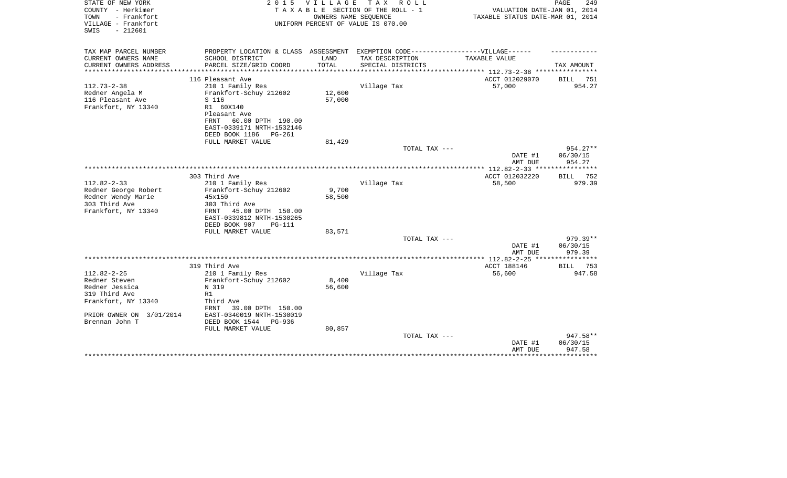| STATE OF NEW YORK<br>COUNTY - Herkimer<br>- Frankfort<br>TOWN<br>VILLAGE - Frankfort<br>$-212601$<br>SWIS                                  | 2 0 1 5                                                                                                                                                                                | <b>VILLAGE</b><br>OWNERS NAME SEQUENCE | TAX ROLL<br>TAXABLE SECTION OF THE ROLL - 1<br>UNIFORM PERCENT OF VALUE IS 070.00 | VALUATION DATE-JAN 01, 2014<br>TAXABLE STATUS DATE-MAR 01, 2014 | PAGE<br>249                      |
|--------------------------------------------------------------------------------------------------------------------------------------------|----------------------------------------------------------------------------------------------------------------------------------------------------------------------------------------|----------------------------------------|-----------------------------------------------------------------------------------|-----------------------------------------------------------------|----------------------------------|
| TAX MAP PARCEL NUMBER                                                                                                                      |                                                                                                                                                                                        |                                        | PROPERTY LOCATION & CLASS ASSESSMENT EXEMPTION CODE-----------------VILLAGE------ |                                                                 |                                  |
| CURRENT OWNERS NAME<br>CURRENT OWNERS ADDRESS                                                                                              | SCHOOL DISTRICT<br>PARCEL SIZE/GRID COORD                                                                                                                                              | LAND<br>TOTAL                          | TAX DESCRIPTION<br>SPECIAL DISTRICTS                                              | TAXABLE VALUE                                                   | TAX AMOUNT                       |
|                                                                                                                                            |                                                                                                                                                                                        | **********                             |                                                                                   | ******** 112.73-2-38 ****************                           |                                  |
|                                                                                                                                            | 116 Pleasant Ave                                                                                                                                                                       |                                        |                                                                                   | ACCT 012029070                                                  | <b>BILL</b><br>751               |
| $112.73 - 2 - 38$<br>Redner Angela M<br>116 Pleasant Ave<br>Frankfort, NY 13340                                                            | 210 1 Family Res<br>Frankfort-Schuy 212602<br>S 116<br>R1 60X140<br>Pleasant Ave<br>60.00 DPTH 190.00<br>FRNT<br>EAST-0339171 NRTH-1532146                                             | 12,600<br>57,000                       | Village Tax                                                                       | 57,000                                                          | 954.27                           |
|                                                                                                                                            | DEED BOOK 1186<br>$PG-261$<br>FULL MARKET VALUE                                                                                                                                        | 81,429                                 |                                                                                   |                                                                 |                                  |
|                                                                                                                                            |                                                                                                                                                                                        |                                        | TOTAL TAX ---                                                                     | DATE #1<br>AMT DUE                                              | $954.27**$<br>06/30/15<br>954.27 |
|                                                                                                                                            |                                                                                                                                                                                        |                                        |                                                                                   |                                                                 | ************                     |
|                                                                                                                                            | 303 Third Ave                                                                                                                                                                          |                                        |                                                                                   | ACCT 012032220                                                  | 752<br>BILL                      |
| $112.82 - 2 - 33$<br>Redner George Robert<br>Redner Wendy Marie<br>303 Third Ave<br>Frankfort, NY 13340                                    | 210 1 Family Res<br>Frankfort-Schuy 212602<br>45x150<br>303 Third Ave<br>45.00 DPTH 150.00<br>FRNT<br>EAST-0339812 NRTH-1530265<br>DEED BOOK 907<br><b>PG-111</b><br>FULL MARKET VALUE | 9,700<br>58,500<br>83,571              | Village Tax                                                                       | 58,500                                                          | 979.39                           |
|                                                                                                                                            |                                                                                                                                                                                        |                                        | TOTAL TAX ---                                                                     |                                                                 | 979.39**                         |
|                                                                                                                                            |                                                                                                                                                                                        |                                        |                                                                                   | DATE #1<br>AMT DUE                                              | 06/30/15<br>979.39               |
|                                                                                                                                            |                                                                                                                                                                                        |                                        |                                                                                   | ************ 112.82-2-25 ***                                    |                                  |
|                                                                                                                                            | 319 Third Ave                                                                                                                                                                          |                                        |                                                                                   | ACCT 188146                                                     | 753<br><b>BILL</b>               |
| $112.82 - 2 - 25$<br>Redner Steven<br>Redner Jessica<br>319 Third Ave<br>Frankfort, NY 13340<br>PRIOR OWNER ON 3/01/2014<br>Brennan John T | 210 1 Family Res<br>Frankfort-Schuy 212602<br>N 319<br>R1<br>Third Ave<br>39.00 DPTH 150.00<br><b>FRNT</b><br>EAST-0340019 NRTH-1530019<br>DEED BOOK 1544<br>PG-936                    | 8,400<br>56,600                        | Village Tax                                                                       | 56,600                                                          | 947.58                           |
|                                                                                                                                            | FULL MARKET VALUE                                                                                                                                                                      | 80,857                                 | TOTAL TAX ---                                                                     | DATE #1<br>AMT DUE                                              | 947.58**<br>06/30/15<br>947.58   |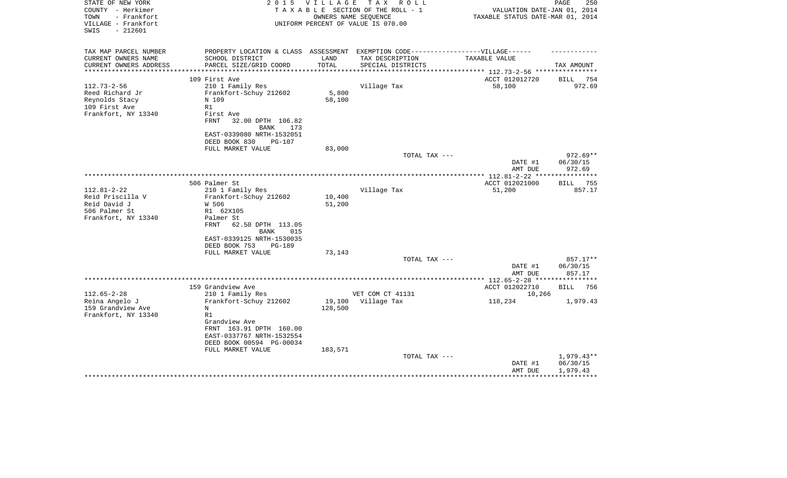| STATE OF NEW YORK<br>COUNTY - Herkimer<br>TOWN<br>- Frankfort<br>VILLAGE - Frankfort<br>SWIS<br>$-212601$ | 2 0 1 5                                    | <b>VILLAGE</b> | T A X<br>R O L L<br>TAXABLE SECTION OF THE ROLL - 1<br>OWNERS NAME SEOUENCE<br>UNIFORM PERCENT OF VALUE IS 070.00         | VALUATION DATE-JAN 01, 2014<br>TAXABLE STATUS DATE-MAR 01, 2014 | PAGE<br>250        |
|-----------------------------------------------------------------------------------------------------------|--------------------------------------------|----------------|---------------------------------------------------------------------------------------------------------------------------|-----------------------------------------------------------------|--------------------|
| TAX MAP PARCEL NUMBER<br>CURRENT OWNERS NAME<br>CURRENT OWNERS ADDRESS<br>***********************         | SCHOOL DISTRICT<br>PARCEL SIZE/GRID COORD  | LAND<br>TOTAL  | PROPERTY LOCATION & CLASS ASSESSMENT EXEMPTION CODE-----------------VILLAGE------<br>TAX DESCRIPTION<br>SPECIAL DISTRICTS | TAXABLE VALUE                                                   | TAX AMOUNT         |
| 109 First Ave                                                                                             |                                            |                |                                                                                                                           | ACCT 012012720                                                  | BILL 754           |
| $112.73 - 2 - 56$                                                                                         | 210 1 Family Res                           |                | Village Tax                                                                                                               | 58,100                                                          | 972.69             |
| Reed Richard Jr                                                                                           | Frankfort-Schuy 212602                     | 5,800          |                                                                                                                           |                                                                 |                    |
| Reynolds Stacy<br>N 109                                                                                   |                                            | 58,100         |                                                                                                                           |                                                                 |                    |
| 109 First Ave<br>R1                                                                                       |                                            |                |                                                                                                                           |                                                                 |                    |
| Frankfort, NY 13340                                                                                       | First Ave                                  |                |                                                                                                                           |                                                                 |                    |
| <b>FRNT</b>                                                                                               | 32.00 DPTH 106.82                          |                |                                                                                                                           |                                                                 |                    |
|                                                                                                           | <b>BANK</b><br>173                         |                |                                                                                                                           |                                                                 |                    |
|                                                                                                           | EAST-0339080 NRTH-1532051<br>DEED BOOK 830 |                |                                                                                                                           |                                                                 |                    |
|                                                                                                           | PG-107<br>FULL MARKET VALUE                | 83,000         |                                                                                                                           |                                                                 |                    |
|                                                                                                           |                                            |                | TOTAL TAX ---                                                                                                             |                                                                 | $972.69**$         |
|                                                                                                           |                                            |                |                                                                                                                           | DATE #1                                                         | 06/30/15           |
|                                                                                                           |                                            |                |                                                                                                                           | AMT DUE                                                         | 972.69             |
|                                                                                                           |                                            |                |                                                                                                                           |                                                                 | * * * * * * * *    |
| 506 Palmer St                                                                                             |                                            |                |                                                                                                                           | ACCT 012021000                                                  | 755<br><b>BILL</b> |
| $112.81 - 2 - 22$                                                                                         | 210 1 Family Res                           |                | Village Tax                                                                                                               | 51,200                                                          | 857.17             |
| Reid Priscilla V                                                                                          | Frankfort-Schuy 212602                     | 10,400         |                                                                                                                           |                                                                 |                    |
| Reid David J<br>W 506                                                                                     |                                            | 51,200         |                                                                                                                           |                                                                 |                    |
| 506 Palmer St<br>Frankfort, NY 13340                                                                      | R1 62X105<br>Palmer St                     |                |                                                                                                                           |                                                                 |                    |
| <b>FRNT</b>                                                                                               | 62.50 DPTH 113.05                          |                |                                                                                                                           |                                                                 |                    |
|                                                                                                           | <b>BANK</b><br>015                         |                |                                                                                                                           |                                                                 |                    |
|                                                                                                           | EAST-0339125 NRTH-1530035                  |                |                                                                                                                           |                                                                 |                    |
|                                                                                                           | DEED BOOK 753<br>PG-189                    |                |                                                                                                                           |                                                                 |                    |
|                                                                                                           | FULL MARKET VALUE                          | 73,143         |                                                                                                                           |                                                                 |                    |
|                                                                                                           |                                            |                | TOTAL TAX ---                                                                                                             |                                                                 | 857.17**           |
|                                                                                                           |                                            |                |                                                                                                                           | DATE #1                                                         | 06/30/15           |
|                                                                                                           |                                            |                |                                                                                                                           | AMT DUE                                                         | 857.17             |
|                                                                                                           | 159 Grandview Ave                          |                |                                                                                                                           | ACCT 012022710                                                  | <b>BILL</b><br>756 |
| $112.65 - 2 - 28$                                                                                         | 210 1 Family Res                           |                | VET COM CT 41131                                                                                                          | 10,266                                                          |                    |
| Reina Angelo J                                                                                            | Frankfort-Schuy 212602                     | 19,100         | Village Tax                                                                                                               | 118,234                                                         | 1,979.43           |
| 159 Grandview Ave<br>N                                                                                    |                                            | 128,500        |                                                                                                                           |                                                                 |                    |
| Frankfort, NY 13340<br>R1                                                                                 |                                            |                |                                                                                                                           |                                                                 |                    |
|                                                                                                           | Grandview Ave                              |                |                                                                                                                           |                                                                 |                    |
|                                                                                                           | FRNT 163.91 DPTH 160.00                    |                |                                                                                                                           |                                                                 |                    |
|                                                                                                           | EAST-0337767 NRTH-1532554                  |                |                                                                                                                           |                                                                 |                    |
|                                                                                                           | DEED BOOK 00594 PG-00034                   |                |                                                                                                                           |                                                                 |                    |
|                                                                                                           | FULL MARKET VALUE                          | 183,571        | TOTAL TAX ---                                                                                                             |                                                                 | $1,979.43**$       |
|                                                                                                           |                                            |                |                                                                                                                           | DATE #1                                                         | 06/30/15           |
|                                                                                                           |                                            |                |                                                                                                                           | AMT DUE                                                         | 1,979.43           |
|                                                                                                           |                                            |                |                                                                                                                           |                                                                 |                    |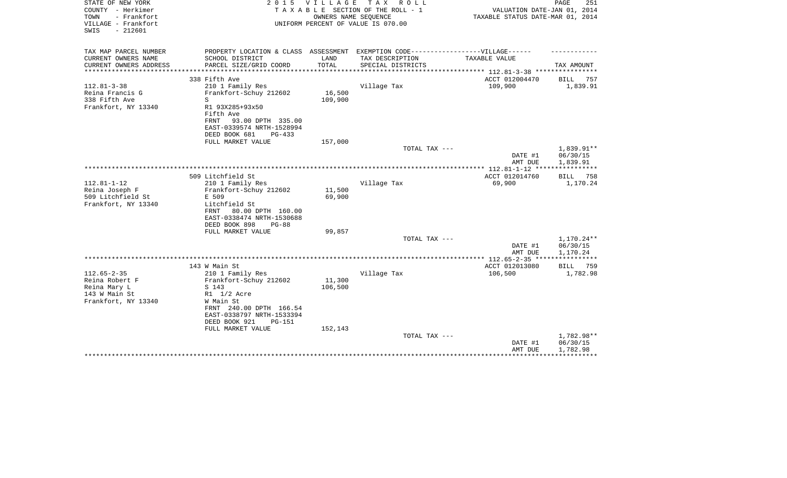| STATE OF NEW YORK<br>COUNTY - Herkimer<br>- Frankfort<br>TOWN<br>VILLAGE - Frankfort<br>$-212601$<br>SWIS | 2 0 1 5                                                                           | VILLAGE       | TAX ROLL<br>TAXABLE SECTION OF THE ROLL - 1<br>OWNERS NAME SEQUENCE<br>UNIFORM PERCENT OF VALUE IS 070.00 | VALUATION DATE-JAN 01, 2014<br>TAXABLE STATUS DATE-MAR 01, 2014 | 251<br>PAGE                    |
|-----------------------------------------------------------------------------------------------------------|-----------------------------------------------------------------------------------|---------------|-----------------------------------------------------------------------------------------------------------|-----------------------------------------------------------------|--------------------------------|
| TAX MAP PARCEL NUMBER                                                                                     | PROPERTY LOCATION & CLASS ASSESSMENT EXEMPTION CODE-----------------VILLAGE------ |               |                                                                                                           |                                                                 |                                |
| CURRENT OWNERS NAME<br>CURRENT OWNERS ADDRESS                                                             | SCHOOL DISTRICT<br>PARCEL SIZE/GRID COORD                                         | LAND<br>TOTAL | TAX DESCRIPTION<br>SPECIAL DISTRICTS                                                                      | TAXABLE VALUE                                                   | TAX AMOUNT                     |
| **********************                                                                                    |                                                                                   |               |                                                                                                           |                                                                 |                                |
|                                                                                                           | 338 Fifth Ave                                                                     |               |                                                                                                           | ACCT 012004470                                                  | BILL<br>757                    |
| $112.81 - 3 - 38$                                                                                         | 210 1 Family Res                                                                  |               | Village Tax                                                                                               | 109,900                                                         | 1,839.91                       |
| Reina Francis G                                                                                           | Frankfort-Schuy 212602                                                            | 16,500        |                                                                                                           |                                                                 |                                |
| 338 Fifth Ave                                                                                             | S                                                                                 | 109,900       |                                                                                                           |                                                                 |                                |
| Frankfort, NY 13340                                                                                       | R1 93X285+93x50<br>Fifth Ave                                                      |               |                                                                                                           |                                                                 |                                |
|                                                                                                           | 93.00 DPTH 335.00<br>FRNT                                                         |               |                                                                                                           |                                                                 |                                |
|                                                                                                           | EAST-0339574 NRTH-1528994                                                         |               |                                                                                                           |                                                                 |                                |
|                                                                                                           | DEED BOOK 681<br>PG-433                                                           |               |                                                                                                           |                                                                 |                                |
|                                                                                                           | FULL MARKET VALUE                                                                 | 157,000       |                                                                                                           |                                                                 |                                |
|                                                                                                           |                                                                                   |               | TOTAL TAX ---                                                                                             |                                                                 | 1,839.91**                     |
|                                                                                                           |                                                                                   |               |                                                                                                           | DATE #1                                                         | 06/30/15                       |
|                                                                                                           |                                                                                   |               |                                                                                                           | AMT DUE                                                         | 1,839.91                       |
|                                                                                                           | 509 Litchfield St                                                                 |               |                                                                                                           | ACCT 012014760                                                  | BILL<br>758                    |
| $112.81 - 1 - 12$                                                                                         | 210 1 Family Res                                                                  |               | Village Tax                                                                                               | 69,900                                                          | 1,170.24                       |
| Reina Joseph F                                                                                            | Frankfort-Schuy 212602                                                            | 11,500        |                                                                                                           |                                                                 |                                |
| 509 Litchfield St                                                                                         | E 509                                                                             | 69,900        |                                                                                                           |                                                                 |                                |
| Frankfort, NY 13340                                                                                       | Litchfield St                                                                     |               |                                                                                                           |                                                                 |                                |
|                                                                                                           | FRNT<br>80.00 DPTH 160.00                                                         |               |                                                                                                           |                                                                 |                                |
|                                                                                                           | EAST-0338474 NRTH-1530688<br>DEED BOOK 898<br>$PG-88$                             |               |                                                                                                           |                                                                 |                                |
|                                                                                                           | FULL MARKET VALUE                                                                 | 99,857        |                                                                                                           |                                                                 |                                |
|                                                                                                           |                                                                                   |               | TOTAL TAX ---                                                                                             |                                                                 | 1,170.24**                     |
|                                                                                                           |                                                                                   |               |                                                                                                           | DATE #1                                                         | 06/30/15                       |
|                                                                                                           |                                                                                   |               |                                                                                                           | AMT DUE                                                         | 1,170.24                       |
|                                                                                                           |                                                                                   |               |                                                                                                           |                                                                 | ***********                    |
| $112.65 - 2 - 35$                                                                                         | 143 W Main St<br>210 1 Family Res                                                 |               | Village Tax                                                                                               | ACCT 012013080<br>106,500                                       | 759<br><b>BILL</b><br>1,782.98 |
| Reina Robert F                                                                                            | Frankfort-Schuy 212602                                                            | 11,300        |                                                                                                           |                                                                 |                                |
| Reina Mary L                                                                                              | S 143                                                                             | 106,500       |                                                                                                           |                                                                 |                                |
| 143 W Main St                                                                                             | R1 1/2 Acre                                                                       |               |                                                                                                           |                                                                 |                                |
| Frankfort, NY 13340                                                                                       | W Main St                                                                         |               |                                                                                                           |                                                                 |                                |
|                                                                                                           | FRNT 240.00 DPTH 166.54                                                           |               |                                                                                                           |                                                                 |                                |
|                                                                                                           | EAST-0338797 NRTH-1533394                                                         |               |                                                                                                           |                                                                 |                                |
|                                                                                                           | DEED BOOK 921<br>PG-151                                                           |               |                                                                                                           |                                                                 |                                |
|                                                                                                           | FULL MARKET VALUE                                                                 | 152,143       | TOTAL TAX ---                                                                                             |                                                                 | 1,782.98**                     |
|                                                                                                           |                                                                                   |               |                                                                                                           | DATE #1                                                         | 06/30/15                       |
|                                                                                                           |                                                                                   |               |                                                                                                           | AMT DUE                                                         | 1,782.98                       |
|                                                                                                           |                                                                                   |               |                                                                                                           |                                                                 |                                |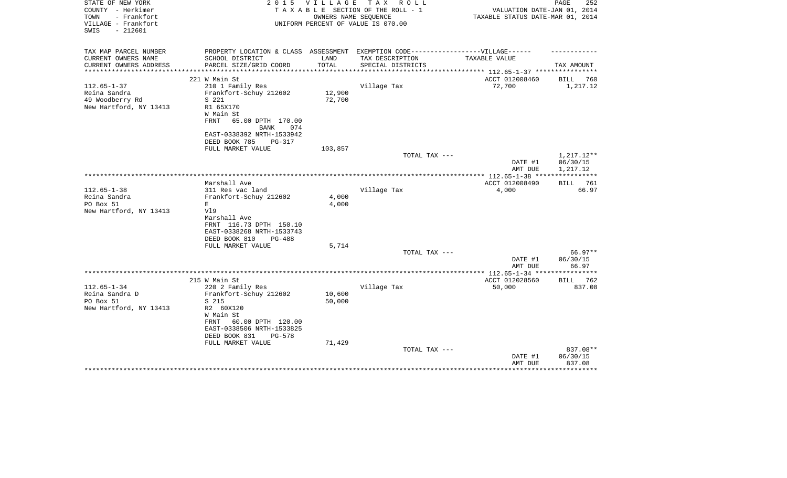| STATE OF NEW YORK<br>COUNTY - Herkimer<br>- Frankfort<br>TOWN<br>VILLAGE - Frankfort | 2 0 1 5                                                                           | V I L L A G E<br>OWNERS NAME SEQUENCE | TAX ROLL<br>TAXABLE SECTION OF THE ROLL - 1<br>UNIFORM PERCENT OF VALUE IS 070.00 | VALUATION DATE-JAN 01, 2014<br>TAXABLE STATUS DATE-MAR 01, 2014 | PAGE<br>252        |
|--------------------------------------------------------------------------------------|-----------------------------------------------------------------------------------|---------------------------------------|-----------------------------------------------------------------------------------|-----------------------------------------------------------------|--------------------|
| $-212601$<br>SWIS                                                                    |                                                                                   |                                       |                                                                                   |                                                                 |                    |
| TAX MAP PARCEL NUMBER                                                                | PROPERTY LOCATION & CLASS ASSESSMENT EXEMPTION CODE-----------------VILLAGE------ |                                       |                                                                                   |                                                                 |                    |
| CURRENT OWNERS NAME                                                                  | SCHOOL DISTRICT                                                                   | LAND                                  | TAX DESCRIPTION                                                                   | TAXABLE VALUE                                                   |                    |
| CURRENT OWNERS ADDRESS                                                               | PARCEL SIZE/GRID COORD                                                            | TOTAL                                 | SPECIAL DISTRICTS                                                                 | ********* 112.65-1-37 ****                                      | TAX AMOUNT         |
|                                                                                      | 221 W Main St                                                                     |                                       |                                                                                   | ACCT 012008460                                                  | BILL<br>760        |
| $112.65 - 1 - 37$                                                                    | 210 1 Family Res                                                                  |                                       | Village Tax                                                                       | 72,700                                                          | 1,217.12           |
| Reina Sandra                                                                         | Frankfort-Schuy 212602                                                            | 12,900                                |                                                                                   |                                                                 |                    |
| 49 Woodberry Rd                                                                      | S 221                                                                             | 72,700                                |                                                                                   |                                                                 |                    |
| New Hartford, NY 13413                                                               | R1 65X170                                                                         |                                       |                                                                                   |                                                                 |                    |
|                                                                                      | W Main St                                                                         |                                       |                                                                                   |                                                                 |                    |
|                                                                                      | FRNT<br>65.00 DPTH 170.00                                                         |                                       |                                                                                   |                                                                 |                    |
|                                                                                      | <b>BANK</b><br>074                                                                |                                       |                                                                                   |                                                                 |                    |
|                                                                                      | EAST-0338392 NRTH-1533942<br>DEED BOOK 785<br>PG-317                              |                                       |                                                                                   |                                                                 |                    |
|                                                                                      | FULL MARKET VALUE                                                                 | 103,857                               |                                                                                   |                                                                 |                    |
|                                                                                      |                                                                                   |                                       | TOTAL TAX ---                                                                     |                                                                 | 1,217.12**         |
|                                                                                      |                                                                                   |                                       |                                                                                   | DATE #1                                                         | 06/30/15           |
|                                                                                      |                                                                                   |                                       |                                                                                   | AMT DUE                                                         | 1,217.12           |
|                                                                                      |                                                                                   |                                       |                                                                                   |                                                                 |                    |
|                                                                                      | Marshall Ave                                                                      |                                       |                                                                                   | ACCT 012008490                                                  | <b>BILL</b><br>761 |
| $112.65 - 1 - 38$                                                                    | 311 Res vac land                                                                  |                                       | Village Tax                                                                       | 4,000                                                           | 66.97              |
| Reina Sandra<br>PO Box 51                                                            | Frankfort-Schuy 212602<br>E                                                       | 4,000<br>4,000                        |                                                                                   |                                                                 |                    |
| New Hartford, NY 13413                                                               | V19                                                                               |                                       |                                                                                   |                                                                 |                    |
|                                                                                      | Marshall Ave                                                                      |                                       |                                                                                   |                                                                 |                    |
|                                                                                      | FRNT 116.73 DPTH 150.10                                                           |                                       |                                                                                   |                                                                 |                    |
|                                                                                      | EAST-0338268 NRTH-1533743                                                         |                                       |                                                                                   |                                                                 |                    |
|                                                                                      | DEED BOOK 810<br>$PG-488$                                                         |                                       |                                                                                   |                                                                 |                    |
|                                                                                      | FULL MARKET VALUE                                                                 | 5,714                                 |                                                                                   |                                                                 |                    |
|                                                                                      |                                                                                   |                                       | TOTAL TAX ---                                                                     |                                                                 | $66.97**$          |
|                                                                                      |                                                                                   |                                       |                                                                                   | DATE #1                                                         | 06/30/15           |
|                                                                                      |                                                                                   |                                       |                                                                                   | AMT DUE                                                         | 66.97              |
|                                                                                      | 215 W Main St                                                                     |                                       |                                                                                   | ACCT 012028560                                                  | BILL 762           |
| $112.65 - 1 - 34$                                                                    | 220 2 Family Res                                                                  |                                       | Village Tax                                                                       | 50,000                                                          | 837.08             |
| Reina Sandra D                                                                       | Frankfort-Schuy 212602                                                            | 10,600                                |                                                                                   |                                                                 |                    |
| PO Box 51                                                                            | S 215                                                                             | 50,000                                |                                                                                   |                                                                 |                    |
| New Hartford, NY 13413                                                               | R2 60X120                                                                         |                                       |                                                                                   |                                                                 |                    |
|                                                                                      | W Main St                                                                         |                                       |                                                                                   |                                                                 |                    |
|                                                                                      | FRNT<br>60.00 DPTH 120.00                                                         |                                       |                                                                                   |                                                                 |                    |
|                                                                                      | EAST-0338506 NRTH-1533825                                                         |                                       |                                                                                   |                                                                 |                    |
|                                                                                      | DEED BOOK 831<br>PG-578<br>FULL MARKET VALUE                                      | 71,429                                |                                                                                   |                                                                 |                    |
|                                                                                      |                                                                                   |                                       | TOTAL TAX ---                                                                     |                                                                 | 837.08**           |
|                                                                                      |                                                                                   |                                       |                                                                                   | DATE #1                                                         | 06/30/15           |
|                                                                                      |                                                                                   |                                       |                                                                                   | AMT DUE                                                         | 837.08             |
|                                                                                      |                                                                                   |                                       |                                                                                   |                                                                 |                    |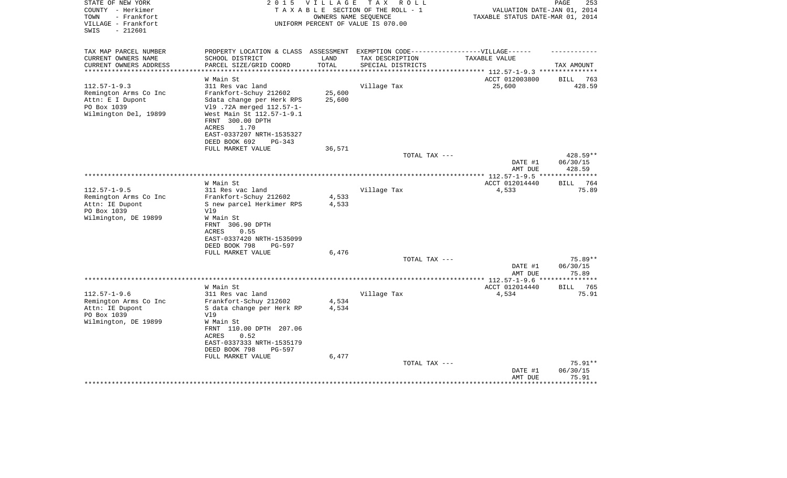| STATE OF NEW YORK<br>2 0 1 5<br><b>VILLAGE</b><br>T A X<br>R O L L<br>COUNTY - Herkimer<br>TAXABLE SECTION OF THE ROLL - 1<br>- Frankfort<br>TOWN<br>OWNERS NAME SEQUENCE<br>VILLAGE - Frankfort<br>UNIFORM PERCENT OF VALUE IS 070.00<br>SWIS<br>$-212601$ |                                                 |                    | PAGE<br>253<br>VALUATION DATE-JAN 01, 2014<br>TAXABLE STATUS DATE-MAR 01, 2014 |                                        |                             |
|-------------------------------------------------------------------------------------------------------------------------------------------------------------------------------------------------------------------------------------------------------------|-------------------------------------------------|--------------------|--------------------------------------------------------------------------------|----------------------------------------|-----------------------------|
| TAX MAP PARCEL NUMBER<br>CURRENT OWNERS NAME                                                                                                                                                                                                                | PROPERTY LOCATION & CLASS<br>SCHOOL DISTRICT    | ASSESSMENT<br>LAND | EXEMPTION CODE------------------VILLAGE------<br>TAX DESCRIPTION               | TAXABLE VALUE                          |                             |
| CURRENT OWNERS ADDRESS                                                                                                                                                                                                                                      | PARCEL SIZE/GRID COORD                          | TOTAL              | SPECIAL DISTRICTS                                                              |                                        | TAX AMOUNT                  |
| ********************                                                                                                                                                                                                                                        |                                                 |                    | ****************                                                               | ********* 112.57-1-9.3 *************** |                             |
|                                                                                                                                                                                                                                                             | W Main St                                       |                    |                                                                                | ACCT 012003800                         | 763<br>BILL                 |
| $112.57 - 1 - 9.3$                                                                                                                                                                                                                                          | 311 Res vac land                                |                    | Village Tax                                                                    | 25,600                                 | 428.59                      |
| Remington Arms Co Inc                                                                                                                                                                                                                                       | Frankfort-Schuy 212602                          | 25,600             |                                                                                |                                        |                             |
| Attn: E I Dupont                                                                                                                                                                                                                                            | Sdata change per Herk RPS                       | 25,600             |                                                                                |                                        |                             |
| PO Box 1039                                                                                                                                                                                                                                                 | V19 .72A merged 112.57-1-                       |                    |                                                                                |                                        |                             |
| Wilmington Del, 19899                                                                                                                                                                                                                                       | West Main St 112.57-1-9.1<br>FRNT 300.00 DPTH   |                    |                                                                                |                                        |                             |
|                                                                                                                                                                                                                                                             | 1.70<br>ACRES                                   |                    |                                                                                |                                        |                             |
|                                                                                                                                                                                                                                                             | EAST-0337207 NRTH-1535327                       |                    |                                                                                |                                        |                             |
|                                                                                                                                                                                                                                                             | DEED BOOK 692<br>PG-343                         |                    |                                                                                |                                        |                             |
|                                                                                                                                                                                                                                                             | FULL MARKET VALUE                               | 36,571             |                                                                                |                                        |                             |
|                                                                                                                                                                                                                                                             |                                                 |                    | TOTAL TAX ---                                                                  |                                        | 428.59**                    |
|                                                                                                                                                                                                                                                             |                                                 |                    |                                                                                | DATE #1                                | 06/30/15                    |
|                                                                                                                                                                                                                                                             |                                                 |                    |                                                                                | AMT DUE                                | 428.59                      |
| ***************************                                                                                                                                                                                                                                 |                                                 |                    |                                                                                |                                        | ***********                 |
| $112.57 - 1 - 9.5$                                                                                                                                                                                                                                          | W Main St                                       |                    |                                                                                | ACCT 012014440<br>4,533                | 764<br><b>BILL</b><br>75.89 |
| Remington Arms Co Inc                                                                                                                                                                                                                                       | 311 Res vac land<br>Frankfort-Schuy 212602      | 4,533              | Village Tax                                                                    |                                        |                             |
| Attn: IE Dupont                                                                                                                                                                                                                                             | S new parcel Herkimer RPS                       | 4,533              |                                                                                |                                        |                             |
| PO Box 1039                                                                                                                                                                                                                                                 | V19                                             |                    |                                                                                |                                        |                             |
| Wilmington, DE 19899                                                                                                                                                                                                                                        | W Main St                                       |                    |                                                                                |                                        |                             |
|                                                                                                                                                                                                                                                             | FRNT 306.90 DPTH                                |                    |                                                                                |                                        |                             |
|                                                                                                                                                                                                                                                             | 0.55<br>ACRES                                   |                    |                                                                                |                                        |                             |
|                                                                                                                                                                                                                                                             | EAST-0337420 NRTH-1535099                       |                    |                                                                                |                                        |                             |
|                                                                                                                                                                                                                                                             | DEED BOOK 798<br>PG-597                         |                    |                                                                                |                                        |                             |
|                                                                                                                                                                                                                                                             | FULL MARKET VALUE                               | 6,476              |                                                                                |                                        |                             |
|                                                                                                                                                                                                                                                             |                                                 |                    | TOTAL TAX ---                                                                  | DATE #1                                | 75.89**<br>06/30/15         |
|                                                                                                                                                                                                                                                             |                                                 |                    |                                                                                | AMT DUE                                | 75.89                       |
| ***************                                                                                                                                                                                                                                             |                                                 |                    |                                                                                | ***** 112.57-1-9.6 *:                  |                             |
|                                                                                                                                                                                                                                                             | W Main St                                       |                    |                                                                                | ACCT 012014440                         | 765<br><b>BILL</b>          |
| $112.57 - 1 - 9.6$                                                                                                                                                                                                                                          | 311 Res vac land                                |                    | Village Tax                                                                    | 4,534                                  | 75.91                       |
| Remington Arms Co Inc                                                                                                                                                                                                                                       | Frankfort-Schuy 212602                          | 4,534              |                                                                                |                                        |                             |
| Attn: IE Dupont                                                                                                                                                                                                                                             | S data change per Herk RP                       | 4,534              |                                                                                |                                        |                             |
| PO Box 1039                                                                                                                                                                                                                                                 | V19                                             |                    |                                                                                |                                        |                             |
| Wilmington, DE 19899                                                                                                                                                                                                                                        | W Main St                                       |                    |                                                                                |                                        |                             |
|                                                                                                                                                                                                                                                             | FRNT 110.00 DPTH 207.06<br><b>ACRES</b><br>0.52 |                    |                                                                                |                                        |                             |
|                                                                                                                                                                                                                                                             | EAST-0337333 NRTH-1535179                       |                    |                                                                                |                                        |                             |
|                                                                                                                                                                                                                                                             | DEED BOOK 798<br>PG-597                         |                    |                                                                                |                                        |                             |
|                                                                                                                                                                                                                                                             | FULL MARKET VALUE                               | 6,477              |                                                                                |                                        |                             |
|                                                                                                                                                                                                                                                             |                                                 |                    | TOTAL TAX ---                                                                  |                                        | $75.91**$                   |
|                                                                                                                                                                                                                                                             |                                                 |                    |                                                                                | DATE #1                                | 06/30/15                    |
|                                                                                                                                                                                                                                                             |                                                 |                    |                                                                                | AMT DUE                                | 75.91                       |
|                                                                                                                                                                                                                                                             |                                                 |                    |                                                                                |                                        | ********                    |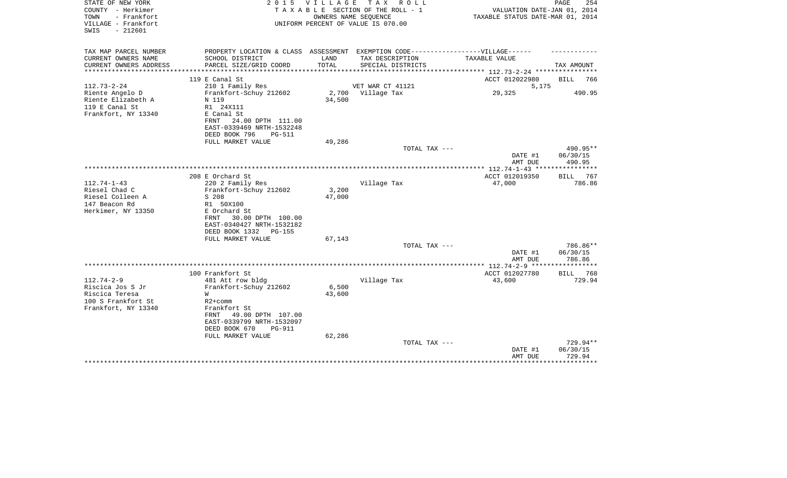| STATE OF NEW YORK<br>COUNTY - Herkimer<br>- Frankfort<br>TOWN<br>VILLAGE - Frankfort<br>SWIS<br>$-212601$ |                                                                                                                                                                                              | 2015 VILLAGE              | TAX ROLL<br>T A X A B L E SECTION OF THE ROLL - 1<br>OWNERS NAME SEOUENCE<br>UNIFORM PERCENT OF VALUE IS 070.00 | VALUATION DATE-JAN 01, 2014<br>TAXABLE STATUS DATE-MAR 01, 2014 | PAGE<br>254                    |
|-----------------------------------------------------------------------------------------------------------|----------------------------------------------------------------------------------------------------------------------------------------------------------------------------------------------|---------------------------|-----------------------------------------------------------------------------------------------------------------|-----------------------------------------------------------------|--------------------------------|
| TAX MAP PARCEL NUMBER<br>CURRENT OWNERS NAME                                                              | PROPERTY LOCATION & CLASS ASSESSMENT EXEMPTION CODE----------------VILLAGE------<br>SCHOOL DISTRICT                                                                                          | LAND                      | TAX DESCRIPTION                                                                                                 | TAXABLE VALUE                                                   |                                |
| CURRENT OWNERS ADDRESS                                                                                    | PARCEL SIZE/GRID COORD                                                                                                                                                                       | TOTAL                     | SPECIAL DISTRICTS                                                                                               |                                                                 | TAX AMOUNT                     |
| * * * * * * * * * * * * *                                                                                 |                                                                                                                                                                                              |                           |                                                                                                                 | ************ 112.73-2-24 *********                              |                                |
| $112.73 - 2 - 24$                                                                                         | 119 E Canal St<br>210 1 Family Res                                                                                                                                                           |                           | VET WAR CT 41121                                                                                                | ACCT 012022980<br>5,175                                         | <b>BILL</b><br>766             |
| Riente Angelo D<br>Riente Elizabeth A<br>119 E Canal St<br>Frankfort, NY 13340                            | Frankfort-Schuy 212602<br>N 119<br>R1 24X111<br>E Canal St<br>24.00 DPTH 111.00<br>FRNT<br>EAST-0339469 NRTH-1532248<br>DEED BOOK 796<br>$PG-511$<br>FULL MARKET VALUE                       | 2,700<br>34,500<br>49,286 | Village Tax                                                                                                     | 29,325                                                          | 490.95                         |
|                                                                                                           |                                                                                                                                                                                              |                           | TOTAL TAX ---                                                                                                   |                                                                 | 490.95**                       |
|                                                                                                           |                                                                                                                                                                                              |                           |                                                                                                                 | DATE #1<br>AMT DUE                                              | 06/30/15<br>490.95             |
|                                                                                                           |                                                                                                                                                                                              |                           |                                                                                                                 |                                                                 |                                |
| $112.74 - 1 - 43$<br>Riesel Chad C<br>Riesel Colleen A<br>147 Beacon Rd<br>Herkimer, NY 13350             | 208 E Orchard St<br>220 2 Family Res<br>Frankfort-Schuy 212602<br>S 208<br>R1 50X100<br>E Orchard St<br>30.00 DPTH 100.00<br>FRNT<br>EAST-0340427 NRTH-1532182<br>DEED BOOK 1332<br>PG-155   | 3,200<br>47,000           | Village Tax                                                                                                     | ACCT 012019350<br>47,000                                        | BILL 767<br>786.86             |
|                                                                                                           | FULL MARKET VALUE                                                                                                                                                                            | 67,143                    | TOTAL TAX ---                                                                                                   |                                                                 | 786.86**                       |
|                                                                                                           |                                                                                                                                                                                              |                           |                                                                                                                 | DATE #1<br>AMT DUE                                              | 06/30/15<br>786.86             |
|                                                                                                           |                                                                                                                                                                                              |                           |                                                                                                                 | ************** 112.74-2-9 ******************                    |                                |
| $112.74 - 2 - 9$<br>Riscica Jos S Jr<br>Riscica Teresa<br>100 S Frankfort St<br>Frankfort, NY 13340       | 100 Frankfort St<br>481 Att row bldg<br>Frankfort-Schuy 212602<br>W<br>$R2+comm$<br>Frankfort St<br>49.00 DPTH 107.00<br>FRNT<br>EAST-0339799 NRTH-1532097<br>DEED BOOK 670<br><b>PG-911</b> | 6,500<br>43,600           | Village Tax                                                                                                     | ACCT 012027780<br>43,600                                        | BILL<br>768<br>729.94          |
|                                                                                                           | FULL MARKET VALUE<br>*************************                                                                                                                                               | 62,286                    | TOTAL TAX ---                                                                                                   | DATE #1<br>AMT DUE                                              | 729.94**<br>06/30/15<br>729.94 |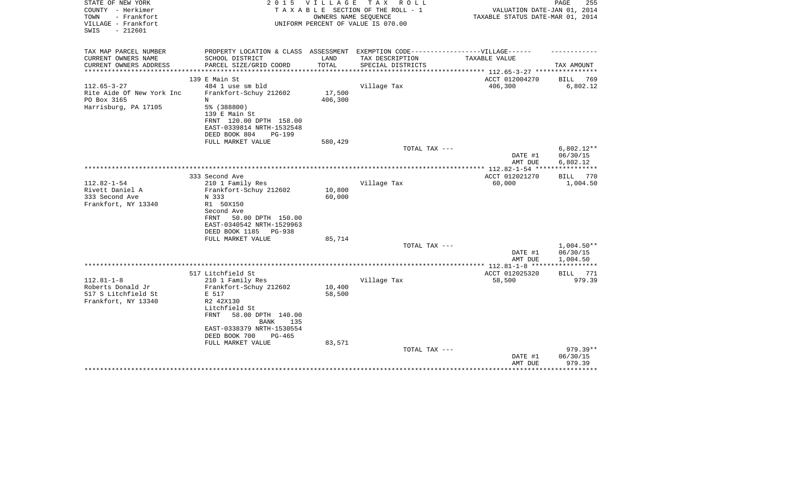| STATE OF NEW YORK<br>COUNTY - Herkimer<br>TOWN<br>- Frankfort<br>VILLAGE - Frankfort<br>$-212601$<br>SWIS | 2 0 1 5                                                                           | <b>VILLAGE</b><br>OWNERS NAME SEOUENCE | T A X<br>R O L L<br>TAXABLE SECTION OF THE ROLL - 1<br>UNIFORM PERCENT OF VALUE IS 070.00 | VALUATION DATE-JAN 01, 2014<br>TAXABLE STATUS DATE-MAR 01, 2014 | PAGE<br>255              |
|-----------------------------------------------------------------------------------------------------------|-----------------------------------------------------------------------------------|----------------------------------------|-------------------------------------------------------------------------------------------|-----------------------------------------------------------------|--------------------------|
| TAX MAP PARCEL NUMBER                                                                                     | PROPERTY LOCATION & CLASS ASSESSMENT EXEMPTION CODE-----------------VILLAGE------ |                                        |                                                                                           |                                                                 |                          |
| CURRENT OWNERS NAME                                                                                       | SCHOOL DISTRICT                                                                   | LAND<br>TOTAL                          | TAX DESCRIPTION                                                                           | TAXABLE VALUE                                                   |                          |
| CURRENT OWNERS ADDRESS<br>*********************                                                           | PARCEL SIZE/GRID COORD<br>**************************                              |                                        | SPECIAL DISTRICTS                                                                         |                                                                 | TAX AMOUNT               |
|                                                                                                           | 139 E Main St                                                                     |                                        |                                                                                           | ACCT 012004270                                                  | 769<br><b>BILL</b>       |
| $112.65 - 3 - 27$                                                                                         | 484 1 use sm bld                                                                  |                                        | Village Tax                                                                               | 406,300                                                         | 6,802.12                 |
| Rite Aide Of New York Inc<br>PO Box 3165                                                                  | Frankfort-Schuy 212602<br>N                                                       | 17,500<br>406,300                      |                                                                                           |                                                                 |                          |
| Harrisburg, PA 17105                                                                                      | 5% (388800)                                                                       |                                        |                                                                                           |                                                                 |                          |
|                                                                                                           | 139 E Main St                                                                     |                                        |                                                                                           |                                                                 |                          |
|                                                                                                           | FRNT 120.00 DPTH 158.00                                                           |                                        |                                                                                           |                                                                 |                          |
|                                                                                                           | EAST-0339814 NRTH-1532548                                                         |                                        |                                                                                           |                                                                 |                          |
|                                                                                                           | DEED BOOK 804<br><b>PG-199</b><br>FULL MARKET VALUE                               | 580,429                                |                                                                                           |                                                                 |                          |
|                                                                                                           |                                                                                   |                                        | TOTAL TAX ---                                                                             |                                                                 | $6,802.12**$             |
|                                                                                                           |                                                                                   |                                        |                                                                                           | DATE #1                                                         | 06/30/15                 |
|                                                                                                           |                                                                                   |                                        |                                                                                           | AMT DUE                                                         | 6,802.12                 |
|                                                                                                           | 333 Second Ave                                                                    |                                        |                                                                                           | ACCT 012021270                                                  | 770<br>BILL              |
| $112.82 - 1 - 54$                                                                                         | 210 1 Family Res                                                                  |                                        | Village Tax                                                                               | 60,000                                                          | 1,004.50                 |
| Rivett Daniel A                                                                                           | Frankfort-Schuy 212602                                                            | 10,800                                 |                                                                                           |                                                                 |                          |
| 333 Second Ave                                                                                            | N 333                                                                             | 60,000                                 |                                                                                           |                                                                 |                          |
| Frankfort, NY 13340                                                                                       | R1 50X150<br>Second Ave                                                           |                                        |                                                                                           |                                                                 |                          |
|                                                                                                           | 50.00 DPTH 150.00<br>FRNT                                                         |                                        |                                                                                           |                                                                 |                          |
|                                                                                                           | EAST-0340542 NRTH-1529963                                                         |                                        |                                                                                           |                                                                 |                          |
|                                                                                                           | DEED BOOK 1185<br>PG-938                                                          |                                        |                                                                                           |                                                                 |                          |
|                                                                                                           | FULL MARKET VALUE                                                                 | 85,714                                 |                                                                                           |                                                                 |                          |
|                                                                                                           |                                                                                   |                                        | TOTAL TAX ---                                                                             | DATE #1                                                         | $1,004.50**$<br>06/30/15 |
|                                                                                                           |                                                                                   |                                        |                                                                                           | AMT DUE                                                         | 1,004.50                 |
|                                                                                                           |                                                                                   |                                        |                                                                                           |                                                                 |                          |
|                                                                                                           | 517 Litchfield St                                                                 |                                        |                                                                                           | ACCT 012025320                                                  | BILL<br>771              |
| $112.81 - 1 - 8$<br>Roberts Donald Jr                                                                     | 210 1 Family Res<br>Frankfort-Schuy 212602                                        | 10,400                                 | Village Tax                                                                               | 58,500                                                          | 979.39                   |
| 517 S Litchfield St                                                                                       | E 517                                                                             | 58,500                                 |                                                                                           |                                                                 |                          |
| Frankfort, NY 13340                                                                                       | R2 42X130                                                                         |                                        |                                                                                           |                                                                 |                          |
|                                                                                                           | Litchfield St                                                                     |                                        |                                                                                           |                                                                 |                          |
|                                                                                                           | FRNT<br>58.00 DPTH 140.00<br><b>BANK</b><br>135                                   |                                        |                                                                                           |                                                                 |                          |
|                                                                                                           | EAST-0338379 NRTH-1530554                                                         |                                        |                                                                                           |                                                                 |                          |
|                                                                                                           | DEED BOOK 700<br>$PG-465$                                                         |                                        |                                                                                           |                                                                 |                          |
|                                                                                                           | FULL MARKET VALUE                                                                 | 83,571                                 |                                                                                           |                                                                 |                          |
|                                                                                                           |                                                                                   |                                        | TOTAL TAX ---                                                                             | DATE #1                                                         | 979.39**<br>06/30/15     |
|                                                                                                           |                                                                                   |                                        |                                                                                           | AMT DUE                                                         | 979.39                   |
|                                                                                                           |                                                                                   |                                        |                                                                                           |                                                                 |                          |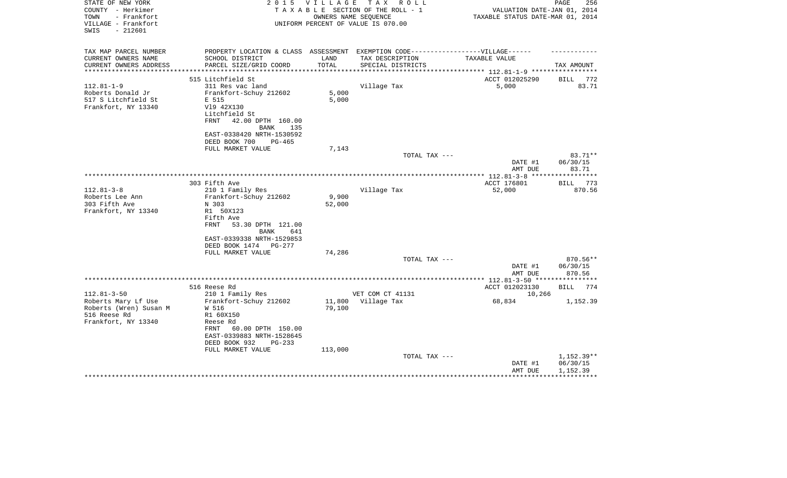| STATE OF NEW YORK<br>COUNTY - Herkimer<br>TOWN<br>- Frankfort<br>VILLAGE - Frankfort<br>$-212601$<br>SWIS             | 2 0 1 5                                                                                                                                                                                           | V I L L A G E               | T A X<br>R O L L<br>TAXABLE SECTION OF THE ROLL - 1<br>OWNERS NAME SEOUENCE<br>UNIFORM PERCENT OF VALUE IS 070.00 | VALUATION DATE-JAN 01, 2014<br>TAXABLE STATUS DATE-MAR 01, 2014 | PAGE<br>256                        |
|-----------------------------------------------------------------------------------------------------------------------|---------------------------------------------------------------------------------------------------------------------------------------------------------------------------------------------------|-----------------------------|-------------------------------------------------------------------------------------------------------------------|-----------------------------------------------------------------|------------------------------------|
| TAX MAP PARCEL NUMBER<br>CURRENT OWNERS NAME<br>CURRENT OWNERS ADDRESS<br>***********************<br>$112.81 - 1 - 9$ | PROPERTY LOCATION & CLASS ASSESSMENT EXEMPTION CODE-----------------VILLAGE------<br>SCHOOL DISTRICT<br>PARCEL SIZE/GRID COORD<br>515 Litchfield St<br>311 Res vac land<br>Frankfort-Schuy 212602 | LAND<br>TOTAL<br>5,000      | TAX DESCRIPTION<br>SPECIAL DISTRICTS<br>Village Tax                                                               | TAXABLE VALUE<br>ACCT 012025290<br>5,000                        | TAX AMOUNT<br>BILL<br>772<br>83.71 |
| Roberts Donald Jr<br>517 S Litchfield St<br>Frankfort, NY 13340                                                       | E 515<br>V19 42X130<br>Litchfield St<br>42.00 DPTH 160.00<br>FRNT<br>BANK<br>135<br>EAST-0338420 NRTH-1530592<br>DEED BOOK 700<br>PG-465<br>FULL MARKET VALUE                                     | 5,000<br>7,143              |                                                                                                                   |                                                                 |                                    |
|                                                                                                                       |                                                                                                                                                                                                   |                             | TOTAL TAX ---                                                                                                     | DATE #1                                                         | 83.71**<br>06/30/15                |
|                                                                                                                       |                                                                                                                                                                                                   |                             |                                                                                                                   | AMT DUE                                                         | 83.71                              |
| $112.81 - 3 - 8$                                                                                                      | 303 Fifth Ave<br>210 1 Family Res<br>Frankfort-Schuy 212602                                                                                                                                       | 9,900                       | Village Tax                                                                                                       | ACCT 176801<br>52,000                                           | 773<br>BILL<br>870.56              |
| Roberts Lee Ann<br>303 Fifth Ave<br>Frankfort, NY 13340                                                               | N 303<br>R1 50X123<br>Fifth Ave<br>FRNT<br>53.30 DPTH 121.00<br>BANK<br>641<br>EAST-0339338 NRTH-1529853<br>DEED BOOK 1474 PG-277                                                                 | 52,000<br>74,286            |                                                                                                                   |                                                                 |                                    |
|                                                                                                                       | FULL MARKET VALUE                                                                                                                                                                                 |                             | TOTAL TAX ---                                                                                                     | DATE #1                                                         | 870.56**<br>06/30/15               |
|                                                                                                                       |                                                                                                                                                                                                   |                             |                                                                                                                   | AMT DUE                                                         | 870.56                             |
| $112.81 - 3 - 50$                                                                                                     | 516 Reese Rd<br>210 1 Family Res                                                                                                                                                                  |                             | VET COM CT 41131                                                                                                  | ACCT 012023130<br>10,266                                        | <b>BILL</b><br>774                 |
| Roberts Mary Lf Use<br>Roberts (Wren) Susan M<br>516 Reese Rd<br>Frankfort, NY 13340                                  | Frankfort-Schuy 212602<br>W 516<br>R1 60X150<br>Reese Rd<br>FRNT<br>60.00 DPTH 150.00<br>EAST-0339883 NRTH-1528645<br>DEED BOOK 932<br>$PG-233$<br>FULL MARKET VALUE                              | 11,800<br>79,100<br>113,000 | Village Tax                                                                                                       | 68,834                                                          | 1,152.39                           |
|                                                                                                                       |                                                                                                                                                                                                   |                             | TOTAL TAX ---                                                                                                     | DATE #1<br>AMT DUE                                              | 1,152.39**<br>06/30/15<br>1,152.39 |
|                                                                                                                       |                                                                                                                                                                                                   |                             |                                                                                                                   |                                                                 |                                    |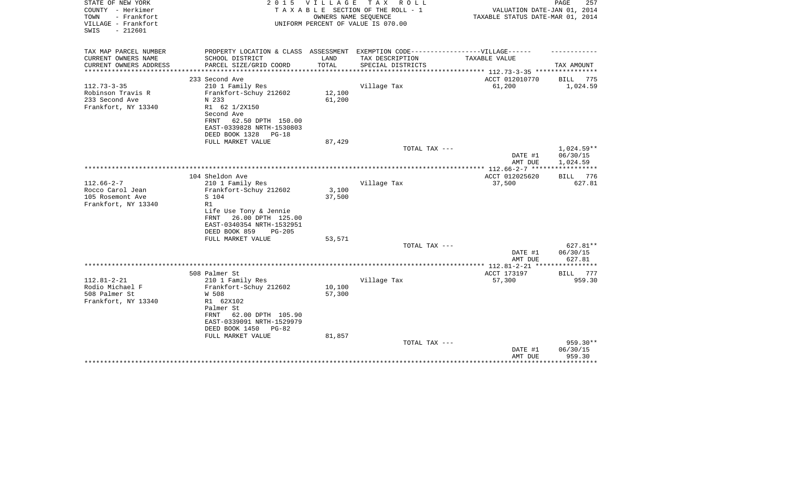| STATE OF NEW YORK<br>COUNTY - Herkimer                          | 2 0 1 5                                                                           | <b>VILLAGE</b>          | TAX ROLL<br>TAXABLE SECTION OF THE ROLL - 1                | VALUATION DATE-JAN 01, 2014                     | PAGE<br>257        |
|-----------------------------------------------------------------|-----------------------------------------------------------------------------------|-------------------------|------------------------------------------------------------|-------------------------------------------------|--------------------|
| TOWN<br>- Frankfort<br>VILLAGE - Frankfort<br>$-212601$<br>SWIS |                                                                                   |                         | OWNERS NAME SEQUENCE<br>UNIFORM PERCENT OF VALUE IS 070.00 | TAXABLE STATUS DATE-MAR 01, 2014                |                    |
| TAX MAP PARCEL NUMBER                                           | PROPERTY LOCATION & CLASS ASSESSMENT EXEMPTION CODE-----------------VILLAGE------ |                         |                                                            |                                                 |                    |
| CURRENT OWNERS NAME                                             | SCHOOL DISTRICT                                                                   | LAND                    | TAX DESCRIPTION                                            | TAXABLE VALUE                                   |                    |
| CURRENT OWNERS ADDRESS<br>********************                  | PARCEL SIZE/GRID COORD<br>*************************                               | TOTAL<br>************** | SPECIAL DISTRICTS                                          | ***************** 112.73-3-35 ***************** | TAX AMOUNT         |
|                                                                 | 233 Second Ave                                                                    |                         |                                                            | ACCT 012010770                                  | BILL<br>775        |
| $112.73 - 3 - 35$                                               | 210 1 Family Res                                                                  |                         | Village Tax                                                | 61,200                                          | 1,024.59           |
| Robinson Travis R                                               | Frankfort-Schuy 212602                                                            | 12,100                  |                                                            |                                                 |                    |
| 233 Second Ave                                                  | N 233                                                                             | 61,200                  |                                                            |                                                 |                    |
| Frankfort, NY 13340                                             | R1 62 1/2X150                                                                     |                         |                                                            |                                                 |                    |
|                                                                 | Second Ave                                                                        |                         |                                                            |                                                 |                    |
|                                                                 | 62.50 DPTH 150.00<br>FRNT                                                         |                         |                                                            |                                                 |                    |
|                                                                 | EAST-0339828 NRTH-1530803                                                         |                         |                                                            |                                                 |                    |
|                                                                 | DEED BOOK 1328<br>$PG-18$                                                         |                         |                                                            |                                                 |                    |
|                                                                 | FULL MARKET VALUE                                                                 | 87,429                  |                                                            |                                                 |                    |
|                                                                 |                                                                                   |                         | TOTAL TAX ---                                              |                                                 | 1,024.59**         |
|                                                                 |                                                                                   |                         |                                                            | DATE #1                                         | 06/30/15           |
|                                                                 |                                                                                   |                         |                                                            | AMT DUE                                         | 1,024.59           |
|                                                                 |                                                                                   |                         |                                                            | *************** 112.66-2-7 *****                |                    |
| $112.66 - 2 - 7$                                                | 104 Sheldon Ave                                                                   |                         |                                                            | ACCT 012025620                                  | BILL 776<br>627.81 |
| Rocco Carol Jean                                                | 210 1 Family Res<br>Frankfort-Schuy 212602                                        | 3,100                   | Village Tax                                                | 37,500                                          |                    |
| 105 Rosemont Ave                                                | S 104                                                                             | 37,500                  |                                                            |                                                 |                    |
| Frankfort, NY 13340                                             | R1                                                                                |                         |                                                            |                                                 |                    |
|                                                                 | Life Use Tony & Jennie                                                            |                         |                                                            |                                                 |                    |
|                                                                 | 26.00 DPTH 125.00<br>FRNT                                                         |                         |                                                            |                                                 |                    |
|                                                                 | EAST-0340354 NRTH-1532951                                                         |                         |                                                            |                                                 |                    |
|                                                                 | DEED BOOK 859<br>$PG-205$                                                         |                         |                                                            |                                                 |                    |
|                                                                 | FULL MARKET VALUE                                                                 | 53,571                  |                                                            |                                                 |                    |
|                                                                 |                                                                                   |                         | TOTAL TAX ---                                              |                                                 | 627.81**           |
|                                                                 |                                                                                   |                         |                                                            | DATE #1                                         | 06/30/15           |
|                                                                 |                                                                                   |                         |                                                            | AMT DUE                                         | 627.81             |
|                                                                 |                                                                                   |                         |                                                            |                                                 |                    |
|                                                                 | 508 Palmer St                                                                     |                         |                                                            | ACCT 173197                                     | BILL<br>777        |
| $112.81 - 2 - 21$                                               | 210 1 Family Res                                                                  |                         | Village Tax                                                | 57,300                                          | 959.30             |
| Rodio Michael F                                                 | Frankfort-Schuy 212602                                                            | 10,100                  |                                                            |                                                 |                    |
| 508 Palmer St                                                   | W 508                                                                             | 57,300                  |                                                            |                                                 |                    |
| Frankfort, NY 13340                                             | R1 62X102                                                                         |                         |                                                            |                                                 |                    |
|                                                                 | Palmer St<br>FRNT<br>62.00 DPTH 105.90                                            |                         |                                                            |                                                 |                    |
|                                                                 | EAST-0339091 NRTH-1529979                                                         |                         |                                                            |                                                 |                    |
|                                                                 | DEED BOOK 1450<br>$PG-82$                                                         |                         |                                                            |                                                 |                    |
|                                                                 | FULL MARKET VALUE                                                                 | 81,857                  |                                                            |                                                 |                    |
|                                                                 |                                                                                   |                         | TOTAL TAX ---                                              |                                                 | 959.30**           |
|                                                                 |                                                                                   |                         |                                                            | DATE #1                                         | 06/30/15           |
|                                                                 |                                                                                   |                         |                                                            | AMT DUE                                         | 959.30             |
|                                                                 |                                                                                   |                         |                                                            |                                                 | ********           |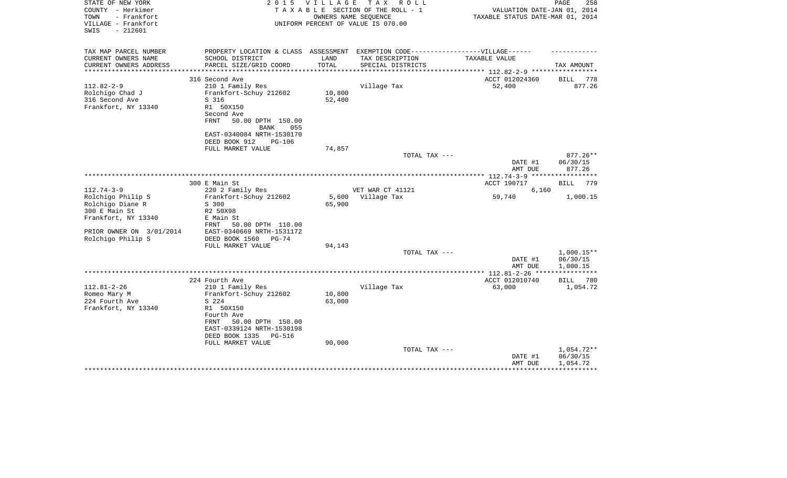| STATE OF NEW YORK<br>COUNTY - Herkimer<br>- Frankfort<br>TOWN<br>VILLAGE - Frankfort<br>$-212601$<br>SWIS | 2 0 1 5                                                                           | VILLAGE         | T A X<br>R O L L<br>TAXABLE SECTION OF THE ROLL - 1<br>OWNERS NAME SEOUENCE<br>UNIFORM PERCENT OF VALUE IS 070.00 | VALUATION DATE-JAN 01, 2014<br>TAXABLE STATUS DATE-MAR 01, 2014 | 258<br>PAGE           |
|-----------------------------------------------------------------------------------------------------------|-----------------------------------------------------------------------------------|-----------------|-------------------------------------------------------------------------------------------------------------------|-----------------------------------------------------------------|-----------------------|
| TAX MAP PARCEL NUMBER                                                                                     | PROPERTY LOCATION & CLASS ASSESSMENT EXEMPTION CODE-----------------VILLAGE------ |                 |                                                                                                                   |                                                                 |                       |
| CURRENT OWNERS NAME                                                                                       | SCHOOL DISTRICT                                                                   | LAND            | TAX DESCRIPTION                                                                                                   | TAXABLE VALUE                                                   |                       |
| CURRENT OWNERS ADDRESS                                                                                    | PARCEL SIZE/GRID COORD                                                            | TOTAL           | SPECIAL DISTRICTS                                                                                                 |                                                                 | TAX AMOUNT            |
| * * * * * * * * * * * * * * *                                                                             |                                                                                   | ***********     |                                                                                                                   | *********** 112.82-2-9 *****<br>ACCT 012024360                  | 778                   |
| $112.82 - 2 - 9$                                                                                          | 316 Second Ave<br>210 1 Family Res                                                |                 | Village Tax                                                                                                       | 52,400                                                          | <b>BILL</b><br>877.26 |
| Rolchigo Chad J                                                                                           | Frankfort-Schuy 212602                                                            | 10,800          |                                                                                                                   |                                                                 |                       |
| 316 Second Ave                                                                                            | S 316                                                                             | 52,400          |                                                                                                                   |                                                                 |                       |
| Frankfort, NY 13340                                                                                       | R1 50X150                                                                         |                 |                                                                                                                   |                                                                 |                       |
|                                                                                                           | Second Ave                                                                        |                 |                                                                                                                   |                                                                 |                       |
|                                                                                                           | FRNT<br>50.00 DPTH 150.00                                                         |                 |                                                                                                                   |                                                                 |                       |
|                                                                                                           | BANK<br>055                                                                       |                 |                                                                                                                   |                                                                 |                       |
|                                                                                                           | EAST-0340084 NRTH-1530170<br>DEED BOOK 912<br><b>PG-106</b>                       |                 |                                                                                                                   |                                                                 |                       |
|                                                                                                           | FULL MARKET VALUE                                                                 | 74,857          |                                                                                                                   |                                                                 |                       |
|                                                                                                           |                                                                                   |                 | TOTAL TAX ---                                                                                                     |                                                                 | $877.26**$            |
|                                                                                                           |                                                                                   |                 |                                                                                                                   | DATE #1<br>AMT DUE                                              | 06/30/15<br>877.26    |
|                                                                                                           |                                                                                   |                 |                                                                                                                   |                                                                 |                       |
|                                                                                                           | 300 E Main St                                                                     |                 |                                                                                                                   | ACCT 190717                                                     | <b>BILL</b><br>779    |
| $112.74 - 3 - 9$                                                                                          | 220 2 Family Res                                                                  |                 | VET WAR CT 41121                                                                                                  | 6,160                                                           |                       |
| Rolchigo Philip S<br>Rolchigo Diane R                                                                     | Frankfort-Schuy 212602<br>S 300                                                   | 5,600<br>65,900 | Village Tax                                                                                                       | 59,740                                                          | 1,000.15              |
| 300 E Main St                                                                                             | R2 50X98                                                                          |                 |                                                                                                                   |                                                                 |                       |
| Frankfort, NY 13340                                                                                       | E Main St                                                                         |                 |                                                                                                                   |                                                                 |                       |
|                                                                                                           | 50.00 DPTH 110.00<br>FRNT                                                         |                 |                                                                                                                   |                                                                 |                       |
| PRIOR OWNER ON 3/01/2014                                                                                  | EAST-0340669 NRTH-1531172                                                         |                 |                                                                                                                   |                                                                 |                       |
| Rolchigo Philip S                                                                                         | DEED BOOK 1560<br>$PG-74$                                                         |                 |                                                                                                                   |                                                                 |                       |
|                                                                                                           | FULL MARKET VALUE                                                                 | 94,143          |                                                                                                                   |                                                                 |                       |
|                                                                                                           |                                                                                   |                 | TOTAL TAX ---                                                                                                     |                                                                 | $1,000.15**$          |
|                                                                                                           |                                                                                   |                 |                                                                                                                   | DATE #1<br>AMT DUE                                              | 06/30/15<br>1,000.15  |
|                                                                                                           |                                                                                   |                 |                                                                                                                   |                                                                 |                       |
|                                                                                                           | 224 Fourth Ave                                                                    |                 |                                                                                                                   | ACCT 012010740                                                  | BILL 780              |
| $112.81 - 2 - 26$                                                                                         | 210 1 Family Res                                                                  |                 | Village Tax                                                                                                       | 63,000                                                          | 1,054.72              |
| Romeo Mary M                                                                                              | Frankfort-Schuy 212602                                                            | 10,800          |                                                                                                                   |                                                                 |                       |
| 224 Fourth Ave                                                                                            | S 224                                                                             | 63,000          |                                                                                                                   |                                                                 |                       |
| Frankfort, NY 13340                                                                                       | R1 50X150                                                                         |                 |                                                                                                                   |                                                                 |                       |
|                                                                                                           | Fourth Ave<br>50.00 DPTH 150.00<br>FRNT                                           |                 |                                                                                                                   |                                                                 |                       |
|                                                                                                           | EAST-0339124 NRTH-1530198                                                         |                 |                                                                                                                   |                                                                 |                       |
|                                                                                                           | DEED BOOK 1335<br><b>PG-516</b>                                                   |                 |                                                                                                                   |                                                                 |                       |
|                                                                                                           | FULL MARKET VALUE                                                                 | 90,000          |                                                                                                                   |                                                                 |                       |
|                                                                                                           |                                                                                   |                 | TOTAL TAX ---                                                                                                     |                                                                 | 1,054.72**            |
|                                                                                                           |                                                                                   |                 |                                                                                                                   | DATE #1                                                         | 06/30/15              |
|                                                                                                           |                                                                                   |                 |                                                                                                                   | AMT DUE                                                         | 1,054.72              |
|                                                                                                           |                                                                                   |                 |                                                                                                                   |                                                                 |                       |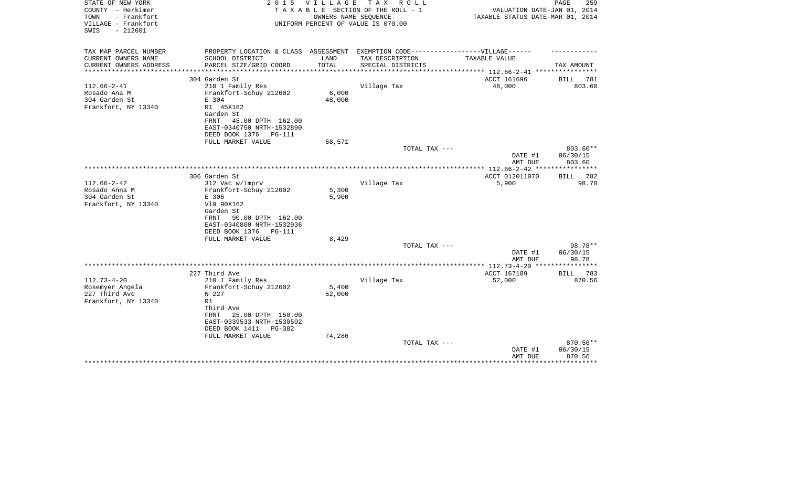| STATE OF NEW YORK<br>COUNTY - Herkimer<br>- Frankfort<br>TOWN<br>VILLAGE - Frankfort<br>$-212601$<br>SWIS | 2 0 1 5                                                                 | V I L L A G E           | T A X<br>R O L L<br>TAXABLE SECTION OF THE ROLL - 1<br>OWNERS NAME SEQUENCE<br>UNIFORM PERCENT OF VALUE IS 070.00 | VALUATION DATE-JAN 01, 2014<br>TAXABLE STATUS DATE-MAR 01, 2014 | PAGE<br>259           |
|-----------------------------------------------------------------------------------------------------------|-------------------------------------------------------------------------|-------------------------|-------------------------------------------------------------------------------------------------------------------|-----------------------------------------------------------------|-----------------------|
| TAX MAP PARCEL NUMBER<br>CURRENT OWNERS NAME                                                              | PROPERTY LOCATION & CLASS ASSESSMENT                                    | LAND                    | EXEMPTION CODE------------------VILLAGE------                                                                     | TAXABLE VALUE                                                   |                       |
| CURRENT OWNERS ADDRESS<br>********************                                                            | SCHOOL DISTRICT<br>PARCEL SIZE/GRID COORD<br>************************** | TOTAL<br>************** | TAX DESCRIPTION<br>SPECIAL DISTRICTS                                                                              | ***************** 112.66-2-41 *****************                 | TAX AMOUNT            |
|                                                                                                           | 304 Garden St                                                           |                         |                                                                                                                   | ACCT 161696                                                     | BILL<br>781           |
| $112.66 - 2 - 41$                                                                                         | 210 1 Family Res                                                        |                         | Village Tax                                                                                                       | 48,000                                                          | 803.60                |
| Rosado Ana M<br>304 Garden St                                                                             | Frankfort-Schuy 212602<br>E 304                                         | 6,000<br>48,000         |                                                                                                                   |                                                                 |                       |
| Frankfort, NY 13340                                                                                       | R1 45X162                                                               |                         |                                                                                                                   |                                                                 |                       |
|                                                                                                           | Garden St<br>45.00 DPTH 162.00<br>FRNT                                  |                         |                                                                                                                   |                                                                 |                       |
|                                                                                                           | EAST-0340750 NRTH-1532890                                               |                         |                                                                                                                   |                                                                 |                       |
|                                                                                                           | DEED BOOK 1376<br>PG-111                                                |                         |                                                                                                                   |                                                                 |                       |
|                                                                                                           | FULL MARKET VALUE                                                       | 68,571                  | TOTAL TAX ---                                                                                                     |                                                                 | 803.60**              |
|                                                                                                           |                                                                         |                         |                                                                                                                   | DATE #1<br>AMT DUE                                              | 06/30/15<br>803.60    |
|                                                                                                           |                                                                         |                         |                                                                                                                   |                                                                 |                       |
|                                                                                                           | 306 Garden St                                                           |                         |                                                                                                                   | ACCT 012011070                                                  | 782<br>BILL           |
| $112.66 - 2 - 42$<br>Rosado Anna M                                                                        | 312 Vac w/imprv<br>Frankfort-Schuy 212602                               | 5,300                   | Village Tax                                                                                                       | 5,900                                                           | 98.78                 |
| 304 Garden St                                                                                             | E 306                                                                   | 5,900                   |                                                                                                                   |                                                                 |                       |
| Frankfort, NY 13340                                                                                       | V19 90X162                                                              |                         |                                                                                                                   |                                                                 |                       |
|                                                                                                           | Garden St                                                               |                         |                                                                                                                   |                                                                 |                       |
|                                                                                                           | 90.00 DPTH 162.00<br>FRNT<br>EAST-0340800 NRTH-1532936                  |                         |                                                                                                                   |                                                                 |                       |
|                                                                                                           | DEED BOOK 1376<br>PG-111                                                |                         |                                                                                                                   |                                                                 |                       |
|                                                                                                           | FULL MARKET VALUE                                                       | 8,429                   |                                                                                                                   |                                                                 |                       |
|                                                                                                           |                                                                         |                         | TOTAL TAX ---                                                                                                     | DATE #1                                                         | 98.78**<br>06/30/15   |
|                                                                                                           |                                                                         |                         |                                                                                                                   | AMT DUE                                                         | 98.78                 |
|                                                                                                           |                                                                         |                         |                                                                                                                   | ************ 112.73-4-20                                        | ***********           |
| $112.73 - 4 - 20$                                                                                         | 227 Third Ave<br>210 1 Family Res                                       |                         | Village Tax                                                                                                       | ACCT 167189<br>52,000                                           | 783<br>BILL<br>870.56 |
| Rosemyer Angela                                                                                           | Frankfort-Schuy 212602                                                  | 5,400                   |                                                                                                                   |                                                                 |                       |
| 227 Third Ave                                                                                             | N 227                                                                   | 52,000                  |                                                                                                                   |                                                                 |                       |
| Frankfort, NY 13340                                                                                       | R1                                                                      |                         |                                                                                                                   |                                                                 |                       |
|                                                                                                           | Third Ave<br>25.00 DPTH 150.00<br>FRNT                                  |                         |                                                                                                                   |                                                                 |                       |
|                                                                                                           | EAST-0339533 NRTH-1530592                                               |                         |                                                                                                                   |                                                                 |                       |
|                                                                                                           | DEED BOOK 1411<br>PG-382                                                |                         |                                                                                                                   |                                                                 |                       |
|                                                                                                           | FULL MARKET VALUE                                                       | 74,286                  | TOTAL TAX ---                                                                                                     |                                                                 | 870.56**              |
|                                                                                                           |                                                                         |                         |                                                                                                                   | DATE #1                                                         | 06/30/15              |
|                                                                                                           |                                                                         |                         |                                                                                                                   | AMT DUE                                                         | 870.56                |
|                                                                                                           |                                                                         |                         |                                                                                                                   |                                                                 |                       |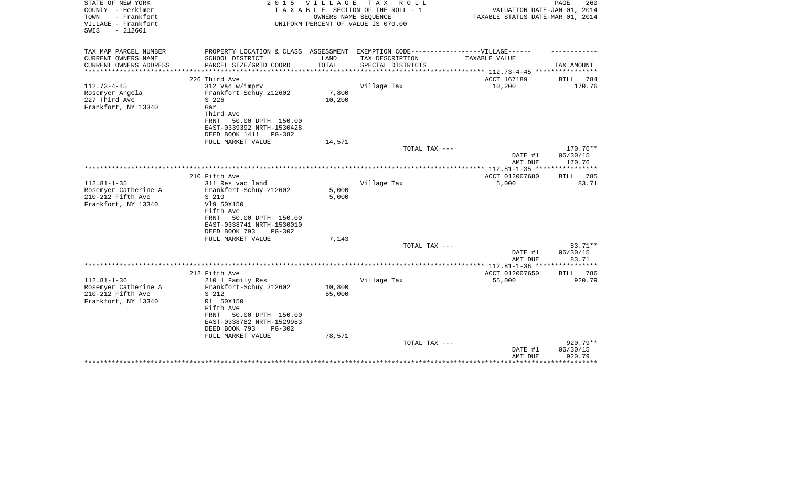| STATE OF NEW YORK<br>COUNTY - Herkimer<br>TOWN<br>- Frankfort<br>VILLAGE - Frankfort<br>$-212601$<br>SWIS | 2 0 1 5                                | VILLAGE | T A X<br>R O L L<br>TAXABLE SECTION OF THE ROLL - 1<br>OWNERS NAME SEQUENCE<br>UNIFORM PERCENT OF VALUE IS 070.00 | VALUATION DATE-JAN 01, 2014<br>TAXABLE STATUS DATE-MAR 01, 2014 | PAGE<br>260                  |
|-----------------------------------------------------------------------------------------------------------|----------------------------------------|---------|-------------------------------------------------------------------------------------------------------------------|-----------------------------------------------------------------|------------------------------|
| TAX MAP PARCEL NUMBER                                                                                     | PROPERTY LOCATION & CLASS ASSESSMENT   |         | EXEMPTION CODE------------------VILLAGE------                                                                     |                                                                 |                              |
| CURRENT OWNERS NAME                                                                                       | SCHOOL DISTRICT                        | LAND    | TAX DESCRIPTION                                                                                                   | TAXABLE VALUE                                                   |                              |
| CURRENT OWNERS ADDRESS<br>*****************                                                               | PARCEL SIZE/GRID COORD                 | TOTAL   | SPECIAL DISTRICTS                                                                                                 |                                                                 | TAX AMOUNT                   |
|                                                                                                           | 226 Third Ave                          |         |                                                                                                                   | ACCT 167189                                                     | BILL<br>784                  |
| $112.73 - 4 - 45$                                                                                         | 312 Vac w/imprv                        |         | Village Tax                                                                                                       | 10,200                                                          | 170.76                       |
| Rosemyer Angela                                                                                           | Frankfort-Schuy 212602                 | 7,800   |                                                                                                                   |                                                                 |                              |
| 227 Third Ave                                                                                             | S 226                                  | 10,200  |                                                                                                                   |                                                                 |                              |
| Frankfort, NY 13340                                                                                       | Gar                                    |         |                                                                                                                   |                                                                 |                              |
|                                                                                                           | Third Ave                              |         |                                                                                                                   |                                                                 |                              |
|                                                                                                           | FRNT<br>50.00 DPTH 150.00              |         |                                                                                                                   |                                                                 |                              |
|                                                                                                           | EAST-0339392 NRTH-1530428              |         |                                                                                                                   |                                                                 |                              |
|                                                                                                           | DEED BOOK 1411 PG-382                  |         |                                                                                                                   |                                                                 |                              |
|                                                                                                           | FULL MARKET VALUE                      | 14,571  | TOTAL TAX ---                                                                                                     |                                                                 | 170.76**                     |
|                                                                                                           |                                        |         |                                                                                                                   | DATE #1                                                         | 06/30/15                     |
|                                                                                                           |                                        |         |                                                                                                                   | AMT DUE                                                         | 170.76                       |
|                                                                                                           |                                        |         |                                                                                                                   | **************** 112.81-1-35 *****************                  |                              |
|                                                                                                           | 210 Fifth Ave                          |         |                                                                                                                   | ACCT 012007680                                                  | 785<br>BILL                  |
| $112.81 - 1 - 35$                                                                                         | 311 Res vac land                       |         | Village Tax                                                                                                       | 5,000                                                           | 83.71                        |
| Rosemyer Catherine A                                                                                      | Frankfort-Schuy 212602                 | 5,000   |                                                                                                                   |                                                                 |                              |
| 210-212 Fifth Ave                                                                                         | S 210                                  | 5,000   |                                                                                                                   |                                                                 |                              |
| Frankfort, NY 13340                                                                                       | V19 50X150                             |         |                                                                                                                   |                                                                 |                              |
|                                                                                                           | Fifth Ave<br>50.00 DPTH 150.00<br>FRNT |         |                                                                                                                   |                                                                 |                              |
|                                                                                                           | EAST-0338741 NRTH-1530010              |         |                                                                                                                   |                                                                 |                              |
|                                                                                                           | DEED BOOK 793<br>$PG-302$              |         |                                                                                                                   |                                                                 |                              |
|                                                                                                           | FULL MARKET VALUE                      | 7,143   |                                                                                                                   |                                                                 |                              |
|                                                                                                           |                                        |         | TOTAL TAX ---                                                                                                     |                                                                 | 83.71**                      |
|                                                                                                           |                                        |         |                                                                                                                   | DATE #1                                                         | 06/30/15                     |
|                                                                                                           |                                        |         |                                                                                                                   | AMT DUE                                                         | 83.71                        |
|                                                                                                           |                                        |         |                                                                                                                   |                                                                 | ********                     |
| $112.81 - 1 - 36$                                                                                         | 212 Fifth Ave<br>210 1 Family Res      |         | Village Tax                                                                                                       | ACCT 012007650<br>55,000                                        | 786<br><b>BILL</b><br>920.79 |
| Rosemyer Catherine A                                                                                      | Frankfort-Schuy 212602                 | 10,800  |                                                                                                                   |                                                                 |                              |
| 210-212 Fifth Ave                                                                                         | S 212                                  | 55,000  |                                                                                                                   |                                                                 |                              |
| Frankfort, NY 13340                                                                                       | R1 50X150                              |         |                                                                                                                   |                                                                 |                              |
|                                                                                                           | Fifth Ave                              |         |                                                                                                                   |                                                                 |                              |
|                                                                                                           | 50.00 DPTH 150.00<br>FRNT              |         |                                                                                                                   |                                                                 |                              |
|                                                                                                           | EAST-0338782 NRTH-1529983              |         |                                                                                                                   |                                                                 |                              |
|                                                                                                           | DEED BOOK 793<br><b>PG-302</b>         |         |                                                                                                                   |                                                                 |                              |
|                                                                                                           | FULL MARKET VALUE                      | 78,571  |                                                                                                                   |                                                                 |                              |
|                                                                                                           |                                        |         | TOTAL TAX ---                                                                                                     |                                                                 | 920.79**                     |
|                                                                                                           |                                        |         |                                                                                                                   | DATE #1<br>AMT DUE                                              | 06/30/15<br>920.79           |
|                                                                                                           |                                        |         |                                                                                                                   |                                                                 | * * * * * * * * *            |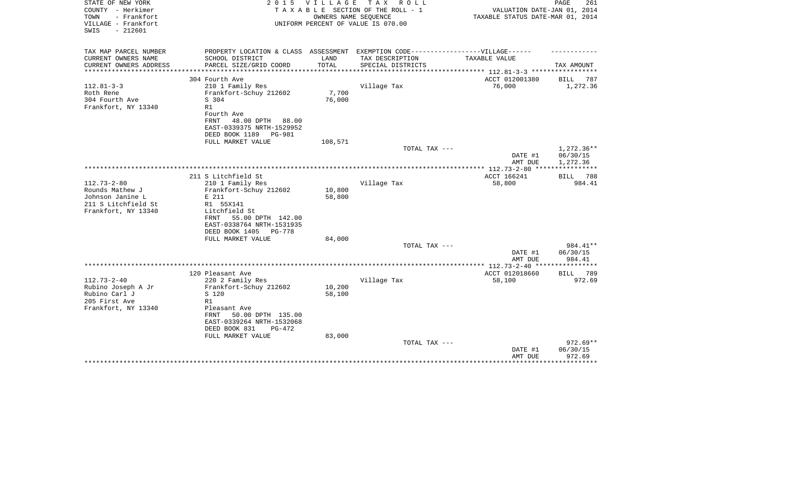| STATE OF NEW YORK<br>COUNTY - Herkimer<br>TOWN<br>- Frankfort<br>VILLAGE - Frankfort<br>$-212601$<br>SWIS | 2 0 1 5<br>TAXABLE                                                                                                                                                             | <b>VILLAGE</b>   | T A X<br>R O L L<br>SECTION OF THE ROLL - 1<br>OWNERS NAME SEQUENCE<br>UNIFORM PERCENT OF VALUE IS 070.00 | VALUATION DATE-JAN 01, 2014<br>TAXABLE STATUS DATE-MAR 01, 2014 | PAGE<br>261                    |
|-----------------------------------------------------------------------------------------------------------|--------------------------------------------------------------------------------------------------------------------------------------------------------------------------------|------------------|-----------------------------------------------------------------------------------------------------------|-----------------------------------------------------------------|--------------------------------|
| TAX MAP PARCEL NUMBER<br>CURRENT OWNERS NAME                                                              | PROPERTY LOCATION & CLASS ASSESSMENT EXEMPTION CODE-----------------VILLAGE------<br>SCHOOL DISTRICT                                                                           | LAND             | TAX DESCRIPTION                                                                                           | TAXABLE VALUE                                                   |                                |
| CURRENT OWNERS ADDRESS                                                                                    | PARCEL SIZE/GRID COORD                                                                                                                                                         | TOTAL            | SPECIAL DISTRICTS                                                                                         |                                                                 | TAX AMOUNT                     |
| **********************                                                                                    |                                                                                                                                                                                |                  |                                                                                                           |                                                                 |                                |
| $112.81 - 3 - 3$                                                                                          | 304 Fourth Ave<br>210 1 Family Res                                                                                                                                             |                  | Village Tax                                                                                               | ACCT 012001380<br>76,000                                        | <b>BILL</b><br>787<br>1,272.36 |
| Roth Rene<br>304 Fourth Ave<br>Frankfort, NY 13340                                                        | Frankfort-Schuy 212602<br>S 304<br>R1<br>Fourth Ave<br>FRNT<br>48.00 DPTH<br>88.00<br>EAST-0339375 NRTH-1529952<br>DEED BOOK 1189<br><b>PG-981</b>                             | 7,700<br>76,000  |                                                                                                           |                                                                 |                                |
|                                                                                                           | FULL MARKET VALUE                                                                                                                                                              | 108,571          |                                                                                                           |                                                                 |                                |
|                                                                                                           |                                                                                                                                                                                |                  | TOTAL TAX ---                                                                                             |                                                                 | 1,272.36**                     |
|                                                                                                           |                                                                                                                                                                                |                  |                                                                                                           | DATE #1<br>AMT DUE                                              | 06/30/15<br>1,272.36           |
|                                                                                                           |                                                                                                                                                                                |                  |                                                                                                           |                                                                 |                                |
|                                                                                                           | 211 S Litchfield St                                                                                                                                                            |                  |                                                                                                           | ACCT 166241                                                     | 788<br>BILL                    |
| $112.73 - 2 - 80$<br>Rounds Mathew J<br>Johnson Janine L<br>211 S Litchfield St<br>Frankfort, NY 13340    | 210 1 Family Res<br>Frankfort-Schuy 212602<br>E 211<br>R1 55X141<br>Litchfield St<br>55.00 DPTH 142.00<br>FRNT<br>EAST-0338764 NRTH-1531935<br>DEED BOOK 1405<br><b>PG-778</b> | 10,800<br>58,800 | Village Tax                                                                                               | 58,800                                                          | 984.41                         |
|                                                                                                           | FULL MARKET VALUE                                                                                                                                                              | 84,000           |                                                                                                           |                                                                 |                                |
|                                                                                                           |                                                                                                                                                                                |                  | TOTAL TAX ---                                                                                             | DATE #1                                                         | 984.41**<br>06/30/15           |
|                                                                                                           |                                                                                                                                                                                |                  |                                                                                                           | AMT DUE                                                         | 984.41                         |
|                                                                                                           | 120 Pleasant Ave                                                                                                                                                               |                  |                                                                                                           | ********* 112.73-2-40 *******<br>ACCT 012018660                 | 789                            |
| $112.73 - 2 - 40$<br>Rubino Joseph A Jr<br>Rubino Carl J<br>205 First Ave<br>Frankfort, NY 13340          | 220 2 Family Res<br>Frankfort-Schuy 212602<br>S 120<br>R1<br>Pleasant Ave<br>FRNT<br>50.00 DPTH 135.00<br>EAST-0339264 NRTH-1532068<br>DEED BOOK 831<br>$PG-472$               | 10,200<br>58,100 | Village Tax                                                                                               | 58,100                                                          | <b>BILL</b><br>972.69          |
|                                                                                                           | FULL MARKET VALUE                                                                                                                                                              | 83,000           | TOTAL TAX ---                                                                                             |                                                                 | $972.69**$                     |
|                                                                                                           |                                                                                                                                                                                |                  |                                                                                                           | DATE #1<br>AMT DUE                                              | 06/30/15<br>972.69             |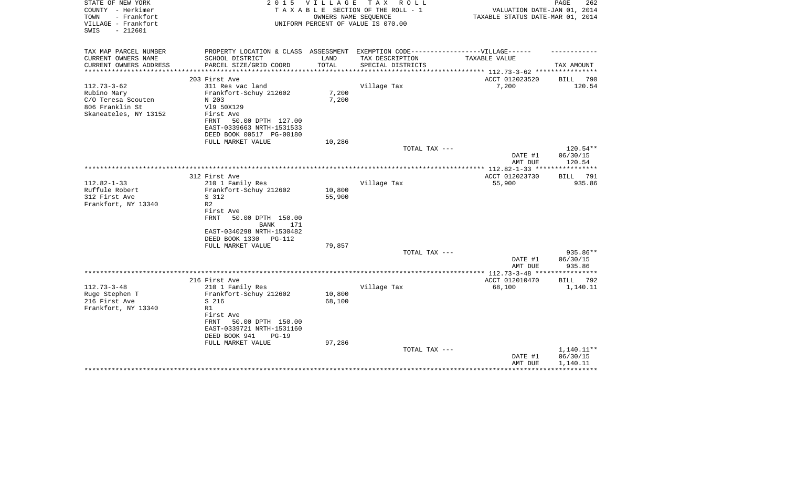| STATE OF NEW YORK<br>COUNTY - Herkimer<br>- Frankfort<br>TOWN<br>VILLAGE - Frankfort<br>$-212601$<br>SWIS | 2 0 1 5                                                                                                                                                                                               | V I L L A G E                 | TAX ROLL<br>TAXABLE SECTION OF THE ROLL - 1<br>OWNERS NAME SEQUENCE<br>UNIFORM PERCENT OF VALUE IS 070.00 | VALUATION DATE-JAN 01, 2014<br>TAXABLE STATUS DATE-MAR 01, 2014 | 262<br>PAGE                        |
|-----------------------------------------------------------------------------------------------------------|-------------------------------------------------------------------------------------------------------------------------------------------------------------------------------------------------------|-------------------------------|-----------------------------------------------------------------------------------------------------------|-----------------------------------------------------------------|------------------------------------|
| TAX MAP PARCEL NUMBER                                                                                     | PROPERTY LOCATION & CLASS ASSESSMENT EXEMPTION CODE----------------VILLAGE------                                                                                                                      |                               |                                                                                                           |                                                                 |                                    |
| CURRENT OWNERS NAME<br>CURRENT OWNERS ADDRESS<br>*******************                                      | SCHOOL DISTRICT<br>PARCEL SIZE/GRID COORD                                                                                                                                                             | LAND<br>TOTAL<br>************ | TAX DESCRIPTION<br>SPECIAL DISTRICTS                                                                      | TAXABLE VALUE<br>******************** 112.73-3-62 ***********   | TAX AMOUNT                         |
|                                                                                                           | 203 First Ave                                                                                                                                                                                         |                               |                                                                                                           | ACCT 012023520                                                  | 790<br><b>BILL</b>                 |
| $112.73 - 3 - 62$<br>Rubino Mary<br>C/O Teresa Scouten<br>806 Franklin St<br>Skaneateles, NY 13152        | 311 Res vac land<br>Frankfort-Schuy 212602<br>N 203<br>V19 50X129<br>First Ave<br>FRNT<br>50.00 DPTH 127.00<br>EAST-0339663 NRTH-1531533                                                              | 7,200<br>7,200                | Village Tax                                                                                               | 7,200                                                           | 120.54                             |
|                                                                                                           | DEED BOOK 00517 PG-00180                                                                                                                                                                              |                               |                                                                                                           |                                                                 |                                    |
|                                                                                                           | FULL MARKET VALUE                                                                                                                                                                                     | 10,286                        | TOTAL TAX ---                                                                                             | DATE #1<br>AMT DUE                                              | 120.54**<br>06/30/15<br>120.54     |
|                                                                                                           |                                                                                                                                                                                                       |                               |                                                                                                           |                                                                 | * * * * * * * * * * *              |
|                                                                                                           | 312 First Ave                                                                                                                                                                                         |                               |                                                                                                           | ACCT 012023730                                                  | BILL 791                           |
| $112.82 - 1 - 33$<br>Ruffule Robert<br>312 First Ave<br>Frankfort, NY 13340                               | 210 1 Family Res<br>Frankfort-Schuy 212602<br>S 312<br>R <sub>2</sub><br>First Ave<br><b>FRNT</b><br>50.00 DPTH 150.00<br>BANK<br>171<br>EAST-0340298 NRTH-1530482<br>DEED BOOK 1330<br><b>PG-112</b> | 10,800<br>55,900              | Village Tax                                                                                               | 55,900                                                          | 935.86                             |
|                                                                                                           | FULL MARKET VALUE                                                                                                                                                                                     | 79,857                        |                                                                                                           |                                                                 |                                    |
|                                                                                                           |                                                                                                                                                                                                       |                               | TOTAL TAX ---                                                                                             | DATE #1<br>AMT DUE                                              | $935.86**$<br>06/30/15<br>935.86   |
|                                                                                                           |                                                                                                                                                                                                       |                               |                                                                                                           |                                                                 |                                    |
|                                                                                                           | 216 First Ave                                                                                                                                                                                         |                               |                                                                                                           | ACCT 012010470                                                  | 792<br>BILL                        |
| $112.73 - 3 - 48$<br>Ruge Stephen T<br>216 First Ave<br>Frankfort, NY 13340                               | 210 1 Family Res<br>Frankfort-Schuy 212602<br>S 216<br>R1<br>First Ave<br>FRNT<br>50.00 DPTH 150.00<br>EAST-0339721 NRTH-1531160<br>DEED BOOK 941<br>$PG-19$                                          | 10,800<br>68,100              | Village Tax                                                                                               | 68,100                                                          | 1,140.11                           |
|                                                                                                           | FULL MARKET VALUE                                                                                                                                                                                     | 97,286                        | TOTAL TAX ---                                                                                             | DATE #1<br>AMT DUE                                              | 1,140.11**<br>06/30/15<br>1,140.11 |
|                                                                                                           |                                                                                                                                                                                                       |                               |                                                                                                           |                                                                 |                                    |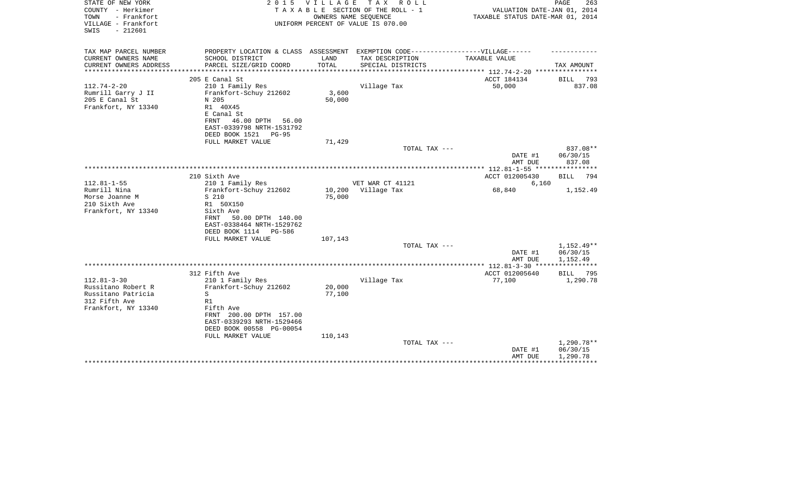| STATE OF NEW YORK<br>COUNTY - Herkimer<br>TOWN<br>- Frankfort<br>VILLAGE - Frankfort<br>$-212601$<br>SWIS | 2 0 1 5                                                                           | VILLAGE | TAX ROLL<br>TAXABLE SECTION OF THE ROLL - 1<br>OWNERS NAME SEQUENCE<br>UNIFORM PERCENT OF VALUE IS 070.00 | VALUATION DATE-JAN 01, 2014<br>TAXABLE STATUS DATE-MAR 01, 2014 | PAGE<br>263  |
|-----------------------------------------------------------------------------------------------------------|-----------------------------------------------------------------------------------|---------|-----------------------------------------------------------------------------------------------------------|-----------------------------------------------------------------|--------------|
| TAX MAP PARCEL NUMBER                                                                                     | PROPERTY LOCATION & CLASS ASSESSMENT EXEMPTION CODE-----------------VILLAGE------ |         |                                                                                                           |                                                                 |              |
| CURRENT OWNERS NAME                                                                                       | SCHOOL DISTRICT                                                                   | LAND    | TAX DESCRIPTION                                                                                           | TAXABLE VALUE                                                   |              |
| CURRENT OWNERS ADDRESS                                                                                    | PARCEL SIZE/GRID COORD                                                            | TOTAL   | SPECIAL DISTRICTS                                                                                         |                                                                 | TAX AMOUNT   |
|                                                                                                           | 205 E Canal St                                                                    |         |                                                                                                           | ACCT 184134                                                     | BILL<br>793  |
| $112.74 - 2 - 20$                                                                                         | 210 1 Family Res                                                                  |         | Village Tax                                                                                               | 50,000                                                          | 837.08       |
| Rumrill Garry J II                                                                                        | Frankfort-Schuy 212602                                                            | 3,600   |                                                                                                           |                                                                 |              |
| 205 E Canal St                                                                                            | N 205                                                                             | 50,000  |                                                                                                           |                                                                 |              |
| Frankfort, NY 13340                                                                                       | R1 40X45                                                                          |         |                                                                                                           |                                                                 |              |
|                                                                                                           | E Canal St                                                                        |         |                                                                                                           |                                                                 |              |
|                                                                                                           | 46.00 DPTH<br>FRNT<br>56.00                                                       |         |                                                                                                           |                                                                 |              |
|                                                                                                           | EAST-0339798 NRTH-1531792                                                         |         |                                                                                                           |                                                                 |              |
|                                                                                                           | DEED BOOK 1521<br>$PG-95$<br>FULL MARKET VALUE                                    | 71,429  |                                                                                                           |                                                                 |              |
|                                                                                                           |                                                                                   |         | TOTAL TAX ---                                                                                             |                                                                 | 837.08**     |
|                                                                                                           |                                                                                   |         |                                                                                                           | DATE #1                                                         | 06/30/15     |
|                                                                                                           |                                                                                   |         |                                                                                                           | AMT DUE                                                         | 837.08       |
|                                                                                                           |                                                                                   |         |                                                                                                           |                                                                 |              |
|                                                                                                           | 210 Sixth Ave                                                                     |         |                                                                                                           | ACCT 012005430                                                  | BILL<br>794  |
| $112.81 - 1 - 55$                                                                                         | 210 1 Family Res                                                                  |         | VET WAR CT 41121                                                                                          | 6,160                                                           |              |
| Rumrill Nina                                                                                              | Frankfort-Schuy 212602                                                            | 10,200  | Village Tax                                                                                               | 68,840                                                          | 1,152.49     |
| Morse Joanne M<br>210 Sixth Ave                                                                           | S 210<br>R1 50X150                                                                | 75,000  |                                                                                                           |                                                                 |              |
| Frankfort, NY 13340                                                                                       | Sixth Ave                                                                         |         |                                                                                                           |                                                                 |              |
|                                                                                                           | 50.00 DPTH 140.00<br>FRNT                                                         |         |                                                                                                           |                                                                 |              |
|                                                                                                           | EAST-0338464 NRTH-1529762                                                         |         |                                                                                                           |                                                                 |              |
|                                                                                                           | DEED BOOK 1114<br>PG-586                                                          |         |                                                                                                           |                                                                 |              |
|                                                                                                           | FULL MARKET VALUE                                                                 | 107,143 |                                                                                                           |                                                                 |              |
|                                                                                                           |                                                                                   |         | TOTAL TAX ---                                                                                             |                                                                 | $1,152.49**$ |
|                                                                                                           |                                                                                   |         |                                                                                                           | DATE #1                                                         | 06/30/15     |
|                                                                                                           |                                                                                   |         |                                                                                                           | AMT DUE                                                         | 1,152.49     |
|                                                                                                           | 312 Fifth Ave                                                                     |         |                                                                                                           | ACCT 012005640                                                  | BILL<br>795  |
| $112.81 - 3 - 30$                                                                                         | 210 1 Family Res                                                                  |         | Village Tax                                                                                               | 77,100                                                          | 1,290.78     |
| Russitano Robert R                                                                                        | Frankfort-Schuy 212602                                                            | 20,000  |                                                                                                           |                                                                 |              |
| Russitano Patricia                                                                                        | S                                                                                 | 77,100  |                                                                                                           |                                                                 |              |
| 312 Fifth Ave                                                                                             | R1                                                                                |         |                                                                                                           |                                                                 |              |
| Frankfort, NY 13340                                                                                       | Fifth Ave                                                                         |         |                                                                                                           |                                                                 |              |
|                                                                                                           | FRNT 200.00 DPTH 157.00                                                           |         |                                                                                                           |                                                                 |              |
|                                                                                                           | EAST-0339293 NRTH-1529466                                                         |         |                                                                                                           |                                                                 |              |
|                                                                                                           | DEED BOOK 00558 PG-00054                                                          |         |                                                                                                           |                                                                 |              |
|                                                                                                           | FULL MARKET VALUE                                                                 | 110,143 | TOTAL TAX ---                                                                                             |                                                                 | 1,290.78**   |
|                                                                                                           |                                                                                   |         |                                                                                                           | DATE #1                                                         | 06/30/15     |
|                                                                                                           |                                                                                   |         |                                                                                                           | AMT DUE                                                         | 1,290.78     |
|                                                                                                           |                                                                                   |         |                                                                                                           |                                                                 |              |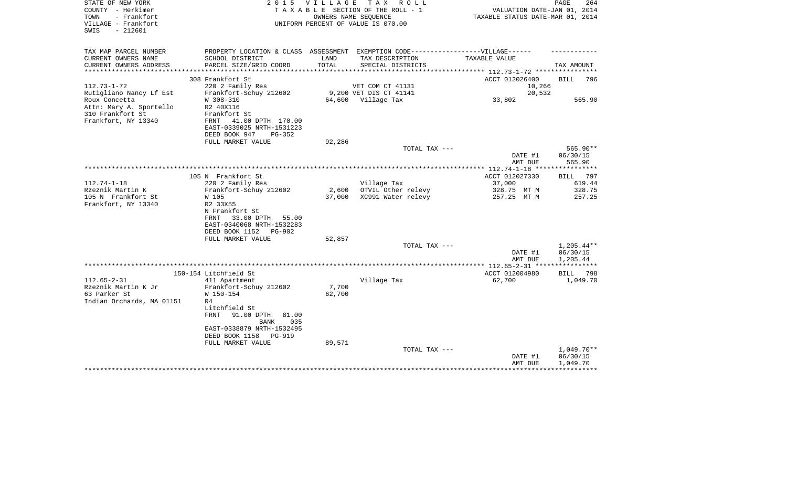| STATE OF NEW YORK<br>COUNTY - Herkimer<br>- Frankfort<br>TOWN<br>VILLAGE - Frankfort<br>$-212601$<br>SWIS |                                                                                   |                 | 2015 VILLAGE TAX ROLL<br>TAXABLE SECTION OF THE ROLL - 1<br>OWNERS NAME SEQUENCE<br>UNIFORM PERCENT OF VALUE IS 070.00 | VALUATION DATE-JAN 01, 2014<br>TAXABLE STATUS DATE-MAR 01, 2014 | PAGE<br>264        |
|-----------------------------------------------------------------------------------------------------------|-----------------------------------------------------------------------------------|-----------------|------------------------------------------------------------------------------------------------------------------------|-----------------------------------------------------------------|--------------------|
| TAX MAP PARCEL NUMBER                                                                                     | PROPERTY LOCATION & CLASS ASSESSMENT EXEMPTION CODE-----------------VILLAGE------ |                 |                                                                                                                        |                                                                 |                    |
| CURRENT OWNERS NAME                                                                                       | SCHOOL DISTRICT                                                                   | LAND            | TAX DESCRIPTION                                                                                                        | TAXABLE VALUE                                                   |                    |
| CURRENT OWNERS ADDRESS<br>***********************                                                         | PARCEL SIZE/GRID COORD                                                            | TOTAL           | SPECIAL DISTRICTS                                                                                                      |                                                                 | TAX AMOUNT         |
|                                                                                                           | 308 Frankfort St                                                                  |                 |                                                                                                                        | ACCT 012026400                                                  | <b>BILL</b><br>796 |
| $112.73 - 1 - 72$                                                                                         | 220 2 Family Res                                                                  |                 | VET COM CT 41131                                                                                                       | 10,266                                                          |                    |
| Rutigliano Nancy Lf Est                                                                                   | Frankfort-Schuy 212602                                                            |                 | 9,200 VET DIS CT 41141                                                                                                 | 20,532                                                          |                    |
| Roux Concetta                                                                                             | W 308-310                                                                         |                 | 64,600 Village Tax                                                                                                     | 33,802                                                          | 565.90             |
| Attn: Mary A. Sportello                                                                                   | R2 40X116                                                                         |                 |                                                                                                                        |                                                                 |                    |
| 310 Frankfort St                                                                                          | Frankfort St                                                                      |                 |                                                                                                                        |                                                                 |                    |
| Frankfort, NY 13340                                                                                       | FRNT 41.00 DPTH 170.00                                                            |                 |                                                                                                                        |                                                                 |                    |
|                                                                                                           | EAST-0339025 NRTH-1531223<br>DEED BOOK 947<br>$PG-352$                            |                 |                                                                                                                        |                                                                 |                    |
|                                                                                                           | FULL MARKET VALUE                                                                 | 92,286          |                                                                                                                        |                                                                 |                    |
|                                                                                                           |                                                                                   |                 | TOTAL TAX ---                                                                                                          |                                                                 | $565.90**$         |
|                                                                                                           |                                                                                   |                 |                                                                                                                        | DATE #1                                                         | 06/30/15           |
|                                                                                                           |                                                                                   |                 |                                                                                                                        | AMT DUE                                                         | 565.90             |
|                                                                                                           |                                                                                   |                 |                                                                                                                        |                                                                 |                    |
| $112.74 - 1 - 18$                                                                                         | 105 N Frankfort St<br>220 2 Family Res                                            |                 | Village Tax                                                                                                            | ACCT 012027330<br>37,000                                        | BILL 797<br>619.44 |
| Rzeznik Martin K                                                                                          | Frankfort-Schuy 212602                                                            | 2,600           | OTVIL Other relevy                                                                                                     | 328.75 MT M                                                     | 328.75             |
| 105 N Frankfort St                                                                                        | W 105                                                                             | 37,000          | XC991 Water relevy                                                                                                     | 257.25 MT M                                                     | 257.25             |
| Frankfort, NY 13340                                                                                       | R2 33X55                                                                          |                 |                                                                                                                        |                                                                 |                    |
|                                                                                                           | N Frankfort St                                                                    |                 |                                                                                                                        |                                                                 |                    |
|                                                                                                           | 33.00 DPTH 55.00<br>FRNT                                                          |                 |                                                                                                                        |                                                                 |                    |
|                                                                                                           | EAST-0340068 NRTH-1532283                                                         |                 |                                                                                                                        |                                                                 |                    |
|                                                                                                           | DEED BOOK 1152 PG-902<br>FULL MARKET VALUE                                        | 52,857          |                                                                                                                        |                                                                 |                    |
|                                                                                                           |                                                                                   |                 | TOTAL TAX ---                                                                                                          |                                                                 | 1,205.44**         |
|                                                                                                           |                                                                                   |                 |                                                                                                                        | DATE #1                                                         | 06/30/15           |
|                                                                                                           |                                                                                   |                 |                                                                                                                        | AMT DUE                                                         | 1,205.44           |
|                                                                                                           |                                                                                   |                 |                                                                                                                        | ****** 112.65-2-31 *****************                            |                    |
|                                                                                                           | 150-154 Litchfield St                                                             |                 |                                                                                                                        | ACCT 012004980                                                  | BILL 798           |
| $112.65 - 2 - 31$                                                                                         | 411 Apartment                                                                     |                 | Village Tax                                                                                                            | 62,700                                                          | 1,049.70           |
| Rzeznik Martin K Jr<br>63 Parker St                                                                       | Frankfort-Schuy 212602<br>W 150-154                                               | 7,700<br>62,700 |                                                                                                                        |                                                                 |                    |
| Indian Orchards, MA 01151                                                                                 | R4                                                                                |                 |                                                                                                                        |                                                                 |                    |
|                                                                                                           | Litchfield St                                                                     |                 |                                                                                                                        |                                                                 |                    |
|                                                                                                           | FRNT<br>91.00 DPTH<br>81.00                                                       |                 |                                                                                                                        |                                                                 |                    |
|                                                                                                           | 035<br>BANK                                                                       |                 |                                                                                                                        |                                                                 |                    |
|                                                                                                           | EAST-0338879 NRTH-1532495                                                         |                 |                                                                                                                        |                                                                 |                    |
|                                                                                                           | DEED BOOK 1158 PG-919<br>FULL MARKET VALUE                                        | 89,571          |                                                                                                                        |                                                                 |                    |
|                                                                                                           |                                                                                   |                 | TOTAL TAX ---                                                                                                          |                                                                 | $1,049.70**$       |
|                                                                                                           |                                                                                   |                 |                                                                                                                        | DATE #1                                                         | 06/30/15           |
|                                                                                                           |                                                                                   |                 |                                                                                                                        | AMT DUE                                                         | 1,049.70           |
|                                                                                                           |                                                                                   |                 |                                                                                                                        |                                                                 |                    |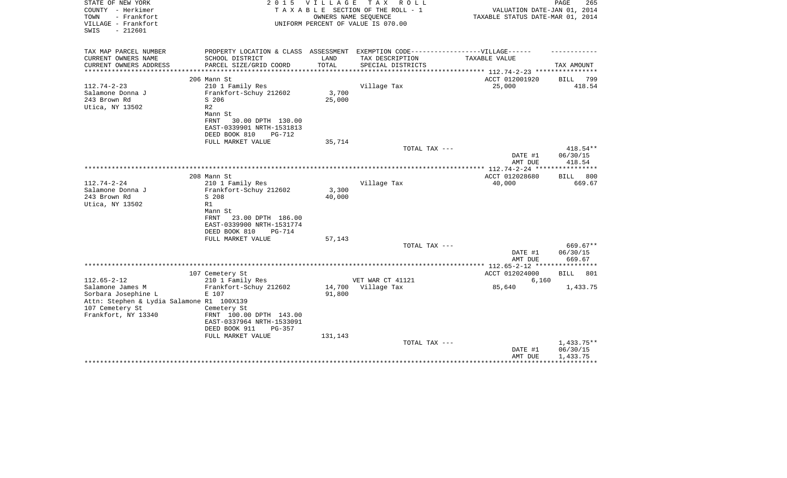| STATE OF NEW YORK<br>COUNTY - Herkimer<br>TOWN<br>- Frankfort<br>VILLAGE - Frankfort<br>$-212601$<br>SWIS | 2 0 1 5                                                                                             | <b>VILLAGE</b>  | T A X<br>R O L L<br>TAXABLE SECTION OF THE ROLL - 1<br>OWNERS NAME SEQUENCE<br>UNIFORM PERCENT OF VALUE IS 070.00 | VALUATION DATE-JAN 01, 2014<br>TAXABLE STATUS DATE-MAR 01, 2014 | PAGE<br>265                        |
|-----------------------------------------------------------------------------------------------------------|-----------------------------------------------------------------------------------------------------|-----------------|-------------------------------------------------------------------------------------------------------------------|-----------------------------------------------------------------|------------------------------------|
| TAX MAP PARCEL NUMBER                                                                                     | PROPERTY LOCATION & CLASS ASSESSMENT EXEMPTION CODE-----------------VILLAGE------                   |                 |                                                                                                                   |                                                                 |                                    |
| CURRENT OWNERS NAME<br>CURRENT OWNERS ADDRESS                                                             | SCHOOL DISTRICT<br>PARCEL SIZE/GRID COORD                                                           | LAND<br>TOTAL   | TAX DESCRIPTION<br>SPECIAL DISTRICTS                                                                              | TAXABLE VALUE                                                   | TAX AMOUNT                         |
| *******************                                                                                       | *****************************                                                                       | *************   |                                                                                                                   | **************** 112.74-2-23 *****************                  |                                    |
|                                                                                                           | 206 Mann St                                                                                         |                 |                                                                                                                   | ACCT 012001920                                                  | BILL<br>799                        |
| $112.74 - 2 - 23$<br>Salamone Donna J<br>243 Brown Rd<br>Utica, NY 13502                                  | 210 1 Family Res<br>Frankfort-Schuy 212602<br>S 206<br>R <sub>2</sub><br>Mann St                    | 3,700<br>25,000 | Village Tax                                                                                                       | 25,000                                                          | 418.54                             |
|                                                                                                           | 30.00 DPTH 130.00<br>FRNT<br>EAST-0339901 NRTH-1531813<br>DEED BOOK 810<br><b>PG-712</b>            |                 |                                                                                                                   |                                                                 |                                    |
|                                                                                                           | FULL MARKET VALUE                                                                                   | 35,714          |                                                                                                                   |                                                                 |                                    |
|                                                                                                           |                                                                                                     |                 | TOTAL TAX ---                                                                                                     |                                                                 | 418.54**                           |
|                                                                                                           |                                                                                                     |                 |                                                                                                                   | DATE #1<br>AMT DUE                                              | 06/30/15<br>418.54                 |
|                                                                                                           |                                                                                                     |                 |                                                                                                                   |                                                                 |                                    |
|                                                                                                           | 208 Mann St                                                                                         |                 |                                                                                                                   | ACCT 012028680                                                  | 800<br><b>BILL</b>                 |
| $112.74 - 2 - 24$                                                                                         | 210 1 Family Res                                                                                    |                 | Village Tax                                                                                                       | 40,000                                                          | 669.67                             |
| Salamone Donna J                                                                                          | Frankfort-Schuy 212602                                                                              | 3,300           |                                                                                                                   |                                                                 |                                    |
| 243 Brown Rd<br>Utica, NY 13502                                                                           | S 208<br>R1                                                                                         | 40,000          |                                                                                                                   |                                                                 |                                    |
|                                                                                                           | Mann St<br>FRNT<br>23.00 DPTH 186.00<br>EAST-0339900 NRTH-1531774<br>DEED BOOK 810<br><b>PG-714</b> |                 |                                                                                                                   |                                                                 |                                    |
|                                                                                                           | FULL MARKET VALUE                                                                                   | 57,143          |                                                                                                                   |                                                                 |                                    |
|                                                                                                           |                                                                                                     |                 | TOTAL TAX ---                                                                                                     | DATE #1<br>AMT DUE                                              | 669.67**<br>06/30/15<br>669.67     |
|                                                                                                           |                                                                                                     |                 |                                                                                                                   |                                                                 |                                    |
|                                                                                                           | 107 Cemetery St                                                                                     |                 |                                                                                                                   | ACCT 012024000                                                  | <b>BILL</b><br>801                 |
| $112.65 - 2 - 12$                                                                                         | 210 1 Family Res                                                                                    |                 | VET WAR CT 41121                                                                                                  | 6,160                                                           |                                    |
| Salamone James M                                                                                          | Frankfort-Schuy 212602                                                                              | 14,700          | Village Tax                                                                                                       | 85,640                                                          | 1,433.75                           |
| Sorbara Josephine L                                                                                       | E 107                                                                                               | 91,800          |                                                                                                                   |                                                                 |                                    |
| Attn: Stephen & Lydia Salamone R1 100X139                                                                 |                                                                                                     |                 |                                                                                                                   |                                                                 |                                    |
| 107 Cemetery St<br>Frankfort, NY 13340                                                                    | Cemetery St<br>FRNT 100.00 DPTH 143.00<br>EAST-0337964 NRTH-1533091<br>DEED BOOK 911<br>$PG-357$    |                 |                                                                                                                   |                                                                 |                                    |
|                                                                                                           | FULL MARKET VALUE                                                                                   | 131,143         |                                                                                                                   |                                                                 |                                    |
|                                                                                                           |                                                                                                     |                 | TOTAL TAX ---                                                                                                     | DATE #1<br>AMT DUE                                              | 1,433.75**<br>06/30/15<br>1,433.75 |
|                                                                                                           |                                                                                                     |                 |                                                                                                                   |                                                                 |                                    |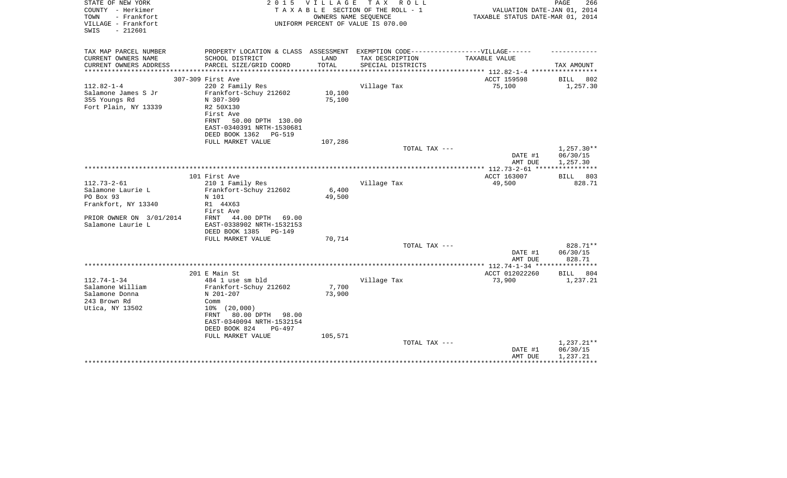| STATE OF NEW YORK<br>COUNTY - Herkimer<br>- Frankfort<br>TOWN<br>VILLAGE - Frankfort<br>SWIS<br>$-212601$ | 2 0 1 5                                                                                                                                                                 | VILLAGE          | T A X<br>R O L L<br>TAXABLE SECTION OF THE ROLL - 1<br>OWNERS NAME SEQUENCE<br>UNIFORM PERCENT OF VALUE IS 070.00 | VALUATION DATE-JAN 01, 2014<br>TAXABLE STATUS DATE-MAR 01, 2014 | PAGE<br>266                        |
|-----------------------------------------------------------------------------------------------------------|-------------------------------------------------------------------------------------------------------------------------------------------------------------------------|------------------|-------------------------------------------------------------------------------------------------------------------|-----------------------------------------------------------------|------------------------------------|
| TAX MAP PARCEL NUMBER                                                                                     | PROPERTY LOCATION & CLASS ASSESSMENT EXEMPTION CODE-----------------VILLAGE------                                                                                       |                  |                                                                                                                   |                                                                 |                                    |
| CURRENT OWNERS NAME<br>CURRENT OWNERS ADDRESS                                                             | SCHOOL DISTRICT<br>PARCEL SIZE/GRID COORD                                                                                                                               | LAND<br>TOTAL    | TAX DESCRIPTION<br>SPECIAL DISTRICTS                                                                              | TAXABLE VALUE                                                   | TAX AMOUNT                         |
| *********************                                                                                     |                                                                                                                                                                         |                  |                                                                                                                   |                                                                 |                                    |
|                                                                                                           | 307-309 First Ave                                                                                                                                                       |                  |                                                                                                                   | ACCT 159598                                                     | BILL<br>802                        |
| $112.82 - 1 - 4$<br>Salamone James S Jr<br>355 Youngs Rd<br>Fort Plain, NY 13339                          | 220 2 Family Res<br>Frankfort-Schuy 212602<br>N 307-309<br>R2 50X130<br>First Ave<br>50.00 DPTH 130.00<br>FRNT<br>EAST-0340391 NRTH-1530681<br>DEED BOOK 1362<br>PG-519 | 10,100<br>75,100 | Village Tax                                                                                                       | 75,100                                                          | 1,257.30                           |
|                                                                                                           | FULL MARKET VALUE                                                                                                                                                       | 107,286          |                                                                                                                   |                                                                 |                                    |
|                                                                                                           |                                                                                                                                                                         |                  | TOTAL TAX ---                                                                                                     | DATE #1                                                         | $1,257.30**$<br>06/30/15           |
|                                                                                                           |                                                                                                                                                                         |                  |                                                                                                                   | AMT DUE                                                         | 1,257.30                           |
|                                                                                                           | 101 First Ave                                                                                                                                                           |                  |                                                                                                                   | ACCT 163007                                                     | 803<br><b>BILL</b>                 |
| $112.73 - 2 - 61$                                                                                         | 210 1 Family Res                                                                                                                                                        |                  | Village Tax                                                                                                       | 49,500                                                          | 828.71                             |
| Salamone Laurie L                                                                                         | Frankfort-Schuy 212602                                                                                                                                                  | 6,400            |                                                                                                                   |                                                                 |                                    |
| PO Box 93                                                                                                 | N 101                                                                                                                                                                   | 49,500           |                                                                                                                   |                                                                 |                                    |
| Frankfort, NY 13340                                                                                       | R1 44X63<br>First Ave                                                                                                                                                   |                  |                                                                                                                   |                                                                 |                                    |
| PRIOR OWNER ON 3/01/2014<br>Salamone Laurie L                                                             | 44.00 DPTH<br>69.00<br>FRNT<br>EAST-0338902 NRTH-1532153<br>DEED BOOK 1385<br>PG-149                                                                                    |                  |                                                                                                                   |                                                                 |                                    |
|                                                                                                           | FULL MARKET VALUE                                                                                                                                                       | 70,714           | TOTAL TAX ---                                                                                                     |                                                                 | 828.71**                           |
|                                                                                                           |                                                                                                                                                                         |                  |                                                                                                                   | DATE #1<br>AMT DUE                                              | 06/30/15<br>828.71                 |
|                                                                                                           |                                                                                                                                                                         |                  |                                                                                                                   | **************** 112.74-1-34 *****************                  |                                    |
|                                                                                                           | 201 E Main St                                                                                                                                                           |                  |                                                                                                                   | ACCT 012022260                                                  | BILL<br>804                        |
| $112.74 - 1 - 34$<br>Salamone William<br>Salamone Donna<br>243 Brown Rd<br>Utica, NY 13502                | 484 1 use sm bld<br>Frankfort-Schuy 212602<br>N 201-207<br>Comm<br>$10\%$ $(20,000)$<br>80.00 DPTH<br>98.00<br>FRNT                                                     | 7,700<br>73,900  | Village Tax                                                                                                       | 73,900                                                          | 1,237.21                           |
|                                                                                                           | EAST-0340094 NRTH-1532154<br>DEED BOOK 824<br>$PG-497$                                                                                                                  |                  |                                                                                                                   |                                                                 |                                    |
|                                                                                                           | FULL MARKET VALUE                                                                                                                                                       | 105,571          |                                                                                                                   |                                                                 |                                    |
|                                                                                                           |                                                                                                                                                                         |                  | TOTAL TAX ---                                                                                                     | DATE #1<br>AMT DUE                                              | 1,237.21**<br>06/30/15<br>1,237.21 |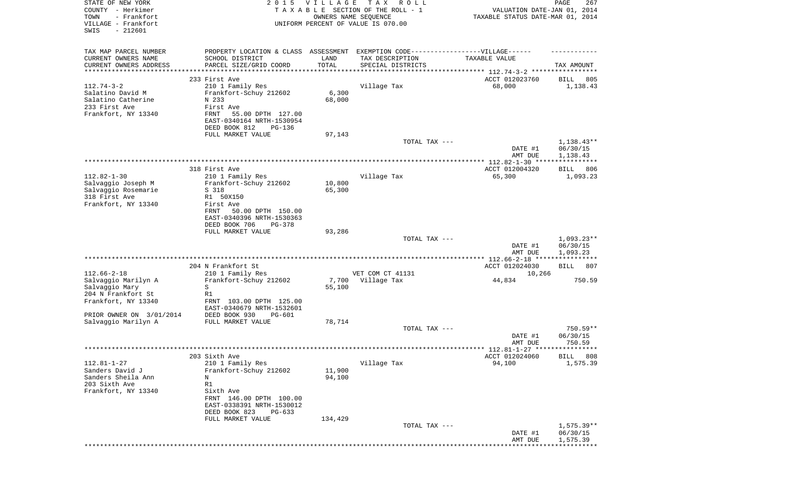| STATE OF NEW YORK        | 2 0 1 5                              | <b>VILLAGE</b> | T A X<br>R O L L                                                  |                                  | 267<br>PAGE        |
|--------------------------|--------------------------------------|----------------|-------------------------------------------------------------------|----------------------------------|--------------------|
| COUNTY - Herkimer        |                                      |                | TAXABLE SECTION OF THE ROLL - 1                                   | VALUATION DATE-JAN 01, 2014      |                    |
| - Frankfort<br>TOWN      |                                      |                | OWNERS NAME SEQUENCE                                              | TAXABLE STATUS DATE-MAR 01, 2014 |                    |
| VILLAGE - Frankfort      |                                      |                | UNIFORM PERCENT OF VALUE IS 070.00                                |                                  |                    |
| $-212601$<br>SWIS        |                                      |                |                                                                   |                                  |                    |
|                          |                                      |                |                                                                   |                                  |                    |
| TAX MAP PARCEL NUMBER    | PROPERTY LOCATION & CLASS ASSESSMENT |                | EXEMPTION CODE------------------VILLAGE------                     |                                  |                    |
| CURRENT OWNERS NAME      | SCHOOL DISTRICT                      | LAND           | TAX DESCRIPTION                                                   | TAXABLE VALUE                    |                    |
| CURRENT OWNERS ADDRESS   | PARCEL SIZE/GRID COORD               | TOTAL          | SPECIAL DISTRICTS                                                 |                                  | TAX AMOUNT         |
| ********************     |                                      | ***********    | ************************************ 112.74-3-2 ***************** |                                  |                    |
|                          | 233 First Ave                        |                |                                                                   | ACCT 012023760                   | BILL<br>805        |
| $112.74 - 3 - 2$         | 210 1 Family Res                     |                | Village Tax                                                       | 68,000                           | 1,138.43           |
| Salatino David M         | Frankfort-Schuy 212602               | 6,300          |                                                                   |                                  |                    |
| Salatino Catherine       | N 233                                | 68,000         |                                                                   |                                  |                    |
| 233 First Ave            | First Ave                            |                |                                                                   |                                  |                    |
| Frankfort, NY 13340      | FRNT<br>55.00 DPTH 127.00            |                |                                                                   |                                  |                    |
|                          | EAST-0340164 NRTH-1530954            |                |                                                                   |                                  |                    |
|                          | DEED BOOK 812<br><b>PG-136</b>       |                |                                                                   |                                  |                    |
|                          | FULL MARKET VALUE                    | 97,143         |                                                                   |                                  |                    |
|                          |                                      |                | TOTAL TAX ---                                                     |                                  | $1,138.43**$       |
|                          |                                      |                |                                                                   |                                  |                    |
|                          |                                      |                |                                                                   | DATE #1                          | 06/30/15           |
|                          |                                      |                |                                                                   | AMT DUE                          | 1,138.43           |
|                          |                                      |                |                                                                   |                                  |                    |
|                          | 318 First Ave                        |                |                                                                   | ACCT 012004320                   | 806<br>BILL        |
| $112.82 - 1 - 30$        | 210 1 Family Res                     |                | Village Tax                                                       | 65,300                           | 1,093.23           |
| Salvaggio Joseph M       | Frankfort-Schuy 212602               | 10,800         |                                                                   |                                  |                    |
| Salvaggio Rosemarie      | S 318                                | 65,300         |                                                                   |                                  |                    |
| 318 First Ave            | R1 50X150                            |                |                                                                   |                                  |                    |
| Frankfort, NY 13340      | First Ave                            |                |                                                                   |                                  |                    |
|                          | FRNT<br>50.00 DPTH 150.00            |                |                                                                   |                                  |                    |
|                          | EAST-0340396 NRTH-1530363            |                |                                                                   |                                  |                    |
|                          | DEED BOOK 706<br>PG-378              |                |                                                                   |                                  |                    |
|                          | FULL MARKET VALUE                    | 93,286         |                                                                   |                                  |                    |
|                          |                                      |                | TOTAL TAX ---                                                     |                                  | $1,093.23**$       |
|                          |                                      |                |                                                                   | DATE #1                          | 06/30/15           |
|                          |                                      |                |                                                                   | AMT DUE                          | 1,093.23           |
|                          |                                      |                |                                                                   |                                  | ***********        |
|                          | 204 N Frankfort St                   |                |                                                                   | ACCT 012024030                   | <b>BILL</b><br>807 |
| $112.66 - 2 - 18$        | 210 1 Family Res                     |                | VET COM CT 41131                                                  | 10,266                           |                    |
| Salvaggio Marilyn A      | Frankfort-Schuy 212602               | 7,700          | Village Tax                                                       | 44,834                           | 750.59             |
| Salvaggio Mary           | S                                    | 55,100         |                                                                   |                                  |                    |
| 204 N Frankfort St       | R1                                   |                |                                                                   |                                  |                    |
| Frankfort, NY 13340      | FRNT 103.00 DPTH 125.00              |                |                                                                   |                                  |                    |
|                          | EAST-0340679 NRTH-1532601            |                |                                                                   |                                  |                    |
| PRIOR OWNER ON 3/01/2014 | DEED BOOK 930<br>$PG-601$            |                |                                                                   |                                  |                    |
| Salvaggio Marilyn A      | FULL MARKET VALUE                    | 78,714         |                                                                   |                                  |                    |
|                          |                                      |                | TOTAL TAX ---                                                     |                                  | 750.59**           |
|                          |                                      |                |                                                                   | DATE #1                          | 06/30/15           |
|                          |                                      |                |                                                                   | AMT DUE                          | 750.59             |
|                          |                                      |                |                                                                   |                                  |                    |
|                          | 203 Sixth Ave                        |                |                                                                   | ACCT 012024060                   | 808<br><b>BILL</b> |
| $112.81 - 1 - 27$        | 210 1 Family Res                     |                | Village Tax                                                       | 94,100                           | 1,575.39           |
| Sanders David J          | Frankfort-Schuy 212602               | 11,900         |                                                                   |                                  |                    |
| Sanders Sheila Ann       | Ν                                    | 94,100         |                                                                   |                                  |                    |
| 203 Sixth Ave            | R1                                   |                |                                                                   |                                  |                    |
| Frankfort, NY 13340      | Sixth Ave                            |                |                                                                   |                                  |                    |
|                          | FRNT 146.00 DPTH 100.00              |                |                                                                   |                                  |                    |
|                          | EAST-0338391 NRTH-1530012            |                |                                                                   |                                  |                    |
|                          | DEED BOOK 823<br>$PG-633$            |                |                                                                   |                                  |                    |
|                          | FULL MARKET VALUE                    | 134,429        |                                                                   |                                  |                    |
|                          |                                      |                | TOTAL TAX ---                                                     |                                  | $1,575.39**$       |
|                          |                                      |                |                                                                   | DATE #1                          | 06/30/15           |
|                          |                                      |                |                                                                   | AMT DUE                          | 1,575.39           |
|                          |                                      |                |                                                                   |                                  |                    |
|                          |                                      |                |                                                                   |                                  |                    |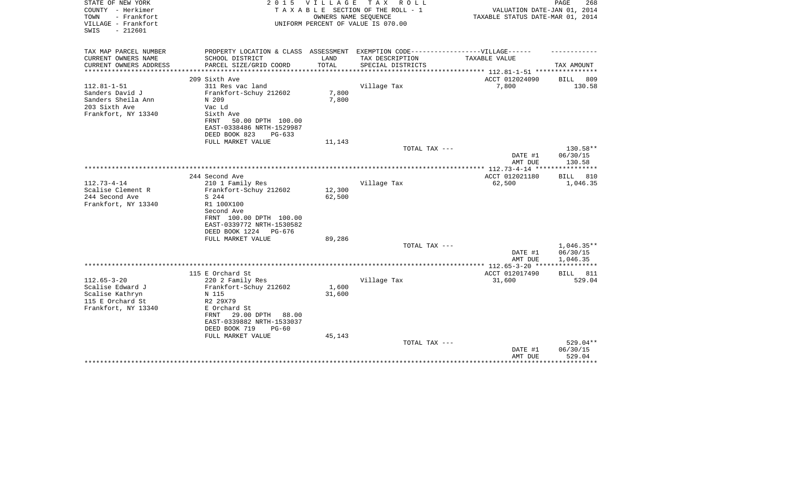| STATE OF NEW YORK<br>COUNTY - Herkimer<br>- Frankfort<br>TOWN<br>VILLAGE - Frankfort<br>$-212601$<br>SWIS | 2 0 1 5                                                                           | VILLAGE | T A X<br>R O L L<br>TAXABLE SECTION OF THE ROLL - 1<br>OWNERS NAME SEQUENCE<br>UNIFORM PERCENT OF VALUE IS 070.00 | VALUATION DATE-JAN 01, 2014<br>TAXABLE STATUS DATE-MAR 01, 2014 | PAGE<br>268        |
|-----------------------------------------------------------------------------------------------------------|-----------------------------------------------------------------------------------|---------|-------------------------------------------------------------------------------------------------------------------|-----------------------------------------------------------------|--------------------|
| TAX MAP PARCEL NUMBER                                                                                     | PROPERTY LOCATION & CLASS ASSESSMENT EXEMPTION CODE-----------------VILLAGE------ |         |                                                                                                                   |                                                                 |                    |
| CURRENT OWNERS NAME                                                                                       | SCHOOL DISTRICT                                                                   | LAND    | TAX DESCRIPTION                                                                                                   | TAXABLE VALUE                                                   |                    |
| CURRENT OWNERS ADDRESS<br>***************                                                                 | PARCEL SIZE/GRID COORD                                                            | TOTAL   | SPECIAL DISTRICTS                                                                                                 |                                                                 | TAX AMOUNT         |
|                                                                                                           | 209 Sixth Ave                                                                     |         |                                                                                                                   | ACCT 012024090                                                  | BILL<br>809        |
| $112.81 - 1 - 51$                                                                                         | 311 Res vac land                                                                  |         | Village Tax                                                                                                       | 7,800                                                           | 130.58             |
| Sanders David J                                                                                           | Frankfort-Schuy 212602                                                            | 7,800   |                                                                                                                   |                                                                 |                    |
| Sanders Sheila Ann                                                                                        | N 209                                                                             | 7,800   |                                                                                                                   |                                                                 |                    |
| 203 Sixth Ave                                                                                             | Vac Ld                                                                            |         |                                                                                                                   |                                                                 |                    |
| Frankfort, NY 13340                                                                                       | Sixth Ave                                                                         |         |                                                                                                                   |                                                                 |                    |
|                                                                                                           | 50.00 DPTH 100.00<br>FRNT                                                         |         |                                                                                                                   |                                                                 |                    |
|                                                                                                           | EAST-0338486 NRTH-1529987                                                         |         |                                                                                                                   |                                                                 |                    |
|                                                                                                           | DEED BOOK 823<br>$PG-633$                                                         |         |                                                                                                                   |                                                                 |                    |
|                                                                                                           | FULL MARKET VALUE                                                                 | 11,143  | TOTAL TAX ---                                                                                                     |                                                                 | 130.58**           |
|                                                                                                           |                                                                                   |         |                                                                                                                   | DATE #1                                                         | 06/30/15           |
|                                                                                                           |                                                                                   |         |                                                                                                                   | AMT DUE                                                         | 130.58             |
|                                                                                                           |                                                                                   |         |                                                                                                                   |                                                                 |                    |
|                                                                                                           | 244 Second Ave                                                                    |         |                                                                                                                   | ACCT 012021180                                                  | BILL<br>810        |
| $112.73 - 4 - 14$                                                                                         | 210 1 Family Res                                                                  |         | Village Tax                                                                                                       | 62,500                                                          | 1,046.35           |
| Scalise Clement R                                                                                         | Frankfort-Schuy 212602                                                            | 12,300  |                                                                                                                   |                                                                 |                    |
| 244 Second Ave                                                                                            | S 244                                                                             | 62,500  |                                                                                                                   |                                                                 |                    |
| Frankfort, NY 13340                                                                                       | R1 100X100                                                                        |         |                                                                                                                   |                                                                 |                    |
|                                                                                                           | Second Ave                                                                        |         |                                                                                                                   |                                                                 |                    |
|                                                                                                           | FRNT 100.00 DPTH 100.00<br>EAST-0339772 NRTH-1530582                              |         |                                                                                                                   |                                                                 |                    |
|                                                                                                           | DEED BOOK 1224<br>PG-676                                                          |         |                                                                                                                   |                                                                 |                    |
|                                                                                                           | FULL MARKET VALUE                                                                 | 89,286  |                                                                                                                   |                                                                 |                    |
|                                                                                                           |                                                                                   |         | TOTAL TAX ---                                                                                                     |                                                                 | $1,046.35**$       |
|                                                                                                           |                                                                                   |         |                                                                                                                   | DATE #1                                                         | 06/30/15           |
|                                                                                                           |                                                                                   |         |                                                                                                                   | AMT DUE                                                         | 1,046.35           |
|                                                                                                           |                                                                                   |         |                                                                                                                   |                                                                 | **********         |
|                                                                                                           | 115 E Orchard St                                                                  |         |                                                                                                                   | ACCT 012017490                                                  | 811<br>BILL        |
| $112.65 - 3 - 20$<br>Scalise Edward J                                                                     | 220 2 Family Res<br>Frankfort-Schuy 212602                                        | 1,600   | Village Tax                                                                                                       | 31,600                                                          | 529.04             |
| Scalise Kathryn                                                                                           | N 115                                                                             | 31,600  |                                                                                                                   |                                                                 |                    |
| 115 E Orchard St                                                                                          | R2 29X79                                                                          |         |                                                                                                                   |                                                                 |                    |
| Frankfort, NY 13340                                                                                       | E Orchard St                                                                      |         |                                                                                                                   |                                                                 |                    |
|                                                                                                           | 29.00 DPTH<br>88.00<br>FRNT                                                       |         |                                                                                                                   |                                                                 |                    |
|                                                                                                           | EAST-0339882 NRTH-1533037                                                         |         |                                                                                                                   |                                                                 |                    |
|                                                                                                           | DEED BOOK 719<br>$PG-60$                                                          |         |                                                                                                                   |                                                                 |                    |
|                                                                                                           | FULL MARKET VALUE                                                                 | 45,143  |                                                                                                                   |                                                                 |                    |
|                                                                                                           |                                                                                   |         | TOTAL TAX ---                                                                                                     |                                                                 | 529.04**           |
|                                                                                                           |                                                                                   |         |                                                                                                                   | DATE #1                                                         | 06/30/15<br>529.04 |
|                                                                                                           |                                                                                   |         |                                                                                                                   | AMT DUE                                                         | ********           |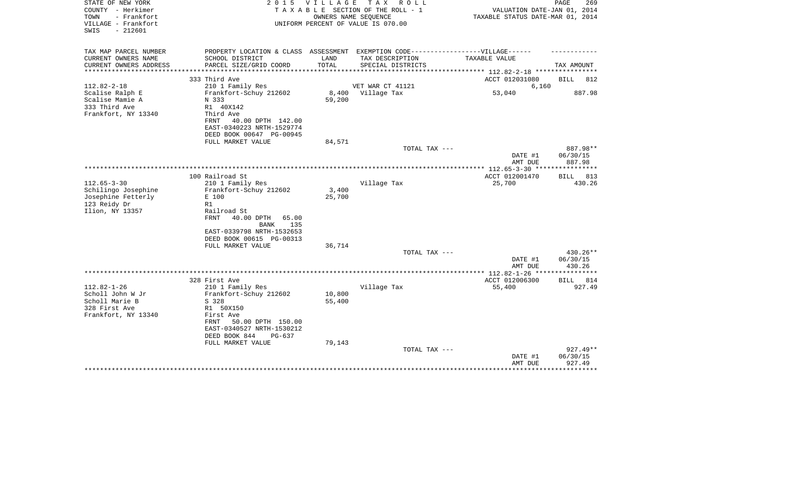| STATE OF NEW YORK<br>COUNTY - Herkimer<br>TOWN<br>- Frankfort<br>VILLAGE - Frankfort<br>$-212601$<br>SWIS | 2 0 1 5                                                                                                                                                                                                   | <b>VILLAGE</b><br>OWNERS NAME SEOUENCE | T A X<br>R O L L<br>TAXABLE SECTION OF THE ROLL - 1<br>UNIFORM PERCENT OF VALUE IS 070.00 | VALUATION DATE-JAN 01, 2014<br>TAXABLE STATUS DATE-MAR 01, 2014 | PAGE<br>269                    |
|-----------------------------------------------------------------------------------------------------------|-----------------------------------------------------------------------------------------------------------------------------------------------------------------------------------------------------------|----------------------------------------|-------------------------------------------------------------------------------------------|-----------------------------------------------------------------|--------------------------------|
| TAX MAP PARCEL NUMBER<br>CURRENT OWNERS NAME<br>CURRENT OWNERS ADDRESS<br>**********************          | PROPERTY LOCATION & CLASS ASSESSMENT EXEMPTION CODE-----------------VILLAGE------<br>SCHOOL DISTRICT<br>PARCEL SIZE/GRID COORD                                                                            | LAND<br>TOTAL                          | TAX DESCRIPTION<br>SPECIAL DISTRICTS                                                      | TAXABLE VALUE                                                   | TAX AMOUNT                     |
|                                                                                                           | 333 Third Ave                                                                                                                                                                                             |                                        |                                                                                           | ACCT 012031080                                                  | <b>BILL</b><br>812             |
| $112.82 - 2 - 18$<br>Scalise Ralph E<br>Scalise Mamie A<br>333 Third Ave<br>Frankfort, NY 13340           | 210 1 Family Res<br>Frankfort-Schuy 212602<br>N 333<br>R1 40X142<br>Third Ave<br><b>FRNT</b><br>40.00 DPTH 142.00<br>EAST-0340223 NRTH-1529774                                                            | 8,400<br>59,200                        | VET WAR CT 41121<br>Village Tax                                                           | 6,160<br>53,040                                                 | 887.98                         |
|                                                                                                           | DEED BOOK 00647 PG-00945                                                                                                                                                                                  |                                        |                                                                                           |                                                                 |                                |
|                                                                                                           | FULL MARKET VALUE                                                                                                                                                                                         | 84,571                                 | TOTAL TAX ---                                                                             |                                                                 | 887.98**                       |
|                                                                                                           |                                                                                                                                                                                                           |                                        |                                                                                           | DATE #1<br>AMT DUE                                              | 06/30/15<br>887.98             |
|                                                                                                           |                                                                                                                                                                                                           |                                        |                                                                                           |                                                                 | ***********                    |
| $112.65 - 3 - 30$<br>Schilingo Josephine<br>Josephine Fetterly<br>123 Reidy Dr<br>Ilion, NY 13357         | 100 Railroad St<br>210 1 Family Res<br>Frankfort-Schuy 212602<br>E 100<br>R1<br>Railroad St<br><b>FRNT</b><br>40.00 DPTH<br>65.00<br>135<br>BANK<br>EAST-0339798 NRTH-1532653<br>DEED BOOK 00615 PG-00313 | 3,400<br>25,700                        | Village Tax                                                                               | ACCT 012001470<br>25,700                                        | 813<br>BILL<br>430.26          |
|                                                                                                           | FULL MARKET VALUE                                                                                                                                                                                         | 36,714                                 |                                                                                           |                                                                 |                                |
|                                                                                                           |                                                                                                                                                                                                           |                                        | TOTAL TAX ---                                                                             | DATE #1<br>AMT DUE                                              | 430.26**<br>06/30/15<br>430.26 |
|                                                                                                           |                                                                                                                                                                                                           |                                        |                                                                                           |                                                                 |                                |
|                                                                                                           | 328 First Ave                                                                                                                                                                                             |                                        |                                                                                           | ACCT 012006300                                                  | 814<br>BILL                    |
| $112.82 - 1 - 26$<br>Scholl John W Jr<br>Scholl Marie B<br>328 First Ave<br>Frankfort, NY 13340           | 210 1 Family Res<br>Frankfort-Schuy 212602<br>S 328<br>R1 50X150<br>First Ave<br><b>FRNT</b><br>50.00 DPTH 150.00<br>EAST-0340527 NRTH-1530212<br>DEED BOOK 844<br>PG-637                                 | 10,800<br>55,400                       | Village Tax                                                                               | 55,400                                                          | 927.49                         |
|                                                                                                           | FULL MARKET VALUE                                                                                                                                                                                         | 79,143                                 | TOTAL TAX ---                                                                             | DATE #1                                                         | $927.49**$<br>06/30/15         |
|                                                                                                           |                                                                                                                                                                                                           |                                        |                                                                                           | AMT DUE                                                         | 927.49                         |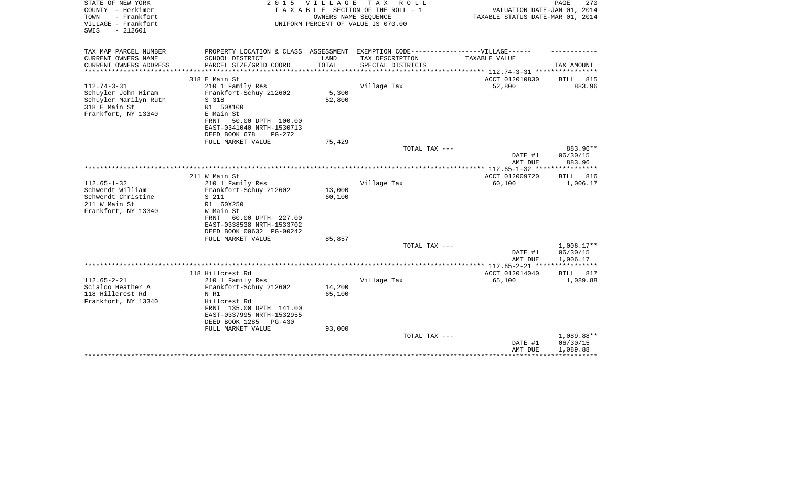| STATE OF NEW YORK<br>COUNTY - Herkimer<br>- Frankfort<br>TOWN<br>VILLAGE - Frankfort<br>$-212601$<br>SWIS | 2 0 1 5                                                                           | <b>VILLAGE</b>   | TAX ROLL<br>TAXABLE SECTION OF THE ROLL - 1<br>OWNERS NAME SEQUENCE<br>UNIFORM PERCENT OF VALUE IS 070.00 | VALUATION DATE-JAN 01, 2014<br>TAXABLE STATUS DATE-MAR 01, 2014 | PAGE<br>270             |
|-----------------------------------------------------------------------------------------------------------|-----------------------------------------------------------------------------------|------------------|-----------------------------------------------------------------------------------------------------------|-----------------------------------------------------------------|-------------------------|
| TAX MAP PARCEL NUMBER                                                                                     | PROPERTY LOCATION & CLASS ASSESSMENT EXEMPTION CODE-----------------VILLAGE------ |                  |                                                                                                           |                                                                 |                         |
| CURRENT OWNERS NAME<br>CURRENT OWNERS ADDRESS                                                             | SCHOOL DISTRICT<br>PARCEL SIZE/GRID COORD                                         | LAND<br>TOTAL    | TAX DESCRIPTION<br>SPECIAL DISTRICTS                                                                      | TAXABLE VALUE                                                   | TAX AMOUNT              |
| ***************                                                                                           |                                                                                   |                  |                                                                                                           |                                                                 |                         |
|                                                                                                           | 318 E Main St                                                                     |                  |                                                                                                           | ACCT 012010830                                                  | <b>BILL</b> 815         |
| $112.74 - 3 - 31$                                                                                         | 210 1 Family Res                                                                  |                  | Village Tax                                                                                               | 52,800                                                          | 883.96                  |
| Schuyler John Hiram                                                                                       | Frankfort-Schuy 212602                                                            | 5,300            |                                                                                                           |                                                                 |                         |
| Schuyler Marilyn Ruth<br>318 E Main St                                                                    | S 318<br>R1 50X100                                                                | 52,800           |                                                                                                           |                                                                 |                         |
| Frankfort, NY 13340                                                                                       | E Main St                                                                         |                  |                                                                                                           |                                                                 |                         |
|                                                                                                           | FRNT<br>50.00 DPTH 100.00                                                         |                  |                                                                                                           |                                                                 |                         |
|                                                                                                           | EAST-0341040 NRTH-1530713                                                         |                  |                                                                                                           |                                                                 |                         |
|                                                                                                           | DEED BOOK 678<br>$PG-272$                                                         |                  |                                                                                                           |                                                                 |                         |
|                                                                                                           | FULL MARKET VALUE                                                                 | 75,429           | TOTAL TAX ---                                                                                             |                                                                 | 883.96**                |
|                                                                                                           |                                                                                   |                  |                                                                                                           | DATE #1<br>AMT DUE                                              | 06/30/15<br>883.96      |
|                                                                                                           |                                                                                   |                  |                                                                                                           |                                                                 |                         |
|                                                                                                           | 211 W Main St                                                                     |                  |                                                                                                           | ACCT 012009720                                                  | <b>BILL</b><br>816      |
| $112.65 - 1 - 32$                                                                                         | 210 1 Family Res                                                                  |                  | Village Tax                                                                                               | 60,100                                                          | 1,006.17                |
| Schwerdt William<br>Schwerdt Christine                                                                    | Frankfort-Schuy 212602<br>S 211                                                   | 13,000<br>60,100 |                                                                                                           |                                                                 |                         |
| 211 W Main St                                                                                             | R1 60X250                                                                         |                  |                                                                                                           |                                                                 |                         |
| Frankfort, NY 13340                                                                                       | W Main St                                                                         |                  |                                                                                                           |                                                                 |                         |
|                                                                                                           | <b>FRNT</b><br>60.00 DPTH 227.00                                                  |                  |                                                                                                           |                                                                 |                         |
|                                                                                                           | EAST-0338538 NRTH-1533702                                                         |                  |                                                                                                           |                                                                 |                         |
|                                                                                                           | DEED BOOK 00632 PG-00242                                                          |                  |                                                                                                           |                                                                 |                         |
|                                                                                                           | FULL MARKET VALUE                                                                 | 85,857           | TOTAL TAX ---                                                                                             |                                                                 | $1,006.17**$            |
|                                                                                                           |                                                                                   |                  |                                                                                                           | DATE #1                                                         | 06/30/15                |
|                                                                                                           |                                                                                   |                  |                                                                                                           | AMT DUE                                                         | 1,006.17                |
|                                                                                                           |                                                                                   |                  |                                                                                                           |                                                                 | * * * * * * * * * * * * |
|                                                                                                           | 118 Hillcrest Rd                                                                  |                  |                                                                                                           | ACCT 012014040                                                  | 817<br>BILL             |
| $112.65 - 2 - 21$<br>Scialdo Heather A                                                                    | 210 1 Family Res<br>Frankfort-Schuy 212602                                        | 14,200           | Village Tax                                                                                               | 65,100                                                          | 1,089.88                |
| 118 Hillcrest Rd                                                                                          | N R1                                                                              | 65,100           |                                                                                                           |                                                                 |                         |
| Frankfort, NY 13340                                                                                       | Hillcrest Rd                                                                      |                  |                                                                                                           |                                                                 |                         |
|                                                                                                           | FRNT 135.00 DPTH 141.00                                                           |                  |                                                                                                           |                                                                 |                         |
|                                                                                                           | EAST-0337995 NRTH-1532955                                                         |                  |                                                                                                           |                                                                 |                         |
|                                                                                                           | DEED BOOK 1285<br>$PG-430$                                                        | 93,000           |                                                                                                           |                                                                 |                         |
|                                                                                                           | FULL MARKET VALUE                                                                 |                  | TOTAL TAX ---                                                                                             |                                                                 | 1,089.88**              |
|                                                                                                           |                                                                                   |                  |                                                                                                           | DATE #1                                                         | 06/30/15                |
|                                                                                                           |                                                                                   |                  |                                                                                                           | AMT DUE                                                         | 1,089.88                |
|                                                                                                           | ************************                                                          |                  |                                                                                                           |                                                                 |                         |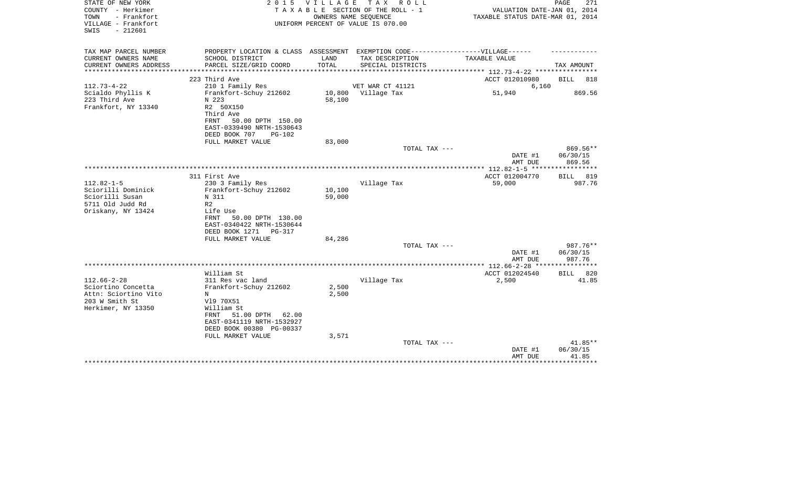| STATE OF NEW YORK<br>COUNTY - Herkimer<br>- Frankfort<br>TOWN<br>VILLAGE - Frankfort<br>$-212601$<br>SWIS |                                                                                                      |        | 2015 VILLAGE TAX ROLL<br>TAXABLE SECTION OF THE ROLL - 1<br>OWNERS NAME SEQUENCE<br>UNIFORM PERCENT OF VALUE IS 070.00 | VALUATION DATE-JAN 01, 2014<br>TAXABLE STATUS DATE-MAR 01, 2014 | PAGE<br>271                      |
|-----------------------------------------------------------------------------------------------------------|------------------------------------------------------------------------------------------------------|--------|------------------------------------------------------------------------------------------------------------------------|-----------------------------------------------------------------|----------------------------------|
| TAX MAP PARCEL NUMBER<br>CURRENT OWNERS NAME                                                              | PROPERTY LOCATION & CLASS ASSESSMENT EXEMPTION CODE-----------------VILLAGE------<br>SCHOOL DISTRICT | LAND   | TAX DESCRIPTION                                                                                                        | TAXABLE VALUE                                                   |                                  |
| CURRENT OWNERS ADDRESS                                                                                    | PARCEL SIZE/GRID COORD                                                                               | TOTAL  | SPECIAL DISTRICTS                                                                                                      |                                                                 | TAX AMOUNT                       |
|                                                                                                           |                                                                                                      |        |                                                                                                                        | ********** 112.73-4-22 **********                               |                                  |
|                                                                                                           | 223 Third Ave                                                                                        |        |                                                                                                                        | ACCT 012010980                                                  | BILL<br>818                      |
| $112.73 - 4 - 22$<br>Scialdo Phyllis K                                                                    | 210 1 Family Res<br>Frankfort-Schuy 212602                                                           |        | VET WAR CT 41121<br>10,800 Village Tax                                                                                 | 6,160<br>51,940                                                 | 869.56                           |
| 223 Third Ave<br>Frankfort, NY 13340                                                                      | N 223<br>R2 50X150<br>Third Ave<br>50.00 DPTH 150.00<br>FRNT                                         | 58,100 |                                                                                                                        |                                                                 |                                  |
|                                                                                                           | EAST-0339490 NRTH-1530643                                                                            |        |                                                                                                                        |                                                                 |                                  |
|                                                                                                           | DEED BOOK 707<br>$PG-102$                                                                            |        |                                                                                                                        |                                                                 |                                  |
|                                                                                                           | FULL MARKET VALUE                                                                                    | 83,000 |                                                                                                                        |                                                                 |                                  |
|                                                                                                           |                                                                                                      |        | TOTAL TAX ---                                                                                                          | DATE #1<br>AMT DUE                                              | $869.56**$<br>06/30/15<br>869.56 |
|                                                                                                           |                                                                                                      |        |                                                                                                                        | **************** 112.82-1-5 ******************                  |                                  |
| $112.82 - 1 - 5$                                                                                          | 311 First Ave<br>230 3 Family Res                                                                    |        | Village Tax                                                                                                            | ACCT 012004770<br>59,000                                        | BILL 819<br>987.76               |
| Sciorilli Dominick                                                                                        | Frankfort-Schuy 212602                                                                               | 10,100 |                                                                                                                        |                                                                 |                                  |
| Sciorilli Susan                                                                                           | N 311                                                                                                | 59,000 |                                                                                                                        |                                                                 |                                  |
| 5711 Old Judd Rd<br>Oriskany, NY 13424                                                                    | R <sub>2</sub><br>Life Use                                                                           |        |                                                                                                                        |                                                                 |                                  |
|                                                                                                           | 50.00 DPTH 130.00<br>FRNT<br>EAST-0340422 NRTH-1530644<br>DEED BOOK 1271<br>PG-317                   |        |                                                                                                                        |                                                                 |                                  |
|                                                                                                           | FULL MARKET VALUE                                                                                    | 84,286 |                                                                                                                        |                                                                 |                                  |
|                                                                                                           |                                                                                                      |        | TOTAL TAX ---                                                                                                          | DATE #1                                                         | 987.76**<br>06/30/15             |
|                                                                                                           |                                                                                                      |        |                                                                                                                        | AMT DUE                                                         | 987.76                           |
|                                                                                                           |                                                                                                      |        |                                                                                                                        |                                                                 |                                  |
|                                                                                                           | William St                                                                                           |        |                                                                                                                        | ACCT 012024540                                                  | BILL 820                         |
| $112.66 - 2 - 28$<br>Sciortino Concetta                                                                   | 311 Res vac land<br>Frankfort-Schuy 212602                                                           | 2,500  | Village Tax                                                                                                            | 2,500                                                           | 41.85                            |
| Attn: Sciortino Vito                                                                                      | N                                                                                                    | 2,500  |                                                                                                                        |                                                                 |                                  |
| 203 W Smith St                                                                                            | V19 70X51                                                                                            |        |                                                                                                                        |                                                                 |                                  |
| Herkimer, NY 13350                                                                                        | William St<br>51.00 DPTH<br>62.00<br>FRNT<br>EAST-0341119 NRTH-1532927                               |        |                                                                                                                        |                                                                 |                                  |
|                                                                                                           | DEED BOOK 00380 PG-00337                                                                             |        |                                                                                                                        |                                                                 |                                  |
|                                                                                                           | FULL MARKET VALUE                                                                                    | 3,571  |                                                                                                                        |                                                                 |                                  |
|                                                                                                           |                                                                                                      |        | TOTAL TAX ---                                                                                                          | DATE #1<br>AMT DUE                                              | 41.85**<br>06/30/15<br>41.85     |
|                                                                                                           |                                                                                                      |        |                                                                                                                        |                                                                 |                                  |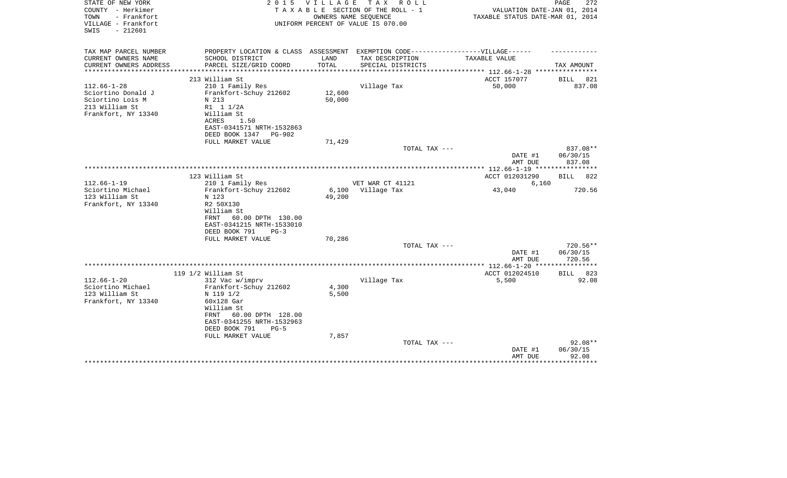| STATE OF NEW YORK<br>COUNTY - Herkimer<br>TOWN<br>- Frankfort<br>VILLAGE - Frankfort<br>$-212601$<br>SWIS | 2 0 1 5                                                                                                                                                                 | <b>VILLAGE</b>         | T A X<br>R O L L<br>TAXABLE SECTION OF THE ROLL - 1<br>OWNERS NAME SEQUENCE<br>UNIFORM PERCENT OF VALUE IS 070.00 | VALUATION DATE-JAN 01, 2014<br>TAXABLE STATUS DATE-MAR 01, 2014 | PAGE<br>272                    |
|-----------------------------------------------------------------------------------------------------------|-------------------------------------------------------------------------------------------------------------------------------------------------------------------------|------------------------|-------------------------------------------------------------------------------------------------------------------|-----------------------------------------------------------------|--------------------------------|
| TAX MAP PARCEL NUMBER                                                                                     | PROPERTY LOCATION & CLASS ASSESSMENT EXEMPTION CODE-----------------VILLAGE------                                                                                       |                        |                                                                                                                   |                                                                 |                                |
| CURRENT OWNERS NAME<br>CURRENT OWNERS ADDRESS                                                             | SCHOOL DISTRICT<br>PARCEL SIZE/GRID COORD                                                                                                                               | LAND<br>TOTAL          | TAX DESCRIPTION<br>SPECIAL DISTRICTS                                                                              | <b>TAXABLE VALUE</b>                                            | TAX AMOUNT                     |
| ********************                                                                                      | **************************                                                                                                                                              | ********************** |                                                                                                                   | ***************** 112.66-1-28 *****************                 |                                |
|                                                                                                           | 213 William St                                                                                                                                                          |                        |                                                                                                                   | ACCT 157077                                                     | 821<br>BILL                    |
| $112.66 - 1 - 28$<br>Sciortino Donald J<br>Sciortino Lois M<br>213 William St<br>Frankfort, NY 13340      | 210 1 Family Res<br>Frankfort-Schuy 212602<br>N 213<br>R1 1 1/2A<br>William St<br>ACRES<br>1.50<br>EAST-0341571 NRTH-1532863<br>DEED BOOK 1347<br><b>PG-902</b>         | 12,600<br>50,000       | Village Tax                                                                                                       | 50,000                                                          | 837.08                         |
|                                                                                                           | FULL MARKET VALUE                                                                                                                                                       | 71,429                 | TOTAL TAX ---                                                                                                     |                                                                 | 837.08**                       |
|                                                                                                           |                                                                                                                                                                         |                        |                                                                                                                   | DATE #1<br>AMT DUE                                              | 06/30/15<br>837.08             |
|                                                                                                           |                                                                                                                                                                         |                        |                                                                                                                   |                                                                 |                                |
| $112.66 - 1 - 19$                                                                                         | 123 William St<br>210 1 Family Res                                                                                                                                      |                        | VET WAR CT 41121                                                                                                  | ACCT 012031290<br>6,160                                         | 822<br>BILL                    |
| Sciortino Michael                                                                                         | Frankfort-Schuy 212602                                                                                                                                                  | 6,100                  | Village Tax                                                                                                       | 43,040                                                          | 720.56                         |
| 123 William St<br>Frankfort, NY 13340                                                                     | N 123<br>R2 50X130<br>William St<br>60.00 DPTH 130.00<br>FRNT<br>EAST-0341215 NRTH-1533010<br>DEED BOOK 791<br>$PG-3$                                                   | 49,200                 |                                                                                                                   |                                                                 |                                |
|                                                                                                           | FULL MARKET VALUE                                                                                                                                                       | 70,286                 | TOTAL TAX ---                                                                                                     |                                                                 | 720.56**                       |
|                                                                                                           |                                                                                                                                                                         |                        |                                                                                                                   | DATE #1<br>AMT DUE                                              | 06/30/15<br>720.56             |
|                                                                                                           |                                                                                                                                                                         |                        |                                                                                                                   | **************** 112.66-1-20 ****                               | ************                   |
| $112.66 - 1 - 20$                                                                                         | 119 1/2 William St                                                                                                                                                      |                        |                                                                                                                   | ACCT 012024510<br>5,500                                         | BILL<br>823<br>92.08           |
| Sciortino Michael<br>123 William St<br>Frankfort, NY 13340                                                | 312 Vac w/imprv<br>Frankfort-Schuy 212602<br>N 119 1/2<br>60x128 Gar<br>William St<br>60.00 DPTH 128.00<br>FRNT<br>EAST-0341255 NRTH-1532963<br>DEED BOOK 791<br>$PG-5$ | 4,300<br>5,500         | Village Tax                                                                                                       |                                                                 |                                |
|                                                                                                           | FULL MARKET VALUE                                                                                                                                                       | 7,857                  |                                                                                                                   |                                                                 |                                |
|                                                                                                           |                                                                                                                                                                         |                        | TOTAL TAX ---                                                                                                     | DATE #1<br>AMT DUE                                              | $92.08**$<br>06/30/15<br>92.08 |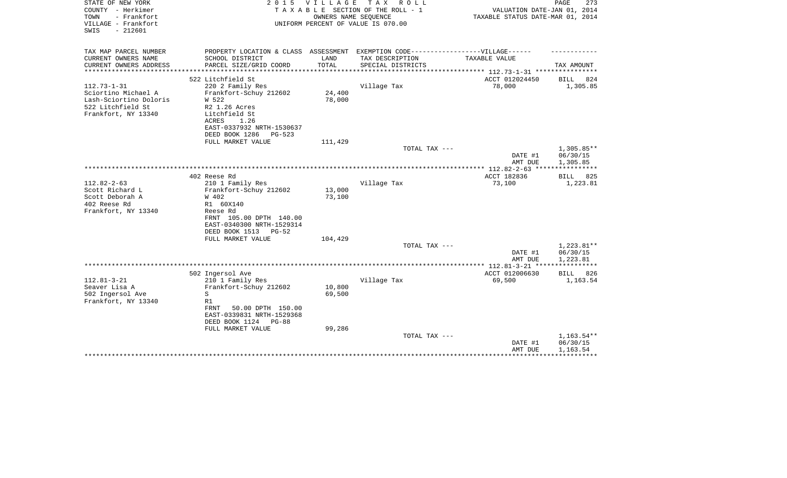| STATE OF NEW YORK<br>COUNTY - Herkimer<br>- Frankfort<br>TOWN<br>VILLAGE - Frankfort<br>$-212601$<br>SWIS      | 2 0 1 5                                                                                       | VILLAGE          | TAX ROLL<br>TAXABLE SECTION OF THE ROLL - 1<br>OWNERS NAME SEQUENCE<br>UNIFORM PERCENT OF VALUE IS 070.00 | VALUATION DATE-JAN 01, 2014<br>TAXABLE STATUS DATE-MAR 01, 2014 | PAGE<br>273             |
|----------------------------------------------------------------------------------------------------------------|-----------------------------------------------------------------------------------------------|------------------|-----------------------------------------------------------------------------------------------------------|-----------------------------------------------------------------|-------------------------|
| TAX MAP PARCEL NUMBER                                                                                          | PROPERTY LOCATION & CLASS ASSESSMENT EXEMPTION CODE-----------------VILLAGE------             |                  |                                                                                                           |                                                                 |                         |
| CURRENT OWNERS NAME<br>CURRENT OWNERS ADDRESS                                                                  | SCHOOL DISTRICT<br>PARCEL SIZE/GRID COORD                                                     | LAND<br>TOTAL    | TAX DESCRIPTION<br>SPECIAL DISTRICTS                                                                      | TAXABLE VALUE                                                   | TAX AMOUNT              |
| ********************                                                                                           | **************************                                                                    |                  |                                                                                                           |                                                                 |                         |
|                                                                                                                | 522 Litchfield St                                                                             |                  |                                                                                                           | ACCT 012024450                                                  | <b>BILL</b><br>824      |
| $112.73 - 1 - 31$<br>Sciortino Michael A<br>Lash-Sciortino Doloris<br>522 Litchfield St<br>Frankfort, NY 13340 | 220 2 Family Res<br>Frankfort-Schuy 212602<br>W 522<br>R2 1.26 Acres<br>Litchfield St         | 24,400<br>78,000 | Village Tax                                                                                               | 78,000                                                          | 1,305.85                |
|                                                                                                                | 1.26<br>ACRES<br>EAST-0337932 NRTH-1530637<br>DEED BOOK 1286<br>$PG-523$<br>FULL MARKET VALUE | 111,429          |                                                                                                           |                                                                 |                         |
|                                                                                                                |                                                                                               |                  | TOTAL TAX ---                                                                                             |                                                                 | 1,305.85**              |
|                                                                                                                |                                                                                               |                  |                                                                                                           | DATE #1<br>AMT DUE                                              | 06/30/15<br>1,305.85    |
|                                                                                                                |                                                                                               |                  |                                                                                                           |                                                                 |                         |
| $112.82 - 2 - 63$                                                                                              | 402 Reese Rd<br>210 1 Family Res                                                              |                  | Village Tax                                                                                               | ACCT 182836<br>73,100                                           | 825<br>BILL<br>1,223.81 |
| Scott Richard L                                                                                                | Frankfort-Schuy 212602                                                                        | 13,000           |                                                                                                           |                                                                 |                         |
| Scott Deborah A                                                                                                | W 402                                                                                         | 73,100           |                                                                                                           |                                                                 |                         |
| 402 Reese Rd                                                                                                   | R1 60X140                                                                                     |                  |                                                                                                           |                                                                 |                         |
| Frankfort, NY 13340                                                                                            | Reese Rd                                                                                      |                  |                                                                                                           |                                                                 |                         |
|                                                                                                                | FRNT 105.00 DPTH 140.00<br>EAST-0340300 NRTH-1529314                                          |                  |                                                                                                           |                                                                 |                         |
|                                                                                                                | DEED BOOK 1513<br>PG-52                                                                       |                  |                                                                                                           |                                                                 |                         |
|                                                                                                                | FULL MARKET VALUE                                                                             | 104,429          | TOTAL TAX ---                                                                                             |                                                                 | 1,223.81**              |
|                                                                                                                |                                                                                               |                  |                                                                                                           | DATE #1<br>AMT DUE                                              | 06/30/15<br>1,223.81    |
|                                                                                                                |                                                                                               |                  |                                                                                                           |                                                                 | *****                   |
| $112.81 - 3 - 21$                                                                                              | 502 Ingersol Ave                                                                              |                  |                                                                                                           | ACCT 012006630                                                  | 826<br>BILL             |
| Seaver Lisa A                                                                                                  | 210 1 Family Res<br>Frankfort-Schuy 212602                                                    | 10,800           | Village Tax                                                                                               | 69,500                                                          | 1,163.54                |
| 502 Ingersol Ave                                                                                               | S                                                                                             | 69,500           |                                                                                                           |                                                                 |                         |
| Frankfort, NY 13340                                                                                            | R1                                                                                            |                  |                                                                                                           |                                                                 |                         |
|                                                                                                                | <b>FRNT</b><br>50.00 DPTH 150.00<br>EAST-0339831 NRTH-1529368<br>DEED BOOK 1124<br>$PG-88$    |                  |                                                                                                           |                                                                 |                         |
|                                                                                                                | FULL MARKET VALUE                                                                             | 99,286           |                                                                                                           |                                                                 |                         |
|                                                                                                                |                                                                                               |                  | TOTAL TAX ---                                                                                             |                                                                 | 1,163.54**              |
|                                                                                                                |                                                                                               |                  |                                                                                                           | DATE #1                                                         | 06/30/15                |
|                                                                                                                |                                                                                               |                  |                                                                                                           | AMT DUE                                                         | 1,163.54                |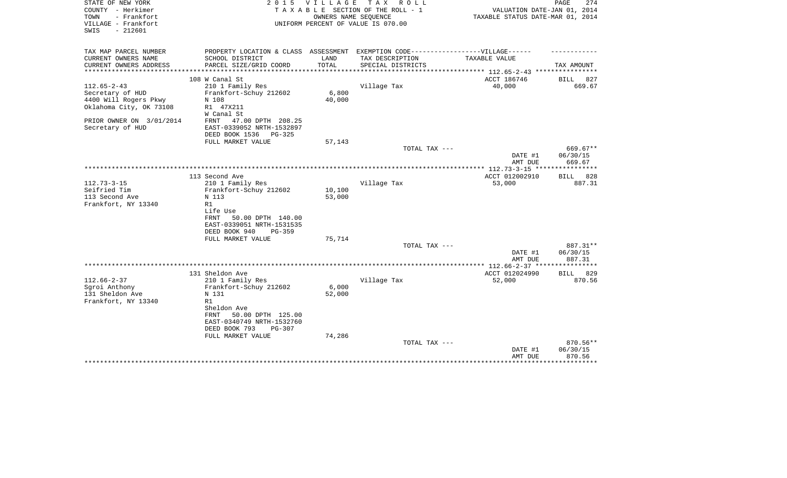| STATE OF NEW YORK<br>COUNTY - Herkimer<br>TOWN<br>- Frankfort<br>VILLAGE - Frankfort<br>$-212601$<br>SWIS | 2 0 1 5                                                                           | <b>VILLAGE</b>  | T A X<br>R O L L<br>TAXABLE SECTION OF THE ROLL - 1<br>OWNERS NAME SEQUENCE<br>UNIFORM PERCENT OF VALUE IS 070.00 | VALUATION DATE-JAN 01, 2014<br>TAXABLE STATUS DATE-MAR 01, 2014 | 274<br>PAGE           |
|-----------------------------------------------------------------------------------------------------------|-----------------------------------------------------------------------------------|-----------------|-------------------------------------------------------------------------------------------------------------------|-----------------------------------------------------------------|-----------------------|
|                                                                                                           |                                                                                   |                 |                                                                                                                   |                                                                 |                       |
| TAX MAP PARCEL NUMBER                                                                                     | PROPERTY LOCATION & CLASS ASSESSMENT EXEMPTION CODE-----------------VILLAGE------ |                 |                                                                                                                   |                                                                 |                       |
| CURRENT OWNERS NAME<br>CURRENT OWNERS ADDRESS                                                             | SCHOOL DISTRICT<br>PARCEL SIZE/GRID COORD                                         | LAND<br>TOTAL   | TAX DESCRIPTION<br>SPECIAL DISTRICTS                                                                              | TAXABLE VALUE                                                   | TAX AMOUNT            |
| **************************                                                                                |                                                                                   |                 |                                                                                                                   |                                                                 |                       |
|                                                                                                           | 108 W Canal St                                                                    |                 |                                                                                                                   | ACCT 186746                                                     | BILL<br>827           |
| $112.65 - 2 - 43$                                                                                         | 210 1 Family Res                                                                  |                 | Village Tax                                                                                                       | 40,000                                                          | 669.67                |
| Secretary of HUD<br>4400 Will Rogers Pkwy                                                                 | Frankfort-Schuy 212602<br>N 108                                                   | 6,800<br>40,000 |                                                                                                                   |                                                                 |                       |
| Oklahoma City, OK 73108                                                                                   | R1 47X211                                                                         |                 |                                                                                                                   |                                                                 |                       |
|                                                                                                           | W Canal St                                                                        |                 |                                                                                                                   |                                                                 |                       |
| PRIOR OWNER ON 3/01/2014                                                                                  | FRNT<br>47.00 DPTH 208.25                                                         |                 |                                                                                                                   |                                                                 |                       |
| Secretary of HUD                                                                                          | EAST-0339052 NRTH-1532897                                                         |                 |                                                                                                                   |                                                                 |                       |
|                                                                                                           | DEED BOOK 1536<br>$PG-325$<br>FULL MARKET VALUE                                   | 57,143          |                                                                                                                   |                                                                 |                       |
|                                                                                                           |                                                                                   |                 | TOTAL TAX ---                                                                                                     |                                                                 | 669.67**              |
|                                                                                                           |                                                                                   |                 |                                                                                                                   | DATE #1                                                         | 06/30/15              |
|                                                                                                           |                                                                                   |                 |                                                                                                                   | AMT DUE                                                         | 669.67                |
|                                                                                                           |                                                                                   |                 |                                                                                                                   |                                                                 |                       |
| $112.73 - 3 - 15$                                                                                         | 113 Second Ave<br>210 1 Family Res                                                |                 | Village Tax                                                                                                       | ACCT 012002910<br>53,000                                        | 828<br>BILL<br>887.31 |
| Seifried Tim                                                                                              | Frankfort-Schuy 212602                                                            | 10,100          |                                                                                                                   |                                                                 |                       |
| 113 Second Ave                                                                                            | N 113                                                                             | 53,000          |                                                                                                                   |                                                                 |                       |
| Frankfort, NY 13340                                                                                       | R1                                                                                |                 |                                                                                                                   |                                                                 |                       |
|                                                                                                           | Life Use<br><b>FRNT</b><br>50.00 DPTH 140.00                                      |                 |                                                                                                                   |                                                                 |                       |
|                                                                                                           | EAST-0339051 NRTH-1531535                                                         |                 |                                                                                                                   |                                                                 |                       |
|                                                                                                           | DEED BOOK 940<br>$PG-359$                                                         |                 |                                                                                                                   |                                                                 |                       |
|                                                                                                           | FULL MARKET VALUE                                                                 | 75,714          |                                                                                                                   |                                                                 |                       |
|                                                                                                           |                                                                                   |                 | TOTAL TAX ---                                                                                                     |                                                                 | 887.31**              |
|                                                                                                           |                                                                                   |                 |                                                                                                                   | DATE #1<br>AMT DUE                                              | 06/30/15<br>887.31    |
|                                                                                                           |                                                                                   |                 |                                                                                                                   | **************** 112.66-2-37 ***                                | *******               |
|                                                                                                           | 131 Sheldon Ave                                                                   |                 |                                                                                                                   | ACCT 012024990                                                  | 829<br><b>BILL</b>    |
| $112.66 - 2 - 37$                                                                                         | 210 1 Family Res                                                                  |                 | Village Tax                                                                                                       | 52,000                                                          | 870.56                |
| Sgroi Anthony                                                                                             | Frankfort-Schuy 212602                                                            | 6,000           |                                                                                                                   |                                                                 |                       |
| 131 Sheldon Ave<br>Frankfort, NY 13340                                                                    | N 131<br>R1                                                                       | 52,000          |                                                                                                                   |                                                                 |                       |
|                                                                                                           | Sheldon Ave                                                                       |                 |                                                                                                                   |                                                                 |                       |
|                                                                                                           | 50.00 DPTH 125.00<br>FRNT                                                         |                 |                                                                                                                   |                                                                 |                       |
|                                                                                                           | EAST-0340749 NRTH-1532760                                                         |                 |                                                                                                                   |                                                                 |                       |
|                                                                                                           | DEED BOOK 793<br>$PG-307$<br>FULL MARKET VALUE                                    | 74,286          |                                                                                                                   |                                                                 |                       |
|                                                                                                           |                                                                                   |                 | TOTAL TAX ---                                                                                                     |                                                                 | 870.56**              |
|                                                                                                           |                                                                                   |                 |                                                                                                                   | DATE #1                                                         | 06/30/15              |
|                                                                                                           |                                                                                   |                 |                                                                                                                   | AMT DUE                                                         | 870.56                |
|                                                                                                           |                                                                                   |                 |                                                                                                                   |                                                                 | ********              |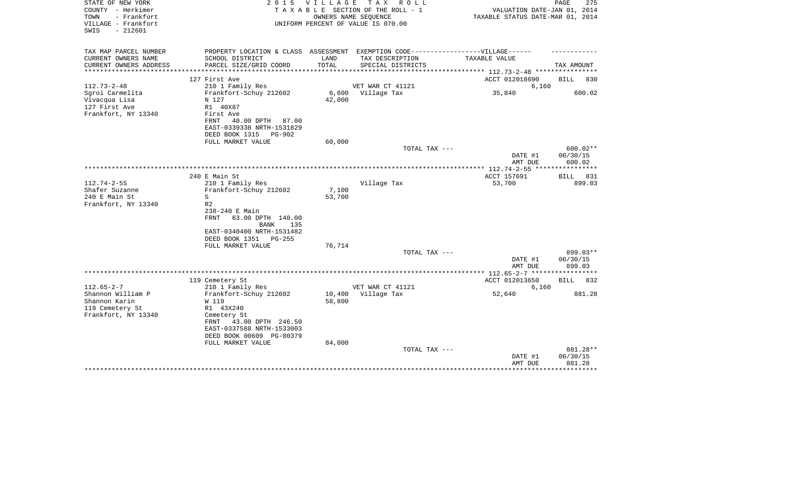| STATE OF NEW YORK<br>COUNTY - Herkimer<br>TOWN<br>- Frankfort<br>VILLAGE - Frankfort | 2 0 1 5                                                                                             | <b>VILLAGE</b> | TAX ROLL<br>TAXABLE SECTION OF THE ROLL - 1<br>OWNERS NAME SEQUENCE<br>UNIFORM PERCENT OF VALUE IS 070.00 | VALUATION DATE-JAN 01, 2014<br>TAXABLE STATUS DATE-MAR 01, 2014 | PAGE<br>275        |
|--------------------------------------------------------------------------------------|-----------------------------------------------------------------------------------------------------|----------------|-----------------------------------------------------------------------------------------------------------|-----------------------------------------------------------------|--------------------|
| $-212601$<br>SWIS                                                                    |                                                                                                     |                |                                                                                                           |                                                                 |                    |
| TAX MAP PARCEL NUMBER<br>CURRENT OWNERS NAME                                         | PROPERTY LOCATION & CLASS ASSESSMENT EXEMPTION CODE----------------VILLAGE------<br>SCHOOL DISTRICT | LAND           | TAX DESCRIPTION                                                                                           | TAXABLE VALUE                                                   |                    |
| CURRENT OWNERS ADDRESS<br>******************                                         | PARCEL SIZE/GRID COORD                                                                              | TOTAL          | SPECIAL DISTRICTS                                                                                         |                                                                 | TAX AMOUNT         |
|                                                                                      | 127 First Ave                                                                                       |                |                                                                                                           | ACCT 012018690                                                  | BILL<br>830        |
| $112.73 - 2 - 48$                                                                    | 210 1 Family Res                                                                                    |                | VET WAR CT 41121                                                                                          | 6,160                                                           |                    |
| Sgroi Carmelita                                                                      | Frankfort-Schuy 212602                                                                              | 6,600          | Village Tax                                                                                               | 35,840                                                          | 600.02             |
| Vivacqua Lisa                                                                        | N 127                                                                                               | 42,000         |                                                                                                           |                                                                 |                    |
| 127 First Ave                                                                        | R1 40X87                                                                                            |                |                                                                                                           |                                                                 |                    |
| Frankfort, NY 13340                                                                  | First Ave                                                                                           |                |                                                                                                           |                                                                 |                    |
|                                                                                      | FRNT<br>40.00 DPTH 87.00                                                                            |                |                                                                                                           |                                                                 |                    |
|                                                                                      | EAST-0339338 NRTH-1531829<br>DEED BOOK 1315<br>PG-902                                               |                |                                                                                                           |                                                                 |                    |
|                                                                                      | FULL MARKET VALUE                                                                                   | 60,000         |                                                                                                           |                                                                 |                    |
|                                                                                      |                                                                                                     |                | TOTAL TAX ---                                                                                             |                                                                 | 600.02**           |
|                                                                                      |                                                                                                     |                |                                                                                                           | DATE #1                                                         | 06/30/15           |
|                                                                                      |                                                                                                     |                |                                                                                                           | AMT DUE                                                         | 600.02             |
|                                                                                      |                                                                                                     |                |                                                                                                           | *** 112.74-2-55 ***                                             |                    |
|                                                                                      | 240 E Main St                                                                                       |                |                                                                                                           | ACCT 157691                                                     | BILL 831           |
| $112.74 - 2 - 55$                                                                    | 210 1 Family Res                                                                                    |                | Village Tax                                                                                               | 53,700                                                          | 899.03             |
| Shafer Suzanne                                                                       | Frankfort-Schuy 212602                                                                              | 7,100          |                                                                                                           |                                                                 |                    |
| 240 E Main St<br>Frankfort, NY 13340                                                 | S<br>R <sub>2</sub>                                                                                 | 53,700         |                                                                                                           |                                                                 |                    |
|                                                                                      | 238-240 E Main                                                                                      |                |                                                                                                           |                                                                 |                    |
|                                                                                      | <b>FRNT</b><br>63.00 DPTH 140.00<br>BANK<br>135                                                     |                |                                                                                                           |                                                                 |                    |
|                                                                                      | EAST-0340400 NRTH-1531482<br>DEED BOOK 1351<br>PG-255                                               |                |                                                                                                           |                                                                 |                    |
|                                                                                      | FULL MARKET VALUE                                                                                   | 76,714         |                                                                                                           |                                                                 |                    |
|                                                                                      |                                                                                                     |                | TOTAL TAX ---                                                                                             |                                                                 | 899.03**           |
|                                                                                      |                                                                                                     |                |                                                                                                           | DATE #1<br>AMT DUE                                              | 06/30/15<br>899.03 |
|                                                                                      |                                                                                                     |                |                                                                                                           |                                                                 |                    |
|                                                                                      | 119 Cemetery St                                                                                     |                |                                                                                                           | ACCT 012013650                                                  | BILL 832           |
| $112.65 - 2 - 7$                                                                     | 210 1 Family Res                                                                                    |                | VET WAR CT 41121                                                                                          | 6,160                                                           |                    |
| Shannon William P                                                                    | Frankfort-Schuy 212602                                                                              | 10,400         | Village Tax                                                                                               | 52,640                                                          | 881.28             |
| Shannon Karin                                                                        | W 119                                                                                               | 58,800         |                                                                                                           |                                                                 |                    |
| 119 Cemetery St                                                                      | R1 43X240                                                                                           |                |                                                                                                           |                                                                 |                    |
| Frankfort, NY 13340                                                                  | Cemetery St                                                                                         |                |                                                                                                           |                                                                 |                    |
|                                                                                      | 43.00 DPTH 246.50<br>FRNT<br>EAST-0337588 NRTH-1533003                                              |                |                                                                                                           |                                                                 |                    |
|                                                                                      | DEED BOOK 00609 PG-00379                                                                            |                |                                                                                                           |                                                                 |                    |
|                                                                                      | FULL MARKET VALUE                                                                                   | 84,000         |                                                                                                           |                                                                 |                    |
|                                                                                      |                                                                                                     |                | TOTAL TAX ---                                                                                             |                                                                 | 881.28**           |
|                                                                                      |                                                                                                     |                |                                                                                                           | DATE #1                                                         | 06/30/15           |
|                                                                                      |                                                                                                     |                |                                                                                                           | AMT DUE                                                         | 881.28             |
|                                                                                      |                                                                                                     |                |                                                                                                           |                                                                 |                    |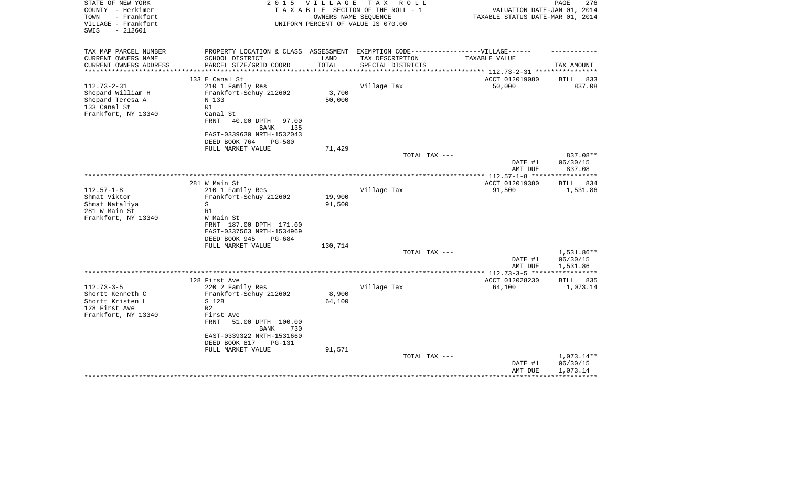| STATE OF NEW YORK<br>COUNTY - Herkimer<br>- Frankfort<br>TOWN<br>VILLAGE - Frankfort<br>SWIS<br>$-212601$ | 2 0 1 5            | VILLAGE<br>OWNERS NAME SEQUENCE | TAX ROLL<br>TAXABLE SECTION OF THE ROLL - 1<br>UNIFORM PERCENT OF VALUE IS 070.00 | VALUATION DATE-JAN 01, 2014<br>TAXABLE STATUS DATE-MAR 01, 2014                   | 276<br>PAGE          |
|-----------------------------------------------------------------------------------------------------------|--------------------|---------------------------------|-----------------------------------------------------------------------------------|-----------------------------------------------------------------------------------|----------------------|
| TAX MAP PARCEL NUMBER                                                                                     |                    |                                 |                                                                                   | PROPERTY LOCATION & CLASS ASSESSMENT EXEMPTION CODE-----------------VILLAGE------ |                      |
| CURRENT OWNERS NAME<br>SCHOOL DISTRICT                                                                    |                    | LAND                            | TAX DESCRIPTION                                                                   | TAXABLE VALUE                                                                     |                      |
| CURRENT OWNERS ADDRESS<br>PARCEL SIZE/GRID COORD<br>**********************<br>**************************  |                    | TOTAL<br>**************         | SPECIAL DISTRICTS                                                                 |                                                                                   | TAX AMOUNT           |
| 133 E Canal St                                                                                            |                    |                                 |                                                                                   | ACCT 012019080                                                                    | 833<br>BILL          |
| $112.73 - 2 - 31$<br>210 1 Family Res                                                                     |                    |                                 | Village Tax                                                                       | 50,000                                                                            | 837.08               |
| Shepard William H<br>Frankfort-Schuy 212602                                                               |                    | 3,700                           |                                                                                   |                                                                                   |                      |
| Shepard Teresa A<br>N 133                                                                                 |                    | 50,000                          |                                                                                   |                                                                                   |                      |
| 133 Canal St<br>R1                                                                                        |                    |                                 |                                                                                   |                                                                                   |                      |
| Frankfort, NY 13340<br>Canal St                                                                           |                    |                                 |                                                                                   |                                                                                   |                      |
| FRNT<br>40.00 DPTH                                                                                        | 97.00              |                                 |                                                                                   |                                                                                   |                      |
|                                                                                                           | 135<br>BANK        |                                 |                                                                                   |                                                                                   |                      |
| EAST-0339630 NRTH-1532043                                                                                 |                    |                                 |                                                                                   |                                                                                   |                      |
| DEED BOOK 764                                                                                             | <b>PG-580</b>      |                                 |                                                                                   |                                                                                   |                      |
| FULL MARKET VALUE                                                                                         |                    | 71,429                          | TOTAL TAX ---                                                                     |                                                                                   | 837.08**             |
|                                                                                                           |                    |                                 |                                                                                   | DATE #1                                                                           | 06/30/15             |
|                                                                                                           |                    |                                 |                                                                                   | AMT DUE                                                                           | 837.08               |
|                                                                                                           |                    |                                 |                                                                                   |                                                                                   |                      |
| 281 W Main St                                                                                             |                    |                                 |                                                                                   | ACCT 012019380                                                                    | 834<br>BILL          |
| $112.57 - 1 - 8$<br>210 1 Family Res                                                                      |                    |                                 | Village Tax                                                                       | 91,500                                                                            | 1,531.86             |
| Shmat Viktor<br>Frankfort-Schuy 212602                                                                    |                    | 19,900                          |                                                                                   |                                                                                   |                      |
| Shmat Nataliya<br>S                                                                                       |                    | 91,500                          |                                                                                   |                                                                                   |                      |
| 281 W Main St<br>R1                                                                                       |                    |                                 |                                                                                   |                                                                                   |                      |
| Frankfort, NY 13340<br>W Main St<br>FRNT 187.00 DPTH 171.00                                               |                    |                                 |                                                                                   |                                                                                   |                      |
| EAST-0337563 NRTH-1534969                                                                                 |                    |                                 |                                                                                   |                                                                                   |                      |
| DEED BOOK 945                                                                                             | $PG-684$           |                                 |                                                                                   |                                                                                   |                      |
| FULL MARKET VALUE                                                                                         |                    | 130,714                         |                                                                                   |                                                                                   |                      |
|                                                                                                           |                    |                                 | TOTAL TAX ---                                                                     |                                                                                   | $1,531.86**$         |
|                                                                                                           |                    |                                 |                                                                                   | DATE #1<br>AMT DUE                                                                | 06/30/15<br>1,531.86 |
|                                                                                                           |                    |                                 |                                                                                   | *** $112.73 - 3 - 5$ ***                                                          |                      |
| 128 First Ave                                                                                             |                    |                                 |                                                                                   | ACCT 012028230                                                                    | 835<br>BILL          |
| $112.73 - 3 - 5$<br>220 2 Family Res                                                                      |                    |                                 | Village Tax                                                                       | 64,100                                                                            | 1,073.14             |
| Shortt Kenneth C<br>Frankfort-Schuy 212602                                                                |                    | 8,900                           |                                                                                   |                                                                                   |                      |
| Shortt Kristen L<br>S 128                                                                                 |                    | 64,100                          |                                                                                   |                                                                                   |                      |
| 128 First Ave<br>R <sub>2</sub>                                                                           |                    |                                 |                                                                                   |                                                                                   |                      |
| Frankfort, NY 13340<br>First Ave<br><b>FRNT</b>                                                           | 51.00 DPTH 100.00  |                                 |                                                                                   |                                                                                   |                      |
|                                                                                                           | <b>BANK</b><br>730 |                                 |                                                                                   |                                                                                   |                      |
| EAST-0339322 NRTH-1531660                                                                                 |                    |                                 |                                                                                   |                                                                                   |                      |
| DEED BOOK 817                                                                                             | <b>PG-131</b>      |                                 |                                                                                   |                                                                                   |                      |
| FULL MARKET VALUE                                                                                         |                    | 91,571                          |                                                                                   |                                                                                   |                      |
|                                                                                                           |                    |                                 | TOTAL TAX ---                                                                     |                                                                                   | 1,073.14**           |
|                                                                                                           |                    |                                 |                                                                                   | DATE #1<br>AMT DUE                                                                | 06/30/15<br>1,073.14 |
|                                                                                                           |                    |                                 |                                                                                   |                                                                                   |                      |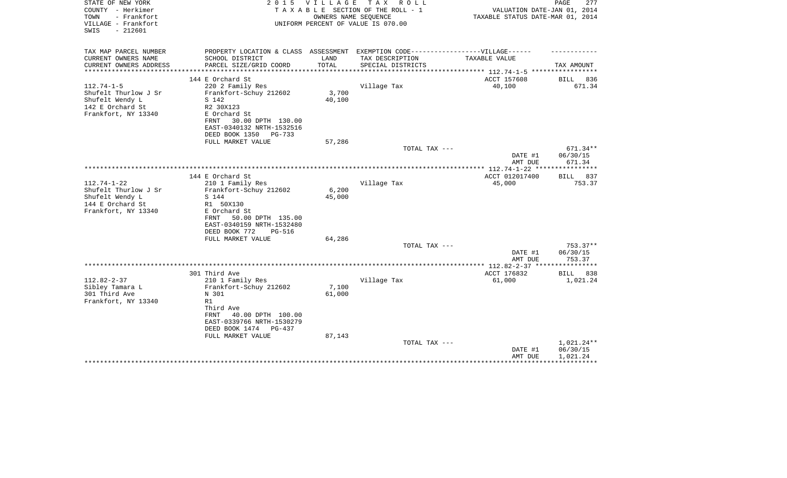| TAX MAP PARCEL NUMBER<br>PROPERTY LOCATION & CLASS ASSESSMENT EXEMPTION CODE-----------------VILLAGE------<br>CURRENT OWNERS NAME<br>SCHOOL DISTRICT<br>LAND<br>TAX DESCRIPTION<br>TAXABLE VALUE<br>CURRENT OWNERS ADDRESS<br>PARCEL SIZE/GRID COORD<br>TOTAL<br>SPECIAL DISTRICTS<br>TAX AMOUNT<br>**********************<br>144 E Orchard St<br>ACCT 157608<br>BILL<br>$112.74 - 1 - 5$<br>220 2 Family Res<br>Village Tax<br>40,100<br>Shufelt Thurlow J Sr<br>Frankfort-Schuy 212602<br>3,700<br>Shufelt Wendy L<br>40,100<br>S 142<br>142 E Orchard St<br>R2 30X123 | STATE OF NEW YORK<br>COUNTY - Herkimer<br>TOWN<br>- Frankfort<br>VILLAGE - Frankfort<br>$-212601$<br>SWIS | 2 0 1 5 | VILLAGE | TAX ROLL<br>TAXABLE SECTION OF THE ROLL - 1<br>OWNERS NAME SEQUENCE<br>UNIFORM PERCENT OF VALUE IS 070.00 | VALUATION DATE-JAN 01, 2014<br>TAXABLE STATUS DATE-MAR 01, 2014 | 277<br>PAGE  |
|--------------------------------------------------------------------------------------------------------------------------------------------------------------------------------------------------------------------------------------------------------------------------------------------------------------------------------------------------------------------------------------------------------------------------------------------------------------------------------------------------------------------------------------------------------------------------|-----------------------------------------------------------------------------------------------------------|---------|---------|-----------------------------------------------------------------------------------------------------------|-----------------------------------------------------------------|--------------|
|                                                                                                                                                                                                                                                                                                                                                                                                                                                                                                                                                                          |                                                                                                           |         |         |                                                                                                           |                                                                 |              |
|                                                                                                                                                                                                                                                                                                                                                                                                                                                                                                                                                                          |                                                                                                           |         |         |                                                                                                           |                                                                 |              |
|                                                                                                                                                                                                                                                                                                                                                                                                                                                                                                                                                                          |                                                                                                           |         |         |                                                                                                           |                                                                 |              |
|                                                                                                                                                                                                                                                                                                                                                                                                                                                                                                                                                                          |                                                                                                           |         |         |                                                                                                           |                                                                 | 836          |
|                                                                                                                                                                                                                                                                                                                                                                                                                                                                                                                                                                          |                                                                                                           |         |         |                                                                                                           |                                                                 | 671.34       |
|                                                                                                                                                                                                                                                                                                                                                                                                                                                                                                                                                                          |                                                                                                           |         |         |                                                                                                           |                                                                 |              |
|                                                                                                                                                                                                                                                                                                                                                                                                                                                                                                                                                                          |                                                                                                           |         |         |                                                                                                           |                                                                 |              |
|                                                                                                                                                                                                                                                                                                                                                                                                                                                                                                                                                                          |                                                                                                           |         |         |                                                                                                           |                                                                 |              |
| Frankfort, NY 13340<br>E Orchard St                                                                                                                                                                                                                                                                                                                                                                                                                                                                                                                                      |                                                                                                           |         |         |                                                                                                           |                                                                 |              |
| 30.00 DPTH 130.00<br>FRNT                                                                                                                                                                                                                                                                                                                                                                                                                                                                                                                                                |                                                                                                           |         |         |                                                                                                           |                                                                 |              |
| EAST-0340132 NRTH-1532516                                                                                                                                                                                                                                                                                                                                                                                                                                                                                                                                                |                                                                                                           |         |         |                                                                                                           |                                                                 |              |
| DEED BOOK 1350<br>PG-733<br>FULL MARKET VALUE<br>57,286                                                                                                                                                                                                                                                                                                                                                                                                                                                                                                                  |                                                                                                           |         |         |                                                                                                           |                                                                 |              |
| TOTAL TAX ---                                                                                                                                                                                                                                                                                                                                                                                                                                                                                                                                                            |                                                                                                           |         |         |                                                                                                           |                                                                 | 671.34**     |
| 06/30/15<br>DATE #1                                                                                                                                                                                                                                                                                                                                                                                                                                                                                                                                                      |                                                                                                           |         |         |                                                                                                           |                                                                 |              |
| 671.34<br>AMT DUE                                                                                                                                                                                                                                                                                                                                                                                                                                                                                                                                                        |                                                                                                           |         |         |                                                                                                           |                                                                 |              |
|                                                                                                                                                                                                                                                                                                                                                                                                                                                                                                                                                                          |                                                                                                           |         |         |                                                                                                           |                                                                 |              |
| 144 E Orchard St<br>ACCT 012017400<br>BILL                                                                                                                                                                                                                                                                                                                                                                                                                                                                                                                               |                                                                                                           |         |         |                                                                                                           |                                                                 | 837          |
| $112.74 - 1 - 22$<br>210 1 Family Res<br>Village Tax<br>45,000                                                                                                                                                                                                                                                                                                                                                                                                                                                                                                           |                                                                                                           |         |         |                                                                                                           |                                                                 | 753.37       |
| Shufelt Thurlow J Sr<br>6,200<br>Frankfort-Schuy 212602                                                                                                                                                                                                                                                                                                                                                                                                                                                                                                                  |                                                                                                           |         |         |                                                                                                           |                                                                 |              |
| Shufelt Wendy L<br>S 144<br>45,000                                                                                                                                                                                                                                                                                                                                                                                                                                                                                                                                       |                                                                                                           |         |         |                                                                                                           |                                                                 |              |
| 144 E Orchard St<br>R1 50X130                                                                                                                                                                                                                                                                                                                                                                                                                                                                                                                                            |                                                                                                           |         |         |                                                                                                           |                                                                 |              |
| Frankfort, NY 13340<br>E Orchard St                                                                                                                                                                                                                                                                                                                                                                                                                                                                                                                                      |                                                                                                           |         |         |                                                                                                           |                                                                 |              |
| 50.00 DPTH 135.00<br>FRNT<br>EAST-0340159 NRTH-1532480                                                                                                                                                                                                                                                                                                                                                                                                                                                                                                                   |                                                                                                           |         |         |                                                                                                           |                                                                 |              |
| DEED BOOK 772<br><b>PG-516</b>                                                                                                                                                                                                                                                                                                                                                                                                                                                                                                                                           |                                                                                                           |         |         |                                                                                                           |                                                                 |              |
| 64,286<br>FULL MARKET VALUE                                                                                                                                                                                                                                                                                                                                                                                                                                                                                                                                              |                                                                                                           |         |         |                                                                                                           |                                                                 |              |
| TOTAL TAX ---                                                                                                                                                                                                                                                                                                                                                                                                                                                                                                                                                            |                                                                                                           |         |         |                                                                                                           |                                                                 | $753.37**$   |
| DATE #1<br>06/30/15                                                                                                                                                                                                                                                                                                                                                                                                                                                                                                                                                      |                                                                                                           |         |         |                                                                                                           |                                                                 |              |
| 753.37<br>AMT DUE                                                                                                                                                                                                                                                                                                                                                                                                                                                                                                                                                        |                                                                                                           |         |         |                                                                                                           |                                                                 |              |
|                                                                                                                                                                                                                                                                                                                                                                                                                                                                                                                                                                          |                                                                                                           |         |         |                                                                                                           |                                                                 |              |
| ACCT 176832<br>301 Third Ave<br><b>BILL</b>                                                                                                                                                                                                                                                                                                                                                                                                                                                                                                                              |                                                                                                           |         |         |                                                                                                           |                                                                 | 838          |
| $112.82 - 2 - 37$<br>61,000<br>210 1 Family Res<br>Village Tax                                                                                                                                                                                                                                                                                                                                                                                                                                                                                                           |                                                                                                           |         |         |                                                                                                           |                                                                 | 1,021.24     |
| Sibley Tamara L<br>Frankfort-Schuy 212602<br>7,100<br>61,000                                                                                                                                                                                                                                                                                                                                                                                                                                                                                                             |                                                                                                           |         |         |                                                                                                           |                                                                 |              |
| 301 Third Ave<br>N 301<br>Frankfort, NY 13340<br>R1                                                                                                                                                                                                                                                                                                                                                                                                                                                                                                                      |                                                                                                           |         |         |                                                                                                           |                                                                 |              |
| Third Ave                                                                                                                                                                                                                                                                                                                                                                                                                                                                                                                                                                |                                                                                                           |         |         |                                                                                                           |                                                                 |              |
| <b>FRNT</b><br>40.00 DPTH 100.00                                                                                                                                                                                                                                                                                                                                                                                                                                                                                                                                         |                                                                                                           |         |         |                                                                                                           |                                                                 |              |
| EAST-0339766 NRTH-1530279                                                                                                                                                                                                                                                                                                                                                                                                                                                                                                                                                |                                                                                                           |         |         |                                                                                                           |                                                                 |              |
| DEED BOOK 1474<br>PG-437                                                                                                                                                                                                                                                                                                                                                                                                                                                                                                                                                 |                                                                                                           |         |         |                                                                                                           |                                                                 |              |
| FULL MARKET VALUE<br>87,143                                                                                                                                                                                                                                                                                                                                                                                                                                                                                                                                              |                                                                                                           |         |         |                                                                                                           |                                                                 |              |
| TOTAL TAX ---                                                                                                                                                                                                                                                                                                                                                                                                                                                                                                                                                            |                                                                                                           |         |         |                                                                                                           |                                                                 | $1,021.24**$ |
| 06/30/15<br>DATE #1                                                                                                                                                                                                                                                                                                                                                                                                                                                                                                                                                      |                                                                                                           |         |         |                                                                                                           |                                                                 |              |
| 1,021.24<br>AMT DUE                                                                                                                                                                                                                                                                                                                                                                                                                                                                                                                                                      |                                                                                                           |         |         |                                                                                                           |                                                                 |              |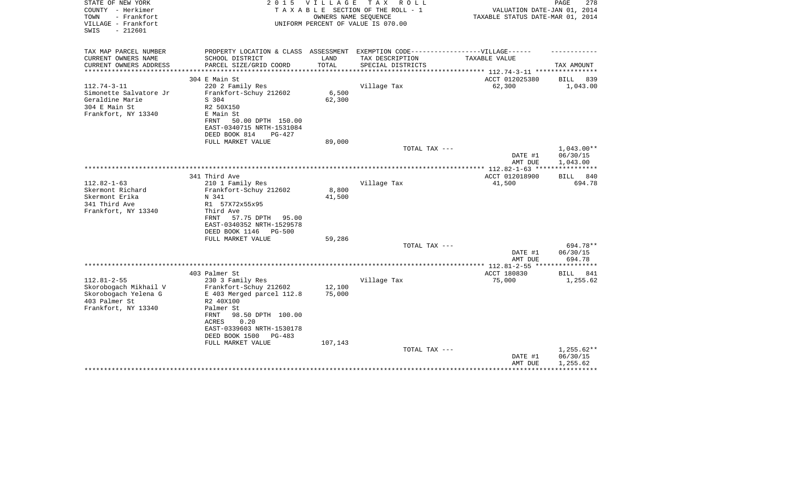| STATE OF NEW YORK<br>COUNTY - Herkimer<br>TOWN<br>- Frankfort<br>VILLAGE - Frankfort<br>SWIS<br>$-212601$ | 2 0 1 5                                                                           | VILLAGE               | TAX ROLL<br>TAXABLE SECTION OF THE ROLL - 1<br>OWNERS NAME SEQUENCE<br>UNIFORM PERCENT OF VALUE IS 070.00 | VALUATION DATE-JAN 01, 2014<br>TAXABLE STATUS DATE-MAR 01, 2014 | PAGE<br>278                          |
|-----------------------------------------------------------------------------------------------------------|-----------------------------------------------------------------------------------|-----------------------|-----------------------------------------------------------------------------------------------------------|-----------------------------------------------------------------|--------------------------------------|
| TAX MAP PARCEL NUMBER                                                                                     | PROPERTY LOCATION & CLASS ASSESSMENT EXEMPTION CODE-----------------VILLAGE------ |                       |                                                                                                           |                                                                 |                                      |
| CURRENT OWNERS NAME                                                                                       | SCHOOL DISTRICT                                                                   | LAND                  | TAX DESCRIPTION                                                                                           | TAXABLE VALUE                                                   |                                      |
| CURRENT OWNERS ADDRESS<br>*******************                                                             | PARCEL SIZE/GRID COORD                                                            | TOTAL<br>************ | SPECIAL DISTRICTS                                                                                         | ***************************** 112.74-3-11 ***********           | TAX AMOUNT                           |
|                                                                                                           | 304 E Main St                                                                     |                       |                                                                                                           | ACCT 012025380                                                  | 839<br>BILL                          |
| $112.74 - 3 - 11$                                                                                         | 220 2 Family Res                                                                  |                       | Village Tax                                                                                               | 62,300                                                          | 1,043.00                             |
| Simonette Salvatore Jr                                                                                    | Frankfort-Schuy 212602                                                            | 6,500                 |                                                                                                           |                                                                 |                                      |
| Geraldine Marie                                                                                           | S 304                                                                             | 62,300                |                                                                                                           |                                                                 |                                      |
| 304 E Main St                                                                                             | R2 50X150                                                                         |                       |                                                                                                           |                                                                 |                                      |
| Frankfort, NY 13340                                                                                       | E Main St<br>FRNT<br>50.00 DPTH 150.00                                            |                       |                                                                                                           |                                                                 |                                      |
|                                                                                                           | EAST-0340715 NRTH-1531084                                                         |                       |                                                                                                           |                                                                 |                                      |
|                                                                                                           | DEED BOOK 814<br>PG-427                                                           |                       |                                                                                                           |                                                                 |                                      |
|                                                                                                           | FULL MARKET VALUE                                                                 | 89,000                |                                                                                                           |                                                                 |                                      |
|                                                                                                           |                                                                                   |                       | TOTAL TAX ---                                                                                             | DATE #1<br>AMT DUE                                              | $1,043.00**$<br>06/30/15<br>1,043.00 |
|                                                                                                           |                                                                                   |                       |                                                                                                           | **** $112.82 - 1 - 63$ ***                                      |                                      |
|                                                                                                           | 341 Third Ave                                                                     |                       |                                                                                                           | ACCT 012018900                                                  | 840<br>BILL                          |
| $112.82 - 1 - 63$<br>Skermont Richard                                                                     | 210 1 Family Res                                                                  | 8,800                 | Village Tax                                                                                               | 41,500                                                          | 694.78                               |
| Skermont Erika                                                                                            | Frankfort-Schuy 212602<br>N 341                                                   | 41,500                |                                                                                                           |                                                                 |                                      |
| 341 Third Ave                                                                                             | R1 57X72x55x95                                                                    |                       |                                                                                                           |                                                                 |                                      |
| Frankfort, NY 13340                                                                                       | Third Ave                                                                         |                       |                                                                                                           |                                                                 |                                      |
|                                                                                                           | 57.75 DPTH<br>FRNT<br>95.00                                                       |                       |                                                                                                           |                                                                 |                                      |
|                                                                                                           | EAST-0340352 NRTH-1529578<br>DEED BOOK 1146<br><b>PG-500</b>                      |                       |                                                                                                           |                                                                 |                                      |
|                                                                                                           | FULL MARKET VALUE                                                                 | 59,286                |                                                                                                           |                                                                 |                                      |
|                                                                                                           |                                                                                   |                       | TOTAL TAX ---                                                                                             |                                                                 | 694.78**                             |
|                                                                                                           |                                                                                   |                       |                                                                                                           | DATE #1                                                         | 06/30/15                             |
|                                                                                                           |                                                                                   |                       |                                                                                                           | AMT DUE                                                         | 694.78                               |
|                                                                                                           | 403 Palmer St                                                                     |                       |                                                                                                           | *** 112.81-2-55 **<br>ACCT 180830                               | <b>BILL</b><br>841                   |
| $112.81 - 2 - 55$                                                                                         | 230 3 Family Res                                                                  |                       | Village Tax                                                                                               | 75,000                                                          | 1,255.62                             |
| Skorobogach Mikhail V                                                                                     | Frankfort-Schuy 212602                                                            | 12,100                |                                                                                                           |                                                                 |                                      |
| Skorobogach Yelena G                                                                                      | E 403 Merged parcel 112.8                                                         | 75,000                |                                                                                                           |                                                                 |                                      |
| 403 Palmer St                                                                                             | R2 40X100                                                                         |                       |                                                                                                           |                                                                 |                                      |
| Frankfort, NY 13340                                                                                       | Palmer St<br>98.50 DPTH 100.00<br>FRNT                                            |                       |                                                                                                           |                                                                 |                                      |
|                                                                                                           | 0.20<br>ACRES                                                                     |                       |                                                                                                           |                                                                 |                                      |
|                                                                                                           | EAST-0339603 NRTH-1530178                                                         |                       |                                                                                                           |                                                                 |                                      |
|                                                                                                           | DEED BOOK 1500<br>PG-483                                                          |                       |                                                                                                           |                                                                 |                                      |
|                                                                                                           | FULL MARKET VALUE                                                                 | 107,143               | TOTAL TAX ---                                                                                             |                                                                 | $1,255.62**$                         |
|                                                                                                           |                                                                                   |                       |                                                                                                           | DATE #1                                                         | 06/30/15                             |
|                                                                                                           |                                                                                   |                       |                                                                                                           | AMT DUE                                                         | 1,255.62                             |
|                                                                                                           |                                                                                   |                       |                                                                                                           |                                                                 |                                      |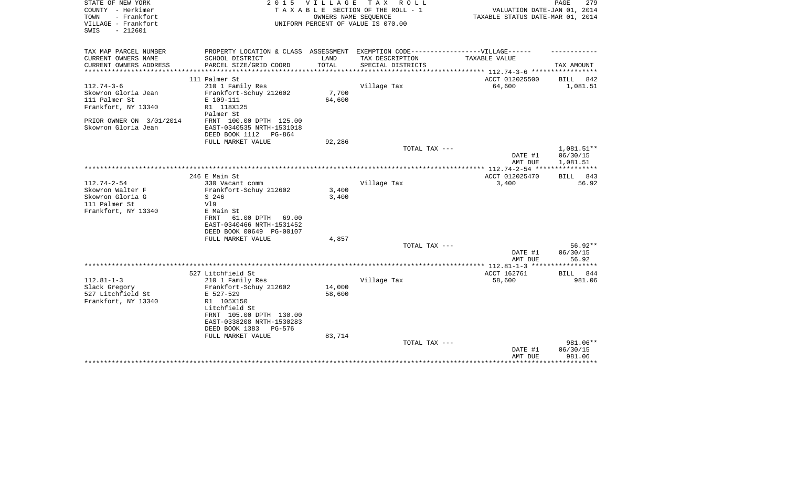| STATE OF NEW YORK        | 2 0 1 5                                                                           | <b>VILLAGE</b> | TAX ROLL                           |                                                          | PAGE<br>279                         |
|--------------------------|-----------------------------------------------------------------------------------|----------------|------------------------------------|----------------------------------------------------------|-------------------------------------|
| COUNTY - Herkimer        |                                                                                   |                | TAXABLE SECTION OF THE ROLL - 1    | VALUATION DATE-JAN 01, 2014                              |                                     |
| TOWN<br>- Frankfort      |                                                                                   |                | OWNERS NAME SEQUENCE               | TAXABLE STATUS DATE-MAR 01, 2014                         |                                     |
| VILLAGE - Frankfort      |                                                                                   |                | UNIFORM PERCENT OF VALUE IS 070.00 |                                                          |                                     |
| $-212601$<br>SWIS        |                                                                                   |                |                                    |                                                          |                                     |
|                          |                                                                                   |                |                                    |                                                          |                                     |
| TAX MAP PARCEL NUMBER    | PROPERTY LOCATION & CLASS ASSESSMENT EXEMPTION CODE-----------------VILLAGE------ |                |                                    |                                                          |                                     |
| CURRENT OWNERS NAME      | SCHOOL DISTRICT                                                                   | LAND           | TAX DESCRIPTION                    | TAXABLE VALUE                                            |                                     |
| CURRENT OWNERS ADDRESS   | PARCEL SIZE/GRID COORD                                                            | TOTAL          | SPECIAL DISTRICTS                  |                                                          | TAX AMOUNT                          |
| *********************    |                                                                                   |                |                                    | ************************** 112.74-3-6 ****************** |                                     |
|                          | 111 Palmer St                                                                     |                |                                    | ACCT 012025500                                           | BILL<br>842                         |
| $112.74 - 3 - 6$         | 210 1 Family Res                                                                  |                | Village Tax                        | 64,600                                                   | 1,081.51                            |
| Skowron Gloria Jean      | Frankfort-Schuy 212602                                                            | 7,700          |                                    |                                                          |                                     |
| 111 Palmer St            | E 109-111                                                                         | 64,600         |                                    |                                                          |                                     |
| Frankfort, NY 13340      | R1 118X125                                                                        |                |                                    |                                                          |                                     |
|                          | Palmer St                                                                         |                |                                    |                                                          |                                     |
| PRIOR OWNER ON 3/01/2014 | FRNT 100.00 DPTH 125.00                                                           |                |                                    |                                                          |                                     |
| Skowron Gloria Jean      | EAST-0340535 NRTH-1531018                                                         |                |                                    |                                                          |                                     |
|                          | DEED BOOK 1112<br>PG-864                                                          |                |                                    |                                                          |                                     |
|                          | FULL MARKET VALUE                                                                 | 92,286         |                                    |                                                          |                                     |
|                          |                                                                                   |                | TOTAL TAX ---                      |                                                          | 1,081.51**                          |
|                          |                                                                                   |                |                                    | DATE #1                                                  | 06/30/15                            |
|                          |                                                                                   |                |                                    | AMT DUE                                                  | 1,081.51<br>* * * * * * * * * * * * |
|                          |                                                                                   |                |                                    | *************** 112.74-2-54 ****                         |                                     |
| $112.74 - 2 - 54$        | 246 E Main St<br>330 Vacant comm                                                  |                | Village Tax                        | ACCT 012025470<br>3,400                                  | BILL 843<br>56.92                   |
| Skowron Walter F         | Frankfort-Schuy 212602                                                            | 3,400          |                                    |                                                          |                                     |
| Skowron Gloria G         | S 246                                                                             | 3,400          |                                    |                                                          |                                     |
| 111 Palmer St            | V19                                                                               |                |                                    |                                                          |                                     |
| Frankfort, NY 13340      | E Main St                                                                         |                |                                    |                                                          |                                     |
|                          | 61.00 DPTH<br>FRNT<br>69.00                                                       |                |                                    |                                                          |                                     |
|                          | EAST-0340466 NRTH-1531452                                                         |                |                                    |                                                          |                                     |
|                          | DEED BOOK 00649 PG-00107                                                          |                |                                    |                                                          |                                     |
|                          | FULL MARKET VALUE                                                                 | 4,857          |                                    |                                                          |                                     |
|                          |                                                                                   |                | TOTAL TAX ---                      |                                                          | $56.92**$                           |
|                          |                                                                                   |                |                                    | DATE #1                                                  | 06/30/15                            |
|                          |                                                                                   |                |                                    | AMT DUE                                                  | 56.92                               |
|                          |                                                                                   |                |                                    |                                                          |                                     |
|                          | 527 Litchfield St                                                                 |                |                                    | ACCT 162761                                              | BILL<br>844                         |
| $112.81 - 1 - 3$         | 210 1 Family Res                                                                  |                | Village Tax                        | 58,600                                                   | 981.06                              |
| Slack Gregory            | Frankfort-Schuy 212602                                                            | 14,000         |                                    |                                                          |                                     |
| 527 Litchfield St        | E 527-529                                                                         | 58,600         |                                    |                                                          |                                     |
| Frankfort, NY 13340      | R1 105X150                                                                        |                |                                    |                                                          |                                     |
|                          | Litchfield St                                                                     |                |                                    |                                                          |                                     |
|                          | FRNT 105.00 DPTH 130.00                                                           |                |                                    |                                                          |                                     |
|                          | EAST-0338208 NRTH-1530283                                                         |                |                                    |                                                          |                                     |
|                          | DEED BOOK 1383<br>PG-576                                                          |                |                                    |                                                          |                                     |
|                          | FULL MARKET VALUE                                                                 | 83,714         |                                    |                                                          |                                     |
|                          |                                                                                   |                | TOTAL TAX ---                      |                                                          | 981.06**                            |
|                          |                                                                                   |                |                                    | DATE #1                                                  | 06/30/15                            |
|                          |                                                                                   |                |                                    | AMT DUE                                                  | 981.06<br>*********                 |
|                          |                                                                                   |                |                                    |                                                          |                                     |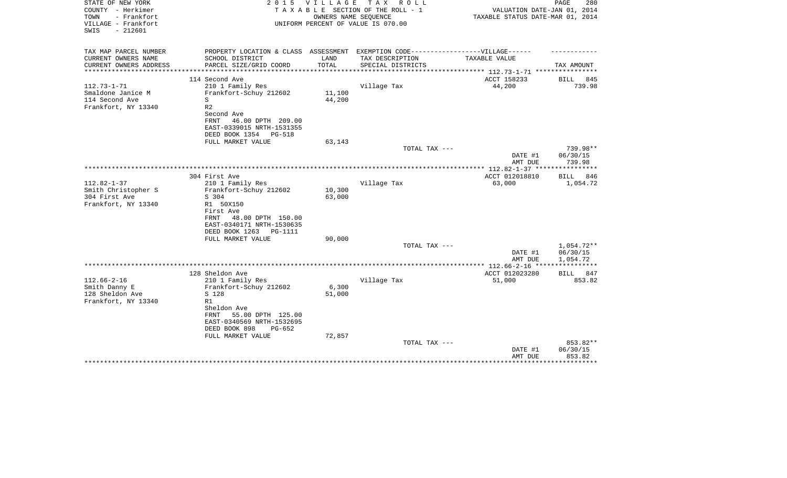| TAX MAP PARCEL NUMBER<br>PROPERTY LOCATION & CLASS ASSESSMENT EXEMPTION CODE-----------------VILLAGE------                                                   |     |
|--------------------------------------------------------------------------------------------------------------------------------------------------------------|-----|
| CURRENT OWNERS NAME<br>SCHOOL DISTRICT<br>LAND<br>TAX DESCRIPTION<br>TAXABLE VALUE                                                                           |     |
| TOTAL<br>CURRENT OWNERS ADDRESS<br>PARCEL SIZE/GRID COORD<br>SPECIAL DISTRICTS<br>TAX AMOUNT<br>**************<br>**************************<br>************ |     |
| **************** 112.73-1-71 *****************<br>114 Second Ave<br>ACCT 158233<br><b>BILL</b>                                                               | 845 |
| $112.73 - 1 - 71$<br>44,200<br>210 1 Family Res<br>Village Tax<br>739.98                                                                                     |     |
| Smaldone Janice M<br>Frankfort-Schuy 212602<br>11,100                                                                                                        |     |
| 114 Second Ave<br>44,200<br>S                                                                                                                                |     |
| Frankfort, NY 13340<br>R <sub>2</sub>                                                                                                                        |     |
| Second Ave                                                                                                                                                   |     |
| FRNT<br>46.00 DPTH 209.00                                                                                                                                    |     |
| EAST-0339015 NRTH-1531355<br>DEED BOOK 1354<br>PG-518                                                                                                        |     |
| FULL MARKET VALUE<br>63,143                                                                                                                                  |     |
| TOTAL TAX ---<br>739.98**                                                                                                                                    |     |
| 06/30/15<br>DATE #1                                                                                                                                          |     |
| 739.98<br>AMT DUE                                                                                                                                            |     |
| **************** 112.82-1-37 ****<br>************<br>ACCT 012018810<br>304 First Ave<br>BILL                                                                 | 846 |
| $112.82 - 1 - 37$<br>Village Tax<br>210 1 Family Res<br>63,000<br>1,054.72                                                                                   |     |
| Smith Christopher S<br>Frankfort-Schuy 212602<br>10,300                                                                                                      |     |
| 304 First Ave<br>63,000<br>S 304                                                                                                                             |     |
| Frankfort, NY 13340<br>R1 50X150                                                                                                                             |     |
| First Ave                                                                                                                                                    |     |
| 48.00 DPTH 150.00<br>FRNT<br>EAST-0340171 NRTH-1530635                                                                                                       |     |
| DEED BOOK 1263<br>PG-1111                                                                                                                                    |     |
| FULL MARKET VALUE<br>90,000                                                                                                                                  |     |
| 1,054.72**<br>TOTAL TAX ---                                                                                                                                  |     |
| 06/30/15<br>DATE #1                                                                                                                                          |     |
| 1,054.72<br>AMT DUE<br>***********                                                                                                                           |     |
| 128 Sheldon Ave<br>ACCT 012023280<br>BILL                                                                                                                    | 847 |
| $112.66 - 2 - 16$<br>210 1 Family Res<br>Village Tax<br>51,000<br>853.82                                                                                     |     |
| Smith Danny E<br>Frankfort-Schuy 212602<br>6,300                                                                                                             |     |
| 128 Sheldon Ave<br>S 128<br>51,000                                                                                                                           |     |
| Frankfort, NY 13340<br>R1                                                                                                                                    |     |
| Sheldon Ave<br>55.00 DPTH 125.00<br>FRNT                                                                                                                     |     |
| EAST-0340569 NRTH-1532695                                                                                                                                    |     |
| DEED BOOK 898<br>$PG-652$                                                                                                                                    |     |
| 72,857<br>FULL MARKET VALUE                                                                                                                                  |     |
| 853.82**<br>TOTAL TAX ---                                                                                                                                    |     |
| 06/30/15<br>DATE #1                                                                                                                                          |     |
| 853.82<br>AMT DUE                                                                                                                                            |     |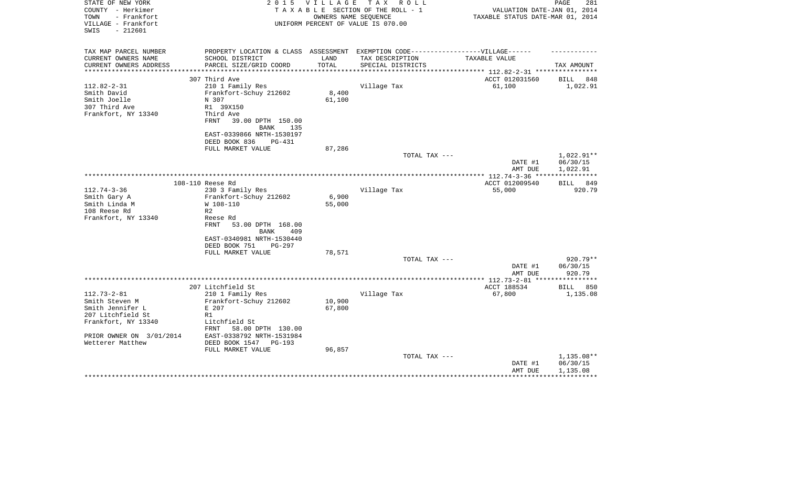| STATE OF NEW YORK<br>COUNTY - Herkimer<br>- Frankfort<br>TOWN<br>VILLAGE - Frankfort<br>$-212601$<br>SWIS | 2 0 1 5                                                                           | <b>VILLAGE</b> | T A X<br>R O L L<br>TAXABLE SECTION OF THE ROLL - 1<br>OWNERS NAME SEOUENCE<br>UNIFORM PERCENT OF VALUE IS 070.00 | VALUATION DATE-JAN 01, 2014<br>TAXABLE STATUS DATE-MAR 01, 2014 | PAGE<br>281            |
|-----------------------------------------------------------------------------------------------------------|-----------------------------------------------------------------------------------|----------------|-------------------------------------------------------------------------------------------------------------------|-----------------------------------------------------------------|------------------------|
| TAX MAP PARCEL NUMBER                                                                                     | PROPERTY LOCATION & CLASS ASSESSMENT EXEMPTION CODE-----------------VILLAGE------ |                |                                                                                                                   |                                                                 |                        |
| CURRENT OWNERS NAME                                                                                       | SCHOOL DISTRICT                                                                   | LAND           | TAX DESCRIPTION                                                                                                   | TAXABLE VALUE                                                   |                        |
| CURRENT OWNERS ADDRESS<br>**********************                                                          | PARCEL SIZE/GRID COORD                                                            | TOTAL          | SPECIAL DISTRICTS                                                                                                 |                                                                 | TAX AMOUNT             |
|                                                                                                           | 307 Third Ave                                                                     |                |                                                                                                                   | ACCT 012031560                                                  | BILL<br>848            |
| $112.82 - 2 - 31$                                                                                         | 210 1 Family Res                                                                  |                | Village Tax                                                                                                       | 61,100                                                          | 1,022.91               |
| Smith David                                                                                               | Frankfort-Schuy 212602                                                            | 8,400          |                                                                                                                   |                                                                 |                        |
| Smith Joelle                                                                                              | N 307                                                                             | 61,100         |                                                                                                                   |                                                                 |                        |
| 307 Third Ave                                                                                             | R1 39X150                                                                         |                |                                                                                                                   |                                                                 |                        |
| Frankfort, NY 13340                                                                                       | Third Ave                                                                         |                |                                                                                                                   |                                                                 |                        |
|                                                                                                           | FRNT<br>39.00 DPTH 150.00                                                         |                |                                                                                                                   |                                                                 |                        |
|                                                                                                           | <b>BANK</b><br>135                                                                |                |                                                                                                                   |                                                                 |                        |
|                                                                                                           | EAST-0339866 NRTH-1530197                                                         |                |                                                                                                                   |                                                                 |                        |
|                                                                                                           | DEED BOOK 836<br>PG-431                                                           |                |                                                                                                                   |                                                                 |                        |
|                                                                                                           | FULL MARKET VALUE                                                                 | 87,286         |                                                                                                                   |                                                                 |                        |
|                                                                                                           |                                                                                   |                | TOTAL TAX ---                                                                                                     | DATE #1                                                         | 1,022.91**<br>06/30/15 |
|                                                                                                           |                                                                                   |                |                                                                                                                   | AMT DUE                                                         | 1,022.91               |
|                                                                                                           |                                                                                   |                |                                                                                                                   |                                                                 | ************           |
|                                                                                                           | 108-110 Reese Rd                                                                  |                |                                                                                                                   | ACCT 012009540                                                  | 849<br><b>BILL</b>     |
| $112.74 - 3 - 36$                                                                                         | 230 3 Family Res                                                                  |                | Village Tax                                                                                                       | 55,000                                                          | 920.79                 |
| Smith Gary A                                                                                              | Frankfort-Schuy 212602                                                            | 6,900          |                                                                                                                   |                                                                 |                        |
| Smith Linda M                                                                                             | W 108-110                                                                         | 55,000         |                                                                                                                   |                                                                 |                        |
| 108 Reese Rd                                                                                              | R <sub>2</sub>                                                                    |                |                                                                                                                   |                                                                 |                        |
| Frankfort, NY 13340                                                                                       | Reese Rd                                                                          |                |                                                                                                                   |                                                                 |                        |
|                                                                                                           | FRNT<br>53.00 DPTH 168.00                                                         |                |                                                                                                                   |                                                                 |                        |
|                                                                                                           | <b>BANK</b><br>409                                                                |                |                                                                                                                   |                                                                 |                        |
|                                                                                                           | EAST-0340981 NRTH-1530440<br>PG-297                                               |                |                                                                                                                   |                                                                 |                        |
|                                                                                                           | DEED BOOK 751<br>FULL MARKET VALUE                                                | 78,571         |                                                                                                                   |                                                                 |                        |
|                                                                                                           |                                                                                   |                | TOTAL TAX ---                                                                                                     |                                                                 | 920.79**               |
|                                                                                                           |                                                                                   |                |                                                                                                                   | DATE #1                                                         | 06/30/15               |
|                                                                                                           |                                                                                   |                |                                                                                                                   | AMT DUE                                                         | 920.79                 |
|                                                                                                           |                                                                                   |                |                                                                                                                   |                                                                 |                        |
|                                                                                                           | 207 Litchfield St                                                                 |                |                                                                                                                   | ACCT 188534                                                     | <b>BILL</b><br>850     |
| $112.73 - 2 - 81$                                                                                         | 210 1 Family Res                                                                  |                | Village Tax                                                                                                       | 67,800                                                          | 1,135.08               |
| Smith Steven M                                                                                            | Frankfort-Schuy 212602                                                            | 10,900         |                                                                                                                   |                                                                 |                        |
| Smith Jennifer L                                                                                          | E 207                                                                             | 67,800         |                                                                                                                   |                                                                 |                        |
| 207 Litchfield St                                                                                         | R1                                                                                |                |                                                                                                                   |                                                                 |                        |
| Frankfort, NY 13340                                                                                       | Litchfield St                                                                     |                |                                                                                                                   |                                                                 |                        |
| PRIOR OWNER ON 3/01/2014                                                                                  | 58.00 DPTH 130.00<br>FRNT<br>EAST-0338792 NRTH-1531984                            |                |                                                                                                                   |                                                                 |                        |
| Wetterer Matthew                                                                                          | DEED BOOK 1547<br>PG-193                                                          |                |                                                                                                                   |                                                                 |                        |
|                                                                                                           | FULL MARKET VALUE                                                                 | 96,857         |                                                                                                                   |                                                                 |                        |
|                                                                                                           |                                                                                   |                | TOTAL TAX ---                                                                                                     |                                                                 | 1,135.08**             |
|                                                                                                           |                                                                                   |                |                                                                                                                   | DATE #1                                                         | 06/30/15               |
|                                                                                                           |                                                                                   |                |                                                                                                                   | AMT DUE                                                         | 1,135.08               |
|                                                                                                           |                                                                                   |                |                                                                                                                   |                                                                 |                        |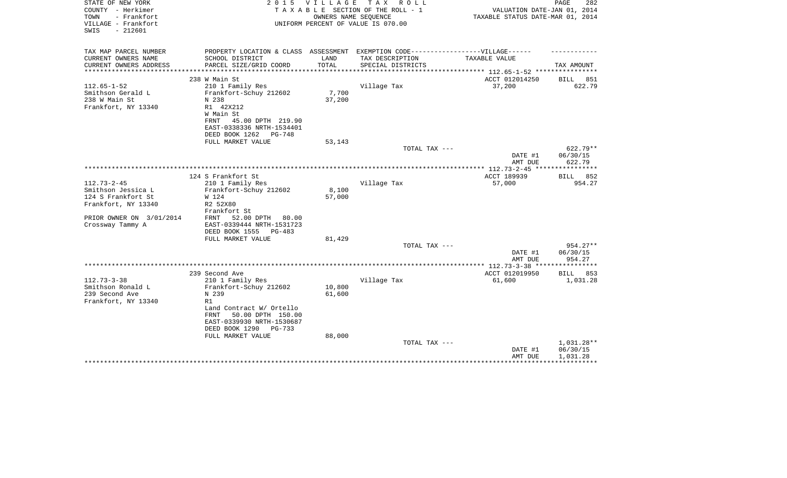| STATE OF NEW YORK<br>COUNTY - Herkimer<br>- Frankfort<br>TOWN<br>VILLAGE - Frankfort<br>$-212601$<br>SWIS | 2 0 1 5                                                                                | <b>VILLAGE</b>  | TAX ROLL<br>TAXABLE SECTION OF THE ROLL - 1<br>OWNERS NAME SEQUENCE<br>UNIFORM PERCENT OF VALUE IS 070.00 | VALUATION DATE-JAN 01, 2014<br>TAXABLE STATUS DATE-MAR 01, 2014                  | PAGE<br>282                  |
|-----------------------------------------------------------------------------------------------------------|----------------------------------------------------------------------------------------|-----------------|-----------------------------------------------------------------------------------------------------------|----------------------------------------------------------------------------------|------------------------------|
| TAX MAP PARCEL NUMBER                                                                                     | PROPERTY LOCATION & CLASS ASSESSMENT                                                   |                 | EXEMPTION CODE------------------VILLAGE------                                                             |                                                                                  |                              |
| CURRENT OWNERS NAME<br>CURRENT OWNERS ADDRESS<br>********************                                     | SCHOOL DISTRICT<br>PARCEL SIZE/GRID COORD                                              | LAND<br>TOTAL   | TAX DESCRIPTION<br>SPECIAL DISTRICTS                                                                      | TAXABLE VALUE                                                                    | TAX AMOUNT                   |
|                                                                                                           | 238 W Main St                                                                          |                 |                                                                                                           | ******************************** 112.65-1-52 *****************<br>ACCT 012014250 | BILL<br>851                  |
| $112.65 - 1 - 52$                                                                                         | 210 1 Family Res                                                                       |                 | Village Tax                                                                                               | 37,200                                                                           | 622.79                       |
| Smithson Gerald L<br>238 W Main St<br>Frankfort, NY 13340                                                 | Frankfort-Schuy 212602<br>N 238<br>R1 42X212<br>W Main St<br>45.00 DPTH 219.90<br>FRNT | 7,700<br>37,200 |                                                                                                           |                                                                                  |                              |
|                                                                                                           | EAST-0338336 NRTH-1534401<br>DEED BOOK 1262<br>PG-748                                  |                 |                                                                                                           |                                                                                  |                              |
|                                                                                                           | FULL MARKET VALUE                                                                      | 53,143          |                                                                                                           |                                                                                  |                              |
|                                                                                                           |                                                                                        |                 | TOTAL TAX ---                                                                                             |                                                                                  | 622.79**                     |
|                                                                                                           |                                                                                        |                 |                                                                                                           | DATE #1<br>AMT DUE                                                               | 06/30/15<br>622.79           |
|                                                                                                           |                                                                                        |                 |                                                                                                           |                                                                                  |                              |
| $112.73 - 2 - 45$                                                                                         | 124 S Frankfort St<br>210 1 Family Res                                                 |                 | Village Tax                                                                                               | ACCT 189939<br>57,000                                                            | 852<br><b>BILL</b><br>954.27 |
| Smithson Jessica L                                                                                        | Frankfort-Schuy 212602                                                                 | 8,100           |                                                                                                           |                                                                                  |                              |
| 124 S Frankfort St                                                                                        | W 124                                                                                  | 57,000          |                                                                                                           |                                                                                  |                              |
| Frankfort, NY 13340                                                                                       | R2 52X80                                                                               |                 |                                                                                                           |                                                                                  |                              |
|                                                                                                           | Frankfort St                                                                           |                 |                                                                                                           |                                                                                  |                              |
| PRIOR OWNER ON 3/01/2014<br>Crossway Tammy A                                                              | 52.00 DPTH<br>FRNT<br>80.00<br>EAST-0339444 NRTH-1531723                               |                 |                                                                                                           |                                                                                  |                              |
|                                                                                                           | DEED BOOK 1555<br>PG-483                                                               |                 |                                                                                                           |                                                                                  |                              |
|                                                                                                           | FULL MARKET VALUE                                                                      | 81,429          |                                                                                                           |                                                                                  |                              |
|                                                                                                           |                                                                                        |                 | TOTAL TAX ---                                                                                             |                                                                                  | 954.27**                     |
|                                                                                                           |                                                                                        |                 |                                                                                                           | DATE #1                                                                          | 06/30/15                     |
|                                                                                                           |                                                                                        |                 |                                                                                                           | AMT DUE<br>************* 112.73-3-38 ****************                            | 954.27                       |
|                                                                                                           | 239 Second Ave                                                                         |                 |                                                                                                           | ACCT 012019950                                                                   | BILL<br>853                  |
| $112.73 - 3 - 38$                                                                                         | 210 1 Family Res                                                                       |                 | Village Tax                                                                                               | 61,600                                                                           | 1,031.28                     |
| Smithson Ronald L                                                                                         | Frankfort-Schuy 212602                                                                 | 10,800          |                                                                                                           |                                                                                  |                              |
| 239 Second Ave                                                                                            | N 239                                                                                  | 61,600          |                                                                                                           |                                                                                  |                              |
| Frankfort, NY 13340                                                                                       | R1<br>Land Contract W/ Ortello                                                         |                 |                                                                                                           |                                                                                  |                              |
|                                                                                                           | 50.00 DPTH 150.00<br>FRNT                                                              |                 |                                                                                                           |                                                                                  |                              |
|                                                                                                           | EAST-0339930 NRTH-1530687                                                              |                 |                                                                                                           |                                                                                  |                              |
|                                                                                                           | DEED BOOK 1290<br>PG-733                                                               |                 |                                                                                                           |                                                                                  |                              |
|                                                                                                           | FULL MARKET VALUE                                                                      | 88,000          |                                                                                                           |                                                                                  |                              |
|                                                                                                           |                                                                                        |                 | TOTAL TAX ---                                                                                             |                                                                                  | 1,031.28**                   |
|                                                                                                           |                                                                                        |                 |                                                                                                           | DATE #1<br>AMT DUE                                                               | 06/30/15<br>1,031.28         |
|                                                                                                           |                                                                                        |                 |                                                                                                           |                                                                                  |                              |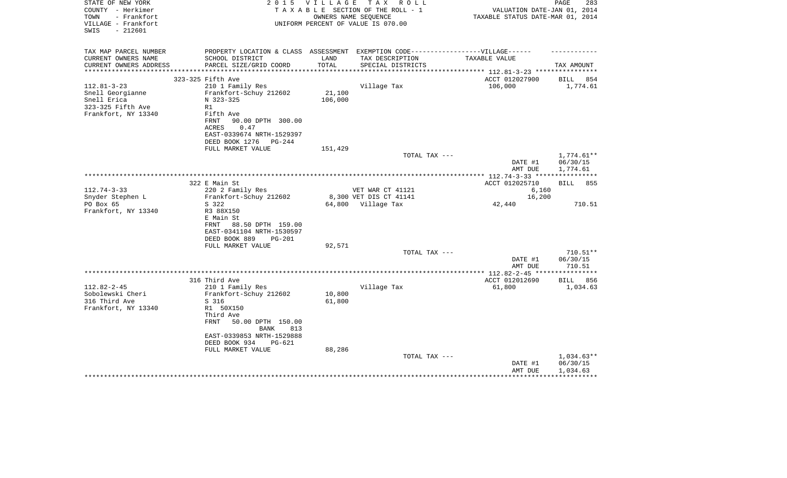| STATE OF NEW YORK<br>COUNTY - Herkimer<br>TOWN<br>- Frankfort<br>VILLAGE - Frankfort<br>$-212601$<br>SWIS | 2 0 1 5                                 | V I L L A G E | TAX ROLL<br>TAXABLE SECTION OF THE ROLL - 1<br>OWNERS NAME SEQUENCE<br>UNIFORM PERCENT OF VALUE IS 070.00 |                                                                                   | PAGE<br>283<br>VALUATION DATE-JAN 01, 2014<br>TAXABLE STATUS DATE-MAR 01, 2014 |
|-----------------------------------------------------------------------------------------------------------|-----------------------------------------|---------------|-----------------------------------------------------------------------------------------------------------|-----------------------------------------------------------------------------------|--------------------------------------------------------------------------------|
| TAX MAP PARCEL NUMBER                                                                                     |                                         |               |                                                                                                           | PROPERTY LOCATION & CLASS ASSESSMENT EXEMPTION CODE-----------------VILLAGE------ |                                                                                |
| CURRENT OWNERS NAME<br>SCHOOL DISTRICT                                                                    |                                         | LAND          | TAX DESCRIPTION                                                                                           | TAXABLE VALUE                                                                     |                                                                                |
| PARCEL SIZE/GRID COORD<br>CURRENT OWNERS ADDRESS<br>**********************                                |                                         | TOTAL         | SPECIAL DISTRICTS                                                                                         |                                                                                   | TAX AMOUNT                                                                     |
| 323-325 Fifth Ave                                                                                         |                                         |               |                                                                                                           | ACCT 012027900                                                                    | BILL<br>854                                                                    |
| $112.81 - 3 - 23$<br>210 1 Family Res                                                                     |                                         |               | Village Tax                                                                                               | 106,000                                                                           | 1,774.61                                                                       |
| Snell Georgianne<br>Frankfort-Schuy 212602                                                                |                                         | 21,100        |                                                                                                           |                                                                                   |                                                                                |
| Snell Erica<br>N 323-325                                                                                  |                                         | 106,000       |                                                                                                           |                                                                                   |                                                                                |
| 323-325 Fifth Ave<br>R1                                                                                   |                                         |               |                                                                                                           |                                                                                   |                                                                                |
| Frankfort, NY 13340<br>Fifth Ave                                                                          |                                         |               |                                                                                                           |                                                                                   |                                                                                |
| FRNT                                                                                                      | 90.00 DPTH 300.00                       |               |                                                                                                           |                                                                                   |                                                                                |
| <b>ACRES</b><br>0.47                                                                                      |                                         |               |                                                                                                           |                                                                                   |                                                                                |
|                                                                                                           | EAST-0339674 NRTH-1529397               |               |                                                                                                           |                                                                                   |                                                                                |
| DEED BOOK 1276<br>FULL MARKET VALUE                                                                       | PG-244                                  | 151,429       |                                                                                                           |                                                                                   |                                                                                |
|                                                                                                           |                                         |               | TOTAL TAX ---                                                                                             |                                                                                   | $1,774.61**$                                                                   |
|                                                                                                           |                                         |               |                                                                                                           | DATE #1                                                                           | 06/30/15                                                                       |
|                                                                                                           |                                         |               |                                                                                                           | AMT DUE                                                                           | 1,774.61                                                                       |
|                                                                                                           |                                         |               |                                                                                                           |                                                                                   |                                                                                |
| 322 E Main St                                                                                             |                                         |               |                                                                                                           | ACCT 012025710                                                                    | <b>BILL</b> 855                                                                |
| $112.74 - 3 - 33$<br>220 2 Family Res                                                                     |                                         |               | VET WAR CT 41121                                                                                          |                                                                                   | 6,160                                                                          |
| Snyder Stephen L<br>Frankfort-Schuy 212602                                                                |                                         |               | 8,300 VET DIS CT 41141                                                                                    |                                                                                   | 16,200                                                                         |
| PO Box 65<br>S 322                                                                                        |                                         |               | 64,800 Village Tax                                                                                        | 42,440                                                                            | 710.51                                                                         |
| Frankfort, NY 13340<br>R3 88X150<br>E Main St                                                             |                                         |               |                                                                                                           |                                                                                   |                                                                                |
| FRNT                                                                                                      | 88.50 DPTH 159.00                       |               |                                                                                                           |                                                                                   |                                                                                |
| EAST-0341104 NRTH-1530597                                                                                 |                                         |               |                                                                                                           |                                                                                   |                                                                                |
| DEED BOOK 889                                                                                             | $PG-201$                                |               |                                                                                                           |                                                                                   |                                                                                |
| FULL MARKET VALUE                                                                                         |                                         | 92,571        |                                                                                                           |                                                                                   |                                                                                |
|                                                                                                           |                                         |               | TOTAL TAX ---                                                                                             |                                                                                   | $710.51**$                                                                     |
|                                                                                                           |                                         |               |                                                                                                           | DATE #1                                                                           | 06/30/15                                                                       |
|                                                                                                           |                                         |               |                                                                                                           | AMT DUE                                                                           | 710.51                                                                         |
|                                                                                                           |                                         |               |                                                                                                           | ***** 112.82-2-45 ***                                                             | **********                                                                     |
| 316 Third Ave<br>$112.82 - 2 - 45$<br>210 1 Family Res                                                    |                                         |               | Village Tax                                                                                               | ACCT 012012690<br>61,800                                                          | BILL 856<br>1,034.63                                                           |
| Sobolewski Cheri<br>Frankfort-Schuy 212602                                                                |                                         | 10,800        |                                                                                                           |                                                                                   |                                                                                |
| 316 Third Ave<br>S 316                                                                                    |                                         | 61,800        |                                                                                                           |                                                                                   |                                                                                |
| Frankfort, NY 13340<br>R1 50X150                                                                          |                                         |               |                                                                                                           |                                                                                   |                                                                                |
| Third Ave                                                                                                 |                                         |               |                                                                                                           |                                                                                   |                                                                                |
| <b>FRNT</b>                                                                                               | 50.00 DPTH 150.00<br><b>BANK</b><br>813 |               |                                                                                                           |                                                                                   |                                                                                |
| EAST-0339853 NRTH-1529888                                                                                 |                                         |               |                                                                                                           |                                                                                   |                                                                                |
| DEED BOOK 934                                                                                             | <b>PG-621</b>                           |               |                                                                                                           |                                                                                   |                                                                                |
| FULL MARKET VALUE                                                                                         |                                         | 88,286        |                                                                                                           |                                                                                   |                                                                                |
|                                                                                                           |                                         |               | TOTAL TAX ---                                                                                             |                                                                                   | 1,034.63**                                                                     |
|                                                                                                           |                                         |               |                                                                                                           | DATE #1<br>AMT DUE                                                                | 06/30/15<br>1,034.63                                                           |
|                                                                                                           |                                         |               |                                                                                                           |                                                                                   |                                                                                |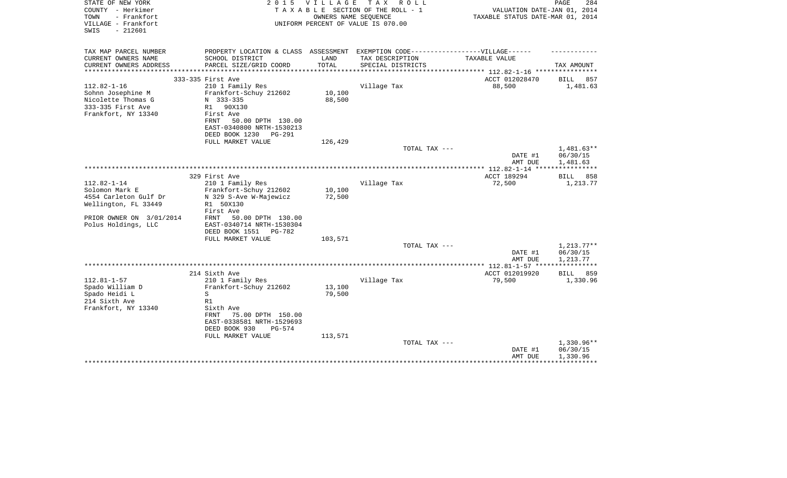| STATE OF NEW YORK<br>COUNTY - Herkimer<br>- Frankfort<br>TOWN<br>VILLAGE - Frankfort<br>$-212601$<br>SWIS | 2 0 1 5                                                                                                                 | <b>VILLAGE</b>   | T A X<br>R O L L<br>TAXABLE SECTION OF THE ROLL - 1<br>OWNERS NAME SEQUENCE<br>UNIFORM PERCENT OF VALUE IS 070.00 | VALUATION DATE-JAN 01, 2014<br>TAXABLE STATUS DATE-MAR 01, 2014 | PAGE<br>284                        |
|-----------------------------------------------------------------------------------------------------------|-------------------------------------------------------------------------------------------------------------------------|------------------|-------------------------------------------------------------------------------------------------------------------|-----------------------------------------------------------------|------------------------------------|
| TAX MAP PARCEL NUMBER                                                                                     | PROPERTY LOCATION & CLASS ASSESSMENT EXEMPTION CODE-----------------VILLAGE------                                       |                  |                                                                                                                   |                                                                 |                                    |
| CURRENT OWNERS NAME<br>CURRENT OWNERS ADDRESS                                                             | SCHOOL DISTRICT<br>PARCEL SIZE/GRID COORD                                                                               | LAND<br>TOTAL    | TAX DESCRIPTION<br>SPECIAL DISTRICTS                                                                              | TAXABLE VALUE                                                   | TAX AMOUNT                         |
| *********************                                                                                     |                                                                                                                         |                  |                                                                                                                   |                                                                 |                                    |
| $112.82 - 1 - 16$                                                                                         | 333-335 First Ave<br>210 1 Family Res                                                                                   |                  | Village Tax                                                                                                       | ACCT 012028470<br>88,500                                        | BILL<br>857<br>1,481.63            |
| Sohnn Josephine M<br>Nicolette Thomas G<br>333-335 First Ave<br>Frankfort, NY 13340                       | Frankfort-Schuy 212602<br>N 333-335<br>R1 90X130<br>First Ave<br>FRNT<br>50.00 DPTH 130.00<br>EAST-0340800 NRTH-1530213 | 10,100<br>88,500 |                                                                                                                   |                                                                 |                                    |
|                                                                                                           | DEED BOOK 1230<br>PG-291                                                                                                |                  |                                                                                                                   |                                                                 |                                    |
|                                                                                                           | FULL MARKET VALUE                                                                                                       | 126,429          |                                                                                                                   |                                                                 |                                    |
|                                                                                                           |                                                                                                                         |                  | TOTAL TAX ---                                                                                                     | DATE #1                                                         | 1,481.63**<br>06/30/15             |
|                                                                                                           |                                                                                                                         |                  |                                                                                                                   | AMT DUE<br>**************** 112.82-1-14 ****                    | 1,481.63<br>***********            |
|                                                                                                           | 329 First Ave                                                                                                           |                  |                                                                                                                   | ACCT 189294                                                     | BILL<br>858                        |
| $112.82 - 1 - 14$                                                                                         | 210 1 Family Res                                                                                                        |                  | Village Tax                                                                                                       | 72,500                                                          | 1,213.77                           |
| Solomon Mark E<br>4554 Carleton Gulf Dr<br>Wellington, FL 33449                                           | Frankfort-Schuy 212602<br>N 329 S-Ave W-Majewicz<br>R1 50X130<br>First Ave                                              | 10,100<br>72,500 |                                                                                                                   |                                                                 |                                    |
| PRIOR OWNER ON 3/01/2014<br>Polus Holdings, LLC                                                           | 50.00 DPTH 130.00<br>FRNT<br>EAST-0340714 NRTH-1530304<br>DEED BOOK 1551<br>PG-782<br>FULL MARKET VALUE                 | 103,571          |                                                                                                                   |                                                                 |                                    |
|                                                                                                           |                                                                                                                         |                  | TOTAL TAX ---                                                                                                     |                                                                 | $1,213.77**$                       |
|                                                                                                           |                                                                                                                         |                  |                                                                                                                   | DATE #1                                                         | 06/30/15                           |
|                                                                                                           |                                                                                                                         |                  |                                                                                                                   | AMT DUE                                                         | 1,213.77                           |
|                                                                                                           | 214 Sixth Ave                                                                                                           |                  |                                                                                                                   | ACCT 012019920                                                  | BILL<br>859                        |
| $112.81 - 1 - 57$<br>Spado William D<br>Spado Heidi L<br>214 Sixth Ave<br>Frankfort, NY 13340             | 210 1 Family Res<br>Frankfort-Schuy 212602<br>S<br>R1<br>Sixth Ave<br>FRNT<br>75.00 DPTH 150.00                         | 13,100<br>79,500 | Village Tax                                                                                                       | 79,500                                                          | 1,330.96                           |
|                                                                                                           | EAST-0338581 NRTH-1529693<br>DEED BOOK 930<br>$PG-574$                                                                  |                  |                                                                                                                   |                                                                 |                                    |
|                                                                                                           | FULL MARKET VALUE                                                                                                       | 113,571          | TOTAL TAX ---                                                                                                     | DATE #1<br>AMT DUE                                              | 1,330.96**<br>06/30/15<br>1,330.96 |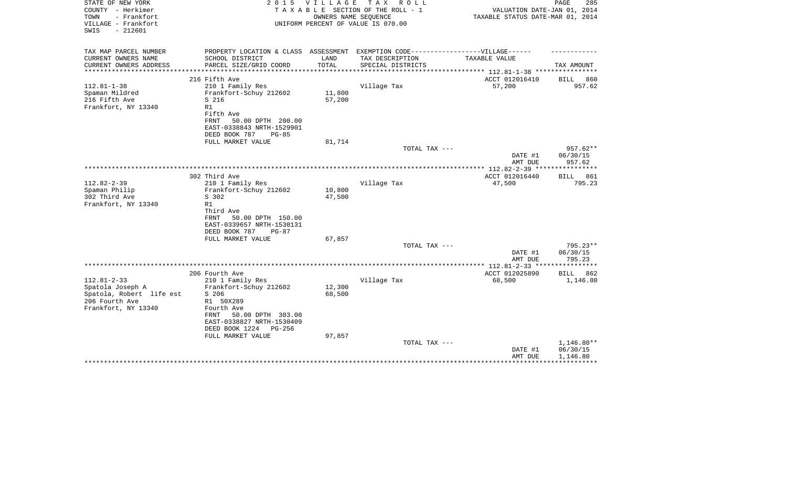|                                                                                                        |                                                                                                                                                                                                                                                                                                 | TAXABLE SECTION OF THE ROLL - 1              | VALUATION DATE-JAN 01, 2014<br>TAXABLE STATUS DATE-MAR 01, 2014                                             |                                                                                                                                                                                                                                                                                                                           |
|--------------------------------------------------------------------------------------------------------|-------------------------------------------------------------------------------------------------------------------------------------------------------------------------------------------------------------------------------------------------------------------------------------------------|----------------------------------------------|-------------------------------------------------------------------------------------------------------------|---------------------------------------------------------------------------------------------------------------------------------------------------------------------------------------------------------------------------------------------------------------------------------------------------------------------------|
|                                                                                                        |                                                                                                                                                                                                                                                                                                 |                                              |                                                                                                             |                                                                                                                                                                                                                                                                                                                           |
|                                                                                                        | TOTAL                                                                                                                                                                                                                                                                                           | SPECIAL DISTRICTS                            |                                                                                                             | TAX AMOUNT                                                                                                                                                                                                                                                                                                                |
|                                                                                                        |                                                                                                                                                                                                                                                                                                 |                                              |                                                                                                             |                                                                                                                                                                                                                                                                                                                           |
|                                                                                                        |                                                                                                                                                                                                                                                                                                 |                                              |                                                                                                             | 860<br>BILL                                                                                                                                                                                                                                                                                                               |
| Frankfort-Schuy 212602<br>S 216<br>R1<br>Fifth Ave                                                     | 11,800<br>57,200                                                                                                                                                                                                                                                                                |                                              |                                                                                                             | 957.62                                                                                                                                                                                                                                                                                                                    |
| EAST-0338843 NRTH-1529901                                                                              |                                                                                                                                                                                                                                                                                                 |                                              |                                                                                                             |                                                                                                                                                                                                                                                                                                                           |
| FULL MARKET VALUE                                                                                      | 81,714                                                                                                                                                                                                                                                                                          |                                              |                                                                                                             |                                                                                                                                                                                                                                                                                                                           |
|                                                                                                        |                                                                                                                                                                                                                                                                                                 |                                              |                                                                                                             | $957.62**$                                                                                                                                                                                                                                                                                                                |
|                                                                                                        |                                                                                                                                                                                                                                                                                                 |                                              | DATE #1<br>AMT DUE                                                                                          | 06/30/15<br>957.62                                                                                                                                                                                                                                                                                                        |
|                                                                                                        |                                                                                                                                                                                                                                                                                                 |                                              |                                                                                                             | ************                                                                                                                                                                                                                                                                                                              |
|                                                                                                        |                                                                                                                                                                                                                                                                                                 |                                              |                                                                                                             | 861<br>BILL<br>795.23                                                                                                                                                                                                                                                                                                     |
|                                                                                                        |                                                                                                                                                                                                                                                                                                 |                                              |                                                                                                             |                                                                                                                                                                                                                                                                                                                           |
| S 302                                                                                                  | 47,500                                                                                                                                                                                                                                                                                          |                                              |                                                                                                             |                                                                                                                                                                                                                                                                                                                           |
| R1                                                                                                     |                                                                                                                                                                                                                                                                                                 |                                              |                                                                                                             |                                                                                                                                                                                                                                                                                                                           |
| Third Ave<br><b>FRNT</b><br>50.00 DPTH 150.00<br>EAST-0339657 NRTH-1530131<br>DEED BOOK 787<br>$PG-87$ |                                                                                                                                                                                                                                                                                                 |                                              |                                                                                                             |                                                                                                                                                                                                                                                                                                                           |
|                                                                                                        |                                                                                                                                                                                                                                                                                                 |                                              |                                                                                                             | 795.23**                                                                                                                                                                                                                                                                                                                  |
|                                                                                                        |                                                                                                                                                                                                                                                                                                 |                                              | DATE #1                                                                                                     | 06/30/15                                                                                                                                                                                                                                                                                                                  |
|                                                                                                        |                                                                                                                                                                                                                                                                                                 |                                              |                                                                                                             | 795.23                                                                                                                                                                                                                                                                                                                    |
|                                                                                                        |                                                                                                                                                                                                                                                                                                 |                                              | ACCT 012025890                                                                                              | <b>BILL</b><br>862                                                                                                                                                                                                                                                                                                        |
| 210 1 Family Res                                                                                       |                                                                                                                                                                                                                                                                                                 | Village Tax                                  | 68,500                                                                                                      | 1,146.80                                                                                                                                                                                                                                                                                                                  |
| Frankfort-Schuy 212602                                                                                 | 12,300                                                                                                                                                                                                                                                                                          |                                              |                                                                                                             |                                                                                                                                                                                                                                                                                                                           |
|                                                                                                        |                                                                                                                                                                                                                                                                                                 |                                              |                                                                                                             |                                                                                                                                                                                                                                                                                                                           |
| Fourth Ave<br>50.00 DPTH 303.00<br>FRNT<br>EAST-0338827 NRTH-1530409<br>DEED BOOK 1224<br>PG-256       |                                                                                                                                                                                                                                                                                                 |                                              |                                                                                                             |                                                                                                                                                                                                                                                                                                                           |
|                                                                                                        |                                                                                                                                                                                                                                                                                                 |                                              |                                                                                                             | 1,146.80**                                                                                                                                                                                                                                                                                                                |
|                                                                                                        |                                                                                                                                                                                                                                                                                                 |                                              | DATE #1<br>AMT DUE                                                                                          | 06/30/15<br>1,146.80                                                                                                                                                                                                                                                                                                      |
|                                                                                                        | SCHOOL DISTRICT<br>PARCEL SIZE/GRID COORD<br>216 Fifth Ave<br>210 1 Family Res<br><b>FRNT</b><br>50.00 DPTH 200.00<br>DEED BOOK 787<br>$PG-85$<br>302 Third Ave<br>210 1 Family Res<br>Frankfort-Schuy 212602<br>FULL MARKET VALUE<br>206 Fourth Ave<br>S 206<br>R1 50X289<br>FULL MARKET VALUE | LAND<br>10,800<br>67,857<br>68,500<br>97,857 | OWNERS NAME SEQUENCE<br>UNIFORM PERCENT OF VALUE IS 070.00<br>TAX DESCRIPTION<br>Village Tax<br>Village Tax | PROPERTY LOCATION & CLASS ASSESSMENT EXEMPTION CODE-----------------VILLAGE------<br>TAXABLE VALUE<br>*************************** 112.81-1-38 ****************<br>ACCT 012016410<br>57,200<br>TOTAL TAX ---<br>**************** 112.82-2-39 ****<br>ACCT 012016440<br>47,500<br>TOTAL TAX ---<br>AMT DUE<br>TOTAL TAX --- |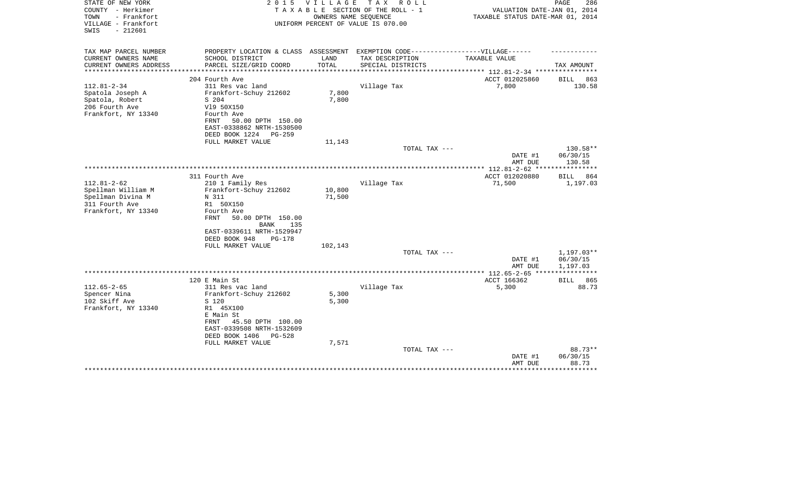| STATE OF NEW YORK<br>COUNTY - Herkimer<br>- Frankfort<br>TOWN<br>VILLAGE - Frankfort<br>$-212601$<br>SWIS | 2 0 1 5                                                | <b>VILLAGE</b> | T A X<br>R O L L<br>TAXABLE SECTION OF THE ROLL - 1<br>OWNERS NAME SEOUENCE<br>UNIFORM PERCENT OF VALUE IS 070.00 | VALUATION DATE-JAN 01, 2014<br>TAXABLE STATUS DATE-MAR 01, 2014 | PAGE<br>286                  |
|-----------------------------------------------------------------------------------------------------------|--------------------------------------------------------|----------------|-------------------------------------------------------------------------------------------------------------------|-----------------------------------------------------------------|------------------------------|
| TAX MAP PARCEL NUMBER                                                                                     | PROPERTY LOCATION & CLASS ASSESSMENT                   |                | EXEMPTION CODE------------------VILLAGE------                                                                     |                                                                 |                              |
| CURRENT OWNERS NAME<br>CURRENT OWNERS ADDRESS                                                             | SCHOOL DISTRICT<br>PARCEL SIZE/GRID COORD              | LAND<br>TOTAL  | TAX DESCRIPTION<br>SPECIAL DISTRICTS                                                                              | TAXABLE VALUE                                                   | TAX AMOUNT                   |
| **********************                                                                                    |                                                        |                |                                                                                                                   |                                                                 |                              |
| $112.81 - 2 - 34$                                                                                         | 204 Fourth Ave<br>311 Res vac land                     |                | Village Tax                                                                                                       | ACCT 012025860<br>7,800                                         | <b>BILL</b><br>863<br>130.58 |
| Spatola Joseph A                                                                                          | Frankfort-Schuy 212602                                 | 7,800          |                                                                                                                   |                                                                 |                              |
| Spatola, Robert                                                                                           | S 204                                                  | 7,800          |                                                                                                                   |                                                                 |                              |
| 206 Fourth Ave                                                                                            | V19 50X150                                             |                |                                                                                                                   |                                                                 |                              |
| Frankfort, NY 13340                                                                                       | Fourth Ave                                             |                |                                                                                                                   |                                                                 |                              |
|                                                                                                           | FRNT<br>50.00 DPTH 150.00                              |                |                                                                                                                   |                                                                 |                              |
|                                                                                                           | EAST-0338862 NRTH-1530500                              |                |                                                                                                                   |                                                                 |                              |
|                                                                                                           | DEED BOOK 1224<br>PG-259                               |                |                                                                                                                   |                                                                 |                              |
|                                                                                                           | FULL MARKET VALUE                                      | 11,143         | TOTAL TAX ---                                                                                                     |                                                                 | 130.58**                     |
|                                                                                                           |                                                        |                |                                                                                                                   | DATE #1<br>AMT DUE                                              | 06/30/15<br>130.58           |
|                                                                                                           |                                                        |                |                                                                                                                   |                                                                 | ***********                  |
|                                                                                                           | 311 Fourth Ave                                         |                |                                                                                                                   | ACCT 012020880                                                  | 864<br>BILL                  |
| $112.81 - 2 - 62$                                                                                         | 210 1 Family Res                                       |                | Village Tax                                                                                                       | 71,500                                                          | 1,197.03                     |
| Spellman William M                                                                                        | Frankfort-Schuy 212602                                 | 10,800         |                                                                                                                   |                                                                 |                              |
| Spellman Divina M<br>311 Fourth Ave                                                                       | N 311<br>R1 50X150                                     | 71,500         |                                                                                                                   |                                                                 |                              |
| Frankfort, NY 13340                                                                                       | Fourth Ave                                             |                |                                                                                                                   |                                                                 |                              |
|                                                                                                           | <b>FRNT</b><br>50.00 DPTH 150.00<br><b>BANK</b><br>135 |                |                                                                                                                   |                                                                 |                              |
|                                                                                                           | EAST-0339611 NRTH-1529947                              |                |                                                                                                                   |                                                                 |                              |
|                                                                                                           | DEED BOOK 948<br>$PG-178$                              |                |                                                                                                                   |                                                                 |                              |
|                                                                                                           | FULL MARKET VALUE                                      | 102,143        |                                                                                                                   |                                                                 |                              |
|                                                                                                           |                                                        |                | TOTAL TAX ---                                                                                                     |                                                                 | $1,197.03**$                 |
|                                                                                                           |                                                        |                |                                                                                                                   | DATE #1<br>AMT DUE                                              | 06/30/15<br>1,197.03         |
|                                                                                                           |                                                        |                |                                                                                                                   | ************* 112.65-2-65 ****                                  |                              |
|                                                                                                           | 120 E Main St                                          |                |                                                                                                                   | ACCT 166362                                                     | <b>BILL</b><br>865           |
| $112.65 - 2 - 65$                                                                                         | 311 Res vac land                                       |                | Village Tax                                                                                                       | 5,300                                                           | 88.73                        |
| Spencer Nina                                                                                              | Frankfort-Schuy 212602                                 | 5,300          |                                                                                                                   |                                                                 |                              |
| 102 Skiff Ave                                                                                             | S 120                                                  | 5,300          |                                                                                                                   |                                                                 |                              |
| Frankfort, NY 13340                                                                                       | R1 45X100                                              |                |                                                                                                                   |                                                                 |                              |
|                                                                                                           | E Main St                                              |                |                                                                                                                   |                                                                 |                              |
|                                                                                                           | FRNT<br>45.50 DPTH 100.00                              |                |                                                                                                                   |                                                                 |                              |
|                                                                                                           | EAST-0339508 NRTH-1532609<br><b>PG-528</b>             |                |                                                                                                                   |                                                                 |                              |
|                                                                                                           | DEED BOOK 1406<br>FULL MARKET VALUE                    | 7,571          |                                                                                                                   |                                                                 |                              |
|                                                                                                           |                                                        |                | TOTAL TAX ---                                                                                                     |                                                                 | 88.73**                      |
|                                                                                                           |                                                        |                |                                                                                                                   | DATE #1                                                         | 06/30/15                     |
|                                                                                                           |                                                        |                |                                                                                                                   | AMT DUE                                                         | 88.73                        |
|                                                                                                           |                                                        |                |                                                                                                                   |                                                                 | ******                       |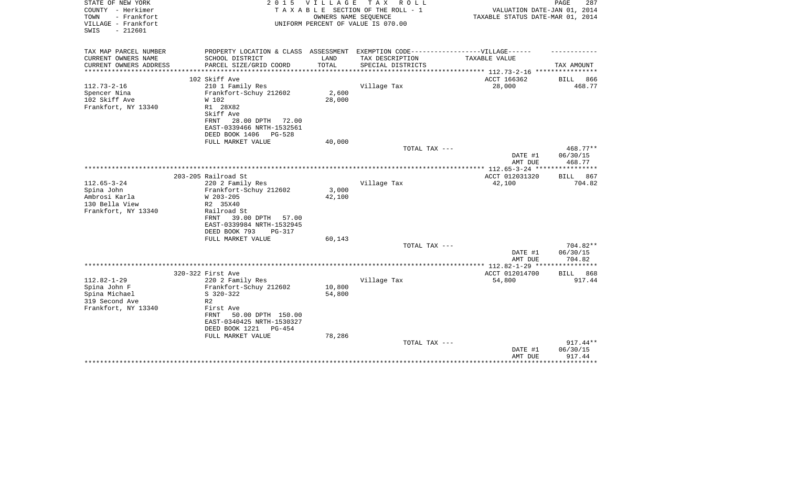| STATE OF NEW YORK<br>COUNTY - Herkimer<br>- Frankfort<br>TOWN | 2 0 1 5                                                  | V I L L A G E<br>OWNERS NAME SEQUENCE | T A X<br>R O L L<br>TAXABLE SECTION OF THE ROLL - 1 | VALUATION DATE-JAN 01, 2014<br>TAXABLE STATUS DATE-MAR 01, 2014 | PAGE<br>287        |
|---------------------------------------------------------------|----------------------------------------------------------|---------------------------------------|-----------------------------------------------------|-----------------------------------------------------------------|--------------------|
| VILLAGE - Frankfort<br>$-212601$<br>SWIS                      |                                                          |                                       | UNIFORM PERCENT OF VALUE IS 070.00                  |                                                                 |                    |
| TAX MAP PARCEL NUMBER                                         | PROPERTY LOCATION & CLASS ASSESSMENT                     |                                       | EXEMPTION CODE------------------VILLAGE------       |                                                                 |                    |
| CURRENT OWNERS NAME                                           | SCHOOL DISTRICT                                          | LAND                                  | TAX DESCRIPTION                                     | TAXABLE VALUE                                                   |                    |
| CURRENT OWNERS ADDRESS<br>***************                     | PARCEL SIZE/GRID COORD<br>**************************     | TOTAL<br>**************               | SPECIAL DISTRICTS                                   | **************** 112.73-2-16 *****************                  | TAX AMOUNT         |
|                                                               | 102 Skiff Ave                                            |                                       |                                                     | ACCT 166362                                                     | BILL<br>866        |
| $112.73 - 2 - 16$                                             | 210 1 Family Res                                         |                                       | Village Tax                                         | 28,000                                                          | 468.77             |
| Spencer Nina                                                  | Frankfort-Schuy 212602                                   | 2,600                                 |                                                     |                                                                 |                    |
| 102 Skiff Ave                                                 | W 102                                                    | 28,000                                |                                                     |                                                                 |                    |
| Frankfort, NY 13340                                           | R1 28X82                                                 |                                       |                                                     |                                                                 |                    |
|                                                               | Skiff Ave<br>FRNT<br>72.00                               |                                       |                                                     |                                                                 |                    |
|                                                               | 28.00 DPTH<br>EAST-0339466 NRTH-1532561                  |                                       |                                                     |                                                                 |                    |
|                                                               | DEED BOOK 1406<br>$PG-528$                               |                                       |                                                     |                                                                 |                    |
|                                                               | FULL MARKET VALUE                                        | 40,000                                |                                                     |                                                                 |                    |
|                                                               |                                                          |                                       | TOTAL TAX ---                                       |                                                                 | 468.77**           |
|                                                               |                                                          |                                       |                                                     | DATE #1                                                         | 06/30/15           |
|                                                               |                                                          |                                       |                                                     | AMT DUE                                                         | 468.77             |
|                                                               | 203-205 Railroad St                                      |                                       |                                                     | ACCT 012031320                                                  | 867<br><b>BILL</b> |
| $112.65 - 3 - 24$                                             | 220 2 Family Res                                         |                                       | Village Tax                                         | 42,100                                                          | 704.82             |
| Spina John                                                    | Frankfort-Schuy 212602                                   | 3,000                                 |                                                     |                                                                 |                    |
| Ambrosi Karla                                                 | W 203-205                                                | 42,100                                |                                                     |                                                                 |                    |
| 130 Bella View                                                | R2 35X40                                                 |                                       |                                                     |                                                                 |                    |
| Frankfort, NY 13340                                           | Railroad St                                              |                                       |                                                     |                                                                 |                    |
|                                                               | 39.00 DPTH<br>FRNT<br>57.00<br>EAST-0339984 NRTH-1532945 |                                       |                                                     |                                                                 |                    |
|                                                               | DEED BOOK 793<br>PG-317                                  |                                       |                                                     |                                                                 |                    |
|                                                               | FULL MARKET VALUE                                        | 60,143                                |                                                     |                                                                 |                    |
|                                                               |                                                          |                                       | TOTAL TAX ---                                       |                                                                 | 704.82**           |
|                                                               |                                                          |                                       |                                                     | DATE #1                                                         | 06/30/15           |
|                                                               |                                                          |                                       |                                                     | AMT DUE<br>***************** 112.82-1-29 ****************       | 704.82             |
|                                                               | 320-322 First Ave                                        |                                       |                                                     | ACCT 012014700                                                  | 868<br>BILL        |
| $112.82 - 1 - 29$                                             | 220 2 Family Res                                         |                                       | Village Tax                                         | 54,800                                                          | 917.44             |
| Spina John F                                                  | Frankfort-Schuy 212602                                   | 10,800                                |                                                     |                                                                 |                    |
| Spina Michael                                                 | $S$ 320-322                                              | 54,800                                |                                                     |                                                                 |                    |
| 319 Second Ave                                                | R <sub>2</sub>                                           |                                       |                                                     |                                                                 |                    |
| Frankfort, NY 13340                                           | First Ave<br>50.00 DPTH 150.00<br>FRNT                   |                                       |                                                     |                                                                 |                    |
|                                                               | EAST-0340425 NRTH-1530327                                |                                       |                                                     |                                                                 |                    |
|                                                               | DEED BOOK 1221<br>$PG-454$                               |                                       |                                                     |                                                                 |                    |
|                                                               | FULL MARKET VALUE                                        | 78,286                                |                                                     |                                                                 |                    |
|                                                               |                                                          |                                       | TOTAL TAX ---                                       |                                                                 | $917.44**$         |
|                                                               |                                                          |                                       |                                                     | DATE #1                                                         | 06/30/15           |
|                                                               |                                                          |                                       |                                                     | AMT DUE                                                         | 917.44             |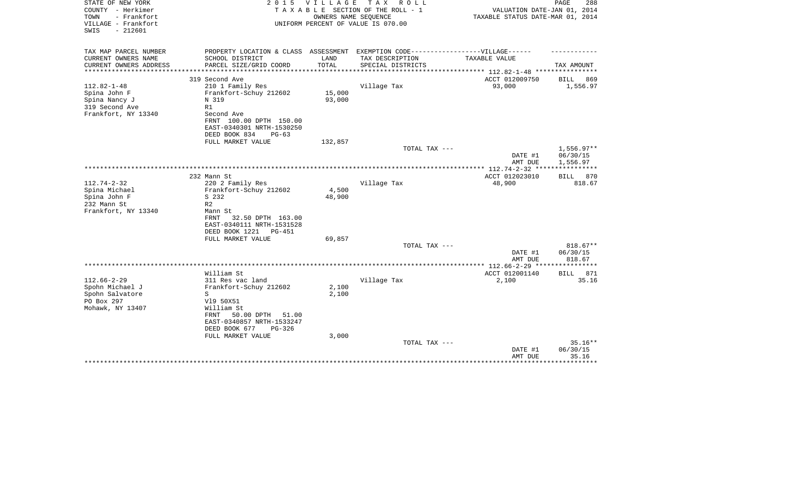| STATE OF NEW YORK<br>COUNTY - Herkimer<br>- Frankfort<br>TOWN<br>VILLAGE - Frankfort | 2 0 1 5                                          | V I L L A G E  | T A X<br>R O L L<br>TAXABLE SECTION OF THE ROLL - 1<br>OWNERS NAME SEQUENCE<br>UNIFORM PERCENT OF VALUE IS 070.00 | VALUATION DATE-JAN 01, 2014<br>TAXABLE STATUS DATE-MAR 01, 2014 | PAGE<br>288        |
|--------------------------------------------------------------------------------------|--------------------------------------------------|----------------|-------------------------------------------------------------------------------------------------------------------|-----------------------------------------------------------------|--------------------|
| $-212601$<br>SWIS                                                                    |                                                  |                |                                                                                                                   |                                                                 |                    |
| TAX MAP PARCEL NUMBER                                                                | PROPERTY LOCATION & CLASS ASSESSMENT             |                | EXEMPTION CODE------------------VILLAGE------                                                                     |                                                                 |                    |
| CURRENT OWNERS NAME                                                                  | SCHOOL DISTRICT                                  | LAND           | TAX DESCRIPTION                                                                                                   | TAXABLE VALUE                                                   |                    |
| CURRENT OWNERS ADDRESS<br>**************                                             | PARCEL SIZE/GRID COORD<br>********************** | TOTAL          | SPECIAL DISTRICTS                                                                                                 | **************** 112.82-1-48 *****************                  | TAX AMOUNT         |
|                                                                                      | 319 Second Ave                                   |                |                                                                                                                   | ACCT 012009750                                                  | BILL<br>869        |
| $112.82 - 1 - 48$                                                                    | 210 1 Family Res                                 |                | Village Tax                                                                                                       | 93,000                                                          | 1,556.97           |
| Spina John F                                                                         | Frankfort-Schuy 212602                           | 15,000         |                                                                                                                   |                                                                 |                    |
| Spina Nancy J                                                                        | N 319                                            | 93,000         |                                                                                                                   |                                                                 |                    |
| 319 Second Ave                                                                       | R1                                               |                |                                                                                                                   |                                                                 |                    |
| Frankfort, NY 13340                                                                  | Second Ave                                       |                |                                                                                                                   |                                                                 |                    |
|                                                                                      | FRNT 100.00 DPTH 150.00                          |                |                                                                                                                   |                                                                 |                    |
|                                                                                      | EAST-0340301 NRTH-1530250                        |                |                                                                                                                   |                                                                 |                    |
|                                                                                      | DEED BOOK 834<br>$PG-63$                         |                |                                                                                                                   |                                                                 |                    |
|                                                                                      | FULL MARKET VALUE                                | 132,857        | TOTAL TAX ---                                                                                                     |                                                                 | $1,556.97**$       |
|                                                                                      |                                                  |                |                                                                                                                   | DATE #1                                                         | 06/30/15           |
|                                                                                      |                                                  |                |                                                                                                                   | AMT DUE                                                         | 1,556.97           |
|                                                                                      |                                                  |                |                                                                                                                   | **************** 112.74-2-32 *****************                  |                    |
|                                                                                      | 232 Mann St                                      |                |                                                                                                                   | ACCT 012023010                                                  | 870<br>BILL        |
| $112.74 - 2 - 32$                                                                    | 220 2 Family Res                                 |                | Village Tax                                                                                                       | 48,900                                                          | 818.67             |
| Spina Michael                                                                        | Frankfort-Schuy 212602                           | 4,500          |                                                                                                                   |                                                                 |                    |
| Spina John F                                                                         | S 232                                            | 48,900         |                                                                                                                   |                                                                 |                    |
| 232 Mann St                                                                          | R <sub>2</sub>                                   |                |                                                                                                                   |                                                                 |                    |
| Frankfort, NY 13340                                                                  | Mann St<br>32.50 DPTH 163.00<br><b>FRNT</b>      |                |                                                                                                                   |                                                                 |                    |
|                                                                                      | EAST-0340111 NRTH-1531528                        |                |                                                                                                                   |                                                                 |                    |
|                                                                                      | DEED BOOK 1221<br>PG-451                         |                |                                                                                                                   |                                                                 |                    |
|                                                                                      | FULL MARKET VALUE                                | 69,857         |                                                                                                                   |                                                                 |                    |
|                                                                                      |                                                  |                | TOTAL TAX ---                                                                                                     |                                                                 | 818.67**           |
|                                                                                      |                                                  |                |                                                                                                                   | DATE #1                                                         | 06/30/15           |
|                                                                                      |                                                  |                |                                                                                                                   | AMT DUE                                                         | 818.67             |
|                                                                                      | *****************************                    |                | *********************                                                                                             | ********* 112.66-2-29 ***                                       |                    |
|                                                                                      | William St                                       |                |                                                                                                                   | ACCT 012001140                                                  | 871<br><b>BILL</b> |
| $112.66 - 2 - 29$                                                                    | 311 Res vac land                                 |                | Village Tax                                                                                                       | 2,100                                                           | 35.16              |
| Spohn Michael J                                                                      | Frankfort-Schuy 212602<br>S                      | 2,100<br>2,100 |                                                                                                                   |                                                                 |                    |
| Spohn Salvatore<br>PO Box 297                                                        | V19 50X51                                        |                |                                                                                                                   |                                                                 |                    |
| Mohawk, NY 13407                                                                     | William St                                       |                |                                                                                                                   |                                                                 |                    |
|                                                                                      | 50.00 DPTH<br>FRNT<br>51.00                      |                |                                                                                                                   |                                                                 |                    |
|                                                                                      | EAST-0340857 NRTH-1533247                        |                |                                                                                                                   |                                                                 |                    |
|                                                                                      | DEED BOOK 677<br>$PG-326$                        |                |                                                                                                                   |                                                                 |                    |
|                                                                                      | FULL MARKET VALUE                                | 3,000          |                                                                                                                   |                                                                 |                    |
|                                                                                      |                                                  |                | TOTAL TAX ---                                                                                                     |                                                                 | $35.16**$          |
|                                                                                      |                                                  |                |                                                                                                                   | DATE #1                                                         | 06/30/15           |
|                                                                                      |                                                  |                |                                                                                                                   | AMT DUE                                                         | 35.16              |
|                                                                                      |                                                  |                |                                                                                                                   |                                                                 |                    |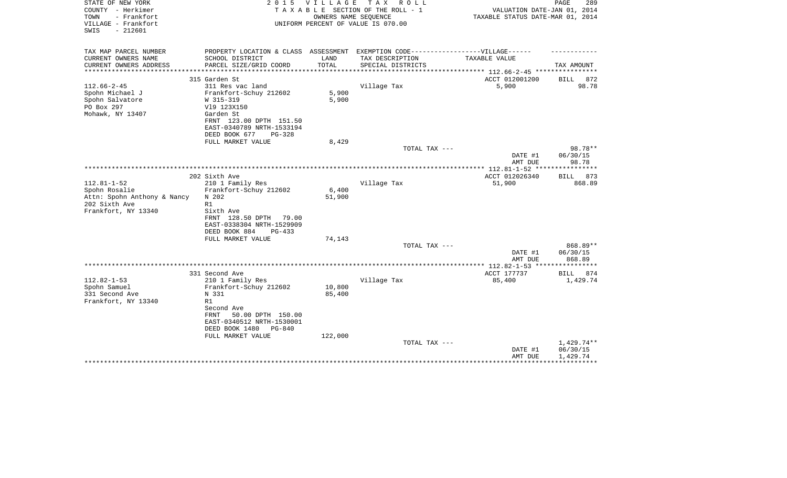| STATE OF NEW YORK<br>COUNTY - Herkimer<br>- Frankfort<br>TOWN<br>VILLAGE - Frankfort<br>$-212601$<br>SWIS | 2 0 1 5                                                | V I L L A G E   | T A X<br>R O L L<br>TAXABLE SECTION OF THE ROLL - 1<br>OWNERS NAME SEQUENCE<br>UNIFORM PERCENT OF VALUE IS 070.00 | VALUATION DATE-JAN 01, 2014<br>TAXABLE STATUS DATE-MAR 01, 2014 | PAGE<br>289          |
|-----------------------------------------------------------------------------------------------------------|--------------------------------------------------------|-----------------|-------------------------------------------------------------------------------------------------------------------|-----------------------------------------------------------------|----------------------|
| TAX MAP PARCEL NUMBER                                                                                     | PROPERTY LOCATION & CLASS ASSESSMENT                   |                 | EXEMPTION CODE------------------VILLAGE------                                                                     |                                                                 |                      |
| CURRENT OWNERS NAME                                                                                       | SCHOOL DISTRICT                                        | LAND            | TAX DESCRIPTION                                                                                                   | TAXABLE VALUE                                                   |                      |
| CURRENT OWNERS ADDRESS                                                                                    | PARCEL SIZE/GRID COORD                                 | TOTAL           | SPECIAL DISTRICTS                                                                                                 |                                                                 | TAX AMOUNT           |
| *******************                                                                                       |                                                        | *************** |                                                                                                                   | *************************** 112.66-2-45 *****************       |                      |
| $112.66 - 2 - 45$                                                                                         | 315 Garden St<br>311 Res vac land                      |                 | Village Tax                                                                                                       | ACCT 012001200<br>5,900                                         | BILL<br>872<br>98.78 |
| Spohn Michael J                                                                                           | Frankfort-Schuy 212602                                 | 5,900           |                                                                                                                   |                                                                 |                      |
| Spohn Salvatore                                                                                           | W 315-319                                              | 5,900           |                                                                                                                   |                                                                 |                      |
| PO Box 297                                                                                                | V19 123X150                                            |                 |                                                                                                                   |                                                                 |                      |
| Mohawk, NY 13407                                                                                          | Garden St                                              |                 |                                                                                                                   |                                                                 |                      |
|                                                                                                           | FRNT 123.00 DPTH 151.50<br>EAST-0340789 NRTH-1533194   |                 |                                                                                                                   |                                                                 |                      |
|                                                                                                           | DEED BOOK 677<br>$PG-328$                              |                 |                                                                                                                   |                                                                 |                      |
|                                                                                                           | FULL MARKET VALUE                                      | 8,429           |                                                                                                                   |                                                                 |                      |
|                                                                                                           |                                                        |                 | TOTAL TAX ---                                                                                                     |                                                                 | 98.78**              |
|                                                                                                           |                                                        |                 |                                                                                                                   | DATE #1                                                         | 06/30/15             |
|                                                                                                           |                                                        |                 |                                                                                                                   | AMT DUE                                                         | 98.78                |
|                                                                                                           | 202 Sixth Ave                                          |                 |                                                                                                                   | ACCT 012026340                                                  | BILL 873             |
| $112.81 - 1 - 52$                                                                                         | 210 1 Family Res                                       |                 | Village Tax                                                                                                       | 51,900                                                          | 868.89               |
| Spohn Rosalie                                                                                             | Frankfort-Schuy 212602                                 | 6,400           |                                                                                                                   |                                                                 |                      |
| Attn: Spohn Anthony & Nancy                                                                               | N 202                                                  | 51,900          |                                                                                                                   |                                                                 |                      |
| 202 Sixth Ave                                                                                             | R1                                                     |                 |                                                                                                                   |                                                                 |                      |
| Frankfort, NY 13340                                                                                       | Sixth Ave<br>FRNT 128.50 DPTH<br>79.00                 |                 |                                                                                                                   |                                                                 |                      |
|                                                                                                           | EAST-0338304 NRTH-1529909<br>DEED BOOK 884<br>$PG-433$ |                 |                                                                                                                   |                                                                 |                      |
|                                                                                                           | FULL MARKET VALUE                                      | 74,143          |                                                                                                                   |                                                                 |                      |
|                                                                                                           |                                                        |                 | TOTAL TAX ---                                                                                                     |                                                                 | 868.89**             |
|                                                                                                           |                                                        |                 |                                                                                                                   | DATE #1                                                         | 06/30/15             |
|                                                                                                           |                                                        |                 |                                                                                                                   | AMT DUE                                                         | 868.89               |
|                                                                                                           | 331 Second Ave                                         |                 |                                                                                                                   | *************** 112.82-1-53 ****************<br>ACCT 177737     | <b>BILL</b><br>874   |
| $112.82 - 1 - 53$                                                                                         | 210 1 Family Res                                       |                 | Village Tax                                                                                                       | 85,400                                                          | 1,429.74             |
| Spohn Samuel                                                                                              | Frankfort-Schuy 212602                                 | 10,800          |                                                                                                                   |                                                                 |                      |
| 331 Second Ave                                                                                            | N 331                                                  | 85,400          |                                                                                                                   |                                                                 |                      |
| Frankfort, NY 13340                                                                                       | R1                                                     |                 |                                                                                                                   |                                                                 |                      |
|                                                                                                           | Second Ave<br>50.00 DPTH 150.00<br>FRNT                |                 |                                                                                                                   |                                                                 |                      |
|                                                                                                           | EAST-0340512 NRTH-1530001                              |                 |                                                                                                                   |                                                                 |                      |
|                                                                                                           | DEED BOOK 1480<br>PG-840                               |                 |                                                                                                                   |                                                                 |                      |
|                                                                                                           | FULL MARKET VALUE                                      | 122,000         |                                                                                                                   |                                                                 |                      |
|                                                                                                           |                                                        |                 | TOTAL TAX ---                                                                                                     |                                                                 | 1,429.74**           |
|                                                                                                           |                                                        |                 |                                                                                                                   | DATE #1                                                         | 06/30/15             |
|                                                                                                           |                                                        |                 |                                                                                                                   | AMT DUE                                                         | 1,429.74             |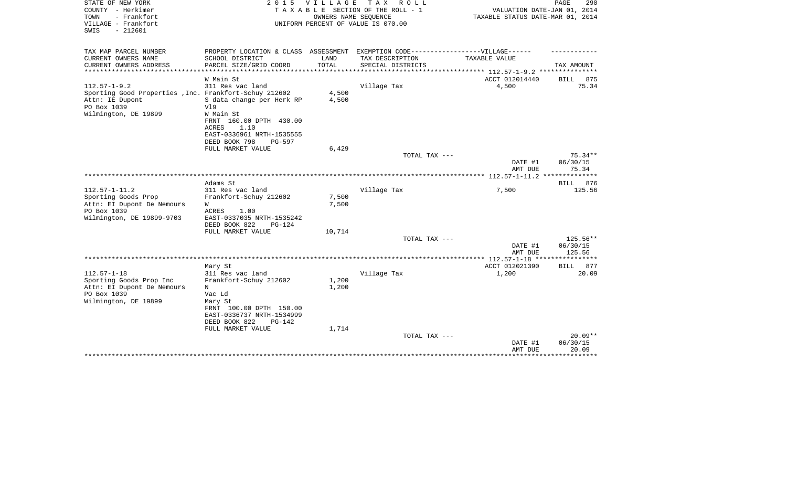| STATE OF NEW YORK<br>COUNTY - Herkimer<br>- Frankfort<br>TOWN<br>VILLAGE - Frankfort<br>$-212601$<br>SWIS | 2 0 1 5                                                                           | VILLAGE        | T A X<br>R O L L<br>TAXABLE SECTION OF THE ROLL - 1<br>OWNERS NAME SEOUENCE<br>UNIFORM PERCENT OF VALUE IS 070.00 | VALUATION DATE-JAN 01, 2014<br>TAXABLE STATUS DATE-MAR 01, 2014 | PAGE<br>290          |
|-----------------------------------------------------------------------------------------------------------|-----------------------------------------------------------------------------------|----------------|-------------------------------------------------------------------------------------------------------------------|-----------------------------------------------------------------|----------------------|
| TAX MAP PARCEL NUMBER                                                                                     | PROPERTY LOCATION & CLASS ASSESSMENT EXEMPTION CODE-----------------VILLAGE------ |                |                                                                                                                   |                                                                 |                      |
| CURRENT OWNERS NAME<br>CURRENT OWNERS ADDRESS                                                             | SCHOOL DISTRICT<br>PARCEL SIZE/GRID COORD                                         | LAND<br>TOTAL  | TAX DESCRIPTION<br>SPECIAL DISTRICTS                                                                              | TAXABLE VALUE                                                   | TAX AMOUNT           |
|                                                                                                           |                                                                                   |                |                                                                                                                   |                                                                 |                      |
|                                                                                                           | W Main St                                                                         |                |                                                                                                                   | ACCT 012014440                                                  | <b>BILL</b><br>875   |
| $112.57 - 1 - 9.2$                                                                                        | 311 Res vac land                                                                  |                | Village Tax                                                                                                       | 4,500                                                           | 75.34                |
| Sporting Good Properties , Inc. Frankfort-Schuy 212602                                                    |                                                                                   | 4,500          |                                                                                                                   |                                                                 |                      |
| Attn: IE Dupont                                                                                           | S data change per Herk RP                                                         | 4,500          |                                                                                                                   |                                                                 |                      |
| PO Box 1039<br>Wilmington, DE 19899                                                                       | V19<br>W Main St                                                                  |                |                                                                                                                   |                                                                 |                      |
|                                                                                                           | FRNT 160.00 DPTH 430.00                                                           |                |                                                                                                                   |                                                                 |                      |
|                                                                                                           | ACRES<br>1.10                                                                     |                |                                                                                                                   |                                                                 |                      |
|                                                                                                           | EAST-0336961 NRTH-1535555                                                         |                |                                                                                                                   |                                                                 |                      |
|                                                                                                           | DEED BOOK 798<br>PG-597                                                           |                |                                                                                                                   |                                                                 |                      |
|                                                                                                           | FULL MARKET VALUE                                                                 | 6,429          | TOTAL TAX ---                                                                                                     |                                                                 | $75.34**$            |
|                                                                                                           |                                                                                   |                |                                                                                                                   | DATE #1                                                         | 06/30/15             |
|                                                                                                           |                                                                                   |                |                                                                                                                   | AMT DUE                                                         | 75.34                |
|                                                                                                           | .******************************                                                   |                |                                                                                                                   | *********** 112.57-1-11.2                                       | ************         |
|                                                                                                           | Adams St                                                                          |                |                                                                                                                   |                                                                 | BILL 876             |
| $112.57 - 1 - 11.2$                                                                                       | 311 Res vac land                                                                  |                | Village Tax                                                                                                       | 7,500                                                           | 125.56               |
| Sporting Goods Prop<br>Attn: EI Dupont De Nemours                                                         | Frankfort-Schuy 212602<br>W                                                       | 7,500<br>7,500 |                                                                                                                   |                                                                 |                      |
| PO Box 1039                                                                                               | ACRES<br>1.00                                                                     |                |                                                                                                                   |                                                                 |                      |
| Wilmington, DE 19899-9703                                                                                 | EAST-0337035 NRTH-1535242                                                         |                |                                                                                                                   |                                                                 |                      |
|                                                                                                           | DEED BOOK 822<br>$PG-124$                                                         |                |                                                                                                                   |                                                                 |                      |
|                                                                                                           | FULL MARKET VALUE                                                                 | 10,714         |                                                                                                                   |                                                                 |                      |
|                                                                                                           |                                                                                   |                | TOTAL TAX ---                                                                                                     | DATE #1                                                         | 125.56**<br>06/30/15 |
|                                                                                                           |                                                                                   |                |                                                                                                                   | AMT DUE                                                         | 125.56               |
|                                                                                                           | ****************************                                                      |                | ***********************                                                                                           | *** 112.57-1-18 ***                                             |                      |
|                                                                                                           | Mary St                                                                           |                |                                                                                                                   | ACCT 012021390                                                  | 877<br><b>BILL</b>   |
| $112.57 - 1 - 18$                                                                                         | 311 Res vac land                                                                  |                | Village Tax                                                                                                       | 1,200                                                           | 20.09                |
| Sporting Goods Prop Inc                                                                                   | Frankfort-Schuy 212602                                                            | 1,200          |                                                                                                                   |                                                                 |                      |
| Attn: EI Dupont De Nemours<br>PO Box 1039                                                                 | N<br>Vac Ld                                                                       | 1,200          |                                                                                                                   |                                                                 |                      |
| Wilmington, DE 19899                                                                                      | Mary St                                                                           |                |                                                                                                                   |                                                                 |                      |
|                                                                                                           | FRNT 100.00 DPTH 150.00                                                           |                |                                                                                                                   |                                                                 |                      |
|                                                                                                           | EAST-0336737 NRTH-1534999                                                         |                |                                                                                                                   |                                                                 |                      |
|                                                                                                           | DEED BOOK 822<br>$PG-142$                                                         |                |                                                                                                                   |                                                                 |                      |
|                                                                                                           | FULL MARKET VALUE                                                                 | 1,714          | TOTAL TAX ---                                                                                                     |                                                                 | $20.09**$            |
|                                                                                                           |                                                                                   |                |                                                                                                                   | DATE #1                                                         | 06/30/15             |
|                                                                                                           |                                                                                   |                |                                                                                                                   | AMT DUE                                                         | 20.09                |
|                                                                                                           |                                                                                   |                |                                                                                                                   |                                                                 |                      |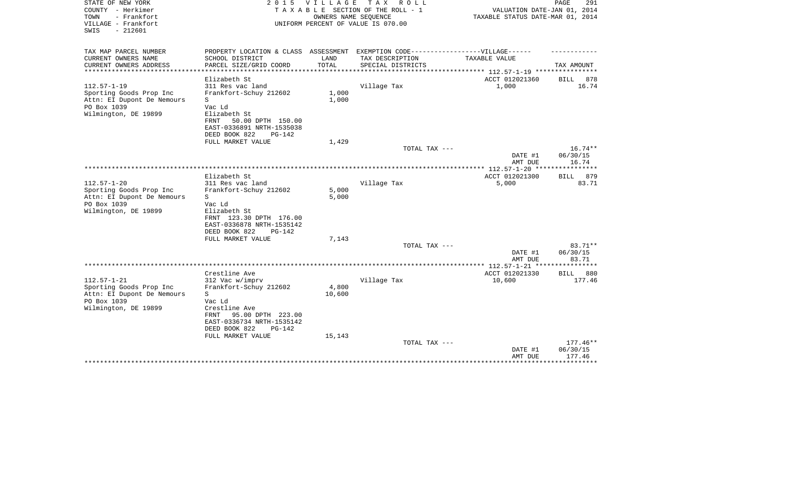| STATE OF NEW YORK<br>COUNTY - Herkimer<br>- Frankfort<br>TOWN<br>VILLAGE - Frankfort<br>SWIS<br>$-212601$         | 2 0 1 5                                                                                                                                                                           | VILLAGE<br>OWNERS NAME SEQUENCE | TAX ROLL<br>TAXABLE SECTION OF THE ROLL - 1<br>UNIFORM PERCENT OF VALUE IS 070.00 | VALUATION DATE-JAN 01, 2014<br>TAXABLE STATUS DATE-MAR 01, 2014 | PAGE<br>291                    |
|-------------------------------------------------------------------------------------------------------------------|-----------------------------------------------------------------------------------------------------------------------------------------------------------------------------------|---------------------------------|-----------------------------------------------------------------------------------|-----------------------------------------------------------------|--------------------------------|
| TAX MAP PARCEL NUMBER<br>CURRENT OWNERS NAME                                                                      | PROPERTY LOCATION & CLASS ASSESSMENT EXEMPTION CODE-----------------VILLAGE------<br>SCHOOL DISTRICT                                                                              | LAND                            | TAX DESCRIPTION                                                                   | TAXABLE VALUE                                                   |                                |
| CURRENT OWNERS ADDRESS<br>*******************                                                                     | PARCEL SIZE/GRID COORD<br>***************                                                                                                                                         | TOTAL                           | SPECIAL DISTRICTS                                                                 | ************ 112.57-1-19 *****************                      | TAX AMOUNT                     |
|                                                                                                                   | Elizabeth St                                                                                                                                                                      |                                 |                                                                                   | ACCT 012021360                                                  | <b>BILL</b><br>878             |
| $112.57 - 1 - 19$<br>Sporting Goods Prop Inc<br>Attn: EI Dupont De Nemours<br>PO Box 1039<br>Wilmington, DE 19899 | 311 Res vac land<br>Frankfort-Schuy 212602<br>S<br>Vac Ld<br>Elizabeth St<br><b>FRNT</b><br>50.00 DPTH 150.00<br>EAST-0336891 NRTH-1535038<br>DEED BOOK 822<br>$PG-142$           | 1,000<br>1,000                  | Village Tax                                                                       | 1,000                                                           | 16.74                          |
|                                                                                                                   | FULL MARKET VALUE                                                                                                                                                                 | 1,429                           |                                                                                   |                                                                 | $16.74**$                      |
|                                                                                                                   |                                                                                                                                                                                   |                                 | TOTAL TAX ---                                                                     | DATE #1<br>AMT DUE                                              | 06/30/15<br>16.74              |
|                                                                                                                   |                                                                                                                                                                                   |                                 |                                                                                   |                                                                 |                                |
| $112.57 - 1 - 20$<br>Sporting Goods Prop Inc<br>Attn: EI Dupont De Nemours<br>PO Box 1039<br>Wilmington, DE 19899 | Elizabeth St<br>311 Res vac land<br>Frankfort-Schuy 212602<br>S<br>Vac Ld<br>Elizabeth St<br>FRNT 123.30 DPTH 176.00<br>EAST-0336878 NRTH-1535142<br>DEED BOOK 822<br>$PG-142$    | 5,000<br>5,000                  | Village Tax                                                                       | ACCT 012021300<br>5,000                                         | 879<br><b>BILL</b><br>83.71    |
|                                                                                                                   | FULL MARKET VALUE                                                                                                                                                                 | 7,143                           | TOTAL TAX ---                                                                     |                                                                 | 83.71**                        |
|                                                                                                                   |                                                                                                                                                                                   |                                 |                                                                                   | DATE #1<br>AMT DUE                                              | 06/30/15<br>83.71              |
|                                                                                                                   |                                                                                                                                                                                   |                                 |                                                                                   | **************** 112.57-1-21 ****                               | ***********                    |
| $112.57 - 1 - 21$<br>Sporting Goods Prop Inc<br>Attn: EI Dupont De Nemours<br>PO Box 1039<br>Wilmington, DE 19899 | Crestline Ave<br>312 Vac w/imprv<br>Frankfort-Schuy 212602<br>S<br>Vac Ld<br>Crestline Ave<br>95.00 DPTH 223.00<br>FRNT<br>EAST-0336734 NRTH-1535142<br>DEED BOOK 822<br>$PG-142$ | 4,800<br>10,600                 | Village Tax                                                                       | ACCT 012021330<br>10,600                                        | 880<br><b>BILL</b><br>177.46   |
|                                                                                                                   | FULL MARKET VALUE                                                                                                                                                                 | 15,143                          | TOTAL TAX ---                                                                     | DATE #1<br>AMT DUE                                              | 177.46**<br>06/30/15<br>177.46 |
|                                                                                                                   |                                                                                                                                                                                   |                                 |                                                                                   |                                                                 |                                |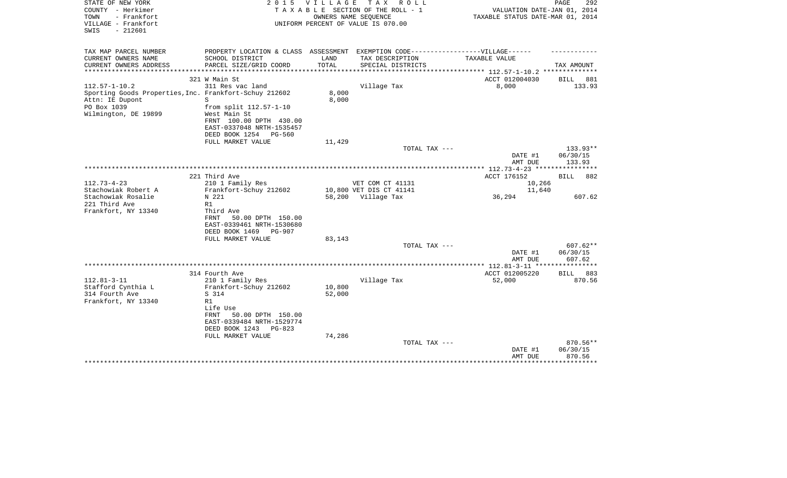| STATE OF NEW YORK<br>COUNTY - Herkimer<br>TOWN<br>- Frankfort<br>VILLAGE - Frankfort<br>$-212601$<br>SWIS | 2 0 1 5                                                                           | VILLAGE              | T A X<br>R O L L<br>TAXABLE SECTION OF THE ROLL - 1<br>OWNERS NAME SEQUENCE<br>UNIFORM PERCENT OF VALUE IS 070.00 | VALUATION DATE-JAN 01, 2014<br>TAXABLE STATUS DATE-MAR 01, 2014 | PAGE<br>292        |
|-----------------------------------------------------------------------------------------------------------|-----------------------------------------------------------------------------------|----------------------|-------------------------------------------------------------------------------------------------------------------|-----------------------------------------------------------------|--------------------|
| TAX MAP PARCEL NUMBER                                                                                     | PROPERTY LOCATION & CLASS ASSESSMENT EXEMPTION CODE-----------------VILLAGE------ |                      |                                                                                                                   |                                                                 |                    |
| CURRENT OWNERS NAME                                                                                       | SCHOOL DISTRICT                                                                   | LAND                 | TAX DESCRIPTION                                                                                                   | TAXABLE VALUE                                                   |                    |
| CURRENT OWNERS ADDRESS<br>********************                                                            | PARCEL SIZE/GRID COORD<br>************************                                | TOTAL<br>*********** | SPECIAL DISTRICTS                                                                                                 | **************** 112.57-1-10.2 ***************                  | TAX AMOUNT         |
|                                                                                                           | 321 W Main St                                                                     |                      |                                                                                                                   | ACCT 012004030                                                  | BILL<br>881        |
| $112.57 - 1 - 10.2$                                                                                       | 311 Res vac land                                                                  |                      | Village Tax                                                                                                       | 8,000                                                           | 133.93             |
| Sporting Goods Properties, Inc. Frankfort-Schuy 212602                                                    |                                                                                   | 8,000                |                                                                                                                   |                                                                 |                    |
| Attn: IE Dupont                                                                                           | S                                                                                 | 8,000                |                                                                                                                   |                                                                 |                    |
| PO Box 1039                                                                                               | from split 112.57-1-10                                                            |                      |                                                                                                                   |                                                                 |                    |
| Wilmington, DE 19899                                                                                      | West Main St                                                                      |                      |                                                                                                                   |                                                                 |                    |
|                                                                                                           | FRNT 100.00 DPTH 430.00                                                           |                      |                                                                                                                   |                                                                 |                    |
|                                                                                                           | EAST-0337048 NRTH-1535457<br>DEED BOOK 1254<br>PG-560                             |                      |                                                                                                                   |                                                                 |                    |
|                                                                                                           | FULL MARKET VALUE                                                                 | 11,429               |                                                                                                                   |                                                                 |                    |
|                                                                                                           |                                                                                   |                      | TOTAL TAX ---                                                                                                     |                                                                 | 133.93**           |
|                                                                                                           |                                                                                   |                      |                                                                                                                   | DATE #1                                                         | 06/30/15           |
|                                                                                                           |                                                                                   |                      |                                                                                                                   | AMT DUE                                                         | 133.93             |
|                                                                                                           |                                                                                   |                      |                                                                                                                   |                                                                 |                    |
|                                                                                                           | 221 Third Ave                                                                     |                      |                                                                                                                   | ACCT 176152                                                     | <b>BILL</b><br>882 |
| $112.73 - 4 - 23$                                                                                         | 210 1 Family Res                                                                  |                      | VET COM CT 41131                                                                                                  | 10,266                                                          |                    |
| Stachowiak Robert A                                                                                       | Frankfort-Schuy 212602                                                            |                      | 10,800 VET DIS CT 41141                                                                                           | 11,640                                                          |                    |
| Stachowiak Rosalie<br>221 Third Ave                                                                       | N 221<br>R1                                                                       |                      | 58,200 Village Tax                                                                                                | 36,294                                                          | 607.62             |
| Frankfort, NY 13340                                                                                       | Third Ave                                                                         |                      |                                                                                                                   |                                                                 |                    |
|                                                                                                           | 50.00 DPTH 150.00<br>FRNT                                                         |                      |                                                                                                                   |                                                                 |                    |
|                                                                                                           | EAST-0339461 NRTH-1530680                                                         |                      |                                                                                                                   |                                                                 |                    |
|                                                                                                           | DEED BOOK 1469<br>PG-907                                                          |                      |                                                                                                                   |                                                                 |                    |
|                                                                                                           | FULL MARKET VALUE                                                                 | 83,143               |                                                                                                                   |                                                                 |                    |
|                                                                                                           |                                                                                   |                      | TOTAL TAX ---                                                                                                     |                                                                 | $607.62**$         |
|                                                                                                           |                                                                                   |                      |                                                                                                                   | DATE #1                                                         | 06/30/15<br>607.62 |
|                                                                                                           |                                                                                   |                      |                                                                                                                   | AMT DUE<br>*********** 112.81-3-11 *****************            |                    |
|                                                                                                           | 314 Fourth Ave                                                                    |                      |                                                                                                                   | ACCT 012005220                                                  | 883<br>BILL        |
| $112.81 - 3 - 11$                                                                                         | 210 1 Family Res                                                                  |                      | Village Tax                                                                                                       | 52,000                                                          | 870.56             |
| Stafford Cynthia L                                                                                        | Frankfort-Schuy 212602                                                            | 10,800               |                                                                                                                   |                                                                 |                    |
| 314 Fourth Ave                                                                                            | S 314                                                                             | 52,000               |                                                                                                                   |                                                                 |                    |
| Frankfort, NY 13340                                                                                       | R1                                                                                |                      |                                                                                                                   |                                                                 |                    |
|                                                                                                           | Life Use                                                                          |                      |                                                                                                                   |                                                                 |                    |
|                                                                                                           | 50.00 DPTH 150.00<br>FRNT                                                         |                      |                                                                                                                   |                                                                 |                    |
|                                                                                                           | EAST-0339484 NRTH-1529774                                                         |                      |                                                                                                                   |                                                                 |                    |
|                                                                                                           | DEED BOOK 1243<br>$PG-823$<br>FULL MARKET VALUE                                   | 74,286               |                                                                                                                   |                                                                 |                    |
|                                                                                                           |                                                                                   |                      | TOTAL TAX ---                                                                                                     |                                                                 | 870.56**           |
|                                                                                                           |                                                                                   |                      |                                                                                                                   | DATE #1                                                         | 06/30/15           |
|                                                                                                           |                                                                                   |                      |                                                                                                                   | AMT DUE                                                         | 870.56             |
|                                                                                                           |                                                                                   |                      |                                                                                                                   |                                                                 |                    |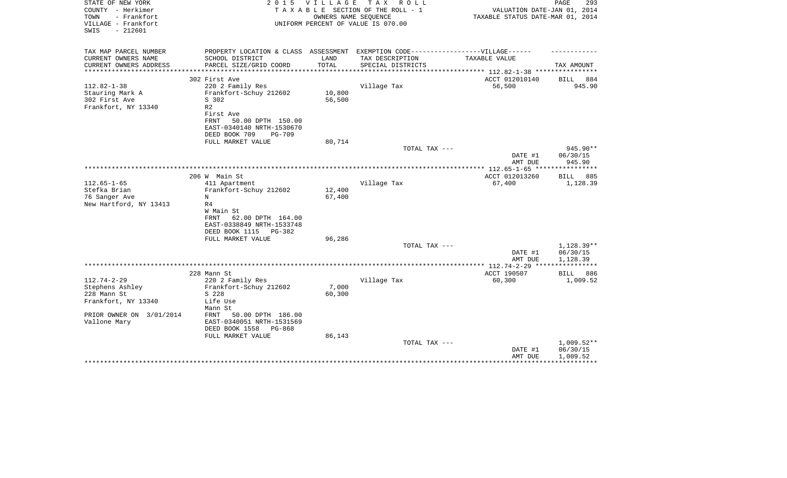| STATE OF NEW YORK<br>COUNTY - Herkimer<br>- Frankfort<br>TOWN<br>VILLAGE - Frankfort<br>$-212601$<br>SWIS | 2 0 1 5                                                                                              | <b>VILLAGE</b> | T A X<br>R O L L<br>TAXABLE SECTION OF THE ROLL - 1<br>OWNERS NAME SEQUENCE<br>UNIFORM PERCENT OF VALUE IS 070.00 | VALUATION DATE-JAN 01, 2014<br>TAXABLE STATUS DATE-MAR 01, 2014 | PAGE<br>293              |
|-----------------------------------------------------------------------------------------------------------|------------------------------------------------------------------------------------------------------|----------------|-------------------------------------------------------------------------------------------------------------------|-----------------------------------------------------------------|--------------------------|
| TAX MAP PARCEL NUMBER<br>CURRENT OWNERS NAME                                                              | PROPERTY LOCATION & CLASS ASSESSMENT EXEMPTION CODE-----------------VILLAGE------<br>SCHOOL DISTRICT | LAND           | TAX DESCRIPTION                                                                                                   | TAXABLE VALUE                                                   |                          |
| CURRENT OWNERS ADDRESS                                                                                    | PARCEL SIZE/GRID COORD                                                                               | TOTAL          | SPECIAL DISTRICTS                                                                                                 |                                                                 | TAX AMOUNT               |
| *********************                                                                                     |                                                                                                      |                |                                                                                                                   |                                                                 |                          |
| $112.82 - 1 - 38$                                                                                         | 302 First Ave<br>220 2 Family Res                                                                    |                | Village Tax                                                                                                       | ACCT 012010140<br>56,500                                        | BILL<br>884<br>945.90    |
| Stauring Mark A                                                                                           | Frankfort-Schuy 212602                                                                               | 10,800         |                                                                                                                   |                                                                 |                          |
| 302 First Ave                                                                                             | S 302                                                                                                | 56,500         |                                                                                                                   |                                                                 |                          |
| Frankfort, NY 13340                                                                                       | R <sub>2</sub>                                                                                       |                |                                                                                                                   |                                                                 |                          |
|                                                                                                           | First Ave                                                                                            |                |                                                                                                                   |                                                                 |                          |
|                                                                                                           | FRNT<br>50.00 DPTH 150.00                                                                            |                |                                                                                                                   |                                                                 |                          |
|                                                                                                           | EAST-0340140 NRTH-1530670<br>DEED BOOK 709<br><b>PG-709</b>                                          |                |                                                                                                                   |                                                                 |                          |
|                                                                                                           | FULL MARKET VALUE                                                                                    | 80,714         |                                                                                                                   |                                                                 |                          |
|                                                                                                           |                                                                                                      |                | TOTAL TAX ---                                                                                                     |                                                                 | 945.90**                 |
|                                                                                                           |                                                                                                      |                |                                                                                                                   | DATE #1                                                         | 06/30/15                 |
|                                                                                                           |                                                                                                      |                |                                                                                                                   | AMT DUE                                                         | 945.90                   |
|                                                                                                           |                                                                                                      |                |                                                                                                                   |                                                                 |                          |
| $112.65 - 1 - 65$                                                                                         | 206 W Main St<br>411 Apartment                                                                       |                | Village Tax                                                                                                       | ACCT 012013260<br>67,400                                        | 885<br>BILL<br>1,128.39  |
| Stefka Brian                                                                                              | Frankfort-Schuy 212602                                                                               | 12,400         |                                                                                                                   |                                                                 |                          |
| 76 Sanger Ave                                                                                             | N                                                                                                    | 67,400         |                                                                                                                   |                                                                 |                          |
| New Hartford, NY 13413                                                                                    | R <sub>4</sub>                                                                                       |                |                                                                                                                   |                                                                 |                          |
|                                                                                                           | W Main St                                                                                            |                |                                                                                                                   |                                                                 |                          |
|                                                                                                           | 62.00 DPTH 164.00<br>FRNT<br>EAST-0338849 NRTH-1533748                                               |                |                                                                                                                   |                                                                 |                          |
|                                                                                                           | DEED BOOK 1115<br>PG-382                                                                             |                |                                                                                                                   |                                                                 |                          |
|                                                                                                           | FULL MARKET VALUE                                                                                    | 96,286         |                                                                                                                   |                                                                 |                          |
|                                                                                                           |                                                                                                      |                | TOTAL TAX ---                                                                                                     |                                                                 | 1,128.39**               |
|                                                                                                           |                                                                                                      |                |                                                                                                                   | DATE #1                                                         | 06/30/15                 |
|                                                                                                           |                                                                                                      |                |                                                                                                                   | AMT DUE                                                         | 1,128.39<br>************ |
|                                                                                                           | 228 Mann St                                                                                          |                |                                                                                                                   | ACCT 190507                                                     | BILL<br>886              |
| $112.74 - 2 - 29$                                                                                         | 220 2 Family Res                                                                                     |                | Village Tax                                                                                                       | 60,300                                                          | 1,009.52                 |
| Stephens Ashley                                                                                           | Frankfort-Schuy 212602                                                                               | 7,000          |                                                                                                                   |                                                                 |                          |
| 228 Mann St                                                                                               | S 228                                                                                                | 60,300         |                                                                                                                   |                                                                 |                          |
| Frankfort, NY 13340                                                                                       | Life Use                                                                                             |                |                                                                                                                   |                                                                 |                          |
| PRIOR OWNER ON 3/01/2014                                                                                  | Mann St<br>50.00 DPTH 186.00<br>FRNT                                                                 |                |                                                                                                                   |                                                                 |                          |
| Vallone Mary                                                                                              | EAST-0340051 NRTH-1531569                                                                            |                |                                                                                                                   |                                                                 |                          |
|                                                                                                           | DEED BOOK 1558<br>PG-868                                                                             |                |                                                                                                                   |                                                                 |                          |
|                                                                                                           | FULL MARKET VALUE                                                                                    | 86,143         |                                                                                                                   |                                                                 |                          |
|                                                                                                           |                                                                                                      |                | TOTAL TAX ---                                                                                                     |                                                                 | $1,009.52**$             |
|                                                                                                           |                                                                                                      |                |                                                                                                                   | DATE #1                                                         | 06/30/15                 |
|                                                                                                           |                                                                                                      |                |                                                                                                                   | AMT DUE                                                         | 1,009.52                 |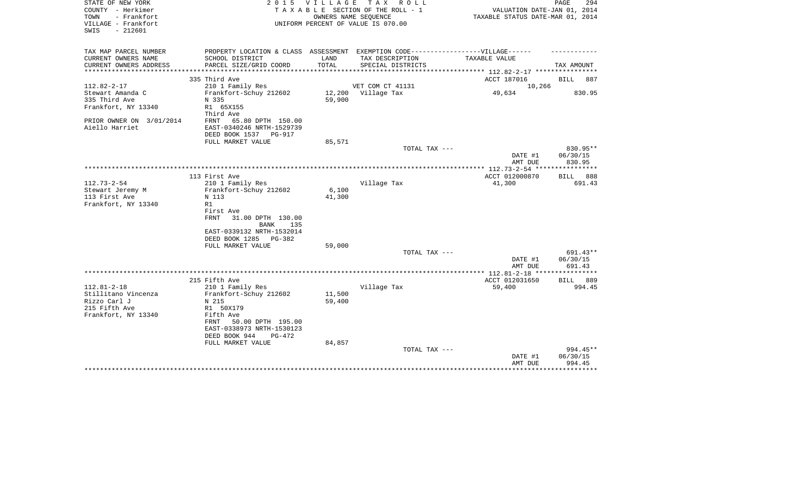| STATE OF NEW YORK<br>COUNTY - Herkimer<br>TOWN<br>- Frankfort<br>VILLAGE - Frankfort<br>$-212601$<br>SWIS | 2 0 1 5                                                                                                                        | V I L L A G E    | T A X<br>R O L L<br>TAXABLE SECTION OF THE ROLL - 1<br>OWNERS NAME SEOUENCE<br>UNIFORM PERCENT OF VALUE IS 070.00 | VALUATION DATE-JAN 01, 2014<br>TAXABLE STATUS DATE-MAR 01, 2014 | PAGE<br>294                      |
|-----------------------------------------------------------------------------------------------------------|--------------------------------------------------------------------------------------------------------------------------------|------------------|-------------------------------------------------------------------------------------------------------------------|-----------------------------------------------------------------|----------------------------------|
| TAX MAP PARCEL NUMBER<br>CURRENT OWNERS NAME<br>CURRENT OWNERS ADDRESS<br>**********************          | PROPERTY LOCATION & CLASS ASSESSMENT EXEMPTION CODE-----------------VILLAGE------<br>SCHOOL DISTRICT<br>PARCEL SIZE/GRID COORD | LAND<br>TOTAL    | TAX DESCRIPTION<br>SPECIAL DISTRICTS                                                                              | TAXABLE VALUE                                                   | TAX AMOUNT                       |
|                                                                                                           | 335 Third Ave                                                                                                                  |                  |                                                                                                                   | ACCT 187016                                                     | <b>BILL</b><br>887               |
| $112.82 - 2 - 17$                                                                                         | 210 1 Family Res                                                                                                               |                  | VET COM CT 41131                                                                                                  | 10,266                                                          |                                  |
| Stewart Amanda C<br>335 Third Ave                                                                         | Frankfort-Schuy 212602<br>N 335                                                                                                | 12,200<br>59,900 | Village Tax                                                                                                       | 49,634                                                          | 830.95                           |
| Frankfort, NY 13340                                                                                       | R1 65X155<br>Third Ave                                                                                                         |                  |                                                                                                                   |                                                                 |                                  |
| PRIOR OWNER ON 3/01/2014<br>Aiello Harriet                                                                | FRNT<br>65.80 DPTH 150.00<br>EAST-0340246 NRTH-1529739<br>DEED BOOK 1537<br>PG-917                                             |                  |                                                                                                                   |                                                                 |                                  |
|                                                                                                           | FULL MARKET VALUE                                                                                                              | 85,571           |                                                                                                                   |                                                                 |                                  |
|                                                                                                           |                                                                                                                                |                  | TOTAL TAX ---                                                                                                     | DATE #1<br>AMT DUE                                              | 830.95**<br>06/30/15<br>830.95   |
|                                                                                                           |                                                                                                                                |                  |                                                                                                                   |                                                                 |                                  |
|                                                                                                           | 113 First Ave                                                                                                                  |                  |                                                                                                                   | ACCT 012000870                                                  | 888<br>BILL                      |
| $112.73 - 2 - 54$<br>Stewart Jeremy M<br>113 First Ave<br>Frankfort, NY 13340                             | 210 1 Family Res<br>Frankfort-Schuy 212602<br>N 113<br>R1<br>First Ave                                                         | 6,100<br>41,300  | Village Tax                                                                                                       | 41,300                                                          | 691.43                           |
|                                                                                                           | <b>FRNT</b><br>31.00 DPTH 130.00<br><b>BANK</b><br>135<br>EAST-0339132 NRTH-1532014<br>DEED BOOK 1285<br>$PG-382$              |                  |                                                                                                                   |                                                                 |                                  |
|                                                                                                           | FULL MARKET VALUE                                                                                                              | 59,000           |                                                                                                                   |                                                                 |                                  |
|                                                                                                           |                                                                                                                                |                  | TOTAL TAX ---                                                                                                     | DATE #1<br>AMT DUE                                              | $691.43**$<br>06/30/15<br>691.43 |
|                                                                                                           |                                                                                                                                |                  |                                                                                                                   | *************** 112.81-2-18 *****************                   |                                  |
|                                                                                                           | 215 Fifth Ave                                                                                                                  |                  |                                                                                                                   | ACCT 012031650                                                  | BILL<br>889                      |
| $112.81 - 2 - 18$                                                                                         | 210 1 Family Res                                                                                                               |                  | Village Tax                                                                                                       | 59,400                                                          | 994.45                           |
| Stillitano Vincenza<br>Rizzo Carl J                                                                       | Frankfort-Schuy 212602<br>N 215                                                                                                | 11,500<br>59,400 |                                                                                                                   |                                                                 |                                  |
| 215 Fifth Ave                                                                                             | R1 50X179                                                                                                                      |                  |                                                                                                                   |                                                                 |                                  |
| Frankfort, NY 13340                                                                                       | Fifth Ave                                                                                                                      |                  |                                                                                                                   |                                                                 |                                  |
|                                                                                                           | FRNT<br>50.00 DPTH 195.00<br>EAST-0338973 NRTH-1530123                                                                         |                  |                                                                                                                   |                                                                 |                                  |
|                                                                                                           | DEED BOOK 944<br>$PG-472$<br>FULL MARKET VALUE                                                                                 | 84,857           |                                                                                                                   |                                                                 |                                  |
|                                                                                                           |                                                                                                                                |                  | TOTAL TAX ---                                                                                                     |                                                                 | 994.45**                         |
|                                                                                                           |                                                                                                                                |                  |                                                                                                                   | DATE #1                                                         | 06/30/15                         |
|                                                                                                           |                                                                                                                                |                  |                                                                                                                   | AMT DUE                                                         | 994.45                           |
|                                                                                                           |                                                                                                                                |                  |                                                                                                                   |                                                                 |                                  |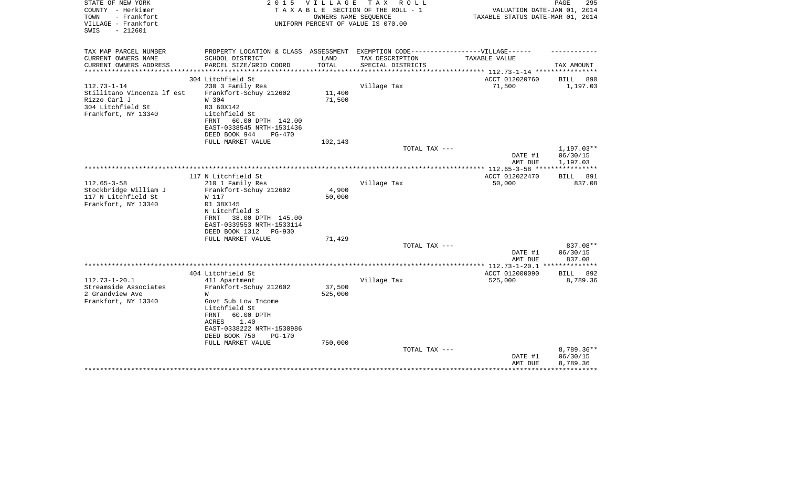| STATE OF NEW YORK                        | 2 0 1 5                                                                          | V I L L A G E | тах<br>R O L L                     |                                  | PAGE<br>295  |
|------------------------------------------|----------------------------------------------------------------------------------|---------------|------------------------------------|----------------------------------|--------------|
| COUNTY - Herkimer                        |                                                                                  |               | TAXABLE SECTION OF THE ROLL - 1    | VALUATION DATE-JAN 01, 2014      |              |
| TOWN<br>- Frankfort                      |                                                                                  |               | OWNERS NAME SEOUENCE               | TAXABLE STATUS DATE-MAR 01, 2014 |              |
| VILLAGE - Frankfort<br>$-212601$<br>SWIS |                                                                                  |               | UNIFORM PERCENT OF VALUE IS 070.00 |                                  |              |
|                                          |                                                                                  |               |                                    |                                  |              |
|                                          |                                                                                  |               |                                    |                                  |              |
| TAX MAP PARCEL NUMBER                    | PROPERTY LOCATION & CLASS ASSESSMENT EXEMPTION CODE----------------VILLAGE------ |               |                                    |                                  |              |
| CURRENT OWNERS NAME                      | SCHOOL DISTRICT                                                                  | LAND          | TAX DESCRIPTION                    | TAXABLE VALUE                    |              |
| CURRENT OWNERS ADDRESS                   | PARCEL SIZE/GRID COORD                                                           | TOTAL         | SPECIAL DISTRICTS                  |                                  | TAX AMOUNT   |
| **********************                   |                                                                                  |               |                                    |                                  |              |
|                                          | 304 Litchfield St                                                                |               |                                    | ACCT 012020760                   | BILL<br>890  |
| $112.73 - 1 - 14$                        | 230 3 Family Res                                                                 |               | Village Tax                        | 71,500                           | 1,197.03     |
| Stillitano Vincenza lf est               | Frankfort-Schuy 212602                                                           | 11,400        |                                    |                                  |              |
| Rizzo Carl J                             | W 304                                                                            | 71,500        |                                    |                                  |              |
| 304 Litchfield St                        | R3 60X142                                                                        |               |                                    |                                  |              |
| Frankfort, NY 13340                      | Litchfield St                                                                    |               |                                    |                                  |              |
|                                          | 60.00 DPTH 142.00<br>FRNT<br>EAST-0338545 NRTH-1531436                           |               |                                    |                                  |              |
|                                          | DEED BOOK 944<br>$PG-470$                                                        |               |                                    |                                  |              |
|                                          | FULL MARKET VALUE                                                                | 102,143       |                                    |                                  |              |
|                                          |                                                                                  |               | TOTAL TAX ---                      |                                  | 1,197.03**   |
|                                          |                                                                                  |               |                                    | DATE #1                          | 06/30/15     |
|                                          |                                                                                  |               |                                    | AMT DUE                          | 1,197.03     |
|                                          |                                                                                  |               |                                    |                                  |              |
|                                          | 117 N Litchfield St                                                              |               |                                    | ACCT 012022470                   | 891<br>BILL  |
| $112.65 - 3 - 58$                        | 210 1 Family Res                                                                 |               | Village Tax                        | 50,000                           | 837.08       |
| Stockbridge William J                    | Frankfort-Schuy 212602                                                           | 4,900         |                                    |                                  |              |
| 117 N Litchfield St                      | W 117                                                                            | 50,000        |                                    |                                  |              |
| Frankfort, NY 13340                      | R1 38X145                                                                        |               |                                    |                                  |              |
|                                          | N Litchfield S                                                                   |               |                                    |                                  |              |
|                                          | 38.00 DPTH 145.00<br>FRNT                                                        |               |                                    |                                  |              |
|                                          | EAST-0339553 NRTH-1533114                                                        |               |                                    |                                  |              |
|                                          | DEED BOOK 1312<br><b>PG-930</b>                                                  |               |                                    |                                  |              |
|                                          | FULL MARKET VALUE                                                                | 71,429        |                                    |                                  |              |
|                                          |                                                                                  |               | TOTAL TAX ---                      |                                  | 837.08**     |
|                                          |                                                                                  |               |                                    | DATE #1                          | 06/30/15     |
|                                          |                                                                                  |               |                                    | AMT DUE                          | 837.08       |
|                                          |                                                                                  |               |                                    |                                  |              |
|                                          | 404 Litchfield St                                                                |               |                                    | ACCT 012000090                   | BILL<br>892  |
| $112.73 - 1 - 20.1$                      | 411 Apartment                                                                    |               | Village Tax                        | 525,000                          | 8,789.36     |
| Streamside Associates                    | Frankfort-Schuy 212602                                                           | 37,500        |                                    |                                  |              |
| 2 Grandview Ave                          | W                                                                                | 525,000       |                                    |                                  |              |
| Frankfort, NY 13340                      | Govt Sub Low Income                                                              |               |                                    |                                  |              |
|                                          | Litchfield St<br>60.00 DPTH                                                      |               |                                    |                                  |              |
|                                          | FRNT<br>ACRES<br>1.40                                                            |               |                                    |                                  |              |
|                                          | EAST-0338222 NRTH-1530986                                                        |               |                                    |                                  |              |
|                                          | DEED BOOK 750<br>PG-170                                                          |               |                                    |                                  |              |
|                                          | FULL MARKET VALUE                                                                | 750,000       |                                    |                                  |              |
|                                          |                                                                                  |               | TOTAL TAX ---                      |                                  | $8,789.36**$ |
|                                          |                                                                                  |               |                                    | DATE #1                          | 06/30/15     |
|                                          |                                                                                  |               |                                    | AMT DUE                          | 8,789.36     |
|                                          |                                                                                  |               |                                    |                                  |              |
|                                          |                                                                                  |               |                                    |                                  |              |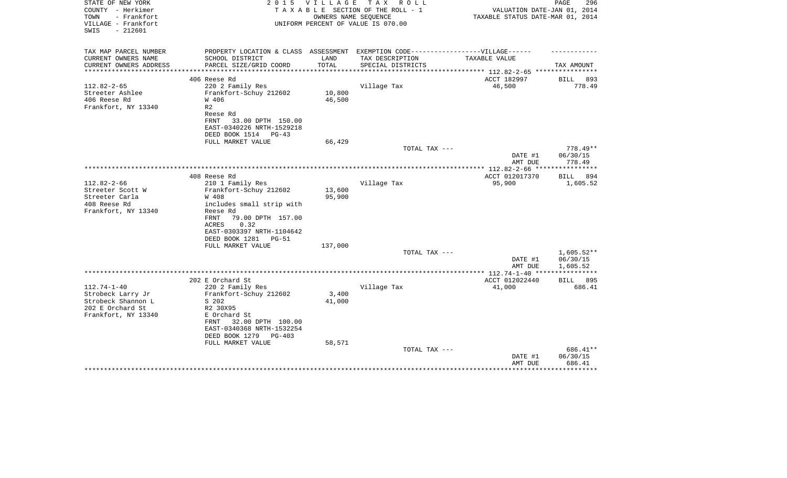|               | VALUATION DATE-JAN 01, 2014                                     | TAXABLE STATUS DATE-MAR 01, 2014             |                                               | TAXABLE SECTION OF THE ROLL - 1<br>OWNERS NAME SEOUENCE<br>UNIFORM PERCENT OF VALUE IS 070.00 |                                                                                                                                                                                                     | COUNTY - Herkimer<br>TOWN<br>- Frankfort<br>VILLAGE - Frankfort<br>$-212601$<br>SWIS                                                           |
|---------------|-----------------------------------------------------------------|----------------------------------------------|-----------------------------------------------|-----------------------------------------------------------------------------------------------|-----------------------------------------------------------------------------------------------------------------------------------------------------------------------------------------------------|------------------------------------------------------------------------------------------------------------------------------------------------|
|               |                                                                 |                                              | EXEMPTION CODE------------------VILLAGE------ |                                                                                               | PROPERTY LOCATION & CLASS ASSESSMENT                                                                                                                                                                | TAX MAP PARCEL NUMBER                                                                                                                          |
|               | TAX AMOUNT                                                      | TAXABLE VALUE                                | TAX DESCRIPTION<br>SPECIAL DISTRICTS          | LAND<br>TOTAL                                                                                 | SCHOOL DISTRICT<br>PARCEL SIZE/GRID COORD                                                                                                                                                           | CURRENT OWNERS NAME<br>CURRENT OWNERS ADDRESS                                                                                                  |
|               |                                                                 |                                              |                                               |                                                                                               |                                                                                                                                                                                                     | ***********************                                                                                                                        |
| 893<br>778.49 | <b>BILL</b>                                                     | ACCT 182997<br>46,500                        | Village Tax                                   | 10,800                                                                                        | 406 Reese Rd<br>220 2 Family Res<br>Frankfort-Schuy 212602                                                                                                                                          | $112.82 - 2 - 65$<br>Streeter Ashlee                                                                                                           |
|               |                                                                 |                                              |                                               | 46,500                                                                                        | W 406                                                                                                                                                                                               | 406 Reese Rd                                                                                                                                   |
|               |                                                                 |                                              |                                               |                                                                                               | R <sub>2</sub><br>Reese Rd<br>FRNT<br>33.00 DPTH 150.00<br>EAST-0340226 NRTH-1529218                                                                                                                | Frankfort, NY 13340                                                                                                                            |
|               |                                                                 |                                              |                                               | 66,429                                                                                        | DEED BOOK 1514<br>PG-43<br>FULL MARKET VALUE                                                                                                                                                        |                                                                                                                                                |
| 778.49**      |                                                                 |                                              | TOTAL TAX ---                                 |                                                                                               |                                                                                                                                                                                                     |                                                                                                                                                |
|               | 06/30/15<br>778.49                                              | DATE #1<br>AMT DUE                           |                                               |                                                                                               |                                                                                                                                                                                                     |                                                                                                                                                |
|               |                                                                 |                                              |                                               |                                                                                               |                                                                                                                                                                                                     |                                                                                                                                                |
|               |                                                                 |                                              |                                               |                                                                                               |                                                                                                                                                                                                     |                                                                                                                                                |
|               |                                                                 |                                              |                                               | 13,600                                                                                        |                                                                                                                                                                                                     | Streeter Scott W                                                                                                                               |
|               |                                                                 |                                              |                                               | 95,900                                                                                        | W 408                                                                                                                                                                                               | Streeter Carla                                                                                                                                 |
|               |                                                                 |                                              |                                               |                                                                                               |                                                                                                                                                                                                     |                                                                                                                                                |
|               |                                                                 |                                              |                                               |                                                                                               | <b>FRNT</b><br>79.00 DPTH 157.00<br>0.32<br>ACRES                                                                                                                                                   |                                                                                                                                                |
|               |                                                                 |                                              |                                               |                                                                                               | EAST-0303397 NRTH-1104642<br>DEED BOOK 1281<br>$PG-51$                                                                                                                                              |                                                                                                                                                |
|               |                                                                 |                                              |                                               | 137,000                                                                                       | FULL MARKET VALUE                                                                                                                                                                                   |                                                                                                                                                |
|               | 06/30/15                                                        | DATE #1                                      |                                               |                                                                                               |                                                                                                                                                                                                     |                                                                                                                                                |
|               |                                                                 | ************** 112.74-1-40 ***************** |                                               |                                                                                               |                                                                                                                                                                                                     |                                                                                                                                                |
| 895           | BILL                                                            | ACCT 012022440                               |                                               |                                                                                               | 202 E Orchard St                                                                                                                                                                                    |                                                                                                                                                |
| 686.41        |                                                                 | 41,000                                       | Village Tax                                   |                                                                                               | 220 2 Family Res                                                                                                                                                                                    | $112.74 - 1 - 40$                                                                                                                              |
|               |                                                                 |                                              |                                               |                                                                                               |                                                                                                                                                                                                     |                                                                                                                                                |
|               |                                                                 |                                              |                                               |                                                                                               |                                                                                                                                                                                                     |                                                                                                                                                |
|               |                                                                 |                                              |                                               |                                                                                               | E Orchard St                                                                                                                                                                                        |                                                                                                                                                |
|               |                                                                 |                                              |                                               |                                                                                               | 32.00 DPTH 100.00<br>FRNT<br>EAST-0340368 NRTH-1532254                                                                                                                                              |                                                                                                                                                |
|               |                                                                 |                                              |                                               |                                                                                               |                                                                                                                                                                                                     |                                                                                                                                                |
| 686.41**      |                                                                 |                                              | TOTAL TAX ---                                 |                                                                                               |                                                                                                                                                                                                     |                                                                                                                                                |
|               | 06/30/15<br>686.41                                              | DATE #1<br>AMT DUE                           |                                               |                                                                                               |                                                                                                                                                                                                     |                                                                                                                                                |
|               | ***********<br>BILL 894<br>1,605.52<br>$1,605.52**$<br>1,605.52 | ACCT 012017370<br>95,900<br>AMT DUE          | Village Tax<br>TOTAL TAX ---                  | 3,400<br>41,000<br>58,571                                                                     | 408 Reese Rd<br>210 1 Family Res<br>Frankfort-Schuy 212602<br>includes small strip with<br>Reese Rd<br>Frankfort-Schuy 212602<br>S 202<br>R2 30X95<br>DEED BOOK 1279<br>PG-403<br>FULL MARKET VALUE | $112.82 - 2 - 66$<br>408 Reese Rd<br>Frankfort, NY 13340<br>Strobeck Larry Jr<br>Strobeck Shannon L<br>202 E Orchard St<br>Frankfort, NY 13340 |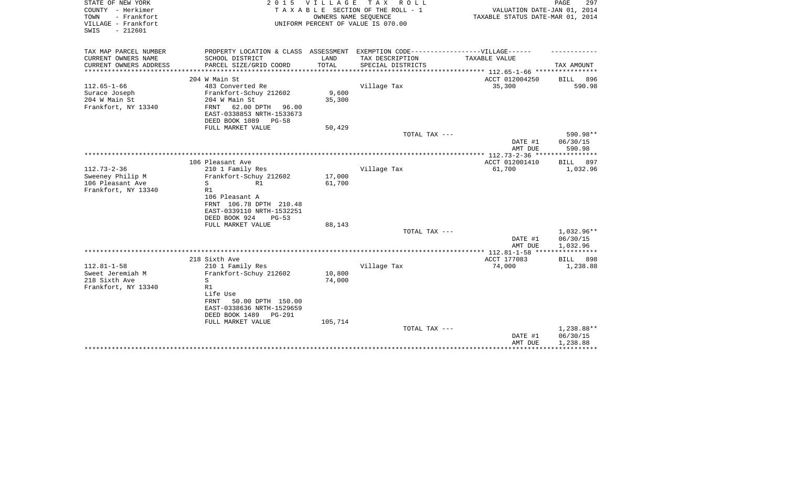| STATE OF NEW YORK<br>COUNTY - Herkimer<br>- Frankfort<br>TOWN<br>VILLAGE - Frankfort<br>$-212601$<br>SWIS | 2 0 1 5                                                                           | VILLAGE<br>OWNERS NAME SEQUENCE | TAX ROLL<br>TAXABLE SECTION OF THE ROLL - 1<br>UNIFORM PERCENT OF VALUE IS 070.00 | VALUATION DATE-JAN 01, 2014<br>TAXABLE STATUS DATE-MAR 01, 2014 | PAGE<br>297                  |
|-----------------------------------------------------------------------------------------------------------|-----------------------------------------------------------------------------------|---------------------------------|-----------------------------------------------------------------------------------|-----------------------------------------------------------------|------------------------------|
| TAX MAP PARCEL NUMBER                                                                                     | PROPERTY LOCATION & CLASS ASSESSMENT EXEMPTION CODE-----------------VILLAGE------ |                                 |                                                                                   |                                                                 |                              |
| CURRENT OWNERS NAME<br>CURRENT OWNERS ADDRESS                                                             | SCHOOL DISTRICT<br>PARCEL SIZE/GRID COORD                                         | LAND<br>TOTAL                   | TAX DESCRIPTION<br>SPECIAL DISTRICTS                                              | TAXABLE VALUE                                                   | TAX AMOUNT                   |
| ******************                                                                                        |                                                                                   | **********                      |                                                                                   | ********** 112.65-1-66 *****************                        |                              |
| $112.65 - 1 - 66$                                                                                         | 204 W Main St<br>483 Converted Re                                                 |                                 |                                                                                   | ACCT 012004250                                                  | <b>BILL</b><br>896<br>590.98 |
| Surace Joseph                                                                                             | Frankfort-Schuy 212602                                                            | 9,600                           | Village Tax                                                                       | 35,300                                                          |                              |
| 204 W Main St                                                                                             | 204 W Main St                                                                     | 35,300                          |                                                                                   |                                                                 |                              |
| Frankfort, NY 13340                                                                                       | FRNT<br>62.00 DPTH 96.00<br>EAST-0338853 NRTH-1533673<br>DEED BOOK 1089 PG-58     |                                 |                                                                                   |                                                                 |                              |
|                                                                                                           | FULL MARKET VALUE                                                                 | 50,429                          |                                                                                   |                                                                 |                              |
|                                                                                                           |                                                                                   |                                 | TOTAL TAX ---                                                                     |                                                                 | 590.98**                     |
|                                                                                                           |                                                                                   |                                 |                                                                                   | DATE #1                                                         | 06/30/15                     |
|                                                                                                           |                                                                                   |                                 |                                                                                   | AMT DUE                                                         | 590.98                       |
|                                                                                                           |                                                                                   |                                 |                                                                                   |                                                                 |                              |
|                                                                                                           | 106 Pleasant Ave                                                                  |                                 |                                                                                   | ACCT 012001410                                                  | <b>BILL</b><br>897           |
| $112.73 - 2 - 36$                                                                                         | 210 1 Family Res                                                                  |                                 | Village Tax                                                                       | 61,700                                                          | 1,032.96                     |
| Sweeney Philip M<br>106 Pleasant Ave                                                                      | Frankfort-Schuy 212602<br>S<br>R1                                                 | 17,000<br>61,700                |                                                                                   |                                                                 |                              |
| Frankfort, NY 13340                                                                                       | R1                                                                                |                                 |                                                                                   |                                                                 |                              |
|                                                                                                           | 106 Pleasant A                                                                    |                                 |                                                                                   |                                                                 |                              |
|                                                                                                           | FRNT 106.78 DPTH 210.48                                                           |                                 |                                                                                   |                                                                 |                              |
|                                                                                                           | EAST-0339110 NRTH-1532251                                                         |                                 |                                                                                   |                                                                 |                              |
|                                                                                                           | DEED BOOK 924<br>$PG-53$                                                          |                                 |                                                                                   |                                                                 |                              |
|                                                                                                           | FULL MARKET VALUE                                                                 | 88,143                          |                                                                                   |                                                                 |                              |
|                                                                                                           |                                                                                   |                                 | TOTAL TAX ---                                                                     |                                                                 | 1,032.96**                   |
|                                                                                                           |                                                                                   |                                 |                                                                                   | DATE #1<br>AMT DUE                                              | 06/30/15<br>1,032.96         |
|                                                                                                           |                                                                                   |                                 |                                                                                   |                                                                 | * * * * * * * * * * * *      |
|                                                                                                           | 218 Sixth Ave                                                                     |                                 |                                                                                   | ACCT 177083                                                     | 898<br>BILL                  |
| $112.81 - 1 - 58$                                                                                         | 210 1 Family Res                                                                  |                                 | Village Tax                                                                       | 74,000                                                          | 1,238.88                     |
| Sweet Jeremiah M                                                                                          | Frankfort-Schuy 212602                                                            | 10,800                          |                                                                                   |                                                                 |                              |
| 218 Sixth Ave                                                                                             | S                                                                                 | 74,000                          |                                                                                   |                                                                 |                              |
| Frankfort, NY 13340                                                                                       | R1<br>Life Use                                                                    |                                 |                                                                                   |                                                                 |                              |
|                                                                                                           | <b>FRNT</b><br>50.00 DPTH 150.00                                                  |                                 |                                                                                   |                                                                 |                              |
|                                                                                                           | EAST-0338636 NRTH-1529659                                                         |                                 |                                                                                   |                                                                 |                              |
|                                                                                                           | DEED BOOK 1489<br>PG-291                                                          |                                 |                                                                                   |                                                                 |                              |
|                                                                                                           | FULL MARKET VALUE                                                                 | 105,714                         |                                                                                   |                                                                 |                              |
|                                                                                                           |                                                                                   |                                 | TOTAL TAX ---                                                                     |                                                                 | 1,238.88**                   |
|                                                                                                           |                                                                                   |                                 |                                                                                   | DATE #1                                                         | 06/30/15                     |
|                                                                                                           |                                                                                   |                                 |                                                                                   | AMT DUE                                                         | 1,238.88                     |
|                                                                                                           |                                                                                   |                                 |                                                                                   |                                                                 |                              |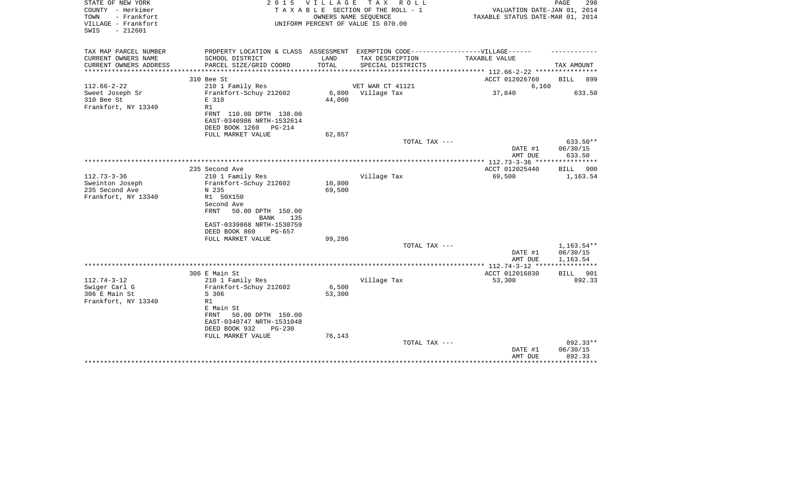| STATE OF NEW YORK<br>COUNTY - Herkimer<br>- Frankfort<br>TOWN<br>VILLAGE - Frankfort<br>$-212601$<br>SWIS |                                                                                                                |                     | 2015 VILLAGE TAX ROLL<br>TAXABLE SECTION OF THE ROLL - 1<br>OWNERS NAME SEOUENCE<br>UNIFORM PERCENT OF VALUE IS 070.00 | VALUATION DATE-JAN 01, 2014<br>TAXABLE STATUS DATE-MAR 01, 2014 | PAGE<br>298                    |
|-----------------------------------------------------------------------------------------------------------|----------------------------------------------------------------------------------------------------------------|---------------------|------------------------------------------------------------------------------------------------------------------------|-----------------------------------------------------------------|--------------------------------|
| TAX MAP PARCEL NUMBER<br>CURRENT OWNERS NAME                                                              | PROPERTY LOCATION & CLASS ASSESSMENT EXEMPTION CODE-----------------VILLAGE------<br>SCHOOL DISTRICT           | LAND                | TAX DESCRIPTION                                                                                                        | TAXABLE VALUE                                                   |                                |
| CURRENT OWNERS ADDRESS                                                                                    | PARCEL SIZE/GRID COORD                                                                                         | TOTAL               | SPECIAL DISTRICTS                                                                                                      |                                                                 | TAX AMOUNT                     |
|                                                                                                           | 310 Bee St                                                                                                     | ******************* |                                                                                                                        | ************ 112.66-2-22 **********<br>ACCT 012026760           | <b>BILL</b><br>899             |
| $112.66 - 2 - 22$                                                                                         | 210 1 Family Res                                                                                               |                     | VET WAR CT 41121                                                                                                       | 6,160                                                           |                                |
| Sweet Joseph Sr<br>310 Bee St<br>Frankfort, NY 13340                                                      | Frankfort-Schuy 212602<br>E 310<br>R1                                                                          | 44,000              | 6,800 Village Tax                                                                                                      | 37,840                                                          | 633.50                         |
|                                                                                                           | FRNT 110.00 DPTH 138.00<br>EAST-0340986 NRTH-1532614<br>DEED BOOK 1260<br>$PG-214$                             |                     |                                                                                                                        |                                                                 |                                |
|                                                                                                           | FULL MARKET VALUE                                                                                              | 62,857              | TOTAL TAX ---                                                                                                          |                                                                 | 633.50**                       |
|                                                                                                           |                                                                                                                |                     |                                                                                                                        | DATE #1<br>AMT DUE                                              | 06/30/15<br>633.50             |
|                                                                                                           | 235 Second Ave                                                                                                 |                     |                                                                                                                        | ACCT 012025440                                                  | BILL<br>900                    |
| $112.73 - 3 - 36$<br>Sweinton Joseph<br>235 Second Ave<br>Frankfort, NY 13340                             | 210 1 Family Res<br>Frankfort-Schuy 212602<br>N 235<br>R1 50X150                                               | 10,800<br>69,500    | Village Tax                                                                                                            | 69,500                                                          | 1,163.54                       |
|                                                                                                           | Second Ave<br>50.00 DPTH 150.00<br>FRNT<br>135<br>BANK<br>EAST-0339868 NRTH-1530759<br>DEED BOOK 860<br>PG-657 |                     |                                                                                                                        |                                                                 |                                |
|                                                                                                           | FULL MARKET VALUE                                                                                              | 99,286              | TOTAL TAX ---                                                                                                          |                                                                 | 1,163.54**                     |
|                                                                                                           |                                                                                                                |                     |                                                                                                                        | DATE #1<br>AMT DUE                                              | 06/30/15<br>1,163.54           |
|                                                                                                           |                                                                                                                |                     |                                                                                                                        | *************** 112.74-3-12 *****************                   |                                |
| $112.74 - 3 - 12$                                                                                         | 306 E Main St<br>210 1 Family Res                                                                              |                     | Village Tax                                                                                                            | ACCT 012016830<br>53,300                                        | BILL 901<br>892.33             |
| Swiger Carl G<br>306 E Main St                                                                            | Frankfort-Schuy 212602<br>S 306                                                                                | 6,500<br>53,300     |                                                                                                                        |                                                                 |                                |
| Frankfort, NY 13340                                                                                       | R1<br>E Main St<br>50.00 DPTH 150.00<br>FRNT<br>EAST-0340747 NRTH-1531048<br>DEED BOOK 932<br>$PG-230$         |                     |                                                                                                                        |                                                                 |                                |
|                                                                                                           | FULL MARKET VALUE                                                                                              | 76,143              |                                                                                                                        |                                                                 |                                |
|                                                                                                           |                                                                                                                |                     | TOTAL TAX ---                                                                                                          | DATE #1<br>AMT DUE                                              | 892.33**<br>06/30/15<br>892.33 |
|                                                                                                           |                                                                                                                |                     |                                                                                                                        |                                                                 | **********                     |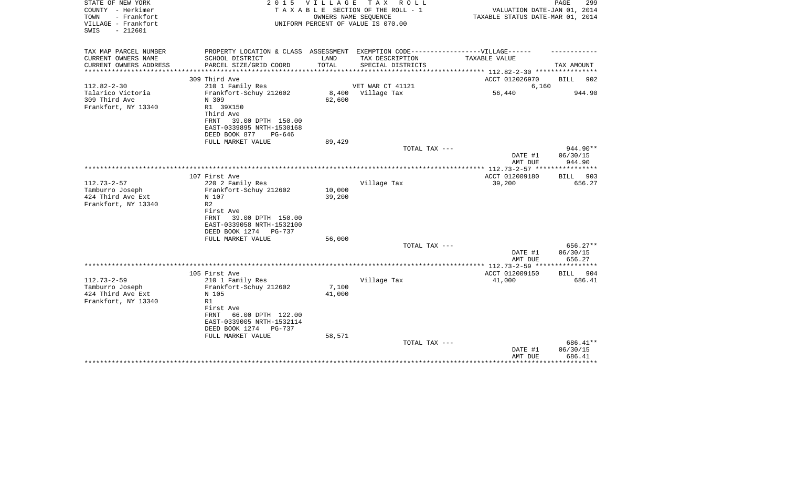| STATE OF NEW YORK<br>COUNTY - Herkimer<br>TOWN<br>- Frankfort<br>VILLAGE - Frankfort<br>SWIS<br>$-212601$ |                                                                                                                        | 2015 VILLAGE     | TAX ROLL<br>T A X A B L E SECTION OF THE ROLL - 1<br>OWNERS NAME SEOUENCE<br>UNIFORM PERCENT OF VALUE IS 070.00 | VALUATION DATE-JAN 01, 2014<br>TAXABLE STATUS DATE-MAR 01, 2014 | PAGE<br>299                    |
|-----------------------------------------------------------------------------------------------------------|------------------------------------------------------------------------------------------------------------------------|------------------|-----------------------------------------------------------------------------------------------------------------|-----------------------------------------------------------------|--------------------------------|
| TAX MAP PARCEL NUMBER<br>CURRENT OWNERS NAME                                                              | PROPERTY LOCATION & CLASS ASSESSMENT EXEMPTION CODE-----------------VILLAGE------<br>SCHOOL DISTRICT                   | LAND             | TAX DESCRIPTION                                                                                                 | TAXABLE VALUE                                                   |                                |
| CURRENT OWNERS ADDRESS                                                                                    | PARCEL SIZE/GRID COORD                                                                                                 | TOTAL            | SPECIAL DISTRICTS                                                                                               |                                                                 | TAX AMOUNT                     |
|                                                                                                           |                                                                                                                        |                  |                                                                                                                 | *********** 112.82-2-30 *********                               |                                |
|                                                                                                           | 309 Third Ave                                                                                                          |                  |                                                                                                                 | ACCT 012026970                                                  | <b>BILL</b><br>902             |
| $112.82 - 2 - 30$<br>Talarico Victoria                                                                    | 210 1 Family Res<br>Frankfort-Schuy 212602                                                                             | 8,400            | VET WAR CT 41121<br>Village Tax                                                                                 | 6,160<br>56,440                                                 | 944.90                         |
| 309 Third Ave<br>Frankfort, NY 13340                                                                      | N 309<br>R1 39X150<br>Third Ave<br>FRNT<br>39.00 DPTH 150.00<br>EAST-0339895 NRTH-1530168<br>DEED BOOK 877<br>$PG-646$ | 62,600           |                                                                                                                 |                                                                 |                                |
|                                                                                                           | FULL MARKET VALUE                                                                                                      | 89,429           |                                                                                                                 |                                                                 |                                |
|                                                                                                           |                                                                                                                        |                  | TOTAL TAX ---                                                                                                   | DATE #1<br>AMT DUE                                              | 944.90**<br>06/30/15<br>944.90 |
|                                                                                                           |                                                                                                                        |                  |                                                                                                                 |                                                                 |                                |
| $112.73 - 2 - 57$<br>Tamburro Joseph<br>424 Third Ave Ext<br>Frankfort, NY 13340                          | 107 First Ave<br>220 2 Family Res<br>Frankfort-Schuy 212602<br>N 107<br>R <sub>2</sub><br>First Ave                    | 10,000<br>39,200 | Village Tax                                                                                                     | ACCT 012009180<br>39,200                                        | BILL 903<br>656.27             |
|                                                                                                           | 39.00 DPTH 150.00<br>FRNT<br>EAST-0339058 NRTH-1532100<br>DEED BOOK 1274<br>PG-737<br>FULL MARKET VALUE                | 56,000           | TOTAL TAX ---                                                                                                   | DATE #1                                                         | $656.27**$<br>06/30/15         |
|                                                                                                           |                                                                                                                        |                  |                                                                                                                 | AMT DUE                                                         | 656.27                         |
|                                                                                                           |                                                                                                                        |                  |                                                                                                                 | ********* 112.73-2-59 *****************                         |                                |
| $112.73 - 2 - 59$                                                                                         | 105 First Ave<br>210 1 Family Res                                                                                      |                  | Village Tax                                                                                                     | ACCT 012009150<br>41,000                                        | BILL<br>- 904<br>686.41        |
| Tamburro Joseph<br>424 Third Ave Ext<br>Frankfort, NY 13340                                               | Frankfort-Schuy 212602<br>N 105<br>R1<br>First Ave<br>66.00 DPTH 122.00<br>FRNT                                        | 7,100<br>41,000  |                                                                                                                 |                                                                 |                                |
|                                                                                                           | EAST-0339005 NRTH-1532114<br>DEED BOOK 1274<br>PG-737<br>FULL MARKET VALUE                                             | 58,571           | TOTAL TAX ---                                                                                                   |                                                                 | 686.41**                       |
|                                                                                                           |                                                                                                                        |                  |                                                                                                                 | DATE #1<br>AMT DUE                                              | 06/30/15<br>686.41             |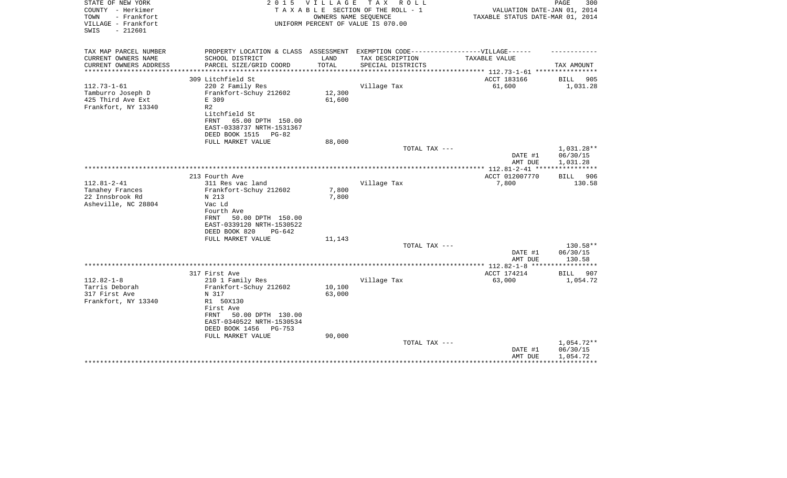| STATE OF NEW YORK<br>COUNTY - Herkimer<br>TOWN<br>- Frankfort<br>VILLAGE - Frankfort<br>$-212601$<br>SWIS | 2 0 1 5                                                                           | VILLAGE | T A X<br>R O L L<br>TAXABLE SECTION OF THE ROLL - 1<br>OWNERS NAME SEQUENCE<br>UNIFORM PERCENT OF VALUE IS 070.00 | VALUATION DATE-JAN 01, 2014<br>TAXABLE STATUS DATE-MAR 01, 2014 | PAGE<br>300             |
|-----------------------------------------------------------------------------------------------------------|-----------------------------------------------------------------------------------|---------|-------------------------------------------------------------------------------------------------------------------|-----------------------------------------------------------------|-------------------------|
| TAX MAP PARCEL NUMBER                                                                                     | PROPERTY LOCATION & CLASS ASSESSMENT EXEMPTION CODE-----------------VILLAGE------ |         |                                                                                                                   |                                                                 |                         |
| CURRENT OWNERS NAME                                                                                       | SCHOOL DISTRICT                                                                   | LAND    | TAX DESCRIPTION                                                                                                   | TAXABLE VALUE                                                   |                         |
| CURRENT OWNERS ADDRESS<br>********************                                                            | PARCEL SIZE/GRID COORD                                                            | TOTAL   | SPECIAL DISTRICTS                                                                                                 | ***************** 112.73-1-61 *****************                 | TAX AMOUNT              |
|                                                                                                           | 309 Litchfield St                                                                 |         |                                                                                                                   | ACCT 183166                                                     | BILL<br>905             |
| $112.73 - 1 - 61$                                                                                         | 220 2 Family Res                                                                  |         | Village Tax                                                                                                       | 61,600                                                          | 1,031.28                |
| Tamburro Joseph D                                                                                         | Frankfort-Schuy 212602                                                            | 12,300  |                                                                                                                   |                                                                 |                         |
| 425 Third Ave Ext                                                                                         | E 309                                                                             | 61,600  |                                                                                                                   |                                                                 |                         |
| Frankfort, NY 13340                                                                                       | R <sub>2</sub>                                                                    |         |                                                                                                                   |                                                                 |                         |
|                                                                                                           | Litchfield St                                                                     |         |                                                                                                                   |                                                                 |                         |
|                                                                                                           | <b>FRNT</b><br>65.00 DPTH 150.00<br>EAST-0338737 NRTH-1531367                     |         |                                                                                                                   |                                                                 |                         |
|                                                                                                           | DEED BOOK 1515<br>PG-82                                                           |         |                                                                                                                   |                                                                 |                         |
|                                                                                                           | FULL MARKET VALUE                                                                 | 88,000  |                                                                                                                   |                                                                 |                         |
|                                                                                                           |                                                                                   |         | TOTAL TAX ---                                                                                                     |                                                                 | 1,031.28**              |
|                                                                                                           |                                                                                   |         |                                                                                                                   | DATE #1                                                         | 06/30/15                |
|                                                                                                           |                                                                                   |         |                                                                                                                   | AMT DUE                                                         | 1,031.28                |
|                                                                                                           |                                                                                   |         |                                                                                                                   |                                                                 | ***********             |
| $112.81 - 2 - 41$                                                                                         | 213 Fourth Ave<br>311 Res vac land                                                |         | Village Tax                                                                                                       | ACCT 012007770<br>7,800                                         | BILL 906<br>130.58      |
| Tanahey Frances                                                                                           | Frankfort-Schuy 212602                                                            | 7,800   |                                                                                                                   |                                                                 |                         |
| 22 Innsbrook Rd                                                                                           | N 213                                                                             | 7,800   |                                                                                                                   |                                                                 |                         |
| Asheville, NC 28804                                                                                       | Vac Ld                                                                            |         |                                                                                                                   |                                                                 |                         |
|                                                                                                           | Fourth Ave                                                                        |         |                                                                                                                   |                                                                 |                         |
|                                                                                                           | 50.00 DPTH 150.00<br>FRNT                                                         |         |                                                                                                                   |                                                                 |                         |
|                                                                                                           | EAST-0339120 NRTH-1530522                                                         |         |                                                                                                                   |                                                                 |                         |
|                                                                                                           | DEED BOOK 820<br>$PG-642$                                                         |         |                                                                                                                   |                                                                 |                         |
|                                                                                                           | FULL MARKET VALUE                                                                 | 11,143  |                                                                                                                   |                                                                 |                         |
|                                                                                                           |                                                                                   |         | TOTAL TAX ---                                                                                                     | DATE #1                                                         | 130.58**<br>06/30/15    |
|                                                                                                           |                                                                                   |         |                                                                                                                   | AMT DUE                                                         | 130.58                  |
|                                                                                                           |                                                                                   |         |                                                                                                                   |                                                                 | * * * * * * * * * * * * |
|                                                                                                           | 317 First Ave                                                                     |         |                                                                                                                   | ACCT 174214                                                     | BILL<br>907             |
| $112.82 - 1 - 8$                                                                                          | 210 1 Family Res                                                                  |         | Village Tax                                                                                                       | 63,000                                                          | 1,054.72                |
| Tarris Deborah                                                                                            | Frankfort-Schuy 212602                                                            | 10,100  |                                                                                                                   |                                                                 |                         |
| 317 First Ave                                                                                             | N 317                                                                             | 63,000  |                                                                                                                   |                                                                 |                         |
| Frankfort, NY 13340                                                                                       | R1 50X130                                                                         |         |                                                                                                                   |                                                                 |                         |
|                                                                                                           | First Ave<br>FRNT<br>50.00 DPTH 130.00                                            |         |                                                                                                                   |                                                                 |                         |
|                                                                                                           | EAST-0340522 NRTH-1530534                                                         |         |                                                                                                                   |                                                                 |                         |
|                                                                                                           | DEED BOOK 1456<br>PG-753                                                          |         |                                                                                                                   |                                                                 |                         |
|                                                                                                           | FULL MARKET VALUE                                                                 | 90,000  |                                                                                                                   |                                                                 |                         |
|                                                                                                           |                                                                                   |         | TOTAL TAX ---                                                                                                     |                                                                 | 1,054.72**              |
|                                                                                                           |                                                                                   |         |                                                                                                                   | DATE #1                                                         | 06/30/15                |
|                                                                                                           |                                                                                   |         |                                                                                                                   | AMT DUE                                                         | 1,054.72                |
|                                                                                                           |                                                                                   |         |                                                                                                                   |                                                                 |                         |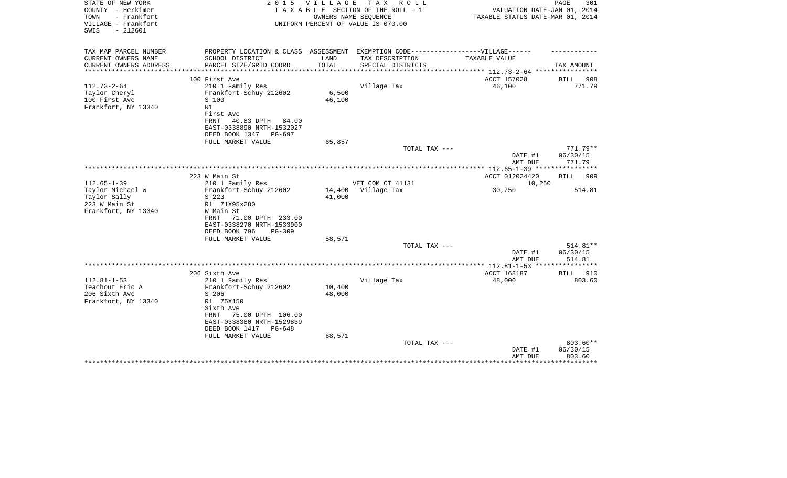| STATE OF NEW YORK<br>COUNTY - Herkimer     | 2 0 1 5                                                                           | <b>VILLAGE</b> | T A X<br>R O L L<br>TAXABLE SECTION OF THE ROLL - 1        | VALUATION DATE-JAN 01, 2014      | PAGE<br>301          |
|--------------------------------------------|-----------------------------------------------------------------------------------|----------------|------------------------------------------------------------|----------------------------------|----------------------|
| TOWN<br>- Frankfort<br>VILLAGE - Frankfort |                                                                                   |                | OWNERS NAME SEQUENCE<br>UNIFORM PERCENT OF VALUE IS 070.00 | TAXABLE STATUS DATE-MAR 01, 2014 |                      |
| $-212601$<br>SWIS                          |                                                                                   |                |                                                            |                                  |                      |
| TAX MAP PARCEL NUMBER                      | PROPERTY LOCATION & CLASS ASSESSMENT EXEMPTION CODE-----------------VILLAGE------ |                |                                                            |                                  |                      |
| CURRENT OWNERS NAME                        | SCHOOL DISTRICT                                                                   | LAND           | TAX DESCRIPTION                                            | <b>TAXABLE VALUE</b>             |                      |
| CURRENT OWNERS ADDRESS                     | PARCEL SIZE/GRID COORD                                                            | TOTAL          | SPECIAL DISTRICTS                                          |                                  | TAX AMOUNT           |
|                                            | 100 First Ave                                                                     |                |                                                            | ACCT 157028                      | <b>BILL</b><br>908   |
| $112.73 - 2 - 64$                          | 210 1 Family Res                                                                  |                | Village Tax                                                | 46,100                           | 771.79               |
| Taylor Cheryl                              | Frankfort-Schuy 212602                                                            | 6,500          |                                                            |                                  |                      |
| 100 First Ave                              | S 100                                                                             | 46,100         |                                                            |                                  |                      |
| Frankfort, NY 13340                        | R1<br>First Ave                                                                   |                |                                                            |                                  |                      |
|                                            | FRNT<br>40.83 DPTH<br>84.00                                                       |                |                                                            |                                  |                      |
|                                            | EAST-0338890 NRTH-1532027                                                         |                |                                                            |                                  |                      |
|                                            | DEED BOOK 1347<br>PG-697                                                          |                |                                                            |                                  |                      |
|                                            | FULL MARKET VALUE                                                                 | 65,857         |                                                            |                                  |                      |
|                                            |                                                                                   |                | TOTAL TAX ---                                              |                                  | $771.79**$           |
|                                            |                                                                                   |                |                                                            | DATE #1<br>AMT DUE               | 06/30/15<br>771.79   |
|                                            |                                                                                   |                |                                                            |                                  |                      |
|                                            | 223 W Main St                                                                     |                |                                                            | ACCT 012024420                   | BILL<br>909          |
| $112.65 - 1 - 39$                          | 210 1 Family Res                                                                  |                | VET COM CT 41131                                           | 10,250                           |                      |
| Taylor Michael W                           | Frankfort-Schuy 212602                                                            | 14,400         | Village Tax                                                | 30,750                           | 514.81               |
| Taylor Sally                               | S 223                                                                             | 41,000         |                                                            |                                  |                      |
| 223 W Main St<br>Frankfort, NY 13340       | R1 71X95x280<br>W Main St                                                         |                |                                                            |                                  |                      |
|                                            | 71.00 DPTH 233.00<br>FRNT                                                         |                |                                                            |                                  |                      |
|                                            | EAST-0338270 NRTH-1533900                                                         |                |                                                            |                                  |                      |
|                                            | DEED BOOK 796<br>PG-309                                                           |                |                                                            |                                  |                      |
|                                            | FULL MARKET VALUE                                                                 | 58,571         |                                                            |                                  |                      |
|                                            |                                                                                   |                | TOTAL TAX ---                                              |                                  | 514.81**             |
|                                            |                                                                                   |                |                                                            | DATE #1<br>AMT DUE               | 06/30/15<br>514.81   |
|                                            |                                                                                   |                |                                                            | ******** 112.81-1-53 ****        |                      |
|                                            | 206 Sixth Ave                                                                     |                |                                                            | ACCT 168187                      | 910<br><b>BILL</b>   |
| $112.81 - 1 - 53$                          | 210 1 Family Res                                                                  |                | Village Tax                                                | 48,000                           | 803.60               |
| Teachout Eric A                            | Frankfort-Schuy 212602                                                            | 10,400         |                                                            |                                  |                      |
| 206 Sixth Ave                              | S 206                                                                             | 48,000         |                                                            |                                  |                      |
| Frankfort, NY 13340                        | R1 75X150<br>Sixth Ave                                                            |                |                                                            |                                  |                      |
|                                            | 75.00 DPTH 106.00<br>FRNT                                                         |                |                                                            |                                  |                      |
|                                            | EAST-0338380 NRTH-1529839                                                         |                |                                                            |                                  |                      |
|                                            | DEED BOOK 1417<br>PG-648                                                          |                |                                                            |                                  |                      |
|                                            | FULL MARKET VALUE                                                                 | 68,571         |                                                            |                                  |                      |
|                                            |                                                                                   |                | TOTAL TAX ---                                              |                                  | 803.60**<br>06/30/15 |
|                                            |                                                                                   |                |                                                            | DATE #1<br>AMT DUE               | 803.60               |
|                                            |                                                                                   |                |                                                            |                                  |                      |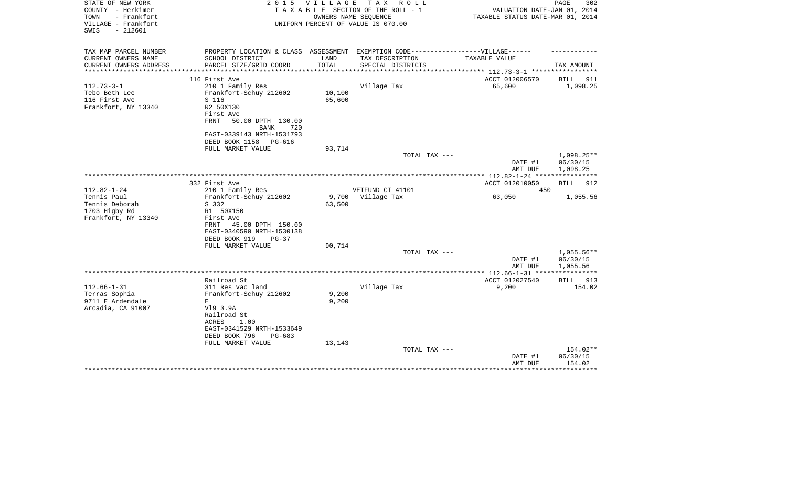| STATE OF NEW YORK                        | 2 0 1 5                                                                          |        | VILLAGE TAX ROLL                   |                                                            | 302<br>PAGE             |
|------------------------------------------|----------------------------------------------------------------------------------|--------|------------------------------------|------------------------------------------------------------|-------------------------|
| COUNTY - Herkimer                        |                                                                                  |        | TAXABLE SECTION OF THE ROLL - 1    | VALUATION DATE-JAN 01, 2014                                |                         |
| TOWN<br>- Frankfort                      |                                                                                  |        | OWNERS NAME SEQUENCE               | TAXABLE STATUS DATE-MAR 01, 2014                           |                         |
| VILLAGE - Frankfort<br>$-212601$<br>SWIS |                                                                                  |        | UNIFORM PERCENT OF VALUE IS 070.00 |                                                            |                         |
|                                          |                                                                                  |        |                                    |                                                            |                         |
|                                          |                                                                                  |        |                                    |                                                            |                         |
| TAX MAP PARCEL NUMBER                    | PROPERTY LOCATION & CLASS ASSESSMENT EXEMPTION CODE----------------VILLAGE------ |        |                                    |                                                            |                         |
| CURRENT OWNERS NAME                      | SCHOOL DISTRICT                                                                  | LAND   | TAX DESCRIPTION                    | TAXABLE VALUE                                              |                         |
| CURRENT OWNERS ADDRESS                   | PARCEL SIZE/GRID COORD                                                           | TOTAL  | SPECIAL DISTRICTS                  |                                                            | TAX AMOUNT              |
|                                          |                                                                                  |        |                                    | ***************** 112.73-3-1 ***********<br>ACCT 012006570 |                         |
| $112.73 - 3 - 1$                         | 116 First Ave<br>210 1 Family Res                                                |        | Village Tax                        | 65,600                                                     | BILL<br>911<br>1,098.25 |
| Tebo Beth Lee                            | Frankfort-Schuy 212602                                                           | 10,100 |                                    |                                                            |                         |
| 116 First Ave                            | S 116                                                                            | 65,600 |                                    |                                                            |                         |
| Frankfort, NY 13340                      | R2 50X130                                                                        |        |                                    |                                                            |                         |
|                                          | First Ave                                                                        |        |                                    |                                                            |                         |
|                                          | FRNT<br>50.00 DPTH 130.00                                                        |        |                                    |                                                            |                         |
|                                          | <b>BANK</b><br>720                                                               |        |                                    |                                                            |                         |
|                                          | EAST-0339143 NRTH-1531793                                                        |        |                                    |                                                            |                         |
|                                          | DEED BOOK 1158 PG-616                                                            |        |                                    |                                                            |                         |
|                                          | FULL MARKET VALUE                                                                | 93,714 |                                    |                                                            |                         |
|                                          |                                                                                  |        | TOTAL TAX ---                      |                                                            | 1,098.25**              |
|                                          |                                                                                  |        |                                    | DATE #1                                                    | 06/30/15                |
|                                          |                                                                                  |        |                                    | AMT DUE                                                    | 1,098.25                |
|                                          |                                                                                  |        |                                    |                                                            |                         |
|                                          | 332 First Ave                                                                    |        |                                    | ACCT 012010050                                             | <b>BILL</b><br>912      |
| $112.82 - 1 - 24$                        | 210 1 Family Res                                                                 |        | VETFUND CT 41101                   | 450                                                        |                         |
| Tennis Paul                              | Frankfort-Schuy 212602                                                           | 9,700  | Village Tax                        | 63,050                                                     | 1,055.56                |
| Tennis Deborah                           | S 332                                                                            | 63,500 |                                    |                                                            |                         |
| 1703 Higby Rd                            | R1 50X150                                                                        |        |                                    |                                                            |                         |
| Frankfort, NY 13340                      | First Ave                                                                        |        |                                    |                                                            |                         |
|                                          | FRNT<br>45.00 DPTH 150.00                                                        |        |                                    |                                                            |                         |
|                                          | EAST-0340590 NRTH-1530138                                                        |        |                                    |                                                            |                         |
|                                          | DEED BOOK 919<br>$PG-37$                                                         |        |                                    |                                                            |                         |
|                                          | FULL MARKET VALUE                                                                | 90,714 |                                    |                                                            |                         |
|                                          |                                                                                  |        | TOTAL TAX ---                      |                                                            | $1,055.56**$            |
|                                          |                                                                                  |        |                                    | DATE #1<br>AMT DUE                                         | 06/30/15<br>1,055.56    |
|                                          |                                                                                  |        |                                    |                                                            |                         |
|                                          | Railroad St                                                                      |        |                                    | ACCT 012027540                                             | BILL 913                |
| $112.66 - 1 - 31$                        | 311 Res vac land                                                                 |        | Village Tax                        | 9,200                                                      | 154.02                  |
| Terras Sophia                            | Frankfort-Schuy 212602                                                           | 9,200  |                                    |                                                            |                         |
| 9711 E Ardendale                         | E.                                                                               | 9,200  |                                    |                                                            |                         |
| Arcadia, CA 91007                        | V19 3.9A                                                                         |        |                                    |                                                            |                         |
|                                          | Railroad St                                                                      |        |                                    |                                                            |                         |
|                                          | ACRES<br>1.00                                                                    |        |                                    |                                                            |                         |
|                                          | EAST-0341529 NRTH-1533649                                                        |        |                                    |                                                            |                         |
|                                          | DEED BOOK 796<br>PG-683                                                          |        |                                    |                                                            |                         |
|                                          | FULL MARKET VALUE                                                                | 13,143 |                                    |                                                            |                         |
|                                          |                                                                                  |        | TOTAL TAX ---                      |                                                            | 154.02**                |
|                                          |                                                                                  |        |                                    | DATE #1                                                    | 06/30/15                |
|                                          |                                                                                  |        |                                    | AMT DUE                                                    | 154.02                  |
|                                          |                                                                                  |        |                                    |                                                            |                         |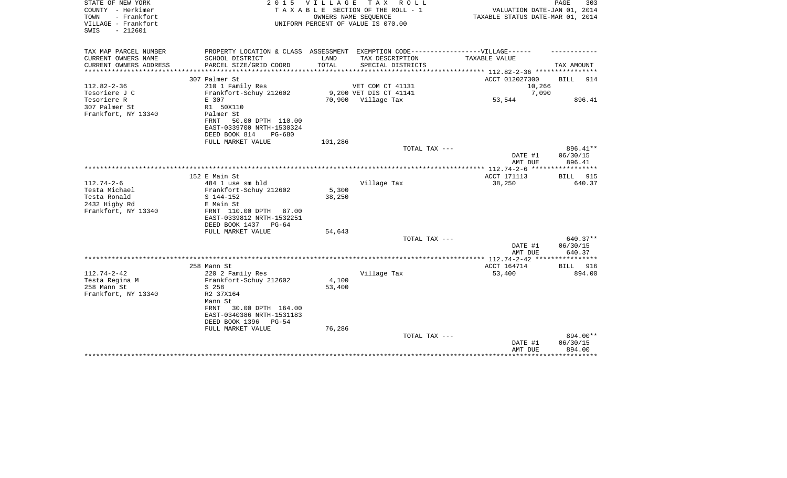| STATE OF NEW YORK<br>COUNTY - Herkimer<br>- Frankfort<br>TOWN<br>VILLAGE - Frankfort<br>$-212601$<br>SWIS |                                                                                   | 2015 VILLAGE                           | TAX ROLL<br>TAXABLE SECTION OF THE ROLL - 1<br>OWNERS NAME SEQUENCE<br>UNIFORM PERCENT OF VALUE IS 070.00 | VALUATION DATE-JAN 01, 2014<br>TAXABLE STATUS DATE-MAR 01, 2014 | PAGE<br>303        |
|-----------------------------------------------------------------------------------------------------------|-----------------------------------------------------------------------------------|----------------------------------------|-----------------------------------------------------------------------------------------------------------|-----------------------------------------------------------------|--------------------|
| TAX MAP PARCEL NUMBER                                                                                     | PROPERTY LOCATION & CLASS ASSESSMENT EXEMPTION CODE-----------------VILLAGE------ |                                        |                                                                                                           |                                                                 |                    |
| CURRENT OWNERS NAME<br>CURRENT OWNERS ADDRESS<br>*******************                                      | SCHOOL DISTRICT<br>PARCEL SIZE/GRID COORD<br>*******************                  | LAND<br>TOTAL<br>* * * * * * * * * * * | TAX DESCRIPTION<br>SPECIAL DISTRICTS                                                                      | TAXABLE VALUE                                                   | TAX AMOUNT         |
|                                                                                                           | 307 Palmer St                                                                     |                                        |                                                                                                           | *********** 112.82-2-36 ***********<br>ACCT 012027300           | 914<br><b>BILL</b> |
| $112.82 - 2 - 36$                                                                                         | 210 1 Family Res                                                                  |                                        | VET COM CT 41131                                                                                          | 10,266                                                          |                    |
| Tesoriere J C                                                                                             | Frankfort-Schuy 212602                                                            |                                        | 9,200 VET DIS CT 41141                                                                                    | 7,090                                                           |                    |
| Tesoriere R                                                                                               | E 307                                                                             |                                        | 70,900 Village Tax                                                                                        | 53,544                                                          | 896.41             |
| 307 Palmer St<br>Frankfort, NY 13340                                                                      | R1 50X110<br>Palmer St                                                            |                                        |                                                                                                           |                                                                 |                    |
|                                                                                                           | 50.00 DPTH 110.00<br>FRNT<br>EAST-0339700 NRTH-1530324<br>DEED BOOK 814<br>PG-680 |                                        |                                                                                                           |                                                                 |                    |
|                                                                                                           | FULL MARKET VALUE                                                                 | 101,286                                |                                                                                                           |                                                                 |                    |
|                                                                                                           |                                                                                   |                                        | TOTAL TAX ---                                                                                             |                                                                 | 896.41**           |
|                                                                                                           |                                                                                   |                                        |                                                                                                           | DATE #1<br>AMT DUE                                              | 06/30/15<br>896.41 |
|                                                                                                           |                                                                                   |                                        |                                                                                                           | *** $112.74 - 2 - 6$<br>****                                    |                    |
|                                                                                                           | 152 E Main St                                                                     |                                        |                                                                                                           | ACCT 171113                                                     | <b>BILL</b><br>915 |
| $112.74 - 2 - 6$                                                                                          | 484 1 use sm bld                                                                  |                                        | Village Tax                                                                                               | 38,250                                                          | 640.37             |
| Testa Michael                                                                                             | Frankfort-Schuy 212602                                                            | 5,300                                  |                                                                                                           |                                                                 |                    |
| Testa Ronald                                                                                              | $S$ 144-152                                                                       | 38,250                                 |                                                                                                           |                                                                 |                    |
| 2432 Higby Rd<br>Frankfort, NY 13340                                                                      | E Main St<br>FRNT 110.00 DPTH<br>87.00                                            |                                        |                                                                                                           |                                                                 |                    |
|                                                                                                           | EAST-0339812 NRTH-1532251                                                         |                                        |                                                                                                           |                                                                 |                    |
|                                                                                                           | DEED BOOK 1437<br>$PG-64$                                                         |                                        |                                                                                                           |                                                                 |                    |
|                                                                                                           | FULL MARKET VALUE                                                                 | 54,643                                 |                                                                                                           |                                                                 |                    |
|                                                                                                           |                                                                                   |                                        | TOTAL TAX ---                                                                                             |                                                                 | 640.37**           |
|                                                                                                           |                                                                                   |                                        |                                                                                                           | DATE #1<br>AMT DUE                                              | 06/30/15<br>640.37 |
|                                                                                                           |                                                                                   |                                        |                                                                                                           |                                                                 |                    |
|                                                                                                           | 258 Mann St                                                                       |                                        |                                                                                                           | ACCT 164714                                                     | 916<br><b>BILL</b> |
| $112.74 - 2 - 42$                                                                                         | 220 2 Family Res                                                                  |                                        | Village Tax                                                                                               | 53,400                                                          | 894.00             |
| Testa Regina M                                                                                            | Frankfort-Schuy 212602                                                            | 4,100                                  |                                                                                                           |                                                                 |                    |
| 258 Mann St                                                                                               | S 258                                                                             | 53,400                                 |                                                                                                           |                                                                 |                    |
| Frankfort, NY 13340                                                                                       | R2 37X164                                                                         |                                        |                                                                                                           |                                                                 |                    |
|                                                                                                           | Mann St<br>30.00 DPTH 164.00<br><b>FRNT</b>                                       |                                        |                                                                                                           |                                                                 |                    |
|                                                                                                           | EAST-0340386 NRTH-1531183<br>DEED BOOK 1396<br>$PG-54$                            |                                        |                                                                                                           |                                                                 |                    |
|                                                                                                           | FULL MARKET VALUE                                                                 | 76,286                                 |                                                                                                           |                                                                 |                    |
|                                                                                                           |                                                                                   |                                        | TOTAL TAX ---                                                                                             |                                                                 | 894.00**           |
|                                                                                                           |                                                                                   |                                        |                                                                                                           | DATE #1                                                         | 06/30/15           |
|                                                                                                           |                                                                                   |                                        |                                                                                                           | AMT DUE                                                         | 894.00             |
|                                                                                                           |                                                                                   |                                        |                                                                                                           |                                                                 |                    |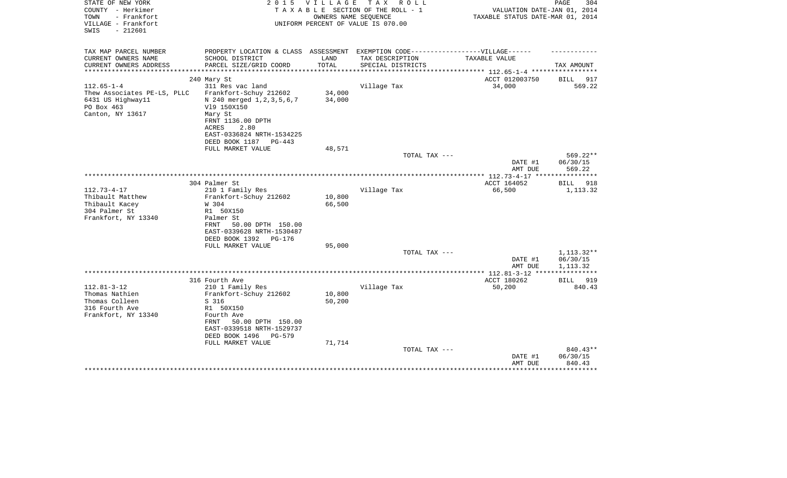| STATE OF NEW YORK<br>COUNTY - Herkimer<br>TOWN<br>- Frankfort<br>VILLAGE - Frankfort<br>$-212601$<br>SWIS | 2 0 1 5                                                                           | V I L L A G E<br>OWNERS NAME SEOUENCE | T A X<br>R O L L<br>TAXABLE SECTION OF THE ROLL - 1<br>UNIFORM PERCENT OF VALUE IS 070.00 | VALUATION DATE-JAN 01, 2014<br>TAXABLE STATUS DATE-MAR 01, 2014 | PAGE<br>304        |
|-----------------------------------------------------------------------------------------------------------|-----------------------------------------------------------------------------------|---------------------------------------|-------------------------------------------------------------------------------------------|-----------------------------------------------------------------|--------------------|
| TAX MAP PARCEL NUMBER                                                                                     | PROPERTY LOCATION & CLASS ASSESSMENT EXEMPTION CODE-----------------VILLAGE------ |                                       |                                                                                           |                                                                 |                    |
| CURRENT OWNERS NAME                                                                                       | SCHOOL DISTRICT                                                                   | LAND                                  | TAX DESCRIPTION                                                                           | TAXABLE VALUE                                                   |                    |
| CURRENT OWNERS ADDRESS<br>*********************                                                           | PARCEL SIZE/GRID COORD<br>****************************                            | TOTAL                                 | SPECIAL DISTRICTS                                                                         |                                                                 | TAX AMOUNT         |
|                                                                                                           | 240 Mary St                                                                       |                                       |                                                                                           | ACCT 012003750                                                  | BILL<br>917        |
| $112.65 - 1 - 4$                                                                                          | 311 Res vac land                                                                  |                                       | Village Tax                                                                               | 34,000                                                          | 569.22             |
| Thew Associates PE-LS, PLLC                                                                               | Frankfort-Schuy 212602                                                            | 34,000                                |                                                                                           |                                                                 |                    |
| 6431 US Highway11                                                                                         | N 240 merged 1, 2, 3, 5, 6, 7                                                     | 34,000                                |                                                                                           |                                                                 |                    |
| PO Box 463                                                                                                | V19 150X150                                                                       |                                       |                                                                                           |                                                                 |                    |
| Canton, NY 13617                                                                                          | Mary St                                                                           |                                       |                                                                                           |                                                                 |                    |
|                                                                                                           | FRNT 1136.00 DPTH                                                                 |                                       |                                                                                           |                                                                 |                    |
|                                                                                                           | 2.80<br>ACRES                                                                     |                                       |                                                                                           |                                                                 |                    |
|                                                                                                           | EAST-0336824 NRTH-1534225<br>DEED BOOK 1187<br>PG-443                             |                                       |                                                                                           |                                                                 |                    |
|                                                                                                           | FULL MARKET VALUE                                                                 | 48,571                                |                                                                                           |                                                                 |                    |
|                                                                                                           |                                                                                   |                                       | TOTAL TAX ---                                                                             |                                                                 | 569.22**           |
|                                                                                                           |                                                                                   |                                       |                                                                                           | DATE #1<br>AMT DUE                                              | 06/30/15<br>569.22 |
|                                                                                                           |                                                                                   |                                       |                                                                                           |                                                                 |                    |
|                                                                                                           | 304 Palmer St                                                                     |                                       |                                                                                           | ACCT 164052                                                     | <b>BILL</b><br>918 |
| $112.73 - 4 - 17$                                                                                         | 210 1 Family Res                                                                  |                                       | Village Tax                                                                               | 66,500                                                          | 1,113.32           |
| Thibault Matthew                                                                                          | Frankfort-Schuy 212602                                                            | 10,800                                |                                                                                           |                                                                 |                    |
| Thibault Kacey                                                                                            | W 304                                                                             | 66,500                                |                                                                                           |                                                                 |                    |
| 304 Palmer St                                                                                             | R1 50X150                                                                         |                                       |                                                                                           |                                                                 |                    |
| Frankfort, NY 13340                                                                                       | Palmer St<br>50.00 DPTH 150.00<br>FRNT                                            |                                       |                                                                                           |                                                                 |                    |
|                                                                                                           | EAST-0339628 NRTH-1530487                                                         |                                       |                                                                                           |                                                                 |                    |
|                                                                                                           | DEED BOOK 1392<br>PG-176                                                          |                                       |                                                                                           |                                                                 |                    |
|                                                                                                           | FULL MARKET VALUE                                                                 | 95,000                                |                                                                                           |                                                                 |                    |
|                                                                                                           |                                                                                   |                                       | TOTAL TAX ---                                                                             |                                                                 | 1,113.32**         |
|                                                                                                           |                                                                                   |                                       |                                                                                           | DATE #1                                                         | 06/30/15           |
|                                                                                                           |                                                                                   |                                       |                                                                                           | AMT DUE                                                         | 1,113.32           |
|                                                                                                           |                                                                                   |                                       |                                                                                           | ACCT 180262                                                     | <b>BILL</b><br>919 |
| $112.81 - 3 - 12$                                                                                         | 316 Fourth Ave<br>210 1 Family Res                                                |                                       | Village Tax                                                                               | 50,200                                                          | 840.43             |
| Thomas Nathien                                                                                            | Frankfort-Schuy 212602                                                            | 10,800                                |                                                                                           |                                                                 |                    |
| Thomas Colleen                                                                                            | S 316                                                                             | 50,200                                |                                                                                           |                                                                 |                    |
| 316 Fourth Ave                                                                                            | R1 50X150                                                                         |                                       |                                                                                           |                                                                 |                    |
| Frankfort, NY 13340                                                                                       | Fourth Ave                                                                        |                                       |                                                                                           |                                                                 |                    |
|                                                                                                           | FRNT<br>50.00 DPTH 150.00                                                         |                                       |                                                                                           |                                                                 |                    |
|                                                                                                           | EAST-0339518 NRTH-1529737                                                         |                                       |                                                                                           |                                                                 |                    |
|                                                                                                           | DEED BOOK 1496<br>PG-579                                                          |                                       |                                                                                           |                                                                 |                    |
|                                                                                                           | FULL MARKET VALUE                                                                 | 71,714                                | TOTAL TAX ---                                                                             |                                                                 | 840.43**           |
|                                                                                                           |                                                                                   |                                       |                                                                                           | DATE #1                                                         | 06/30/15           |
|                                                                                                           |                                                                                   |                                       |                                                                                           | AMT DUE                                                         | 840.43             |
|                                                                                                           |                                                                                   |                                       |                                                                                           |                                                                 |                    |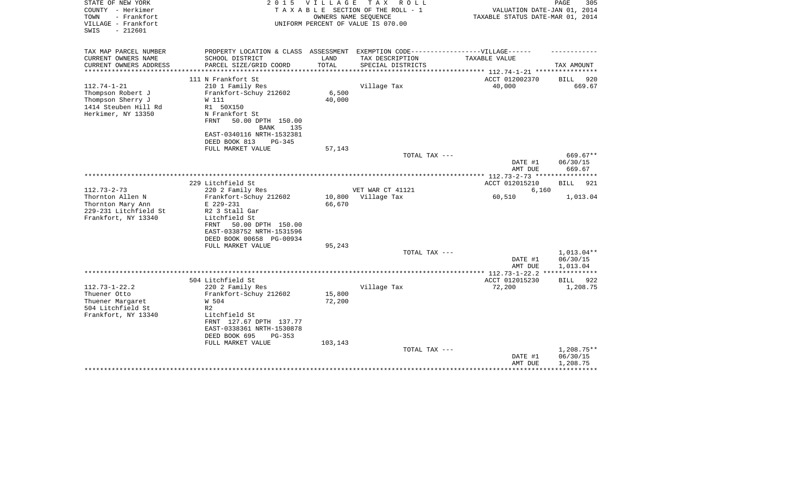| STATE OF NEW YORK<br>COUNTY - Herkimer<br>- Frankfort<br>TOWN<br>VILLAGE - Frankfort                      | 2 0 1 5                                                                                                                                                                                        | <b>VILLAGE</b>              | T A X<br>R O L L<br>TAXABLE SECTION OF THE ROLL - 1<br>OWNERS NAME SEQUENCE<br>UNIFORM PERCENT OF VALUE IS 070.00 | VALUATION DATE-JAN 01, 2014<br>TAXABLE STATUS DATE-MAR 01, 2014 | PAGE<br>305                        |
|-----------------------------------------------------------------------------------------------------------|------------------------------------------------------------------------------------------------------------------------------------------------------------------------------------------------|-----------------------------|-------------------------------------------------------------------------------------------------------------------|-----------------------------------------------------------------|------------------------------------|
| SWIS<br>$-212601$                                                                                         |                                                                                                                                                                                                |                             |                                                                                                                   |                                                                 |                                    |
| TAX MAP PARCEL NUMBER<br>CURRENT OWNERS NAME                                                              | PROPERTY LOCATION & CLASS ASSESSMENT EXEMPTION CODE-----------------VILLAGE------<br>SCHOOL DISTRICT                                                                                           | LAND                        | TAX DESCRIPTION                                                                                                   | <b>TAXABLE VALUE</b>                                            |                                    |
| CURRENT OWNERS ADDRESS                                                                                    | PARCEL SIZE/GRID COORD                                                                                                                                                                         | TOTAL                       | SPECIAL DISTRICTS                                                                                                 | ********** 112.74-1-21 ****                                     | TAX AMOUNT                         |
|                                                                                                           | 111 N Frankfort St                                                                                                                                                                             |                             |                                                                                                                   | ACCT 012002370                                                  | 920<br>BILL                        |
| $112.74 - 1 - 21$<br>Thompson Robert J<br>Thompson Sherry J<br>1414 Steuben Hill Rd<br>Herkimer, NY 13350 | 210 1 Family Res<br>Frankfort-Schuy 212602<br>W 111<br>R1 50X150<br>N Frankfort St<br><b>FRNT</b><br>50.00 DPTH 150.00<br><b>BANK</b><br>135<br>EAST-0340116 NRTH-1532381                      | 6,500<br>40,000             | Village Tax                                                                                                       | 40,000                                                          | 669.67                             |
|                                                                                                           | DEED BOOK 813<br>PG-345                                                                                                                                                                        |                             |                                                                                                                   |                                                                 |                                    |
|                                                                                                           | FULL MARKET VALUE                                                                                                                                                                              | 57,143                      |                                                                                                                   |                                                                 |                                    |
|                                                                                                           |                                                                                                                                                                                                |                             | TOTAL TAX ---                                                                                                     | DATE #1<br>AMT DUE                                              | 669.67**<br>06/30/15<br>669.67     |
|                                                                                                           |                                                                                                                                                                                                |                             |                                                                                                                   |                                                                 |                                    |
| $112.73 - 2 - 73$                                                                                         | 229 Litchfield St<br>220 2 Family Res                                                                                                                                                          |                             | VET WAR CT 41121                                                                                                  | ACCT 012015210<br>6,160                                         | <b>BILL</b><br>921                 |
| Thornton Allen N<br>Thornton Mary Ann<br>229-231 Litchfield St<br>Frankfort, NY 13340                     | Frankfort-Schuy 212602<br>E 229-231<br>R2 3 Stall Gar<br>Litchfield St<br>50.00 DPTH 150.00<br>FRNT                                                                                            | 10,800<br>66,670            | Village Tax                                                                                                       | 60,510                                                          | 1,013.04                           |
|                                                                                                           | EAST-0338752 NRTH-1531596<br>DEED BOOK 00658 PG-00934                                                                                                                                          |                             |                                                                                                                   |                                                                 |                                    |
|                                                                                                           | FULL MARKET VALUE                                                                                                                                                                              | 95,243                      |                                                                                                                   |                                                                 |                                    |
|                                                                                                           |                                                                                                                                                                                                |                             | TOTAL TAX ---                                                                                                     | DATE #1<br>AMT DUE                                              | 1,013.04**<br>06/30/15<br>1,013.04 |
|                                                                                                           |                                                                                                                                                                                                |                             |                                                                                                                   |                                                                 |                                    |
|                                                                                                           | 504 Litchfield St                                                                                                                                                                              |                             |                                                                                                                   | ACCT 012015230                                                  | 922<br>BILL                        |
| $112.73 - 1 - 22.2$<br>Thuener Otto<br>Thuener Margaret<br>504 Litchfield St<br>Frankfort, NY 13340       | 220 2 Family Res<br>Frankfort-Schuy 212602<br>W 504<br>R <sub>2</sub><br>Litchfield St<br>FRNT 127.67 DPTH 137.77<br>EAST-0338361 NRTH-1530878<br>DEED BOOK 695<br>PG-353<br>FULL MARKET VALUE | 15,800<br>72,200<br>103,143 | Village Tax                                                                                                       | 72,200                                                          | 1,208.75                           |
|                                                                                                           |                                                                                                                                                                                                |                             | TOTAL TAX ---                                                                                                     | DATE #1<br>AMT DUE                                              | 1,208.75**<br>06/30/15<br>1,208.75 |
|                                                                                                           |                                                                                                                                                                                                |                             |                                                                                                                   |                                                                 |                                    |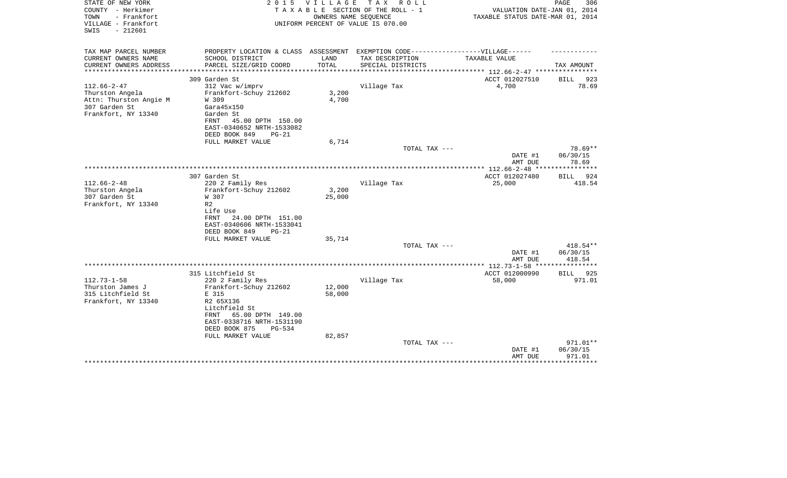| STATE OF NEW YORK<br>COUNTY - Herkimer<br>- Frankfort<br>TOWN<br>VILLAGE - Frankfort<br>$-212601$<br>SWIS | 2 0 1 5                                                                           | VILLAGE                                        | T A X<br>R O L L<br>TAXABLE SECTION OF THE ROLL - 1<br>OWNERS NAME SEQUENCE<br>UNIFORM PERCENT OF VALUE IS 070.00 | VALUATION DATE-JAN 01, 2014<br>TAXABLE STATUS DATE-MAR 01, 2014 | PAGE<br>306                  |
|-----------------------------------------------------------------------------------------------------------|-----------------------------------------------------------------------------------|------------------------------------------------|-------------------------------------------------------------------------------------------------------------------|-----------------------------------------------------------------|------------------------------|
| TAX MAP PARCEL NUMBER                                                                                     | PROPERTY LOCATION & CLASS ASSESSMENT EXEMPTION CODE-----------------VILLAGE------ |                                                |                                                                                                                   |                                                                 |                              |
| CURRENT OWNERS NAME                                                                                       | SCHOOL DISTRICT                                                                   | LAND                                           | TAX DESCRIPTION                                                                                                   | TAXABLE VALUE                                                   |                              |
| CURRENT OWNERS ADDRESS<br>***************                                                                 | PARCEL SIZE/GRID COORD<br>************************                                | TOTAL<br>* * * * * * * * * * * * * * * * * * * | SPECIAL DISTRICTS                                                                                                 | ************************** 112.66-2-47 ****************         | TAX AMOUNT                   |
|                                                                                                           | 309 Garden St                                                                     |                                                |                                                                                                                   | ACCT 012027510                                                  | BILL<br>923                  |
| $112.66 - 2 - 47$                                                                                         | 312 Vac w/imprv                                                                   |                                                | Village Tax                                                                                                       | 4,700                                                           | 78.69                        |
| Thurston Angela                                                                                           | Frankfort-Schuy 212602                                                            | 3,200                                          |                                                                                                                   |                                                                 |                              |
| Attn: Thurston Angie M                                                                                    | W 309                                                                             | 4,700                                          |                                                                                                                   |                                                                 |                              |
| 307 Garden St                                                                                             | Gara45x150                                                                        |                                                |                                                                                                                   |                                                                 |                              |
| Frankfort, NY 13340                                                                                       | Garden St                                                                         |                                                |                                                                                                                   |                                                                 |                              |
|                                                                                                           | 45.00 DPTH 150.00<br>FRNT                                                         |                                                |                                                                                                                   |                                                                 |                              |
|                                                                                                           | EAST-0340652 NRTH-1533082                                                         |                                                |                                                                                                                   |                                                                 |                              |
|                                                                                                           | DEED BOOK 849<br>$PG-21$                                                          |                                                |                                                                                                                   |                                                                 |                              |
|                                                                                                           | FULL MARKET VALUE                                                                 | 6,714                                          | TOTAL TAX ---                                                                                                     |                                                                 | 78.69**                      |
|                                                                                                           |                                                                                   |                                                |                                                                                                                   | DATE #1                                                         | 06/30/15                     |
|                                                                                                           |                                                                                   |                                                |                                                                                                                   | AMT DUE                                                         | 78.69                        |
|                                                                                                           |                                                                                   |                                                |                                                                                                                   | ***************** 112.66-2-48 ****                              | ***********                  |
|                                                                                                           | 307 Garden St                                                                     |                                                |                                                                                                                   | ACCT 012027480                                                  | BILL<br>924                  |
| $112.66 - 2 - 48$                                                                                         | 220 2 Family Res                                                                  |                                                | Village Tax                                                                                                       | 25,000                                                          | 418.54                       |
| Thurston Angela                                                                                           | Frankfort-Schuy 212602                                                            | 3,200                                          |                                                                                                                   |                                                                 |                              |
| 307 Garden St                                                                                             | W 307                                                                             | 25,000                                         |                                                                                                                   |                                                                 |                              |
| Frankfort, NY 13340                                                                                       | R <sub>2</sub><br>Life Use                                                        |                                                |                                                                                                                   |                                                                 |                              |
|                                                                                                           | 24.00 DPTH 151.00<br><b>FRNT</b>                                                  |                                                |                                                                                                                   |                                                                 |                              |
|                                                                                                           | EAST-0340606 NRTH-1533041                                                         |                                                |                                                                                                                   |                                                                 |                              |
|                                                                                                           | DEED BOOK 849<br>$PG-21$                                                          |                                                |                                                                                                                   |                                                                 |                              |
|                                                                                                           | FULL MARKET VALUE                                                                 | 35,714                                         |                                                                                                                   |                                                                 |                              |
|                                                                                                           |                                                                                   |                                                | TOTAL TAX ---                                                                                                     |                                                                 | 418.54**                     |
|                                                                                                           |                                                                                   |                                                |                                                                                                                   | DATE #1                                                         | 06/30/15                     |
|                                                                                                           |                                                                                   |                                                |                                                                                                                   | AMT DUE                                                         | 418.54                       |
|                                                                                                           | 315 Litchfield St                                                                 |                                                |                                                                                                                   | ***************** 112.73-1-58 **<br>ACCT 012000990              |                              |
| $112.73 - 1 - 58$                                                                                         | 220 2 Family Res                                                                  |                                                | Village Tax                                                                                                       | 58,000                                                          | 925<br><b>BILL</b><br>971.01 |
| Thurston James J                                                                                          | Frankfort-Schuy 212602                                                            | 12,000                                         |                                                                                                                   |                                                                 |                              |
| 315 Litchfield St                                                                                         | E 315                                                                             | 58,000                                         |                                                                                                                   |                                                                 |                              |
| Frankfort, NY 13340                                                                                       | R2 65X136                                                                         |                                                |                                                                                                                   |                                                                 |                              |
|                                                                                                           | Litchfield St                                                                     |                                                |                                                                                                                   |                                                                 |                              |
|                                                                                                           | 65.00 DPTH 149.00<br>FRNT                                                         |                                                |                                                                                                                   |                                                                 |                              |
|                                                                                                           | EAST-0338716 NRTH-1531190                                                         |                                                |                                                                                                                   |                                                                 |                              |
|                                                                                                           | DEED BOOK 875<br>$PG-534$                                                         |                                                |                                                                                                                   |                                                                 |                              |
|                                                                                                           | FULL MARKET VALUE                                                                 | 82,857                                         |                                                                                                                   |                                                                 |                              |
|                                                                                                           |                                                                                   |                                                | TOTAL TAX ---                                                                                                     | DATE #1                                                         | 971.01**<br>06/30/15         |
|                                                                                                           |                                                                                   |                                                |                                                                                                                   | AMT DUE                                                         | 971.01                       |
|                                                                                                           |                                                                                   |                                                |                                                                                                                   |                                                                 | **********                   |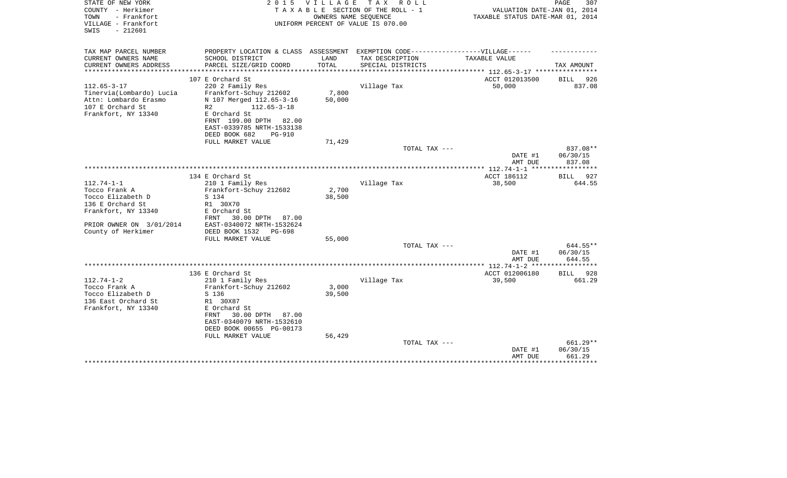| STATE OF NEW YORK<br>COUNTY - Herkimer<br>- Frankfort<br>TOWN<br>VILLAGE - Frankfort<br>$-212601$<br>SWIS         |                                                                                                                                                                                                                        | 2015 VILLAGE<br>OWNERS NAME SEOUENCE | TAX ROLL<br>T A X A B L E SECTION OF THE ROLL - 1<br>UNIFORM PERCENT OF VALUE IS 070.00 | VALUATION DATE-JAN 01, 2014<br>TAXABLE STATUS DATE-MAR 01, 2014 | PAGE<br>307        |
|-------------------------------------------------------------------------------------------------------------------|------------------------------------------------------------------------------------------------------------------------------------------------------------------------------------------------------------------------|--------------------------------------|-----------------------------------------------------------------------------------------|-----------------------------------------------------------------|--------------------|
| TAX MAP PARCEL NUMBER<br>CURRENT OWNERS NAME                                                                      | PROPERTY LOCATION & CLASS ASSESSMENT EXEMPTION CODE-----------------VILLAGE------<br>SCHOOL DISTRICT                                                                                                                   | LAND                                 | TAX DESCRIPTION                                                                         | TAXABLE VALUE                                                   |                    |
| CURRENT OWNERS ADDRESS                                                                                            | PARCEL SIZE/GRID COORD                                                                                                                                                                                                 | TOTAL                                | SPECIAL DISTRICTS                                                                       |                                                                 | TAX AMOUNT         |
|                                                                                                                   |                                                                                                                                                                                                                        | **********                           |                                                                                         | ************* 112.65-3-17 ************                          |                    |
|                                                                                                                   | 107 E Orchard St                                                                                                                                                                                                       |                                      |                                                                                         | ACCT 012013500                                                  | BILL<br>926        |
| $112.65 - 3 - 17$<br>Tinervia(Lombardo) Lucia<br>Attn: Lombardo Erasmo<br>107 E Orchard St<br>Frankfort, NY 13340 | 220 2 Family Res<br>Frankfort-Schuy 212602<br>N 107 Merged 112.65-3-16<br>R <sub>2</sub><br>$112.65 - 3 - 18$<br>E Orchard St<br>FRNT 199.00 DPTH 82.00<br>EAST-0339785 NRTH-1533138<br>DEED BOOK 682<br><b>PG-910</b> | 7,800<br>50,000                      | Village Tax                                                                             | 50,000                                                          | 837.08             |
|                                                                                                                   | FULL MARKET VALUE                                                                                                                                                                                                      | 71,429                               |                                                                                         |                                                                 |                    |
|                                                                                                                   |                                                                                                                                                                                                                        |                                      | TOTAL TAX ---                                                                           |                                                                 | 837.08**           |
|                                                                                                                   |                                                                                                                                                                                                                        |                                      |                                                                                         | DATE #1<br>AMT DUE                                              | 06/30/15<br>837.08 |
|                                                                                                                   |                                                                                                                                                                                                                        |                                      |                                                                                         |                                                                 |                    |
| $112.74 - 1 - 1$                                                                                                  | 134 E Orchard St<br>210 1 Family Res                                                                                                                                                                                   |                                      | Village Tax                                                                             | ACCT 186112<br>38,500                                           | BILL 927<br>644.55 |
| Tocco Frank A                                                                                                     | Frankfort-Schuy 212602                                                                                                                                                                                                 | 2,700                                |                                                                                         |                                                                 |                    |
| Tocco Elizabeth D                                                                                                 | S 134                                                                                                                                                                                                                  | 38,500                               |                                                                                         |                                                                 |                    |
| 136 E Orchard St                                                                                                  | R1 30X70                                                                                                                                                                                                               |                                      |                                                                                         |                                                                 |                    |
| Frankfort, NY 13340                                                                                               | E Orchard St                                                                                                                                                                                                           |                                      |                                                                                         |                                                                 |                    |
|                                                                                                                   | 30.00 DPTH<br><b>FRNT</b><br>87.00                                                                                                                                                                                     |                                      |                                                                                         |                                                                 |                    |
| PRIOR OWNER ON 3/01/2014                                                                                          | EAST-0340072 NRTH-1532624                                                                                                                                                                                              |                                      |                                                                                         |                                                                 |                    |
| County of Herkimer                                                                                                | DEED BOOK 1532<br>PG-698                                                                                                                                                                                               |                                      |                                                                                         |                                                                 |                    |
|                                                                                                                   | FULL MARKET VALUE                                                                                                                                                                                                      | 55,000                               |                                                                                         |                                                                 |                    |
|                                                                                                                   |                                                                                                                                                                                                                        |                                      | TOTAL TAX ---                                                                           |                                                                 | 644.55**           |
|                                                                                                                   |                                                                                                                                                                                                                        |                                      |                                                                                         | DATE #1<br>AMT DUE                                              | 06/30/15<br>644.55 |
|                                                                                                                   |                                                                                                                                                                                                                        |                                      |                                                                                         | ***************** 112.74-1-2 ******************                 |                    |
|                                                                                                                   | 136 E Orchard St                                                                                                                                                                                                       |                                      |                                                                                         | ACCT 012006180                                                  | BILL 928           |
| $112.74 - 1 - 2$                                                                                                  | 210 1 Family Res                                                                                                                                                                                                       |                                      | Village Tax                                                                             | 39,500                                                          | 661.29             |
| Tocco Frank A                                                                                                     | Frankfort-Schuy 212602                                                                                                                                                                                                 | 3,000                                |                                                                                         |                                                                 |                    |
| Tocco Elizabeth D                                                                                                 | S 136                                                                                                                                                                                                                  | 39,500                               |                                                                                         |                                                                 |                    |
| 136 East Orchard St<br>Frankfort, NY 13340                                                                        | R1 30X87<br>E Orchard St<br>30.00 DPTH<br>FRNT<br>87.00<br>EAST-0340079 NRTH-1532610<br>DEED BOOK 00655 PG-00173<br>FULL MARKET VALUE                                                                                  | 56,429                               |                                                                                         |                                                                 |                    |
|                                                                                                                   |                                                                                                                                                                                                                        |                                      | TOTAL TAX ---                                                                           |                                                                 | 661.29**           |
|                                                                                                                   |                                                                                                                                                                                                                        |                                      |                                                                                         | DATE #1<br>AMT DUE                                              | 06/30/15<br>661.29 |
|                                                                                                                   |                                                                                                                                                                                                                        |                                      |                                                                                         |                                                                 | * * * * * * * * *  |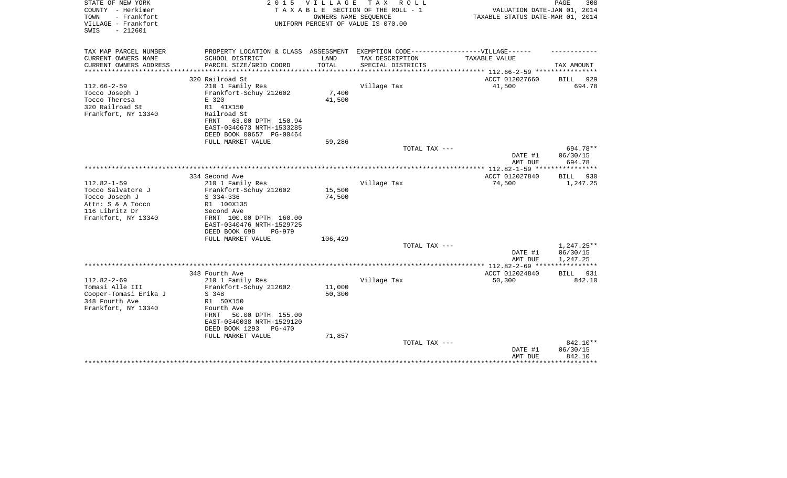| STATE OF NEW YORK<br>COUNTY - Herkimer<br>- Frankfort<br>TOWN<br>VILLAGE - Frankfort<br>$-212601$<br>SWIS | 2 0 1 5                                                 | V I L L A G E | T A X<br>R O L L<br>TAXABLE SECTION OF THE ROLL - 1<br>OWNERS NAME SEQUENCE<br>UNIFORM PERCENT OF VALUE IS 070.00 | VALUATION DATE-JAN 01, 2014<br>TAXABLE STATUS DATE-MAR 01, 2014 | PAGE<br>308                    |
|-----------------------------------------------------------------------------------------------------------|---------------------------------------------------------|---------------|-------------------------------------------------------------------------------------------------------------------|-----------------------------------------------------------------|--------------------------------|
| TAX MAP PARCEL NUMBER                                                                                     | PROPERTY LOCATION & CLASS ASSESSMENT                    |               | EXEMPTION CODE------------------VILLAGE------                                                                     |                                                                 |                                |
| CURRENT OWNERS NAME                                                                                       | SCHOOL DISTRICT                                         | LAND          | TAX DESCRIPTION                                                                                                   | TAXABLE VALUE                                                   |                                |
| CURRENT OWNERS ADDRESS                                                                                    | PARCEL SIZE/GRID COORD                                  | TOTAL         | SPECIAL DISTRICTS                                                                                                 |                                                                 | TAX AMOUNT                     |
| ********************                                                                                      |                                                         |               |                                                                                                                   |                                                                 |                                |
| $112.66 - 2 - 59$                                                                                         | 320 Railroad St<br>210 1 Family Res                     |               | Village Tax                                                                                                       | ACCT 012027660<br>41,500                                        | 929<br>BILL<br>694.78          |
| Tocco Joseph J                                                                                            | Frankfort-Schuy 212602                                  | 7,400         |                                                                                                                   |                                                                 |                                |
| Tocco Theresa                                                                                             | E 320                                                   | 41,500        |                                                                                                                   |                                                                 |                                |
| 320 Railroad St                                                                                           | R1 41X150                                               |               |                                                                                                                   |                                                                 |                                |
| Frankfort, NY 13340                                                                                       | Railroad St                                             |               |                                                                                                                   |                                                                 |                                |
|                                                                                                           | 63.00 DPTH 150.94<br>FRNT                               |               |                                                                                                                   |                                                                 |                                |
|                                                                                                           | EAST-0340673 NRTH-1533285                               |               |                                                                                                                   |                                                                 |                                |
|                                                                                                           | DEED BOOK 00657 PG-00464<br>FULL MARKET VALUE           | 59,286        |                                                                                                                   |                                                                 |                                |
|                                                                                                           |                                                         |               | TOTAL TAX ---                                                                                                     |                                                                 | 694.78**                       |
|                                                                                                           |                                                         |               |                                                                                                                   | DATE #1                                                         | 06/30/15                       |
|                                                                                                           |                                                         |               |                                                                                                                   | AMT DUE                                                         | 694.78                         |
|                                                                                                           |                                                         |               |                                                                                                                   |                                                                 |                                |
| $112.82 - 1 - 59$                                                                                         | 334 Second Ave<br>210 1 Family Res                      |               | Village Tax                                                                                                       | ACCT 012027840<br>74,500                                        | <b>BILL</b><br>930<br>1,247.25 |
| Tocco Salvatore J                                                                                         | Frankfort-Schuy 212602                                  | 15,500        |                                                                                                                   |                                                                 |                                |
| Tocco Joseph J                                                                                            | $S$ 334-336                                             | 74,500        |                                                                                                                   |                                                                 |                                |
| Attn: S & A Tocco                                                                                         | R1 100X135                                              |               |                                                                                                                   |                                                                 |                                |
| 116 Libritz Dr                                                                                            | Second Ave                                              |               |                                                                                                                   |                                                                 |                                |
| Frankfort, NY 13340                                                                                       | FRNT 100.00 DPTH 160.00                                 |               |                                                                                                                   |                                                                 |                                |
|                                                                                                           | EAST-0340476 NRTH-1529725                               |               |                                                                                                                   |                                                                 |                                |
|                                                                                                           | DEED BOOK 698<br>$PG-979$<br>FULL MARKET VALUE          | 106,429       |                                                                                                                   |                                                                 |                                |
|                                                                                                           |                                                         |               | TOTAL TAX ---                                                                                                     |                                                                 | 1,247.25**                     |
|                                                                                                           |                                                         |               |                                                                                                                   | DATE #1                                                         | 06/30/15                       |
|                                                                                                           |                                                         |               |                                                                                                                   | AMT DUE                                                         | 1,247.25                       |
|                                                                                                           |                                                         |               |                                                                                                                   | ************ 112.82-2-69 ****                                   | * * * * * * * * * * *          |
| $112.82 - 2 - 69$                                                                                         | 348 Fourth Ave<br>210 1 Family Res                      |               | Village Tax                                                                                                       | ACCT 012024840<br>50,300                                        | 931<br>BILL<br>842.10          |
| Tomasi Alle III                                                                                           | Frankfort-Schuy 212602                                  | 11,000        |                                                                                                                   |                                                                 |                                |
| Cooper-Tomasi Erika J                                                                                     | S 348                                                   | 50,300        |                                                                                                                   |                                                                 |                                |
| 348 Fourth Ave                                                                                            | R1 50X150                                               |               |                                                                                                                   |                                                                 |                                |
| Frankfort, NY 13340                                                                                       | Fourth Ave                                              |               |                                                                                                                   |                                                                 |                                |
|                                                                                                           | 50.00 DPTH 155.00<br>FRNT                               |               |                                                                                                                   |                                                                 |                                |
|                                                                                                           | EAST-0340038 NRTH-1529120<br>DEED BOOK 1293<br>$PG-470$ |               |                                                                                                                   |                                                                 |                                |
|                                                                                                           | FULL MARKET VALUE                                       | 71,857        |                                                                                                                   |                                                                 |                                |
|                                                                                                           |                                                         |               | TOTAL TAX ---                                                                                                     |                                                                 | 842.10**                       |
|                                                                                                           |                                                         |               |                                                                                                                   | DATE #1                                                         | 06/30/15                       |
|                                                                                                           |                                                         |               |                                                                                                                   | AMT DUE                                                         | 842.10                         |
|                                                                                                           |                                                         |               |                                                                                                                   |                                                                 | *******                        |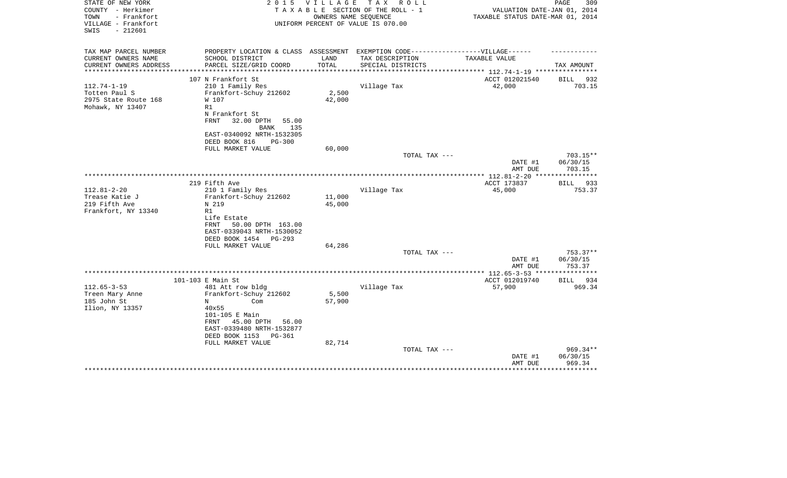| STATE OF NEW YORK<br>COUNTY - Herkimer<br>TOWN<br>- Frankfort<br>VILLAGE - Frankfort<br>$-212601$<br>SWIS | 2 0 1 5                                                                          | <b>VILLAGE</b><br>OWNERS NAME SEOUENCE | TAX ROLL<br>TAXABLE SECTION OF THE ROLL - 1<br>UNIFORM PERCENT OF VALUE IS 070.00 | VALUATION DATE-JAN 01, 2014<br>TAXABLE STATUS DATE-MAR 01, 2014 | PAGE<br>309                  |
|-----------------------------------------------------------------------------------------------------------|----------------------------------------------------------------------------------|----------------------------------------|-----------------------------------------------------------------------------------|-----------------------------------------------------------------|------------------------------|
| TAX MAP PARCEL NUMBER                                                                                     | PROPERTY LOCATION & CLASS ASSESSMENT EXEMPTION CODE----------------VILLAGE------ |                                        |                                                                                   |                                                                 |                              |
| CURRENT OWNERS NAME                                                                                       | SCHOOL DISTRICT                                                                  | LAND                                   | TAX DESCRIPTION                                                                   | TAXABLE VALUE                                                   |                              |
| CURRENT OWNERS ADDRESS<br>********************                                                            | PARCEL SIZE/GRID COORD<br>****************************                           | TOTAL                                  | SPECIAL DISTRICTS                                                                 |                                                                 | TAX AMOUNT                   |
|                                                                                                           | 107 N Frankfort St                                                               |                                        |                                                                                   | ACCT 012021540                                                  | 932<br>BILL                  |
| $112.74 - 1 - 19$                                                                                         | 210 1 Family Res                                                                 |                                        | Village Tax                                                                       | 42,000                                                          | 703.15                       |
| Totten Paul S                                                                                             | Frankfort-Schuy 212602                                                           | 2,500                                  |                                                                                   |                                                                 |                              |
| 2975 State Route 168                                                                                      | W 107                                                                            | 42,000                                 |                                                                                   |                                                                 |                              |
| Mohawk, NY 13407                                                                                          | R1                                                                               |                                        |                                                                                   |                                                                 |                              |
|                                                                                                           | N Frankfort St<br>FRNT<br>32.00 DPTH                                             |                                        |                                                                                   |                                                                 |                              |
|                                                                                                           | 55.00<br><b>BANK</b><br>135                                                      |                                        |                                                                                   |                                                                 |                              |
|                                                                                                           | EAST-0340092 NRTH-1532305                                                        |                                        |                                                                                   |                                                                 |                              |
|                                                                                                           | DEED BOOK 816<br><b>PG-300</b>                                                   |                                        |                                                                                   |                                                                 |                              |
|                                                                                                           | FULL MARKET VALUE                                                                | 60,000                                 |                                                                                   |                                                                 |                              |
|                                                                                                           |                                                                                  |                                        | TOTAL TAX ---                                                                     | DATE #1                                                         | $703.15**$<br>06/30/15       |
|                                                                                                           |                                                                                  |                                        |                                                                                   | AMT DUE                                                         | 703.15                       |
|                                                                                                           | 219 Fifth Ave                                                                    |                                        |                                                                                   | ACCT 173837                                                     | <b>BILL</b><br>933           |
| $112.81 - 2 - 20$                                                                                         | 210 1 Family Res                                                                 |                                        | Village Tax                                                                       | 45,000                                                          | 753.37                       |
| Trease Katie J                                                                                            | Frankfort-Schuy 212602                                                           | 11,000                                 |                                                                                   |                                                                 |                              |
| 219 Fifth Ave                                                                                             | N 219                                                                            | 45,000                                 |                                                                                   |                                                                 |                              |
| Frankfort, NY 13340                                                                                       | R1                                                                               |                                        |                                                                                   |                                                                 |                              |
|                                                                                                           | Life Estate                                                                      |                                        |                                                                                   |                                                                 |                              |
|                                                                                                           | 50.00 DPTH 163.00<br>FRNT                                                        |                                        |                                                                                   |                                                                 |                              |
|                                                                                                           | EAST-0339043 NRTH-1530052<br>DEED BOOK 1454<br>$PG-293$                          |                                        |                                                                                   |                                                                 |                              |
|                                                                                                           | FULL MARKET VALUE                                                                | 64,286                                 |                                                                                   |                                                                 |                              |
|                                                                                                           |                                                                                  |                                        | TOTAL TAX ---                                                                     |                                                                 | $753.37**$                   |
|                                                                                                           |                                                                                  |                                        |                                                                                   | DATE #1                                                         | 06/30/15                     |
|                                                                                                           |                                                                                  |                                        |                                                                                   | AMT DUE                                                         | 753.37                       |
|                                                                                                           |                                                                                  |                                        |                                                                                   |                                                                 |                              |
| $112.65 - 3 - 53$                                                                                         | 101-103 E Main St<br>481 Att row bldg                                            |                                        | Village Tax                                                                       | ACCT 012019740<br>57,900                                        | <b>BILL</b><br>934<br>969.34 |
| Treen Mary Anne                                                                                           | Frankfort-Schuy 212602                                                           | 5,500                                  |                                                                                   |                                                                 |                              |
| 185 John St                                                                                               | N<br>Com                                                                         | 57,900                                 |                                                                                   |                                                                 |                              |
| Ilion, NY 13357                                                                                           | 40x55                                                                            |                                        |                                                                                   |                                                                 |                              |
|                                                                                                           | 101-105 E Main                                                                   |                                        |                                                                                   |                                                                 |                              |
|                                                                                                           | 45.00 DPTH<br>FRNT<br>56.00                                                      |                                        |                                                                                   |                                                                 |                              |
|                                                                                                           | EAST-0339480 NRTH-1532877                                                        |                                        |                                                                                   |                                                                 |                              |
|                                                                                                           | DEED BOOK 1153<br>PG-361<br>FULL MARKET VALUE                                    | 82,714                                 |                                                                                   |                                                                 |                              |
|                                                                                                           |                                                                                  |                                        | TOTAL TAX ---                                                                     |                                                                 | 969.34**                     |
|                                                                                                           |                                                                                  |                                        |                                                                                   | DATE #1                                                         | 06/30/15                     |
|                                                                                                           |                                                                                  |                                        |                                                                                   | AMT DUE                                                         | 969.34                       |
|                                                                                                           |                                                                                  |                                        |                                                                                   |                                                                 |                              |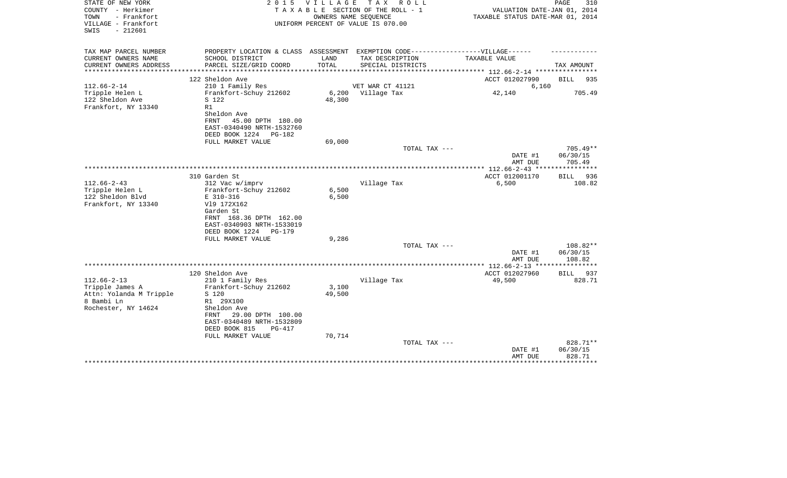| STATE OF NEW YORK<br>COUNTY - Herkimer<br>- Frankfort<br>TOWN<br>VILLAGE - Frankfort<br>$-212601$<br>SWIS |                                                                                                                                    | 2015 VILLAGE<br>OWNERS NAME SEOUENCE | TAX ROLL<br>TAXABLE SECTION OF THE ROLL - 1<br>UNIFORM PERCENT OF VALUE IS 070.00 | VALUATION DATE-JAN 01, 2014<br>TAXABLE STATUS DATE-MAR 01, 2014 | PAGE<br>310                      |
|-----------------------------------------------------------------------------------------------------------|------------------------------------------------------------------------------------------------------------------------------------|--------------------------------------|-----------------------------------------------------------------------------------|-----------------------------------------------------------------|----------------------------------|
| TAX MAP PARCEL NUMBER<br>CURRENT OWNERS NAME                                                              | PROPERTY LOCATION & CLASS ASSESSMENT EXEMPTION CODE-----------------VILLAGE------<br>SCHOOL DISTRICT                               | LAND                                 | TAX DESCRIPTION                                                                   | TAXABLE VALUE                                                   |                                  |
| CURRENT OWNERS ADDRESS                                                                                    | PARCEL SIZE/GRID COORD                                                                                                             | TOTAL                                | SPECIAL DISTRICTS                                                                 |                                                                 | TAX AMOUNT                       |
|                                                                                                           |                                                                                                                                    |                                      |                                                                                   | *********** 112.66-2-14 *********                               |                                  |
| $112.66 - 2 - 14$                                                                                         | 122 Sheldon Ave                                                                                                                    |                                      | VET WAR CT 41121                                                                  | ACCT 012027990                                                  | <b>BILL</b><br>935               |
| Tripple Helen L<br>122 Sheldon Ave<br>Frankfort, NY 13340                                                 | 210 1 Family Res<br>Frankfort-Schuy 212602<br>S 122<br>R1<br>Sheldon Ave<br>FRNT<br>45.00 DPTH 180.00                              | 48,300                               | 6,200 Village Tax                                                                 | 6,160<br>42,140                                                 | 705.49                           |
|                                                                                                           | EAST-0340490 NRTH-1532760<br>DEED BOOK 1224<br>PG-182                                                                              |                                      |                                                                                   |                                                                 |                                  |
|                                                                                                           | FULL MARKET VALUE                                                                                                                  | 69,000                               |                                                                                   |                                                                 |                                  |
|                                                                                                           |                                                                                                                                    |                                      | TOTAL TAX ---                                                                     | DATE #1<br>AMT DUE                                              | $705.49**$<br>06/30/15<br>705.49 |
|                                                                                                           |                                                                                                                                    |                                      |                                                                                   |                                                                 |                                  |
| $112.66 - 2 - 43$<br>Tripple Helen L<br>122 Sheldon Blvd                                                  | 310 Garden St<br>312 Vac w/imprv<br>Frankfort-Schuy 212602<br>E 310-316                                                            | 6,500<br>6,500                       | Village Tax                                                                       | ACCT 012001170<br>6,500                                         | 936<br>BILL<br>108.82            |
| Frankfort, NY 13340                                                                                       | V19 172X162<br>Garden St<br>FRNT 168.36 DPTH 162.00<br>EAST-0340903 NRTH-1533019<br>DEED BOOK 1224<br>$PG-179$                     |                                      |                                                                                   |                                                                 |                                  |
|                                                                                                           | FULL MARKET VALUE                                                                                                                  | 9,286                                |                                                                                   |                                                                 |                                  |
|                                                                                                           |                                                                                                                                    |                                      | TOTAL TAX ---                                                                     | DATE #1<br>AMT DUE                                              | $108.82**$<br>06/30/15<br>108.82 |
|                                                                                                           |                                                                                                                                    |                                      |                                                                                   | ************ 112.66-2-13 ****************                       |                                  |
|                                                                                                           | 120 Sheldon Ave                                                                                                                    |                                      |                                                                                   | ACCT 012027960                                                  | BILL<br>937                      |
| $112.66 - 2 - 13$<br>Tripple James A<br>Attn: Yolanda M Tripple                                           | 210 1 Family Res<br>Frankfort-Schuy 212602<br>S 120                                                                                | 3,100<br>49,500                      | Village Tax                                                                       | 49,500                                                          | 828.71                           |
| 8 Bambi Ln<br>Rochester, NY 14624                                                                         | R1 29X100<br>Sheldon Ave<br>29.00 DPTH 100.00<br>FRNT<br>EAST-0340489 NRTH-1532809<br>DEED BOOK 815<br>PG-417<br>FULL MARKET VALUE | 70,714                               |                                                                                   |                                                                 |                                  |
|                                                                                                           |                                                                                                                                    |                                      | TOTAL TAX ---                                                                     | DATE #1                                                         | 828.71**<br>06/30/15             |
|                                                                                                           |                                                                                                                                    |                                      |                                                                                   | AMT DUE                                                         | 828.71<br>*********              |
|                                                                                                           |                                                                                                                                    |                                      |                                                                                   |                                                                 |                                  |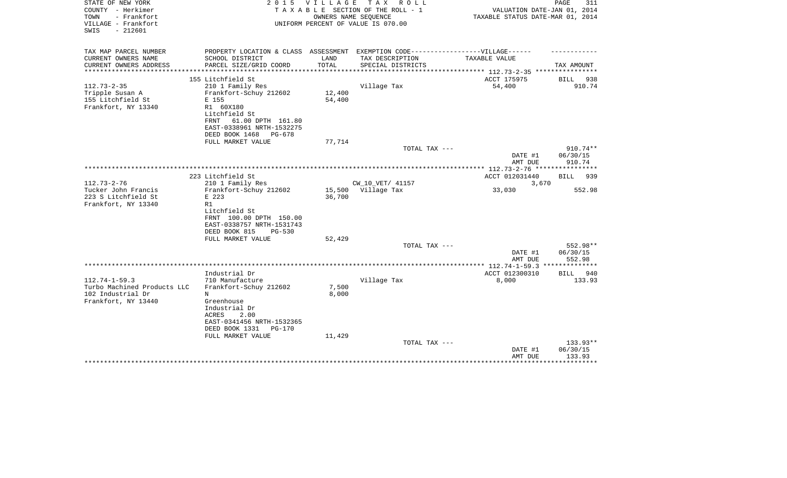| STATE OF NEW YORK<br>COUNTY - Herkimer<br>- Frankfort<br>TOWN<br>VILLAGE - Frankfort<br>$-212601$<br>SWIS | 2 0 1 5                                                | VILLAGE                      | TAX ROLL<br>TAXABLE SECTION OF THE ROLL - 1<br>OWNERS NAME SEQUENCE<br>UNIFORM PERCENT OF VALUE IS 070.00 | VALUATION DATE-JAN 01, 2014<br>TAXABLE STATUS DATE-MAR 01, 2014 | PAGE<br>311                 |
|-----------------------------------------------------------------------------------------------------------|--------------------------------------------------------|------------------------------|-----------------------------------------------------------------------------------------------------------|-----------------------------------------------------------------|-----------------------------|
| TAX MAP PARCEL NUMBER                                                                                     |                                                        |                              | PROPERTY LOCATION & CLASS ASSESSMENT EXEMPTION CODE-----------------VILLAGE------                         |                                                                 |                             |
| CURRENT OWNERS NAME                                                                                       | SCHOOL DISTRICT                                        | LAND                         | TAX DESCRIPTION                                                                                           | TAXABLE VALUE                                                   |                             |
| CURRENT OWNERS ADDRESS<br>***************                                                                 | PARCEL SIZE/GRID COORD<br>***************************  | TOTAL<br>******************* | SPECIAL DISTRICTS                                                                                         | ******************** 112.73-2-35 *****************              | TAX AMOUNT                  |
|                                                                                                           | 155 Litchfield St                                      |                              |                                                                                                           | ACCT 175975                                                     | BILL<br>938                 |
| $112.73 - 2 - 35$                                                                                         | 210 1 Family Res                                       |                              | Village Tax                                                                                               | 54,400                                                          | 910.74                      |
| Tripple Susan A                                                                                           | Frankfort-Schuy 212602                                 | 12,400                       |                                                                                                           |                                                                 |                             |
| 155 Litchfield St                                                                                         | E 155                                                  | 54,400                       |                                                                                                           |                                                                 |                             |
| Frankfort, NY 13340                                                                                       | R1 60X180                                              |                              |                                                                                                           |                                                                 |                             |
|                                                                                                           | Litchfield St                                          |                              |                                                                                                           |                                                                 |                             |
|                                                                                                           | 61.00 DPTH 161.80<br>FRNT<br>EAST-0338961 NRTH-1532275 |                              |                                                                                                           |                                                                 |                             |
|                                                                                                           | DEED BOOK 1468<br>$PG-678$                             |                              |                                                                                                           |                                                                 |                             |
|                                                                                                           | FULL MARKET VALUE                                      | 77,714                       |                                                                                                           |                                                                 |                             |
|                                                                                                           |                                                        |                              | TOTAL TAX ---                                                                                             |                                                                 | 910.74**                    |
|                                                                                                           |                                                        |                              |                                                                                                           | DATE #1                                                         | 06/30/15                    |
|                                                                                                           |                                                        |                              |                                                                                                           | AMT DUE                                                         | 910.74                      |
|                                                                                                           | 223 Litchfield St                                      |                              |                                                                                                           | ACCT 012031440                                                  | BILL<br>939                 |
| $112.73 - 2 - 76$                                                                                         | 210 1 Family Res                                       |                              | CW 10 VET/ 41157                                                                                          | 3,670                                                           |                             |
| Tucker John Francis                                                                                       | Frankfort-Schuy 212602                                 |                              | 15,500 Village Tax                                                                                        | 33,030                                                          | 552.98                      |
| 223 S Litchfield St                                                                                       | E 223                                                  | 36,700                       |                                                                                                           |                                                                 |                             |
| Frankfort, NY 13340                                                                                       | R1                                                     |                              |                                                                                                           |                                                                 |                             |
|                                                                                                           | Litchfield St                                          |                              |                                                                                                           |                                                                 |                             |
|                                                                                                           | FRNT 100.00 DPTH 150.00<br>EAST-0338757 NRTH-1531743   |                              |                                                                                                           |                                                                 |                             |
|                                                                                                           | DEED BOOK 815<br>$PG-530$                              |                              |                                                                                                           |                                                                 |                             |
|                                                                                                           | FULL MARKET VALUE                                      | 52,429                       |                                                                                                           |                                                                 |                             |
|                                                                                                           |                                                        |                              | TOTAL TAX ---                                                                                             |                                                                 | 552.98**                    |
|                                                                                                           |                                                        |                              |                                                                                                           | DATE #1                                                         | 06/30/15                    |
|                                                                                                           |                                                        |                              |                                                                                                           | AMT DUE<br>***************** 112.74-1-59.3                      | 552.98<br>********          |
|                                                                                                           | Industrial Dr                                          |                              |                                                                                                           | ACCT 012300310                                                  | 940<br><b>BILL</b>          |
| $112.74 - 1 - 59.3$                                                                                       | 710 Manufacture                                        |                              | Village Tax                                                                                               | 8,000                                                           | 133.93                      |
| Turbo Machined Products LLC                                                                               | Frankfort-Schuy 212602                                 | 7,500                        |                                                                                                           |                                                                 |                             |
| 102 Industrial Dr                                                                                         | N                                                      | 8,000                        |                                                                                                           |                                                                 |                             |
| Frankfort, NY 13440                                                                                       | Greenhouse                                             |                              |                                                                                                           |                                                                 |                             |
|                                                                                                           | Industrial Dr                                          |                              |                                                                                                           |                                                                 |                             |
|                                                                                                           | 2.00<br>ACRES<br>EAST-0341456 NRTH-1532365             |                              |                                                                                                           |                                                                 |                             |
|                                                                                                           | DEED BOOK 1331<br>$PG-170$                             |                              |                                                                                                           |                                                                 |                             |
|                                                                                                           | FULL MARKET VALUE                                      | 11,429                       |                                                                                                           |                                                                 |                             |
|                                                                                                           |                                                        |                              | TOTAL TAX ---                                                                                             |                                                                 | $133.93**$                  |
|                                                                                                           |                                                        |                              |                                                                                                           | DATE #1                                                         | 06/30/15                    |
|                                                                                                           |                                                        |                              |                                                                                                           | AMT DUE                                                         | 133.93<br>* * * * * * * * * |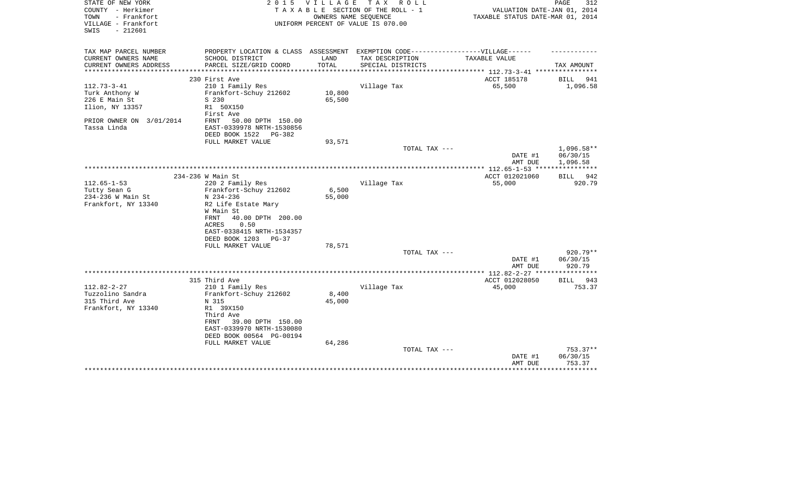| STATE OF NEW YORK        | 2 0 1 5                                                                           | VILLAGE | TAX ROLL                           |                                          | PAGE<br>312  |
|--------------------------|-----------------------------------------------------------------------------------|---------|------------------------------------|------------------------------------------|--------------|
| COUNTY - Herkimer        |                                                                                   |         | TAXABLE SECTION OF THE ROLL - 1    | VALUATION DATE-JAN 01, 2014              |              |
| - Frankfort<br>TOWN      |                                                                                   |         | OWNERS NAME SEQUENCE               | TAXABLE STATUS DATE-MAR 01, 2014         |              |
| VILLAGE - Frankfort      |                                                                                   |         | UNIFORM PERCENT OF VALUE IS 070.00 |                                          |              |
| $-212601$<br>SWIS        |                                                                                   |         |                                    |                                          |              |
|                          |                                                                                   |         |                                    |                                          |              |
|                          |                                                                                   |         |                                    |                                          |              |
| TAX MAP PARCEL NUMBER    | PROPERTY LOCATION & CLASS ASSESSMENT EXEMPTION CODE-----------------VILLAGE------ |         |                                    |                                          |              |
| CURRENT OWNERS NAME      | SCHOOL DISTRICT                                                                   | LAND    | TAX DESCRIPTION                    | TAXABLE VALUE                            |              |
| CURRENT OWNERS ADDRESS   | PARCEL SIZE/GRID COORD                                                            | TOTAL   | SPECIAL DISTRICTS                  |                                          | TAX AMOUNT   |
|                          | 230 First Ave                                                                     |         |                                    | ********* 112.73-3-41 ***<br>ACCT 185178 | BILL<br>941  |
| $112.73 - 3 - 41$        |                                                                                   |         |                                    | 65,500                                   | 1,096.58     |
|                          | 210 1 Family Res                                                                  |         | Village Tax                        |                                          |              |
| Turk Anthony W           | Frankfort-Schuy 212602                                                            | 10,800  |                                    |                                          |              |
| 226 E Main St            | S 230                                                                             | 65,500  |                                    |                                          |              |
| Ilion, NY 13357          | R1 50X150                                                                         |         |                                    |                                          |              |
|                          | First Ave                                                                         |         |                                    |                                          |              |
| PRIOR OWNER ON 3/01/2014 | FRNT<br>50.00 DPTH 150.00                                                         |         |                                    |                                          |              |
| Tassa Linda              | EAST-0339978 NRTH-1530856                                                         |         |                                    |                                          |              |
|                          | DEED BOOK 1522<br>PG-382                                                          |         |                                    |                                          |              |
|                          | FULL MARKET VALUE                                                                 | 93,571  |                                    |                                          |              |
|                          |                                                                                   |         | TOTAL TAX ---                      |                                          | $1,096.58**$ |
|                          |                                                                                   |         |                                    | DATE #1                                  | 06/30/15     |
|                          |                                                                                   |         |                                    | AMT DUE                                  | 1,096.58     |
|                          |                                                                                   |         |                                    | **************** 112.65-1-53 ***         |              |
|                          | 234-236 W Main St                                                                 |         |                                    | ACCT 012021060                           | 942<br>BILL  |
| $112.65 - 1 - 53$        | 220 2 Family Res                                                                  |         | Village Tax                        | 55,000                                   | 920.79       |
| Tutty Sean G             | Frankfort-Schuy 212602                                                            | 6,500   |                                    |                                          |              |
| 234-236 W Main St        | N 234-236                                                                         | 55,000  |                                    |                                          |              |
| Frankfort, NY 13340      | R2 Life Estate Mary                                                               |         |                                    |                                          |              |
|                          | W Main St                                                                         |         |                                    |                                          |              |
|                          | 40.00 DPTH 200.00<br>FRNT                                                         |         |                                    |                                          |              |
|                          | 0.50<br>ACRES                                                                     |         |                                    |                                          |              |
|                          | EAST-0338415 NRTH-1534357                                                         |         |                                    |                                          |              |
|                          | DEED BOOK 1203<br>$PG-37$                                                         |         |                                    |                                          |              |
|                          | FULL MARKET VALUE                                                                 | 78,571  |                                    |                                          |              |
|                          |                                                                                   |         | TOTAL TAX ---                      |                                          | 920.79**     |
|                          |                                                                                   |         |                                    | DATE #1                                  | 06/30/15     |
|                          |                                                                                   |         |                                    | AMT DUE                                  | 920.79       |
|                          |                                                                                   |         |                                    |                                          |              |
|                          | 315 Third Ave                                                                     |         |                                    | ACCT 012028050                           | BILL 943     |
| $112.82 - 2 - 27$        | 210 1 Family Res                                                                  |         | Village Tax                        | 45,000                                   | 753.37       |
| Tuzzolino Sandra         | Frankfort-Schuy 212602                                                            | 8,400   |                                    |                                          |              |
| 315 Third Ave            | N 315                                                                             | 45,000  |                                    |                                          |              |
| Frankfort, NY 13340      | R1 39X150                                                                         |         |                                    |                                          |              |
|                          | Third Ave                                                                         |         |                                    |                                          |              |
|                          | 39.00 DPTH 150.00<br>FRNT                                                         |         |                                    |                                          |              |
|                          | EAST-0339970 NRTH-1530080                                                         |         |                                    |                                          |              |
|                          | DEED BOOK 00564 PG-00194                                                          |         |                                    |                                          |              |
|                          | FULL MARKET VALUE                                                                 | 64,286  |                                    |                                          |              |
|                          |                                                                                   |         | TOTAL TAX ---                      |                                          | $753.37**$   |
|                          |                                                                                   |         |                                    | DATE #1                                  | 06/30/15     |
|                          |                                                                                   |         |                                    | AMT DUE                                  | 753.37       |
|                          |                                                                                   |         |                                    |                                          | ********     |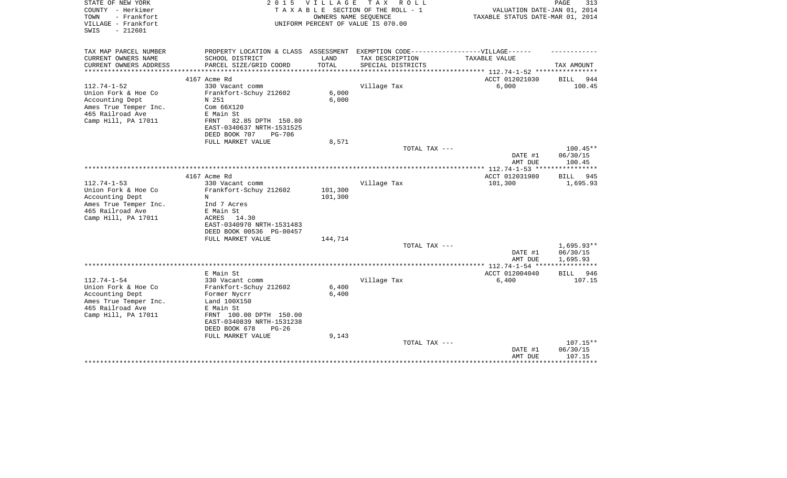| STATE OF NEW YORK<br>COUNTY - Herkimer<br>- Frankfort<br>TOWN<br>VILLAGE - Frankfort<br>$-212601$<br>SWIS | 2 0 1 5                                                 | <b>VILLAGE</b> | T A X<br>R O L L<br>TAXABLE SECTION OF THE ROLL - 1<br>OWNERS NAME SEQUENCE<br>UNIFORM PERCENT OF VALUE IS 070.00 | VALUATION DATE-JAN 01, 2014<br>TAXABLE STATUS DATE-MAR 01, 2014 | PAGE<br>313  |
|-----------------------------------------------------------------------------------------------------------|---------------------------------------------------------|----------------|-------------------------------------------------------------------------------------------------------------------|-----------------------------------------------------------------|--------------|
|                                                                                                           |                                                         |                |                                                                                                                   |                                                                 |              |
| TAX MAP PARCEL NUMBER<br>CURRENT OWNERS NAME                                                              | PROPERTY LOCATION & CLASS ASSESSMENT<br>SCHOOL DISTRICT | LAND           | EXEMPTION CODE------------------VILLAGE------<br>TAX DESCRIPTION                                                  | TAXABLE VALUE                                                   |              |
| CURRENT OWNERS ADDRESS<br>*********************                                                           | PARCEL SIZE/GRID COORD                                  | TOTAL          | SPECIAL DISTRICTS                                                                                                 | ***************** 112.74-1-52 *****************                 | TAX AMOUNT   |
|                                                                                                           | 4167 Acme Rd                                            |                |                                                                                                                   | ACCT 012021030                                                  | BILL<br>944  |
| $112.74 - 1 - 52$                                                                                         | 330 Vacant comm                                         |                | Village Tax                                                                                                       | 6,000                                                           | 100.45       |
| Union Fork & Hoe Co                                                                                       | Frankfort-Schuy 212602                                  | 6,000          |                                                                                                                   |                                                                 |              |
| Accounting Dept                                                                                           | N 251                                                   | 6,000          |                                                                                                                   |                                                                 |              |
| Ames True Temper Inc.                                                                                     | Com 66X120                                              |                |                                                                                                                   |                                                                 |              |
| 465 Railroad Ave                                                                                          | E Main St                                               |                |                                                                                                                   |                                                                 |              |
| Camp Hill, PA 17011                                                                                       | 82.85 DPTH 150.80<br>FRNT                               |                |                                                                                                                   |                                                                 |              |
|                                                                                                           | EAST-0340637 NRTH-1531525                               |                |                                                                                                                   |                                                                 |              |
|                                                                                                           | DEED BOOK 707<br><b>PG-706</b>                          |                |                                                                                                                   |                                                                 |              |
|                                                                                                           | FULL MARKET VALUE                                       | 8,571          | TOTAL TAX ---                                                                                                     |                                                                 | $100.45**$   |
|                                                                                                           |                                                         |                |                                                                                                                   | DATE #1                                                         | 06/30/15     |
|                                                                                                           |                                                         |                |                                                                                                                   | AMT DUE                                                         | 100.45       |
|                                                                                                           |                                                         |                |                                                                                                                   | **************** 112.74-1-53 *****************                  |              |
|                                                                                                           | 4167 Acme Rd                                            |                |                                                                                                                   | ACCT 012031980                                                  | BILL<br>945  |
| $112.74 - 1 - 53$                                                                                         | 330 Vacant comm                                         |                | Village Tax                                                                                                       | 101,300                                                         | 1,695.93     |
| Union Fork & Hoe Co                                                                                       | Frankfort-Schuy 212602                                  | 101,300        |                                                                                                                   |                                                                 |              |
| Accounting Dept                                                                                           | N                                                       | 101,300        |                                                                                                                   |                                                                 |              |
| Ames True Temper Inc.                                                                                     | Ind 7 Acres                                             |                |                                                                                                                   |                                                                 |              |
| 465 Railroad Ave                                                                                          | E Main St                                               |                |                                                                                                                   |                                                                 |              |
| Camp Hill, PA 17011                                                                                       | ACRES 14.30                                             |                |                                                                                                                   |                                                                 |              |
|                                                                                                           | EAST-0340970 NRTH-1531483                               |                |                                                                                                                   |                                                                 |              |
|                                                                                                           | DEED BOOK 00536 PG-00457<br>FULL MARKET VALUE           | 144,714        |                                                                                                                   |                                                                 |              |
|                                                                                                           |                                                         |                | TOTAL TAX ---                                                                                                     |                                                                 | $1,695.93**$ |
|                                                                                                           |                                                         |                |                                                                                                                   | DATE #1                                                         | 06/30/15     |
|                                                                                                           |                                                         |                |                                                                                                                   | AMT DUE                                                         | 1,695.93     |
|                                                                                                           |                                                         |                |                                                                                                                   |                                                                 |              |
|                                                                                                           | E Main St                                               |                |                                                                                                                   | ACCT 012004040                                                  | BILL<br>946  |
| $112.74 - 1 - 54$                                                                                         | 330 Vacant comm                                         |                | Village Tax                                                                                                       | 6,400                                                           | 107.15       |
| Union Fork & Hoe Co                                                                                       | Frankfort-Schuy 212602                                  | 6,400          |                                                                                                                   |                                                                 |              |
| Accounting Dept                                                                                           | Former Nycrr                                            | 6,400          |                                                                                                                   |                                                                 |              |
| Ames True Temper Inc.                                                                                     | Land 100X150                                            |                |                                                                                                                   |                                                                 |              |
| 465 Railroad Ave                                                                                          | E Main St                                               |                |                                                                                                                   |                                                                 |              |
| Camp Hill, PA 17011                                                                                       | FRNT 100.00 DPTH 150.00                                 |                |                                                                                                                   |                                                                 |              |
|                                                                                                           | EAST-0340839 NRTH-1531238                               |                |                                                                                                                   |                                                                 |              |
|                                                                                                           | DEED BOOK 678<br>$PG-26$<br>FULL MARKET VALUE           | 9,143          |                                                                                                                   |                                                                 |              |
|                                                                                                           |                                                         |                | TOTAL TAX ---                                                                                                     |                                                                 | 107.15**     |
|                                                                                                           |                                                         |                |                                                                                                                   | DATE #1                                                         | 06/30/15     |
|                                                                                                           |                                                         |                |                                                                                                                   | AMT DUE                                                         | 107.15       |
|                                                                                                           |                                                         |                |                                                                                                                   |                                                                 |              |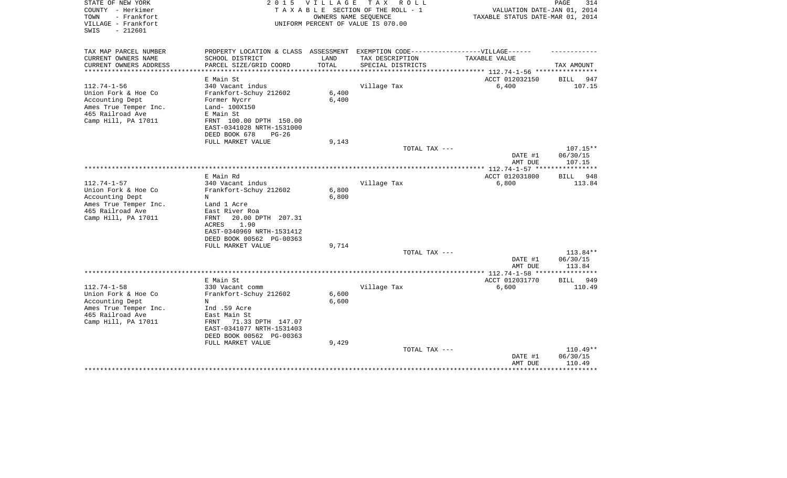| STATE OF NEW YORK<br>COUNTY - Herkimer<br>- Frankfort<br>TOWN<br>VILLAGE - Frankfort<br>$-212601$<br>SWIS                       | 2 0 1 5                                                                                                                                                             | <b>VILLAGE</b><br>OWNERS NAME SEOUENCE | T A X<br>R O L L<br>TAXABLE SECTION OF THE ROLL - 1<br>UNIFORM PERCENT OF VALUE IS 070.00 | VALUATION DATE-JAN 01, 2014<br>TAXABLE STATUS DATE-MAR 01, 2014 | PAGE<br>314                                 |
|---------------------------------------------------------------------------------------------------------------------------------|---------------------------------------------------------------------------------------------------------------------------------------------------------------------|----------------------------------------|-------------------------------------------------------------------------------------------|-----------------------------------------------------------------|---------------------------------------------|
| TAX MAP PARCEL NUMBER                                                                                                           | PROPERTY LOCATION & CLASS ASSESSMENT                                                                                                                                |                                        | EXEMPTION CODE------------------VILLAGE------                                             |                                                                 |                                             |
| CURRENT OWNERS NAME<br>CURRENT OWNERS ADDRESS<br>**********************                                                         | SCHOOL DISTRICT<br>PARCEL SIZE/GRID COORD<br>***********************                                                                                                | LAND<br>TOTAL<br>**************        | TAX DESCRIPTION<br>SPECIAL DISTRICTS                                                      | TAXABLE VALUE                                                   | TAX AMOUNT                                  |
|                                                                                                                                 |                                                                                                                                                                     |                                        |                                                                                           |                                                                 |                                             |
| $112.74 - 1 - 56$<br>Union Fork & Hoe Co<br>Accounting Dept<br>Ames True Temper Inc.<br>465 Railroad Ave<br>Camp Hill, PA 17011 | E Main St<br>340 Vacant indus<br>Frankfort-Schuy 212602<br>Former Nycrr<br>Land- 100X150<br>E Main St<br>FRNT 100.00 DPTH 150.00<br>EAST-0341028 NRTH-1531000       | 6,400<br>6,400                         | Village Tax                                                                               | ACCT 012032150<br>6,400                                         | 947<br>BILL<br>107.15                       |
|                                                                                                                                 | DEED BOOK 678<br>$PG-26$                                                                                                                                            |                                        |                                                                                           |                                                                 |                                             |
|                                                                                                                                 | FULL MARKET VALUE                                                                                                                                                   | 9,143                                  | TOTAL TAX ---                                                                             |                                                                 | $107.15**$                                  |
|                                                                                                                                 |                                                                                                                                                                     |                                        |                                                                                           | DATE #1<br>AMT DUE                                              | 06/30/15<br>107.15<br>* * * * * * * * * * * |
|                                                                                                                                 | E Main Rd                                                                                                                                                           |                                        |                                                                                           | ************* 112.74-1-57 ***<br>ACCT 012031800                 | 948<br><b>BILL</b>                          |
| $112.74 - 1 - 57$                                                                                                               | 340 Vacant indus                                                                                                                                                    |                                        | Village Tax                                                                               | 6,800                                                           | 113.84                                      |
| Union Fork & Hoe Co<br>Accounting Dept<br>Ames True Temper Inc.<br>465 Railroad Ave<br>Camp Hill, PA 17011                      | Frankfort-Schuy 212602<br>Ν<br>Land 1 Acre<br>East River Roa<br>FRNT<br>20.00 DPTH 207.31<br>1.90<br>ACRES<br>EAST-0340969 NRTH-1531412<br>DEED BOOK 00562 PG-00363 | 6,800<br>6,800                         |                                                                                           |                                                                 |                                             |
|                                                                                                                                 | FULL MARKET VALUE                                                                                                                                                   | 9,714                                  |                                                                                           |                                                                 |                                             |
|                                                                                                                                 |                                                                                                                                                                     |                                        | TOTAL TAX ---                                                                             | DATE #1<br>AMT DUE                                              | 113.84**<br>06/30/15<br>113.84              |
|                                                                                                                                 |                                                                                                                                                                     |                                        |                                                                                           |                                                                 |                                             |
|                                                                                                                                 | E Main St                                                                                                                                                           |                                        |                                                                                           | ACCT 012031770                                                  | BILL<br>949                                 |
| $112.74 - 1 - 58$<br>Union Fork & Hoe Co<br>Accounting Dept<br>Ames True Temper Inc.<br>465 Railroad Ave<br>Camp Hill, PA 17011 | 330 Vacant comm<br>Frankfort-Schuy 212602<br>N<br>Ind .59 Acre<br>East Main St<br>71.33 DPTH 147.07<br>FRNT<br>EAST-0341077 NRTH-1531403                            | 6,600<br>6,600                         | Village Tax                                                                               | 6,600                                                           | 110.49                                      |
|                                                                                                                                 | DEED BOOK 00562 PG-00363                                                                                                                                            |                                        |                                                                                           |                                                                 |                                             |
|                                                                                                                                 | FULL MARKET VALUE                                                                                                                                                   | 9,429                                  | TOTAL TAX ---                                                                             | DATE #1<br>AMT DUE                                              | $110.49**$<br>06/30/15<br>110.49            |
|                                                                                                                                 |                                                                                                                                                                     |                                        |                                                                                           | ********************************                                |                                             |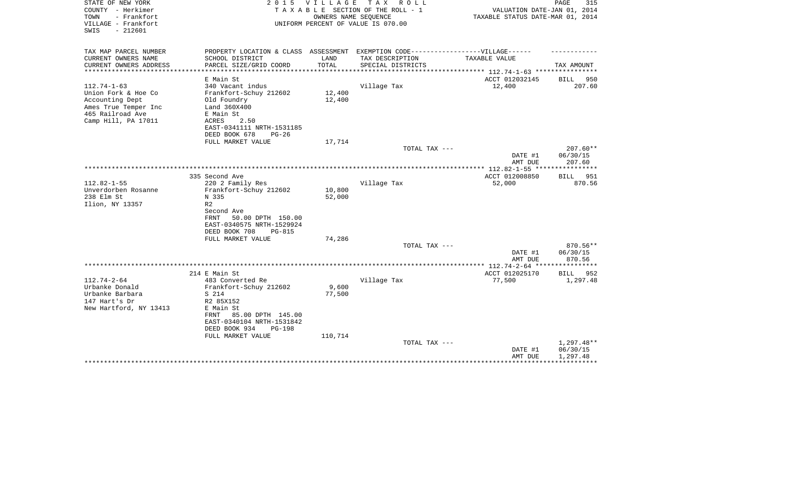| STATE OF NEW YORK<br>COUNTY - Herkimer<br>- Frankfort<br>TOWN<br>VILLAGE - Frankfort<br>$-212601$<br>SWIS | 2 0 1 5                                                                           | VILLAGE | T A X<br>R O L L<br>TAXABLE SECTION OF THE ROLL - 1<br>OWNERS NAME SEQUENCE<br>UNIFORM PERCENT OF VALUE IS 070.00 | VALUATION DATE-JAN 01, 2014<br>TAXABLE STATUS DATE-MAR 01, 2014 | 315<br>PAGE        |
|-----------------------------------------------------------------------------------------------------------|-----------------------------------------------------------------------------------|---------|-------------------------------------------------------------------------------------------------------------------|-----------------------------------------------------------------|--------------------|
| TAX MAP PARCEL NUMBER                                                                                     | PROPERTY LOCATION & CLASS ASSESSMENT EXEMPTION CODE-----------------VILLAGE------ |         |                                                                                                                   |                                                                 |                    |
| CURRENT OWNERS NAME                                                                                       | SCHOOL DISTRICT                                                                   | LAND    | TAX DESCRIPTION                                                                                                   | TAXABLE VALUE                                                   |                    |
| CURRENT OWNERS ADDRESS<br>*************************                                                       | PARCEL SIZE/GRID COORD                                                            | TOTAL   | SPECIAL DISTRICTS                                                                                                 |                                                                 | TAX AMOUNT         |
|                                                                                                           | E Main St                                                                         |         |                                                                                                                   | ACCT 012032145                                                  | BILL<br>950        |
| $112.74 - 1 - 63$                                                                                         | 340 Vacant indus                                                                  |         | Village Tax                                                                                                       | 12,400                                                          | 207.60             |
| Union Fork & Hoe Co                                                                                       | Frankfort-Schuy 212602                                                            | 12,400  |                                                                                                                   |                                                                 |                    |
| Accounting Dept                                                                                           | Old Foundry                                                                       | 12,400  |                                                                                                                   |                                                                 |                    |
| Ames True Temper Inc                                                                                      | Land 360X400                                                                      |         |                                                                                                                   |                                                                 |                    |
| 465 Railroad Ave                                                                                          | E Main St                                                                         |         |                                                                                                                   |                                                                 |                    |
| Camp Hill, PA 17011                                                                                       | 2.50<br>ACRES<br>EAST-0341111 NRTH-1531185                                        |         |                                                                                                                   |                                                                 |                    |
|                                                                                                           | DEED BOOK 678<br>$PG-26$                                                          |         |                                                                                                                   |                                                                 |                    |
|                                                                                                           | FULL MARKET VALUE                                                                 | 17,714  |                                                                                                                   |                                                                 |                    |
|                                                                                                           |                                                                                   |         | TOTAL TAX ---                                                                                                     |                                                                 | $207.60**$         |
|                                                                                                           |                                                                                   |         |                                                                                                                   | DATE #1                                                         | 06/30/15           |
|                                                                                                           |                                                                                   |         |                                                                                                                   | AMT DUE                                                         | 207.60             |
|                                                                                                           |                                                                                   |         |                                                                                                                   |                                                                 |                    |
| $112.82 - 1 - 55$                                                                                         | 335 Second Ave                                                                    |         |                                                                                                                   | ACCT 012008850                                                  | 951<br>BILL        |
| Unverdorben Rosanne                                                                                       | 220 2 Family Res<br>Frankfort-Schuy 212602                                        | 10,800  | Village Tax                                                                                                       | 52,000                                                          | 870.56             |
| 238 Elm St                                                                                                | N 335                                                                             | 52,000  |                                                                                                                   |                                                                 |                    |
| Ilion, NY 13357                                                                                           | R <sub>2</sub>                                                                    |         |                                                                                                                   |                                                                 |                    |
|                                                                                                           | Second Ave                                                                        |         |                                                                                                                   |                                                                 |                    |
|                                                                                                           | FRNT<br>50.00 DPTH 150.00                                                         |         |                                                                                                                   |                                                                 |                    |
|                                                                                                           | EAST-0340575 NRTH-1529924                                                         |         |                                                                                                                   |                                                                 |                    |
|                                                                                                           | DEED BOOK 708<br>$PG-815$                                                         |         |                                                                                                                   |                                                                 |                    |
|                                                                                                           | FULL MARKET VALUE                                                                 | 74,286  |                                                                                                                   |                                                                 |                    |
|                                                                                                           |                                                                                   |         | TOTAL TAX ---                                                                                                     |                                                                 | 870.56**           |
|                                                                                                           |                                                                                   |         |                                                                                                                   | DATE #1<br>AMT DUE                                              | 06/30/15<br>870.56 |
|                                                                                                           |                                                                                   |         |                                                                                                                   | ***************** 112.74-2-64 ****************                  |                    |
|                                                                                                           | 214 E Main St                                                                     |         |                                                                                                                   | ACCT 012025170                                                  | <b>BILL</b><br>952 |
| $112.74 - 2 - 64$                                                                                         | 483 Converted Re                                                                  |         | Village Tax                                                                                                       | 77,500                                                          | 1,297.48           |
| Urbanke Donald                                                                                            | Frankfort-Schuy 212602                                                            | 9,600   |                                                                                                                   |                                                                 |                    |
| Urbanke Barbara                                                                                           | S 214                                                                             | 77,500  |                                                                                                                   |                                                                 |                    |
| 147 Hart's Dr                                                                                             | R2 85X152                                                                         |         |                                                                                                                   |                                                                 |                    |
| New Hartford, NY 13413                                                                                    | E Main St                                                                         |         |                                                                                                                   |                                                                 |                    |
|                                                                                                           | 85.00 DPTH 145.00<br>FRNT                                                         |         |                                                                                                                   |                                                                 |                    |
|                                                                                                           | EAST-0340104 NRTH-1531842<br>DEED BOOK 934<br>$PG-198$                            |         |                                                                                                                   |                                                                 |                    |
|                                                                                                           | FULL MARKET VALUE                                                                 | 110,714 |                                                                                                                   |                                                                 |                    |
|                                                                                                           |                                                                                   |         | TOTAL TAX ---                                                                                                     |                                                                 | $1,297.48**$       |
|                                                                                                           |                                                                                   |         |                                                                                                                   | DATE #1                                                         | 06/30/15           |
|                                                                                                           |                                                                                   |         |                                                                                                                   | AMT DUE                                                         | 1,297.48           |
|                                                                                                           |                                                                                   |         |                                                                                                                   |                                                                 |                    |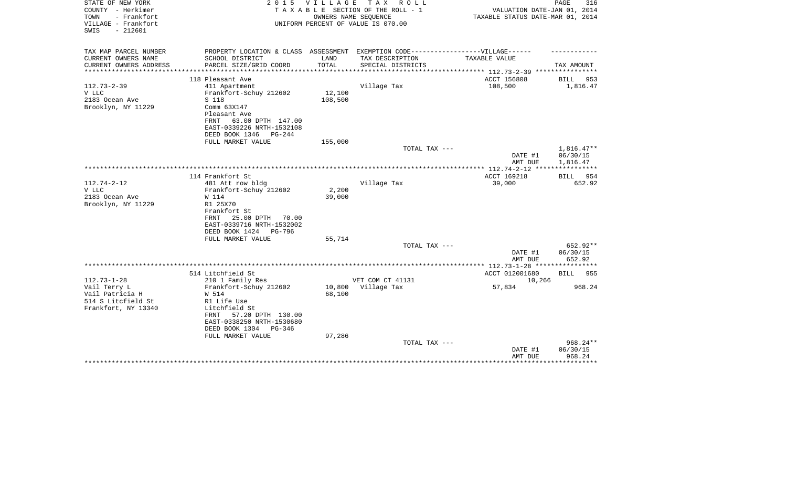| STATE OF NEW YORK<br>COUNTY - Herkimer                          | 2 0 1 5                                                                           | VILLAGE                   | TAX ROLL<br>TAXABLE SECTION OF THE ROLL - 1                | VALUATION DATE-JAN 01, 2014                     | PAGE<br>316        |
|-----------------------------------------------------------------|-----------------------------------------------------------------------------------|---------------------------|------------------------------------------------------------|-------------------------------------------------|--------------------|
| TOWN<br>- Frankfort<br>VILLAGE - Frankfort<br>$-212601$<br>SWIS |                                                                                   |                           | OWNERS NAME SEQUENCE<br>UNIFORM PERCENT OF VALUE IS 070.00 | TAXABLE STATUS DATE-MAR 01, 2014                |                    |
| TAX MAP PARCEL NUMBER                                           | PROPERTY LOCATION & CLASS ASSESSMENT EXEMPTION CODE-----------------VILLAGE------ |                           |                                                            |                                                 |                    |
| CURRENT OWNERS NAME                                             | SCHOOL DISTRICT                                                                   | LAND                      | TAX DESCRIPTION                                            | TAXABLE VALUE                                   |                    |
| CURRENT OWNERS ADDRESS<br>**************                        | PARCEL SIZE/GRID COORD<br>****************************                            | TOTAL<br>**************** | SPECIAL DISTRICTS                                          | ***************** 112.73-2-39 ***************** | TAX AMOUNT         |
|                                                                 | 118 Pleasant Ave                                                                  |                           |                                                            | ACCT 156808                                     | BILL<br>953        |
| $112.73 - 2 - 39$                                               | 411 Apartment                                                                     |                           | Village Tax                                                | 108,500                                         | 1,816.47           |
| V LLC                                                           | Frankfort-Schuy 212602                                                            | 12,100                    |                                                            |                                                 |                    |
| 2183 Ocean Ave                                                  | S 118                                                                             | 108,500                   |                                                            |                                                 |                    |
| Brooklyn, NY 11229                                              | Comm 63X147                                                                       |                           |                                                            |                                                 |                    |
|                                                                 | Pleasant Ave                                                                      |                           |                                                            |                                                 |                    |
|                                                                 | FRNT<br>63.00 DPTH 147.00                                                         |                           |                                                            |                                                 |                    |
|                                                                 | EAST-0339226 NRTH-1532108                                                         |                           |                                                            |                                                 |                    |
|                                                                 | DEED BOOK 1346<br>PG-244                                                          |                           |                                                            |                                                 |                    |
|                                                                 | FULL MARKET VALUE                                                                 | 155,000                   |                                                            |                                                 |                    |
|                                                                 |                                                                                   |                           | TOTAL TAX ---                                              |                                                 | $1,816.47**$       |
|                                                                 |                                                                                   |                           |                                                            | DATE #1                                         | 06/30/15           |
|                                                                 |                                                                                   |                           |                                                            | AMT DUE                                         | 1,816.47           |
|                                                                 |                                                                                   |                           |                                                            |                                                 | ***********        |
|                                                                 | 114 Frankfort St                                                                  |                           |                                                            | ACCT 169218                                     | BILL<br>954        |
| $112.74 - 2 - 12$                                               | 481 Att row bldg                                                                  |                           | Village Tax                                                | 39,000                                          | 652.92             |
| V LLC                                                           | Frankfort-Schuy 212602                                                            | 2,200                     |                                                            |                                                 |                    |
| 2183 Ocean Ave                                                  | W 114                                                                             | 39,000                    |                                                            |                                                 |                    |
| Brooklyn, NY 11229                                              | R1 25X70<br>Frankfort St                                                          |                           |                                                            |                                                 |                    |
|                                                                 | 25.00 DPTH<br>70.00<br>FRNT                                                       |                           |                                                            |                                                 |                    |
|                                                                 | EAST-0339716 NRTH-1532002                                                         |                           |                                                            |                                                 |                    |
|                                                                 | DEED BOOK 1424<br>PG-796                                                          |                           |                                                            |                                                 |                    |
|                                                                 | FULL MARKET VALUE                                                                 | 55,714                    |                                                            |                                                 |                    |
|                                                                 |                                                                                   |                           | TOTAL TAX ---                                              |                                                 | 652.92**           |
|                                                                 |                                                                                   |                           |                                                            | DATE #1                                         | 06/30/15           |
|                                                                 |                                                                                   |                           |                                                            | AMT DUE                                         | 652.92             |
|                                                                 |                                                                                   |                           |                                                            |                                                 |                    |
|                                                                 | 514 Litchfield St                                                                 |                           |                                                            | ACCT 012001680                                  | BILL 955           |
| $112.73 - 1 - 28$                                               | 210 1 Family Res                                                                  |                           | VET COM CT 41131                                           | 10,266                                          |                    |
| Vail Terry L                                                    | Frankfort-Schuy 212602                                                            | 10,800                    | Village Tax                                                | 57,834                                          | 968.24             |
| Vail Patricia H                                                 | W 514                                                                             | 68,100                    |                                                            |                                                 |                    |
| 514 S Litcfield St                                              | R1 Life Use                                                                       |                           |                                                            |                                                 |                    |
| Frankfort, NY 13340                                             | Litchfield St                                                                     |                           |                                                            |                                                 |                    |
|                                                                 | 57.20 DPTH 130.00<br>FRNT                                                         |                           |                                                            |                                                 |                    |
|                                                                 | EAST-0338250 NRTH-1530680                                                         |                           |                                                            |                                                 |                    |
|                                                                 | DEED BOOK 1304<br>PG-346                                                          |                           |                                                            |                                                 |                    |
|                                                                 | FULL MARKET VALUE                                                                 | 97,286                    |                                                            |                                                 |                    |
|                                                                 |                                                                                   |                           | TOTAL TAX ---                                              |                                                 | $968.24**$         |
|                                                                 |                                                                                   |                           |                                                            | DATE #1<br>AMT DUE                              | 06/30/15<br>968.24 |
|                                                                 |                                                                                   |                           |                                                            |                                                 | * * * * * * * * *  |
|                                                                 |                                                                                   |                           |                                                            |                                                 |                    |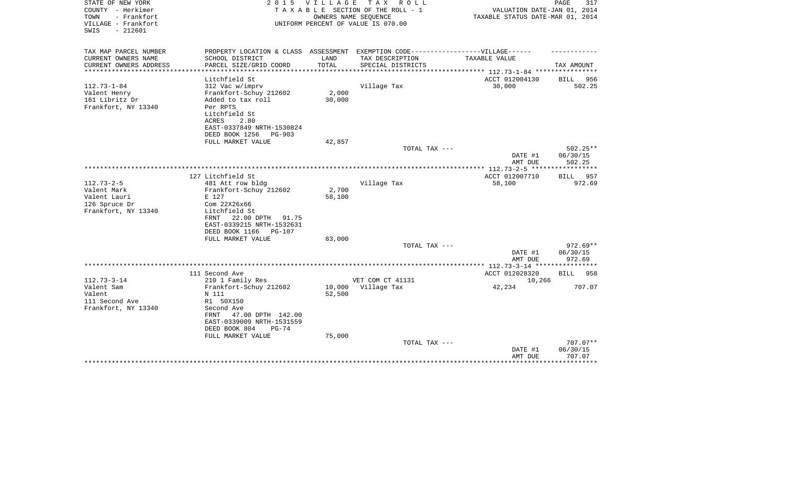| STATE OF NEW YORK<br>COUNTY - Herkimer                          | 2 0 1 5                                                                           | <b>VILLAGE</b> | T A X<br>R O L L<br>TAXABLE SECTION OF THE ROLL - 1        | VALUATION DATE-JAN 01, 2014                                       | PAGE<br>317           |
|-----------------------------------------------------------------|-----------------------------------------------------------------------------------|----------------|------------------------------------------------------------|-------------------------------------------------------------------|-----------------------|
| TOWN<br>- Frankfort<br>VILLAGE - Frankfort<br>$-212601$<br>SWIS |                                                                                   |                | OWNERS NAME SEQUENCE<br>UNIFORM PERCENT OF VALUE IS 070.00 | TAXABLE STATUS DATE-MAR 01, 2014                                  |                       |
| TAX MAP PARCEL NUMBER                                           | PROPERTY LOCATION & CLASS ASSESSMENT EXEMPTION CODE-----------------VILLAGE------ |                |                                                            |                                                                   |                       |
| CURRENT OWNERS NAME                                             | SCHOOL DISTRICT                                                                   | LAND           | TAX DESCRIPTION                                            | TAXABLE VALUE                                                     |                       |
| CURRENT OWNERS ADDRESS<br>***************                       | PARCEL SIZE/GRID COORD<br>***********************                                 | TOTAL          | SPECIAL DISTRICTS                                          |                                                                   | TAX AMOUNT            |
|                                                                 | Litchfield St                                                                     |                |                                                            | ***************** 112.73-1-84 *****************<br>ACCT 012004130 |                       |
| $112.73 - 1 - 84$                                               | 312 Vac w/imprv                                                                   |                | Village Tax                                                | 30,000                                                            | BILL<br>956<br>502.25 |
| Valent Henry                                                    | Frankfort-Schuy 212602                                                            | 2,000          |                                                            |                                                                   |                       |
| 161 Libritz Dr                                                  | Added to tax roll                                                                 | 30,000         |                                                            |                                                                   |                       |
| Frankfort, NY 13340                                             | Per RPTS                                                                          |                |                                                            |                                                                   |                       |
|                                                                 | Litchfield St                                                                     |                |                                                            |                                                                   |                       |
|                                                                 | 2.80<br>ACRES                                                                     |                |                                                            |                                                                   |                       |
|                                                                 | EAST-0337849 NRTH-1530824                                                         |                |                                                            |                                                                   |                       |
|                                                                 | DEED BOOK 1256<br>$PG-903$                                                        |                |                                                            |                                                                   |                       |
|                                                                 | FULL MARKET VALUE                                                                 | 42,857         |                                                            |                                                                   |                       |
|                                                                 |                                                                                   |                | TOTAL TAX ---                                              |                                                                   | $502.25**$            |
|                                                                 |                                                                                   |                |                                                            | DATE #1                                                           | 06/30/15              |
|                                                                 |                                                                                   |                |                                                            | AMT DUE                                                           | 502.25                |
|                                                                 |                                                                                   |                |                                                            |                                                                   |                       |
|                                                                 | 127 Litchfield St                                                                 |                |                                                            | ACCT 012007710                                                    | 957<br>BILL           |
| $112.73 - 2 - 5$                                                | 481 Att row bldg                                                                  |                | Village Tax                                                | 58,100                                                            | 972.69                |
| Valent Mark                                                     | Frankfort-Schuy 212602                                                            | 2,700          |                                                            |                                                                   |                       |
| Valent Lauri                                                    | E 127                                                                             | 58,100         |                                                            |                                                                   |                       |
| 126 Spruce Dr                                                   | Com 22X26x66                                                                      |                |                                                            |                                                                   |                       |
| Frankfort, NY 13340                                             | Litchfield St                                                                     |                |                                                            |                                                                   |                       |
|                                                                 | 22.00 DPTH<br>91.75<br>FRNT                                                       |                |                                                            |                                                                   |                       |
|                                                                 | EAST-0339215 NRTH-1532631                                                         |                |                                                            |                                                                   |                       |
|                                                                 | DEED BOOK 1166<br><b>PG-107</b>                                                   |                |                                                            |                                                                   |                       |
|                                                                 | FULL MARKET VALUE                                                                 | 83,000         |                                                            |                                                                   |                       |
|                                                                 |                                                                                   |                | TOTAL TAX ---                                              |                                                                   | 972.69**              |
|                                                                 |                                                                                   |                |                                                            | DATE #1                                                           | 06/30/15              |
|                                                                 |                                                                                   |                |                                                            | AMT DUE                                                           | 972.69                |
|                                                                 |                                                                                   |                |                                                            |                                                                   |                       |
|                                                                 | 111 Second Ave                                                                    |                |                                                            | ACCT 012028320                                                    | BILL<br>958           |
| $112.73 - 3 - 14$                                               | 210 1 Family Res                                                                  |                | VET COM CT 41131                                           | 10,266                                                            |                       |
| Valent Sam                                                      | Frankfort-Schuy 212602                                                            | 10,000         | Village Tax                                                | 42,234                                                            | 707.07                |
| Valent                                                          | N 111                                                                             | 52,500         |                                                            |                                                                   |                       |
| 111 Second Ave                                                  | R1 50X150                                                                         |                |                                                            |                                                                   |                       |
| Frankfort, NY 13340                                             | Second Ave                                                                        |                |                                                            |                                                                   |                       |
|                                                                 | 47.00 DPTH 142.00<br>FRNT                                                         |                |                                                            |                                                                   |                       |
|                                                                 | EAST-0339009 NRTH-1531559                                                         |                |                                                            |                                                                   |                       |
|                                                                 | DEED BOOK 804<br>$PG-74$                                                          |                |                                                            |                                                                   |                       |
|                                                                 | FULL MARKET VALUE                                                                 | 75,000         |                                                            |                                                                   |                       |
|                                                                 |                                                                                   |                | TOTAL TAX ---                                              |                                                                   | 707.07**              |
|                                                                 |                                                                                   |                |                                                            | DATE #1                                                           | 06/30/15              |
|                                                                 |                                                                                   |                |                                                            | AMT DUE                                                           | 707.07                |
|                                                                 |                                                                                   |                |                                                            |                                                                   | *********             |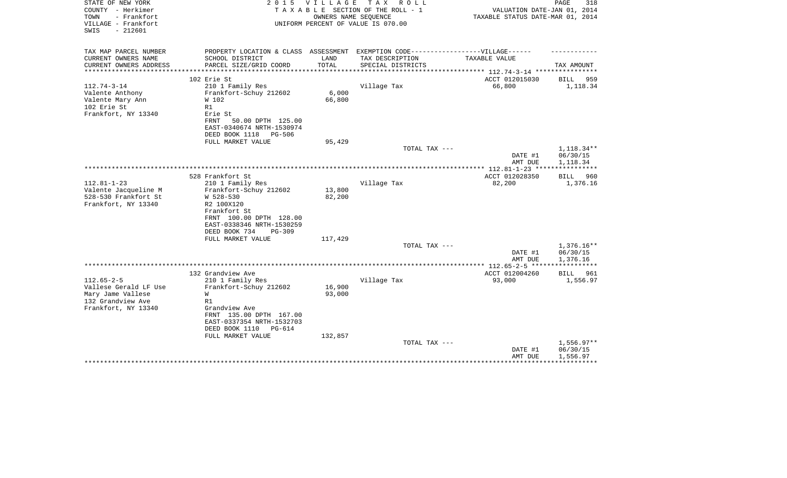| STATE OF NEW YORK<br>COUNTY - Herkimer<br>TOWN<br>- Frankfort<br>VILLAGE - Frankfort<br>$-212601$<br>SWIS  | 2 0 1 5                                                                                                                                                                         | <b>VILLAGE</b><br>OWNERS NAME SEQUENCE | T A X<br>R O L L<br>TAXABLE SECTION OF THE ROLL - 1<br>UNIFORM PERCENT OF VALUE IS 070.00 | VALUATION DATE-JAN 01, 2014<br>TAXABLE STATUS DATE-MAR 01, 2014 | PAGE<br>318                          |
|------------------------------------------------------------------------------------------------------------|---------------------------------------------------------------------------------------------------------------------------------------------------------------------------------|----------------------------------------|-------------------------------------------------------------------------------------------|-----------------------------------------------------------------|--------------------------------------|
| TAX MAP PARCEL NUMBER<br>CURRENT OWNERS NAME                                                               | PROPERTY LOCATION & CLASS ASSESSMENT EXEMPTION CODE-----------------VILLAGE------<br>SCHOOL DISTRICT                                                                            | LAND                                   | TAX DESCRIPTION                                                                           | <b>TAXABLE VALUE</b>                                            |                                      |
| CURRENT OWNERS ADDRESS                                                                                     | PARCEL SIZE/GRID COORD                                                                                                                                                          | TOTAL                                  | SPECIAL DISTRICTS                                                                         |                                                                 | TAX AMOUNT                           |
| **********************                                                                                     |                                                                                                                                                                                 |                                        |                                                                                           |                                                                 |                                      |
| $112.74 - 3 - 14$                                                                                          | 102 Erie St<br>210 1 Family Res                                                                                                                                                 |                                        | Village Tax                                                                               | ACCT 012015030<br>66,800                                        | 959<br>BILL<br>1,118.34              |
| Valente Anthony<br>Valente Mary Ann<br>102 Erie St<br>Frankfort, NY 13340                                  | Frankfort-Schuy 212602<br>W 102<br>R1<br>Erie St<br>50.00 DPTH 125.00<br>FRNT                                                                                                   | 6,000<br>66,800                        |                                                                                           |                                                                 |                                      |
|                                                                                                            | EAST-0340674 NRTH-1530974                                                                                                                                                       |                                        |                                                                                           |                                                                 |                                      |
|                                                                                                            | DEED BOOK 1118<br>PG-506<br>FULL MARKET VALUE                                                                                                                                   | 95,429                                 |                                                                                           |                                                                 |                                      |
|                                                                                                            |                                                                                                                                                                                 |                                        | TOTAL TAX ---                                                                             |                                                                 | 1,118.34**                           |
|                                                                                                            |                                                                                                                                                                                 |                                        |                                                                                           | DATE #1<br>AMT DUE                                              | 06/30/15<br>1,118.34                 |
|                                                                                                            |                                                                                                                                                                                 |                                        |                                                                                           |                                                                 |                                      |
| $112.81 - 1 - 23$                                                                                          | 528 Frankfort St<br>210 1 Family Res                                                                                                                                            |                                        | Village Tax                                                                               | ACCT 012028350<br>82,200                                        | BILL<br>960<br>1,376.16              |
| Valente Jacqueline M<br>528-530 Frankfort St<br>Frankfort, NY 13340                                        | Frankfort-Schuy 212602<br>W 528-530<br>R2 100X120<br>Frankfort St<br>FRNT 100.00 DPTH 128.00<br>EAST-0338346 NRTH-1530259<br>DEED BOOK 734<br>$PG-309$                          | 13,800<br>82,200                       |                                                                                           |                                                                 |                                      |
|                                                                                                            | FULL MARKET VALUE                                                                                                                                                               | 117,429                                |                                                                                           |                                                                 |                                      |
|                                                                                                            |                                                                                                                                                                                 |                                        | TOTAL TAX ---                                                                             | DATE #1<br>AMT DUE                                              | $1,376.16**$<br>06/30/15<br>1,376.16 |
|                                                                                                            |                                                                                                                                                                                 |                                        |                                                                                           | **************** 112.65-2-5 *****                               | ************                         |
|                                                                                                            | 132 Grandview Ave                                                                                                                                                               |                                        |                                                                                           | ACCT 012004260                                                  | BILL<br>961                          |
| $112.65 - 2 - 5$<br>Vallese Gerald LF Use<br>Mary Jame Vallese<br>132 Grandview Ave<br>Frankfort, NY 13340 | 210 1 Family Res<br>Frankfort-Schuy 212602<br>W<br>R1<br>Grandview Ave<br>FRNT 135.00 DPTH 167.00<br>EAST-0337354 NRTH-1532703<br>DEED BOOK 1110<br>PG-614<br>FULL MARKET VALUE | 16,900<br>93,000<br>132,857            | Village Tax                                                                               | 93,000                                                          | 1,556.97                             |
|                                                                                                            |                                                                                                                                                                                 |                                        | TOTAL TAX ---                                                                             | DATE #1<br>AMT DUE                                              | $1,556.97**$<br>06/30/15<br>1,556.97 |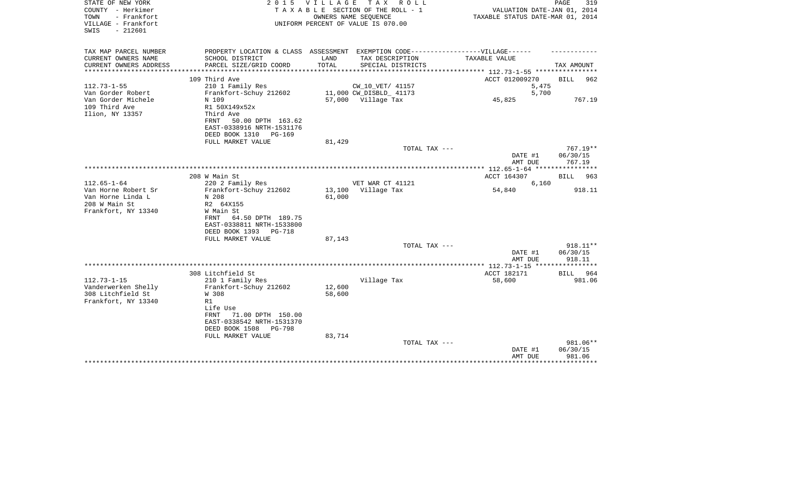| STATE OF NEW YORK<br>COUNTY - Herkimer<br>- Frankfort<br>TOWN<br>VILLAGE - Frankfort<br>$-212601$<br>SWIS |                                                                                                                  | 2015 VILLAGE | TAX ROLL<br>TAXABLE SECTION OF THE ROLL - 1<br>OWNERS NAME SEQUENCE<br>UNIFORM PERCENT OF VALUE IS 070.00 | VALUATION DATE-JAN 01, 2014<br>TAXABLE STATUS DATE-MAR 01, 2014 | PAGE<br>319                      |
|-----------------------------------------------------------------------------------------------------------|------------------------------------------------------------------------------------------------------------------|--------------|-----------------------------------------------------------------------------------------------------------|-----------------------------------------------------------------|----------------------------------|
| TAX MAP PARCEL NUMBER<br>CURRENT OWNERS NAME                                                              | SCHOOL DISTRICT                                                                                                  | LAND         | PROPERTY LOCATION & CLASS ASSESSMENT EXEMPTION CODE-----------------VILLAGE------<br>TAX DESCRIPTION      | TAXABLE VALUE                                                   |                                  |
| CURRENT OWNERS ADDRESS                                                                                    | PARCEL SIZE/GRID COORD                                                                                           | TOTAL        | SPECIAL DISTRICTS                                                                                         |                                                                 | TAX AMOUNT                       |
|                                                                                                           |                                                                                                                  |              |                                                                                                           | ********** 112.73-1-55 *********                                |                                  |
|                                                                                                           | 109 Third Ave                                                                                                    |              |                                                                                                           | ACCT 012009270                                                  | BILL<br>962                      |
| $112.73 - 1 - 55$                                                                                         | 210 1 Family Res                                                                                                 |              | CW_10_VET/ 41157                                                                                          | 5,475                                                           |                                  |
| Van Gorder Robert<br>Van Gorder Michele                                                                   | Frankfort-Schuy 212602<br>N 109                                                                                  |              | 11,000 CW_DISBLD_ 41173<br>57,000 Village Tax                                                             | 5,700<br>45,825                                                 | 767.19                           |
| 109 Third Ave<br>Ilion, NY 13357                                                                          | R1 50X149x52x<br>Third Ave<br>50.00 DPTH 163.62<br>FRNT<br>EAST-0338916 NRTH-1531176<br>DEED BOOK 1310<br>PG-169 |              |                                                                                                           |                                                                 |                                  |
|                                                                                                           | FULL MARKET VALUE                                                                                                | 81,429       |                                                                                                           |                                                                 |                                  |
|                                                                                                           |                                                                                                                  |              | TOTAL TAX ---                                                                                             | DATE #1<br>AMT DUE                                              | $767.19**$<br>06/30/15<br>767.19 |
|                                                                                                           |                                                                                                                  |              |                                                                                                           | **************** 112.65-1-64 *****************                  |                                  |
| $112.65 - 1 - 64$                                                                                         | 208 W Main St<br>220 2 Family Res                                                                                |              | VET WAR CT 41121                                                                                          | ACCT 164307<br>6,160                                            | 963<br><b>BILL</b>               |
| Van Horne Robert Sr                                                                                       | Frankfort-Schuy 212602                                                                                           |              | 13,100 Village Tax                                                                                        | 54,840                                                          | 918.11                           |
| Van Horne Linda L                                                                                         | N 208                                                                                                            | 61,000       |                                                                                                           |                                                                 |                                  |
| 208 W Main St                                                                                             | R2 64X155                                                                                                        |              |                                                                                                           |                                                                 |                                  |
| Frankfort, NY 13340                                                                                       | W Main St<br>64.50 DPTH 189.75<br>FRNT<br>EAST-0338811 NRTH-1533800<br>DEED BOOK 1393<br>PG-718                  |              |                                                                                                           |                                                                 |                                  |
|                                                                                                           | FULL MARKET VALUE                                                                                                | 87,143       | TOTAL TAX ---                                                                                             |                                                                 | $918.11**$                       |
|                                                                                                           |                                                                                                                  |              |                                                                                                           | DATE #1<br>AMT DUE                                              | 06/30/15<br>918.11               |
|                                                                                                           |                                                                                                                  |              |                                                                                                           |                                                                 |                                  |
| $112.73 - 1 - 15$                                                                                         | 308 Litchfield St                                                                                                |              |                                                                                                           | ACCT 182171                                                     | BILL 964                         |
| Vanderwerken Shelly                                                                                       | 210 1 Family Res<br>Frankfort-Schuy 212602                                                                       | 12,600       | Village Tax                                                                                               | 58,600                                                          | 981.06                           |
| 308 Litchfield St                                                                                         | W 308                                                                                                            | 58,600       |                                                                                                           |                                                                 |                                  |
| Frankfort, NY 13340                                                                                       | R1                                                                                                               |              |                                                                                                           |                                                                 |                                  |
|                                                                                                           | Life Use<br><b>FRNT</b><br>71.00 DPTH 150.00<br>EAST-0338542 NRTH-1531370<br>DEED BOOK 1508<br><b>PG-798</b>     |              |                                                                                                           |                                                                 |                                  |
|                                                                                                           | FULL MARKET VALUE                                                                                                | 83,714       |                                                                                                           |                                                                 |                                  |
|                                                                                                           |                                                                                                                  |              | TOTAL TAX ---                                                                                             | DATE #1<br>AMT DUE                                              | 981.06**<br>06/30/15<br>981.06   |
|                                                                                                           |                                                                                                                  |              |                                                                                                           |                                                                 |                                  |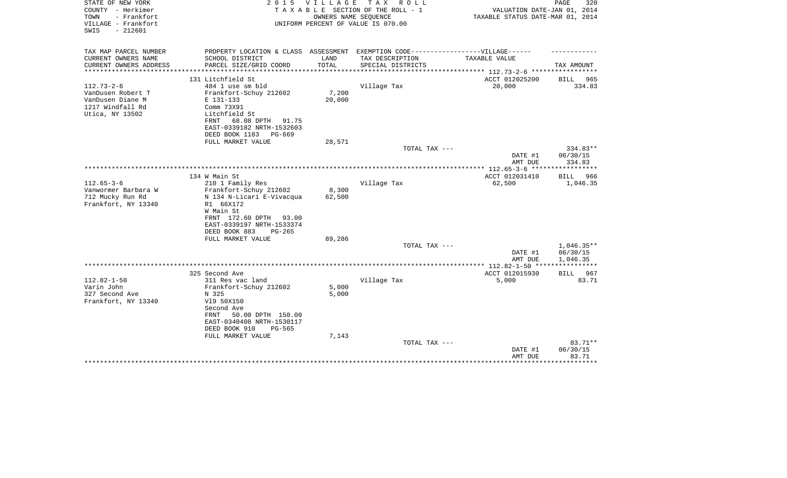| STATE OF NEW YORK<br>COUNTY - Herkimer<br>TOWN<br>- Frankfort<br>VILLAGE - Frankfort<br>$-212601$<br>SWIS | 2 0 1 5                                                                                                                                                                                             | <b>VILLAGE</b><br>OWNERS NAME SEQUENCE | T A X<br>R O L L<br>TAXABLE SECTION OF THE ROLL - 1<br>UNIFORM PERCENT OF VALUE IS 070.00 | VALUATION DATE-JAN 01, 2014<br>TAXABLE STATUS DATE-MAR 01, 2014 | PAGE<br>320                              |
|-----------------------------------------------------------------------------------------------------------|-----------------------------------------------------------------------------------------------------------------------------------------------------------------------------------------------------|----------------------------------------|-------------------------------------------------------------------------------------------|-----------------------------------------------------------------|------------------------------------------|
| TAX MAP PARCEL NUMBER                                                                                     | PROPERTY LOCATION & CLASS ASSESSMENT EXEMPTION CODE-----------------VILLAGE------                                                                                                                   |                                        |                                                                                           |                                                                 |                                          |
| CURRENT OWNERS NAME<br>CURRENT OWNERS ADDRESS                                                             | SCHOOL DISTRICT<br>PARCEL SIZE/GRID COORD                                                                                                                                                           | LAND<br>TOTAL                          | TAX DESCRIPTION<br>SPECIAL DISTRICTS                                                      | TAXABLE VALUE                                                   | TAX AMOUNT                               |
| **********************                                                                                    |                                                                                                                                                                                                     |                                        |                                                                                           |                                                                 |                                          |
|                                                                                                           | 131 Litchfield St                                                                                                                                                                                   |                                        |                                                                                           | ACCT 012025200                                                  | BILL<br>965                              |
| $112.73 - 2 - 6$<br>VanDusen Robert T<br>VanDusen Diane M<br>1217 Windfall Rd<br>Utica, NY 13502          | 484 1 use sm bld<br>Frankfort-Schuy 212602<br>E 131-133<br>Comm 73X91<br>Litchfield St<br>68.08 DPTH<br>91.75<br>FRNT<br>EAST-0339182 NRTH-1532603<br>DEED BOOK 1183<br>PG-669<br>FULL MARKET VALUE | 7,200<br>20,000<br>28,571              | Village Tax                                                                               | 20,000                                                          | 334.83                                   |
|                                                                                                           |                                                                                                                                                                                                     |                                        | TOTAL TAX ---                                                                             |                                                                 | $334.83**$                               |
|                                                                                                           |                                                                                                                                                                                                     |                                        |                                                                                           | DATE #1<br>AMT DUE                                              | 06/30/15<br>334.83                       |
|                                                                                                           |                                                                                                                                                                                                     |                                        |                                                                                           |                                                                 |                                          |
| $112.65 - 3 - 6$                                                                                          | 134 W Main St<br>210 1 Family Res                                                                                                                                                                   |                                        | Village Tax                                                                               | ACCT 012031410<br>62,500                                        | <b>BILL</b><br>966<br>1,046.35           |
| Vanwormer Barbara W<br>712 Mucky Run Rd<br>Frankfort, NY 13340                                            | Frankfort-Schuy 212602<br>N 134 N-Licari E-Vivacqua<br>R1 66X172<br>W Main St<br>FRNT 172.60 DPTH<br>93.00<br>EAST-0339197 NRTH-1533374<br>DEED BOOK 883<br>$PG-265$                                | 8,300<br>62,500                        |                                                                                           |                                                                 |                                          |
|                                                                                                           | FULL MARKET VALUE                                                                                                                                                                                   | 89,286                                 | TOTAL TAX ---                                                                             |                                                                 | $1,046.35**$                             |
|                                                                                                           |                                                                                                                                                                                                     |                                        |                                                                                           | DATE #1<br>AMT DUE                                              | 06/30/15<br>1,046.35                     |
|                                                                                                           |                                                                                                                                                                                                     |                                        |                                                                                           | ************* 112.82-1-50 ****                                  |                                          |
| $112.82 - 1 - 50$<br>Varin John<br>327 Second Ave<br>Frankfort, NY 13340                                  | 325 Second Ave<br>311 Res vac land<br>Frankfort-Schuy 212602<br>N 325<br>V19 50X150                                                                                                                 | 5,000<br>5,000                         | Village Tax                                                                               | ACCT 012015930<br>5,000                                         | <b>BILL</b><br>967<br>83.71              |
|                                                                                                           | Second Ave<br>50.00 DPTH 150.00<br>FRNT<br>EAST-0340408 NRTH-1530117<br>DEED BOOK 910<br>PG-565<br>FULL MARKET VALUE                                                                                | 7,143                                  |                                                                                           |                                                                 |                                          |
|                                                                                                           |                                                                                                                                                                                                     |                                        | TOTAL TAX ---                                                                             | DATE #1<br>AMT DUE                                              | 83.71**<br>06/30/15<br>83.71<br>******** |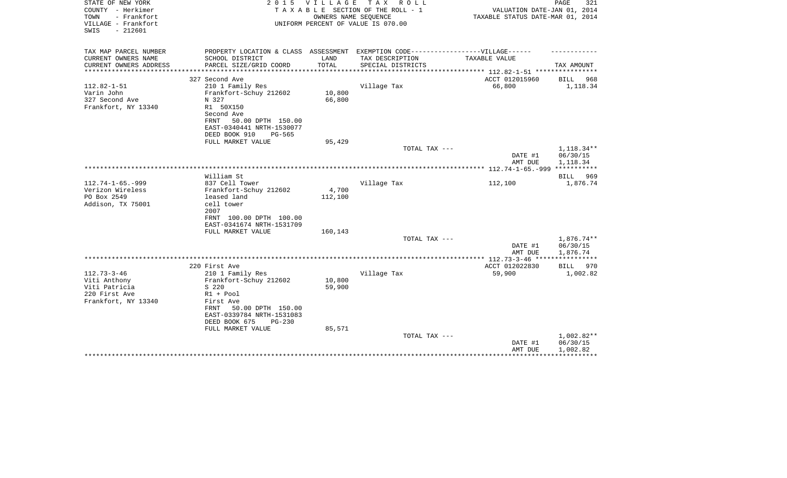| STATE OF NEW YORK<br>COUNTY - Herkimer<br>- Frankfort<br>TOWN<br>VILLAGE - Frankfort<br>$-212601$<br>SWIS | 2 0 1 5                                                | V I L L A G E<br>OWNERS NAME SEQUENCE | TAX ROLL<br>T A X A B L E SECTION OF THE ROLL - 1<br>UNIFORM PERCENT OF VALUE IS 070.00 | VALUATION DATE-JAN 01, 2014<br>TAXABLE STATUS DATE-MAR 01, 2014 | PAGE<br>321                          |
|-----------------------------------------------------------------------------------------------------------|--------------------------------------------------------|---------------------------------------|-----------------------------------------------------------------------------------------|-----------------------------------------------------------------|--------------------------------------|
| TAX MAP PARCEL NUMBER                                                                                     |                                                        | LAND                                  | PROPERTY LOCATION & CLASS ASSESSMENT EXEMPTION CODE-----------------VILLAGE------       |                                                                 |                                      |
| CURRENT OWNERS NAME<br>CURRENT OWNERS ADDRESS                                                             | SCHOOL DISTRICT<br>PARCEL SIZE/GRID COORD              | TOTAL                                 | TAX DESCRIPTION<br>SPECIAL DISTRICTS                                                    | TAXABLE VALUE                                                   | TAX AMOUNT                           |
| * * * * * * * * * * * * * *                                                                               | ******************                                     | ************                          | **************                                                                          | ************ 112.82-1-51 *****************                      |                                      |
|                                                                                                           | 327 Second Ave                                         |                                       |                                                                                         | ACCT 012015960                                                  | BILL<br>968                          |
| $112.82 - 1 - 51$                                                                                         | 210 1 Family Res                                       |                                       | Village Tax                                                                             | 66,800                                                          | 1,118.34                             |
| Varin John                                                                                                | Frankfort-Schuy 212602                                 | 10,800                                |                                                                                         |                                                                 |                                      |
| 327 Second Ave                                                                                            | N 327                                                  | 66,800                                |                                                                                         |                                                                 |                                      |
| Frankfort, NY 13340                                                                                       | R1 50X150<br>Second Ave                                |                                       |                                                                                         |                                                                 |                                      |
|                                                                                                           | 50.00 DPTH 150.00<br>FRNT                              |                                       |                                                                                         |                                                                 |                                      |
|                                                                                                           | EAST-0340441 NRTH-1530077                              |                                       |                                                                                         |                                                                 |                                      |
|                                                                                                           | DEED BOOK 910<br>PG-565                                |                                       |                                                                                         |                                                                 |                                      |
|                                                                                                           | FULL MARKET VALUE                                      | 95,429                                |                                                                                         |                                                                 |                                      |
|                                                                                                           |                                                        |                                       | TOTAL TAX ---                                                                           | DATE #1<br>AMT DUE                                              | 1,118.34**<br>06/30/15<br>1,118.34   |
|                                                                                                           |                                                        |                                       | ****************                                                                        | ************** 112.74-1-65.-999 ***********                     |                                      |
|                                                                                                           | William St                                             |                                       |                                                                                         |                                                                 | BILL 969                             |
| $112.74 - 1 - 65. - 999$                                                                                  | 837 Cell Tower                                         |                                       | Village Tax                                                                             | 112,100                                                         | 1,876.74                             |
| Verizon Wireless                                                                                          | Frankfort-Schuy 212602                                 | 4,700                                 |                                                                                         |                                                                 |                                      |
| PO Box 2549                                                                                               | leased land                                            | 112,100                               |                                                                                         |                                                                 |                                      |
| Addison, TX 75001                                                                                         | cell tower                                             |                                       |                                                                                         |                                                                 |                                      |
|                                                                                                           | 2007<br>FRNT 100.00 DPTH 100.00                        |                                       |                                                                                         |                                                                 |                                      |
|                                                                                                           | EAST-0341674 NRTH-1531709                              |                                       |                                                                                         |                                                                 |                                      |
|                                                                                                           | FULL MARKET VALUE                                      | 160,143                               |                                                                                         |                                                                 |                                      |
|                                                                                                           |                                                        |                                       | TOTAL TAX ---                                                                           |                                                                 | 1,876.74**                           |
|                                                                                                           |                                                        |                                       |                                                                                         | DATE #1<br>AMT DUE                                              | 06/30/15<br>1,876.74                 |
|                                                                                                           |                                                        |                                       |                                                                                         |                                                                 | ***********                          |
| $112.73 - 3 - 46$                                                                                         | 220 First Ave                                          |                                       |                                                                                         | ACCT 012022830<br>59,900                                        | 970<br><b>BILL</b>                   |
| Viti Anthony                                                                                              | 210 1 Family Res<br>Frankfort-Schuy 212602             | 10,800                                | Village Tax                                                                             |                                                                 | 1,002.82                             |
| Viti Patricia                                                                                             | S 220                                                  | 59,900                                |                                                                                         |                                                                 |                                      |
| 220 First Ave                                                                                             | R1 + Pool                                              |                                       |                                                                                         |                                                                 |                                      |
| Frankfort, NY 13340                                                                                       | First Ave                                              |                                       |                                                                                         |                                                                 |                                      |
|                                                                                                           | 50.00 DPTH 150.00<br>FRNT<br>EAST-0339784 NRTH-1531083 |                                       |                                                                                         |                                                                 |                                      |
|                                                                                                           | DEED BOOK 675<br>$PG-230$                              |                                       |                                                                                         |                                                                 |                                      |
|                                                                                                           | FULL MARKET VALUE                                      | 85,571                                |                                                                                         |                                                                 |                                      |
|                                                                                                           |                                                        |                                       | TOTAL TAX ---                                                                           | DATE #1<br>AMT DUE                                              | $1,002.82**$<br>06/30/15<br>1,002.82 |
|                                                                                                           |                                                        |                                       |                                                                                         |                                                                 |                                      |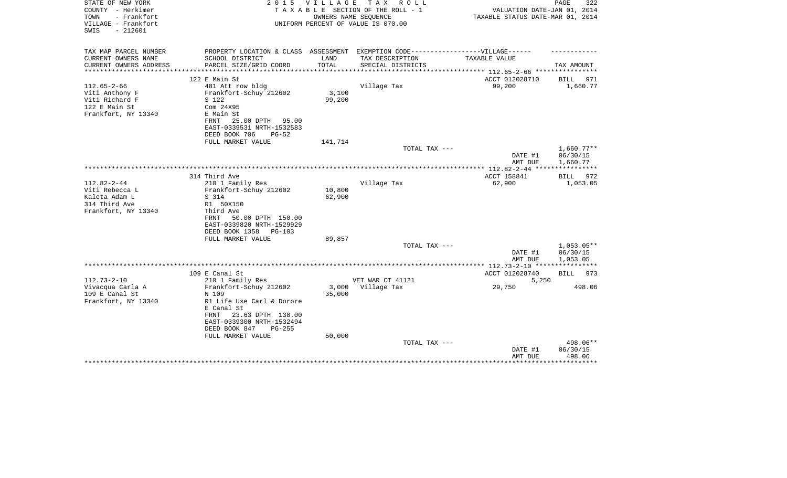| STATE OF NEW YORK<br>COUNTY - Herkimer<br>TOWN<br>- Frankfort<br>VILLAGE - Frankfort          | 2 0 1 5                                                                                                                                   | <b>VILLAGE</b>   | T A X<br>R O L L<br>TAXABLE SECTION OF THE ROLL - 1<br>OWNERS NAME SEQUENCE<br>UNIFORM PERCENT OF VALUE IS 070.00 | VALUATION DATE-JAN 01, 2014<br>TAXABLE STATUS DATE-MAR 01, 2014 | PAGE<br>322             |
|-----------------------------------------------------------------------------------------------|-------------------------------------------------------------------------------------------------------------------------------------------|------------------|-------------------------------------------------------------------------------------------------------------------|-----------------------------------------------------------------|-------------------------|
| $-212601$<br>SWIS                                                                             |                                                                                                                                           |                  |                                                                                                                   |                                                                 |                         |
| TAX MAP PARCEL NUMBER                                                                         | PROPERTY LOCATION & CLASS ASSESSMENT EXEMPTION CODE-----------------VILLAGE------                                                         |                  |                                                                                                                   |                                                                 |                         |
| CURRENT OWNERS NAME<br>CURRENT OWNERS ADDRESS                                                 | SCHOOL DISTRICT<br>PARCEL SIZE/GRID COORD                                                                                                 | LAND<br>TOTAL    | TAX DESCRIPTION<br>SPECIAL DISTRICTS                                                                              | TAXABLE VALUE                                                   | TAX AMOUNT              |
|                                                                                               |                                                                                                                                           |                  |                                                                                                                   |                                                                 |                         |
|                                                                                               | 122 E Main St                                                                                                                             |                  |                                                                                                                   | ACCT 012028710                                                  | <b>BILL</b><br>971      |
| $112.65 - 2 - 66$<br>Viti Anthony F<br>Viti Richard F<br>122 E Main St<br>Frankfort, NY 13340 | 481 Att row bldg<br>Frankfort-Schuy 212602<br>S 122<br>Com 24X95<br>E Main St<br>25.00 DPTH<br>95.00<br>FRNT<br>EAST-0339531 NRTH-1532583 | 3,100<br>99,200  | Village Tax                                                                                                       | 99,200                                                          | 1,660.77                |
|                                                                                               | DEED BOOK 706<br>$PG-52$                                                                                                                  |                  |                                                                                                                   |                                                                 |                         |
|                                                                                               | FULL MARKET VALUE                                                                                                                         | 141,714          |                                                                                                                   |                                                                 |                         |
|                                                                                               |                                                                                                                                           |                  | TOTAL TAX ---                                                                                                     |                                                                 | $1,660.77**$            |
|                                                                                               |                                                                                                                                           |                  |                                                                                                                   | DATE #1<br>AMT DUE                                              | 06/30/15<br>1,660.77    |
|                                                                                               |                                                                                                                                           |                  |                                                                                                                   |                                                                 |                         |
| $112.82 - 2 - 44$                                                                             | 314 Third Ave<br>210 1 Family Res                                                                                                         |                  | Village Tax                                                                                                       | ACCT 158841<br>62,900                                           | BILL<br>972<br>1,053.05 |
| Viti Rebecca L<br>Kaleta Adam L<br>314 Third Ave                                              | Frankfort-Schuy 212602<br>S 314<br>R1 50X150                                                                                              | 10,800<br>62,900 |                                                                                                                   |                                                                 |                         |
| Frankfort, NY 13340                                                                           | Third Ave<br>50.00 DPTH 150.00<br>FRNT<br>EAST-0339820 NRTH-1529929<br>DEED BOOK 1358<br><b>PG-103</b>                                    |                  |                                                                                                                   |                                                                 |                         |
|                                                                                               | FULL MARKET VALUE                                                                                                                         | 89,857           | TOTAL TAX ---                                                                                                     |                                                                 | $1,053.05**$            |
|                                                                                               |                                                                                                                                           |                  |                                                                                                                   | DATE #1<br>AMT DUE                                              | 06/30/15<br>1,053.05    |
|                                                                                               |                                                                                                                                           |                  |                                                                                                                   | *********** 112.73-2-10 *****************                       |                         |
|                                                                                               | 109 E Canal St                                                                                                                            |                  |                                                                                                                   | ACCT 012028740                                                  | 973<br>BILL             |
| $112.73 - 2 - 10$                                                                             | 210 1 Family Res                                                                                                                          |                  | VET WAR CT 41121                                                                                                  | 5,250                                                           |                         |
| Vivacqua Carla A<br>109 E Canal St                                                            | Frankfort-Schuy 212602<br>N 109                                                                                                           | 3,000<br>35,000  | Village Tax                                                                                                       | 29,750                                                          | 498.06                  |
| Frankfort, NY 13340                                                                           | R1 Life Use Carl & Dorore<br>E Canal St<br>23.63 DPTH 138.00<br>FRNT<br>EAST-0339300 NRTH-1532494<br>DEED BOOK 847<br>$PG-255$            |                  |                                                                                                                   |                                                                 |                         |
|                                                                                               | FULL MARKET VALUE                                                                                                                         | 50,000           | TOTAL TAX ---                                                                                                     |                                                                 | 498.06**                |
|                                                                                               |                                                                                                                                           |                  |                                                                                                                   | DATE #1<br>AMT DUE                                              | 06/30/15<br>498.06      |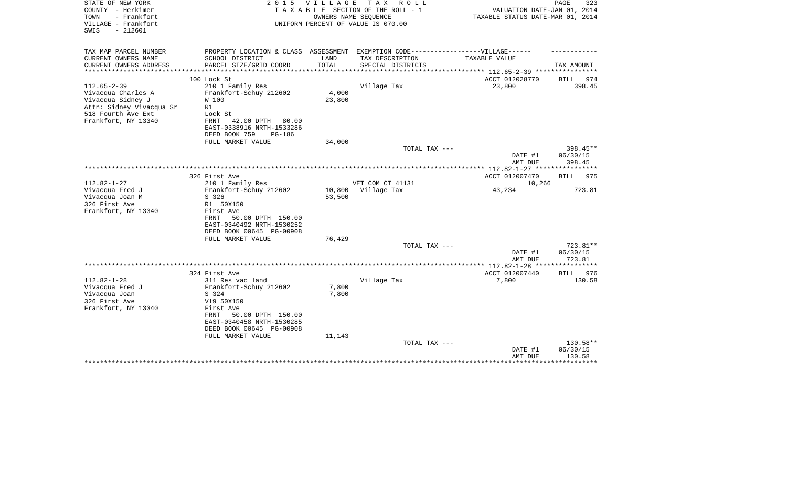| STATE OF NEW YORK<br>COUNTY - Herkimer<br>TOWN<br>- Frankfort<br>VILLAGE - Frankfort<br>$-212601$<br>SWIS | 2 0 1 5                              | <b>VILLAGE</b> | T A X<br>R O L L<br>TAXABLE SECTION OF THE ROLL - 1<br>OWNERS NAME SEQUENCE<br>UNIFORM PERCENT OF VALUE IS 070.00 | VALUATION DATE-JAN 01, 2014<br>TAXABLE STATUS DATE-MAR 01, 2014 | 323<br>PAGE          |
|-----------------------------------------------------------------------------------------------------------|--------------------------------------|----------------|-------------------------------------------------------------------------------------------------------------------|-----------------------------------------------------------------|----------------------|
| TAX MAP PARCEL NUMBER                                                                                     | PROPERTY LOCATION & CLASS ASSESSMENT |                | EXEMPTION CODE------------------VILLAGE------                                                                     |                                                                 |                      |
| CURRENT OWNERS NAME                                                                                       | SCHOOL DISTRICT                      | LAND           | TAX DESCRIPTION                                                                                                   | TAXABLE VALUE                                                   |                      |
| CURRENT OWNERS ADDRESS<br>**********************                                                          | PARCEL SIZE/GRID COORD               | TOTAL          | SPECIAL DISTRICTS                                                                                                 |                                                                 | TAX AMOUNT           |
|                                                                                                           | 100 Lock St                          |                |                                                                                                                   | ACCT 012028770                                                  | <b>BILL</b><br>974   |
| $112.65 - 2 - 39$                                                                                         | 210 1 Family Res                     |                | Village Tax                                                                                                       | 23,800                                                          | 398.45               |
| Vivacqua Charles A                                                                                        | Frankfort-Schuy 212602               | 4,000          |                                                                                                                   |                                                                 |                      |
| Vivacqua Sidney J                                                                                         | W 100                                | 23,800         |                                                                                                                   |                                                                 |                      |
| Attn: Sidney Vivacqua Sr                                                                                  | R1<br>Lock St                        |                |                                                                                                                   |                                                                 |                      |
| 518 Fourth Ave Ext<br>Frankfort, NY 13340                                                                 | <b>FRNT</b><br>42.00 DPTH<br>80.00   |                |                                                                                                                   |                                                                 |                      |
|                                                                                                           | EAST-0338916 NRTH-1533286            |                |                                                                                                                   |                                                                 |                      |
|                                                                                                           | DEED BOOK 759<br><b>PG-186</b>       |                |                                                                                                                   |                                                                 |                      |
|                                                                                                           | FULL MARKET VALUE                    | 34,000         |                                                                                                                   |                                                                 |                      |
|                                                                                                           |                                      |                | TOTAL TAX ---                                                                                                     |                                                                 | 398.45**             |
|                                                                                                           |                                      |                |                                                                                                                   | DATE #1<br>AMT DUE                                              | 06/30/15<br>398.45   |
|                                                                                                           |                                      |                |                                                                                                                   |                                                                 |                      |
|                                                                                                           | 326 First Ave                        |                |                                                                                                                   | ACCT 012007470                                                  | <b>BILL</b><br>975   |
| $112.82 - 1 - 27$                                                                                         | 210 1 Family Res                     |                | VET COM CT 41131                                                                                                  | 10,266                                                          |                      |
| Vivacqua Fred J                                                                                           | Frankfort-Schuy 212602               | 10,800         | Village Tax                                                                                                       | 43,234                                                          | 723.81               |
| Vivacqua Joan M<br>326 First Ave                                                                          | S 326<br>R1 50X150                   | 53,500         |                                                                                                                   |                                                                 |                      |
| Frankfort, NY 13340                                                                                       | First Ave                            |                |                                                                                                                   |                                                                 |                      |
|                                                                                                           | FRNT<br>50.00 DPTH 150.00            |                |                                                                                                                   |                                                                 |                      |
|                                                                                                           | EAST-0340492 NRTH-1530252            |                |                                                                                                                   |                                                                 |                      |
|                                                                                                           | DEED BOOK 00645 PG-00908             |                |                                                                                                                   |                                                                 |                      |
|                                                                                                           | FULL MARKET VALUE                    | 76,429         |                                                                                                                   |                                                                 |                      |
|                                                                                                           |                                      |                | TOTAL TAX ---                                                                                                     | DATE #1                                                         | 723.81**<br>06/30/15 |
|                                                                                                           |                                      |                |                                                                                                                   | AMT DUE                                                         | 723.81               |
|                                                                                                           |                                      |                |                                                                                                                   | ************ 112.82-1-28 ***                                    | *****                |
|                                                                                                           | 324 First Ave                        |                |                                                                                                                   | ACCT 012007440                                                  | <b>BILL</b><br>976   |
| $112.82 - 1 - 28$                                                                                         | 311 Res vac land                     |                | Village Tax                                                                                                       | 7,800                                                           | 130.58               |
| Vivacqua Fred J<br>Vivacqua Joan                                                                          | Frankfort-Schuy 212602<br>S 324      | 7,800<br>7,800 |                                                                                                                   |                                                                 |                      |
| 326 First Ave                                                                                             | V19 50X150                           |                |                                                                                                                   |                                                                 |                      |
| Frankfort, NY 13340                                                                                       | First Ave                            |                |                                                                                                                   |                                                                 |                      |
|                                                                                                           | FRNT<br>50.00 DPTH 150.00            |                |                                                                                                                   |                                                                 |                      |
|                                                                                                           | EAST-0340458 NRTH-1530285            |                |                                                                                                                   |                                                                 |                      |
|                                                                                                           | DEED BOOK 00645 PG-00908             |                |                                                                                                                   |                                                                 |                      |
|                                                                                                           | FULL MARKET VALUE                    | 11,143         | TOTAL TAX ---                                                                                                     |                                                                 | 130.58**             |
|                                                                                                           |                                      |                |                                                                                                                   | DATE #1                                                         | 06/30/15             |
|                                                                                                           |                                      |                |                                                                                                                   | AMT DUE                                                         | 130.58               |
|                                                                                                           |                                      |                |                                                                                                                   |                                                                 |                      |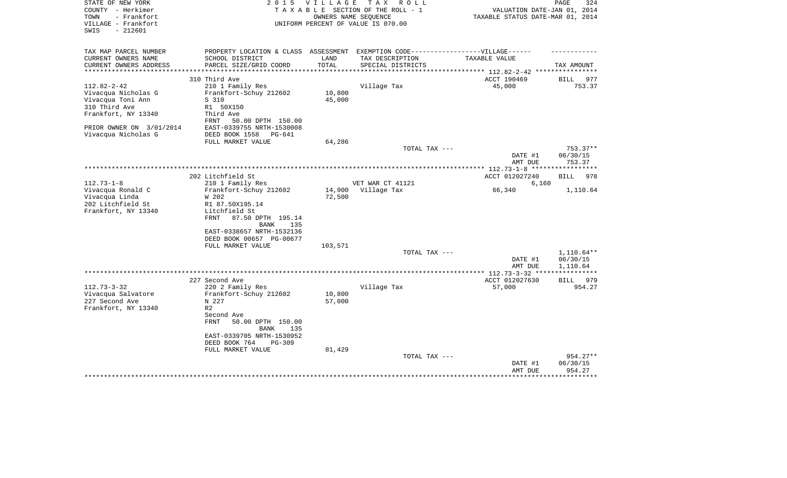| STATE OF NEW YORK<br>COUNTY - Herkimer<br>- Frankfort<br>TOWN<br>VILLAGE - Frankfort<br>SWIS<br>$-212601$ | 2 0 1 5                                                                                                                        | V I L L A G E    | T A X<br>R O L L<br>TAXABLE SECTION OF THE ROLL - 1<br>OWNERS NAME SEQUENCE<br>UNIFORM PERCENT OF VALUE IS 070.00 | VALUATION DATE-JAN 01, 2014<br>TAXABLE STATUS DATE-MAR 01, 2014 | 324<br>PAGE         |
|-----------------------------------------------------------------------------------------------------------|--------------------------------------------------------------------------------------------------------------------------------|------------------|-------------------------------------------------------------------------------------------------------------------|-----------------------------------------------------------------|---------------------|
| TAX MAP PARCEL NUMBER<br>CURRENT OWNERS NAME<br>CURRENT OWNERS ADDRESS                                    | PROPERTY LOCATION & CLASS ASSESSMENT EXEMPTION CODE-----------------VILLAGE------<br>SCHOOL DISTRICT<br>PARCEL SIZE/GRID COORD | LAND<br>TOTAL    | TAX DESCRIPTION<br>SPECIAL DISTRICTS                                                                              | TAXABLE VALUE                                                   | TAX AMOUNT          |
| **********************                                                                                    | ***************************                                                                                                    | ***********      | **********************                                                                                            | *********** 112.82-2-42 *****************                       |                     |
|                                                                                                           | 310 Third Ave                                                                                                                  |                  |                                                                                                                   | ACCT 190469                                                     | BILL 977            |
| $112.82 - 2 - 42$                                                                                         | 210 1 Family Res                                                                                                               |                  | Village Tax                                                                                                       | 45,000                                                          | 753.37              |
| Vivacqua Nicholas G<br>Vivacqua Toni Ann                                                                  | Frankfort-Schuy 212602<br>S 310                                                                                                | 10,800<br>45,000 |                                                                                                                   |                                                                 |                     |
| 310 Third Ave                                                                                             | R1 50X150                                                                                                                      |                  |                                                                                                                   |                                                                 |                     |
| Frankfort, NY 13340                                                                                       | Third Ave                                                                                                                      |                  |                                                                                                                   |                                                                 |                     |
|                                                                                                           | FRNT<br>50.00 DPTH 150.00                                                                                                      |                  |                                                                                                                   |                                                                 |                     |
| PRIOR OWNER ON 3/01/2014                                                                                  | EAST-0339755 NRTH-1530008                                                                                                      |                  |                                                                                                                   |                                                                 |                     |
| Vivacqua Nicholas G                                                                                       | DEED BOOK 1558<br>PG-641                                                                                                       |                  |                                                                                                                   |                                                                 |                     |
|                                                                                                           | FULL MARKET VALUE                                                                                                              | 64,286           |                                                                                                                   |                                                                 |                     |
|                                                                                                           |                                                                                                                                |                  | TOTAL TAX ---                                                                                                     |                                                                 | $753.37**$          |
|                                                                                                           |                                                                                                                                |                  |                                                                                                                   | DATE #1                                                         | 06/30/15            |
|                                                                                                           |                                                                                                                                |                  |                                                                                                                   | AMT DUE                                                         | 753.37<br>********* |
|                                                                                                           | 202 Litchfield St                                                                                                              |                  |                                                                                                                   | ******* 112.73-1-8 *****<br>ACCT 012027240                      | <b>BILL</b><br>978  |
| $112.73 - 1 - 8$                                                                                          | 210 1 Family Res                                                                                                               |                  | VET WAR CT 41121                                                                                                  | 6,160                                                           |                     |
| Vivacqua Ronald C                                                                                         | Frankfort-Schuy 212602                                                                                                         | 14,900           | Village Tax                                                                                                       | 66,340                                                          | 1,110.64            |
| Vivacqua Linda                                                                                            | W 202                                                                                                                          | 72,500           |                                                                                                                   |                                                                 |                     |
| 202 Litchfield St                                                                                         | R1 87.50X195.14                                                                                                                |                  |                                                                                                                   |                                                                 |                     |
| Frankfort, NY 13340                                                                                       | Litchfield St                                                                                                                  |                  |                                                                                                                   |                                                                 |                     |
|                                                                                                           | 87.50 DPTH 195.14<br>FRNT                                                                                                      |                  |                                                                                                                   |                                                                 |                     |
|                                                                                                           | 135<br>BANK                                                                                                                    |                  |                                                                                                                   |                                                                 |                     |
|                                                                                                           | EAST-0338657 NRTH-1532136<br>DEED BOOK 00657 PG-00677                                                                          |                  |                                                                                                                   |                                                                 |                     |
|                                                                                                           | FULL MARKET VALUE                                                                                                              | 103,571          |                                                                                                                   |                                                                 |                     |
|                                                                                                           |                                                                                                                                |                  | TOTAL TAX ---                                                                                                     |                                                                 | $1,110.64**$        |
|                                                                                                           |                                                                                                                                |                  |                                                                                                                   | DATE #1                                                         | 06/30/15            |
|                                                                                                           |                                                                                                                                |                  |                                                                                                                   | AMT DUE                                                         | 1,110.64            |
|                                                                                                           |                                                                                                                                |                  |                                                                                                                   | ****** 112.73-3-32 **                                           |                     |
|                                                                                                           | 227 Second Ave                                                                                                                 |                  |                                                                                                                   | ACCT 012027630                                                  | BILL 979            |
| $112.73 - 3 - 32$                                                                                         | 220 2 Family Res                                                                                                               |                  | Village Tax                                                                                                       | 57,000                                                          | 954.27              |
| Vivacqua Salvatore                                                                                        | Frankfort-Schuy 212602                                                                                                         | 10,800           |                                                                                                                   |                                                                 |                     |
| 227 Second Ave                                                                                            | N 227<br>R <sub>2</sub>                                                                                                        | 57,000           |                                                                                                                   |                                                                 |                     |
| Frankfort, NY 13340                                                                                       | Second Ave                                                                                                                     |                  |                                                                                                                   |                                                                 |                     |
|                                                                                                           | <b>FRNT</b><br>50.00 DPTH 150.00                                                                                               |                  |                                                                                                                   |                                                                 |                     |
|                                                                                                           | <b>BANK</b><br>135                                                                                                             |                  |                                                                                                                   |                                                                 |                     |
|                                                                                                           | EAST-0339705 NRTH-1530952                                                                                                      |                  |                                                                                                                   |                                                                 |                     |
|                                                                                                           | DEED BOOK 764<br>PG-309                                                                                                        |                  |                                                                                                                   |                                                                 |                     |
|                                                                                                           | FULL MARKET VALUE                                                                                                              | 81,429           |                                                                                                                   |                                                                 |                     |
|                                                                                                           |                                                                                                                                |                  | TOTAL TAX ---                                                                                                     |                                                                 | 954.27**            |
|                                                                                                           |                                                                                                                                |                  |                                                                                                                   | DATE #1                                                         | 06/30/15            |
|                                                                                                           |                                                                                                                                |                  |                                                                                                                   | AMT DUE                                                         | 954.27              |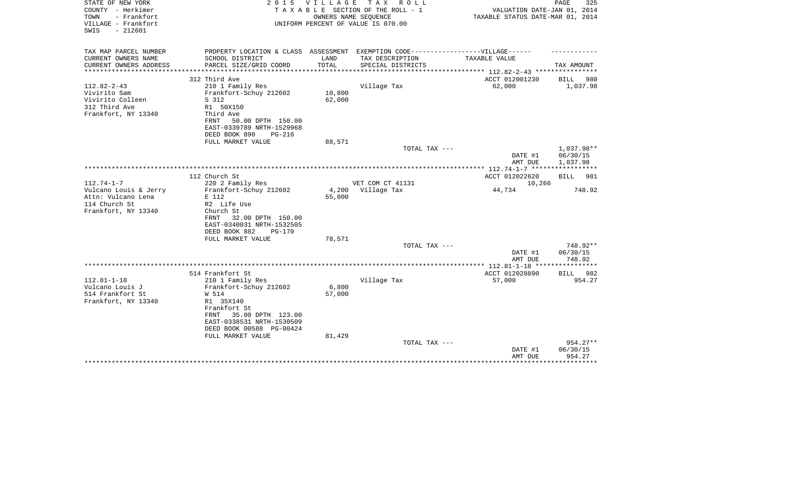| STATE OF NEW YORK<br>COUNTY - Herkimer<br>TOWN<br>- Frankfort<br>VILLAGE - Frankfort<br>$-212601$<br>SWIS | 2 0 1 5                                                                                                                                                                                                         | <b>VILLAGE</b>            | T A X<br>R O L L<br>TAXABLE SECTION OF THE ROLL - 1<br>OWNERS NAME SEQUENCE<br>UNIFORM PERCENT OF VALUE IS 070.00 | VALUATION DATE-JAN 01, 2014<br>TAXABLE STATUS DATE-MAR 01, 2014 | PAGE<br>325                          |
|-----------------------------------------------------------------------------------------------------------|-----------------------------------------------------------------------------------------------------------------------------------------------------------------------------------------------------------------|---------------------------|-------------------------------------------------------------------------------------------------------------------|-----------------------------------------------------------------|--------------------------------------|
| TAX MAP PARCEL NUMBER                                                                                     | PROPERTY LOCATION & CLASS ASSESSMENT EXEMPTION CODE-----------------VILLAGE------                                                                                                                               |                           |                                                                                                                   |                                                                 |                                      |
| CURRENT OWNERS NAME                                                                                       | SCHOOL DISTRICT                                                                                                                                                                                                 | LAND                      | TAX DESCRIPTION                                                                                                   | TAXABLE VALUE                                                   |                                      |
| CURRENT OWNERS ADDRESS<br>***************                                                                 | PARCEL SIZE/GRID COORD                                                                                                                                                                                          | TOTAL                     | SPECIAL DISTRICTS                                                                                                 |                                                                 | TAX AMOUNT                           |
|                                                                                                           | 312 Third Ave                                                                                                                                                                                                   |                           |                                                                                                                   | ACCT 012001230                                                  | <b>BILL</b><br>980                   |
| $112.82 - 2 - 43$<br>Vivirito Sam<br>Vivirito Colleen<br>312 Third Ave<br>Frankfort, NY 13340             | 210 1 Family Res<br>Frankfort-Schuy 212602<br>S 312<br>R1 50X150<br>Third Ave<br>50.00 DPTH 150.00<br>FRNT<br>EAST-0339789 NRTH-1529968<br>DEED BOOK 890<br>$PG-216$                                            | 10,800<br>62,000          | Village Tax                                                                                                       | 62,000                                                          | 1,037.98                             |
|                                                                                                           | FULL MARKET VALUE                                                                                                                                                                                               | 88,571                    |                                                                                                                   |                                                                 |                                      |
|                                                                                                           |                                                                                                                                                                                                                 |                           | TOTAL TAX ---                                                                                                     | DATE #1<br>AMT DUE                                              | $1.037.98**$<br>06/30/15<br>1,037.98 |
|                                                                                                           | 112 Church St                                                                                                                                                                                                   |                           |                                                                                                                   | ACCT 012022620                                                  | 981<br>BILL                          |
| $112.74 - 1 - 7$                                                                                          | 220 2 Family Res                                                                                                                                                                                                |                           | VET COM CT 41131                                                                                                  | 10,266                                                          |                                      |
| Vulcano Louis & Jerry<br>Attn: Vulcano Lena<br>114 Church St<br>Frankfort, NY 13340                       | Frankfort-Schuy 212602<br>E 112<br>R2 Life Use<br>Church St<br>32.00 DPTH 150.00<br>FRNT<br>EAST-0340031 NRTH-1532505<br>DEED BOOK 882<br>$PG-170$                                                              | 4,200<br>55,000           | Village Tax                                                                                                       | 44,734                                                          | 748.92                               |
|                                                                                                           | FULL MARKET VALUE                                                                                                                                                                                               | 78,571                    | TOTAL TAX ---                                                                                                     |                                                                 | 748.92**                             |
|                                                                                                           |                                                                                                                                                                                                                 |                           |                                                                                                                   | DATE #1<br>AMT DUE                                              | 06/30/15<br>748.92                   |
|                                                                                                           |                                                                                                                                                                                                                 |                           |                                                                                                                   | ************** 112.81-1-18 *****************                    |                                      |
| $112.81 - 1 - 18$<br>Vulcano Louis J<br>514 Frankfort St<br>Frankfort, NY 13340                           | 514 Frankfort St<br>210 1 Family Res<br>Frankfort-Schuy 212602<br>W 514<br>R1 35X140<br>Frankfort St<br>35.00 DPTH 123.00<br>FRNT<br>EAST-0338531 NRTH-1530509<br>DEED BOOK 00588 PG-00424<br>FULL MARKET VALUE | 6,800<br>57,000<br>81,429 | Village Tax                                                                                                       | ACCT 012028890<br>57,000                                        | BILL<br>982<br>954.27                |
|                                                                                                           |                                                                                                                                                                                                                 |                           | TOTAL TAX ---                                                                                                     | DATE #1<br>AMT DUE                                              | 954.27**<br>06/30/15<br>954.27       |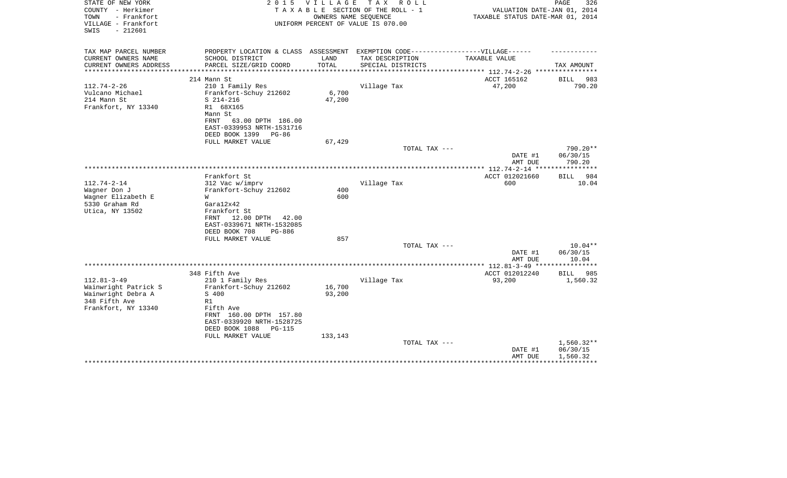| STATE OF NEW YORK<br>COUNTY - Herkimer<br>- Frankfort<br>TOWN<br>VILLAGE - Frankfort<br>$-212601$<br>SWIS | 2 0 1 5                                                | V I L L A G E         | T A X<br>R O L L<br>TAXABLE SECTION OF THE ROLL - 1<br>OWNERS NAME SEQUENCE<br>UNIFORM PERCENT OF VALUE IS 070.00 | VALUATION DATE-JAN 01, 2014<br>TAXABLE STATUS DATE-MAR 01, 2014 | 326<br>PAGE           |
|-----------------------------------------------------------------------------------------------------------|--------------------------------------------------------|-----------------------|-------------------------------------------------------------------------------------------------------------------|-----------------------------------------------------------------|-----------------------|
|                                                                                                           |                                                        |                       |                                                                                                                   |                                                                 |                       |
| TAX MAP PARCEL NUMBER                                                                                     | PROPERTY LOCATION & CLASS ASSESSMENT                   |                       | EXEMPTION CODE------------------VILLAGE------                                                                     |                                                                 |                       |
| CURRENT OWNERS NAME                                                                                       | SCHOOL DISTRICT                                        | LAND                  | TAX DESCRIPTION                                                                                                   | TAXABLE VALUE                                                   |                       |
| CURRENT OWNERS ADDRESS<br>***************                                                                 | PARCEL SIZE/GRID COORD<br>***************************  | TOTAL<br>************ | SPECIAL DISTRICTS                                                                                                 | ************************** 112.74-2-26 ****************         | TAX AMOUNT            |
|                                                                                                           | 214 Mann St                                            |                       |                                                                                                                   | ACCT 165162                                                     | BILL<br>983           |
| $112.74 - 2 - 26$                                                                                         | 210 1 Family Res                                       |                       | Village Tax                                                                                                       | 47,200                                                          | 790.20                |
| Vulcano Michael                                                                                           | Frankfort-Schuy 212602                                 | 6,700                 |                                                                                                                   |                                                                 |                       |
| 214 Mann St                                                                                               | $S$ 214-216                                            | 47,200                |                                                                                                                   |                                                                 |                       |
| Frankfort, NY 13340                                                                                       | R1 68X165                                              |                       |                                                                                                                   |                                                                 |                       |
|                                                                                                           | Mann St                                                |                       |                                                                                                                   |                                                                 |                       |
|                                                                                                           | 63.00 DPTH 186.00<br>FRNT<br>EAST-0339953 NRTH-1531716 |                       |                                                                                                                   |                                                                 |                       |
|                                                                                                           | DEED BOOK 1399<br>PG-86                                |                       |                                                                                                                   |                                                                 |                       |
|                                                                                                           | FULL MARKET VALUE                                      | 67,429                |                                                                                                                   |                                                                 |                       |
|                                                                                                           |                                                        |                       | TOTAL TAX ---                                                                                                     |                                                                 | 790.20**              |
|                                                                                                           |                                                        |                       |                                                                                                                   | DATE #1                                                         | 06/30/15              |
|                                                                                                           |                                                        |                       |                                                                                                                   | AMT DUE                                                         | 790.20                |
|                                                                                                           |                                                        |                       |                                                                                                                   |                                                                 |                       |
| $112.74 - 2 - 14$                                                                                         | Frankfort St                                           |                       |                                                                                                                   | ACCT 012021660<br>600                                           | 984<br><b>BILL</b>    |
| Wagner Don J                                                                                              | 312 Vac w/imprv<br>Frankfort-Schuy 212602              | 400                   | Village Tax                                                                                                       |                                                                 | 10.04                 |
| Wagner Elizabeth E                                                                                        | W                                                      | 600                   |                                                                                                                   |                                                                 |                       |
| 5330 Graham Rd                                                                                            | Gara12x42                                              |                       |                                                                                                                   |                                                                 |                       |
| Utica, NY 13502                                                                                           | Frankfort St                                           |                       |                                                                                                                   |                                                                 |                       |
|                                                                                                           | 12.00 DPTH 42.00<br>FRNT                               |                       |                                                                                                                   |                                                                 |                       |
|                                                                                                           | EAST-0339671 NRTH-1532085                              |                       |                                                                                                                   |                                                                 |                       |
|                                                                                                           | DEED BOOK 708<br>PG-886                                |                       |                                                                                                                   |                                                                 |                       |
|                                                                                                           | FULL MARKET VALUE                                      | 857                   |                                                                                                                   |                                                                 |                       |
|                                                                                                           |                                                        |                       | TOTAL TAX ---                                                                                                     | DATE #1                                                         | $10.04**$<br>06/30/15 |
|                                                                                                           |                                                        |                       |                                                                                                                   | AMT DUE                                                         | 10.04                 |
|                                                                                                           |                                                        |                       |                                                                                                                   | ************** 112.81-3-49 *****************                    |                       |
|                                                                                                           | 348 Fifth Ave                                          |                       |                                                                                                                   | ACCT 012012240                                                  | BILL 985              |
| $112.81 - 3 - 49$                                                                                         | 210 1 Family Res                                       |                       | Village Tax                                                                                                       | 93,200                                                          | 1,560.32              |
| Wainwright Patrick S                                                                                      | Frankfort-Schuy 212602                                 | 16,700                |                                                                                                                   |                                                                 |                       |
| Wainwright Debra A                                                                                        | S 400                                                  | 93,200                |                                                                                                                   |                                                                 |                       |
| 348 Fifth Ave                                                                                             | R1                                                     |                       |                                                                                                                   |                                                                 |                       |
| Frankfort, NY 13340                                                                                       | Fifth Ave<br>FRNT 160.00 DPTH 157.80                   |                       |                                                                                                                   |                                                                 |                       |
|                                                                                                           | EAST-0339920 NRTH-1528725                              |                       |                                                                                                                   |                                                                 |                       |
|                                                                                                           | DEED BOOK 1088<br><b>PG-115</b>                        |                       |                                                                                                                   |                                                                 |                       |
|                                                                                                           | FULL MARKET VALUE                                      | 133,143               |                                                                                                                   |                                                                 |                       |
|                                                                                                           |                                                        |                       | TOTAL TAX ---                                                                                                     |                                                                 | $1,560.32**$          |
|                                                                                                           |                                                        |                       |                                                                                                                   | DATE #1                                                         | 06/30/15              |
|                                                                                                           |                                                        |                       |                                                                                                                   | AMT DUE                                                         | 1,560.32              |
|                                                                                                           |                                                        |                       |                                                                                                                   |                                                                 |                       |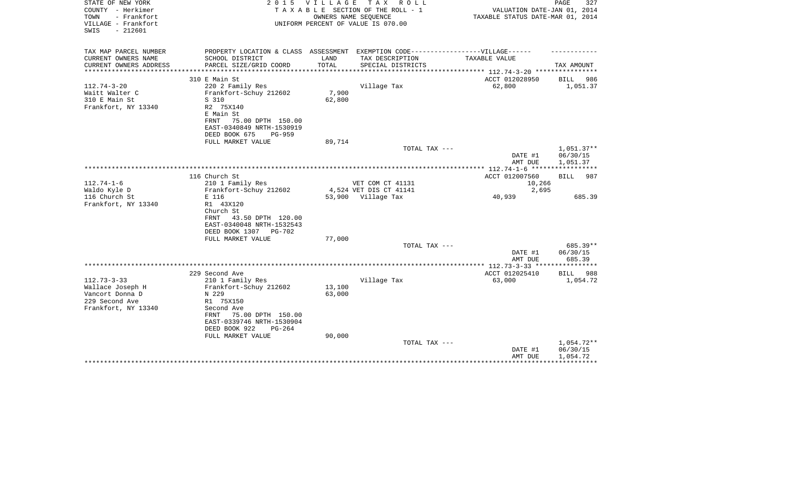| STATE OF NEW YORK<br>COUNTY - Herkimer<br>TOWN<br>- Frankfort | 2 0 1 5                                                                           | <b>VILLAGE</b>         | T A X<br>R O L L<br>TAXABLE SECTION OF THE ROLL - 1<br>OWNERS NAME SEQUENCE | VALUATION DATE-JAN 01, 2014<br>TAXABLE STATUS DATE-MAR 01, 2014 | PAGE<br>327              |
|---------------------------------------------------------------|-----------------------------------------------------------------------------------|------------------------|-----------------------------------------------------------------------------|-----------------------------------------------------------------|--------------------------|
| VILLAGE - Frankfort<br>$-212601$<br>SWIS                      |                                                                                   |                        | UNIFORM PERCENT OF VALUE IS 070.00                                          |                                                                 |                          |
| TAX MAP PARCEL NUMBER                                         | PROPERTY LOCATION & CLASS ASSESSMENT EXEMPTION CODE-----------------VILLAGE------ |                        |                                                                             |                                                                 |                          |
| CURRENT OWNERS NAME<br>CURRENT OWNERS ADDRESS                 | SCHOOL DISTRICT<br>PARCEL SIZE/GRID COORD                                         | LAND<br>TOTAL          | TAX DESCRIPTION<br>SPECIAL DISTRICTS                                        | <b>TAXABLE VALUE</b>                                            | TAX AMOUNT               |
| **********************                                        | ******************************                                                    | ********************** |                                                                             |                                                                 |                          |
|                                                               | 310 E Main St                                                                     |                        |                                                                             | ACCT 012028950                                                  | BILL<br>986              |
| $112.74 - 3 - 20$                                             | 220 2 Family Res                                                                  |                        | Village Tax                                                                 | 62,800                                                          | 1,051.37                 |
| Waitt Walter C                                                | Frankfort-Schuy 212602                                                            | 7,900                  |                                                                             |                                                                 |                          |
| 310 E Main St<br>Frankfort, NY 13340                          | S 310<br>R2 75X140                                                                | 62,800                 |                                                                             |                                                                 |                          |
|                                                               | E Main St                                                                         |                        |                                                                             |                                                                 |                          |
|                                                               | 75.00 DPTH 150.00<br>FRNT                                                         |                        |                                                                             |                                                                 |                          |
|                                                               | EAST-0340849 NRTH-1530919                                                         |                        |                                                                             |                                                                 |                          |
|                                                               | DEED BOOK 675<br>$PG-959$                                                         |                        |                                                                             |                                                                 |                          |
|                                                               | FULL MARKET VALUE                                                                 | 89,714                 |                                                                             |                                                                 |                          |
|                                                               |                                                                                   |                        | TOTAL TAX ---                                                               | DATE #1                                                         | $1,051.37**$<br>06/30/15 |
|                                                               |                                                                                   |                        |                                                                             | AMT DUE                                                         | 1,051.37                 |
|                                                               |                                                                                   |                        |                                                                             |                                                                 |                          |
|                                                               | 116 Church St                                                                     |                        |                                                                             | ACCT 012007560                                                  | 987<br><b>BILL</b>       |
| $112.74 - 1 - 6$                                              | 210 1 Family Res                                                                  |                        | VET COM CT 41131                                                            | 10,266                                                          |                          |
| Waldo Kyle D                                                  | Frankfort-Schuy 212602                                                            |                        | 4,524 VET DIS CT 41141                                                      | 2,695                                                           |                          |
| 116 Church St<br>Frankfort, NY 13340                          | E 116<br>R1 43X120                                                                |                        | 53,900 Village Tax                                                          | 40,939                                                          | 685.39                   |
|                                                               | Church St                                                                         |                        |                                                                             |                                                                 |                          |
|                                                               | 43.50 DPTH 120.00<br>FRNT                                                         |                        |                                                                             |                                                                 |                          |
|                                                               | EAST-0340048 NRTH-1532543                                                         |                        |                                                                             |                                                                 |                          |
|                                                               | DEED BOOK 1307<br>PG-702                                                          |                        |                                                                             |                                                                 |                          |
|                                                               | FULL MARKET VALUE                                                                 | 77,000                 | TOTAL TAX ---                                                               |                                                                 | 685.39**                 |
|                                                               |                                                                                   |                        |                                                                             | DATE #1                                                         | 06/30/15                 |
|                                                               |                                                                                   |                        |                                                                             | AMT DUE                                                         | 685.39                   |
|                                                               |                                                                                   |                        |                                                                             | **************** 112.73-3-33 *****************                  |                          |
|                                                               | 229 Second Ave                                                                    |                        |                                                                             | ACCT 012025410                                                  | <b>BILL</b><br>988       |
| $112.73 - 3 - 33$                                             | 210 1 Family Res                                                                  |                        | Village Tax                                                                 | 63,000                                                          | 1,054.72                 |
| Wallace Joseph H<br>Vancort Donna D                           | Frankfort-Schuy 212602<br>N 229                                                   | 13,100<br>63,000       |                                                                             |                                                                 |                          |
| 229 Second Ave                                                | R1 75X150                                                                         |                        |                                                                             |                                                                 |                          |
| Frankfort, NY 13340                                           | Second Ave                                                                        |                        |                                                                             |                                                                 |                          |
|                                                               | 75.00 DPTH 150.00<br>FRNT                                                         |                        |                                                                             |                                                                 |                          |
|                                                               | EAST-0339746 NRTH-1530904                                                         |                        |                                                                             |                                                                 |                          |
|                                                               | DEED BOOK 922<br>$PG-264$<br>FULL MARKET VALUE                                    | 90,000                 |                                                                             |                                                                 |                          |
|                                                               |                                                                                   |                        | TOTAL TAX ---                                                               |                                                                 | 1,054.72**               |
|                                                               |                                                                                   |                        |                                                                             | DATE #1                                                         | 06/30/15                 |
|                                                               |                                                                                   |                        |                                                                             | AMT DUE                                                         | 1,054.72                 |
|                                                               |                                                                                   |                        |                                                                             |                                                                 |                          |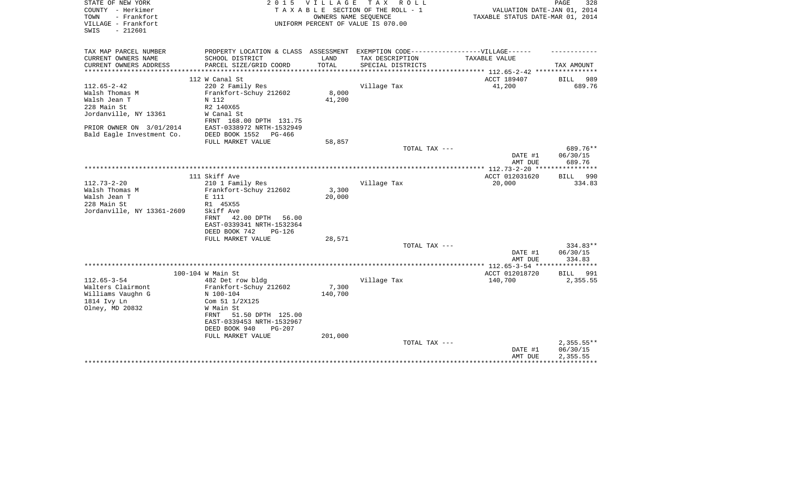| STATE OF NEW YORK          | 2 0 1 5                                                                           | V I L L A G E | T A X<br>R O L L                   |                                                            | 328<br>PAGE            |
|----------------------------|-----------------------------------------------------------------------------------|---------------|------------------------------------|------------------------------------------------------------|------------------------|
| COUNTY - Herkimer          |                                                                                   |               | TAXABLE SECTION OF THE ROLL - 1    | VALUATION DATE-JAN 01, 2014                                |                        |
| TOWN<br>- Frankfort        |                                                                                   |               | OWNERS NAME SEQUENCE               | TAXABLE STATUS DATE-MAR 01, 2014                           |                        |
| VILLAGE - Frankfort        |                                                                                   |               | UNIFORM PERCENT OF VALUE IS 070.00 |                                                            |                        |
| $-212601$<br>SWIS          |                                                                                   |               |                                    |                                                            |                        |
|                            |                                                                                   |               |                                    |                                                            |                        |
| TAX MAP PARCEL NUMBER      | PROPERTY LOCATION & CLASS ASSESSMENT EXEMPTION CODE-----------------VILLAGE------ |               |                                    |                                                            |                        |
| CURRENT OWNERS NAME        | SCHOOL DISTRICT                                                                   | LAND          | TAX DESCRIPTION                    | TAXABLE VALUE                                              |                        |
| CURRENT OWNERS ADDRESS     | PARCEL SIZE/GRID COORD                                                            | TOTAL         | SPECIAL DISTRICTS                  |                                                            | TAX AMOUNT             |
| **********************     |                                                                                   |               |                                    | ***************************** 112.65-2-42 **************** |                        |
|                            | 112 W Canal St                                                                    |               |                                    | ACCT 189407                                                | BILL<br>989            |
| $112.65 - 2 - 42$          | 220 2 Family Res                                                                  |               | Village Tax                        | 41,200                                                     | 689.76                 |
| Walsh Thomas M             | Frankfort-Schuy 212602                                                            | 8,000         |                                    |                                                            |                        |
| Walsh Jean T               | N 112                                                                             | 41,200        |                                    |                                                            |                        |
| 228 Main St                | R2 140X65                                                                         |               |                                    |                                                            |                        |
| Jordanville, NY 13361      | W Canal St                                                                        |               |                                    |                                                            |                        |
|                            | FRNT 168.00 DPTH 131.75                                                           |               |                                    |                                                            |                        |
| PRIOR OWNER ON 3/01/2014   | EAST-0338972 NRTH-1532949                                                         |               |                                    |                                                            |                        |
| Bald Eagle Investment Co.  | DEED BOOK 1552<br>PG-466                                                          |               |                                    |                                                            |                        |
|                            | FULL MARKET VALUE                                                                 | 58,857        |                                    |                                                            |                        |
|                            |                                                                                   |               | TOTAL TAX ---                      |                                                            | 689.76**               |
|                            |                                                                                   |               |                                    | DATE #1                                                    | 06/30/15               |
|                            |                                                                                   |               |                                    | AMT DUE                                                    | 689.76<br>************ |
|                            | 111 Skiff Ave                                                                     |               |                                    | ACCT 012031620                                             | BILL 990               |
| $112.73 - 2 - 20$          | 210 1 Family Res                                                                  |               | Village Tax                        | 20,000                                                     | 334.83                 |
| Walsh Thomas M             | Frankfort-Schuy 212602                                                            | 3,300         |                                    |                                                            |                        |
| Walsh Jean T               | E 111                                                                             | 20,000        |                                    |                                                            |                        |
| 228 Main St                | R1 45X55                                                                          |               |                                    |                                                            |                        |
| Jordanville, NY 13361-2609 | Skiff Ave                                                                         |               |                                    |                                                            |                        |
|                            | 42.00 DPTH<br>FRNT<br>56.00                                                       |               |                                    |                                                            |                        |
|                            | EAST-0339341 NRTH-1532364                                                         |               |                                    |                                                            |                        |
|                            | DEED BOOK 742<br>$PG-126$                                                         |               |                                    |                                                            |                        |
|                            | FULL MARKET VALUE                                                                 | 28,571        |                                    |                                                            |                        |
|                            |                                                                                   |               | TOTAL TAX ---                      |                                                            | 334.83**               |
|                            |                                                                                   |               |                                    | DATE #1                                                    | 06/30/15               |
|                            |                                                                                   |               |                                    | AMT DUE                                                    | 334.83                 |
|                            |                                                                                   |               |                                    |                                                            |                        |
|                            | 100-104 W Main St                                                                 |               |                                    | ACCT 012018720                                             | BILL<br>991            |
| $112.65 - 3 - 54$          | 482 Det row bldg                                                                  |               | Village Tax                        | 140,700                                                    | 2,355.55               |
| Walters Clairmont          | Frankfort-Schuy 212602                                                            | 7,300         |                                    |                                                            |                        |
| Williams Vaughn G          | N 100-104                                                                         | 140,700       |                                    |                                                            |                        |
| 1814 Ivy Ln                | Com 51 1/2X125                                                                    |               |                                    |                                                            |                        |
| Olney, MD 20832            | W Main St                                                                         |               |                                    |                                                            |                        |
|                            | 51.50 DPTH 125.00<br>FRNT                                                         |               |                                    |                                                            |                        |
|                            | EAST-0339453 NRTH-1532967                                                         |               |                                    |                                                            |                        |
|                            | DEED BOOK 940<br>$PG-207$                                                         |               |                                    |                                                            |                        |
|                            | FULL MARKET VALUE                                                                 | 201,000       |                                    |                                                            |                        |
|                            |                                                                                   |               | TOTAL TAX ---                      |                                                            | $2,355.55**$           |
|                            |                                                                                   |               |                                    | DATE #1                                                    | 06/30/15               |
|                            |                                                                                   |               |                                    | AMT DUE                                                    | 2,355.55               |
|                            |                                                                                   |               |                                    |                                                            |                        |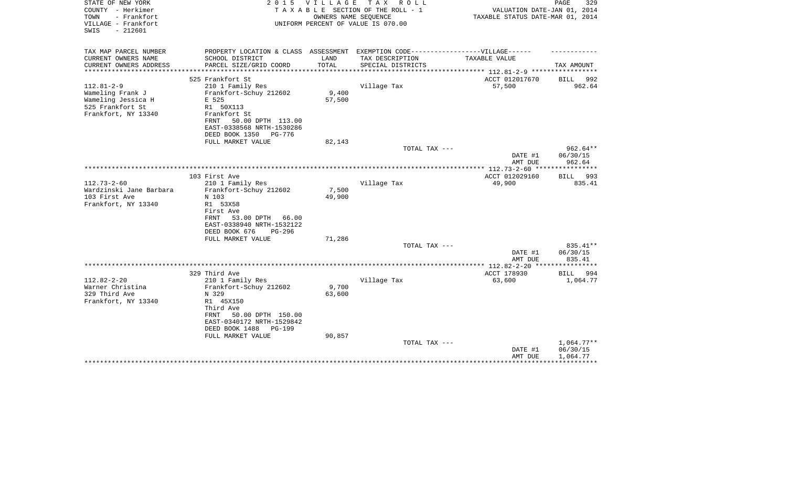| STATE OF NEW YORK<br>COUNTY - Herkimer<br>TOWN<br>- Frankfort<br>VILLAGE - Frankfort<br>$-212601$<br>SWIS | 2 0 1 5                                                                           | VILLAGE | T A X<br>R O L L<br>TAXABLE SECTION OF THE ROLL - 1<br>OWNERS NAME SEQUENCE<br>UNIFORM PERCENT OF VALUE IS 070.00 | VALUATION DATE-JAN 01, 2014<br>TAXABLE STATUS DATE-MAR 01, 2014 | PAGE<br>329             |
|-----------------------------------------------------------------------------------------------------------|-----------------------------------------------------------------------------------|---------|-------------------------------------------------------------------------------------------------------------------|-----------------------------------------------------------------|-------------------------|
| TAX MAP PARCEL NUMBER                                                                                     | PROPERTY LOCATION & CLASS ASSESSMENT EXEMPTION CODE-----------------VILLAGE------ |         |                                                                                                                   |                                                                 |                         |
| CURRENT OWNERS NAME                                                                                       | SCHOOL DISTRICT                                                                   | LAND    | TAX DESCRIPTION                                                                                                   | TAXABLE VALUE                                                   |                         |
| CURRENT OWNERS ADDRESS<br>********************                                                            | PARCEL SIZE/GRID COORD                                                            | TOTAL   | SPECIAL DISTRICTS                                                                                                 |                                                                 | TAX AMOUNT              |
|                                                                                                           | 525 Frankfort St                                                                  |         |                                                                                                                   | ACCT 012017670                                                  | <b>BILL</b><br>992      |
| $112.81 - 2 - 9$                                                                                          | 210 1 Family Res                                                                  |         | Village Tax                                                                                                       | 57,500                                                          | 962.64                  |
| Wameling Frank J                                                                                          | Frankfort-Schuy 212602                                                            | 9,400   |                                                                                                                   |                                                                 |                         |
| Wameling Jessica H                                                                                        | E 525                                                                             | 57,500  |                                                                                                                   |                                                                 |                         |
| 525 Frankfort St<br>Frankfort, NY 13340                                                                   | R1 50X113<br>Frankfort St                                                         |         |                                                                                                                   |                                                                 |                         |
|                                                                                                           | 50.00 DPTH 113.00<br>FRNT                                                         |         |                                                                                                                   |                                                                 |                         |
|                                                                                                           | EAST-0338568 NRTH-1530286                                                         |         |                                                                                                                   |                                                                 |                         |
|                                                                                                           | DEED BOOK 1350<br>PG-776                                                          |         |                                                                                                                   |                                                                 |                         |
|                                                                                                           | FULL MARKET VALUE                                                                 | 82,143  |                                                                                                                   |                                                                 |                         |
|                                                                                                           |                                                                                   |         | TOTAL TAX ---                                                                                                     | DATE #1                                                         | $962.64**$<br>06/30/15  |
|                                                                                                           |                                                                                   |         |                                                                                                                   | AMT DUE                                                         | 962.64                  |
|                                                                                                           |                                                                                   |         |                                                                                                                   |                                                                 | ***********             |
|                                                                                                           | 103 First Ave                                                                     |         |                                                                                                                   | ACCT 012029160                                                  | 993<br>BILL             |
| $112.73 - 2 - 60$                                                                                         | 210 1 Family Res                                                                  |         | Village Tax                                                                                                       | 49,900                                                          | 835.41                  |
| Wardzinski Jane Barbara                                                                                   | Frankfort-Schuy 212602                                                            | 7,500   |                                                                                                                   |                                                                 |                         |
| 103 First Ave<br>Frankfort, NY 13340                                                                      | N 103<br>R1 53X58                                                                 | 49,900  |                                                                                                                   |                                                                 |                         |
|                                                                                                           | First Ave                                                                         |         |                                                                                                                   |                                                                 |                         |
|                                                                                                           | 53.00 DPTH<br>66.00<br>FRNT                                                       |         |                                                                                                                   |                                                                 |                         |
|                                                                                                           | EAST-0338940 NRTH-1532122                                                         |         |                                                                                                                   |                                                                 |                         |
|                                                                                                           | DEED BOOK 676<br>$PG-296$                                                         |         |                                                                                                                   |                                                                 |                         |
|                                                                                                           | FULL MARKET VALUE                                                                 | 71,286  | TOTAL TAX ---                                                                                                     |                                                                 | 835.41**                |
|                                                                                                           |                                                                                   |         |                                                                                                                   | DATE #1                                                         | 06/30/15                |
|                                                                                                           |                                                                                   |         |                                                                                                                   | AMT DUE                                                         | 835.41                  |
|                                                                                                           |                                                                                   |         |                                                                                                                   |                                                                 | * * * * * * * * * * * * |
|                                                                                                           | 329 Third Ave                                                                     |         |                                                                                                                   | ACCT 178930                                                     | BILL<br>994             |
| $112.82 - 2 - 20$<br>Warner Christina                                                                     | 210 1 Family Res<br>Frankfort-Schuy 212602                                        | 9,700   | Village Tax                                                                                                       | 63,600                                                          | 1,064.77                |
| 329 Third Ave                                                                                             | N 329                                                                             | 63,600  |                                                                                                                   |                                                                 |                         |
| Frankfort, NY 13340                                                                                       | R1 45X150                                                                         |         |                                                                                                                   |                                                                 |                         |
|                                                                                                           | Third Ave                                                                         |         |                                                                                                                   |                                                                 |                         |
|                                                                                                           | FRNT<br>50.00 DPTH 150.00                                                         |         |                                                                                                                   |                                                                 |                         |
|                                                                                                           | EAST-0340172 NRTH-1529842<br>DEED BOOK 1488                                       |         |                                                                                                                   |                                                                 |                         |
|                                                                                                           | <b>PG-199</b><br>FULL MARKET VALUE                                                | 90,857  |                                                                                                                   |                                                                 |                         |
|                                                                                                           |                                                                                   |         | TOTAL TAX ---                                                                                                     |                                                                 | $1,064.77**$            |
|                                                                                                           |                                                                                   |         |                                                                                                                   | DATE #1                                                         | 06/30/15                |
|                                                                                                           |                                                                                   |         |                                                                                                                   | AMT DUE                                                         | 1,064.77                |
|                                                                                                           |                                                                                   |         |                                                                                                                   |                                                                 |                         |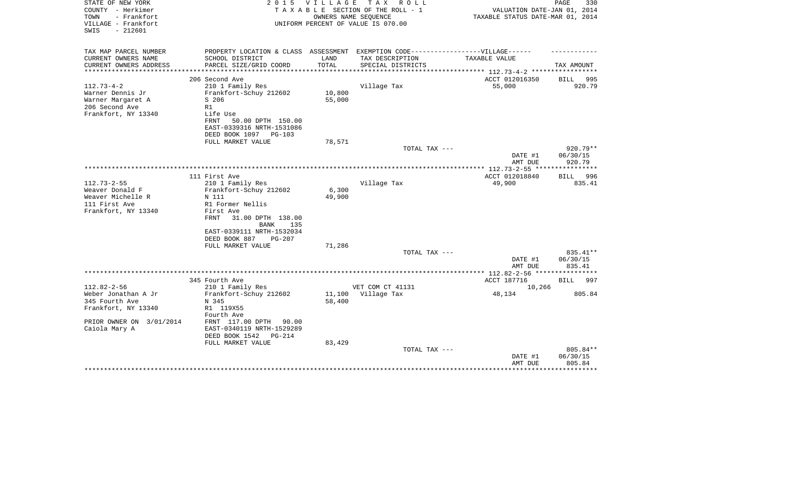| STATE OF NEW YORK<br>COUNTY - Herkimer<br>TOWN<br>- Frankfort<br>VILLAGE - Frankfort<br>$-212601$<br>SWIS | 2 0 1 5                                                                          | V I L L A G E | T A X<br>R O L L<br>TAXABLE SECTION OF THE ROLL - 1<br>OWNERS NAME SEOUENCE<br>UNIFORM PERCENT OF VALUE IS 070.00 | VALUATION DATE-JAN 01, 2014<br>TAXABLE STATUS DATE-MAR 01, 2014 | PAGE<br>330            |
|-----------------------------------------------------------------------------------------------------------|----------------------------------------------------------------------------------|---------------|-------------------------------------------------------------------------------------------------------------------|-----------------------------------------------------------------|------------------------|
| TAX MAP PARCEL NUMBER                                                                                     | PROPERTY LOCATION & CLASS ASSESSMENT EXEMPTION CODE----------------VILLAGE------ |               |                                                                                                                   |                                                                 |                        |
| CURRENT OWNERS NAME<br>CURRENT OWNERS ADDRESS<br>*********************                                    | SCHOOL DISTRICT<br>PARCEL SIZE/GRID COORD                                        | LAND<br>TOTAL | TAX DESCRIPTION<br>SPECIAL DISTRICTS                                                                              | TAXABLE VALUE                                                   | TAX AMOUNT             |
|                                                                                                           | 206 Second Ave                                                                   |               |                                                                                                                   | ACCT 012016350                                                  | 995<br>BILL            |
| $112.73 - 4 - 2$                                                                                          | 210 1 Family Res                                                                 |               | Village Tax                                                                                                       | 55,000                                                          | 920.79                 |
| Warner Dennis Jr                                                                                          | Frankfort-Schuy 212602                                                           | 10,800        |                                                                                                                   |                                                                 |                        |
| Warner Margaret A                                                                                         | S 206                                                                            | 55,000        |                                                                                                                   |                                                                 |                        |
| 206 Second Ave                                                                                            | R1                                                                               |               |                                                                                                                   |                                                                 |                        |
| Frankfort, NY 13340                                                                                       | Life Use                                                                         |               |                                                                                                                   |                                                                 |                        |
|                                                                                                           | FRNT<br>50.00 DPTH 150.00                                                        |               |                                                                                                                   |                                                                 |                        |
|                                                                                                           | EAST-0339316 NRTH-1531086                                                        |               |                                                                                                                   |                                                                 |                        |
|                                                                                                           | DEED BOOK 1097 PG-103                                                            |               |                                                                                                                   |                                                                 |                        |
|                                                                                                           | FULL MARKET VALUE                                                                | 78,571        |                                                                                                                   |                                                                 |                        |
|                                                                                                           |                                                                                  |               | TOTAL TAX ---                                                                                                     | DATE #1                                                         | $920.79**$<br>06/30/15 |
|                                                                                                           |                                                                                  |               |                                                                                                                   | AMT DUE                                                         | 920.79                 |
|                                                                                                           |                                                                                  |               |                                                                                                                   |                                                                 |                        |
|                                                                                                           | 111 First Ave                                                                    |               |                                                                                                                   | ACCT 012018840                                                  | 996<br>BILL            |
| $112.73 - 2 - 55$                                                                                         | 210 1 Family Res                                                                 |               | Village Tax                                                                                                       | 49,900                                                          | 835.41                 |
| Weaver Donald F                                                                                           | Frankfort-Schuy 212602                                                           | 6,300         |                                                                                                                   |                                                                 |                        |
| Weaver Michelle R                                                                                         | N 111                                                                            | 49,900        |                                                                                                                   |                                                                 |                        |
| 111 First Ave                                                                                             | R1 Former Nellis                                                                 |               |                                                                                                                   |                                                                 |                        |
| Frankfort, NY 13340                                                                                       | First Ave                                                                        |               |                                                                                                                   |                                                                 |                        |
|                                                                                                           | FRNT<br>31.00 DPTH 138.00                                                        |               |                                                                                                                   |                                                                 |                        |
|                                                                                                           | <b>BANK</b><br>135<br>EAST-0339111 NRTH-1532034                                  |               |                                                                                                                   |                                                                 |                        |
|                                                                                                           | DEED BOOK 887<br>$PG-207$                                                        |               |                                                                                                                   |                                                                 |                        |
|                                                                                                           | FULL MARKET VALUE                                                                | 71,286        |                                                                                                                   |                                                                 |                        |
|                                                                                                           |                                                                                  |               | TOTAL TAX ---                                                                                                     |                                                                 | 835.41**               |
|                                                                                                           |                                                                                  |               |                                                                                                                   | DATE #1                                                         | 06/30/15               |
|                                                                                                           |                                                                                  |               |                                                                                                                   | AMT DUE                                                         | 835.41                 |
|                                                                                                           |                                                                                  |               |                                                                                                                   | *************** 112.82-2-56 *****************                   |                        |
|                                                                                                           | 345 Fourth Ave                                                                   |               |                                                                                                                   | ACCT 187716                                                     | BILL<br>997            |
| $112.82 - 2 - 56$                                                                                         | 210 1 Family Res                                                                 |               | VET COM CT 41131                                                                                                  | 10,266                                                          |                        |
| Weber Jonathan A Jr                                                                                       | Frankfort-Schuy 212602                                                           | 11,100        | Village Tax                                                                                                       | 48,134                                                          | 805.84                 |
| 345 Fourth Ave<br>Frankfort, NY 13340                                                                     | N 345<br>R1 119X55                                                               | 58,400        |                                                                                                                   |                                                                 |                        |
|                                                                                                           | Fourth Ave                                                                       |               |                                                                                                                   |                                                                 |                        |
| PRIOR OWNER ON 3/01/2014                                                                                  | FRNT 117.00 DPTH<br>90.00                                                        |               |                                                                                                                   |                                                                 |                        |
| Caiola Mary A                                                                                             | EAST-0340119 NRTH-1529289                                                        |               |                                                                                                                   |                                                                 |                        |
|                                                                                                           | DEED BOOK 1542<br>PG-214                                                         |               |                                                                                                                   |                                                                 |                        |
|                                                                                                           | FULL MARKET VALUE                                                                | 83,429        |                                                                                                                   |                                                                 |                        |
|                                                                                                           |                                                                                  |               | TOTAL TAX ---                                                                                                     |                                                                 | 805.84**               |
|                                                                                                           |                                                                                  |               |                                                                                                                   | DATE #1                                                         | 06/30/15               |
|                                                                                                           |                                                                                  |               |                                                                                                                   | AMT DUE                                                         | 805.84                 |
|                                                                                                           |                                                                                  |               |                                                                                                                   |                                                                 |                        |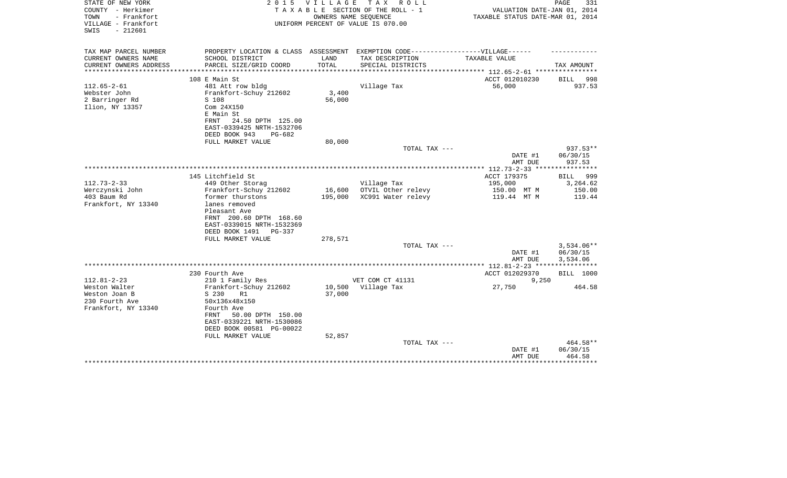| STATE OF NEW YORK<br>COUNTY - Herkimer<br>TOWN<br>- Frankfort<br>VILLAGE - Frankfort<br>$-212601$<br>SWIS | 2 0 1 5                                                                                                                                                                                                  | <b>VILLAGE</b>              | TAX ROLL<br>TAXABLE SECTION OF THE ROLL - 1<br>OWNERS NAME SEOUENCE<br>UNIFORM PERCENT OF VALUE IS 070.00 | VALUATION DATE-JAN 01, 2014<br>TAXABLE STATUS DATE-MAR 01, 2014 | 331<br>PAGE                                  |
|-----------------------------------------------------------------------------------------------------------|----------------------------------------------------------------------------------------------------------------------------------------------------------------------------------------------------------|-----------------------------|-----------------------------------------------------------------------------------------------------------|-----------------------------------------------------------------|----------------------------------------------|
| TAX MAP PARCEL NUMBER                                                                                     | PROPERTY LOCATION & CLASS ASSESSMENT EXEMPTION CODE-----------------VILLAGE------                                                                                                                        |                             |                                                                                                           |                                                                 |                                              |
| CURRENT OWNERS NAME                                                                                       | SCHOOL DISTRICT                                                                                                                                                                                          | LAND                        | TAX DESCRIPTION                                                                                           | TAXABLE VALUE                                                   |                                              |
| CURRENT OWNERS ADDRESS<br>*************                                                                   | PARCEL SIZE/GRID COORD                                                                                                                                                                                   | TOTAL<br>****************** | SPECIAL DISTRICTS                                                                                         | ************** 112.65-2-61 *****************                    | TAX AMOUNT                                   |
|                                                                                                           | 108 E Main St                                                                                                                                                                                            |                             |                                                                                                           | ACCT 012010230                                                  | <b>BILL</b><br>998                           |
| $112.65 - 2 - 61$<br>Webster John<br>2 Barringer Rd<br>Ilion, NY 13357                                    | 481 Att row bldg<br>Frankfort-Schuy 212602<br>S 108<br>Com 24X150<br>E Main St<br>24.50 DPTH 125.00<br>FRNT<br>EAST-0339425 NRTH-1532706<br>DEED BOOK 943<br>PG-682                                      | 3,400<br>56,000             | Village Tax                                                                                               | 56,000                                                          | 937.53                                       |
|                                                                                                           | FULL MARKET VALUE                                                                                                                                                                                        | 80,000                      |                                                                                                           |                                                                 |                                              |
|                                                                                                           |                                                                                                                                                                                                          |                             | TOTAL TAX ---                                                                                             | DATE #1<br>AMT DUE                                              | $937.53**$<br>06/30/15<br>937.53             |
|                                                                                                           |                                                                                                                                                                                                          |                             |                                                                                                           |                                                                 | ************                                 |
| $112.73 - 2 - 33$<br>Werczynski John<br>403 Baum Rd<br>Frankfort, NY 13340                                | 145 Litchfield St<br>449 Other Storag<br>Frankfort-Schuy 212602<br>former thurstons<br>lanes removed<br>Pleasant Ave<br>FRNT 200.60 DPTH 168.60<br>EAST-0339015 NRTH-1532369<br>DEED BOOK 1491<br>PG-337 | 16,600<br>195,000           | Village Tax<br>OTVIL Other relevy<br>XC991 Water relevy                                                   | ACCT 179375<br>195,000<br>150.00 MT M<br>119.44 MT M            | BILL<br>999<br>3,264.62<br>150.00<br>119.44  |
|                                                                                                           | FULL MARKET VALUE                                                                                                                                                                                        | 278,571                     | TOTAL TAX ---                                                                                             |                                                                 | $3,534.06**$                                 |
|                                                                                                           |                                                                                                                                                                                                          |                             |                                                                                                           | DATE #1<br>AMT DUE                                              | 06/30/15<br>3,534.06                         |
|                                                                                                           |                                                                                                                                                                                                          |                             |                                                                                                           |                                                                 |                                              |
| $112.81 - 2 - 23$                                                                                         | 230 Fourth Ave                                                                                                                                                                                           |                             | VET COM CT 41131                                                                                          | ACCT 012029370                                                  | <b>BILL</b> 1000                             |
| Weston Walter<br>Weston Joan B<br>230 Fourth Ave<br>Frankfort, NY 13340                                   | 210 1 Family Res<br>Frankfort-Schuy 212602<br>S 230<br>R1<br>50x136x48x150<br>Fourth Ave<br>50.00 DPTH 150.00<br>FRNT<br>EAST-0339221 NRTH-1530086<br>DEED BOOK 00581 PG-00022                           | 10,500<br>37,000            | Village Tax                                                                                               | 9,250<br>27,750                                                 | 464.58                                       |
|                                                                                                           | FULL MARKET VALUE                                                                                                                                                                                        | 52,857                      | TOTAL TAX ---                                                                                             | DATE #1<br>AMT DUE<br>**********                                | 464.58**<br>06/30/15<br>464.58<br>********** |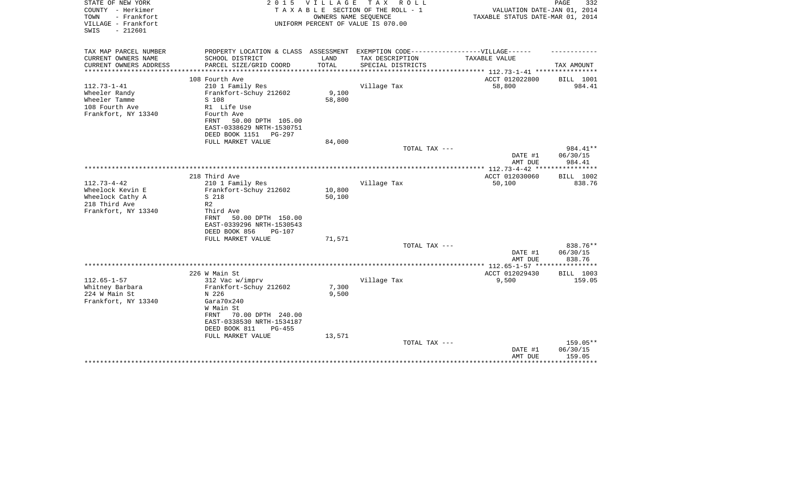| 2 0 1 5                                                                    | <b>VILLAGE</b>                                                                                                                                                                                                                                              | T A X<br>R O L L                                              | VALUATION DATE-JAN 01, 2014<br>TAXABLE STATUS DATE-MAR 01, 2014                                                                                      | PAGE<br>332                                                                                                                                                                                                                                                      |
|----------------------------------------------------------------------------|-------------------------------------------------------------------------------------------------------------------------------------------------------------------------------------------------------------------------------------------------------------|---------------------------------------------------------------|------------------------------------------------------------------------------------------------------------------------------------------------------|------------------------------------------------------------------------------------------------------------------------------------------------------------------------------------------------------------------------------------------------------------------|
|                                                                            |                                                                                                                                                                                                                                                             |                                                               |                                                                                                                                                      |                                                                                                                                                                                                                                                                  |
|                                                                            |                                                                                                                                                                                                                                                             |                                                               |                                                                                                                                                      | TAX AMOUNT                                                                                                                                                                                                                                                       |
|                                                                            |                                                                                                                                                                                                                                                             |                                                               |                                                                                                                                                      |                                                                                                                                                                                                                                                                  |
| 108 Fourth Ave                                                             |                                                                                                                                                                                                                                                             |                                                               | ACCT 012022800                                                                                                                                       | BILL 1001                                                                                                                                                                                                                                                        |
| Frankfort-Schuy 212602<br>S 108<br>R1 Life Use                             | 9,100<br>58,800                                                                                                                                                                                                                                             |                                                               |                                                                                                                                                      | 984.41                                                                                                                                                                                                                                                           |
| Fourth Ave<br>50.00 DPTH 105.00<br>FRNT<br>EAST-0338629 NRTH-1530751       |                                                                                                                                                                                                                                                             |                                                               |                                                                                                                                                      |                                                                                                                                                                                                                                                                  |
| FULL MARKET VALUE                                                          | 84,000                                                                                                                                                                                                                                                      |                                                               |                                                                                                                                                      |                                                                                                                                                                                                                                                                  |
|                                                                            |                                                                                                                                                                                                                                                             |                                                               | DATE #1                                                                                                                                              | 984.41**<br>06/30/15                                                                                                                                                                                                                                             |
|                                                                            |                                                                                                                                                                                                                                                             |                                                               | AMT DUE                                                                                                                                              | 984.41<br>***********                                                                                                                                                                                                                                            |
| 218 Third Ave                                                              |                                                                                                                                                                                                                                                             |                                                               | ACCT 012030060                                                                                                                                       | BILL 1002                                                                                                                                                                                                                                                        |
| 210 1 Family Res                                                           |                                                                                                                                                                                                                                                             | Village Tax                                                   | 50,100                                                                                                                                               | 838.76                                                                                                                                                                                                                                                           |
|                                                                            |                                                                                                                                                                                                                                                             |                                                               |                                                                                                                                                      |                                                                                                                                                                                                                                                                  |
|                                                                            |                                                                                                                                                                                                                                                             |                                                               |                                                                                                                                                      |                                                                                                                                                                                                                                                                  |
| Third Ave<br><b>FRNT</b><br>50.00 DPTH 150.00<br>EAST-0339296 NRTH-1530543 |                                                                                                                                                                                                                                                             |                                                               |                                                                                                                                                      |                                                                                                                                                                                                                                                                  |
|                                                                            |                                                                                                                                                                                                                                                             |                                                               |                                                                                                                                                      |                                                                                                                                                                                                                                                                  |
|                                                                            |                                                                                                                                                                                                                                                             |                                                               |                                                                                                                                                      | 838.76**                                                                                                                                                                                                                                                         |
|                                                                            |                                                                                                                                                                                                                                                             |                                                               | DATE #1                                                                                                                                              | 06/30/15                                                                                                                                                                                                                                                         |
|                                                                            |                                                                                                                                                                                                                                                             |                                                               |                                                                                                                                                      | 838.76                                                                                                                                                                                                                                                           |
| 226 W Main St                                                              |                                                                                                                                                                                                                                                             |                                                               | ACCT 012029430                                                                                                                                       | BILL 1003                                                                                                                                                                                                                                                        |
| 312 Vac w/imprv                                                            |                                                                                                                                                                                                                                                             | Village Tax                                                   | 9,500                                                                                                                                                | 159.05                                                                                                                                                                                                                                                           |
| Frankfort-Schuy 212602                                                     |                                                                                                                                                                                                                                                             |                                                               |                                                                                                                                                      |                                                                                                                                                                                                                                                                  |
|                                                                            |                                                                                                                                                                                                                                                             |                                                               |                                                                                                                                                      |                                                                                                                                                                                                                                                                  |
| W Main St<br>70.00 DPTH 240.00<br>FRNT<br>EAST-0338530 NRTH-1534187        |                                                                                                                                                                                                                                                             |                                                               |                                                                                                                                                      |                                                                                                                                                                                                                                                                  |
| FULL MARKET VALUE                                                          | 13,571                                                                                                                                                                                                                                                      |                                                               |                                                                                                                                                      |                                                                                                                                                                                                                                                                  |
|                                                                            |                                                                                                                                                                                                                                                             |                                                               | DATE #1<br>AMT DUE                                                                                                                                   | 159.05**<br>06/30/15<br>159.05                                                                                                                                                                                                                                   |
|                                                                            | SCHOOL DISTRICT<br>PARCEL SIZE/GRID COORD<br>210 1 Family Res<br>DEED BOOK 1151<br><b>PG-297</b><br>Frankfort-Schuy 212602<br>S 218<br>R <sub>2</sub><br>DEED BOOK 856<br>$PG-107$<br>FULL MARKET VALUE<br>N 226<br>Gara70x240<br>DEED BOOK 811<br>$PG-455$ | LAND<br>TOTAL<br>10,800<br>50,100<br>71,571<br>7,300<br>9,500 | TAXABLE SECTION OF THE ROLL - 1<br>OWNERS NAME SEQUENCE<br>UNIFORM PERCENT OF VALUE IS 070.00<br>TAX DESCRIPTION<br>SPECIAL DISTRICTS<br>Village Tax | PROPERTY LOCATION & CLASS ASSESSMENT EXEMPTION CODE-----------------VILLAGE------<br>TAXABLE VALUE<br>***************** 112.73-1-41 *****************<br>58,800<br>TOTAL TAX ---<br>**************** 112.73-4-42 **<br>TOTAL TAX ---<br>AMT DUE<br>TOTAL TAX --- |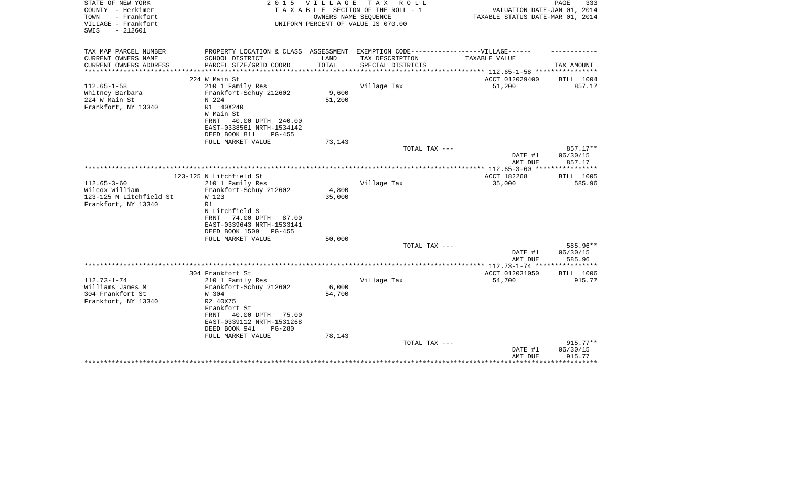| STATE OF NEW YORK<br>COUNTY - Herkimer<br>TOWN<br>- Frankfort<br>VILLAGE - Frankfort | 2 0 1 5                                                                           | V I L L A G E | T A X<br>R O L L<br>TAXABLE SECTION OF THE ROLL - 1<br>OWNERS NAME SEQUENCE<br>UNIFORM PERCENT OF VALUE IS 070.00 | VALUATION DATE-JAN 01, 2014<br>TAXABLE STATUS DATE-MAR 01, 2014  | PAGE<br>333            |
|--------------------------------------------------------------------------------------|-----------------------------------------------------------------------------------|---------------|-------------------------------------------------------------------------------------------------------------------|------------------------------------------------------------------|------------------------|
| $-212601$<br>SWIS                                                                    |                                                                                   |               |                                                                                                                   |                                                                  |                        |
| TAX MAP PARCEL NUMBER                                                                | PROPERTY LOCATION & CLASS ASSESSMENT EXEMPTION CODE-----------------VILLAGE------ |               |                                                                                                                   |                                                                  |                        |
| CURRENT OWNERS NAME                                                                  | SCHOOL DISTRICT                                                                   | LAND          | TAX DESCRIPTION                                                                                                   | TAXABLE VALUE                                                    |                        |
| CURRENT OWNERS ADDRESS<br>****************                                           | PARCEL SIZE/GRID COORD                                                            | TOTAL         | SPECIAL DISTRICTS                                                                                                 | ********************************** 112.65-1-58 ***************** | TAX AMOUNT             |
|                                                                                      | 224 W Main St                                                                     |               |                                                                                                                   | ACCT 012029400                                                   | BILL 1004              |
| $112.65 - 1 - 58$                                                                    | 210 1 Family Res                                                                  |               | Village Tax                                                                                                       | 51,200                                                           | 857.17                 |
| Whitney Barbara                                                                      | Frankfort-Schuy 212602                                                            | 9,600         |                                                                                                                   |                                                                  |                        |
| 224 W Main St                                                                        | N 224                                                                             | 51,200        |                                                                                                                   |                                                                  |                        |
| Frankfort, NY 13340                                                                  | R1 40X240                                                                         |               |                                                                                                                   |                                                                  |                        |
|                                                                                      | W Main St                                                                         |               |                                                                                                                   |                                                                  |                        |
|                                                                                      | FRNT<br>40.00 DPTH 240.00                                                         |               |                                                                                                                   |                                                                  |                        |
|                                                                                      | EAST-0338561 NRTH-1534142<br>DEED BOOK 811                                        |               |                                                                                                                   |                                                                  |                        |
|                                                                                      | $PG-455$<br>FULL MARKET VALUE                                                     | 73,143        |                                                                                                                   |                                                                  |                        |
|                                                                                      |                                                                                   |               | TOTAL TAX ---                                                                                                     |                                                                  | 857.17**               |
|                                                                                      |                                                                                   |               |                                                                                                                   | DATE #1                                                          | 06/30/15               |
|                                                                                      |                                                                                   |               |                                                                                                                   | AMT DUE                                                          | 857.17                 |
|                                                                                      |                                                                                   |               |                                                                                                                   | ************* 112.65-3-60 ****                                   | ************           |
|                                                                                      | 123-125 N Litchfield St                                                           |               |                                                                                                                   | ACCT 182268                                                      | BILL 1005              |
| $112.65 - 3 - 60$                                                                    | 210 1 Family Res                                                                  |               | Village Tax                                                                                                       | 35,000                                                           | 585.96                 |
| Wilcox William                                                                       | Frankfort-Schuy 212602                                                            | 4,800         |                                                                                                                   |                                                                  |                        |
| 123-125 N Litchfield St<br>Frankfort, NY 13340                                       | W 123<br>R1                                                                       | 35,000        |                                                                                                                   |                                                                  |                        |
|                                                                                      | N Litchfield S                                                                    |               |                                                                                                                   |                                                                  |                        |
|                                                                                      | 74.00 DPTH<br><b>FRNT</b><br>87.00                                                |               |                                                                                                                   |                                                                  |                        |
|                                                                                      | EAST-0339643 NRTH-1533141                                                         |               |                                                                                                                   |                                                                  |                        |
|                                                                                      | DEED BOOK 1509<br>PG-455                                                          |               |                                                                                                                   |                                                                  |                        |
|                                                                                      | FULL MARKET VALUE                                                                 | 50,000        |                                                                                                                   |                                                                  |                        |
|                                                                                      |                                                                                   |               | TOTAL TAX ---                                                                                                     |                                                                  | 585.96**               |
|                                                                                      |                                                                                   |               |                                                                                                                   | DATE #1                                                          | 06/30/15               |
|                                                                                      |                                                                                   |               |                                                                                                                   | AMT DUE                                                          | 585.96<br>************ |
|                                                                                      | 304 Frankfort St                                                                  |               |                                                                                                                   | ACCT 012031050                                                   | BILL 1006              |
| $112.73 - 1 - 74$                                                                    | 210 1 Family Res                                                                  |               | Village Tax                                                                                                       | 54,700                                                           | 915.77                 |
| Williams James M                                                                     | Frankfort-Schuy 212602                                                            | 6,000         |                                                                                                                   |                                                                  |                        |
| 304 Frankfort St                                                                     | W 304                                                                             | 54,700        |                                                                                                                   |                                                                  |                        |
| Frankfort, NY 13340                                                                  | R2 40X75                                                                          |               |                                                                                                                   |                                                                  |                        |
|                                                                                      | Frankfort St                                                                      |               |                                                                                                                   |                                                                  |                        |
|                                                                                      | 40.00 DPTH<br>75.00<br>FRNT                                                       |               |                                                                                                                   |                                                                  |                        |
|                                                                                      | EAST-0339112 NRTH-1531268                                                         |               |                                                                                                                   |                                                                  |                        |
|                                                                                      | DEED BOOK 941<br>$PG-280$                                                         |               |                                                                                                                   |                                                                  |                        |
|                                                                                      | FULL MARKET VALUE                                                                 | 78,143        | TOTAL TAX ---                                                                                                     |                                                                  | $915.77**$             |
|                                                                                      |                                                                                   |               |                                                                                                                   | DATE #1                                                          | 06/30/15               |
|                                                                                      |                                                                                   |               |                                                                                                                   | AMT DUE                                                          | 915.77                 |
|                                                                                      |                                                                                   |               |                                                                                                                   |                                                                  | **********             |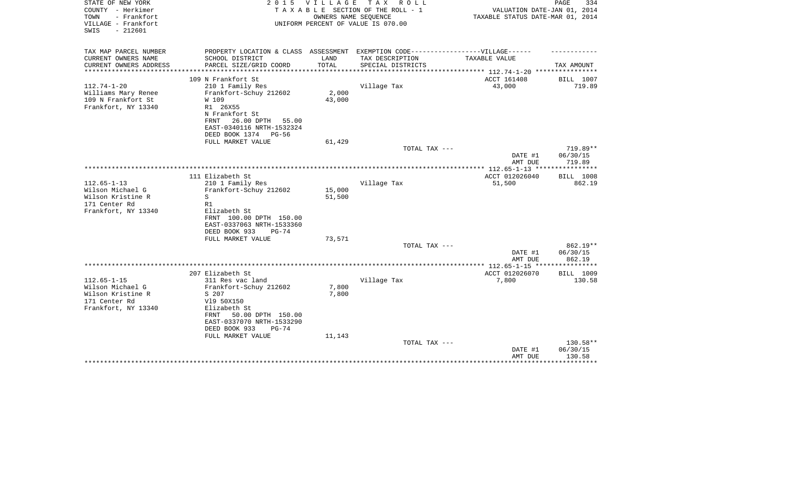| STATE OF NEW YORK<br>COUNTY - Herkimer<br>- Frankfort<br>TOWN<br>VILLAGE - Frankfort<br>SWIS<br>$-212601$ | 2 0 1 5                                                                                                                                                                    | VILLAGE<br>OWNERS NAME SEOUENCE | TAX ROLL<br>TAXABLE SECTION OF THE ROLL - 1<br>UNIFORM PERCENT OF VALUE IS 070.00 | VALUATION DATE-JAN 01, 2014<br>TAXABLE STATUS DATE-MAR 01, 2014 | PAGE<br>334                                |
|-----------------------------------------------------------------------------------------------------------|----------------------------------------------------------------------------------------------------------------------------------------------------------------------------|---------------------------------|-----------------------------------------------------------------------------------|-----------------------------------------------------------------|--------------------------------------------|
| TAX MAP PARCEL NUMBER<br>CURRENT OWNERS NAME                                                              | PROPERTY LOCATION & CLASS ASSESSMENT EXEMPTION CODE-----------------VILLAGE------<br>SCHOOL DISTRICT                                                                       | LAND                            | TAX DESCRIPTION                                                                   | TAXABLE VALUE                                                   |                                            |
| CURRENT OWNERS ADDRESS                                                                                    | PARCEL SIZE/GRID COORD                                                                                                                                                     | TOTAL                           | SPECIAL DISTRICTS                                                                 |                                                                 | TAX AMOUNT                                 |
|                                                                                                           |                                                                                                                                                                            |                                 |                                                                                   | ********* 112.74-1-20 ************                              |                                            |
|                                                                                                           | 109 N Frankfort St                                                                                                                                                         |                                 |                                                                                   | ACCT 161408                                                     | BILL 1007                                  |
| $112.74 - 1 - 20$<br>Williams Mary Renee<br>109 N Frankfort St<br>Frankfort, NY 13340                     | 210 1 Family Res<br>Frankfort-Schuy 212602<br>W 109<br>R1 26X55<br>N Frankfort St<br>26.00 DPTH<br>55.00<br>FRNT<br>EAST-0340116 NRTH-1532324<br>DEED BOOK 1374<br>$PG-56$ | 2,000<br>43,000                 | Village Tax                                                                       | 43,000                                                          | 719.89                                     |
|                                                                                                           | FULL MARKET VALUE                                                                                                                                                          | 61,429                          |                                                                                   |                                                                 |                                            |
|                                                                                                           |                                                                                                                                                                            |                                 | TOTAL TAX ---                                                                     | DATE #1<br>AMT DUE                                              | $719.89**$<br>06/30/15<br>719.89           |
|                                                                                                           |                                                                                                                                                                            |                                 |                                                                                   |                                                                 |                                            |
| $112.65 - 1 - 13$<br>Wilson Michael G<br>Wilson Kristine R<br>171 Center Rd<br>Frankfort, NY 13340        | 111 Elizabeth St<br>210 1 Family Res<br>Frankfort-Schuy 212602<br>S<br>R1<br>Elizabeth St                                                                                  | 15,000<br>51,500                | Village Tax                                                                       | ACCT 012026040<br>51,500                                        | <b>BILL 1008</b><br>862.19                 |
|                                                                                                           | FRNT 100.00 DPTH 150.00<br>EAST-0337063 NRTH-1533360<br>DEED BOOK 933<br>$PG-74$<br>FULL MARKET VALUE                                                                      | 73,571                          | TOTAL TAX ---                                                                     |                                                                 | 862.19**                                   |
|                                                                                                           |                                                                                                                                                                            |                                 |                                                                                   | DATE #1<br>AMT DUE                                              | 06/30/15<br>862.19                         |
|                                                                                                           |                                                                                                                                                                            |                                 |                                                                                   | ************ 112.65-1-15 ****                                   | * * * * * * * * * * * *                    |
| $112.65 - 1 - 15$                                                                                         | 207 Elizabeth St<br>311 Res vac land                                                                                                                                       |                                 | Village Tax                                                                       | ACCT 012026070<br>7,800                                         | BILL 1009<br>130.58                        |
| Wilson Michael G<br>Wilson Kristine R<br>171 Center Rd<br>Frankfort, NY 13340                             | Frankfort-Schuy 212602<br>S 207<br>V19 50X150<br>Elizabeth St<br>50.00 DPTH 150.00<br>FRNT<br>EAST-0337070 NRTH-1533290<br>DEED BOOK 933<br>$PG-74$<br>FULL MARKET VALUE   | 7,800<br>7,800<br>11,143        |                                                                                   |                                                                 |                                            |
|                                                                                                           |                                                                                                                                                                            |                                 | TOTAL TAX ---                                                                     | DATE #1<br>AMT DUE                                              | 130.58**<br>06/30/15<br>130.58<br>******** |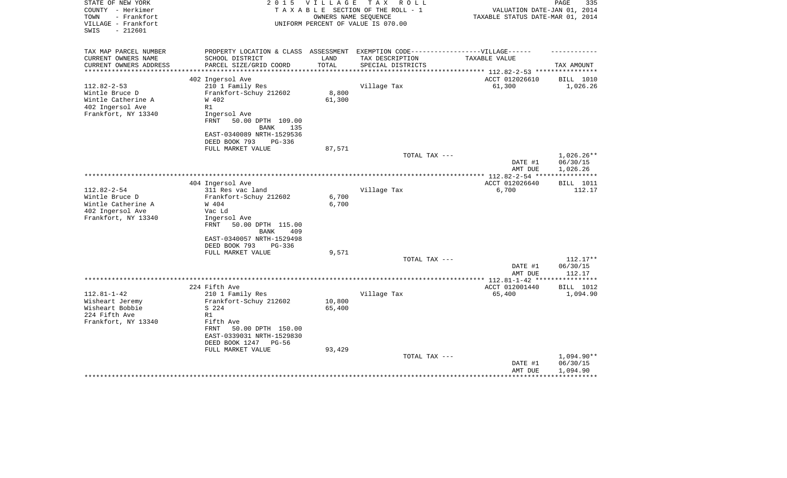| STATE OF NEW YORK<br>COUNTY - Herkimer<br>- Frankfort<br>TOWN<br>VILLAGE - Frankfort<br>$-212601$<br>SWIS | 2 0 1 5                                   | VILLAGE | TAX ROLL<br>TAXABLE SECTION OF THE ROLL - 1<br>OWNERS NAME SEQUENCE<br>UNIFORM PERCENT OF VALUE IS 070.00 | VALUATION DATE-JAN 01, 2014<br>TAXABLE STATUS DATE-MAR 01, 2014 | PAGE<br>335             |
|-----------------------------------------------------------------------------------------------------------|-------------------------------------------|---------|-----------------------------------------------------------------------------------------------------------|-----------------------------------------------------------------|-------------------------|
|                                                                                                           |                                           |         |                                                                                                           |                                                                 |                         |
| TAX MAP PARCEL NUMBER                                                                                     | PROPERTY LOCATION & CLASS ASSESSMENT      |         | EXEMPTION CODE------------------VILLAGE------                                                             |                                                                 |                         |
| CURRENT OWNERS NAME                                                                                       | SCHOOL DISTRICT                           | LAND    | TAX DESCRIPTION                                                                                           | TAXABLE VALUE                                                   |                         |
| CURRENT OWNERS ADDRESS<br>**********************                                                          | PARCEL SIZE/GRID COORD                    | TOTAL   | SPECIAL DISTRICTS                                                                                         |                                                                 | TAX AMOUNT              |
|                                                                                                           | 402 Ingersol Ave                          |         |                                                                                                           | ACCT 012026610                                                  | BILL 1010               |
| $112.82 - 2 - 53$                                                                                         | 210 1 Family Res                          |         | Village Tax                                                                                               | 61,300                                                          | 1,026.26                |
| Wintle Bruce D                                                                                            | Frankfort-Schuy 212602                    | 8,800   |                                                                                                           |                                                                 |                         |
| Wintle Catherine A                                                                                        | W 402                                     | 61,300  |                                                                                                           |                                                                 |                         |
| 402 Ingersol Ave                                                                                          | R1                                        |         |                                                                                                           |                                                                 |                         |
| Frankfort, NY 13340                                                                                       | Ingersol Ave<br>FRNT<br>50.00 DPTH 109.00 |         |                                                                                                           |                                                                 |                         |
|                                                                                                           | BANK<br>135                               |         |                                                                                                           |                                                                 |                         |
|                                                                                                           | EAST-0340089 NRTH-1529536                 |         |                                                                                                           |                                                                 |                         |
|                                                                                                           | DEED BOOK 793<br>PG-336                   |         |                                                                                                           |                                                                 |                         |
|                                                                                                           | FULL MARKET VALUE                         | 87,571  |                                                                                                           |                                                                 |                         |
|                                                                                                           |                                           |         | TOTAL TAX ---                                                                                             |                                                                 | 1,026.26**              |
|                                                                                                           |                                           |         |                                                                                                           | DATE #1                                                         | 06/30/15                |
|                                                                                                           |                                           |         |                                                                                                           | AMT DUE                                                         | 1,026.26<br>*********** |
|                                                                                                           | 404 Ingersol Ave                          |         |                                                                                                           | ACCT 012026640                                                  | BILL 1011               |
| $112.82 - 2 - 54$                                                                                         | 311 Res vac land                          |         | Village Tax                                                                                               | 6,700                                                           | 112.17                  |
| Wintle Bruce D                                                                                            | Frankfort-Schuy 212602                    | 6,700   |                                                                                                           |                                                                 |                         |
| Wintle Catherine A                                                                                        | W 404                                     | 6,700   |                                                                                                           |                                                                 |                         |
| 402 Ingersol Ave                                                                                          | Vac Ld                                    |         |                                                                                                           |                                                                 |                         |
| Frankfort, NY 13340                                                                                       | Ingersol Ave<br>FRNT<br>50.00 DPTH 115.00 |         |                                                                                                           |                                                                 |                         |
|                                                                                                           | <b>BANK</b><br>409                        |         |                                                                                                           |                                                                 |                         |
|                                                                                                           | EAST-0340057 NRTH-1529498                 |         |                                                                                                           |                                                                 |                         |
|                                                                                                           | DEED BOOK 793<br>$PG-336$                 |         |                                                                                                           |                                                                 |                         |
|                                                                                                           | FULL MARKET VALUE                         | 9,571   |                                                                                                           |                                                                 |                         |
|                                                                                                           |                                           |         | TOTAL TAX ---                                                                                             |                                                                 | $112.17**$              |
|                                                                                                           |                                           |         |                                                                                                           | DATE #1                                                         | 06/30/15<br>112.17      |
|                                                                                                           |                                           |         |                                                                                                           | AMT DUE                                                         |                         |
|                                                                                                           | 224 Fifth Ave                             |         |                                                                                                           | ACCT 012001440                                                  | BILL 1012               |
| $112.81 - 1 - 42$                                                                                         | 210 1 Family Res                          |         | Village Tax                                                                                               | 65,400                                                          | 1,094.90                |
| Wisheart Jeremy                                                                                           | Frankfort-Schuy 212602                    | 10,800  |                                                                                                           |                                                                 |                         |
| Wisheart Bobbie                                                                                           | S 224                                     | 65,400  |                                                                                                           |                                                                 |                         |
| 224 Fifth Ave                                                                                             | R1                                        |         |                                                                                                           |                                                                 |                         |
| Frankfort, NY 13340                                                                                       | Fifth Ave<br>50.00 DPTH 150.00<br>FRNT    |         |                                                                                                           |                                                                 |                         |
|                                                                                                           | EAST-0339031 NRTH-1529830                 |         |                                                                                                           |                                                                 |                         |
|                                                                                                           | DEED BOOK 1247<br>PG-56                   |         |                                                                                                           |                                                                 |                         |
|                                                                                                           | FULL MARKET VALUE                         | 93,429  |                                                                                                           |                                                                 |                         |
|                                                                                                           |                                           |         | TOTAL TAX ---                                                                                             |                                                                 | $1,094.90**$            |
|                                                                                                           |                                           |         |                                                                                                           | DATE #1                                                         | 06/30/15                |
|                                                                                                           |                                           |         |                                                                                                           | AMT DUE                                                         | 1,094.90                |
|                                                                                                           |                                           |         |                                                                                                           |                                                                 |                         |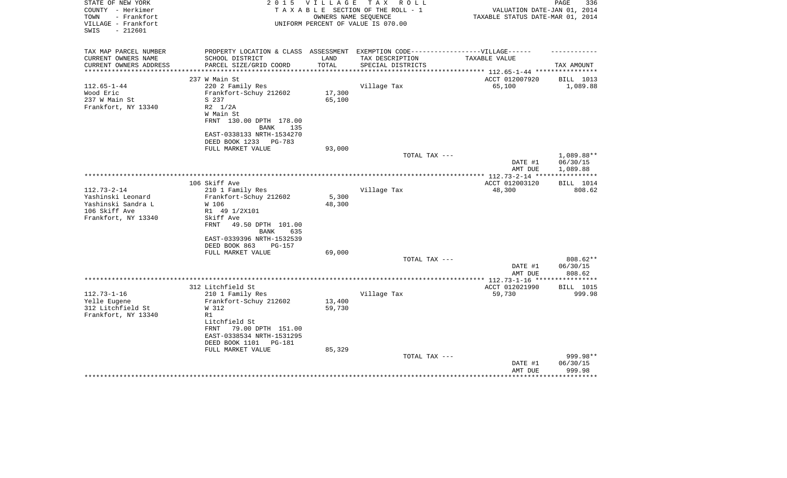| STATE OF NEW YORK<br>COUNTY - Herkimer<br>TOWN<br>- Frankfort<br>VILLAGE - Frankfort<br>$-212601$<br>SWIS | 2 0 1 5<br><b>VILLAGE</b><br>T A X<br>R O L L<br>TAXABLE SECTION OF THE ROLL - 1<br>OWNERS NAME SEOUENCE<br>UNIFORM PERCENT OF VALUE IS 070.00 |        |                   | PAGE<br>336<br>VALUATION DATE-JAN 01, 2014<br>TAXABLE STATUS DATE-MAR 01, 2014 |                       |  |
|-----------------------------------------------------------------------------------------------------------|------------------------------------------------------------------------------------------------------------------------------------------------|--------|-------------------|--------------------------------------------------------------------------------|-----------------------|--|
| TAX MAP PARCEL NUMBER                                                                                     | PROPERTY LOCATION & CLASS ASSESSMENT EXEMPTION CODE-----------------VILLAGE------                                                              |        |                   |                                                                                |                       |  |
| CURRENT OWNERS NAME                                                                                       | SCHOOL DISTRICT                                                                                                                                | LAND   | TAX DESCRIPTION   | TAXABLE VALUE                                                                  |                       |  |
| CURRENT OWNERS ADDRESS<br>***********************                                                         | PARCEL SIZE/GRID COORD                                                                                                                         | TOTAL  | SPECIAL DISTRICTS |                                                                                | TAX AMOUNT            |  |
|                                                                                                           | 237 W Main St                                                                                                                                  |        |                   | ACCT 012007920                                                                 |                       |  |
| $112.65 - 1 - 44$                                                                                         | 220 2 Family Res                                                                                                                               |        | Village Tax       | 65,100                                                                         | BILL 1013<br>1,089.88 |  |
| Wood Eric                                                                                                 | Frankfort-Schuy 212602                                                                                                                         | 17,300 |                   |                                                                                |                       |  |
| 237 W Main St                                                                                             | S 237                                                                                                                                          | 65,100 |                   |                                                                                |                       |  |
| Frankfort, NY 13340                                                                                       | R2 1/2A                                                                                                                                        |        |                   |                                                                                |                       |  |
|                                                                                                           | W Main St                                                                                                                                      |        |                   |                                                                                |                       |  |
|                                                                                                           | FRNT 130.00 DPTH 178.00                                                                                                                        |        |                   |                                                                                |                       |  |
|                                                                                                           | <b>BANK</b><br>135                                                                                                                             |        |                   |                                                                                |                       |  |
|                                                                                                           | EAST-0338133 NRTH-1534270                                                                                                                      |        |                   |                                                                                |                       |  |
|                                                                                                           | DEED BOOK 1233<br>PG-783                                                                                                                       |        |                   |                                                                                |                       |  |
|                                                                                                           | FULL MARKET VALUE                                                                                                                              | 93,000 |                   |                                                                                |                       |  |
|                                                                                                           |                                                                                                                                                |        | TOTAL TAX ---     |                                                                                | 1,089.88**            |  |
|                                                                                                           |                                                                                                                                                |        |                   | DATE #1                                                                        | 06/30/15              |  |
|                                                                                                           |                                                                                                                                                |        |                   | AMT DUE                                                                        | 1,089.88              |  |
|                                                                                                           | 106 Skiff Ave                                                                                                                                  |        |                   | ACCT 012003120                                                                 | BILL 1014             |  |
| $112.73 - 2 - 14$                                                                                         | 210 1 Family Res                                                                                                                               |        | Village Tax       | 48,300                                                                         | 808.62                |  |
| Yashinski Leonard                                                                                         | Frankfort-Schuy 212602                                                                                                                         | 5,300  |                   |                                                                                |                       |  |
| Yashinski Sandra L                                                                                        | W 106                                                                                                                                          | 48,300 |                   |                                                                                |                       |  |
| 106 Skiff Ave                                                                                             | R1 49 1/2X101                                                                                                                                  |        |                   |                                                                                |                       |  |
| Frankfort, NY 13340                                                                                       | Skiff Ave                                                                                                                                      |        |                   |                                                                                |                       |  |
|                                                                                                           | FRNT<br>49.50 DPTH 101.00                                                                                                                      |        |                   |                                                                                |                       |  |
|                                                                                                           | 635<br>BANK                                                                                                                                    |        |                   |                                                                                |                       |  |
|                                                                                                           | EAST-0339396 NRTH-1532539<br>$PG-157$                                                                                                          |        |                   |                                                                                |                       |  |
|                                                                                                           | DEED BOOK 863<br>FULL MARKET VALUE                                                                                                             | 69,000 |                   |                                                                                |                       |  |
|                                                                                                           |                                                                                                                                                |        | TOTAL TAX ---     |                                                                                | $808.62**$            |  |
|                                                                                                           |                                                                                                                                                |        |                   | DATE #1                                                                        | 06/30/15              |  |
|                                                                                                           |                                                                                                                                                |        |                   | AMT DUE                                                                        | 808.62                |  |
|                                                                                                           |                                                                                                                                                |        |                   |                                                                                |                       |  |
|                                                                                                           | 312 Litchfield St                                                                                                                              |        |                   | ACCT 012021990                                                                 | <b>BILL 1015</b>      |  |
| $112.73 - 1 - 16$                                                                                         | 210 1 Family Res                                                                                                                               |        | Village Tax       | 59,730                                                                         | 999.98                |  |
| Yelle Eugene                                                                                              | Frankfort-Schuy 212602                                                                                                                         | 13,400 |                   |                                                                                |                       |  |
| 312 Litchfield St                                                                                         | W 312                                                                                                                                          | 59,730 |                   |                                                                                |                       |  |
| Frankfort, NY 13340                                                                                       | R1                                                                                                                                             |        |                   |                                                                                |                       |  |
|                                                                                                           | Litchfield St                                                                                                                                  |        |                   |                                                                                |                       |  |
|                                                                                                           | 79.00 DPTH 151.00<br>FRNT<br>EAST-0338534 NRTH-1531295                                                                                         |        |                   |                                                                                |                       |  |
|                                                                                                           | DEED BOOK 1101<br>PG-181                                                                                                                       |        |                   |                                                                                |                       |  |
|                                                                                                           | FULL MARKET VALUE                                                                                                                              | 85,329 |                   |                                                                                |                       |  |
|                                                                                                           |                                                                                                                                                |        | TOTAL TAX ---     |                                                                                | 999.98**              |  |
|                                                                                                           |                                                                                                                                                |        |                   | DATE #1                                                                        | 06/30/15              |  |
|                                                                                                           |                                                                                                                                                |        |                   | AMT DUE                                                                        | 999.98                |  |
|                                                                                                           |                                                                                                                                                |        |                   |                                                                                |                       |  |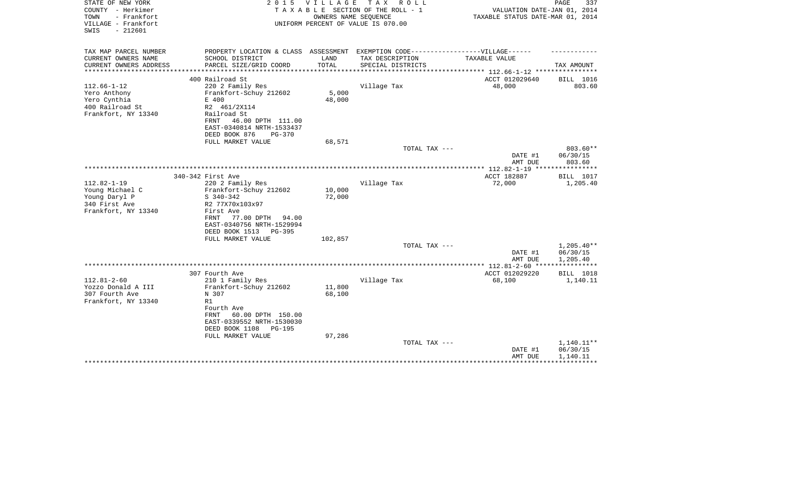| COUNTY - Herkimer<br>TAXABLE SECTION OF THE ROLL - 1<br>TOWN<br>- Frankfort<br>OWNERS NAME SEQUENCE<br>VILLAGE - Frankfort<br>UNIFORM PERCENT OF VALUE IS 070.00<br>$-212601$<br>SWIS | PAGE<br>337<br>VALUATION DATE-JAN 01, 2014<br>TAXABLE STATUS DATE-MAR 01, 2014 |  |  |
|---------------------------------------------------------------------------------------------------------------------------------------------------------------------------------------|--------------------------------------------------------------------------------|--|--|
| TAX MAP PARCEL NUMBER<br>PROPERTY LOCATION & CLASS ASSESSMENT<br>EXEMPTION CODE------------------VILLAGE------                                                                        |                                                                                |  |  |
| CURRENT OWNERS NAME<br>SCHOOL DISTRICT<br>LAND<br>TAX DESCRIPTION<br>TAXABLE VALUE                                                                                                    |                                                                                |  |  |
| TOTAL<br>CURRENT OWNERS ADDRESS<br>PARCEL SIZE/GRID COORD<br>SPECIAL DISTRICTS<br>*****************                                                                                   | TAX AMOUNT                                                                     |  |  |
| ACCT 012029640<br>400 Railroad St                                                                                                                                                     | BILL 1016                                                                      |  |  |
| $112.66 - 1 - 12$<br>220 2 Family Res<br>Village Tax<br>48,000                                                                                                                        | 803.60                                                                         |  |  |
| 5,000<br>Frankfort-Schuy 212602<br>Yero Anthony                                                                                                                                       |                                                                                |  |  |
| Yero Cynthia<br>E 400<br>48,000                                                                                                                                                       |                                                                                |  |  |
| 400 Railroad St<br>R2 461/2X114                                                                                                                                                       |                                                                                |  |  |
| Frankfort, NY 13340<br>Railroad St                                                                                                                                                    |                                                                                |  |  |
| FRNT<br>46.00 DPTH 111.00<br>EAST-0340814 NRTH-1533437                                                                                                                                |                                                                                |  |  |
| DEED BOOK 876<br>$PG-370$                                                                                                                                                             |                                                                                |  |  |
| 68,571<br>FULL MARKET VALUE                                                                                                                                                           |                                                                                |  |  |
| TOTAL TAX ---                                                                                                                                                                         | 803.60**                                                                       |  |  |
| DATE #1                                                                                                                                                                               | 06/30/15                                                                       |  |  |
| AMT DUE                                                                                                                                                                               | 803.60                                                                         |  |  |
| **************** 112.82-1-19 *****************<br>ACCT 182887<br>340-342 First Ave                                                                                                    | BILL 1017                                                                      |  |  |
| $112.82 - 1 - 19$<br>72,000<br>220 2 Family Res<br>Village Tax                                                                                                                        | 1,205.40                                                                       |  |  |
| Young Michael C<br>10,000<br>Frankfort-Schuy 212602                                                                                                                                   |                                                                                |  |  |
| Young Daryl P<br>72,000<br>$S$ 340-342                                                                                                                                                |                                                                                |  |  |
| 340 First Ave<br>R2 77X70x103x97                                                                                                                                                      |                                                                                |  |  |
| Frankfort, NY 13340<br>First Ave                                                                                                                                                      |                                                                                |  |  |
| 77.00 DPTH<br>FRNT<br>94.00<br>EAST-0340756 NRTH-1529994                                                                                                                              |                                                                                |  |  |
| DEED BOOK 1513<br>PG-395                                                                                                                                                              |                                                                                |  |  |
| FULL MARKET VALUE<br>102,857                                                                                                                                                          |                                                                                |  |  |
| TOTAL TAX ---                                                                                                                                                                         | $1,205.40**$                                                                   |  |  |
| DATE #1                                                                                                                                                                               | 06/30/15                                                                       |  |  |
| AMT DUE                                                                                                                                                                               | 1,205.40<br>************                                                       |  |  |
| 307 Fourth Ave<br>ACCT 012029220                                                                                                                                                      | BILL 1018                                                                      |  |  |
| $112.81 - 2 - 60$<br>210 1 Family Res<br>Village Tax<br>68,100                                                                                                                        | 1,140.11                                                                       |  |  |
| Yozzo Donald A III<br>Frankfort-Schuy 212602<br>11,800                                                                                                                                |                                                                                |  |  |
| 307 Fourth Ave<br>N 307<br>68,100                                                                                                                                                     |                                                                                |  |  |
| Frankfort, NY 13340<br>R1                                                                                                                                                             |                                                                                |  |  |
| Fourth Ave                                                                                                                                                                            |                                                                                |  |  |
| 60.00 DPTH 150.00<br>FRNT<br>EAST-0339552 NRTH-1530030                                                                                                                                |                                                                                |  |  |
| DEED BOOK 1108<br>PG-195                                                                                                                                                              |                                                                                |  |  |
| 97,286<br>FULL MARKET VALUE                                                                                                                                                           |                                                                                |  |  |
| TOTAL TAX ---                                                                                                                                                                         | 1,140.11**                                                                     |  |  |
| DATE #1                                                                                                                                                                               | 06/30/15                                                                       |  |  |
| AMT DUE                                                                                                                                                                               | 1,140.11                                                                       |  |  |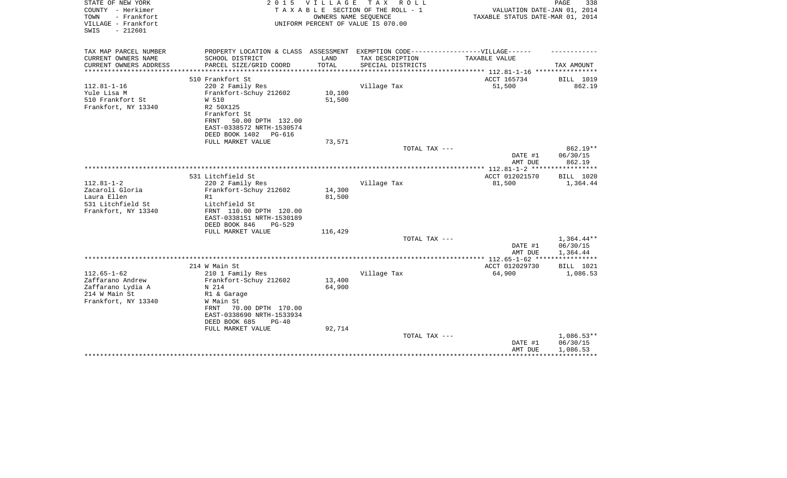| STATE OF NEW YORK<br>COUNTY - Herkimer<br>- Frankfort<br>TOWN<br>VILLAGE - Frankfort<br>$-212601$<br>SWIS | 2 0 1 5<br>V I L L A G E<br>TAX ROLL<br>TAXABLE SECTION OF THE ROLL - 1<br>OWNERS NAME SEQUENCE<br>UNIFORM PERCENT OF VALUE IS 070.00 |         |                   |                                                                                                           | PAGE<br>338<br>VALUATION DATE-JAN 01, 2014<br>TAXABLE STATUS DATE-MAR 01, 2014 |  |  |
|-----------------------------------------------------------------------------------------------------------|---------------------------------------------------------------------------------------------------------------------------------------|---------|-------------------|-----------------------------------------------------------------------------------------------------------|--------------------------------------------------------------------------------|--|--|
| TAX MAP PARCEL NUMBER<br>CURRENT OWNERS NAME<br>SCHOOL DISTRICT                                           |                                                                                                                                       | LAND    | TAX DESCRIPTION   | PROPERTY LOCATION & CLASS ASSESSMENT EXEMPTION CODE-----------------VILLAGE------<br><b>TAXABLE VALUE</b> |                                                                                |  |  |
| CURRENT OWNERS ADDRESS                                                                                    | PARCEL SIZE/GRID COORD                                                                                                                | TOTAL   | SPECIAL DISTRICTS |                                                                                                           | TAX AMOUNT                                                                     |  |  |
| ********************<br>*************************                                                         |                                                                                                                                       |         |                   |                                                                                                           |                                                                                |  |  |
| 510 Frankfort St                                                                                          |                                                                                                                                       |         |                   | ACCT 165734                                                                                               | <b>BILL</b> 1019                                                               |  |  |
| $112.81 - 1 - 16$<br>220 2 Family Res                                                                     |                                                                                                                                       |         | Village Tax       | 51,500                                                                                                    | 862.19                                                                         |  |  |
| Yule Lisa M                                                                                               | Frankfort-Schuy 212602                                                                                                                | 10,100  |                   |                                                                                                           |                                                                                |  |  |
| 510 Frankfort St<br>W 510<br>Frankfort, NY 13340<br>R2 50X125                                             |                                                                                                                                       | 51,500  |                   |                                                                                                           |                                                                                |  |  |
| Frankfort St                                                                                              |                                                                                                                                       |         |                   |                                                                                                           |                                                                                |  |  |
|                                                                                                           | FRNT 50.00 DPTH 132.00                                                                                                                |         |                   |                                                                                                           |                                                                                |  |  |
|                                                                                                           | EAST-0338572 NRTH-1530574                                                                                                             |         |                   |                                                                                                           |                                                                                |  |  |
| DEED BOOK 1402                                                                                            | PG-616                                                                                                                                |         |                   |                                                                                                           |                                                                                |  |  |
| FULL MARKET VALUE                                                                                         |                                                                                                                                       | 73,571  | TOTAL TAX ---     |                                                                                                           | 862.19**                                                                       |  |  |
|                                                                                                           |                                                                                                                                       |         |                   | DATE #1                                                                                                   | 06/30/15                                                                       |  |  |
|                                                                                                           |                                                                                                                                       |         |                   | AMT DUE                                                                                                   | 862.19                                                                         |  |  |
| 531 Litchfield St                                                                                         |                                                                                                                                       |         |                   | ACCT 012021570                                                                                            | BILL 1020                                                                      |  |  |
| $112.81 - 1 - 2$<br>220 2 Family Res                                                                      |                                                                                                                                       |         | Village Tax       | 81,500                                                                                                    | 1,364.44                                                                       |  |  |
| Zacaroli Gloria                                                                                           | Frankfort-Schuy 212602                                                                                                                | 14,300  |                   |                                                                                                           |                                                                                |  |  |
| Laura Ellen<br>R1                                                                                         |                                                                                                                                       | 81,500  |                   |                                                                                                           |                                                                                |  |  |
| 531 Litchfield St<br>Litchfield St                                                                        |                                                                                                                                       |         |                   |                                                                                                           |                                                                                |  |  |
| Frankfort, NY 13340                                                                                       | FRNT 110.00 DPTH 120.00<br>EAST-0338151 NRTH-1530189                                                                                  |         |                   |                                                                                                           |                                                                                |  |  |
| DEED BOOK 846                                                                                             | $PG-529$                                                                                                                              |         |                   |                                                                                                           |                                                                                |  |  |
| FULL MARKET VALUE                                                                                         |                                                                                                                                       | 116,429 |                   |                                                                                                           |                                                                                |  |  |
|                                                                                                           |                                                                                                                                       |         | TOTAL TAX ---     |                                                                                                           | $1,364.44**$                                                                   |  |  |
|                                                                                                           |                                                                                                                                       |         |                   | DATE #1                                                                                                   | 06/30/15                                                                       |  |  |
|                                                                                                           |                                                                                                                                       |         |                   | AMT DUE                                                                                                   | 1,364.44<br>* * * * * * * * * * * *                                            |  |  |
| 214 W Main St                                                                                             |                                                                                                                                       |         |                   | ACCT 012029730                                                                                            | BILL 1021                                                                      |  |  |
| $112.65 - 1 - 62$<br>210 1 Family Res                                                                     |                                                                                                                                       |         | Village Tax       | 64,900                                                                                                    | 1,086.53                                                                       |  |  |
| Zaffarano Andrew                                                                                          | Frankfort-Schuy 212602                                                                                                                | 13,400  |                   |                                                                                                           |                                                                                |  |  |
| Zaffarano Lydia A<br>N 214                                                                                |                                                                                                                                       | 64,900  |                   |                                                                                                           |                                                                                |  |  |
| 214 W Main St<br>R1 & Garage                                                                              |                                                                                                                                       |         |                   |                                                                                                           |                                                                                |  |  |
| Frankfort, NY 13340<br>W Main St                                                                          |                                                                                                                                       |         |                   |                                                                                                           |                                                                                |  |  |
| FRNT                                                                                                      | 70.00 DPTH 170.00<br>EAST-0338690 NRTH-1533934                                                                                        |         |                   |                                                                                                           |                                                                                |  |  |
| DEED BOOK 685                                                                                             | $PG-40$                                                                                                                               |         |                   |                                                                                                           |                                                                                |  |  |
| FULL MARKET VALUE                                                                                         |                                                                                                                                       | 92,714  |                   |                                                                                                           |                                                                                |  |  |
|                                                                                                           |                                                                                                                                       |         | TOTAL TAX ---     |                                                                                                           | $1,086.53**$                                                                   |  |  |
|                                                                                                           |                                                                                                                                       |         |                   | DATE #1                                                                                                   | 06/30/15                                                                       |  |  |
|                                                                                                           |                                                                                                                                       |         |                   | AMT DUE                                                                                                   | 1,086.53                                                                       |  |  |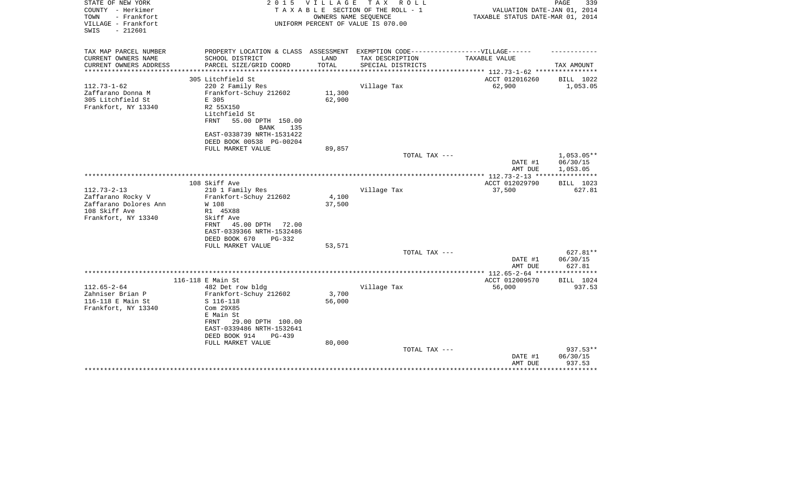| STATE OF NEW YORK<br>COUNTY - Herkimer<br>TOWN<br>- Frankfort | 2 0 1 5                                                                           | V I L L A G E | T A X<br>R O L L<br>TAXABLE SECTION OF THE ROLL - 1<br>OWNERS NAME SEOUENCE | VALUATION DATE-JAN 01, 2014<br>TAXABLE STATUS DATE-MAR 01, 2014 | PAGE<br>339         |
|---------------------------------------------------------------|-----------------------------------------------------------------------------------|---------------|-----------------------------------------------------------------------------|-----------------------------------------------------------------|---------------------|
| VILLAGE - Frankfort<br>$-212601$<br>SWIS                      |                                                                                   |               | UNIFORM PERCENT OF VALUE IS 070.00                                          |                                                                 |                     |
| TAX MAP PARCEL NUMBER                                         | PROPERTY LOCATION & CLASS ASSESSMENT EXEMPTION CODE-----------------VILLAGE------ |               |                                                                             |                                                                 |                     |
| CURRENT OWNERS NAME                                           | SCHOOL DISTRICT                                                                   | LAND          | TAX DESCRIPTION                                                             | TAXABLE VALUE                                                   |                     |
| CURRENT OWNERS ADDRESS<br>**********************              | PARCEL SIZE/GRID COORD                                                            | TOTAL         | SPECIAL DISTRICTS                                                           |                                                                 | TAX AMOUNT          |
|                                                               | 305 Litchfield St                                                                 |               |                                                                             | ACCT 012016260                                                  | BILL 1022           |
| $112.73 - 1 - 62$                                             | 220 2 Family Res                                                                  |               | Village Tax                                                                 | 62,900                                                          | 1,053.05            |
| Zaffarano Donna M                                             | Frankfort-Schuy 212602                                                            | 11,300        |                                                                             |                                                                 |                     |
| 305 Litchfield St                                             | E 305                                                                             | 62,900        |                                                                             |                                                                 |                     |
| Frankfort, NY 13340                                           | R2 55X150                                                                         |               |                                                                             |                                                                 |                     |
|                                                               | Litchfield St<br>55.00 DPTH 150.00<br>FRNT                                        |               |                                                                             |                                                                 |                     |
|                                                               | <b>BANK</b><br>135                                                                |               |                                                                             |                                                                 |                     |
|                                                               | EAST-0338739 NRTH-1531422                                                         |               |                                                                             |                                                                 |                     |
|                                                               | DEED BOOK 00538 PG-00204                                                          |               |                                                                             |                                                                 |                     |
|                                                               | FULL MARKET VALUE                                                                 | 89,857        |                                                                             |                                                                 |                     |
|                                                               |                                                                                   |               | TOTAL TAX ---                                                               |                                                                 | $1,053.05**$        |
|                                                               |                                                                                   |               |                                                                             | DATE #1                                                         | 06/30/15            |
|                                                               |                                                                                   |               |                                                                             | AMT DUE<br>**************** 112.73-2-13 *****************       | 1,053.05            |
|                                                               | 108 Skiff Ave                                                                     |               |                                                                             | ACCT 012029790                                                  | BILL 1023           |
| $112.73 - 2 - 13$                                             | 210 1 Family Res                                                                  |               | Village Tax                                                                 | 37,500                                                          | 627.81              |
| Zaffarano Rocky V                                             | Frankfort-Schuy 212602                                                            | 4,100         |                                                                             |                                                                 |                     |
| Zaffarano Dolores Ann                                         | W 108                                                                             | 37,500        |                                                                             |                                                                 |                     |
| 108 Skiff Ave                                                 | R1 45X88                                                                          |               |                                                                             |                                                                 |                     |
| Frankfort, NY 13340                                           | Skiff Ave                                                                         |               |                                                                             |                                                                 |                     |
|                                                               | 45.00 DPTH<br>FRNT<br>72.00<br>EAST-0339366 NRTH-1532486                          |               |                                                                             |                                                                 |                     |
|                                                               | DEED BOOK 670<br>$PG-332$                                                         |               |                                                                             |                                                                 |                     |
|                                                               | FULL MARKET VALUE                                                                 | 53,571        |                                                                             |                                                                 |                     |
|                                                               |                                                                                   |               | TOTAL TAX ---                                                               |                                                                 | 627.81**            |
|                                                               |                                                                                   |               |                                                                             | DATE #1                                                         | 06/30/15            |
|                                                               |                                                                                   |               |                                                                             | AMT DUE                                                         | 627.81              |
|                                                               |                                                                                   |               |                                                                             |                                                                 |                     |
| $112.65 - 2 - 64$                                             | 116-118 E Main St<br>482 Det row bldg                                             |               | Village Tax                                                                 | ACCT 012009570<br>56,000                                        | BILL 1024<br>937.53 |
| Zahniser Brian P                                              | Frankfort-Schuy 212602                                                            | 3,700         |                                                                             |                                                                 |                     |
| 116-118 E Main St                                             | S 116-118                                                                         | 56,000        |                                                                             |                                                                 |                     |
| Frankfort, NY 13340                                           | Com 29X85                                                                         |               |                                                                             |                                                                 |                     |
|                                                               | E Main St                                                                         |               |                                                                             |                                                                 |                     |
|                                                               | 29.00 DPTH 100.00<br>FRNT                                                         |               |                                                                             |                                                                 |                     |
|                                                               | EAST-0339486 NRTH-1532641                                                         |               |                                                                             |                                                                 |                     |
|                                                               | DEED BOOK 914<br>PG-439                                                           |               |                                                                             |                                                                 |                     |
|                                                               | FULL MARKET VALUE                                                                 | 80,000        | TOTAL TAX ---                                                               |                                                                 | 937.53**            |
|                                                               |                                                                                   |               |                                                                             | DATE #1                                                         | 06/30/15            |
|                                                               |                                                                                   |               |                                                                             | AMT DUE                                                         | 937.53              |
|                                                               |                                                                                   |               |                                                                             |                                                                 |                     |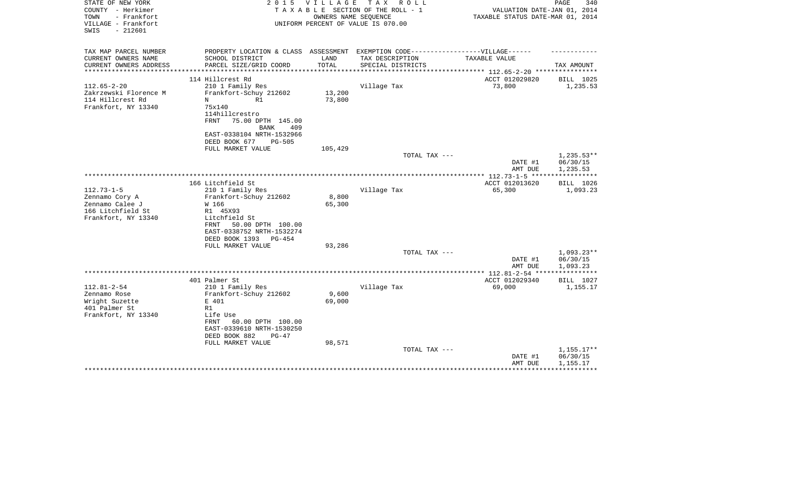| STATE OF NEW YORK<br>COUNTY - Herkimer<br>TOWN<br>- Frankfort<br>VILLAGE - Frankfort<br>$-212601$<br>SWIS | 2 0 1 5                                                                                                                                                                  | V I L L A G E<br>OWNERS NAME SEQUENCE | TAX ROLL<br>TAXABLE SECTION OF THE ROLL - 1<br>UNIFORM PERCENT OF VALUE IS 070.00 | VALUATION DATE-JAN 01, 2014<br>TAXABLE STATUS DATE-MAR 01, 2014 | PAGE<br>340                          |
|-----------------------------------------------------------------------------------------------------------|--------------------------------------------------------------------------------------------------------------------------------------------------------------------------|---------------------------------------|-----------------------------------------------------------------------------------|-----------------------------------------------------------------|--------------------------------------|
| TAX MAP PARCEL NUMBER<br>CURRENT OWNERS NAME                                                              | PROPERTY LOCATION & CLASS ASSESSMENT EXEMPTION CODE----------------VILLAGE------<br>SCHOOL DISTRICT                                                                      | LAND                                  | TAX DESCRIPTION                                                                   | TAXABLE VALUE                                                   |                                      |
| CURRENT OWNERS ADDRESS                                                                                    | PARCEL SIZE/GRID COORD                                                                                                                                                   | TOTAL                                 | SPECIAL DISTRICTS                                                                 | ****************** 112.65-2-20 ***********                      | TAX AMOUNT                           |
|                                                                                                           | 114 Hillcrest Rd                                                                                                                                                         |                                       |                                                                                   | ACCT 012029820                                                  | BILL 1025                            |
| $112.65 - 2 - 20$<br>Zakrzewski Florence M<br>114 Hillcrest Rd<br>Frankfort, NY 13340                     | 210 1 Family Res<br>Frankfort-Schuy 212602<br>R1<br>N<br>75x140<br>114hillcrestro<br><b>FRNT</b><br>75.00 DPTH 145.00<br><b>BANK</b><br>409<br>EAST-0338104 NRTH-1532966 | 13,200<br>73,800                      | Village Tax                                                                       | 73,800                                                          | 1,235.53                             |
|                                                                                                           | DEED BOOK 677<br><b>PG-505</b>                                                                                                                                           |                                       |                                                                                   |                                                                 |                                      |
|                                                                                                           | FULL MARKET VALUE                                                                                                                                                        | 105,429                               |                                                                                   |                                                                 |                                      |
|                                                                                                           |                                                                                                                                                                          |                                       | TOTAL TAX ---                                                                     | DATE #1<br>AMT DUE                                              | $1,235.53**$<br>06/30/15<br>1,235.53 |
|                                                                                                           |                                                                                                                                                                          |                                       |                                                                                   |                                                                 |                                      |
|                                                                                                           | 166 Litchfield St                                                                                                                                                        |                                       |                                                                                   | ACCT 012013620                                                  | BILL 1026                            |
| $112.73 - 1 - 5$<br>Zennamo Cory A<br>Zennamo Calee J<br>166 Litchfield St<br>Frankfort, NY 13340         | 210 1 Family Res<br>Frankfort-Schuy 212602<br>W 166<br>R1 45X93<br>Litchfield St<br>50.00 DPTH 100.00<br>FRNT<br>EAST-0338752 NRTH-1532274<br>DEED BOOK 1393<br>$PG-454$ | 8,800<br>65,300                       | Village Tax                                                                       | 65,300                                                          | 1,093.23                             |
|                                                                                                           | FULL MARKET VALUE                                                                                                                                                        | 93,286                                | TOTAL TAX ---                                                                     |                                                                 |                                      |
|                                                                                                           |                                                                                                                                                                          |                                       |                                                                                   | DATE #1<br>AMT DUE                                              | $1,093.23**$<br>06/30/15<br>1,093.23 |
|                                                                                                           |                                                                                                                                                                          |                                       |                                                                                   |                                                                 |                                      |
|                                                                                                           | 401 Palmer St                                                                                                                                                            |                                       |                                                                                   | ACCT 012029340                                                  | BILL 1027                            |
| $112.81 - 2 - 54$<br>Zennamo Rose<br>Wright Suzette<br>401 Palmer St<br>Frankfort, NY 13340               | 210 1 Family Res<br>Frankfort-Schuy 212602<br>E 401<br>R1<br>Life Use                                                                                                    | 9,600<br>69,000                       | Village Tax                                                                       | 69,000                                                          | 1,155.17                             |
|                                                                                                           | FRNT<br>60.00 DPTH 100.00<br>EAST-0339610 NRTH-1530250<br>DEED BOOK 882<br>$PG-47$                                                                                       |                                       |                                                                                   |                                                                 |                                      |
|                                                                                                           | FULL MARKET VALUE                                                                                                                                                        | 98,571                                |                                                                                   |                                                                 |                                      |
|                                                                                                           |                                                                                                                                                                          |                                       | TOTAL TAX ---                                                                     | DATE #1<br>AMT DUE                                              | $1,155.17**$<br>06/30/15<br>1,155.17 |
|                                                                                                           |                                                                                                                                                                          |                                       |                                                                                   |                                                                 |                                      |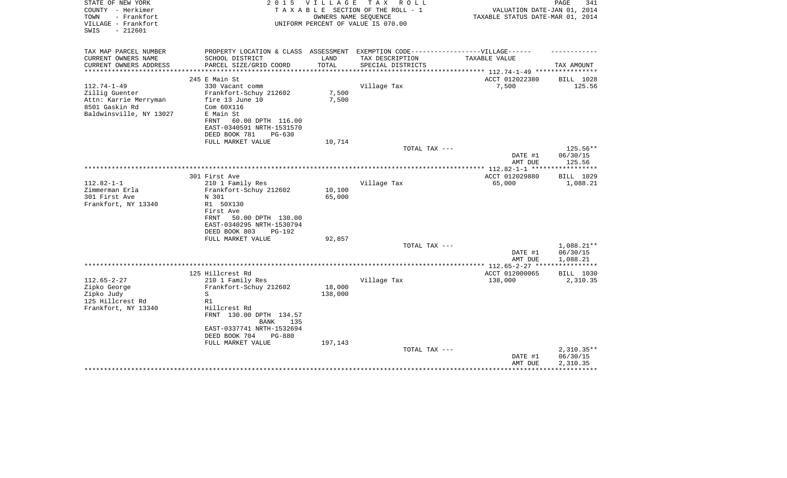| STATE OF NEW YORK<br>COUNTY - Herkimer<br>TOWN<br>- Frankfort<br>VILLAGE - Frankfort<br>$-212601$<br>SWIS | 2 0 1 5<br><b>VILLAGE</b><br>T A X<br>R O L L<br>TAXABLE SECTION OF THE ROLL - 1<br>OWNERS NAME SEOUENCE<br>UNIFORM PERCENT OF VALUE IS 070.00 |         |                   | PAGE<br>341<br>VALUATION DATE-JAN 01, 2014<br>TAXABLE STATUS DATE-MAR 01, 2014 |                          |  |
|-----------------------------------------------------------------------------------------------------------|------------------------------------------------------------------------------------------------------------------------------------------------|---------|-------------------|--------------------------------------------------------------------------------|--------------------------|--|
| TAX MAP PARCEL NUMBER                                                                                     | PROPERTY LOCATION & CLASS ASSESSMENT EXEMPTION CODE-----------------VILLAGE------                                                              |         |                   |                                                                                |                          |  |
| CURRENT OWNERS NAME                                                                                       | SCHOOL DISTRICT                                                                                                                                | LAND    | TAX DESCRIPTION   | TAXABLE VALUE                                                                  |                          |  |
| CURRENT OWNERS ADDRESS<br>**********************                                                          | PARCEL SIZE/GRID COORD                                                                                                                         | TOTAL   | SPECIAL DISTRICTS |                                                                                | TAX AMOUNT               |  |
|                                                                                                           | 245 E Main St                                                                                                                                  |         |                   | ACCT 012022380                                                                 | BILL 1028                |  |
| $112.74 - 1 - 49$                                                                                         | 330 Vacant comm                                                                                                                                |         | Village Tax       | 7,500                                                                          | 125.56                   |  |
| Zillig Guenter                                                                                            | Frankfort-Schuy 212602                                                                                                                         | 7,500   |                   |                                                                                |                          |  |
| Attn: Karrie Merryman                                                                                     | fire 13 June 10                                                                                                                                | 7,500   |                   |                                                                                |                          |  |
| 8501 Gaskin Rd                                                                                            | Com 60X116                                                                                                                                     |         |                   |                                                                                |                          |  |
| Baldwinsville, NY 13027                                                                                   | E Main St                                                                                                                                      |         |                   |                                                                                |                          |  |
|                                                                                                           | FRNT<br>60.00 DPTH 116.00                                                                                                                      |         |                   |                                                                                |                          |  |
|                                                                                                           | EAST-0340591 NRTH-1531570<br>DEED BOOK 781<br>$PG-630$                                                                                         |         |                   |                                                                                |                          |  |
|                                                                                                           | FULL MARKET VALUE                                                                                                                              | 10,714  |                   |                                                                                |                          |  |
|                                                                                                           |                                                                                                                                                |         | TOTAL TAX ---     |                                                                                | 125.56**                 |  |
|                                                                                                           |                                                                                                                                                |         |                   | DATE #1                                                                        | 06/30/15                 |  |
|                                                                                                           |                                                                                                                                                |         |                   | AMT DUE                                                                        | 125.56                   |  |
|                                                                                                           | 301 First Ave                                                                                                                                  |         |                   | ACCT 012029880                                                                 | ***********<br>BILL 1029 |  |
| $112.82 - 1 - 1$                                                                                          | 210 1 Family Res                                                                                                                               |         | Village Tax       | 65,000                                                                         | 1,088.21                 |  |
| Zimmerman Erla                                                                                            | Frankfort-Schuy 212602                                                                                                                         | 10,100  |                   |                                                                                |                          |  |
| 301 First Ave                                                                                             | N 301                                                                                                                                          | 65,000  |                   |                                                                                |                          |  |
| Frankfort, NY 13340                                                                                       | R1 50X130                                                                                                                                      |         |                   |                                                                                |                          |  |
|                                                                                                           | First Ave                                                                                                                                      |         |                   |                                                                                |                          |  |
|                                                                                                           | 50.00 DPTH 130.00<br>FRNT<br>EAST-0340295 NRTH-1530794                                                                                         |         |                   |                                                                                |                          |  |
|                                                                                                           | DEED BOOK 803<br>PG-192                                                                                                                        |         |                   |                                                                                |                          |  |
|                                                                                                           | FULL MARKET VALUE                                                                                                                              | 92,857  |                   |                                                                                |                          |  |
|                                                                                                           |                                                                                                                                                |         | TOTAL TAX ---     |                                                                                | 1,088.21**               |  |
|                                                                                                           |                                                                                                                                                |         |                   | DATE #1                                                                        | 06/30/15                 |  |
|                                                                                                           |                                                                                                                                                |         |                   | AMT DUE                                                                        | 1,088.21                 |  |
|                                                                                                           | 125 Hillcrest Rd                                                                                                                               |         |                   | ACCT 012000065                                                                 | BILL 1030                |  |
| $112.65 - 2 - 27$                                                                                         | 210 1 Family Res                                                                                                                               |         | Village Tax       | 138,000                                                                        | 2,310.35                 |  |
| Zipko George                                                                                              | Frankfort-Schuy 212602                                                                                                                         | 18,000  |                   |                                                                                |                          |  |
| Zipko Judy                                                                                                | S                                                                                                                                              | 138,000 |                   |                                                                                |                          |  |
| 125 Hillcrest Rd                                                                                          | R1                                                                                                                                             |         |                   |                                                                                |                          |  |
| Frankfort, NY 13340                                                                                       | Hillcrest Rd                                                                                                                                   |         |                   |                                                                                |                          |  |
|                                                                                                           | FRNT 130.00 DPTH 134.57                                                                                                                        |         |                   |                                                                                |                          |  |
|                                                                                                           | <b>BANK</b><br>135                                                                                                                             |         |                   |                                                                                |                          |  |
|                                                                                                           | EAST-0337741 NRTH-1532694<br>DEED BOOK 704<br>$PG-880$                                                                                         |         |                   |                                                                                |                          |  |
|                                                                                                           | FULL MARKET VALUE                                                                                                                              | 197,143 |                   |                                                                                |                          |  |
|                                                                                                           |                                                                                                                                                |         | TOTAL TAX ---     |                                                                                | $2,310.35**$             |  |
|                                                                                                           |                                                                                                                                                |         |                   | DATE #1                                                                        | 06/30/15                 |  |
|                                                                                                           |                                                                                                                                                |         |                   | AMT DUE                                                                        | 2,310.35                 |  |
|                                                                                                           |                                                                                                                                                |         |                   |                                                                                |                          |  |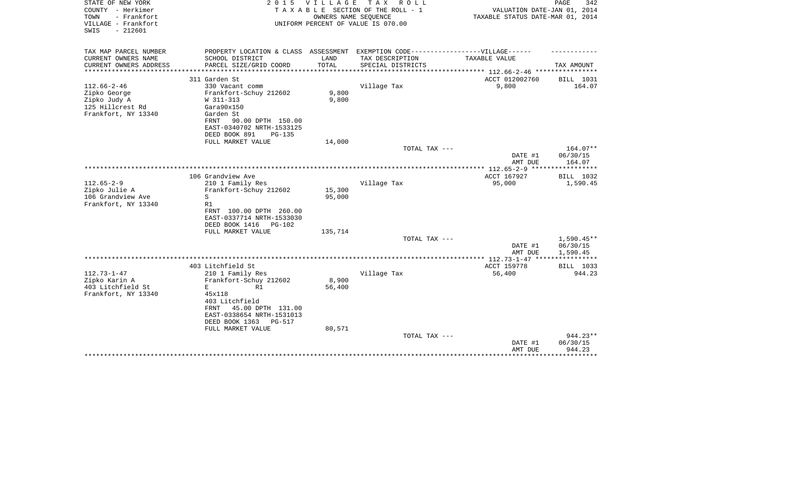| STATE OF NEW YORK<br>COUNTY - Herkimer<br>- Frankfort<br>TOWN<br>VILLAGE - Frankfort<br>$-212601$<br>SWIS | 2 0 1 5<br><b>VILLAGE</b><br>TAX ROLL<br>TAXABLE SECTION OF THE ROLL - 1<br>OWNERS NAME SEQUENCE<br>UNIFORM PERCENT OF VALUE IS 070.00 |         |                   | PAGE<br>342<br>VALUATION DATE-JAN 01, 2014<br>TAXABLE STATUS DATE-MAR 01, 2014 |                                |  |
|-----------------------------------------------------------------------------------------------------------|----------------------------------------------------------------------------------------------------------------------------------------|---------|-------------------|--------------------------------------------------------------------------------|--------------------------------|--|
| TAX MAP PARCEL NUMBER<br>CURRENT OWNERS NAME                                                              | PROPERTY LOCATION & CLASS ASSESSMENT EXEMPTION CODE-----------------VILLAGE------<br>SCHOOL DISTRICT                                   | LAND    | TAX DESCRIPTION   | TAXABLE VALUE                                                                  |                                |  |
| CURRENT OWNERS ADDRESS                                                                                    | PARCEL SIZE/GRID COORD                                                                                                                 | TOTAL   | SPECIAL DISTRICTS |                                                                                | TAX AMOUNT                     |  |
|                                                                                                           | *****************                                                                                                                      |         |                   | ******* 112.66-2-46 *****************                                          |                                |  |
|                                                                                                           | 311 Garden St                                                                                                                          |         |                   | ACCT 012002760                                                                 | BILL 1031                      |  |
| $112.66 - 2 - 46$                                                                                         | 330 Vacant comm                                                                                                                        |         | Village Tax       | 9,800                                                                          | 164.07                         |  |
| Zipko George                                                                                              | Frankfort-Schuy 212602                                                                                                                 | 9,800   |                   |                                                                                |                                |  |
| Zipko Judy A<br>125 Hillcrest Rd                                                                          | W 311-313<br>Gara90x150                                                                                                                | 9,800   |                   |                                                                                |                                |  |
| Frankfort, NY 13340                                                                                       | Garden St                                                                                                                              |         |                   |                                                                                |                                |  |
|                                                                                                           | FRNT<br>90.00 DPTH 150.00                                                                                                              |         |                   |                                                                                |                                |  |
|                                                                                                           | EAST-0340702 NRTH-1533125                                                                                                              |         |                   |                                                                                |                                |  |
|                                                                                                           | DEED BOOK 891<br>PG-135                                                                                                                |         |                   |                                                                                |                                |  |
|                                                                                                           | FULL MARKET VALUE                                                                                                                      | 14,000  |                   |                                                                                |                                |  |
|                                                                                                           |                                                                                                                                        |         | TOTAL TAX ---     | DATE #1<br>AMT DUE                                                             | 164.07**<br>06/30/15<br>164.07 |  |
|                                                                                                           |                                                                                                                                        |         |                   | *** 112.65-2-9 ***                                                             | *********                      |  |
|                                                                                                           | 106 Grandview Ave                                                                                                                      |         |                   | ACCT 167927                                                                    | BILL 1032                      |  |
| $112.65 - 2 - 9$                                                                                          | 210 1 Family Res                                                                                                                       |         | Village Tax       | 95,000                                                                         | 1,590.45                       |  |
| Zipko Julie A                                                                                             | Frankfort-Schuy 212602                                                                                                                 | 15,300  |                   |                                                                                |                                |  |
| 106 Grandview Ave                                                                                         | S                                                                                                                                      | 95,000  |                   |                                                                                |                                |  |
| Frankfort, NY 13340                                                                                       | R1                                                                                                                                     |         |                   |                                                                                |                                |  |
|                                                                                                           | FRNT 100.00 DPTH 260.00<br>EAST-0337714 NRTH-1533030                                                                                   |         |                   |                                                                                |                                |  |
|                                                                                                           | DEED BOOK 1416<br><b>PG-102</b>                                                                                                        |         |                   |                                                                                |                                |  |
|                                                                                                           | FULL MARKET VALUE                                                                                                                      | 135,714 |                   |                                                                                |                                |  |
|                                                                                                           |                                                                                                                                        |         | TOTAL TAX ---     |                                                                                | $1,590.45**$                   |  |
|                                                                                                           |                                                                                                                                        |         |                   | DATE #1                                                                        | 06/30/15                       |  |
|                                                                                                           |                                                                                                                                        |         |                   | AMT DUE                                                                        | 1,590.45                       |  |
|                                                                                                           |                                                                                                                                        |         |                   |                                                                                | ***********                    |  |
| $112.73 - 1 - 47$                                                                                         | 403 Litchfield St<br>210 1 Family Res                                                                                                  |         | Village Tax       | ACCT 159778<br>56,400                                                          | BILL 1033<br>944.23            |  |
| Zipko Karin A                                                                                             | Frankfort-Schuy 212602                                                                                                                 | 8,900   |                   |                                                                                |                                |  |
| 403 Litchfield St                                                                                         | E<br>R1                                                                                                                                | 56,400  |                   |                                                                                |                                |  |
| Frankfort, NY 13340                                                                                       | 45x118                                                                                                                                 |         |                   |                                                                                |                                |  |
|                                                                                                           | 403 Litchfield                                                                                                                         |         |                   |                                                                                |                                |  |
|                                                                                                           | 45.00 DPTH 131.00<br>FRNT                                                                                                              |         |                   |                                                                                |                                |  |
|                                                                                                           | EAST-0338654 NRTH-1531013                                                                                                              |         |                   |                                                                                |                                |  |
|                                                                                                           | DEED BOOK 1363<br>PG-517                                                                                                               |         |                   |                                                                                |                                |  |
|                                                                                                           | FULL MARKET VALUE                                                                                                                      | 80,571  | TOTAL TAX ---     |                                                                                | $944.23**$                     |  |
|                                                                                                           |                                                                                                                                        |         |                   | DATE #1                                                                        | 06/30/15                       |  |
|                                                                                                           |                                                                                                                                        |         |                   | AMT DUE                                                                        | 944.23                         |  |
|                                                                                                           |                                                                                                                                        |         |                   |                                                                                |                                |  |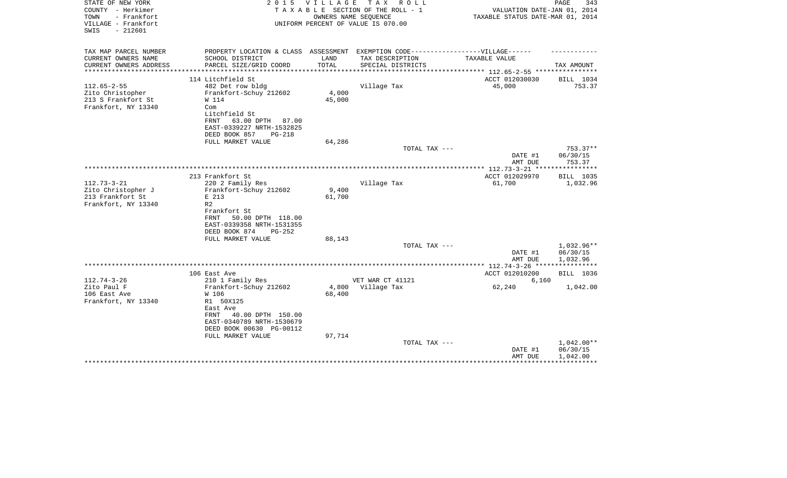| STATE OF NEW YORK<br>COUNTY - Herkimer<br>- Frankfort<br>TOWN<br>VILLAGE - Frankfort<br>$-212601$<br>SWIS | 2 0 1 5<br>V I L L A G E<br>TAX ROLL<br>TAXABLE SECTION OF THE ROLL - 1<br>OWNERS NAME SEQUENCE<br>UNIFORM PERCENT OF VALUE IS 070.00                                                  |                 |                   | PAGE<br>343<br>VALUATION DATE-JAN 01, 2014<br>TAXABLE STATUS DATE-MAR 01, 2014 |                       |  |
|-----------------------------------------------------------------------------------------------------------|----------------------------------------------------------------------------------------------------------------------------------------------------------------------------------------|-----------------|-------------------|--------------------------------------------------------------------------------|-----------------------|--|
| TAX MAP PARCEL NUMBER<br>CURRENT OWNERS NAME                                                              | PROPERTY LOCATION & CLASS ASSESSMENT EXEMPTION CODE-----------------VILLAGE------<br>SCHOOL DISTRICT                                                                                   | LAND            | TAX DESCRIPTION   | TAXABLE VALUE                                                                  |                       |  |
| CURRENT OWNERS ADDRESS                                                                                    | PARCEL SIZE/GRID COORD                                                                                                                                                                 | TOTAL           | SPECIAL DISTRICTS |                                                                                | TAX AMOUNT            |  |
| ********************                                                                                      |                                                                                                                                                                                        |                 |                   | ***************** 112.65-2-55 *****************                                |                       |  |
| $112.65 - 2 - 55$<br>Zito Christopher<br>213 S Frankfort St<br>Frankfort, NY 13340                        | 114 Litchfield St<br>482 Det row bldg<br>Frankfort-Schuy 212602<br>W 114<br>Com<br>Litchfield St<br>63.00 DPTH 87.00<br>FRNT<br>EAST-0339227 NRTH-1532825<br>DEED BOOK 857<br>$PG-218$ | 4,000<br>45,000 | Village Tax       | ACCT 012030030<br>45,000                                                       | BILL 1034<br>753.37   |  |
|                                                                                                           | FULL MARKET VALUE                                                                                                                                                                      | 64,286          |                   |                                                                                |                       |  |
|                                                                                                           |                                                                                                                                                                                        |                 | TOTAL TAX ---     |                                                                                | $753.37**$            |  |
|                                                                                                           |                                                                                                                                                                                        |                 |                   | DATE #1<br>AMT DUE                                                             | 06/30/15<br>753.37    |  |
|                                                                                                           |                                                                                                                                                                                        |                 |                   |                                                                                |                       |  |
| $112.73 - 3 - 21$<br>Zito Christopher J                                                                   | 213 Frankfort St<br>220 2 Family Res<br>Frankfort-Schuy 212602                                                                                                                         | 9,400           | Village Tax       | ACCT 012029970<br>61,700                                                       | BILL 1035<br>1,032.96 |  |
| 213 Frankfort St<br>Frankfort, NY 13340                                                                   | E 213<br>R <sub>2</sub><br>Frankfort St<br>50.00 DPTH 118.00<br>FRNT<br>EAST-0339358 NRTH-1531355<br>DEED BOOK 874<br>$PG-252$                                                         | 61,700          |                   |                                                                                |                       |  |
|                                                                                                           | FULL MARKET VALUE                                                                                                                                                                      | 88,143          | TOTAL TAX ---     |                                                                                | 1,032.96**            |  |
|                                                                                                           |                                                                                                                                                                                        |                 |                   | DATE #1<br>AMT DUE                                                             | 06/30/15<br>1,032.96  |  |
|                                                                                                           |                                                                                                                                                                                        |                 |                   |                                                                                |                       |  |
| $112.74 - 3 - 26$                                                                                         | 106 East Ave<br>210 1 Family Res                                                                                                                                                       |                 | VET WAR CT 41121  | ACCT 012010200                                                                 | BILL 1036             |  |
| Zito Paul F<br>106 East Ave<br>Frankfort, NY 13340                                                        | Frankfort-Schuy 212602<br>W 106<br>R1 50X125<br>East Ave<br>FRNT<br>40.00 DPTH 150.00                                                                                                  | 4,800<br>68,400 | Village Tax       | 6,160<br>62,240                                                                | 1,042.00              |  |
|                                                                                                           | EAST-0340789 NRTH-1530679<br>DEED BOOK 00630 PG-00112<br>FULL MARKET VALUE                                                                                                             | 97,714          | TOTAL TAX ---     |                                                                                | $1,042.00**$          |  |
|                                                                                                           |                                                                                                                                                                                        |                 |                   | DATE #1<br>AMT DUE                                                             | 06/30/15<br>1,042.00  |  |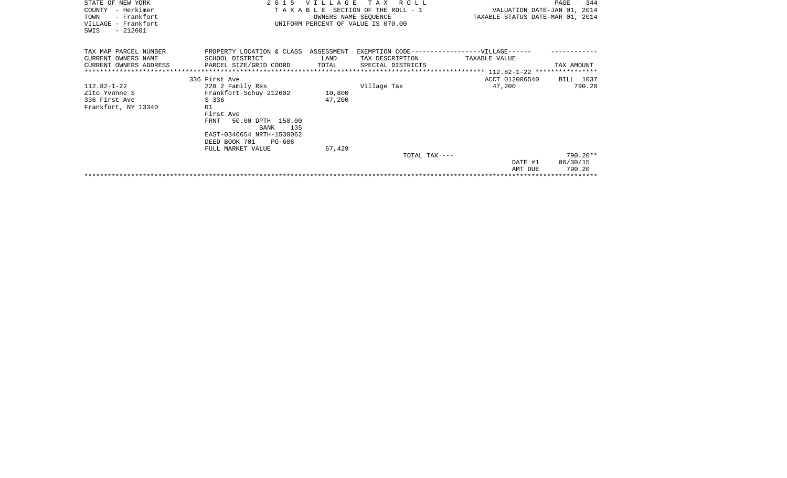| STATE OF NEW YORK<br>COUNTY - Herkimer<br>- Frankfort<br>TOWN<br>VILLAGE - Frankfort<br>SWIS<br>$-212601$ | T A X<br>2 0 1 5<br>ROLL<br>VILLAGE<br>TAXABLE SECTION OF THE ROLL - 1<br>OWNERS NAME SEQUENCE<br>UNIFORM PERCENT OF VALUE IS 070.00 |               |                                      | VALUATION DATE-JAN 01, 2014<br>TAXABLE STATUS DATE-MAR 01, 2014 | 344<br>PAGE |
|-----------------------------------------------------------------------------------------------------------|--------------------------------------------------------------------------------------------------------------------------------------|---------------|--------------------------------------|-----------------------------------------------------------------|-------------|
| TAX MAP PARCEL NUMBER<br>CURRENT OWNERS NAME<br>CURRENT OWNERS ADDRESS                                    | PROPERTY LOCATION & CLASS ASSESSMENT EXEMPTION CODE-----------------VILLAGE------<br>SCHOOL DISTRICT<br>PARCEL SIZE/GRID COORD       | LAND<br>TOTAL | TAX DESCRIPTION<br>SPECIAL DISTRICTS | TAXABLE VALUE                                                   | TAX AMOUNT  |
|                                                                                                           | 336 First Ave                                                                                                                        |               |                                      | ACCT 012006540                                                  | BILL 1037   |
| $112.82 - 1 - 22$                                                                                         | 220 2 Family Res                                                                                                                     |               | Village Tax                          | 47,200                                                          | 790.20      |
| Zito Yvonne S                                                                                             | Frankfort-Schuy 212602                                                                                                               | 10,800        |                                      |                                                                 |             |
| 336 First Ave                                                                                             | S 336                                                                                                                                | 47,200        |                                      |                                                                 |             |
| Frankfort, NY 13340                                                                                       | R1<br>First Ave<br>50.00 DPTH 150.00<br>FRNT<br>BANK 135<br>EAST-0340654 NRTH-1530062<br>DEED BOOK 701<br>PG-606                     |               |                                      |                                                                 |             |
|                                                                                                           | FULL MARKET VALUE                                                                                                                    | 67,429        |                                      |                                                                 |             |
|                                                                                                           |                                                                                                                                      |               | TOTAL TAX ---                        |                                                                 | 790.20**    |
|                                                                                                           |                                                                                                                                      |               |                                      | DATE #1                                                         | 06/30/15    |
|                                                                                                           |                                                                                                                                      |               |                                      | AMT DUE                                                         | 790.20      |
|                                                                                                           |                                                                                                                                      |               |                                      |                                                                 |             |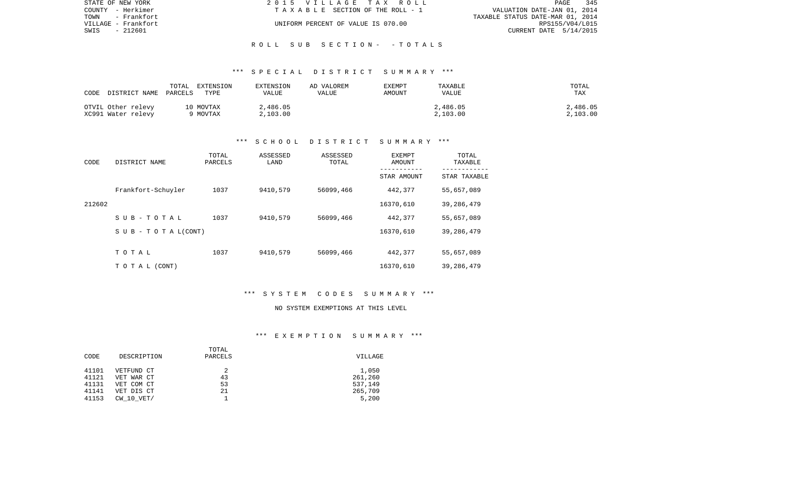| STATE OF NEW YORK   | 2015 VILLAGE TAX ROLL              | 345<br>PAGE                      |
|---------------------|------------------------------------|----------------------------------|
| COUNTY - Herkimer   | TAXABLE SECTION OF THE ROLL - 1    | VALUATION DATE-JAN 01, 2014      |
| TOWN<br>– Frankfort |                                    | TAXABLE STATUS DATE-MAR 01, 2014 |
| VILLAGE - Frankfort | UNIFORM PERCENT OF VALUE IS 070.00 | RPS155/V04/L015                  |
| - 212601<br>SWIS    |                                    | CURRENT DATE 5/14/2015           |
|                     |                                    |                                  |

R O L L S U B S E C T I O N - - T O T A L S

| CODE<br>DISTRICT NAME PARCELS            | TOTAL<br>EXTENSION<br>TYPE | EXTENSION<br>VALUE   | AD VALOREM<br>VALUE | EXEMPT<br>AMOUNT | TAXABLE<br>VALUE     | TOTAL<br><b>TAX</b>  |
|------------------------------------------|----------------------------|----------------------|---------------------|------------------|----------------------|----------------------|
| OTVIL Other relevy<br>XC991 Water relevy | 10 MOVTAX<br>9 MOVTAX      | 2,486.05<br>2,103.00 |                     |                  | 2,486.05<br>2,103.00 | 2,486.05<br>2,103.00 |

#### \*\*\* S C H O O L D I S T R I C T S U M M A R Y \*\*\*

| CODE   | DISTRICT NAME                    | TOTAL<br>PARCELS | ASSESSED<br>LAND | ASSESSED<br>TOTAL | EXEMPT<br>AMOUNT | TOTAL<br>TAXABLE |
|--------|----------------------------------|------------------|------------------|-------------------|------------------|------------------|
|        |                                  |                  |                  |                   | STAR AMOUNT      | STAR TAXABLE     |
|        | Frankfort-Schuyler               | 1037             | 9410,579         | 56099,466         | 442,377          | 55,657,089       |
| 212602 |                                  |                  |                  |                   | 16370,610        | 39, 286, 479     |
|        | SUB-TOTAL                        | 1037             | 9410,579         | 56099,466         | 442,377          | 55,657,089       |
|        | $S \cup B - T \cup T A L (CONT)$ |                  |                  |                   | 16370,610        | 39, 286, 479     |
|        |                                  |                  |                  |                   |                  |                  |
|        | TOTAL                            | 1037             | 9410,579         | 56099,466         | 442,377          | 55,657,089       |
|        | T O T A L (CONT)                 |                  |                  |                   | 16370,610        | 39,286,479       |

## \*\*\* S Y S T E M C O D E S S U M M A R Y \*\*\*

#### NO SYSTEM EXEMPTIONS AT THIS LEVEL

#### \*\*\* E X E M P T I O N S U M M A R Y \*\*\*

|       |                | TOTAL   |         |
|-------|----------------|---------|---------|
| CODE  | DESCRIPTION    | PARCELS | VILLAGE |
|       |                |         |         |
| 41101 | VETFUND CT     |         | 1,050   |
| 41121 | VET WAR CT     | 43      | 261,260 |
| 41131 | VET COM CT     | 53      | 537,149 |
| 41141 | VET DIS CT     | 21      | 265,709 |
| 41153 | $CW$ 10 $VET/$ |         | 5,200   |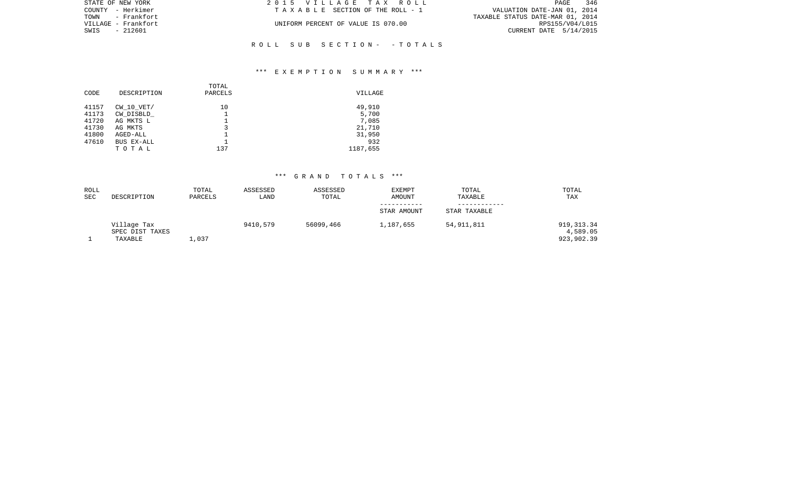| STATE OF NEW YORK   | 2015 VILLAGE TAX ROLL              | 346<br>PAGE                      |
|---------------------|------------------------------------|----------------------------------|
| COUNTY - Herkimer   | TAXABLE SECTION OF THE ROLL - 1    | VALUATION DATE-JAN 01, 2014      |
| TOWN - Frankfort    |                                    | TAXABLE STATUS DATE-MAR 01, 2014 |
| VILLAGE - Frankfort | UNIFORM PERCENT OF VALUE IS 070.00 | RPS155/V04/L015                  |
| SWIS - 212601       |                                    | CURRENT DATE 5/14/2015           |
|                     |                                    |                                  |

### \*\*\* E X E M P T I O N S U M M A R Y \*\*\*

R O L L S U B S E C T I O N - - T O T A L S

| CODE  | DESCRIPTION    | TOTAL<br>PARCELS | VILLAGE  |
|-------|----------------|------------------|----------|
| 41157 | $CW$ 10 $VET/$ | 10               | 49,910   |
| 41173 | CW DISBLD      |                  | 5,700    |
| 41720 | AG MKTS L      |                  | 7,085    |
| 41730 | AG MKTS        | 3                | 21,710   |
| 41800 | AGED-ALL       |                  | 31,950   |
| 47610 | BUS EX-ALL     |                  | 932      |
|       | TOTAL          | 137              | 1187,655 |

| ROLL<br><b>SEC</b> | DESCRIPTION     | TOTAL<br>PARCELS | ASSESSED<br>LAND | ASSESSED<br>TOTAL | <b>EXEMPT</b><br>AMOUNT | TOTAL<br>TAXABLE | TOTAL<br>TAX |
|--------------------|-----------------|------------------|------------------|-------------------|-------------------------|------------------|--------------|
|                    |                 |                  |                  |                   |                         |                  |              |
|                    |                 |                  |                  |                   | STAR AMOUNT             | STAR TAXABLE     |              |
|                    | Village Tax     |                  | 9410,579         | 56099,466         | 1,187,655               | 54,911,811       | 919, 313.34  |
|                    | SPEC DIST TAXES |                  |                  |                   |                         |                  | 4,589.05     |
|                    | TAXABLE         | $\perp$ , 037    |                  |                   |                         |                  | 923,902.39   |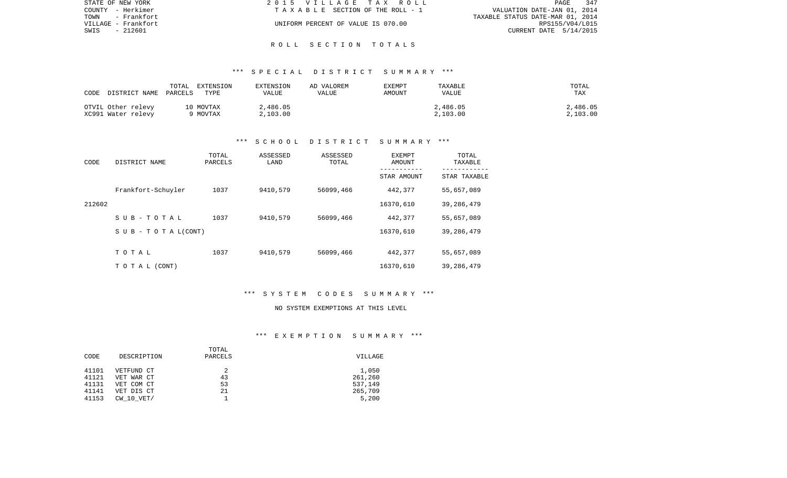| STATE OF NEW YORK   | 2015 VILLAGE TAX ROLL              | 347<br>PAGE                      |
|---------------------|------------------------------------|----------------------------------|
| COUNTY - Herkimer   | TAXABLE SECTION OF THE ROLL - 1    | VALUATION DATE-JAN 01, 2014      |
| - Frankfort<br>TOWN |                                    | TAXABLE STATUS DATE-MAR 01, 2014 |
| VILLAGE - Frankfort | UNIFORM PERCENT OF VALUE IS 070.00 | RPS155/V04/L015                  |
| SWIS<br>- 212601    |                                    | CURRENT DATE 5/14/2015           |
|                     |                                    |                                  |

# R O L L S E C T I O N T O T A L S

#### \*\*\* S P E C I A L D I S T R I C T S U M M A R Y \*\*\*

| CODE                                     | TOTAL<br>EXTENSION<br>DISTRICT NAME PARCELS TYPE | EXTENSION<br>VALUE   | AD VALOREM<br>VALUE | EXEMPT<br>AMOUNT | TAXABLE<br><b>VALUE</b> | TOTAL<br><b>TAX</b>  |
|------------------------------------------|--------------------------------------------------|----------------------|---------------------|------------------|-------------------------|----------------------|
| OTVIL Other relevy<br>XC991 Water relevy | 10 MOVTAX<br>9 MOVTAX                            | 2,486.05<br>2.103.00 |                     |                  | 2,486.05<br>2,103.00    | 2,486.05<br>2.103.00 |

#### \*\*\* S C H O O L D I S T R I C T S U M M A R Y \*\*\*

| CODE   | DISTRICT NAME             | TOTAL<br>PARCELS | ASSESSED<br>LAND | ASSESSED<br>TOTAL | <b>EXEMPT</b><br>AMOUNT<br>----------- | TOTAL<br>TAXABLE |
|--------|---------------------------|------------------|------------------|-------------------|----------------------------------------|------------------|
|        |                           |                  |                  |                   | STAR AMOUNT                            | STAR TAXABLE     |
|        | Frankfort-Schuyler        | 1037             | 9410,579         | 56099,466         | 442,377                                | 55,657,089       |
| 212602 |                           |                  |                  |                   | 16370,610                              | 39,286,479       |
|        | $S$ U B - T O T A L       | 1037             | 9410,579         | 56099,466         | 442,377                                | 55,657,089       |
|        | S U B - T O T A $L(CONT)$ |                  |                  |                   | 16370,610                              | 39,286,479       |
|        |                           |                  |                  |                   |                                        |                  |
|        | TOTAL                     | 1037             | 9410,579         | 56099,466         | 442,377                                | 55,657,089       |
|        | TO TAL (CONT)             |                  |                  |                   | 16370,610                              | 39,286,479       |

# \*\*\* S Y S T E M C O D E S S U M M A R Y \*\*\*

#### NO SYSTEM EXEMPTIONS AT THIS LEVEL

#### \*\*\* E X E M P T I O N S U M M A R Y \*\*\*

|       |                | TOTAL   |         |
|-------|----------------|---------|---------|
| CODE  | DESCRIPTION    | PARCELS | VILLAGE |
|       |                |         |         |
| 41101 | VETFUND CT     |         | 1,050   |
| 41121 | VET WAR CT     | 43      | 261,260 |
| 41131 | VET COM CT     | 53      | 537,149 |
| 41141 | VET DIS CT     | 21      | 265,709 |
| 41153 | $CW$ 10 $VET/$ |         | 5,200   |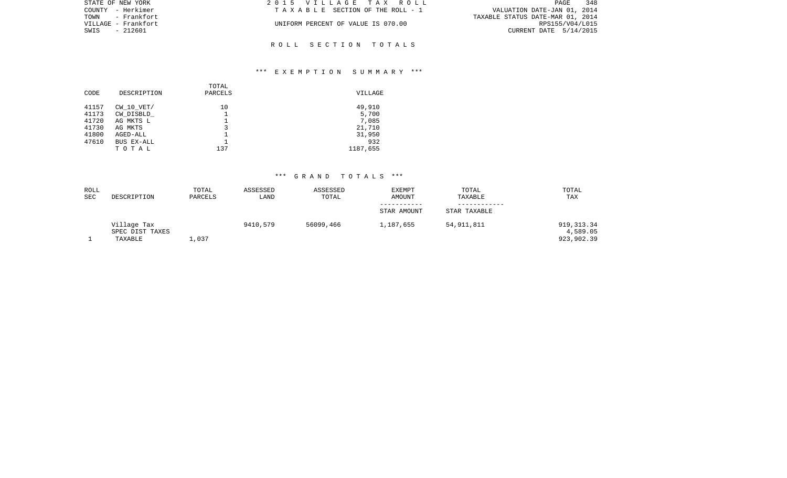| STATE OF NEW YORK   | 2015 VILLAGE TAX ROLL              | 348<br>PAGE                      |
|---------------------|------------------------------------|----------------------------------|
| COUNTY - Herkimer   | TAXABLE SECTION OF THE ROLL - 1    | VALUATION DATE-JAN 01, 2014      |
| TOWN - Frankfort    |                                    | TAXABLE STATUS DATE-MAR 01, 2014 |
| VILLAGE - Frankfort | UNIFORM PERCENT OF VALUE IS 070.00 | RPS155/V04/L015                  |
| SWIS<br>- 212601    |                                    | CURRENT DATE $5/14/2015$         |
|                     |                                    |                                  |
|                     | ROLL SECTION TOTALS                |                                  |

### \*\*\* E X E M P T I O N S U M M A R Y \*\*\*

| CODE  | DESCRIPTION    | TOTAL<br>PARCELS | VILLAGE  |
|-------|----------------|------------------|----------|
| 41157 | $CW$ 10 $VET/$ | 10               | 49,910   |
| 41173 | CW DISBLD      |                  | 5,700    |
| 41720 | AG MKTS L      |                  | 7,085    |
| 41730 | AG MKTS        |                  | 21,710   |
| 41800 | AGED-ALL       |                  | 31,950   |
| 47610 | BUS EX-ALL     |                  | 932      |
|       | TOTAL          | 137              | 1187,655 |
|       |                |                  |          |

| ROLL<br><b>SEC</b> | DESCRIPTION     | TOTAL<br>PARCELS | ASSESSED<br>LAND | ASSESSED<br>TOTAL | <b>EXEMPT</b><br><b>AMOUNT</b> | TOTAL<br>TAXABLE | TOTAL<br>TAX |
|--------------------|-----------------|------------------|------------------|-------------------|--------------------------------|------------------|--------------|
|                    |                 |                  |                  |                   |                                |                  |              |
|                    |                 |                  |                  |                   | STAR AMOUNT                    | STAR TAXABLE     |              |
|                    | Village Tax     |                  | 9410,579         | 56099,466         | 1,187,655                      | 54,911,811       | 919,313.34   |
|                    | SPEC DIST TAXES |                  |                  |                   |                                |                  | 4,589.05     |
|                    | TAXABLE         | 1,037            |                  |                   |                                |                  | 923,902.39   |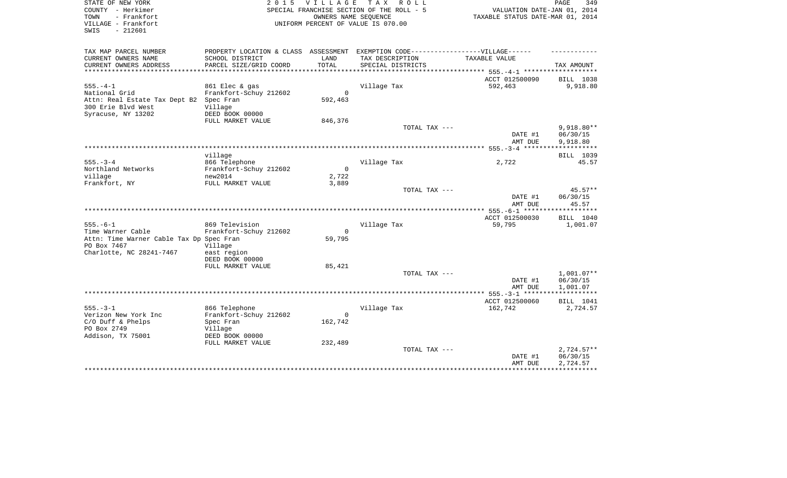| STATE OF NEW YORK<br>COUNTY - Herkimer<br>- Frankfort<br>TOWN<br>VILLAGE - Frankfort<br>$-212601$<br>SWIS | 2 0 1 5                              | VILLAGE TAX | R O L L<br>SPECIAL FRANCHISE SECTION OF THE ROLL - 5<br>OWNERS NAME SEQUENCE<br>UNIFORM PERCENT OF VALUE IS 070.00 | VALUATION DATE-JAN 01, 2014<br>TAXABLE STATUS DATE-MAR 01, 2014 | PAGE<br>349       |
|-----------------------------------------------------------------------------------------------------------|--------------------------------------|-------------|--------------------------------------------------------------------------------------------------------------------|-----------------------------------------------------------------|-------------------|
| TAX MAP PARCEL NUMBER                                                                                     | PROPERTY LOCATION & CLASS ASSESSMENT |             | EXEMPTION CODE------------------VILLAGE------                                                                      |                                                                 |                   |
| CURRENT OWNERS NAME                                                                                       | SCHOOL DISTRICT                      | LAND        | TAX DESCRIPTION                                                                                                    | TAXABLE VALUE                                                   |                   |
| CURRENT OWNERS ADDRESS                                                                                    | PARCEL SIZE/GRID COORD               | TOTAL       | SPECIAL DISTRICTS                                                                                                  |                                                                 | TAX AMOUNT        |
| ******************************                                                                            |                                      |             |                                                                                                                    |                                                                 |                   |
|                                                                                                           |                                      |             |                                                                                                                    | ACCT 012500090                                                  | BILL 1038         |
| $555. - 4 - 1$                                                                                            | 861 Elec & gas                       |             | Village Tax                                                                                                        | 592,463                                                         | 9,918.80          |
| National Grid                                                                                             | Frankfort-Schuy 212602               | 0           |                                                                                                                    |                                                                 |                   |
| Attn: Real Estate Tax Dept B2 Spec Fran                                                                   |                                      | 592,463     |                                                                                                                    |                                                                 |                   |
| 300 Erie Blvd West                                                                                        | Village                              |             |                                                                                                                    |                                                                 |                   |
| Syracuse, NY 13202                                                                                        | DEED BOOK 00000                      |             |                                                                                                                    |                                                                 |                   |
|                                                                                                           | FULL MARKET VALUE                    | 846,376     |                                                                                                                    |                                                                 | $9,918.80**$      |
|                                                                                                           |                                      |             | TOTAL TAX ---                                                                                                      | DATE #1                                                         | 06/30/15          |
|                                                                                                           |                                      |             |                                                                                                                    | AMT DUE                                                         | 9,918.80          |
|                                                                                                           |                                      |             |                                                                                                                    |                                                                 |                   |
|                                                                                                           | village                              |             |                                                                                                                    |                                                                 | BILL 1039         |
| $555. - 3 - 4$                                                                                            | 866 Telephone                        |             | Village Tax                                                                                                        | 2,722                                                           | 45.57             |
| Northland Networks                                                                                        | Frankfort-Schuy 212602               | $\Omega$    |                                                                                                                    |                                                                 |                   |
| village                                                                                                   | new2014                              | 2,722       |                                                                                                                    |                                                                 |                   |
| Frankfort, NY                                                                                             | FULL MARKET VALUE                    | 3,889       |                                                                                                                    |                                                                 |                   |
|                                                                                                           |                                      |             | TOTAL TAX ---                                                                                                      |                                                                 | $45.57**$         |
|                                                                                                           |                                      |             |                                                                                                                    | DATE #1<br>AMT DUE                                              | 06/30/15<br>45.57 |
|                                                                                                           |                                      |             |                                                                                                                    |                                                                 |                   |
|                                                                                                           |                                      |             |                                                                                                                    | ACCT 012500030                                                  | BILL 1040         |
| $555. - 6 - 1$                                                                                            | 869 Television                       |             | Village Tax                                                                                                        | 59,795                                                          | 1,001.07          |
| Time Warner Cable                                                                                         | Frankfort-Schuy 212602               | $\Omega$    |                                                                                                                    |                                                                 |                   |
| Attn: Time Warner Cable Tax Dp Spec Fran<br>PO Box 7467                                                   | Village                              | 59,795      |                                                                                                                    |                                                                 |                   |
| Charlotte, NC 28241-7467                                                                                  | east region                          |             |                                                                                                                    |                                                                 |                   |
|                                                                                                           | DEED BOOK 00000                      |             |                                                                                                                    |                                                                 |                   |
|                                                                                                           | FULL MARKET VALUE                    | 85,421      |                                                                                                                    |                                                                 |                   |
|                                                                                                           |                                      |             | TOTAL TAX ---                                                                                                      |                                                                 | $1,001.07**$      |
|                                                                                                           |                                      |             |                                                                                                                    | DATE #1                                                         | 06/30/15          |
|                                                                                                           |                                      |             |                                                                                                                    | AMT DUE                                                         | 1,001.07          |
|                                                                                                           |                                      |             |                                                                                                                    | ******************* 555.-3-1 ********************               |                   |
|                                                                                                           |                                      |             |                                                                                                                    | ACCT 012500060                                                  | BILL 1041         |
| $555. - 3 - 1$                                                                                            | 866 Telephone                        |             | Village Tax                                                                                                        | 162,742                                                         | 2,724.57          |
| Verizon New York Inc                                                                                      | Frankfort-Schuy 212602               | $\Omega$    |                                                                                                                    |                                                                 |                   |
| $C/O$ Duff & Phelps<br>PO Box 2749                                                                        | Spec Fran                            | 162,742     |                                                                                                                    |                                                                 |                   |
|                                                                                                           | Village                              |             |                                                                                                                    |                                                                 |                   |
| Addison, TX 75001                                                                                         | DEED BOOK 00000<br>FULL MARKET VALUE | 232,489     |                                                                                                                    |                                                                 |                   |
|                                                                                                           |                                      |             | TOTAL TAX ---                                                                                                      |                                                                 | $2,724.57**$      |
|                                                                                                           |                                      |             |                                                                                                                    | DATE #1                                                         | 06/30/15          |
|                                                                                                           |                                      |             |                                                                                                                    | AMT DUE                                                         | 2,724.57          |
|                                                                                                           |                                      |             |                                                                                                                    |                                                                 |                   |
|                                                                                                           |                                      |             |                                                                                                                    |                                                                 |                   |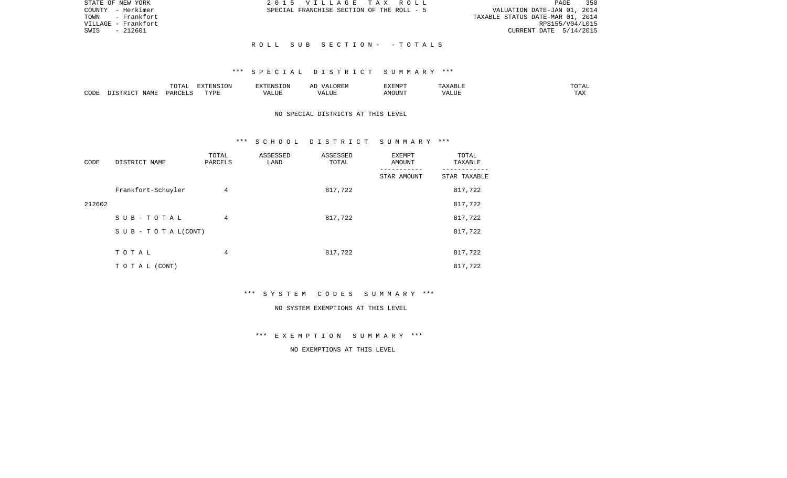| STATE OF NEW YORK   | 2015 VILLAGE TAX ROLL                     | 350<br>PAGE                      |
|---------------------|-------------------------------------------|----------------------------------|
| COUNTY - Herkimer   | SPECIAL FRANCHISE SECTION OF THE ROLL - 5 | VALUATION DATE-JAN 01, 2014      |
| TOWN - Frankfort    |                                           | TAXABLE STATUS DATE-MAR 01, 2014 |
| VILLAGE – Frankfort |                                           | RPS155/V04/L015                  |
| SWIS<br>- 212601    |                                           | CURRENT DATE 5/14/2015           |
|                     |                                           |                                  |
|                     | ROLL SUB SECTION- -TOTALS                 |                                  |

|      |                              | ----<br>◡∸⊷          | $\blacksquare$<br>$N \sim$<br>. ON |  | :XEMPT | $\cdots$ | JIAL |
|------|------------------------------|----------------------|------------------------------------|--|--------|----------|------|
| CODE | <b>A B ST</b><br>. .<br>NAME | <b>DODI</b><br>D V 1 | ™vnt                               |  | JUN"   | ALUR     |      |

### NO SPECIAL DISTRICTS AT THIS LEVEL

#### \*\*\* S C H O O L D I S T R I C T S U M M A R Y \*\*\*

| CODE   | DISTRICT NAME             | TOTAL<br>PARCELS | ASSESSED<br>LAND | ASSESSED<br>TOTAL | <b>EXEMPT</b><br>AMOUNT | TOTAL<br>TAXABLE |
|--------|---------------------------|------------------|------------------|-------------------|-------------------------|------------------|
|        |                           |                  |                  |                   | STAR AMOUNT             | STAR TAXABLE     |
|        | Frankfort-Schuyler        | 4                |                  | 817,722           |                         | 817,722          |
| 212602 |                           |                  |                  |                   |                         | 817,722          |
|        | SUB-TOTAL                 | 4                |                  | 817,722           |                         | 817,722          |
|        | S U B - T O T A $L(CONT)$ |                  |                  |                   |                         | 817,722          |
|        |                           |                  |                  |                   |                         |                  |
|        | TOTAL                     | 4                |                  | 817,722           |                         | 817,722          |
|        | T O T A L (CONT)          |                  |                  |                   |                         | 817,722          |

\*\*\* S Y S T E M C O D E S S U M M A R Y \*\*\*

#### NO SYSTEM EXEMPTIONS AT THIS LEVEL

\*\*\* E X E M P T I O N S U M M A R Y \*\*\*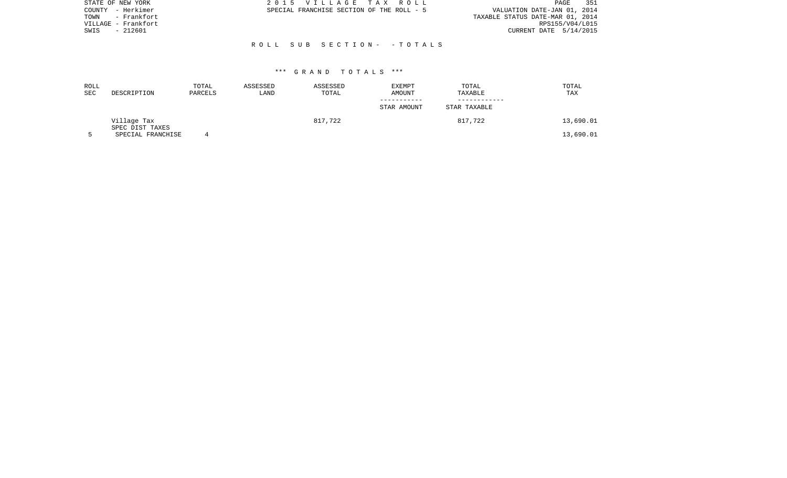| STATE OF NEW YORK   | 2015 VILLAGE TAX ROLL                     | 351<br>PAGE                      |
|---------------------|-------------------------------------------|----------------------------------|
| COUNTY - Herkimer   | SPECIAL FRANCHISE SECTION OF THE ROLL - 5 | VALUATION DATE-JAN 01, 2014      |
| - Frankfort<br>TOWN |                                           | TAXABLE STATUS DATE-MAR 01, 2014 |
| VILLAGE - Frankfort |                                           | RPS155/V04/L015                  |
| - 212601<br>SWIS    |                                           | CURRENT DATE 5/14/2015           |
|                     |                                           |                                  |
|                     | ROLL SUB SECTION- - TOTALS                |                                  |
|                     |                                           |                                  |

| ROLL<br><b>SEC</b> | DESCRIPTION                    | TOTAL<br>PARCELS | ASSESSED<br>LAND | ASSESSED<br>TOTAL | EXEMPT<br>AMOUNT | TOTAL<br>TAXABLE | TOTAL<br>TAX |
|--------------------|--------------------------------|------------------|------------------|-------------------|------------------|------------------|--------------|
|                    |                                |                  |                  |                   | STAR AMOUNT      | STAR TAXABLE     |              |
|                    | Village Tax<br>SPEC DIST TAXES |                  |                  | 817,722           |                  | 817,722          | 13,690.01    |
|                    | SPECIAL FRANCHISE              |                  |                  |                   |                  |                  | 13,690.01    |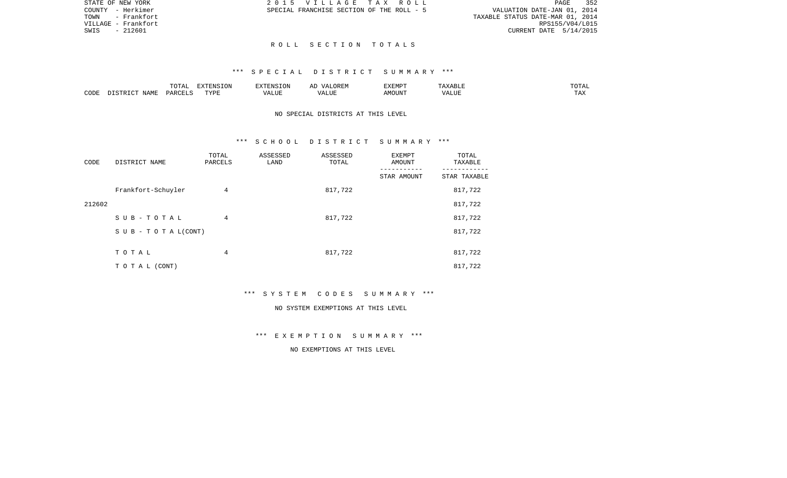| STATE OF NEW YORK   | 2015 VILLAGE TAX ROLL                     | 352<br>PAGE                      |
|---------------------|-------------------------------------------|----------------------------------|
| COUNTY - Herkimer   | SPECIAL FRANCHISE SECTION OF THE ROLL - 5 | VALUATION DATE-JAN 01, 2014      |
| TOWN - Frankfort    |                                           | TAXABLE STATUS DATE-MAR 01, 2014 |
| VILLAGE – Frankfort |                                           | RPS155/V04/L015                  |
| SWIS<br>- 212601    |                                           | CURRENT DATE 5/14/2015           |
|                     |                                           |                                  |
|                     | ROLL SECTION TOTALS                       |                                  |

|      |                    | $H \cap H$<br>$\cdots$<br>. U 1 1 1 1 | סוותידצים<br><b>ION</b> |      | UKLIY                                  | F.XFMP'<br>∸∡∡⊥ | A           | .              |
|------|--------------------|---------------------------------------|-------------------------|------|----------------------------------------|-----------------|-------------|----------------|
| CODE | JAME<br>$\sqrt{2}$ | $\Box$ $\Box$ $\Box$ $\Box$ $\Box$    | <b>TITZD</b><br>.       | ALUF | " TTT.<br>$\sqrt{2}$<br>. . <i>.</i> . | MC<br>OUN.      | 77T<br>Anur | max<br>د د د . |

### NO SPECIAL DISTRICTS AT THIS LEVEL

#### \*\*\* S C H O O L D I S T R I C T S U M M A R Y \*\*\*

| CODE   | DISTRICT NAME             | TOTAL<br>PARCELS | ASSESSED<br>LAND | ASSESSED<br>TOTAL | <b>EXEMPT</b><br>AMOUNT | TOTAL<br>TAXABLE |
|--------|---------------------------|------------------|------------------|-------------------|-------------------------|------------------|
|        |                           |                  |                  |                   | STAR AMOUNT             | STAR TAXABLE     |
|        | Frankfort-Schuyler        | 4                |                  | 817,722           |                         | 817,722          |
| 212602 |                           |                  |                  |                   |                         | 817,722          |
|        | SUB-TOTAL                 | 4                |                  | 817,722           |                         | 817,722          |
|        | S U B - T O T A $L(CONT)$ |                  |                  |                   |                         | 817,722          |
|        |                           |                  |                  |                   |                         |                  |
|        | TOTAL                     | 4                |                  | 817,722           |                         | 817,722          |
|        | TO TAL (CONT)             |                  |                  |                   |                         | 817,722          |

\*\*\* S Y S T E M C O D E S S U M M A R Y \*\*\*

#### NO SYSTEM EXEMPTIONS AT THIS LEVEL

\*\*\* E X E M P T I O N S U M M A R Y \*\*\*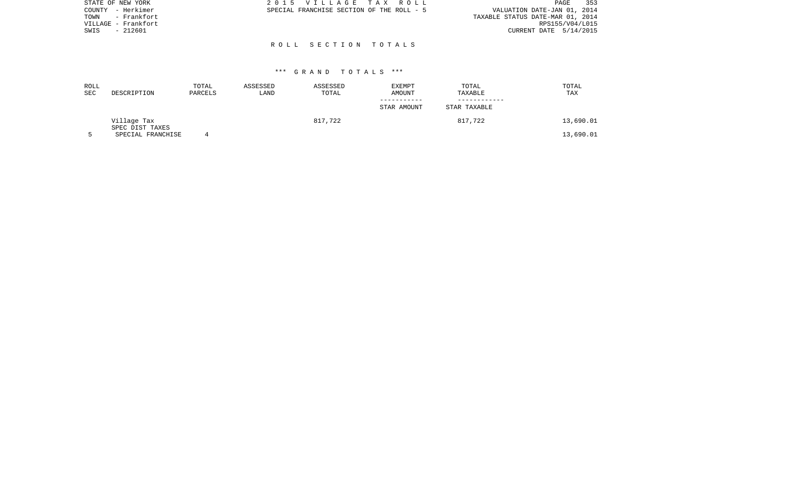| STATE OF NEW YORK    | 2015 VILLAGE TAX ROLL                     | 353<br>PAGE                      |
|----------------------|-------------------------------------------|----------------------------------|
| - Herkimer<br>COUNTY | SPECIAL FRANCHISE SECTION OF THE ROLL - 5 | VALUATION DATE-JAN 01, 2014      |
| - Frankfort<br>TOWN  |                                           | TAXABLE STATUS DATE-MAR 01, 2014 |
| VILLAGE - Frankfort  |                                           | RPS155/V04/L015                  |
| - 212601<br>SWIS     |                                           | CURRENT DATE 5/14/2015           |
|                      |                                           |                                  |
|                      | ROLL SECTION TOTALS                       |                                  |

| ROLL<br><b>SEC</b> | DESCRIPTION                    | TOTAL<br>PARCELS | ASSESSED<br>LAND | ASSESSED<br>TOTAL | <b>EXEMPT</b><br>AMOUNT | TOTAL<br>TAXABLE | TOTAL<br>TAX |
|--------------------|--------------------------------|------------------|------------------|-------------------|-------------------------|------------------|--------------|
|                    |                                |                  |                  |                   | STAR AMOUNT             | STAR TAXABLE     |              |
|                    | Village Tax<br>SPEC DIST TAXES |                  |                  | 817,722           |                         | 817,722          | 13,690.01    |
|                    | SPECIAL FRANCHISE              |                  |                  |                   |                         |                  | 13,690.01    |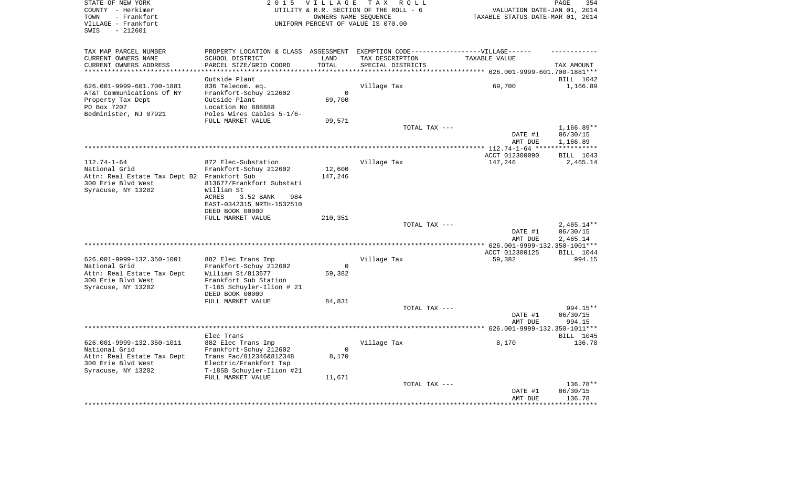| STATE OF NEW YORK<br>COUNTY - Herkimer<br>- Frankfort<br>TOWN<br>VILLAGE - Frankfort<br>$-212601$<br>SWIS | 2 0 1 5                                                                           | VILLAGE<br>OWNERS NAME SEQUENCE | TAX ROLL<br>UTILITY & R.R. SECTION OF THE ROLL - 6<br>UNIFORM PERCENT OF VALUE IS 070.00 | VALUATION DATE-JAN 01, 2014<br>TAXABLE STATUS DATE-MAR 01, 2014 | 354<br>PAGE          |
|-----------------------------------------------------------------------------------------------------------|-----------------------------------------------------------------------------------|---------------------------------|------------------------------------------------------------------------------------------|-----------------------------------------------------------------|----------------------|
| TAX MAP PARCEL NUMBER                                                                                     | PROPERTY LOCATION & CLASS ASSESSMENT EXEMPTION CODE-----------------VILLAGE------ |                                 |                                                                                          |                                                                 |                      |
| CURRENT OWNERS NAME<br>CURRENT OWNERS ADDRESS                                                             | SCHOOL DISTRICT<br>PARCEL SIZE/GRID COORD                                         | LAND<br>TOTAL                   | TAX DESCRIPTION<br>SPECIAL DISTRICTS                                                     | TAXABLE VALUE                                                   | TAX AMOUNT           |
| **********************                                                                                    | ********************                                                              | **********                      |                                                                                          |                                                                 |                      |
|                                                                                                           | Outside Plant                                                                     |                                 |                                                                                          |                                                                 | BILL 1042            |
| 626.001-9999-601.700-1881                                                                                 | 836 Telecom. eq.                                                                  |                                 | Village Tax                                                                              | 69,700                                                          | 1,166.89             |
| AT&T Communications Of NY                                                                                 | Frankfort-Schuy 212602                                                            | $\Omega$                        |                                                                                          |                                                                 |                      |
| Property Tax Dept<br>PO Box 7207                                                                          | Outside Plant<br>Location No 888888                                               | 69,700                          |                                                                                          |                                                                 |                      |
| Bedminister, NJ 07921                                                                                     | Poles Wires Cables 5-1/6-                                                         |                                 |                                                                                          |                                                                 |                      |
|                                                                                                           | FULL MARKET VALUE                                                                 | 99,571                          |                                                                                          |                                                                 |                      |
|                                                                                                           |                                                                                   |                                 | TOTAL TAX ---                                                                            |                                                                 | $1,166.89**$         |
|                                                                                                           |                                                                                   |                                 |                                                                                          | DATE #1<br>AMT DUE                                              | 06/30/15<br>1,166.89 |
|                                                                                                           |                                                                                   |                                 |                                                                                          | *************** 112.74-1-64 ****                                | ***********          |
|                                                                                                           |                                                                                   |                                 |                                                                                          | ACCT 012300090                                                  | BILL 1043            |
| $112.74 - 1 - 64$<br>National Grid                                                                        | 872 Elec-Substation<br>Frankfort-Schuy 212602                                     | 12,600                          | Village Tax                                                                              | 147,246                                                         | 2,465.14             |
| Attn: Real Estate Tax Dept B2 Frankfort Sub                                                               |                                                                                   | 147,246                         |                                                                                          |                                                                 |                      |
| 300 Erie Blvd West                                                                                        | 813677/Frankfort Substati                                                         |                                 |                                                                                          |                                                                 |                      |
| Syracuse, NY 13202                                                                                        | William St                                                                        |                                 |                                                                                          |                                                                 |                      |
|                                                                                                           | ACRES<br>3.52 BANK<br>984                                                         |                                 |                                                                                          |                                                                 |                      |
|                                                                                                           | EAST-0342315 NRTH-1532510<br>DEED BOOK 00000                                      |                                 |                                                                                          |                                                                 |                      |
|                                                                                                           | FULL MARKET VALUE                                                                 | 210,351                         |                                                                                          |                                                                 |                      |
|                                                                                                           |                                                                                   |                                 | TOTAL TAX ---                                                                            |                                                                 | $2,465.14**$         |
|                                                                                                           |                                                                                   |                                 |                                                                                          | DATE #1                                                         | 06/30/15             |
|                                                                                                           |                                                                                   |                                 |                                                                                          | AMT DUE<br>************ 626.001-9999-132.350-1001***            | 2,465.14             |
|                                                                                                           |                                                                                   |                                 |                                                                                          | ACCT 012300125                                                  | BILL 1044            |
| 626.001-9999-132.350-1001<br>National Grid                                                                | 882 Elec Trans Imp<br>Frankfort-Schuy 212602                                      | $\mathbf 0$                     | Village Tax                                                                              | 59,382                                                          | 994.15               |
| Attn: Real Estate Tax Dept                                                                                | William St/813677                                                                 | 59,382                          |                                                                                          |                                                                 |                      |
| 300 Erie Blvd West                                                                                        | Frankfort Sub Station                                                             |                                 |                                                                                          |                                                                 |                      |
| Syracuse, NY 13202                                                                                        | T-185 Schuyler-Ilion # 21                                                         |                                 |                                                                                          |                                                                 |                      |
|                                                                                                           | DEED BOOK 00000                                                                   |                                 |                                                                                          |                                                                 |                      |
|                                                                                                           | FULL MARKET VALUE                                                                 | 84,831                          | TOTAL TAX ---                                                                            |                                                                 | 994.15**             |
|                                                                                                           |                                                                                   |                                 |                                                                                          | DATE #1                                                         | 06/30/15             |
|                                                                                                           |                                                                                   |                                 |                                                                                          | AMT DUE                                                         | 994.15               |
|                                                                                                           |                                                                                   |                                 | **************************                                                               | ********* 626.001-9999-132.350-1011***                          |                      |
|                                                                                                           | Elec Trans                                                                        |                                 |                                                                                          |                                                                 | BILL 1045            |
| 626.001-9999-132.350-1011<br>National Grid                                                                | 882 Elec Trans Imp<br>Frankfort-Schuy 212602                                      | $\Omega$                        | Village Tax                                                                              | 8,170                                                           | 136.78               |
| Attn: Real Estate Tax Dept                                                                                | Trans Fac/812346&812348                                                           | 8,170                           |                                                                                          |                                                                 |                      |
| 300 Erie Blvd West                                                                                        | Electric/Frankfort Tap                                                            |                                 |                                                                                          |                                                                 |                      |
| Syracuse, NY 13202                                                                                        | T-185B Schuyler-Ilion #21                                                         |                                 |                                                                                          |                                                                 |                      |
|                                                                                                           | FULL MARKET VALUE                                                                 | 11,671                          |                                                                                          |                                                                 |                      |
|                                                                                                           |                                                                                   |                                 | TOTAL TAX ---                                                                            | DATE #1                                                         | 136.78**<br>06/30/15 |
|                                                                                                           |                                                                                   |                                 |                                                                                          | AMT DUE                                                         | 136.78               |
|                                                                                                           |                                                                                   |                                 |                                                                                          |                                                                 | ********             |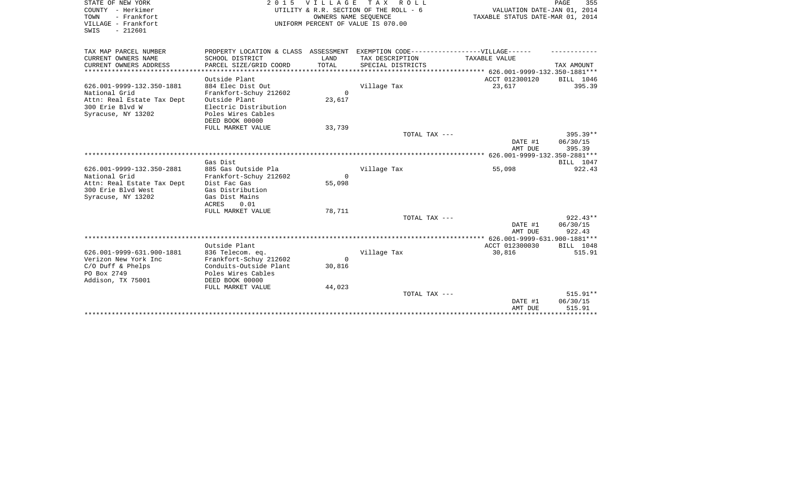| STATE OF NEW YORK<br>COUNTY - Herkimer<br>- Frankfort<br>TOWN<br>VILLAGE - Frankfort<br>SWIS<br>$-212601$ |                                                                                                      | 2015 VILLAGE<br>OWNERS NAME SEOUENCE | TAX ROLL<br>UTILITY & R.R. SECTION OF THE ROLL - 6<br>UNIFORM PERCENT OF VALUE IS 070.00 | VALUATION DATE-JAN 01, 2014<br>TAXABLE STATUS DATE-MAR 01, 2014 | PAGE<br>355         |
|-----------------------------------------------------------------------------------------------------------|------------------------------------------------------------------------------------------------------|--------------------------------------|------------------------------------------------------------------------------------------|-----------------------------------------------------------------|---------------------|
| TAX MAP PARCEL NUMBER<br>CURRENT OWNERS NAME                                                              | PROPERTY LOCATION & CLASS ASSESSMENT EXEMPTION CODE-----------------VILLAGE------<br>SCHOOL DISTRICT | LAND                                 | TAX DESCRIPTION                                                                          | TAXABLE VALUE                                                   |                     |
| CURRENT OWNERS ADDRESS                                                                                    | PARCEL SIZE/GRID COORD                                                                               | TOTAL                                | SPECIAL DISTRICTS                                                                        |                                                                 | TAX AMOUNT          |
|                                                                                                           |                                                                                                      |                                      |                                                                                          |                                                                 |                     |
|                                                                                                           | Outside Plant                                                                                        |                                      |                                                                                          | ACCT 012300120                                                  | BILL 1046           |
| 626.001-9999-132.350-1881                                                                                 | 884 Elec Dist Out                                                                                    |                                      | Village Tax                                                                              | 23,617                                                          | 395.39              |
| National Grid                                                                                             | Frankfort-Schuy 212602                                                                               | $\Omega$                             |                                                                                          |                                                                 |                     |
| Attn: Real Estate Tax Dept                                                                                | Outside Plant                                                                                        | 23,617                               |                                                                                          |                                                                 |                     |
| 300 Erie Blvd W<br>Syracuse, NY 13202                                                                     | Electric Distribution<br>Poles Wires Cables                                                          |                                      |                                                                                          |                                                                 |                     |
|                                                                                                           | DEED BOOK 00000                                                                                      |                                      |                                                                                          |                                                                 |                     |
|                                                                                                           | FULL MARKET VALUE                                                                                    | 33,739                               |                                                                                          |                                                                 |                     |
|                                                                                                           |                                                                                                      |                                      | TOTAL TAX ---                                                                            |                                                                 | 395.39**            |
|                                                                                                           |                                                                                                      |                                      |                                                                                          | DATE #1                                                         | 06/30/15            |
|                                                                                                           |                                                                                                      |                                      |                                                                                          | AMT DUE                                                         | 395.39              |
|                                                                                                           |                                                                                                      |                                      |                                                                                          |                                                                 |                     |
|                                                                                                           | Gas Dist                                                                                             |                                      |                                                                                          |                                                                 | BILL 1047           |
| 626.001-9999-132.350-2881                                                                                 | 885 Gas Outside Pla                                                                                  |                                      | Village Tax                                                                              | 55,098                                                          | 922.43              |
| National Grid<br>Attn: Real Estate Tax Dept                                                               | Frankfort-Schuy 212602<br>Dist Fac Gas                                                               | $\Omega$<br>55,098                   |                                                                                          |                                                                 |                     |
| 300 Erie Blvd West                                                                                        | Gas Distribution                                                                                     |                                      |                                                                                          |                                                                 |                     |
| Syracuse, NY 13202                                                                                        | Gas Dist Mains                                                                                       |                                      |                                                                                          |                                                                 |                     |
|                                                                                                           | ACRES<br>0.01                                                                                        |                                      |                                                                                          |                                                                 |                     |
|                                                                                                           | FULL MARKET VALUE                                                                                    | 78,711                               |                                                                                          |                                                                 |                     |
|                                                                                                           |                                                                                                      |                                      | TOTAL TAX ---                                                                            |                                                                 | $922.43**$          |
|                                                                                                           |                                                                                                      |                                      |                                                                                          | DATE #1                                                         | 06/30/15            |
|                                                                                                           |                                                                                                      |                                      |                                                                                          | AMT DUE                                                         | 922.43              |
|                                                                                                           |                                                                                                      |                                      |                                                                                          | ***** 626.001-9999-631.900-1881***                              |                     |
| 626.001-9999-631.900-1881                                                                                 | Outside Plant<br>836 Telecom. eq.                                                                    |                                      | Village Tax                                                                              | ACCT 012300030<br>30,816                                        | BILL 1048<br>515.91 |
| Verizon New York Inc                                                                                      | Frankfort-Schuy 212602                                                                               | $\Omega$                             |                                                                                          |                                                                 |                     |
| $C/O$ Duff & Phelps                                                                                       | Conduits-Outside Plant                                                                               | 30,816                               |                                                                                          |                                                                 |                     |
| PO Box 2749                                                                                               | Poles Wires Cables                                                                                   |                                      |                                                                                          |                                                                 |                     |
| Addison, TX 75001                                                                                         | DEED BOOK 00000                                                                                      |                                      |                                                                                          |                                                                 |                     |
|                                                                                                           | FULL MARKET VALUE                                                                                    | 44,023                               |                                                                                          |                                                                 |                     |
|                                                                                                           |                                                                                                      |                                      | TOTAL TAX ---                                                                            |                                                                 | $515.91**$          |
|                                                                                                           |                                                                                                      |                                      |                                                                                          | DATE #1                                                         | 06/30/15            |
|                                                                                                           |                                                                                                      |                                      |                                                                                          | AMT DUE                                                         | 515.91              |
|                                                                                                           |                                                                                                      |                                      |                                                                                          |                                                                 |                     |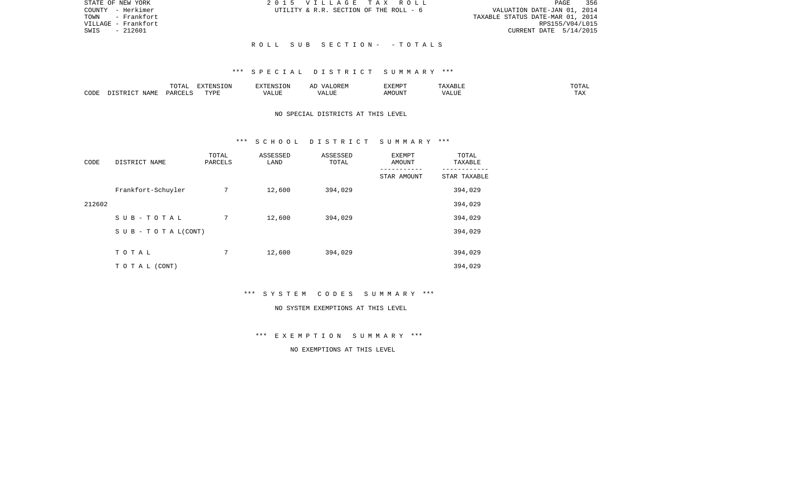| STATE OF NEW YORK   | 2015 VILLAGE TAX ROLL                  | 356<br>PAGE                      |
|---------------------|----------------------------------------|----------------------------------|
| COUNTY - Herkimer   | UTILITY & R.R. SECTION OF THE ROLL - 6 | VALUATION DATE-JAN 01, 2014      |
| - Frankfort<br>TOWN |                                        | TAXABLE STATUS DATE-MAR 01, 2014 |
| VILLAGE - Frankfort |                                        | RPS155/V04/L015                  |
| SWIS<br>$-212601$   |                                        | CURRENT DATE 5/14/2015           |
|                     |                                        |                                  |
|                     | ROLL SUB SECTION- -TOTALS              |                                  |

|      |                            | .∪⊥⊓⊥         | $\blacksquare$<br>11 L<br>LUIN |               |            | EXEMPT       | ABL.                  | $m \wedge m$<br>. |
|------|----------------------------|---------------|--------------------------------|---------------|------------|--------------|-----------------------|-------------------|
| CODE | <b>ABST</b><br>. .<br>NAMP | <b>DARCFT</b> | TVDT                           | $\mathcal{L}$ | ,,,<br>שחד | OUN".<br>۱M۲ | $- - - - - -$<br>ALUI | $- - -$<br>. Ал   |

### NO SPECIAL DISTRICTS AT THIS LEVEL

#### \*\*\* S C H O O L D I S T R I C T S U M M A R Y \*\*\*

| CODE   | DISTRICT NAME                    | TOTAL<br>PARCELS | ASSESSED<br>LAND | ASSESSED<br>TOTAL | EXEMPT<br><b>AMOUNT</b> | TOTAL<br>TAXABLE |
|--------|----------------------------------|------------------|------------------|-------------------|-------------------------|------------------|
|        |                                  |                  |                  |                   | STAR AMOUNT             | STAR TAXABLE     |
|        | Frankfort-Schuyler               | 7                | 12,600           | 394,029           |                         | 394,029          |
| 212602 |                                  |                  |                  |                   |                         | 394,029          |
|        | SUB-TOTAL                        | 7                | 12,600           | 394,029           |                         | 394,029          |
|        | $S \cup B - T \cup T A L (CONT)$ |                  |                  |                   |                         | 394,029          |
|        |                                  |                  |                  |                   |                         |                  |
|        | TOTAL                            | 7                | 12,600           | 394,029           |                         | 394,029          |
|        | TO TAL (CONT)                    |                  |                  |                   |                         | 394,029          |

\*\*\* S Y S T E M C O D E S S U M M A R Y \*\*\*

#### NO SYSTEM EXEMPTIONS AT THIS LEVEL

\*\*\* E X E M P T I O N S U M M A R Y \*\*\*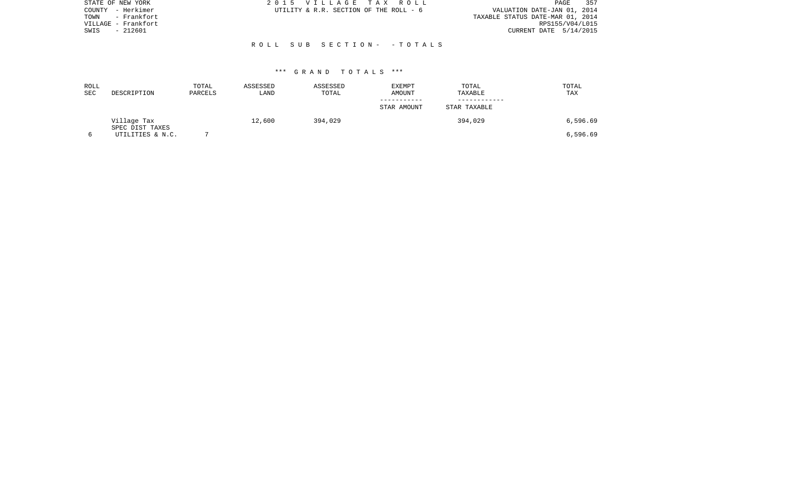| 2015 VILLAGE TAX ROLL                  | 357<br>PAGE                      |
|----------------------------------------|----------------------------------|
| UTILITY & R.R. SECTION OF THE ROLL - 6 | VALUATION DATE-JAN 01, 2014      |
|                                        | TAXABLE STATUS DATE-MAR 01, 2014 |
|                                        | RPS155/V04/L015                  |
|                                        | CURRENT DATE 5/14/2015           |
|                                        |                                  |
| ROLL SUB SECTION- - TOTALS             |                                  |
|                                        |                                  |
|                                        |                                  |

| ROLL<br>SEC | DESCRIPTION                    | TOTAL<br>PARCELS | ASSESSED<br>LAND | ASSESSED<br>TOTAL | EXEMPT<br>AMOUNT | TOTAL<br>TAXABLE | TOTAL<br>TAX |
|-------------|--------------------------------|------------------|------------------|-------------------|------------------|------------------|--------------|
|             |                                |                  |                  |                   | STAR AMOUNT      | STAR TAXABLE     |              |
|             | Village Tax<br>SPEC DIST TAXES |                  | 12,600           | 394,029           |                  | 394,029          | 6,596.69     |
|             | UTILITIES & N.C.               |                  |                  |                   |                  |                  | 6,596.69     |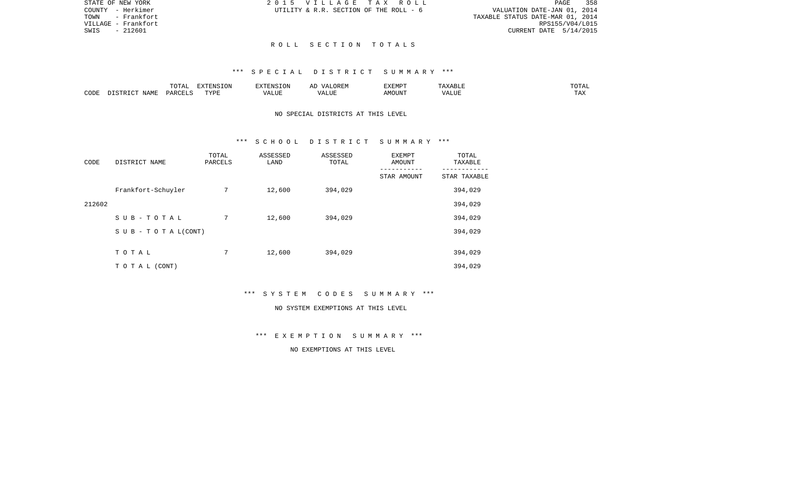| STATE OF NEW YORK   | 2015 VILLAGE TAX ROLL                  | 358<br>PAGE                      |
|---------------------|----------------------------------------|----------------------------------|
| COUNTY - Herkimer   | UTILITY & R.R. SECTION OF THE ROLL - 6 | VALUATION DATE-JAN 01, 2014      |
| - Frankfort<br>TOWN |                                        | TAXABLE STATUS DATE-MAR 01, 2014 |
| VILLAGE - Frankfort |                                        | RPS155/V04/L015                  |
| SWIS<br>- 212601    |                                        | CURRENT DATE 5/14/2015           |
|                     |                                        |                                  |

#### R O L L S E C T I O N T O T A L S

#### \*\*\* S P E C I A L D I S T R I C T S U M M A R Y \*\*\*

|      |      | $m \wedge m \neq$<br>$\Delta$<br>10111 | FYTFNC<br>'ON     |      | ORE.<br>$\sqrt{4}$ | .XEMP <sup>-</sup> | சபா   | ------<br>TU TAL    |
|------|------|----------------------------------------|-------------------|------|--------------------|--------------------|-------|---------------------|
| CODE | JAMF | , PARCET                               | <b>TITZD</b><br>. | ،LUE | LUI<br>$\cdots$    | <b>MOUN'L</b>      | T T T | <b>TITLE</b><br>ŦΨV |

### NO SPECIAL DISTRICTS AT THIS LEVEL

#### \*\*\* S C H O O L D I S T R I C T S U M M A R Y \*\*\*

| CODE   | DISTRICT NAME      | TOTAL<br>PARCELS | ASSESSED<br>LAND | ASSESSED<br>TOTAL | <b>EXEMPT</b><br>AMOUNT | TOTAL<br>TAXABLE |
|--------|--------------------|------------------|------------------|-------------------|-------------------------|------------------|
|        |                    |                  |                  |                   | STAR AMOUNT             | STAR TAXABLE     |
|        | Frankfort-Schuyler | 7                | 12,600           | 394,029           |                         | 394,029          |
| 212602 |                    |                  |                  |                   |                         | 394,029          |
|        | SUB-TOTAL          | 7                | 12,600           | 394,029           |                         | 394,029          |
|        | SUB - TO TAL(CONT) |                  |                  |                   |                         | 394,029          |
|        |                    |                  |                  |                   |                         |                  |
|        | TOTAL              | 7                | 12,600           | 394,029           |                         | 394,029          |
|        | TO TAL (CONT)      |                  |                  |                   |                         | 394,029          |

\*\*\* S Y S T E M C O D E S S U M M A R Y \*\*\*

#### NO SYSTEM EXEMPTIONS AT THIS LEVEL

\*\*\* E X E M P T I O N S U M M A R Y \*\*\*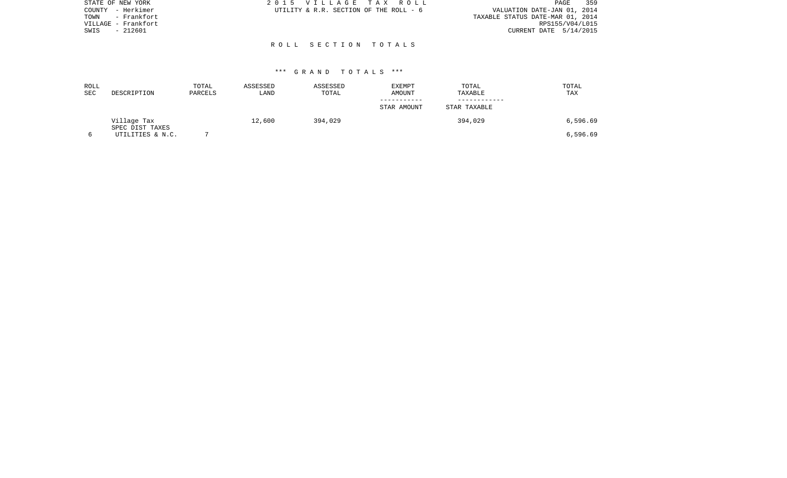| 359                              |
|----------------------------------|
| VALUATION DATE-JAN 01, 2014      |
| TAXABLE STATUS DATE-MAR 01, 2014 |
| RPS155/V04/L015                  |
| CURRENT DATE $5/14/2015$         |
|                                  |
|                                  |
|                                  |

| ROLL<br>SEC | DESCRIPTION                    | TOTAL<br>PARCELS | ASSESSED<br>LAND | ASSESSED<br>TOTAL | EXEMPT<br>AMOUNT | TOTAL<br>TAXABLE | TOTAL<br>TAX |
|-------------|--------------------------------|------------------|------------------|-------------------|------------------|------------------|--------------|
|             |                                |                  |                  |                   | STAR AMOUNT      | STAR TAXABLE     |              |
|             | Village Tax<br>SPEC DIST TAXES |                  | 12,600           | 394,029           |                  | 394,029          | 6,596.69     |
|             | UTILITIES & N.C.               |                  |                  |                   |                  |                  | 6,596.69     |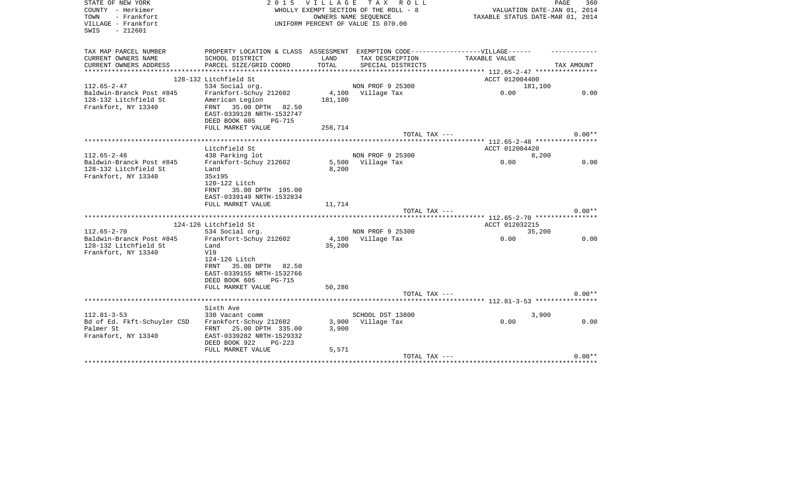| STATE OF NEW YORK                            | 2 0 1 5                                                                           | VILLAGE | TAX ROLL                              |                                                | 360<br>PAGE |
|----------------------------------------------|-----------------------------------------------------------------------------------|---------|---------------------------------------|------------------------------------------------|-------------|
| COUNTY - Herkimer                            |                                                                                   |         | WHOLLY EXEMPT SECTION OF THE ROLL - 8 | VALUATION DATE-JAN 01, 2014                    |             |
| - Frankfort<br>TOWN                          |                                                                                   |         | OWNERS NAME SEQUENCE                  | TAXABLE STATUS DATE-MAR 01, 2014               |             |
| VILLAGE - Frankfort<br>$-212601$<br>SWIS     |                                                                                   |         | UNIFORM PERCENT OF VALUE IS 070.00    |                                                |             |
|                                              |                                                                                   |         |                                       |                                                |             |
|                                              |                                                                                   |         |                                       |                                                |             |
| TAX MAP PARCEL NUMBER<br>CURRENT OWNERS NAME | PROPERTY LOCATION & CLASS ASSESSMENT EXEMPTION CODE-----------------VILLAGE------ | LAND    |                                       | TAXABLE VALUE                                  |             |
| CURRENT OWNERS ADDRESS                       | SCHOOL DISTRICT                                                                   | TOTAL   | TAX DESCRIPTION<br>SPECIAL DISTRICTS  |                                                | TAX AMOUNT  |
|                                              | PARCEL SIZE/GRID COORD                                                            |         |                                       | **************** 112.65-2-47 ***************** |             |
|                                              | 128-132 Litchfield St                                                             |         |                                       | ACCT 012004400                                 |             |
| $112.65 - 2 - 47$                            | 534 Social org.                                                                   |         | NON PROF 9 25300                      | 181,100                                        |             |
| Baldwin-Branck Post #845                     | Frankfort-Schuy 212602                                                            |         | 4,100 Village Tax                     | 0.00                                           | 0.00        |
| 128-132 Litchfield St                        | American Legion                                                                   | 181,100 |                                       |                                                |             |
| Frankfort, NY 13340                          | FRNT<br>35.00 DPTH 82.50                                                          |         |                                       |                                                |             |
|                                              | EAST-0339128 NRTH-1532747                                                         |         |                                       |                                                |             |
|                                              | DEED BOOK 605<br><b>PG-715</b>                                                    |         |                                       |                                                |             |
|                                              | FULL MARKET VALUE                                                                 | 258,714 |                                       |                                                |             |
|                                              |                                                                                   |         | TOTAL TAX ---                         |                                                | $0.00**$    |
|                                              |                                                                                   |         |                                       | ******** 112.65-2-48 *****************         |             |
|                                              | Litchfield St                                                                     |         |                                       | ACCT 012004420                                 |             |
| $112.65 - 2 - 48$                            | 438 Parking lot                                                                   |         | NON PROF 9 25300                      | 8,200                                          |             |
| Baldwin-Branck Post #845                     | Frankfort-Schuy 212602                                                            |         | 5,500 Village Tax                     | 0.00                                           | 0.00        |
| 128-132 Litchfield St                        | Land                                                                              | 8,200   |                                       |                                                |             |
| Frankfort, NY 13340                          | 35x195                                                                            |         |                                       |                                                |             |
|                                              | 120-122 Litch                                                                     |         |                                       |                                                |             |
|                                              | 35.00 DPTH 195.00<br>FRNT                                                         |         |                                       |                                                |             |
|                                              | EAST-0339149 NRTH-1532834                                                         |         |                                       |                                                |             |
|                                              | FULL MARKET VALUE                                                                 | 11,714  |                                       |                                                |             |
|                                              |                                                                                   |         | TOTAL TAX ---                         |                                                | $0.00**$    |
|                                              |                                                                                   |         |                                       | ******** 112.65-2-70 ****************          |             |
|                                              | 124-126 Litchfield St                                                             |         |                                       | ACCT 012032215                                 |             |
| $112.65 - 2 - 70$                            | 534 Social org.                                                                   |         | NON PROF 9 25300                      | 35,200                                         |             |
| Baldwin-Branck Post #845                     | Frankfort-Schuy 212602                                                            |         | 4,100 Village Tax                     | 0.00                                           | 0.00        |
| 128-132 Litchfield St                        | Land                                                                              | 35,200  |                                       |                                                |             |
| Frankfort, NY 13340                          | V19                                                                               |         |                                       |                                                |             |
|                                              | 124-126 Litch                                                                     |         |                                       |                                                |             |
|                                              | 35.00 DPTH 82.50<br>FRNT                                                          |         |                                       |                                                |             |
|                                              | EAST-0339155 NRTH-1532766                                                         |         |                                       |                                                |             |
|                                              | DEED BOOK 605<br><b>PG-715</b>                                                    |         |                                       |                                                |             |
|                                              | FULL MARKET VALUE                                                                 | 50,286  |                                       |                                                |             |
|                                              |                                                                                   |         | TOTAL TAX ---                         |                                                | $0.00**$    |
|                                              |                                                                                   |         |                                       |                                                |             |
|                                              | Sixth Ave                                                                         |         |                                       |                                                |             |
| $112.81 - 3 - 53$                            | 330 Vacant comm                                                                   |         | SCHOOL DST 13800                      | 3,900                                          |             |
| Bd of Ed. Fkft-Schuyler CSD                  | Frankfort-Schuy 212602                                                            |         | 3,900 Village Tax                     | 0.00                                           | 0.00        |
| Palmer St                                    | FRNT 25.00 DPTH 335.00                                                            | 3,900   |                                       |                                                |             |
| Frankfort, NY 13340                          | EAST-0339282 NRTH-1529332                                                         |         |                                       |                                                |             |
|                                              | DEED BOOK 922<br>$PG-223$                                                         |         |                                       |                                                |             |
|                                              | FULL MARKET VALUE                                                                 | 5,571   | TOTAL TAX ---                         |                                                | $0.00**$    |
|                                              |                                                                                   |         |                                       |                                                |             |
|                                              |                                                                                   |         |                                       |                                                |             |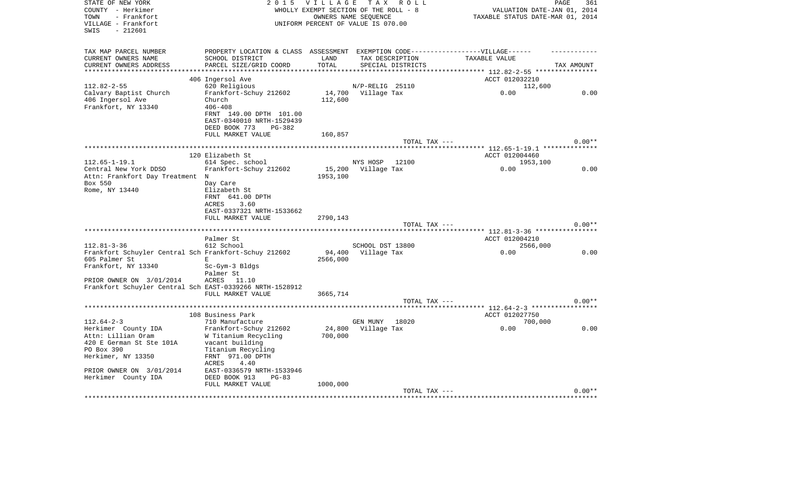| STATE OF NEW YORK<br>COUNTY - Herkimer<br>- Frankfort<br>TOWN<br>VILLAGE - Frankfort<br>$-212601$<br>SWIS                                                    | 2 0 1 5                                                                                                                                                                                                    | <b>VILLAGE</b><br>WHOLLY EXEMPT SECTION OF THE ROLL - 8<br>UNIFORM PERCENT OF VALUE IS 070.00 | OWNERS NAME SEQUENCE | TAX ROLL                             | VALUATION DATE-JAN 01, 2014<br>TAXABLE STATUS DATE-MAR 01, 2014 | PAGE<br>361 |
|--------------------------------------------------------------------------------------------------------------------------------------------------------------|------------------------------------------------------------------------------------------------------------------------------------------------------------------------------------------------------------|-----------------------------------------------------------------------------------------------|----------------------|--------------------------------------|-----------------------------------------------------------------|-------------|
| TAX MAP PARCEL NUMBER<br>CURRENT OWNERS NAME<br>CURRENT OWNERS ADDRESS<br>***********************                                                            | PROPERTY LOCATION & CLASS ASSESSMENT EXEMPTION CODE----------------VILLAGE------<br>SCHOOL DISTRICT<br>PARCEL SIZE/GRID COORD                                                                              | LAND<br>TOTAL                                                                                 |                      | TAX DESCRIPTION<br>SPECIAL DISTRICTS | TAXABLE VALUE                                                   | TAX AMOUNT  |
|                                                                                                                                                              | 406 Ingersol Ave                                                                                                                                                                                           |                                                                                               |                      |                                      | ACCT 012032210                                                  |             |
| $112.82 - 2 - 55$                                                                                                                                            | 620 Religious                                                                                                                                                                                              |                                                                                               | N/P-RELIG 25110      |                                      | 112,600                                                         |             |
| Calvary Baptist Church<br>406 Ingersol Ave<br>Frankfort, NY 13340                                                                                            | Frankfort-Schuy 212602<br>Church<br>$406 - 408$<br>FRNT 149.00 DPTH 101.00<br>EAST-0340010 NRTH-1529439<br>DEED BOOK 773<br>PG-382<br>FULL MARKET VALUE                                                    | 112,600<br>160,857                                                                            | 14,700 Village Tax   |                                      | 0.00                                                            | 0.00        |
|                                                                                                                                                              |                                                                                                                                                                                                            |                                                                                               |                      | TOTAL TAX ---                        |                                                                 | $0.00**$    |
|                                                                                                                                                              |                                                                                                                                                                                                            |                                                                                               |                      |                                      |                                                                 |             |
|                                                                                                                                                              | 120 Elizabeth St                                                                                                                                                                                           |                                                                                               |                      |                                      | ACCT 012004460                                                  |             |
| $112.65 - 1 - 19.1$                                                                                                                                          | 614 Spec. school                                                                                                                                                                                           |                                                                                               | NYS HOSP 12100       |                                      | 1953,100                                                        |             |
| Central New York DDSO<br>Attn: Frankfort Day Treatment N<br>Box 550<br>Rome, NY 13440                                                                        | Frankfort-Schuy 212602<br>Day Care<br>Elizabeth St<br>FRNT 641.00 DPTH<br>3.60<br>ACRES                                                                                                                    | 1953,100                                                                                      | 15,200 Village Tax   |                                      | 0.00                                                            | 0.00        |
|                                                                                                                                                              | EAST-0337321 NRTH-1533662                                                                                                                                                                                  |                                                                                               |                      |                                      |                                                                 |             |
|                                                                                                                                                              | FULL MARKET VALUE                                                                                                                                                                                          | 2790,143                                                                                      |                      |                                      |                                                                 |             |
|                                                                                                                                                              |                                                                                                                                                                                                            |                                                                                               |                      | TOTAL TAX ---                        |                                                                 | $0.00**$    |
|                                                                                                                                                              |                                                                                                                                                                                                            |                                                                                               |                      |                                      |                                                                 |             |
| $112.81 - 3 - 36$                                                                                                                                            | Palmer St<br>612 School                                                                                                                                                                                    |                                                                                               | SCHOOL DST 13800     |                                      | ACCT 012004210<br>2566,000                                      |             |
| Frankfort Schuyler Central Sch Frankfort-Schuy 212602                                                                                                        |                                                                                                                                                                                                            |                                                                                               | 94,400 Village Tax   |                                      | 0.00                                                            | 0.00        |
| 605 Palmer St<br>Frankfort, NY 13340                                                                                                                         | Е<br>Sc-Gym-3 Bldgs<br>Palmer St                                                                                                                                                                           | 2566,000                                                                                      |                      |                                      |                                                                 |             |
| PRIOR OWNER ON 3/01/2014                                                                                                                                     | ACRES 11.10                                                                                                                                                                                                |                                                                                               |                      |                                      |                                                                 |             |
| Frankfort Schuyler Central Sch EAST-0339266 NRTH-1528912                                                                                                     |                                                                                                                                                                                                            |                                                                                               |                      |                                      |                                                                 |             |
|                                                                                                                                                              | FULL MARKET VALUE                                                                                                                                                                                          | 3665,714                                                                                      |                      | TOTAL TAX ---                        |                                                                 | $0.00**$    |
|                                                                                                                                                              |                                                                                                                                                                                                            |                                                                                               |                      |                                      | ****** 112.64-2-3 ***************                               |             |
|                                                                                                                                                              | 108 Business Park                                                                                                                                                                                          |                                                                                               |                      |                                      | ACCT 012027750                                                  |             |
| $112.64 - 2 - 3$                                                                                                                                             | 710 Manufacture                                                                                                                                                                                            |                                                                                               | GEN MUNY             | 18020                                | 700,000                                                         |             |
| Herkimer County IDA<br>Attn: Lillian Oram<br>420 E German St Ste 101A<br>PO Box 390<br>Herkimer, NY 13350<br>PRIOR OWNER ON 3/01/2014<br>Herkimer County IDA | Frankfort-Schuy 212602<br>W Titanium Recycling<br>vacant building<br>Titanium Recycling<br>FRNT 971.00 DPTH<br>4.40<br>ACRES<br>EAST-0336579 NRTH-1533946<br>DEED BOOK 913<br>$PG-83$<br>FULL MARKET VALUE | 24,800<br>700,000<br>1000,000                                                                 | Village Tax          |                                      | 0.00                                                            | 0.00        |
|                                                                                                                                                              |                                                                                                                                                                                                            |                                                                                               |                      | TOTAL TAX ---                        |                                                                 | $0.00**$    |
|                                                                                                                                                              |                                                                                                                                                                                                            |                                                                                               |                      |                                      |                                                                 |             |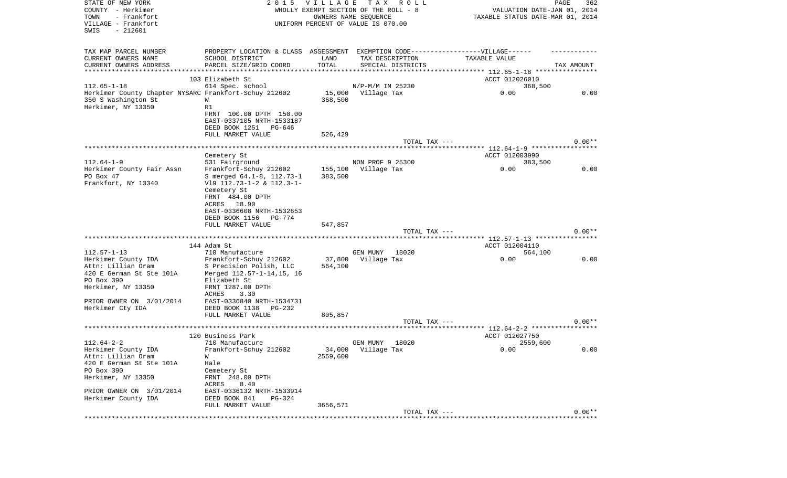| STATE OF NEW YORK<br>COUNTY - Herkimer<br>TOWN<br>- Frankfort<br>VILLAGE - Frankfort<br>SWIS<br>$-212601$ | 2 0 1 5                                                                          | <b>VILLAGE</b> | TAX ROLL<br>WHOLLY EXEMPT SECTION OF THE ROLL - 8<br>OWNERS NAME SEQUENCE<br>UNIFORM PERCENT OF VALUE IS 070.00 | VALUATION DATE-JAN 01, 2014<br>TAXABLE STATUS DATE-MAR 01, 2014 | PAGE<br>362 |
|-----------------------------------------------------------------------------------------------------------|----------------------------------------------------------------------------------|----------------|-----------------------------------------------------------------------------------------------------------------|-----------------------------------------------------------------|-------------|
| TAX MAP PARCEL NUMBER                                                                                     | PROPERTY LOCATION & CLASS ASSESSMENT EXEMPTION CODE----------------VILLAGE------ |                |                                                                                                                 |                                                                 |             |
| CURRENT OWNERS NAME                                                                                       | SCHOOL DISTRICT                                                                  | LAND           | TAX DESCRIPTION                                                                                                 | TAXABLE VALUE                                                   |             |
| CURRENT OWNERS ADDRESS                                                                                    | PARCEL SIZE/GRID COORD                                                           | TOTAL          | SPECIAL DISTRICTS                                                                                               |                                                                 | TAX AMOUNT  |
| *************************                                                                                 |                                                                                  |                |                                                                                                                 |                                                                 |             |
|                                                                                                           | 103 Elizabeth St                                                                 |                |                                                                                                                 | ACCT 012026010                                                  |             |
| $112.65 - 1 - 18$                                                                                         | 614 Spec. school                                                                 |                | N/P-M/M IM 25230                                                                                                | 368,500                                                         |             |
| Herkimer County Chapter NYSARC Frankfort-Schuy 212602                                                     |                                                                                  |                | 15,000 Village Tax                                                                                              | 0.00                                                            | 0.00        |
| 350 S Washington St                                                                                       | W<br>R1                                                                          | 368,500        |                                                                                                                 |                                                                 |             |
| Herkimer, NY 13350                                                                                        | FRNT 100.00 DPTH 150.00                                                          |                |                                                                                                                 |                                                                 |             |
|                                                                                                           | EAST-0337105 NRTH-1533187                                                        |                |                                                                                                                 |                                                                 |             |
|                                                                                                           | DEED BOOK 1251 PG-646                                                            |                |                                                                                                                 |                                                                 |             |
|                                                                                                           | FULL MARKET VALUE                                                                | 526,429        |                                                                                                                 |                                                                 |             |
|                                                                                                           |                                                                                  |                | TOTAL TAX ---                                                                                                   |                                                                 | $0.00**$    |
|                                                                                                           |                                                                                  |                |                                                                                                                 |                                                                 |             |
|                                                                                                           | Cemetery St                                                                      |                |                                                                                                                 | ACCT 012003990                                                  |             |
| $112.64 - 1 - 9$                                                                                          | 531 Fairground                                                                   |                | NON PROF 9 25300                                                                                                | 383,500                                                         |             |
| Herkimer County Fair Assn                                                                                 | Frankfort-Schuy 212602                                                           | 155,100        | Village Tax                                                                                                     | 0.00                                                            | 0.00        |
| PO Box 47                                                                                                 | S merged 64.1-8, 112.73-1                                                        | 383,500        |                                                                                                                 |                                                                 |             |
| Frankfort, NY 13340                                                                                       | $V19$ 112.73-1-2 & 112.3-1-                                                      |                |                                                                                                                 |                                                                 |             |
|                                                                                                           | Cemetery St                                                                      |                |                                                                                                                 |                                                                 |             |
|                                                                                                           | FRNT 484.00 DPTH<br>ACRES 18.90                                                  |                |                                                                                                                 |                                                                 |             |
|                                                                                                           | EAST-0336608 NRTH-1532653                                                        |                |                                                                                                                 |                                                                 |             |
|                                                                                                           | DEED BOOK 1156<br>PG-774                                                         |                |                                                                                                                 |                                                                 |             |
|                                                                                                           | FULL MARKET VALUE                                                                | 547,857        |                                                                                                                 |                                                                 |             |
|                                                                                                           |                                                                                  |                | TOTAL TAX ---                                                                                                   |                                                                 | $0.00**$    |
|                                                                                                           |                                                                                  |                |                                                                                                                 |                                                                 |             |
|                                                                                                           | 144 Adam St                                                                      |                |                                                                                                                 | ACCT 012004110                                                  |             |
| $112.57 - 1 - 13$                                                                                         | 710 Manufacture                                                                  |                | GEN MUNY<br>18020                                                                                               | 564,100                                                         |             |
| Herkimer County IDA                                                                                       | Frankfort-Schuy 212602                                                           | 37,800         | Village Tax                                                                                                     | 0.00                                                            | 0.00        |
| Attn: Lillian Oram                                                                                        | S Precision Polish, LLC                                                          | 564,100        |                                                                                                                 |                                                                 |             |
| 420 E German St Ste 101A                                                                                  | Merged 112.57-1-14,15, 16                                                        |                |                                                                                                                 |                                                                 |             |
| PO Box 390                                                                                                | Elizabeth St                                                                     |                |                                                                                                                 |                                                                 |             |
| Herkimer, NY 13350                                                                                        | FRNT 1287.00 DPTH<br>ACRES<br>3.30                                               |                |                                                                                                                 |                                                                 |             |
| PRIOR OWNER ON 3/01/2014                                                                                  | EAST-0336840 NRTH-1534731                                                        |                |                                                                                                                 |                                                                 |             |
| Herkimer Cty IDA                                                                                          | DEED BOOK 1138<br>PG-232                                                         |                |                                                                                                                 |                                                                 |             |
|                                                                                                           | FULL MARKET VALUE                                                                | 805,857        |                                                                                                                 |                                                                 |             |
|                                                                                                           |                                                                                  |                | TOTAL TAX ---                                                                                                   |                                                                 | $0.00**$    |
|                                                                                                           |                                                                                  |                |                                                                                                                 |                                                                 |             |
|                                                                                                           | 120 Business Park                                                                |                |                                                                                                                 | ACCT 012027750                                                  |             |
| $112.64 - 2 - 2$                                                                                          | 710 Manufacture                                                                  |                | 18020<br>GEN MUNY                                                                                               | 2559,600                                                        |             |
| Herkimer County IDA                                                                                       | Frankfort-Schuy 212602                                                           |                | 34,000 Village Tax                                                                                              | 0.00                                                            | 0.00        |
| Attn: Lillian Oram                                                                                        | W                                                                                | 2559,600       |                                                                                                                 |                                                                 |             |
| 420 E German St Ste 101A                                                                                  | Hale                                                                             |                |                                                                                                                 |                                                                 |             |
| PO Box 390<br>Herkimer, NY 13350                                                                          | Cemetery St                                                                      |                |                                                                                                                 |                                                                 |             |
|                                                                                                           | FRNT 248.00 DPTH                                                                 |                |                                                                                                                 |                                                                 |             |
| PRIOR OWNER ON 3/01/2014                                                                                  | ACRES<br>8.40<br>EAST-0336132 NRTH-1533914                                       |                |                                                                                                                 |                                                                 |             |
| Herkimer County IDA                                                                                       | DEED BOOK 841<br>$PG-324$                                                        |                |                                                                                                                 |                                                                 |             |
|                                                                                                           | FULL MARKET VALUE                                                                | 3656,571       |                                                                                                                 |                                                                 |             |
|                                                                                                           |                                                                                  |                | TOTAL TAX ---                                                                                                   |                                                                 | $0.00**$    |
|                                                                                                           |                                                                                  |                |                                                                                                                 |                                                                 |             |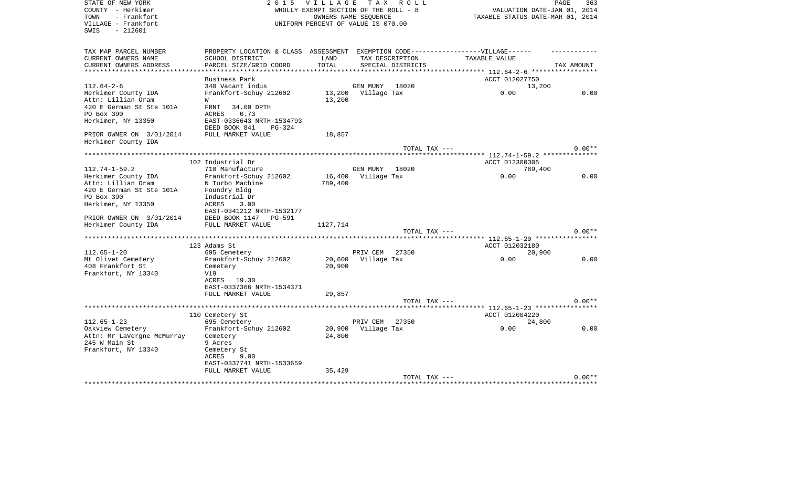| STATE OF NEW YORK<br>COUNTY - Herkimer<br>- Frankfort<br>TOWN<br>VILLAGE - Frankfort<br>- 212601<br>SWIS | 2 0 1 5                                                                           | VILLAGE TAX ROLL<br>WHOLLY EXEMPT SECTION OF THE ROLL - 8<br>UNIFORM PERCENT OF VALUE IS 070.00 | OWNERS NAME SEQUENCE |                   | PAGE<br>VALUATION DATE-JAN 01, 2014<br>TAXABLE STATUS DATE-MAR 01, 2014 | 363        |
|----------------------------------------------------------------------------------------------------------|-----------------------------------------------------------------------------------|-------------------------------------------------------------------------------------------------|----------------------|-------------------|-------------------------------------------------------------------------|------------|
| TAX MAP PARCEL NUMBER                                                                                    | PROPERTY LOCATION & CLASS ASSESSMENT EXEMPTION CODE-----------------VILLAGE------ |                                                                                                 |                      |                   |                                                                         |            |
| CURRENT OWNERS NAME<br>CURRENT OWNERS ADDRESS                                                            | SCHOOL DISTRICT<br>PARCEL SIZE/GRID COORD                                         | LAND<br>TOTAL                                                                                   | TAX DESCRIPTION      | SPECIAL DISTRICTS | TAXABLE VALUE                                                           | TAX AMOUNT |
|                                                                                                          |                                                                                   |                                                                                                 |                      |                   |                                                                         |            |
|                                                                                                          | Business Park                                                                     |                                                                                                 |                      |                   | ACCT 012027750                                                          |            |
| $112.64 - 2 - 6$                                                                                         | 340 Vacant indus                                                                  |                                                                                                 | GEN MUNY 18020       |                   | 13,200                                                                  |            |
| Herkimer County IDA                                                                                      | Frankfort-Schuy 212602                                                            |                                                                                                 | 13,200 Village Tax   |                   | 0.00                                                                    | 0.00       |
| Attn: Lillian Oram                                                                                       | W                                                                                 | 13,200                                                                                          |                      |                   |                                                                         |            |
| 420 E German St Ste 101A                                                                                 | FRNT<br>34.00 DPTH                                                                |                                                                                                 |                      |                   |                                                                         |            |
| PO Box 390                                                                                               | ACRES<br>0.73                                                                     |                                                                                                 |                      |                   |                                                                         |            |
| Herkimer, NY 13350                                                                                       | EAST-0336643 NRTH-1534793                                                         |                                                                                                 |                      |                   |                                                                         |            |
|                                                                                                          | DEED BOOK 841<br>$PG-324$                                                         |                                                                                                 |                      |                   |                                                                         |            |
| PRIOR OWNER ON 3/01/2014                                                                                 | FULL MARKET VALUE                                                                 | 18,857                                                                                          |                      |                   |                                                                         |            |
| Herkimer County IDA                                                                                      |                                                                                   |                                                                                                 |                      | TOTAL TAX ---     |                                                                         | $0.00**$   |
|                                                                                                          |                                                                                   |                                                                                                 |                      |                   |                                                                         |            |
|                                                                                                          | 102 Industrial Dr                                                                 |                                                                                                 |                      |                   | ACCT 012300305                                                          |            |
| $112.74 - 1 - 59.2$                                                                                      | 710 Manufacture                                                                   |                                                                                                 | GEN MUNY 18020       |                   | 789,400                                                                 |            |
| Herkimer County IDA                                                                                      | Frankfort-Schuy 212602                                                            | 16,400                                                                                          | Village Tax          |                   | 0.00                                                                    | 0.00       |
| Attn: Lillian Oram                                                                                       | N Turbo Machine                                                                   | 789,400                                                                                         |                      |                   |                                                                         |            |
| 420 E German St Ste 101A                                                                                 | Foundry Bldg                                                                      |                                                                                                 |                      |                   |                                                                         |            |
| PO Box 390                                                                                               | Industrial Dr                                                                     |                                                                                                 |                      |                   |                                                                         |            |
| Herkimer, NY 13350                                                                                       | 3.00<br>ACRES                                                                     |                                                                                                 |                      |                   |                                                                         |            |
|                                                                                                          | EAST-0341212 NRTH-1532177                                                         |                                                                                                 |                      |                   |                                                                         |            |
| PRIOR OWNER ON 3/01/2014<br>Herkimer County IDA                                                          | DEED BOOK 1147<br>PG-591<br>FULL MARKET VALUE                                     | 1127,714                                                                                        |                      |                   |                                                                         |            |
|                                                                                                          |                                                                                   |                                                                                                 |                      | TOTAL TAX ---     |                                                                         | $0.00**$   |
|                                                                                                          |                                                                                   |                                                                                                 |                      |                   |                                                                         |            |
|                                                                                                          | 123 Adams St                                                                      |                                                                                                 |                      |                   | ACCT 012032180                                                          |            |
| $112.65 - 1 - 20$                                                                                        | 695 Cemetery                                                                      |                                                                                                 | PRIV CEM 27350       |                   | 20,900                                                                  |            |
| Mt Olivet Cemetery                                                                                       | Frankfort-Schuy 212602                                                            | 20,600                                                                                          | Village Tax          |                   | 0.00                                                                    | 0.00       |
| 408 Frankfort St                                                                                         | Cemetery                                                                          | 20,900                                                                                          |                      |                   |                                                                         |            |
| Frankfort, NY 13340                                                                                      | V19                                                                               |                                                                                                 |                      |                   |                                                                         |            |
|                                                                                                          | ACRES 19.30                                                                       |                                                                                                 |                      |                   |                                                                         |            |
|                                                                                                          | EAST-0337366 NRTH-1534371                                                         |                                                                                                 |                      |                   |                                                                         |            |
|                                                                                                          | FULL MARKET VALUE                                                                 | 29,857                                                                                          |                      |                   |                                                                         | $0.00**$   |
|                                                                                                          |                                                                                   |                                                                                                 |                      | TOTAL TAX ---     |                                                                         |            |
|                                                                                                          | 110 Cemetery St                                                                   |                                                                                                 |                      |                   | ACCT 012004220                                                          |            |
| $112.65 - 1 - 23$                                                                                        | 695 Cemetery                                                                      |                                                                                                 | PRIV CEM             | 27350             | 24,800                                                                  |            |
| Oakview Cemetery                                                                                         | Frankfort-Schuy 212602                                                            | 20,900                                                                                          | Village Tax          |                   | 0.00                                                                    | 0.00       |
| Attn: Mr LaVergne McMurray                                                                               | Cemetery                                                                          | 24,800                                                                                          |                      |                   |                                                                         |            |
| 245 W Main St                                                                                            | 9 Acres                                                                           |                                                                                                 |                      |                   |                                                                         |            |
| Frankfort, NY 13340                                                                                      | Cemetery St                                                                       |                                                                                                 |                      |                   |                                                                         |            |
|                                                                                                          | ACRES<br>9.00                                                                     |                                                                                                 |                      |                   |                                                                         |            |
|                                                                                                          | EAST-0337741 NRTH-1533659                                                         |                                                                                                 |                      |                   |                                                                         |            |
|                                                                                                          | FULL MARKET VALUE                                                                 | 35,429                                                                                          |                      |                   |                                                                         |            |
|                                                                                                          |                                                                                   |                                                                                                 |                      | TOTAL TAX ---     |                                                                         | $0.00**$   |
|                                                                                                          |                                                                                   |                                                                                                 |                      |                   |                                                                         |            |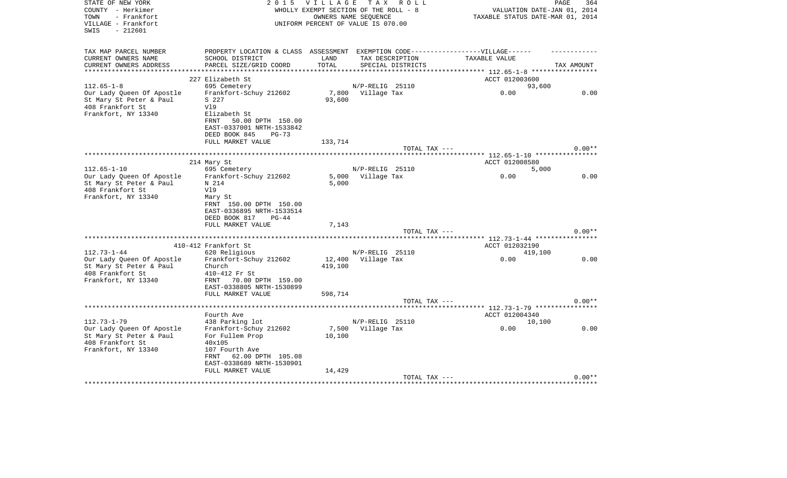| STATE OF NEW YORK<br>COUNTY - Herkimer<br>- Frankfort<br>TOWN<br>VILLAGE - Frankfort<br>- 212601<br>SWIS | 2 0 1 5                                                                                              | <b>VILLAGE</b><br>WHOLLY EXEMPT SECTION OF THE ROLL - 8<br>UNIFORM PERCENT OF VALUE IS 070.00 | OWNERS NAME SEQUENCE | TAX ROLL      | TAXABLE STATUS DATE-MAR 01, 2014 | PAGE<br>VALUATION DATE-JAN 01, 2014 | 364      |
|----------------------------------------------------------------------------------------------------------|------------------------------------------------------------------------------------------------------|-----------------------------------------------------------------------------------------------|----------------------|---------------|----------------------------------|-------------------------------------|----------|
| TAX MAP PARCEL NUMBER<br>CURRENT OWNERS NAME                                                             | PROPERTY LOCATION & CLASS ASSESSMENT EXEMPTION CODE-----------------VILLAGE------<br>SCHOOL DISTRICT | LAND                                                                                          | TAX DESCRIPTION      |               | TAXABLE VALUE                    |                                     |          |
| CURRENT OWNERS ADDRESS                                                                                   | PARCEL SIZE/GRID COORD                                                                               | TOTAL                                                                                         | SPECIAL DISTRICTS    |               |                                  | TAX AMOUNT                          |          |
|                                                                                                          |                                                                                                      |                                                                                               |                      |               |                                  |                                     |          |
|                                                                                                          | 227 Elizabeth St                                                                                     |                                                                                               |                      |               | ACCT 012003600                   |                                     |          |
| $112.65 - 1 - 8$                                                                                         | 695 Cemetery                                                                                         |                                                                                               | N/P-RELIG 25110      |               |                                  | 93,600                              |          |
| Our Lady Queen Of Apostle                                                                                | Frankfort-Schuy 212602                                                                               |                                                                                               | 7,800 Village Tax    |               | 0.00                             |                                     | 0.00     |
| St Mary St Peter & Paul                                                                                  | S 227                                                                                                | 93,600                                                                                        |                      |               |                                  |                                     |          |
| 408 Frankfort St                                                                                         | V19                                                                                                  |                                                                                               |                      |               |                                  |                                     |          |
| Frankfort, NY 13340                                                                                      | Elizabeth St                                                                                         |                                                                                               |                      |               |                                  |                                     |          |
|                                                                                                          | <b>FRNT</b><br>50.00 DPTH 150.00                                                                     |                                                                                               |                      |               |                                  |                                     |          |
|                                                                                                          | EAST-0337001 NRTH-1533842                                                                            |                                                                                               |                      |               |                                  |                                     |          |
|                                                                                                          | DEED BOOK 845<br>$PG-73$                                                                             |                                                                                               |                      |               |                                  |                                     |          |
|                                                                                                          | FULL MARKET VALUE                                                                                    | 133,714                                                                                       |                      |               |                                  |                                     |          |
|                                                                                                          |                                                                                                      |                                                                                               |                      | TOTAL TAX --- |                                  |                                     | $0.00**$ |
|                                                                                                          |                                                                                                      |                                                                                               |                      |               |                                  |                                     |          |
|                                                                                                          | 214 Mary St                                                                                          |                                                                                               |                      |               | ACCT 012008580                   |                                     |          |
| $112.65 - 1 - 10$                                                                                        | 695 Cemetery                                                                                         |                                                                                               | N/P-RELIG 25110      |               |                                  | 5,000                               |          |
| Our Lady Queen Of Apostle                                                                                | Frankfort-Schuy 212602                                                                               |                                                                                               | 5,000 Village Tax    |               | 0.00                             |                                     | 0.00     |
| St Mary St Peter & Paul                                                                                  | N 214                                                                                                | 5,000                                                                                         |                      |               |                                  |                                     |          |
| 408 Frankfort St                                                                                         | V19                                                                                                  |                                                                                               |                      |               |                                  |                                     |          |
| Frankfort, NY 13340                                                                                      | Mary St                                                                                              |                                                                                               |                      |               |                                  |                                     |          |
|                                                                                                          | FRNT 150.00 DPTH 150.00                                                                              |                                                                                               |                      |               |                                  |                                     |          |
|                                                                                                          | EAST-0336895 NRTH-1533514                                                                            |                                                                                               |                      |               |                                  |                                     |          |
|                                                                                                          | DEED BOOK 817<br>$PG-44$                                                                             |                                                                                               |                      |               |                                  |                                     |          |
|                                                                                                          | FULL MARKET VALUE                                                                                    | 7,143                                                                                         |                      |               |                                  |                                     |          |
|                                                                                                          |                                                                                                      |                                                                                               |                      | TOTAL TAX --- |                                  |                                     | $0.00**$ |
|                                                                                                          | 410-412 Frankfort St                                                                                 |                                                                                               |                      |               |                                  |                                     |          |
|                                                                                                          |                                                                                                      |                                                                                               |                      |               | ACCT 012032190                   |                                     |          |
| $112.73 - 1 - 44$                                                                                        | 620 Religious                                                                                        |                                                                                               | N/P-RELIG 25110      |               |                                  | 419,100                             | 0.00     |
| Our Lady Oueen Of Apostle                                                                                | Frankfort-Schuy 212602<br>Church                                                                     | 12,400                                                                                        | Village Tax          |               | 0.00                             |                                     |          |
| St Mary St Peter & Paul<br>408 Frankfort St                                                              | 410-412 Fr St                                                                                        | 419,100                                                                                       |                      |               |                                  |                                     |          |
| Frankfort, NY 13340                                                                                      | FRNT 70.00 DPTH 159.00                                                                               |                                                                                               |                      |               |                                  |                                     |          |
|                                                                                                          | EAST-0338805 NRTH-1530899                                                                            |                                                                                               |                      |               |                                  |                                     |          |
|                                                                                                          | FULL MARKET VALUE                                                                                    | 598,714                                                                                       |                      |               |                                  |                                     |          |
|                                                                                                          |                                                                                                      |                                                                                               |                      | TOTAL TAX --- |                                  |                                     | $0.00**$ |
|                                                                                                          |                                                                                                      |                                                                                               |                      |               |                                  |                                     |          |
|                                                                                                          | Fourth Ave                                                                                           |                                                                                               |                      |               | ACCT 012004340                   |                                     |          |
| $112.73 - 1 - 79$                                                                                        | 438 Parking lot                                                                                      |                                                                                               | N/P-RELIG 25110      |               |                                  | 10,100                              |          |
| Our Lady Queen Of Apostle                                                                                | Frankfort-Schuy 212602                                                                               | 7,500                                                                                         | Village Tax          |               | 0.00                             |                                     | 0.00     |
| St Mary St Peter & Paul                                                                                  | For Fullem Prop                                                                                      | 10,100                                                                                        |                      |               |                                  |                                     |          |
| 408 Frankfort St                                                                                         | 40x105                                                                                               |                                                                                               |                      |               |                                  |                                     |          |
| Frankfort, NY 13340                                                                                      | 107 Fourth Ave                                                                                       |                                                                                               |                      |               |                                  |                                     |          |
|                                                                                                          | 62.00 DPTH 105.08<br>FRNT                                                                            |                                                                                               |                      |               |                                  |                                     |          |
|                                                                                                          | EAST-0338689 NRTH-1530901                                                                            |                                                                                               |                      |               |                                  |                                     |          |
|                                                                                                          | FULL MARKET VALUE                                                                                    | 14,429                                                                                        |                      |               |                                  |                                     |          |
|                                                                                                          |                                                                                                      |                                                                                               |                      | TOTAL TAX --- |                                  |                                     | $0.00**$ |
|                                                                                                          |                                                                                                      |                                                                                               |                      |               |                                  |                                     |          |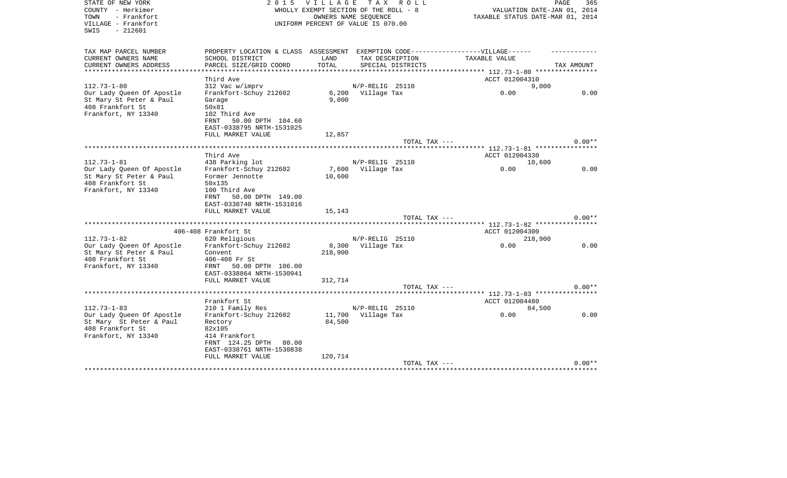| STATE OF NEW YORK<br>COUNTY - Herkimer<br>- Frankfort<br>TOWN<br>VILLAGE - Frankfort | 2 0 1 5                              | <b>VILLAGE</b> | TAX ROLL<br>WHOLLY EXEMPT SECTION OF THE ROLL - 8<br>OWNERS NAME SEOUENCE<br>UNIFORM PERCENT OF VALUE IS 070.00 | VALUATION DATE-JAN 01, 2014<br>TAXABLE STATUS DATE-MAR 01, 2014 | PAGE<br>365 |
|--------------------------------------------------------------------------------------|--------------------------------------|----------------|-----------------------------------------------------------------------------------------------------------------|-----------------------------------------------------------------|-------------|
| $-212601$<br>SWIS                                                                    |                                      |                |                                                                                                                 |                                                                 |             |
| TAX MAP PARCEL NUMBER                                                                | PROPERTY LOCATION & CLASS ASSESSMENT |                |                                                                                                                 | EXEMPTION CODE------------------VILLAGE------                   |             |
| CURRENT OWNERS NAME                                                                  | SCHOOL DISTRICT                      | LAND           | TAX DESCRIPTION                                                                                                 | TAXABLE VALUE                                                   |             |
| CURRENT OWNERS ADDRESS                                                               | PARCEL SIZE/GRID COORD               | TOTAL          | SPECIAL DISTRICTS                                                                                               | ********** 112.73-1-80 *****************                        | TAX AMOUNT  |
|                                                                                      | Third Ave                            |                |                                                                                                                 | ACCT 012004310                                                  |             |
| $112.73 - 1 - 80$                                                                    | 312 Vac w/imprv                      |                | N/P-RELIG 25110                                                                                                 | 9,000                                                           |             |
| Our Lady Queen Of Apostle                                                            | Frankfort-Schuy 212602               |                | 6,200 Village Tax                                                                                               | 0.00                                                            | 0.00        |
| St Mary St Peter & Paul                                                              | Garage                               | 9.000          |                                                                                                                 |                                                                 |             |
| 408 Frankfort St                                                                     | 50x81                                |                |                                                                                                                 |                                                                 |             |
| Frankfort, NY 13340                                                                  | 102 Third Ave                        |                |                                                                                                                 |                                                                 |             |
|                                                                                      | FRNT<br>50.00 DPTH 104.60            |                |                                                                                                                 |                                                                 |             |
|                                                                                      | EAST-0338795 NRTH-1531025            |                |                                                                                                                 |                                                                 |             |
|                                                                                      | FULL MARKET VALUE                    | 12,857         | TOTAL TAX ---                                                                                                   |                                                                 | $0.00**$    |
| **************************                                                           |                                      |                |                                                                                                                 |                                                                 |             |
|                                                                                      | Third Ave                            |                |                                                                                                                 | ACCT 012004330                                                  |             |
| $112.73 - 1 - 81$                                                                    | 438 Parking lot                      |                | N/P-RELIG 25110                                                                                                 | 10,600                                                          |             |
| Our Lady Queen Of Apostle                                                            | Frankfort-Schuy 212602               | 7,600          | Village Tax                                                                                                     | 0.00                                                            | 0.00        |
| St Mary St Peter & Paul                                                              | Former Jennotte                      | 10,600         |                                                                                                                 |                                                                 |             |
| 408 Frankfort St                                                                     | 50x135                               |                |                                                                                                                 |                                                                 |             |
| Frankfort, NY 13340                                                                  | 100 Third Ave                        |                |                                                                                                                 |                                                                 |             |
|                                                                                      | 50.00 DPTH 149.00<br>FRNT            |                |                                                                                                                 |                                                                 |             |
|                                                                                      | EAST-0338740 NRTH-1531016            |                |                                                                                                                 |                                                                 |             |
|                                                                                      | FULL MARKET VALUE                    | 15,143         | TOTAL TAX ---                                                                                                   |                                                                 | $0.00**$    |
|                                                                                      |                                      |                |                                                                                                                 | *** 112.73-1-82 *****                                           |             |
|                                                                                      | 406-408 Frankfort St                 |                |                                                                                                                 | ACCT 012004300                                                  |             |
| $112.73 - 1 - 82$                                                                    | 620 Religious                        |                | N/P-RELIG 25110                                                                                                 | 218,900                                                         |             |
| Our Lady Queen Of Apostle                                                            | Frankfort-Schuy 212602               | 8,300          | Village Tax                                                                                                     | 0.00                                                            | 0.00        |
| St Mary St Peter & Paul                                                              | Convent                              | 218,900        |                                                                                                                 |                                                                 |             |
| 408 Frankfort St                                                                     | 406-408 Fr St                        |                |                                                                                                                 |                                                                 |             |
| Frankfort, NY 13340                                                                  | FRNT 50.00 DPTH 106.00               |                |                                                                                                                 |                                                                 |             |
|                                                                                      | EAST-0338864 NRTH-1530941            |                |                                                                                                                 |                                                                 |             |
|                                                                                      | FULL MARKET VALUE                    | 312,714        |                                                                                                                 |                                                                 |             |
|                                                                                      |                                      |                | TOTAL TAX ---                                                                                                   | $***$ 112.73-1-83 *****                                         | $0.00**$    |
|                                                                                      | Frankfort St                         |                |                                                                                                                 | ACCT 012004480                                                  |             |
| $112.73 - 1 - 83$                                                                    | 210 1 Family Res                     |                | N/P-RELIG 25110                                                                                                 | 84,500                                                          |             |
| Our Lady Queen Of Apostle                                                            | Frankfort-Schuy 212602               | 11,700         | Village Tax                                                                                                     | 0.00                                                            | 0.00        |
| St Mary St Peter & Paul                                                              | Rectory                              | 84,500         |                                                                                                                 |                                                                 |             |
| 408 Frankfort St                                                                     | 82x105                               |                |                                                                                                                 |                                                                 |             |
| Frankfort, NY 13340                                                                  | 414 Frankfort                        |                |                                                                                                                 |                                                                 |             |
|                                                                                      | FRNT 124.25 DPTH<br>80.00            |                |                                                                                                                 |                                                                 |             |
|                                                                                      | EAST-0338761 NRTH-1530838            |                |                                                                                                                 |                                                                 |             |
|                                                                                      | FULL MARKET VALUE                    | 120,714        |                                                                                                                 |                                                                 |             |
|                                                                                      |                                      |                | TOTAL TAX ---                                                                                                   |                                                                 | $0.00**$    |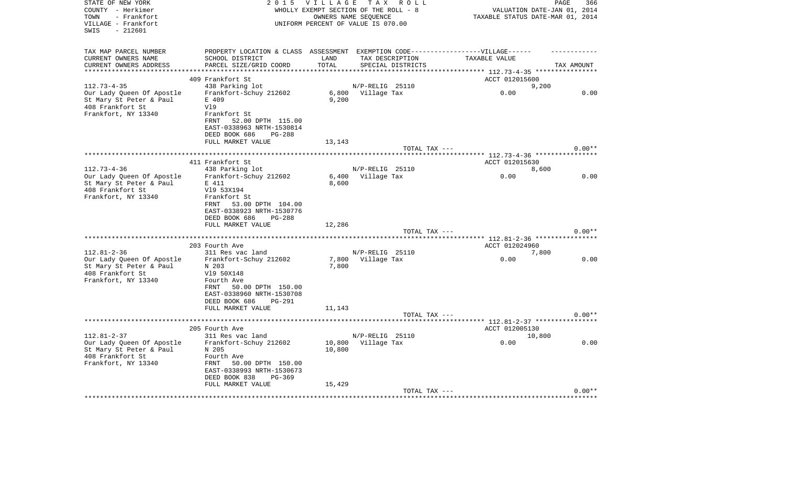| STATE OF NEW YORK<br>COUNTY - Herkimer<br>- Frankfort<br>TOWN<br>VILLAGE - Frankfort<br>SWIS<br>- 212601 | 2 0 1 5                                                                          | <b>VILLAGE</b><br>WHOLLY EXEMPT SECTION OF THE ROLL - 8<br>UNIFORM PERCENT OF VALUE IS 070.00 | OWNERS NAME SEQUENCE | TAX ROLL          | TAXABLE STATUS DATE-MAR 01, 2014         | PAGE<br>VALUATION DATE-JAN 01, 2014 | 366      |
|----------------------------------------------------------------------------------------------------------|----------------------------------------------------------------------------------|-----------------------------------------------------------------------------------------------|----------------------|-------------------|------------------------------------------|-------------------------------------|----------|
| TAX MAP PARCEL NUMBER                                                                                    | PROPERTY LOCATION & CLASS ASSESSMENT EXEMPTION CODE----------------VILLAGE------ |                                                                                               |                      |                   |                                          |                                     |          |
| CURRENT OWNERS NAME                                                                                      | SCHOOL DISTRICT                                                                  | LAND                                                                                          | TAX DESCRIPTION      |                   | TAXABLE VALUE                            |                                     |          |
| CURRENT OWNERS ADDRESS<br>**********************                                                         | PARCEL SIZE/GRID COORD                                                           | TOTAL                                                                                         |                      | SPECIAL DISTRICTS |                                          | TAX AMOUNT                          |          |
|                                                                                                          | 409 Frankfort St                                                                 |                                                                                               |                      |                   | ACCT 012015600                           |                                     |          |
| $112.73 - 4 - 35$                                                                                        | 438 Parking lot                                                                  |                                                                                               | $N/P-RELIG$ 25110    |                   |                                          | 9,200                               |          |
| Our Lady Queen Of Apostle                                                                                | Frankfort-Schuy 212602                                                           |                                                                                               | 6,800 Village Tax    |                   | 0.00                                     |                                     | 0.00     |
| St Mary St Peter & Paul                                                                                  | E 409                                                                            | 9,200                                                                                         |                      |                   |                                          |                                     |          |
| 408 Frankfort St                                                                                         | V19                                                                              |                                                                                               |                      |                   |                                          |                                     |          |
| Frankfort, NY 13340                                                                                      | Frankfort St                                                                     |                                                                                               |                      |                   |                                          |                                     |          |
|                                                                                                          | 52.00 DPTH 115.00<br><b>FRNT</b>                                                 |                                                                                               |                      |                   |                                          |                                     |          |
|                                                                                                          | EAST-0338963 NRTH-1530814<br>DEED BOOK 686<br><b>PG-288</b>                      |                                                                                               |                      |                   |                                          |                                     |          |
|                                                                                                          | FULL MARKET VALUE                                                                | 13,143                                                                                        |                      |                   |                                          |                                     |          |
|                                                                                                          |                                                                                  |                                                                                               |                      | TOTAL TAX ---     |                                          |                                     | $0.00**$ |
|                                                                                                          |                                                                                  |                                                                                               |                      |                   |                                          |                                     |          |
|                                                                                                          | 411 Frankfort St                                                                 |                                                                                               |                      |                   | ACCT 012015630                           |                                     |          |
| $112.73 - 4 - 36$                                                                                        | 438 Parking lot                                                                  |                                                                                               | N/P-RELIG 25110      |                   |                                          | 8,600                               |          |
| Our Lady Queen Of Apostle<br>St Mary St Peter & Paul                                                     | Frankfort-Schuy 212602<br>E 411                                                  | 8,600                                                                                         | 6,400 Village Tax    |                   | 0.00                                     |                                     | 0.00     |
| 408 Frankfort St                                                                                         | V19 53X194                                                                       |                                                                                               |                      |                   |                                          |                                     |          |
| Frankfort, NY 13340                                                                                      | Frankfort St                                                                     |                                                                                               |                      |                   |                                          |                                     |          |
|                                                                                                          | FRNT<br>53.00 DPTH 104.00                                                        |                                                                                               |                      |                   |                                          |                                     |          |
|                                                                                                          | EAST-0338923 NRTH-1530776                                                        |                                                                                               |                      |                   |                                          |                                     |          |
|                                                                                                          | DEED BOOK 686<br>PG-288<br>FULL MARKET VALUE                                     | 12,286                                                                                        |                      |                   |                                          |                                     |          |
|                                                                                                          |                                                                                  |                                                                                               |                      | TOTAL TAX ---     |                                          |                                     | $0.00**$ |
|                                                                                                          |                                                                                  |                                                                                               |                      |                   | ********** 112.81-2-36 ***************** |                                     |          |
|                                                                                                          | 203 Fourth Ave                                                                   |                                                                                               |                      |                   | ACCT 012024960                           |                                     |          |
| $112.81 - 2 - 36$                                                                                        | 311 Res vac land                                                                 |                                                                                               | N/P-RELIG 25110      |                   |                                          | 7,800                               |          |
| Our Lady Queen Of Apostle                                                                                | Frankfort-Schuy 212602                                                           |                                                                                               | 7,800 Village Tax    |                   | 0.00                                     |                                     | 0.00     |
| St Mary St Peter & Paul<br>408 Frankfort St                                                              | N 203<br>V19 50X148                                                              | 7,800                                                                                         |                      |                   |                                          |                                     |          |
| Frankfort, NY 13340                                                                                      | Fourth Ave                                                                       |                                                                                               |                      |                   |                                          |                                     |          |
|                                                                                                          | 50.00 DPTH 150.00<br>FRNT                                                        |                                                                                               |                      |                   |                                          |                                     |          |
|                                                                                                          | EAST-0338960 NRTH-1530708                                                        |                                                                                               |                      |                   |                                          |                                     |          |
|                                                                                                          | DEED BOOK 686<br><b>PG-291</b>                                                   |                                                                                               |                      |                   |                                          |                                     |          |
|                                                                                                          | FULL MARKET VALUE                                                                | 11,143                                                                                        |                      |                   |                                          |                                     |          |
|                                                                                                          |                                                                                  |                                                                                               |                      | TOTAL TAX ---     |                                          |                                     | $0.00**$ |
|                                                                                                          | 205 Fourth Ave                                                                   |                                                                                               |                      |                   | ACCT 012005130                           |                                     |          |
| $112.81 - 2 - 37$                                                                                        | 311 Res vac land                                                                 |                                                                                               | N/P-RELIG 25110      |                   |                                          | 10,800                              |          |
| Our Lady Queen Of Apostle                                                                                | Frankfort-Schuy 212602                                                           | 10,800                                                                                        | Village Tax          |                   | 0.00                                     |                                     | 0.00     |
| St Mary St Peter & Paul                                                                                  | N 205                                                                            | 10,800                                                                                        |                      |                   |                                          |                                     |          |
| 408 Frankfort St                                                                                         | Fourth Ave                                                                       |                                                                                               |                      |                   |                                          |                                     |          |
| Frankfort, NY 13340                                                                                      | FRNT<br>50.00 DPTH 150.00<br>EAST-0338993 NRTH-1530673                           |                                                                                               |                      |                   |                                          |                                     |          |
|                                                                                                          | DEED BOOK 838<br>$PG-369$                                                        |                                                                                               |                      |                   |                                          |                                     |          |
|                                                                                                          | FULL MARKET VALUE                                                                | 15,429                                                                                        |                      |                   |                                          |                                     |          |
|                                                                                                          |                                                                                  |                                                                                               |                      | TOTAL TAX ---     |                                          |                                     | $0.00**$ |
|                                                                                                          |                                                                                  |                                                                                               |                      |                   |                                          |                                     |          |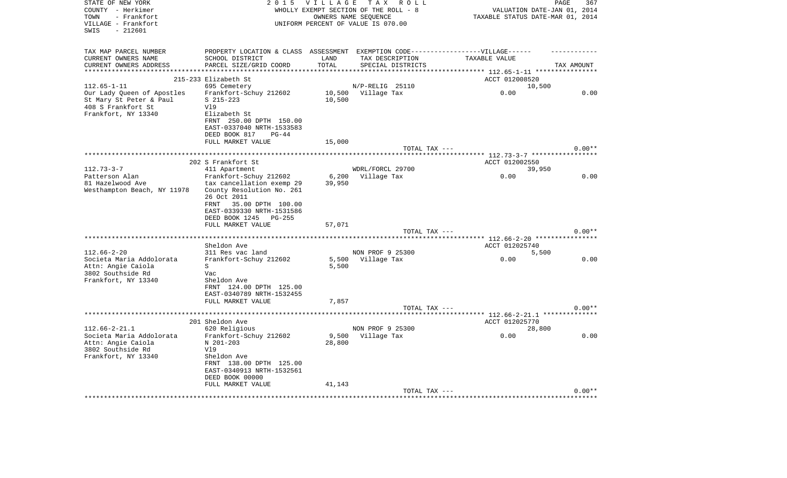| STATE OF NEW YORK<br>COUNTY - Herkimer<br>- Frankfort<br>TOWN<br>VILLAGE - Frankfort<br>$-212601$<br>SWIS | 2 0 1 5                                                                                                                                                   | <b>VILLAGE</b><br>WHOLLY EXEMPT SECTION OF THE ROLL - 8<br>UNIFORM PERCENT OF VALUE IS 070.00 | OWNERS NAME SEQUENCE | TAX ROLL          | TAXABLE STATUS DATE-MAR 01, 2014                               | PAGE<br>VALUATION DATE-JAN 01, 2014 | 367      |
|-----------------------------------------------------------------------------------------------------------|-----------------------------------------------------------------------------------------------------------------------------------------------------------|-----------------------------------------------------------------------------------------------|----------------------|-------------------|----------------------------------------------------------------|-------------------------------------|----------|
| TAX MAP PARCEL NUMBER<br>CURRENT OWNERS NAME<br>CURRENT OWNERS ADDRESS<br>*******************             | PROPERTY LOCATION & CLASS ASSESSMENT<br>SCHOOL DISTRICT<br>PARCEL SIZE/GRID COORD                                                                         | LAND<br>TOTAL<br>**********                                                                   | TAX DESCRIPTION      | SPECIAL DISTRICTS | EXEMPTION CODE------------------VILLAGE------<br>TAXABLE VALUE | TAX AMOUNT                          |          |
|                                                                                                           | 215-233 Elizabeth St                                                                                                                                      |                                                                                               |                      |                   | ACCT 012008520                                                 |                                     |          |
| $112.65 - 1 - 11$                                                                                         | 695 Cemetery                                                                                                                                              |                                                                                               | N/P-RELIG 25110      |                   |                                                                | 10,500                              |          |
| Our Lady Queen of Apostles<br>St Mary St Peter & Paul<br>408 S Frankfort St<br>Frankfort, NY 13340        | Frankfort-Schuy 212602<br>$S$ 215-223<br>V19<br>Elizabeth St<br>FRNT 250.00 DPTH 150.00                                                                   | 10,500<br>10,500                                                                              | Village Tax          |                   | 0.00                                                           |                                     | 0.00     |
|                                                                                                           | EAST-0337040 NRTH-1533583                                                                                                                                 |                                                                                               |                      |                   |                                                                |                                     |          |
|                                                                                                           | DEED BOOK 817<br>$PG-44$<br>FULL MARKET VALUE                                                                                                             |                                                                                               |                      |                   |                                                                |                                     |          |
|                                                                                                           |                                                                                                                                                           | 15,000                                                                                        |                      | TOTAL TAX ---     |                                                                |                                     | $0.00**$ |
|                                                                                                           |                                                                                                                                                           |                                                                                               |                      |                   | ************************** 112.73-3-7 ******************       |                                     |          |
|                                                                                                           | 202 S Frankfort St                                                                                                                                        |                                                                                               |                      |                   | ACCT 012002550                                                 |                                     |          |
| $112.73 - 3 - 7$                                                                                          | 411 Apartment                                                                                                                                             |                                                                                               | WDRL/FORCL 29700     |                   |                                                                | 39,950                              |          |
| Patterson Alan<br>81 Hazelwood Ave                                                                        | Frankfort-Schuy 212602<br>tax cancellation exemp 29                                                                                                       | 6,200<br>39,950                                                                               | Village Tax          |                   | 0.00                                                           |                                     | 0.00     |
| Westhampton Beach, NY 11978                                                                               | County Resolution No. 261<br>26 Oct 2011<br>FRNT<br>35.00 DPTH 100.00<br>EAST-0339330 NRTH-1531586<br>DEED BOOK 1245<br>$PG-255$                          |                                                                                               |                      |                   |                                                                |                                     |          |
|                                                                                                           | FULL MARKET VALUE                                                                                                                                         | 57,071                                                                                        |                      | TOTAL TAX ---     |                                                                |                                     | $0.00**$ |
|                                                                                                           |                                                                                                                                                           |                                                                                               |                      |                   | ***** 112.66-2-20 **********                                   |                                     |          |
|                                                                                                           | Sheldon Ave                                                                                                                                               |                                                                                               |                      |                   | ACCT 012025740                                                 |                                     |          |
| $112.66 - 2 - 20$                                                                                         | 311 Res vac land                                                                                                                                          |                                                                                               | NON PROF 9 25300     |                   |                                                                | 5,500                               |          |
| Societa Maria Addolorata<br>Attn: Angie Caiola<br>3802 Southside Rd<br>Frankfort, NY 13340                | Frankfort-Schuy 212602<br>S<br>Vac<br>Sheldon Ave<br>FRNT 124.00 DPTH 125.00<br>EAST-0340789 NRTH-1532455                                                 | 5,500<br>5,500                                                                                | Village Tax          |                   | 0.00                                                           |                                     | 0.00     |
|                                                                                                           | FULL MARKET VALUE                                                                                                                                         | 7,857                                                                                         |                      |                   |                                                                |                                     |          |
|                                                                                                           |                                                                                                                                                           |                                                                                               |                      | TOTAL TAX ---     |                                                                |                                     | $0.00**$ |
|                                                                                                           | *****************                                                                                                                                         |                                                                                               |                      |                   | *** 112.66-2-21.1 **************                               |                                     |          |
| $112.66 - 2 - 21.1$                                                                                       | 201 Sheldon Ave<br>620 Religious                                                                                                                          |                                                                                               | NON PROF 9 25300     |                   | ACCT 012025770                                                 | 28,800                              |          |
| Societa Maria Addolorata<br>Attn: Angie Caiola<br>3802 Southside Rd<br>Frankfort, NY 13340                | Frankfort-Schuy 212602<br>N 201-203<br>V19<br>Sheldon Ave<br>FRNT 138.00 DPTH 125.00<br>EAST-0340913 NRTH-1532561<br>DEED BOOK 00000<br>FULL MARKET VALUE | 9,500<br>28,800<br>41,143                                                                     | Village Tax          |                   | 0.00                                                           |                                     | 0.00     |
|                                                                                                           |                                                                                                                                                           |                                                                                               |                      | TOTAL TAX ---     |                                                                |                                     | $0.00**$ |
|                                                                                                           |                                                                                                                                                           |                                                                                               |                      |                   |                                                                |                                     |          |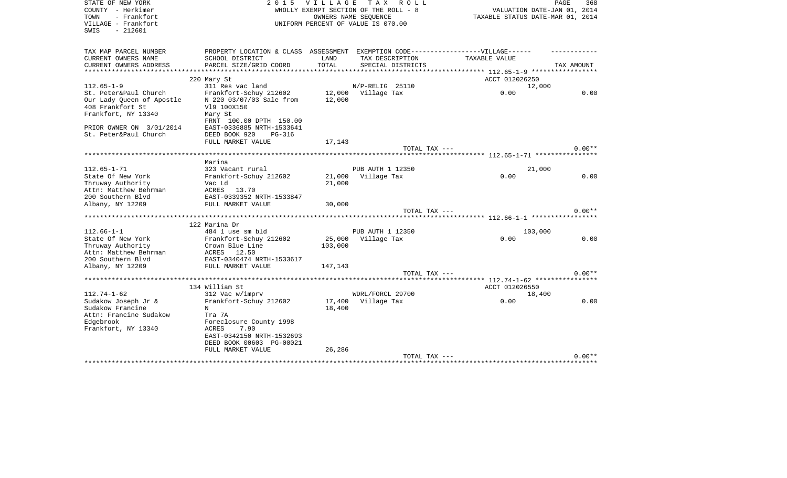| STATE OF NEW YORK<br>COUNTY - Herkimer<br>- Frankfort<br>TOWN<br>VILLAGE - Frankfort<br>$-212601$<br>SWIS | 2 0 1 5                                                                                             | <b>VILLAGE</b>       | TAX ROLL<br>WHOLLY EXEMPT SECTION OF THE ROLL - 8<br>OWNERS NAME SEOUENCE<br>UNIFORM PERCENT OF VALUE IS 070.00 | VALUATION DATE-JAN 01, 2014<br>TAXABLE STATUS DATE-MAR 01, 2014 | PAGE<br>368 |
|-----------------------------------------------------------------------------------------------------------|-----------------------------------------------------------------------------------------------------|----------------------|-----------------------------------------------------------------------------------------------------------------|-----------------------------------------------------------------|-------------|
| TAX MAP PARCEL NUMBER<br>CURRENT OWNERS NAME                                                              | PROPERTY LOCATION & CLASS ASSESSMENT EXEMPTION CODE----------------VILLAGE------<br>SCHOOL DISTRICT | LAND                 | TAX DESCRIPTION                                                                                                 | TAXABLE VALUE                                                   |             |
| CURRENT OWNERS ADDRESS                                                                                    | PARCEL SIZE/GRID COORD                                                                              | TOTAL                | SPECIAL DISTRICTS                                                                                               |                                                                 | TAX AMOUNT  |
| *******************                                                                                       |                                                                                                     | ******************** |                                                                                                                 | ************ 112.65-1-9 ******************                      |             |
|                                                                                                           | 220 Mary St                                                                                         |                      |                                                                                                                 | ACCT 012026250                                                  |             |
| $112.65 - 1 - 9$                                                                                          | 311 Res vac land                                                                                    |                      | N/P-RELIG 25110                                                                                                 | 12,000                                                          |             |
| St. Peter&Paul Church<br>Our Lady Queen of Apostle                                                        | Frankfort-Schuy 212602<br>N 220 03/07/03 Sale from                                                  | 12,000               | 12,000 Village Tax                                                                                              | 0.00                                                            | 0.00        |
| 408 Frankfort St                                                                                          | V19 100X150                                                                                         |                      |                                                                                                                 |                                                                 |             |
| Frankfort, NY 13340                                                                                       | Mary St                                                                                             |                      |                                                                                                                 |                                                                 |             |
|                                                                                                           | FRNT 100.00 DPTH 150.00                                                                             |                      |                                                                                                                 |                                                                 |             |
| PRIOR OWNER ON 3/01/2014                                                                                  | EAST-0336885 NRTH-1533641                                                                           |                      |                                                                                                                 |                                                                 |             |
| St. Peter&Paul Church                                                                                     | DEED BOOK 920<br>$PG-316$                                                                           |                      |                                                                                                                 |                                                                 |             |
|                                                                                                           | FULL MARKET VALUE                                                                                   | 17,143               |                                                                                                                 |                                                                 |             |
|                                                                                                           |                                                                                                     |                      | TOTAL TAX ---                                                                                                   |                                                                 | $0.00**$    |
|                                                                                                           | Marina                                                                                              |                      |                                                                                                                 |                                                                 |             |
| $112.65 - 1 - 71$                                                                                         | 323 Vacant rural                                                                                    |                      | PUB AUTH 1 12350                                                                                                | 21,000                                                          |             |
| State Of New York                                                                                         | Frankfort-Schuy 212602                                                                              | 21,000               | Village Tax                                                                                                     | 0.00                                                            | 0.00        |
| Thruway Authority                                                                                         | Vac Ld                                                                                              | 21,000               |                                                                                                                 |                                                                 |             |
| Attn: Matthew Behrman                                                                                     | ACRES<br>13.70                                                                                      |                      |                                                                                                                 |                                                                 |             |
| 200 Southern Blyd                                                                                         | EAST-0339352 NRTH-1533847                                                                           |                      |                                                                                                                 |                                                                 |             |
| Albany, NY 12209                                                                                          | FULL MARKET VALUE                                                                                   | 30,000               | TOTAL TAX ---                                                                                                   |                                                                 | $0.00**$    |
|                                                                                                           |                                                                                                     |                      |                                                                                                                 |                                                                 |             |
|                                                                                                           | 122 Marina Dr                                                                                       |                      |                                                                                                                 |                                                                 |             |
| $112.66 - 1 - 1$                                                                                          | 484 1 use sm bld                                                                                    |                      | PUB AUTH 1 12350                                                                                                | 103,000                                                         |             |
| State Of New York                                                                                         | Frankfort-Schuy 212602                                                                              | 25,000               | Village Tax                                                                                                     | 0.00                                                            | 0.00        |
| Thruway Authority                                                                                         | Crown Blue Line                                                                                     | 103,000              |                                                                                                                 |                                                                 |             |
| Attn: Matthew Behrman                                                                                     | ACRES 12.50                                                                                         |                      |                                                                                                                 |                                                                 |             |
| 200 Southern Blvd<br>Albany, NY 12209                                                                     | EAST-0340474 NRTH-1533617<br>FULL MARKET VALUE                                                      | 147,143              |                                                                                                                 |                                                                 |             |
|                                                                                                           |                                                                                                     |                      | TOTAL TAX ---                                                                                                   |                                                                 | $0.00**$    |
|                                                                                                           |                                                                                                     |                      |                                                                                                                 |                                                                 |             |
|                                                                                                           | 134 William St                                                                                      |                      |                                                                                                                 | ACCT 012026550                                                  |             |
| $112.74 - 1 - 62$                                                                                         | 312 Vac w/imprv                                                                                     |                      | WDRL/FORCL 29700                                                                                                | 18,400                                                          |             |
| Sudakow Joseph Jr &                                                                                       | Frankfort-Schuy 212602                                                                              | 17,400               | Village Tax                                                                                                     | 0.00                                                            | 0.00        |
| Sudakow Francine                                                                                          | N                                                                                                   | 18,400               |                                                                                                                 |                                                                 |             |
| Attn: Francine Sudakow                                                                                    | Tra 7A                                                                                              |                      |                                                                                                                 |                                                                 |             |
| Edgebrook<br>Frankfort, NY 13340                                                                          | Foreclosure County 1998<br><b>ACRES</b><br>7.90                                                     |                      |                                                                                                                 |                                                                 |             |
|                                                                                                           | EAST-0342150 NRTH-1532693                                                                           |                      |                                                                                                                 |                                                                 |             |
|                                                                                                           | DEED BOOK 00603 PG-00021                                                                            |                      |                                                                                                                 |                                                                 |             |
|                                                                                                           | FULL MARKET VALUE                                                                                   | 26,286               |                                                                                                                 |                                                                 |             |
|                                                                                                           |                                                                                                     |                      | TOTAL TAX ---                                                                                                   |                                                                 | $0.00**$    |
|                                                                                                           |                                                                                                     |                      |                                                                                                                 |                                                                 |             |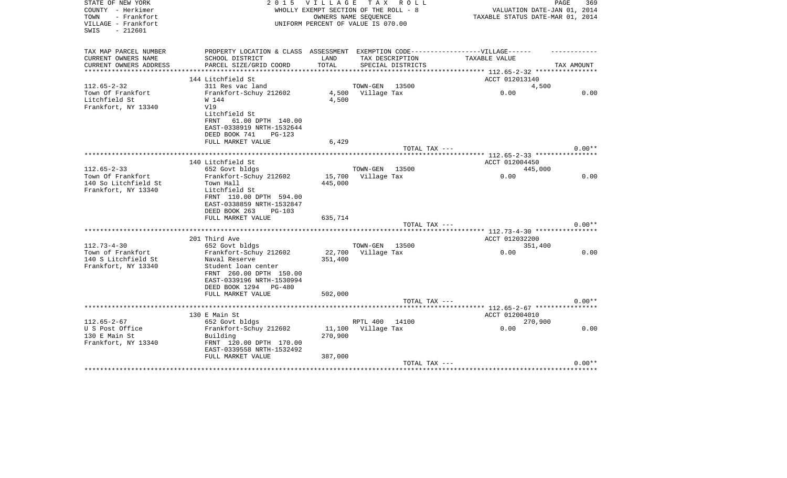| STATE OF NEW YORK<br>COUNTY - Herkimer<br>- Frankfort<br>TOWN<br>VILLAGE - Frankfort<br>$-212601$<br>SWIS | 2 0 1 5                                                                           |                   | VILLAGE TAX ROLL<br>WHOLLY EXEMPT SECTION OF THE ROLL - 8<br>OWNERS NAME SEQUENCE<br>UNIFORM PERCENT OF VALUE IS 070.00 | VALUATION DATE-JAN 01, 2014<br>TAXABLE STATUS DATE-MAR 01, 2014 | PAGE<br>369 |
|-----------------------------------------------------------------------------------------------------------|-----------------------------------------------------------------------------------|-------------------|-------------------------------------------------------------------------------------------------------------------------|-----------------------------------------------------------------|-------------|
| TAX MAP PARCEL NUMBER                                                                                     | PROPERTY LOCATION & CLASS ASSESSMENT EXEMPTION CODE-----------------VILLAGE------ |                   |                                                                                                                         |                                                                 |             |
| CURRENT OWNERS NAME                                                                                       | SCHOOL DISTRICT                                                                   | LAND              | TAX DESCRIPTION                                                                                                         | TAXABLE VALUE                                                   |             |
| CURRENT OWNERS ADDRESS<br>**********************                                                          | PARCEL SIZE/GRID COORD                                                            | TOTAL             | SPECIAL DISTRICTS                                                                                                       |                                                                 | TAX AMOUNT  |
|                                                                                                           | 144 Litchfield St                                                                 |                   |                                                                                                                         | ACCT 012013140                                                  |             |
| $112.65 - 2 - 32$                                                                                         | 311 Res vac land                                                                  |                   | TOWN-GEN<br>13500                                                                                                       | 4,500                                                           |             |
| Town Of Frankfort                                                                                         | Frankfort-Schuy 212602                                                            |                   | 4,500 Village Tax                                                                                                       | 0.00                                                            | 0.00        |
| Litchfield St                                                                                             | W 144                                                                             | 4,500             |                                                                                                                         |                                                                 |             |
| Frankfort, NY 13340                                                                                       | V19                                                                               |                   |                                                                                                                         |                                                                 |             |
|                                                                                                           | Litchfield St                                                                     |                   |                                                                                                                         |                                                                 |             |
|                                                                                                           | FRNT<br>61.00 DPTH 140.00<br>EAST-0338919 NRTH-1532644                            |                   |                                                                                                                         |                                                                 |             |
|                                                                                                           | DEED BOOK 741<br><b>PG-123</b>                                                    |                   |                                                                                                                         |                                                                 |             |
|                                                                                                           | FULL MARKET VALUE                                                                 | 6,429             |                                                                                                                         |                                                                 |             |
|                                                                                                           |                                                                                   |                   | TOTAL TAX ---                                                                                                           |                                                                 | $0.00**$    |
|                                                                                                           |                                                                                   |                   |                                                                                                                         |                                                                 |             |
|                                                                                                           | 140 Litchfield St                                                                 |                   |                                                                                                                         | ACCT 012004450                                                  |             |
| $112.65 - 2 - 33$                                                                                         | 652 Govt bldgs                                                                    |                   | TOWN-GEN<br>13500                                                                                                       | 445,000                                                         |             |
| Town Of Frankfort                                                                                         | Frankfort-Schuy 212602<br>Town Hall                                               | 15,700<br>445,000 | Village Tax                                                                                                             | 0.00                                                            | 0.00        |
| 140 So Litchfield St<br>Frankfort, NY 13340                                                               | Litchfield St<br>FRNT 110.00 DPTH 594.00                                          |                   |                                                                                                                         |                                                                 |             |
|                                                                                                           | EAST-0338859 NRTH-1532847<br>DEED BOOK 263<br>$PG-103$                            |                   |                                                                                                                         |                                                                 |             |
|                                                                                                           | FULL MARKET VALUE                                                                 | 635,714           | TOTAL TAX ---                                                                                                           |                                                                 | $0.00**$    |
|                                                                                                           |                                                                                   |                   |                                                                                                                         | ************ 112.73-4-30 *****************                      |             |
|                                                                                                           | 201 Third Ave                                                                     |                   |                                                                                                                         | ACCT 012032200                                                  |             |
| $112.73 - 4 - 30$                                                                                         | 652 Govt bldgs                                                                    |                   | TOWN-GEN<br>13500                                                                                                       | 351,400                                                         |             |
| Town of Frankfort                                                                                         | Frankfort-Schuy 212602                                                            | 22,700            | Village Tax                                                                                                             | 0.00                                                            | 0.00        |
| 140 S Litchfield St                                                                                       | Naval Reserve                                                                     | 351,400           |                                                                                                                         |                                                                 |             |
| Frankfort, NY 13340                                                                                       | Student loan center<br>FRNT 260.00 DPTH 150.00                                    |                   |                                                                                                                         |                                                                 |             |
|                                                                                                           | EAST-0339196 NRTH-1530994                                                         |                   |                                                                                                                         |                                                                 |             |
|                                                                                                           | DEED BOOK 1294 PG-480                                                             |                   |                                                                                                                         |                                                                 |             |
|                                                                                                           | FULL MARKET VALUE                                                                 | 502,000           |                                                                                                                         |                                                                 |             |
|                                                                                                           |                                                                                   |                   | TOTAL TAX ---                                                                                                           |                                                                 | $0.00**$    |
|                                                                                                           | ************************                                                          |                   |                                                                                                                         | ***** 112.65-2-67 ************                                  |             |
|                                                                                                           | 130 E Main St                                                                     |                   |                                                                                                                         | ACCT 012004010                                                  |             |
| $112.65 - 2 - 67$                                                                                         | 652 Govt bldgs                                                                    |                   | RPTL 400<br>14100                                                                                                       | 270,900                                                         |             |
| U S Post Office<br>130 E Main St                                                                          | Frankfort-Schuy 212602                                                            | 11,100<br>270,900 | Village Tax                                                                                                             | 0.00                                                            | 0.00        |
| Frankfort, NY 13340                                                                                       | Building<br>FRNT 120.00 DPTH 170.00                                               |                   |                                                                                                                         |                                                                 |             |
|                                                                                                           | EAST-0339558 NRTH-1532492                                                         |                   |                                                                                                                         |                                                                 |             |
|                                                                                                           | FULL MARKET VALUE                                                                 | 387,000           |                                                                                                                         |                                                                 |             |
|                                                                                                           |                                                                                   |                   | TOTAL TAX ---                                                                                                           |                                                                 | $0.00**$    |
|                                                                                                           |                                                                                   |                   |                                                                                                                         |                                                                 |             |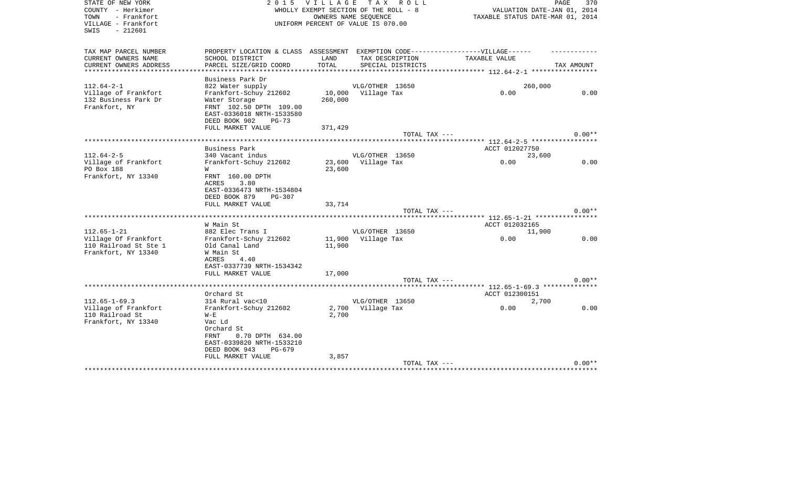| STATE OF NEW YORK<br>COUNTY - Herkimer<br>- Frankfort<br>TOWN<br>VILLAGE - Frankfort<br>$-212601$<br>SWIS | 2 0 1 5                                                                          |               | VILLAGE TAX ROLL<br>WHOLLY EXEMPT SECTION OF THE ROLL - 8<br>OWNERS NAME SEOUENCE<br>UNIFORM PERCENT OF VALUE IS 070.00 |                                                 | PAGE<br>370<br>VALUATION DATE-JAN 01, 2014<br>TAXABLE STATUS DATE-MAR 01, 2014 |
|-----------------------------------------------------------------------------------------------------------|----------------------------------------------------------------------------------|---------------|-------------------------------------------------------------------------------------------------------------------------|-------------------------------------------------|--------------------------------------------------------------------------------|
| TAX MAP PARCEL NUMBER                                                                                     | PROPERTY LOCATION & CLASS ASSESSMENT EXEMPTION CODE----------------VILLAGE------ |               |                                                                                                                         |                                                 |                                                                                |
| CURRENT OWNERS NAME<br>CURRENT OWNERS ADDRESS                                                             | SCHOOL DISTRICT<br>PARCEL SIZE/GRID COORD                                        | LAND<br>TOTAL | TAX DESCRIPTION                                                                                                         | TAXABLE VALUE                                   | TAX AMOUNT                                                                     |
| ****************                                                                                          |                                                                                  |               | SPECIAL DISTRICTS                                                                                                       | ***************** 112.64-2-1 ****************** |                                                                                |
|                                                                                                           | Business Park Dr                                                                 |               |                                                                                                                         |                                                 |                                                                                |
| $112.64 - 2 - 1$                                                                                          | 822 Water supply                                                                 |               | VLG/OTHER 13650                                                                                                         |                                                 | 260,000                                                                        |
| Village of Frankfort                                                                                      | Frankfort-Schuy 212602                                                           |               | 10,000 Village Tax                                                                                                      | 0.00                                            | 0.00                                                                           |
| 132 Business Park Dr<br>Frankfort, NY                                                                     | Water Storage<br>FRNT 102.50 DPTH 109.00                                         | 260,000       |                                                                                                                         |                                                 |                                                                                |
|                                                                                                           | EAST-0336018 NRTH-1533580                                                        |               |                                                                                                                         |                                                 |                                                                                |
|                                                                                                           | DEED BOOK 902<br>$PG-73$                                                         |               |                                                                                                                         |                                                 |                                                                                |
|                                                                                                           | FULL MARKET VALUE                                                                | 371,429       |                                                                                                                         |                                                 |                                                                                |
|                                                                                                           |                                                                                  |               | TOTAL TAX ---                                                                                                           |                                                 | $0.00**$                                                                       |
|                                                                                                           | ******************************                                                   |               |                                                                                                                         | ****** 112.64-2-5 **************                |                                                                                |
| $112.64 - 2 - 5$                                                                                          | Business Park<br>340 Vacant indus                                                |               | VLG/OTHER 13650                                                                                                         | ACCT 012027750                                  | 23,600                                                                         |
| Village of Frankfort                                                                                      | Frankfort-Schuy 212602                                                           |               | 23,600 Village Tax                                                                                                      | 0.00                                            | 0.00                                                                           |
| PO Box 188                                                                                                | W                                                                                | 23,600        |                                                                                                                         |                                                 |                                                                                |
| Frankfort, NY 13340                                                                                       | FRNT 160.00 DPTH<br>3.80<br>ACRES                                                |               |                                                                                                                         |                                                 |                                                                                |
|                                                                                                           | EAST-0336473 NRTH-1534804<br>DEED BOOK 879<br>PG-307                             |               |                                                                                                                         |                                                 |                                                                                |
|                                                                                                           | FULL MARKET VALUE                                                                | 33,714        |                                                                                                                         |                                                 |                                                                                |
|                                                                                                           |                                                                                  |               | TOTAL TAX ---                                                                                                           |                                                 | $0.00**$                                                                       |
|                                                                                                           |                                                                                  |               |                                                                                                                         |                                                 |                                                                                |
| $112.65 - 1 - 21$                                                                                         | W Main St<br>882 Elec Trans I                                                    |               | VLG/OTHER 13650                                                                                                         | ACCT 012032165                                  | 11,900                                                                         |
| Village Of Frankfort                                                                                      | Frankfort-Schuy 212602                                                           |               | 11,900 Village Tax                                                                                                      | 0.00                                            | 0.00                                                                           |
| 110 Railroad St Ste 1                                                                                     | Old Canal Land                                                                   | 11,900        |                                                                                                                         |                                                 |                                                                                |
| Frankfort, NY 13340                                                                                       | W Main St                                                                        |               |                                                                                                                         |                                                 |                                                                                |
|                                                                                                           | ACRES<br>4.40                                                                    |               |                                                                                                                         |                                                 |                                                                                |
|                                                                                                           | EAST-0337739 NRTH-1534342<br>FULL MARKET VALUE                                   |               |                                                                                                                         |                                                 |                                                                                |
|                                                                                                           |                                                                                  | 17,000        | TOTAL TAX ---                                                                                                           |                                                 | $0.00**$                                                                       |
|                                                                                                           |                                                                                  |               |                                                                                                                         |                                                 |                                                                                |
|                                                                                                           | Orchard St                                                                       |               |                                                                                                                         | ACCT 012300151                                  |                                                                                |
| $112.65 - 1 - 69.3$                                                                                       | 314 Rural vac<10                                                                 |               | VLG/OTHER 13650                                                                                                         |                                                 | 2,700                                                                          |
| Village of Frankfort                                                                                      | Frankfort-Schuy 212602                                                           |               | 2,700 Village Tax                                                                                                       | 0.00                                            | 0.00                                                                           |
| 110 Railroad St<br>Frankfort, NY 13340                                                                    | $W - E$<br>Vac Ld                                                                | 2,700         |                                                                                                                         |                                                 |                                                                                |
|                                                                                                           | Orchard St                                                                       |               |                                                                                                                         |                                                 |                                                                                |
|                                                                                                           | 0.70 DPTH 634.00<br>FRNT                                                         |               |                                                                                                                         |                                                 |                                                                                |
|                                                                                                           | EAST-0339820 NRTH-1533210                                                        |               |                                                                                                                         |                                                 |                                                                                |
|                                                                                                           | DEED BOOK 943<br>PG-679                                                          |               |                                                                                                                         |                                                 |                                                                                |
|                                                                                                           | FULL MARKET VALUE                                                                | 3,857         |                                                                                                                         |                                                 |                                                                                |
|                                                                                                           |                                                                                  |               | TOTAL TAX ---                                                                                                           |                                                 | $0.00**$                                                                       |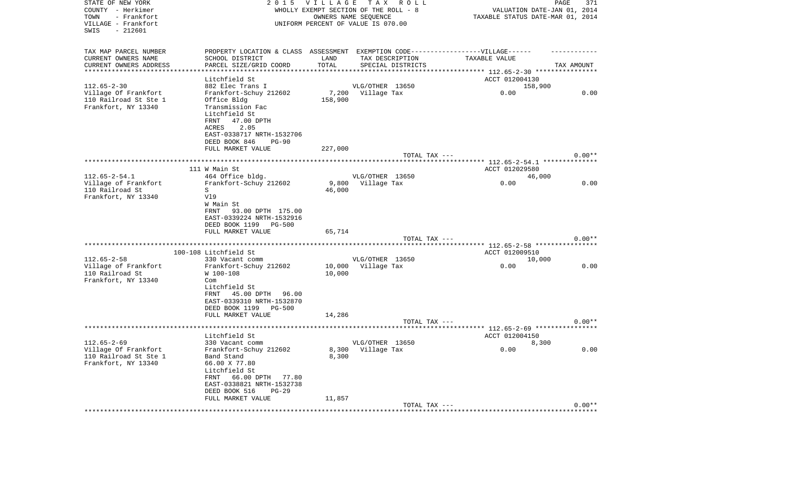| STATE OF NEW YORK<br>COUNTY - Herkimer<br>- Frankfort<br>TOWN<br>VILLAGE - Frankfort<br>SWIS<br>$-212601$ | 2 0 1 5                                                                           | VILLAGE         | TAX ROLL<br>WHOLLY EXEMPT SECTION OF THE ROLL - 8<br>OWNERS NAME SEQUENCE<br>UNIFORM PERCENT OF VALUE IS 070.00 | VALUATION DATE-JAN 01, 2014<br>TAXABLE STATUS DATE-MAR 01, 2014 | PAGE<br>371 |
|-----------------------------------------------------------------------------------------------------------|-----------------------------------------------------------------------------------|-----------------|-----------------------------------------------------------------------------------------------------------------|-----------------------------------------------------------------|-------------|
| TAX MAP PARCEL NUMBER                                                                                     | PROPERTY LOCATION & CLASS ASSESSMENT EXEMPTION CODE-----------------VILLAGE------ |                 |                                                                                                                 |                                                                 |             |
| CURRENT OWNERS NAME                                                                                       | SCHOOL DISTRICT                                                                   | LAND            | TAX DESCRIPTION                                                                                                 | TAXABLE VALUE                                                   |             |
| CURRENT OWNERS ADDRESS                                                                                    | PARCEL SIZE/GRID COORD                                                            | TOTAL           | SPECIAL DISTRICTS                                                                                               |                                                                 | TAX AMOUNT  |
| **********************                                                                                    | *******************                                                               |                 |                                                                                                                 |                                                                 |             |
|                                                                                                           | Litchfield St                                                                     |                 |                                                                                                                 | ACCT 012004130                                                  |             |
| $112.65 - 2 - 30$                                                                                         | 882 Elec Trans I                                                                  |                 | VLG/OTHER 13650                                                                                                 | 158,900                                                         |             |
| Village Of Frankfort                                                                                      | Frankfort-Schuy 212602                                                            |                 | 7,200 Village Tax                                                                                               | 0.00                                                            | 0.00        |
| 110 Railroad St Ste 1<br>Frankfort, NY 13340                                                              | Office Bldg<br>Transmission Fac                                                   | 158,900         |                                                                                                                 |                                                                 |             |
|                                                                                                           | Litchfield St                                                                     |                 |                                                                                                                 |                                                                 |             |
|                                                                                                           | FRNT<br>47.00 DPTH                                                                |                 |                                                                                                                 |                                                                 |             |
|                                                                                                           | ACRES<br>2.05                                                                     |                 |                                                                                                                 |                                                                 |             |
|                                                                                                           | EAST-0338717 NRTH-1532706                                                         |                 |                                                                                                                 |                                                                 |             |
|                                                                                                           | DEED BOOK 846<br>$PG-90$                                                          |                 |                                                                                                                 |                                                                 |             |
|                                                                                                           | FULL MARKET VALUE                                                                 | 227,000         |                                                                                                                 |                                                                 |             |
|                                                                                                           |                                                                                   |                 | TOTAL TAX ---                                                                                                   |                                                                 | $0.00**$    |
|                                                                                                           |                                                                                   |                 |                                                                                                                 |                                                                 |             |
|                                                                                                           | 111 W Main St                                                                     |                 |                                                                                                                 | ACCT 012029580                                                  |             |
| $112.65 - 2 - 54.1$                                                                                       | 464 Office bldg.                                                                  |                 | VLG/OTHER 13650                                                                                                 | 46,000                                                          |             |
| Village of Frankfort<br>110 Railroad St                                                                   | Frankfort-Schuy 212602<br>S                                                       | 9,800<br>46,000 | Village Tax                                                                                                     | 0.00                                                            | 0.00        |
| Frankfort, NY 13340                                                                                       | V19                                                                               |                 |                                                                                                                 |                                                                 |             |
|                                                                                                           | W Main St                                                                         |                 |                                                                                                                 |                                                                 |             |
|                                                                                                           | 93.00 DPTH 175.00<br>FRNT                                                         |                 |                                                                                                                 |                                                                 |             |
|                                                                                                           | EAST-0339224 NRTH-1532916                                                         |                 |                                                                                                                 |                                                                 |             |
|                                                                                                           | DEED BOOK 1199 PG-500                                                             |                 |                                                                                                                 |                                                                 |             |
|                                                                                                           | FULL MARKET VALUE                                                                 | 65,714          |                                                                                                                 |                                                                 |             |
|                                                                                                           |                                                                                   |                 | TOTAL TAX ---                                                                                                   |                                                                 | $0.00**$    |
|                                                                                                           |                                                                                   |                 |                                                                                                                 | ***************** 112.65-2-58 *****************                 |             |
|                                                                                                           | 100-108 Litchfield St                                                             |                 |                                                                                                                 | ACCT 012009510                                                  |             |
| $112.65 - 2 - 58$                                                                                         | 330 Vacant comm                                                                   |                 | VLG/OTHER 13650                                                                                                 | 10,000                                                          |             |
| Village of Frankfort<br>110 Railroad St                                                                   | Frankfort-Schuy 212602<br>W 100-108                                               | 10,000          | 10,000 Village Tax                                                                                              | 0.00                                                            | 0.00        |
| Frankfort, NY 13340                                                                                       | Com                                                                               |                 |                                                                                                                 |                                                                 |             |
|                                                                                                           | Litchfield St                                                                     |                 |                                                                                                                 |                                                                 |             |
|                                                                                                           | 45.00 DPTH 96.00<br>FRNT                                                          |                 |                                                                                                                 |                                                                 |             |
|                                                                                                           | EAST-0339310 NRTH-1532870                                                         |                 |                                                                                                                 |                                                                 |             |
|                                                                                                           | DEED BOOK 1199 PG-500                                                             |                 |                                                                                                                 |                                                                 |             |
|                                                                                                           | FULL MARKET VALUE                                                                 | 14,286          |                                                                                                                 |                                                                 |             |
|                                                                                                           |                                                                                   |                 | TOTAL TAX ---                                                                                                   |                                                                 | $0.00**$    |
|                                                                                                           |                                                                                   |                 |                                                                                                                 |                                                                 |             |
|                                                                                                           | Litchfield St                                                                     |                 |                                                                                                                 | ACCT 012004150                                                  |             |
| $112.65 - 2 - 69$                                                                                         | 330 Vacant comm                                                                   |                 | VLG/OTHER 13650                                                                                                 | 8,300                                                           |             |
| Village Of Frankfort<br>110 Railroad St Ste 1                                                             | Frankfort-Schuy 212602<br>Band Stand                                              | 8,300           | 8,300 Village Tax                                                                                               | 0.00                                                            | 0.00        |
| Frankfort, NY 13340                                                                                       | 66.00 X 77.80                                                                     |                 |                                                                                                                 |                                                                 |             |
|                                                                                                           | Litchfield St                                                                     |                 |                                                                                                                 |                                                                 |             |
|                                                                                                           | FRNT 66.00 DPTH<br>77.80                                                          |                 |                                                                                                                 |                                                                 |             |
|                                                                                                           | EAST-0338821 NRTH-1532738                                                         |                 |                                                                                                                 |                                                                 |             |
|                                                                                                           | DEED BOOK 516<br>$PG-29$                                                          |                 |                                                                                                                 |                                                                 |             |
|                                                                                                           | FULL MARKET VALUE                                                                 | 11,857          |                                                                                                                 |                                                                 |             |
|                                                                                                           |                                                                                   |                 | TOTAL TAX ---                                                                                                   |                                                                 | $0.00**$    |
|                                                                                                           |                                                                                   |                 |                                                                                                                 |                                                                 |             |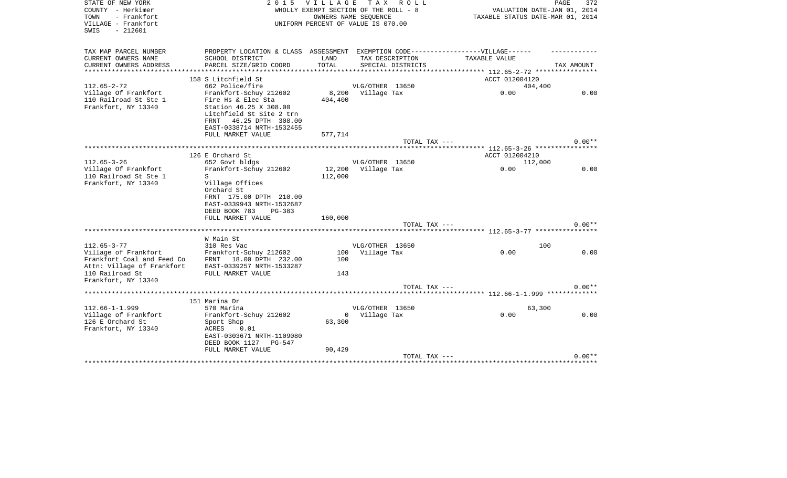| STATE OF NEW YORK<br>COUNTY - Herkimer<br>- Frankfort<br>TOWN<br>VILLAGE - Frankfort<br>$-212601$<br>SWIS                                       | 2 0 1 5                                                                                                                                                                                  | <b>VILLAGE</b><br>WHOLLY EXEMPT SECTION OF THE ROLL - 8<br>UNIFORM PERCENT OF VALUE IS 070.00 | T A X<br>OWNERS NAME SEOUENCE  | R O L L           | VALUATION DATE-JAN 01, 2014<br>TAXABLE STATUS DATE-MAR 01, 2014 | PAGE<br>372      |
|-------------------------------------------------------------------------------------------------------------------------------------------------|------------------------------------------------------------------------------------------------------------------------------------------------------------------------------------------|-----------------------------------------------------------------------------------------------|--------------------------------|-------------------|-----------------------------------------------------------------|------------------|
| TAX MAP PARCEL NUMBER                                                                                                                           | PROPERTY LOCATION & CLASS ASSESSMENT EXEMPTION CODE-----------------VILLAGE------                                                                                                        |                                                                                               |                                |                   |                                                                 |                  |
| CURRENT OWNERS NAME<br>CURRENT OWNERS ADDRESS                                                                                                   | SCHOOL DISTRICT<br>PARCEL SIZE/GRID COORD                                                                                                                                                | LAND<br>TOTAL                                                                                 | TAX DESCRIPTION                | SPECIAL DISTRICTS | TAXABLE VALUE                                                   | TAX AMOUNT       |
|                                                                                                                                                 |                                                                                                                                                                                          |                                                                                               |                                |                   | ************ 112.65-2-72 *****************                      |                  |
|                                                                                                                                                 | 158 S Litchfield St                                                                                                                                                                      |                                                                                               |                                |                   | ACCT 012004120                                                  |                  |
| $112.65 - 2 - 72$                                                                                                                               | 662 Police/fire                                                                                                                                                                          |                                                                                               | VLG/OTHER 13650                |                   | 404,400                                                         |                  |
| Village Of Frankfort<br>110 Railroad St Ste 1<br>Frankfort, NY 13340                                                                            | Frankfort-Schuy 212602<br>Fire Hs & Elec Sta<br>Station 46.25 X 308.00<br>Litchfield St Site 2 trn<br>46.25 DPTH 308.00<br>FRNT<br>EAST-0338714 NRTH-1532455                             | 8,200<br>404,400                                                                              | Village Tax                    |                   | 0.00                                                            | 0.00             |
|                                                                                                                                                 | FULL MARKET VALUE                                                                                                                                                                        | 577,714                                                                                       |                                |                   |                                                                 |                  |
|                                                                                                                                                 |                                                                                                                                                                                          |                                                                                               |                                | TOTAL TAX ---     |                                                                 | $0.00**$         |
|                                                                                                                                                 |                                                                                                                                                                                          |                                                                                               |                                |                   |                                                                 |                  |
|                                                                                                                                                 | 126 E Orchard St                                                                                                                                                                         |                                                                                               |                                |                   | ACCT 012004210                                                  |                  |
| $112.65 - 3 - 26$<br>Village Of Frankfort<br>110 Railroad St Ste 1<br>Frankfort, NY 13340                                                       | 652 Govt bldgs<br>Frankfort-Schuy 212602<br>S<br>Village Offices<br>Orchard St<br>FRNT 175.00 DPTH 210.00<br>EAST-0339943 NRTH-1532687<br>DEED BOOK 783<br>$PG-383$<br>FULL MARKET VALUE | 12,200<br>112,000<br>160,000                                                                  | VLG/OTHER 13650<br>Village Tax | TOTAL TAX ---     | 112,000<br>0.00                                                 | 0.00<br>$0.00**$ |
|                                                                                                                                                 |                                                                                                                                                                                          |                                                                                               |                                |                   |                                                                 |                  |
|                                                                                                                                                 | W Main St                                                                                                                                                                                |                                                                                               |                                |                   |                                                                 |                  |
| $112.65 - 3 - 77$<br>Village of Frankfort<br>Frankfort Coal and Feed Co<br>Attn: Village of Frankfort<br>110 Railroad St<br>Frankfort, NY 13340 | 310 Res Vac<br>Frankfort-Schuy 212602<br>FRNT 18.00 DPTH 232.00<br>EAST-0339257 NRTH-1533287<br>FULL MARKET VALUE                                                                        | 100<br>100<br>143                                                                             | VLG/OTHER 13650<br>Village Tax |                   | 100<br>0.00                                                     | 0.00             |
|                                                                                                                                                 |                                                                                                                                                                                          |                                                                                               |                                | TOTAL TAX ---     |                                                                 | $0.00**$         |
|                                                                                                                                                 |                                                                                                                                                                                          |                                                                                               |                                |                   | ********************* 112.66-1-1.999 **************             |                  |
|                                                                                                                                                 | 151 Marina Dr                                                                                                                                                                            |                                                                                               |                                |                   |                                                                 |                  |
| $112.66 - 1 - 1.999$<br>Village of Frankfort<br>126 E Orchard St<br>Frankfort, NY 13340                                                         | 570 Marina<br>Frankfort-Schuy 212602<br>Sport Shop<br>0.01<br>ACRES<br>EAST-0303671 NRTH-1109080<br>DEED BOOK 1127<br>PG-547<br>FULL MARKET VALUE                                        | $\mathbf{0}$<br>63,300<br>90,429                                                              | VLG/OTHER 13650<br>Village Tax |                   | 63,300<br>0.00                                                  | 0.00             |
|                                                                                                                                                 |                                                                                                                                                                                          |                                                                                               |                                | TOTAL TAX ---     |                                                                 | $0.00**$         |
|                                                                                                                                                 |                                                                                                                                                                                          |                                                                                               |                                |                   | **************************************                          |                  |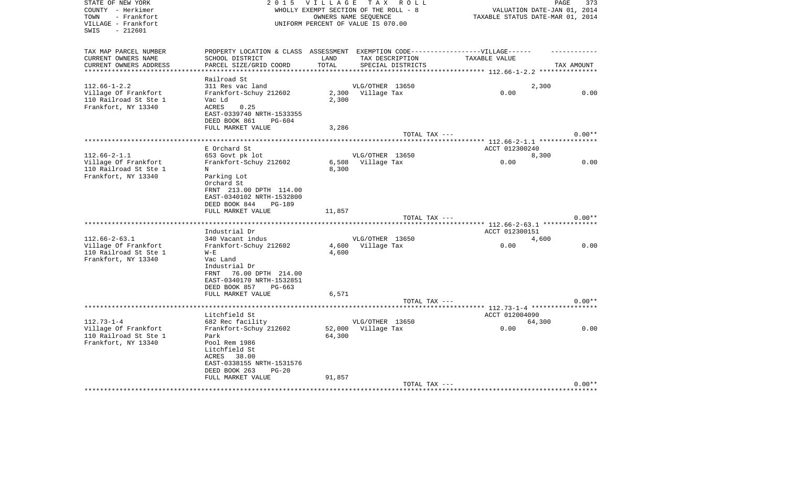| STATE OF NEW YORK      | 2 0 1 5                                     | VILLAGE TAX ROLL                      |                      |                   |                                               | PAGE                        | 373      |
|------------------------|---------------------------------------------|---------------------------------------|----------------------|-------------------|-----------------------------------------------|-----------------------------|----------|
| COUNTY - Herkimer      |                                             | WHOLLY EXEMPT SECTION OF THE ROLL - 8 |                      |                   |                                               | VALUATION DATE-JAN 01, 2014 |          |
| - Frankfort<br>TOWN    |                                             |                                       | OWNERS NAME SEQUENCE |                   | TAXABLE STATUS DATE-MAR 01, 2014              |                             |          |
| VILLAGE - Frankfort    |                                             | UNIFORM PERCENT OF VALUE IS 070.00    |                      |                   |                                               |                             |          |
| SWIS<br>- 212601       |                                             |                                       |                      |                   |                                               |                             |          |
|                        |                                             |                                       |                      |                   |                                               |                             |          |
| TAX MAP PARCEL NUMBER  | PROPERTY LOCATION & CLASS ASSESSMENT        |                                       |                      |                   | EXEMPTION CODE------------------VILLAGE------ |                             |          |
| CURRENT OWNERS NAME    | SCHOOL DISTRICT                             | LAND                                  | TAX DESCRIPTION      |                   | TAXABLE VALUE                                 |                             |          |
| CURRENT OWNERS ADDRESS | PARCEL SIZE/GRID COORD                      | TOTAL                                 |                      | SPECIAL DISTRICTS |                                               | TAX AMOUNT                  |          |
|                        |                                             |                                       |                      |                   |                                               |                             |          |
|                        | Railroad St                                 |                                       |                      |                   |                                               |                             |          |
| $112.66 - 1 - 2.2$     | 311 Res vac land                            |                                       | VLG/OTHER 13650      |                   |                                               | 2,300                       |          |
| Village Of Frankfort   | Frankfort-Schuy 212602                      | 2,300                                 | Village Tax          |                   | 0.00                                          |                             | 0.00     |
| 110 Railroad St Ste 1  | Vac Ld                                      | 2,300                                 |                      |                   |                                               |                             |          |
| Frankfort, NY 13340    | ACRES<br>0.25<br>EAST-0339740 NRTH-1533355  |                                       |                      |                   |                                               |                             |          |
|                        | DEED BOOK 861<br>PG-604                     |                                       |                      |                   |                                               |                             |          |
|                        | FULL MARKET VALUE                           |                                       |                      |                   |                                               |                             |          |
|                        |                                             | 3,286                                 |                      | TOTAL TAX ---     |                                               |                             | $0.00**$ |
|                        |                                             |                                       |                      |                   | ***** 112.66-2-1.1 **********                 |                             |          |
|                        | E Orchard St                                |                                       |                      |                   | ACCT 012300240                                |                             |          |
| $112.66 - 2 - 1.1$     | 653 Govt pk lot                             |                                       | VLG/OTHER 13650      |                   |                                               | 8,300                       |          |
| Village Of Frankfort   | Frankfort-Schuy 212602                      |                                       | 6,508 Village Tax    |                   | 0.00                                          |                             | 0.00     |
| 110 Railroad St Ste 1  | N                                           | 8,300                                 |                      |                   |                                               |                             |          |
| Frankfort, NY 13340    | Parking Lot                                 |                                       |                      |                   |                                               |                             |          |
|                        | Orchard St                                  |                                       |                      |                   |                                               |                             |          |
|                        | FRNT 213.00 DPTH 114.00                     |                                       |                      |                   |                                               |                             |          |
|                        | EAST-0340102 NRTH-1532800                   |                                       |                      |                   |                                               |                             |          |
|                        | DEED BOOK 844<br><b>PG-189</b>              |                                       |                      |                   |                                               |                             |          |
|                        | FULL MARKET VALUE                           | 11,857                                |                      |                   |                                               |                             |          |
|                        |                                             |                                       |                      | TOTAL TAX ---     |                                               |                             | $0.00**$ |
|                        |                                             |                                       |                      |                   | ***** 112.66-2-63.1 *********                 |                             |          |
|                        | Industrial Dr                               |                                       |                      |                   | ACCT 012300151                                |                             |          |
| $112.66 - 2 - 63.1$    | 340 Vacant indus                            |                                       | VLG/OTHER 13650      |                   |                                               | 4,600                       |          |
| Village Of Frankfort   | Frankfort-Schuy 212602                      |                                       | 4,600 Village Tax    |                   | 0.00                                          |                             | 0.00     |
| 110 Railroad St Ste 1  | $W - E$                                     | 4,600                                 |                      |                   |                                               |                             |          |
| Frankfort, NY 13340    | Vac Land                                    |                                       |                      |                   |                                               |                             |          |
|                        | Industrial Dr                               |                                       |                      |                   |                                               |                             |          |
|                        | FRNT 76.00 DPTH 214.00                      |                                       |                      |                   |                                               |                             |          |
|                        | EAST-0340170 NRTH-1532851                   |                                       |                      |                   |                                               |                             |          |
|                        | DEED BOOK 857<br>$PG-663$                   |                                       |                      |                   |                                               |                             |          |
|                        | FULL MARKET VALUE                           | 6,571                                 |                      |                   |                                               |                             |          |
|                        |                                             |                                       |                      | TOTAL TAX ---     |                                               |                             | $0.00**$ |
|                        |                                             |                                       |                      |                   | ******** 112.73-1-4 ************              |                             |          |
|                        | Litchfield St                               |                                       |                      |                   | ACCT 012004090                                |                             |          |
| $112.73 - 1 - 4$       | 682 Rec facility                            |                                       | VLG/OTHER 13650      |                   |                                               | 64,300                      |          |
| Village Of Frankfort   | Frankfort-Schuy 212602                      |                                       | 52,000 Village Tax   |                   | 0.00                                          |                             | 0.00     |
| 110 Railroad St Ste 1  | Park                                        | 64,300                                |                      |                   |                                               |                             |          |
| Frankfort, NY 13340    | Pool Rem 1986                               |                                       |                      |                   |                                               |                             |          |
|                        | Litchfield St                               |                                       |                      |                   |                                               |                             |          |
|                        | ACRES<br>38.00<br>EAST-0338155 NRTH-1531576 |                                       |                      |                   |                                               |                             |          |
|                        | DEED BOOK 263<br>$PG-20$                    |                                       |                      |                   |                                               |                             |          |
|                        | FULL MARKET VALUE                           | 91,857                                |                      |                   |                                               |                             |          |
|                        |                                             |                                       |                      | TOTAL TAX ---     |                                               |                             | $0.00**$ |
|                        |                                             |                                       |                      |                   |                                               |                             |          |
|                        |                                             |                                       |                      |                   |                                               |                             |          |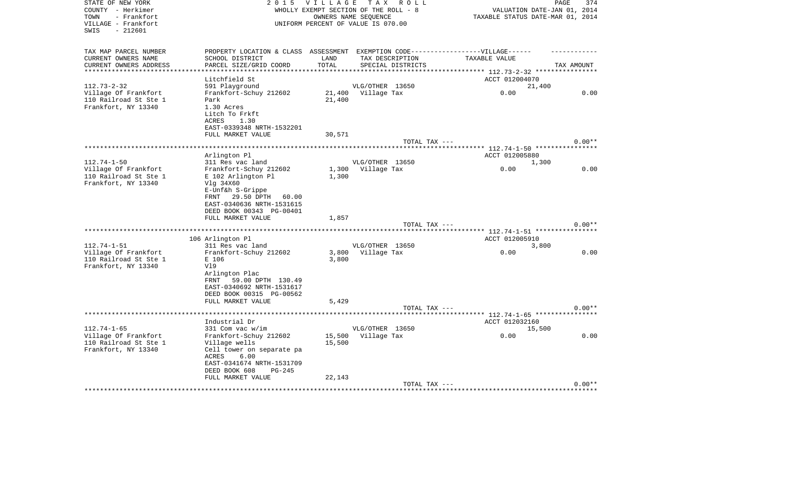| STATE OF NEW YORK<br>COUNTY - Herkimer | 2 0 1 5                          | <b>VILLAGE</b> | T A X<br>R O L L<br>WHOLLY EXEMPT SECTION OF THE ROLL - 8  |                                               | PAGE<br>374                 |
|----------------------------------------|----------------------------------|----------------|------------------------------------------------------------|-----------------------------------------------|-----------------------------|
| - Frankfort<br>TOWN                    |                                  |                |                                                            | TAXABLE STATUS DATE-MAR 01, 2014              | VALUATION DATE-JAN 01, 2014 |
| VILLAGE - Frankfort                    |                                  |                | OWNERS NAME SEQUENCE<br>UNIFORM PERCENT OF VALUE IS 070.00 |                                               |                             |
| $-212601$<br>SWIS                      |                                  |                |                                                            |                                               |                             |
| TAX MAP PARCEL NUMBER                  | PROPERTY LOCATION & CLASS        | ASSESSMENT     |                                                            | EXEMPTION CODE------------------VILLAGE------ |                             |
| CURRENT OWNERS NAME                    | SCHOOL DISTRICT                  | LAND           | TAX DESCRIPTION                                            | TAXABLE VALUE                                 |                             |
| CURRENT OWNERS ADDRESS                 | PARCEL SIZE/GRID COORD           | TOTAL          | SPECIAL DISTRICTS                                          |                                               | TAX AMOUNT                  |
| ****************                       | *********************            |                |                                                            |                                               |                             |
|                                        | Litchfield St                    |                |                                                            | ACCT 012004070                                |                             |
| $112.73 - 2 - 32$                      | 591 Playground                   |                | VLG/OTHER 13650                                            | 21,400                                        |                             |
| Village Of Frankfort                   | Frankfort-Schuy 212602           | 21,400         | Village Tax                                                | 0.00                                          | 0.00                        |
| 110 Railroad St Ste 1                  | Park                             | 21,400         |                                                            |                                               |                             |
| Frankfort, NY 13340                    | 1.30 Acres                       |                |                                                            |                                               |                             |
|                                        | Litch To Frkft                   |                |                                                            |                                               |                             |
|                                        | <b>ACRES</b><br>1.30             |                |                                                            |                                               |                             |
|                                        | EAST-0339348 NRTH-1532201        |                |                                                            |                                               |                             |
|                                        | FULL MARKET VALUE                | 30,571         |                                                            |                                               |                             |
|                                        |                                  |                | TOTAL TAX ---                                              |                                               | $0.00**$                    |
|                                        |                                  |                |                                                            |                                               |                             |
| $112.74 - 1 - 50$                      | Arlington Pl<br>311 Res vac land |                | VLG/OTHER 13650                                            | ACCT 012005880<br>1,300                       |                             |
| Village Of Frankfort                   | Frankfort-Schuy 212602           | 1,300          | Village Tax                                                | 0.00                                          | 0.00                        |
| 110 Railroad St Ste 1                  | E 102 Arlington Pl               | 1,300          |                                                            |                                               |                             |
| Frankfort, NY 13340                    | Vlg 34X60                        |                |                                                            |                                               |                             |
|                                        | E-Unf&h S-Grippe                 |                |                                                            |                                               |                             |
|                                        | 29.50 DPTH<br>FRNT<br>60.00      |                |                                                            |                                               |                             |
|                                        | EAST-0340636 NRTH-1531615        |                |                                                            |                                               |                             |
|                                        | DEED BOOK 00343 PG-00401         |                |                                                            |                                               |                             |
|                                        | FULL MARKET VALUE                | 1,857          |                                                            |                                               |                             |
|                                        |                                  |                | TOTAL TAX ---                                              |                                               | $0.00**$                    |
|                                        | ********************             |                |                                                            |                                               |                             |
|                                        | 106 Arlington Pl                 |                |                                                            | ACCT 012005910                                |                             |
| $112.74 - 1 - 51$                      | 311 Res vac land                 |                | VLG/OTHER 13650                                            | 3,800                                         |                             |
| Village Of Frankfort                   | Frankfort-Schuy 212602           | 3,800          | Village Tax                                                | 0.00                                          | 0.00                        |
| 110 Railroad St Ste 1                  | E 106                            | 3,800          |                                                            |                                               |                             |
| Frankfort, NY 13340                    | V19                              |                |                                                            |                                               |                             |
|                                        | Arlington Plac                   |                |                                                            |                                               |                             |
|                                        | FRNT<br>59.00 DPTH 130.49        |                |                                                            |                                               |                             |
|                                        | EAST-0340692 NRTH-1531617        |                |                                                            |                                               |                             |
|                                        | DEED BOOK 00315 PG-00562         |                |                                                            |                                               |                             |
|                                        | FULL MARKET VALUE                | 5,429          |                                                            |                                               |                             |
|                                        |                                  |                | TOTAL TAX ---                                              | *** 112.74-1-65 ****                          | $0.00**$                    |
|                                        | Industrial Dr                    |                |                                                            | ACCT 012032160                                |                             |
| $112.74 - 1 - 65$                      | 331 Com vac w/im                 |                | VLG/OTHER 13650                                            | 15,500                                        |                             |
| Village Of Frankfort                   | Frankfort-Schuy 212602           | 15,500         | Village Tax                                                | 0.00                                          | 0.00                        |
| 110 Railroad St Ste 1                  | Village wells                    | 15,500         |                                                            |                                               |                             |
| Frankfort, NY 13340                    | Cell tower on separate pa        |                |                                                            |                                               |                             |
|                                        | ACRES<br>6.00                    |                |                                                            |                                               |                             |
|                                        | EAST-0341674 NRTH-1531709        |                |                                                            |                                               |                             |
|                                        | DEED BOOK 608<br>$PG-245$        |                |                                                            |                                               |                             |
|                                        | FULL MARKET VALUE                | 22,143         |                                                            |                                               |                             |
|                                        |                                  |                | TOTAL TAX ---                                              |                                               | $0.00**$                    |
|                                        |                                  |                |                                                            |                                               |                             |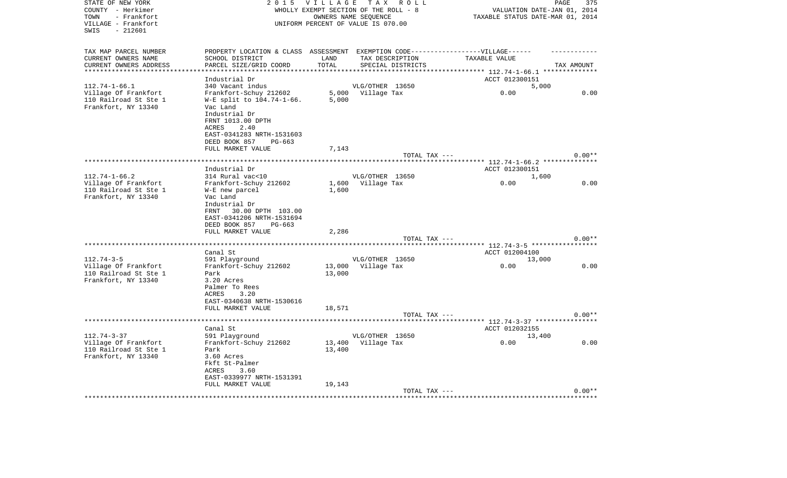| STATE OF NEW YORK<br>COUNTY - Herkimer       | 2 0 1 5                                                                          | <b>VILLAGE</b> | TAX ROLL<br>WHOLLY EXEMPT SECTION OF THE ROLL - 8 |                                                           | PAGE<br>375<br>VALUATION DATE-JAN 01, 2014 |
|----------------------------------------------|----------------------------------------------------------------------------------|----------------|---------------------------------------------------|-----------------------------------------------------------|--------------------------------------------|
| - Frankfort<br>TOWN                          |                                                                                  |                | OWNERS NAME SEOUENCE                              |                                                           | TAXABLE STATUS DATE-MAR 01, 2014           |
| VILLAGE - Frankfort<br>$-212601$<br>SWIS     |                                                                                  |                | UNIFORM PERCENT OF VALUE IS 070.00                |                                                           |                                            |
| TAX MAP PARCEL NUMBER                        | PROPERTY LOCATION & CLASS ASSESSMENT EXEMPTION CODE----------------VILLAGE------ |                |                                                   |                                                           |                                            |
| CURRENT OWNERS NAME                          | SCHOOL DISTRICT                                                                  | LAND           | TAX DESCRIPTION                                   | TAXABLE VALUE                                             |                                            |
| CURRENT OWNERS ADDRESS                       | PARCEL SIZE/GRID COORD                                                           | TOTAL          | SPECIAL DISTRICTS                                 |                                                           | TAX AMOUNT                                 |
| **********************                       | ************************                                                         | ***********    |                                                   |                                                           |                                            |
|                                              | Industrial Dr                                                                    |                |                                                   | ACCT 012300151                                            |                                            |
| $112.74 - 1 - 66.1$<br>Village Of Frankfort  | 340 Vacant indus<br>Frankfort-Schuy 212602                                       | 5,000          | VLG/OTHER 13650<br>Village Tax                    | 0.00                                                      | 5,000<br>0.00                              |
| 110 Railroad St Ste 1                        | W-E split to 104.74-1-66.                                                        | 5,000          |                                                   |                                                           |                                            |
| Frankfort, NY 13340                          | Vac Land                                                                         |                |                                                   |                                                           |                                            |
|                                              | Industrial Dr                                                                    |                |                                                   |                                                           |                                            |
|                                              | FRNT 1013.00 DPTH                                                                |                |                                                   |                                                           |                                            |
|                                              | ACRES<br>2.40                                                                    |                |                                                   |                                                           |                                            |
|                                              | EAST-0341283 NRTH-1531603                                                        |                |                                                   |                                                           |                                            |
|                                              | DEED BOOK 857<br>$PG-663$                                                        |                |                                                   |                                                           |                                            |
|                                              | FULL MARKET VALUE                                                                | 7,143          | TOTAL TAX ---                                     |                                                           | $0.00**$                                   |
|                                              | *******************                                                              |                |                                                   | ****** 112.74-1-66.2 *************                        |                                            |
|                                              | Industrial Dr                                                                    |                |                                                   | ACCT 012300151                                            |                                            |
| $112.74 - 1 - 66.2$                          | 314 Rural vac<10                                                                 |                | VLG/OTHER 13650                                   |                                                           | 1,600                                      |
| Village Of Frankfort                         | Frankfort-Schuy 212602                                                           | 1,600          | Village Tax                                       | 0.00                                                      | 0.00                                       |
| 110 Railroad St Ste 1                        | W-E new parcel                                                                   | 1,600          |                                                   |                                                           |                                            |
| Frankfort, NY 13340                          | Vac Land                                                                         |                |                                                   |                                                           |                                            |
|                                              | Industrial Dr                                                                    |                |                                                   |                                                           |                                            |
|                                              | FRNT<br>30.00 DPTH 103.00<br>EAST-0341206 NRTH-1531694                           |                |                                                   |                                                           |                                            |
|                                              | DEED BOOK 857<br>PG-663                                                          |                |                                                   |                                                           |                                            |
|                                              | FULL MARKET VALUE                                                                | 2,286          |                                                   |                                                           |                                            |
|                                              |                                                                                  |                | TOTAL TAX ---                                     |                                                           | $0.00**$                                   |
|                                              | ****************                                                                 |                |                                                   |                                                           | **** $112.74-3-5$ ****************         |
|                                              | Canal St                                                                         |                |                                                   | ACCT 012004100                                            |                                            |
| $112.74 - 3 - 5$                             | 591 Playground                                                                   |                | VLG/OTHER 13650                                   |                                                           | 13,000                                     |
| Village Of Frankfort                         | Frankfort-Schuy 212602                                                           | 13,000         | Village Tax                                       | 0.00                                                      | 0.00                                       |
| 110 Railroad St Ste 1<br>Frankfort, NY 13340 | Park<br>3.20 Acres                                                               | 13,000         |                                                   |                                                           |                                            |
|                                              | Palmer To Rees                                                                   |                |                                                   |                                                           |                                            |
|                                              | ACRES<br>3.20                                                                    |                |                                                   |                                                           |                                            |
|                                              | EAST-0340638 NRTH-1530616                                                        |                |                                                   |                                                           |                                            |
|                                              | FULL MARKET VALUE                                                                | 18,571         |                                                   |                                                           |                                            |
|                                              |                                                                                  |                | TOTAL TAX ---                                     |                                                           | $0.00**$                                   |
| ******************                           |                                                                                  |                |                                                   | **************************** 112.74-3-37 **************** |                                            |
| $112.74 - 3 - 37$                            | Canal St<br>591 Playground                                                       |                | VLG/OTHER 13650                                   | ACCT 012032155                                            | 13,400                                     |
| Village Of Frankfort                         | Frankfort-Schuy 212602                                                           | 13,400         | Village Tax                                       | 0.00                                                      | 0.00                                       |
| 110 Railroad St Ste 1                        | Park                                                                             | 13,400         |                                                   |                                                           |                                            |
| Frankfort, NY 13340                          | 3.60 Acres                                                                       |                |                                                   |                                                           |                                            |
|                                              | Fkft St-Palmer                                                                   |                |                                                   |                                                           |                                            |
|                                              | ACRES<br>3.60                                                                    |                |                                                   |                                                           |                                            |
|                                              | EAST-0339977 NRTH-1531391                                                        |                |                                                   |                                                           |                                            |
|                                              | FULL MARKET VALUE                                                                | 19,143         |                                                   |                                                           |                                            |
|                                              |                                                                                  |                | TOTAL TAX ---                                     |                                                           | $0.00**$                                   |
|                                              |                                                                                  |                |                                                   |                                                           |                                            |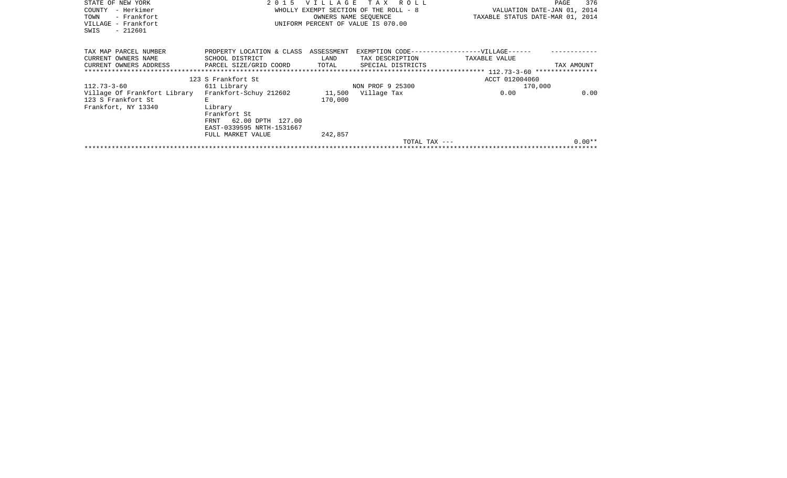| STATE OF NEW YORK<br>– Herkimer<br>COUNTY |                                           |         | 2015 VILLAGE TAX ROLL<br>WHOLLY EXEMPT SECTION OF THE ROLL - 8 | VALUATION DATE-JAN 01, 2014                   | 376<br>PAGE |
|-------------------------------------------|-------------------------------------------|---------|----------------------------------------------------------------|-----------------------------------------------|-------------|
| - Frankfort<br>TOWN                       |                                           |         | OWNERS NAME SEOUENCE                                           | TAXABLE STATUS DATE-MAR 01, 2014              |             |
| VILLAGE - Frankfort<br>$-212601$<br>SWIS  |                                           |         | UNIFORM PERCENT OF VALUE IS 070.00                             |                                               |             |
| TAX MAP PARCEL NUMBER                     | PROPERTY LOCATION & CLASS ASSESSMENT      |         |                                                                | EXEMPTION CODE------------------VILLAGE------ |             |
| CURRENT OWNERS NAME                       | SCHOOL DISTRICT                           | LAND    | TAX DESCRIPTION                                                | TAXABLE VALUE                                 |             |
| CURRENT OWNERS ADDRESS                    | PARCEL SIZE/GRID COORD                    | TOTAL   | SPECIAL DISTRICTS                                              |                                               | TAX AMOUNT  |
| ***************************               |                                           |         |                                                                |                                               |             |
|                                           | 123 S Frankfort St                        |         |                                                                | ACCT 012004060                                |             |
| $112.73 - 3 - 60$                         | 611 Library                               |         | NON PROF 9 25300                                               | 170,000                                       |             |
| Village Of Frankfort Library              | Frankfort-Schuy 212602 11,500 Village Tax |         |                                                                | 0.00                                          | 0.00        |
| 123 S Frankfort St                        | E.                                        | 170,000 |                                                                |                                               |             |
| Frankfort, NY 13340                       | Library                                   |         |                                                                |                                               |             |
|                                           | Frankfort St                              |         |                                                                |                                               |             |
|                                           | 62.00 DPTH 127.00<br>FRNT                 |         |                                                                |                                               |             |
|                                           | EAST-0339595 NRTH-1531667                 |         |                                                                |                                               |             |
|                                           | FULL MARKET VALUE                         | 242,857 |                                                                |                                               |             |
|                                           |                                           |         | TOTAL TAX $---$                                                |                                               | $0.00**$    |
|                                           |                                           |         |                                                                |                                               |             |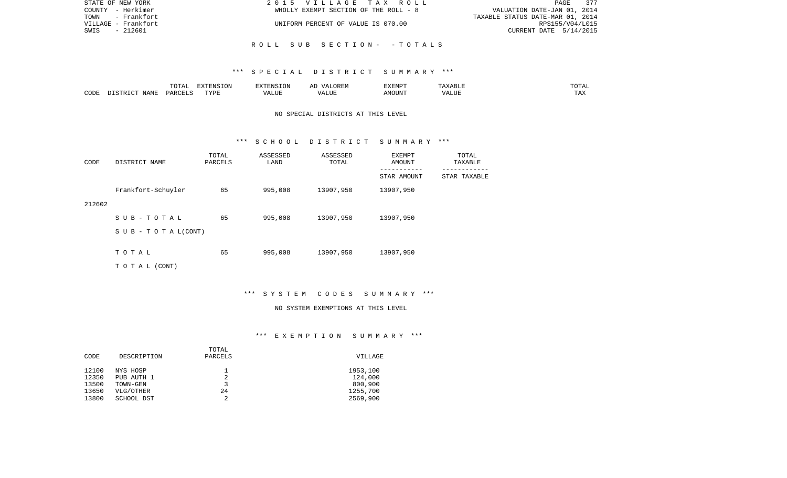| STATE OF NEW YORK   | 2015 VILLAGE TAX ROLL                 | 377<br>PAGE                      |
|---------------------|---------------------------------------|----------------------------------|
| COUNTY - Herkimer   | WHOLLY EXEMPT SECTION OF THE ROLL - 8 | VALUATION DATE-JAN 01, 2014      |
| TOWN - Frankfort    |                                       | TAXABLE STATUS DATE-MAR 01, 2014 |
| VILLAGE - Frankfort | UNIFORM PERCENT OF VALUE IS 070.00    | RPS155/V04/L015                  |
| - 212601<br>SWIS    |                                       | CURRENT DATE 5/14/2015           |
|                     |                                       |                                  |
|                     | ROLL SUB SECTION- - TOTALS            |                                  |

#### \*\*\* S P E C I A L D I S T R I C T S U M M A R Y \*\*\*

|      |             |               | $\blacksquare$<br>11 L<br>. ON |     | EXEMPT        | ABL.           | $m \wedge m$<br>$  -$ |
|------|-------------|---------------|--------------------------------|-----|---------------|----------------|-----------------------|
| CODE | NAME<br>. . | <b>DARCET</b> | TVDI                           | ,,, | 'תוזר.<br>∆M∩ | . <del>.</del> | $- - -$<br>.AZ        |

## NO SPECIAL DISTRICTS AT THIS LEVEL

#### \*\*\* S C H O O L D I S T R I C T S U M M A R Y \*\*\*

| CODE   | DISTRICT NAME                    | TOTAL<br>PARCELS | ASSESSED<br>LAND | ASSESSED<br>TOTAL | EXEMPT<br>AMOUNT | TOTAL<br>TAXABLE |
|--------|----------------------------------|------------------|------------------|-------------------|------------------|------------------|
|        |                                  |                  |                  |                   | STAR AMOUNT      | STAR TAXABLE     |
|        | Frankfort-Schuyler               | 65               | 995,008          | 13907,950         | 13907,950        |                  |
| 212602 |                                  |                  |                  |                   |                  |                  |
|        | SUB-TOTAL                        | 65               | 995,008          | 13907,950         | 13907,950        |                  |
|        | $S \cup B - T \cup T A L (CONT)$ |                  |                  |                   |                  |                  |
|        |                                  |                  |                  |                   |                  |                  |
|        | TOTAL                            | 65               | 995,008          | 13907,950         | 13907,950        |                  |
|        | TO TAL (CONT)                    |                  |                  |                   |                  |                  |

\*\*\* S Y S T E M C O D E S S U M M A R Y \*\*\*

#### NO SYSTEM EXEMPTIONS AT THIS LEVEL

# \*\*\* E X E M P T I O N S U M M A R Y \*\*\*

|       |             | TOTAL   |          |
|-------|-------------|---------|----------|
| CODE  | DESCRIPTION | PARCELS | VILLAGE  |
| 12100 | NYS HOSP    |         |          |
|       |             |         | 1953,100 |
| 12350 | PUB AUTH 1  |         | 124,000  |
| 13500 | TOWN-GEN    | 3       | 800,900  |
| 13650 | VLG/OTHER   | 24      | 1255,700 |
| 13800 | SCHOOL DST  | 2       | 2569,900 |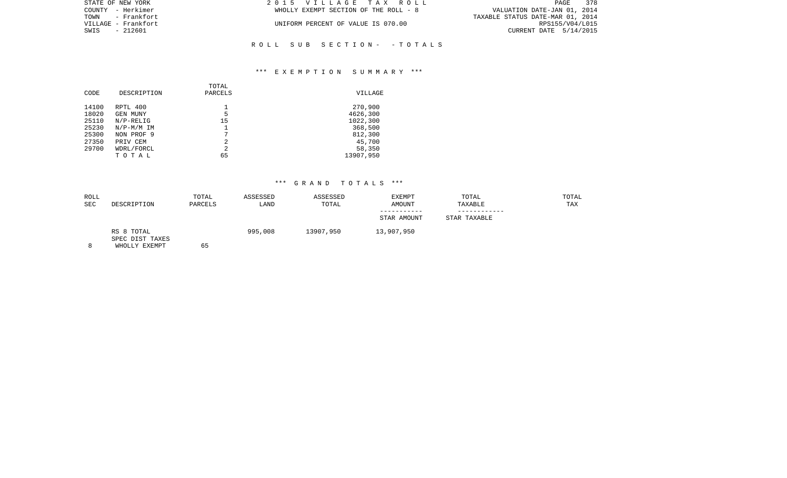| STATE OF NEW YORK   | 2015 VILLAGE TAX ROLL                 | 378<br>PAGE                      |
|---------------------|---------------------------------------|----------------------------------|
| COUNTY - Herkimer   | WHOLLY EXEMPT SECTION OF THE ROLL - 8 | VALUATION DATE-JAN 01, 2014      |
|                     |                                       | TAXABLE STATUS DATE-MAR 01, 2014 |
| VILLAGE – Frankfort | UNIFORM PERCENT OF VALUE IS 070.00    | RPS155/V04/L015                  |
| SWIS - 212601       |                                       | CURRENT DATE 5/14/2015           |
|                     |                                       |                                  |

## \*\*\* E X E M P T I O N S U M M A R Y \*\*\*

R O L L S U B S E C T I O N - - T O T A L S

| CODE  | DESCRIPTION  | TOTAL<br>PARCELS | VILLAGE   |
|-------|--------------|------------------|-----------|
| 14100 | RPTL 400     |                  | 270,900   |
| 18020 | GEN MUNY     | 5                | 4626,300  |
| 25110 | $N/P-RELIG$  | 15               | 1022,300  |
| 25230 | $N/P-M/M$ IM |                  | 368,500   |
| 25300 | NON PROF 9   | 7                | 812,300   |
| 27350 | PRIV CEM     | 2                | 45,700    |
| 29700 | WDRL/FORCL   | 2                | 58,350    |
|       | TOTAL        | 65               | 13907,950 |

| ROLL<br><b>SEC</b> | DESCRIPTION                                    | TOTAL<br>PARCELS | ASSESSED<br>LAND | ASSESSED<br>TOTAL | EXEMPT<br>AMOUNT | TOTAL<br>TAXABLE | TOTAL<br>TAX |
|--------------------|------------------------------------------------|------------------|------------------|-------------------|------------------|------------------|--------------|
|                    |                                                |                  |                  |                   | STAR AMOUNT      | STAR TAXABLE     |              |
|                    | RS 8 TOTAL<br>SPEC DIST TAXES<br>WHOLLY EXEMPT | 65               | 995,008          | 13907,950         | 13,907,950       |                  |              |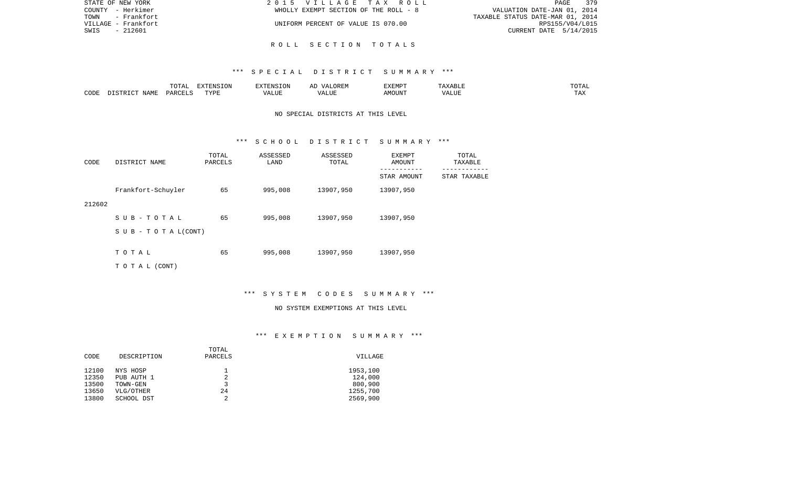| STATE OF NEW YORK   | 2015 VILLAGE TAX ROLL                 | 379<br>PAGE                      |
|---------------------|---------------------------------------|----------------------------------|
| COUNTY - Herkimer   | WHOLLY EXEMPT SECTION OF THE ROLL - 8 | VALUATION DATE-JAN 01, 2014      |
| TOWN<br>- Frankfort |                                       | TAXABLE STATUS DATE-MAR 01, 2014 |
| VILLAGE - Frankfort | UNIFORM PERCENT OF VALUE IS 070.00    | RPS155/V04/L015                  |
| - 212601<br>SWIS    |                                       | CURRENT DATE 5/14/2015           |
|                     |                                       |                                  |

#### \*\*\* S P E C I A L D I S T R I C T S U M M A R Y \*\*\*

R O L L S E C T I O N T O T A L S

|      |                    | $H \cap H$<br>$\cdots$<br>. U 1 1 1 1 | סוותחצת<br><b>ION</b> |      | UKLIY                                  | F.XFMP'<br>⊥∡⊥⊥ | A           | .              |
|------|--------------------|---------------------------------------|-----------------------|------|----------------------------------------|-----------------|-------------|----------------|
| CODE | JAME<br>$\sqrt{2}$ | $\Box$ $\Box$ $\Box$ $\Box$ $\Box$    | <b>TITZD</b><br>.     | ALUF | " TTT.<br>$\sqrt{2}$<br>. . <i>.</i> . | MC<br>OUN.      | 77T<br>Anur | max<br>د د د . |

## NO SPECIAL DISTRICTS AT THIS LEVEL

#### \*\*\* S C H O O L D I S T R I C T S U M M A R Y \*\*\*

| CODE   | DISTRICT NAME                    | TOTAL<br>PARCELS | ASSESSED<br>LAND | ASSESSED<br>TOTAL | EXEMPT<br><b>AMOUNT</b> | TOTAL<br>TAXABLE |
|--------|----------------------------------|------------------|------------------|-------------------|-------------------------|------------------|
|        |                                  |                  |                  |                   | STAR AMOUNT             | STAR TAXABLE     |
|        | Frankfort-Schuyler               | 65               | 995,008          | 13907,950         | 13907,950               |                  |
| 212602 |                                  |                  |                  |                   |                         |                  |
|        | SUB-TOTAL                        | 65               | 995,008          | 13907,950         | 13907,950               |                  |
|        | $S \cup B - T \cup T A L (CONT)$ |                  |                  |                   |                         |                  |
|        | TOTAL                            | 65               | 995,008          | 13907,950         | 13907,950               |                  |
|        | T O T A L (CONT)                 |                  |                  |                   |                         |                  |
|        |                                  |                  |                  |                   |                         |                  |

\*\*\* S Y S T E M C O D E S S U M M A R Y \*\*\*

#### NO SYSTEM EXEMPTIONS AT THIS LEVEL

# \*\*\* E X E M P T I O N S U M M A R Y \*\*\*

|             | TOTAL   |          |
|-------------|---------|----------|
| DESCRIPTION | PARCELS | VILLAGE  |
|             |         |          |
| NYS HOSP    |         | 1953,100 |
| PUB AUTH 1  |         | 124,000  |
| TOWN-GEN    | 3       | 800,900  |
| VLG/OTHER   | 24      | 1255,700 |
| SCHOOL DST  | 2       | 2569,900 |
|             |         |          |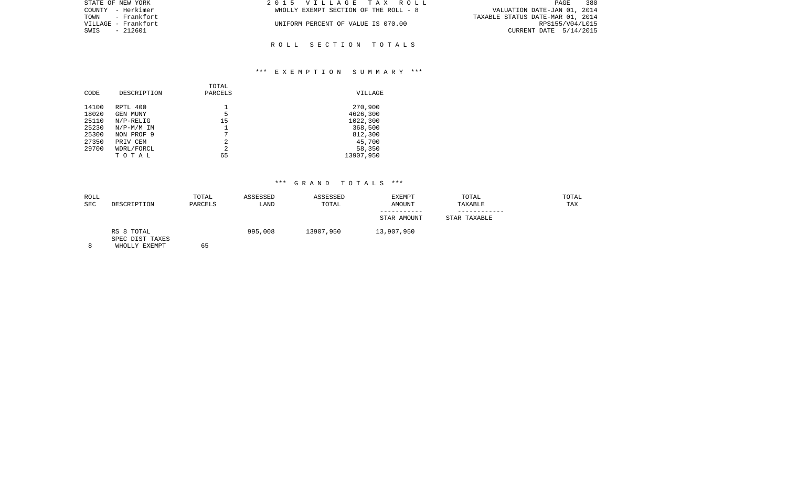| STATE OF NEW YORK   | 2015 VILLAGE TAX ROLL                 | 380<br>PAGE                      |
|---------------------|---------------------------------------|----------------------------------|
| COUNTY - Herkimer   | WHOLLY EXEMPT SECTION OF THE ROLL - 8 | VALUATION DATE-JAN 01, 2014      |
|                     |                                       | TAXABLE STATUS DATE-MAR 01, 2014 |
| VILLAGE – Frankfort | UNIFORM PERCENT OF VALUE IS 070.00    | RPS155/V04/L015                  |
| SWIS - 212601       |                                       | CURRENT DATE 5/14/2015           |
|                     |                                       |                                  |

R O L L S E C T I O N T O T A L S

## \*\*\* E X E M P T I O N S U M M A R Y \*\*\*

| CODE           | DESCRIPTION              | TOTAL<br>PARCELS | VILLAGE              |
|----------------|--------------------------|------------------|----------------------|
| 14100          | RPTL 400                 |                  | 270,900              |
| 18020<br>25110 | GEN MUNY<br>$N/P-RELLIG$ | 5<br>15          | 4626,300<br>1022,300 |
| 25230          | $N/P-M/M$ IM             |                  | 368,500              |
| 25300          | NON PROF 9               | 7                | 812,300              |
| 27350          | PRIV CEM                 | 2                | 45,700               |
| 29700          | WDRL/FORCL               | $\overline{2}$   | 58,350               |
|                | TOTAL                    | 65               | 13907,950            |

| ROLL<br>SEC | DESCRIPTION                      | TOTAL<br>PARCELS | ASSESSED<br>LAND | ASSESSED<br>TOTAL | EXEMPT<br>AMOUNT | TOTAL<br>TAXABLE | TOTAL<br>TAX |
|-------------|----------------------------------|------------------|------------------|-------------------|------------------|------------------|--------------|
|             |                                  |                  |                  |                   | STAR AMOUNT      | STAR TAXABLE     |              |
|             | RS 8 TOTAL                       |                  | 995,008          | 13907,950         | 13,907,950       |                  |              |
|             | SPEC DIST TAXES<br>WHOLLY EXEMPT | 65               |                  |                   |                  |                  |              |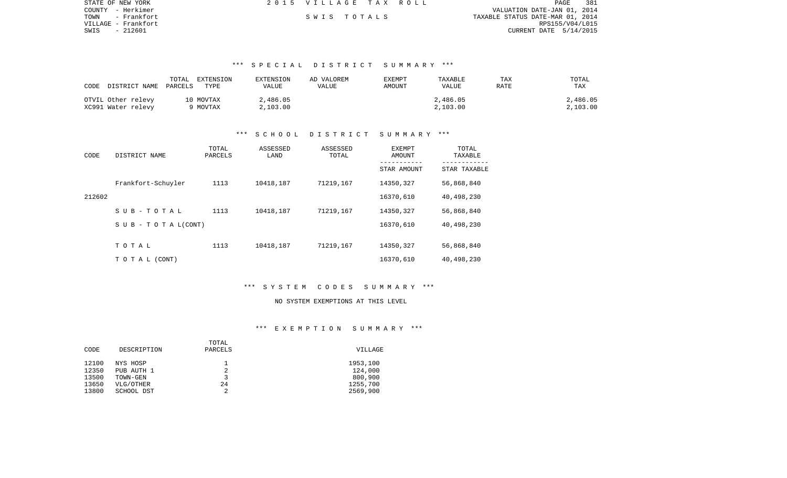| STATE OF NEW YORK   | 2015 VILLAGE TAX ROLL |  | PAGE                             | 381             |
|---------------------|-----------------------|--|----------------------------------|-----------------|
| COUNTY - Herkimer   |                       |  | VALUATION DATE-JAN 01, 2014      |                 |
| TOWN - Frankfort    | SWIS TOTALS           |  | TAXABLE STATUS DATE-MAR 01, 2014 |                 |
| VILLAGE – Frankfort |                       |  |                                  | RPS155/V04/L015 |
| SWIS<br>- 212601    |                       |  | CURRENT DATE 5/14/2015           |                 |

# \*\*\* S P E C I A L D I S T R I C T S U M M A R Y \*\*\*

| CODE DISTRICT NAME PARCELS               | TOTAL<br>EXTENSION<br>TYPE | EXTENSION<br>VALUE   | AD VALOREM<br>VALUE | EXEMPT<br>AMOUNT | TAXABLE<br><b>VALUE</b> | TAX<br>RATE | TOTAL<br>TAX         |
|------------------------------------------|----------------------------|----------------------|---------------------|------------------|-------------------------|-------------|----------------------|
| OTVIL Other relevy<br>XC991 Water relevy | 10 MOVTAX<br>9 MOVTAX      | 2,486.05<br>2,103.00 |                     |                  | 2,486.05<br>2,103.00    |             | 2,486.05<br>2,103.00 |

## \*\*\* S C H O O L D I S T R I C T S U M M A R Y \*\*\*

| CODE   | DISTRICT NAME                    | TOTAL<br>PARCELS | ASSESSED<br>LAND | ASSESSED<br>TOTAL | EXEMPT<br>AMOUNT | TOTAL<br>TAXABLE |
|--------|----------------------------------|------------------|------------------|-------------------|------------------|------------------|
|        |                                  |                  |                  |                   | STAR AMOUNT      | STAR TAXABLE     |
|        | Frankfort-Schuyler               | 1113             | 10418,187        | 71219,167         | 14350,327        | 56,868,840       |
| 212602 |                                  |                  |                  |                   | 16370,610        | 40,498,230       |
|        | SUB-TOTAL                        | 1113             | 10418,187        | 71219,167         | 14350,327        | 56,868,840       |
|        | $S \cup B - T \cup T A L (CONT)$ |                  |                  |                   | 16370,610        | 40,498,230       |
|        |                                  |                  |                  |                   |                  |                  |
|        | TOTAL                            | 1113             | 10418,187        | 71219,167         | 14350,327        | 56,868,840       |
|        | TO TAL (CONT)                    |                  |                  |                   | 16370,610        | 40,498,230       |

## \*\*\* S Y S T E M C O D E S S U M M A R Y \*\*\*

#### NO SYSTEM EXEMPTIONS AT THIS LEVEL

### \*\*\* E X E M P T I O N S U M M A R Y \*\*\*

|             | TOTAL   |          |
|-------------|---------|----------|
| DESCRIPTION | PARCELS | VILLAGE  |
|             |         |          |
| NYS HOSP    |         | 1953,100 |
| PUB AUTH 1  |         | 124,000  |
| TOWN-GEN    | 3       | 800,900  |
| VLG/OTHER   | 24      | 1255,700 |
| SCHOOL DST  |         | 2569,900 |
|             |         |          |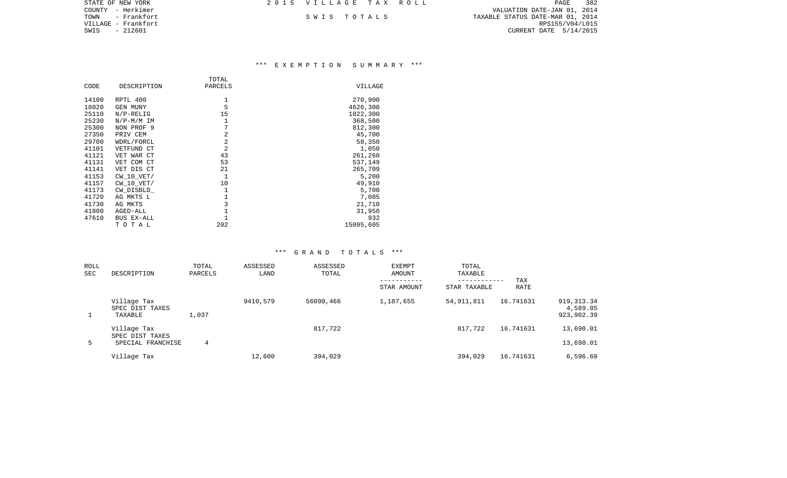| STATE OF NEW YORK   | 2015 VILLAGE TAX ROLL |  | 382<br>PAGE                      |
|---------------------|-----------------------|--|----------------------------------|
| COUNTY - Herkimer   |                       |  | VALUATION DATE-JAN 01, 2014      |
| TOWN<br>– Frankfort | SWIS TOTALS           |  | TAXABLE STATUS DATE-MAR 01, 2014 |
| VILLAGE - Frankfort |                       |  | RPS155/V04/L015                  |
| SWIS<br>- 212601    |                       |  | CURRENT DATE 5/14/2015           |
|                     |                       |  |                                  |

## \*\*\* E X E M P T I O N S U M M A R Y \*\*\*

|       |                | TOTAL          |           |
|-------|----------------|----------------|-----------|
| CODE  | DESCRIPTION    | PARCELS        | VILLAGE   |
| 14100 | RPTL 400       | 1              | 270,900   |
| 18020 | GEN MUNY       | 5              | 4626,300  |
| 25110 | $N/P-RELIG$    | 15             | 1022,300  |
| 25230 | $N/P-M/M$ IM   | 1              | 368,500   |
| 25300 | NON PROF 9     | 7              | 812,300   |
| 27350 | PRIV CEM       | $\overline{2}$ | 45,700    |
| 29700 | WDRL/FORCL     | $\overline{2}$ | 58,350    |
| 41101 | VETFUND CT     | $\overline{2}$ | 1,050     |
| 41121 | VET WAR CT     | 43             | 261,260   |
| 41131 | VET COM CT     | 53             | 537,149   |
| 41141 | VET DIS CT     | 21             | 265,709   |
| 41153 | $CW_10_VET/$   | $\mathbf{1}$   | 5,200     |
| 41157 | $CW$ 10 $VET/$ | 10             | 49,910    |
| 41173 | CW DISBLD      | 1              | 5,700     |
| 41720 | AG MKTS L      | $\mathbf 1$    | 7,085     |
| 41730 | AG MKTS        | 3              | 21,710    |
| 41800 | AGED-ALL       |                | 31,950    |
| 47610 | BUS EX-ALL     | $\mathbf{1}$   | 932       |
|       | TOTAL          | 202            | 15095,605 |

| ROLL<br><b>SEC</b> | DESCRIPTION                                         | TOTAL<br>PARCELS | ASSESSED<br>LAND | ASSESSED<br>TOTAL | <b>EXEMPT</b><br>AMOUNT<br>STAR AMOUNT | TOTAL<br>TAXABLE<br>------------<br>STAR TAXABLE | TAX<br>RATE |                                       |
|--------------------|-----------------------------------------------------|------------------|------------------|-------------------|----------------------------------------|--------------------------------------------------|-------------|---------------------------------------|
| $\mathbf{1}$       | Village Tax<br>SPEC DIST TAXES<br>TAXABLE           | 1,037            | 9410,579         | 56099,466         | 1,187,655                              | 54,911,811                                       | 16.741631   | 919, 313.34<br>4,589.05<br>923,902.39 |
| 5                  | Village Tax<br>SPEC DIST TAXES<br>SPECIAL FRANCHISE | 4                |                  | 817,722           |                                        | 817,722                                          | 16.741631   | 13,690.01<br>13,690.01                |
|                    | Village Tax                                         |                  | 12,600           | 394,029           |                                        | 394,029                                          | 16.741631   | 6,596.69                              |